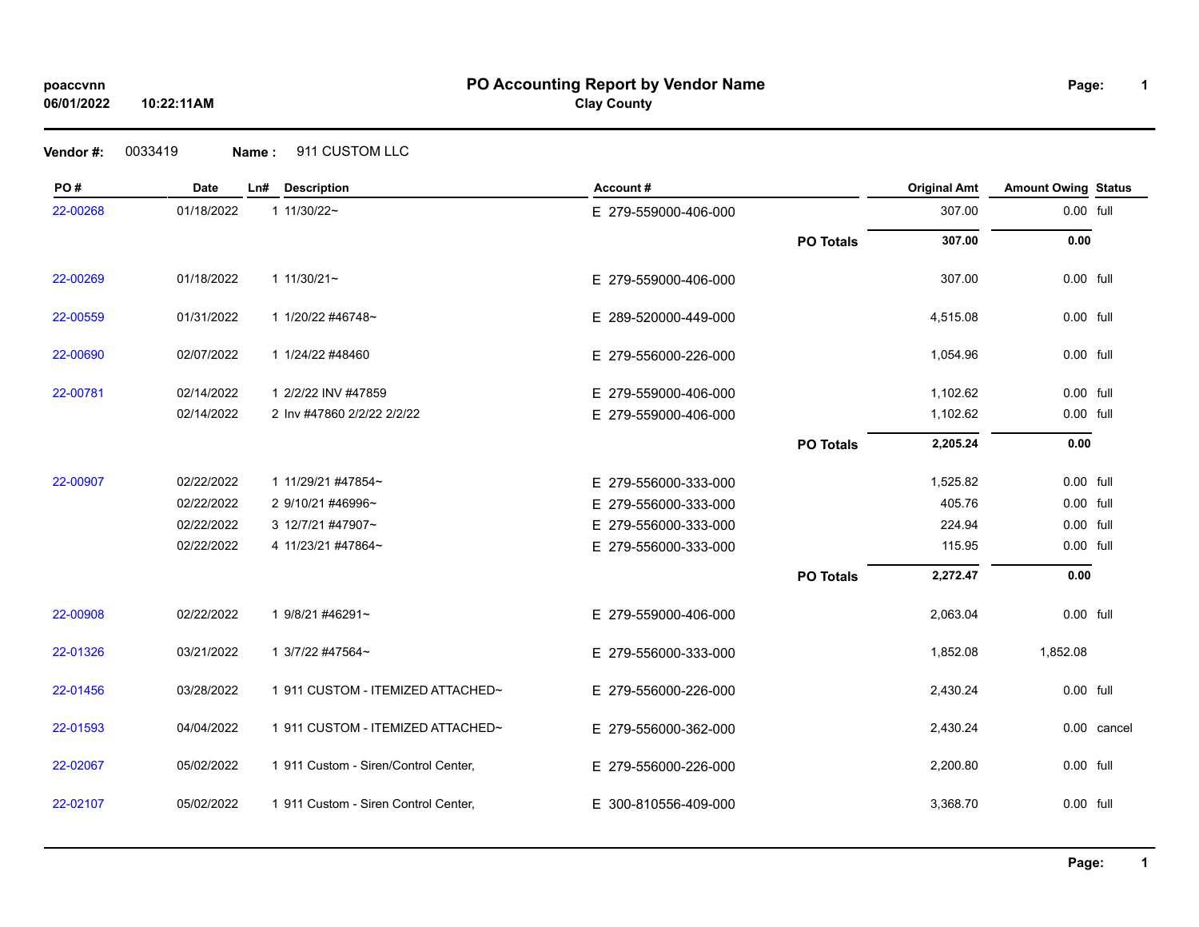# **PO Accounting Report by Vendor Name poaccvnn Page:**

**Clay County**

| PO#      | <b>Date</b> | Ln# | <b>Description</b>                   | Account#             |                  | <b>Original Amt</b> | <b>Amount Owing Status</b> |             |
|----------|-------------|-----|--------------------------------------|----------------------|------------------|---------------------|----------------------------|-------------|
| 22-00268 | 01/18/2022  |     | 1 11/30/22~                          | E 279-559000-406-000 |                  | 307.00              | 0.00 full                  |             |
|          |             |     |                                      |                      | <b>PO Totals</b> | 307.00              | 0.00                       |             |
| 22-00269 | 01/18/2022  |     | $11/30/21$ ~                         | E 279-559000-406-000 |                  | 307.00              | 0.00 full                  |             |
| 22-00559 | 01/31/2022  |     | 1 1/20/22 #46748~                    | E 289-520000-449-000 |                  | 4,515.08            | 0.00 full                  |             |
| 22-00690 | 02/07/2022  |     | 1 1/24/22 #48460                     | E 279-556000-226-000 |                  | 1,054.96            | 0.00 full                  |             |
| 22-00781 | 02/14/2022  |     | 1 2/2/22 INV #47859                  | E 279-559000-406-000 |                  | 1,102.62            | 0.00 full                  |             |
|          | 02/14/2022  |     | 2 Inv #47860 2/2/22 2/2/22           | E 279-559000-406-000 |                  | 1,102.62            | 0.00 full                  |             |
|          |             |     |                                      |                      | <b>PO Totals</b> | 2,205.24            | 0.00                       |             |
| 22-00907 | 02/22/2022  |     | 1 11/29/21 #47854~                   | E 279-556000-333-000 |                  | 1,525.82            | 0.00 full                  |             |
|          | 02/22/2022  |     | 2 9/10/21 #46996~                    | E 279-556000-333-000 |                  | 405.76              | 0.00 full                  |             |
|          | 02/22/2022  |     | 3 12/7/21 #47907~                    | E 279-556000-333-000 |                  | 224.94              | 0.00 full                  |             |
|          | 02/22/2022  |     | 4 11/23/21 #47864~                   | E 279-556000-333-000 |                  | 115.95              | 0.00 full                  |             |
|          |             |     |                                      |                      | <b>PO Totals</b> | 2,272.47            | 0.00                       |             |
| 22-00908 | 02/22/2022  |     | 1 9/8/21 #46291~                     | E 279-559000-406-000 |                  | 2,063.04            | 0.00 full                  |             |
| 22-01326 | 03/21/2022  |     | 1 3/7/22 #47564~                     | E 279-556000-333-000 |                  | 1,852.08            | 1,852.08                   |             |
| 22-01456 | 03/28/2022  |     | 1 911 CUSTOM - ITEMIZED ATTACHED~    | E 279-556000-226-000 |                  | 2,430.24            | 0.00 full                  |             |
| 22-01593 | 04/04/2022  |     | 1 911 CUSTOM - ITEMIZED ATTACHED~    | E 279-556000-362-000 |                  | 2,430.24            |                            | 0.00 cancel |
| 22-02067 | 05/02/2022  |     | 1 911 Custom - Siren/Control Center, | E 279-556000-226-000 |                  | 2,200.80            | 0.00 full                  |             |
| 22-02107 | 05/02/2022  |     | 1 911 Custom - Siren Control Center, | E 300-810556-409-000 |                  | 3,368.70            | 0.00 full                  |             |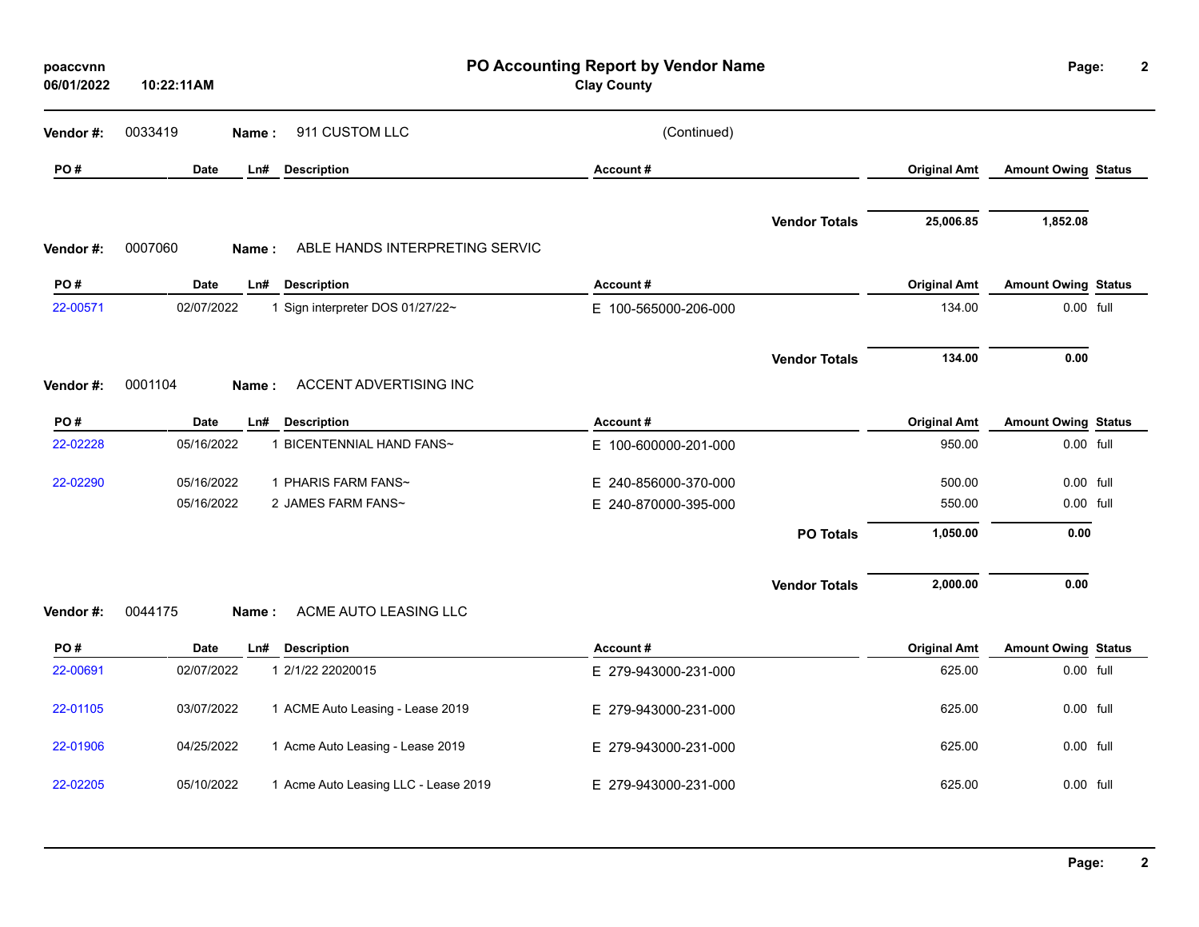| poaccvnn<br>06/01/2022 | 10:22:11AM  |                                         | PO Accounting Report by Vendor Name<br><b>Clay County</b> |                      |                     | Page:                      | $\mathbf{2}$ |
|------------------------|-------------|-----------------------------------------|-----------------------------------------------------------|----------------------|---------------------|----------------------------|--------------|
| Vendor#:               | 0033419     | 911 CUSTOM LLC<br>Name:                 | (Continued)                                               |                      |                     |                            |              |
| PO#                    | <b>Date</b> | <b>Description</b><br>Ln#               | Account#                                                  |                      | <b>Original Amt</b> | <b>Amount Owing Status</b> |              |
| Vendor#:               | 0007060     | ABLE HANDS INTERPRETING SERVIC<br>Name: |                                                           | <b>Vendor Totals</b> | 25,006.85           | 1,852.08                   |              |
| PO#                    | Date        | Ln#<br><b>Description</b>               | Account#                                                  |                      | <b>Original Amt</b> | <b>Amount Owing Status</b> |              |
| 22-00571               | 02/07/2022  | 1 Sign interpreter DOS 01/27/22~        | E 100-565000-206-000                                      |                      | 134.00              | 0.00 full                  |              |
|                        |             |                                         |                                                           | <b>Vendor Totals</b> | 134.00              | 0.00                       |              |
| Vendor#:               | 0001104     | ACCENT ADVERTISING INC<br>Name:         |                                                           |                      |                     |                            |              |
| PO#                    | Date        | <b>Description</b><br>Ln#               | Account#                                                  |                      | <b>Original Amt</b> | <b>Amount Owing Status</b> |              |
| 22-02228               | 05/16/2022  | 1 BICENTENNIAL HAND FANS~               | E 100-600000-201-000                                      |                      | 950.00              | 0.00 full                  |              |
| 22-02290               | 05/16/2022  | 1 PHARIS FARM FANS~                     | E 240-856000-370-000                                      |                      | 500.00              | $0.00$ full                |              |
|                        | 05/16/2022  | 2 JAMES FARM FANS~                      | E 240-870000-395-000                                      |                      | 550.00              | 0.00 full                  |              |
|                        |             |                                         |                                                           | <b>PO Totals</b>     | 1,050.00            | 0.00                       |              |
|                        |             |                                         |                                                           | <b>Vendor Totals</b> | 2,000.00            | 0.00                       |              |
| Vendor#:               | 0044175     | ACME AUTO LEASING LLC<br>Name:          |                                                           |                      |                     |                            |              |
| PO#                    | <b>Date</b> | Ln#<br><b>Description</b>               | Account#                                                  |                      | <b>Original Amt</b> | <b>Amount Owing Status</b> |              |
| 22-00691               | 02/07/2022  | 1 2/1/22 22020015                       | E 279-943000-231-000                                      |                      | 625.00              | 0.00 full                  |              |
| 22-01105               | 03/07/2022  | 1 ACME Auto Leasing - Lease 2019        | E 279-943000-231-000                                      |                      | 625.00              | 0.00 full                  |              |
| 22-01906               | 04/25/2022  | 1 Acme Auto Leasing - Lease 2019        | E 279-943000-231-000                                      |                      | 625.00              | 0.00 full                  |              |
| 22-02205               | 05/10/2022  | 1 Acme Auto Leasing LLC - Lease 2019    | E 279-943000-231-000                                      |                      | 625.00              | $0.00$ full                |              |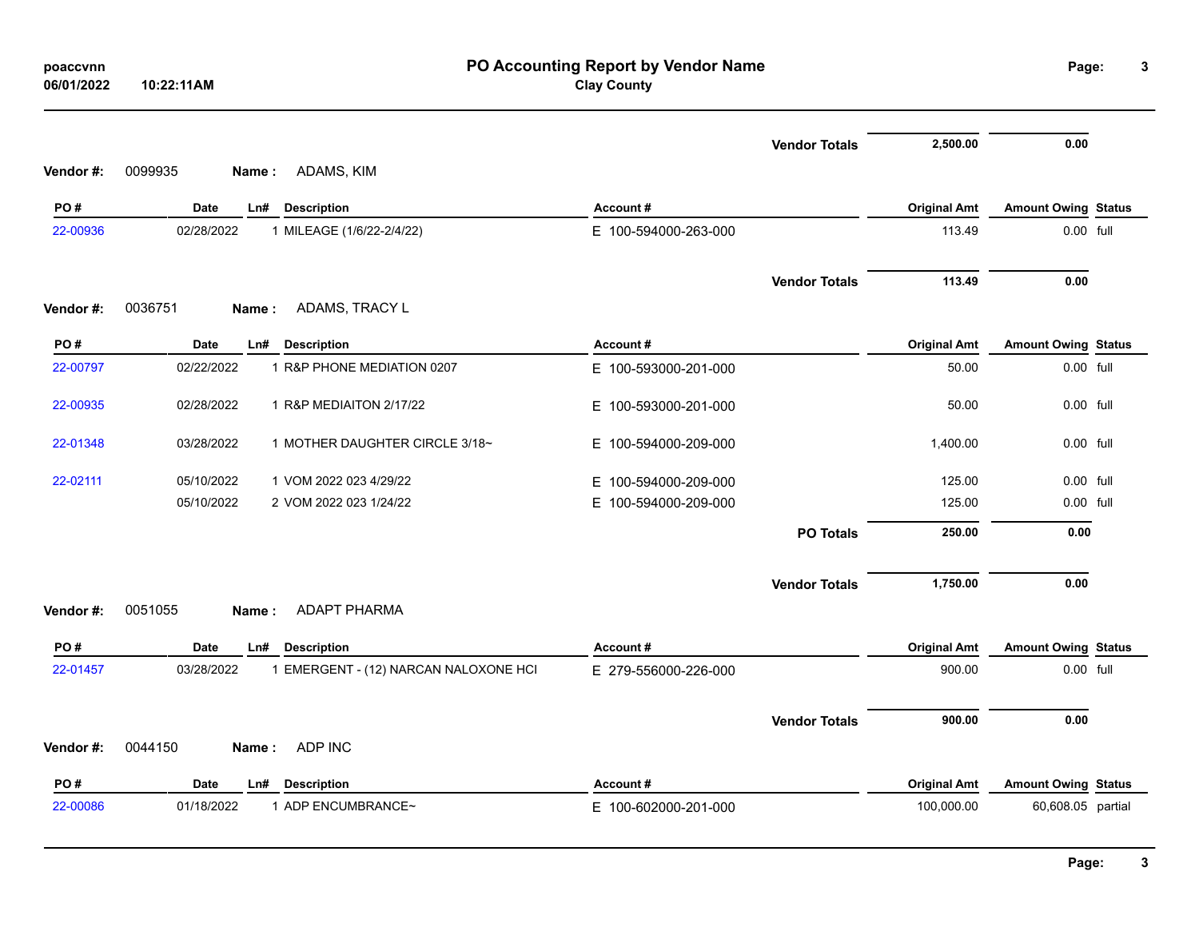| 06/01/2022      | 10:22:11AM                                                            | <b>Clay County</b>               |                      |                                   |                                                 |  |
|-----------------|-----------------------------------------------------------------------|----------------------------------|----------------------|-----------------------------------|-------------------------------------------------|--|
|                 |                                                                       |                                  | <b>Vendor Totals</b> | 2,500.00                          | 0.00                                            |  |
| Vendor#:        | ADAMS, KIM<br>0099935<br>Name:                                        |                                  |                      |                                   |                                                 |  |
| PO#             | Date<br><b>Description</b><br>Ln#                                     | Account#                         |                      | <b>Original Amt</b>               | <b>Amount Owing Status</b>                      |  |
| 22-00936        | 02/28/2022<br>1 MILEAGE (1/6/22-2/4/22)                               | E 100-594000-263-000             |                      | 113.49                            | 0.00 full                                       |  |
|                 |                                                                       |                                  | <b>Vendor Totals</b> | 113.49                            | 0.00                                            |  |
| Vendor#:        | 0036751<br>ADAMS, TRACY L<br>Name:                                    |                                  |                      |                                   |                                                 |  |
| PO#             | Date<br><b>Description</b><br>Ln#                                     | Account#                         |                      | <b>Original Amt</b>               | <b>Amount Owing Status</b>                      |  |
| 22-00797        | 1 R&P PHONE MEDIATION 0207<br>02/22/2022                              | E 100-593000-201-000             |                      | 50.00                             | 0.00 full                                       |  |
| 22-00935        | 1 R&P MEDIAITON 2/17/22<br>02/28/2022                                 | E 100-593000-201-000             |                      | 50.00                             | 0.00 full                                       |  |
| 22-01348        | 03/28/2022<br>1 MOTHER DAUGHTER CIRCLE 3/18~                          | E 100-594000-209-000             |                      | 1,400.00                          | 0.00 full                                       |  |
| 22-02111        | 05/10/2022<br>1 VOM 2022 023 4/29/22                                  | E 100-594000-209-000             |                      | 125.00                            | 0.00 full                                       |  |
|                 | 05/10/2022<br>2 VOM 2022 023 1/24/22                                  | E 100-594000-209-000             |                      | 125.00                            | 0.00 full                                       |  |
|                 |                                                                       |                                  | <b>PO Totals</b>     | 250.00                            | 0.00                                            |  |
|                 |                                                                       |                                  | <b>Vendor Totals</b> | 1,750.00                          | 0.00                                            |  |
| Vendor #:       | <b>ADAPT PHARMA</b><br>0051055<br>Name:                               |                                  |                      |                                   |                                                 |  |
| PO#             | Date<br><b>Description</b><br>Ln#                                     | Account#                         |                      | <b>Original Amt</b>               | <b>Amount Owing Status</b>                      |  |
| 22-01457        | 03/28/2022<br>1 EMERGENT - (12) NARCAN NALOXONE HCI                   | E 279-556000-226-000             |                      | 900.00                            | 0.00 full                                       |  |
| Vendor#:        | ADP INC<br>0044150<br>Name :                                          |                                  | <b>Vendor Totals</b> | 900.00                            | 0.00                                            |  |
|                 |                                                                       |                                  |                      |                                   |                                                 |  |
| PO#<br>22-00086 | Date<br>Ln#<br><b>Description</b><br>1 ADP ENCUMBRANCE~<br>01/18/2022 | Account#<br>E 100-602000-201-000 |                      | <b>Original Amt</b><br>100,000.00 | <b>Amount Owing Status</b><br>60,608.05 partial |  |
|                 |                                                                       |                                  |                      |                                   |                                                 |  |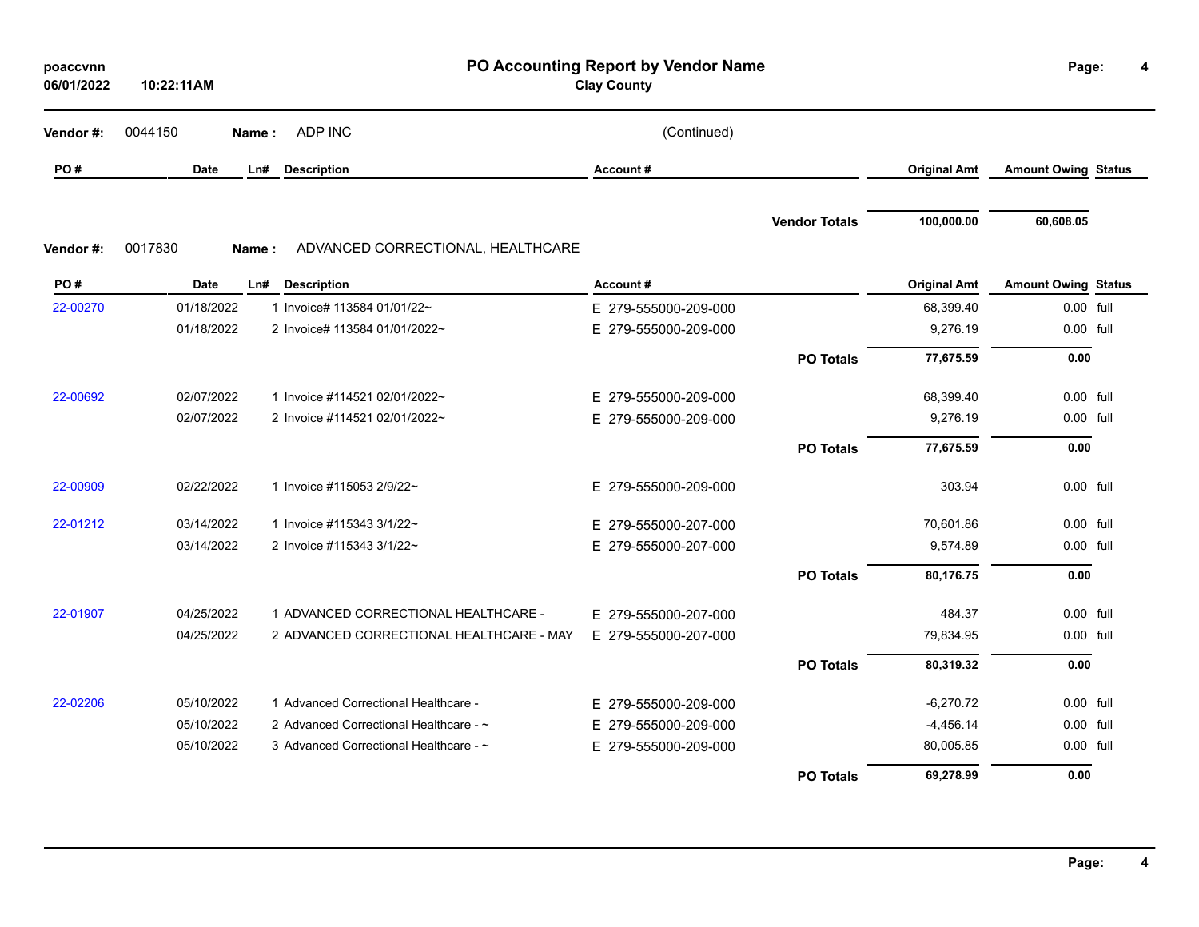| poaccvnn<br>06/01/2022 | PO Accounting Report by Vendor Name<br><b>Clay County</b><br>10:22:11AM |                                          |                      |                      |                     | Page:                      |  |
|------------------------|-------------------------------------------------------------------------|------------------------------------------|----------------------|----------------------|---------------------|----------------------------|--|
| Vendor#:               | 0044150                                                                 | ADP INC<br>Name:                         | (Continued)          |                      |                     |                            |  |
| PO#                    | Date                                                                    | <b>Description</b><br>Ln#                | Account#             |                      | <b>Original Amt</b> | <b>Amount Owing Status</b> |  |
| Vendor#:               | 0017830<br>Name:                                                        | ADVANCED CORRECTIONAL, HEALTHCARE        |                      | <b>Vendor Totals</b> | 100,000.00          | 60,608.05                  |  |
| PO#                    | Date                                                                    | Ln#<br><b>Description</b>                | Account#             |                      | <b>Original Amt</b> | <b>Amount Owing Status</b> |  |
| 22-00270               | 01/18/2022                                                              | 1 Invoice# 113584 01/01/22~              | E 279-555000-209-000 |                      | 68,399.40           | 0.00 full                  |  |
|                        | 01/18/2022                                                              | 2 Invoice# 113584 01/01/2022~            | E 279-555000-209-000 |                      | 9,276.19            | 0.00 full                  |  |
|                        |                                                                         |                                          |                      | <b>PO Totals</b>     | 77,675.59           | 0.00                       |  |
| 22-00692               | 02/07/2022                                                              | 1 Invoice #114521 02/01/2022~            | E 279-555000-209-000 |                      | 68,399.40           | 0.00 full                  |  |
|                        | 02/07/2022                                                              | 2 Invoice #114521 02/01/2022~            | E 279-555000-209-000 |                      | 9,276.19            | 0.00 full                  |  |
|                        |                                                                         |                                          |                      | <b>PO Totals</b>     | 77,675.59           | 0.00                       |  |
| 22-00909               | 02/22/2022                                                              | 1 Invoice #115053 2/9/22~                | E 279-555000-209-000 |                      | 303.94              | 0.00 full                  |  |
| 22-01212               | 03/14/2022                                                              | 1 Invoice #115343 3/1/22~                | E 279-555000-207-000 |                      | 70,601.86           | 0.00 full                  |  |
|                        | 03/14/2022                                                              | 2 Invoice #115343 3/1/22~                | E 279-555000-207-000 |                      | 9,574.89            | 0.00 full                  |  |
|                        |                                                                         |                                          |                      | <b>PO Totals</b>     | 80,176.75           | 0.00                       |  |
| 22-01907               | 04/25/2022                                                              | 1 ADVANCED CORRECTIONAL HEALTHCARE -     | E 279-555000-207-000 |                      | 484.37              | 0.00 full                  |  |
|                        | 04/25/2022                                                              | 2 ADVANCED CORRECTIONAL HEALTHCARE - MAY | E 279-555000-207-000 |                      | 79,834.95           | 0.00 full                  |  |
|                        |                                                                         |                                          |                      | <b>PO Totals</b>     | 80,319.32           | 0.00                       |  |
| 22-02206               | 05/10/2022                                                              | 1 Advanced Correctional Healthcare -     | E 279-555000-209-000 |                      | $-6,270.72$         | 0.00 full                  |  |
|                        | 05/10/2022                                                              | 2 Advanced Correctional Healthcare - ~   | E 279-555000-209-000 |                      | $-4,456.14$         | 0.00 full                  |  |
|                        | 05/10/2022                                                              | 3 Advanced Correctional Healthcare - ~   | E 279-555000-209-000 |                      | 80,005.85           | 0.00 full                  |  |
|                        |                                                                         |                                          |                      | <b>PO Totals</b>     | 69,278.99           | 0.00                       |  |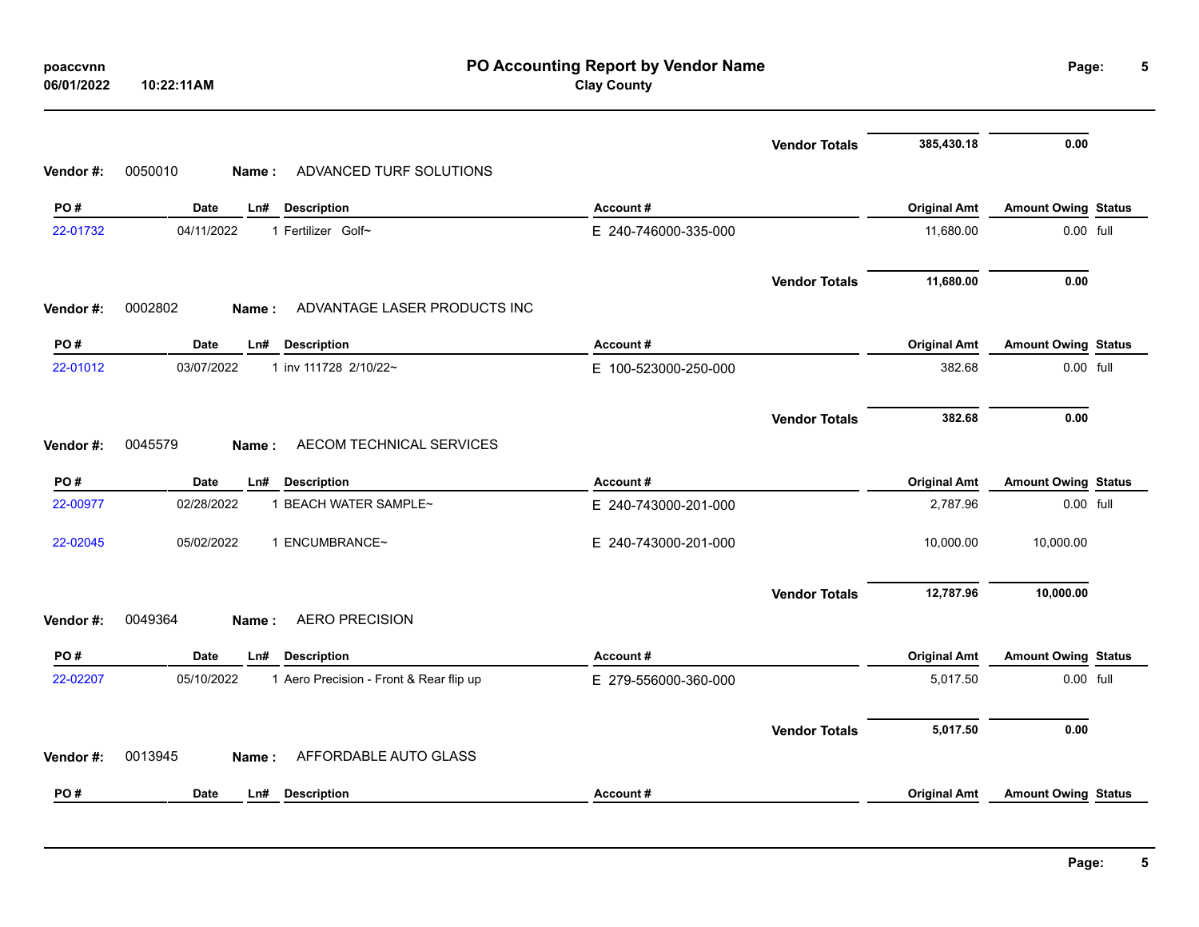| 06/01/2022 | PO Accounting Report by Vendor Name<br><b>Clay County</b><br>10:22:11AM |                      |                     |                            |  |  |  |
|------------|-------------------------------------------------------------------------|----------------------|---------------------|----------------------------|--|--|--|
|            |                                                                         | <b>Vendor Totals</b> | 385,430.18          | 0.00                       |  |  |  |
| Vendor#:   | ADVANCED TURF SOLUTIONS<br>0050010<br>Name:                             |                      |                     |                            |  |  |  |
| PO#        | Date<br>Ln#<br><b>Description</b>                                       | Account#             | <b>Original Amt</b> | <b>Amount Owing Status</b> |  |  |  |
| 22-01732   | 04/11/2022<br>1 Fertilizer Golf~                                        | E 240-746000-335-000 | 11,680.00           | 0.00 full                  |  |  |  |
|            |                                                                         | <b>Vendor Totals</b> | 11,680.00           | 0.00                       |  |  |  |
| Vendor#:   | 0002802<br>ADVANTAGE LASER PRODUCTS INC<br>Name:                        |                      |                     |                            |  |  |  |
| PO#        | <b>Date</b><br>Ln#<br><b>Description</b>                                | Account#             | <b>Original Amt</b> | <b>Amount Owing Status</b> |  |  |  |
| 22-01012   | 03/07/2022<br>1 inv 111728 2/10/22~                                     | E 100-523000-250-000 | 382.68              | 0.00 full                  |  |  |  |
|            |                                                                         | <b>Vendor Totals</b> | 382.68              | 0.00                       |  |  |  |
| Vendor#:   | 0045579<br>AECOM TECHNICAL SERVICES<br><b>Name:</b>                     |                      |                     |                            |  |  |  |
|            |                                                                         |                      |                     |                            |  |  |  |
| PO#        | Date<br>Ln# Description                                                 | Account#             | <b>Original Amt</b> | <b>Amount Owing Status</b> |  |  |  |
| 22-00977   | 02/28/2022<br>1 BEACH WATER SAMPLE~                                     | E 240-743000-201-000 | 2,787.96            | 0.00 full                  |  |  |  |
| 22-02045   | 05/02/2022<br>1 ENCUMBRANCE~                                            | E 240-743000-201-000 | 10,000.00           | 10,000.00                  |  |  |  |
|            |                                                                         | <b>Vendor Totals</b> | 12,787.96           | 10,000.00                  |  |  |  |
| Vendor#:   | <b>AERO PRECISION</b><br>0049364<br>Name:                               |                      |                     |                            |  |  |  |
| PO#        | <b>Date</b><br><b>Description</b><br>Ln#                                | Account#             | <b>Original Amt</b> | <b>Amount Owing Status</b> |  |  |  |
| 22-02207   | 05/10/2022<br>1 Aero Precision - Front & Rear flip up                   | E 279-556000-360-000 | 5,017.50            | 0.00 full                  |  |  |  |
|            |                                                                         | <b>Vendor Totals</b> | 5,017.50            | 0.00                       |  |  |  |
| Vendor#:   | 0013945<br>AFFORDABLE AUTO GLASS<br>Name:                               |                      |                     |                            |  |  |  |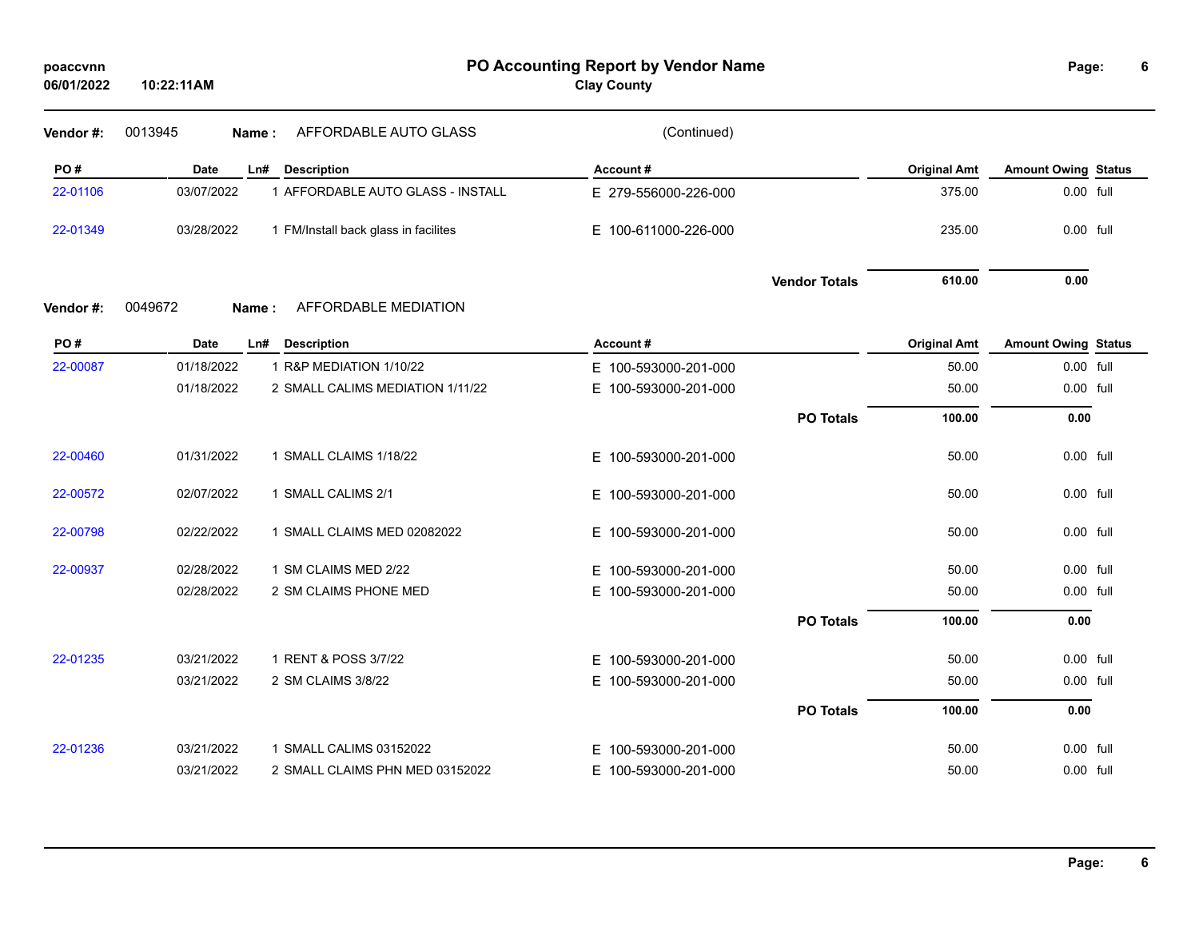| poaccvnn<br>06/01/2022 | 10:22:11AM  |                                      | PO Accounting Report by Vendor Name<br><b>Clay County</b> |                      |                     | Page:                      |           |
|------------------------|-------------|--------------------------------------|-----------------------------------------------------------|----------------------|---------------------|----------------------------|-----------|
| Vendor#:               | 0013945     | AFFORDABLE AUTO GLASS<br>Name:       | (Continued)                                               |                      |                     |                            |           |
| PO#                    | Date        | Ln# Description                      | Account#                                                  |                      | <b>Original Amt</b> | <b>Amount Owing Status</b> |           |
| 22-01106               | 03/07/2022  | 1 AFFORDABLE AUTO GLASS - INSTALL    | E 279-556000-226-000                                      |                      | 375.00              | $0.00$ full                |           |
| 22-01349               | 03/28/2022  | 1 FM/Install back glass in facilites | E 100-611000-226-000                                      |                      | 235.00              | 0.00 full                  |           |
|                        |             |                                      |                                                           | <b>Vendor Totals</b> | 610.00              | 0.00                       |           |
| Vendor#:               | 0049672     | AFFORDABLE MEDIATION<br>Name:        |                                                           |                      |                     |                            |           |
| PO#                    | <b>Date</b> | Ln# Description                      | Account#                                                  |                      | <b>Original Amt</b> | <b>Amount Owing Status</b> |           |
| 22-00087               | 01/18/2022  | 1 R&P MEDIATION 1/10/22              | E 100-593000-201-000                                      |                      | 50.00               | 0.00 full                  |           |
|                        | 01/18/2022  | 2 SMALL CALIMS MEDIATION 1/11/22     | 100-593000-201-000<br>E.                                  |                      | 50.00               |                            | 0.00 full |
|                        |             |                                      |                                                           | <b>PO Totals</b>     | 100.00              | 0.00                       |           |
| 22-00460               | 01/31/2022  | 1 SMALL CLAIMS 1/18/22               | E 100-593000-201-000                                      |                      | 50.00               | 0.00 full                  |           |
| 22-00572               | 02/07/2022  | 1 SMALL CALIMS 2/1                   | E 100-593000-201-000                                      |                      | 50.00               |                            | 0.00 full |
| 22-00798               | 02/22/2022  | 1 SMALL CLAIMS MED 02082022          | E.<br>100-593000-201-000                                  |                      | 50.00               | 0.00 full                  |           |
| 22-00937               | 02/28/2022  | 1 SM CLAIMS MED 2/22                 | E.<br>100-593000-201-000                                  |                      | 50.00               |                            | 0.00 full |
|                        | 02/28/2022  | 2 SM CLAIMS PHONE MED                | 100-593000-201-000<br>E.                                  |                      | 50.00               |                            | 0.00 full |
|                        |             |                                      |                                                           | <b>PO Totals</b>     | 100.00              | 0.00                       |           |
| 22-01235               | 03/21/2022  | 1 RENT & POSS 3/7/22                 | 100-593000-201-000<br>E.                                  |                      | 50.00               |                            | 0.00 full |
|                        | 03/21/2022  | 2 SM CLAIMS 3/8/22                   | E 100-593000-201-000                                      |                      | 50.00               | 0.00 full                  |           |
|                        |             |                                      |                                                           | <b>PO Totals</b>     | 100.00              | 0.00                       |           |
| 22-01236               | 03/21/2022  | 1 SMALL CALIMS 03152022              | 100-593000-201-000<br>E.                                  |                      | 50.00               |                            | 0.00 full |
|                        | 03/21/2022  | 2 SMALL CLAIMS PHN MED 03152022      | E 100-593000-201-000                                      |                      | 50.00               | 0.00 full                  |           |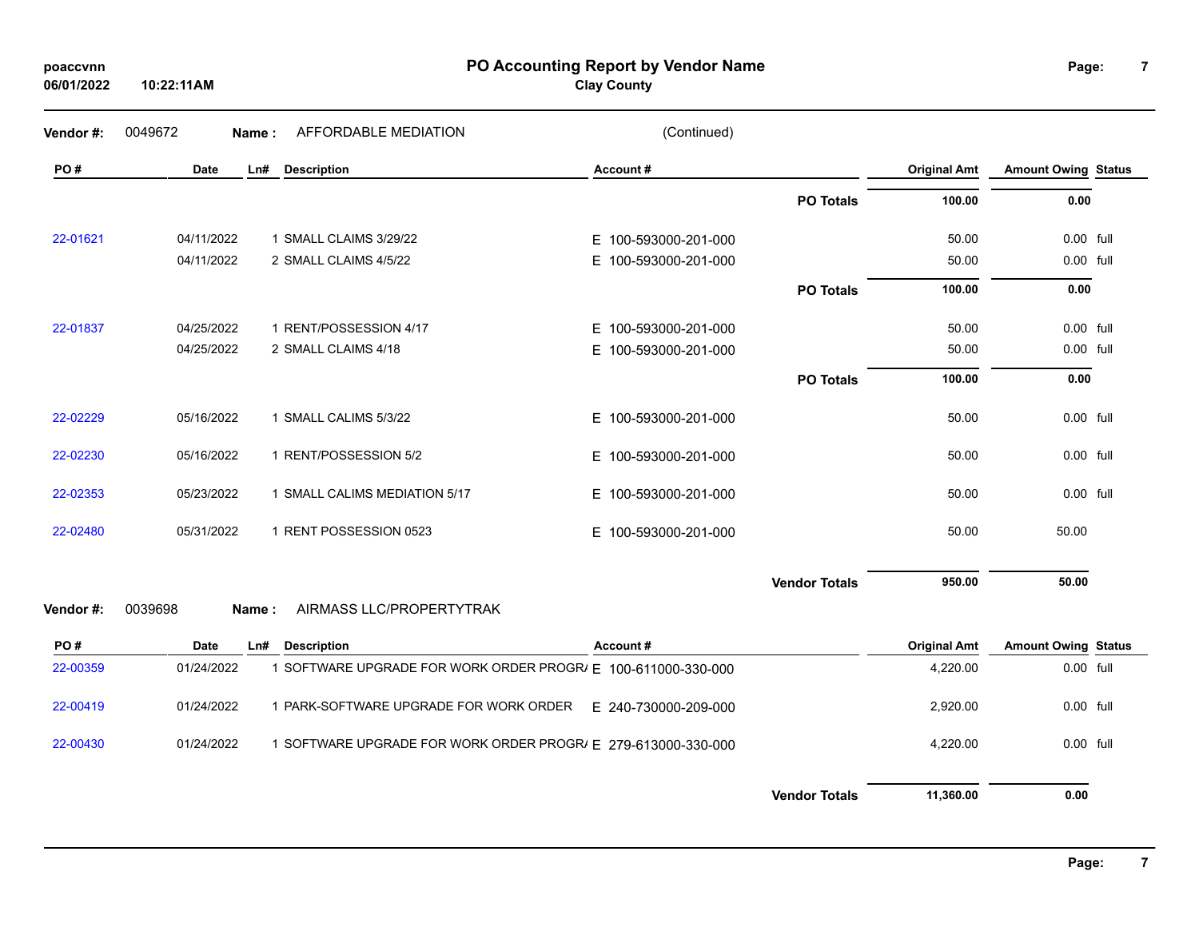| poaccvnn   |
|------------|
| 06/01/2022 |

**PO Accounting Report by Vendor Name poaccvnn Page:**

**Clay County**

**7**

| Vendor#: | 0049672     | Name: | AFFORDABLE MEDIATION          | (Continued)              |                      |                     |                            |  |
|----------|-------------|-------|-------------------------------|--------------------------|----------------------|---------------------|----------------------------|--|
| PO#      | <b>Date</b> | Ln#   | <b>Description</b>            | Account#                 |                      | <b>Original Amt</b> | <b>Amount Owing Status</b> |  |
|          |             |       |                               |                          | <b>PO Totals</b>     | 100.00              | 0.00                       |  |
| 22-01621 | 04/11/2022  |       | 1 SMALL CLAIMS 3/29/22        | E 100-593000-201-000     |                      | 50.00               | 0.00 full                  |  |
|          | 04/11/2022  |       | 2 SMALL CLAIMS 4/5/22         | 100-593000-201-000<br>E. |                      | 50.00               | 0.00 full                  |  |
|          |             |       |                               |                          | <b>PO Totals</b>     | 100.00              | 0.00                       |  |
| 22-01837 | 04/25/2022  |       | 1 RENT/POSSESSION 4/17        | E 100-593000-201-000     |                      | 50.00               | 0.00 full                  |  |
|          | 04/25/2022  |       | 2 SMALL CLAIMS 4/18           | E 100-593000-201-000     |                      | 50.00               | 0.00 full                  |  |
|          |             |       |                               |                          | <b>PO Totals</b>     | 100.00              | 0.00                       |  |
| 22-02229 | 05/16/2022  |       | 1 SMALL CALIMS 5/3/22         | E 100-593000-201-000     |                      | 50.00               | 0.00 full                  |  |
| 22-02230 | 05/16/2022  |       | 1 RENT/POSSESSION 5/2         | E 100-593000-201-000     |                      | 50.00               | 0.00 full                  |  |
| 22-02353 | 05/23/2022  |       | 1 SMALL CALIMS MEDIATION 5/17 | E 100-593000-201-000     |                      | 50.00               | 0.00 full                  |  |
| 22-02480 | 05/31/2022  |       | 1 RENT POSSESSION 0523        | E 100-593000-201-000     |                      | 50.00               | 50.00                      |  |
|          |             |       |                               |                          | <b>Vendor Totals</b> | 950.00              | 50.00                      |  |
| Vendor#: | 0039698     | Name: | AIRMASS LLC/PROPERTYTRAK      |                          |                      |                     |                            |  |

| PO#      | <b>Date</b> | Ln# | <b>Description</b>                                          | Account #            | <b>Original Amt</b> | <b>Amount Owing Status</b> |  |
|----------|-------------|-----|-------------------------------------------------------------|----------------------|---------------------|----------------------------|--|
| 22-00359 | 01/24/2022  |     | SOFTWARE UPGRADE FOR WORK ORDER PROGR/ E 100-611000-330-000 |                      | 4.220.00            | 0.00 full                  |  |
| 22-00419 | 01/24/2022  |     | PARK-SOFTWARE UPGRADE FOR WORK ORDER                        | E 240-730000-209-000 | 2.920.00            | 0.00 full                  |  |
| 22-00430 | 01/24/2022  |     | SOFTWARE UPGRADE FOR WORK ORDER PROGRI F 279-613000-330-000 |                      | 4.220.00            | 0.00 full                  |  |
|          |             |     |                                                             |                      |                     |                            |  |

**Vendor Totals 11,360.00 0.00**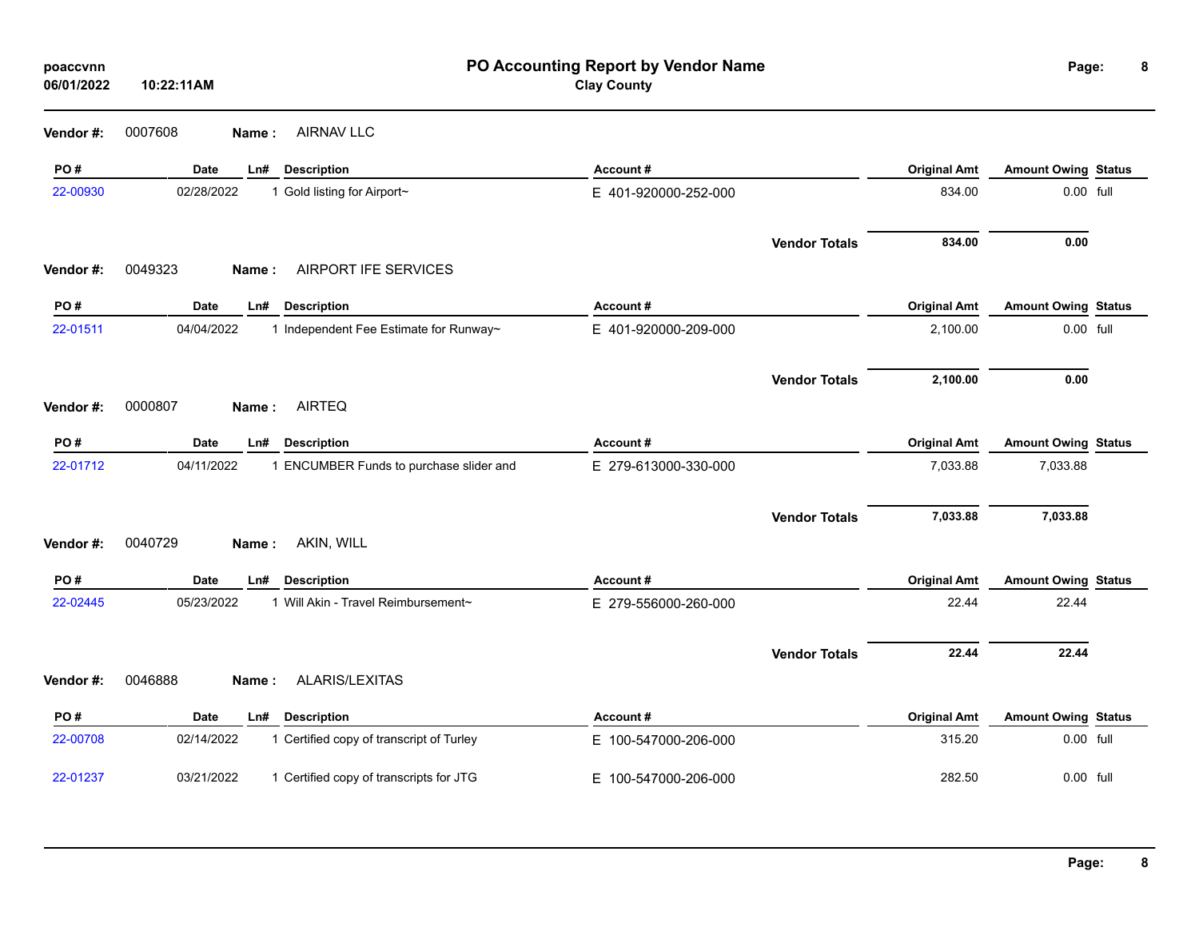| poaccvnn<br>06/01/2022 | 10:22:11AM                                             | PO Accounting Report by Vendor Name<br><b>Clay County</b> |                     | Page:                      | 8 |
|------------------------|--------------------------------------------------------|-----------------------------------------------------------|---------------------|----------------------------|---|
| Vendor#:               | 0007608<br><b>AIRNAV LLC</b><br>Name:                  |                                                           |                     |                            |   |
| PO#                    | <b>Date</b><br><b>Description</b><br>Ln#               | Account#                                                  | <b>Original Amt</b> | <b>Amount Owing Status</b> |   |
| 22-00930               | 02/28/2022<br>1 Gold listing for Airport~              | E 401-920000-252-000                                      | 834.00              | 0.00 full                  |   |
|                        |                                                        | <b>Vendor Totals</b>                                      | 834.00              | 0.00                       |   |
| Vendor#:               | 0049323<br>AIRPORT IFE SERVICES<br>Name:               |                                                           |                     |                            |   |
| PO#                    | <b>Date</b><br><b>Description</b><br>Ln#               | Account#                                                  | <b>Original Amt</b> | <b>Amount Owing Status</b> |   |
| 22-01511               | 04/04/2022<br>1 Independent Fee Estimate for Runway~   | E 401-920000-209-000                                      | 2,100.00            | 0.00 full                  |   |
|                        |                                                        | <b>Vendor Totals</b>                                      | 2,100.00            | 0.00                       |   |
| Vendor#:               | <b>AIRTEQ</b><br>0000807<br>Name:                      |                                                           |                     |                            |   |
| PO#                    | Date<br>Ln#<br><b>Description</b>                      | Account#                                                  | <b>Original Amt</b> | <b>Amount Owing Status</b> |   |
| 22-01712               | 04/11/2022<br>1 ENCUMBER Funds to purchase slider and  | E 279-613000-330-000                                      | 7,033.88            | 7,033.88                   |   |
|                        |                                                        | <b>Vendor Totals</b>                                      | 7,033.88            | 7,033.88                   |   |
| Vendor#:               | 0040729<br>AKIN, WILL<br>Name:                         |                                                           |                     |                            |   |
| PO#                    | <b>Date</b><br><b>Description</b><br>Ln#               | Account#                                                  | <b>Original Amt</b> | <b>Amount Owing Status</b> |   |
| 22-02445               | 1 Will Akin - Travel Reimbursement~<br>05/23/2022      | E 279-556000-260-000                                      | 22.44               | 22.44                      |   |
|                        |                                                        | <b>Vendor Totals</b>                                      | 22.44               | 22.44                      |   |
| Vendor#:               | ALARIS/LEXITAS<br>0046888<br>Name:                     |                                                           |                     |                            |   |
| PO#                    | <b>Date</b><br><b>Description</b><br>Ln#               | Account#                                                  | <b>Original Amt</b> | <b>Amount Owing Status</b> |   |
| 22-00708               | 1 Certified copy of transcript of Turley<br>02/14/2022 | E 100-547000-206-000                                      | 315.20              | 0.00 full                  |   |
| 22-01237               | 03/21/2022<br>1 Certified copy of transcripts for JTG  | E 100-547000-206-000                                      | 282.50              | 0.00 full                  |   |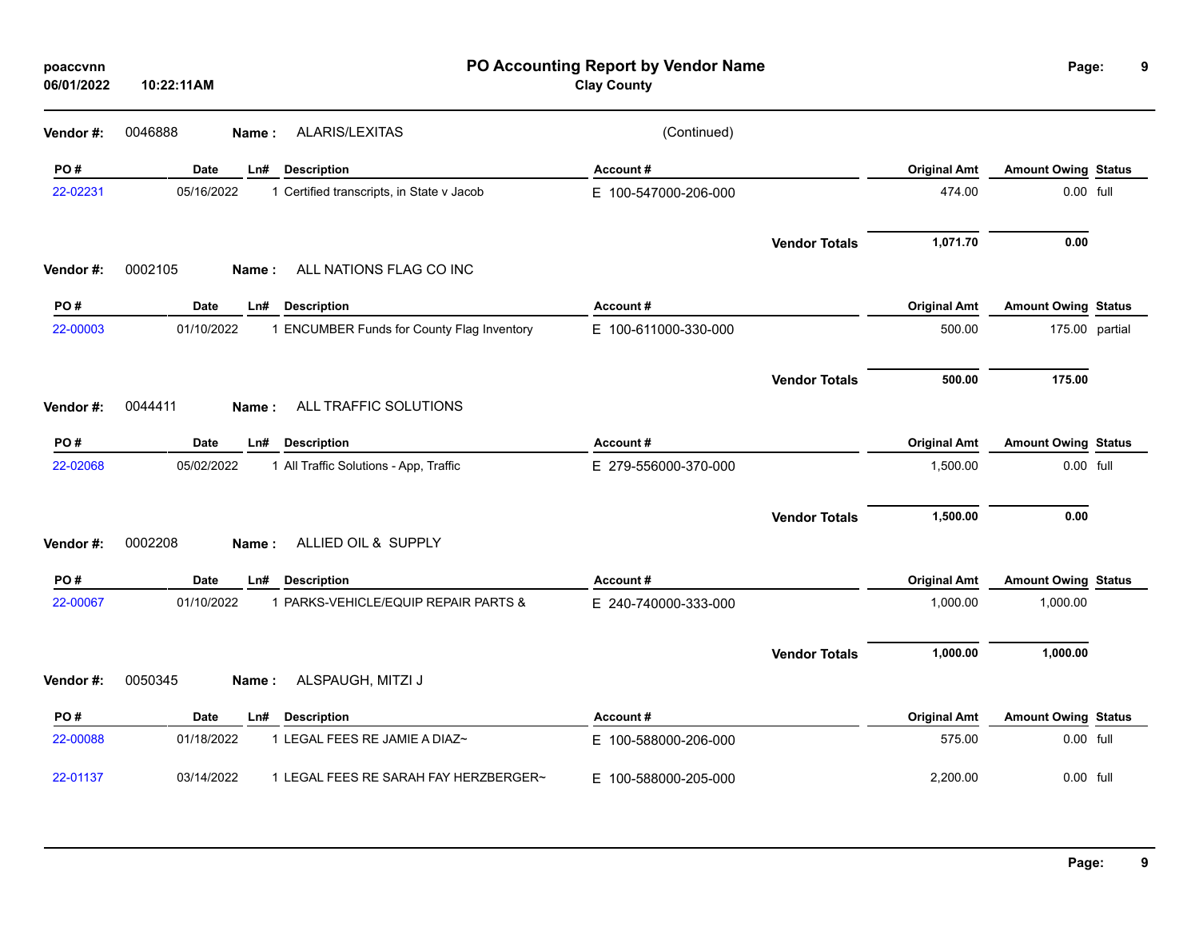| poaccvnn<br>06/01/2022 | 10:22:11AM  |                                            | PO Accounting Report by Vendor Name<br><b>Clay County</b> |                      |                     | Page:                      | 9              |
|------------------------|-------------|--------------------------------------------|-----------------------------------------------------------|----------------------|---------------------|----------------------------|----------------|
| Vendor #:              | 0046888     | <b>ALARIS/LEXITAS</b><br>Name:             | (Continued)                                               |                      |                     |                            |                |
| PO#                    | <b>Date</b> | <b>Description</b><br>Ln#                  | Account#                                                  |                      | <b>Original Amt</b> | <b>Amount Owing Status</b> |                |
| 22-02231               | 05/16/2022  | 1 Certified transcripts, in State v Jacob  | E 100-547000-206-000                                      |                      | 474.00              | 0.00 full                  |                |
| Vendor #:              | 0002105     | ALL NATIONS FLAG CO INC<br>Name:           |                                                           | <b>Vendor Totals</b> | 1,071.70            | 0.00                       |                |
| PO#                    | Date        | <b>Description</b><br>Ln#                  | Account#                                                  |                      | <b>Original Amt</b> | <b>Amount Owing Status</b> |                |
| 22-00003               | 01/10/2022  | 1 ENCUMBER Funds for County Flag Inventory | E 100-611000-330-000                                      |                      | 500.00              |                            | 175.00 partial |
|                        |             |                                            |                                                           | <b>Vendor Totals</b> | 500.00              | 175.00                     |                |
| Vendor #:              | 0044411     | ALL TRAFFIC SOLUTIONS<br>Name:             |                                                           |                      |                     |                            |                |
| PO#                    | Date        | Ln#<br><b>Description</b>                  | Account#                                                  |                      | <b>Original Amt</b> | <b>Amount Owing Status</b> |                |
| 22-02068               | 05/02/2022  | 1 All Traffic Solutions - App, Traffic     | E 279-556000-370-000                                      |                      | 1,500.00            | 0.00 full                  |                |
|                        |             |                                            |                                                           | <b>Vendor Totals</b> | 1,500.00            | 0.00                       |                |
| Vendor #:              | 0002208     | ALLIED OIL & SUPPLY<br>Name :              |                                                           |                      |                     |                            |                |
| PO#                    | Date        | Ln#<br><b>Description</b>                  | Account#                                                  |                      | <b>Original Amt</b> | <b>Amount Owing Status</b> |                |
| 22-00067               | 01/10/2022  | 1 PARKS-VEHICLE/EQUIP REPAIR PARTS &       | E 240-740000-333-000                                      |                      | 1,000.00            | 1,000.00                   |                |
|                        |             |                                            |                                                           | <b>Vendor Totals</b> | 1,000.00            | 1,000.00                   |                |
| Vendor #:              | 0050345     | ALSPAUGH, MITZI J<br>Name :                |                                                           |                      |                     |                            |                |
| PO#                    | Date        | <b>Description</b><br>Ln#                  | Account#                                                  |                      | <b>Original Amt</b> | <b>Amount Owing Status</b> |                |
| 22-00088               | 01/18/2022  | 1 LEGAL FEES RE JAMIE A DIAZ~              | E 100-588000-206-000                                      |                      | 575.00              | 0.00 full                  |                |
| 22-01137               | 03/14/2022  | 1 LEGAL FEES RE SARAH FAY HERZBERGER~      | E 100-588000-205-000                                      |                      | 2,200.00            | 0.00 full                  |                |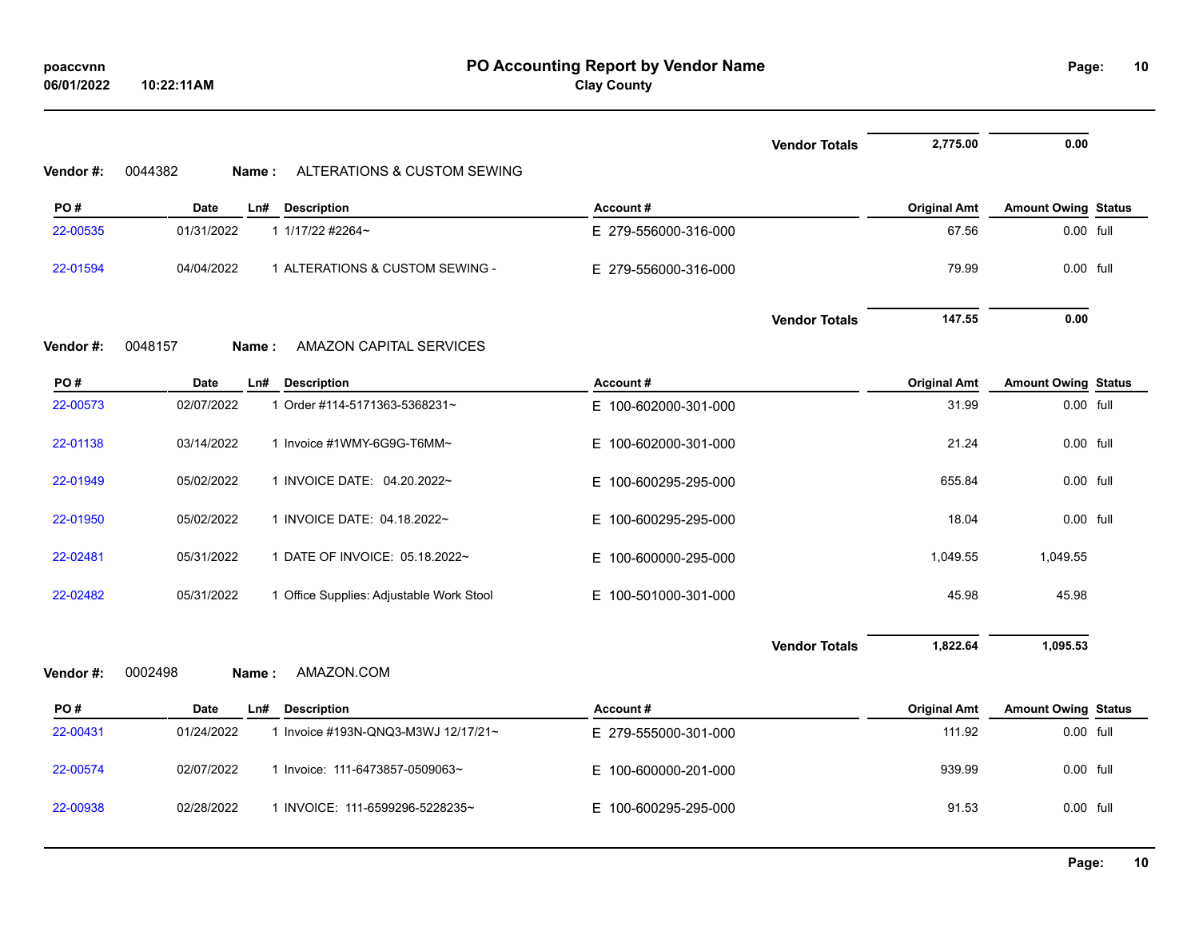|          |                                                        | <b>Vendor Totals</b>     | 2,775.00            | 0.00                       |  |
|----------|--------------------------------------------------------|--------------------------|---------------------|----------------------------|--|
| Vendor#: | ALTERATIONS & CUSTOM SEWING<br>0044382<br>Name:        |                          |                     |                            |  |
| PO#      | <b>Date</b><br>Ln#<br><b>Description</b>               | Account#                 | <b>Original Amt</b> | <b>Amount Owing Status</b> |  |
| 22-00535 | 01/31/2022<br>1 1/17/22 #2264~                         | E 279-556000-316-000     | 67.56               | 0.00 full                  |  |
| 22-01594 | 04/04/2022<br>1 ALTERATIONS & CUSTOM SEWING -          | E 279-556000-316-000     | 79.99               | 0.00 full                  |  |
|          |                                                        | <b>Vendor Totals</b>     | 147.55              | 0.00                       |  |
| Vendor#: | <b>AMAZON CAPITAL SERVICES</b><br>0048157<br>Name:     |                          |                     |                            |  |
| PO#      | <b>Date</b><br>Ln# Description                         | Account#                 | <b>Original Amt</b> | <b>Amount Owing Status</b> |  |
| 22-00573 | 02/07/2022<br>1 Order #114-5171363-5368231~            | E 100-602000-301-000     | 31.99               | 0.00 full                  |  |
| 22-01138 | 03/14/2022<br>1 Invoice #1WMY-6G9G-T6MM~               | E 100-602000-301-000     | 21.24               | $0.00$ full                |  |
| 22-01949 | 05/02/2022<br>1 INVOICE DATE: 04.20.2022~              | E.<br>100-600295-295-000 | 655.84              | 0.00 full                  |  |
| 22-01950 | 05/02/2022<br>1 INVOICE DATE: 04.18.2022~              | E.<br>100-600295-295-000 | 18.04               | 0.00 full                  |  |
| 22-02481 | 05/31/2022<br>1 DATE OF INVOICE: 05.18.2022~           | E.<br>100-600000-295-000 | 1,049.55            | 1,049.55                   |  |
| 22-02482 | 05/31/2022<br>1 Office Supplies: Adjustable Work Stool | E 100-501000-301-000     | 45.98               | 45.98                      |  |
|          |                                                        | <b>Vendor Totals</b>     | 1,822.64            | 1,095.53                   |  |
| Vendor#: | AMAZON.COM<br>0002498<br>Name:                         |                          |                     |                            |  |
| PO#      | <b>Date</b><br>Ln#<br><b>Description</b>               | Account#                 | <b>Original Amt</b> | <b>Amount Owing Status</b> |  |
| 22-00431 | 01/24/2022<br>1 Invoice #193N-QNQ3-M3WJ 12/17/21~      | E 279-555000-301-000     | 111.92              | 0.00 full                  |  |
| 22-00574 | 02/07/2022<br>1 Invoice: 111-6473857-0509063~          | E 100-600000-201-000     | 939.99              | 0.00 full                  |  |
| 22-00938 | 02/28/2022<br>1 INVOICE: 111-6599296-5228235~          | 100-600295-295-000<br>E. | 91.53               | $0.00$ full                |  |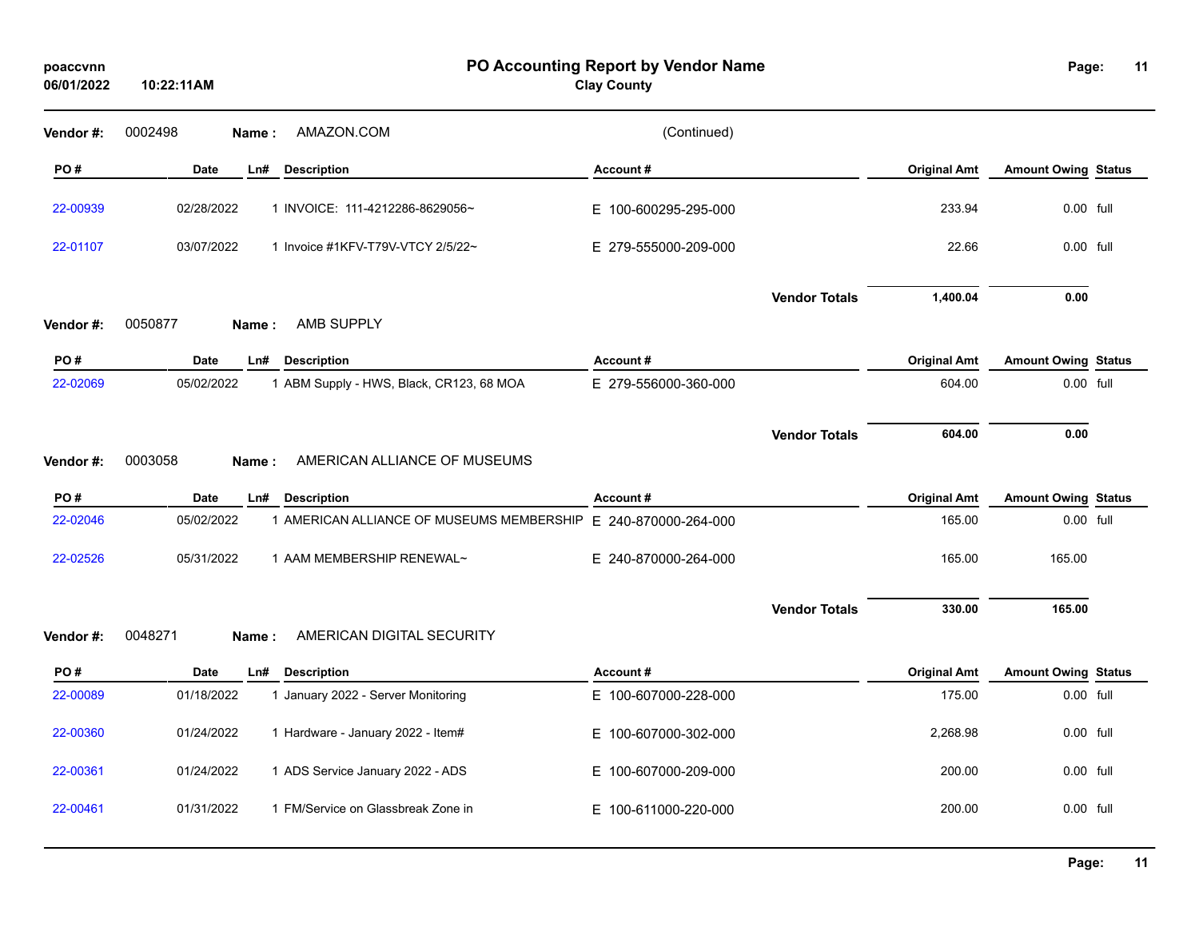| poaccvnn<br>06/01/2022 | 10:22:11AM        |                                           | PO Accounting Report by Vendor Name<br><b>Clay County</b> |                      |                     | Page:                      | 11 |
|------------------------|-------------------|-------------------------------------------|-----------------------------------------------------------|----------------------|---------------------|----------------------------|----|
| Vendor #:              | 0002498<br>Name:  | AMAZON.COM                                | (Continued)                                               |                      |                     |                            |    |
| PO#                    | <b>Date</b>       | Ln#<br><b>Description</b>                 | Account#                                                  |                      | <b>Original Amt</b> | <b>Amount Owing Status</b> |    |
| 22-00939               | 02/28/2022        | 1 INVOICE: 111-4212286-8629056~           | E 100-600295-295-000                                      |                      | 233.94              | $0.00$ full                |    |
| 22-01107               | 03/07/2022        | 1 Invoice #1KFV-T79V-VTCY 2/5/22~         | E 279-555000-209-000                                      |                      | 22.66               | 0.00 full                  |    |
|                        |                   |                                           |                                                           | <b>Vendor Totals</b> | 1,400.04            | 0.00                       |    |
| Vendor#:               | 0050877<br>Name : | AMB SUPPLY                                |                                                           |                      |                     |                            |    |
| PO#                    | Date              | Ln#<br><b>Description</b>                 | Account#                                                  |                      | <b>Original Amt</b> | <b>Amount Owing Status</b> |    |
| 22-02069               | 05/02/2022        | 1 ABM Supply - HWS, Black, CR123, 68 MOA  | E 279-556000-360-000                                      |                      | 604.00              | $0.00$ full                |    |
| Vendor#:               | 0003058<br>Name:  | AMERICAN ALLIANCE OF MUSEUMS              |                                                           | <b>Vendor Totals</b> | 604.00              | 0.00                       |    |
| PO#                    | <b>Date</b>       | <b>Description</b><br>Ln#                 | Account#                                                  |                      | <b>Original Amt</b> | <b>Amount Owing Status</b> |    |
| 22-02046               | 05/02/2022        | 1 AMERICAN ALLIANCE OF MUSEUMS MEMBERSHIP | E 240-870000-264-000                                      |                      | 165.00              | $0.00$ full                |    |
| 22-02526               | 05/31/2022        | 1 AAM MEMBERSHIP RENEWAL~                 | E 240-870000-264-000                                      |                      | 165.00              | 165.00                     |    |
|                        |                   |                                           |                                                           | <b>Vendor Totals</b> | 330.00              | 165.00                     |    |
| Vendor#:               | 0048271<br>Name:  | AMERICAN DIGITAL SECURITY                 |                                                           |                      |                     |                            |    |
| PO#                    | Date              | <b>Description</b><br>Ln#                 | Account#                                                  |                      | <b>Original Amt</b> | <b>Amount Owing Status</b> |    |
| 22-00089               | 01/18/2022        | 1 January 2022 - Server Monitoring        | E 100-607000-228-000                                      |                      | 175.00              | 0.00 full                  |    |
| 22-00360               | 01/24/2022        | 1 Hardware - January 2022 - Item#         | E 100-607000-302-000                                      |                      | 2,268.98            | $0.00$ full                |    |
| 22-00361               | 01/24/2022        | 1 ADS Service January 2022 - ADS          | E 100-607000-209-000                                      |                      | 200.00              | 0.00 full                  |    |
| 22-00461               | 01/31/2022        | 1 FM/Service on Glassbreak Zone in        | E 100-611000-220-000                                      |                      | 200.00              | 0.00 full                  |    |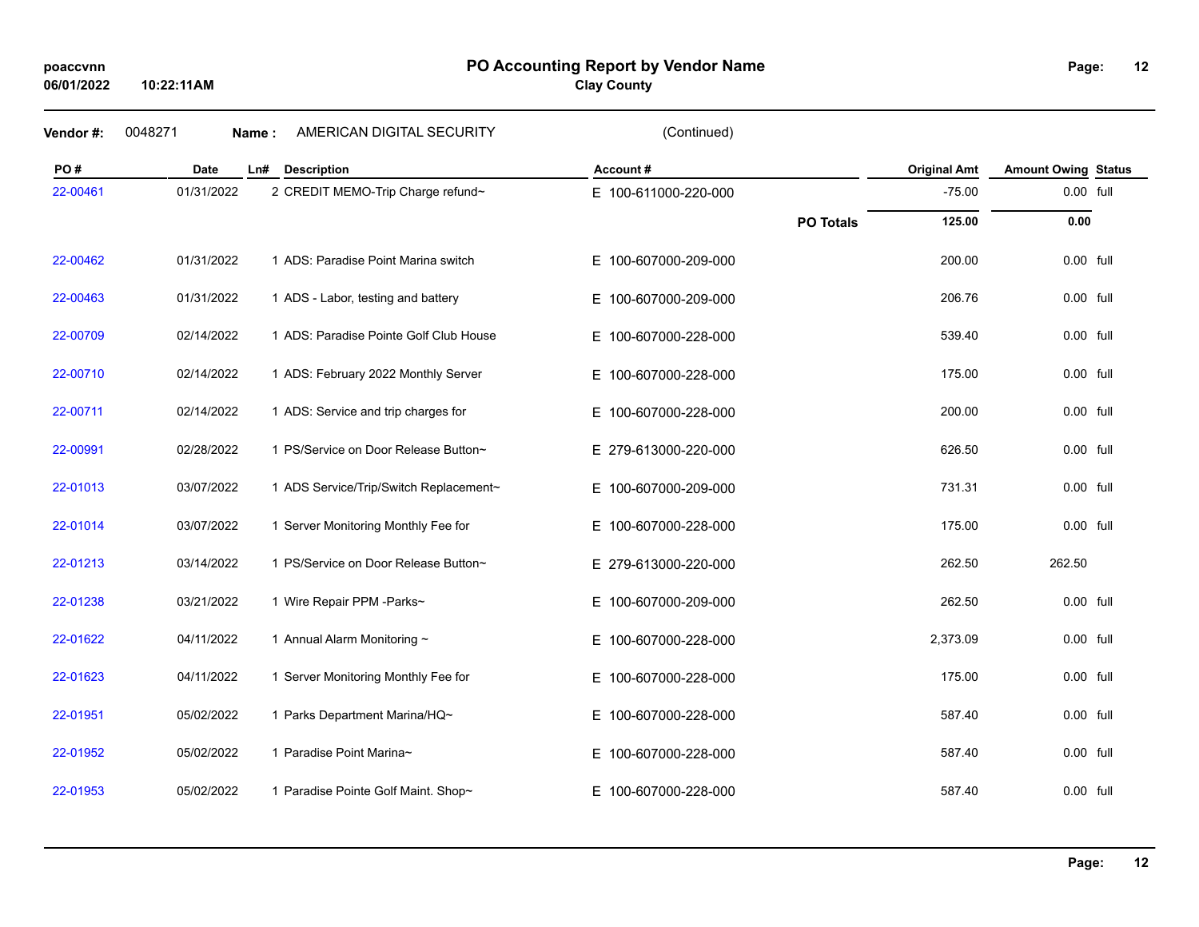### **PO Accounting Report by Vendor Name poaccvnn Page:**

**Clay County**

**Vendor #:** 0048271 **Name :** AMERICAN DIGITAL SECURITY (Continued)

| PO#      | <b>Date</b> | <b>Description</b><br>Ln#              | Account#                 |                  | <b>Original Amt</b> | <b>Amount Owing Status</b> |  |
|----------|-------------|----------------------------------------|--------------------------|------------------|---------------------|----------------------------|--|
| 22-00461 | 01/31/2022  | 2 CREDIT MEMO-Trip Charge refund~      | E 100-611000-220-000     |                  | $-75.00$            | 0.00 full                  |  |
|          |             |                                        |                          | <b>PO Totals</b> | 125.00              | 0.00                       |  |
| 22-00462 | 01/31/2022  | 1 ADS: Paradise Point Marina switch    | E 100-607000-209-000     |                  | 200.00              | 0.00 full                  |  |
| 22-00463 | 01/31/2022  | 1 ADS - Labor, testing and battery     | E 100-607000-209-000     |                  | 206.76              | 0.00 full                  |  |
| 22-00709 | 02/14/2022  | 1 ADS: Paradise Pointe Golf Club House | E 100-607000-228-000     |                  | 539.40              | 0.00 full                  |  |
| 22-00710 | 02/14/2022  | 1 ADS: February 2022 Monthly Server    | E 100-607000-228-000     |                  | 175.00              | 0.00 full                  |  |
| 22-00711 | 02/14/2022  | 1 ADS: Service and trip charges for    | E 100-607000-228-000     |                  | 200.00              | $0.00$ full                |  |
| 22-00991 | 02/28/2022  | 1 PS/Service on Door Release Button~   | E 279-613000-220-000     |                  | 626.50              | $0.00$ full                |  |
| 22-01013 | 03/07/2022  | 1 ADS Service/Trip/Switch Replacement~ | E 100-607000-209-000     |                  | 731.31              | 0.00 full                  |  |
| 22-01014 | 03/07/2022  | 1 Server Monitoring Monthly Fee for    | E 100-607000-228-000     |                  | 175.00              | 0.00 full                  |  |
| 22-01213 | 03/14/2022  | 1 PS/Service on Door Release Button~   | E 279-613000-220-000     |                  | 262.50              | 262.50                     |  |
| 22-01238 | 03/21/2022  | 1 Wire Repair PPM -Parks~              | E 100-607000-209-000     |                  | 262.50              | 0.00 full                  |  |
| 22-01622 | 04/11/2022  | 1 Annual Alarm Monitoring ~            | E 100-607000-228-000     |                  | 2,373.09            | 0.00 full                  |  |
| 22-01623 | 04/11/2022  | 1 Server Monitoring Monthly Fee for    | E 100-607000-228-000     |                  | 175.00              | 0.00 full                  |  |
| 22-01951 | 05/02/2022  | 1 Parks Department Marina/HQ~          | E 100-607000-228-000     |                  | 587.40              | 0.00 full                  |  |
| 22-01952 | 05/02/2022  | 1 Paradise Point Marina~               | 100-607000-228-000<br>E. |                  | 587.40              | 0.00 full                  |  |
| 22-01953 | 05/02/2022  | 1 Paradise Pointe Golf Maint. Shop~    | 100-607000-228-000<br>E. |                  | 587.40              | 0.00 full                  |  |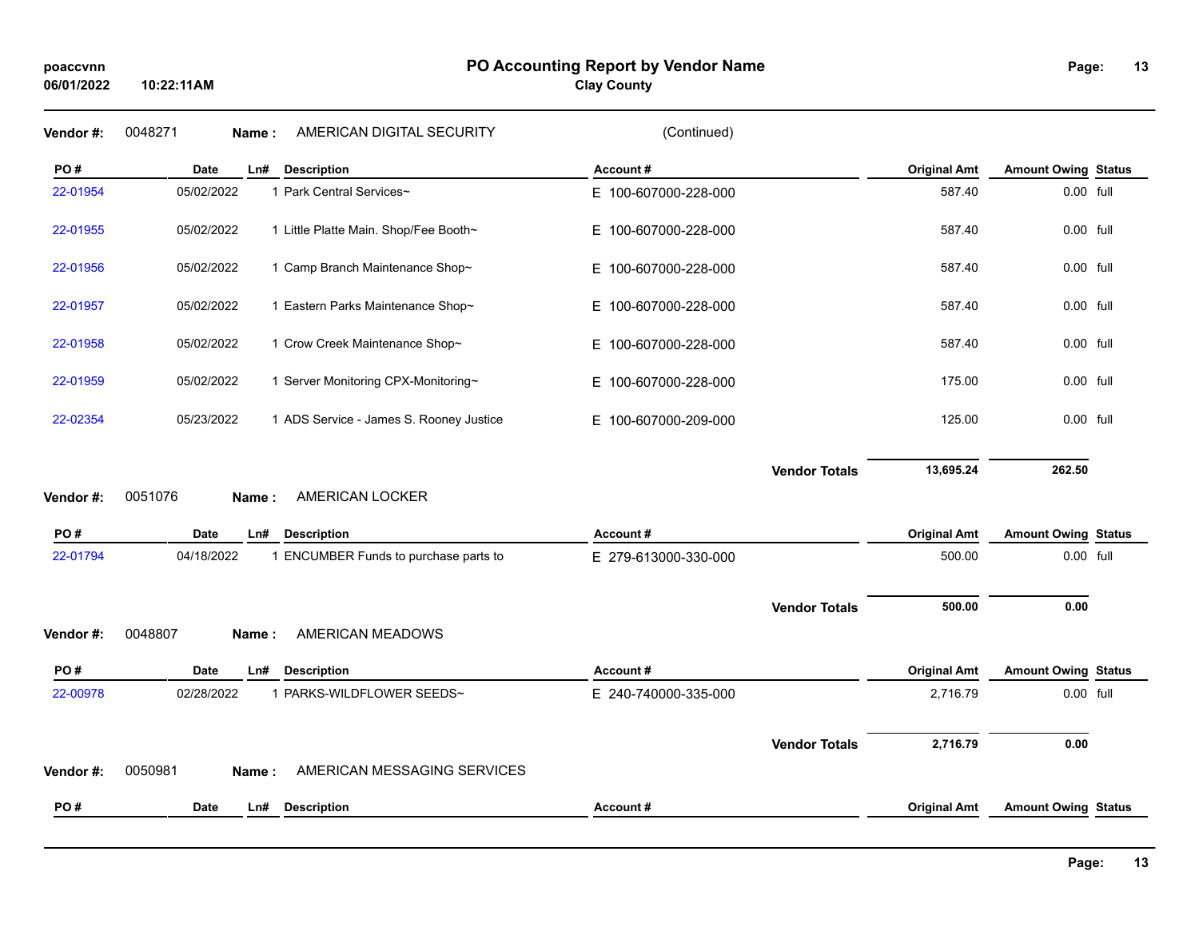| PO#<br><b>Date</b><br><b>Description</b><br>Account#<br><b>Original Amt</b><br>Ln#<br>05/02/2022<br>1 Park Central Services~<br>587.40<br>22-01954<br>E 100-607000-228-000<br>05/02/2022<br>1 Little Platte Main. Shop/Fee Booth~<br>587.40<br>22-01955<br>E 100-607000-228-000<br>05/02/2022<br>1 Camp Branch Maintenance Shop~<br>587.40<br>22-01956<br>E 100-607000-228-000<br>1 Eastern Parks Maintenance Shop~<br>587.40<br>22-01957<br>05/02/2022<br>E 100-607000-228-000<br>1 Crow Creek Maintenance Shop~<br>22-01958<br>05/02/2022<br>E 100-607000-228-000<br>587.40<br>175.00<br>22-01959<br>05/02/2022<br>1 Server Monitoring CPX-Monitoring~<br>E 100-607000-228-000<br>22-02354<br>05/23/2022<br>1 ADS Service - James S. Rooney Justice<br>125.00<br>E 100-607000-209-000<br>13,695.24<br><b>Vendor Totals</b><br>0051076<br>AMERICAN LOCKER<br>Vendor #:<br>Name:<br>PO#<br><b>Date</b><br><b>Description</b><br><b>Original Amt</b><br>Ln#<br>Account#<br>22-01794<br>04/18/2022<br>1 ENCUMBER Funds to purchase parts to<br>E 279-613000-330-000<br>500.00 | <b>Amount Owing Status</b><br>0.00 full<br>0.00 full<br>$0.00$ full<br>$0.00$ full<br>0.00 full<br>0.00 full<br>0.00 full<br>262.50 |  |
|-----------------------------------------------------------------------------------------------------------------------------------------------------------------------------------------------------------------------------------------------------------------------------------------------------------------------------------------------------------------------------------------------------------------------------------------------------------------------------------------------------------------------------------------------------------------------------------------------------------------------------------------------------------------------------------------------------------------------------------------------------------------------------------------------------------------------------------------------------------------------------------------------------------------------------------------------------------------------------------------------------------------------------------------------------------------------------|-------------------------------------------------------------------------------------------------------------------------------------|--|
|                                                                                                                                                                                                                                                                                                                                                                                                                                                                                                                                                                                                                                                                                                                                                                                                                                                                                                                                                                                                                                                                             |                                                                                                                                     |  |
|                                                                                                                                                                                                                                                                                                                                                                                                                                                                                                                                                                                                                                                                                                                                                                                                                                                                                                                                                                                                                                                                             |                                                                                                                                     |  |
|                                                                                                                                                                                                                                                                                                                                                                                                                                                                                                                                                                                                                                                                                                                                                                                                                                                                                                                                                                                                                                                                             |                                                                                                                                     |  |
|                                                                                                                                                                                                                                                                                                                                                                                                                                                                                                                                                                                                                                                                                                                                                                                                                                                                                                                                                                                                                                                                             |                                                                                                                                     |  |
|                                                                                                                                                                                                                                                                                                                                                                                                                                                                                                                                                                                                                                                                                                                                                                                                                                                                                                                                                                                                                                                                             |                                                                                                                                     |  |
|                                                                                                                                                                                                                                                                                                                                                                                                                                                                                                                                                                                                                                                                                                                                                                                                                                                                                                                                                                                                                                                                             |                                                                                                                                     |  |
|                                                                                                                                                                                                                                                                                                                                                                                                                                                                                                                                                                                                                                                                                                                                                                                                                                                                                                                                                                                                                                                                             |                                                                                                                                     |  |
|                                                                                                                                                                                                                                                                                                                                                                                                                                                                                                                                                                                                                                                                                                                                                                                                                                                                                                                                                                                                                                                                             |                                                                                                                                     |  |
|                                                                                                                                                                                                                                                                                                                                                                                                                                                                                                                                                                                                                                                                                                                                                                                                                                                                                                                                                                                                                                                                             |                                                                                                                                     |  |
|                                                                                                                                                                                                                                                                                                                                                                                                                                                                                                                                                                                                                                                                                                                                                                                                                                                                                                                                                                                                                                                                             | <b>Amount Owing Status</b>                                                                                                          |  |
|                                                                                                                                                                                                                                                                                                                                                                                                                                                                                                                                                                                                                                                                                                                                                                                                                                                                                                                                                                                                                                                                             | 0.00 full                                                                                                                           |  |
| 500.00<br><b>Vendor Totals</b>                                                                                                                                                                                                                                                                                                                                                                                                                                                                                                                                                                                                                                                                                                                                                                                                                                                                                                                                                                                                                                              | 0.00                                                                                                                                |  |
| 0048807<br>AMERICAN MEADOWS<br>Vendor #:<br>Name:                                                                                                                                                                                                                                                                                                                                                                                                                                                                                                                                                                                                                                                                                                                                                                                                                                                                                                                                                                                                                           |                                                                                                                                     |  |
| PO#<br><b>Original Amt</b><br><b>Date</b><br><b>Description</b><br>Account#<br>Ln#                                                                                                                                                                                                                                                                                                                                                                                                                                                                                                                                                                                                                                                                                                                                                                                                                                                                                                                                                                                          | <b>Amount Owing Status</b>                                                                                                          |  |
| 22-00978<br>02/28/2022<br>1 PARKS-WILDFLOWER SEEDS~<br>E 240-740000-335-000<br>2,716.79                                                                                                                                                                                                                                                                                                                                                                                                                                                                                                                                                                                                                                                                                                                                                                                                                                                                                                                                                                                     | 0.00 full                                                                                                                           |  |
| 2,716.79<br><b>Vendor Totals</b><br>AMERICAN MESSAGING SERVICES<br>0050981<br>Vendor #:<br>Name:                                                                                                                                                                                                                                                                                                                                                                                                                                                                                                                                                                                                                                                                                                                                                                                                                                                                                                                                                                            | 0.00                                                                                                                                |  |
|                                                                                                                                                                                                                                                                                                                                                                                                                                                                                                                                                                                                                                                                                                                                                                                                                                                                                                                                                                                                                                                                             |                                                                                                                                     |  |
| PO#<br>Date<br><b>Description</b><br>Account#<br><b>Original Amt</b><br>Ln#<br><b>Amount Owing Status</b>                                                                                                                                                                                                                                                                                                                                                                                                                                                                                                                                                                                                                                                                                                                                                                                                                                                                                                                                                                   |                                                                                                                                     |  |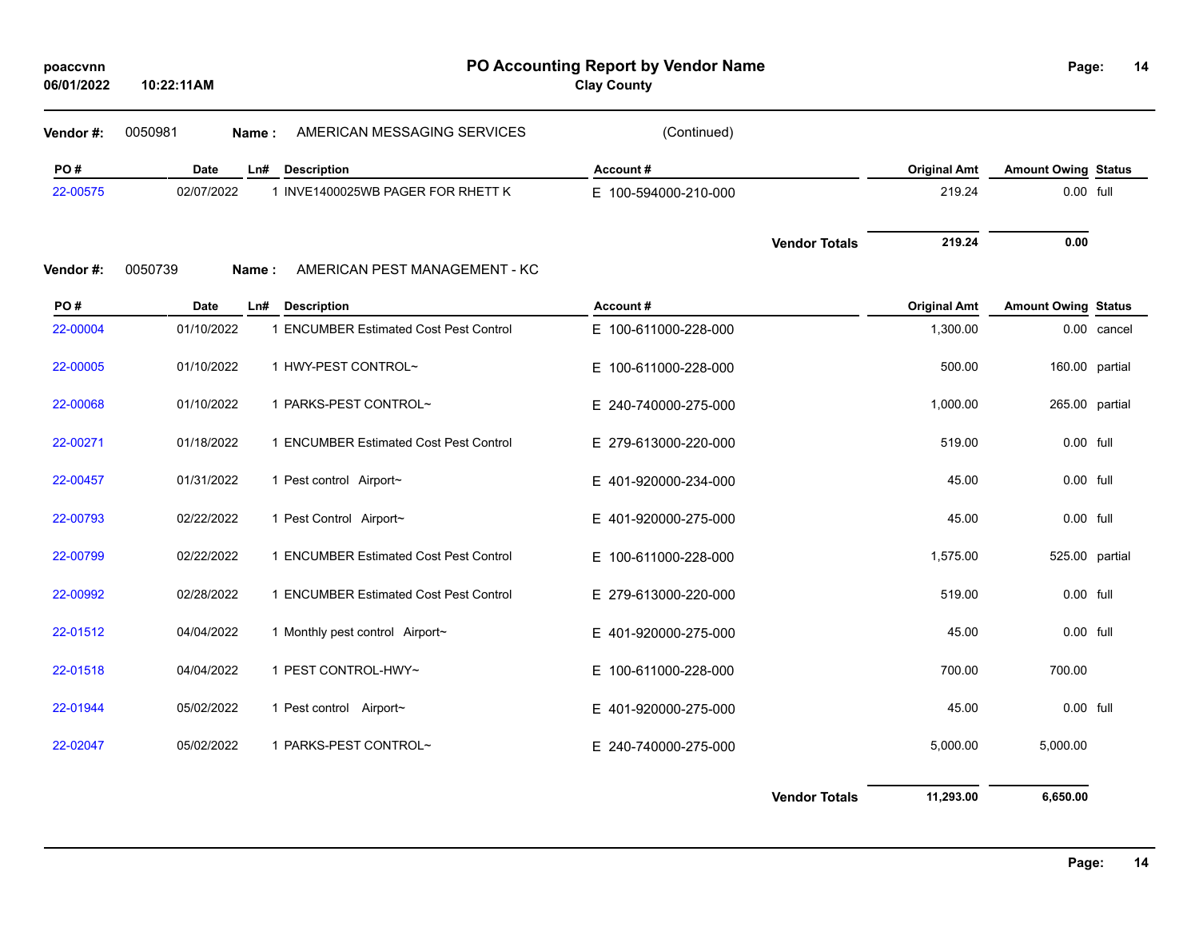| poaccvnn<br>06/01/2022 | 10:22:11AM  | PO Accounting Report by Vendor Name<br><b>Clay County</b> |                      |                      |                     | Page:<br>14                |             |  |
|------------------------|-------------|-----------------------------------------------------------|----------------------|----------------------|---------------------|----------------------------|-------------|--|
| Vendor #:              | 0050981     | AMERICAN MESSAGING SERVICES<br>Name:                      | (Continued)          |                      |                     |                            |             |  |
| PO#                    | <b>Date</b> | Ln#<br><b>Description</b>                                 | Account#             |                      | <b>Original Amt</b> | <b>Amount Owing Status</b> |             |  |
| 22-00575               | 02/07/2022  | 1 INVE1400025WB PAGER FOR RHETT K                         | E 100-594000-210-000 |                      | 219.24              | 0.00 full                  |             |  |
| Vendor #:              | 0050739     | AMERICAN PEST MANAGEMENT - KC<br>Name:                    |                      | <b>Vendor Totals</b> | 219.24              | 0.00                       |             |  |
| PO#                    | Date        | <b>Description</b><br>Ln#                                 | Account#             |                      | <b>Original Amt</b> | <b>Amount Owing Status</b> |             |  |
| 22-00004               | 01/10/2022  | 1 ENCUMBER Estimated Cost Pest Control                    | E 100-611000-228-000 |                      | 1,300.00            |                            | 0.00 cancel |  |
| 22-00005               | 01/10/2022  | 1 HWY-PEST CONTROL~                                       | E 100-611000-228-000 |                      | 500.00              | 160.00 partial             |             |  |
| 22-00068               | 01/10/2022  | 1 PARKS-PEST CONTROL~                                     | E 240-740000-275-000 |                      | 1,000.00            | 265.00 partial             |             |  |
| 22-00271               | 01/18/2022  | 1 ENCUMBER Estimated Cost Pest Control                    | E 279-613000-220-000 |                      | 519.00              | 0.00 full                  |             |  |
| 22-00457               | 01/31/2022  | 1 Pest control Airport~                                   | E 401-920000-234-000 |                      | 45.00               | 0.00 full                  |             |  |
| 22-00793               | 02/22/2022  | 1 Pest Control Airport~                                   | E 401-920000-275-000 |                      | 45.00               | 0.00 full                  |             |  |
| 22-00799               | 02/22/2022  | 1 ENCUMBER Estimated Cost Pest Control                    | E 100-611000-228-000 |                      | 1,575.00            | 525.00 partial             |             |  |
| 22-00992               | 02/28/2022  | 1 ENCUMBER Estimated Cost Pest Control                    | E 279-613000-220-000 |                      | 519.00              | 0.00 full                  |             |  |
| 22-01512               | 04/04/2022  | 1 Monthly pest control Airport~                           | E 401-920000-275-000 |                      | 45.00               | 0.00 full                  |             |  |
| 22-01518               | 04/04/2022  | 1 PEST CONTROL-HWY~                                       | E 100-611000-228-000 |                      | 700.00              | 700.00                     |             |  |
| 22-01944               | 05/02/2022  | 1 Pest control Airport~                                   | E 401-920000-275-000 |                      | 45.00               | 0.00 full                  |             |  |
| 22-02047               | 05/02/2022  | 1 PARKS-PEST CONTROL~                                     | E 240-740000-275-000 |                      | 5,000.00            | 5,000.00                   |             |  |
|                        |             |                                                           |                      | <b>Vendor Totals</b> | 11,293.00           | 6,650.00                   |             |  |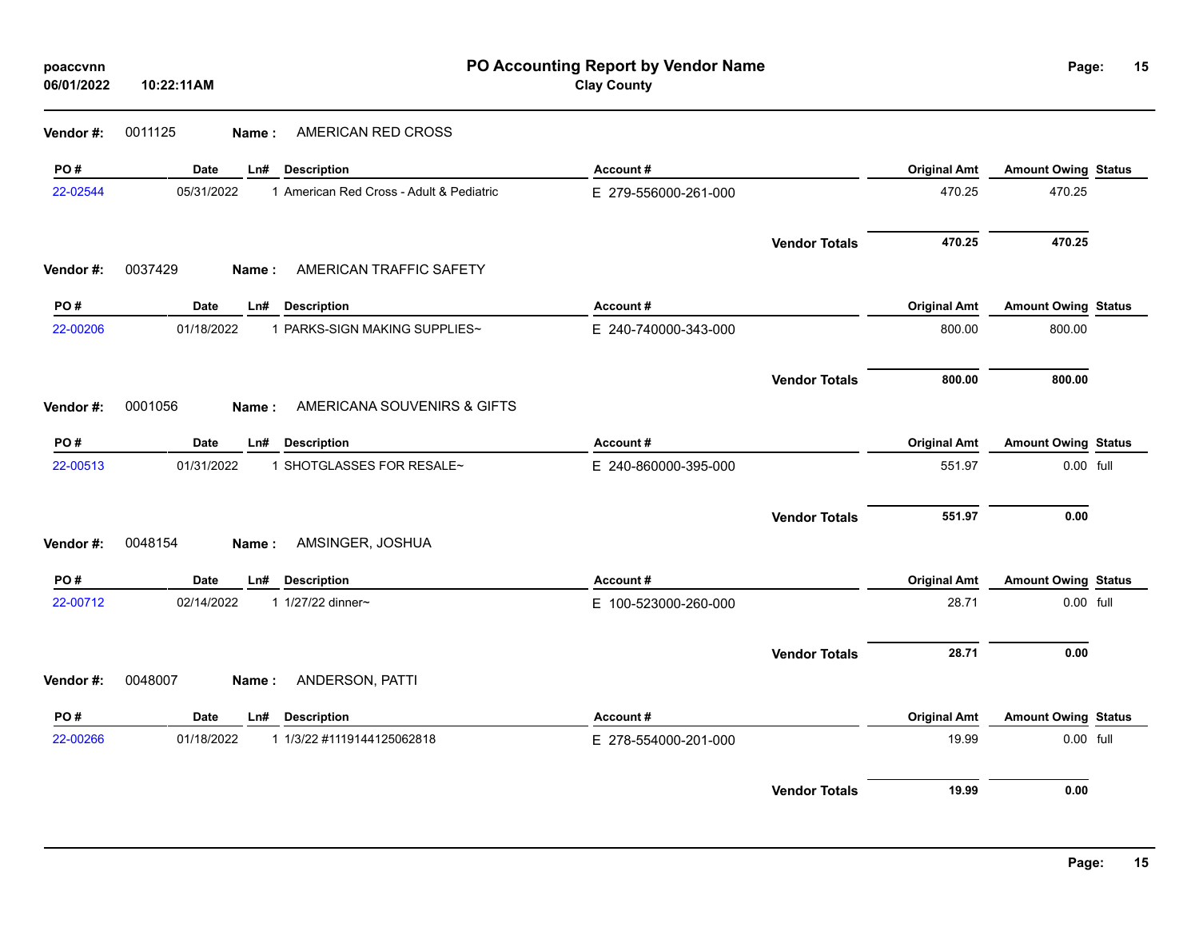| 06/01/2022 | 10:22:11AM |       |                                          | <b>Clay County</b>   |                      |                     |                            |  |
|------------|------------|-------|------------------------------------------|----------------------|----------------------|---------------------|----------------------------|--|
| Vendor #:  | 0011125    | Name: | AMERICAN RED CROSS                       |                      |                      |                     |                            |  |
| PO#        | Date       |       | Ln# Description                          | Account#             |                      | <b>Original Amt</b> | <b>Amount Owing Status</b> |  |
| 22-02544   | 05/31/2022 |       | 1 American Red Cross - Adult & Pediatric | E 279-556000-261-000 |                      | 470.25              | 470.25                     |  |
|            |            |       |                                          |                      | <b>Vendor Totals</b> | 470.25              | 470.25                     |  |
| Vendor #:  | 0037429    | Name: | AMERICAN TRAFFIC SAFETY                  |                      |                      |                     |                            |  |
| PO#        | Date       | Ln#   | <b>Description</b>                       | Account#             |                      | <b>Original Amt</b> | <b>Amount Owing Status</b> |  |
| 22-00206   | 01/18/2022 |       | 1 PARKS-SIGN MAKING SUPPLIES~            | E 240-740000-343-000 |                      | 800.00              | 800.00                     |  |
|            |            |       |                                          |                      | <b>Vendor Totals</b> | 800.00              | 800.00                     |  |
| Vendor #:  | 0001056    | Name: | AMERICANA SOUVENIRS & GIFTS              |                      |                      |                     |                            |  |
| PO#        | Date       |       | Ln# Description                          | Account#             |                      | <b>Original Amt</b> | <b>Amount Owing Status</b> |  |
| 22-00513   | 01/31/2022 |       | 1 SHOTGLASSES FOR RESALE~                | E 240-860000-395-000 |                      | 551.97              | 0.00 full                  |  |
|            |            |       |                                          |                      | <b>Vendor Totals</b> | 551.97              | 0.00                       |  |
| Vendor #:  | 0048154    | Name: | AMSINGER, JOSHUA                         |                      |                      |                     |                            |  |
| PO#        | Date       | Ln#   | <b>Description</b>                       | Account#             |                      | <b>Original Amt</b> | <b>Amount Owing Status</b> |  |
| 22-00712   | 02/14/2022 |       | 1 1/27/22 dinner~                        | E 100-523000-260-000 |                      | 28.71               | 0.00 full                  |  |
|            |            |       |                                          |                      | <b>Vendor Totals</b> | 28.71               | 0.00                       |  |
| Vendor #:  | 0048007    | Name: | ANDERSON, PATTI                          |                      |                      |                     |                            |  |
| PO#        | Date       |       | Ln# Description                          | Account#             |                      | <b>Original Amt</b> | <b>Amount Owing Status</b> |  |
| 22-00266   | 01/18/2022 |       | 1 1/3/22 #1119144125062818               | E 278-554000-201-000 |                      | 19.99               | 0.00 full                  |  |
|            |            |       |                                          |                      | <b>Vendor Totals</b> | 19.99               | 0.00                       |  |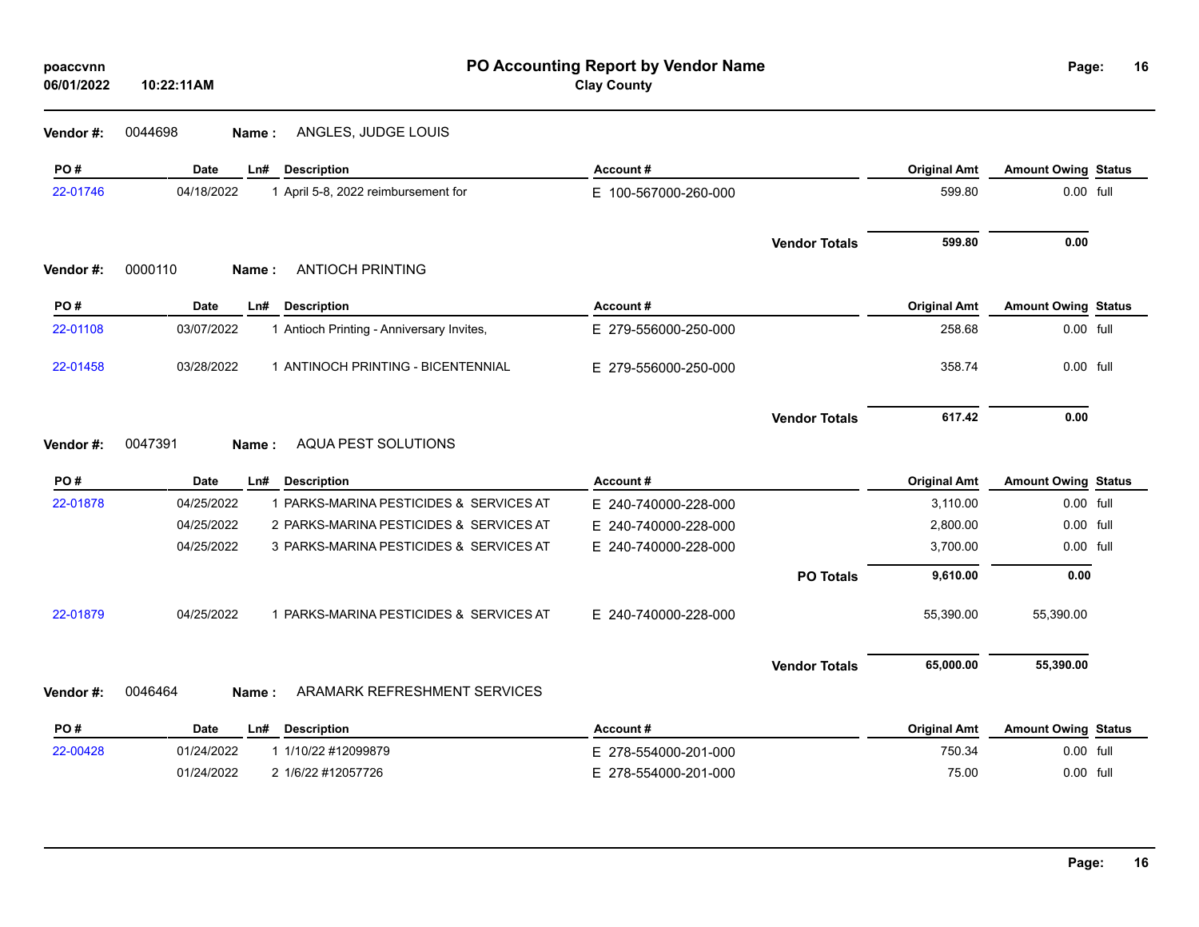**Vendor #:** 0044698 **Name :** ANGLES, JUDGE LOUIS

| PO#       | <b>Date</b>        | <b>Description</b><br>Ln#                 | Account#             |                      | <b>Original Amt</b> | <b>Amount Owing Status</b> |  |
|-----------|--------------------|-------------------------------------------|----------------------|----------------------|---------------------|----------------------------|--|
| 22-01746  | 04/18/2022         | 1 April 5-8, 2022 reimbursement for       | E 100-567000-260-000 |                      | 599.80              | 0.00 full                  |  |
| Vendor#:  | 0000110<br>Name:   | <b>ANTIOCH PRINTING</b>                   |                      | <b>Vendor Totals</b> | 599.80              | 0.00                       |  |
| PO#       | <b>Date</b>        | <b>Description</b><br>Ln#                 | Account#             |                      | <b>Original Amt</b> | <b>Amount Owing Status</b> |  |
| 22-01108  | 03/07/2022         | 1 Antioch Printing - Anniversary Invites, | E 279-556000-250-000 |                      | 258.68              | 0.00 full                  |  |
|           |                    |                                           |                      |                      |                     |                            |  |
| 22-01458  | 03/28/2022         | 1 ANTINOCH PRINTING - BICENTENNIAL        | E 279-556000-250-000 |                      | 358.74              | 0.00 full                  |  |
|           |                    |                                           |                      | <b>Vendor Totals</b> | 617.42              | 0.00                       |  |
| Vendor #: | 0047391<br>Name:   | AQUA PEST SOLUTIONS                       |                      |                      |                     |                            |  |
| PO#       | <b>Date</b>        | <b>Description</b><br>Ln#                 | Account#             |                      | <b>Original Amt</b> | <b>Amount Owing Status</b> |  |
| 22-01878  | 04/25/2022         | 1 PARKS-MARINA PESTICIDES & SERVICES AT   | E 240-740000-228-000 |                      | 3,110.00            | 0.00 full                  |  |
|           | 04/25/2022         | 2 PARKS-MARINA PESTICIDES & SERVICES AT   | E 240-740000-228-000 |                      | 2,800.00            | 0.00 full                  |  |
|           | 04/25/2022         | 3 PARKS-MARINA PESTICIDES & SERVICES AT   | E 240-740000-228-000 |                      | 3,700.00            | 0.00 full                  |  |
|           |                    |                                           |                      | <b>PO Totals</b>     | 9,610.00            | 0.00                       |  |
| 22-01879  | 04/25/2022         | 1 PARKS-MARINA PESTICIDES & SERVICES AT   | E 240-740000-228-000 |                      | 55,390.00           | 55,390.00                  |  |
|           |                    |                                           |                      | <b>Vendor Totals</b> | 65,000.00           | 55,390.00                  |  |
| Vendor#:  | 0046464<br>Name:   | ARAMARK REFRESHMENT SERVICES              |                      |                      |                     |                            |  |
| PO#       | <b>Date</b><br>Ln# | <b>Description</b>                        | Account#             |                      | <b>Original Amt</b> | <b>Amount Owing Status</b> |  |
| 22-00428  | 01/24/2022         | 1 1/10/22 #12099879                       | E 278-554000-201-000 |                      | 750.34              | 0.00 full                  |  |
|           | 01/24/2022         | 2 1/6/22 #12057726                        | E 278-554000-201-000 |                      | 75.00               | 0.00 full                  |  |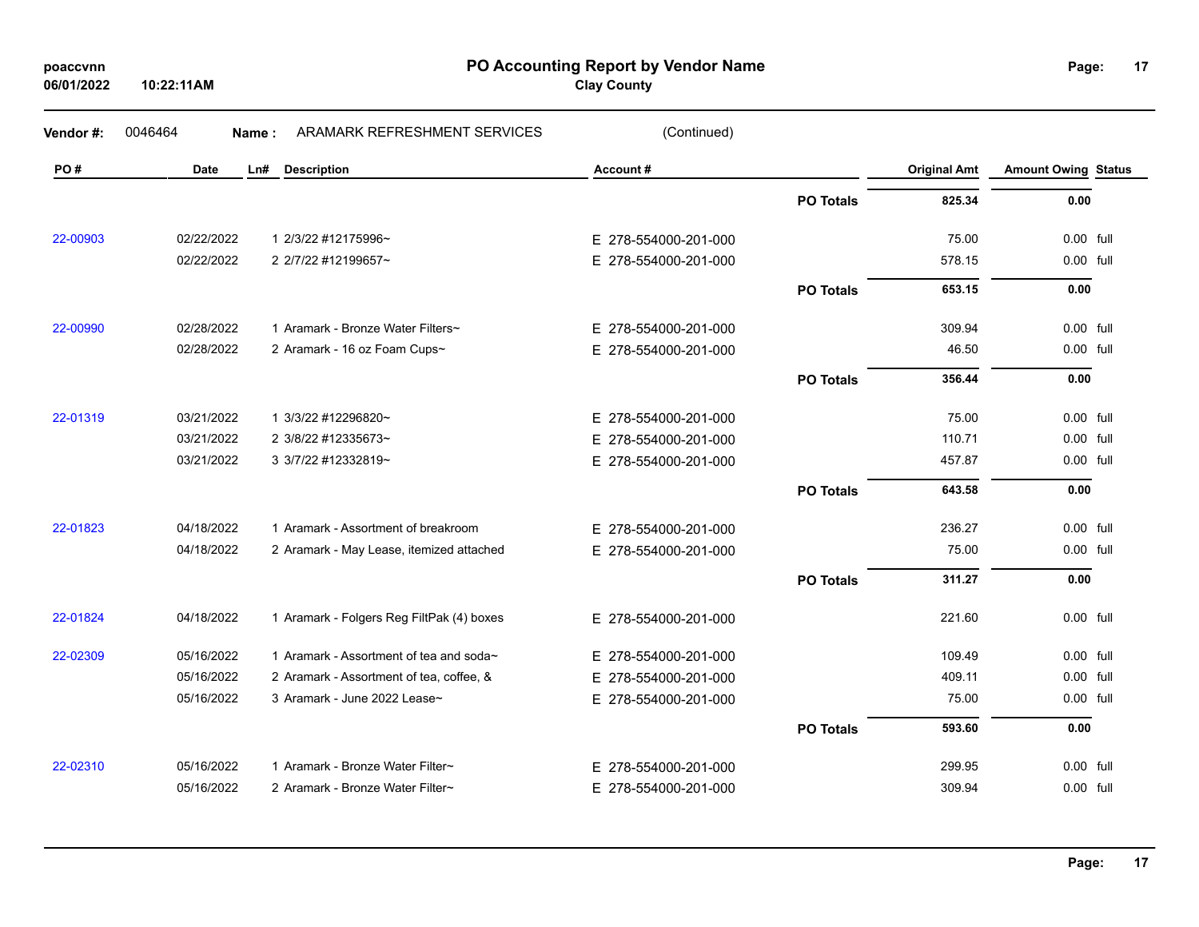| poaccvnn   |  |
|------------|--|
| 06/01/2022 |  |

**PO Accounting Report by Vendor Name poaccvnn Page:**

**Clay County**

| Vendor#: | 0046464     | Name: | ARAMARK REFRESHMENT SERVICES              | (Continued)          |                  |                     |                            |  |
|----------|-------------|-------|-------------------------------------------|----------------------|------------------|---------------------|----------------------------|--|
| PO#      | <b>Date</b> | Ln#   | <b>Description</b>                        | Account#             |                  | <b>Original Amt</b> | <b>Amount Owing Status</b> |  |
|          |             |       |                                           |                      | <b>PO Totals</b> | 825.34              | 0.00                       |  |
| 22-00903 | 02/22/2022  |       | 1 2/3/22 #12175996~                       | E 278-554000-201-000 |                  | 75.00               | 0.00 full                  |  |
|          | 02/22/2022  |       | 2 2/7/22 #12199657~                       | E 278-554000-201-000 |                  | 578.15              | 0.00 full                  |  |
|          |             |       |                                           |                      | <b>PO Totals</b> | 653.15              | 0.00                       |  |
| 22-00990 | 02/28/2022  |       | 1 Aramark - Bronze Water Filters~         | E 278-554000-201-000 |                  | 309.94              | 0.00 full                  |  |
|          | 02/28/2022  |       | 2 Aramark - 16 oz Foam Cups~              | E 278-554000-201-000 |                  | 46.50               | 0.00 full                  |  |
|          |             |       |                                           |                      | <b>PO Totals</b> | 356.44              | 0.00                       |  |
| 22-01319 | 03/21/2022  |       | 1 3/3/22 #12296820~                       | E 278-554000-201-000 |                  | 75.00               | 0.00 full                  |  |
|          | 03/21/2022  |       | 2 3/8/22 #12335673~                       | E 278-554000-201-000 |                  | 110.71              | 0.00 full                  |  |
|          | 03/21/2022  |       | 3 3/7/22 #12332819~                       | E 278-554000-201-000 |                  | 457.87              | 0.00 full                  |  |
|          |             |       |                                           |                      | <b>PO Totals</b> | 643.58              | 0.00                       |  |
| 22-01823 | 04/18/2022  |       | 1 Aramark - Assortment of breakroom       | E 278-554000-201-000 |                  | 236.27              | 0.00 full                  |  |
|          | 04/18/2022  |       | 2 Aramark - May Lease, itemized attached  | E 278-554000-201-000 |                  | 75.00               | 0.00 full                  |  |
|          |             |       |                                           |                      | <b>PO Totals</b> | 311.27              | 0.00                       |  |
| 22-01824 | 04/18/2022  |       | 1 Aramark - Folgers Reg FiltPak (4) boxes | E 278-554000-201-000 |                  | 221.60              | 0.00 full                  |  |
| 22-02309 | 05/16/2022  |       | 1 Aramark - Assortment of tea and soda~   | E 278-554000-201-000 |                  | 109.49              | 0.00 full                  |  |
|          | 05/16/2022  |       | 2 Aramark - Assortment of tea, coffee, &  | E 278-554000-201-000 |                  | 409.11              | 0.00 full                  |  |
|          | 05/16/2022  |       | 3 Aramark - June 2022 Lease~              | E 278-554000-201-000 |                  | 75.00               | 0.00 full                  |  |
|          |             |       |                                           |                      | <b>PO Totals</b> | 593.60              | 0.00                       |  |
| 22-02310 | 05/16/2022  |       | 1 Aramark - Bronze Water Filter~          | E 278-554000-201-000 |                  | 299.95              | 0.00 full                  |  |
|          | 05/16/2022  |       | 2 Aramark - Bronze Water Filter~          | E 278-554000-201-000 |                  | 309.94              | 0.00 full                  |  |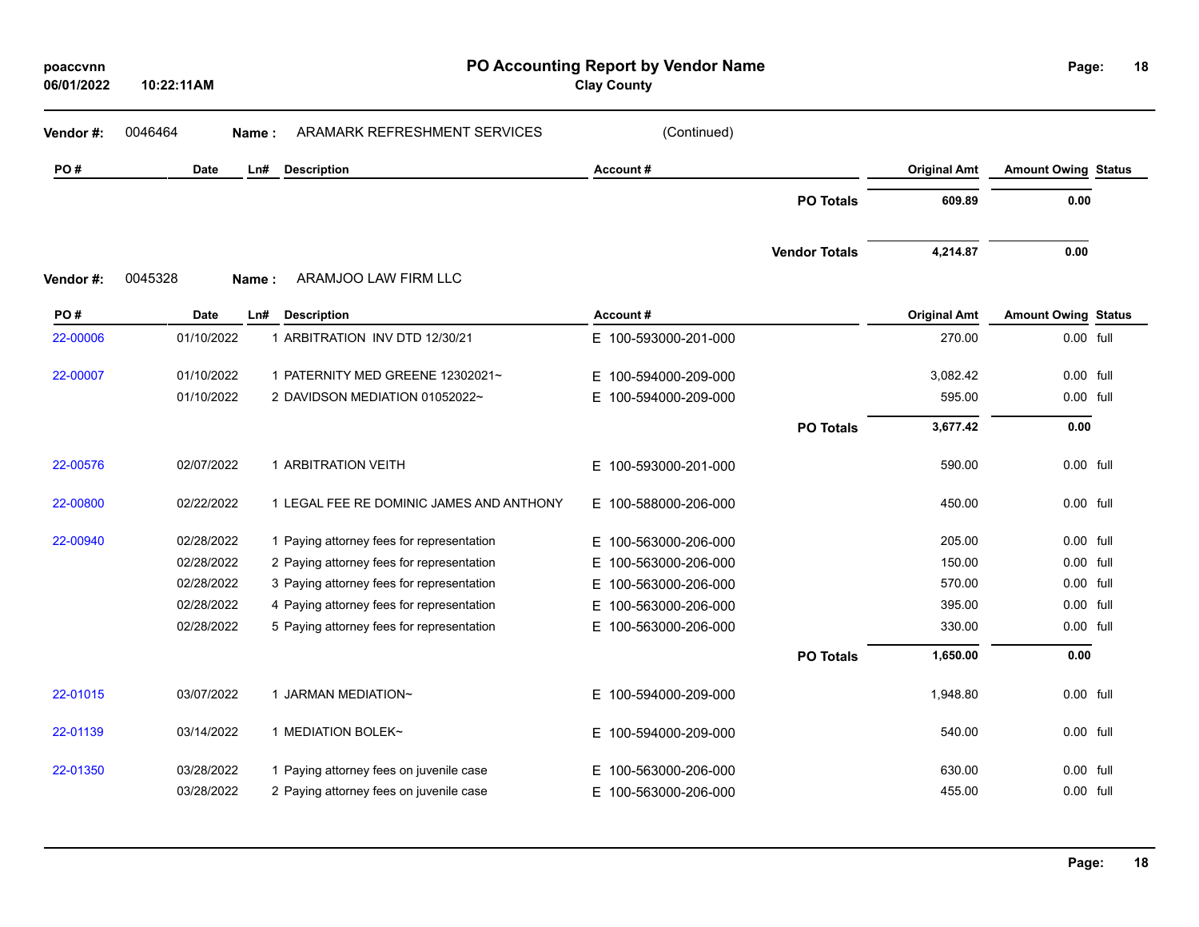| poaccvnn<br>06/01/2022 | 10:22:11AM  | PO Accounting Report by Vendor Name<br><b>Clay County</b> |                          |                      |                     |                            |           |  |
|------------------------|-------------|-----------------------------------------------------------|--------------------------|----------------------|---------------------|----------------------------|-----------|--|
| Vendor#:               | 0046464     | ARAMARK REFRESHMENT SERVICES<br>Name:                     | (Continued)              |                      |                     |                            |           |  |
| PO#                    | <b>Date</b> | Ln#<br><b>Description</b>                                 | Account#                 |                      | <b>Original Amt</b> | <b>Amount Owing Status</b> |           |  |
|                        |             |                                                           |                          | <b>PO Totals</b>     | 609.89              | 0.00                       |           |  |
|                        |             |                                                           |                          | <b>Vendor Totals</b> | 4,214.87            | 0.00                       |           |  |
| Vendor#:               | 0045328     | ARAMJOO LAW FIRM LLC<br>Name:                             |                          |                      |                     |                            |           |  |
| PO#                    | <b>Date</b> | <b>Description</b><br>Ln#                                 | Account#                 |                      | <b>Original Amt</b> | <b>Amount Owing Status</b> |           |  |
| 22-00006               | 01/10/2022  | 1 ARBITRATION INV DTD 12/30/21                            | E 100-593000-201-000     |                      | 270.00              | 0.00 full                  |           |  |
| 22-00007               | 01/10/2022  | 1 PATERNITY MED GREENE 12302021~                          | 100-594000-209-000<br>E. |                      | 3,082.42            | $0.00$ full                |           |  |
|                        | 01/10/2022  | 2 DAVIDSON MEDIATION 01052022~                            | E.<br>100-594000-209-000 |                      | 595.00              | 0.00 full                  |           |  |
|                        |             |                                                           |                          | <b>PO Totals</b>     | 3,677.42            | 0.00                       |           |  |
| 22-00576               | 02/07/2022  | 1 ARBITRATION VEITH                                       | Е.<br>100-593000-201-000 |                      | 590.00              | 0.00 full                  |           |  |
| 22-00800               | 02/22/2022  | 1 LEGAL FEE RE DOMINIC JAMES AND ANTHONY                  | E 100-588000-206-000     |                      | 450.00              | 0.00 full                  |           |  |
| 22-00940               | 02/28/2022  | 1 Paying attorney fees for representation                 | E.<br>100-563000-206-000 |                      | 205.00              |                            | 0.00 full |  |
|                        | 02/28/2022  | 2 Paying attorney fees for representation                 | 100-563000-206-000<br>E. |                      | 150.00              |                            | 0.00 full |  |
|                        | 02/28/2022  | 3 Paying attorney fees for representation                 | 100-563000-206-000<br>E. |                      | 570.00              |                            | 0.00 full |  |
|                        | 02/28/2022  | 4 Paying attorney fees for representation                 | E.<br>100-563000-206-000 |                      | 395.00              | 0.00 full                  |           |  |
|                        | 02/28/2022  | 5 Paying attorney fees for representation                 | 100-563000-206-000<br>E. |                      | 330.00              | 0.00 full                  |           |  |
|                        |             |                                                           |                          | <b>PO Totals</b>     | 1,650.00            | 0.00                       |           |  |
| 22-01015               | 03/07/2022  | 1 JARMAN MEDIATION~                                       | E 100-594000-209-000     |                      | 1,948.80            | 0.00 full                  |           |  |
| 22-01139               | 03/14/2022  | 1 MEDIATION BOLEK~                                        | E 100-594000-209-000     |                      | 540.00              | 0.00 full                  |           |  |
| 22-01350               | 03/28/2022  | 1 Paying attorney fees on juvenile case                   | 100-563000-206-000<br>E. |                      | 630.00              | 0.00 full                  |           |  |
|                        | 03/28/2022  | 2 Paying attorney fees on juvenile case                   | E 100-563000-206-000     |                      | 455.00              | 0.00 full                  |           |  |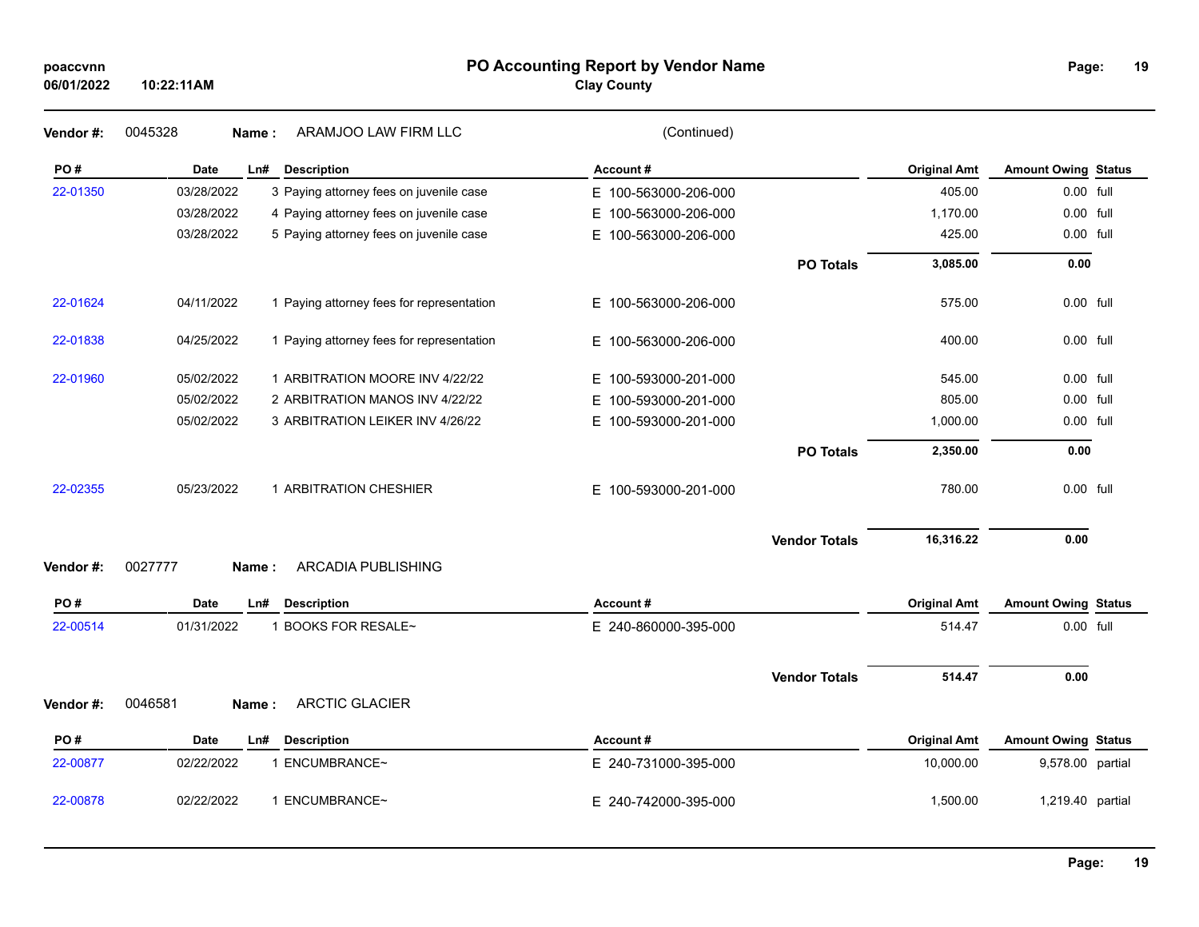### **PO Accounting Report by Vendor Name poaccvnn Page:**

**Clay County**

| Vendor#: | 0045328<br>Name: | ARAMJOO LAW FIRM LLC                      | (Continued)              |                      |                     |                            |  |
|----------|------------------|-------------------------------------------|--------------------------|----------------------|---------------------|----------------------------|--|
| PO#      | Date             | Ln#<br><b>Description</b>                 | <b>Account#</b>          |                      | <b>Original Amt</b> | <b>Amount Owing Status</b> |  |
| 22-01350 | 03/28/2022       | 3 Paying attorney fees on juvenile case   | E 100-563000-206-000     |                      | 405.00              | 0.00 full                  |  |
|          | 03/28/2022       | 4 Paying attorney fees on juvenile case   | E.<br>100-563000-206-000 |                      | 1,170.00            | 0.00 full                  |  |
|          | 03/28/2022       | 5 Paying attorney fees on juvenile case   | E.<br>100-563000-206-000 |                      | 425.00              | 0.00 full                  |  |
|          |                  |                                           |                          | <b>PO Totals</b>     | 3,085.00            | 0.00                       |  |
| 22-01624 | 04/11/2022       | 1 Paying attorney fees for representation | E 100-563000-206-000     |                      | 575.00              | 0.00 full                  |  |
| 22-01838 | 04/25/2022       | 1 Paying attorney fees for representation | E 100-563000-206-000     |                      | 400.00              | 0.00 full                  |  |
| 22-01960 | 05/02/2022       | 1 ARBITRATION MOORE INV 4/22/22           | E 100-593000-201-000     |                      | 545.00              | 0.00 full                  |  |
|          | 05/02/2022       | 2 ARBITRATION MANOS INV 4/22/22           | 100-593000-201-000<br>E. |                      | 805.00              | 0.00 full                  |  |
|          | 05/02/2022       | 3 ARBITRATION LEIKER INV 4/26/22          | 100-593000-201-000<br>E. |                      | 1,000.00            | 0.00 full                  |  |
|          |                  |                                           |                          | <b>PO Totals</b>     | 2,350.00            | 0.00                       |  |
| 22-02355 | 05/23/2022       | 1 ARBITRATION CHESHIER                    | E 100-593000-201-000     |                      | 780.00              | 0.00 full                  |  |
|          |                  |                                           |                          | <b>Vendor Totals</b> | 16,316.22           | 0.00                       |  |
| Vendor#: | 0027777<br>Name: | ARCADIA PUBLISHING                        |                          |                      |                     |                            |  |
| PO#      | Date             | <b>Description</b><br>Ln#                 | Account#                 |                      | <b>Original Amt</b> | <b>Amount Owing Status</b> |  |
| 22-00514 | 01/31/2022       | 1 BOOKS FOR RESALE~                       | E 240-860000-395-000     |                      | 514.47              | 0.00 full                  |  |
|          |                  |                                           |                          | <b>Vendor Totals</b> | 514.47              | 0.00                       |  |
| Vendor#: | 0046581<br>Name: | <b>ARCTIC GLACIER</b>                     |                          |                      |                     |                            |  |
| PO#      | Date             | <b>Description</b><br>Ln#                 | Account#                 |                      | <b>Original Amt</b> | <b>Amount Owing Status</b> |  |
| 22-00877 | 02/22/2022       | 1 ENCUMBRANCE~                            | E 240-731000-395-000     |                      | 10,000.00           | 9,578.00 partial           |  |
| 22-00878 | 02/22/2022       | 1 ENCUMBRANCE~                            | E 240-742000-395-000     |                      | 1,500.00            | 1,219.40 partial           |  |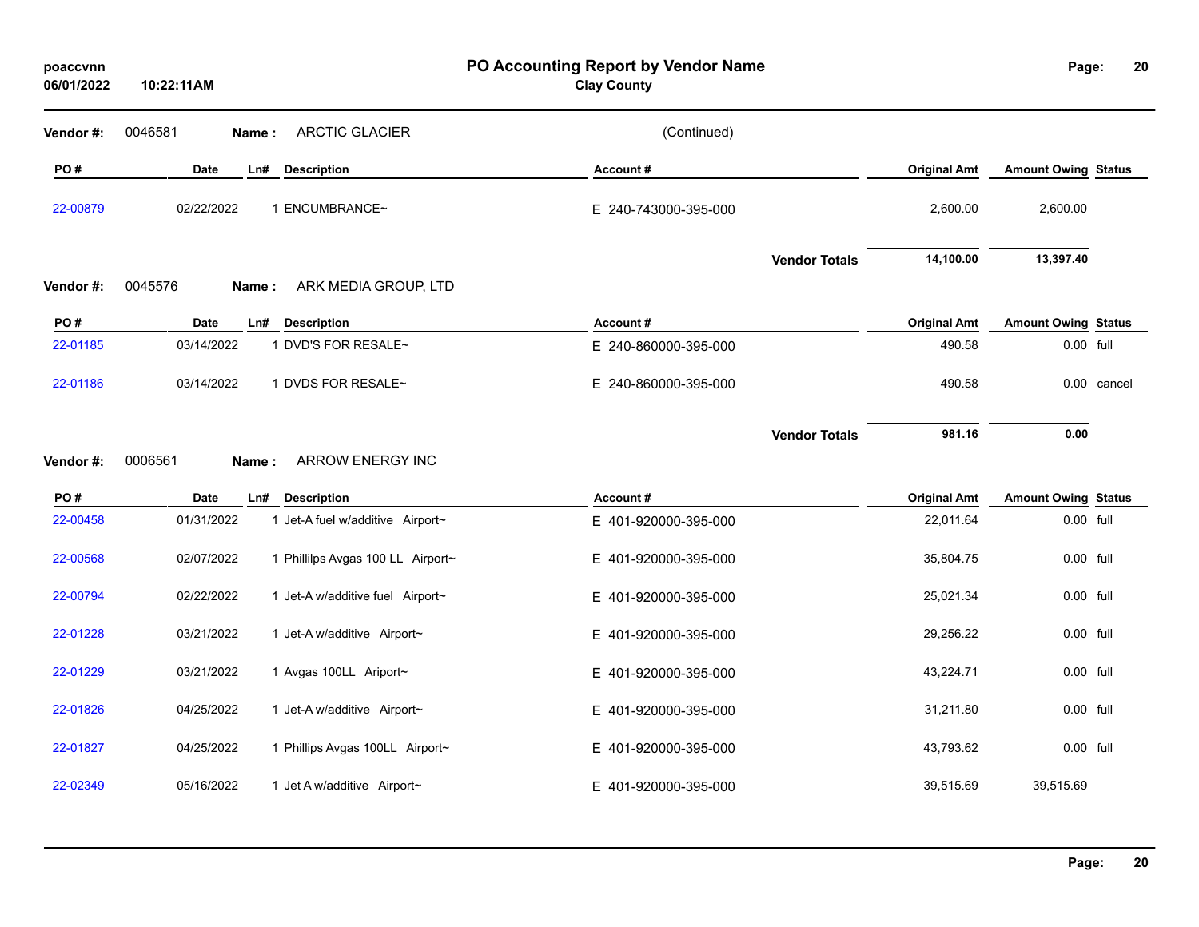| poaccvnn<br>06/01/2022 | 10:22:11AM  |                                   | PO Accounting Report by Vendor Name<br><b>Clay County</b> |                     | Page:                      | 20          |
|------------------------|-------------|-----------------------------------|-----------------------------------------------------------|---------------------|----------------------------|-------------|
| Vendor#:               | 0046581     | <b>ARCTIC GLACIER</b><br>Name:    | (Continued)                                               |                     |                            |             |
| PO#                    | <b>Date</b> | <b>Description</b><br>Ln#         | Account#                                                  | <b>Original Amt</b> | <b>Amount Owing Status</b> |             |
| 22-00879               | 02/22/2022  | 1 ENCUMBRANCE~                    | E 240-743000-395-000                                      | 2,600.00            | 2,600.00                   |             |
|                        |             |                                   | <b>Vendor Totals</b>                                      | 14,100.00           | 13,397.40                  |             |
| Vendor#:               | 0045576     | ARK MEDIA GROUP, LTD<br>Name:     |                                                           |                     |                            |             |
| PO#                    | <b>Date</b> | Ln#<br><b>Description</b>         | Account#                                                  | <b>Original Amt</b> | <b>Amount Owing Status</b> |             |
| 22-01185               | 03/14/2022  | 1 DVD'S FOR RESALE~               | E 240-860000-395-000                                      | 490.58              | 0.00 full                  |             |
| 22-01186               | 03/14/2022  | 1 DVDS FOR RESALE~                | E 240-860000-395-000                                      | 490.58              |                            | 0.00 cancel |
| Vendor#:               | 0006561     | <b>ARROW ENERGY INC</b><br>Name:  | <b>Vendor Totals</b>                                      | 981.16              | 0.00                       |             |
| PO#                    | Date        | Ln#<br><b>Description</b>         | Account#                                                  | <b>Original Amt</b> | <b>Amount Owing Status</b> |             |
| 22-00458               | 01/31/2022  | 1 Jet-A fuel w/additive Airport~  | E 401-920000-395-000                                      | 22,011.64           | 0.00 full                  |             |
| 22-00568               | 02/07/2022  | 1 Phillilps Avgas 100 LL Airport~ | E 401-920000-395-000                                      | 35,804.75           | 0.00 full                  |             |
| 22-00794               | 02/22/2022  | 1 Jet-A w/additive fuel Airport~  | E 401-920000-395-000                                      | 25,021.34           | 0.00 full                  |             |
| 22-01228               | 03/21/2022  | 1 Jet-A w/additive Airport~       | E 401-920000-395-000                                      | 29,256.22           | 0.00 full                  |             |
| 22-01229               | 03/21/2022  | 1 Avgas 100LL Ariport~            | E 401-920000-395-000                                      | 43,224.71           | 0.00 full                  |             |
| 22-01826               | 04/25/2022  | 1 Jet-A w/additive Airport~       | E 401-920000-395-000                                      | 31,211.80           | 0.00 full                  |             |
| 22-01827               | 04/25/2022  | 1 Phillips Avgas 100LL Airport~   | E 401-920000-395-000                                      | 43,793.62           | 0.00 full                  |             |
| 22-02349               | 05/16/2022  | 1 Jet A w/additive Airport~       | E 401-920000-395-000                                      | 39,515.69           | 39,515.69                  |             |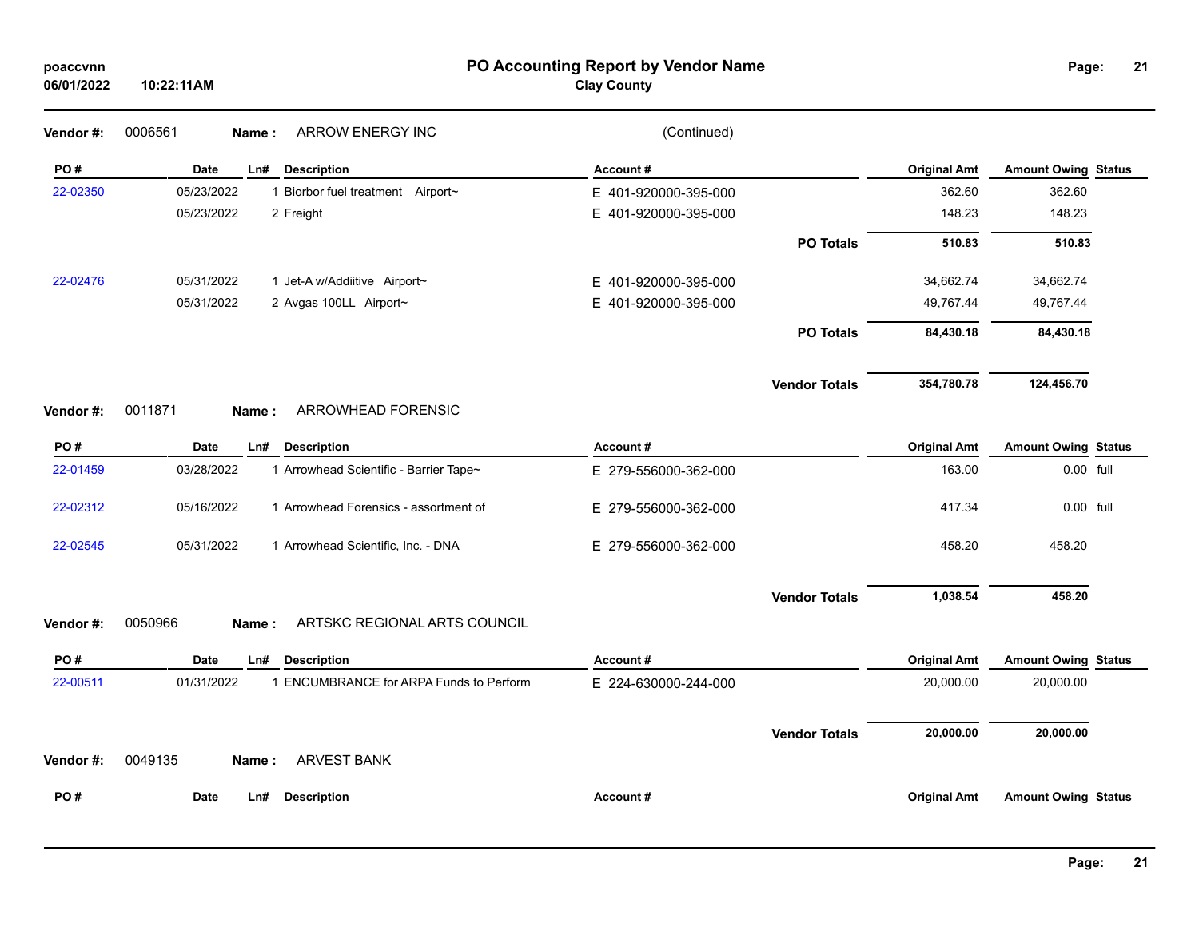| poaccvnn<br>06/01/2022 | 10:22:11AM                                            | PO Accounting Report by Vendor Name<br><b>Clay County</b> |                      |                     | Page:                      | 21 |
|------------------------|-------------------------------------------------------|-----------------------------------------------------------|----------------------|---------------------|----------------------------|----|
| Vendor #:              | 0006561<br><b>ARROW ENERGY INC</b><br>Name:           | (Continued)                                               |                      |                     |                            |    |
| PO#                    | <b>Description</b><br>Date<br>Ln#                     | Account#                                                  |                      | <b>Original Amt</b> | <b>Amount Owing Status</b> |    |
| 22-02350               | 05/23/2022<br>1 Biorbor fuel treatment Airport~       | E 401-920000-395-000                                      |                      | 362.60              | 362.60                     |    |
|                        | 05/23/2022<br>2 Freight                               | E 401-920000-395-000                                      |                      | 148.23              | 148.23                     |    |
|                        |                                                       |                                                           | <b>PO Totals</b>     | 510.83              | 510.83                     |    |
| 22-02476               | 05/31/2022<br>1 Jet-A w/Addiitive Airport~            | E 401-920000-395-000                                      |                      | 34,662.74           | 34,662.74                  |    |
|                        | 05/31/2022<br>2 Avgas 100LL Airport~                  | E 401-920000-395-000                                      |                      | 49,767.44           | 49,767.44                  |    |
|                        |                                                       |                                                           | <b>PO Totals</b>     | 84,430.18           | 84,430.18                  |    |
|                        |                                                       |                                                           | <b>Vendor Totals</b> | 354,780.78          | 124,456.70                 |    |
| Vendor #:              | 0011871<br>ARROWHEAD FORENSIC<br>Name:                |                                                           |                      |                     |                            |    |
| PO#                    | <b>Description</b><br>Date<br>Ln#                     | Account#                                                  |                      | <b>Original Amt</b> | <b>Amount Owing Status</b> |    |
| 22-01459               | 03/28/2022<br>1 Arrowhead Scientific - Barrier Tape~  | E 279-556000-362-000                                      |                      | 163.00              | 0.00 full                  |    |
| 22-02312               | 05/16/2022<br>1 Arrowhead Forensics - assortment of   | E 279-556000-362-000                                      |                      | 417.34              | 0.00 full                  |    |
| 22-02545               | 05/31/2022<br>1 Arrowhead Scientific, Inc. - DNA      | E 279-556000-362-000                                      |                      | 458.20              | 458.20                     |    |
|                        |                                                       |                                                           | <b>Vendor Totals</b> | 1,038.54            | 458.20                     |    |
| Vendor#:               | 0050966<br>ARTSKC REGIONAL ARTS COUNCIL<br>Name:      |                                                           |                      |                     |                            |    |
| PO#                    | Date<br>Ln#<br><b>Description</b>                     | Account#                                                  |                      | <b>Original Amt</b> | <b>Amount Owing Status</b> |    |
| 22-00511               | 1 ENCUMBRANCE for ARPA Funds to Perform<br>01/31/2022 | E 224-630000-244-000                                      |                      | 20,000.00           | 20,000.00                  |    |
|                        |                                                       |                                                           | <b>Vendor Totals</b> | 20,000.00           | 20,000.00                  |    |
| Vendor#:               | 0049135<br><b>ARVEST BANK</b><br>Name:                |                                                           |                      |                     |                            |    |
| PO#                    | <b>Date</b><br>Ln#<br><b>Description</b>              | Account#                                                  |                      | <b>Original Amt</b> | <b>Amount Owing Status</b> |    |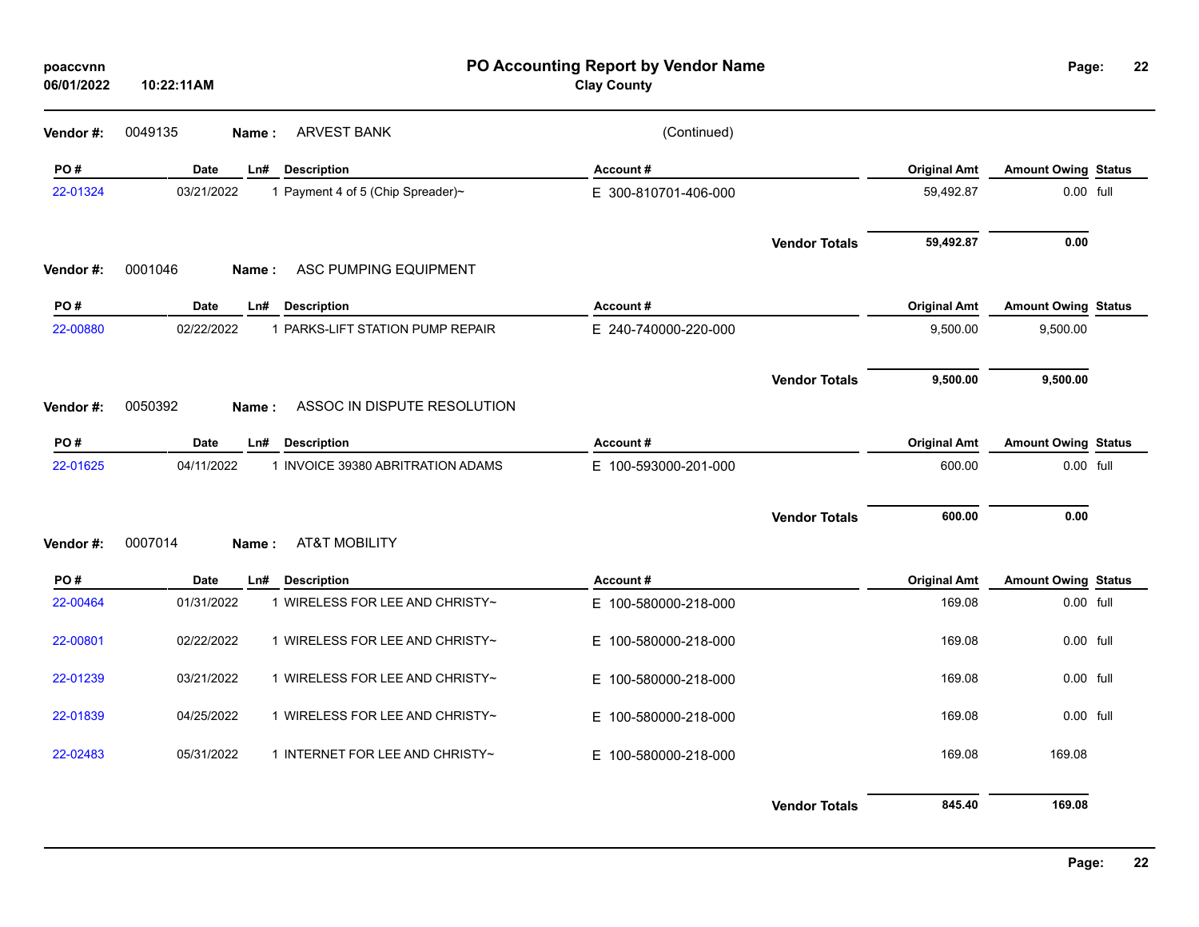| poaccvnn<br>06/01/2022 | 10:22:11AM  |                                      | PO Accounting Report by Vendor Name<br><b>Clay County</b> |                      |                     | Page:                      | 22 |
|------------------------|-------------|--------------------------------------|-----------------------------------------------------------|----------------------|---------------------|----------------------------|----|
| Vendor #:              | 0049135     | <b>ARVEST BANK</b><br>Name:          | (Continued)                                               |                      |                     |                            |    |
| PO#                    | Date        | Ln#<br><b>Description</b>            | Account#                                                  |                      | <b>Original Amt</b> | <b>Amount Owing Status</b> |    |
| 22-01324               | 03/21/2022  | 1 Payment 4 of 5 (Chip Spreader)~    | E 300-810701-406-000                                      |                      | 59,492.87           | 0.00 full                  |    |
| Vendor#:               | 0001046     | ASC PUMPING EQUIPMENT<br>Name:       |                                                           | <b>Vendor Totals</b> | 59,492.87           | 0.00                       |    |
| PO#                    | Date        | <b>Description</b><br>Ln#            | Account#                                                  |                      | <b>Original Amt</b> | <b>Amount Owing Status</b> |    |
| 22-00880               | 02/22/2022  | 1 PARKS-LIFT STATION PUMP REPAIR     | E 240-740000-220-000                                      |                      | 9,500.00            | 9,500.00                   |    |
| Vendor#:               | 0050392     | ASSOC IN DISPUTE RESOLUTION<br>Name: |                                                           | <b>Vendor Totals</b> | 9,500.00            | 9,500.00                   |    |
|                        |             |                                      |                                                           |                      |                     |                            |    |
| PO#                    | Date        | <b>Description</b><br>Ln#            | Account#                                                  |                      | <b>Original Amt</b> | <b>Amount Owing Status</b> |    |
| 22-01625               | 04/11/2022  | 1 INVOICE 39380 ABRITRATION ADAMS    | E 100-593000-201-000                                      |                      | 600.00              | 0.00 full                  |    |
| Vendor#:               | 0007014     | <b>AT&amp;T MOBILITY</b><br>Name:    |                                                           | <b>Vendor Totals</b> | 600.00              | 0.00                       |    |
|                        |             |                                      |                                                           |                      |                     |                            |    |
| PO#                    | <b>Date</b> | Ln#<br><b>Description</b>            | Account#                                                  |                      | <b>Original Amt</b> | <b>Amount Owing Status</b> |    |
| 22-00464               | 01/31/2022  | 1 WIRELESS FOR LEE AND CHRISTY~      | E 100-580000-218-000                                      |                      | 169.08              | 0.00 full                  |    |
| 22-00801               | 02/22/2022  | 1 WIRELESS FOR LEE AND CHRISTY~      | E 100-580000-218-000                                      |                      | 169.08              | 0.00 full                  |    |
| 22-01239               | 03/21/2022  | 1 WIRELESS FOR LEE AND CHRISTY~      | E 100-580000-218-000                                      |                      | 169.08              | 0.00 full                  |    |
| 22-01839               | 04/25/2022  | 1 WIRELESS FOR LEE AND CHRISTY~      | E 100-580000-218-000                                      |                      | 169.08              | 0.00 full                  |    |
| 22-02483               | 05/31/2022  | 1 INTERNET FOR LEE AND CHRISTY~      | E 100-580000-218-000                                      |                      | 169.08              | 169.08                     |    |
|                        |             |                                      |                                                           | <b>Vendor Totals</b> | 845.40              | 169.08                     |    |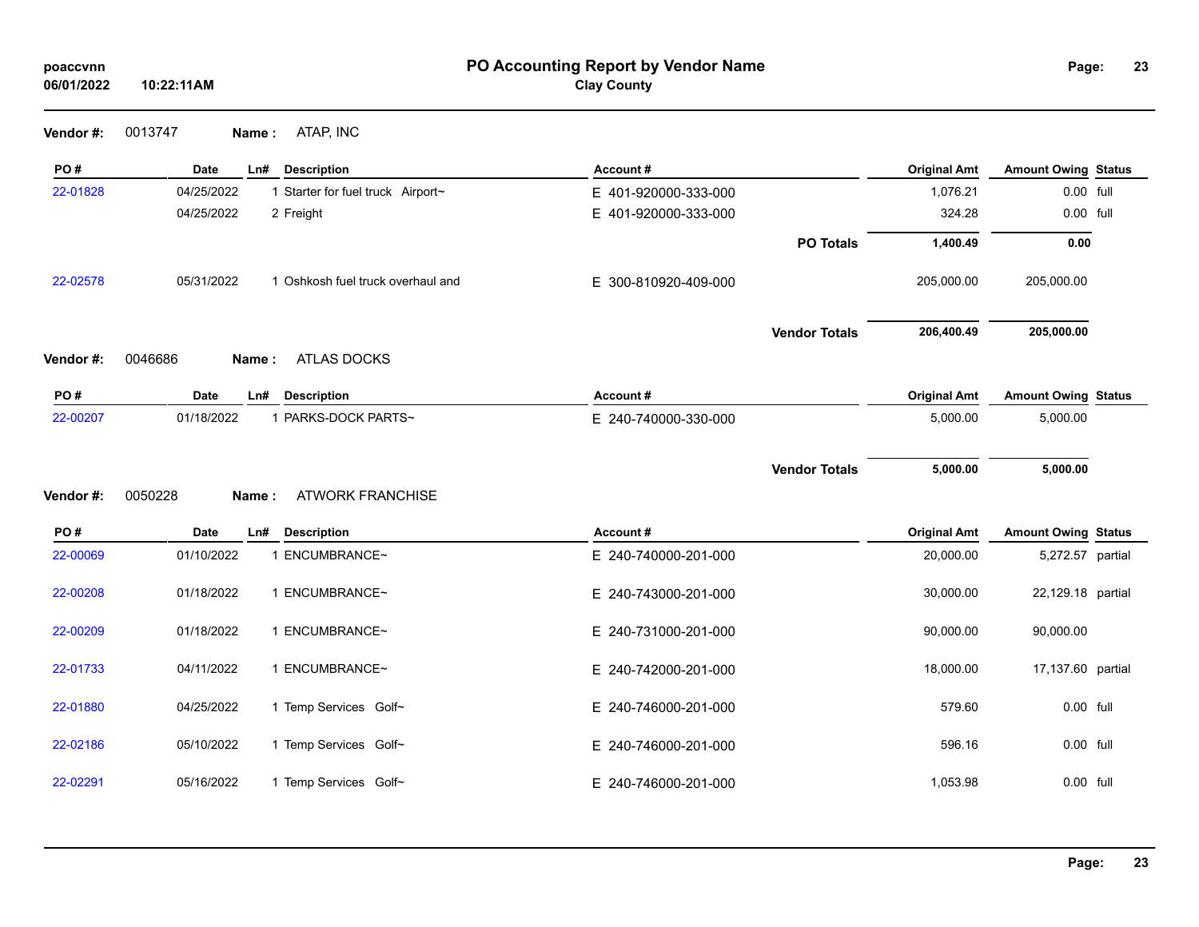| poaccvnn |
|----------|
|----------|

### **PO Accounting Report by Vendor Name poaccvnn Page: Clay County**

| 0013747 | Name: | ATAP, INC |
|---------|-------|-----------|
|         |       |           |

| PO#      | <b>Date</b>      | Ln#<br><b>Description</b>         | Account#             |                      | <b>Original Amt</b> | <b>Amount Owing Status</b> |  |
|----------|------------------|-----------------------------------|----------------------|----------------------|---------------------|----------------------------|--|
| 22-01828 | 04/25/2022       | 1 Starter for fuel truck Airport~ | E 401-920000-333-000 |                      | 1,076.21            | 0.00 full                  |  |
|          | 04/25/2022       | 2 Freight                         | E 401-920000-333-000 |                      | 324.28              | 0.00 full                  |  |
|          |                  |                                   |                      | <b>PO Totals</b>     | 1,400.49            | 0.00                       |  |
| 22-02578 | 05/31/2022       | 1 Oshkosh fuel truck overhaul and | E 300-810920-409-000 |                      | 205,000.00          | 205,000.00                 |  |
|          |                  |                                   |                      | <b>Vendor Totals</b> | 206,400.49          | 205,000.00                 |  |
| Vendor#: | 0046686<br>Name: | <b>ATLAS DOCKS</b>                |                      |                      |                     |                            |  |
| PO#      | <b>Date</b>      | <b>Description</b><br>Ln#         | Account#             |                      | <b>Original Amt</b> | <b>Amount Owing Status</b> |  |
| 22-00207 | 01/18/2022       | 1 PARKS-DOCK PARTS~               | E 240-740000-330-000 |                      | 5,000.00            | 5,000.00                   |  |
|          |                  |                                   |                      |                      |                     |                            |  |
|          |                  |                                   |                      | <b>Vendor Totals</b> | 5,000.00            | 5,000.00                   |  |
| Vendor#: | 0050228<br>Name: | <b>ATWORK FRANCHISE</b>           |                      |                      |                     |                            |  |
| PO#      | Date             | <b>Description</b><br>Ln#         | Account#             |                      | <b>Original Amt</b> | <b>Amount Owing Status</b> |  |
| 22-00069 | 01/10/2022       | 1 ENCUMBRANCE~                    | E 240-740000-201-000 |                      | 20,000.00           | 5,272.57 partial           |  |
| 22-00208 | 01/18/2022       | 1 ENCUMBRANCE~                    | E 240-743000-201-000 |                      | 30,000.00           | 22,129.18 partial          |  |
| 22-00209 | 01/18/2022       | 1 ENCUMBRANCE~                    | E 240-731000-201-000 |                      | 90,000.00           | 90,000.00                  |  |
| 22-01733 | 04/11/2022       | 1 ENCUMBRANCE~                    | E 240-742000-201-000 |                      | 18,000.00           | 17,137.60 partial          |  |
| 22-01880 | 04/25/2022       | 1 Temp Services Golf~             | E 240-746000-201-000 |                      | 579.60              | 0.00 full                  |  |
| 22-02186 | 05/10/2022       | 1 Temp Services Golf~             | E 240-746000-201-000 |                      | 596.16              | 0.00 full                  |  |
| 22-02291 | 05/16/2022       | 1 Temp Services Golf~             | E 240-746000-201-000 |                      | 1,053.98            | 0.00 full                  |  |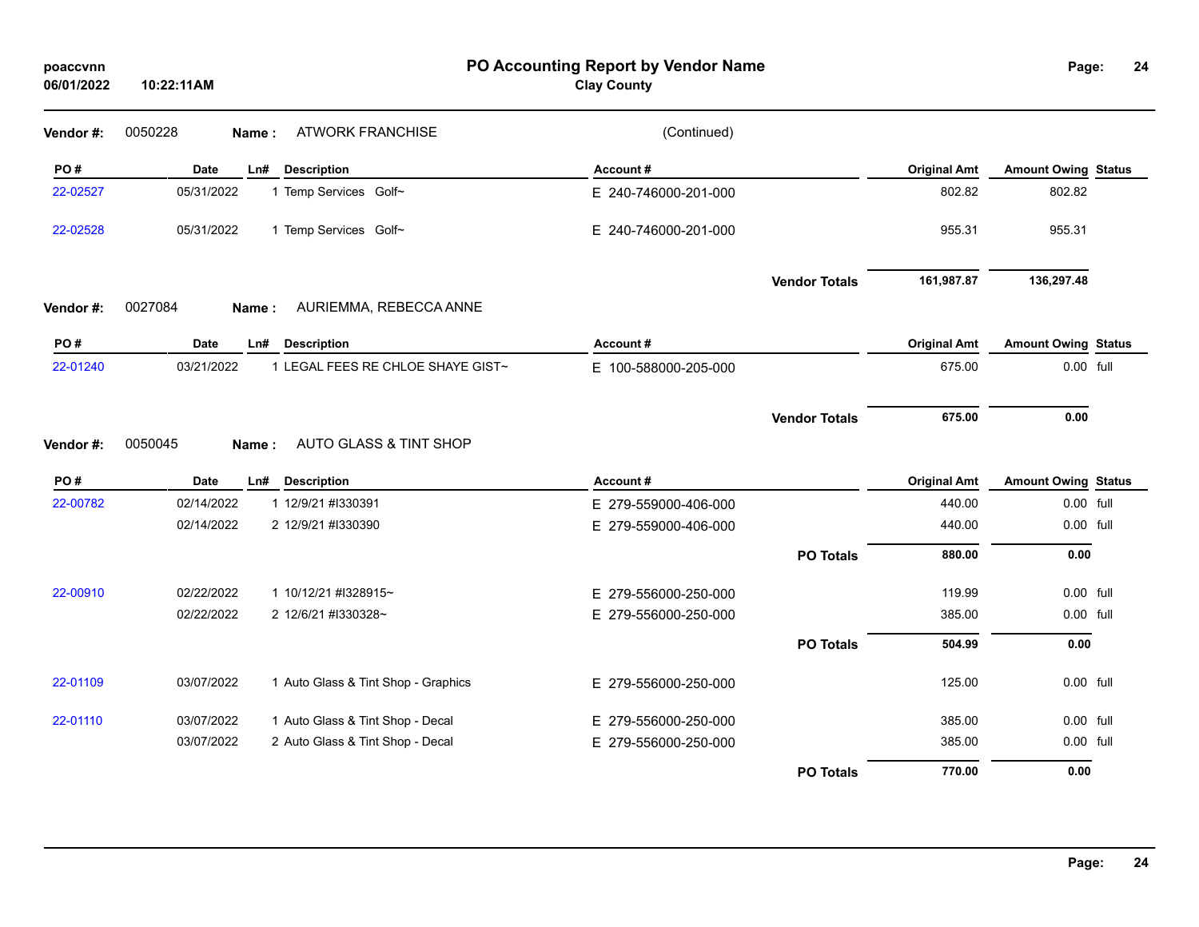| poaccvnn<br>06/01/2022 | PO Accounting Report by Vendor Name<br><b>Clay County</b><br>10:22:11AM |                                     |                      |                      |                     | Page:                      |  |  |
|------------------------|-------------------------------------------------------------------------|-------------------------------------|----------------------|----------------------|---------------------|----------------------------|--|--|
| Vendor #:              | 0050228                                                                 | <b>ATWORK FRANCHISE</b><br>Name:    | (Continued)          |                      |                     |                            |  |  |
| PO#                    | <b>Date</b>                                                             | <b>Description</b><br>Ln#           | Account#             |                      | <b>Original Amt</b> | <b>Amount Owing Status</b> |  |  |
| 22-02527               | 05/31/2022                                                              | 1 Temp Services Golf~               | E 240-746000-201-000 |                      | 802.82              | 802.82                     |  |  |
| 22-02528               | 05/31/2022                                                              | 1 Temp Services Golf~               | E 240-746000-201-000 |                      | 955.31              | 955.31                     |  |  |
|                        |                                                                         |                                     |                      | <b>Vendor Totals</b> | 161,987.87          | 136,297.48                 |  |  |
| Vendor#:               | 0027084                                                                 | AURIEMMA, REBECCA ANNE<br>Name:     |                      |                      |                     |                            |  |  |
| PO#                    | Date                                                                    | <b>Description</b><br>Ln#           | Account#             |                      | <b>Original Amt</b> | <b>Amount Owing Status</b> |  |  |
| 22-01240               | 03/21/2022                                                              | 1 LEGAL FEES RE CHLOE SHAYE GIST~   | E 100-588000-205-000 |                      | 675.00              | 0.00 full                  |  |  |
| Vendor#:               | 0050045                                                                 | AUTO GLASS & TINT SHOP<br>Name:     |                      | <b>Vendor Totals</b> | 675.00              | 0.00                       |  |  |
| PO#                    | Date                                                                    | Ln#<br><b>Description</b>           | Account#             |                      | <b>Original Amt</b> | <b>Amount Owing Status</b> |  |  |
| 22-00782               | 02/14/2022                                                              | 1 12/9/21 #I330391                  | E 279-559000-406-000 |                      | 440.00              | 0.00 full                  |  |  |
|                        | 02/14/2022                                                              | 2 12/9/21 #1330390                  | E 279-559000-406-000 |                      | 440.00              | 0.00 full                  |  |  |
|                        |                                                                         |                                     |                      | <b>PO Totals</b>     | 880.00              | 0.00                       |  |  |
| 22-00910               | 02/22/2022                                                              | 1 10/12/21 #I328915~                | E 279-556000-250-000 |                      | 119.99              | 0.00 full                  |  |  |
|                        | 02/22/2022                                                              | 2 12/6/21 #1330328~                 | E 279-556000-250-000 |                      | 385.00              | 0.00 full                  |  |  |
|                        |                                                                         |                                     |                      | <b>PO Totals</b>     | 504.99              | 0.00                       |  |  |
| 22-01109               | 03/07/2022                                                              | 1 Auto Glass & Tint Shop - Graphics | E 279-556000-250-000 |                      | 125.00              | 0.00 full                  |  |  |
| 22-01110               | 03/07/2022                                                              | 1 Auto Glass & Tint Shop - Decal    | E 279-556000-250-000 |                      | 385.00              | 0.00 full                  |  |  |
|                        | 03/07/2022                                                              | 2 Auto Glass & Tint Shop - Decal    | E 279-556000-250-000 |                      | 385.00              | 0.00 full                  |  |  |
|                        |                                                                         |                                     |                      | <b>PO Totals</b>     | 770.00              | 0.00                       |  |  |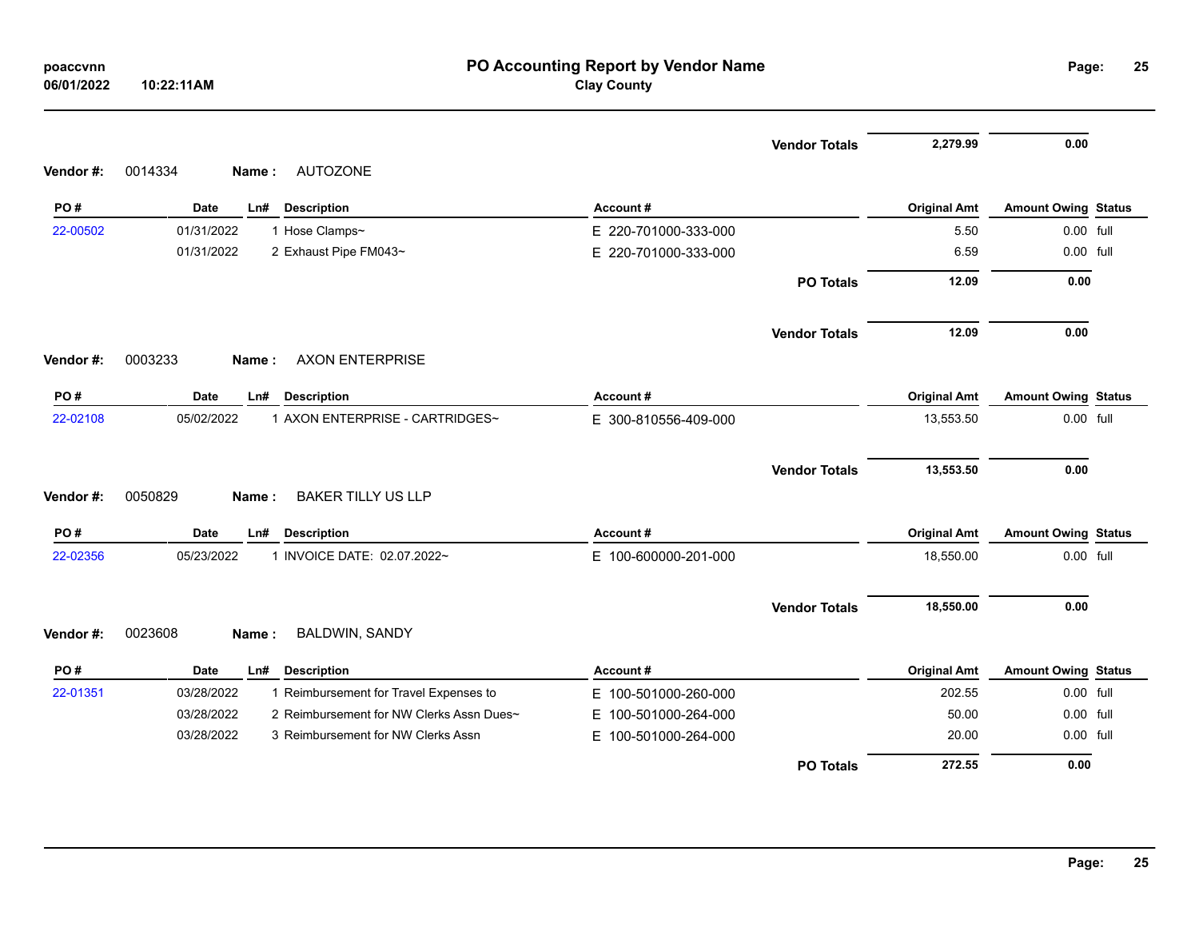| 06/01/2022 | 10:22:11AM                                             | <b>Clay County</b>   |                      |                     |                            |  |
|------------|--------------------------------------------------------|----------------------|----------------------|---------------------|----------------------------|--|
|            |                                                        |                      | <b>Vendor Totals</b> | 2,279.99            | 0.00                       |  |
| Vendor#:   | 0014334<br><b>AUTOZONE</b><br>Name:                    |                      |                      |                     |                            |  |
| PO#        | <b>Date</b><br><b>Description</b><br>Ln#               | Account#             |                      | <b>Original Amt</b> | <b>Amount Owing Status</b> |  |
| 22-00502   | 01/31/2022<br>1 Hose Clamps~                           | E 220-701000-333-000 |                      | 5.50                | 0.00 full                  |  |
|            | 01/31/2022<br>2 Exhaust Pipe FM043~                    | E 220-701000-333-000 |                      | 6.59                | 0.00 full                  |  |
|            |                                                        |                      | <b>PO Totals</b>     | 12.09               | 0.00                       |  |
|            |                                                        |                      | <b>Vendor Totals</b> | 12.09               | 0.00                       |  |
| Vendor#:   | 0003233<br><b>AXON ENTERPRISE</b><br>Name:             |                      |                      |                     |                            |  |
| PO#        | <b>Date</b><br>Ln#<br><b>Description</b>               | Account#             |                      | <b>Original Amt</b> | <b>Amount Owing Status</b> |  |
| 22-02108   | 1 AXON ENTERPRISE - CARTRIDGES~<br>05/02/2022          | E 300-810556-409-000 |                      | 13,553.50           | 0.00 full                  |  |
| Vendor#:   | <b>BAKER TILLY US LLP</b><br>0050829<br>Name:          |                      | <b>Vendor Totals</b> | 13,553.50           | 0.00                       |  |
| PO#        | <b>Date</b><br>Ln#<br><b>Description</b>               | Account#             |                      | <b>Original Amt</b> | <b>Amount Owing Status</b> |  |
| 22-02356   | 05/23/2022<br>1 INVOICE DATE: 02.07.2022~              | E 100-600000-201-000 |                      | 18,550.00           | 0.00 full                  |  |
|            |                                                        |                      | <b>Vendor Totals</b> | 18,550.00           | 0.00                       |  |
| Vendor#:   | 0023608<br><b>BALDWIN, SANDY</b><br>Name:              |                      |                      |                     |                            |  |
| PO#        | <b>Date</b><br>Ln#<br><b>Description</b>               | Account#             |                      | <b>Original Amt</b> | <b>Amount Owing Status</b> |  |
| 22-01351   | 03/28/2022<br>1 Reimbursement for Travel Expenses to   | E 100-501000-260-000 |                      | 202.55              | 0.00 full                  |  |
|            | 2 Reimbursement for NW Clerks Assn Dues~<br>03/28/2022 | E 100-501000-264-000 |                      | 50.00               | 0.00 full                  |  |
|            | 03/28/2022<br>3 Reimbursement for NW Clerks Assn       | E 100-501000-264-000 |                      | 20.00               | 0.00 full                  |  |
|            |                                                        |                      | <b>PO Totals</b>     | 272.55              | 0.00                       |  |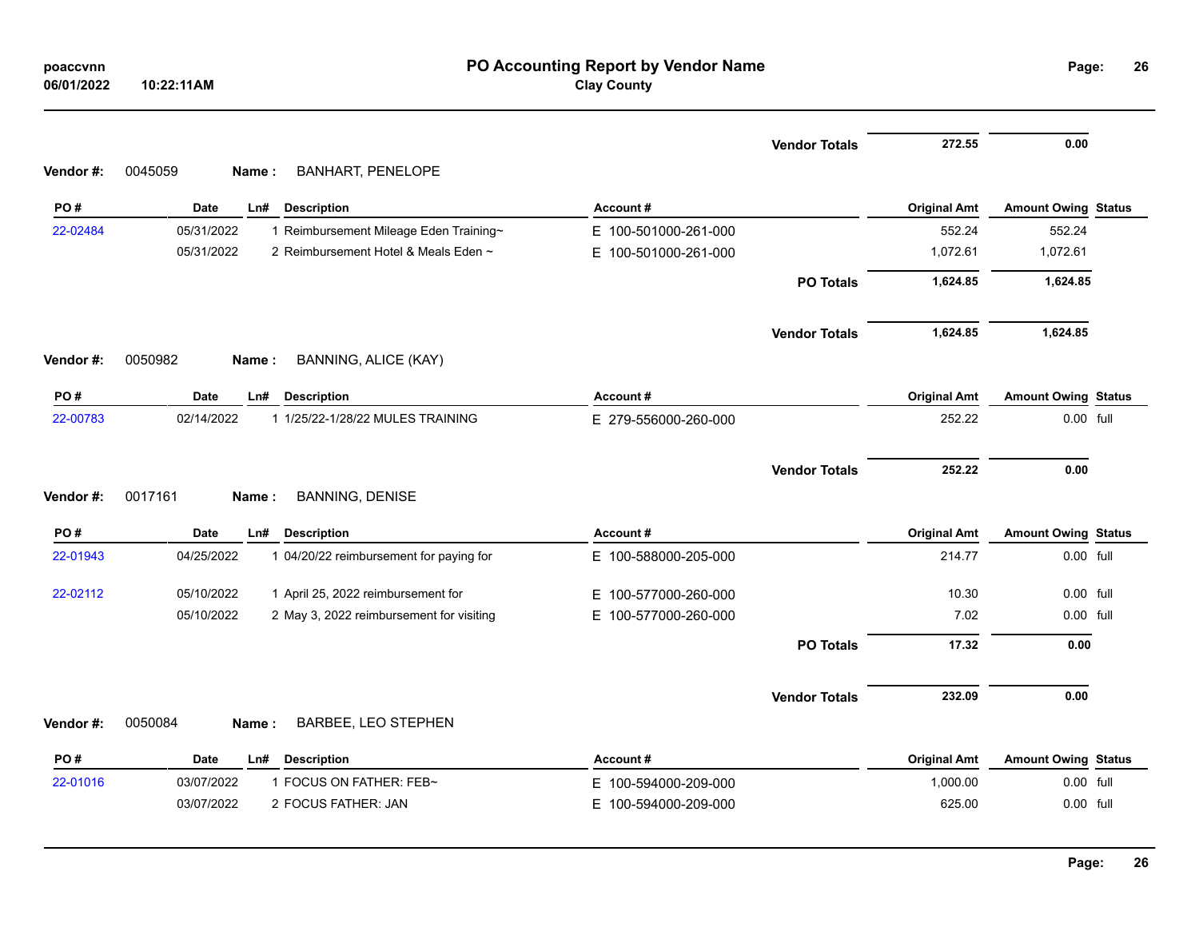| 06/01/2022 | 10:22:11AM                                             | PO Accounting Report by Vendor Name<br><b>Clay County</b> |                               | Page:                            | 26 |
|------------|--------------------------------------------------------|-----------------------------------------------------------|-------------------------------|----------------------------------|----|
|            |                                                        | <b>Vendor Totals</b>                                      | 272.55                        | 0.00                             |    |
| Vendor#:   | <b>BANHART, PENELOPE</b><br>0045059<br>Name:           |                                                           |                               |                                  |    |
| PO#        | Date<br>Ln#<br><b>Description</b>                      | Account#                                                  | <b>Original Amt</b>           | <b>Amount Owing Status</b>       |    |
| 22-02484   | 05/31/2022<br>1 Reimbursement Mileage Eden Training~   | E 100-501000-261-000                                      | 552.24                        | 552.24                           |    |
|            | 05/31/2022<br>2 Reimbursement Hotel & Meals Eden ~     | E 100-501000-261-000                                      | 1,072.61                      | 1,072.61                         |    |
|            |                                                        | <b>PO Totals</b>                                          | 1,624.85                      | 1,624.85                         |    |
|            |                                                        | <b>Vendor Totals</b>                                      | 1,624.85                      | 1,624.85                         |    |
| Vendor#:   | 0050982<br><b>BANNING, ALICE (KAY)</b><br>Name:        |                                                           |                               |                                  |    |
| PO#        | Date<br><b>Description</b><br>Ln#                      | Account#                                                  | <b>Original Amt</b>           | <b>Amount Owing Status</b>       |    |
| 22-00783   | 02/14/2022<br>1 1/25/22-1/28/22 MULES TRAINING         | E 279-556000-260-000                                      | 252.22                        | 0.00 full                        |    |
|            |                                                        |                                                           |                               |                                  |    |
| Vendor#:   | 0017161<br><b>BANNING, DENISE</b><br>Name:             | <b>Vendor Totals</b>                                      | 252.22                        | 0.00                             |    |
| PO#        | Date<br>Ln#<br><b>Description</b>                      | Account#                                                  |                               |                                  |    |
| 22-01943   | 04/25/2022<br>1 04/20/22 reimbursement for paying for  | E 100-588000-205-000                                      | <b>Original Amt</b><br>214.77 | Amount Owing Status<br>0.00 full |    |
| 22-02112   | 05/10/2022<br>1 April 25, 2022 reimbursement for       | E 100-577000-260-000                                      | 10.30                         | 0.00 full                        |    |
|            | 05/10/2022<br>2 May 3, 2022 reimbursement for visiting | E 100-577000-260-000                                      | 7.02                          | 0.00 full                        |    |
|            |                                                        | <b>PO Totals</b>                                          | 17.32                         | 0.00                             |    |
|            |                                                        | <b>Vendor Totals</b>                                      | 232.09                        | 0.00                             |    |
| Vendor#:   | 0050084<br><b>BARBEE, LEO STEPHEN</b><br>Name:         |                                                           |                               |                                  |    |
| PO#        | <b>Date</b><br>Ln#<br><b>Description</b>               | Account#                                                  | <b>Original Amt</b>           | <b>Amount Owing Status</b>       |    |
| 22-01016   | 1 FOCUS ON FATHER: FEB~<br>03/07/2022                  | E 100-594000-209-000<br>E 100-594000-209-000              | 1,000.00                      | 0.00 full                        |    |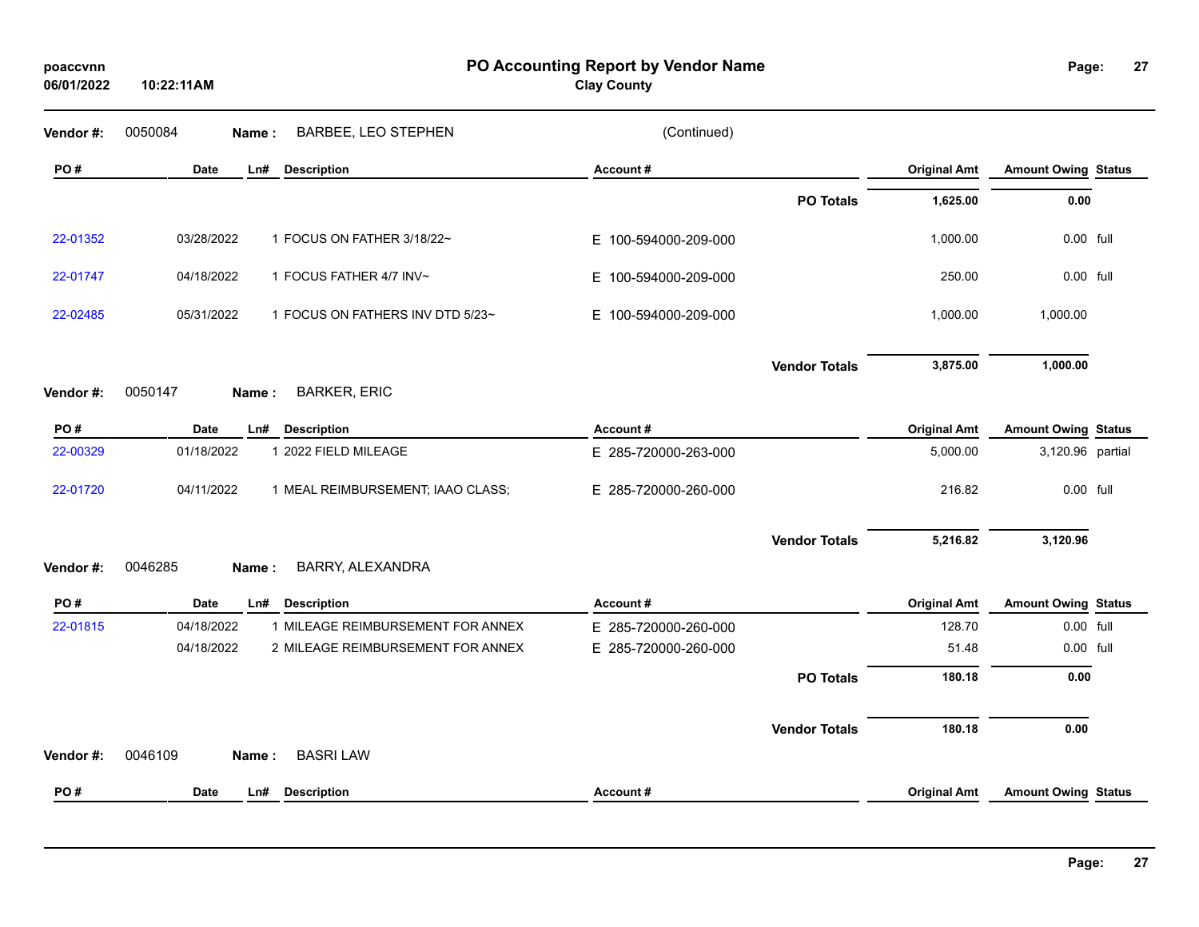| poaccvnn   |  |
|------------|--|
| 06/01/2022 |  |

**PO Accounting Report by Vendor Name poaccvnn Page:**

**Clay County**

| Vendor#:  | 0050084<br><b>BARBEE, LEO STEPHEN</b><br>Name:  | (Continued)          |                      |                     |                            |  |
|-----------|-------------------------------------------------|----------------------|----------------------|---------------------|----------------------------|--|
| PO#       | <b>Date</b><br>Ln#<br><b>Description</b>        | Account#             |                      | <b>Original Amt</b> | <b>Amount Owing Status</b> |  |
|           |                                                 |                      | <b>PO Totals</b>     | 1,625.00            | 0.00                       |  |
| 22-01352  | 03/28/2022<br>1 FOCUS ON FATHER 3/18/22~        | E 100-594000-209-000 |                      | 1,000.00            | 0.00 full                  |  |
| 22-01747  | 1 FOCUS FATHER 4/7 INV~<br>04/18/2022           | E 100-594000-209-000 |                      | 250.00              | 0.00 full                  |  |
| 22-02485  | 05/31/2022<br>1 FOCUS ON FATHERS INV DTD 5/23~  | E 100-594000-209-000 |                      | 1,000.00            | 1,000.00                   |  |
|           |                                                 |                      | <b>Vendor Totals</b> | 3,875.00            | 1,000.00                   |  |
| Vendor#:  | <b>BARKER, ERIC</b><br>0050147<br>Name:         |                      |                      |                     |                            |  |
| PO#       | <b>Date</b><br>Ln#<br><b>Description</b>        | Account#             |                      | <b>Original Amt</b> | <b>Amount Owing Status</b> |  |
| 22-00329  | 01/18/2022<br>1 2022 FIELD MILEAGE              | E 285-720000-263-000 |                      | 5,000.00            | 3,120.96 partial           |  |
| 22-01720  | 04/11/2022<br>1 MEAL REIMBURSEMENT; IAAO CLASS; | E 285-720000-260-000 |                      | 216.82              | 0.00 full                  |  |
|           |                                                 |                      | <b>Vendor Totals</b> | 5,216.82            | 3,120.96                   |  |
| Vendor #: | BARRY, ALEXANDRA<br>0046285<br>Name:            |                      |                      |                     |                            |  |
| PO#       | Date<br><b>Description</b><br>Ln#               | Account#             |                      | <b>Original Amt</b> | <b>Amount Owing Status</b> |  |
| 22-01815  | 04/18/2022<br>1 MILEAGE REIMBURSEMENT FOR ANNEX | E 285-720000-260-000 |                      | 128.70              | 0.00 full                  |  |
|           | 04/18/2022<br>2 MILEAGE REIMBURSEMENT FOR ANNEX | E 285-720000-260-000 |                      | 51.48               | 0.00 full                  |  |
|           |                                                 |                      | <b>PO Totals</b>     | 180.18              | 0.00                       |  |
|           |                                                 |                      | <b>Vendor Totals</b> | 180.18              | 0.00                       |  |
| Vendor#:  | <b>BASRI LAW</b><br>0046109<br>Name:            |                      |                      |                     |                            |  |
| PO#       | <b>Description</b><br><b>Date</b><br>Ln#        | Account#             |                      | <b>Original Amt</b> | <b>Amount Owing Status</b> |  |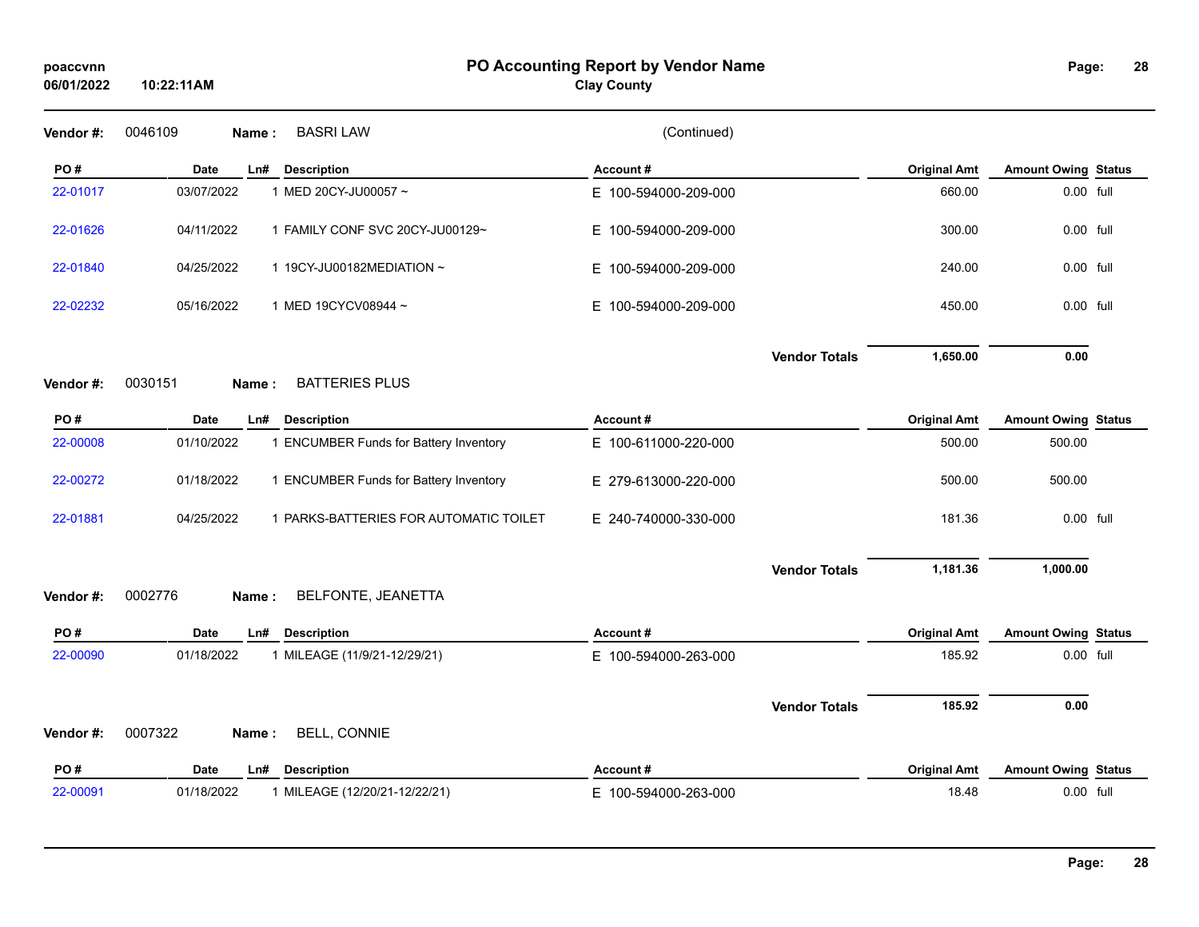| 06/01/2022      | 10:22:11AM      |                                                   | <b>Clay County</b>   |                     |                         |  |
|-----------------|-----------------|---------------------------------------------------|----------------------|---------------------|-------------------------|--|
| Vendor#:        | 0046109         | <b>BASRI LAW</b><br>Name:                         | (Continued)          |                     |                         |  |
| PO#             | Date            | <b>Description</b><br>Ln#                         | Account#             | <b>Original Amt</b> | <b>Amount Owing Sta</b> |  |
| 22-01017        | 03/07/2022      | 1 MED 20CY-JU00057 ~                              | E 100-594000-209-000 | 660.00              | 0.00 full               |  |
| 22-01626        | 04/11/2022      | 1 FAMILY CONF SVC 20CY-JU00129~                   | E 100-594000-209-000 | 300.00              | 0.00 full               |  |
| 22-01840        | 04/25/2022      | 1 19CY-JU00182MEDIATION ~                         | E 100-594000-209-000 | 240.00              | 0.00 full               |  |
| 22-02232        | 05/16/2022      | 1 MED 19CYCV08944~                                | E 100-594000-209-000 | 450.00              | 0.00 full               |  |
|                 |                 |                                                   | <b>Vendor Totals</b> | 1,650.00            | 0.00                    |  |
| Vendor#:<br>PO# | 0030151<br>Date | <b>BATTERIES PLUS</b><br>Name:<br>Ln# Description | Account#             | <b>Original Amt</b> | <b>Amount Owing Sta</b> |  |
| 22-00008        | 01/10/2022      | 1 ENCUMBER Funds for Battery Inventory            | E 100-611000-220-000 | 500.00              | 500.00                  |  |
| 22-00272        | 01/18/2022      | 1 ENCUMBER Funds for Battery Inventory            | E 279-613000-220-000 | 500.00              | 500.00                  |  |
| 22-01881        | 04/25/2022      | 1 PARKS-BATTERIES FOR AUTOMATIC TOILET            | E 240-740000-330-000 | 181.36              | 0.00 full               |  |
|                 |                 |                                                   |                      |                     |                         |  |

|                                             |            |                                                                             |                      |                      | ____________ |           |  |
|---------------------------------------------|------------|-----------------------------------------------------------------------------|----------------------|----------------------|--------------|-----------|--|
| 22-00008                                    | 01/10/2022 | <b>ENCUMBER Funds for Battery Inventory</b>                                 | E 100-611000-220-000 |                      | 500.00       | 500.00    |  |
| 22-00272                                    | 01/18/2022 | <b>ENCUMBER Funds for Battery Inventory</b>                                 | E 279-613000-220-000 |                      | 500.00       | 500.00    |  |
| 22-01881                                    | 04/25/2022 | PARKS-BATTERIES FOR AUTOMATIC TOILET                                        | E 240-740000-330-000 |                      | 181.36       | 0.00 full |  |
|                                             |            |                                                                             |                      | <b>Vendor Totals</b> | 1,181.36     | 1,000.00  |  |
| $M_{\odot}$ and $M_{\odot}$ and $M_{\odot}$ | 000277C    | $\mathbf{M}$<br>$I$ $\Gamma$ $\Lambda$ $I$ $\Gamma$ $\tau$ $\tau$ $\Lambda$ |                      |                      |              |           |  |

### **Vendor #:** 0002776 **Name :** BELFONTE, JEANETTA

| PO#       | Date       | L <sub>n#</sub> | <b>Description</b>            | Account#             |                      | <b>Original Amt</b> | <b>Amount Owing Status</b> |  |
|-----------|------------|-----------------|-------------------------------|----------------------|----------------------|---------------------|----------------------------|--|
| 22-00090  | 01/18/2022 |                 | 1 MILEAGE (11/9/21-12/29/21)  | E 100-594000-263-000 |                      | 185.92              | 0.00 full                  |  |
|           |            |                 |                               |                      | <b>Vendor Totals</b> | 185.92              | 0.00                       |  |
| Vendor #: | 0007322    | Name:           | <b>BELL, CONNIE</b>           |                      |                      |                     |                            |  |
| PO#       | Date       | L <sub>n#</sub> | <b>Description</b>            | Account#             |                      | <b>Original Amt</b> | <b>Amount Owing Status</b> |  |
| 22-00091  | 01/18/2022 |                 | 1 MILEAGE (12/20/21-12/22/21) | E 100-594000-263-000 |                      | 18.48               | 0.00 full                  |  |

**Positional Amt Amount Owing** Status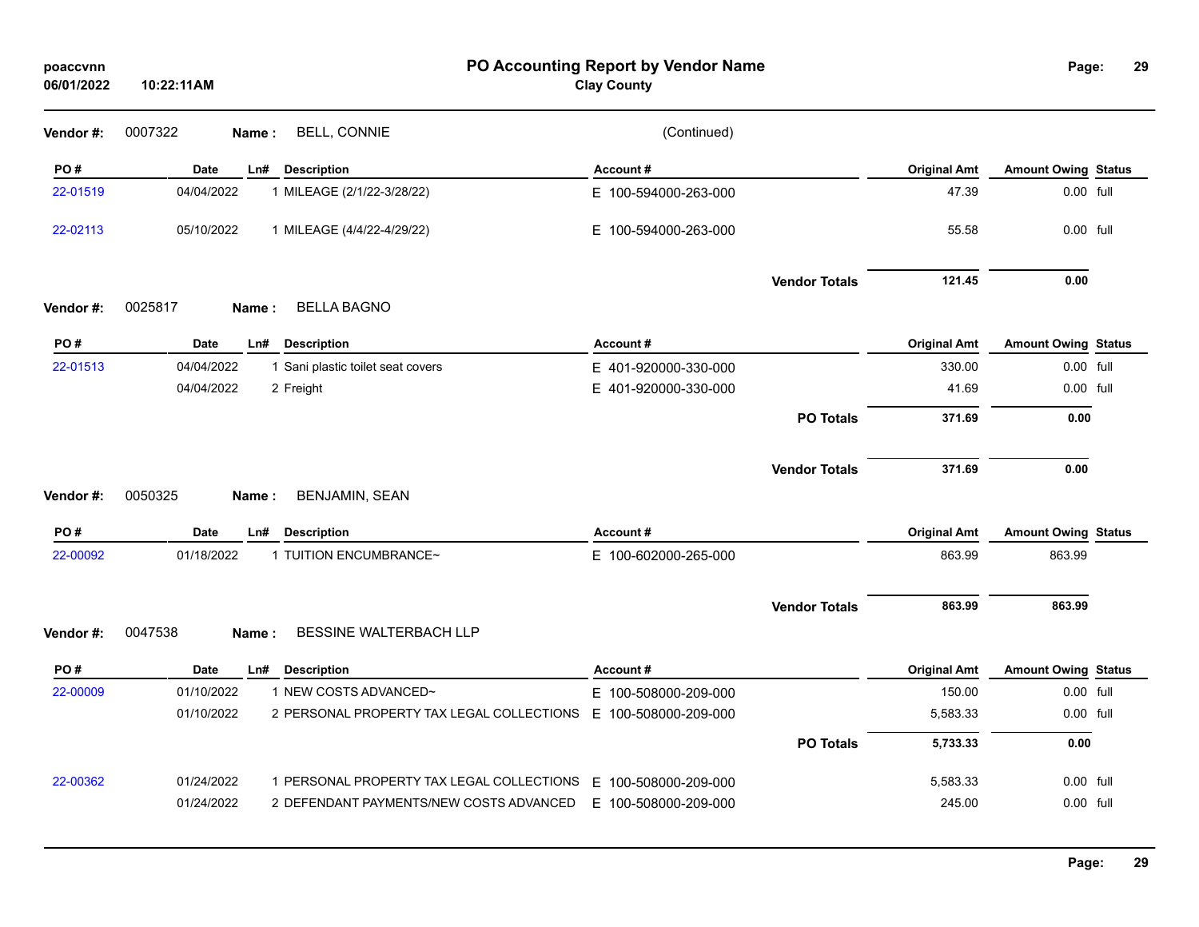| poaccvnn<br>06/01/2022 | 10:22:11AM | PO Accounting Report by Vendor Name<br><b>Clay County</b> |                      |                      |                     |                            |  |  |
|------------------------|------------|-----------------------------------------------------------|----------------------|----------------------|---------------------|----------------------------|--|--|
| Vendor#:               | 0007322    | <b>BELL, CONNIE</b><br>Name:                              | (Continued)          |                      |                     |                            |  |  |
| PO#                    | Date       | Ln#<br><b>Description</b>                                 | Account#             |                      | <b>Original Amt</b> | <b>Amount Owing Status</b> |  |  |
| 22-01519               | 04/04/2022 | 1 MILEAGE (2/1/22-3/28/22)                                | E 100-594000-263-000 |                      | 47.39               | 0.00 full                  |  |  |
| 22-02113               | 05/10/2022 | 1 MILEAGE (4/4/22-4/29/22)                                | E 100-594000-263-000 |                      | 55.58               | 0.00 full                  |  |  |
|                        |            |                                                           |                      | <b>Vendor Totals</b> | 121.45              | 0.00                       |  |  |
| Vendor #:              | 0025817    | <b>BELLA BAGNO</b><br>Name:                               |                      |                      |                     |                            |  |  |
| PO#                    | Date       | <b>Description</b><br>Ln#                                 | Account#             |                      | <b>Original Amt</b> | <b>Amount Owing Status</b> |  |  |
| 22-01513               | 04/04/2022 | 1 Sani plastic toilet seat covers                         | E 401-920000-330-000 |                      | 330.00              | 0.00 full                  |  |  |
|                        | 04/04/2022 | 2 Freight                                                 | E 401-920000-330-000 |                      | 41.69               | 0.00 full                  |  |  |
|                        |            |                                                           |                      | <b>PO Totals</b>     | 371.69              | 0.00                       |  |  |
| Vendor#:               | 0050325    | <b>BENJAMIN, SEAN</b><br>Name :                           |                      | <b>Vendor Totals</b> | 371.69              | 0.00                       |  |  |
| PO#                    | Date       | <b>Description</b><br>Ln#                                 | Account#             |                      | <b>Original Amt</b> | <b>Amount Owing Status</b> |  |  |
| 22-00092               | 01/18/2022 | 1 TUITION ENCUMBRANCE~                                    | E 100-602000-265-000 |                      | 863.99              | 863.99                     |  |  |
|                        |            |                                                           |                      | <b>Vendor Totals</b> | 863.99              | 863.99                     |  |  |
| Vendor#:               | 0047538    | BESSINE WALTERBACH LLP<br>Name:                           |                      |                      |                     |                            |  |  |
| PO#                    | Date       | Ln# Description                                           | Account#             |                      | <b>Original Amt</b> | <b>Amount Owing Status</b> |  |  |
| 22-00009               | 01/10/2022 | 1 NEW COSTS ADVANCED~                                     | E 100-508000-209-000 |                      | 150.00              | 0.00 full                  |  |  |
|                        | 01/10/2022 | 2 PERSONAL PROPERTY TAX LEGAL COLLECTIONS                 | E 100-508000-209-000 |                      | 5,583.33            | 0.00 full                  |  |  |
|                        |            |                                                           |                      | <b>PO Totals</b>     | 5,733.33            | 0.00                       |  |  |
| 22-00362               | 01/24/2022 | 1 PERSONAL PROPERTY TAX LEGAL COLLECTIONS                 | E 100-508000-209-000 |                      | 5,583.33            | 0.00 full                  |  |  |
|                        | 01/24/2022 | 2 DEFENDANT PAYMENTS/NEW COSTS ADVANCED                   | E 100-508000-209-000 |                      | 245.00              | 0.00 full                  |  |  |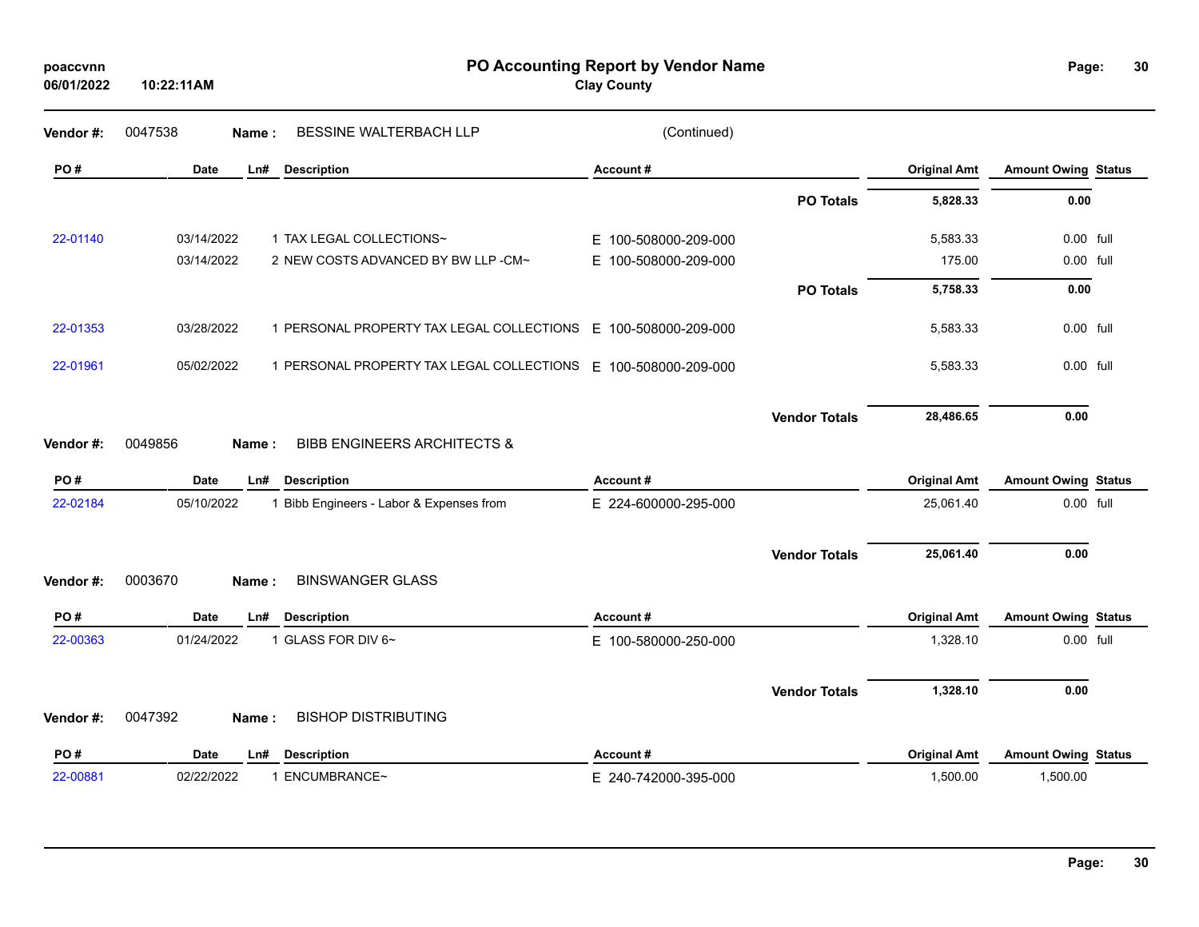| poaccvnn<br>06/01/2022 | 10:22:11AM  |                                                 | PO Accounting Report by Vendor Name<br><b>Clay County</b>      |                                   | Page:                      | 30 |
|------------------------|-------------|-------------------------------------------------|----------------------------------------------------------------|-----------------------------------|----------------------------|----|
| Vendor#:               | 0047538     | BESSINE WALTERBACH LLP<br>Name:                 | (Continued)                                                    |                                   |                            |    |
| PO#                    | <b>Date</b> | <b>Description</b><br>Ln#                       | Account#                                                       | <b>Original Amt</b>               | <b>Amount Owing Status</b> |    |
|                        |             |                                                 |                                                                | <b>PO Totals</b><br>5,828.33      | 0.00                       |    |
| 22-01140               | 03/14/2022  | 1 TAX LEGAL COLLECTIONS~                        | E 100-508000-209-000                                           | 5,583.33                          | 0.00 full                  |    |
|                        | 03/14/2022  | 2 NEW COSTS ADVANCED BY BW LLP -CM~             | E 100-508000-209-000                                           | 175.00                            | 0.00 full                  |    |
|                        |             |                                                 |                                                                | 5,758.33<br><b>PO Totals</b>      | 0.00                       |    |
| 22-01353               | 03/28/2022  | 1 PERSONAL PROPERTY TAX LEGAL COLLECTIONS       | E 100-508000-209-000                                           | 5,583.33                          | 0.00 full                  |    |
| 22-01961               | 05/02/2022  |                                                 | 1 PERSONAL PROPERTY TAX LEGAL COLLECTIONS E 100-508000-209-000 | 5,583.33                          | 0.00 full                  |    |
| Vendor #:              | 0049856     | <b>BIBB ENGINEERS ARCHITECTS &amp;</b><br>Name: |                                                                | <b>Vendor Totals</b><br>28,486.65 | 0.00                       |    |
| PO#                    | <b>Date</b> | LnH<br><b>Description</b>                       | Account#                                                       | <b>Original Amt</b>               | <b>Amount Owing Status</b> |    |
| 22-02184               | 05/10/2022  | 1 Bibb Engineers - Labor & Expenses from        | E 224-600000-295-000                                           | 25,061.40                         | 0.00 full                  |    |
| Vendor#:               | 0003670     | <b>BINSWANGER GLASS</b><br>Name:                |                                                                | 25,061.40<br><b>Vendor Totals</b> | 0.00                       |    |
| PO#                    | <b>Date</b> | LnH<br><b>Description</b>                       | Account#                                                       | <b>Original Amt</b>               | <b>Amount Owing Status</b> |    |
| 22-00363               | 01/24/2022  | 1 GLASS FOR DIV 6~                              | E 100-580000-250-000                                           | 1,328.10                          | 0.00 full                  |    |
| Vendor#:               | 0047392     | <b>BISHOP DISTRIBUTING</b><br>Name:             |                                                                | 1,328.10<br><b>Vendor Totals</b>  | 0.00                       |    |
| PO#                    | <b>Date</b> | Ln#<br><b>Description</b>                       | Account#                                                       | <b>Original Amt</b>               | <b>Amount Owing Status</b> |    |
| 22-00881               | 02/22/2022  | 1 ENCUMBRANCE~                                  | E 240-742000-395-000                                           | 1,500.00                          | 1,500.00                   |    |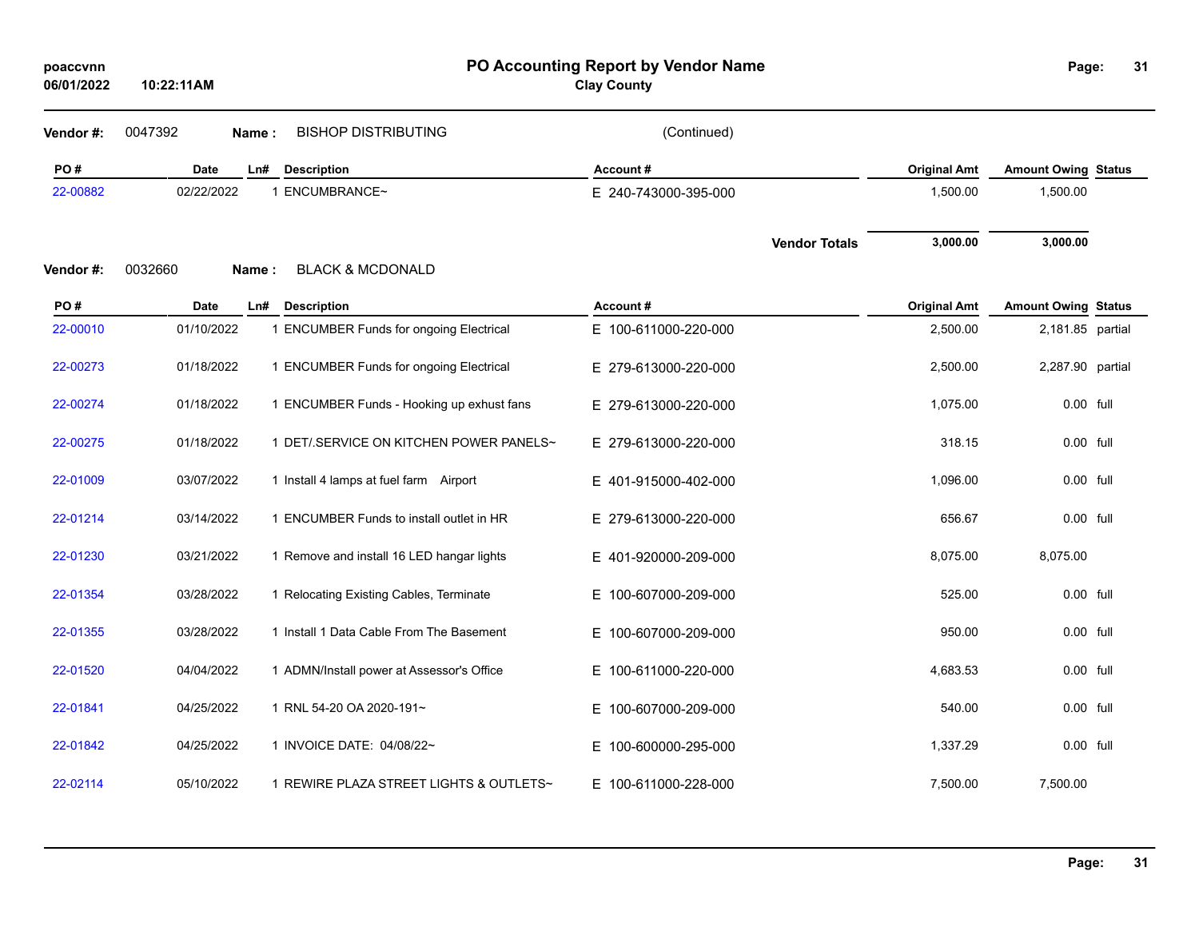| poaccynn   |            |
|------------|------------|
| 06/01/2022 | 10:22:11AM |

**Clay County**

| Vendor #: | 0047392<br>Name: | <b>BISHOP DISTRIBUTING</b>                | (Continued)              |                      |                     |                            |  |
|-----------|------------------|-------------------------------------------|--------------------------|----------------------|---------------------|----------------------------|--|
| PO#       | Date             | Ln#<br><b>Description</b>                 | Account#                 |                      | <b>Original Amt</b> | <b>Amount Owing Status</b> |  |
| 22-00882  | 02/22/2022       | 1 ENCUMBRANCE~                            | E 240-743000-395-000     |                      | 1,500.00            | 1,500.00                   |  |
| Vendor#:  | 0032660<br>Name: | <b>BLACK &amp; MCDONALD</b>               |                          | <b>Vendor Totals</b> | 3,000.00            | 3,000.00                   |  |
| PO#       | Date             | Ln#<br><b>Description</b>                 | Account#                 |                      | <b>Original Amt</b> | <b>Amount Owing Status</b> |  |
| 22-00010  | 01/10/2022       | 1 ENCUMBER Funds for ongoing Electrical   | E 100-611000-220-000     |                      | 2,500.00            | 2,181.85 partial           |  |
| 22-00273  | 01/18/2022       | 1 ENCUMBER Funds for ongoing Electrical   | E 279-613000-220-000     |                      | 2,500.00            | 2,287.90 partial           |  |
| 22-00274  | 01/18/2022       | 1 ENCUMBER Funds - Hooking up exhust fans | E 279-613000-220-000     |                      | 1,075.00            | 0.00 full                  |  |
| 22-00275  | 01/18/2022       | 1 DET/.SERVICE ON KITCHEN POWER PANELS~   | E 279-613000-220-000     |                      | 318.15              | 0.00 full                  |  |
| 22-01009  | 03/07/2022       | 1 Install 4 lamps at fuel farm Airport    | E 401-915000-402-000     |                      | 1,096.00            | 0.00 full                  |  |
| 22-01214  | 03/14/2022       | 1 ENCUMBER Funds to install outlet in HR  | E 279-613000-220-000     |                      | 656.67              | 0.00 full                  |  |
| 22-01230  | 03/21/2022       | 1 Remove and install 16 LED hangar lights | E 401-920000-209-000     |                      | 8,075.00            | 8,075.00                   |  |
| 22-01354  | 03/28/2022       | 1 Relocating Existing Cables, Terminate   | E 100-607000-209-000     |                      | 525.00              | 0.00 full                  |  |
| 22-01355  | 03/28/2022       | 1 Install 1 Data Cable From The Basement  | E 100-607000-209-000     |                      | 950.00              | 0.00 full                  |  |
| 22-01520  | 04/04/2022       | 1 ADMN/Install power at Assessor's Office | E.<br>100-611000-220-000 |                      | 4,683.53            | 0.00 full                  |  |
| 22-01841  | 04/25/2022       | 1 RNL 54-20 OA 2020-191~                  | 100-607000-209-000<br>Е. |                      | 540.00              | $0.00$ full                |  |
| 22-01842  | 04/25/2022       | 1 INVOICE DATE: 04/08/22~                 | 100-600000-295-000<br>Е. |                      | 1,337.29            | 0.00 full                  |  |
| 22-02114  | 05/10/2022       | 1 REWIRE PLAZA STREET LIGHTS & OUTLETS~   | E 100-611000-228-000     |                      | 7,500.00            | 7,500.00                   |  |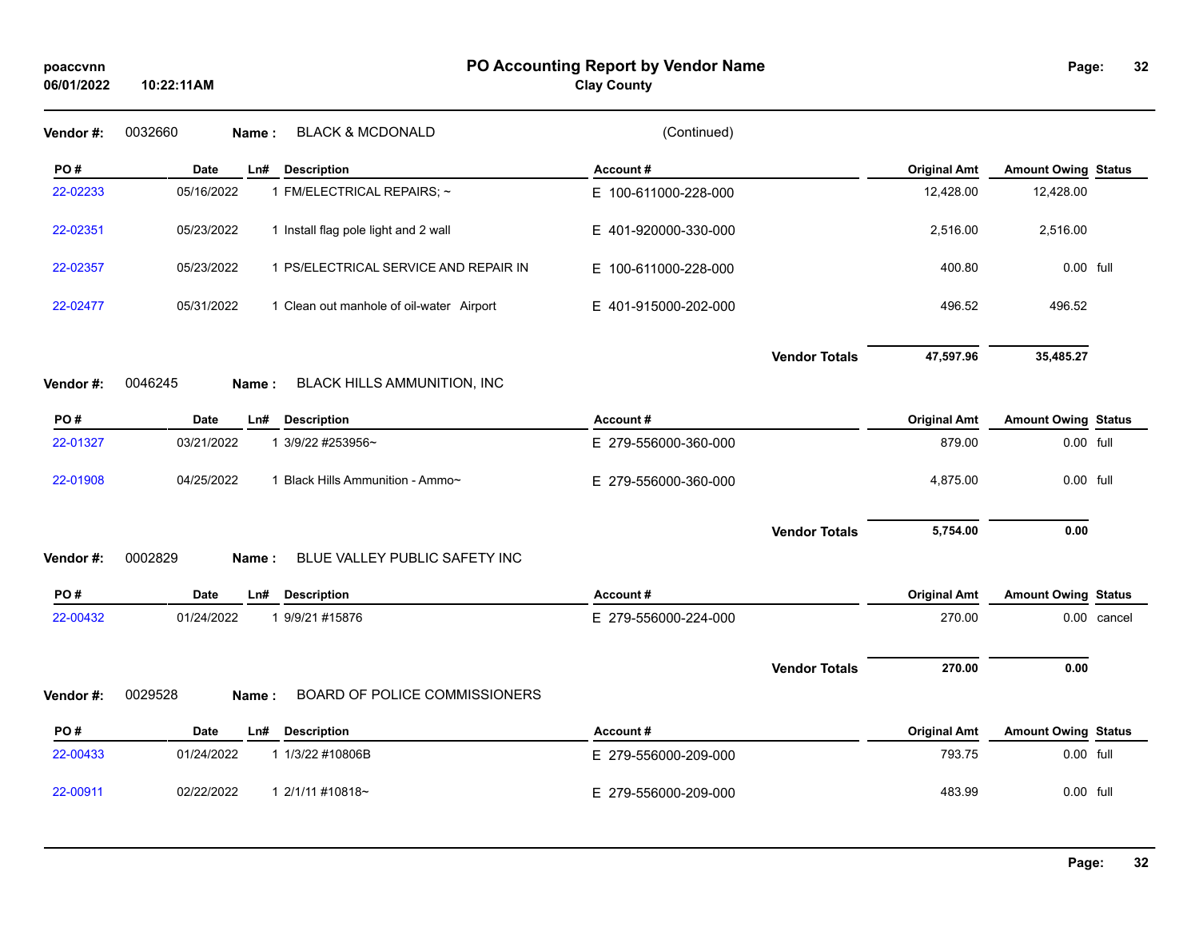**Clay County**

| Vendor #: | 0032660<br><b>BLACK &amp; MCDONALD</b><br>Name:          | (Continued)          |                      |                     |                            |             |
|-----------|----------------------------------------------------------|----------------------|----------------------|---------------------|----------------------------|-------------|
| PO#       | <b>Date</b><br>Ln#<br><b>Description</b>                 | Account#             |                      | <b>Original Amt</b> | <b>Amount Owing Status</b> |             |
| 22-02233  | 05/16/2022<br>1 FM/ELECTRICAL REPAIRS; ~                 | E 100-611000-228-000 |                      | 12,428.00           | 12,428.00                  |             |
| 22-02351  | 1 Install flag pole light and 2 wall<br>05/23/2022       | E 401-920000-330-000 |                      | 2,516.00            | 2,516.00                   |             |
| 22-02357  | 1 PS/ELECTRICAL SERVICE AND REPAIR IN<br>05/23/2022      | E 100-611000-228-000 |                      | 400.80              | 0.00 full                  |             |
| 22-02477  | 05/31/2022<br>1 Clean out manhole of oil-water Airport   | E 401-915000-202-000 |                      | 496.52              | 496.52                     |             |
|           | 0046245                                                  |                      | <b>Vendor Totals</b> | 47,597.96           | 35,485.27                  |             |
| Vendor #: | BLACK HILLS AMMUNITION, INC<br>Name:                     |                      |                      |                     |                            |             |
| PO#       | <b>Date</b><br><b>Description</b><br>Ln#                 | Account#             |                      | <b>Original Amt</b> | <b>Amount Owing Status</b> |             |
| 22-01327  | 03/21/2022<br>1 3/9/22 #253956~                          | E 279-556000-360-000 |                      | 879.00              | 0.00 full                  |             |
| 22-01908  | 04/25/2022<br>1 Black Hills Ammunition - Ammo~           | E 279-556000-360-000 |                      | 4,875.00            | 0.00 full                  |             |
|           |                                                          |                      | <b>Vendor Totals</b> | 5,754.00            | 0.00                       |             |
| Vendor #: | 0002829<br>Name:<br><b>BLUE VALLEY PUBLIC SAFETY INC</b> |                      |                      |                     |                            |             |
| PO#       | <b>Date</b><br>Ln#<br><b>Description</b>                 | Account#             |                      | <b>Original Amt</b> | <b>Amount Owing Status</b> |             |
| 22-00432  | 01/24/2022<br>1 9/9/21 #15876                            | E 279-556000-224-000 |                      | 270.00              |                            | 0.00 cancel |
|           |                                                          |                      | <b>Vendor Totals</b> | 270.00              | 0.00                       |             |
| Vendor #: | 0029528<br>BOARD OF POLICE COMMISSIONERS<br>Name:        |                      |                      |                     |                            |             |
| PO#       | <b>Description</b><br><b>Date</b><br>Ln#                 | Account#             |                      | <b>Original Amt</b> | <b>Amount Owing Status</b> |             |
| 22-00433  | 01/24/2022<br>1 1/3/22 #10806B                           | E 279-556000-209-000 |                      | 793.75              | 0.00 full                  |             |
| 22-00911  | 02/22/2022<br>1 2/1/11 #10818~                           | E 279-556000-209-000 |                      | 483.99              | 0.00 full                  |             |
|           |                                                          |                      |                      |                     |                            |             |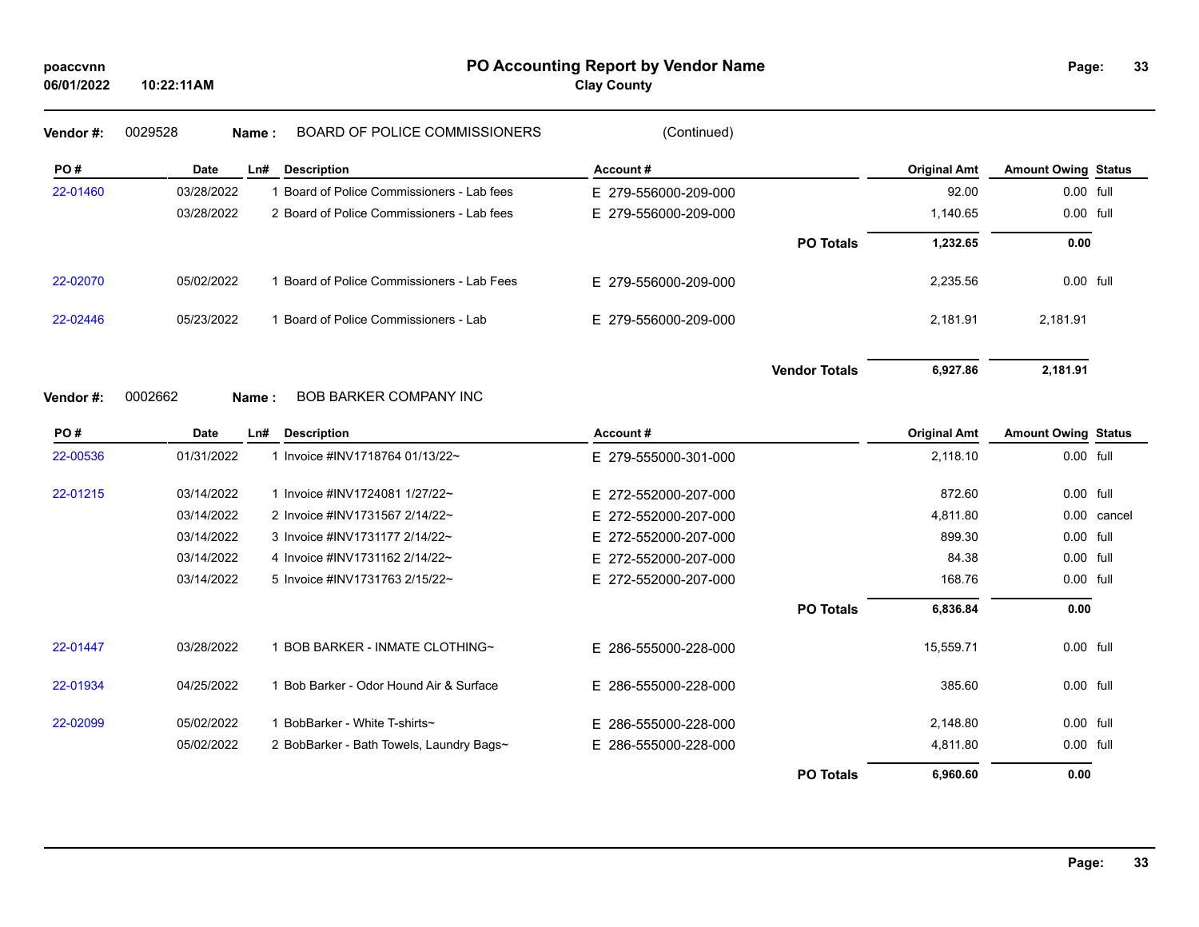## **PO Accounting Report by Vendor Name poaccvnn Page:**

**Clay County**

| Vendor #: | 0029528    | <b>BOARD OF POLICE COMMISSIONERS</b><br>Name: | (Continued)          |                      |                     |                            |  |
|-----------|------------|-----------------------------------------------|----------------------|----------------------|---------------------|----------------------------|--|
| PO#       | Date       | Ln#<br><b>Description</b>                     | Account#             |                      | <b>Original Amt</b> | <b>Amount Owing Status</b> |  |
| 22-01460  | 03/28/2022 | Board of Police Commissioners - Lab fees      | E 279-556000-209-000 |                      | 92.00               | 0.00 full                  |  |
|           | 03/28/2022 | 2 Board of Police Commissioners - Lab fees    | E 279-556000-209-000 |                      | 1,140.65            | 0.00 full                  |  |
|           |            |                                               |                      | <b>PO Totals</b>     | 1,232.65            | 0.00                       |  |
| 22-02070  | 05/02/2022 | Board of Police Commissioners - Lab Fees      | E 279-556000-209-000 |                      | 2,235.56            | 0.00 full                  |  |
| 22-02446  | 05/23/2022 | Board of Police Commissioners - Lab           | E 279-556000-209-000 |                      | 2,181.91            | 2,181.91                   |  |
|           |            |                                               |                      | <b>Vendor Totals</b> | 6,927.86            | 2,181.91                   |  |
| Vendor #: | 0002662    | <b>BOB BARKER COMPANY INC</b><br>Name:        |                      |                      |                     |                            |  |

| PO#      | Date       | Ln#<br><b>Description</b>                | Account#             |                  | <b>Original Amt</b> | <b>Amount Owing Status</b> |        |
|----------|------------|------------------------------------------|----------------------|------------------|---------------------|----------------------------|--------|
| 22-00536 | 01/31/2022 | Invoice #INV1718764 01/13/22~            | E 279-555000-301-000 |                  | 2,118.10            | $0.00$ full                |        |
| 22-01215 | 03/14/2022 | Invoice #INV1724081 1/27/22~             | E 272-552000-207-000 |                  | 872.60              | 0.00 full                  |        |
|          | 03/14/2022 | 2 Invoice #INV1731567 2/14/22~           | E 272-552000-207-000 |                  | 4,811.80            | 0.00                       | cancel |
|          | 03/14/2022 | 3 Invoice #INV1731177 2/14/22~           | E 272-552000-207-000 |                  | 899.30              | 0.00 full                  |        |
|          | 03/14/2022 | 4 Invoice #INV1731162 2/14/22~           | E 272-552000-207-000 |                  | 84.38               | 0.00 full                  |        |
|          | 03/14/2022 | 5 Invoice #INV1731763 2/15/22~           | E 272-552000-207-000 |                  | 168.76              | 0.00 full                  |        |
|          |            |                                          |                      | <b>PO Totals</b> | 6,836.84            | 0.00                       |        |
| 22-01447 | 03/28/2022 | BOB BARKER - INMATE CLOTHING~            | E 286-555000-228-000 |                  | 15,559.71           | 0.00 full                  |        |
| 22-01934 | 04/25/2022 | Bob Barker - Odor Hound Air & Surface    | E 286-555000-228-000 |                  | 385.60              | 0.00 full                  |        |
| 22-02099 | 05/02/2022 | BobBarker - White T-shirts~              | E 286-555000-228-000 |                  | 2,148.80            | 0.00 full                  |        |
|          | 05/02/2022 | 2 BobBarker - Bath Towels, Laundry Bags~ | E 286-555000-228-000 |                  | 4,811.80            | 0.00 full                  |        |
|          |            |                                          |                      | <b>PO Totals</b> | 6,960.60            | 0.00                       |        |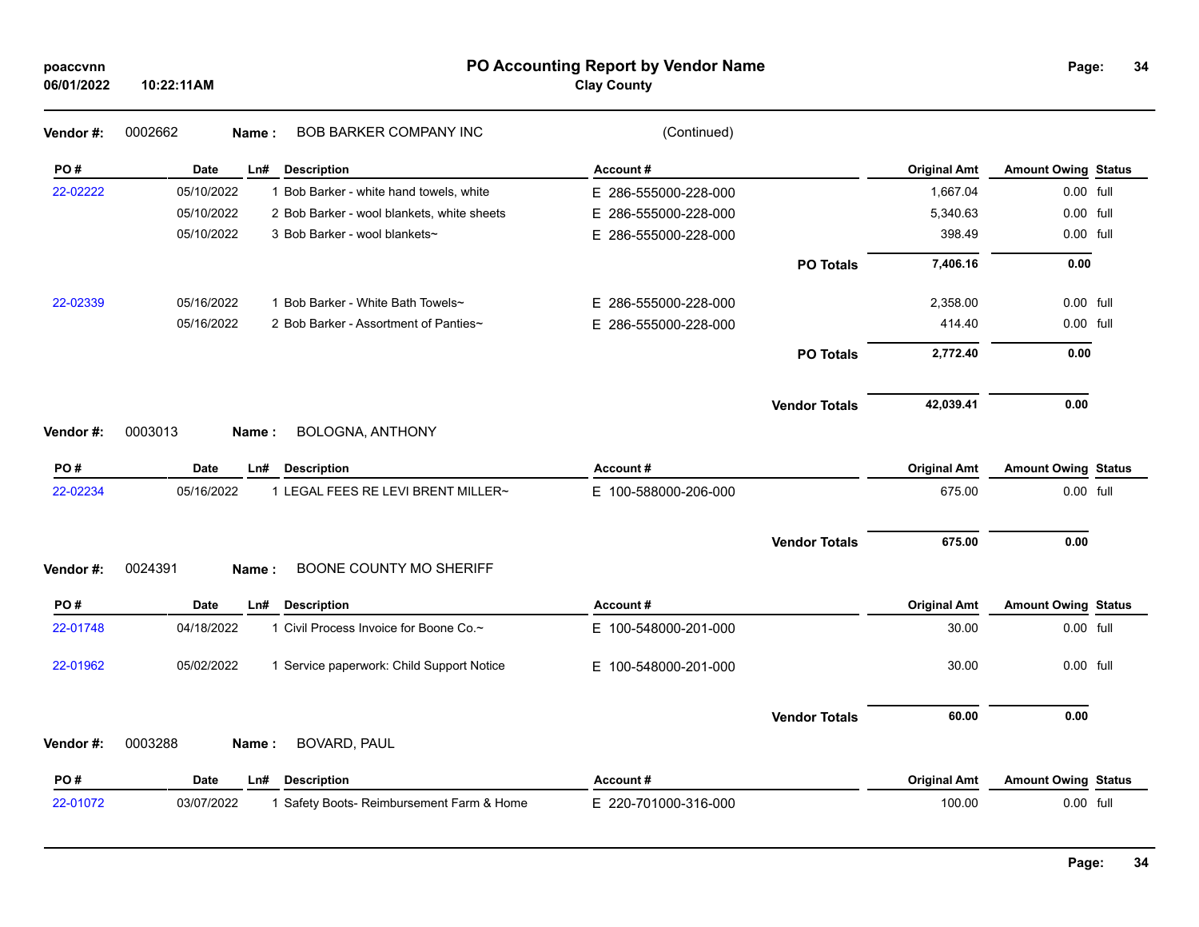| poaccvnn |
|----------|
|----------|

### **PO Accounting Report by Vendor Name poaccvnn Page:**

## **Clay County**

| Vendor #: | <b>BOB BARKER COMPANY INC</b><br>0002662<br>Name:        | (Continued)              |                      |                     |                            |  |
|-----------|----------------------------------------------------------|--------------------------|----------------------|---------------------|----------------------------|--|
| PO#       | <b>Date</b><br>Ln#<br><b>Description</b>                 | Account#                 |                      | <b>Original Amt</b> | <b>Amount Owing Status</b> |  |
| 22-02222  | 05/10/2022<br>1 Bob Barker - white hand towels, white    | E 286-555000-228-000     |                      | 1,667.04            | 0.00 full                  |  |
|           | 05/10/2022<br>2 Bob Barker - wool blankets, white sheets | 286-555000-228-000<br>E. |                      | 5,340.63            | 0.00 full                  |  |
|           | 05/10/2022<br>3 Bob Barker - wool blankets~              | E.<br>286-555000-228-000 |                      | 398.49              | 0.00 full                  |  |
|           |                                                          |                          | <b>PO Totals</b>     | 7,406.16            | 0.00                       |  |
| 22-02339  | 05/16/2022<br>1 Bob Barker - White Bath Towels~          | 286-555000-228-000<br>Е. |                      | 2,358.00            | 0.00 full                  |  |
|           | 05/16/2022<br>2 Bob Barker - Assortment of Panties~      | E 286-555000-228-000     |                      | 414.40              | 0.00 full                  |  |
|           |                                                          |                          | <b>PO Totals</b>     | 2,772.40            | 0.00                       |  |
|           |                                                          |                          | <b>Vendor Totals</b> | 42,039.41           | 0.00                       |  |
| Vendor #: | <b>BOLOGNA, ANTHONY</b><br>0003013<br>Name:              |                          |                      |                     |                            |  |
| PO#       | <b>Description</b><br><b>Date</b><br>Ln#                 | Account#                 |                      | <b>Original Amt</b> | <b>Amount Owing Status</b> |  |
| 22-02234  | 05/16/2022<br>1 LEGAL FEES RE LEVI BRENT MILLER~         | E 100-588000-206-000     |                      | 675.00              | 0.00 full                  |  |
|           |                                                          |                          | <b>Vendor Totals</b> | 675.00              | 0.00                       |  |
| Vendor #: | 0024391<br>BOONE COUNTY MO SHERIFF<br>Name:              |                          |                      |                     |                            |  |
| PO#       | Date<br><b>Description</b><br>Ln#                        | Account#                 |                      | <b>Original Amt</b> | <b>Amount Owing Status</b> |  |
| 22-01748  | 04/18/2022<br>1 Civil Process Invoice for Boone Co.~     | E 100-548000-201-000     |                      | 30.00               | 0.00 full                  |  |
| 22-01962  | 05/02/2022<br>1 Service paperwork: Child Support Notice  | E.<br>100-548000-201-000 |                      | 30.00               | 0.00 full                  |  |
|           |                                                          |                          | <b>Vendor Totals</b> | 60.00               | 0.00                       |  |
| Vendor #: | 0003288<br>BOVARD, PAUL<br>Name:                         |                          |                      |                     |                            |  |
| PO#       | <b>Date</b><br><b>Description</b><br>Ln#                 | Account#                 |                      | <b>Original Amt</b> | <b>Amount Owing Status</b> |  |
| 22-01072  | 03/07/2022<br>1 Safety Boots- Reimbursement Farm & Home  | E 220-701000-316-000     |                      | 100.00              | 0.00 full                  |  |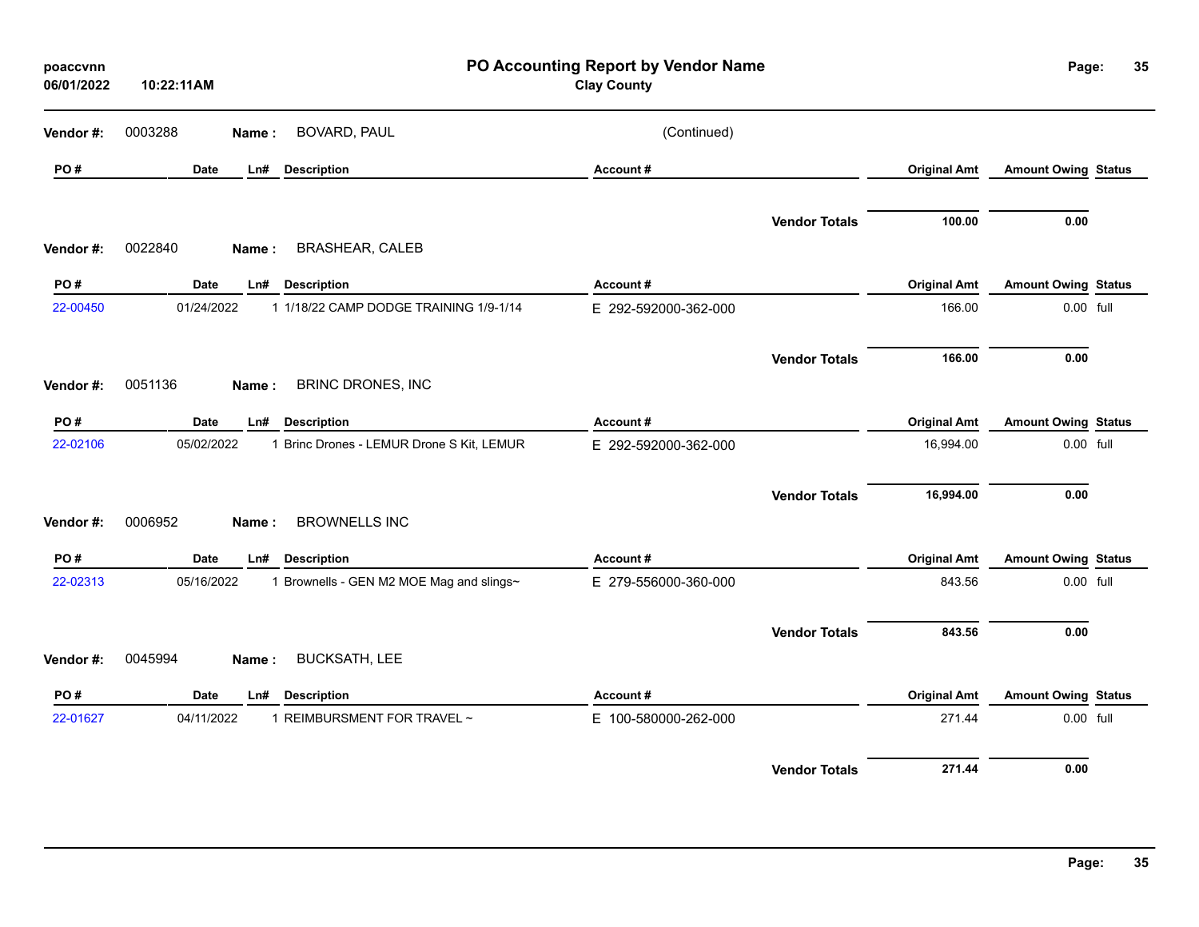| poaccvnn<br>06/01/2022 | 10:22:11AM |       |                                           | PO Accounting Report by Vendor Name<br><b>Clay County</b> |                      |                     | Page:                      | 35 |
|------------------------|------------|-------|-------------------------------------------|-----------------------------------------------------------|----------------------|---------------------|----------------------------|----|
| Vendor#:               | 0003288    | Name: | BOVARD, PAUL                              | (Continued)                                               |                      |                     |                            |    |
| PO#                    | Date       | Ln#   | <b>Description</b>                        | Account#                                                  |                      | <b>Original Amt</b> | <b>Amount Owing Status</b> |    |
| Vendor#:               | 0022840    | Name: | <b>BRASHEAR, CALEB</b>                    |                                                           | <b>Vendor Totals</b> | 100.00              | 0.00                       |    |
| PO#                    | Date       | Ln#   | <b>Description</b>                        | Account#                                                  |                      | <b>Original Amt</b> | <b>Amount Owing Status</b> |    |
| 22-00450               | 01/24/2022 |       | 1 1/18/22 CAMP DODGE TRAINING 1/9-1/14    | E 292-592000-362-000                                      |                      | 166.00              | 0.00 full                  |    |
| Vendor#:               | 0051136    | Name: | BRINC DRONES, INC                         |                                                           | <b>Vendor Totals</b> | 166.00              | 0.00                       |    |
| PO#                    | Date       | Ln#   | <b>Description</b>                        | Account#                                                  |                      | <b>Original Amt</b> | <b>Amount Owing Status</b> |    |
| 22-02106               | 05/02/2022 |       | 1 Brinc Drones - LEMUR Drone S Kit, LEMUR | E 292-592000-362-000                                      |                      | 16,994.00           | 0.00 full                  |    |
| Vendor#:               | 0006952    | Name: | <b>BROWNELLS INC</b>                      |                                                           | <b>Vendor Totals</b> | 16,994.00           | 0.00                       |    |
| PO#                    | Date       | Ln#   | <b>Description</b>                        | Account#                                                  |                      | <b>Original Amt</b> | <b>Amount Owing Status</b> |    |
| 22-02313               | 05/16/2022 |       | 1 Brownells - GEN M2 MOE Mag and slings~  | E 279-556000-360-000                                      |                      | 843.56              | 0.00 full                  |    |
|                        |            |       |                                           |                                                           | <b>Vendor Totals</b> | 843.56              | 0.00                       |    |
| Vendor#:               | 0045994    | Name: | <b>BUCKSATH, LEE</b>                      |                                                           |                      |                     |                            |    |
| PO#                    | Date       | Ln#   | <b>Description</b>                        | <b>Account#</b>                                           |                      | <b>Original Amt</b> | <b>Amount Owing Status</b> |    |
| 22-01627               | 04/11/2022 |       | 1 REIMBURSMENT FOR TRAVEL ~               | E 100-580000-262-000                                      |                      | 271.44              | 0.00 full                  |    |
|                        |            |       |                                           |                                                           | <b>Vendor Totals</b> | 271.44              | 0.00                       |    |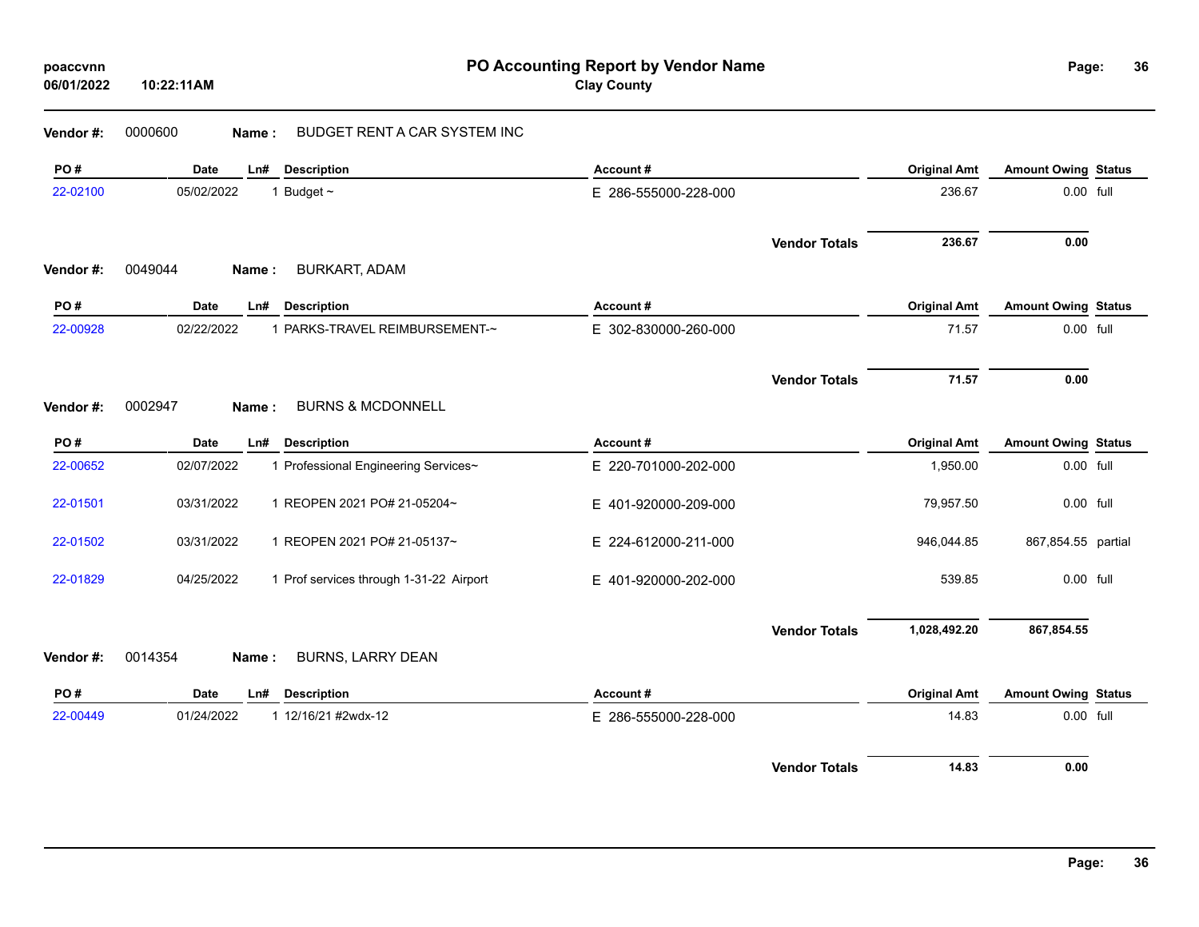## **Vendor #:** 0000600 **Name :** BUDGET RENT A CAR SYSTEM INC

| PO#       | <b>Date</b> | Ln#   | <b>Description</b>                      | Account#             |                      | <b>Original Amt</b> | <b>Amount Owing Status</b> |  |
|-----------|-------------|-------|-----------------------------------------|----------------------|----------------------|---------------------|----------------------------|--|
| 22-02100  | 05/02/2022  |       | 1 Budget $\sim$                         | E 286-555000-228-000 |                      | 236.67              | 0.00 full                  |  |
|           |             |       |                                         |                      | <b>Vendor Totals</b> | 236.67              | 0.00                       |  |
| Vendor #: | 0049044     | Name: | <b>BURKART, ADAM</b>                    |                      |                      |                     |                            |  |
| PO#       | <b>Date</b> | Ln#   | <b>Description</b>                      | Account#             |                      | <b>Original Amt</b> | <b>Amount Owing Status</b> |  |
| 22-00928  | 02/22/2022  |       | 1 PARKS-TRAVEL REIMBURSEMENT-~          | E 302-830000-260-000 |                      | 71.57               | 0.00 full                  |  |
|           |             |       |                                         |                      | <b>Vendor Totals</b> | 71.57               | 0.00                       |  |
| Vendor#:  | 0002947     | Name: | <b>BURNS &amp; MCDONNELL</b>            |                      |                      |                     |                            |  |
| PO#       | <b>Date</b> | Ln#   | <b>Description</b>                      | Account#             |                      | <b>Original Amt</b> | <b>Amount Owing Status</b> |  |
| 22-00652  | 02/07/2022  |       | 1 Professional Engineering Services~    | E 220-701000-202-000 |                      | 1,950.00            | 0.00 full                  |  |
| 22-01501  | 03/31/2022  |       | 1 REOPEN 2021 PO# 21-05204~             | E 401-920000-209-000 |                      | 79,957.50           | 0.00 full                  |  |
| 22-01502  | 03/31/2022  |       | 1 REOPEN 2021 PO# 21-05137~             | E 224-612000-211-000 |                      | 946,044.85          | 867,854.55 partial         |  |
| 22-01829  | 04/25/2022  |       | 1 Prof services through 1-31-22 Airport | E 401-920000-202-000 |                      | 539.85              | 0.00 full                  |  |
|           |             |       |                                         |                      | <b>Vendor Totals</b> | 1,028,492.20        | 867,854.55                 |  |
| Vendor #: | 0014354     | Name: | BURNS, LARRY DEAN                       |                      |                      |                     |                            |  |
| PO#       | <b>Date</b> | Ln#   | <b>Description</b>                      | Account#             |                      | <b>Original Amt</b> | <b>Amount Owing Status</b> |  |
| 22-00449  | 01/24/2022  |       | 1 12/16/21 #2wdx-12                     | E 286-555000-228-000 |                      | 14.83               | 0.00 full                  |  |
|           |             |       |                                         |                      | <b>Vendor Totals</b> | 14.83               | 0.00                       |  |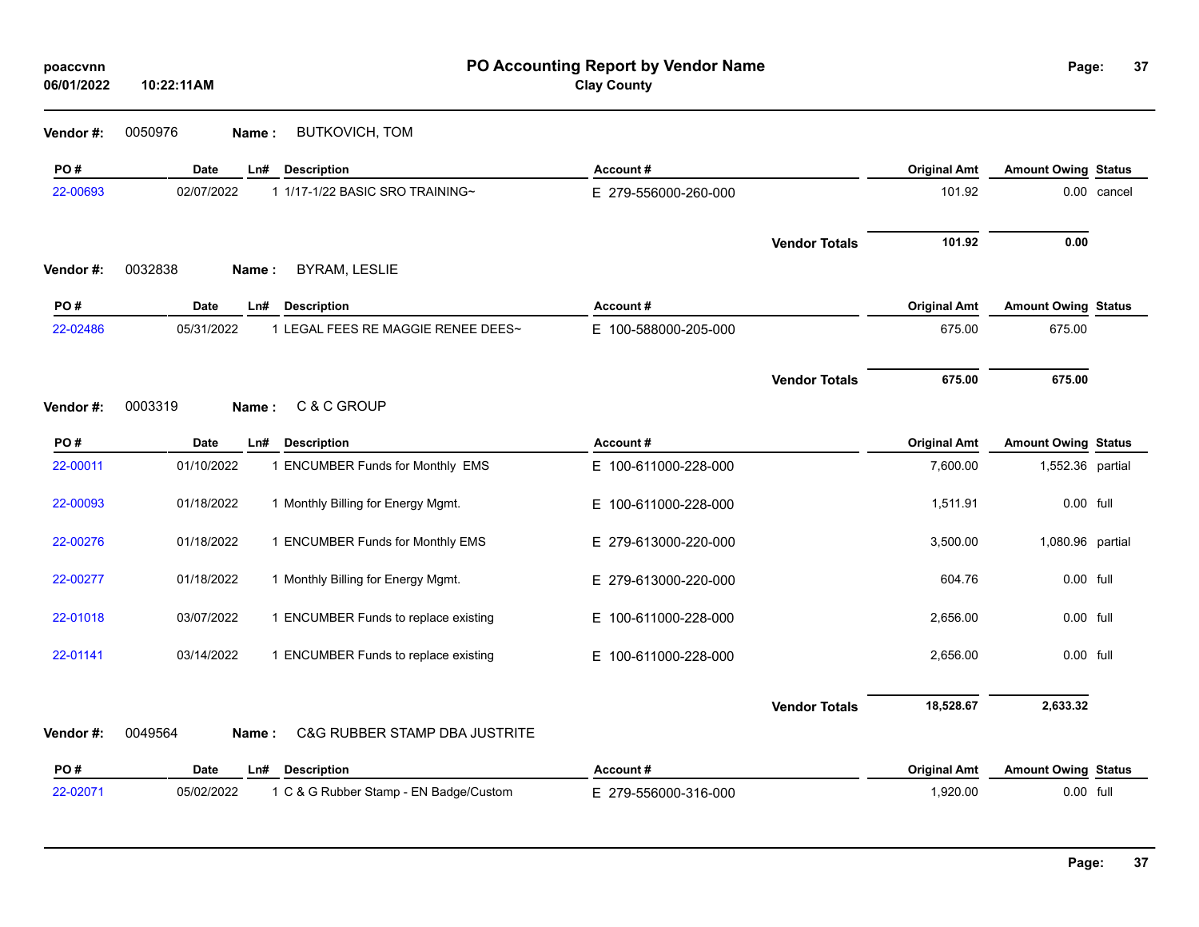| poaccvnn<br>06/01/2022 | PO Accounting Report by Vendor Name<br><b>Clay County</b><br>10:22:11AM |                      |                      |                     | Page:                      | 37          |
|------------------------|-------------------------------------------------------------------------|----------------------|----------------------|---------------------|----------------------------|-------------|
| Vendor#:               | 0050976<br>BUTKOVICH, TOM<br>Name:                                      |                      |                      |                     |                            |             |
| PO#                    | Date<br>Ln#<br><b>Description</b>                                       | Account#             |                      | <b>Original Amt</b> | <b>Amount Owing Status</b> |             |
| 22-00693               | 02/07/2022<br>1 1/17-1/22 BASIC SRO TRAINING~                           | E 279-556000-260-000 |                      | 101.92              |                            | 0.00 cancel |
| Vendor#:               | 0032838<br><b>BYRAM, LESLIE</b><br>Name:                                |                      | <b>Vendor Totals</b> | 101.92              | 0.00                       |             |
| PO#                    | <b>Description</b><br>Date<br>Ln#                                       | Account#             |                      | <b>Original Amt</b> | <b>Amount Owing Status</b> |             |
| 22-02486               | 05/31/2022<br>1 LEGAL FEES RE MAGGIE RENEE DEES~                        | E 100-588000-205-000 |                      | 675.00              | 675.00                     |             |
|                        |                                                                         |                      | <b>Vendor Totals</b> | 675.00              | 675.00                     |             |
| Vendor #:              | 0003319<br>C & C GROUP<br>Name:                                         |                      |                      |                     |                            |             |
| PO#                    | Date<br>Ln#<br><b>Description</b>                                       | Account#             |                      | <b>Original Amt</b> | <b>Amount Owing Status</b> |             |
| 22-00011               | 01/10/2022<br>1 ENCUMBER Funds for Monthly EMS                          | E 100-611000-228-000 |                      | 7,600.00            | 1,552.36 partial           |             |
| 22-00093               | 01/18/2022<br>1 Monthly Billing for Energy Mgmt.                        | E 100-611000-228-000 |                      | 1,511.91            | 0.00 full                  |             |
| 22-00276               | 01/18/2022<br>1 ENCUMBER Funds for Monthly EMS                          | E 279-613000-220-000 |                      | 3,500.00            | 1,080.96 partial           |             |
| 22-00277               | 1 Monthly Billing for Energy Mgmt.<br>01/18/2022                        | E 279-613000-220-000 |                      | 604.76              | 0.00 full                  |             |
| 22-01018               | 03/07/2022<br>1 ENCUMBER Funds to replace existing                      | E 100-611000-228-000 |                      | 2,656.00            | 0.00 full                  |             |
| 22-01141               | 03/14/2022<br>1 ENCUMBER Funds to replace existing                      | E 100-611000-228-000 |                      | 2,656.00            | 0.00 full                  |             |
|                        |                                                                         |                      | <b>Vendor Totals</b> | 18,528.67           | 2,633.32                   |             |
| Vendor#:               | 0049564<br><b>C&amp;G RUBBER STAMP DBA JUSTRITE</b><br>Name:            |                      |                      |                     |                            |             |
| PO#                    | Date<br>Ln#<br><b>Description</b>                                       | Account#             |                      | <b>Original Amt</b> | <b>Amount Owing Status</b> |             |
| 22-02071               | 05/02/2022<br>1 C & G Rubber Stamp - EN Badge/Custom                    | E 279-556000-316-000 |                      | 1,920.00            | 0.00 full                  |             |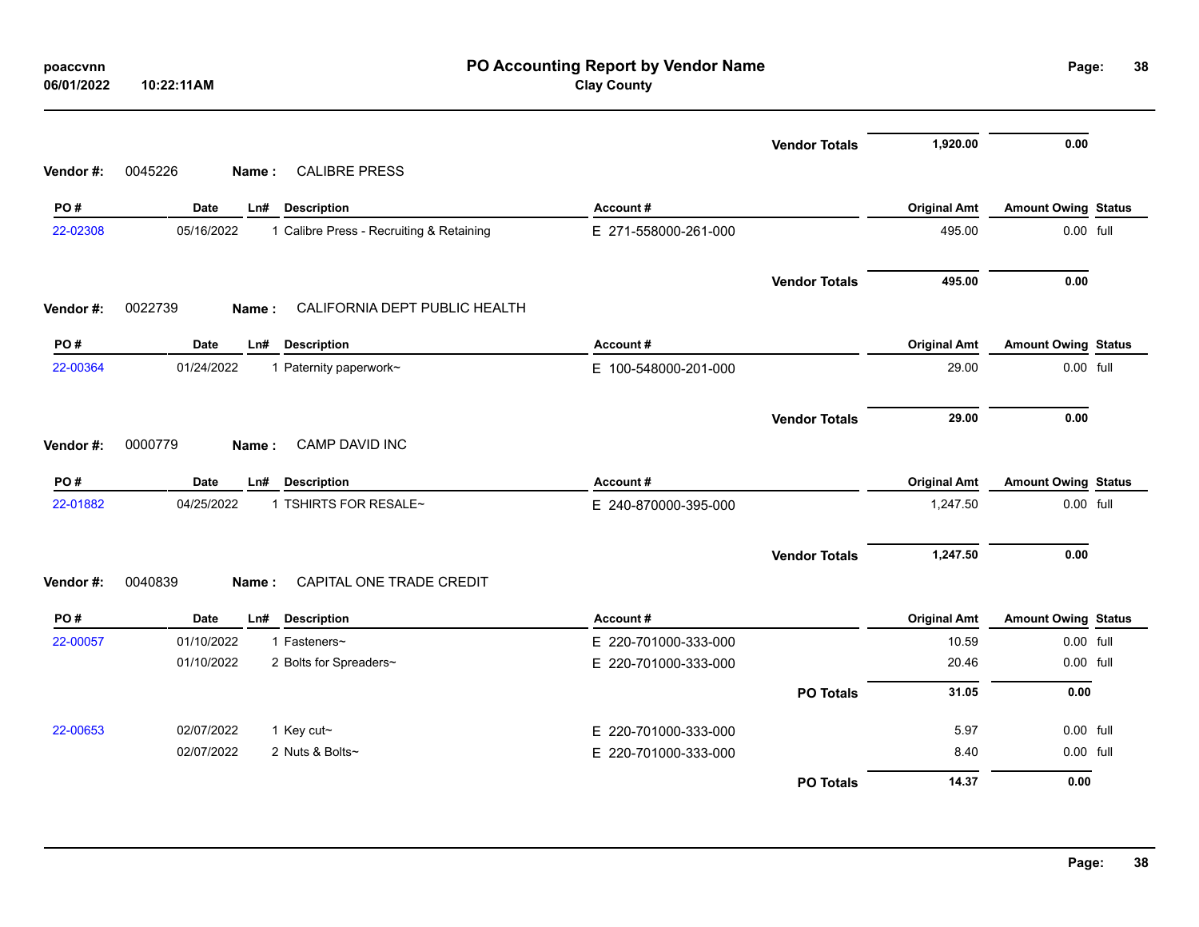| poaccvnn<br>06/01/2022 | 10:22:11AM                                             | PO Accounting Report by Vendor Name<br><b>Clay County</b> |                     | Page:                      | 38 |
|------------------------|--------------------------------------------------------|-----------------------------------------------------------|---------------------|----------------------------|----|
|                        | <b>CALIBRE PRESS</b>                                   | <b>Vendor Totals</b>                                      | 1,920.00            | 0.00                       |    |
| Vendor#:               | 0045226<br>Name:                                       |                                                           |                     |                            |    |
| PO#                    | <b>Date</b><br><b>Description</b><br>Ln#               | Account#                                                  | <b>Original Amt</b> | <b>Amount Owing Status</b> |    |
| 22-02308               | 1 Calibre Press - Recruiting & Retaining<br>05/16/2022 | E 271-558000-261-000                                      | 495.00              | 0.00 full                  |    |
|                        |                                                        | <b>Vendor Totals</b>                                      | 495.00              | 0.00                       |    |
| Vendor #:              | 0022739<br>CALIFORNIA DEPT PUBLIC HEALTH<br>Name:      |                                                           |                     |                            |    |
| PO#                    | Date<br><b>Description</b><br>Ln#                      | Account#                                                  | <b>Original Amt</b> | <b>Amount Owing Status</b> |    |
| 22-00364               | 01/24/2022<br>1 Paternity paperwork~                   | E 100-548000-201-000                                      | 29.00               | $0.00$ full                |    |
| Vendor #:              | CAMP DAVID INC<br>0000779<br>Name:                     | <b>Vendor Totals</b>                                      | 29.00               | 0.00                       |    |
| PO#                    | <b>Description</b><br><b>Date</b><br>Ln#               | Account#                                                  | <b>Original Amt</b> | <b>Amount Owing Status</b> |    |
| 22-01882               | 04/25/2022<br>1 TSHIRTS FOR RESALE~                    | E 240-870000-395-000                                      | 1,247.50            | 0.00 full                  |    |
| Vendor #:              | CAPITAL ONE TRADE CREDIT<br>0040839<br>Name:           | <b>Vendor Totals</b>                                      | 1,247.50            | 0.00                       |    |
|                        |                                                        |                                                           |                     |                            |    |
| PO#                    | Date<br>Ln#<br><b>Description</b>                      | Account#                                                  | <b>Original Amt</b> | <b>Amount Owing Status</b> |    |
| 22-00057               | 01/10/2022<br>1 Fasteners~                             | E 220-701000-333-000                                      | 10.59               | 0.00 full                  |    |
|                        | 01/10/2022<br>2 Bolts for Spreaders~                   | E 220-701000-333-000                                      | 20.46               | 0.00 full                  |    |
|                        |                                                        | <b>PO Totals</b>                                          | 31.05               | 0.00                       |    |
| 22-00653               | 02/07/2022<br>1 Key cut~                               | E 220-701000-333-000                                      | 5.97                | $0.00$ full                |    |
|                        | 02/07/2022<br>2 Nuts & Bolts~                          | E 220-701000-333-000                                      | 8.40                | 0.00 full                  |    |
|                        |                                                        | <b>PO Totals</b>                                          | 14.37               | 0.00                       |    |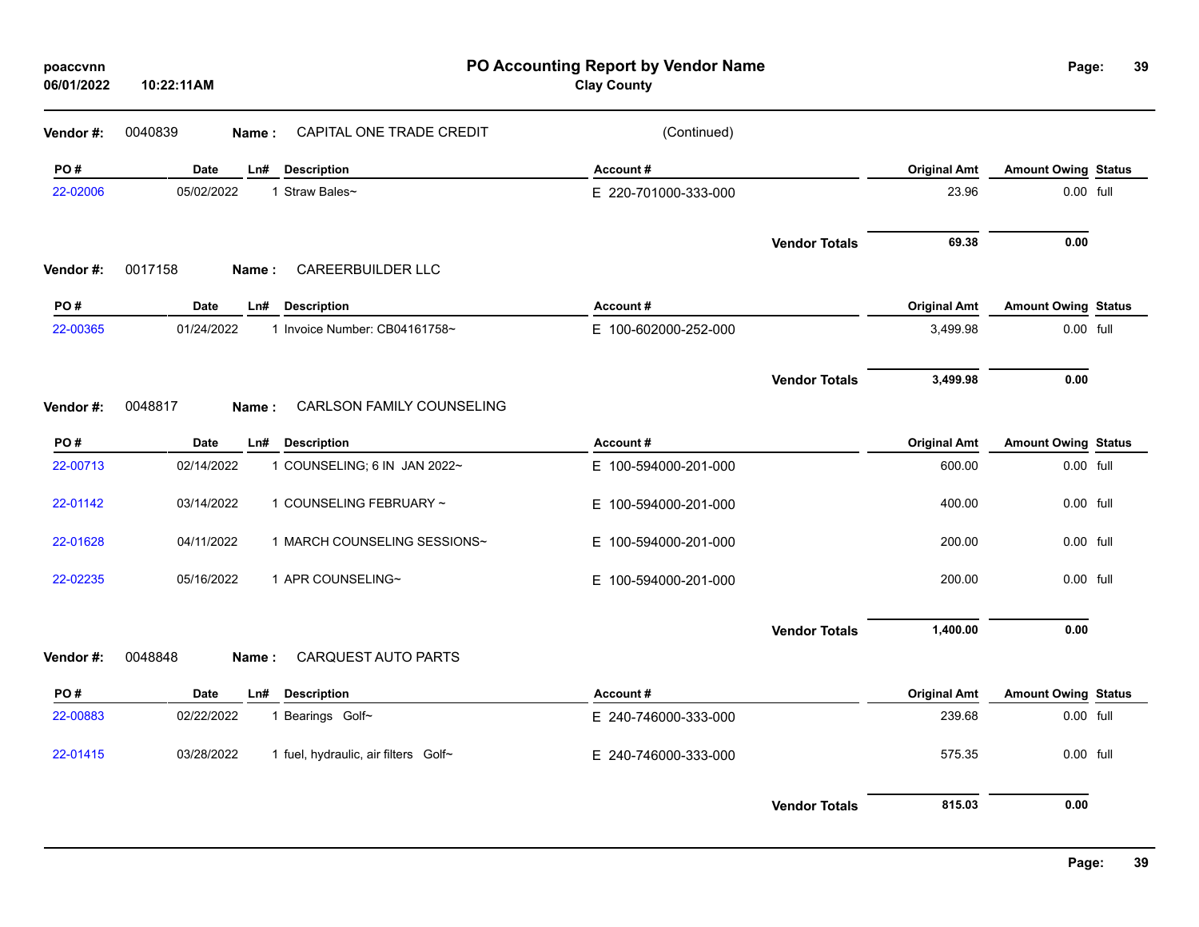| poaccvnn<br>06/01/2022 | PO Accounting Report by Vendor Name<br><b>Clay County</b><br>10:22:11AM |                                      |                          |                      |                     |                            | 39<br>Page: |
|------------------------|-------------------------------------------------------------------------|--------------------------------------|--------------------------|----------------------|---------------------|----------------------------|-------------|
| Vendor#:               | 0040839                                                                 | CAPITAL ONE TRADE CREDIT<br>Name:    | (Continued)              |                      |                     |                            |             |
| PO#                    | Date                                                                    | Ln#<br><b>Description</b>            | Account#                 |                      | <b>Original Amt</b> | <b>Amount Owing Status</b> |             |
| 22-02006               | 05/02/2022                                                              | 1 Straw Bales~                       | E 220-701000-333-000     |                      | 23.96               | 0.00 full                  |             |
| Vendor#:               | 0017158                                                                 | <b>CAREERBUILDER LLC</b><br>Name:    |                          | <b>Vendor Totals</b> | 69.38               | 0.00                       |             |
| PO#                    | <b>Date</b>                                                             | <b>Description</b><br>Ln#            | Account#                 |                      | <b>Original Amt</b> | <b>Amount Owing Status</b> |             |
| 22-00365               | 01/24/2022                                                              | 1 Invoice Number: CB04161758~        | E 100-602000-252-000     |                      | 3,499.98            | 0.00 full                  |             |
|                        |                                                                         |                                      |                          | <b>Vendor Totals</b> | 3,499.98            | 0.00                       |             |
| Vendor#:               | 0048817                                                                 | CARLSON FAMILY COUNSELING<br>Name:   |                          |                      |                     |                            |             |
| PO#                    | Date                                                                    | <b>Description</b><br>Ln#            | Account#                 |                      | <b>Original Amt</b> | <b>Amount Owing Status</b> |             |
| 22-00713               | 02/14/2022                                                              | 1 COUNSELING; 6 IN JAN 2022~         | E 100-594000-201-000     |                      | 600.00              | 0.00 full                  |             |
| 22-01142               | 03/14/2022                                                              | 1 COUNSELING FEBRUARY ~              | E 100-594000-201-000     |                      | 400.00              | 0.00 full                  |             |
| 22-01628               | 04/11/2022                                                              | 1 MARCH COUNSELING SESSIONS~         | E 100-594000-201-000     |                      | 200.00              | 0.00 full                  |             |
| 22-02235               | 05/16/2022                                                              | 1 APR COUNSELING~                    | 100-594000-201-000<br>Е. |                      | 200.00              | 0.00 full                  |             |
|                        |                                                                         |                                      |                          | <b>Vendor Totals</b> | 1,400.00            | 0.00                       |             |
| Vendor#:               | 0048848                                                                 | CARQUEST AUTO PARTS<br>Name:         |                          |                      |                     |                            |             |
| PO#                    | <b>Date</b>                                                             | <b>Description</b><br>Ln#            | Account#                 |                      | <b>Original Amt</b> | <b>Amount Owing Status</b> |             |
| 22-00883               | 02/22/2022                                                              | 1 Bearings Golf~                     | E 240-746000-333-000     |                      | 239.68              | 0.00 full                  |             |
| 22-01415               | 03/28/2022                                                              | 1 fuel, hydraulic, air filters Golf~ | E 240-746000-333-000     |                      | 575.35              | 0.00 full                  |             |
|                        |                                                                         |                                      |                          | <b>Vendor Totals</b> | 815.03              | 0.00                       |             |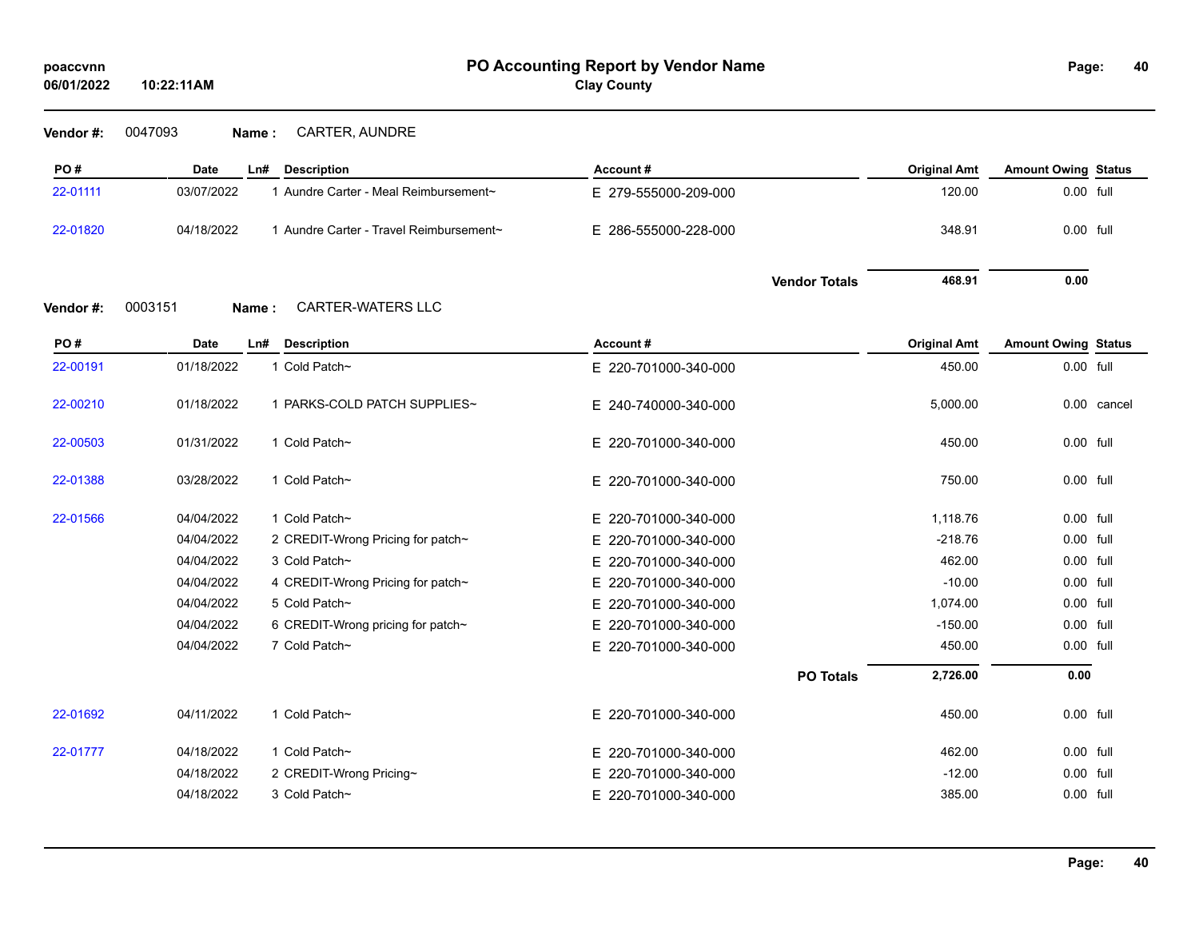| Vendor#: | 0047093 | <b>Name:</b> | <b>CARTER, AUNDRE</b> |
|----------|---------|--------------|-----------------------|
|----------|---------|--------------|-----------------------|

| PO#      | Date             | <b>Description</b><br>Ln#               | Account#                 |                      | <b>Original Amt</b> | <b>Amount Owing Status</b> |             |
|----------|------------------|-----------------------------------------|--------------------------|----------------------|---------------------|----------------------------|-------------|
| 22-01111 | 03/07/2022       | 1 Aundre Carter - Meal Reimbursement~   | E 279-555000-209-000     |                      | 120.00              | 0.00 full                  |             |
| 22-01820 | 04/18/2022       | 1 Aundre Carter - Travel Reimbursement~ | E 286-555000-228-000     |                      | 348.91              | 0.00 full                  |             |
|          |                  |                                         |                          | <b>Vendor Totals</b> | 468.91              | 0.00                       |             |
| Vendor#: | 0003151<br>Name: | <b>CARTER-WATERS LLC</b>                |                          |                      |                     |                            |             |
| PO#      | Date             | <b>Description</b><br>Ln#               | Account#                 |                      | <b>Original Amt</b> | <b>Amount Owing Status</b> |             |
| 22-00191 | 01/18/2022       | 1 Cold Patch~                           | E 220-701000-340-000     |                      | 450.00              | 0.00 full                  |             |
| 22-00210 | 01/18/2022       | 1 PARKS-COLD PATCH SUPPLIES~            | E 240-740000-340-000     |                      | 5,000.00            |                            | 0.00 cancel |
| 22-00503 | 01/31/2022       | 1 Cold Patch~                           | E 220-701000-340-000     |                      | 450.00              | 0.00 full                  |             |
| 22-01388 | 03/28/2022       | 1 Cold Patch~                           | E 220-701000-340-000     |                      | 750.00              | 0.00 full                  |             |
| 22-01566 | 04/04/2022       | 1 Cold Patch~                           | E 220-701000-340-000     |                      | 1,118.76            | 0.00 full                  |             |
|          | 04/04/2022       | 2 CREDIT-Wrong Pricing for patch~       | 220-701000-340-000<br>E. |                      | $-218.76$           | 0.00 full                  |             |
|          | 04/04/2022       | 3 Cold Patch~                           | E 220-701000-340-000     |                      | 462.00              | 0.00 full                  |             |
|          | 04/04/2022       | 4 CREDIT-Wrong Pricing for patch~       | 220-701000-340-000<br>E. |                      | $-10.00$            | 0.00 full                  |             |
|          | 04/04/2022       | 5 Cold Patch~                           | E 220-701000-340-000     |                      | 1,074.00            | 0.00 full                  |             |
|          | 04/04/2022       | 6 CREDIT-Wrong pricing for patch~       | E 220-701000-340-000     |                      | $-150.00$           | 0.00 full                  |             |
|          | 04/04/2022       | 7 Cold Patch~                           | E 220-701000-340-000     |                      | 450.00              | 0.00 full                  |             |
|          |                  |                                         |                          | <b>PO Totals</b>     | 2,726.00            | 0.00                       |             |
| 22-01692 | 04/11/2022       | 1 Cold Patch~                           | E 220-701000-340-000     |                      | 450.00              | 0.00 full                  |             |
| 22-01777 | 04/18/2022       | 1 Cold Patch~                           | E 220-701000-340-000     |                      | 462.00              | 0.00 full                  |             |
|          | 04/18/2022       | 2 CREDIT-Wrong Pricing~                 | 220-701000-340-000<br>Е. |                      | $-12.00$            | 0.00 full                  |             |
|          | 04/18/2022       | 3 Cold Patch~                           | E 220-701000-340-000     |                      | 385.00              | 0.00 full                  |             |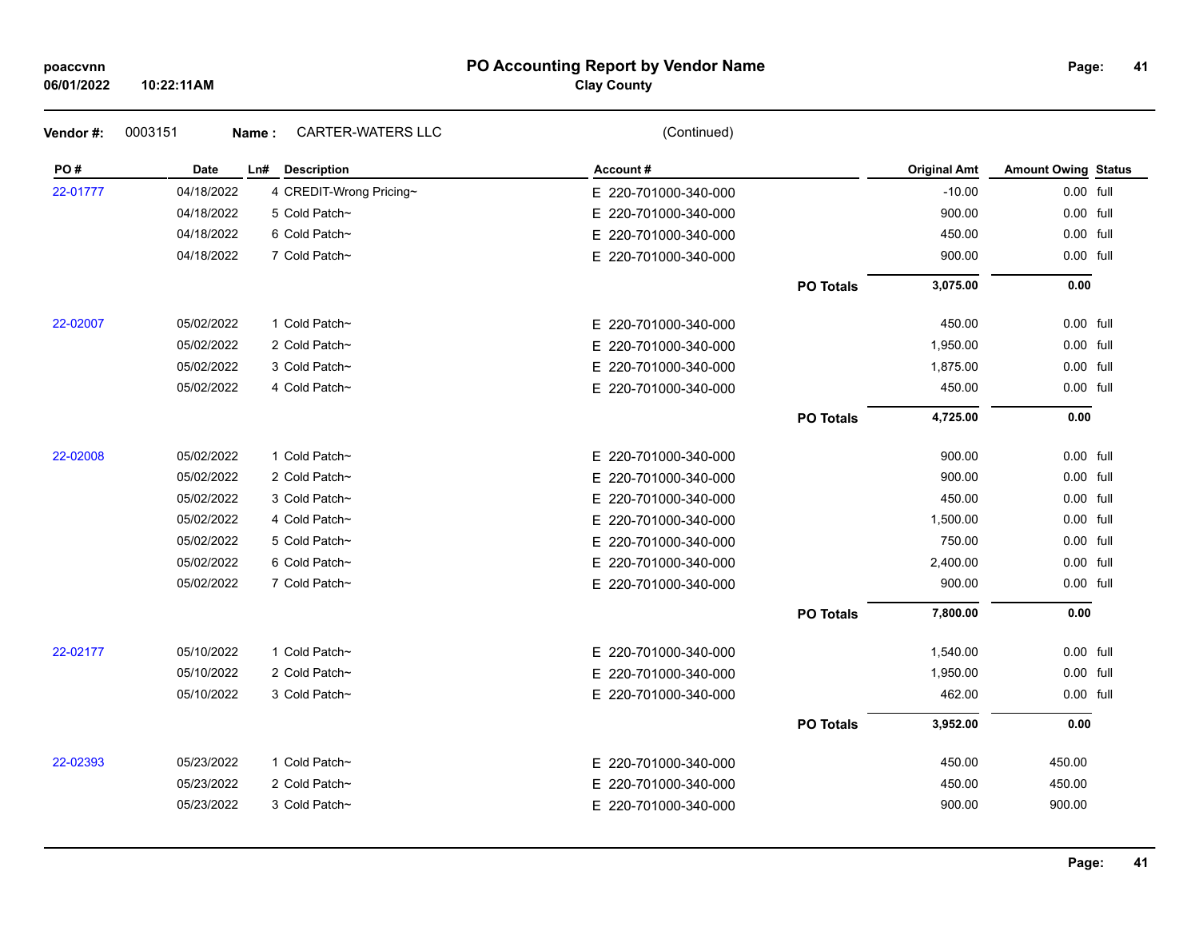| poaccvnn |  |
|----------|--|

## **PO Accounting Report by Vendor Name poaccvnn Page:**

## **Clay County**

| Vendor#: | 0003151     | <b>CARTER-WATERS LLC</b><br>Name: | (Continued)          |                  |                     |                            |  |
|----------|-------------|-----------------------------------|----------------------|------------------|---------------------|----------------------------|--|
| PO#      | <b>Date</b> | Ln# Description                   | Account#             |                  | <b>Original Amt</b> | <b>Amount Owing Status</b> |  |
| 22-01777 | 04/18/2022  | 4 CREDIT-Wrong Pricing~           | E 220-701000-340-000 |                  | $-10.00$            | 0.00 full                  |  |
|          | 04/18/2022  | 5 Cold Patch~                     | E 220-701000-340-000 |                  | 900.00              | 0.00 full                  |  |
|          | 04/18/2022  | 6 Cold Patch~                     | E 220-701000-340-000 |                  | 450.00              | 0.00 full                  |  |
|          | 04/18/2022  | 7 Cold Patch~                     | E 220-701000-340-000 |                  | 900.00              | 0.00 full                  |  |
|          |             |                                   |                      | <b>PO Totals</b> | 3,075.00            | 0.00                       |  |
| 22-02007 | 05/02/2022  | 1 Cold Patch~                     | E 220-701000-340-000 |                  | 450.00              | 0.00 full                  |  |
|          | 05/02/2022  | 2 Cold Patch~                     | E 220-701000-340-000 |                  | 1,950.00            | 0.00 full                  |  |
|          | 05/02/2022  | 3 Cold Patch~                     | E 220-701000-340-000 |                  | 1,875.00            | 0.00 full                  |  |
|          | 05/02/2022  | 4 Cold Patch~                     | E 220-701000-340-000 |                  | 450.00              | 0.00 full                  |  |
|          |             |                                   |                      | <b>PO Totals</b> | 4,725.00            | 0.00                       |  |
| 22-02008 | 05/02/2022  | 1 Cold Patch~                     | E 220-701000-340-000 |                  | 900.00              | 0.00 full                  |  |
|          | 05/02/2022  | 2 Cold Patch~                     | E 220-701000-340-000 |                  | 900.00              | 0.00 full                  |  |
|          | 05/02/2022  | 3 Cold Patch~                     | E 220-701000-340-000 |                  | 450.00              | 0.00 full                  |  |
|          | 05/02/2022  | 4 Cold Patch~                     | E 220-701000-340-000 |                  | 1,500.00            | 0.00 full                  |  |
|          | 05/02/2022  | 5 Cold Patch~                     | E 220-701000-340-000 |                  | 750.00              | 0.00 full                  |  |
|          | 05/02/2022  | 6 Cold Patch~                     | E 220-701000-340-000 |                  | 2,400.00            | 0.00 full                  |  |
|          | 05/02/2022  | 7 Cold Patch~                     | E 220-701000-340-000 |                  | 900.00              | 0.00 full                  |  |
|          |             |                                   |                      | <b>PO Totals</b> | 7,800.00            | 0.00                       |  |
| 22-02177 | 05/10/2022  | 1 Cold Patch~                     | E 220-701000-340-000 |                  | 1,540.00            | 0.00 full                  |  |
|          | 05/10/2022  | 2 Cold Patch~                     | E 220-701000-340-000 |                  | 1,950.00            | 0.00 full                  |  |
|          | 05/10/2022  | 3 Cold Patch~                     | E 220-701000-340-000 |                  | 462.00              | 0.00 full                  |  |
|          |             |                                   |                      | <b>PO Totals</b> | 3,952.00            | 0.00                       |  |
| 22-02393 | 05/23/2022  | 1 Cold Patch~                     | E 220-701000-340-000 |                  | 450.00              | 450.00                     |  |
|          | 05/23/2022  | 2 Cold Patch~                     | E 220-701000-340-000 |                  | 450.00              | 450.00                     |  |
|          | 05/23/2022  | 3 Cold Patch~                     | E 220-701000-340-000 |                  | 900.00              | 900.00                     |  |
|          |             |                                   |                      |                  |                     |                            |  |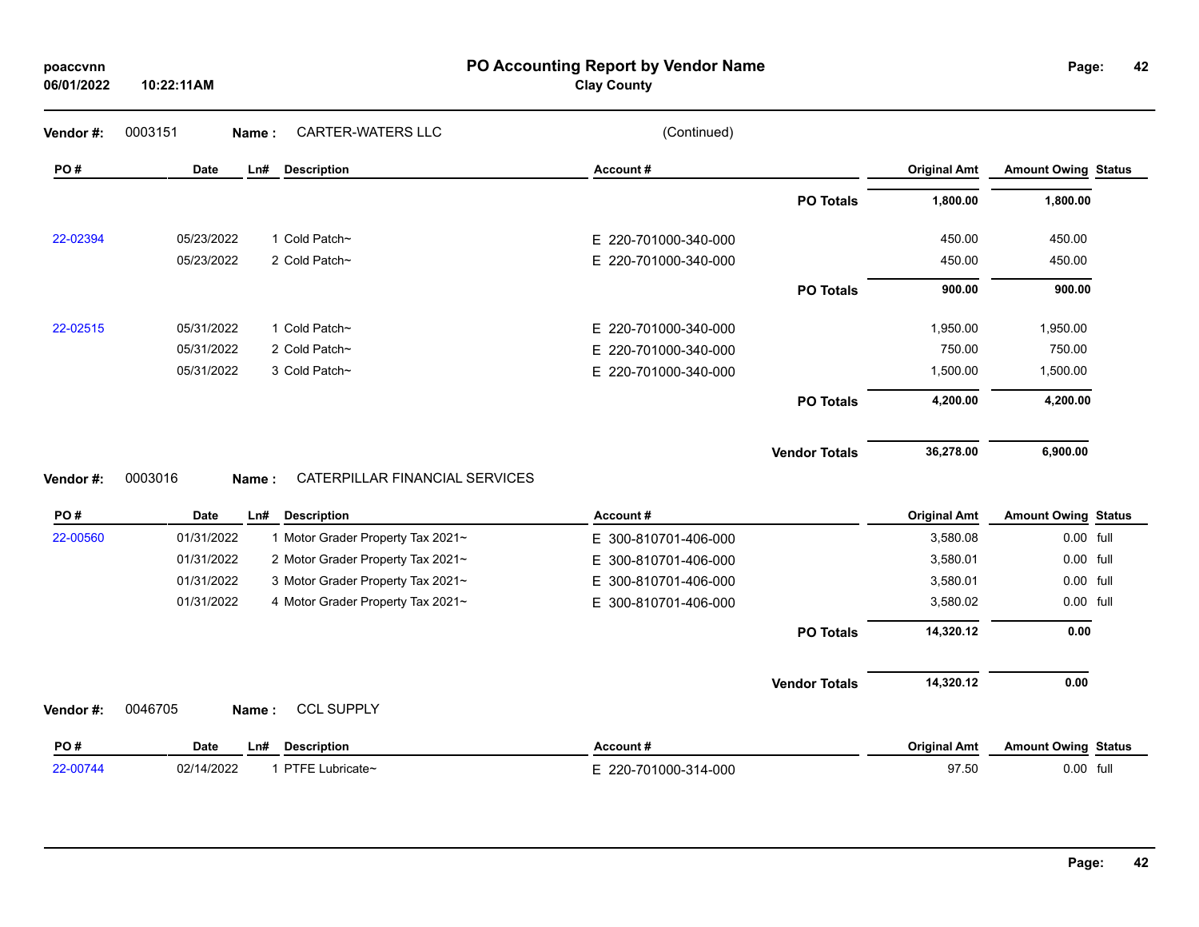| poaccvnn   |  |
|------------|--|
| 06/01/2022 |  |

## **PO Accounting Report by Vendor Name poaccvnn Page:**

## **Clay County**

**42**

| PO#      | Date       | <b>Description</b><br>Ln# | Account#             | <b>Original Amt</b> | <b>Amount Owing Status</b> |
|----------|------------|---------------------------|----------------------|---------------------|----------------------------|
|          |            |                           | <b>PO Totals</b>     | 1,800.00            | 1,800.00                   |
| 22-02394 | 05/23/2022 | 1 Cold Patch~             | E 220-701000-340-000 | 450.00              | 450.00                     |
|          | 05/23/2022 | 2 Cold Patch~             | E 220-701000-340-000 | 450.00              | 450.00                     |
|          |            |                           | <b>PO Totals</b>     | 900.00              | 900.00                     |
| 22-02515 | 05/31/2022 | 1 Cold Patch~             | E 220-701000-340-000 | 1,950.00            | 1,950.00                   |
|          | 05/31/2022 | 2 Cold Patch~             | E 220-701000-340-000 | 750.00              | 750.00                     |
|          | 05/31/2022 | 3 Cold Patch~             | E 220-701000-340-000 | 1,500.00            | 1,500.00                   |
|          |            |                           | <b>PO Totals</b>     | 4,200.00            | 4,200.00                   |
|          |            |                           | <b>Vendor Totals</b> | 36,278.00           | 6,900.00                   |

## **Vendor #:** 0003016 **Name :** CATERPILLAR FINANCIAL SERVICES

| PO#      | Date<br>Description<br>Ln#        |                                   | Account#             |                      | <b>Original Amt</b> | <b>Amount Owing Status</b> |  |
|----------|-----------------------------------|-----------------------------------|----------------------|----------------------|---------------------|----------------------------|--|
| 22-00560 | 01/31/2022                        | 1 Motor Grader Property Tax 2021~ | E 300-810701-406-000 |                      | 3,580.08            | 0.00 full                  |  |
|          | 01/31/2022                        | 2 Motor Grader Property Tax 2021~ | E 300-810701-406-000 |                      | 3.580.01            | 0.00 full                  |  |
|          | 01/31/2022                        | 3 Motor Grader Property Tax 2021~ | E 300-810701-406-000 |                      | 3,580.01            | 0.00 full                  |  |
|          | 01/31/2022                        | 4 Motor Grader Property Tax 2021~ | E 300-810701-406-000 |                      | 3,580.02            | 0.00 full                  |  |
|          |                                   |                                   |                      | <b>PO Totals</b>     | 14,320.12           | 0.00                       |  |
|          |                                   |                                   |                      | <b>Vendor Totals</b> | 14,320.12           | 0.00                       |  |
| Vendor#: | 0046705<br>Name:                  | <b>CCL SUPPLY</b>                 |                      |                      |                     |                            |  |
| PO#      | <b>Description</b><br>Ln#<br>Date |                                   | Account#             |                      | <b>Original Amt</b> | <b>Amount Owing Status</b> |  |
| 22-00744 | 02/14/2022                        | 1 PTFE Lubricate~                 | E 220-701000-314-000 |                      | 97.50               | 0.00 full                  |  |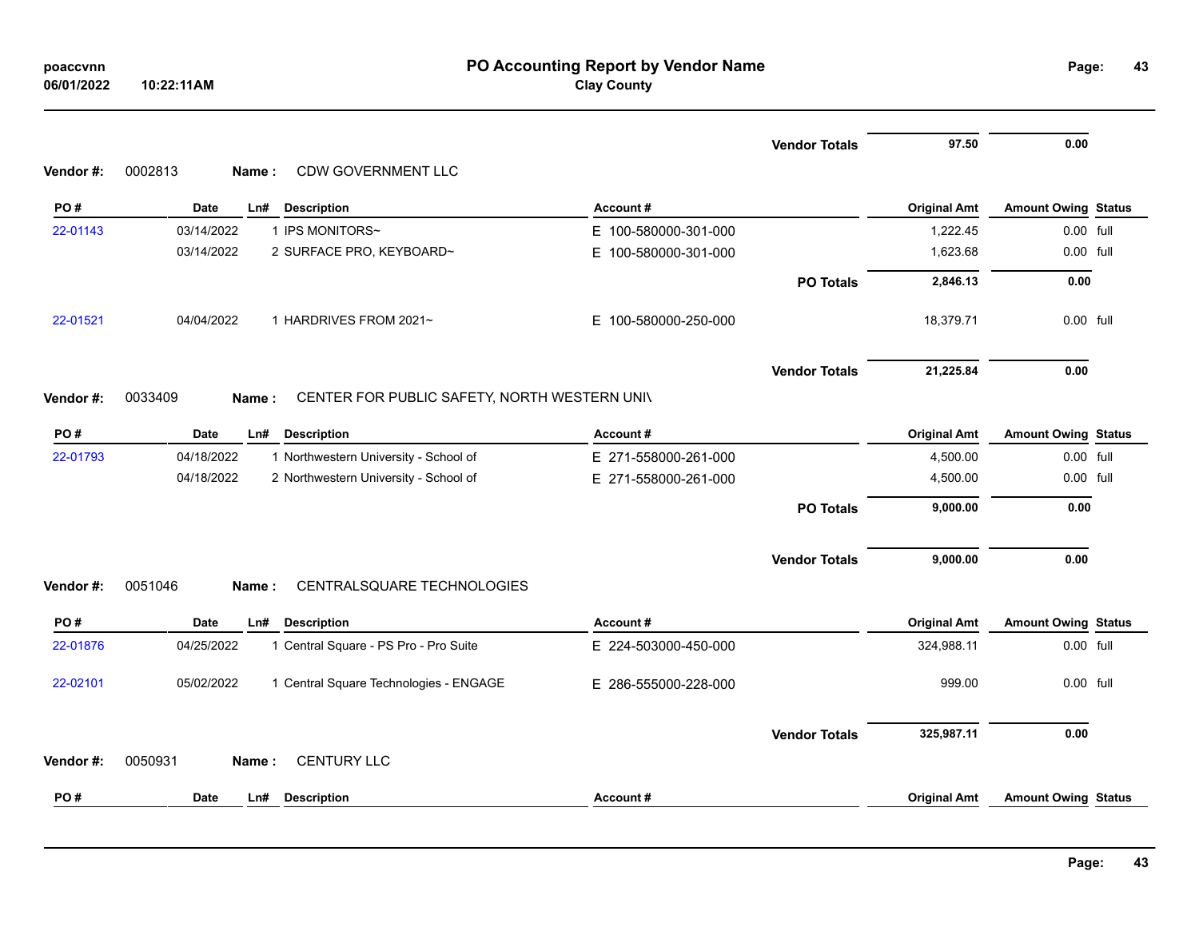| poaccvnn   |            |
|------------|------------|
| 06/01/2022 | 10:22:11AM |

|           |                                                                  |                          | <b>Vendor Totals</b> | 97.50               | 0.00                       |  |
|-----------|------------------------------------------------------------------|--------------------------|----------------------|---------------------|----------------------------|--|
| Vendor#:  | 0002813<br>CDW GOVERNMENT LLC<br>Name:                           |                          |                      |                     |                            |  |
| PO#       | Date<br>Ln#<br><b>Description</b>                                | Account#                 |                      | <b>Original Amt</b> | <b>Amount Owing Status</b> |  |
| 22-01143  | 1 IPS MONITORS~<br>03/14/2022                                    | E 100-580000-301-000     |                      | 1,222.45            | 0.00 full                  |  |
|           | 03/14/2022<br>2 SURFACE PRO, KEYBOARD~                           | E.<br>100-580000-301-000 |                      | 1,623.68            | 0.00 full                  |  |
|           |                                                                  |                          | <b>PO Totals</b>     | 2,846.13            | 0.00                       |  |
| 22-01521  | 04/04/2022<br>1 HARDRIVES FROM 2021~                             | E 100-580000-250-000     |                      | 18,379.71           | 0.00 full                  |  |
|           |                                                                  |                          | <b>Vendor Totals</b> | 21,225.84           | 0.00                       |  |
| Vendor #: | 0033409<br>CENTER FOR PUBLIC SAFETY, NORTH WESTERN UNIV<br>Name: |                          |                      |                     |                            |  |
|           |                                                                  |                          |                      |                     |                            |  |
| PO#       | Date<br>Ln#<br><b>Description</b>                                | Account#                 |                      | <b>Original Amt</b> | <b>Amount Owing Status</b> |  |
| 22-01793  | 1 Northwestern University - School of<br>04/18/2022              | E 271-558000-261-000     |                      | 4,500.00            | 0.00 full                  |  |
|           | 04/18/2022<br>2 Northwestern University - School of              | E 271-558000-261-000     |                      | 4,500.00            | 0.00 full                  |  |
|           |                                                                  |                          | <b>PO Totals</b>     | 9,000.00            | 0.00                       |  |
|           |                                                                  |                          | <b>Vendor Totals</b> | 9,000.00            | 0.00                       |  |
| Vendor#:  | CENTRALSQUARE TECHNOLOGIES<br>0051046<br>Name:                   |                          |                      |                     |                            |  |
| PO#       | Date<br>Ln#<br><b>Description</b>                                | Account#                 |                      | <b>Original Amt</b> | <b>Amount Owing Status</b> |  |
| 22-01876  | 04/25/2022<br>1 Central Square - PS Pro - Pro Suite              | E 224-503000-450-000     |                      | 324,988.11          | 0.00 full                  |  |
| 22-02101  | 05/02/2022<br>1 Central Square Technologies - ENGAGE             | E 286-555000-228-000     |                      | 999.00              | 0.00 full                  |  |
|           |                                                                  |                          | <b>Vendor Totals</b> | 325,987.11          | 0.00                       |  |
| Vendor#:  | <b>CENTURY LLC</b><br>0050931<br>Name:                           |                          |                      |                     |                            |  |
| PO#       | <b>Date</b><br>Ln#<br><b>Description</b>                         | Account#                 |                      | <b>Original Amt</b> | <b>Amount Owing Status</b> |  |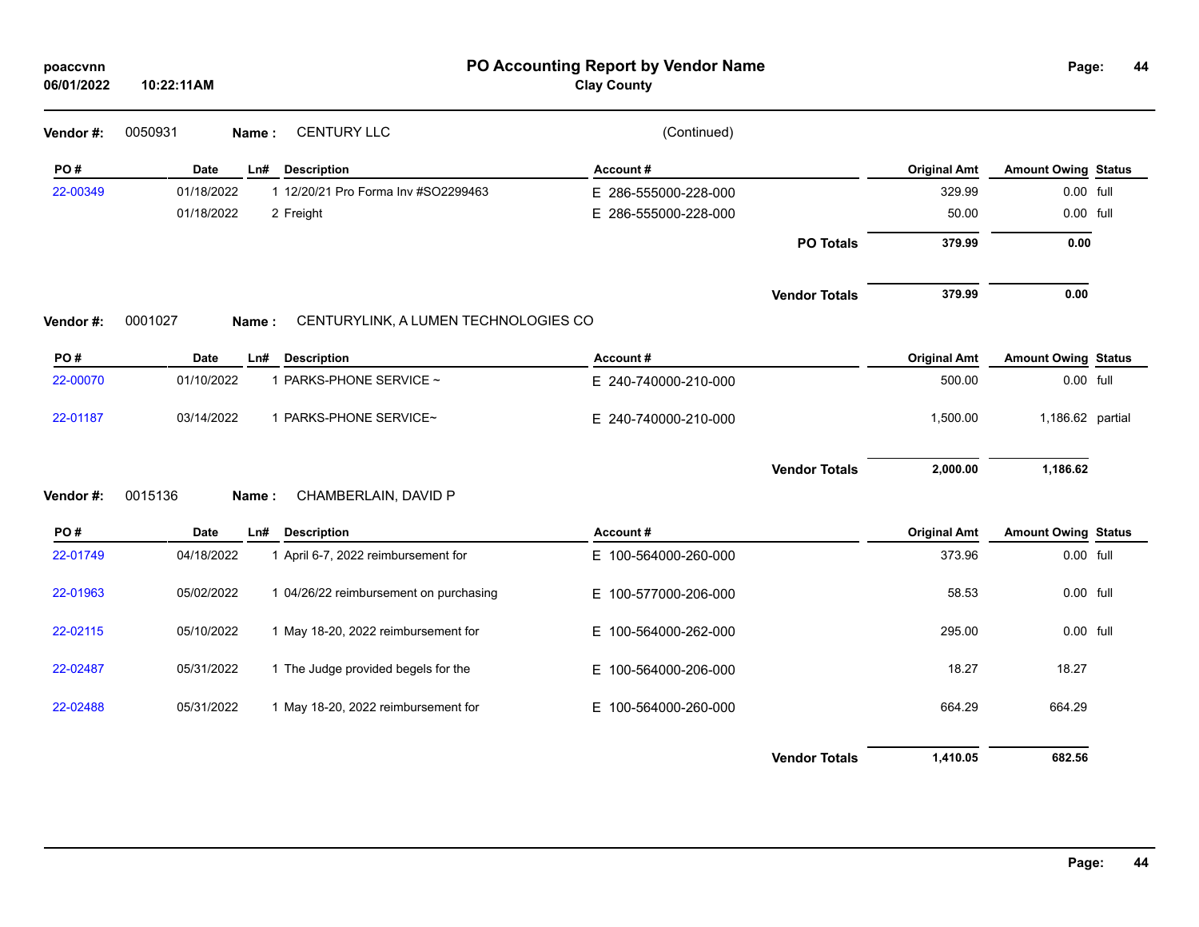| poaccvnn<br>06/01/2022 | 10:22:11AM  |                                               | Page:                | 44                   |                     |                            |  |
|------------------------|-------------|-----------------------------------------------|----------------------|----------------------|---------------------|----------------------------|--|
| Vendor #:              | 0050931     | <b>CENTURY LLC</b><br>Name:                   | (Continued)          |                      |                     |                            |  |
| PO#                    | Date        | <b>Description</b><br>Ln#                     | Account#             |                      | <b>Original Amt</b> | <b>Amount Owing Status</b> |  |
| 22-00349               | 01/18/2022  | 1 12/20/21 Pro Forma Inv #SO2299463           | E 286-555000-228-000 |                      | 329.99              | 0.00 full                  |  |
|                        | 01/18/2022  | 2 Freight                                     | E 286-555000-228-000 |                      | 50.00               | 0.00 full                  |  |
|                        |             |                                               |                      | <b>PO Totals</b>     | 379.99              | 0.00                       |  |
|                        |             |                                               |                      | <b>Vendor Totals</b> | 379.99              | 0.00                       |  |
| Vendor#:               | 0001027     | CENTURYLINK, A LUMEN TECHNOLOGIES CO<br>Name: |                      |                      |                     |                            |  |
| PO#                    | Date        | Ln#<br><b>Description</b>                     | Account#             |                      | <b>Original Amt</b> | <b>Amount Owing Status</b> |  |
| 22-00070               | 01/10/2022  | 1 PARKS-PHONE SERVICE ~                       | E 240-740000-210-000 |                      | 500.00              | 0.00 full                  |  |
| 22-01187               | 03/14/2022  | 1 PARKS-PHONE SERVICE~                        | E 240-740000-210-000 |                      | 1,500.00            | 1,186.62 partial           |  |
|                        |             |                                               |                      | <b>Vendor Totals</b> | 2,000.00            | 1,186.62                   |  |
| Vendor#:               | 0015136     | CHAMBERLAIN, DAVID P<br>Name:                 |                      |                      |                     |                            |  |
| PO#                    | <b>Date</b> | <b>Description</b><br>Ln#                     | Account#             |                      | <b>Original Amt</b> | <b>Amount Owing Status</b> |  |
| 22-01749               | 04/18/2022  | 1 April 6-7, 2022 reimbursement for           | E 100-564000-260-000 |                      | 373.96              | 0.00 full                  |  |
| 22-01963               | 05/02/2022  | 1 04/26/22 reimbursement on purchasing        | E 100-577000-206-000 |                      | 58.53               | 0.00 full                  |  |
| 22-02115               | 05/10/2022  | 1 May 18-20, 2022 reimbursement for           | E 100-564000-262-000 |                      | 295.00              | 0.00 full                  |  |
| 22-02487               | 05/31/2022  | 1 The Judge provided begels for the           | E 100-564000-206-000 |                      | 18.27               | 18.27                      |  |
| 22-02488               | 05/31/2022  | 1 May 18-20, 2022 reimbursement for           | E 100-564000-260-000 |                      | 664.29              | 664.29                     |  |
|                        |             |                                               |                      | <b>Vendor Totals</b> | 1,410.05            | 682.56                     |  |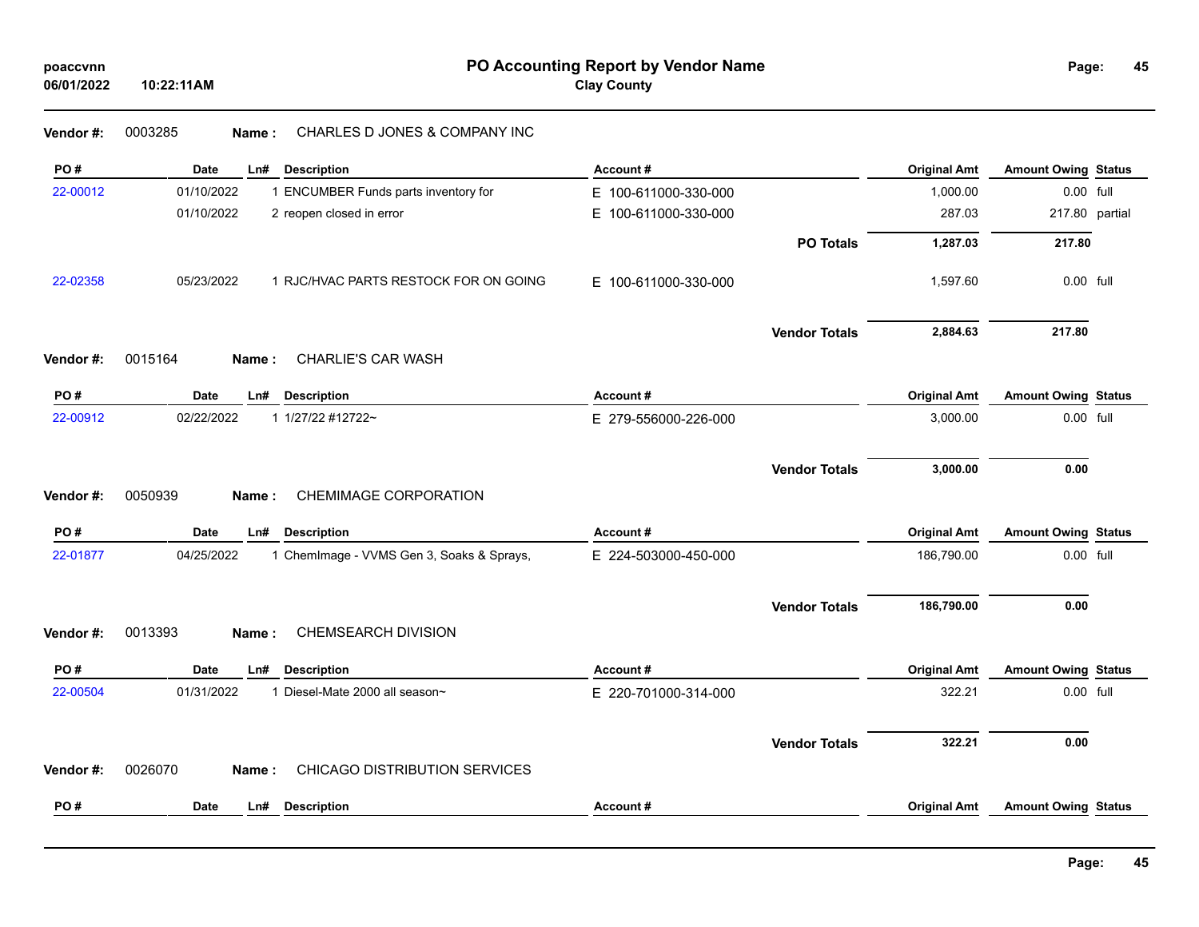## **Vendor #:** 0003285 **Name :** CHARLES D JONES & COMPANY INC

| PO#      | <b>Date</b> | Ln#          | <b>Description</b>                        | Account#             |                      | <b>Original Amt</b> | <b>Amount Owing Status</b> |  |
|----------|-------------|--------------|-------------------------------------------|----------------------|----------------------|---------------------|----------------------------|--|
| 22-00012 | 01/10/2022  |              | 1 ENCUMBER Funds parts inventory for      | E 100-611000-330-000 |                      | 1,000.00            | 0.00 full                  |  |
|          | 01/10/2022  |              | 2 reopen closed in error                  | E 100-611000-330-000 |                      | 287.03              | 217.80 partial             |  |
|          |             |              |                                           |                      | <b>PO Totals</b>     | 1,287.03            | 217.80                     |  |
| 22-02358 | 05/23/2022  |              | 1 RJC/HVAC PARTS RESTOCK FOR ON GOING     | E 100-611000-330-000 |                      | 1,597.60            | 0.00 full                  |  |
|          |             |              |                                           |                      | <b>Vendor Totals</b> | 2,884.63            | 217.80                     |  |
| Vendor#: | 0015164     | Name:        | CHARLIE'S CAR WASH                        |                      |                      |                     |                            |  |
| PO#      | Date        | Ln#          | <b>Description</b>                        | Account#             |                      | <b>Original Amt</b> | <b>Amount Owing Status</b> |  |
| 22-00912 | 02/22/2022  |              | 1 1/27/22 #12722~                         | E 279-556000-226-000 |                      | 3,000.00            | 0.00 full                  |  |
|          |             |              |                                           |                      | <b>Vendor Totals</b> | 3,000.00            | 0.00                       |  |
| Vendor#: | 0050939     | <b>Name:</b> | CHEMIMAGE CORPORATION                     |                      |                      |                     |                            |  |
| PO#      | <b>Date</b> | Ln#          | <b>Description</b>                        | Account#             |                      | <b>Original Amt</b> | <b>Amount Owing Status</b> |  |
| 22-01877 | 04/25/2022  |              | 1 ChemImage - VVMS Gen 3, Soaks & Sprays, | E 224-503000-450-000 |                      | 186,790.00          | 0.00 full                  |  |
|          |             |              |                                           |                      | <b>Vendor Totals</b> | 186,790.00          | 0.00                       |  |
| Vendor#: | 0013393     | Name:        | CHEMSEARCH DIVISION                       |                      |                      |                     |                            |  |
| PO#      | Date        | Ln#          | <b>Description</b>                        | Account#             |                      | <b>Original Amt</b> | <b>Amount Owing Status</b> |  |
| 22-00504 | 01/31/2022  |              | 1 Diesel-Mate 2000 all season~            | E 220-701000-314-000 |                      | 322.21              | 0.00 full                  |  |
|          |             |              |                                           |                      | <b>Vendor Totals</b> | 322.21              | 0.00                       |  |
|          |             | Name:        | <b>CHICAGO DISTRIBUTION SERVICES</b>      |                      |                      |                     |                            |  |
| Vendor#: | 0026070     |              |                                           |                      |                      |                     |                            |  |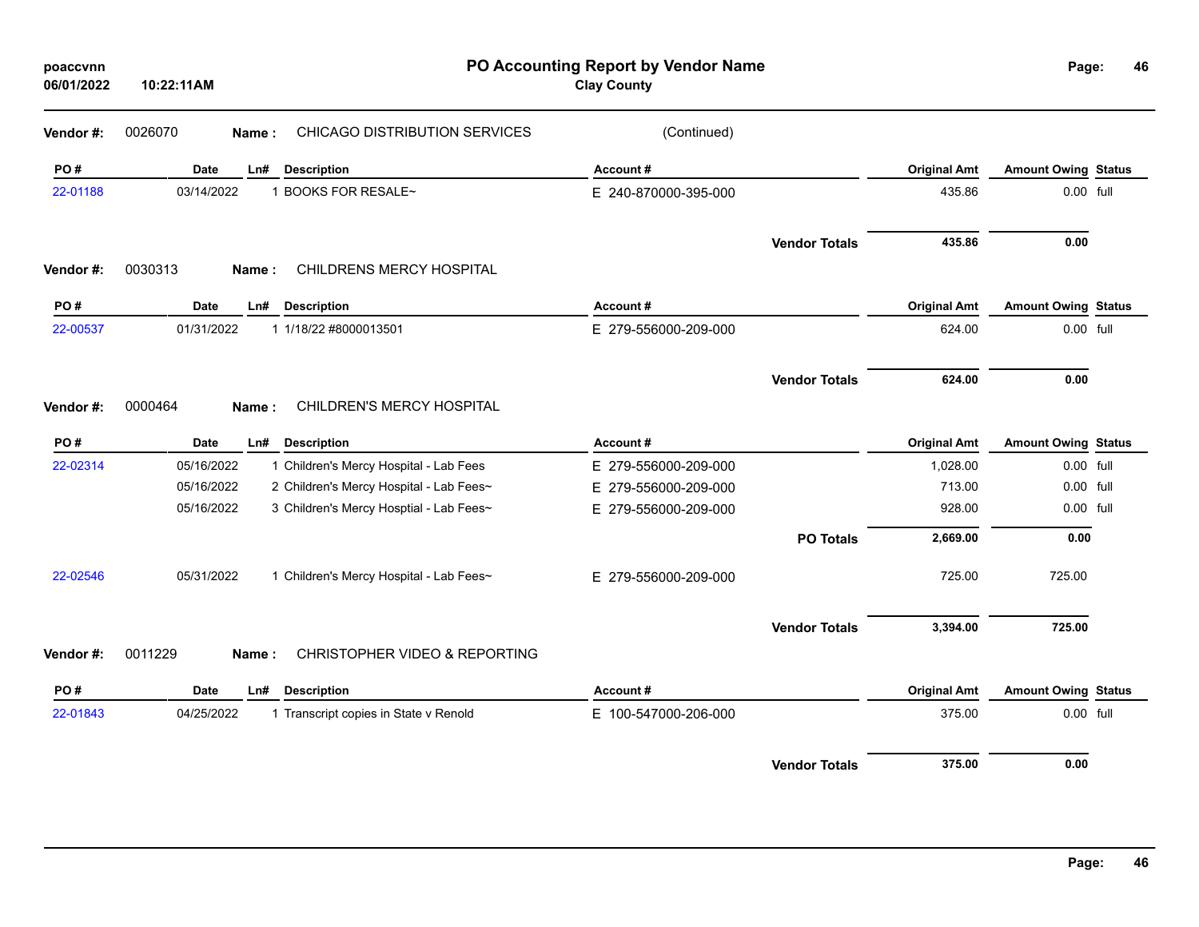| poaccvnn<br>06/01/2022 | 10:22:11AM  |                           |                                         | PO Accounting Report by Vendor Name<br><b>Clay County</b> |                      |                     | Page:                      | 46 |
|------------------------|-------------|---------------------------|-----------------------------------------|-----------------------------------------------------------|----------------------|---------------------|----------------------------|----|
| Vendor#:               | 0026070     | Name:                     | CHICAGO DISTRIBUTION SERVICES           | (Continued)                                               |                      |                     |                            |    |
| PO#                    | <b>Date</b> | Ln#<br><b>Description</b> |                                         | Account#                                                  |                      | <b>Original Amt</b> | <b>Amount Owing Status</b> |    |
| 22-01188               | 03/14/2022  | 1 BOOKS FOR RESALE~       |                                         | E 240-870000-395-000                                      |                      | 435.86              | 0.00 full                  |    |
|                        |             |                           |                                         |                                                           | <b>Vendor Totals</b> | 435.86              | 0.00                       |    |
| Vendor #:              | 0030313     | Name:                     | CHILDRENS MERCY HOSPITAL                |                                                           |                      |                     |                            |    |
| PO#                    | <b>Date</b> | Ln#<br><b>Description</b> |                                         | Account#                                                  |                      | <b>Original Amt</b> | <b>Amount Owing Status</b> |    |
| 22-00537               | 01/31/2022  | 1 1/18/22 #8000013501     |                                         | E 279-556000-209-000                                      |                      | 624.00              | 0.00 full                  |    |
|                        |             |                           |                                         |                                                           | <b>Vendor Totals</b> | 624.00              | 0.00                       |    |
| Vendor#:               | 0000464     | Name:                     | CHILDREN'S MERCY HOSPITAL               |                                                           |                      |                     |                            |    |
| PO#                    | Date        | <b>Description</b><br>Ln# |                                         | Account#                                                  |                      | <b>Original Amt</b> | <b>Amount Owing Status</b> |    |
| 22-02314               | 05/16/2022  |                           | 1 Children's Mercy Hospital - Lab Fees  | E 279-556000-209-000                                      |                      | 1,028.00            | 0.00 full                  |    |
|                        | 05/16/2022  |                           | 2 Children's Mercy Hospital - Lab Fees~ | E 279-556000-209-000                                      |                      | 713.00              | 0.00 full                  |    |
|                        | 05/16/2022  |                           | 3 Children's Mercy Hosptial - Lab Fees~ | E 279-556000-209-000                                      |                      | 928.00              | 0.00 full                  |    |
|                        |             |                           |                                         |                                                           | <b>PO Totals</b>     | 2,669.00            | 0.00                       |    |
| 22-02546               | 05/31/2022  |                           | 1 Children's Mercy Hospital - Lab Fees~ | E 279-556000-209-000                                      |                      | 725.00              | 725.00                     |    |
|                        |             |                           |                                         |                                                           | <b>Vendor Totals</b> | 3,394.00            | 725.00                     |    |
| Vendor#:               | 0011229     | Name:                     | CHRISTOPHER VIDEO & REPORTING           |                                                           |                      |                     |                            |    |
| PO#                    | <b>Date</b> | Ln#<br><b>Description</b> |                                         | Account#                                                  |                      | <b>Original Amt</b> | <b>Amount Owing Status</b> |    |
| 22-01843               | 04/25/2022  |                           | 1 Transcript copies in State v Renold   | E 100-547000-206-000                                      |                      | 375.00              | 0.00 full                  |    |
|                        |             |                           |                                         |                                                           | <b>Vendor Totals</b> | 375.00              | 0.00                       |    |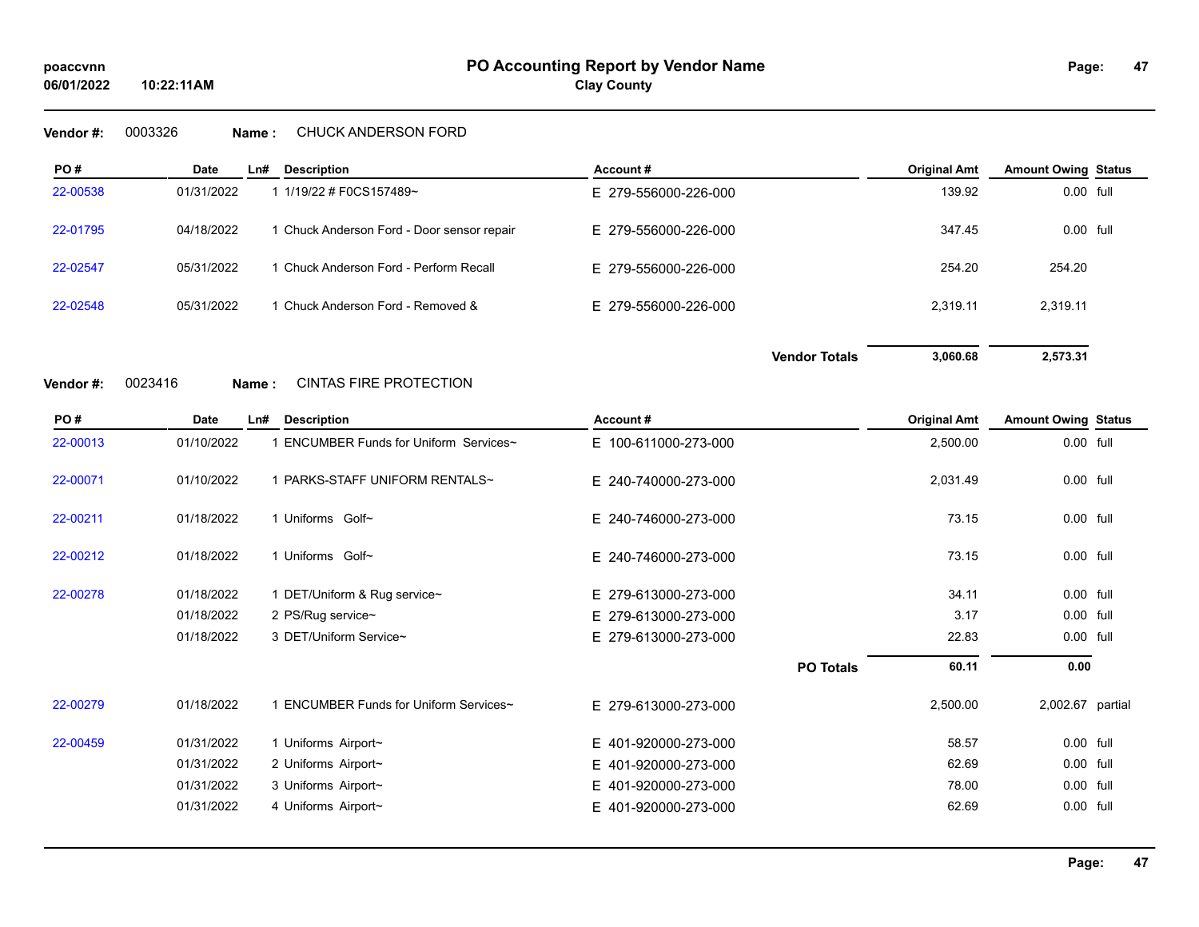## **Vendor #:** 0003326 **Name :** CHUCK ANDERSON FORD

**10:22:11AM**

| PO#      | <b>Date</b> | Ln# | <b>Description</b>                         | Account#             | <b>Original Amt</b> | <b>Amount Owing Status</b> |
|----------|-------------|-----|--------------------------------------------|----------------------|---------------------|----------------------------|
| 22-00538 | 01/31/2022  |     | 1 1/19/22 # F0CS157489~                    | E 279-556000-226-000 | 139.92              | 0.00 full                  |
| 22-01795 | 04/18/2022  |     | 1 Chuck Anderson Ford - Door sensor repair | E 279-556000-226-000 | 347.45              | 0.00 full                  |
| 22-02547 | 05/31/2022  |     | 1 Chuck Anderson Ford - Perform Recall     | E 279-556000-226-000 | 254.20              | 254.20                     |
| 22-02548 | 05/31/2022  |     | 1 Chuck Anderson Ford - Removed &          | E 279-556000-226-000 | 2.319.11            | 2,319.11                   |

**Vendor #:** 0023416 **Name :** CINTAS FIRE PROTECTION

| PO#      | <b>Date</b> | $Ln$ # | <b>Description</b>                          | Account#                 |                  | <b>Original Amt</b> | <b>Amount Owing Status</b> |  |
|----------|-------------|--------|---------------------------------------------|--------------------------|------------------|---------------------|----------------------------|--|
| 22-00013 | 01/10/2022  |        | <b>ENCUMBER Funds for Uniform Services~</b> | E 100-611000-273-000     |                  | 2,500.00            | $0.00$ full                |  |
| 22-00071 | 01/10/2022  |        | 1 PARKS-STAFF UNIFORM RENTALS~              | E 240-740000-273-000     |                  | 2,031.49            | 0.00 full                  |  |
| 22-00211 | 01/18/2022  |        | 1 Uniforms Golf~                            | E 240-746000-273-000     |                  | 73.15               | 0.00 full                  |  |
| 22-00212 | 01/18/2022  |        | 1 Uniforms Golf~                            | E 240-746000-273-000     |                  | 73.15               | 0.00 full                  |  |
| 22-00278 | 01/18/2022  |        | 1 DET/Uniform & Rug service~                | E 279-613000-273-000     |                  | 34.11               | $0.00$ full                |  |
|          | 01/18/2022  |        | 2 PS/Rug service~                           | E 279-613000-273-000     |                  | 3.17                | 0.00 full                  |  |
|          | 01/18/2022  |        | 3 DET/Uniform Service~                      | E 279-613000-273-000     |                  | 22.83               | 0.00 full                  |  |
|          |             |        |                                             |                          | <b>PO Totals</b> | 60.11               | 0.00                       |  |
| 22-00279 | 01/18/2022  |        | 1 ENCUMBER Funds for Uniform Services~      | E 279-613000-273-000     |                  | 2,500.00            | 2,002.67 partial           |  |
| 22-00459 | 01/31/2022  |        | 1 Uniforms Airport~                         | E 401-920000-273-000     |                  | 58.57               | 0.00 full                  |  |
|          | 01/31/2022  |        | 2 Uniforms Airport~                         | E 401-920000-273-000     |                  | 62.69               | 0.00 full                  |  |
|          | 01/31/2022  |        | 3 Uniforms Airport~                         | E 401-920000-273-000     |                  | 78.00               | 0.00 full                  |  |
|          | 01/31/2022  |        | 4 Uniforms Airport~                         | 401-920000-273-000<br>Е. |                  | 62.69               | 0.00 full                  |  |

**Vendor Totals 3,060.68 2,573.31**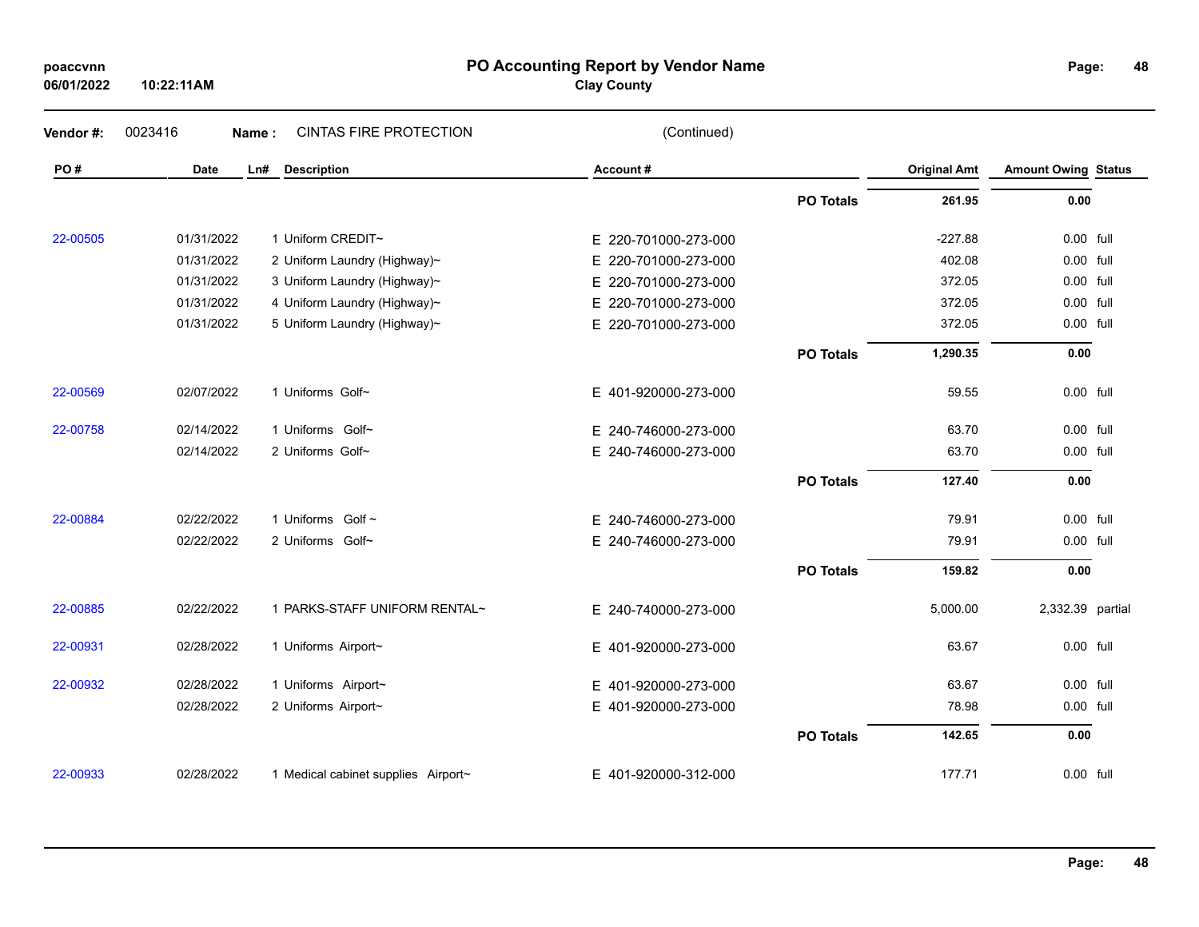| poaccvnn |  |
|----------|--|
|          |  |

**06/01/2022**

## **PO Accounting Report by Vendor Name poaccvnn Page:**

**Clay County**

| Vendor#: | 0023416<br>Name: | <b>CINTAS FIRE PROTECTION</b>       | (Continued)              |                  |                     |                            |  |
|----------|------------------|-------------------------------------|--------------------------|------------------|---------------------|----------------------------|--|
| PO#      | Date             | <b>Description</b><br>Ln#           | Account#                 |                  | <b>Original Amt</b> | <b>Amount Owing Status</b> |  |
|          |                  |                                     |                          | <b>PO Totals</b> | 261.95              | 0.00                       |  |
| 22-00505 | 01/31/2022       | 1 Uniform CREDIT~                   | E 220-701000-273-000     |                  | $-227.88$           | 0.00 full                  |  |
|          | 01/31/2022       | 2 Uniform Laundry (Highway)~        | E.<br>220-701000-273-000 |                  | 402.08              | 0.00 full                  |  |
|          | 01/31/2022       | 3 Uniform Laundry (Highway)~        | 220-701000-273-000<br>E. |                  | 372.05              | 0.00 full                  |  |
|          | 01/31/2022       | 4 Uniform Laundry (Highway)~        | 220-701000-273-000<br>Е. |                  | 372.05              | 0.00 full                  |  |
|          | 01/31/2022       | 5 Uniform Laundry (Highway)~        | 220-701000-273-000<br>E. |                  | 372.05              | 0.00 full                  |  |
|          |                  |                                     |                          | <b>PO Totals</b> | 1,290.35            | 0.00                       |  |
| 22-00569 | 02/07/2022       | 1 Uniforms Golf~                    | E 401-920000-273-000     |                  | 59.55               | 0.00 full                  |  |
| 22-00758 | 02/14/2022       | 1 Uniforms Golf~                    | E 240-746000-273-000     |                  | 63.70               | 0.00 full                  |  |
|          | 02/14/2022       | 2 Uniforms Golf~                    | E 240-746000-273-000     |                  | 63.70               | 0.00 full                  |  |
|          |                  |                                     |                          | <b>PO Totals</b> | 127.40              | 0.00                       |  |
| 22-00884 | 02/22/2022       | 1 Uniforms Golf ~                   | E 240-746000-273-000     |                  | 79.91               | 0.00 full                  |  |
|          | 02/22/2022       | 2 Uniforms Golf~                    | E 240-746000-273-000     |                  | 79.91               | 0.00 full                  |  |
|          |                  |                                     |                          | <b>PO Totals</b> | 159.82              | 0.00                       |  |
| 22-00885 | 02/22/2022       | 1 PARKS-STAFF UNIFORM RENTAL~       | E 240-740000-273-000     |                  | 5,000.00            | 2,332.39 partial           |  |
| 22-00931 | 02/28/2022       | 1 Uniforms Airport~                 | E 401-920000-273-000     |                  | 63.67               | 0.00 full                  |  |
| 22-00932 | 02/28/2022       | 1 Uniforms Airport~                 | E 401-920000-273-000     |                  | 63.67               | 0.00 full                  |  |
|          | 02/28/2022       | 2 Uniforms Airport~                 | E 401-920000-273-000     |                  | 78.98               | 0.00 full                  |  |
|          |                  |                                     |                          | <b>PO Totals</b> | 142.65              | 0.00                       |  |
| 22-00933 | 02/28/2022       | 1 Medical cabinet supplies Airport~ | E 401-920000-312-000     |                  | 177.71              | 0.00 full                  |  |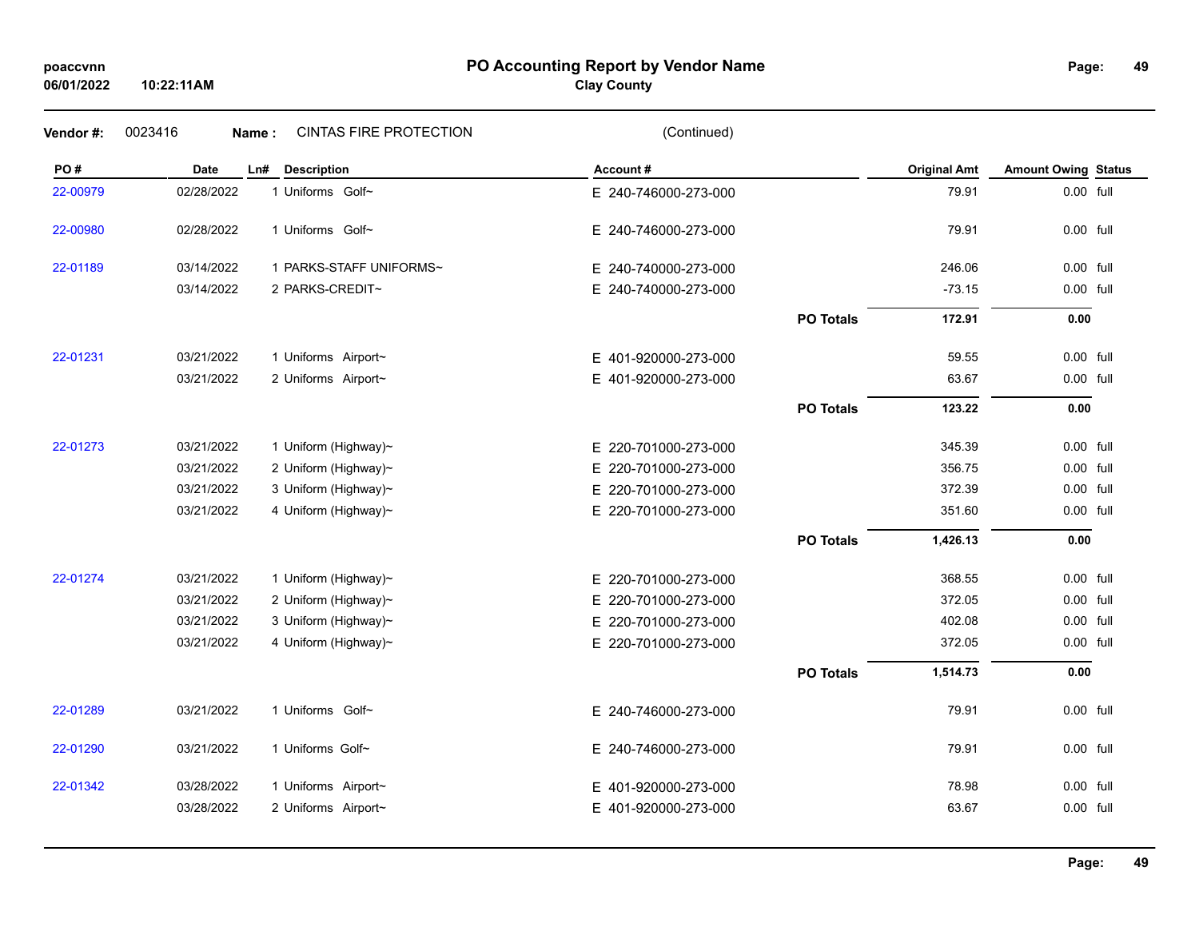## **PO Accounting Report by Vendor Name poaccvnn Page:**

## **Clay County**

| Vendor#: | 0023416<br>Name: | <b>CINTAS FIRE PROTECTION</b> | (Continued)          |                  |                     |                            |  |
|----------|------------------|-------------------------------|----------------------|------------------|---------------------|----------------------------|--|
| PO#      | <b>Date</b>      | <b>Description</b><br>Ln#     | Account#             |                  | <b>Original Amt</b> | <b>Amount Owing Status</b> |  |
| 22-00979 | 02/28/2022       | 1 Uniforms Golf~              | E 240-746000-273-000 |                  | 79.91               | 0.00 full                  |  |
| 22-00980 | 02/28/2022       | 1 Uniforms Golf~              | E 240-746000-273-000 |                  | 79.91               | 0.00 full                  |  |
| 22-01189 | 03/14/2022       | 1 PARKS-STAFF UNIFORMS~       | E 240-740000-273-000 |                  | 246.06              | 0.00 full                  |  |
|          | 03/14/2022       | 2 PARKS-CREDIT~               | E 240-740000-273-000 |                  | $-73.15$            | 0.00 full                  |  |
|          |                  |                               |                      | <b>PO Totals</b> | 172.91              | 0.00                       |  |
| 22-01231 | 03/21/2022       | 1 Uniforms Airport~           | E 401-920000-273-000 |                  | 59.55               | 0.00 full                  |  |
|          | 03/21/2022       | 2 Uniforms Airport~           | E 401-920000-273-000 |                  | 63.67               | 0.00 full                  |  |
|          |                  |                               |                      | <b>PO Totals</b> | 123.22              | 0.00                       |  |
| 22-01273 | 03/21/2022       | 1 Uniform (Highway)~          | E 220-701000-273-000 |                  | 345.39              | 0.00 full                  |  |
|          | 03/21/2022       | 2 Uniform (Highway)~          | E 220-701000-273-000 |                  | 356.75              | 0.00 full                  |  |
|          | 03/21/2022       | 3 Uniform (Highway)~          | E 220-701000-273-000 |                  | 372.39              | 0.00 full                  |  |
|          | 03/21/2022       | 4 Uniform (Highway)~          | E 220-701000-273-000 |                  | 351.60              | 0.00 full                  |  |
|          |                  |                               |                      | <b>PO Totals</b> | 1,426.13            | 0.00                       |  |
| 22-01274 | 03/21/2022       | 1 Uniform (Highway)~          | E 220-701000-273-000 |                  | 368.55              | 0.00 full                  |  |
|          | 03/21/2022       | 2 Uniform (Highway)~          | E 220-701000-273-000 |                  | 372.05              | 0.00 full                  |  |
|          | 03/21/2022       | 3 Uniform (Highway)~          | E 220-701000-273-000 |                  | 402.08              | 0.00 full                  |  |
|          | 03/21/2022       | 4 Uniform (Highway)~          | E 220-701000-273-000 |                  | 372.05              | 0.00 full                  |  |
|          |                  |                               |                      | <b>PO Totals</b> | 1,514.73            | 0.00                       |  |
| 22-01289 | 03/21/2022       | 1 Uniforms Golf~              | E 240-746000-273-000 |                  | 79.91               | 0.00 full                  |  |
| 22-01290 | 03/21/2022       | 1 Uniforms Golf~              | E 240-746000-273-000 |                  | 79.91               | 0.00 full                  |  |
| 22-01342 | 03/28/2022       | 1 Uniforms Airport~           | E 401-920000-273-000 |                  | 78.98               | 0.00 full                  |  |
|          | 03/28/2022       | 2 Uniforms Airport~           | E 401-920000-273-000 |                  | 63.67               | 0.00 full                  |  |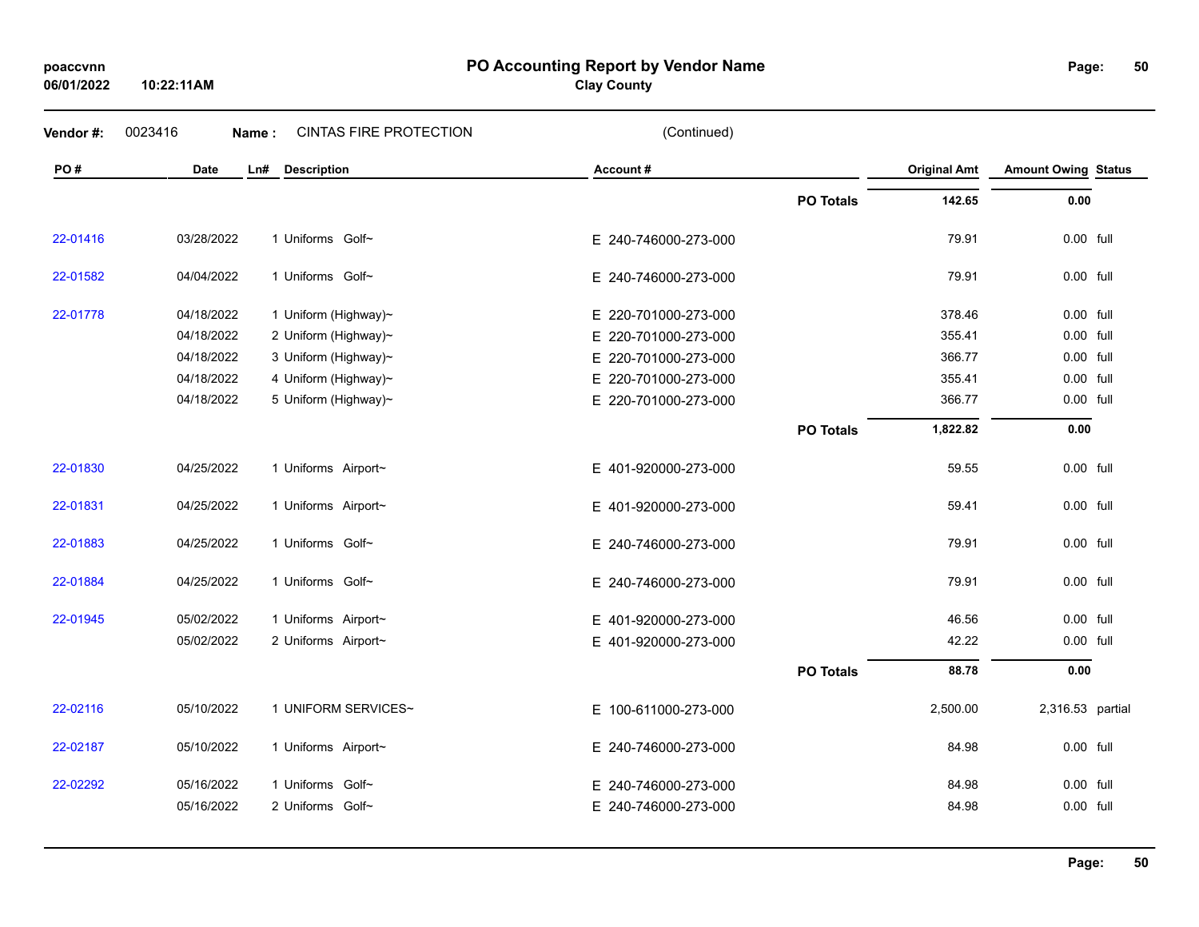## **06/01/2022**

**10:22:11AM**

**PO Accounting Report by Vendor Name poaccvnn Page:**

**Clay County**

| Vendor#: | 0023416<br>Name: | <b>CINTAS FIRE PROTECTION</b> | (Continued)          |                  |                     |                            |
|----------|------------------|-------------------------------|----------------------|------------------|---------------------|----------------------------|
| PO#      | <b>Date</b>      | <b>Description</b><br>Ln#     | Account#             |                  | <b>Original Amt</b> | <b>Amount Owing Status</b> |
|          |                  |                               |                      | <b>PO Totals</b> | 142.65              | 0.00                       |
| 22-01416 | 03/28/2022       | 1 Uniforms Golf~              | E 240-746000-273-000 |                  | 79.91               | 0.00 full                  |
| 22-01582 | 04/04/2022       | 1 Uniforms Golf~              | E 240-746000-273-000 |                  | 79.91               | 0.00 full                  |
| 22-01778 | 04/18/2022       | 1 Uniform (Highway)~          | E 220-701000-273-000 |                  | 378.46              | 0.00 full                  |
|          | 04/18/2022       | 2 Uniform (Highway)~          | E 220-701000-273-000 |                  | 355.41              | $0.00$ full                |
|          | 04/18/2022       | 3 Uniform (Highway)~          | E 220-701000-273-000 |                  | 366.77              | 0.00 full                  |
|          | 04/18/2022       | 4 Uniform (Highway)~          | E 220-701000-273-000 |                  | 355.41              | 0.00 full                  |
|          | 04/18/2022       | 5 Uniform (Highway)~          | E 220-701000-273-000 |                  | 366.77              | 0.00 full                  |
|          |                  |                               |                      | <b>PO Totals</b> | 1,822.82            | 0.00                       |
| 22-01830 | 04/25/2022       | 1 Uniforms Airport~           | E 401-920000-273-000 |                  | 59.55               | 0.00 full                  |
| 22-01831 | 04/25/2022       | 1 Uniforms Airport~           | E 401-920000-273-000 |                  | 59.41               | $0.00$ full                |
| 22-01883 | 04/25/2022       | 1 Uniforms Golf~              | E 240-746000-273-000 |                  | 79.91               | 0.00 full                  |
| 22-01884 | 04/25/2022       | 1 Uniforms Golf~              | E 240-746000-273-000 |                  | 79.91               | $0.00$ full                |
| 22-01945 | 05/02/2022       | 1 Uniforms Airport~           | E 401-920000-273-000 |                  | 46.56               | 0.00 full                  |
|          | 05/02/2022       | 2 Uniforms Airport~           | E 401-920000-273-000 |                  | 42.22               | 0.00 full                  |
|          |                  |                               |                      | <b>PO Totals</b> | 88.78               | 0.00                       |
| 22-02116 | 05/10/2022       | 1 UNIFORM SERVICES~           | E 100-611000-273-000 |                  | 2,500.00            | 2,316.53 partial           |
| 22-02187 | 05/10/2022       | 1 Uniforms Airport~           | E 240-746000-273-000 |                  | 84.98               | $0.00$ full                |
| 22-02292 | 05/16/2022       | 1 Uniforms Golf~              | E 240-746000-273-000 |                  | 84.98               | $0.00$ full                |
|          | 05/16/2022       | 2 Uniforms Golf~              | E 240-746000-273-000 |                  | 84.98               | 0.00 full                  |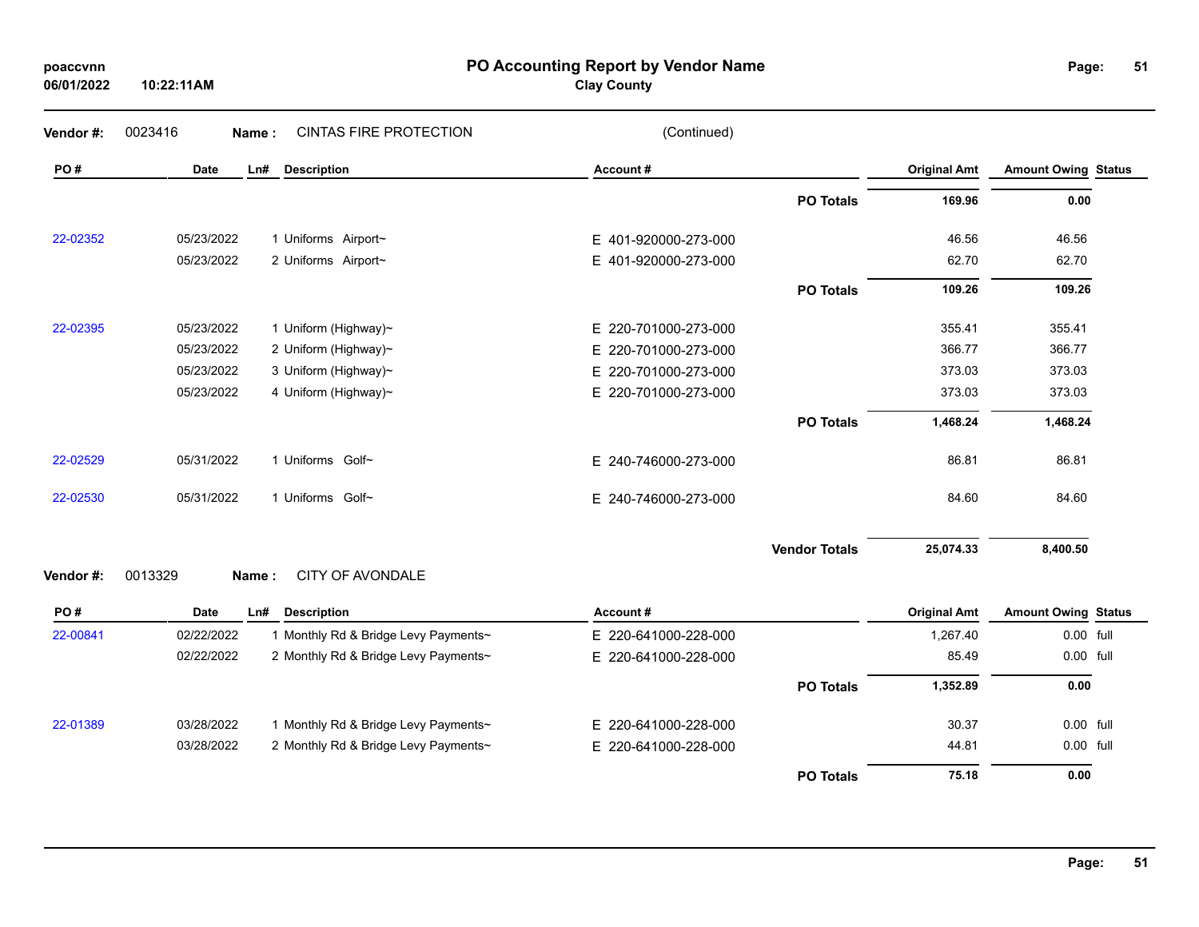| poaccvnn   |
|------------|
| 06/01/2022 |

**PO Accounting Report by Vendor Name poaccvnn Page:**

**Clay County**

| Vendor#: | 0023416<br>Name:   | <b>CINTAS FIRE PROTECTION</b>        | (Continued)              |                      |                     |                            |  |
|----------|--------------------|--------------------------------------|--------------------------|----------------------|---------------------|----------------------------|--|
| PO#      | <b>Date</b><br>Ln# | <b>Description</b>                   | Account#                 |                      | <b>Original Amt</b> | <b>Amount Owing Status</b> |  |
|          |                    |                                      |                          | <b>PO Totals</b>     | 169.96              | 0.00                       |  |
| 22-02352 | 05/23/2022         | 1 Uniforms Airport~                  | E 401-920000-273-000     |                      | 46.56               | 46.56                      |  |
|          | 05/23/2022         | 2 Uniforms Airport~                  | E 401-920000-273-000     |                      | 62.70               | 62.70                      |  |
|          |                    |                                      |                          | <b>PO Totals</b>     | 109.26              | 109.26                     |  |
| 22-02395 | 05/23/2022         | 1 Uniform (Highway)~                 | E 220-701000-273-000     |                      | 355.41              | 355.41                     |  |
|          | 05/23/2022         | 2 Uniform (Highway)~                 | E 220-701000-273-000     |                      | 366.77              | 366.77                     |  |
|          | 05/23/2022         | 3 Uniform (Highway)~                 | 220-701000-273-000<br>E. |                      | 373.03              | 373.03                     |  |
|          | 05/23/2022         | 4 Uniform (Highway)~                 | E 220-701000-273-000     |                      | 373.03              | 373.03                     |  |
|          |                    |                                      |                          | <b>PO Totals</b>     | 1,468.24            | 1,468.24                   |  |
| 22-02529 | 05/31/2022         | 1 Uniforms Golf~                     | E 240-746000-273-000     |                      | 86.81               | 86.81                      |  |
| 22-02530 | 05/31/2022         | 1 Uniforms Golf~                     | E 240-746000-273-000     |                      | 84.60               | 84.60                      |  |
|          |                    |                                      |                          | <b>Vendor Totals</b> | 25,074.33           | 8,400.50                   |  |
| Vendor#: | 0013329<br>Name:   | <b>CITY OF AVONDALE</b>              |                          |                      |                     |                            |  |
| PO#      | Date<br>Ln#        | <b>Description</b>                   | Account#                 |                      | <b>Original Amt</b> | <b>Amount Owing Status</b> |  |
| 22-00841 | 02/22/2022         | 1 Monthly Rd & Bridge Levy Payments~ | E 220-641000-228-000     |                      | 1,267.40            | 0.00 full                  |  |
|          | 02/22/2022         | 2 Monthly Rd & Bridge Levy Payments~ | E 220-641000-228-000     |                      | 85.49               | 0.00 full                  |  |
|          |                    |                                      |                          | <b>PO Totals</b>     | 1,352.89            | 0.00                       |  |
| 22-01389 | 03/28/2022         | 1 Monthly Rd & Bridge Levy Payments~ | E 220-641000-228-000     |                      | 30.37               | 0.00 full                  |  |
|          | 03/28/2022         | 2 Monthly Rd & Bridge Levy Payments~ | E 220-641000-228-000     |                      | 44.81               | 0.00 full                  |  |
|          |                    |                                      |                          | <b>PO Totals</b>     | 75.18               | 0.00                       |  |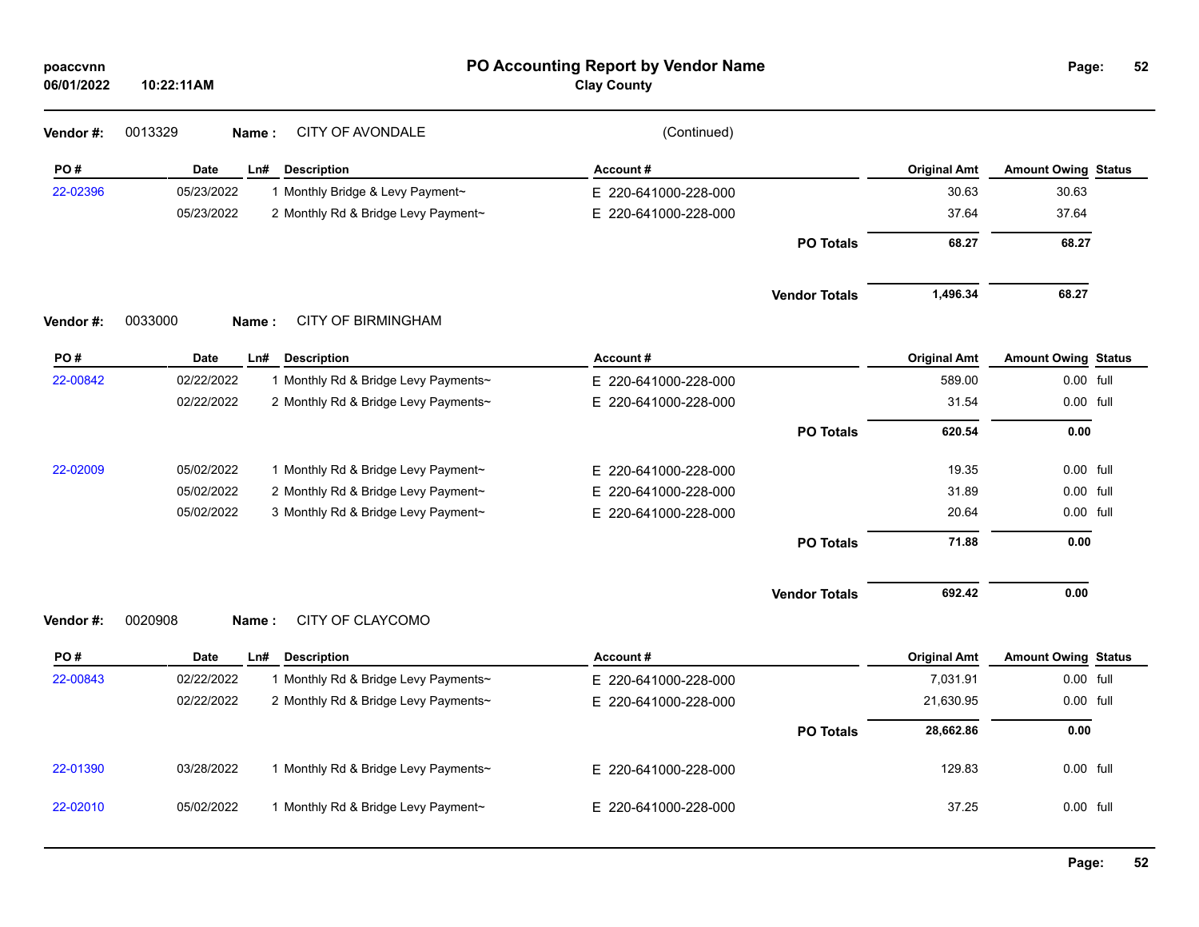| poaccvnn<br>06/01/2022 | 10:22:11AM         |                                                                   | PO Accounting Report by Vendor Name<br><b>Clay County</b> |                      |                               | Page:                                   | 52 |
|------------------------|--------------------|-------------------------------------------------------------------|-----------------------------------------------------------|----------------------|-------------------------------|-----------------------------------------|----|
| Vendor#:               | 0013329            | <b>CITY OF AVONDALE</b><br>Name:                                  | (Continued)                                               |                      |                               |                                         |    |
| PO#                    | <b>Date</b>        | Ln#<br><b>Description</b>                                         | Account#                                                  |                      | <b>Original Amt</b>           | <b>Amount Owing Status</b>              |    |
| 22-02396               | 05/23/2022         | 1 Monthly Bridge & Levy Payment~                                  | E 220-641000-228-000                                      |                      | 30.63                         | 30.63                                   |    |
|                        | 05/23/2022         | 2 Monthly Rd & Bridge Levy Payment~                               | E 220-641000-228-000                                      |                      | 37.64                         | 37.64                                   |    |
|                        |                    |                                                                   |                                                           | <b>PO Totals</b>     | 68.27                         | 68.27                                   |    |
|                        |                    |                                                                   |                                                           | <b>Vendor Totals</b> | 1,496.34                      | 68.27                                   |    |
| Vendor #:              | 0033000<br>Name:   | <b>CITY OF BIRMINGHAM</b>                                         |                                                           |                      |                               |                                         |    |
| PO#<br>22-00842        | Date<br>02/22/2022 | Ln#<br><b>Description</b><br>1 Monthly Rd & Bridge Levy Payments~ | Account#<br>E 220-641000-228-000                          |                      | <b>Original Amt</b><br>589.00 | <b>Amount Owing Status</b><br>0.00 full |    |
|                        | 02/22/2022         | 2 Monthly Rd & Bridge Levy Payments~                              | E 220-641000-228-000                                      |                      | 31.54                         | 0.00 full                               |    |
|                        |                    |                                                                   |                                                           |                      |                               |                                         |    |
|                        |                    |                                                                   |                                                           | <b>PO Totals</b>     | 620.54                        | 0.00                                    |    |
| 22-02009               | 05/02/2022         | 1 Monthly Rd & Bridge Levy Payment~                               | E 220-641000-228-000                                      |                      | 19.35                         | 0.00 full                               |    |
|                        | 05/02/2022         | 2 Monthly Rd & Bridge Levy Payment~                               | E 220-641000-228-000                                      |                      | 31.89                         | 0.00 full                               |    |
|                        | 05/02/2022         | 3 Monthly Rd & Bridge Levy Payment~                               | E 220-641000-228-000                                      |                      | 20.64                         | 0.00 full                               |    |
|                        |                    |                                                                   |                                                           | <b>PO Totals</b>     | 71.88                         | 0.00                                    |    |
|                        |                    |                                                                   |                                                           | <b>Vendor Totals</b> | 692.42                        | 0.00                                    |    |
| Vendor#:               | 0020908            | CITY OF CLAYCOMO<br>Name:                                         |                                                           |                      |                               |                                         |    |
| PO#                    | <b>Date</b>        | Ln#<br><b>Description</b>                                         | Account#                                                  |                      | <b>Original Amt</b>           | <b>Amount Owing Status</b>              |    |
| 22-00843               | 02/22/2022         | 1 Monthly Rd & Bridge Levy Payments~                              | E 220-641000-228-000                                      |                      | 7,031.91                      | $0.00$ full                             |    |
|                        | 02/22/2022         | 2 Monthly Rd & Bridge Levy Payments~                              | E 220-641000-228-000                                      |                      | 21,630.95                     | $0.00$ full                             |    |
|                        |                    |                                                                   |                                                           | <b>PO Totals</b>     | 28,662.86                     | 0.00                                    |    |
| 22-01390               | 03/28/2022         | 1 Monthly Rd & Bridge Levy Payments~                              | E 220-641000-228-000                                      |                      | 129.83                        | 0.00 full                               |    |
| 22-02010               | 05/02/2022         | 1 Monthly Rd & Bridge Levy Payment~                               | E 220-641000-228-000                                      |                      | 37.25                         | 0.00 full                               |    |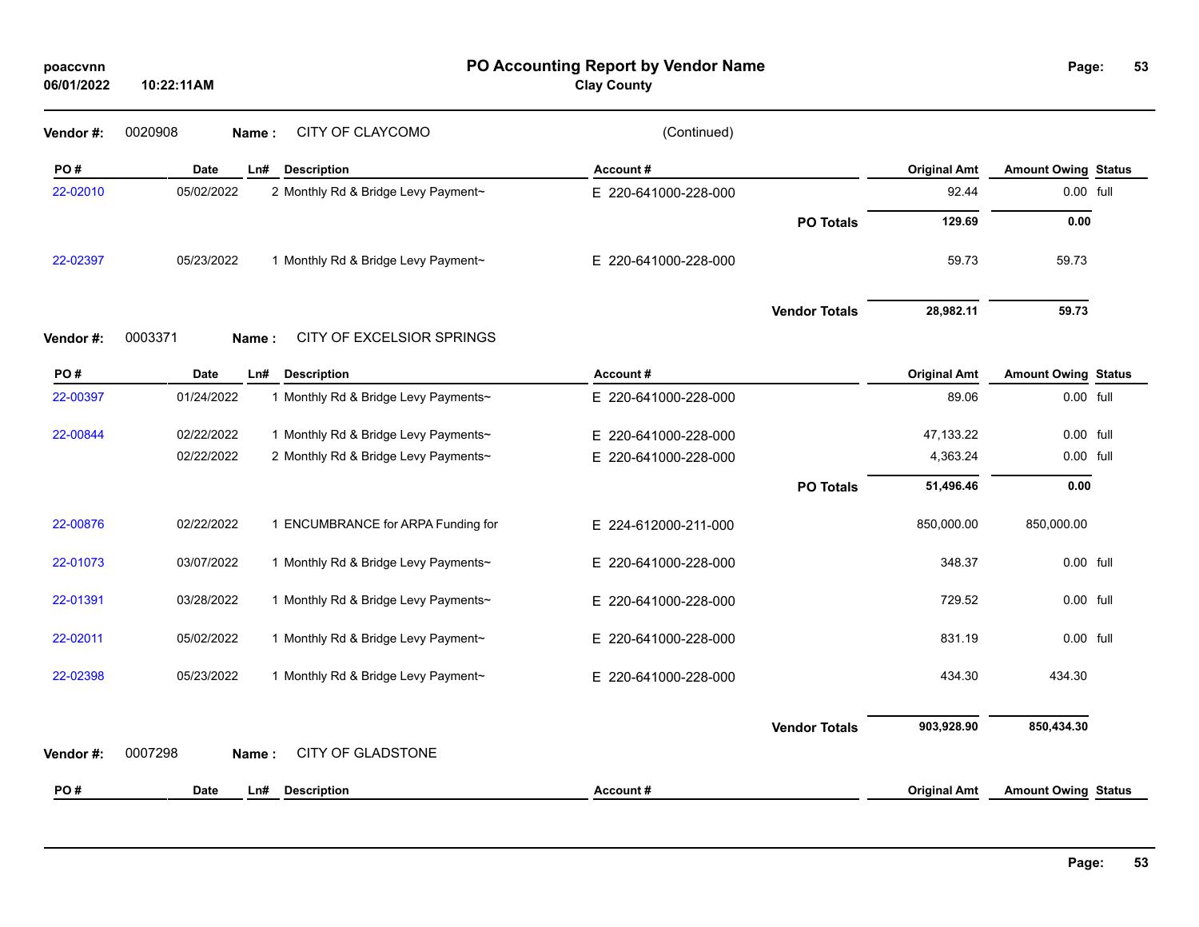| 06/01/2022 | 10:22:11AM         |                                      | <b>Clay County</b>   |                      |                     |                            |  |
|------------|--------------------|--------------------------------------|----------------------|----------------------|---------------------|----------------------------|--|
| Vendor #:  | 0020908<br>Name:   | CITY OF CLAYCOMO                     | (Continued)          |                      |                     |                            |  |
| PO#        | <b>Date</b><br>Ln# | <b>Description</b>                   | Account#             |                      | <b>Original Amt</b> | <b>Amount Owing Status</b> |  |
| 22-02010   | 05/02/2022         | 2 Monthly Rd & Bridge Levy Payment~  | E 220-641000-228-000 |                      | 92.44               | 0.00 full                  |  |
|            |                    |                                      |                      | <b>PO Totals</b>     | 129.69              | 0.00                       |  |
| 22-02397   | 05/23/2022         | 1 Monthly Rd & Bridge Levy Payment~  | E 220-641000-228-000 |                      | 59.73               | 59.73                      |  |
|            |                    |                                      |                      | <b>Vendor Totals</b> | 28,982.11           | 59.73                      |  |
| Vendor #:  | 0003371<br>Name:   | CITY OF EXCELSIOR SPRINGS            |                      |                      |                     |                            |  |
| PO#        | <b>Date</b><br>Ln# | <b>Description</b>                   | Account#             |                      | <b>Original Amt</b> | <b>Amount Owing Status</b> |  |
| 22-00397   | 01/24/2022         | 1 Monthly Rd & Bridge Levy Payments~ | E 220-641000-228-000 |                      | 89.06               | 0.00 full                  |  |
| 22-00844   | 02/22/2022         | 1 Monthly Rd & Bridge Levy Payments~ | E 220-641000-228-000 |                      | 47,133.22           | 0.00 full                  |  |
|            | 02/22/2022         | 2 Monthly Rd & Bridge Levy Payments~ | E 220-641000-228-000 |                      | 4,363.24            | 0.00 full                  |  |
|            |                    |                                      |                      | <b>PO Totals</b>     | 51,496.46           | 0.00                       |  |
| 22-00876   | 02/22/2022         | 1 ENCUMBRANCE for ARPA Funding for   | E 224-612000-211-000 |                      | 850,000.00          | 850,000.00                 |  |
| 22-01073   | 03/07/2022         | 1 Monthly Rd & Bridge Levy Payments~ | E 220-641000-228-000 |                      | 348.37              | 0.00 full                  |  |
| 22-01391   | 03/28/2022         | 1 Monthly Rd & Bridge Levy Payments~ | E 220-641000-228-000 |                      | 729.52              | 0.00 full                  |  |
| 22-02011   | 05/02/2022         | 1 Monthly Rd & Bridge Levy Payment~  | E 220-641000-228-000 |                      | 831.19              | 0.00 full                  |  |
| 22-02398   | 05/23/2022         | 1 Monthly Rd & Bridge Levy Payment~  | E 220-641000-228-000 |                      | 434.30              | 434.30                     |  |
| Vendor #:  | 0007298<br>Name:   | <b>CITY OF GLADSTONE</b>             |                      | <b>Vendor Totals</b> | 903,928.90          | 850,434.30                 |  |
| PO#        | <b>Date</b><br>Ln# | <b>Description</b>                   | Account#             |                      | <b>Original Amt</b> | <b>Amount Owing Status</b> |  |

**53**

## **PO Accounting Report by Vendor Name poaccvnn Page:**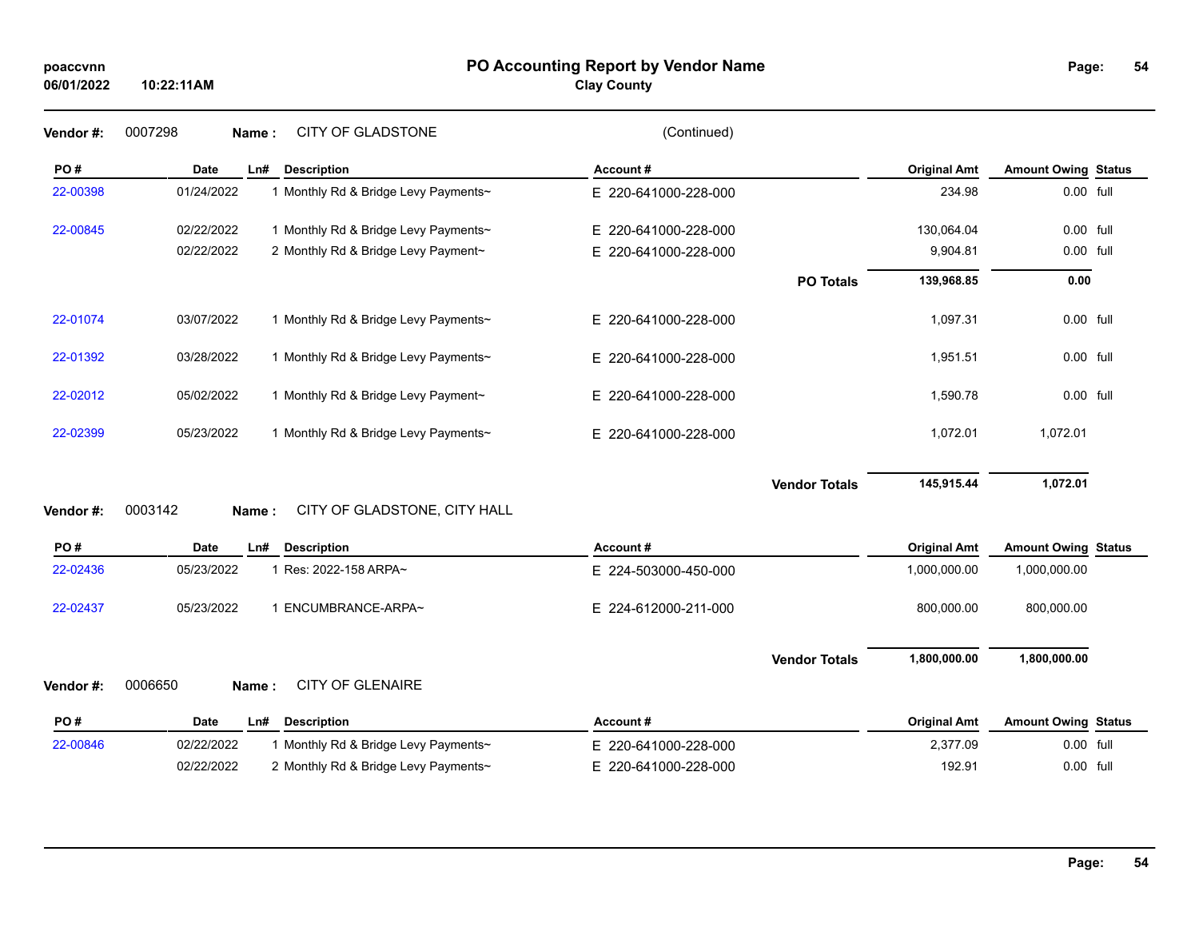## **PO Accounting Report by Vendor Name poaccvnn Page:**

**Clay County**

| Page: | 54 |
|-------|----|
|       |    |

| Vendor #: | 0007298<br>Name:   | CITY OF GLADSTONE                    | (Continued)              |                      |                     |                            |  |
|-----------|--------------------|--------------------------------------|--------------------------|----------------------|---------------------|----------------------------|--|
| PO#       | <b>Date</b><br>Ln# | <b>Description</b>                   | Account#                 |                      | <b>Original Amt</b> | <b>Amount Owing Status</b> |  |
| 22-00398  | 01/24/2022         | 1 Monthly Rd & Bridge Levy Payments~ | E 220-641000-228-000     |                      | 234.98              | 0.00 full                  |  |
| 22-00845  | 02/22/2022         | 1 Monthly Rd & Bridge Levy Payments~ | E.<br>220-641000-228-000 |                      | 130,064.04          | 0.00 full                  |  |
|           | 02/22/2022         | 2 Monthly Rd & Bridge Levy Payment~  | E 220-641000-228-000     |                      | 9,904.81            | 0.00 full                  |  |
|           |                    |                                      |                          | <b>PO Totals</b>     | 139,968.85          | 0.00                       |  |
| 22-01074  | 03/07/2022         | 1 Monthly Rd & Bridge Levy Payments~ | E 220-641000-228-000     |                      | 1,097.31            | 0.00 full                  |  |
| 22-01392  | 03/28/2022         | 1 Monthly Rd & Bridge Levy Payments~ | E 220-641000-228-000     |                      | 1,951.51            | 0.00 full                  |  |
| 22-02012  | 05/02/2022         | 1 Monthly Rd & Bridge Levy Payment~  | E 220-641000-228-000     |                      | 1,590.78            | 0.00 full                  |  |
| 22-02399  | 05/23/2022         | 1 Monthly Rd & Bridge Levy Payments~ | E 220-641000-228-000     |                      | 1,072.01            | 1,072.01                   |  |
| Vendor#:  | 0003142<br>Name:   | CITY OF GLADSTONE, CITY HALL         |                          | <b>Vendor Totals</b> | 145,915.44          | 1,072.01                   |  |
| PO#       | <b>Date</b><br>Ln# | <b>Description</b>                   | Account#                 |                      | <b>Original Amt</b> | <b>Amount Owing Status</b> |  |
| 22-02436  | 05/23/2022         | 1 Res: 2022-158 ARPA~                | E 224-503000-450-000     |                      | 1,000,000.00        | 1,000,000.00               |  |
| 22-02437  | 05/23/2022         | 1 ENCUMBRANCE-ARPA~                  | E 224-612000-211-000     |                      | 800,000.00          | 800,000.00                 |  |
|           |                    |                                      |                          | <b>Vendor Totals</b> | 1,800,000.00        | 1,800,000.00               |  |
| Vendor#:  | 0006650<br>Name:   | <b>CITY OF GLENAIRE</b>              |                          |                      |                     |                            |  |
| PO#       | <b>Date</b><br>Ln# | <b>Description</b>                   | Account#                 |                      | <b>Original Amt</b> | <b>Amount Owing Status</b> |  |
| 22-00846  | 02/22/2022         | 1 Monthly Rd & Bridge Levy Payments~ | E 220-641000-228-000     |                      | 2,377.09            | 0.00 full                  |  |
|           | 02/22/2022         | 2 Monthly Rd & Bridge Levy Payments~ | E.<br>220-641000-228-000 |                      | 192.91              | 0.00 full                  |  |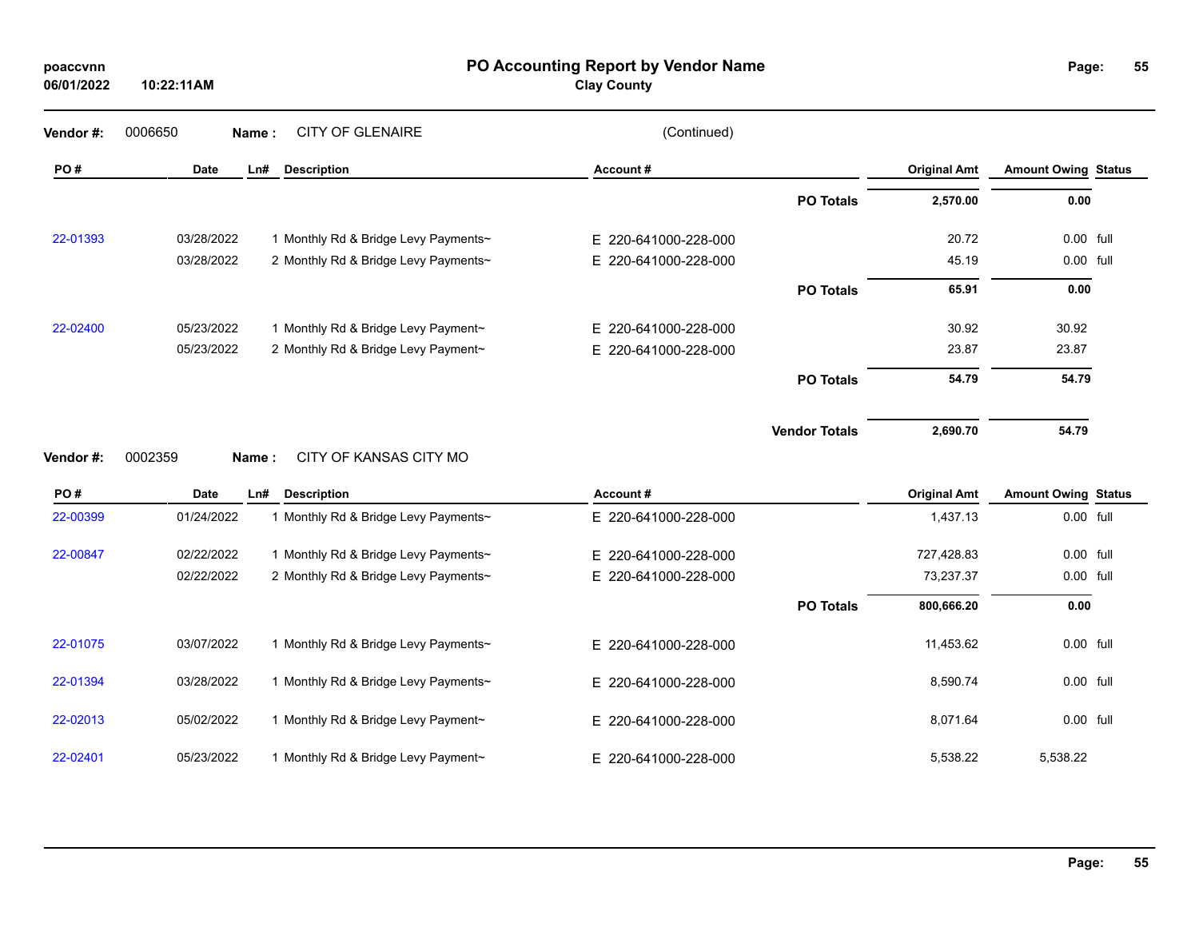| poaccvnn   |  |
|------------|--|
| 06/01/2022 |  |

**PO Accounting Report by Vendor Name poaccvnn Page:**

**Clay County**

| Vendor#:             | 0006650     | <b>CITY OF GLENAIRE</b><br>Name:     | (Continued)          |                      |                     |                            |  |
|----------------------|-------------|--------------------------------------|----------------------|----------------------|---------------------|----------------------------|--|
| PO#                  | Date        | Ln#<br><b>Description</b>            | Account#             |                      | <b>Original Amt</b> | <b>Amount Owing Status</b> |  |
|                      |             |                                      |                      | <b>PO Totals</b>     | 2,570.00            | 0.00                       |  |
| 22-01393             | 03/28/2022  | 1 Monthly Rd & Bridge Levy Payments~ | E 220-641000-228-000 |                      | 20.72               | 0.00 full                  |  |
|                      | 03/28/2022  | 2 Monthly Rd & Bridge Levy Payments~ | E 220-641000-228-000 |                      | 45.19               | 0.00 full                  |  |
|                      |             |                                      |                      | <b>PO Totals</b>     | 65.91               | 0.00                       |  |
| 22-02400             | 05/23/2022  | 1 Monthly Rd & Bridge Levy Payment~  | E 220-641000-228-000 |                      | 30.92               | 30.92                      |  |
|                      | 05/23/2022  | 2 Monthly Rd & Bridge Levy Payment~  | E 220-641000-228-000 |                      | 23.87               | 23.87                      |  |
|                      |             |                                      |                      | <b>PO Totals</b>     | 54.79               | 54.79                      |  |
|                      |             |                                      |                      |                      |                     |                            |  |
|                      |             |                                      |                      | <b>Vendor Totals</b> | 2,690.70            | 54.79                      |  |
|                      | 0002359     | CITY OF KANSAS CITY MO<br>Name:      |                      |                      |                     |                            |  |
| PO#                  | <b>Date</b> | <b>Description</b><br>Ln#            | Account#             |                      | <b>Original Amt</b> | <b>Amount Owing Status</b> |  |
|                      | 01/24/2022  | 1 Monthly Rd & Bridge Levy Payments~ | E 220-641000-228-000 |                      | 1,437.13            | 0.00 full                  |  |
|                      | 02/22/2022  | 1 Monthly Rd & Bridge Levy Payments~ | E 220-641000-228-000 |                      | 727,428.83          | 0.00 full                  |  |
| 22-00399<br>22-00847 | 02/22/2022  | 2 Monthly Rd & Bridge Levy Payments~ | E 220-641000-228-000 |                      | 73,237.37           | 0.00 full                  |  |
|                      |             |                                      |                      | <b>PO Totals</b>     | 800,666.20          | 0.00                       |  |
| Vendor#:<br>22-01075 | 03/07/2022  | 1 Monthly Rd & Bridge Levy Payments~ | E 220-641000-228-000 |                      | 11,453.62           | 0.00 full                  |  |
|                      | 03/28/2022  | 1 Monthly Rd & Bridge Levy Payments~ | E 220-641000-228-000 |                      | 8,590.74            | 0.00 full                  |  |
| 22-01394<br>22-02013 | 05/02/2022  | 1 Monthly Rd & Bridge Levy Payment~  | E 220-641000-228-000 |                      | 8,071.64            | 0.00 full                  |  |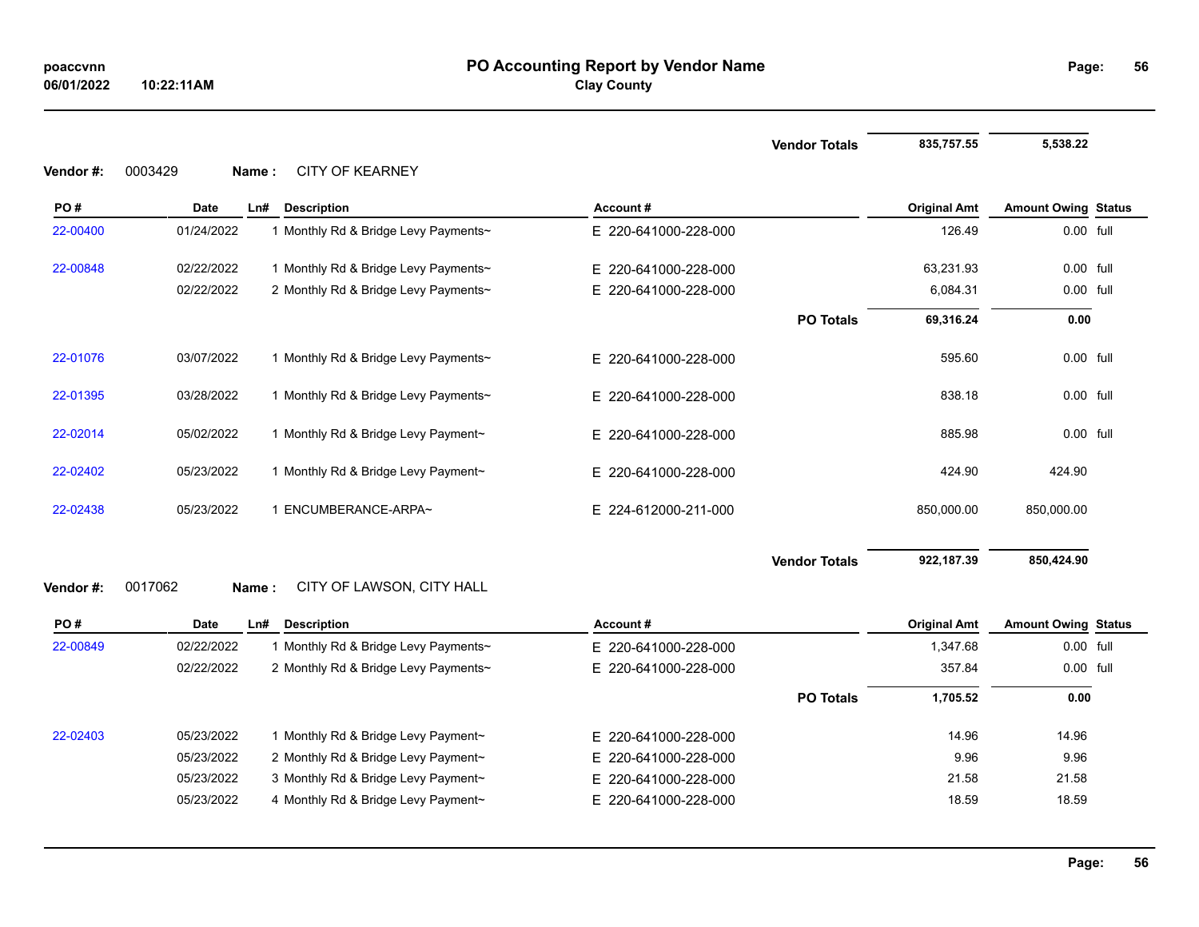**56**

# **Vendor Totals** 835,757.55 5,538.22 **PO # Date Ln# Description Account # Original Amt Amount Owing Status** 22-00400 01/24/2022 1 Monthly Rd & Bridge Levy Payments~ E 220-641000-228-000 126.49 126.49 0.00 full

| 22-00848 | 02/22/2022 | 1 Monthly Rd & Bridge Levy Payments~ | E 220-641000-228-000 |                      | 63,231.93  | 0.00 full  |  |
|----------|------------|--------------------------------------|----------------------|----------------------|------------|------------|--|
|          | 02/22/2022 | 2 Monthly Rd & Bridge Levy Payments~ | E 220-641000-228-000 |                      | 6,084.31   | 0.00 full  |  |
|          |            |                                      |                      | <b>PO Totals</b>     | 69,316.24  | 0.00       |  |
| 22-01076 | 03/07/2022 | 1 Monthly Rd & Bridge Levy Payments~ | E 220-641000-228-000 |                      | 595.60     | 0.00 full  |  |
| 22-01395 | 03/28/2022 | 1 Monthly Rd & Bridge Levy Payments~ | E 220-641000-228-000 |                      | 838.18     | 0.00 full  |  |
| 22-02014 | 05/02/2022 | 1 Monthly Rd & Bridge Levy Payment~  | E 220-641000-228-000 |                      | 885.98     | 0.00 full  |  |
| 22-02402 | 05/23/2022 | 1 Monthly Rd & Bridge Levy Payment~  | E 220-641000-228-000 |                      | 424.90     | 424.90     |  |
| 22-02438 | 05/23/2022 | ENCUMBERANCE-ARPA~                   | E 224-612000-211-000 |                      | 850,000.00 | 850,000.00 |  |
|          |            |                                      |                      | <b>Vendor Totals</b> | 922,187.39 | 850,424.90 |  |

## **Vendor #:** 0017062 **Name :** CITY OF LAWSON, CITY HALL

**Vendor #:** 0003429 **Name :** CITY OF KEARNEY

| PO#      | <b>Date</b> | Ln# | <b>Description</b>                           | Account#             |                  | <b>Original Amt</b> | <b>Amount Owing Status</b> |  |
|----------|-------------|-----|----------------------------------------------|----------------------|------------------|---------------------|----------------------------|--|
| 22-00849 | 02/22/2022  |     | Monthly Rd & Bridge Levy Payments∼           | E 220-641000-228-000 |                  | 1,347.68            | $0.00$ full                |  |
|          | 02/22/2022  |     | 2 Monthly Rd & Bridge Levy Payments~         | E 220-641000-228-000 |                  | 357.84              | $0.00$ full                |  |
|          |             |     |                                              |                      | <b>PO Totals</b> | 1,705.52            | 0.00                       |  |
| 22-02403 | 05/23/2022  |     | <b>Monthly Rd &amp; Bridge Levy Payment~</b> | E 220-641000-228-000 |                  | 14.96               | 14.96                      |  |
|          | 05/23/2022  |     | 2 Monthly Rd & Bridge Levy Payment~          | E 220-641000-228-000 |                  | 9.96                | 9.96                       |  |
|          | 05/23/2022  |     | 3 Monthly Rd & Bridge Levy Payment~          | E 220-641000-228-000 |                  | 21.58               | 21.58                      |  |
|          | 05/23/2022  |     | 4 Monthly Rd & Bridge Levy Payment~          | E 220-641000-228-000 |                  | 18.59               | 18.59                      |  |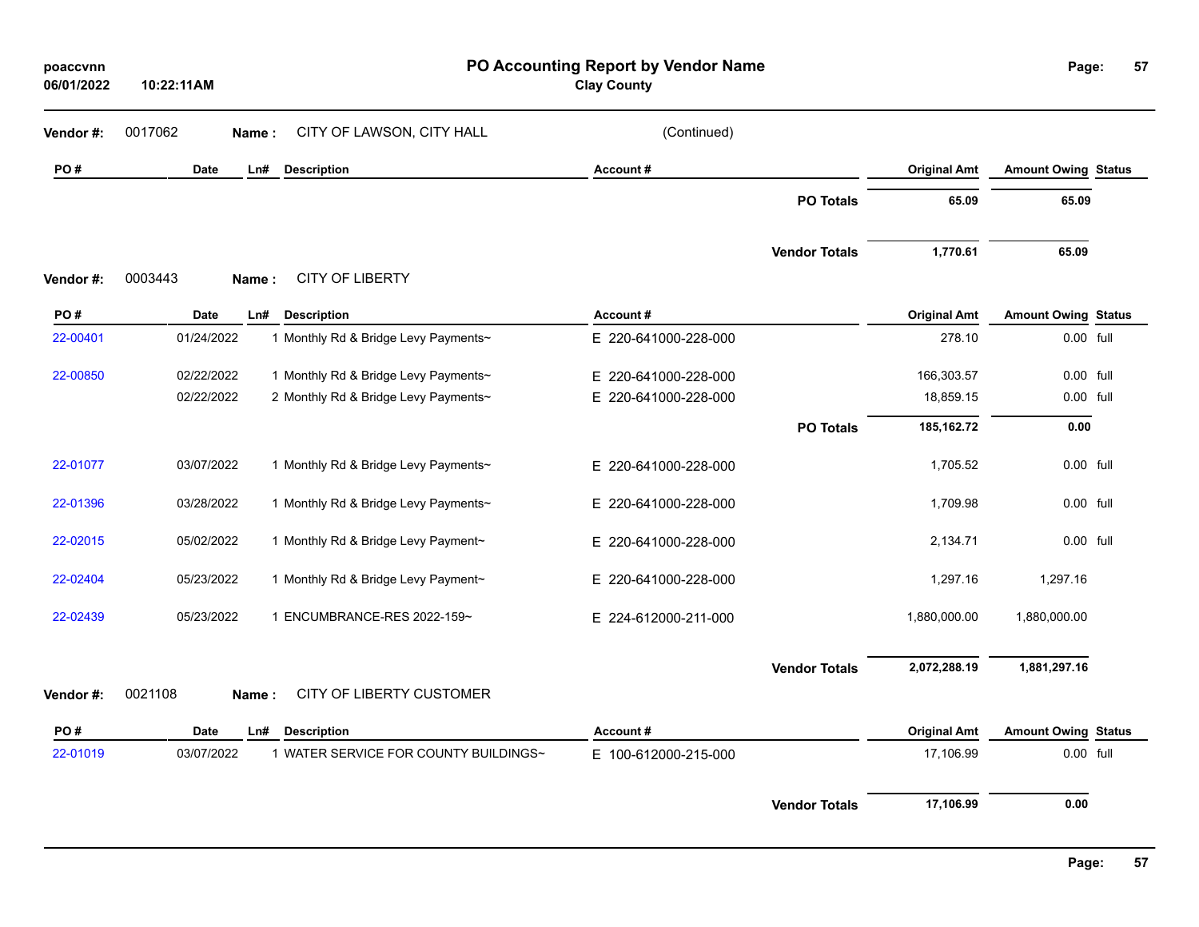| poaccvnn<br>06/01/2022 | 10:22:11AM  |                                       | PO Accounting Report by Vendor Name<br><b>Clay County</b> |                      |                     | Page:                      | 57 |
|------------------------|-------------|---------------------------------------|-----------------------------------------------------------|----------------------|---------------------|----------------------------|----|
| Vendor#:               | 0017062     | CITY OF LAWSON, CITY HALL<br>Name:    | (Continued)                                               |                      |                     |                            |    |
| PO#                    | Date        | Ln#<br><b>Description</b>             | Account#                                                  |                      | <b>Original Amt</b> | <b>Amount Owing Status</b> |    |
|                        |             |                                       |                                                           | <b>PO Totals</b>     | 65.09               | 65.09                      |    |
|                        |             |                                       |                                                           | <b>Vendor Totals</b> | 1,770.61            | 65.09                      |    |
| Vendor#:               | 0003443     | <b>CITY OF LIBERTY</b><br>Name:       |                                                           |                      |                     |                            |    |
| PO#                    | Date        | Ln#<br><b>Description</b>             | Account#                                                  |                      | <b>Original Amt</b> | <b>Amount Owing Status</b> |    |
| 22-00401               | 01/24/2022  | 1 Monthly Rd & Bridge Levy Payments~  | E 220-641000-228-000                                      |                      | 278.10              | 0.00 full                  |    |
| 22-00850               | 02/22/2022  | 1 Monthly Rd & Bridge Levy Payments~  | E 220-641000-228-000                                      |                      | 166,303.57          | 0.00 full                  |    |
|                        | 02/22/2022  | 2 Monthly Rd & Bridge Levy Payments~  | E 220-641000-228-000                                      |                      | 18,859.15           | 0.00 full                  |    |
|                        |             |                                       |                                                           | <b>PO Totals</b>     | 185, 162. 72        | 0.00                       |    |
| 22-01077               | 03/07/2022  | 1 Monthly Rd & Bridge Levy Payments~  | E 220-641000-228-000                                      |                      | 1,705.52            | 0.00 full                  |    |
| 22-01396               | 03/28/2022  | 1 Monthly Rd & Bridge Levy Payments~  | E 220-641000-228-000                                      |                      | 1,709.98            | 0.00 full                  |    |
| 22-02015               | 05/02/2022  | 1 Monthly Rd & Bridge Levy Payment~   | E 220-641000-228-000                                      |                      | 2,134.71            | 0.00 full                  |    |
| 22-02404               | 05/23/2022  | 1 Monthly Rd & Bridge Levy Payment~   | E 220-641000-228-000                                      |                      | 1,297.16            | 1,297.16                   |    |
| 22-02439               | 05/23/2022  | 1 ENCUMBRANCE-RES 2022-159~           | E 224-612000-211-000                                      |                      | 1,880,000.00        | 1,880,000.00               |    |
|                        |             |                                       |                                                           | <b>Vendor Totals</b> | 2,072,288.19        | 1,881,297.16               |    |
| Vendor #:              | 0021108     | CITY OF LIBERTY CUSTOMER<br>Name:     |                                                           |                      |                     |                            |    |
| PO#                    | <b>Date</b> | <b>Description</b><br>Ln#             | Account#                                                  |                      | <b>Original Amt</b> | <b>Amount Owing Status</b> |    |
| 22-01019               | 03/07/2022  | 1 WATER SERVICE FOR COUNTY BUILDINGS~ | E 100-612000-215-000                                      |                      | 17,106.99           | 0.00 full                  |    |
|                        |             |                                       |                                                           | <b>Vendor Totals</b> | 17,106.99           | 0.00                       |    |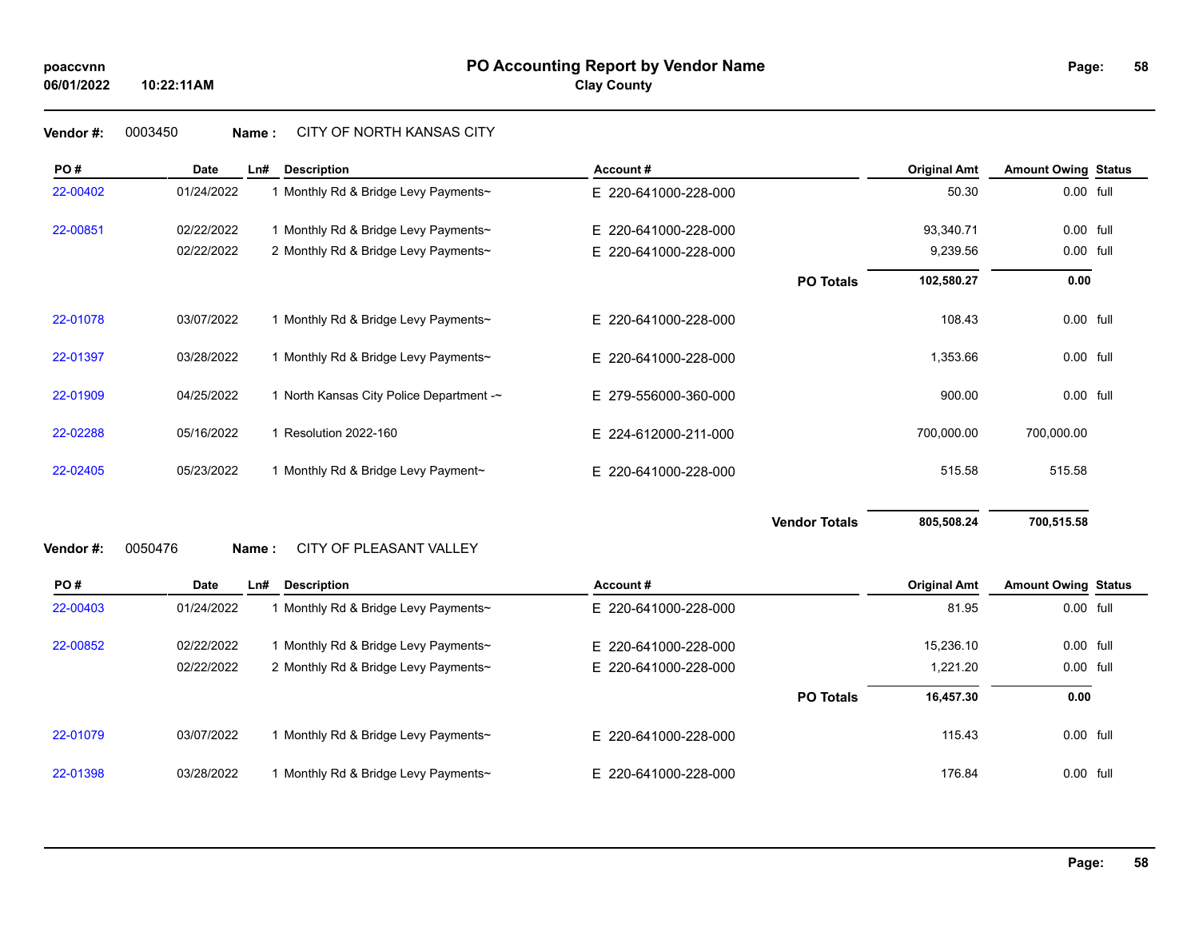## **Vendor #:** 0003450 **Name :** CITY OF NORTH KANSAS CITY

| PO#       | Date        | Ln#   | <b>Description</b>                       | Account#                 |                      | <b>Original Amt</b> | <b>Amount Owing Status</b> |  |
|-----------|-------------|-------|------------------------------------------|--------------------------|----------------------|---------------------|----------------------------|--|
| 22-00402  | 01/24/2022  |       | 1 Monthly Rd & Bridge Levy Payments~     | E 220-641000-228-000     |                      | 50.30               | 0.00 full                  |  |
| 22-00851  | 02/22/2022  |       | 1 Monthly Rd & Bridge Levy Payments~     | E 220-641000-228-000     |                      | 93,340.71           | 0.00 full                  |  |
|           | 02/22/2022  |       | 2 Monthly Rd & Bridge Levy Payments~     | 220-641000-228-000<br>E. |                      | 9,239.56            | 0.00 full                  |  |
|           |             |       |                                          |                          | <b>PO Totals</b>     | 102,580.27          | 0.00                       |  |
| 22-01078  | 03/07/2022  |       | 1 Monthly Rd & Bridge Levy Payments~     | E 220-641000-228-000     |                      | 108.43              | 0.00 full                  |  |
| 22-01397  | 03/28/2022  |       | 1 Monthly Rd & Bridge Levy Payments~     | E 220-641000-228-000     |                      | 1,353.66            | 0.00 full                  |  |
| 22-01909  | 04/25/2022  |       | 1 North Kansas City Police Department -~ | E 279-556000-360-000     |                      | 900.00              | 0.00 full                  |  |
| 22-02288  | 05/16/2022  |       | 1 Resolution 2022-160                    | E 224-612000-211-000     |                      | 700,000.00          | 700,000.00                 |  |
| 22-02405  | 05/23/2022  |       | 1 Monthly Rd & Bridge Levy Payment~      | E 220-641000-228-000     |                      | 515.58              | 515.58                     |  |
| Vendor #: | 0050476     | Name: | CITY OF PLEASANT VALLEY                  |                          | <b>Vendor Totals</b> | 805,508.24          | 700,515.58                 |  |
|           |             |       |                                          |                          |                      |                     |                            |  |
| PO#       | <b>Date</b> | Ln#   | <b>Description</b>                       | Account#                 |                      | <b>Original Amt</b> | <b>Amount Owing Status</b> |  |
| 22-00403  | 01/24/2022  |       | 1 Monthly Rd & Bridge Levy Payments~     | E 220-641000-228-000     |                      | 81.95               | 0.00 full                  |  |
| 22-00852  | 02/22/2022  |       | 1 Monthly Rd & Bridge Levy Payments~     | E 220-641000-228-000     |                      | 15,236.10           | 0.00 full                  |  |
|           | 02/22/2022  |       | 2 Monthly Rd & Bridge Levy Payments~     | E 220-641000-228-000     |                      | 1,221.20            | 0.00 full                  |  |
|           |             |       |                                          |                          | <b>PO Totals</b>     | 16,457.30           | 0.00                       |  |
| 22-01079  | 03/07/2022  |       | 1 Monthly Rd & Bridge Levy Payments~     | E 220-641000-228-000     |                      | 115.43              | 0.00 full                  |  |
| 22-01398  | 03/28/2022  |       | 1 Monthly Rd & Bridge Levy Payments~     | E 220-641000-228-000     |                      | 176.84              | 0.00 full                  |  |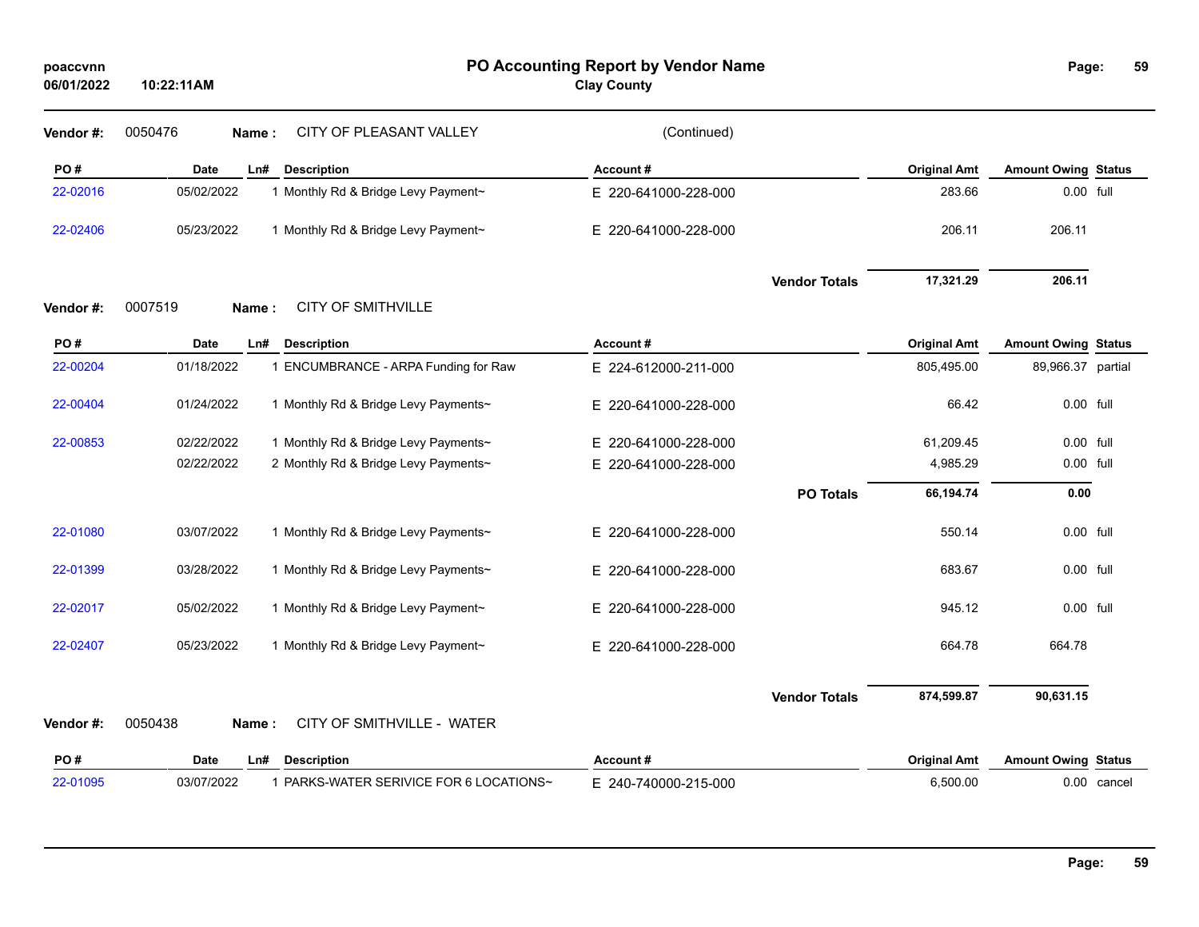| poaccvnn<br>06/01/2022 | 10:22:11AM       |                                         | PO Accounting Report by Vendor Name<br><b>Clay County</b> |                      |                     | Page:                      | 59          |
|------------------------|------------------|-----------------------------------------|-----------------------------------------------------------|----------------------|---------------------|----------------------------|-------------|
| Vendor#:               | 0050476<br>Name: | CITY OF PLEASANT VALLEY                 | (Continued)                                               |                      |                     |                            |             |
| PO#                    | Date             | Ln#<br><b>Description</b>               | Account#                                                  |                      | <b>Original Amt</b> | <b>Amount Owing Status</b> |             |
| 22-02016               | 05/02/2022       | 1 Monthly Rd & Bridge Levy Payment~     | E 220-641000-228-000                                      |                      | 283.66              | 0.00 full                  |             |
| 22-02406               | 05/23/2022       | 1 Monthly Rd & Bridge Levy Payment~     | E 220-641000-228-000                                      |                      | 206.11              | 206.11                     |             |
|                        |                  |                                         |                                                           | <b>Vendor Totals</b> | 17,321.29           | 206.11                     |             |
| Vendor #:              | 0007519<br>Name: | <b>CITY OF SMITHVILLE</b>               |                                                           |                      |                     |                            |             |
| PO#                    | Date             | <b>Description</b><br>Ln#               | Account#                                                  |                      | <b>Original Amt</b> | <b>Amount Owing Status</b> |             |
| 22-00204               | 01/18/2022       | 1 ENCUMBRANCE - ARPA Funding for Raw    | E 224-612000-211-000                                      |                      | 805,495.00          | 89,966.37 partial          |             |
| 22-00404               | 01/24/2022       | 1 Monthly Rd & Bridge Levy Payments~    | E 220-641000-228-000                                      |                      | 66.42               | 0.00 full                  |             |
| 22-00853               | 02/22/2022       | 1 Monthly Rd & Bridge Levy Payments~    | E 220-641000-228-000                                      |                      | 61,209.45           | 0.00 full                  |             |
|                        | 02/22/2022       | 2 Monthly Rd & Bridge Levy Payments~    | E 220-641000-228-000                                      |                      | 4,985.29            | 0.00 full                  |             |
|                        |                  |                                         |                                                           | <b>PO Totals</b>     | 66,194.74           | 0.00                       |             |
| 22-01080               | 03/07/2022       | 1 Monthly Rd & Bridge Levy Payments~    | E 220-641000-228-000                                      |                      | 550.14              | 0.00 full                  |             |
| 22-01399               | 03/28/2022       | 1 Monthly Rd & Bridge Levy Payments~    | E 220-641000-228-000                                      |                      | 683.67              | 0.00 full                  |             |
| 22-02017               | 05/02/2022       | 1 Monthly Rd & Bridge Levy Payment~     | E 220-641000-228-000                                      |                      | 945.12              | 0.00 full                  |             |
| 22-02407               | 05/23/2022       | 1 Monthly Rd & Bridge Levy Payment~     | E 220-641000-228-000                                      |                      | 664.78              | 664.78                     |             |
|                        |                  |                                         |                                                           | <b>Vendor Totals</b> | 874,599.87          | 90,631.15                  |             |
| Vendor#:               | 0050438<br>Name: | CITY OF SMITHVILLE - WATER              |                                                           |                      |                     |                            |             |
| PO#                    | <b>Date</b>      | <b>Description</b><br>Ln#               | Account#                                                  |                      | <b>Original Amt</b> | <b>Amount Owing Status</b> |             |
| 22-01095               | 03/07/2022       | 1 PARKS-WATER SERIVICE FOR 6 LOCATIONS~ | E 240-740000-215-000                                      |                      | 6,500.00            |                            | 0.00 cancel |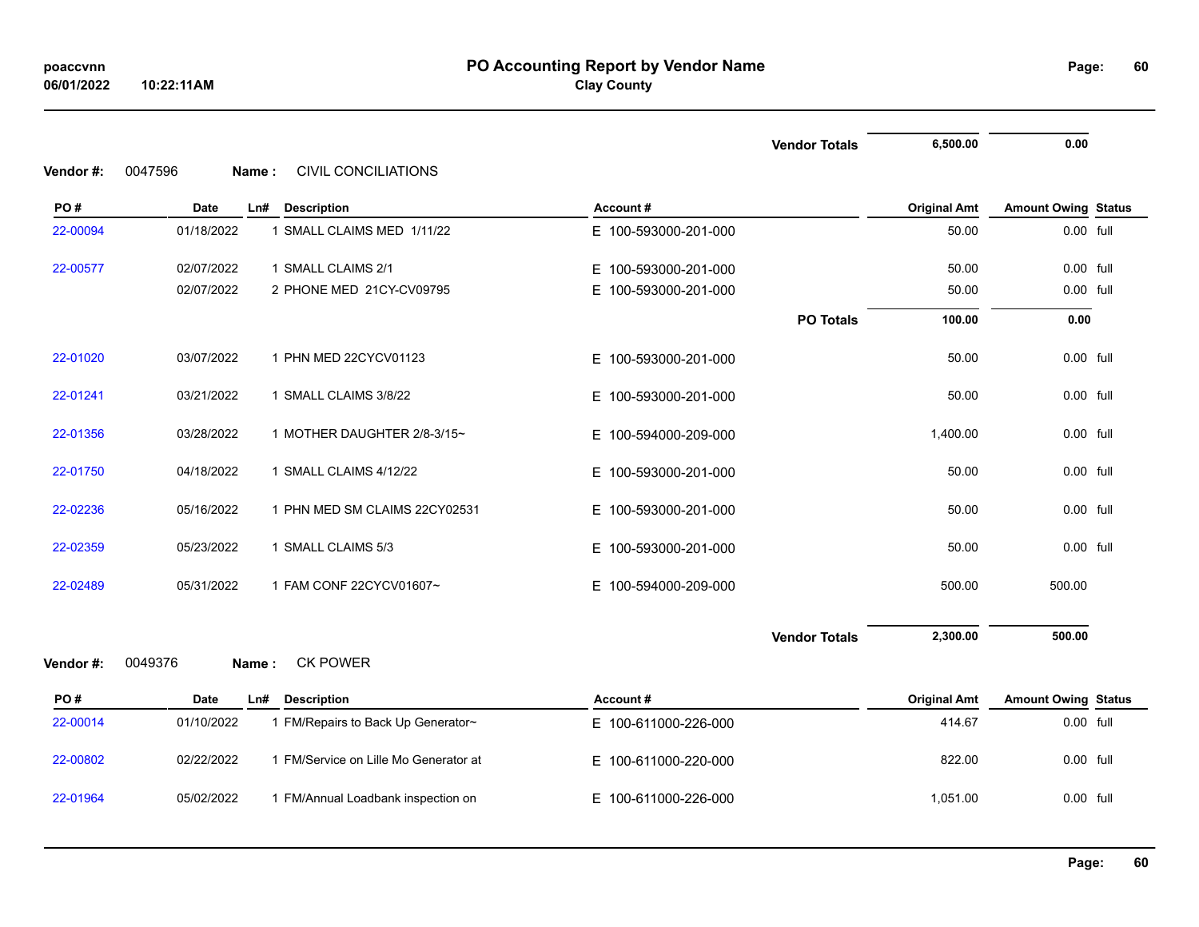|                  |                          |                                                         |                          | <b>Vendor Totals</b> | 6,500.00            | 0.00                       |  |
|------------------|--------------------------|---------------------------------------------------------|--------------------------|----------------------|---------------------|----------------------------|--|
| Vendor #:<br>PO# | 0047596<br>Name:<br>Date | <b>CIVIL CONCILIATIONS</b><br><b>Description</b><br>Ln# | Account#                 |                      | <b>Original Amt</b> | <b>Amount Owing Status</b> |  |
| 22-00094         | 01/18/2022               | 1 SMALL CLAIMS MED 1/11/22                              | E 100-593000-201-000     |                      | 50.00               | 0.00 full                  |  |
|                  |                          |                                                         |                          |                      |                     |                            |  |
| 22-00577         | 02/07/2022               | 1 SMALL CLAIMS 2/1                                      | E 100-593000-201-000     |                      | 50.00               | 0.00 full                  |  |
|                  | 02/07/2022               | 2 PHONE MED 21CY-CV09795                                | 100-593000-201-000<br>E. |                      | 50.00               | 0.00 full                  |  |
|                  |                          |                                                         |                          | <b>PO Totals</b>     | 100.00              | 0.00                       |  |
| 22-01020         | 03/07/2022               | 1 PHN MED 22CYCV01123                                   | E 100-593000-201-000     |                      | 50.00               | 0.00 full                  |  |
| 22-01241         | 03/21/2022               | 1 SMALL CLAIMS 3/8/22                                   | E 100-593000-201-000     |                      | 50.00               | 0.00 full                  |  |
| 22-01356         | 03/28/2022               | 1 MOTHER DAUGHTER 2/8-3/15~                             | E 100-594000-209-000     |                      | 1,400.00            | 0.00 full                  |  |
| 22-01750         | 04/18/2022               | 1 SMALL CLAIMS 4/12/22                                  | E 100-593000-201-000     |                      | 50.00               | 0.00 full                  |  |
| 22-02236         | 05/16/2022               | 1 PHN MED SM CLAIMS 22CY02531                           | E 100-593000-201-000     |                      | 50.00               | 0.00 full                  |  |
| 22-02359         | 05/23/2022               | 1 SMALL CLAIMS 5/3                                      | 100-593000-201-000<br>E. |                      | 50.00               | 0.00 full                  |  |
| 22-02489         | 05/31/2022               | 1 FAM CONF 22CYCV01607~                                 | 100-594000-209-000<br>E. |                      | 500.00              | 500.00                     |  |
|                  |                          |                                                         |                          | <b>Vendor Totals</b> | 2,300.00            | 500.00                     |  |
| Vendor #:        | 0049376<br>Name:         | <b>CK POWER</b>                                         |                          |                      |                     |                            |  |
| PO#              | Date                     | <b>Description</b><br>Ln#                               | Account#                 |                      | <b>Original Amt</b> | <b>Amount Owing Status</b> |  |
| 22-00014         | 01/10/2022               | 1 FM/Repairs to Back Up Generator~                      | E 100-611000-226-000     |                      | 414.67              | 0.00 full                  |  |
| 22-00802         | 02/22/2022               | 1 FM/Service on Lille Mo Generator at                   | E 100-611000-220-000     |                      | 822.00              | 0.00 full                  |  |
| 22-01964         | 05/02/2022               | 1 FM/Annual Loadbank inspection on                      | E 100-611000-226-000     |                      | 1,051.00            | 0.00 full                  |  |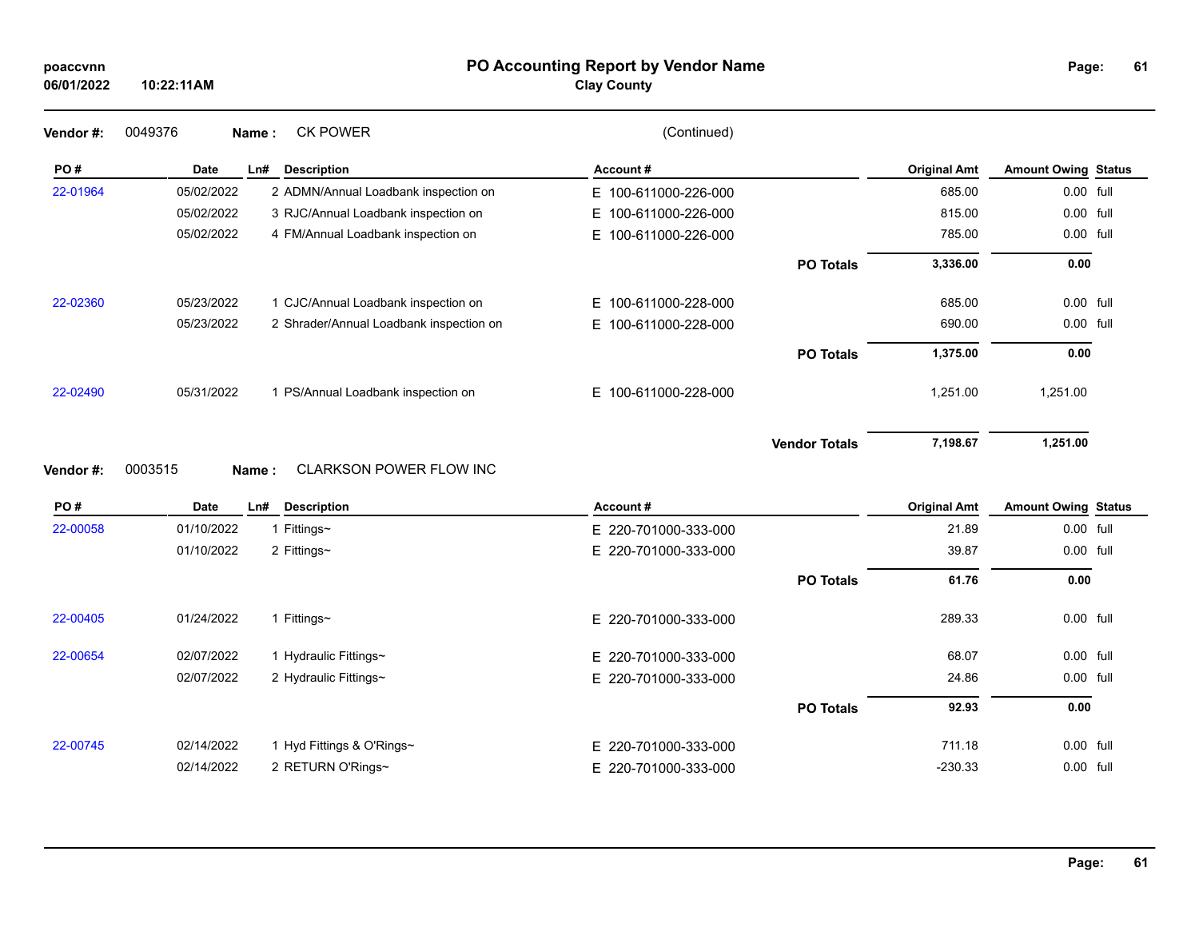## **PO Accounting Report by Vendor Name poaccvnn Page:**

**Clay County**

| 0049376    |     | <b>CK POWER</b>                | (Continued)                                                                                                                                                                                                                                                 |                      |                     |                            |  |
|------------|-----|--------------------------------|-------------------------------------------------------------------------------------------------------------------------------------------------------------------------------------------------------------------------------------------------------------|----------------------|---------------------|----------------------------|--|
| Date       | Ln# | <b>Description</b>             | Account#                                                                                                                                                                                                                                                    |                      | <b>Original Amt</b> | <b>Amount Owing Status</b> |  |
| 05/02/2022 |     |                                | E 100-611000-226-000                                                                                                                                                                                                                                        |                      | 685.00              | 0.00 full                  |  |
| 05/02/2022 |     |                                | E 100-611000-226-000                                                                                                                                                                                                                                        |                      | 815.00              | 0.00 full                  |  |
| 05/02/2022 |     |                                | 100-611000-226-000<br>E.                                                                                                                                                                                                                                    |                      | 785.00              | 0.00 full                  |  |
|            |     |                                |                                                                                                                                                                                                                                                             | <b>PO Totals</b>     | 3,336.00            | 0.00                       |  |
| 05/23/2022 |     |                                | 100-611000-228-000<br>E.                                                                                                                                                                                                                                    |                      | 685.00              | 0.00 full                  |  |
| 05/23/2022 |     |                                | 100-611000-228-000<br>Е.                                                                                                                                                                                                                                    |                      | 690.00              | 0.00 full                  |  |
|            |     |                                |                                                                                                                                                                                                                                                             | <b>PO Totals</b>     | 1,375.00            | 0.00                       |  |
| 05/31/2022 |     |                                | 100-611000-228-000<br>E.                                                                                                                                                                                                                                    |                      | 1,251.00            | 1,251.00                   |  |
|            |     |                                |                                                                                                                                                                                                                                                             | <b>Vendor Totals</b> | 7,198.67            | 1,251.00                   |  |
| 0003515    |     | <b>CLARKSON POWER FLOW INC</b> |                                                                                                                                                                                                                                                             |                      |                     |                            |  |
|            |     |                                | Name:<br>2 ADMN/Annual Loadbank inspection on<br>3 RJC/Annual Loadbank inspection on<br>4 FM/Annual Loadbank inspection on<br>1 CJC/Annual Loadbank inspection on<br>2 Shrader/Annual Loadbank inspection on<br>1 PS/Annual Loadbank inspection on<br>Name: |                      |                     |                            |  |

| PO#      | Date       | Ln#<br><b>Description</b> | Account#             |                  | <b>Original Amt</b> | <b>Amount Owing Status</b> |  |
|----------|------------|---------------------------|----------------------|------------------|---------------------|----------------------------|--|
| 22-00058 | 01/10/2022 | Fittings~                 | E 220-701000-333-000 |                  | 21.89               | 0.00 full                  |  |
|          | 01/10/2022 | 2 Fittings~               | E 220-701000-333-000 |                  | 39.87               | 0.00 full                  |  |
|          |            |                           |                      | <b>PO Totals</b> | 61.76               | 0.00                       |  |
| 22-00405 | 01/24/2022 | Fittings $\sim$           | E 220-701000-333-000 |                  | 289.33              | 0.00 full                  |  |
| 22-00654 | 02/07/2022 | Hydraulic Fittings∼       | E 220-701000-333-000 |                  | 68.07               | 0.00 full                  |  |
|          | 02/07/2022 | 2 Hydraulic Fittings~     | E 220-701000-333-000 |                  | 24.86               | 0.00 full                  |  |
|          |            |                           |                      | <b>PO Totals</b> | 92.93               | 0.00                       |  |
| 22-00745 | 02/14/2022 | 1 Hyd Fittings & O'Rings∼ | E 220-701000-333-000 |                  | 711.18              | 0.00 full                  |  |
|          | 02/14/2022 | 2 RETURN O'Rings~         | E 220-701000-333-000 |                  | $-230.33$           | 0.00 full                  |  |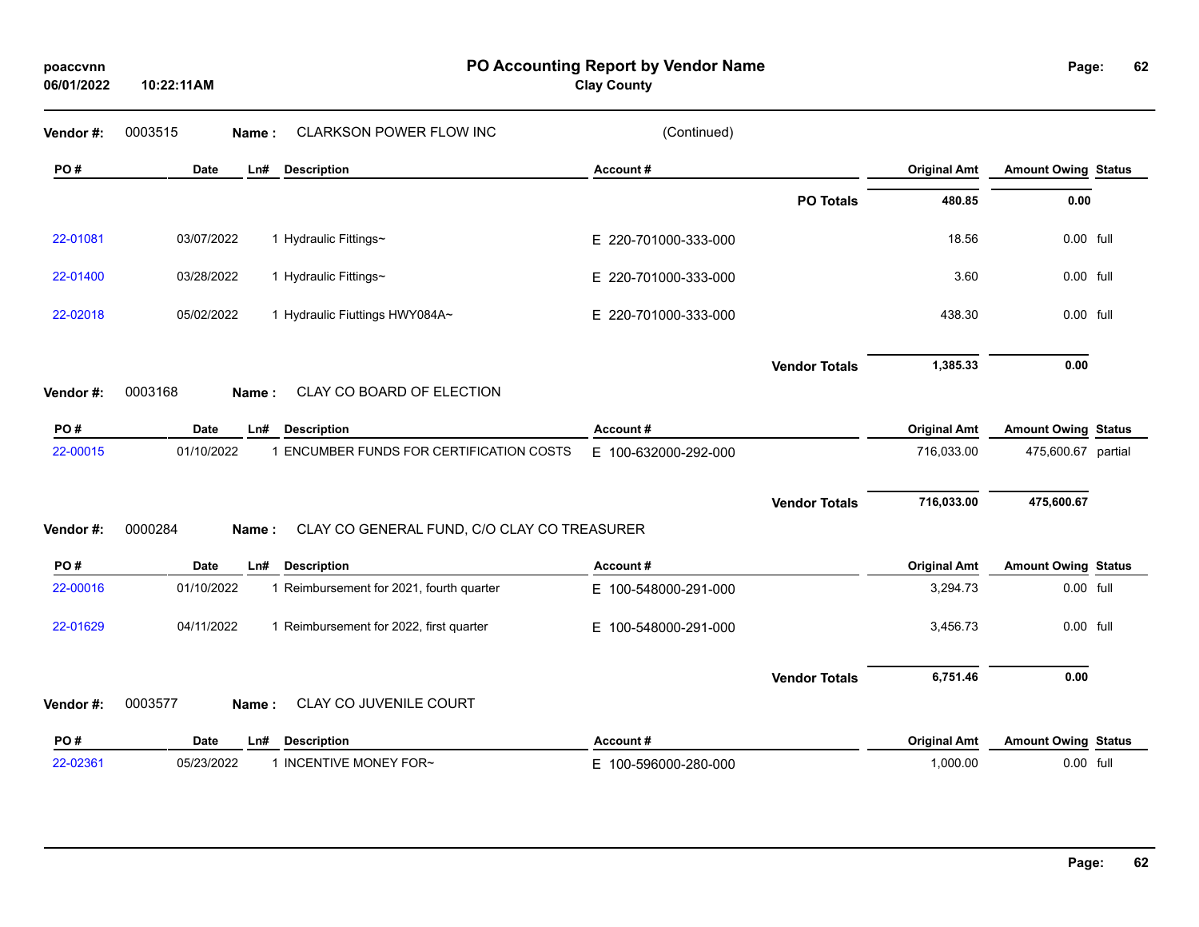| Vendor#: | 0003515<br><b>CLARKSON POWER FLOW INC</b><br>Name:              | (Continued)          |                      |                     |                            |  |
|----------|-----------------------------------------------------------------|----------------------|----------------------|---------------------|----------------------------|--|
| PO#      | Date<br>Ln#<br><b>Description</b>                               | Account#             |                      | <b>Original Amt</b> | <b>Amount Owing Status</b> |  |
|          |                                                                 |                      | <b>PO Totals</b>     | 480.85              | 0.00                       |  |
| 22-01081 | 03/07/2022<br>1 Hydraulic Fittings~                             | E 220-701000-333-000 |                      | 18.56               | 0.00 full                  |  |
| 22-01400 | 03/28/2022<br>1 Hydraulic Fittings~                             | E 220-701000-333-000 |                      | 3.60                | 0.00 full                  |  |
| 22-02018 | 05/02/2022<br>1 Hydraulic Fiuttings HWY084A~                    | E 220-701000-333-000 |                      | 438.30              | 0.00 full                  |  |
|          | 0003168<br>CLAY CO BOARD OF ELECTION                            |                      | <b>Vendor Totals</b> | 1,385.33            | 0.00                       |  |
| Vendor#: | Name:                                                           |                      |                      |                     |                            |  |
| PO#      | <b>Date</b><br><b>Description</b><br>Ln#                        | Account#             |                      | <b>Original Amt</b> | <b>Amount Owing Status</b> |  |
| 22-00015 | 1 ENCUMBER FUNDS FOR CERTIFICATION COSTS<br>01/10/2022          | E 100-632000-292-000 |                      | 716,033.00          | 475,600.67 partial         |  |
|          |                                                                 |                      | <b>Vendor Totals</b> | 716,033.00          | 475,600.67                 |  |
| Vendor#: | 0000284<br>CLAY CO GENERAL FUND, C/O CLAY CO TREASURER<br>Name: |                      |                      |                     |                            |  |
| PO#      | <b>Date</b><br>Ln#<br><b>Description</b>                        | Account#             |                      | <b>Original Amt</b> | <b>Amount Owing Status</b> |  |
| 22-00016 | 01/10/2022<br>1 Reimbursement for 2021, fourth quarter          | E 100-548000-291-000 |                      | 3,294.73            | 0.00 full                  |  |
| 22-01629 | 04/11/2022<br>1 Reimbursement for 2022, first quarter           | E 100-548000-291-000 |                      | 3,456.73            | 0.00 full                  |  |
|          |                                                                 |                      | <b>Vendor Totals</b> | 6,751.46            | 0.00                       |  |
| Vendor#: | 0003577<br>CLAY CO JUVENILE COURT<br>Name:                      |                      |                      |                     |                            |  |
| PO#      | <b>Description</b><br>Date<br>Ln#                               | Account#             |                      | <b>Original Amt</b> | <b>Amount Owing Status</b> |  |
|          |                                                                 |                      |                      |                     |                            |  |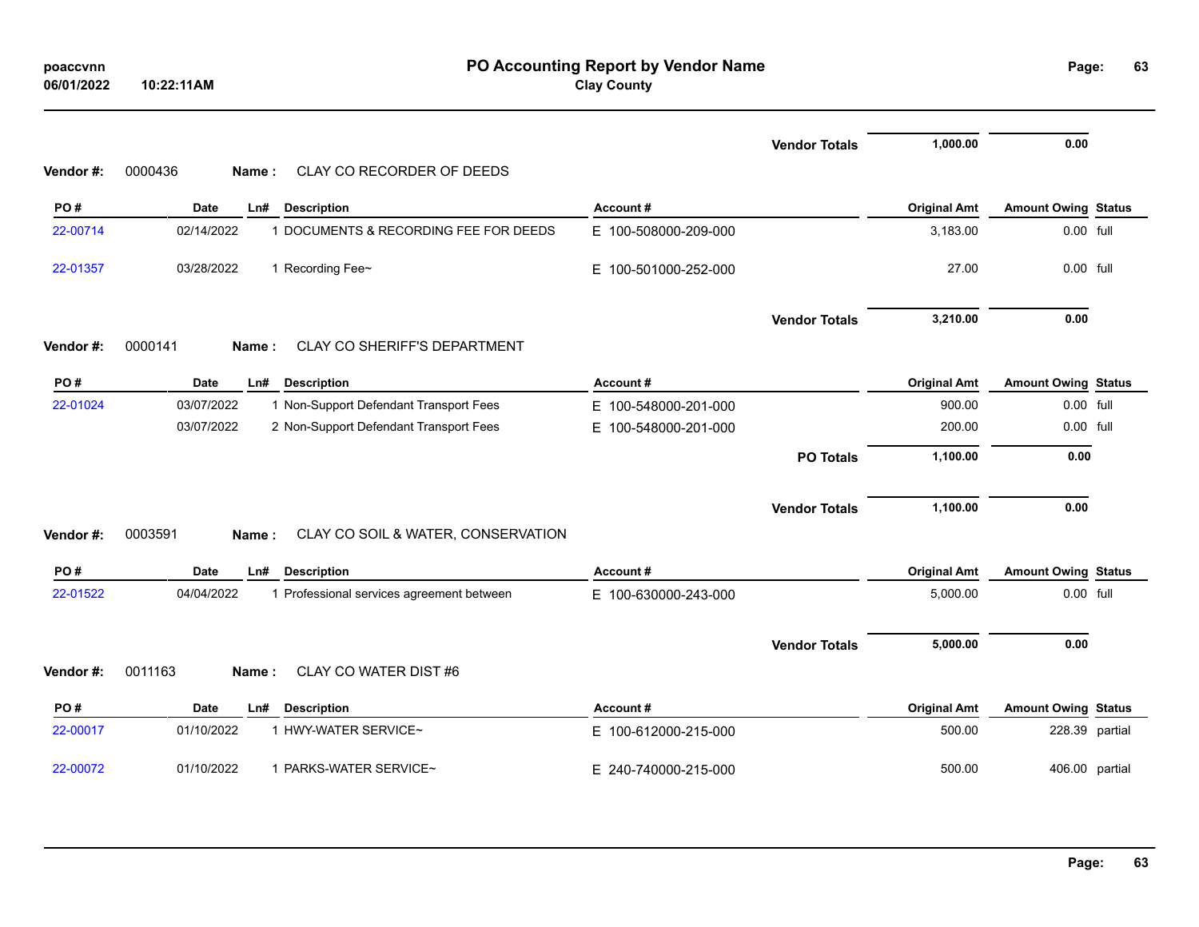| poaccynn   |            |
|------------|------------|
| 06/01/2022 | 10:22:11AM |

|          |                                                         |                          | <b>Vendor Totals</b> | 1,000.00            | 0.00                       |  |
|----------|---------------------------------------------------------|--------------------------|----------------------|---------------------|----------------------------|--|
| Vendor#: | 0000436<br>CLAY CO RECORDER OF DEEDS<br>Name:           |                          |                      |                     |                            |  |
| PO#      | <b>Description</b><br><b>Date</b><br>Ln#                | Account#                 |                      | <b>Original Amt</b> | <b>Amount Owing Status</b> |  |
| 22-00714 | 02/14/2022<br>1 DOCUMENTS & RECORDING FEE FOR DEEDS     | E 100-508000-209-000     |                      | 3,183.00            | 0.00 full                  |  |
| 22-01357 | 03/28/2022<br>1 Recording Fee~                          | E.<br>100-501000-252-000 |                      | 27.00               | 0.00 full                  |  |
|          |                                                         |                          | <b>Vendor Totals</b> | 3,210.00            | 0.00                       |  |
| Vendor#: | 0000141<br>CLAY CO SHERIFF'S DEPARTMENT<br>Name:        |                          |                      |                     |                            |  |
| PO#      | Date<br><b>Description</b><br>Ln#                       | Account#                 |                      | <b>Original Amt</b> | <b>Amount Owing Status</b> |  |
| 22-01024 | 03/07/2022<br>1 Non-Support Defendant Transport Fees    | E 100-548000-201-000     |                      | 900.00              | 0.00 full                  |  |
|          | 03/07/2022<br>2 Non-Support Defendant Transport Fees    | E 100-548000-201-000     |                      | 200.00              | 0.00 full                  |  |
|          |                                                         |                          | <b>PO Totals</b>     | 1,100.00            | 0.00                       |  |
|          |                                                         |                          | <b>Vendor Totals</b> | 1,100.00            | 0.00                       |  |
| Vendor#: | 0003591<br>CLAY CO SOIL & WATER, CONSERVATION<br>Name:  |                          |                      |                     |                            |  |
| PO#      | <b>Date</b><br><b>Description</b><br>Ln#                | Account#                 |                      | <b>Original Amt</b> | <b>Amount Owing Status</b> |  |
| 22-01522 | 04/04/2022<br>1 Professional services agreement between | E 100-630000-243-000     |                      | 5,000.00            | 0.00 full                  |  |
|          |                                                         |                          |                      |                     |                            |  |
|          |                                                         |                          | <b>Vendor Totals</b> | 5,000.00            | 0.00                       |  |
| Vendor#: | 0011163<br>CLAY CO WATER DIST #6<br>Name:               |                          |                      |                     |                            |  |
| PO#      | <b>Description</b><br><b>Date</b><br>Ln#                | Account#                 |                      | <b>Original Amt</b> | <b>Amount Owing Status</b> |  |
| 22-00017 | 01/10/2022<br>1 HWY-WATER SERVICE~                      | E 100-612000-215-000     |                      | 500.00              | 228.39 partial             |  |
| 22-00072 | 1 PARKS-WATER SERVICE~<br>01/10/2022                    | E 240-740000-215-000     |                      | 500.00              | 406.00 partial             |  |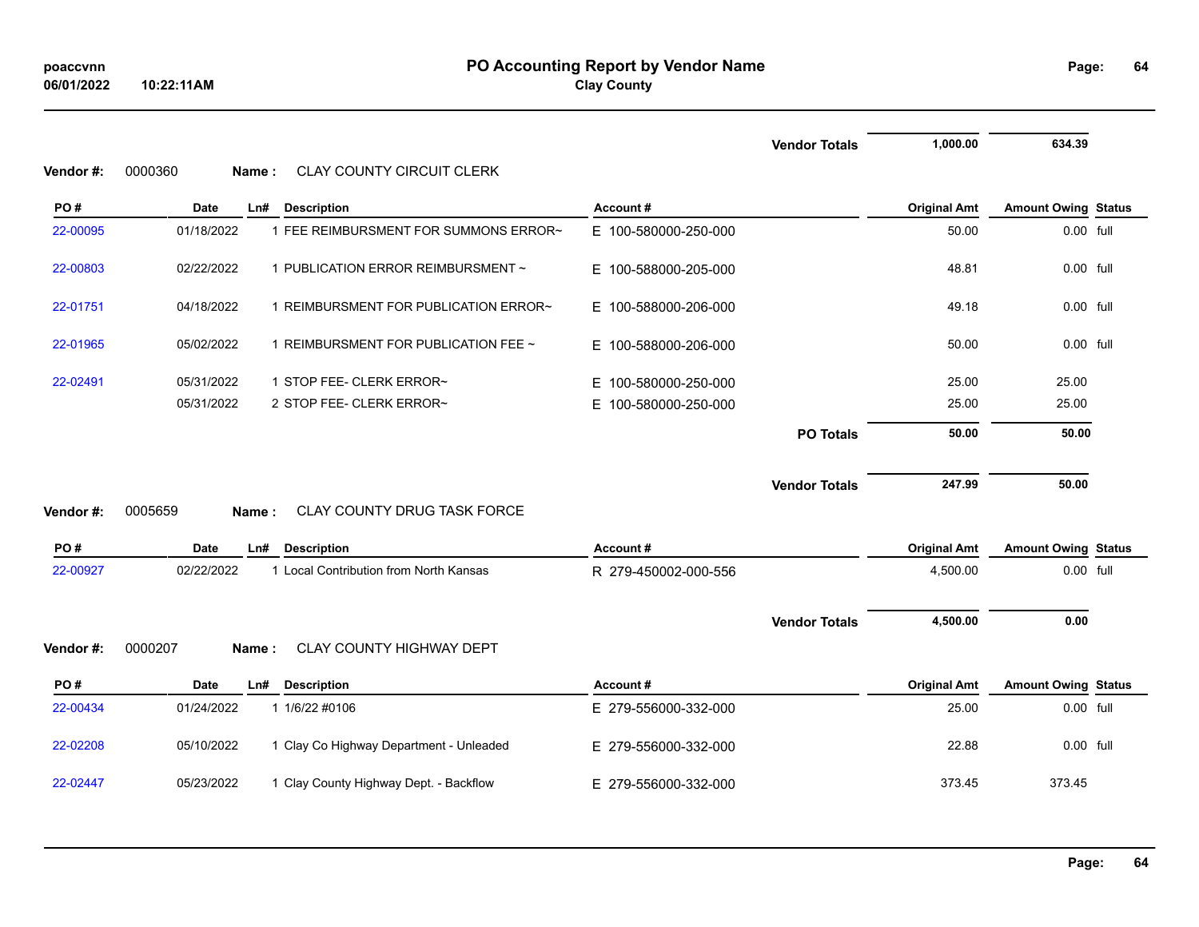| <b>Vendor</b> #: | 0000360<br>Name:  | <b>CLAY COUNTY CIRCUIT CLERK</b>        |                      | <b>Vendor Totals</b> | 1,000.00            | 634.39                     |  |
|------------------|-------------------|-----------------------------------------|----------------------|----------------------|---------------------|----------------------------|--|
| PO#              | Date<br>Ln#       | <b>Description</b>                      | Account#             |                      | <b>Original Amt</b> | <b>Amount Owing Status</b> |  |
| 22-00095         | 01/18/2022        | 1 FEE REIMBURSMENT FOR SUMMONS ERROR~   | E 100-580000-250-000 |                      | 50.00               | 0.00 full                  |  |
| 22-00803         | 02/22/2022        | 1 PUBLICATION ERROR REIMBURSMENT ~      | E 100-588000-205-000 |                      | 48.81               | 0.00 full                  |  |
| 22-01751         | 04/18/2022        | 1 REIMBURSMENT FOR PUBLICATION ERROR~   | E 100-588000-206-000 |                      | 49.18               | $0.00$ full                |  |
| 22-01965         | 05/02/2022        | 1 REIMBURSMENT FOR PUBLICATION FEE ~    | E 100-588000-206-000 |                      | 50.00               | 0.00 full                  |  |
| 22-02491         | 05/31/2022        | 1 STOP FEE- CLERK ERROR~                | E 100-580000-250-000 |                      | 25.00               | 25.00                      |  |
|                  | 05/31/2022        | 2 STOP FEE- CLERK ERROR~                | E 100-580000-250-000 |                      | 25.00               | 25.00                      |  |
|                  |                   |                                         |                      | <b>PO Totals</b>     | 50.00               | 50.00                      |  |
| Vendor #:        | 0005659<br>Name:  | CLAY COUNTY DRUG TASK FORCE             |                      | <b>Vendor Totals</b> | 247.99              | 50.00                      |  |
| PO#              | Date<br>Ln#       | <b>Description</b>                      | Account#             |                      | <b>Original Amt</b> | <b>Amount Owing Status</b> |  |
| 22-00927         | 02/22/2022        | 1 Local Contribution from North Kansas  | R 279-450002-000-556 |                      | 4,500.00            | 0.00 full                  |  |
|                  |                   |                                         |                      | <b>Vendor Totals</b> | 4,500.00            | 0.00                       |  |
| Vendor #:        | 0000207<br>Name : | CLAY COUNTY HIGHWAY DEPT                |                      |                      |                     |                            |  |
| PO#              | Date<br>Ln#       | <b>Description</b>                      | Account#             |                      | <b>Original Amt</b> | <b>Amount Owing Status</b> |  |
| 22-00434         | 01/24/2022        | 1 1/6/22 #0106                          | E 279-556000-332-000 |                      | 25.00               | 0.00 full                  |  |
| 22-02208         | 05/10/2022        | 1 Clay Co Highway Department - Unleaded | E 279-556000-332-000 |                      | 22.88               | 0.00 full                  |  |
| 22-02447         | 05/23/2022        | 1 Clay County Highway Dept. - Backflow  | E 279-556000-332-000 |                      | 373.45              | 373.45                     |  |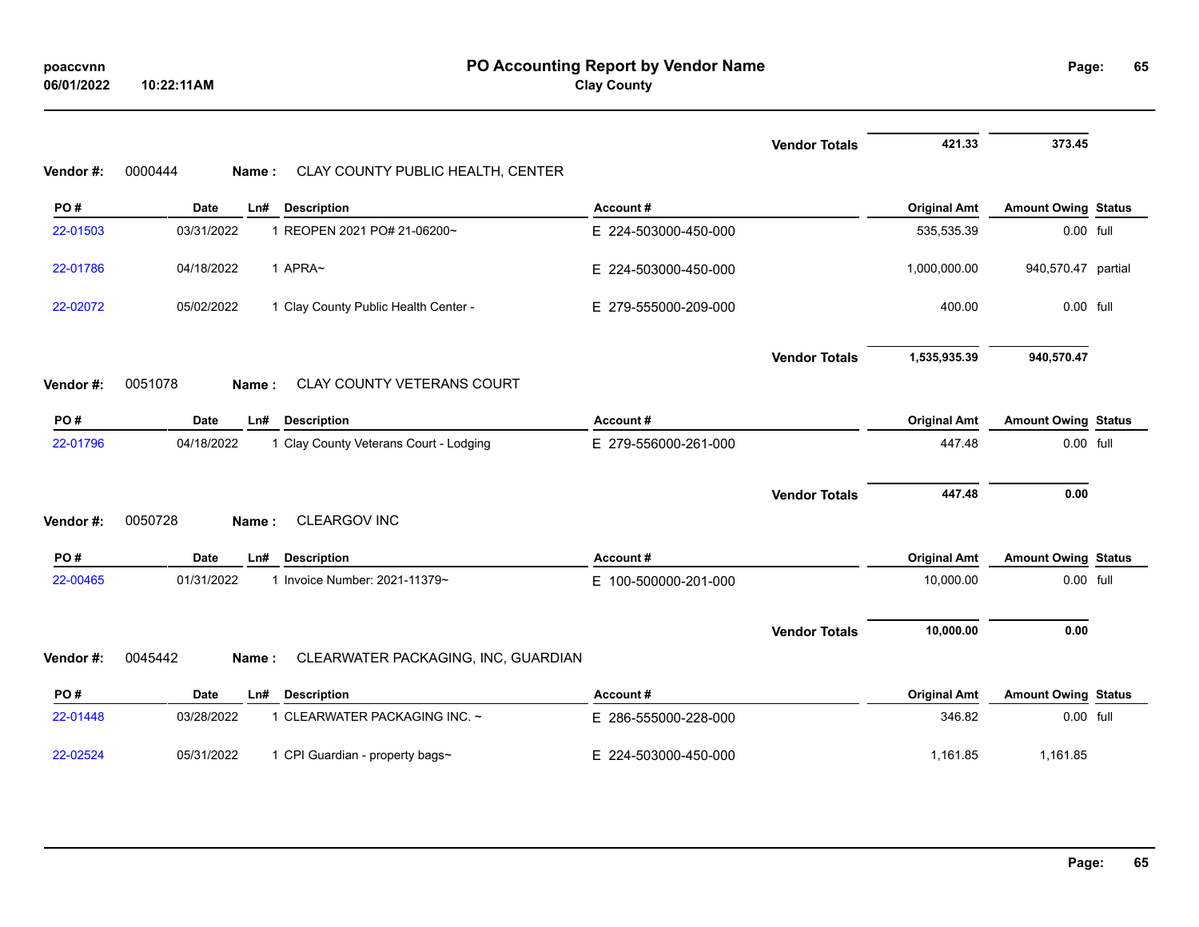|          |                                                         |                      | <b>Vendor Totals</b> | 421.33              | 373.45                     |  |
|----------|---------------------------------------------------------|----------------------|----------------------|---------------------|----------------------------|--|
| Vendor#: | 0000444<br>CLAY COUNTY PUBLIC HEALTH, CENTER<br>Name:   |                      |                      |                     |                            |  |
| PO#      | <b>Description</b><br><b>Date</b><br>Ln#                | Account#             |                      | <b>Original Amt</b> | <b>Amount Owing Status</b> |  |
| 22-01503 | 03/31/2022<br>1 REOPEN 2021 PO# 21-06200~               | E 224-503000-450-000 |                      | 535,535.39          | 0.00 full                  |  |
| 22-01786 | 04/18/2022<br>1 APRA~                                   | E 224-503000-450-000 |                      | 1,000,000.00        | 940,570.47 partial         |  |
| 22-02072 | 05/02/2022<br>1 Clay County Public Health Center -      | E 279-555000-209-000 |                      | 400.00              | 0.00 full                  |  |
|          |                                                         |                      | <b>Vendor Totals</b> | 1,535,935.39        | 940,570.47                 |  |
| Vendor#: | 0051078<br><b>CLAY COUNTY VETERANS COURT</b><br>Name:   |                      |                      |                     |                            |  |
| PO#      | <b>Date</b><br><b>Description</b><br>Ln#                | Account#             |                      | <b>Original Amt</b> | <b>Amount Owing Status</b> |  |
| 22-01796 | 04/18/2022<br>1 Clay County Veterans Court - Lodging    | E 279-556000-261-000 |                      | 447.48              | 0.00 full                  |  |
| Vendor#: | 0050728<br>CLEARGOV INC<br>Name:                        |                      | <b>Vendor Totals</b> | 447.48              | 0.00                       |  |
| PO#      | <b>Date</b><br>$Ln$ #<br><b>Description</b>             | Account#             |                      | <b>Original Amt</b> | <b>Amount Owing Status</b> |  |
| 22-00465 | 01/31/2022<br>1 Invoice Number: 2021-11379~             | E 100-500000-201-000 |                      | 10,000.00           | 0.00 full                  |  |
| Vendor#: | 0045442<br>CLEARWATER PACKAGING, INC, GUARDIAN<br>Name: |                      | <b>Vendor Totals</b> | 10,000.00           | 0.00                       |  |
| PO#      | <b>Date</b><br><b>Description</b><br>Ln#                | Account#             |                      | <b>Original Amt</b> | <b>Amount Owing Status</b> |  |
| 22-01448 | 1 CLEARWATER PACKAGING INC. ~<br>03/28/2022             | E 286-555000-228-000 |                      | 346.82              | 0.00 full                  |  |
| 22-02524 | 05/31/2022<br>1 CPI Guardian - property bags~           | E 224-503000-450-000 |                      | 1,161.85            | 1,161.85                   |  |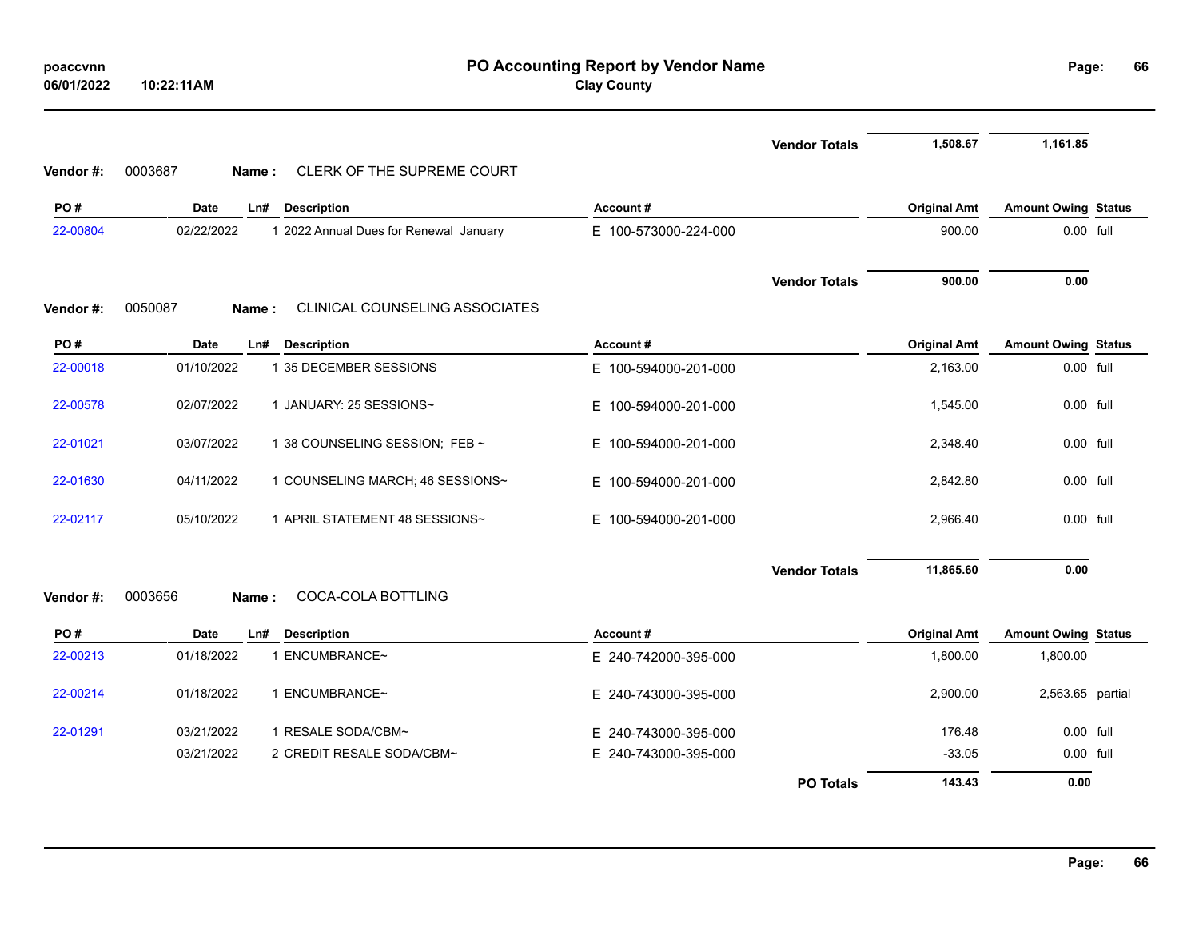| poaccynn   |            |
|------------|------------|
| 06/01/2022 | 10:22:11AM |

## **PO Accounting Report by Vendor Name poaccvnn Page: Clay County**

| Page: | 66 |
|-------|----|
|       |    |

|          |                                                           |                      | <b>Vendor Totals</b> | 1,508.67            | 1,161.85                   |  |
|----------|-----------------------------------------------------------|----------------------|----------------------|---------------------|----------------------------|--|
| Vendor#: | CLERK OF THE SUPREME COURT<br>0003687<br>Name:            |                      |                      |                     |                            |  |
| PO#      | <b>Date</b><br>Ln#<br><b>Description</b>                  | Account#             |                      | <b>Original Amt</b> | <b>Amount Owing Status</b> |  |
| 22-00804 | 02/22/2022<br>1 2022 Annual Dues for Renewal January      | E 100-573000-224-000 |                      | 900.00              | 0.00 full                  |  |
|          |                                                           |                      | <b>Vendor Totals</b> | 900.00              | 0.00                       |  |
| Vendor#: | <b>CLINICAL COUNSELING ASSOCIATES</b><br>0050087<br>Name: |                      |                      |                     |                            |  |
| PO#      | <b>Description</b><br>Date<br>Ln#                         | Account#             |                      | <b>Original Amt</b> | <b>Amount Owing Status</b> |  |
| 22-00018 | 1 35 DECEMBER SESSIONS<br>01/10/2022                      | E 100-594000-201-000 |                      | 2,163.00            | 0.00 full                  |  |
| 22-00578 | 02/07/2022<br>1 JANUARY: 25 SESSIONS~                     | E 100-594000-201-000 |                      | 1,545.00            | 0.00 full                  |  |
| 22-01021 | 03/07/2022<br>1 38 COUNSELING SESSION; FEB ~              | E 100-594000-201-000 |                      | 2,348.40            | 0.00 full                  |  |
| 22-01630 | 04/11/2022<br>1 COUNSELING MARCH: 46 SESSIONS~            | E 100-594000-201-000 |                      | 2,842.80            | 0.00 full                  |  |
| 22-02117 | 05/10/2022<br>1 APRIL STATEMENT 48 SESSIONS~              | E 100-594000-201-000 |                      | 2,966.40            | $0.00$ full                |  |
|          |                                                           |                      | <b>Vendor Totals</b> | 11,865.60           | 0.00                       |  |
| Vendor#: | COCA-COLA BOTTLING<br>0003656<br>Name:                    |                      |                      |                     |                            |  |
| PO#      | <b>Date</b><br>Ln#<br><b>Description</b>                  | Account#             |                      | <b>Original Amt</b> | <b>Amount Owing Status</b> |  |
| 22-00213 | 01/18/2022<br>1 ENCUMBRANCE~                              | E 240-742000-395-000 |                      | 1,800.00            | 1,800.00                   |  |
| 22-00214 | 1 ENCUMBRANCE~<br>01/18/2022                              | E 240-743000-395-000 |                      | 2,900.00            | 2,563.65 partial           |  |
| 22-01291 | 03/21/2022<br>1 RESALE SODA/CBM~                          | E 240-743000-395-000 |                      | 176.48              | 0.00 full                  |  |
|          | 2 CREDIT RESALE SODA/CBM~<br>03/21/2022                   | E 240-743000-395-000 |                      | $-33.05$            | $0.00$ full                |  |
|          |                                                           |                      | <b>PO Totals</b>     | 143.43              | 0.00                       |  |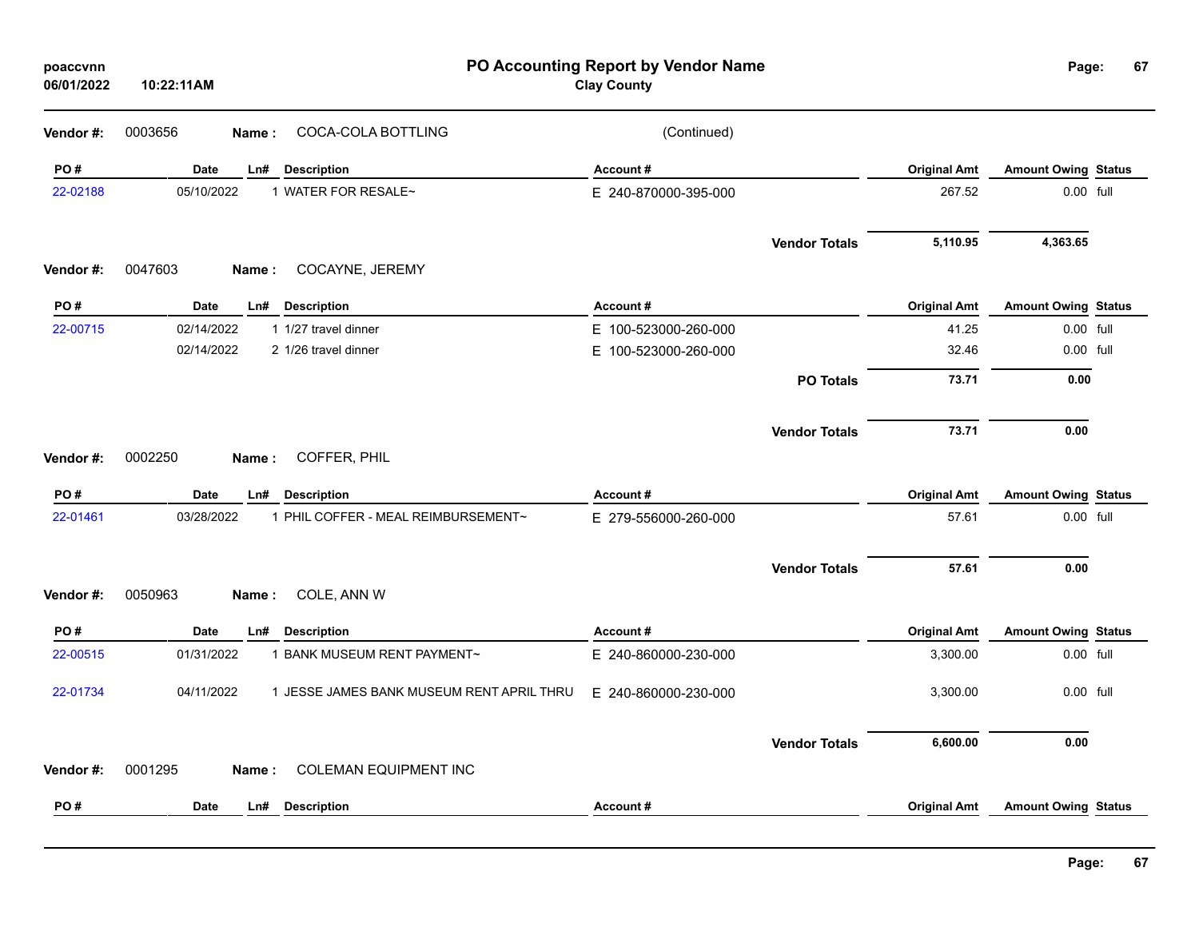| poaccvnn<br>06/01/2022 | 10:22:11AM                                              | PO Accounting Report by Vendor Name<br><b>Clay County</b> |                      |                     | Page:                      | 67 |
|------------------------|---------------------------------------------------------|-----------------------------------------------------------|----------------------|---------------------|----------------------------|----|
| Vendor #:              | COCA-COLA BOTTLING<br>0003656<br>Name:                  | (Continued)                                               |                      |                     |                            |    |
| PO#                    | Date<br>Ln#<br><b>Description</b>                       | Account#                                                  |                      | <b>Original Amt</b> | <b>Amount Owing Status</b> |    |
| 22-02188               | 05/10/2022<br>1 WATER FOR RESALE~                       | E 240-870000-395-000                                      |                      | 267.52              | 0.00 full                  |    |
|                        |                                                         |                                                           | <b>Vendor Totals</b> | 5,110.95            | 4,363.65                   |    |
| Vendor#:               | 0047603<br>COCAYNE, JEREMY<br>Name:                     |                                                           |                      |                     |                            |    |
| PO#                    | Date<br>Ln#<br><b>Description</b>                       | Account#                                                  |                      | <b>Original Amt</b> | <b>Amount Owing Status</b> |    |
| 22-00715               | 02/14/2022<br>1 1/27 travel dinner                      | E 100-523000-260-000                                      |                      | 41.25               | 0.00 full                  |    |
|                        | 02/14/2022<br>2 1/26 travel dinner                      | E 100-523000-260-000                                      |                      | 32.46               | 0.00 full                  |    |
|                        |                                                         |                                                           | <b>PO Totals</b>     | 73.71               | 0.00                       |    |
|                        |                                                         |                                                           | <b>Vendor Totals</b> | 73.71               | 0.00                       |    |
| Vendor#:               | 0002250<br>COFFER, PHIL<br>Name:                        |                                                           |                      |                     |                            |    |
| PO#                    | Date<br>Ln#<br><b>Description</b>                       | Account#                                                  |                      | <b>Original Amt</b> | <b>Amount Owing Status</b> |    |
| 22-01461               | 03/28/2022<br>1 PHIL COFFER - MEAL REIMBURSEMENT~       | E 279-556000-260-000                                      |                      | 57.61               | 0.00 full                  |    |
|                        |                                                         |                                                           | <b>Vendor Totals</b> | 57.61               | 0.00                       |    |
| Vendor#:               | 0050963<br>COLE, ANN W<br>Name:                         |                                                           |                      |                     |                            |    |
| PO#                    | Date<br><b>Description</b><br>Ln#                       | Account#                                                  |                      | <b>Original Amt</b> | <b>Amount Owing Status</b> |    |
| 22-00515               | 01/31/2022<br>1 BANK MUSEUM RENT PAYMENT~               | E 240-860000-230-000                                      |                      | 3,300.00            | 0.00 full                  |    |
| 22-01734               | 04/11/2022<br>1 JESSE JAMES BANK MUSEUM RENT APRIL THRU | E 240-860000-230-000                                      |                      | 3,300.00            | 0.00 full                  |    |
|                        |                                                         |                                                           | <b>Vendor Totals</b> | 6,600.00            | 0.00                       |    |
|                        |                                                         |                                                           |                      |                     |                            |    |
| Vendor#:               | <b>COLEMAN EQUIPMENT INC</b><br>0001295<br>Name:        |                                                           |                      |                     |                            |    |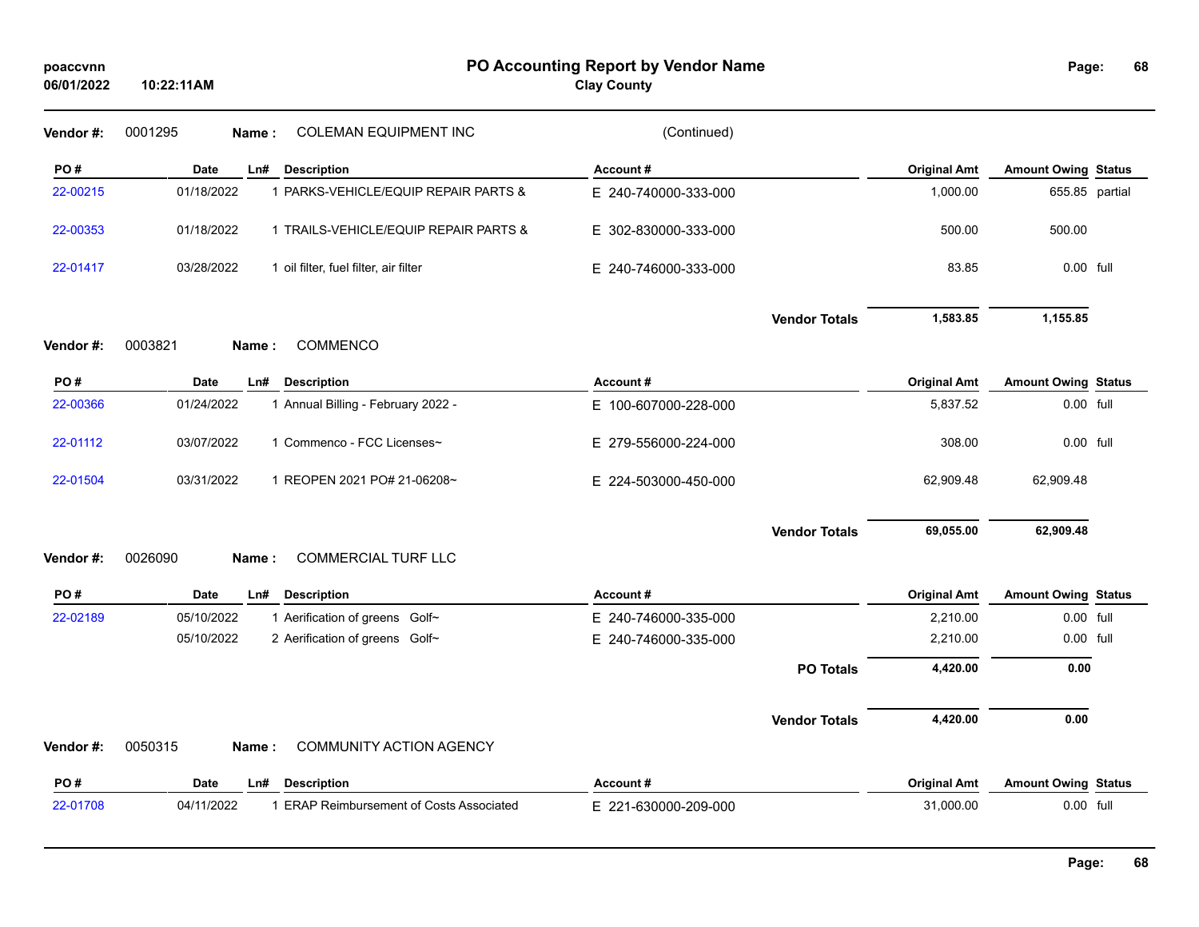| Vendor #:<br>PO#<br>22-00215 | 0001295<br>Date<br>01/18/2022<br>01/18/2022 | <b>COLEMAN EQUIPMENT INC</b><br>Name:<br>Ln#<br><b>Description</b><br>1 PARKS-VEHICLE/EQUIP REPAIR PARTS & | (Continued)<br>Account# |                      |                     |                            |  |
|------------------------------|---------------------------------------------|------------------------------------------------------------------------------------------------------------|-------------------------|----------------------|---------------------|----------------------------|--|
|                              |                                             |                                                                                                            |                         |                      |                     |                            |  |
|                              |                                             |                                                                                                            |                         |                      | <b>Original Amt</b> | <b>Amount Owing Status</b> |  |
|                              |                                             |                                                                                                            | E 240-740000-333-000    |                      | 1,000.00            | 655.85 partial             |  |
| 22-00353                     |                                             | 1 TRAILS-VEHICLE/EQUIP REPAIR PARTS &                                                                      | E 302-830000-333-000    |                      | 500.00              | 500.00                     |  |
| 22-01417                     | 03/28/2022                                  | 1 oil filter, fuel filter, air filter                                                                      | E 240-746000-333-000    |                      | 83.85               | 0.00 full                  |  |
|                              |                                             |                                                                                                            |                         | <b>Vendor Totals</b> | 1,583.85            | 1,155.85                   |  |
| Vendor#:                     | 0003821                                     | COMMENCO<br>Name:                                                                                          |                         |                      |                     |                            |  |
| PO#                          | Date                                        | <b>Description</b><br>Ln#                                                                                  | Account#                |                      | <b>Original Amt</b> | <b>Amount Owing Status</b> |  |
| 22-00366                     | 01/24/2022                                  | 1 Annual Billing - February 2022 -                                                                         | E 100-607000-228-000    |                      | 5,837.52            | 0.00 full                  |  |
| 22-01112                     | 03/07/2022                                  | 1 Commenco - FCC Licenses~                                                                                 | E 279-556000-224-000    |                      | 308.00              | 0.00 full                  |  |
| 22-01504                     | 03/31/2022                                  | 1 REOPEN 2021 PO# 21-06208~                                                                                | E 224-503000-450-000    |                      | 62,909.48           | 62,909.48                  |  |
| Vendor#:                     | 0026090                                     | <b>COMMERCIAL TURF LLC</b><br>Name:                                                                        |                         | <b>Vendor Totals</b> | 69,055.00           | 62,909.48                  |  |
|                              |                                             |                                                                                                            |                         |                      |                     |                            |  |
| PO#                          | Date                                        | <b>Description</b><br>Ln#                                                                                  | Account#                |                      | <b>Original Amt</b> | <b>Amount Owing Status</b> |  |
| 22-02189                     | 05/10/2022                                  | 1 Aerification of greens Golf~                                                                             | E 240-746000-335-000    |                      | 2,210.00            | 0.00 full                  |  |
|                              | 05/10/2022                                  | 2 Aerification of greens Golf~                                                                             | E 240-746000-335-000    |                      | 2,210.00            | 0.00 full                  |  |
|                              |                                             |                                                                                                            |                         | <b>PO Totals</b>     | 4,420.00            | 0.00                       |  |
|                              |                                             |                                                                                                            |                         | <b>Vendor Totals</b> | 4,420.00            | 0.00                       |  |
| Vendor#:                     | 0050315                                     | <b>COMMUNITY ACTION AGENCY</b><br>Name:                                                                    |                         |                      |                     |                            |  |
| PO#                          | Date                                        | <b>Description</b><br>Ln#                                                                                  | Account#                |                      | <b>Original Amt</b> | <b>Amount Owing Status</b> |  |
| 22-01708                     | 04/11/2022                                  | 1 ERAP Reimbursement of Costs Associated                                                                   | E 221-630000-209-000    |                      | 31,000.00           | 0.00 full                  |  |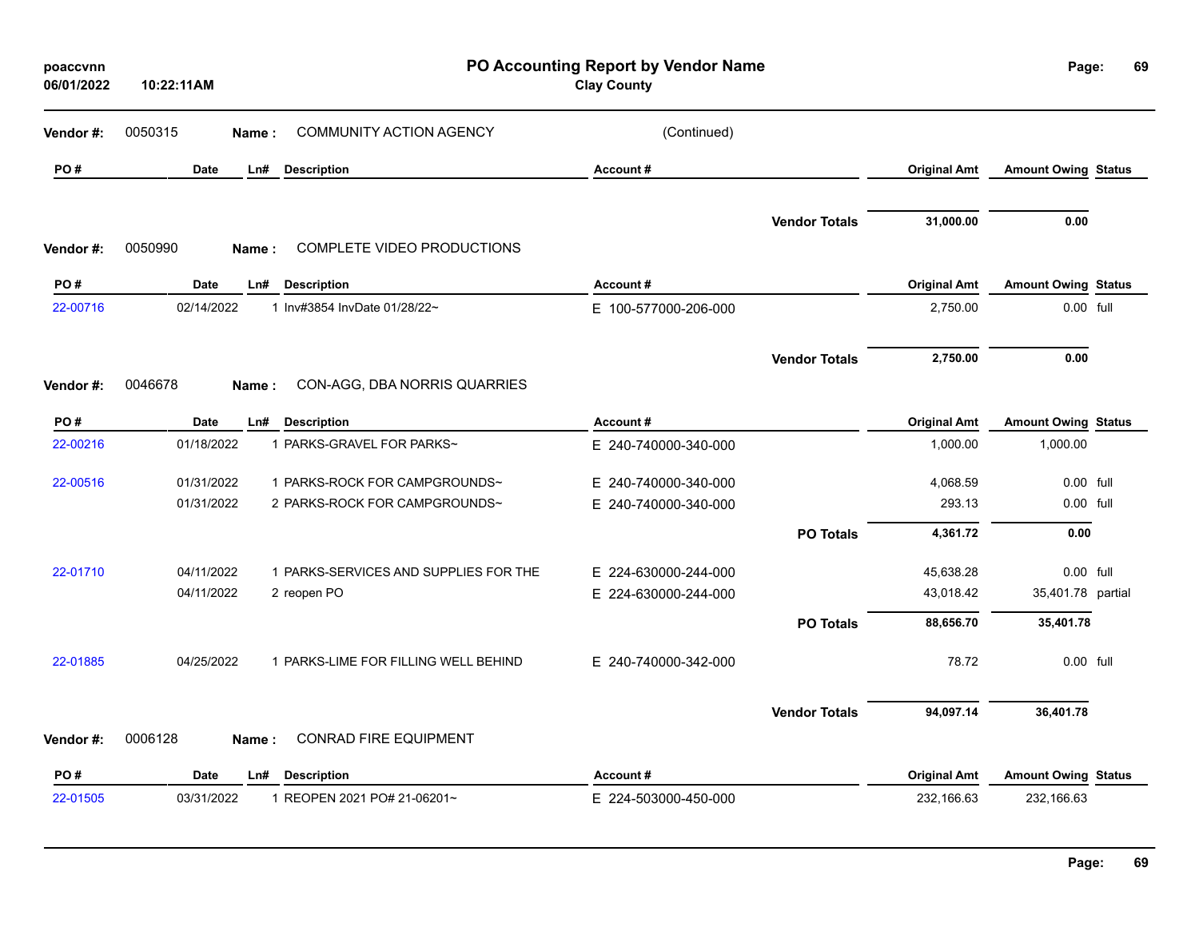| poaccvnn<br>06/01/2022 | 10:22:11AM         | PO Accounting Report by Vendor Name<br><b>Clay County</b> |                      |                      |                     | Page:                      |  |
|------------------------|--------------------|-----------------------------------------------------------|----------------------|----------------------|---------------------|----------------------------|--|
| Vendor #:              | 0050315<br>Name:   | <b>COMMUNITY ACTION AGENCY</b>                            | (Continued)          |                      |                     |                            |  |
| PO#                    | Date<br>Ln#        | <b>Description</b>                                        | Account#             |                      | <b>Original Amt</b> | <b>Amount Owing Status</b> |  |
|                        |                    |                                                           |                      |                      |                     |                            |  |
| Vendor#:               | 0050990<br>Name:   | COMPLETE VIDEO PRODUCTIONS                                |                      | <b>Vendor Totals</b> | 31,000.00           | 0.00                       |  |
| PO#                    | <b>Date</b><br>Ln# | <b>Description</b>                                        | Account#             |                      | <b>Original Amt</b> | <b>Amount Owing Status</b> |  |
| 22-00716               | 02/14/2022         | 1 Inv#3854 InvDate 01/28/22~                              | E 100-577000-206-000 |                      | 2,750.00            | 0.00 full                  |  |
|                        |                    |                                                           |                      | <b>Vendor Totals</b> | 2,750.00            | 0.00                       |  |
| Vendor#:               | 0046678<br>Name:   | CON-AGG, DBA NORRIS QUARRIES                              |                      |                      |                     |                            |  |
| PO#                    | Date<br>Ln#        | <b>Description</b>                                        | Account#             |                      | <b>Original Amt</b> | <b>Amount Owing Status</b> |  |
| 22-00216               | 01/18/2022         | 1 PARKS-GRAVEL FOR PARKS~                                 | E 240-740000-340-000 |                      | 1,000.00            | 1,000.00                   |  |
| 22-00516               | 01/31/2022         | 1 PARKS-ROCK FOR CAMPGROUNDS~                             | E 240-740000-340-000 |                      | 4,068.59            | $0.00$ full                |  |
|                        | 01/31/2022         | 2 PARKS-ROCK FOR CAMPGROUNDS~                             | E 240-740000-340-000 |                      | 293.13              | 0.00 full                  |  |
|                        |                    |                                                           |                      | <b>PO Totals</b>     | 4,361.72            | 0.00                       |  |
| 22-01710               | 04/11/2022         | 1 PARKS-SERVICES AND SUPPLIES FOR THE                     | E 224-630000-244-000 |                      | 45,638.28           | 0.00 full                  |  |
|                        | 04/11/2022         | 2 reopen PO                                               | E 224-630000-244-000 |                      | 43,018.42           | 35,401.78 partial          |  |
|                        |                    |                                                           |                      | <b>PO Totals</b>     | 88,656.70           | 35,401.78                  |  |
| 22-01885               | 04/25/2022         | 1 PARKS-LIME FOR FILLING WELL BEHIND                      | E 240-740000-342-000 |                      | 78.72               | 0.00 full                  |  |
|                        |                    |                                                           |                      | <b>Vendor Totals</b> | 94,097.14           | 36,401.78                  |  |
| Vendor #:              | 0006128<br>Name:   | CONRAD FIRE EQUIPMENT                                     |                      |                      |                     |                            |  |
| PO#                    | Date<br>Ln#        | <b>Description</b>                                        | Account#             |                      | <b>Original Amt</b> | <b>Amount Owing Status</b> |  |
| 22-01505               | 03/31/2022         | 1 REOPEN 2021 PO# 21-06201~                               | E 224-503000-450-000 |                      | 232,166.63          | 232,166.63                 |  |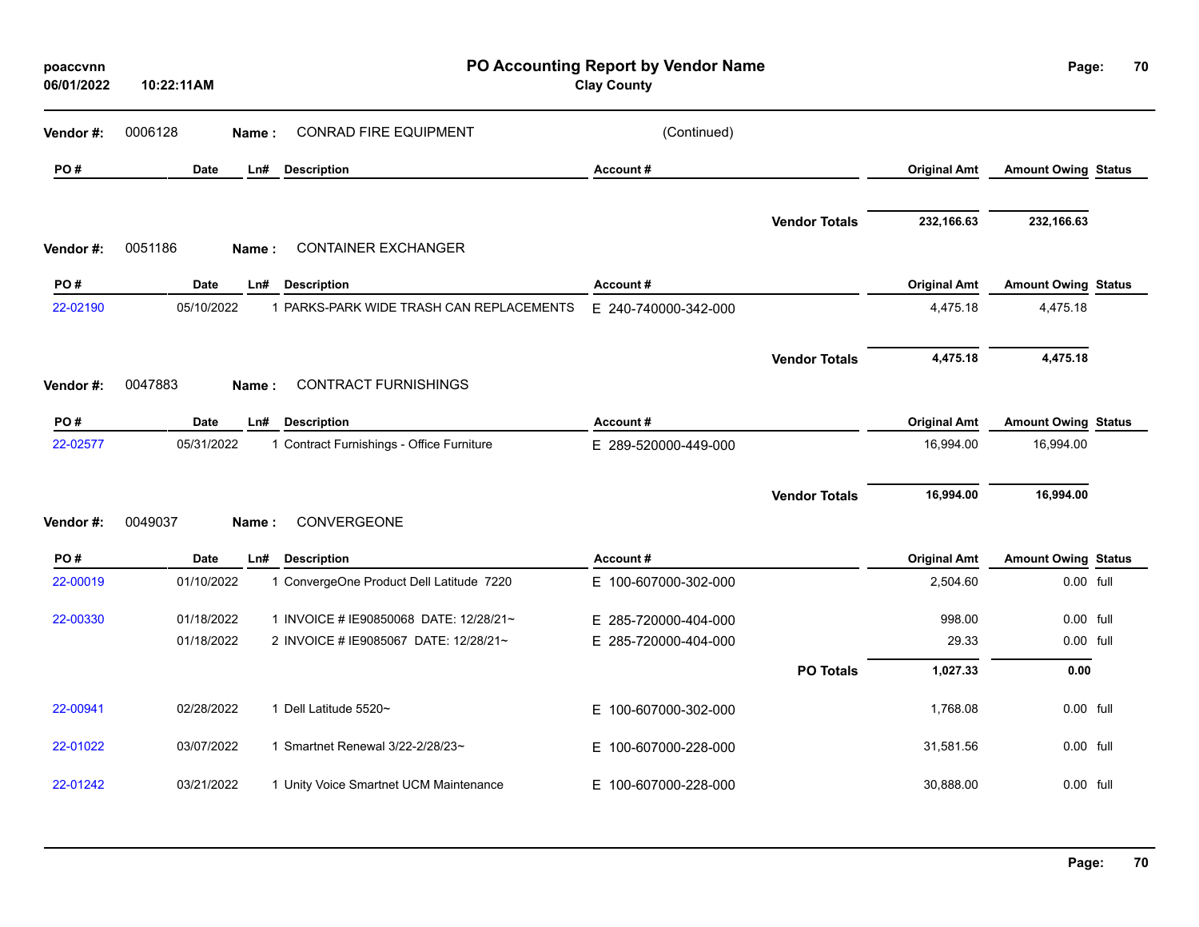| poaccvnn<br>06/01/2022 | 10:22:11AM         | PO Accounting Report by Vendor Name<br><b>Clay County</b> |                      |                      |                     | Page:<br>70                |  |
|------------------------|--------------------|-----------------------------------------------------------|----------------------|----------------------|---------------------|----------------------------|--|
| Vendor #:              | 0006128<br>Name:   | <b>CONRAD FIRE EQUIPMENT</b>                              | (Continued)          |                      |                     |                            |  |
| PO#                    | Date<br>Ln#        | <b>Description</b>                                        | Account#             |                      | <b>Original Amt</b> | <b>Amount Owing Status</b> |  |
| Vendor#:               | 0051186<br>Name:   | <b>CONTAINER EXCHANGER</b>                                |                      | <b>Vendor Totals</b> | 232,166.63          | 232,166.63                 |  |
| PO#                    | Date<br>Ln#        | <b>Description</b>                                        | Account#             |                      | <b>Original Amt</b> | <b>Amount Owing Status</b> |  |
| 22-02190               | 05/10/2022         | 1 PARKS-PARK WIDE TRASH CAN REPLACEMENTS                  | E 240-740000-342-000 |                      | 4,475.18            | 4,475.18                   |  |
|                        | 0047883<br>Name:   | <b>CONTRACT FURNISHINGS</b>                               |                      | <b>Vendor Totals</b> | 4,475.18            | 4,475.18                   |  |
| Vendor#:               |                    |                                                           |                      |                      |                     |                            |  |
| PO#                    | <b>Date</b><br>Ln# | <b>Description</b>                                        | Account#             |                      | <b>Original Amt</b> | <b>Amount Owing Status</b> |  |
| 22-02577               | 05/31/2022         | 1 Contract Furnishings - Office Furniture                 | E 289-520000-449-000 |                      | 16,994.00           | 16,994.00                  |  |
| Vendor #:              | 0049037<br>Name:   | CONVERGEONE                                               |                      | <b>Vendor Totals</b> | 16,994.00           | 16,994.00                  |  |
| PO#                    | <b>Date</b><br>Ln# | <b>Description</b>                                        | Account#             |                      | <b>Original Amt</b> | <b>Amount Owing Status</b> |  |
| 22-00019               | 01/10/2022         | 1 ConvergeOne Product Dell Latitude 7220                  | E 100-607000-302-000 |                      | 2,504.60            | 0.00 full                  |  |
| 22-00330               | 01/18/2022         | 1 INVOICE # IE90850068 DATE: 12/28/21~                    | E 285-720000-404-000 |                      | 998.00              | 0.00 full                  |  |
|                        | 01/18/2022         | 2 INVOICE # IE9085067 DATE: 12/28/21~                     | E 285-720000-404-000 |                      | 29.33               | 0.00 full                  |  |
|                        |                    |                                                           |                      | <b>PO Totals</b>     | 1,027.33            | 0.00                       |  |
| 22-00941               | 02/28/2022         | 1 Dell Latitude 5520~                                     | E 100-607000-302-000 |                      | 1,768.08            | 0.00 full                  |  |
| 22-01022               | 03/07/2022         | 1 Smartnet Renewal 3/22-2/28/23~                          | E 100-607000-228-000 |                      | 31,581.56           | 0.00 full                  |  |
| 22-01242               | 03/21/2022         | 1 Unity Voice Smartnet UCM Maintenance                    | E 100-607000-228-000 |                      | 30,888.00           | 0.00 full                  |  |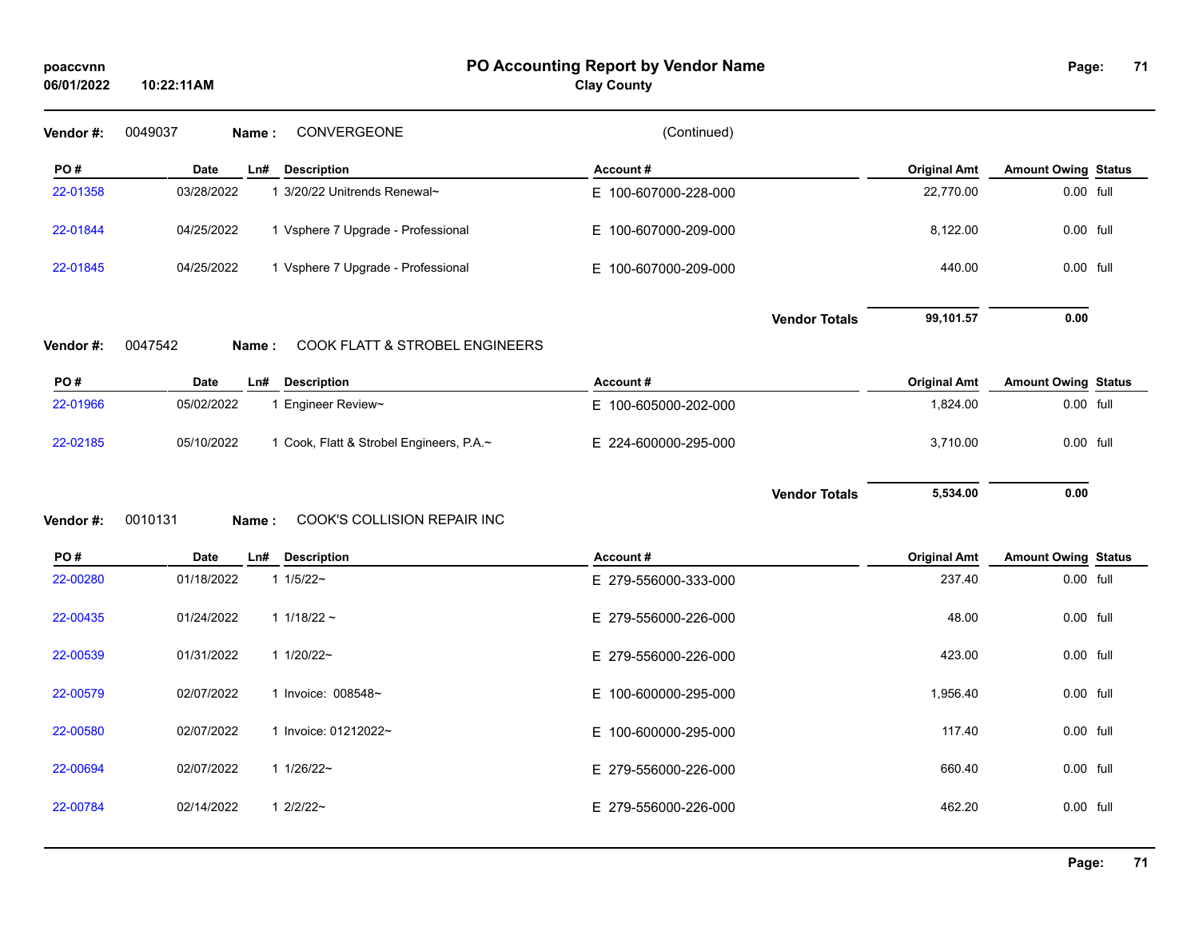## **PO Accounting Report by Vendor Name poaccvnn Page:**

**Clay County**

| Vendor#:  | 0049037<br>CONVERGEONE<br>Name:                        | (Continued)          |                     |                            |
|-----------|--------------------------------------------------------|----------------------|---------------------|----------------------------|
| PO#       | <b>Date</b><br>Ln#<br><b>Description</b>               | Account#             | <b>Original Amt</b> | <b>Amount Owing Status</b> |
| 22-01358  | 03/28/2022<br>1 3/20/22 Unitrends Renewal~             | E 100-607000-228-000 | 22,770.00           | 0.00 full                  |
| 22-01844  | 04/25/2022<br>1 Vsphere 7 Upgrade - Professional       | E 100-607000-209-000 | 8,122.00            | 0.00 full                  |
| 22-01845  | 04/25/2022<br>1 Vsphere 7 Upgrade - Professional       | E 100-607000-209-000 | 440.00              | 0.00 full                  |
| Vendor #: | 0047542<br>COOK FLATT & STROBEL ENGINEERS<br>Name:     | <b>Vendor Totals</b> | 99,101.57           | 0.00                       |
|           |                                                        |                      |                     |                            |
| PO#       | <b>Description</b><br><b>Date</b><br>Ln#               | Account#             | <b>Original Amt</b> | <b>Amount Owing Status</b> |
| 22-01966  | 05/02/2022<br>1 Engineer Review~                       | E 100-605000-202-000 | 1,824.00            | 0.00 full                  |
| 22-02185  | 05/10/2022<br>1 Cook, Flatt & Strobel Engineers, P.A.~ | E 224-600000-295-000 | 3,710.00            | 0.00 full                  |
| Vendor #: | 0010131<br>COOK'S COLLISION REPAIR INC<br>Name:        | <b>Vendor Totals</b> | 5,534.00            | 0.00                       |
| PO#       | <b>Date</b><br><b>Description</b><br>Ln#               | Account#             | <b>Original Amt</b> | <b>Amount Owing Status</b> |
| 22-00280  | 01/18/2022<br>$11/5/22$ ~                              | E 279-556000-333-000 | 237.40              | 0.00 full                  |
| 22-00435  | 01/24/2022<br>1 $1/18/22$ ~                            | E 279-556000-226-000 | 48.00               | 0.00 full                  |
| 22-00539  | 1 1/20/22~<br>01/31/2022                               | E 279-556000-226-000 | 423.00              | 0.00 full                  |
| 22-00579  | 02/07/2022<br>1 Invoice: 008548~                       | E 100-600000-295-000 | 1,956.40            | 0.00 full                  |
| 22-00580  | 02/07/2022<br>1 Invoice: 01212022~                     | E 100-600000-295-000 | 117.40              | 0.00 full                  |
| 22-00694  | 02/07/2022<br>1 1/26/22~                               | E 279-556000-226-000 | 660.40              | 0.00 full                  |
| 22-00784  | $12/2/22$ ~<br>02/14/2022                              | E 279-556000-226-000 | 462.20              | 0.00 full                  |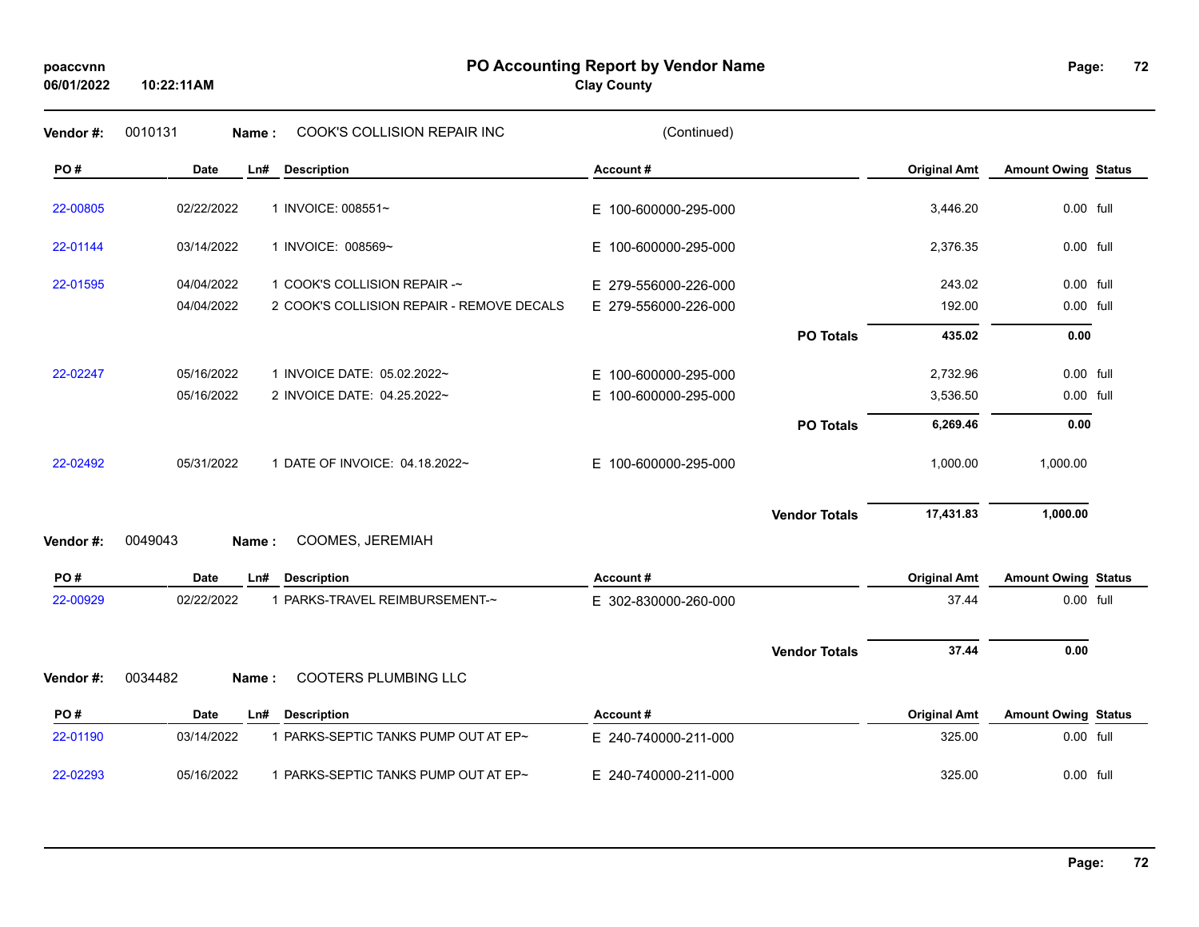## **PO Accounting Report by Vendor Name poaccvnn Page:**

## **Clay County**

| Vendor #: | 0010131<br>Name:   | COOK'S COLLISION REPAIR INC               | (Continued)          |                      |                     |                            |  |
|-----------|--------------------|-------------------------------------------|----------------------|----------------------|---------------------|----------------------------|--|
| PO#       | Date<br>Ln#        | <b>Description</b>                        | Account#             |                      | <b>Original Amt</b> | <b>Amount Owing Status</b> |  |
| 22-00805  | 02/22/2022         | 1 INVOICE: 008551~                        | E 100-600000-295-000 |                      | 3,446.20            | 0.00 full                  |  |
| 22-01144  | 03/14/2022         | 1 INVOICE: 008569~                        | E 100-600000-295-000 |                      | 2,376.35            | 0.00 full                  |  |
| 22-01595  | 04/04/2022         | 1 COOK'S COLLISION REPAIR -~              | E 279-556000-226-000 |                      | 243.02              | 0.00 full                  |  |
|           | 04/04/2022         | 2 COOK'S COLLISION REPAIR - REMOVE DECALS | E 279-556000-226-000 |                      | 192.00              | 0.00 full                  |  |
|           |                    |                                           |                      | <b>PO Totals</b>     | 435.02              | 0.00                       |  |
| 22-02247  | 05/16/2022         | 1 INVOICE DATE: 05.02.2022~               | E 100-600000-295-000 |                      | 2,732.96            | 0.00 full                  |  |
|           | 05/16/2022         | 2 INVOICE DATE: 04.25.2022~               | E 100-600000-295-000 |                      | 3,536.50            | 0.00 full                  |  |
|           |                    |                                           |                      | <b>PO Totals</b>     | 6,269.46            | 0.00                       |  |
| 22-02492  | 05/31/2022         | 1 DATE OF INVOICE: 04.18.2022~            | E 100-600000-295-000 |                      | 1,000.00            | 1,000.00                   |  |
|           |                    |                                           |                      | <b>Vendor Totals</b> | 17,431.83           | 1,000.00                   |  |
| Vendor#:  | 0049043<br>Name:   | COOMES, JEREMIAH                          |                      |                      |                     |                            |  |
| PO#       | Date<br>Ln#        | <b>Description</b>                        | Account#             |                      | <b>Original Amt</b> | <b>Amount Owing Status</b> |  |
| 22-00929  | 02/22/2022         | 1 PARKS-TRAVEL REIMBURSEMENT-~            | E 302-830000-260-000 |                      | 37.44               | 0.00 full                  |  |
|           |                    |                                           |                      | <b>Vendor Totals</b> | 37.44               | 0.00                       |  |
| Vendor#:  | 0034482<br>Name:   | COOTERS PLUMBING LLC                      |                      |                      |                     |                            |  |
| PO#       | <b>Date</b><br>Ln# | <b>Description</b>                        | Account#             |                      | <b>Original Amt</b> | <b>Amount Owing Status</b> |  |
| 22-01190  | 03/14/2022         | 1 PARKS-SEPTIC TANKS PUMP OUT AT EP~      | E 240-740000-211-000 |                      | 325.00              | 0.00 full                  |  |
| 22-02293  | 05/16/2022         | 1 PARKS-SEPTIC TANKS PUMP OUT AT EP~      | E 240-740000-211-000 |                      | 325.00              | $0.00$ full                |  |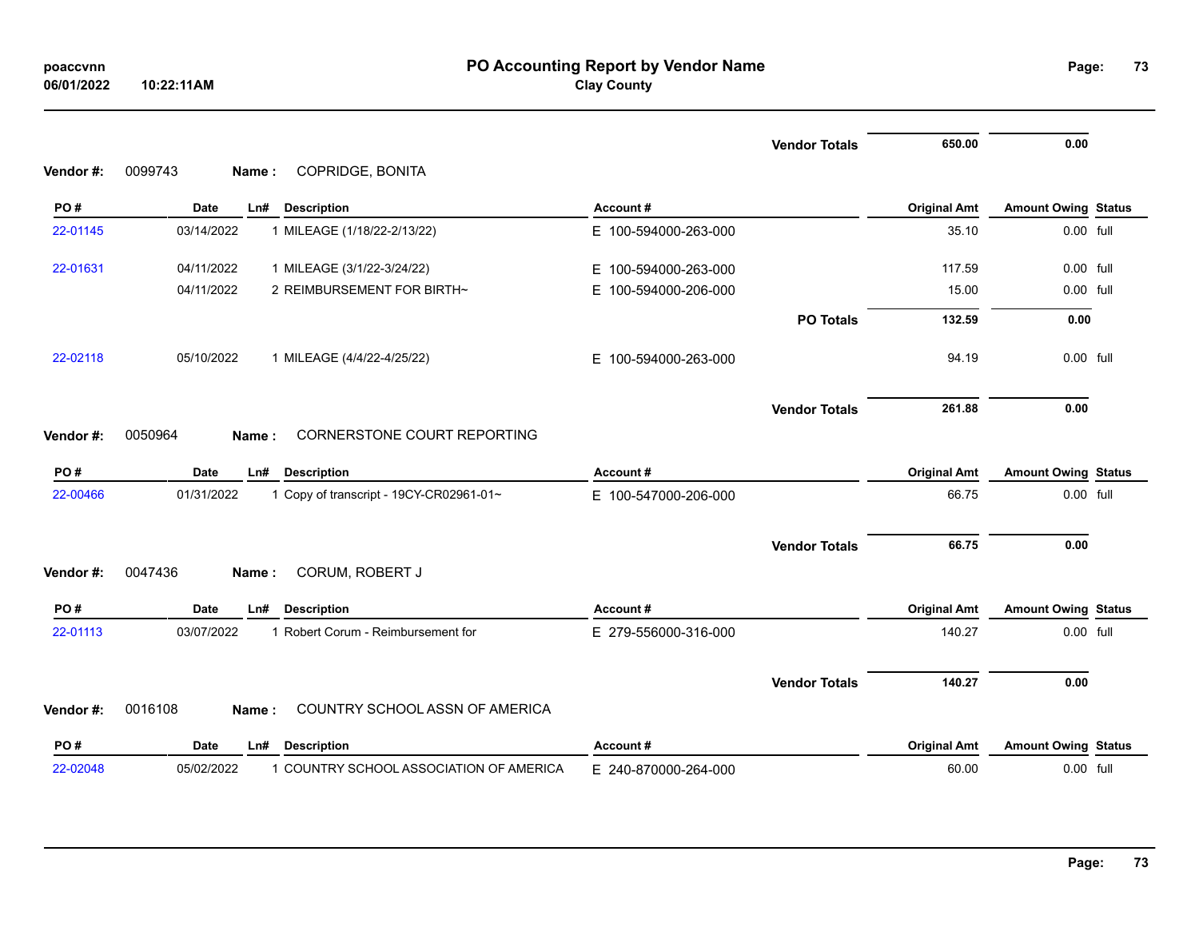|          |                                                       |                          | <b>Vendor Totals</b> | 650.00              | 0.00                       |  |
|----------|-------------------------------------------------------|--------------------------|----------------------|---------------------|----------------------------|--|
| Vendor#: | 0099743<br>COPRIDGE, BONITA<br>Name:                  |                          |                      |                     |                            |  |
| PO#      | <b>Date</b><br><b>Description</b><br>Ln#              | Account#                 |                      | <b>Original Amt</b> | <b>Amount Owing Status</b> |  |
| 22-01145 | 03/14/2022<br>1 MILEAGE (1/18/22-2/13/22)             | E 100-594000-263-000     |                      | 35.10               | 0.00 full                  |  |
| 22-01631 | 04/11/2022<br>1 MILEAGE (3/1/22-3/24/22)              | E 100-594000-263-000     |                      | 117.59              | $0.00$ full                |  |
|          | 2 REIMBURSEMENT FOR BIRTH~<br>04/11/2022              | 100-594000-206-000<br>Е. |                      | 15.00               | 0.00 full                  |  |
|          |                                                       |                          | <b>PO Totals</b>     | 132.59              | 0.00                       |  |
| 22-02118 | 05/10/2022<br>1 MILEAGE (4/4/22-4/25/22)              | E 100-594000-263-000     |                      | 94.19               | 0.00 full                  |  |
|          |                                                       |                          | <b>Vendor Totals</b> | 261.88              | 0.00                       |  |
| Vendor#: | 0050964<br>CORNERSTONE COURT REPORTING<br>Name:       |                          |                      |                     |                            |  |
|          |                                                       |                          |                      |                     |                            |  |
| PO#      | <b>Date</b><br><b>Description</b><br>Ln#              | Account#                 |                      | <b>Original Amt</b> | <b>Amount Owing Status</b> |  |
| 22-00466 | 01/31/2022<br>1 Copy of transcript - 19CY-CR02961-01~ | E 100-547000-206-000     |                      | 66.75               | 0.00 full                  |  |
|          |                                                       |                          | <b>Vendor Totals</b> | 66.75               | 0.00                       |  |
| Vendor#: | CORUM, ROBERT J<br>0047436<br>Name:                   |                          |                      |                     |                            |  |
| PO#      | <b>Date</b><br><b>Description</b><br>Ln#              | Account#                 |                      | <b>Original Amt</b> | <b>Amount Owing Status</b> |  |
| 22-01113 | 1 Robert Corum - Reimbursement for<br>03/07/2022      | E 279-556000-316-000     |                      | 140.27              | 0.00 full                  |  |
|          |                                                       |                          |                      |                     |                            |  |
| Vendor#: | 0016108<br>COUNTRY SCHOOL ASSN OF AMERICA<br>Name:    |                          | <b>Vendor Totals</b> | 140.27              | 0.00                       |  |
| PO#      | Date<br><b>Description</b><br>Ln#                     | Account#                 |                      | <b>Original Amt</b> | <b>Amount Owing Status</b> |  |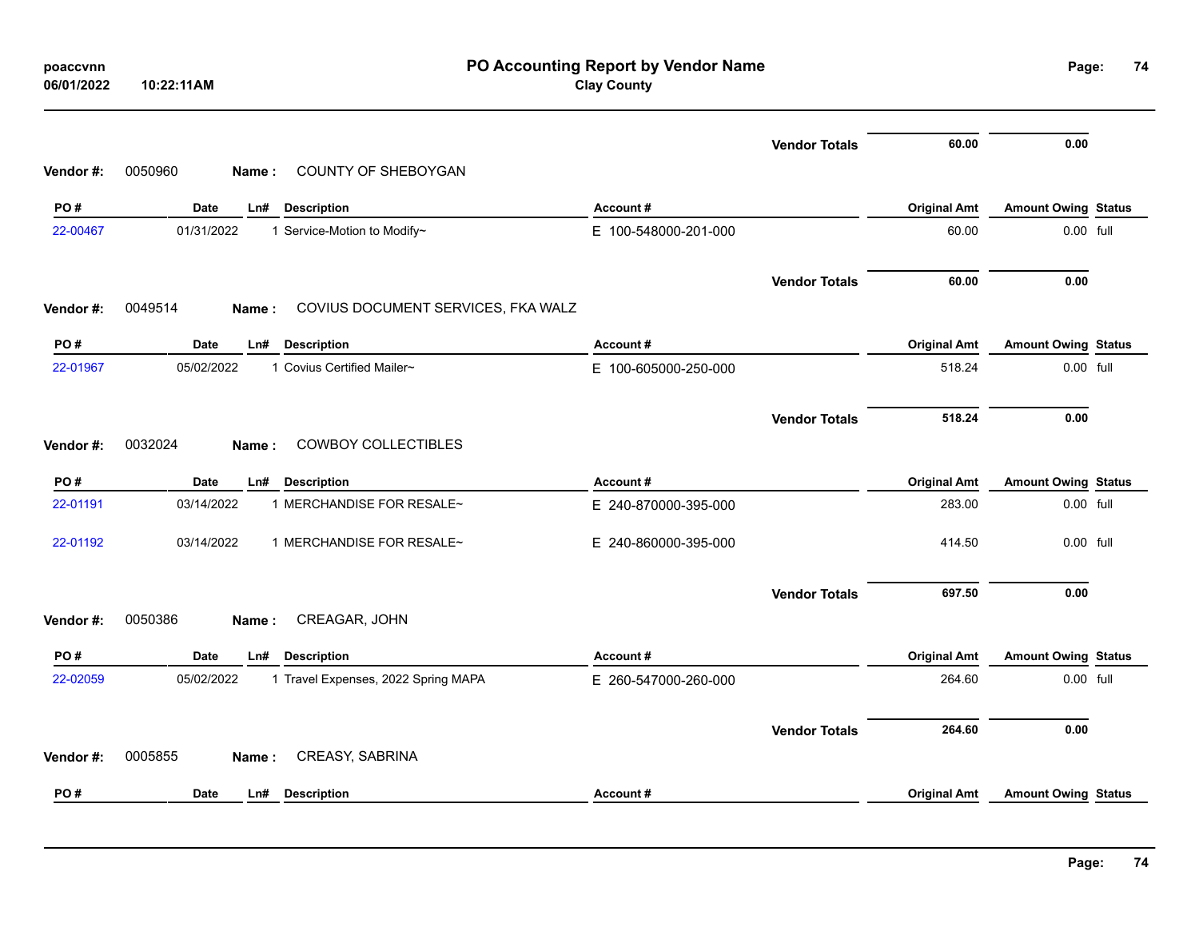| poaccvnn<br>06/01/2022 | PO Accounting Report by Vendor Name<br><b>Clay County</b><br>10:22:11AM |                      |                      |                     |                            |  |  |
|------------------------|-------------------------------------------------------------------------|----------------------|----------------------|---------------------|----------------------------|--|--|
|                        |                                                                         |                      | <b>Vendor Totals</b> | 60.00               | 0.00                       |  |  |
| Vendor #:              | COUNTY OF SHEBOYGAN<br>0050960<br>Name:                                 |                      |                      |                     |                            |  |  |
| PO#                    | Date<br>Ln#<br><b>Description</b>                                       | Account#             |                      | <b>Original Amt</b> | <b>Amount Owing Status</b> |  |  |
| 22-00467               | 01/31/2022<br>1 Service-Motion to Modify~                               | E 100-548000-201-000 |                      | 60.00               | 0.00 full                  |  |  |
|                        |                                                                         |                      | <b>Vendor Totals</b> | 60.00               | 0.00                       |  |  |
| Vendor#:               | 0049514<br>COVIUS DOCUMENT SERVICES, FKA WALZ<br>Name:                  |                      |                      |                     |                            |  |  |
| PO#                    | Date<br>Ln#<br><b>Description</b>                                       | Account#             |                      | <b>Original Amt</b> | <b>Amount Owing Status</b> |  |  |
| 22-01967               | 1 Covius Certified Mailer~<br>05/02/2022                                | E 100-605000-250-000 |                      | 518.24              | 0.00 full                  |  |  |
|                        |                                                                         |                      | <b>Vendor Totals</b> | 518.24              | 0.00                       |  |  |
| Vendor #:              | 0032024<br><b>COWBOY COLLECTIBLES</b><br>Name:                          |                      |                      |                     |                            |  |  |
| PO#                    | <b>Date</b><br>Ln#<br><b>Description</b>                                | Account#             |                      | <b>Original Amt</b> | <b>Amount Owing Status</b> |  |  |
| 22-01191               | 03/14/2022<br>1 MERCHANDISE FOR RESALE~                                 | E 240-870000-395-000 |                      | 283.00              | 0.00 full                  |  |  |
| 22-01192               | 03/14/2022<br>1 MERCHANDISE FOR RESALE~                                 | E 240-860000-395-000 |                      | 414.50              | 0.00 full                  |  |  |
|                        |                                                                         |                      | <b>Vendor Totals</b> | 697.50              | 0.00                       |  |  |
| Vendor#:               | 0050386<br>CREAGAR, JOHN<br>Name:                                       |                      |                      |                     |                            |  |  |
| PO#                    | <b>Date</b><br>Ln#<br><b>Description</b>                                | Account#             |                      | <b>Original Amt</b> | <b>Amount Owing Status</b> |  |  |
| 22-02059               | 05/02/2022<br>1 Travel Expenses, 2022 Spring MAPA                       | E 260-547000-260-000 |                      | 264.60              | 0.00 full                  |  |  |
|                        |                                                                         |                      | <b>Vendor Totals</b> | 264.60              | 0.00                       |  |  |
| Vendor#:               | 0005855<br>CREASY, SABRINA<br>Name:                                     |                      |                      |                     |                            |  |  |
| PO#                    | Date<br>Ln#<br><b>Description</b>                                       | Account#             |                      | <b>Original Amt</b> | <b>Amount Owing Status</b> |  |  |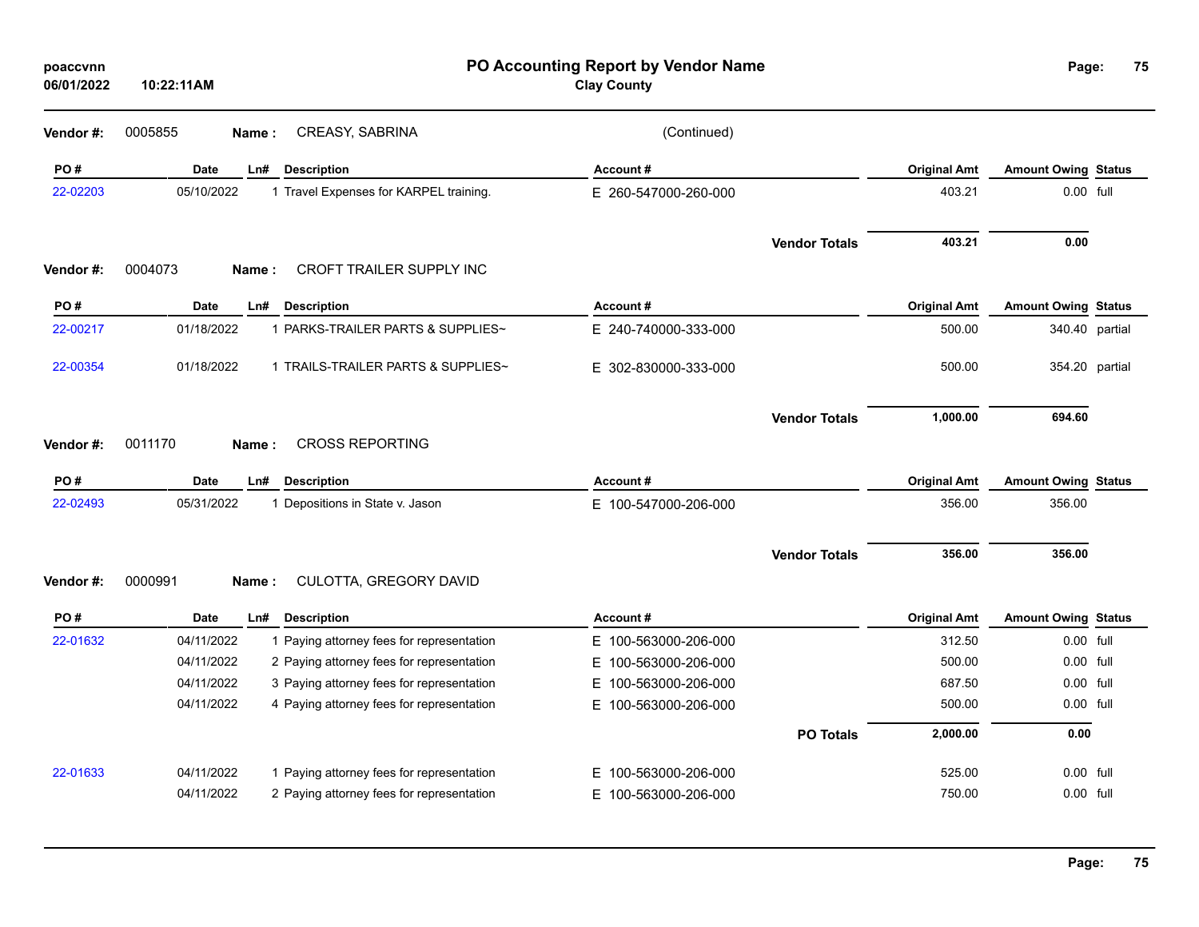| poaccvnn<br>06/01/2022 | 10:22:11AM  |                                           | Page:                    | 75                   |                     |                            |                |
|------------------------|-------------|-------------------------------------------|--------------------------|----------------------|---------------------|----------------------------|----------------|
| Vendor #:              | 0005855     | CREASY, SABRINA<br>Name:                  | (Continued)              |                      |                     |                            |                |
| PO#                    | Date        | <b>Description</b><br>Ln#                 | Account#                 |                      | <b>Original Amt</b> | <b>Amount Owing Status</b> |                |
| 22-02203               | 05/10/2022  | 1 Travel Expenses for KARPEL training.    | E 260-547000-260-000     |                      | 403.21              | 0.00 full                  |                |
|                        |             |                                           |                          | <b>Vendor Totals</b> | 403.21              | 0.00                       |                |
| Vendor#:               | 0004073     | CROFT TRAILER SUPPLY INC<br>Name:         |                          |                      |                     |                            |                |
| PO#                    | <b>Date</b> | <b>Description</b><br>Ln#                 | Account#                 |                      | <b>Original Amt</b> | <b>Amount Owing Status</b> |                |
| 22-00217               | 01/18/2022  | 1 PARKS-TRAILER PARTS & SUPPLIES~         | E 240-740000-333-000     |                      | 500.00              |                            | 340.40 partial |
| 22-00354               | 01/18/2022  | 1 TRAILS-TRAILER PARTS & SUPPLIES~        | E 302-830000-333-000     |                      | 500.00              |                            | 354.20 partial |
|                        |             |                                           |                          | <b>Vendor Totals</b> | 1,000.00            | 694.60                     |                |
| Vendor #:              | 0011170     | <b>CROSS REPORTING</b><br>Name:           |                          |                      |                     |                            |                |
| PO#                    | <b>Date</b> | Ln#<br><b>Description</b>                 | Account#                 |                      | <b>Original Amt</b> | <b>Amount Owing Status</b> |                |
| 22-02493               | 05/31/2022  | 1 Depositions in State v. Jason           | E 100-547000-206-000     |                      | 356.00              | 356.00                     |                |
|                        |             |                                           |                          | <b>Vendor Totals</b> | 356.00              | 356.00                     |                |
| Vendor #:              | 0000991     | CULOTTA, GREGORY DAVID<br>Name:           |                          |                      |                     |                            |                |
| PO#                    | <b>Date</b> | Ln#<br><b>Description</b>                 | Account#                 |                      | <b>Original Amt</b> | <b>Amount Owing Status</b> |                |
| 22-01632               | 04/11/2022  | 1 Paying attorney fees for representation | E 100-563000-206-000     |                      | 312.50              | 0.00 full                  |                |
|                        | 04/11/2022  | 2 Paying attorney fees for representation | 100-563000-206-000<br>E. |                      | 500.00              | 0.00 full                  |                |
|                        | 04/11/2022  | 3 Paying attorney fees for representation | E.<br>100-563000-206-000 |                      | 687.50              | 0.00 full                  |                |
|                        | 04/11/2022  | 4 Paying attorney fees for representation | E.<br>100-563000-206-000 |                      | 500.00              | 0.00 full                  |                |
|                        |             |                                           |                          | <b>PO Totals</b>     | 2,000.00            | 0.00                       |                |
| 22-01633               | 04/11/2022  | 1 Paying attorney fees for representation | 100-563000-206-000<br>Е. |                      | 525.00              | 0.00 full                  |                |
|                        | 04/11/2022  | 2 Paying attorney fees for representation | 100-563000-206-000<br>E. |                      | 750.00              | $0.00$ full                |                |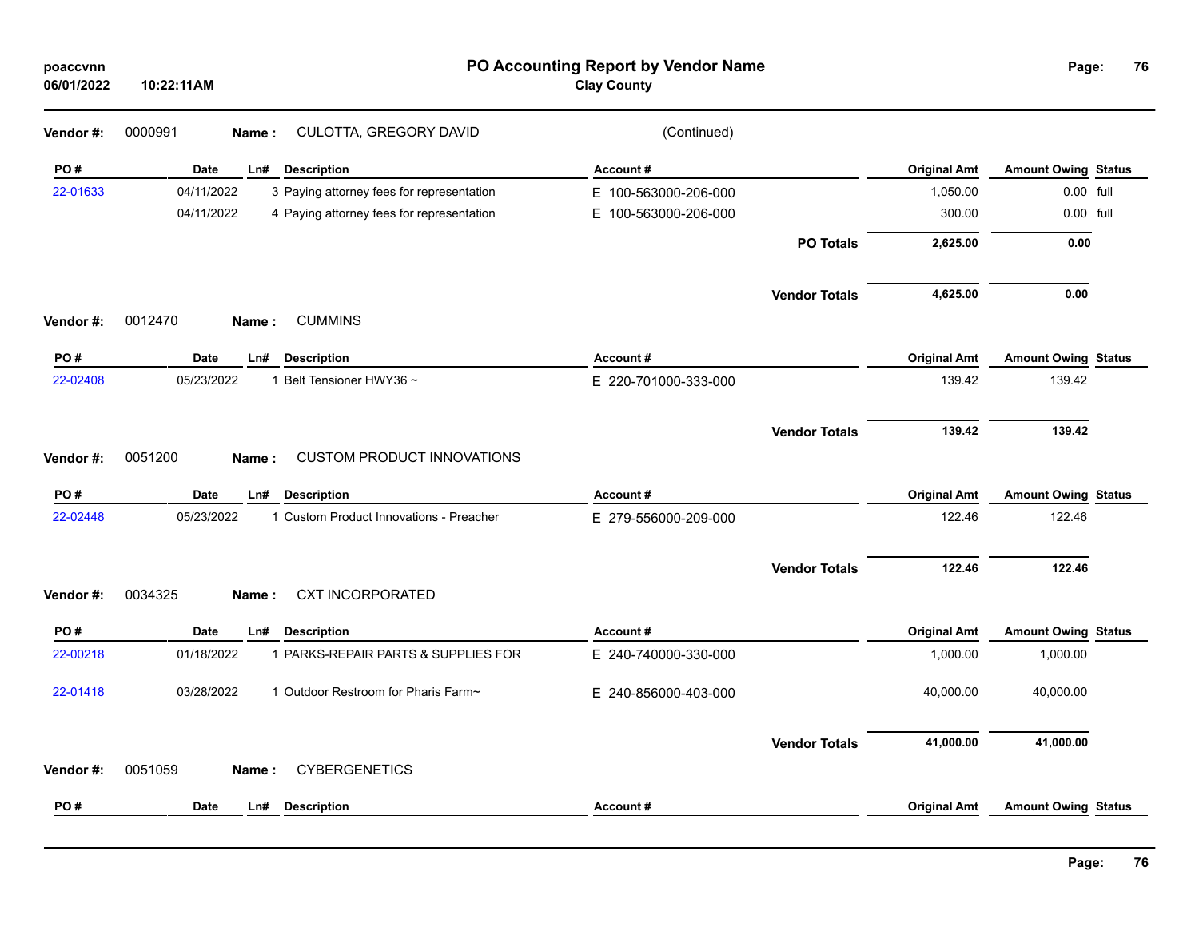| poaccvnn<br>06/01/2022 | 10:22:11AM                                              | PO Accounting Report by Vendor Name<br><b>Clay County</b> |                     |                            |  |
|------------------------|---------------------------------------------------------|-----------------------------------------------------------|---------------------|----------------------------|--|
| Vendor #:              | CULOTTA, GREGORY DAVID<br>0000991<br>Name:              | (Continued)                                               |                     |                            |  |
| PO#                    | Date<br>Ln#<br><b>Description</b>                       | Account#                                                  | <b>Original Amt</b> | <b>Amount Owing Status</b> |  |
| 22-01633               | 04/11/2022<br>3 Paying attorney fees for representation | E 100-563000-206-000                                      | 1,050.00            | 0.00 full                  |  |
|                        | 04/11/2022<br>4 Paying attorney fees for representation | E 100-563000-206-000                                      | 300.00              | 0.00 full                  |  |
|                        |                                                         | <b>PO Totals</b>                                          | 2,625.00            | 0.00                       |  |
|                        |                                                         | <b>Vendor Totals</b>                                      | 4,625.00            | 0.00                       |  |
| Vendor #:              | 0012470<br><b>CUMMINS</b><br>Name:                      |                                                           |                     |                            |  |
| PO#                    | Date<br>Ln#<br><b>Description</b>                       | Account#                                                  | <b>Original Amt</b> | <b>Amount Owing Status</b> |  |
| 22-02408               | 05/23/2022<br>1 Belt Tensioner HWY36 ~                  | E 220-701000-333-000                                      | 139.42              | 139.42                     |  |
|                        |                                                         | <b>Vendor Totals</b>                                      | 139.42              | 139.42                     |  |
| Vendor#:               | 0051200<br><b>CUSTOM PRODUCT INNOVATIONS</b><br>Name:   |                                                           |                     |                            |  |
| PO#                    | <b>Date</b><br><b>Description</b><br>Ln#                | Account#                                                  | <b>Original Amt</b> | <b>Amount Owing Status</b> |  |
| 22-02448               | 05/23/2022<br>1 Custom Product Innovations - Preacher   | E 279-556000-209-000                                      | 122.46              | 122.46                     |  |
|                        |                                                         |                                                           |                     |                            |  |
|                        |                                                         | <b>Vendor Totals</b>                                      | 122.46              | 122.46                     |  |
| Vendor #:              | 0034325<br><b>CXT INCORPORATED</b><br>Name:             |                                                           |                     |                            |  |
| PO#                    | <b>Date</b><br>Ln#<br><b>Description</b>                | Account#                                                  | <b>Original Amt</b> | <b>Amount Owing Status</b> |  |
| 22-00218               | 01/18/2022<br>1 PARKS-REPAIR PARTS & SUPPLIES FOR       | E 240-740000-330-000                                      | 1,000.00            | 1,000.00                   |  |
| 22-01418               | 03/28/2022<br>1 Outdoor Restroom for Pharis Farm~       | E 240-856000-403-000                                      | 40,000.00           | 40,000.00                  |  |
|                        |                                                         | <b>Vendor Totals</b>                                      | 41,000.00           | 41,000.00                  |  |
| Vendor #:              | <b>CYBERGENETICS</b><br>0051059<br>Name:                |                                                           |                     |                            |  |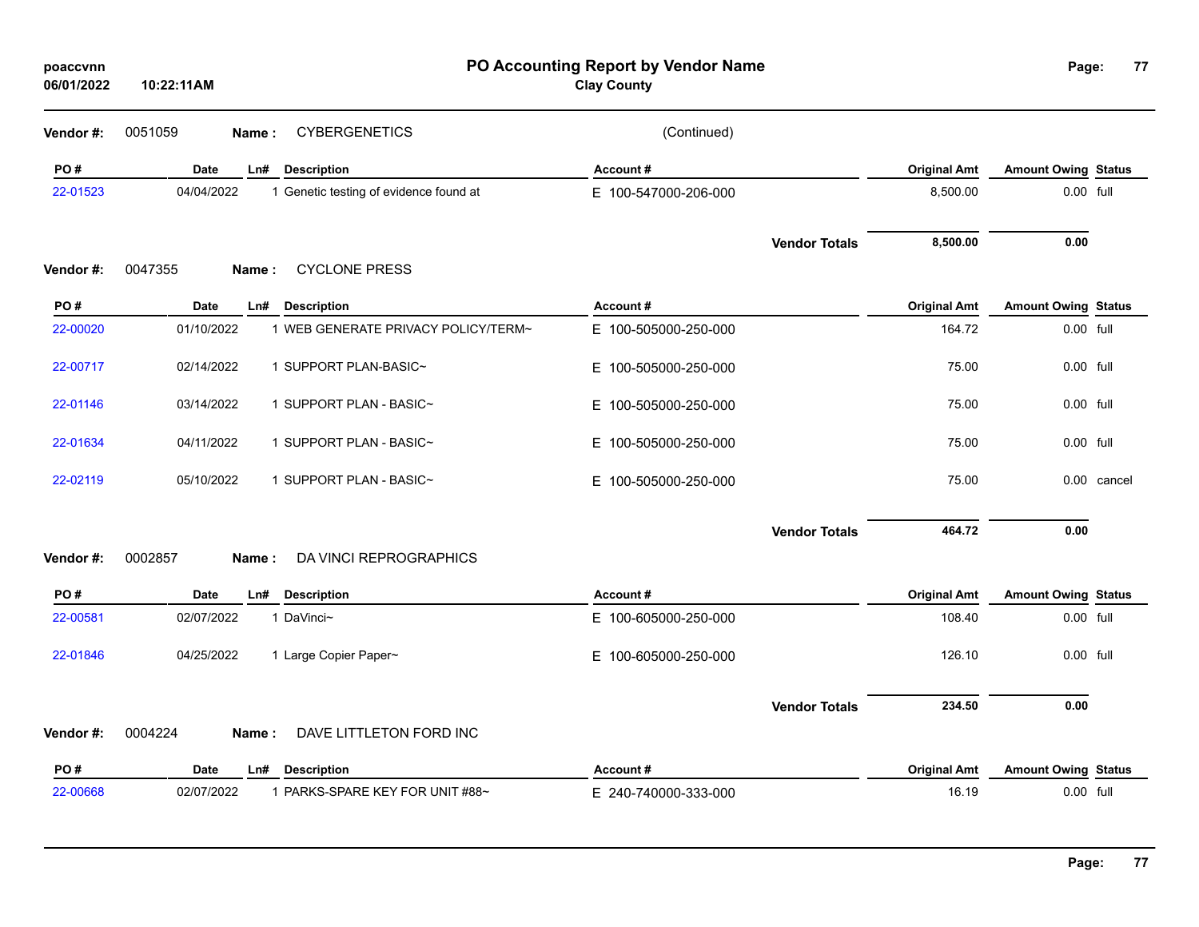| poaccvnn<br>06/01/2022 | 10:22:11AM  | PO Accounting Report by Vendor Name<br><b>Clay County</b> |                      |                      | Page:               | 77                         |             |
|------------------------|-------------|-----------------------------------------------------------|----------------------|----------------------|---------------------|----------------------------|-------------|
| Vendor #:              | 0051059     | <b>CYBERGENETICS</b><br>Name:                             | (Continued)          |                      |                     |                            |             |
| PO#                    | Date        | Ln#<br><b>Description</b>                                 | Account#             |                      | <b>Original Amt</b> | <b>Amount Owing Status</b> |             |
| 22-01523               | 04/04/2022  | 1 Genetic testing of evidence found at                    | E 100-547000-206-000 |                      | 8,500.00            | 0.00 full                  |             |
|                        |             |                                                           |                      | <b>Vendor Totals</b> | 8,500.00            | 0.00                       |             |
| Vendor#:               | 0047355     | <b>CYCLONE PRESS</b><br>Name:                             |                      |                      |                     |                            |             |
| PO#                    | Date        | Ln#<br><b>Description</b>                                 | Account#             |                      | <b>Original Amt</b> | <b>Amount Owing Status</b> |             |
| 22-00020               | 01/10/2022  | 1 WEB GENERATE PRIVACY POLICY/TERM~                       | E 100-505000-250-000 |                      | 164.72              | 0.00 full                  |             |
| 22-00717               | 02/14/2022  | 1 SUPPORT PLAN-BASIC~                                     | E 100-505000-250-000 |                      | 75.00               | 0.00 full                  |             |
| 22-01146               | 03/14/2022  | 1 SUPPORT PLAN - BASIC~                                   | E 100-505000-250-000 |                      | 75.00               | 0.00 full                  |             |
| 22-01634               | 04/11/2022  | 1 SUPPORT PLAN - BASIC~                                   | E 100-505000-250-000 |                      | 75.00               | 0.00 full                  |             |
| 22-02119               | 05/10/2022  | 1 SUPPORT PLAN - BASIC~                                   | E 100-505000-250-000 |                      | 75.00               |                            | 0.00 cancel |
|                        | 0002857     | DA VINCI REPROGRAPHICS                                    |                      | <b>Vendor Totals</b> | 464.72              | 0.00                       |             |
| Vendor#:               |             | Name:                                                     |                      |                      |                     |                            |             |
| PO#                    | <b>Date</b> | Ln#<br><b>Description</b>                                 | Account#             |                      | <b>Original Amt</b> | <b>Amount Owing Status</b> |             |
| 22-00581               | 02/07/2022  | 1 DaVinci~                                                | E 100-605000-250-000 |                      | 108.40              | 0.00 full                  |             |
| 22-01846               | 04/25/2022  | 1 Large Copier Paper~                                     | E 100-605000-250-000 |                      | 126.10              | 0.00 full                  |             |
|                        |             |                                                           |                      | <b>Vendor Totals</b> | 234.50              | 0.00                       |             |
| Vendor#:               | 0004224     | DAVE LITTLETON FORD INC<br>Name:                          |                      |                      |                     |                            |             |
| PO#                    | Date        | <b>Description</b><br>Ln#                                 | Account#             |                      | <b>Original Amt</b> | <b>Amount Owing Status</b> |             |
| 22-00668               | 02/07/2022  | 1 PARKS-SPARE KEY FOR UNIT #88~                           | E 240-740000-333-000 |                      | 16.19               | $0.00$ full                |             |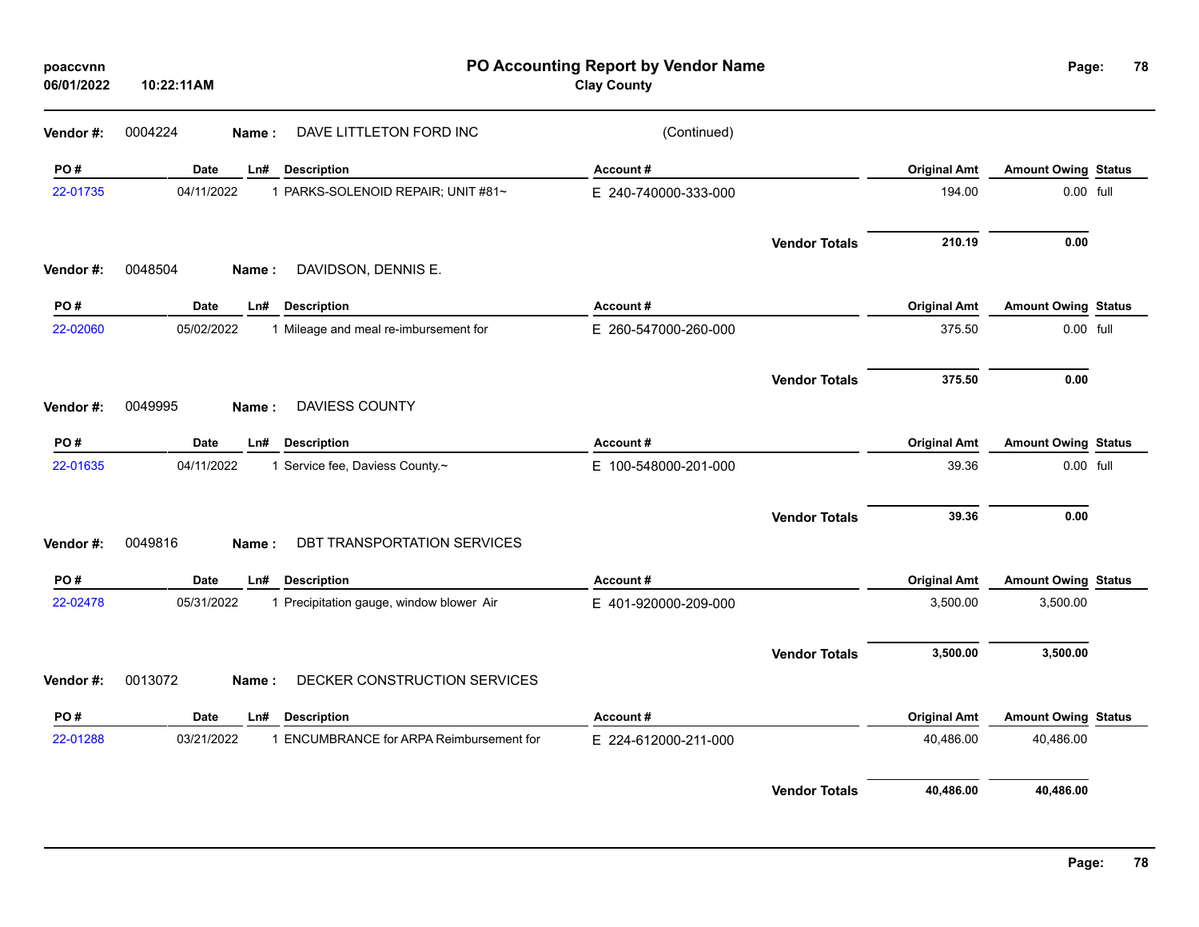| poaccvnn<br>06/01/2022 | 10:22:11AM  | PO Accounting Report by Vendor Name<br><b>Clay County</b> |                      |                      |                     |                            | Page:<br>78 |  |
|------------------------|-------------|-----------------------------------------------------------|----------------------|----------------------|---------------------|----------------------------|-------------|--|
| Vendor#:               | 0004224     | DAVE LITTLETON FORD INC<br>Name:                          | (Continued)          |                      |                     |                            |             |  |
| PO#                    | Date        | <b>Description</b><br>Ln#                                 | Account#             |                      | <b>Original Amt</b> | <b>Amount Owing Status</b> |             |  |
| 22-01735               | 04/11/2022  | 1 PARKS-SOLENOID REPAIR; UNIT #81~                        | E 240-740000-333-000 |                      | 194.00              | 0.00 full                  |             |  |
|                        |             |                                                           |                      | <b>Vendor Totals</b> | 210.19              | 0.00                       |             |  |
| Vendor#:               | 0048504     | DAVIDSON, DENNIS E.<br>Name:                              |                      |                      |                     |                            |             |  |
| PO#                    | <b>Date</b> | <b>Description</b><br>Ln#                                 | Account#             |                      | <b>Original Amt</b> | <b>Amount Owing Status</b> |             |  |
| 22-02060               | 05/02/2022  | 1 Mileage and meal re-imbursement for                     | E 260-547000-260-000 |                      | 375.50              | 0.00 full                  |             |  |
|                        |             |                                                           |                      | <b>Vendor Totals</b> | 375.50              | 0.00                       |             |  |
| Vendor#:               | 0049995     | <b>DAVIESS COUNTY</b><br><b>Name</b> :                    |                      |                      |                     |                            |             |  |
| PO#                    | Date        | <b>Description</b><br>Ln#                                 | Account#             |                      | <b>Original Amt</b> | <b>Amount Owing Status</b> |             |  |
| 22-01635               | 04/11/2022  | 1 Service fee, Daviess County.~                           | E 100-548000-201-000 |                      | 39.36               | 0.00 full                  |             |  |
|                        |             |                                                           |                      | <b>Vendor Totals</b> | 39.36               | 0.00                       |             |  |
| Vendor#:               | 0049816     | DBT TRANSPORTATION SERVICES<br>Name:                      |                      |                      |                     |                            |             |  |
| PO#                    | Date        | <b>Description</b><br>Ln#                                 | Account#             |                      | <b>Original Amt</b> | <b>Amount Owing Status</b> |             |  |
| 22-02478               | 05/31/2022  | 1 Precipitation gauge, window blower Air                  | E 401-920000-209-000 |                      | 3,500.00            | 3,500.00                   |             |  |
|                        |             |                                                           |                      | <b>Vendor Totals</b> | 3,500.00            | 3,500.00                   |             |  |
| Vendor #:              | 0013072     | DECKER CONSTRUCTION SERVICES<br>Name:                     |                      |                      |                     |                            |             |  |
| PO#                    | Date        | <b>Description</b><br>Ln#                                 | Account#             |                      | <b>Original Amt</b> | <b>Amount Owing Status</b> |             |  |
| 22-01288               | 03/21/2022  | 1 ENCUMBRANCE for ARPA Reimbursement for                  | E 224-612000-211-000 |                      | 40,486.00           | 40,486.00                  |             |  |
|                        |             |                                                           |                      | <b>Vendor Totals</b> | 40,486.00           | 40,486.00                  |             |  |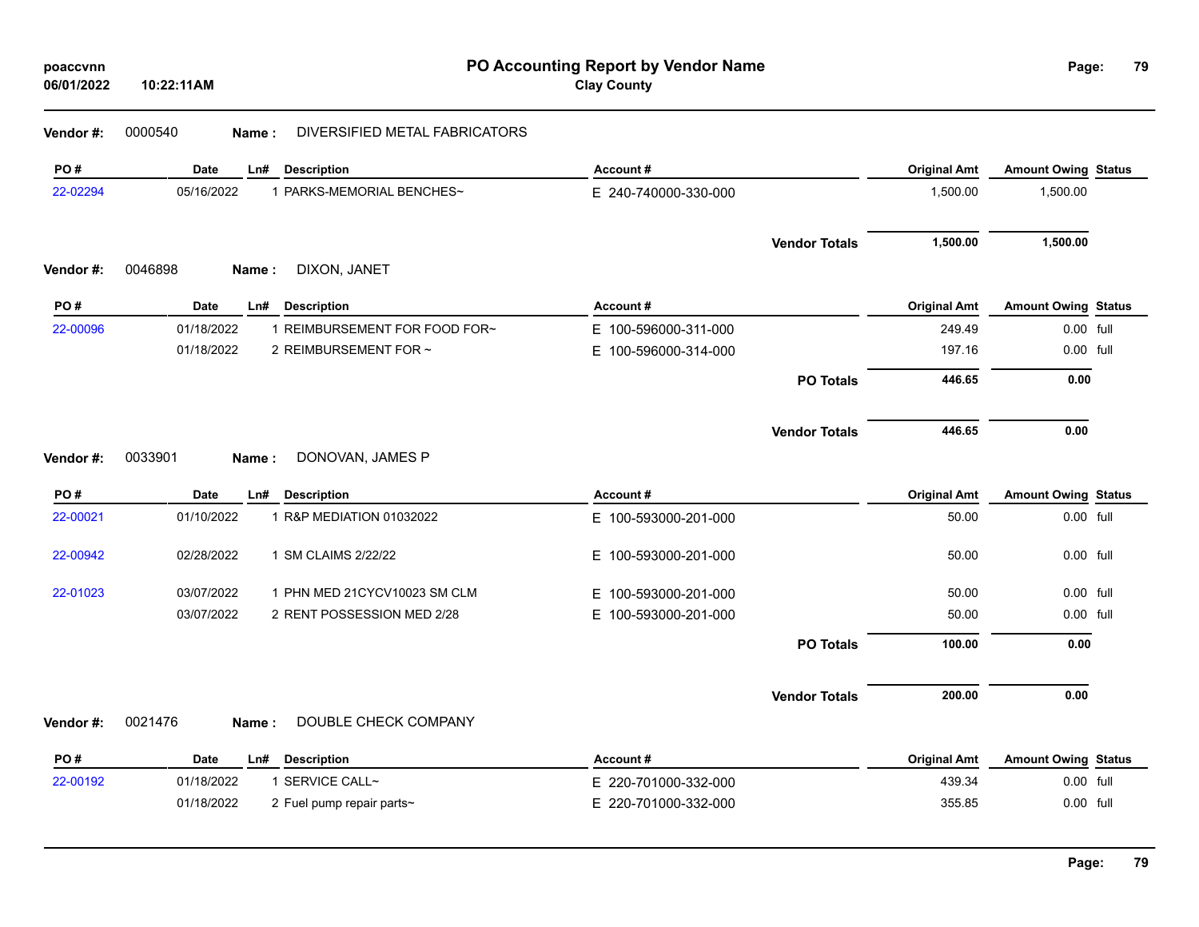| poaccvnn |  |  |
|----------|--|--|
|          |  |  |

# **Vendor #:** 0000540 **Name :** DIVERSIFIED METAL FABRICATORS

| PO#             | <b>Date</b><br><b>Description</b><br>Ln#                                                | Account#                                         | <b>Original Amt</b>           | <b>Amount Owing Status</b>              |  |
|-----------------|-----------------------------------------------------------------------------------------|--------------------------------------------------|-------------------------------|-----------------------------------------|--|
| 22-02294        | 05/16/2022<br>1 PARKS-MEMORIAL BENCHES~                                                 | E 240-740000-330-000                             | 1,500.00                      | 1,500.00                                |  |
|                 |                                                                                         | <b>Vendor Totals</b>                             | 1,500.00                      | 1,500.00                                |  |
| Vendor #:       | 0046898<br>DIXON, JANET<br>Name:                                                        |                                                  |                               |                                         |  |
| PO#<br>22-00096 | <b>Date</b><br><b>Description</b><br>Ln#<br>1 REIMBURSEMENT FOR FOOD FOR~<br>01/18/2022 | Account#                                         | <b>Original Amt</b><br>249.49 | <b>Amount Owing Status</b><br>0.00 full |  |
|                 | 01/18/2022<br>2 REIMBURSEMENT FOR ~                                                     | E 100-596000-311-000<br>100-596000-314-000<br>E. | 197.16                        | 0.00 full                               |  |
|                 |                                                                                         |                                                  |                               |                                         |  |
|                 |                                                                                         | <b>PO Totals</b>                                 | 446.65                        | 0.00                                    |  |
|                 |                                                                                         | <b>Vendor Totals</b>                             | 446.65                        | 0.00                                    |  |
| Vendor#:        | 0033901<br>DONOVAN, JAMES P<br>Name:                                                    |                                                  |                               |                                         |  |
| PO#             | <b>Date</b><br><b>Description</b><br>Ln#                                                | Account#                                         | <b>Original Amt</b>           | <b>Amount Owing Status</b>              |  |
| 22-00021        | 01/10/2022<br>1 R&P MEDIATION 01032022                                                  | E 100-593000-201-000                             | 50.00                         | 0.00 full                               |  |
| 22-00942        | 02/28/2022<br>1 SM CLAIMS 2/22/22                                                       | E 100-593000-201-000                             | 50.00                         | 0.00 full                               |  |
| 22-01023        | 03/07/2022<br>1 PHN MED 21CYCV10023 SM CLM                                              | 100-593000-201-000<br>E.                         | 50.00                         | 0.00 full                               |  |
|                 | 03/07/2022<br>2 RENT POSSESSION MED 2/28                                                | E 100-593000-201-000                             | 50.00                         | 0.00 full                               |  |
|                 |                                                                                         | <b>PO Totals</b>                                 | 100.00                        | 0.00                                    |  |
|                 |                                                                                         | <b>Vendor Totals</b>                             | 200.00                        | 0.00                                    |  |
| Vendor#:        | DOUBLE CHECK COMPANY<br>0021476<br>Name:                                                |                                                  |                               |                                         |  |
| PO#             | <b>Date</b><br><b>Description</b><br>Ln#                                                | Account#                                         | <b>Original Amt</b>           | <b>Amount Owing Status</b>              |  |
| 22-00192        | 01/18/2022<br>1 SERVICE CALL~                                                           | E 220-701000-332-000                             | 439.34                        | 0.00 full                               |  |

01/18/2022 2 Fuel pump repair parts~ <br>
E 220-701000-332-000 32-000 355.85 355.85 0.00 full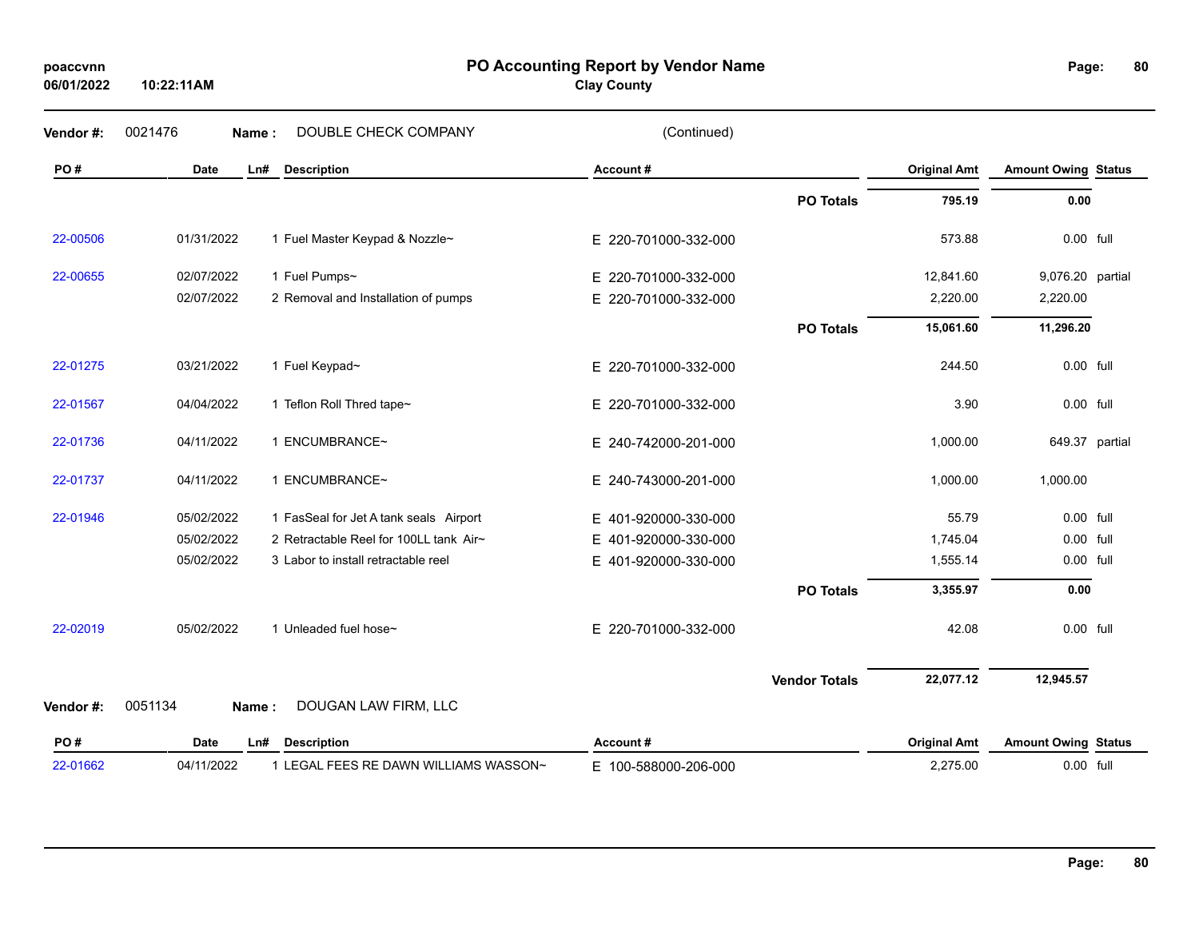# **06/01/2022**

**10:22:11AM**

#### **PO Accounting Report by Vendor Name poaccvnn Page:**

**Clay County**

| Vendor #: | 0021476<br>Name: | DOUBLE CHECK COMPANY                   | (Continued)              |                      |                     |                            |  |
|-----------|------------------|----------------------------------------|--------------------------|----------------------|---------------------|----------------------------|--|
| PO#       | <b>Date</b>      | <b>Description</b><br>Ln#              | Account#                 |                      | <b>Original Amt</b> | <b>Amount Owing Status</b> |  |
|           |                  |                                        |                          | <b>PO Totals</b>     | 795.19              | 0.00                       |  |
| 22-00506  | 01/31/2022       | 1 Fuel Master Keypad & Nozzle~         | E 220-701000-332-000     |                      | 573.88              | 0.00 full                  |  |
| 22-00655  | 02/07/2022       | 1 Fuel Pumps~                          | E 220-701000-332-000     |                      | 12,841.60           | 9,076.20 partial           |  |
|           | 02/07/2022       | 2 Removal and Installation of pumps    | E 220-701000-332-000     |                      | 2,220.00            | 2,220.00                   |  |
|           |                  |                                        |                          | <b>PO Totals</b>     | 15,061.60           | 11,296.20                  |  |
| 22-01275  | 03/21/2022       | 1 Fuel Keypad~                         | E 220-701000-332-000     |                      | 244.50              | 0.00 full                  |  |
| 22-01567  | 04/04/2022       | 1 Teflon Roll Thred tape~              | E 220-701000-332-000     |                      | 3.90                | 0.00 full                  |  |
| 22-01736  | 04/11/2022       | 1 ENCUMBRANCE~                         | E 240-742000-201-000     |                      | 1,000.00            | 649.37 partial             |  |
| 22-01737  | 04/11/2022       | 1 ENCUMBRANCE~                         | E 240-743000-201-000     |                      | 1,000.00            | 1,000.00                   |  |
| 22-01946  | 05/02/2022       | 1 FasSeal for Jet A tank seals Airport | E 401-920000-330-000     |                      | 55.79               | 0.00 full                  |  |
|           | 05/02/2022       | 2 Retractable Reel for 100LL tank Air~ | E 401-920000-330-000     |                      | 1,745.04            | 0.00 full                  |  |
|           | 05/02/2022       | 3 Labor to install retractable reel    | 401-920000-330-000<br>E. |                      | 1,555.14            | 0.00 full                  |  |
|           |                  |                                        |                          | <b>PO Totals</b>     | 3,355.97            | 0.00                       |  |
| 22-02019  | 05/02/2022       | 1 Unleaded fuel hose~                  | E 220-701000-332-000     |                      | 42.08               | 0.00 full                  |  |
|           |                  |                                        |                          | <b>Vendor Totals</b> | 22,077.12           | 12,945.57                  |  |
| Vendor #: | 0051134<br>Name: | DOUGAN LAW FIRM, LLC                   |                          |                      |                     |                            |  |
| PO#       | <b>Date</b>      | <b>Description</b><br>Ln#              | Account#                 |                      | <b>Original Amt</b> | <b>Amount Owing Status</b> |  |
| 22-01662  | 04/11/2022       | 1 LEGAL FEES RE DAWN WILLIAMS WASSON~  | E 100-588000-206-000     |                      | 2,275.00            | 0.00 full                  |  |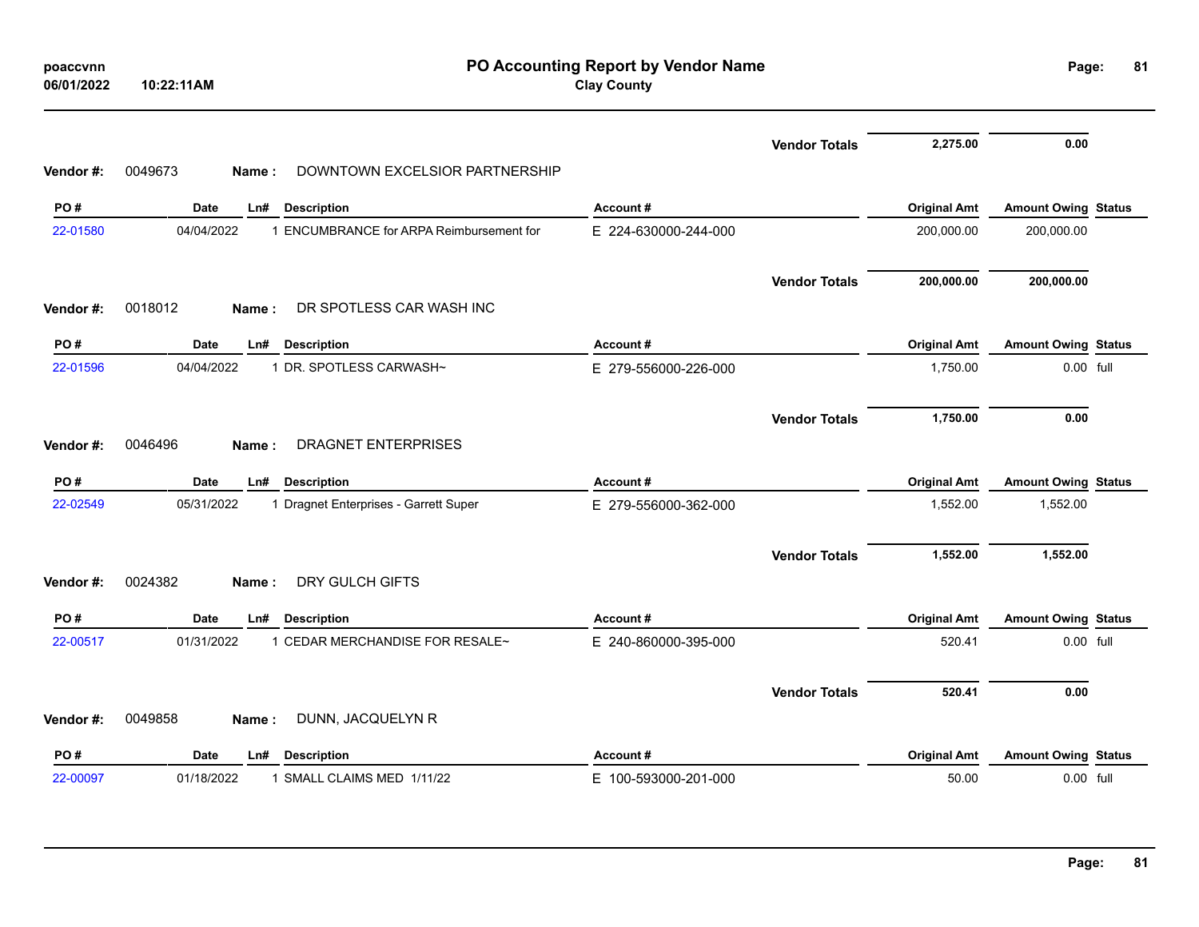| poaccvnn<br>06/01/2022 | 10:22:11AM                                             | PO Accounting Report by Vendor Name<br><b>Clay County</b> |                      |                     |                            |  |
|------------------------|--------------------------------------------------------|-----------------------------------------------------------|----------------------|---------------------|----------------------------|--|
|                        |                                                        |                                                           | <b>Vendor Totals</b> | 2,275.00            | 0.00                       |  |
| Vendor #:              | 0049673<br>DOWNTOWN EXCELSIOR PARTNERSHIP<br>Name:     |                                                           |                      |                     |                            |  |
| PO#                    | <b>Date</b><br>Ln#<br><b>Description</b>               | Account#                                                  |                      | <b>Original Amt</b> | <b>Amount Owing Status</b> |  |
| 22-01580               | 04/04/2022<br>1 ENCUMBRANCE for ARPA Reimbursement for | E 224-630000-244-000                                      |                      | 200,000.00          | 200,000.00                 |  |
|                        |                                                        |                                                           | <b>Vendor Totals</b> | 200,000.00          | 200,000.00                 |  |
| Vendor#:               | 0018012<br>DR SPOTLESS CAR WASH INC<br>Name:           |                                                           |                      |                     |                            |  |
| PO#                    | <b>Date</b><br><b>Description</b><br>Ln#               | Account#                                                  |                      | <b>Original Amt</b> | <b>Amount Owing Status</b> |  |
| 22-01596               | 04/04/2022<br>1 DR. SPOTLESS CARWASH~                  | E 279-556000-226-000                                      |                      | 1,750.00            | 0.00 full                  |  |
|                        |                                                        |                                                           | <b>Vendor Totals</b> | 1,750.00            | 0.00                       |  |
| Vendor#:               | DRAGNET ENTERPRISES<br>0046496<br>Name:                |                                                           |                      |                     |                            |  |
| PO#                    | <b>Date</b><br><b>Description</b><br>Ln#               | Account#                                                  |                      | <b>Original Amt</b> | <b>Amount Owing Status</b> |  |
| 22-02549               | 05/31/2022<br>1 Dragnet Enterprises - Garrett Super    | E 279-556000-362-000                                      |                      | 1,552.00            | 1,552.00                   |  |
|                        |                                                        |                                                           | <b>Vendor Totals</b> | 1,552.00            | 1,552.00                   |  |
| Vendor#:               | DRY GULCH GIFTS<br>0024382<br>Name:                    |                                                           |                      |                     |                            |  |
| PO#                    | <b>Date</b><br><b>Description</b><br>Ln#               | Account#                                                  |                      | <b>Original Amt</b> | <b>Amount Owing Status</b> |  |
| 22-00517               | 1 CEDAR MERCHANDISE FOR RESALE~<br>01/31/2022          | E 240-860000-395-000                                      |                      | 520.41              | 0.00 full                  |  |
|                        |                                                        |                                                           | <b>Vendor Totals</b> | 520.41              | 0.00                       |  |
| Vendor#:               | 0049858<br>DUNN, JACQUELYN R<br>Name:                  |                                                           |                      |                     |                            |  |
| PO#                    | <b>Date</b><br>Ln#<br><b>Description</b>               | Account#                                                  |                      | <b>Original Amt</b> | <b>Amount Owing Status</b> |  |
| 22-00097               | 01/18/2022<br>1 SMALL CLAIMS MED 1/11/22               | E 100-593000-201-000                                      |                      | 50.00               | 0.00 full                  |  |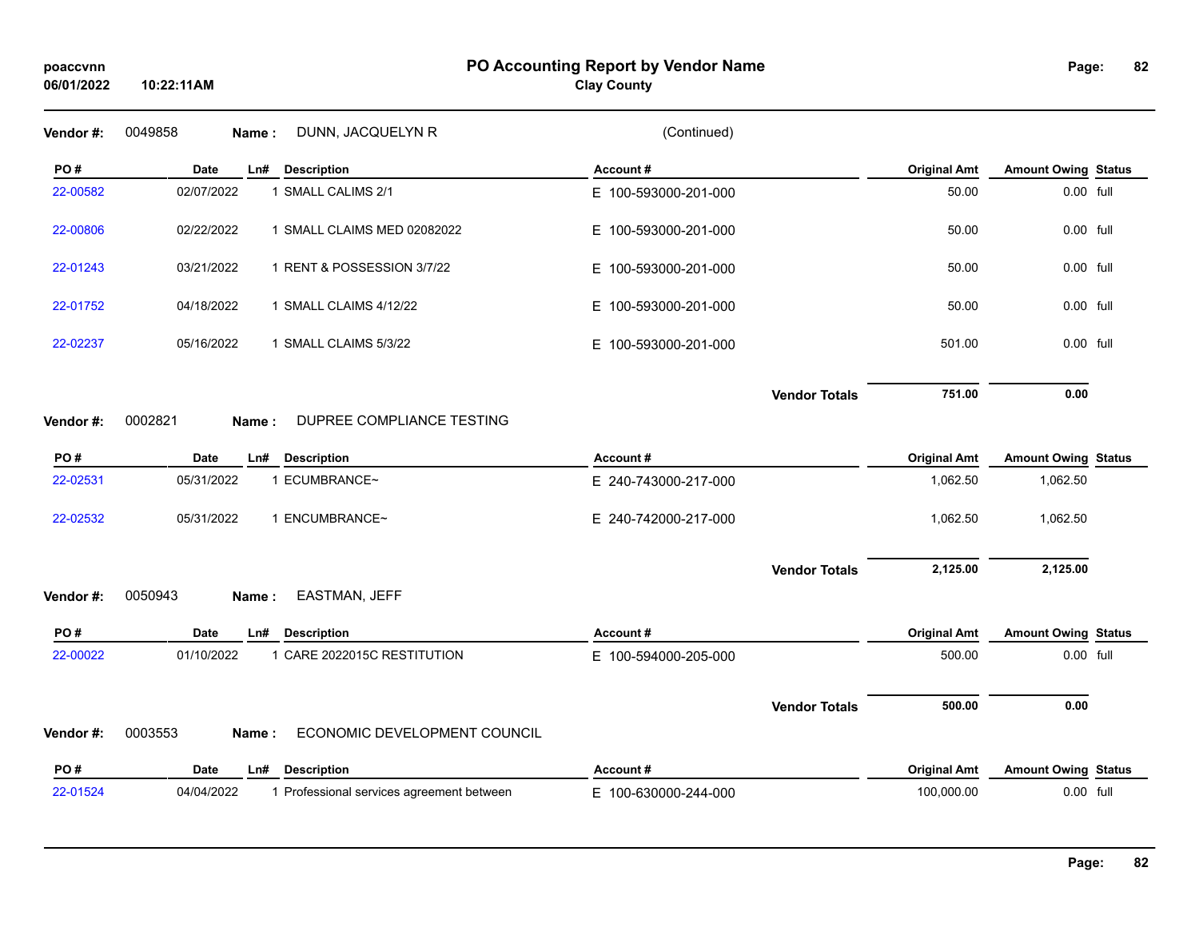## **PO Accounting Report by Vendor Name poaccvnn Page:**

# **Clay County**

| Vendor #: | 0049858     | <b>Name:</b> | DUNN, JACQUELYN R            | (Continued)          |                      |                     |                            |           |
|-----------|-------------|--------------|------------------------------|----------------------|----------------------|---------------------|----------------------------|-----------|
| PO#       | <b>Date</b> |              | Ln# Description              | Account#             |                      | <b>Original Amt</b> | <b>Amount Owing Status</b> |           |
| 22-00582  | 02/07/2022  |              | 1 SMALL CALIMS 2/1           | E 100-593000-201-000 |                      | 50.00               | 0.00 full                  |           |
| 22-00806  | 02/22/2022  |              | 1 SMALL CLAIMS MED 02082022  | E 100-593000-201-000 |                      | 50.00               | 0.00 full                  |           |
| 22-01243  | 03/21/2022  |              | 1 RENT & POSSESSION 3/7/22   | E 100-593000-201-000 |                      | 50.00               | 0.00 full                  |           |
| 22-01752  | 04/18/2022  |              | 1 SMALL CLAIMS 4/12/22       | E 100-593000-201-000 |                      | 50.00               | 0.00 full                  |           |
| 22-02237  | 05/16/2022  |              | 1 SMALL CLAIMS 5/3/22        | E 100-593000-201-000 |                      | 501.00              | 0.00 full                  |           |
|           |             |              |                              |                      | <b>Vendor Totals</b> | 751.00              | 0.00                       |           |
| Vendor#:  | 0002821     | Name:        | DUPREE COMPLIANCE TESTING    |                      |                      |                     |                            |           |
| PO#       | <b>Date</b> | Ln#          | <b>Description</b>           | Account#             |                      | <b>Original Amt</b> | <b>Amount Owing Status</b> |           |
| 22-02531  | 05/31/2022  |              | 1 ECUMBRANCE~                | E 240-743000-217-000 |                      | 1,062.50            | 1,062.50                   |           |
| 22-02532  | 05/31/2022  |              | 1 ENCUMBRANCE~               | E 240-742000-217-000 |                      | 1,062.50            | 1,062.50                   |           |
|           |             |              |                              |                      | <b>Vendor Totals</b> | 2,125.00            | 2,125.00                   |           |
| Vendor#:  | 0050943     | Name:        | EASTMAN, JEFF                |                      |                      |                     |                            |           |
| PO#       | Date        | Ln#          | <b>Description</b>           | Account#             |                      | <b>Original Amt</b> | <b>Amount Owing Status</b> |           |
| 22-00022  | 01/10/2022  |              | 1 CARE 2022015C RESTITUTION  | E 100-594000-205-000 |                      | 500.00              | 0.00 full                  |           |
|           |             |              |                              |                      | <b>Vendor Totals</b> | 500.00              | 0.00                       |           |
| Vendor#:  | 0003553     | Name:        | ECONOMIC DEVELOPMENT COUNCIL |                      |                      |                     |                            |           |
| PO#       | <b>Date</b> | Ln#          | <b>Description</b>           | Account#             |                      | <b>Original Amt</b> | <b>Amount Owing Status</b> |           |
|           |             |              |                              | E 100-630000-244-000 |                      | 100,000.00          |                            | 0.00 full |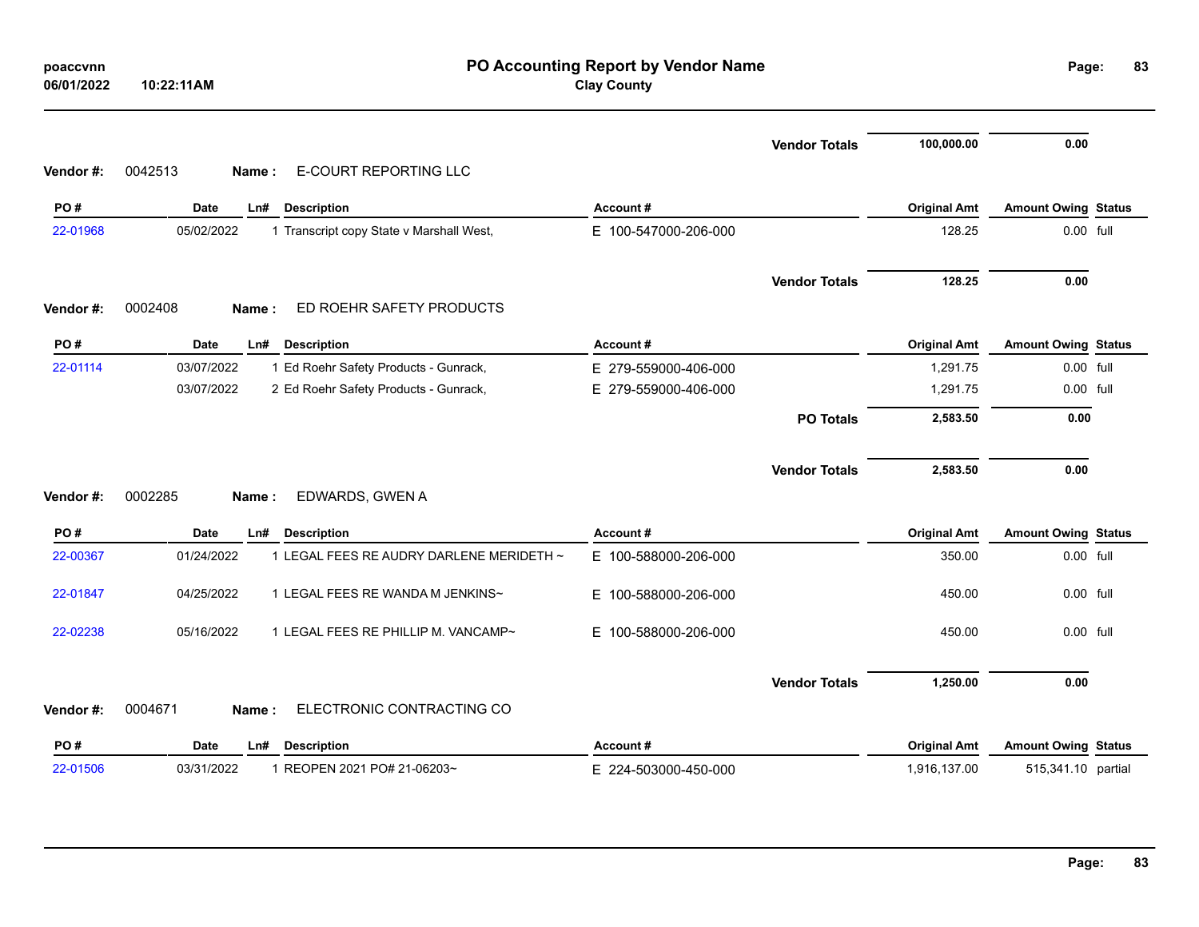| poaccvnn<br>06/01/2022 | PO Accounting Report by Vendor Name<br><b>Clay County</b><br>10:22:11AM |                      |                      |                     |                            |  |  |
|------------------------|-------------------------------------------------------------------------|----------------------|----------------------|---------------------|----------------------------|--|--|
|                        |                                                                         |                      | <b>Vendor Totals</b> | 100,000.00          | 0.00                       |  |  |
| Vendor#:               | 0042513<br>E-COURT REPORTING LLC<br>Name:                               |                      |                      |                     |                            |  |  |
| PO#                    | <b>Date</b><br>Ln#<br><b>Description</b>                                | Account#             |                      | <b>Original Amt</b> | <b>Amount Owing Status</b> |  |  |
| 22-01968               | 05/02/2022<br>1 Transcript copy State v Marshall West,                  | E 100-547000-206-000 |                      | 128.25              | 0.00 full                  |  |  |
|                        |                                                                         |                      | <b>Vendor Totals</b> | 128.25              | 0.00                       |  |  |
| Vendor#:               | 0002408<br>ED ROEHR SAFETY PRODUCTS<br>Name:                            |                      |                      |                     |                            |  |  |
| PO#                    | <b>Date</b><br>Ln#<br><b>Description</b>                                | Account#             |                      | <b>Original Amt</b> | <b>Amount Owing Status</b> |  |  |
| 22-01114               | 03/07/2022<br>1 Ed Roehr Safety Products - Gunrack,                     | E 279-559000-406-000 |                      | 1,291.75            | 0.00 full                  |  |  |
|                        | 03/07/2022<br>2 Ed Roehr Safety Products - Gunrack,                     | E 279-559000-406-000 |                      | 1,291.75            | 0.00 full                  |  |  |
|                        |                                                                         |                      | <b>PO Totals</b>     | 2,583.50            | 0.00                       |  |  |
| Vendor#:               | 0002285<br>EDWARDS, GWEN A<br>Name:                                     |                      | <b>Vendor Totals</b> | 2,583.50            | 0.00                       |  |  |
| PO#                    | <b>Date</b><br><b>Description</b><br>Ln#                                | Account#             |                      | <b>Original Amt</b> | <b>Amount Owing Status</b> |  |  |
| 22-00367               | 1 LEGAL FEES RE AUDRY DARLENE MERIDETH ~<br>01/24/2022                  | E 100-588000-206-000 |                      | 350.00              | 0.00 full                  |  |  |
| 22-01847               | 04/25/2022<br>1 LEGAL FEES RE WANDA M JENKINS~                          | E 100-588000-206-000 |                      | 450.00              | 0.00 full                  |  |  |
| 22-02238               | 05/16/2022<br>1 LEGAL FEES RE PHILLIP M. VANCAMP~                       | E 100-588000-206-000 |                      | 450.00              | 0.00 full                  |  |  |
|                        |                                                                         |                      | <b>Vendor Totals</b> | 1,250.00            | 0.00                       |  |  |
| Vendor#:               | ELECTRONIC CONTRACTING CO<br>0004671<br>Name:                           |                      |                      |                     |                            |  |  |
| PO#                    | <b>Date</b><br><b>Description</b><br>Ln#                                | Account#             |                      | <b>Original Amt</b> | <b>Amount Owing Status</b> |  |  |
|                        |                                                                         |                      |                      |                     |                            |  |  |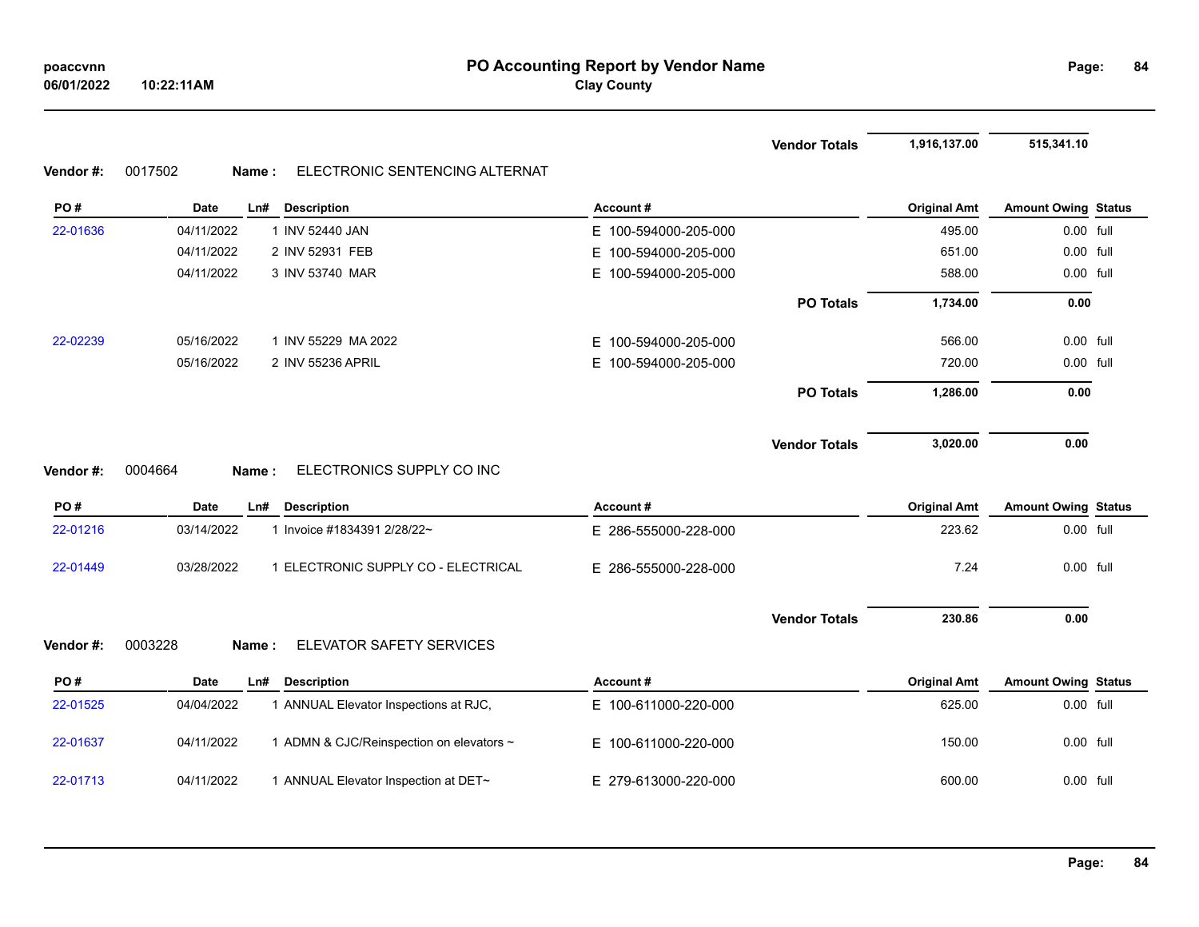**Vendor Totals 1,916,137.00 515,341.10**

### **Vendor #:** 0017502 **Name :** ELECTRONIC SENTENCING ALTERNAT

| PO#      | <b>Date</b> | <b>Description</b><br>Ln#                | Account#                 |                      | <b>Original Amt</b> | <b>Amount Owing Status</b> |  |
|----------|-------------|------------------------------------------|--------------------------|----------------------|---------------------|----------------------------|--|
| 22-01636 | 04/11/2022  | 1 INV 52440 JAN                          | E 100-594000-205-000     |                      | 495.00              | 0.00 full                  |  |
|          | 04/11/2022  | 2 INV 52931 FEB                          | E.<br>100-594000-205-000 |                      | 651.00              | 0.00 full                  |  |
|          | 04/11/2022  | 3 INV 53740 MAR                          | E.<br>100-594000-205-000 |                      | 588.00              | 0.00 full                  |  |
|          |             |                                          |                          | <b>PO Totals</b>     | 1,734.00            | 0.00                       |  |
| 22-02239 | 05/16/2022  | 1 INV 55229 MA 2022                      | E.<br>100-594000-205-000 |                      | 566.00              | 0.00 full                  |  |
|          | 05/16/2022  | 2 INV 55236 APRIL                        | 100-594000-205-000<br>E. |                      | 720.00              | 0.00 full                  |  |
|          |             |                                          |                          | <b>PO Totals</b>     | 1,286.00            | 0.00                       |  |
|          |             |                                          |                          | <b>Vendor Totals</b> | 3,020.00            | 0.00                       |  |
| Vendor#: | 0004664     | ELECTRONICS SUPPLY CO INC<br>Name:       |                          |                      |                     |                            |  |
| PO#      | <b>Date</b> | Ln#<br><b>Description</b>                | Account#                 |                      | <b>Original Amt</b> | <b>Amount Owing Status</b> |  |
| 22-01216 | 03/14/2022  | 1 Invoice #1834391 2/28/22~              | E 286-555000-228-000     |                      | 223.62              | 0.00 full                  |  |
| 22-01449 | 03/28/2022  | 1 ELECTRONIC SUPPLY CO - ELECTRICAL      | E 286-555000-228-000     |                      | 7.24                | 0.00 full                  |  |
|          |             |                                          |                          | <b>Vendor Totals</b> | 230.86              | 0.00                       |  |
| Vendor#: | 0003228     | ELEVATOR SAFETY SERVICES<br>Name:        |                          |                      |                     |                            |  |
| PO#      | <b>Date</b> | <b>Description</b><br>Ln#                | Account#                 |                      | <b>Original Amt</b> | <b>Amount Owing Status</b> |  |
| 22-01525 | 04/04/2022  | 1 ANNUAL Elevator Inspections at RJC,    | E 100-611000-220-000     |                      | 625.00              | 0.00 full                  |  |
| 22-01637 | 04/11/2022  | 1 ADMN & CJC/Reinspection on elevators ~ | E.<br>100-611000-220-000 |                      | 150.00              | 0.00 full                  |  |
| 22-01713 | 04/11/2022  | 1 ANNUAL Elevator Inspection at DET~     | E 279-613000-220-000     |                      | 600.00              | 0.00 full                  |  |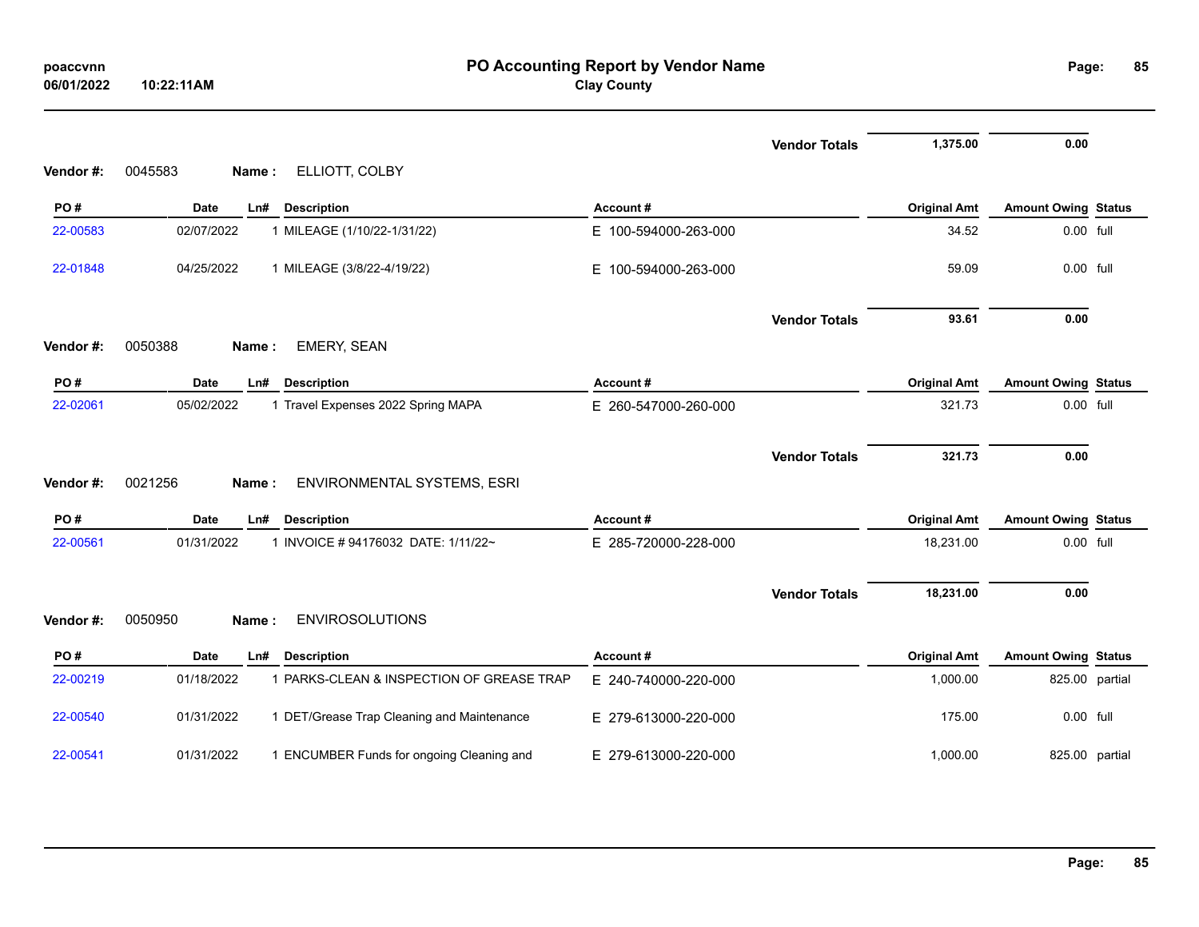| poaccvnn<br>06/01/2022 | 10:22:11AM                                               | PO Accounting Report by Vendor Name<br><b>Clay County</b> |                                   | Page:                      | 85             |
|------------------------|----------------------------------------------------------|-----------------------------------------------------------|-----------------------------------|----------------------------|----------------|
|                        |                                                          |                                                           | 1,375.00<br><b>Vendor Totals</b>  | 0.00                       |                |
| Vendor #:              | ELLIOTT, COLBY<br>0045583<br>Name:                       |                                                           |                                   |                            |                |
| PO#                    | Date<br>Ln#<br><b>Description</b>                        | Account#                                                  | <b>Original Amt</b>               | <b>Amount Owing Status</b> |                |
| 22-00583               | 02/07/2022<br>1 MILEAGE (1/10/22-1/31/22)                | E 100-594000-263-000                                      | 34.52                             | 0.00 full                  |                |
| 22-01848               | 04/25/2022<br>1 MILEAGE (3/8/22-4/19/22)                 | E 100-594000-263-000                                      | 59.09                             | 0.00 full                  |                |
|                        |                                                          |                                                           | <b>Vendor Totals</b><br>93.61     | 0.00                       |                |
| Vendor#:               | <b>EMERY, SEAN</b><br>0050388<br>Name:                   |                                                           |                                   |                            |                |
| PO#                    | <b>Date</b><br><b>Description</b><br>Ln#                 | Account#                                                  | <b>Original Amt</b>               | <b>Amount Owing Status</b> |                |
| 22-02061               | 05/02/2022<br>1 Travel Expenses 2022 Spring MAPA         | E 260-547000-260-000                                      | 321.73                            | 0.00 full                  |                |
|                        |                                                          |                                                           |                                   |                            |                |
| Vendor#:               | 0021256<br>ENVIRONMENTAL SYSTEMS, ESRI<br>Name:          |                                                           | 321.73<br><b>Vendor Totals</b>    | 0.00                       |                |
| PO#                    | <b>Date</b><br>Ln#<br><b>Description</b>                 | Account#                                                  | <b>Original Amt</b>               | <b>Amount Owing Status</b> |                |
| 22-00561               | 01/31/2022<br>1 INVOICE #94176032 DATE: 1/11/22~         | E 285-720000-228-000                                      | 18,231.00                         | 0.00 full                  |                |
|                        |                                                          |                                                           | 18,231.00<br><b>Vendor Totals</b> | 0.00                       |                |
| Vendor#:               | <b>ENVIROSOLUTIONS</b><br>0050950<br>Name:               |                                                           |                                   |                            |                |
| PO#                    | Date<br><b>Description</b><br>Ln#                        | Account#                                                  | <b>Original Amt</b>               | <b>Amount Owing Status</b> |                |
| 22-00219               | 1 PARKS-CLEAN & INSPECTION OF GREASE TRAP<br>01/18/2022  | E 240-740000-220-000                                      | 1,000.00                          |                            | 825.00 partial |
| 22-00540               | 01/31/2022<br>1 DET/Grease Trap Cleaning and Maintenance | E 279-613000-220-000                                      | 175.00                            | 0.00 full                  |                |
| 22-00541               | 01/31/2022<br>1 ENCUMBER Funds for ongoing Cleaning and  | E 279-613000-220-000                                      | 1,000.00                          |                            | 825.00 partial |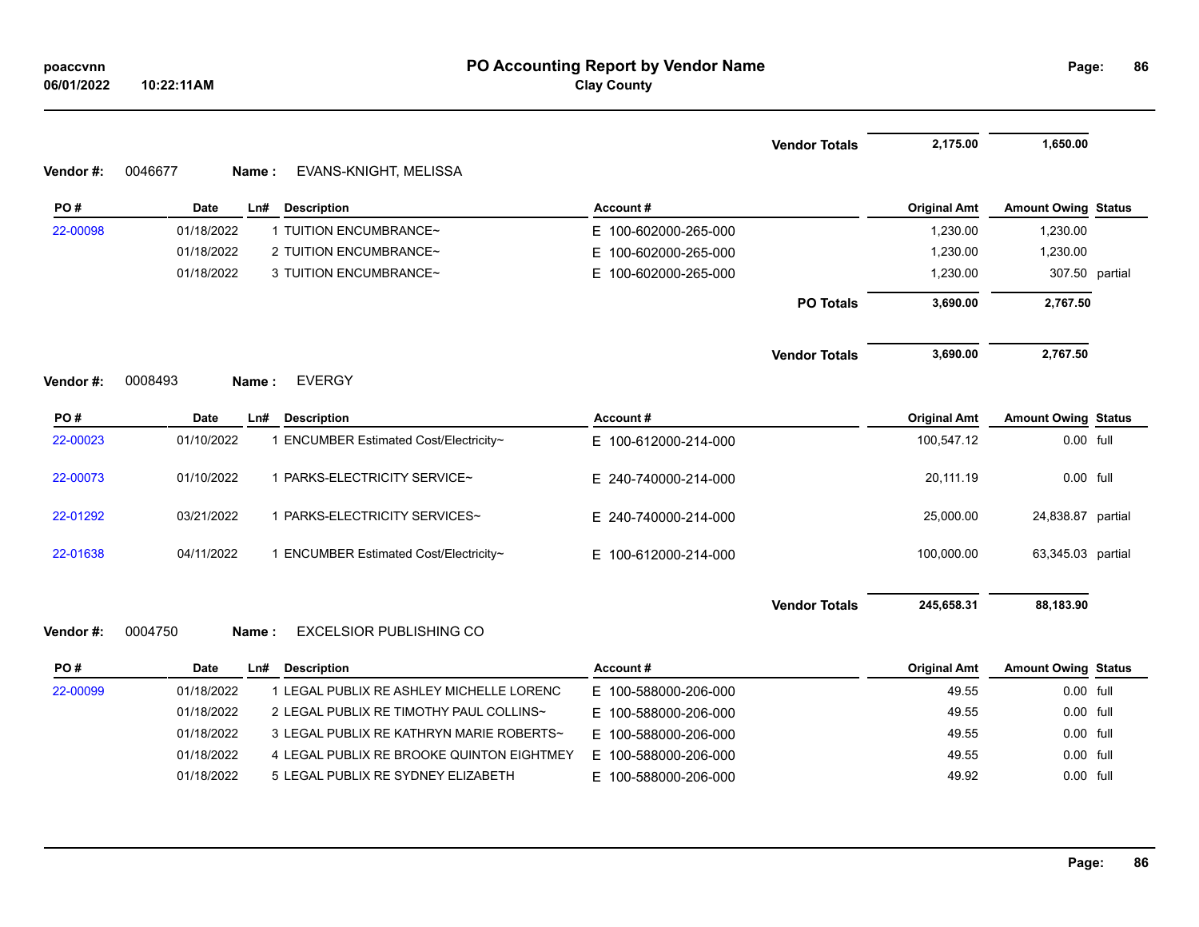| Vendor#: | 0046677<br>EVANS-KNIGHT, MELISSA<br>Name:            |                          | <b>Vendor Totals</b> | 2,175.00            | 1,650.00                   |  |
|----------|------------------------------------------------------|--------------------------|----------------------|---------------------|----------------------------|--|
| PO#      | <b>Date</b><br>Ln#<br><b>Description</b>             | Account#                 |                      | <b>Original Amt</b> | <b>Amount Owing Status</b> |  |
| 22-00098 | 1 TUITION ENCUMBRANCE~<br>01/18/2022                 | E 100-602000-265-000     |                      | 1,230.00            | 1,230.00                   |  |
|          | 01/18/2022<br>2 TUITION ENCUMBRANCE~                 | 100-602000-265-000<br>E. |                      | 1,230.00            | 1,230.00                   |  |
|          | 01/18/2022<br>3 TUITION ENCUMBRANCE~                 | E 100-602000-265-000     |                      | 1,230.00            | 307.50 partial             |  |
|          |                                                      |                          | <b>PO Totals</b>     | 3,690.00            | 2,767.50                   |  |
|          |                                                      |                          | <b>Vendor Totals</b> | 3,690.00            | 2,767.50                   |  |
| Vendor#: | 0008493<br><b>EVERGY</b><br>Name:                    |                          |                      |                     |                            |  |
| PO#      | <b>Date</b><br>Ln#<br><b>Description</b>             | Account#                 |                      | <b>Original Amt</b> | <b>Amount Owing Status</b> |  |
| 22-00023 | 1 ENCUMBER Estimated Cost/Electricity~<br>01/10/2022 | E 100-612000-214-000     |                      | 100,547.12          | 0.00 full                  |  |
| 22-00073 |                                                      |                          |                      |                     |                            |  |
|          | 01/10/2022<br>1 PARKS-ELECTRICITY SERVICE~           | E 240-740000-214-000     |                      | 20,111.19           | 0.00 full                  |  |
| 22-01292 | 03/21/2022<br>1 PARKS-ELECTRICITY SERVICES~          | E 240-740000-214-000     |                      | 25,000.00           | 24,838.87 partial          |  |
| 22-01638 | 04/11/2022<br>1 ENCUMBER Estimated Cost/Electricity~ | E 100-612000-214-000     |                      | 100,000.00          | 63,345.03 partial          |  |
|          |                                                      |                          | <b>Vendor Totals</b> | 245,658.31          | 88,183.90                  |  |
| Vendor#: | 0004750<br><b>EXCELSIOR PUBLISHING CO</b><br>Name:   |                          |                      |                     |                            |  |
| PO#      | <b>Date</b><br><b>Description</b><br>Ln#             | Account#                 |                      | <b>Original Amt</b> | <b>Amount Owing Status</b> |  |

| -uuuss | 01/18/2022 | - LEGAL PUBLIX RE ASHLEY MICHELLE LORENC  | E 100-588000-206-000 | 49.55 | <b>U.UU TUIL</b> |
|--------|------------|-------------------------------------------|----------------------|-------|------------------|
|        | 01/18/2022 | 2 LEGAL PUBLIX RE TIMOTHY PAUL COLLINS~   | E 100-588000-206-000 | 49.55 | 0.00 full        |
|        | 01/18/2022 | 3 LEGAL PUBLIX RE KATHRYN MARIE ROBERTS~  | E 100-588000-206-000 | 49.55 | $0.00$ full      |
|        | 01/18/2022 | 4 LEGAL PUBLIX RE BROOKE QUINTON EIGHTMEY | E 100-588000-206-000 | 49.55 | 0.00 full        |
|        | 01/18/2022 | 5 LEGAL PUBLIX RE SYDNEY ELIZABETH        | E 100-588000-206-000 | 49.92 | $0.00$ full      |
|        |            |                                           |                      |       |                  |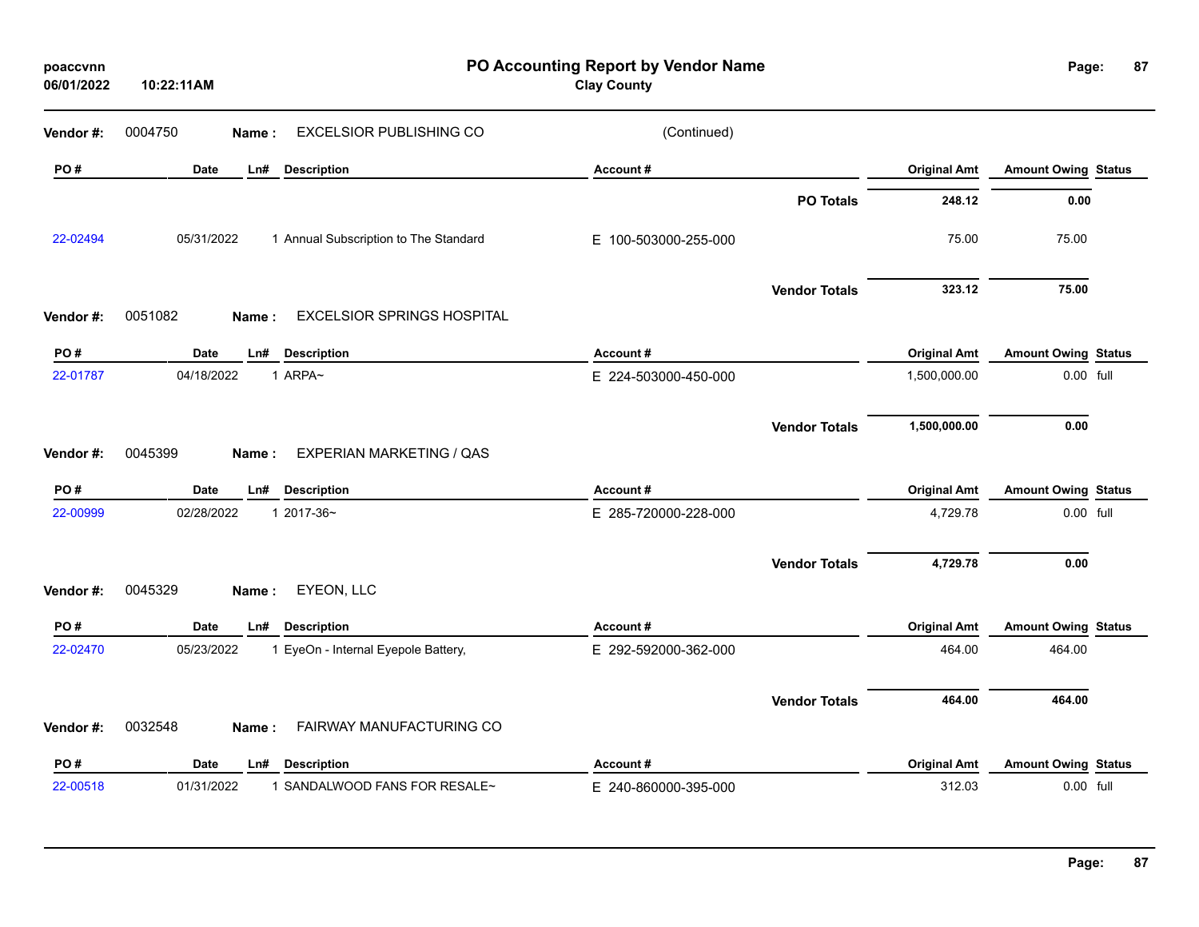| poaccvnn<br>06/01/2022 | 10:22:11AM  |                                            | PO Accounting Report by Vendor Name<br><b>Clay County</b> |                      |                     | Page:                      | 87 |
|------------------------|-------------|--------------------------------------------|-----------------------------------------------------------|----------------------|---------------------|----------------------------|----|
| Vendor #:              | 0004750     | EXCELSIOR PUBLISHING CO<br>Name:           | (Continued)                                               |                      |                     |                            |    |
| PO#                    | <b>Date</b> | <b>Description</b><br>Ln#                  | Account#                                                  |                      | <b>Original Amt</b> | <b>Amount Owing Status</b> |    |
|                        |             |                                            |                                                           | <b>PO Totals</b>     | 248.12              | 0.00                       |    |
| 22-02494               | 05/31/2022  | 1 Annual Subscription to The Standard      | E 100-503000-255-000                                      |                      | 75.00               | 75.00                      |    |
|                        |             |                                            |                                                           | <b>Vendor Totals</b> | 323.12              | 75.00                      |    |
| Vendor #:              | 0051082     | <b>EXCELSIOR SPRINGS HOSPITAL</b><br>Name: |                                                           |                      |                     |                            |    |
| PO#                    | <b>Date</b> | Ln#<br><b>Description</b>                  | Account#                                                  |                      | <b>Original Amt</b> | <b>Amount Owing Status</b> |    |
| 22-01787               | 04/18/2022  | 1 ARPA~                                    | E 224-503000-450-000                                      |                      | 1,500,000.00        | 0.00 full                  |    |
|                        |             | <b>EXPERIAN MARKETING / QAS</b>            |                                                           | <b>Vendor Totals</b> | 1,500,000.00        | 0.00                       |    |
| Vendor#:               | 0045399     | Name:                                      |                                                           |                      |                     |                            |    |
| PO#                    | <b>Date</b> | <b>Description</b><br>Ln#                  | Account#                                                  |                      | <b>Original Amt</b> | <b>Amount Owing Status</b> |    |
| 22-00999               | 02/28/2022  | 1 2017-36~                                 | E 285-720000-228-000                                      |                      | 4,729.78            | 0.00 full                  |    |
|                        |             |                                            |                                                           | <b>Vendor Totals</b> | 4,729.78            | 0.00                       |    |
| Vendor #:              | 0045329     | EYEON, LLC<br>Name:                        |                                                           |                      |                     |                            |    |
| PO#                    | Date        | <b>Description</b><br>Ln#                  | Account#                                                  |                      | <b>Original Amt</b> | <b>Amount Owing Status</b> |    |
| 22-02470               | 05/23/2022  | 1 EyeOn - Internal Eyepole Battery,        | E 292-592000-362-000                                      |                      | 464.00              | 464.00                     |    |
|                        |             |                                            |                                                           | <b>Vendor Totals</b> | 464.00              | 464.00                     |    |
| Vendor#:               | 0032548     | FAIRWAY MANUFACTURING CO<br>Name:          |                                                           |                      |                     |                            |    |
| PO#                    | <b>Date</b> | <b>Description</b><br>Ln#                  | Account#                                                  |                      | <b>Original Amt</b> | <b>Amount Owing Status</b> |    |
| 22-00518               | 01/31/2022  | 1 SANDALWOOD FANS FOR RESALE~              | E 240-860000-395-000                                      |                      | 312.03              | 0.00 full                  |    |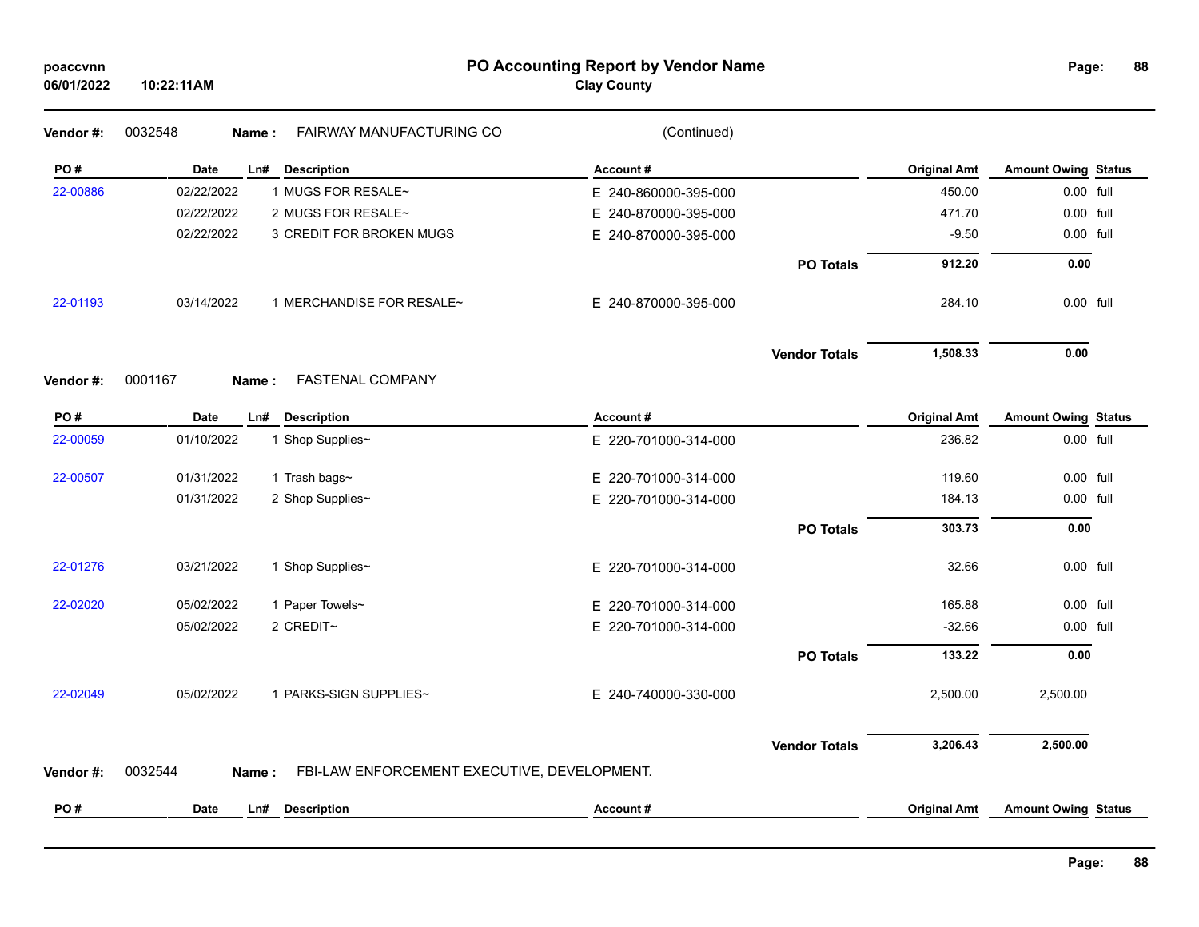#### **PO Accounting Report by Vendor Name poaccvnn Page:**

# **Clay County**

| Vendor#: | 0032548<br>Name:   | FAIRWAY MANUFACTURING CO                    | (Continued)          |                      |                     |                            |  |
|----------|--------------------|---------------------------------------------|----------------------|----------------------|---------------------|----------------------------|--|
| PO#      | Date<br>Ln#        | <b>Description</b>                          | Account#             |                      | <b>Original Amt</b> | <b>Amount Owing Status</b> |  |
| 22-00886 | 02/22/2022         | 1 MUGS FOR RESALE~                          | E 240-860000-395-000 |                      | 450.00              | 0.00 full                  |  |
|          | 02/22/2022         | 2 MUGS FOR RESALE~                          | E 240-870000-395-000 |                      | 471.70              | 0.00 full                  |  |
|          | 02/22/2022         | 3 CREDIT FOR BROKEN MUGS                    | E 240-870000-395-000 |                      | $-9.50$             | 0.00 full                  |  |
|          |                    |                                             |                      | <b>PO Totals</b>     | 912.20              | 0.00                       |  |
| 22-01193 | 03/14/2022         | 1 MERCHANDISE FOR RESALE~                   | E 240-870000-395-000 |                      | 284.10              | 0.00 full                  |  |
|          |                    |                                             |                      | <b>Vendor Totals</b> | 1,508.33            | 0.00                       |  |
| Vendor#: | 0001167<br>Name:   | <b>FASTENAL COMPANY</b>                     |                      |                      |                     |                            |  |
| PO#      | Date<br>Ln#        | <b>Description</b>                          | Account#             |                      | <b>Original Amt</b> | <b>Amount Owing Status</b> |  |
| 22-00059 | 01/10/2022         | 1 Shop Supplies~                            | E 220-701000-314-000 |                      | 236.82              | 0.00 full                  |  |
| 22-00507 | 01/31/2022         | 1 Trash bags~                               | E 220-701000-314-000 |                      | 119.60              | 0.00 full                  |  |
|          | 01/31/2022         | 2 Shop Supplies~                            | E 220-701000-314-000 |                      | 184.13              | 0.00 full                  |  |
|          |                    |                                             |                      | <b>PO Totals</b>     | 303.73              | 0.00                       |  |
| 22-01276 | 03/21/2022         | 1 Shop Supplies~                            | E 220-701000-314-000 |                      | 32.66               | 0.00 full                  |  |
| 22-02020 | 05/02/2022         | 1 Paper Towels~                             | E 220-701000-314-000 |                      | 165.88              | 0.00 full                  |  |
|          | 05/02/2022         | 2 CREDIT~                                   | E 220-701000-314-000 |                      | $-32.66$            | 0.00 full                  |  |
|          |                    |                                             |                      | <b>PO Totals</b>     | 133.22              | 0.00                       |  |
| 22-02049 | 05/02/2022         | 1 PARKS-SIGN SUPPLIES~                      | E 240-740000-330-000 |                      | 2,500.00            | 2,500.00                   |  |
|          |                    |                                             |                      | <b>Vendor Totals</b> | 3,206.43            | 2,500.00                   |  |
| Vendor#: | 0032544<br>Name:   | FBI-LAW ENFORCEMENT EXECUTIVE, DEVELOPMENT. |                      |                      |                     |                            |  |
| PO#      | <b>Date</b><br>Ln# | <b>Description</b>                          | Account#             |                      | <b>Original Amt</b> | <b>Amount Owing Status</b> |  |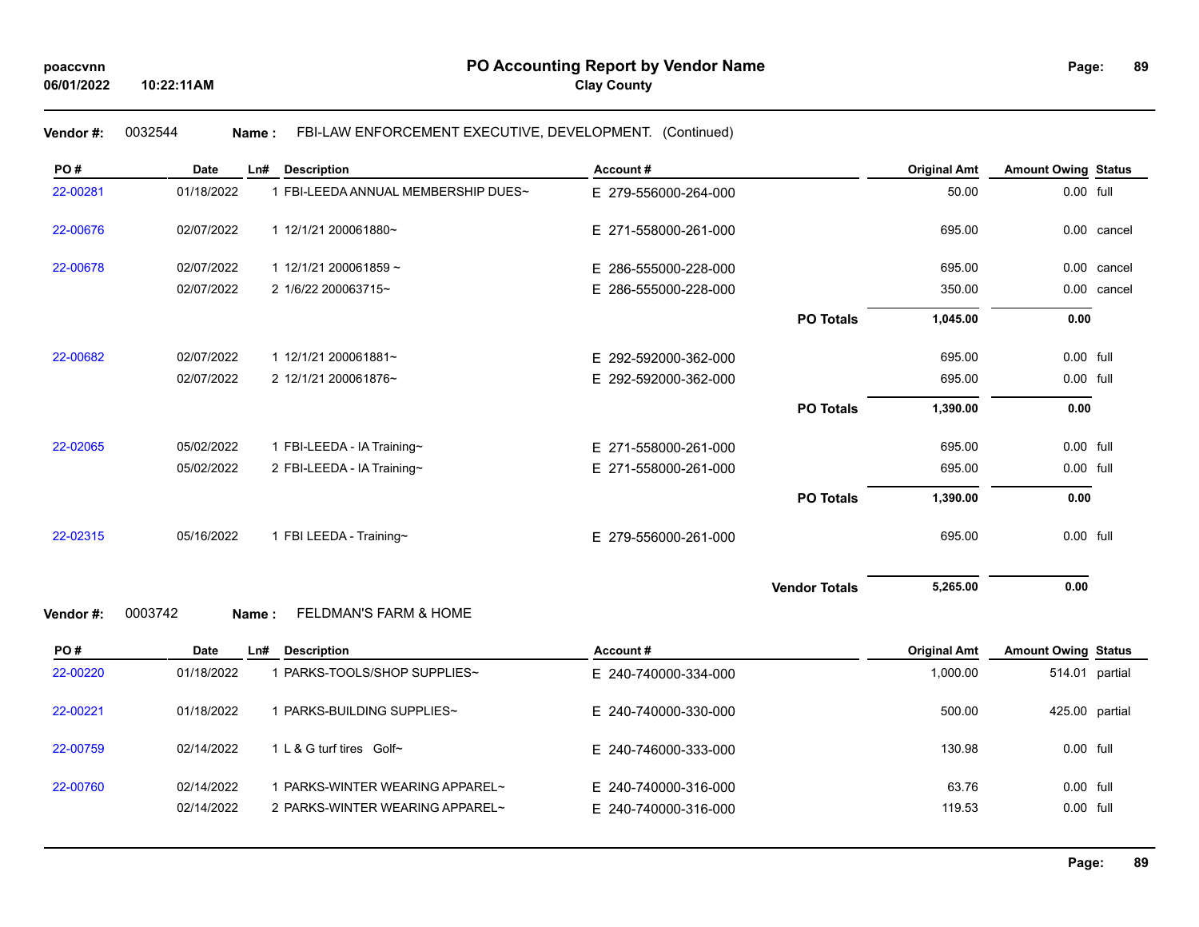#### **89**

# **Vendor #:** 0032544 **Name :** FBI-LAW ENFORCEMENT EXECUTIVE, DEVELOPMENT. (Continued)

| PO#       | <b>Date</b> | Ln#   | <b>Description</b>                  | Account#             |                      | <b>Original Amt</b> | <b>Amount Owing Status</b> |                |
|-----------|-------------|-------|-------------------------------------|----------------------|----------------------|---------------------|----------------------------|----------------|
| 22-00281  | 01/18/2022  |       | 1 FBI-LEEDA ANNUAL MEMBERSHIP DUES~ | E 279-556000-264-000 |                      | 50.00               | 0.00 full                  |                |
| 22-00676  | 02/07/2022  |       | 1 12/1/21 200061880~                | E 271-558000-261-000 |                      | 695.00              |                            | 0.00 cancel    |
| 22-00678  | 02/07/2022  |       | 1 12/1/21 200061859 ~               | E 286-555000-228-000 |                      | 695.00              |                            | 0.00 cancel    |
|           | 02/07/2022  |       | 2 1/6/22 200063715~                 | E 286-555000-228-000 |                      | 350.00              |                            | 0.00 cancel    |
|           |             |       |                                     |                      | <b>PO Totals</b>     | 1,045.00            | 0.00                       |                |
| 22-00682  | 02/07/2022  |       | 1 12/1/21 200061881~                | E 292-592000-362-000 |                      | 695.00              | 0.00 full                  |                |
|           | 02/07/2022  |       | 2 12/1/21 200061876~                | E 292-592000-362-000 |                      | 695.00              | 0.00 full                  |                |
|           |             |       |                                     |                      | <b>PO Totals</b>     | 1,390.00            | 0.00                       |                |
| 22-02065  | 05/02/2022  |       | 1 FBI-LEEDA - IA Training~          | E 271-558000-261-000 |                      | 695.00              | 0.00 full                  |                |
|           | 05/02/2022  |       | 2 FBI-LEEDA - IA Training~          | E 271-558000-261-000 |                      | 695.00              | 0.00 full                  |                |
|           |             |       |                                     |                      | <b>PO Totals</b>     | 1,390.00            | 0.00                       |                |
| 22-02315  | 05/16/2022  |       | 1 FBI LEEDA - Training~             | E 279-556000-261-000 |                      | 695.00              | 0.00 full                  |                |
|           |             |       |                                     |                      | <b>Vendor Totals</b> | 5,265.00            | 0.00                       |                |
| Vendor #: | 0003742     | Name: | <b>FELDMAN'S FARM &amp; HOME</b>    |                      |                      |                     |                            |                |
| PO#       | Date        | Ln#   | <b>Description</b>                  | Account#             |                      | <b>Original Amt</b> | <b>Amount Owing Status</b> |                |
| 22-00220  | 01/18/2022  |       | 1 PARKS-TOOLS/SHOP SUPPLIES~        | E 240-740000-334-000 |                      | 1,000.00            |                            | 514.01 partial |

| ZZ-UUZZU | U II IOIZUZZ             | <b>FARNS-TUULS/SHUF SUFFLIES~</b>                                | L Z40-740000-004-000                         | טט.טטט, ו       |                          | ີບ⊺4.∪⊺ µa⊓ua⊪ |
|----------|--------------------------|------------------------------------------------------------------|----------------------------------------------|-----------------|--------------------------|----------------|
| 22-00221 | 01/18/2022               | PARKS-BUILDING SUPPLIES~                                         | E 240-740000-330-000                         | 500.00          |                          | 425.00 partial |
| 22-00759 | 02/14/2022               | 1 L & G turf tires Golf~                                         | E 240-746000-333-000                         | 130.98          | $0.00$ full              |                |
| 22-00760 | 02/14/2022<br>02/14/2022 | PARKS-WINTER WEARING APPAREL~<br>2 PARKS-WINTER WEARING APPAREL~ | E 240-740000-316-000<br>E 240-740000-316-000 | 63.76<br>119.53 | $0.00$ full<br>0.00 full |                |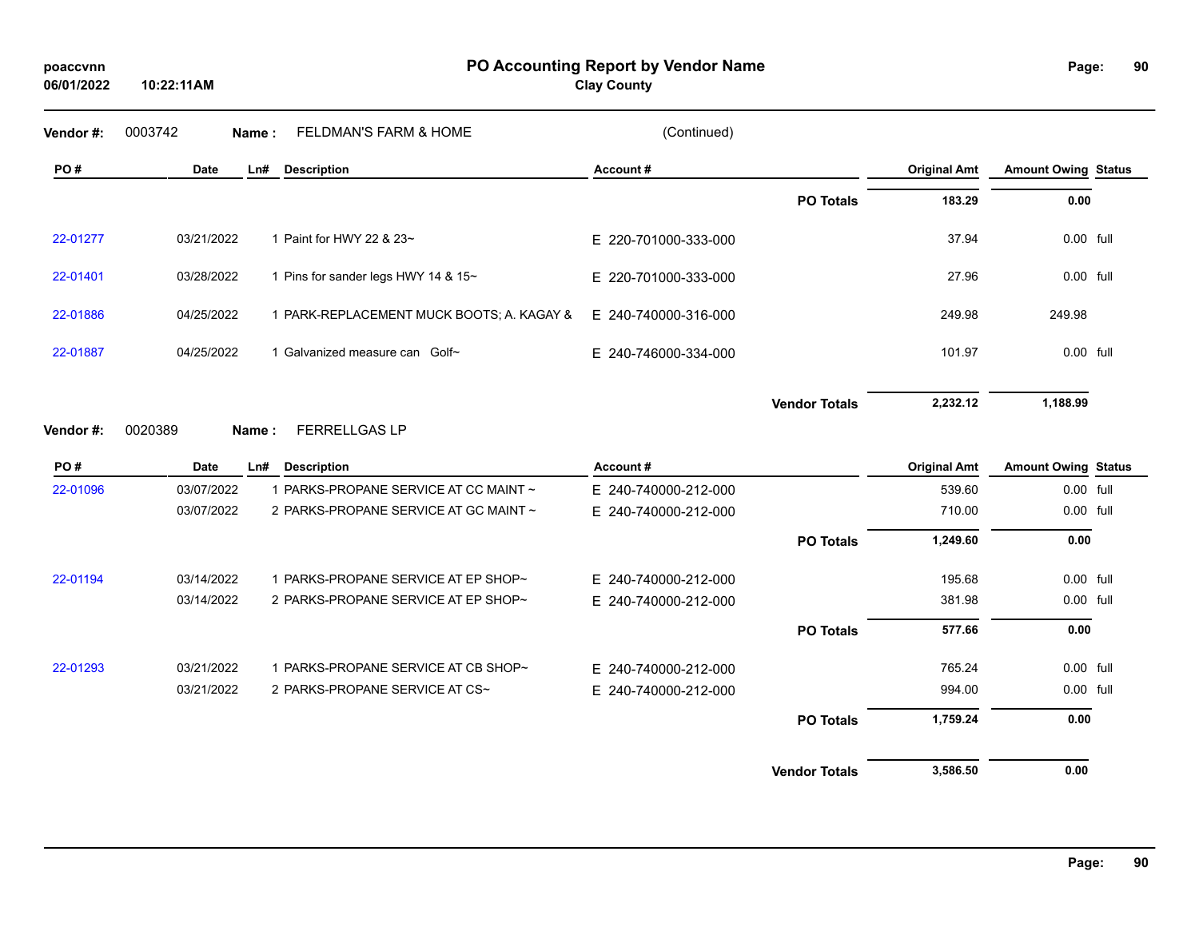**10:22:11AM**

**PO Accounting Report by Vendor Name poaccvnn Page:**

**Clay County**

| Vendor #: | 0003742<br>Name: | FELDMAN'S FARM & HOME                     | (Continued)          |                      |                     |                            |  |
|-----------|------------------|-------------------------------------------|----------------------|----------------------|---------------------|----------------------------|--|
| PO#       | Date             | <b>Description</b><br>Ln#                 | Account#             |                      | <b>Original Amt</b> | <b>Amount Owing Status</b> |  |
|           |                  |                                           |                      | <b>PO Totals</b>     | 183.29              | 0.00                       |  |
| 22-01277  | 03/21/2022       | 1 Paint for HWY 22 & 23~                  | E 220-701000-333-000 |                      | 37.94               | 0.00 full                  |  |
| 22-01401  | 03/28/2022       | 1 Pins for sander legs HWY 14 & 15~       | E 220-701000-333-000 |                      | 27.96               | 0.00 full                  |  |
| 22-01886  | 04/25/2022       | 1 PARK-REPLACEMENT MUCK BOOTS; A. KAGAY & | E 240-740000-316-000 |                      | 249.98              | 249.98                     |  |
| 22-01887  | 04/25/2022       | 1 Galvanized measure can Golf~            | E 240-746000-334-000 |                      | 101.97              | 0.00 full                  |  |
|           |                  |                                           |                      | <b>Vendor Totals</b> | 2,232.12            | 1,188.99                   |  |
| Vendor#:  | 0020389<br>Name: | <b>FERRELLGAS LP</b>                      |                      |                      |                     |                            |  |
|           |                  |                                           |                      |                      |                     |                            |  |
| PO#       | Date             | <b>Description</b><br>Ln#                 | Account#             |                      | <b>Original Amt</b> | <b>Amount Owing Status</b> |  |
| 22-01096  | 03/07/2022       | 1 PARKS-PROPANE SERVICE AT CC MAINT ~     | E 240-740000-212-000 |                      | 539.60              | 0.00 full                  |  |
|           | 03/07/2022       | 2 PARKS-PROPANE SERVICE AT GC MAINT ~     | E 240-740000-212-000 |                      | 710.00              | 0.00 full                  |  |
|           |                  |                                           |                      | <b>PO Totals</b>     | 1,249.60            | 0.00                       |  |
| 22-01194  | 03/14/2022       | 1 PARKS-PROPANE SERVICE AT EP SHOP~       | E 240-740000-212-000 |                      | 195.68              | 0.00 full                  |  |
|           | 03/14/2022       | 2 PARKS-PROPANE SERVICE AT EP SHOP~       | E 240-740000-212-000 |                      | 381.98              | 0.00 full                  |  |
|           |                  |                                           |                      | <b>PO Totals</b>     | 577.66              | 0.00                       |  |
| 22-01293  | 03/21/2022       | 1 PARKS-PROPANE SERVICE AT CB SHOP~       | E 240-740000-212-000 |                      | 765.24              | $0.00$ full                |  |
|           | 03/21/2022       | 2 PARKS-PROPANE SERVICE AT CS~            | E 240-740000-212-000 |                      | 994.00              | 0.00 full                  |  |
|           |                  |                                           |                      | <b>PO Totals</b>     | 1,759.24            | 0.00                       |  |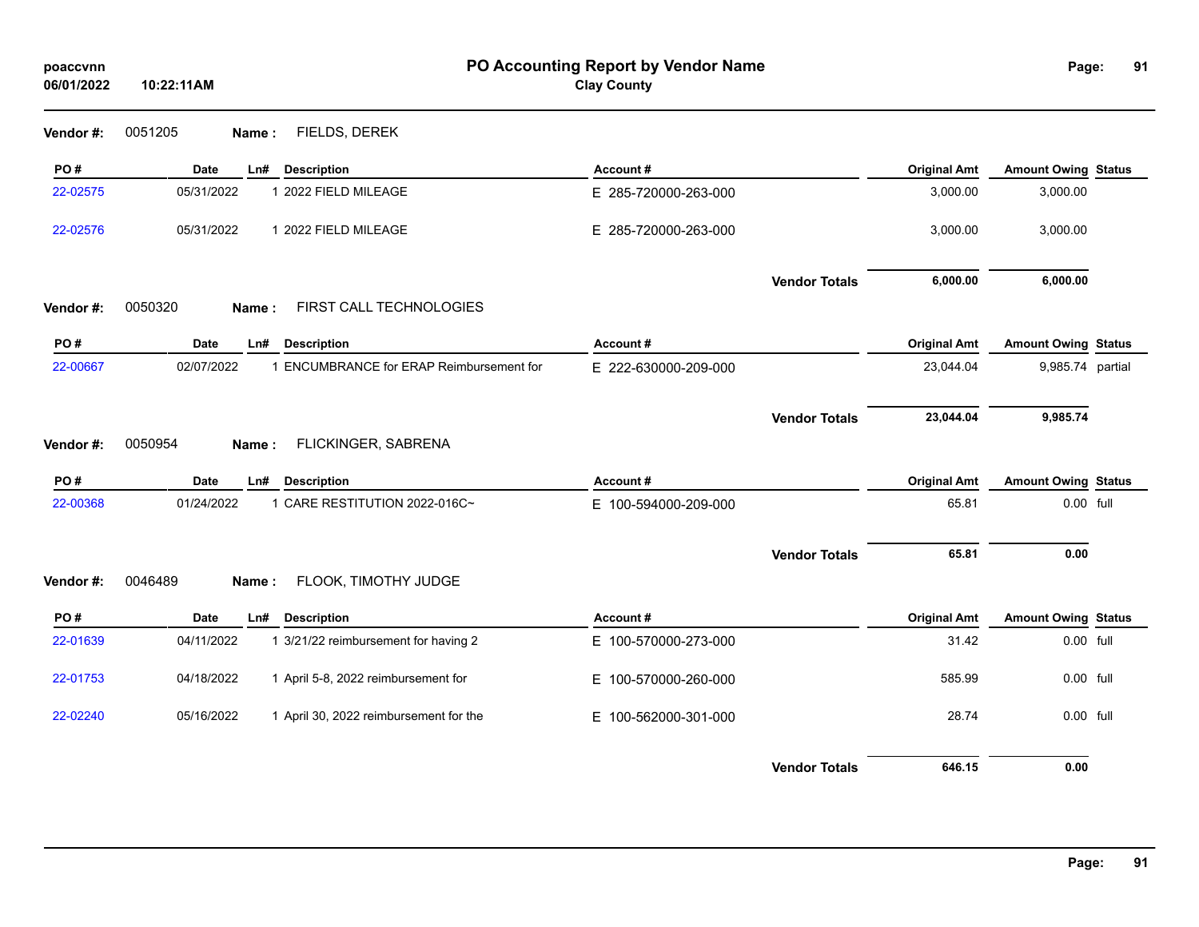| poaccvnn<br>06/01/2022 | 10:22:11AM                                             | PO Accounting Report by Vendor Name<br><b>Clay County</b> |                     | Page:                      | 91 |
|------------------------|--------------------------------------------------------|-----------------------------------------------------------|---------------------|----------------------------|----|
| Vendor #:              | FIELDS, DEREK<br>0051205<br>Name:                      |                                                           |                     |                            |    |
| PO#                    | <b>Date</b><br><b>Description</b><br>Ln#               | Account#                                                  | <b>Original Amt</b> | <b>Amount Owing Status</b> |    |
| 22-02575               | 05/31/2022<br>1 2022 FIELD MILEAGE                     | E 285-720000-263-000                                      | 3,000.00            | 3,000.00                   |    |
| 22-02576               | 05/31/2022<br>1 2022 FIELD MILEAGE                     | E 285-720000-263-000                                      | 3,000.00            | 3,000.00                   |    |
|                        |                                                        | <b>Vendor Totals</b>                                      | 6,000.00            | 6,000.00                   |    |
| Vendor#:               | 0050320<br>FIRST CALL TECHNOLOGIES<br>Name:            |                                                           |                     |                            |    |
| PO#                    | Date<br><b>Description</b><br>Ln#                      | Account#                                                  | <b>Original Amt</b> | <b>Amount Owing Status</b> |    |
| 22-00667               | 02/07/2022<br>1 ENCUMBRANCE for ERAP Reimbursement for | E 222-630000-209-000                                      | 23,044.04           | 9,985.74 partial           |    |
| Vendor#:               | 0050954<br>FLICKINGER, SABRENA<br>Name:                | <b>Vendor Totals</b>                                      | 23,044.04           | 9,985.74                   |    |
| PO#                    | Date<br><b>Description</b><br>Ln#                      | Account#                                                  | <b>Original Amt</b> | <b>Amount Owing Status</b> |    |
| 22-00368               | 1 CARE RESTITUTION 2022-016C~<br>01/24/2022            | E 100-594000-209-000                                      | 65.81               | 0.00 full                  |    |
|                        | FLOOK, TIMOTHY JUDGE<br>0046489                        | <b>Vendor Totals</b>                                      | 65.81               | 0.00                       |    |
| Vendor#:               | Name:                                                  |                                                           |                     |                            |    |
| PO#                    | <b>Description</b><br>Date<br>LnH                      | Account#                                                  | <b>Original Amt</b> | <b>Amount Owing Status</b> |    |
| 22-01639               | 04/11/2022<br>1 3/21/22 reimbursement for having 2     | E 100-570000-273-000                                      | 31.42               | 0.00 full                  |    |
| 22-01753               | 04/18/2022<br>1 April 5-8, 2022 reimbursement for      | E 100-570000-260-000                                      | 585.99              | 0.00 full                  |    |
| 22-02240               | 05/16/2022<br>1 April 30, 2022 reimbursement for the   | E 100-562000-301-000                                      | 28.74               | $0.00$ full                |    |
|                        |                                                        | <b>Vendor Totals</b>                                      | 646.15              | 0.00                       |    |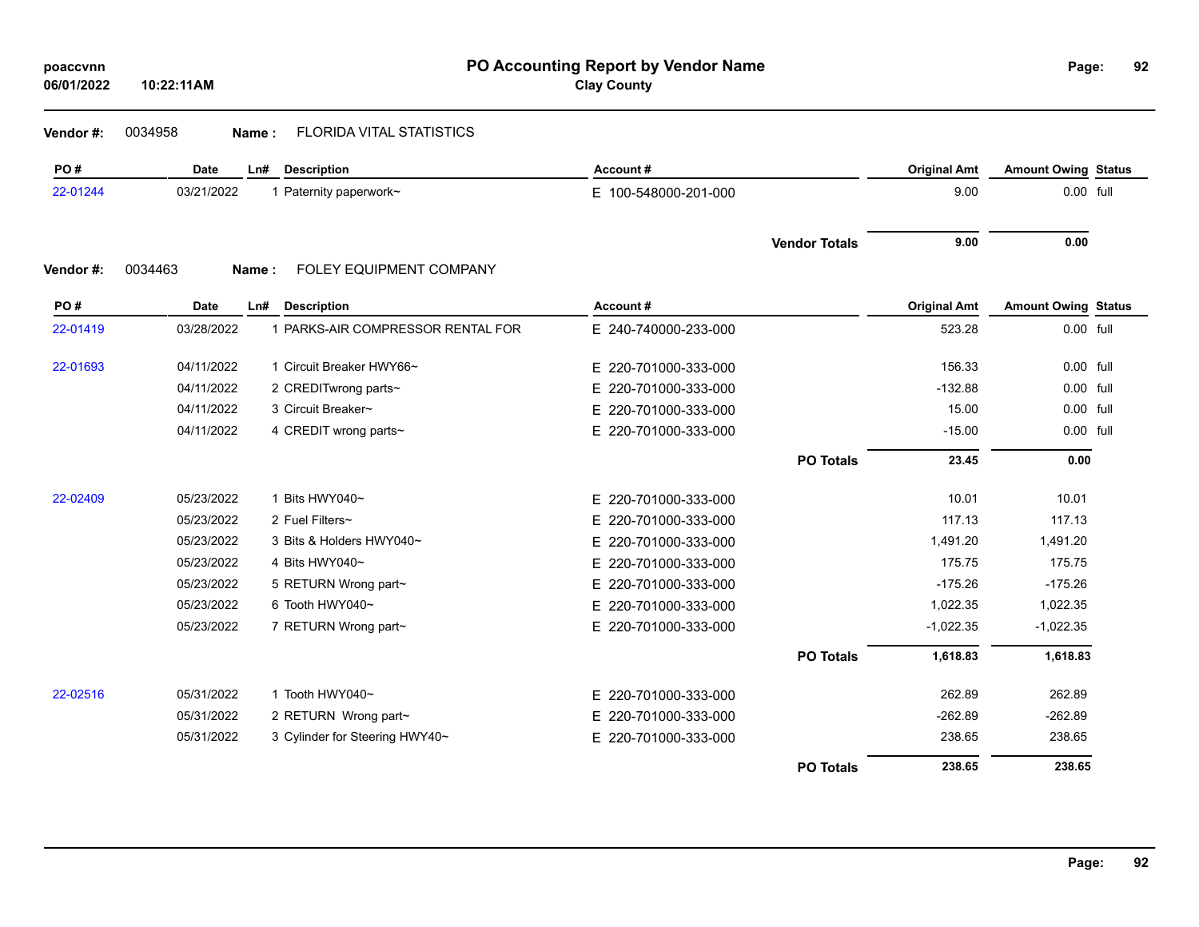### **Vendor #:** 0034958 **Name :** FLORIDA VITAL STATISTICS

| PO#      | Date        | Ln#   | <b>Description</b>                | Account#                 |                      | <b>Original Amt</b> | <b>Amount Owing Status</b> |  |
|----------|-------------|-------|-----------------------------------|--------------------------|----------------------|---------------------|----------------------------|--|
| 22-01244 | 03/21/2022  |       | 1 Paternity paperwork~            | E 100-548000-201-000     |                      | 9.00                | 0.00 full                  |  |
|          |             |       |                                   |                          | <b>Vendor Totals</b> | 9.00                | 0.00                       |  |
| Vendor#: | 0034463     | Name: | FOLEY EQUIPMENT COMPANY           |                          |                      |                     |                            |  |
| PO#      | <b>Date</b> | Ln#   | <b>Description</b>                | Account#                 |                      | <b>Original Amt</b> | <b>Amount Owing Status</b> |  |
| 22-01419 | 03/28/2022  |       | 1 PARKS-AIR COMPRESSOR RENTAL FOR | E 240-740000-233-000     |                      | 523.28              | 0.00 full                  |  |
| 22-01693 | 04/11/2022  |       | 1 Circuit Breaker HWY66~          | E 220-701000-333-000     |                      | 156.33              | 0.00 full                  |  |
|          | 04/11/2022  |       | 2 CREDITwrong parts~              | 220-701000-333-000<br>E. |                      | $-132.88$           | 0.00 full                  |  |
|          | 04/11/2022  |       | 3 Circuit Breaker~                | 220-701000-333-000<br>E. |                      | 15.00               | 0.00 full                  |  |
|          | 04/11/2022  |       | 4 CREDIT wrong parts~             | E 220-701000-333-000     |                      | $-15.00$            | 0.00 full                  |  |
|          |             |       |                                   |                          | <b>PO Totals</b>     | 23.45               | 0.00                       |  |
| 22-02409 | 05/23/2022  |       | 1 Bits HWY040~                    | E 220-701000-333-000     |                      | 10.01               | 10.01                      |  |
|          | 05/23/2022  |       | 2 Fuel Filters~                   | 220-701000-333-000<br>E. |                      | 117.13              | 117.13                     |  |
|          | 05/23/2022  |       | 3 Bits & Holders HWY040~          | E 220-701000-333-000     |                      | 1,491.20            | 1,491.20                   |  |
|          | 05/23/2022  |       | 4 Bits HWY040~                    | E 220-701000-333-000     |                      | 175.75              | 175.75                     |  |
|          | 05/23/2022  |       | 5 RETURN Wrong part~              | E.<br>220-701000-333-000 |                      | $-175.26$           | $-175.26$                  |  |
|          | 05/23/2022  |       | 6 Tooth HWY040~                   | 220-701000-333-000<br>E. |                      | 1,022.35            | 1,022.35                   |  |
|          | 05/23/2022  |       | 7 RETURN Wrong part~              | E 220-701000-333-000     |                      | $-1,022.35$         | $-1,022.35$                |  |
|          |             |       |                                   |                          | <b>PO Totals</b>     | 1,618.83            | 1,618.83                   |  |
| 22-02516 | 05/31/2022  |       | 1 Tooth HWY040~                   | E 220-701000-333-000     |                      | 262.89              | 262.89                     |  |
|          | 05/31/2022  |       | 2 RETURN Wrong part~              | 220-701000-333-000<br>Е. |                      | $-262.89$           | $-262.89$                  |  |
|          | 05/31/2022  |       | 3 Cylinder for Steering HWY40~    | E 220-701000-333-000     |                      | 238.65              | 238.65                     |  |
|          |             |       |                                   |                          | <b>PO Totals</b>     | 238.65              | 238.65                     |  |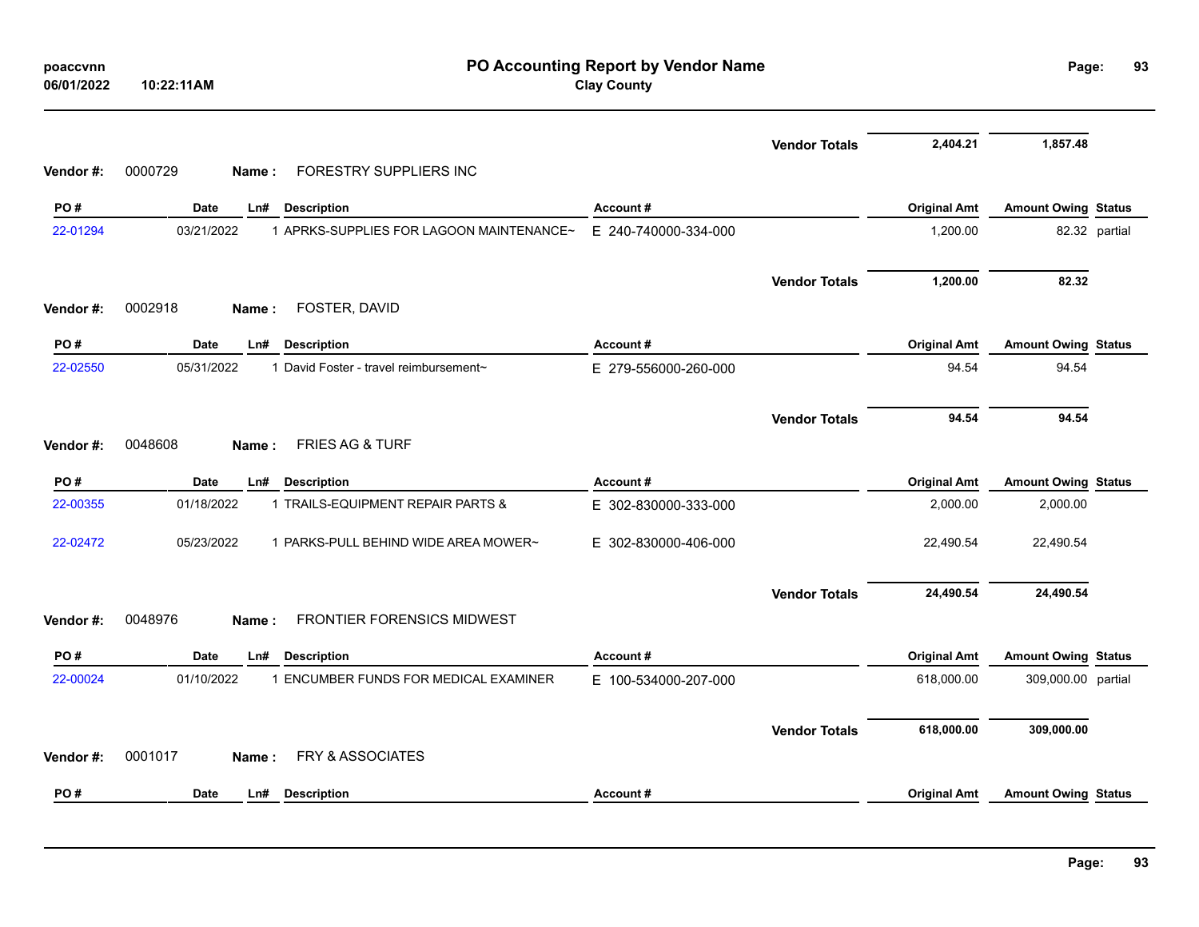| poaccvnn<br>06/01/2022 | 10:22:11AM                                             | PO Accounting Report by Vendor Name<br><b>Clay County</b> |                      |                     | Page:                      | 93            |
|------------------------|--------------------------------------------------------|-----------------------------------------------------------|----------------------|---------------------|----------------------------|---------------|
|                        |                                                        |                                                           | <b>Vendor Totals</b> | 2,404.21            | 1,857.48                   |               |
| Vendor #:              | FORESTRY SUPPLIERS INC<br>0000729<br>Name:             |                                                           |                      |                     |                            |               |
| PO#                    | <b>Date</b><br>Ln#<br><b>Description</b>               | Account#                                                  |                      | <b>Original Amt</b> | <b>Amount Owing Status</b> |               |
| 22-01294               | 1 APRKS-SUPPLIES FOR LAGOON MAINTENANCE~<br>03/21/2022 | E 240-740000-334-000                                      |                      | 1,200.00            |                            | 82.32 partial |
|                        |                                                        |                                                           | <b>Vendor Totals</b> | 1,200.00            | 82.32                      |               |
| Vendor#:               | 0002918<br>FOSTER, DAVID<br>Name:                      |                                                           |                      |                     |                            |               |
| PO#                    | Date<br>L <sub>n#</sub><br><b>Description</b>          | Account#                                                  |                      | <b>Original Amt</b> | <b>Amount Owing Status</b> |               |
| 22-02550               | 05/31/2022<br>1 David Foster - travel reimbursement~   | E 279-556000-260-000                                      |                      | 94.54               | 94.54                      |               |
|                        |                                                        |                                                           | <b>Vendor Totals</b> | 94.54               | 94.54                      |               |
| Vendor #:              | FRIES AG & TURF<br>0048608<br>Name:                    |                                                           |                      |                     |                            |               |
| PO#                    | Date<br>Ln#<br><b>Description</b>                      | Account#                                                  |                      | <b>Original Amt</b> | <b>Amount Owing Status</b> |               |
| 22-00355               | 01/18/2022<br>1 TRAILS-EQUIPMENT REPAIR PARTS &        | E 302-830000-333-000                                      |                      | 2,000.00            | 2,000.00                   |               |
| 22-02472               | 05/23/2022<br>1 PARKS-PULL BEHIND WIDE AREA MOWER~     | E 302-830000-406-000                                      |                      | 22,490.54           | 22,490.54                  |               |
|                        |                                                        |                                                           | <b>Vendor Totals</b> | 24,490.54           | 24,490.54                  |               |
| Vendor#:               | 0048976<br>FRONTIER FORENSICS MIDWEST<br>Name:         |                                                           |                      |                     |                            |               |
| PO#                    | Date<br>Ln#<br><b>Description</b>                      | Account#                                                  |                      | <b>Original Amt</b> | <b>Amount Owing Status</b> |               |
| 22-00024               | 01/10/2022<br>1 ENCUMBER FUNDS FOR MEDICAL EXAMINER    | E 100-534000-207-000                                      |                      | 618,000.00          | 309,000.00 partial         |               |
| Vendor#:               | FRY & ASSOCIATES<br>0001017<br>Name:                   |                                                           | <b>Vendor Totals</b> | 618,000.00          | 309,000.00                 |               |
|                        |                                                        |                                                           |                      |                     |                            |               |
| PO#                    | <b>Date</b><br>L <sub>n#</sub><br><b>Description</b>   | Account#                                                  |                      | <b>Original Amt</b> | <b>Amount Owing Status</b> |               |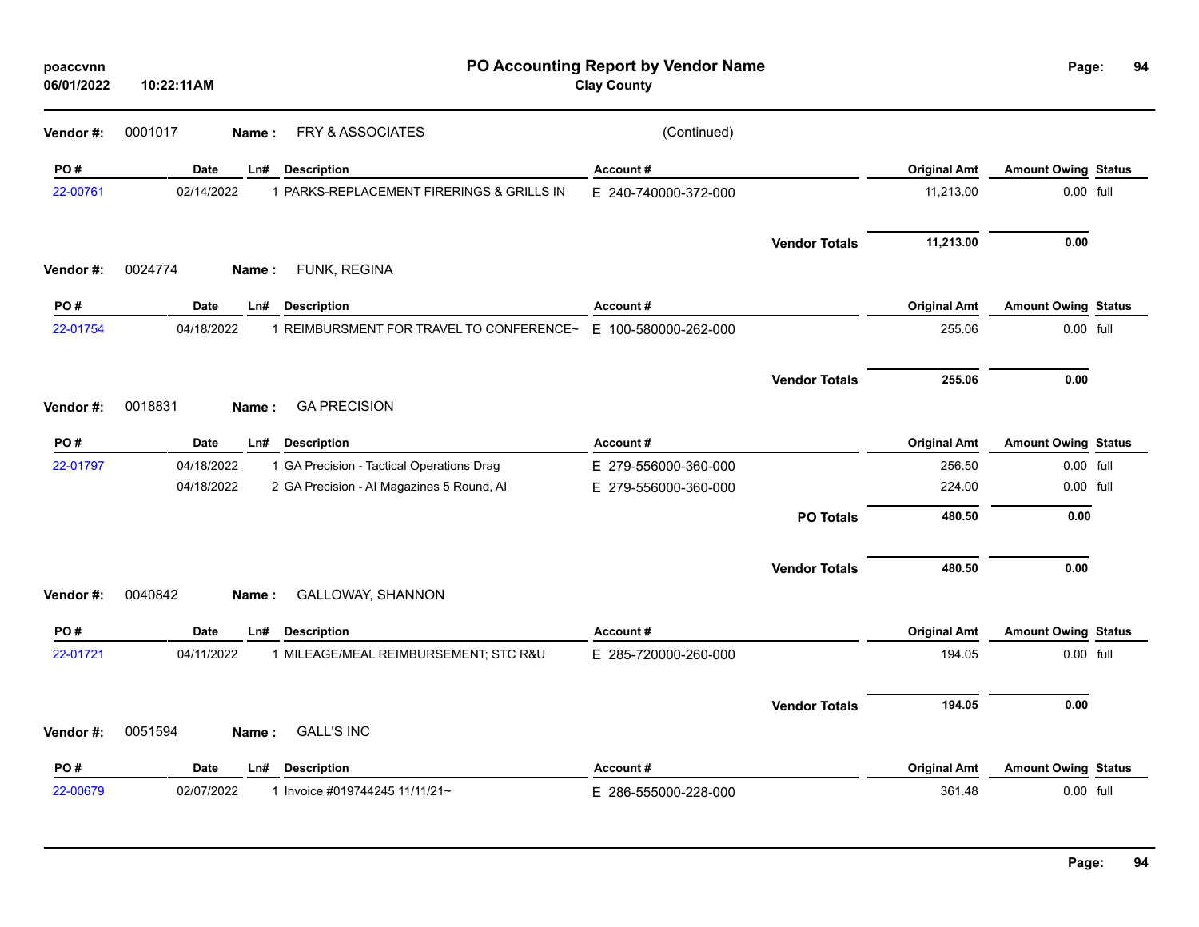| poaccvnn<br>06/01/2022 | 10:22:11AM  |                                           | PO Accounting Report by Vendor Name<br><b>Clay County</b> |                      |                     | Page:                      | 94 |
|------------------------|-------------|-------------------------------------------|-----------------------------------------------------------|----------------------|---------------------|----------------------------|----|
| Vendor #:              | 0001017     | FRY & ASSOCIATES<br>Name:                 | (Continued)                                               |                      |                     |                            |    |
| PO#                    | <b>Date</b> | <b>Description</b><br>Ln#                 | Account#                                                  |                      | <b>Original Amt</b> | <b>Amount Owing Status</b> |    |
| 22-00761               | 02/14/2022  | 1 PARKS-REPLACEMENT FIRERINGS & GRILLS IN | E 240-740000-372-000                                      |                      | 11,213.00           | 0.00 full                  |    |
|                        |             |                                           |                                                           | <b>Vendor Totals</b> | 11,213.00           | 0.00                       |    |
| Vendor#:               | 0024774     | FUNK, REGINA<br>Name:                     |                                                           |                      |                     |                            |    |
| PO#                    | <b>Date</b> | Ln#<br><b>Description</b>                 | Account#                                                  |                      | <b>Original Amt</b> | <b>Amount Owing Status</b> |    |
| 22-01754               | 04/18/2022  | 1 REIMBURSMENT FOR TRAVEL TO CONFERENCE~  | E 100-580000-262-000                                      |                      | 255.06              | 0.00 full                  |    |
|                        |             |                                           |                                                           | <b>Vendor Totals</b> | 255.06              | 0.00                       |    |
| Vendor#:               | 0018831     | <b>GA PRECISION</b><br>Name:              |                                                           |                      |                     |                            |    |
| PO#                    | Date        | <b>Description</b><br>Ln#                 | Account#                                                  |                      | <b>Original Amt</b> | <b>Amount Owing Status</b> |    |
| 22-01797               | 04/18/2022  | 1 GA Precision - Tactical Operations Drag | E 279-556000-360-000                                      |                      | 256.50              | 0.00 full                  |    |
|                        | 04/18/2022  | 2 GA Precision - Al Magazines 5 Round, Al | E 279-556000-360-000                                      |                      | 224.00              | 0.00 full                  |    |
|                        |             |                                           |                                                           | <b>PO Totals</b>     | 480.50              | 0.00                       |    |
|                        |             |                                           |                                                           | <b>Vendor Totals</b> | 480.50              | 0.00                       |    |
| Vendor#:               | 0040842     | <b>GALLOWAY, SHANNON</b><br>Name:         |                                                           |                      |                     |                            |    |
| PO#                    | <b>Date</b> | Ln#<br><b>Description</b>                 | Account#                                                  |                      | <b>Original Amt</b> | <b>Amount Owing Status</b> |    |
| 22-01721               | 04/11/2022  | 1 MILEAGE/MEAL REIMBURSEMENT; STC R&U     | E 285-720000-260-000                                      |                      | 194.05              | 0.00 full                  |    |
|                        |             |                                           |                                                           | <b>Vendor Totals</b> | 194.05              | 0.00                       |    |
| Vendor#:               | 0051594     | <b>GALL'S INC</b><br>Name:                |                                                           |                      |                     |                            |    |
| PO#                    | <b>Date</b> | Ln#<br><b>Description</b>                 | Account#                                                  |                      | <b>Original Amt</b> | <b>Amount Owing Status</b> |    |
| 22-00679               | 02/07/2022  | 1 Invoice #019744245 11/11/21~            | E 286-555000-228-000                                      |                      | 361.48              | 0.00 full                  |    |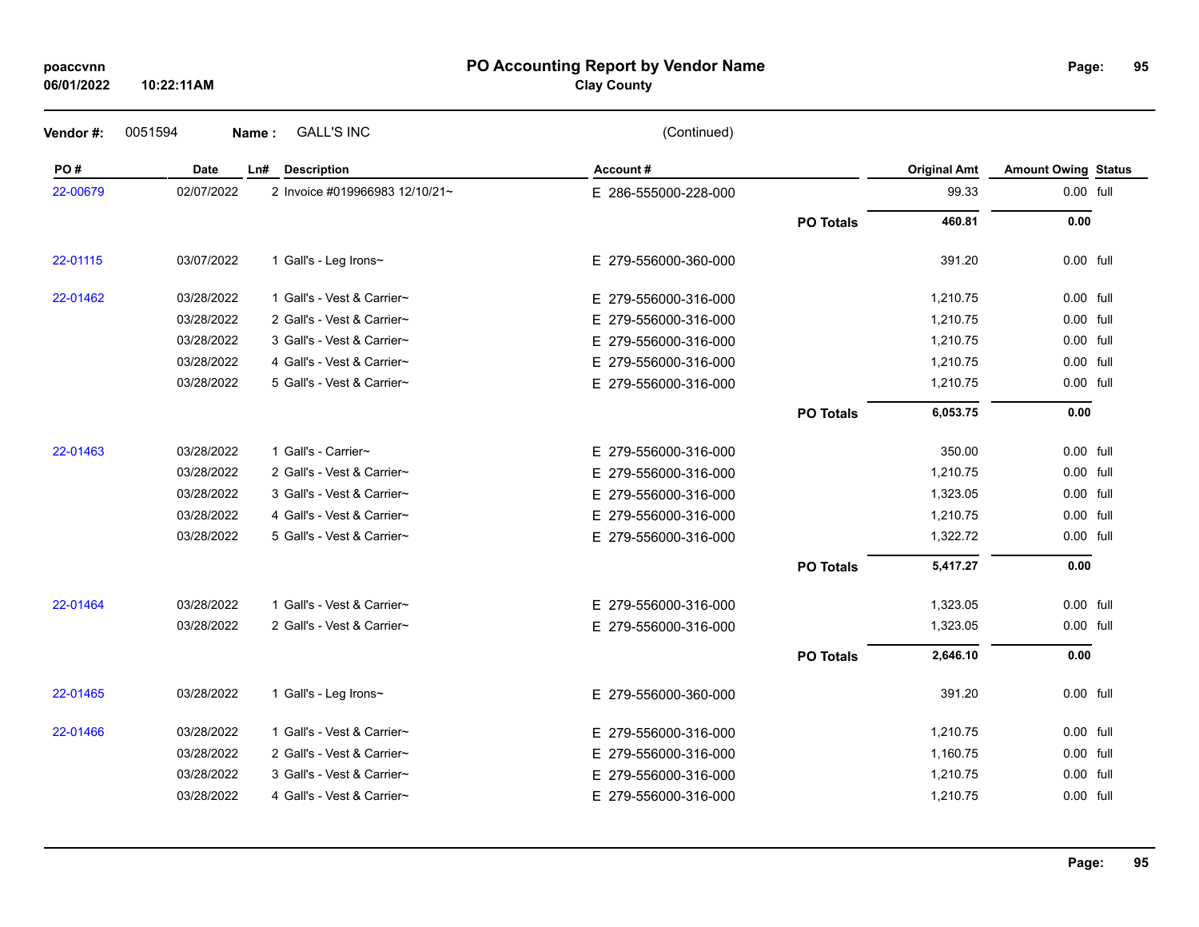#### **PO Accounting Report by Vendor Name poaccvnn Page:**

# **Clay County**

| Vendor#: | 0051594    | <b>GALL'S INC</b><br>Name:     | (Continued)          |                  |                     |                            |  |
|----------|------------|--------------------------------|----------------------|------------------|---------------------|----------------------------|--|
| PO#      | Date       | Ln#<br><b>Description</b>      | Account#             |                  | <b>Original Amt</b> | <b>Amount Owing Status</b> |  |
| 22-00679 | 02/07/2022 | 2 Invoice #019966983 12/10/21~ | E 286-555000-228-000 |                  | 99.33               | 0.00 full                  |  |
|          |            |                                |                      | <b>PO Totals</b> | 460.81              | $0.00\,$                   |  |
| 22-01115 | 03/07/2022 | 1 Gall's - Leg Irons~          | E 279-556000-360-000 |                  | 391.20              | 0.00 full                  |  |
| 22-01462 | 03/28/2022 | 1 Gall's - Vest & Carrier~     | E 279-556000-316-000 |                  | 1,210.75            | 0.00 full                  |  |
|          | 03/28/2022 | 2 Gall's - Vest & Carrier~     | E 279-556000-316-000 |                  | 1,210.75            | 0.00 full                  |  |
|          | 03/28/2022 | 3 Gall's - Vest & Carrier~     | E 279-556000-316-000 |                  | 1,210.75            | 0.00 full                  |  |
|          | 03/28/2022 | 4 Gall's - Vest & Carrier~     | E 279-556000-316-000 |                  | 1,210.75            | 0.00 full                  |  |
|          | 03/28/2022 | 5 Gall's - Vest & Carrier~     | E 279-556000-316-000 |                  | 1,210.75            | 0.00 full                  |  |
|          |            |                                |                      | <b>PO Totals</b> | 6,053.75            | 0.00                       |  |
| 22-01463 | 03/28/2022 | 1 Gall's - Carrier~            | E 279-556000-316-000 |                  | 350.00              | 0.00 full                  |  |
|          | 03/28/2022 | 2 Gall's - Vest & Carrier~     | E 279-556000-316-000 |                  | 1,210.75            | 0.00 full                  |  |
|          | 03/28/2022 | 3 Gall's - Vest & Carrier~     | E 279-556000-316-000 |                  | 1,323.05            | 0.00 full                  |  |
|          | 03/28/2022 | 4 Gall's - Vest & Carrier~     | E 279-556000-316-000 |                  | 1,210.75            | 0.00 full                  |  |
|          | 03/28/2022 | 5 Gall's - Vest & Carrier~     | E 279-556000-316-000 |                  | 1,322.72            | 0.00 full                  |  |
|          |            |                                |                      | <b>PO Totals</b> | 5,417.27            | 0.00                       |  |
| 22-01464 | 03/28/2022 | 1 Gall's - Vest & Carrier~     | E 279-556000-316-000 |                  | 1,323.05            | 0.00 full                  |  |
|          | 03/28/2022 | 2 Gall's - Vest & Carrier~     | E 279-556000-316-000 |                  | 1,323.05            | 0.00 full                  |  |
|          |            |                                |                      | <b>PO Totals</b> | 2,646.10            | 0.00                       |  |
| 22-01465 | 03/28/2022 | 1 Gall's - Leg Irons~          | E 279-556000-360-000 |                  | 391.20              | 0.00 full                  |  |
| 22-01466 | 03/28/2022 | 1 Gall's - Vest & Carrier~     | E 279-556000-316-000 |                  | 1,210.75            | 0.00 full                  |  |
|          | 03/28/2022 | 2 Gall's - Vest & Carrier~     | E 279-556000-316-000 |                  | 1,160.75            | 0.00 full                  |  |
|          | 03/28/2022 | 3 Gall's - Vest & Carrier~     | E 279-556000-316-000 |                  | 1,210.75            | 0.00 full                  |  |
|          | 03/28/2022 | 4 Gall's - Vest & Carrier~     | E 279-556000-316-000 |                  | 1,210.75            | 0.00 full                  |  |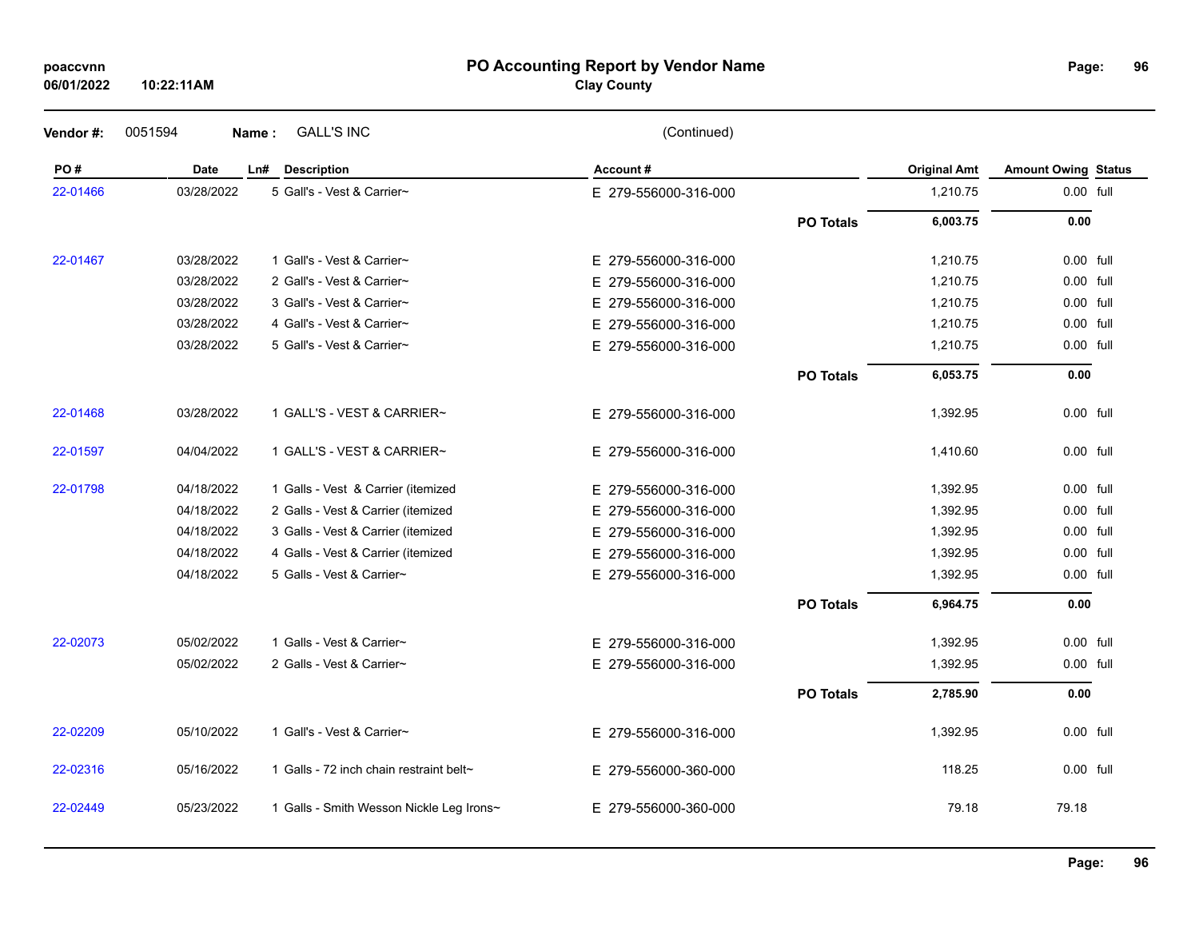### **PO Accounting Report by Vendor Name poaccvnn Page:**

# **Clay County**

| Vendor #: | 0051594<br>Name: | <b>GALL'S INC</b>                        | (Continued)          |                  |                     |                            |  |
|-----------|------------------|------------------------------------------|----------------------|------------------|---------------------|----------------------------|--|
| PO#       | Date             | <b>Description</b><br>Ln#                | Account#             |                  | <b>Original Amt</b> | <b>Amount Owing Status</b> |  |
| 22-01466  | 03/28/2022       | 5 Gall's - Vest & Carrier~               | E 279-556000-316-000 |                  | 1,210.75            | 0.00 full                  |  |
|           |                  |                                          |                      | <b>PO Totals</b> | 6,003.75            | 0.00                       |  |
| 22-01467  | 03/28/2022       | 1 Gall's - Vest & Carrier~               | E 279-556000-316-000 |                  | 1,210.75            | 0.00 full                  |  |
|           | 03/28/2022       | 2 Gall's - Vest & Carrier~               | E 279-556000-316-000 |                  | 1,210.75            | 0.00 full                  |  |
|           | 03/28/2022       | 3 Gall's - Vest & Carrier~               | E 279-556000-316-000 |                  | 1,210.75            | 0.00 full                  |  |
|           | 03/28/2022       | 4 Gall's - Vest & Carrier~               | E 279-556000-316-000 |                  | 1,210.75            | 0.00 full                  |  |
|           | 03/28/2022       | 5 Gall's - Vest & Carrier~               | E 279-556000-316-000 |                  | 1,210.75            | 0.00 full                  |  |
|           |                  |                                          |                      | <b>PO Totals</b> | 6,053.75            | 0.00                       |  |
| 22-01468  | 03/28/2022       | 1 GALL'S - VEST & CARRIER~               | E 279-556000-316-000 |                  | 1,392.95            | 0.00 full                  |  |
| 22-01597  | 04/04/2022       | 1 GALL'S - VEST & CARRIER~               | E 279-556000-316-000 |                  | 1,410.60            | 0.00 full                  |  |
| 22-01798  | 04/18/2022       | 1 Galls - Vest & Carrier (itemized       | E 279-556000-316-000 |                  | 1,392.95            | 0.00 full                  |  |
|           | 04/18/2022       | 2 Galls - Vest & Carrier (itemized       | E 279-556000-316-000 |                  | 1,392.95            | 0.00 full                  |  |
|           | 04/18/2022       | 3 Galls - Vest & Carrier (itemized       | E 279-556000-316-000 |                  | 1,392.95            | 0.00 full                  |  |
|           | 04/18/2022       | 4 Galls - Vest & Carrier (itemized       | E 279-556000-316-000 |                  | 1,392.95            | 0.00 full                  |  |
|           | 04/18/2022       | 5 Galls - Vest & Carrier~                | E 279-556000-316-000 |                  | 1,392.95            | 0.00 full                  |  |
|           |                  |                                          |                      | <b>PO Totals</b> | 6,964.75            | 0.00                       |  |
| 22-02073  | 05/02/2022       | 1 Galls - Vest & Carrier~                | E 279-556000-316-000 |                  | 1,392.95            | 0.00 full                  |  |
|           | 05/02/2022       | 2 Galls - Vest & Carrier~                | E 279-556000-316-000 |                  | 1,392.95            | 0.00 full                  |  |
|           |                  |                                          |                      | <b>PO Totals</b> | 2,785.90            | 0.00                       |  |
| 22-02209  | 05/10/2022       | 1 Gall's - Vest & Carrier~               | E 279-556000-316-000 |                  | 1,392.95            | 0.00 full                  |  |
| 22-02316  | 05/16/2022       | 1 Galls - 72 inch chain restraint belt~  | E 279-556000-360-000 |                  | 118.25              | 0.00 full                  |  |
| 22-02449  | 05/23/2022       | 1 Galls - Smith Wesson Nickle Leg Irons~ | E 279-556000-360-000 |                  | 79.18               | 79.18                      |  |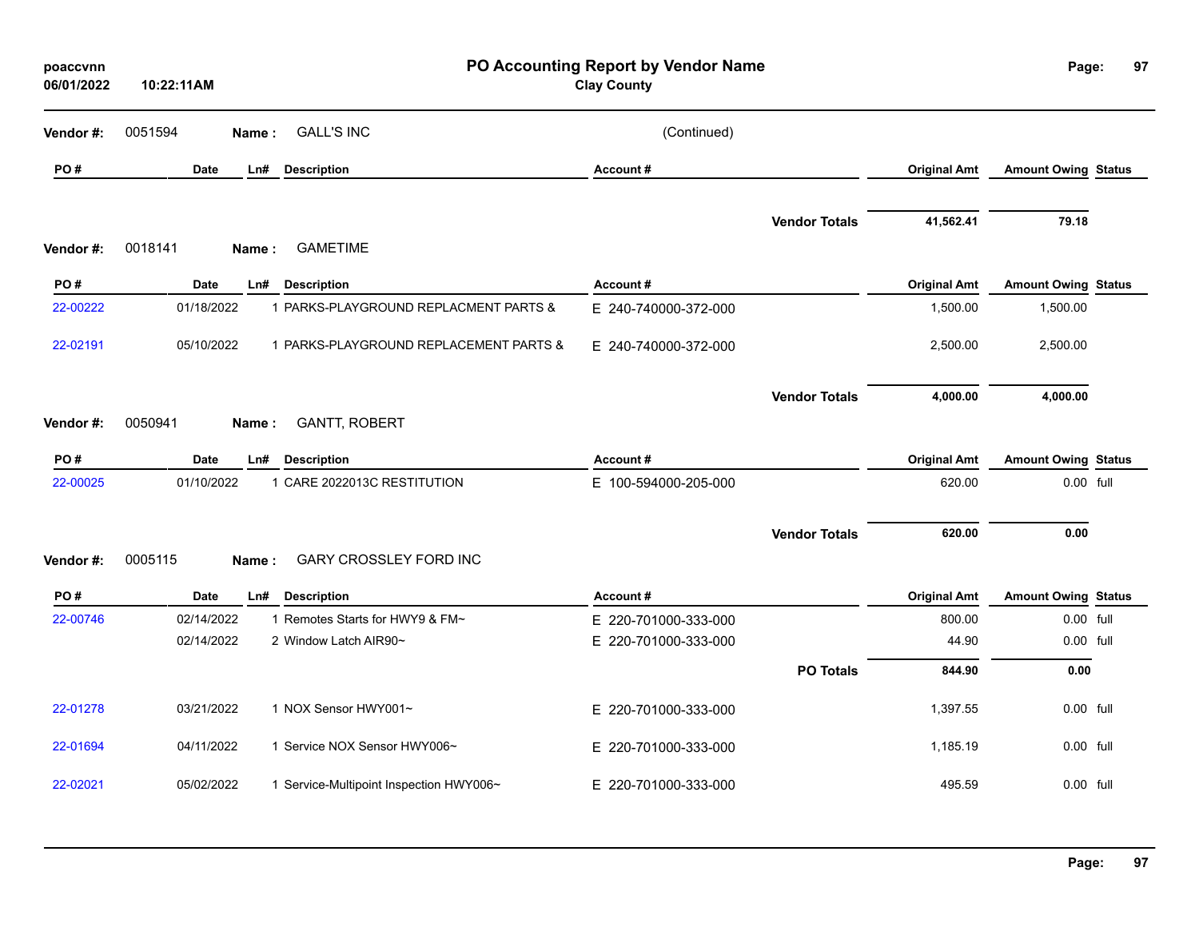| poaccvnn<br>06/01/2022 | 10:22:11AM       |                                         | PO Accounting Report by Vendor Name<br><b>Clay County</b> |                      |                     | Page:                      | 97 |
|------------------------|------------------|-----------------------------------------|-----------------------------------------------------------|----------------------|---------------------|----------------------------|----|
| Vendor #:              | 0051594<br>Name: | <b>GALL'S INC</b>                       | (Continued)                                               |                      |                     |                            |    |
| PO#                    | <b>Date</b>      | Ln#<br><b>Description</b>               | Account#                                                  |                      | <b>Original Amt</b> | <b>Amount Owing Status</b> |    |
| Vendor#:               | 0018141<br>Name: | <b>GAMETIME</b>                         |                                                           | <b>Vendor Totals</b> | 41,562.41           | 79.18                      |    |
| PO#                    | Date             | Ln#<br><b>Description</b>               | Account#                                                  |                      | <b>Original Amt</b> | <b>Amount Owing Status</b> |    |
| 22-00222               | 01/18/2022       | 1 PARKS-PLAYGROUND REPLACMENT PARTS &   | E 240-740000-372-000                                      |                      | 1,500.00            | 1,500.00                   |    |
| 22-02191               | 05/10/2022       | 1 PARKS-PLAYGROUND REPLACEMENT PARTS &  | E 240-740000-372-000                                      |                      | 2,500.00            | 2,500.00                   |    |
| Vendor#:               | 0050941<br>Name: | <b>GANTT, ROBERT</b>                    |                                                           | <b>Vendor Totals</b> | 4,000.00            | 4,000.00                   |    |
| PO#                    | Date             | <b>Description</b><br>Ln#               | Account#                                                  |                      | <b>Original Amt</b> | <b>Amount Owing Status</b> |    |
| 22-00025               | 01/10/2022       | 1 CARE 2022013C RESTITUTION             | E 100-594000-205-000                                      |                      | 620.00              | 0.00 full                  |    |
| Vendor#:               | 0005115<br>Name: | <b>GARY CROSSLEY FORD INC</b>           |                                                           | <b>Vendor Totals</b> | 620.00              | 0.00                       |    |
| PO#                    | <b>Date</b>      | $Ln$ #<br><b>Description</b>            | Account#                                                  |                      | <b>Original Amt</b> | <b>Amount Owing Status</b> |    |
| 22-00746               | 02/14/2022       | 1 Remotes Starts for HWY9 & FM~         | E 220-701000-333-000                                      |                      | 800.00              | 0.00 full                  |    |
|                        | 02/14/2022       | 2 Window Latch AIR90~                   | E 220-701000-333-000                                      |                      | 44.90               | 0.00 full                  |    |
|                        |                  |                                         |                                                           | <b>PO Totals</b>     | 844.90              | 0.00                       |    |
| 22-01278               | 03/21/2022       | 1 NOX Sensor HWY001~                    | E 220-701000-333-000                                      |                      | 1,397.55            | 0.00 full                  |    |
| 22-01694               | 04/11/2022       | 1 Service NOX Sensor HWY006~            | E 220-701000-333-000                                      |                      | 1,185.19            | 0.00 full                  |    |
| 22-02021               | 05/02/2022       | 1 Service-Multipoint Inspection HWY006~ | E 220-701000-333-000                                      |                      | 495.59              | $0.00$ full                |    |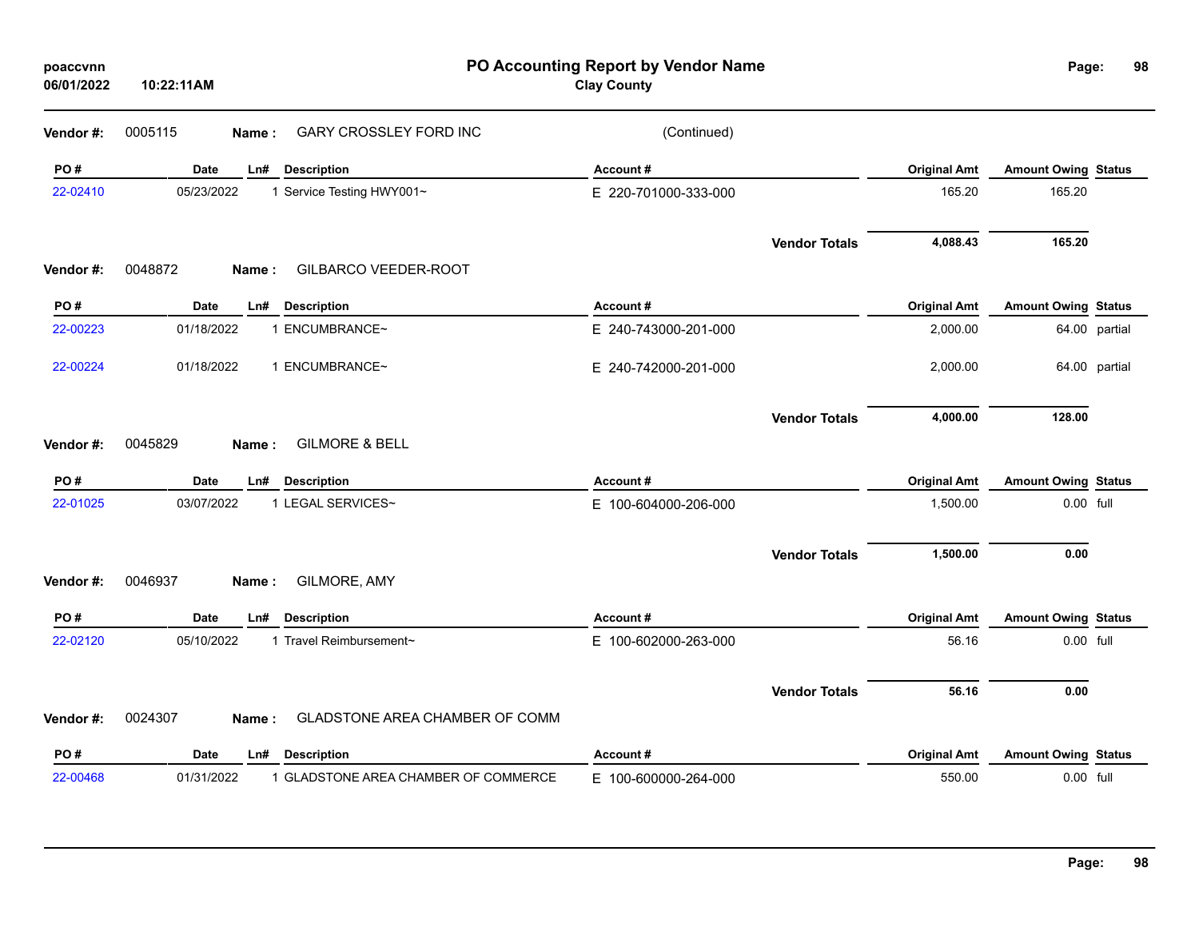| poaccvnn<br>06/01/2022 | 10:22:11AM                                         | PO Accounting Report by Vendor Name<br><b>Clay County</b> |                     | Page:                      | 98            |
|------------------------|----------------------------------------------------|-----------------------------------------------------------|---------------------|----------------------------|---------------|
| Vendor #:              | <b>GARY CROSSLEY FORD INC</b><br>0005115<br>Name:  | (Continued)                                               |                     |                            |               |
| PO#                    | Date<br><b>Description</b><br>Ln#                  | Account#                                                  | <b>Original Amt</b> | <b>Amount Owing Status</b> |               |
| 22-02410               | 05/23/2022<br>1 Service Testing HWY001~            | E 220-701000-333-000                                      | 165.20              | 165.20                     |               |
|                        |                                                    | <b>Vendor Totals</b>                                      | 4,088.43            | 165.20                     |               |
| Vendor#:               | 0048872<br>GILBARCO VEEDER-ROOT<br>Name:           |                                                           |                     |                            |               |
| PO#                    | Date<br><b>Description</b><br>Ln#                  | Account#                                                  | <b>Original Amt</b> | <b>Amount Owing Status</b> |               |
| 22-00223               | 01/18/2022<br>1 ENCUMBRANCE~                       | E 240-743000-201-000                                      | 2,000.00            |                            | 64.00 partial |
| 22-00224               | 01/18/2022<br>1 ENCUMBRANCE~                       | E 240-742000-201-000                                      | 2,000.00            |                            | 64.00 partial |
| Vendor #:              | <b>GILMORE &amp; BELL</b><br>0045829<br>Name:      | <b>Vendor Totals</b>                                      | 4,000.00            | 128.00                     |               |
| PO#                    | Date<br><b>Description</b><br>Ln#                  | Account#                                                  | <b>Original Amt</b> | <b>Amount Owing Status</b> |               |
| 22-01025               | 1 LEGAL SERVICES~<br>03/07/2022                    | E 100-604000-206-000                                      | 1,500.00            | 0.00 full                  |               |
|                        |                                                    | <b>Vendor Totals</b>                                      | 1,500.00            | 0.00                       |               |
| Vendor#:               | 0046937<br>GILMORE, AMY<br>Name:                   |                                                           |                     |                            |               |
| PO#                    | Date<br><b>Description</b><br>Ln#                  | Account#                                                  | <b>Original Amt</b> | <b>Amount Owing Status</b> |               |
| 22-02120               | 05/10/2022<br>1 Travel Reimbursement~              | E 100-602000-263-000                                      | 56.16               | 0.00 full                  |               |
|                        |                                                    | <b>Vendor Totals</b>                                      | 56.16               | 0.00                       |               |
| Vendor#:               | 0024307<br>GLADSTONE AREA CHAMBER OF COMM<br>Name: |                                                           |                     |                            |               |
| PO#                    | Date<br><b>Description</b><br>Ln#                  | Account#                                                  | <b>Original Amt</b> | <b>Amount Owing Status</b> |               |
| 22-00468               | 01/31/2022<br>1 GLADSTONE AREA CHAMBER OF COMMERCE | E 100-600000-264-000                                      | 550.00              | 0.00 full                  |               |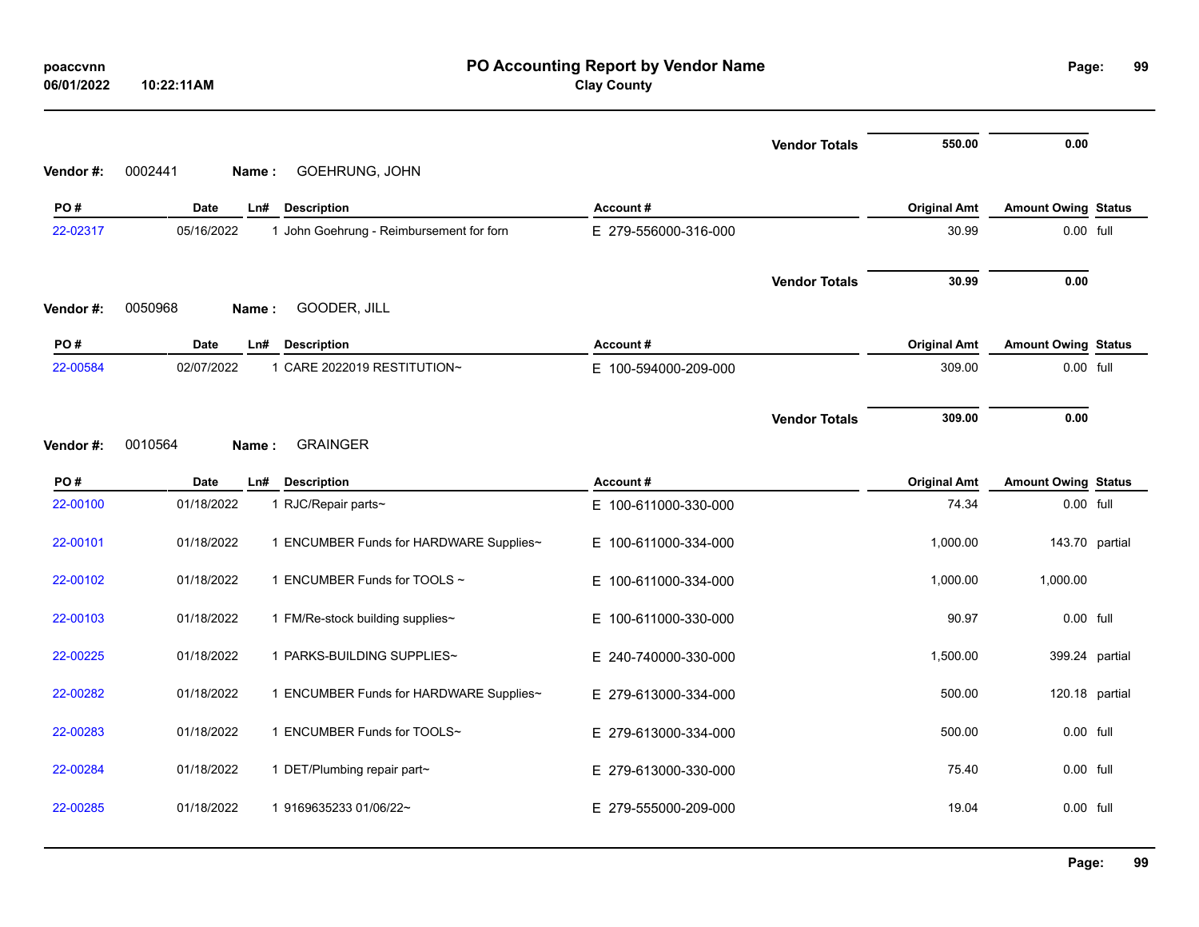| poaccvnn<br>06/01/2022 | PO Accounting Report by Vendor Name<br><b>Clay County</b><br>10:22:11AM |                                          |                                  |                      |                              |                                         |                |
|------------------------|-------------------------------------------------------------------------|------------------------------------------|----------------------------------|----------------------|------------------------------|-----------------------------------------|----------------|
| Vendor#:               | 0002441<br>Name:                                                        | GOEHRUNG, JOHN                           |                                  | <b>Vendor Totals</b> | 550.00                       | 0.00                                    |                |
| PO#                    | <b>Date</b>                                                             | Ln#<br><b>Description</b>                | Account#                         |                      | <b>Original Amt</b>          | <b>Amount Owing Status</b>              |                |
| 22-02317               | 05/16/2022                                                              | 1 John Goehrung - Reimbursement for forn | E 279-556000-316-000             |                      | 30.99                        | 0.00 full                               |                |
| Vendor#:               | 0050968<br>Name:                                                        | GOODER, JILL                             |                                  | <b>Vendor Totals</b> | 30.99                        | 0.00                                    |                |
| PO#                    | Date                                                                    | Ln#<br><b>Description</b>                | Account#                         |                      | <b>Original Amt</b>          | <b>Amount Owing Status</b>              |                |
| 22-00584               | 02/07/2022                                                              | 1 CARE 2022019 RESTITUTION~              | E 100-594000-209-000             |                      | 309.00                       | 0.00 full                               |                |
| Vendor #:              | 0010564<br>Name:                                                        | <b>GRAINGER</b>                          |                                  | <b>Vendor Totals</b> | 309.00                       | 0.00                                    |                |
| PO#<br>22-00100        | Date<br>01/18/2022                                                      | Ln# Description<br>1 RJC/Repair parts~   | Account#<br>E 100-611000-330-000 |                      | <b>Original Amt</b><br>74.34 | <b>Amount Owing Status</b><br>0.00 full |                |
| 22-00101               | 01/18/2022                                                              | 1 ENCUMBER Funds for HARDWARE Supplies~  | E 100-611000-334-000             |                      | 1,000.00                     |                                         | 143.70 partial |
| 22-00102               | 01/18/2022                                                              | 1 ENCUMBER Funds for TOOLS ~             | E 100-611000-334-000             |                      | 1,000.00                     | 1,000.00                                |                |
| 22-00103               | 01/18/2022                                                              | 1 FM/Re-stock building supplies~         | E 100-611000-330-000             |                      | 90.97                        | 0.00 full                               |                |
| 22-00225               | 01/18/2022                                                              | 1 PARKS-BUILDING SUPPLIES~               | E 240-740000-330-000             |                      | 1,500.00                     |                                         | 399.24 partial |
| 22-00282               | 01/18/2022                                                              | 1 ENCUMBER Funds for HARDWARE Supplies~  | E 279-613000-334-000             |                      | 500.00                       |                                         | 120.18 partial |
| 22-00283               | 01/18/2022                                                              | 1 ENCUMBER Funds for TOOLS~              | E 279-613000-334-000             |                      | 500.00                       | 0.00 full                               |                |
| 22-00284               | 01/18/2022                                                              | 1 DET/Plumbing repair part~              | E 279-613000-330-000             |                      | 75.40                        | 0.00 full                               |                |
| 22-00285               | 01/18/2022                                                              | 1 9169635233 01/06/22~                   | E 279-555000-209-000             |                      | 19.04                        | 0.00 full                               |                |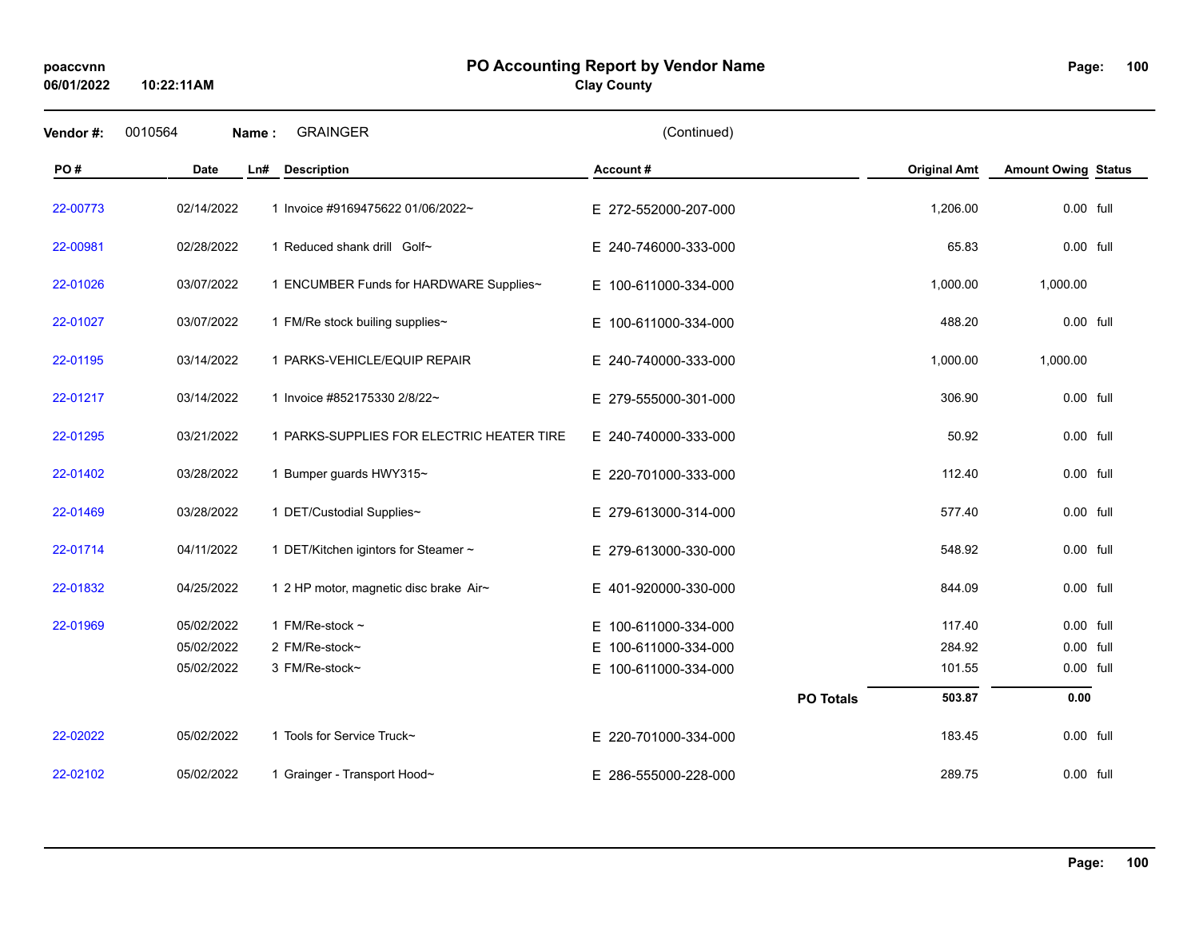**10:22:11AM**

#### **PO Accounting Report by Vendor Name poaccvnn Page:**

**Clay County**

| Vendor#: | 0010564<br>Name: | <b>GRAINGER</b>                           | (Continued)              |                  |                     |                            |  |
|----------|------------------|-------------------------------------------|--------------------------|------------------|---------------------|----------------------------|--|
| PO#      | <b>Date</b>      | Ln#<br><b>Description</b>                 | Account#                 |                  | <b>Original Amt</b> | <b>Amount Owing Status</b> |  |
| 22-00773 | 02/14/2022       | 1 Invoice #9169475622 01/06/2022~         | E 272-552000-207-000     |                  | 1,206.00            | 0.00 full                  |  |
| 22-00981 | 02/28/2022       | 1 Reduced shank drill Golf~               | E 240-746000-333-000     |                  | 65.83               | $0.00$ full                |  |
| 22-01026 | 03/07/2022       | 1 ENCUMBER Funds for HARDWARE Supplies~   | E 100-611000-334-000     |                  | 1,000.00            | 1,000.00                   |  |
| 22-01027 | 03/07/2022       | 1 FM/Re stock builing supplies~           | E 100-611000-334-000     |                  | 488.20              | 0.00 full                  |  |
| 22-01195 | 03/14/2022       | 1 PARKS-VEHICLE/EQUIP REPAIR              | E 240-740000-333-000     |                  | 1,000.00            | 1,000.00                   |  |
| 22-01217 | 03/14/2022       | 1 Invoice #852175330 2/8/22~              | E 279-555000-301-000     |                  | 306.90              | 0.00 full                  |  |
| 22-01295 | 03/21/2022       | 1 PARKS-SUPPLIES FOR ELECTRIC HEATER TIRE | E 240-740000-333-000     |                  | 50.92               | 0.00 full                  |  |
| 22-01402 | 03/28/2022       | 1 Bumper guards HWY315~                   | E 220-701000-333-000     |                  | 112.40              | 0.00 full                  |  |
| 22-01469 | 03/28/2022       | 1 DET/Custodial Supplies~                 | E 279-613000-314-000     |                  | 577.40              | 0.00 full                  |  |
| 22-01714 | 04/11/2022       | 1 DET/Kitchen igintors for Steamer ~      | E 279-613000-330-000     |                  | 548.92              | 0.00 full                  |  |
| 22-01832 | 04/25/2022       | 1 2 HP motor, magnetic disc brake Air~    | E 401-920000-330-000     |                  | 844.09              | 0.00 full                  |  |
| 22-01969 | 05/02/2022       | 1 FM/Re-stock $\sim$                      | 100-611000-334-000<br>E. |                  | 117.40              | 0.00 full                  |  |
|          | 05/02/2022       | 2 FM/Re-stock~                            | 100-611000-334-000<br>E. |                  | 284.92              | 0.00 full                  |  |
|          | 05/02/2022       | 3 FM/Re-stock~                            | E 100-611000-334-000     |                  | 101.55              | 0.00 full                  |  |
|          |                  |                                           |                          | <b>PO Totals</b> | 503.87              | 0.00                       |  |
| 22-02022 | 05/02/2022       | 1 Tools for Service Truck~                | E 220-701000-334-000     |                  | 183.45              | 0.00 full                  |  |
| 22-02102 | 05/02/2022       | 1 Grainger - Transport Hood~              | E 286-555000-228-000     |                  | 289.75              | 0.00 full                  |  |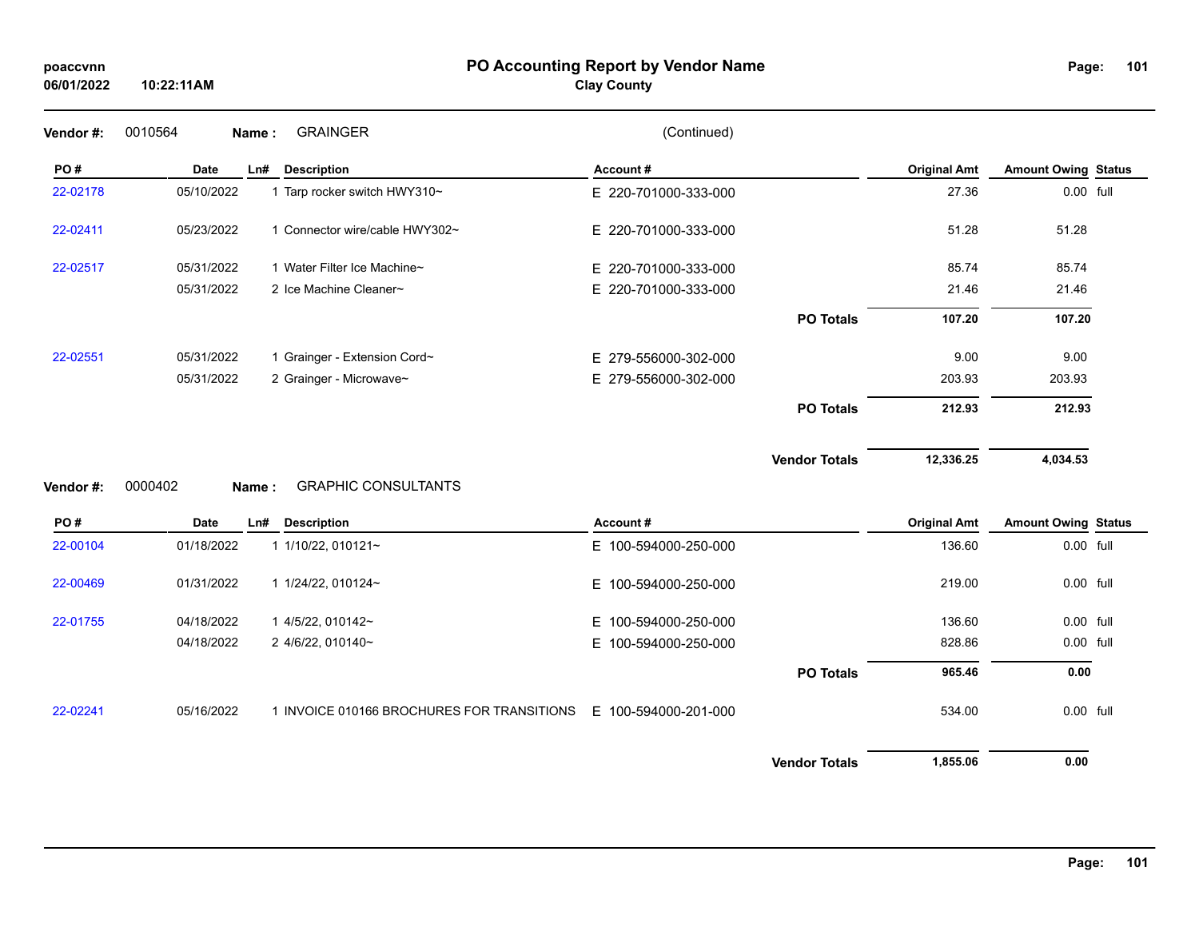# **PO Accounting Report by Vendor Name poaccvnn Page:**

# **Clay County**

| Vendor #:             | 0010564     | Name: | <b>GRAINGER</b>                            | (Continued)          |                      |                     |                            |  |
|-----------------------|-------------|-------|--------------------------------------------|----------------------|----------------------|---------------------|----------------------------|--|
| PO#                   | <b>Date</b> | Ln#   | <b>Description</b>                         | Account#             |                      | <b>Original Amt</b> | <b>Amount Owing Status</b> |  |
| 22-02178              | 05/10/2022  |       | 1 Tarp rocker switch HWY310~               | E 220-701000-333-000 |                      | 27.36               | 0.00 full                  |  |
| 22-02411              | 05/23/2022  |       | 1 Connector wire/cable HWY302~             | E 220-701000-333-000 |                      | 51.28               | 51.28                      |  |
| 22-02517              | 05/31/2022  |       | 1 Water Filter Ice Machine~                | E 220-701000-333-000 |                      | 85.74               | 85.74                      |  |
|                       | 05/31/2022  |       | 2 Ice Machine Cleaner~                     | E 220-701000-333-000 |                      | 21.46               | 21.46                      |  |
|                       |             |       |                                            |                      | <b>PO Totals</b>     | 107.20              | 107.20                     |  |
| 22-02551              | 05/31/2022  |       | 1 Grainger - Extension Cord~               | E 279-556000-302-000 |                      | 9.00                | 9.00                       |  |
|                       | 05/31/2022  |       | 2 Grainger - Microwave~                    | E 279-556000-302-000 |                      | 203.93              | 203.93                     |  |
|                       |             |       |                                            |                      | <b>PO Totals</b>     | 212.93              | 212.93                     |  |
|                       |             |       |                                            |                      |                      |                     |                            |  |
|                       |             |       |                                            |                      | <b>Vendor Totals</b> | 12,336.25           | 4,034.53                   |  |
|                       | 0000402     | Name: | <b>GRAPHIC CONSULTANTS</b>                 |                      |                      |                     |                            |  |
| PO#                   | <b>Date</b> | Ln#   | <b>Description</b>                         | Account#             |                      | <b>Original Amt</b> | <b>Amount Owing Status</b> |  |
| Vendor #:<br>22-00104 | 01/18/2022  |       | 1 1/10/22, 010121~                         | E 100-594000-250-000 |                      | 136.60              | 0.00 full                  |  |
| 22-00469              | 01/31/2022  |       | 1 1/24/22, 010124~                         | E 100-594000-250-000 |                      | 219.00              | 0.00 full                  |  |
| 22-01755              | 04/18/2022  |       | 1 4/5/22, 010142~                          | E 100-594000-250-000 |                      | 136.60              | 0.00 full                  |  |
|                       | 04/18/2022  |       | 2 4/6/22, 010140~                          | E 100-594000-250-000 |                      | 828.86              | 0.00 full                  |  |
|                       |             |       |                                            |                      | <b>PO Totals</b>     | 965.46              | 0.00                       |  |
| 22-02241              | 05/16/2022  |       | 1 INVOICE 010166 BROCHURES FOR TRANSITIONS | E 100-594000-201-000 |                      | 534.00              | 0.00 full                  |  |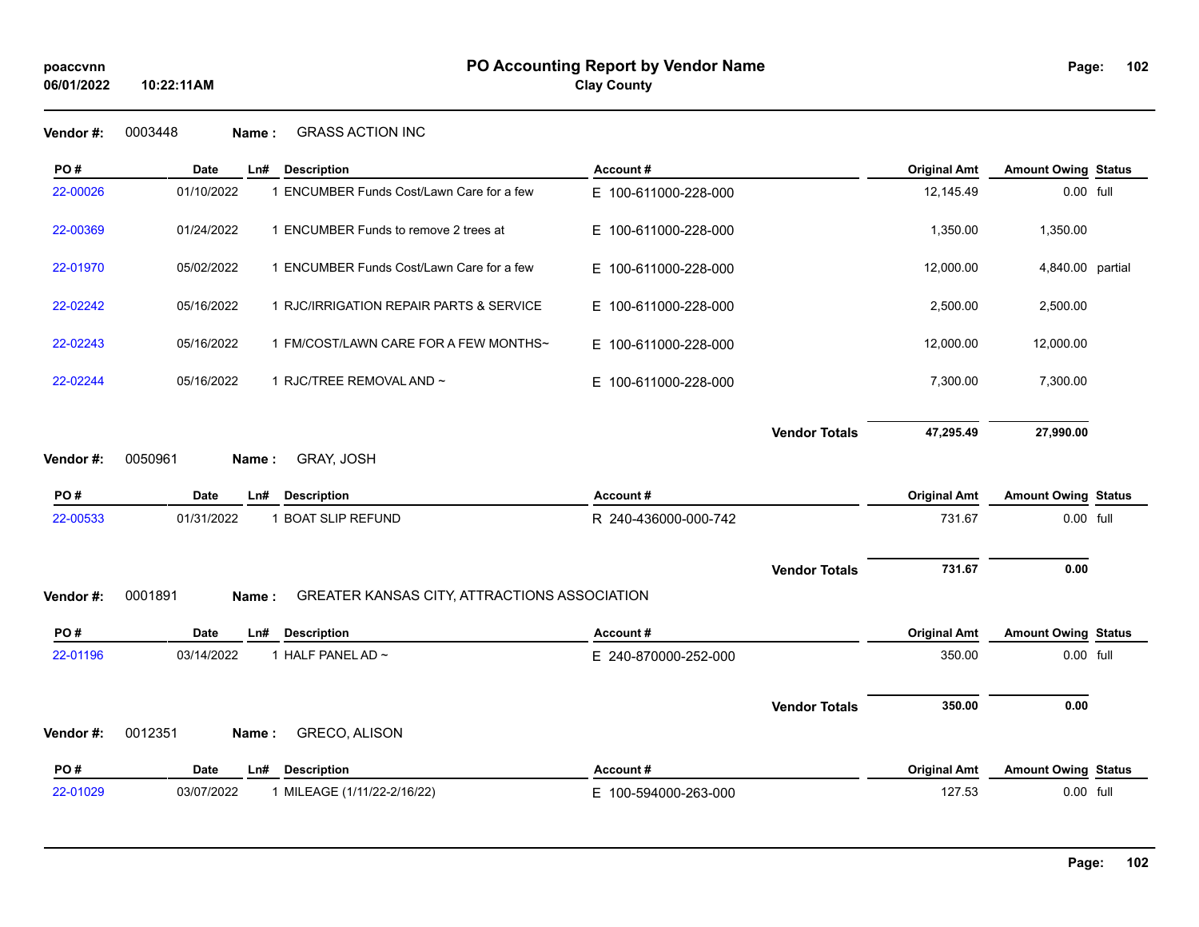**Vendor #:** 0003448 **Name :** GRASS ACTION INC

**10:22:11AM**

| PO#       | <b>Date</b> | Ln#   | <b>Description</b>                           | Account#             |                      | <b>Original Amt</b> | <b>Amount Owing Status</b> |  |
|-----------|-------------|-------|----------------------------------------------|----------------------|----------------------|---------------------|----------------------------|--|
| 22-00026  | 01/10/2022  |       | 1 ENCUMBER Funds Cost/Lawn Care for a few    | E 100-611000-228-000 |                      | 12,145.49           | 0.00 full                  |  |
| 22-00369  | 01/24/2022  |       | 1 ENCUMBER Funds to remove 2 trees at        | E 100-611000-228-000 |                      | 1,350.00            | 1,350.00                   |  |
| 22-01970  | 05/02/2022  |       | 1 ENCUMBER Funds Cost/Lawn Care for a few    | E 100-611000-228-000 |                      | 12,000.00           | 4,840.00 partial           |  |
| 22-02242  | 05/16/2022  |       | 1 RJC/IRRIGATION REPAIR PARTS & SERVICE      | E 100-611000-228-000 |                      | 2,500.00            | 2,500.00                   |  |
| 22-02243  | 05/16/2022  |       | 1 FM/COST/LAWN CARE FOR A FEW MONTHS~        | E 100-611000-228-000 |                      | 12,000.00           | 12,000.00                  |  |
| 22-02244  | 05/16/2022  |       | 1 RJC/TREE REMOVAL AND ~                     | E 100-611000-228-000 |                      | 7,300.00            | 7,300.00                   |  |
|           |             |       |                                              |                      | <b>Vendor Totals</b> | 47,295.49           | 27,990.00                  |  |
| Vendor #: | 0050961     | Name: | GRAY, JOSH                                   |                      |                      |                     |                            |  |
| PO#       | Date        | Ln#   | <b>Description</b>                           | Account#             |                      | <b>Original Amt</b> | <b>Amount Owing Status</b> |  |
| 22-00533  | 01/31/2022  |       | 1 BOAT SLIP REFUND                           | R 240-436000-000-742 |                      | 731.67              | 0.00 full                  |  |
|           |             |       |                                              |                      |                      |                     |                            |  |
|           |             |       |                                              |                      | <b>Vendor Totals</b> | 731.67              | 0.00                       |  |
| Vendor#:  | 0001891     | Name: | GREATER KANSAS CITY, ATTRACTIONS ASSOCIATION |                      |                      |                     |                            |  |
| PO#       | Date        | Ln#   | <b>Description</b>                           | Account#             |                      | <b>Original Amt</b> | <b>Amount Owing Status</b> |  |
| 22-01196  | 03/14/2022  |       | 1 HALF PANEL AD ~                            | E 240-870000-252-000 |                      | 350.00              | 0.00 full                  |  |
|           |             |       |                                              |                      | <b>Vendor Totals</b> | 350.00              | 0.00                       |  |
| Vendor#:  | 0012351     | Name: | GRECO, ALISON                                |                      |                      |                     |                            |  |
| PO#       | Date        | Ln#   | <b>Description</b>                           | Account#             |                      | <b>Original Amt</b> | <b>Amount Owing Status</b> |  |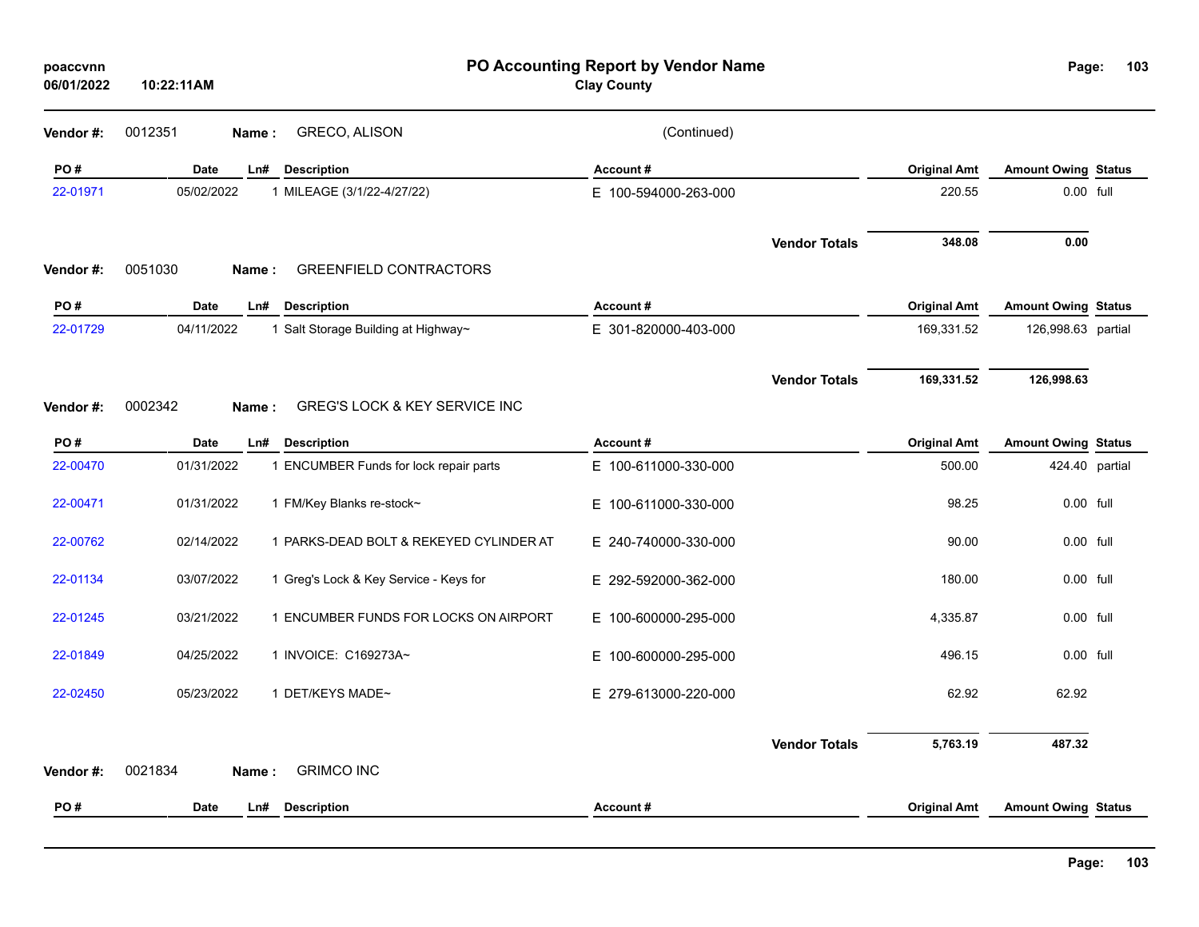| poaccvnn<br>06/01/2022 | 10:22:11AM |                                         | PO Accounting Report by Vendor Name<br><b>Clay County</b> |                      |                     | Page:                      | 103            |
|------------------------|------------|-----------------------------------------|-----------------------------------------------------------|----------------------|---------------------|----------------------------|----------------|
| Vendor#:               | 0012351    | GRECO, ALISON<br>Name:                  | (Continued)                                               |                      |                     |                            |                |
| PO#                    | Date       | Ln#<br><b>Description</b>               | Account#                                                  |                      | <b>Original Amt</b> | <b>Amount Owing Status</b> |                |
| 22-01971               | 05/02/2022 | 1 MILEAGE (3/1/22-4/27/22)              | E 100-594000-263-000                                      |                      | 220.55              |                            | 0.00 full      |
| Vendor#:               | 0051030    | <b>GREENFIELD CONTRACTORS</b><br>Name:  |                                                           | <b>Vendor Totals</b> | 348.08              | 0.00                       |                |
| PO#                    | Date       | <b>Description</b><br>Ln#               | Account#                                                  |                      | <b>Original Amt</b> | <b>Amount Owing Status</b> |                |
| 22-01729               | 04/11/2022 | 1 Salt Storage Building at Highway~     | E 301-820000-403-000                                      |                      | 169,331.52          | 126,998.63 partial         |                |
|                        |            |                                         |                                                           | <b>Vendor Totals</b> | 169,331.52          | 126,998.63                 |                |
| Vendor#:               | 0002342    | GREG'S LOCK & KEY SERVICE INC<br>Name:  |                                                           |                      |                     |                            |                |
| PO#                    | Date       | Ln#<br><b>Description</b>               | Account#                                                  |                      | <b>Original Amt</b> | <b>Amount Owing Status</b> |                |
| 22-00470               | 01/31/2022 | 1 ENCUMBER Funds for lock repair parts  | E 100-611000-330-000                                      |                      | 500.00              |                            | 424.40 partial |
| 22-00471               | 01/31/2022 | 1 FM/Key Blanks re-stock~               | E 100-611000-330-000                                      |                      | 98.25               |                            | 0.00 full      |
| 22-00762               | 02/14/2022 | 1 PARKS-DEAD BOLT & REKEYED CYLINDER AT | E 240-740000-330-000                                      |                      | 90.00               |                            | 0.00 full      |
| 22-01134               | 03/07/2022 | 1 Greg's Lock & Key Service - Keys for  | E 292-592000-362-000                                      |                      | 180.00              |                            | 0.00 full      |
| 22-01245               | 03/21/2022 | 1 ENCUMBER FUNDS FOR LOCKS ON AIRPORT   | E 100-600000-295-000                                      |                      | 4,335.87            |                            | 0.00 full      |
| 22-01849               | 04/25/2022 | 1 INVOICE: C169273A~                    | E 100-600000-295-000                                      |                      | 496.15              |                            | 0.00 full      |
| 22-02450               | 05/23/2022 | 1 DET/KEYS MADE~                        | E 279-613000-220-000                                      |                      | 62.92               | 62.92                      |                |
|                        |            | <b>GRIMCO INC</b>                       |                                                           | <b>Vendor Totals</b> | 5,763.19            | 487.32                     |                |
| Vendor#:               | 0021834    | Name:                                   |                                                           |                      |                     |                            |                |
| PO#                    | Date       | Ln#<br><b>Description</b>               | Account#                                                  |                      | <b>Original Amt</b> | <b>Amount Owing Status</b> |                |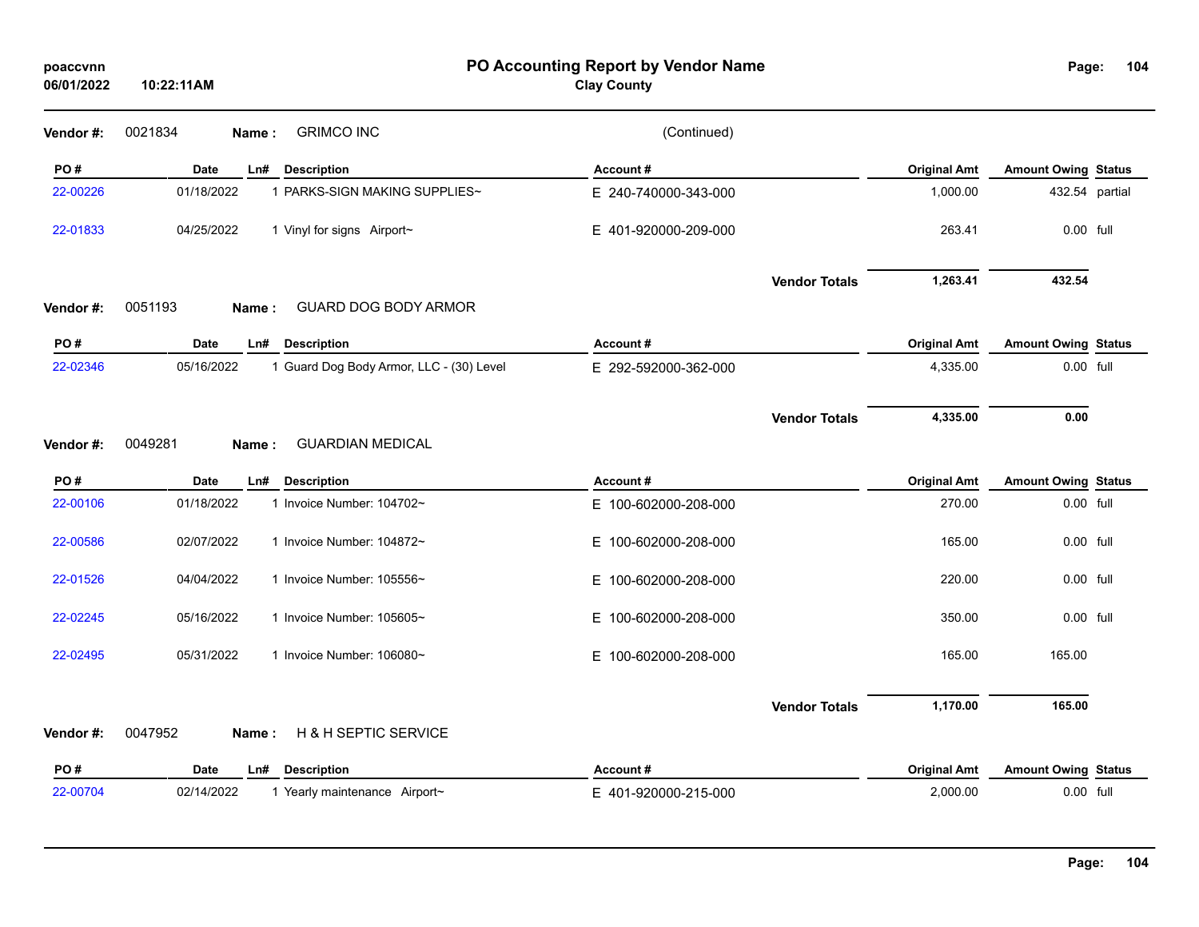| poaccvnn<br>06/01/2022 | 10:22:11AM                                             | PO Accounting Report by Vendor Name<br><b>Clay County</b> |                      |                     | Page:                      | 104 |
|------------------------|--------------------------------------------------------|-----------------------------------------------------------|----------------------|---------------------|----------------------------|-----|
| Vendor#:               | <b>GRIMCO INC</b><br>0021834<br>Name:                  | (Continued)                                               |                      |                     |                            |     |
| PO#                    | Date<br>Ln#<br><b>Description</b>                      | Account#                                                  |                      | <b>Original Amt</b> | <b>Amount Owing Status</b> |     |
| 22-00226               | 01/18/2022<br>1 PARKS-SIGN MAKING SUPPLIES~            | E 240-740000-343-000                                      |                      | 1,000.00            | 432.54 partial             |     |
| 22-01833               | 04/25/2022<br>1 Vinyl for signs Airport~               | E 401-920000-209-000                                      |                      | 263.41              | $0.00$ full                |     |
|                        |                                                        |                                                           | <b>Vendor Totals</b> | 1,263.41            | 432.54                     |     |
| Vendor#:               | 0051193<br>GUARD DOG BODY ARMOR<br>Name:               |                                                           |                      |                     |                            |     |
| PO#                    | <b>Description</b><br><b>Date</b><br>Ln#               | Account#                                                  |                      | <b>Original Amt</b> | <b>Amount Owing Status</b> |     |
| 22-02346               | 05/16/2022<br>1 Guard Dog Body Armor, LLC - (30) Level | E 292-592000-362-000                                      |                      | 4,335.00            | 0.00 full                  |     |
|                        |                                                        |                                                           | <b>Vendor Totals</b> | 4,335.00            | 0.00                       |     |
| Vendor#:               | 0049281<br><b>GUARDIAN MEDICAL</b><br>Name:            |                                                           |                      |                     |                            |     |
| PO#                    | <b>Date</b><br><b>Description</b><br>Ln#               | Account#                                                  |                      | <b>Original Amt</b> | <b>Amount Owing Status</b> |     |
| 22-00106               | 01/18/2022<br>1 Invoice Number: 104702~                | E 100-602000-208-000                                      |                      | 270.00              | 0.00 full                  |     |
| 22-00586               | 02/07/2022<br>1 Invoice Number: 104872~                | E 100-602000-208-000                                      |                      | 165.00              | 0.00 full                  |     |
| 22-01526               | 04/04/2022<br>1 Invoice Number: 105556~                | E 100-602000-208-000                                      |                      | 220.00              | 0.00 full                  |     |
| 22-02245               | 05/16/2022<br>1 Invoice Number: 105605~                | E 100-602000-208-000                                      |                      | 350.00              | $0.00$ full                |     |
| 22-02495               | 05/31/2022<br>1 Invoice Number: 106080~                | E 100-602000-208-000                                      |                      | 165.00              | 165.00                     |     |
|                        |                                                        |                                                           | <b>Vendor Totals</b> | 1,170.00            | 165.00                     |     |
| Vendor#:               | 0047952<br>H & H SEPTIC SERVICE<br>Name:               |                                                           |                      |                     |                            |     |
| PO#                    | Date<br>Ln#<br><b>Description</b>                      | Account#                                                  |                      | <b>Original Amt</b> | <b>Amount Owing Status</b> |     |
| 22-00704               | 02/14/2022<br>1 Yearly maintenance Airport~            | E 401-920000-215-000                                      |                      | 2,000.00            | 0.00 full                  |     |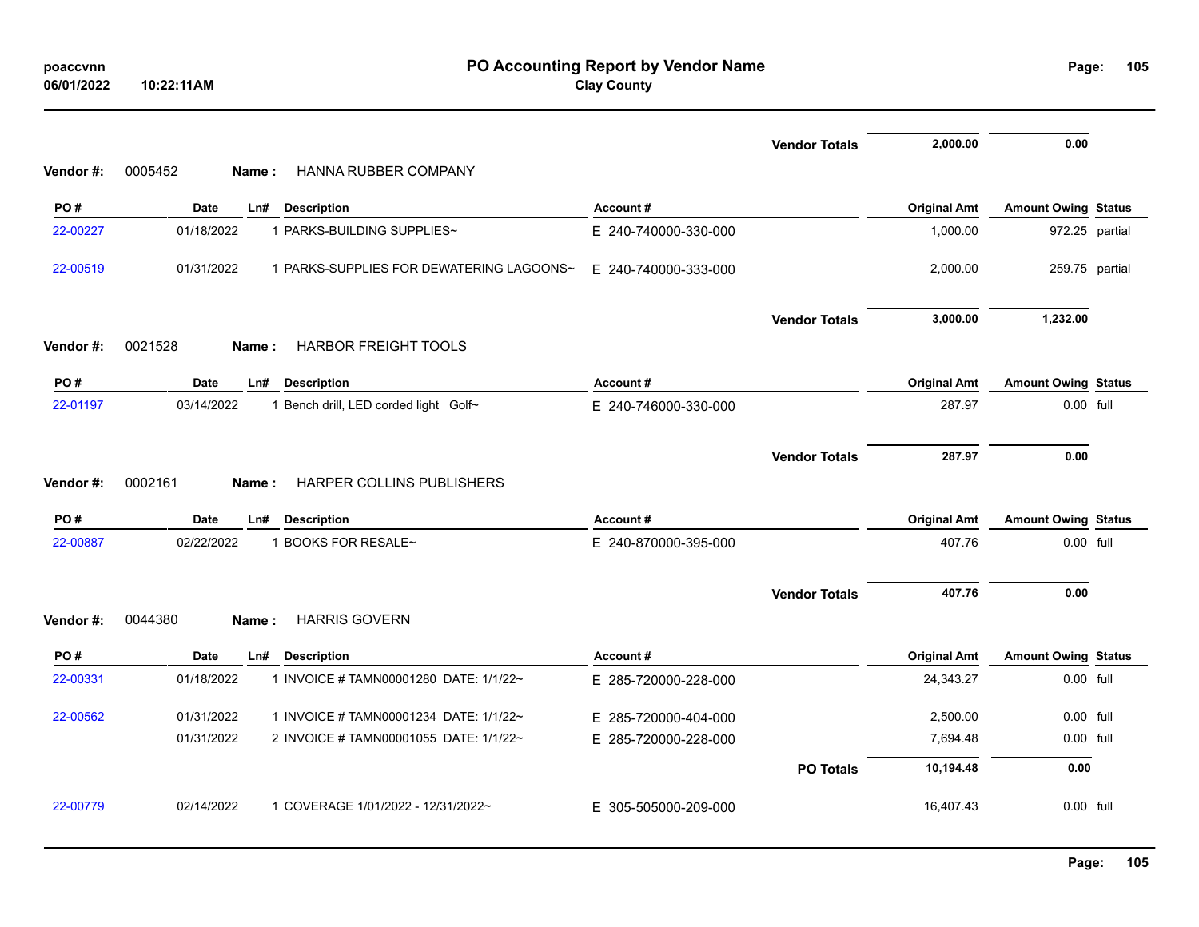| poaccvnn   |            |
|------------|------------|
| 06/01/2022 | 10:22:11AM |

**PO Accounting Report by Vendor Name poaccvnn Page: Clay County**

Page: 105

|          |                                                        |                      | <b>Vendor Totals</b> | 2,000.00            | 0.00                       |  |
|----------|--------------------------------------------------------|----------------------|----------------------|---------------------|----------------------------|--|
| Vendor#: | HANNA RUBBER COMPANY<br>0005452<br>Name:               |                      |                      |                     |                            |  |
| PO#      | <b>Date</b><br><b>Description</b><br>Ln#               | Account#             |                      | <b>Original Amt</b> | <b>Amount Owing Status</b> |  |
| 22-00227 | 01/18/2022<br>1 PARKS-BUILDING SUPPLIES~               | E 240-740000-330-000 |                      | 1,000.00            | 972.25 partial             |  |
| 22-00519 | 01/31/2022<br>1 PARKS-SUPPLIES FOR DEWATERING LAGOONS~ | E 240-740000-333-000 |                      | 2,000.00            | 259.75 partial             |  |
|          |                                                        |                      | <b>Vendor Totals</b> | 3,000.00            | 1,232.00                   |  |
| Vendor#: | 0021528<br><b>HARBOR FREIGHT TOOLS</b><br>Name:        |                      |                      |                     |                            |  |
| PO#      | <b>Date</b><br><b>Description</b><br>Ln#               | Account#             |                      | <b>Original Amt</b> | <b>Amount Owing Status</b> |  |
| 22-01197 | 03/14/2022<br>1 Bench drill, LED corded light Golf~    | E 240-746000-330-000 |                      | 287.97              | 0.00 full                  |  |
|          |                                                        |                      | <b>Vendor Totals</b> | 287.97              | 0.00                       |  |
| Vendor#: | 0002161<br><b>HARPER COLLINS PUBLISHERS</b><br>Name:   |                      |                      |                     |                            |  |
| PO#      | <b>Date</b><br>Ln#<br><b>Description</b>               | Account#             |                      | <b>Original Amt</b> | <b>Amount Owing Status</b> |  |
| 22-00887 | 02/22/2022<br>1 BOOKS FOR RESALE~                      | E 240-870000-395-000 |                      | 407.76              | 0.00 full                  |  |
|          |                                                        |                      | <b>Vendor Totals</b> | 407.76              | 0.00                       |  |
| Vendor#: | <b>HARRIS GOVERN</b><br>0044380<br>Name:               |                      |                      |                     |                            |  |
| PO#      | <b>Date</b><br><b>Description</b><br>Ln#               | Account#             |                      | <b>Original Amt</b> | <b>Amount Owing Status</b> |  |
| 22-00331 | 01/18/2022<br>1 INVOICE # TAMN00001280 DATE: 1/1/22~   | E 285-720000-228-000 |                      | 24,343.27           | 0.00 full                  |  |
| 22-00562 | 01/31/2022<br>1 INVOICE # TAMN00001234 DATE: 1/1/22~   | E 285-720000-404-000 |                      | 2,500.00            | 0.00 full                  |  |
|          | 01/31/2022<br>2 INVOICE # TAMN00001055 DATE: 1/1/22~   | E 285-720000-228-000 |                      | 7,694.48            | 0.00 full                  |  |
|          |                                                        |                      | <b>PO Totals</b>     | 10,194.48           | 0.00                       |  |
| 22-00779 | 02/14/2022<br>1 COVERAGE 1/01/2022 - 12/31/2022~       | E 305-505000-209-000 |                      | 16,407.43           | 0.00 full                  |  |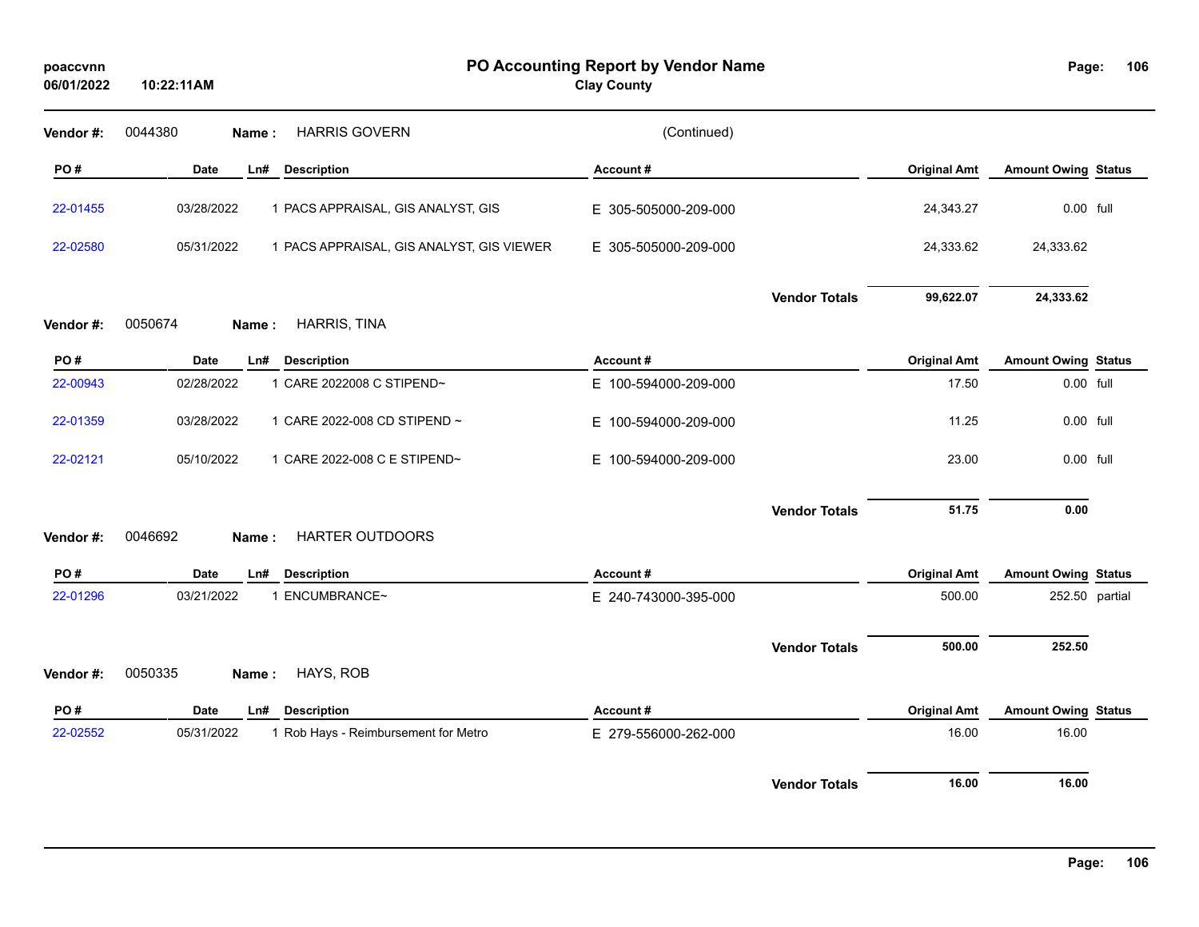| poaccvnn<br>06/01/2022 | 10:22:11AM                                              | PO Accounting Report by Vendor Name<br><b>Clay County</b> |                     | Page:                      | 106 |
|------------------------|---------------------------------------------------------|-----------------------------------------------------------|---------------------|----------------------------|-----|
| Vendor#:               | <b>HARRIS GOVERN</b><br>0044380<br>Name:                | (Continued)                                               |                     |                            |     |
| PO#                    | Date<br><b>Description</b><br>Ln#                       | Account#                                                  | <b>Original Amt</b> | <b>Amount Owing Status</b> |     |
| 22-01455               | 03/28/2022<br>1 PACS APPRAISAL, GIS ANALYST, GIS        | E 305-505000-209-000                                      | 24,343.27           | 0.00 full                  |     |
| 22-02580               | 05/31/2022<br>1 PACS APPRAISAL, GIS ANALYST, GIS VIEWER | E 305-505000-209-000                                      | 24,333.62           | 24,333.62                  |     |
|                        |                                                         | <b>Vendor Totals</b>                                      | 99,622.07           | 24,333.62                  |     |
| Vendor#:               | 0050674<br>HARRIS, TINA<br>Name:                        |                                                           |                     |                            |     |
| PO#                    | <b>Date</b><br><b>Description</b><br>Ln#                | Account#                                                  | <b>Original Amt</b> | <b>Amount Owing Status</b> |     |
| 22-00943               | 02/28/2022<br>1 CARE 2022008 C STIPEND~                 | E 100-594000-209-000                                      | 17.50               | 0.00 full                  |     |
| 22-01359               | 03/28/2022<br>1 CARE 2022-008 CD STIPEND ~              | E 100-594000-209-000                                      | 11.25               | 0.00 full                  |     |
| 22-02121               | 05/10/2022<br>1 CARE 2022-008 C E STIPEND~              | E 100-594000-209-000                                      | 23.00               | 0.00 full                  |     |
|                        |                                                         | <b>Vendor Totals</b>                                      | 51.75               | 0.00                       |     |
| Vendor#:               | HARTER OUTDOORS<br>0046692<br>Name:                     |                                                           |                     |                            |     |
| PO#                    | <b>Date</b><br><b>Description</b><br>Ln#                | Account#                                                  | <b>Original Amt</b> | <b>Amount Owing Status</b> |     |
| 22-01296               | 03/21/2022<br>1 ENCUMBRANCE~                            | E 240-743000-395-000                                      | 500.00              | 252.50 partial             |     |
|                        |                                                         | <b>Vendor Totals</b>                                      | 500.00              | 252.50                     |     |
| Vendor#:               | 0050335<br>HAYS, ROB<br>Name:                           |                                                           |                     |                            |     |
| PO#                    | <b>Date</b><br><b>Description</b><br>Ln#                | Account#                                                  | <b>Original Amt</b> | <b>Amount Owing Status</b> |     |
| 22-02552               | 05/31/2022<br>1 Rob Hays - Reimbursement for Metro      | E 279-556000-262-000                                      | 16.00               | 16.00                      |     |
|                        |                                                         | <b>Vendor Totals</b>                                      | 16.00               | 16.00                      |     |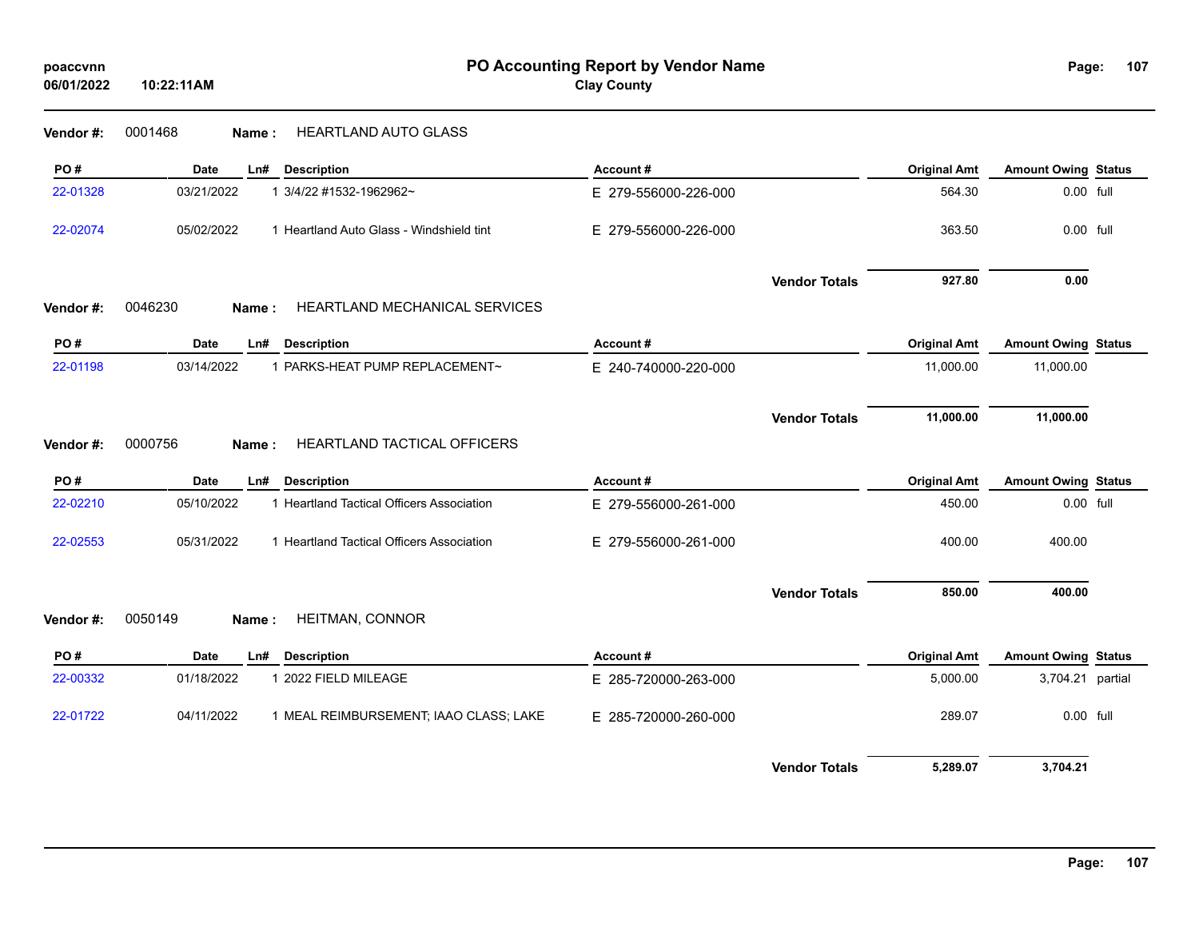| poaccvnn<br>06/01/2022 | PO Accounting Report by Vendor Name<br><b>Clay County</b><br>10:22:11AM |                      |                     |                            | 107<br>Page: |  |
|------------------------|-------------------------------------------------------------------------|----------------------|---------------------|----------------------------|--------------|--|
| Vendor#:               | <b>HEARTLAND AUTO GLASS</b><br>0001468<br>Name:                         |                      |                     |                            |              |  |
| PO#                    | <b>Date</b><br><b>Description</b><br>Ln#                                | Account#             | <b>Original Amt</b> | <b>Amount Owing Status</b> |              |  |
| 22-01328               | 03/21/2022<br>1 3/4/22 #1532-1962962~                                   | E 279-556000-226-000 | 564.30              | 0.00 full                  |              |  |
| 22-02074               | 05/02/2022<br>1 Heartland Auto Glass - Windshield tint                  | E 279-556000-226-000 | 363.50              | 0.00 full                  |              |  |
|                        |                                                                         | <b>Vendor Totals</b> | 927.80              | 0.00                       |              |  |
| Vendor#:               | 0046230<br><b>HEARTLAND MECHANICAL SERVICES</b><br>Name:                |                      |                     |                            |              |  |
| PO#                    | <b>Description</b><br><b>Date</b><br>Ln#                                | Account#             | <b>Original Amt</b> | <b>Amount Owing Status</b> |              |  |
| 22-01198               | 03/14/2022<br>1 PARKS-HEAT PUMP REPLACEMENT~                            | E 240-740000-220-000 | 11,000.00           | 11,000.00                  |              |  |
| Vendor#:               | 0000756<br>HEARTLAND TACTICAL OFFICERS<br>Name:                         | <b>Vendor Totals</b> | 11,000.00           | 11,000.00                  |              |  |
| PO#                    | <b>Description</b><br><b>Date</b><br>Ln#                                | Account#             | <b>Original Amt</b> | <b>Amount Owing Status</b> |              |  |
| 22-02210               | 05/10/2022<br>1 Heartland Tactical Officers Association                 | E 279-556000-261-000 | 450.00              | 0.00 full                  |              |  |
| 22-02553               | 05/31/2022<br>1 Heartland Tactical Officers Association                 | E 279-556000-261-000 | 400.00              | 400.00                     |              |  |
|                        |                                                                         | <b>Vendor Totals</b> | 850.00              | 400.00                     |              |  |
| Vendor#:               | 0050149<br>HEITMAN, CONNOR<br>Name:                                     |                      |                     |                            |              |  |
| PO#                    | <b>Date</b><br><b>Description</b><br>Ln#                                | Account#             | <b>Original Amt</b> | <b>Amount Owing Status</b> |              |  |
| 22-00332               | 01/18/2022<br>1 2022 FIELD MILEAGE                                      | E 285-720000-263-000 | 5,000.00            | 3,704.21 partial           |              |  |
| 22-01722               | 04/11/2022<br>1 MEAL REIMBURSEMENT; IAAO CLASS; LAKE                    | E 285-720000-260-000 | 289.07              | 0.00 full                  |              |  |
|                        |                                                                         | <b>Vendor Totals</b> | 5,289.07            | 3,704.21                   |              |  |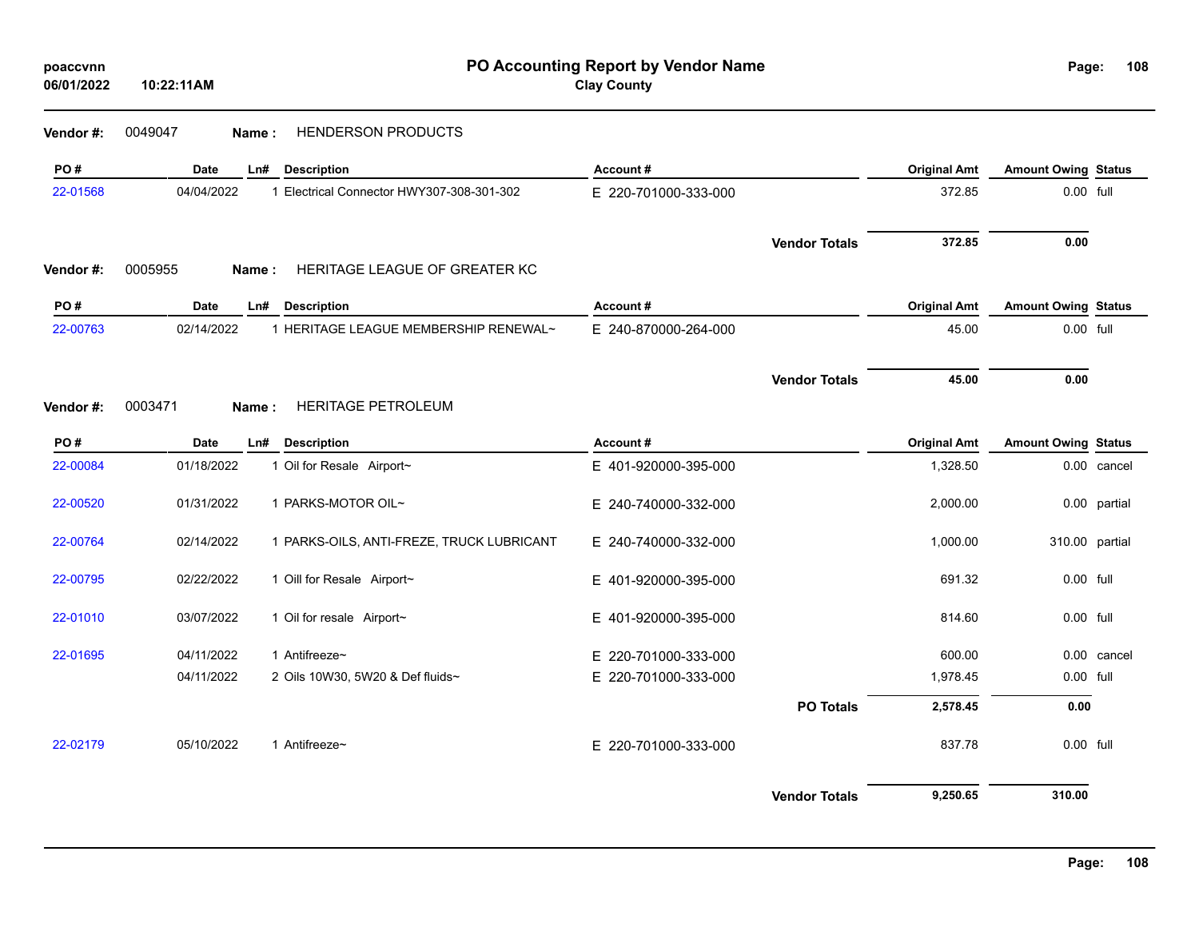| poaccynn   |            |
|------------|------------|
| 06/01/2022 | 10:22:11AM |

| Vendor #: | 0049047<br>Name: | HENDERSON PRODUCTS                        |                      |                      |                     |                            |              |
|-----------|------------------|-------------------------------------------|----------------------|----------------------|---------------------|----------------------------|--------------|
| PO#       | Date             | <b>Description</b><br>Ln#                 | Account#             |                      | <b>Original Amt</b> | <b>Amount Owing Status</b> |              |
| 22-01568  | 04/04/2022       | 1 Electrical Connector HWY307-308-301-302 | E 220-701000-333-000 |                      | 372.85              | 0.00 full                  |              |
|           |                  |                                           |                      | <b>Vendor Totals</b> | 372.85              | 0.00                       |              |
| Vendor#:  | 0005955<br>Name: | HERITAGE LEAGUE OF GREATER KC             |                      |                      |                     |                            |              |
| PO#       | Date             | <b>Description</b><br>Ln#                 | Account#             |                      | <b>Original Amt</b> | <b>Amount Owing Status</b> |              |
| 22-00763  | 02/14/2022       | 1 HERITAGE LEAGUE MEMBERSHIP RENEWAL~     | E 240-870000-264-000 |                      | 45.00               | 0.00 full                  |              |
|           |                  |                                           |                      | <b>Vendor Totals</b> | 45.00               | 0.00                       |              |
| Vendor#:  | 0003471<br>Name: | HERITAGE PETROLEUM                        |                      |                      |                     |                            |              |
| PO#       | Date             | <b>Description</b><br>Ln#                 | Account#             |                      | <b>Original Amt</b> | <b>Amount Owing Status</b> |              |
| 22-00084  | 01/18/2022       | 1 Oil for Resale Airport~                 | E 401-920000-395-000 |                      | 1,328.50            |                            | 0.00 cancel  |
| 22-00520  | 01/31/2022       | 1 PARKS-MOTOR OIL~                        | E 240-740000-332-000 |                      | 2,000.00            |                            | 0.00 partial |
| 22-00764  | 02/14/2022       | 1 PARKS-OILS, ANTI-FREZE, TRUCK LUBRICANT | E 240-740000-332-000 |                      | 1,000.00            | 310.00 partial             |              |
| 22-00795  | 02/22/2022       | 1 Oill for Resale Airport~                | E 401-920000-395-000 |                      | 691.32              | 0.00 full                  |              |
| 22-01010  | 03/07/2022       | 1 Oil for resale Airport~                 | E 401-920000-395-000 |                      | 814.60              | 0.00 full                  |              |
| 22-01695  | 04/11/2022       | 1 Antifreeze~                             | E 220-701000-333-000 |                      | 600.00              |                            | 0.00 cancel  |
|           | 04/11/2022       | 2 Oils 10W30, 5W20 & Def fluids~          | E 220-701000-333-000 |                      | 1,978.45            | 0.00 full                  |              |
|           |                  |                                           |                      | <b>PO Totals</b>     | 2,578.45            | 0.00                       |              |
| 22-02179  | 05/10/2022       | 1 Antifreeze~                             | E 220-701000-333-000 |                      | 837.78              | 0.00 full                  |              |
|           |                  |                                           |                      | <b>Vendor Totals</b> | 9,250.65            | 310.00                     |              |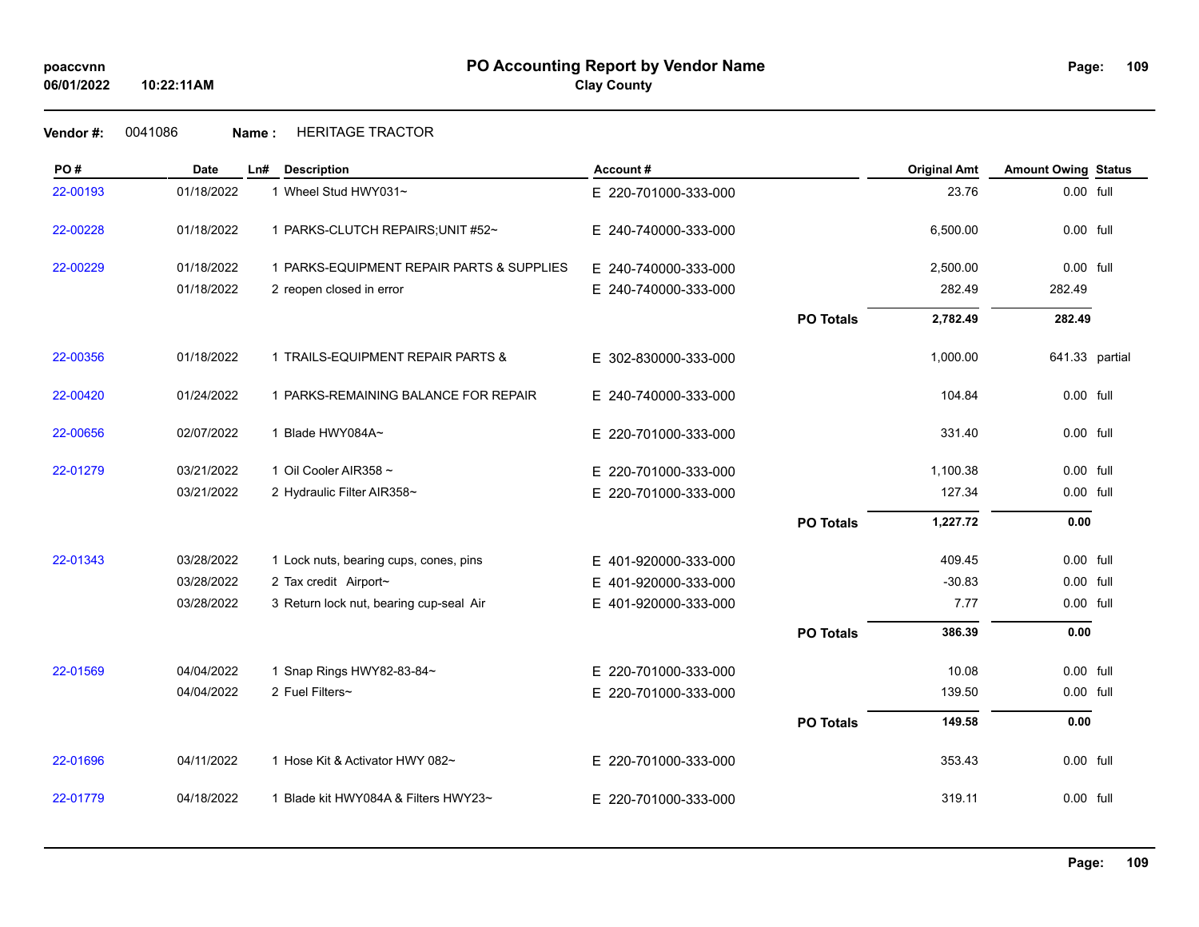## **Vendor #:** 0041086 **Name :** HERITAGE TRACTOR

| PO#      | <b>Date</b> | Ln# | <b>Description</b>                        | Account#                 |                  | <b>Original Amt</b> | <b>Amount Owing Status</b> |  |
|----------|-------------|-----|-------------------------------------------|--------------------------|------------------|---------------------|----------------------------|--|
| 22-00193 | 01/18/2022  |     | 1 Wheel Stud HWY031~                      | E 220-701000-333-000     |                  | 23.76               | 0.00 full                  |  |
| 22-00228 | 01/18/2022  |     | 1 PARKS-CLUTCH REPAIRS; UNIT #52~         | E 240-740000-333-000     |                  | 6,500.00            | 0.00 full                  |  |
| 22-00229 | 01/18/2022  |     | 1 PARKS-EQUIPMENT REPAIR PARTS & SUPPLIES | E 240-740000-333-000     |                  | 2,500.00            | 0.00 full                  |  |
|          | 01/18/2022  |     | 2 reopen closed in error                  | E 240-740000-333-000     |                  | 282.49              | 282.49                     |  |
|          |             |     |                                           |                          | <b>PO Totals</b> | 2,782.49            | 282.49                     |  |
| 22-00356 | 01/18/2022  |     | 1 TRAILS-EQUIPMENT REPAIR PARTS &         | E 302-830000-333-000     |                  | 1,000.00            | 641.33 partial             |  |
| 22-00420 | 01/24/2022  |     | 1 PARKS-REMAINING BALANCE FOR REPAIR      | E 240-740000-333-000     |                  | 104.84              | 0.00 full                  |  |
| 22-00656 | 02/07/2022  |     | 1 Blade HWY084A~                          | E 220-701000-333-000     |                  | 331.40              | 0.00 full                  |  |
| 22-01279 | 03/21/2022  |     | 1 Oil Cooler AIR358 ~                     | E 220-701000-333-000     |                  | 1,100.38            | 0.00 full                  |  |
|          | 03/21/2022  |     | 2 Hydraulic Filter AIR358~                | E 220-701000-333-000     |                  | 127.34              | 0.00 full                  |  |
|          |             |     |                                           |                          | <b>PO Totals</b> | 1,227.72            | 0.00                       |  |
| 22-01343 | 03/28/2022  |     | 1 Lock nuts, bearing cups, cones, pins    | E 401-920000-333-000     |                  | 409.45              | 0.00 full                  |  |
|          | 03/28/2022  |     | 2 Tax credit Airport~                     | 401-920000-333-000<br>E. |                  | $-30.83$            | 0.00 full                  |  |
|          | 03/28/2022  |     | 3 Return lock nut, bearing cup-seal Air   | E 401-920000-333-000     |                  | 7.77                | 0.00 full                  |  |
|          |             |     |                                           |                          | <b>PO Totals</b> | 386.39              | 0.00                       |  |
| 22-01569 | 04/04/2022  |     | 1 Snap Rings HWY82-83-84~                 | E 220-701000-333-000     |                  | 10.08               | 0.00 full                  |  |
|          | 04/04/2022  |     | 2 Fuel Filters~                           | E 220-701000-333-000     |                  | 139.50              | 0.00 full                  |  |
|          |             |     |                                           |                          | <b>PO Totals</b> | 149.58              | 0.00                       |  |
| 22-01696 | 04/11/2022  |     | 1 Hose Kit & Activator HWY 082~           | E 220-701000-333-000     |                  | 353.43              | 0.00 full                  |  |
| 22-01779 | 04/18/2022  |     | 1 Blade kit HWY084A & Filters HWY23~      | E 220-701000-333-000     |                  | 319.11              | $0.00$ full                |  |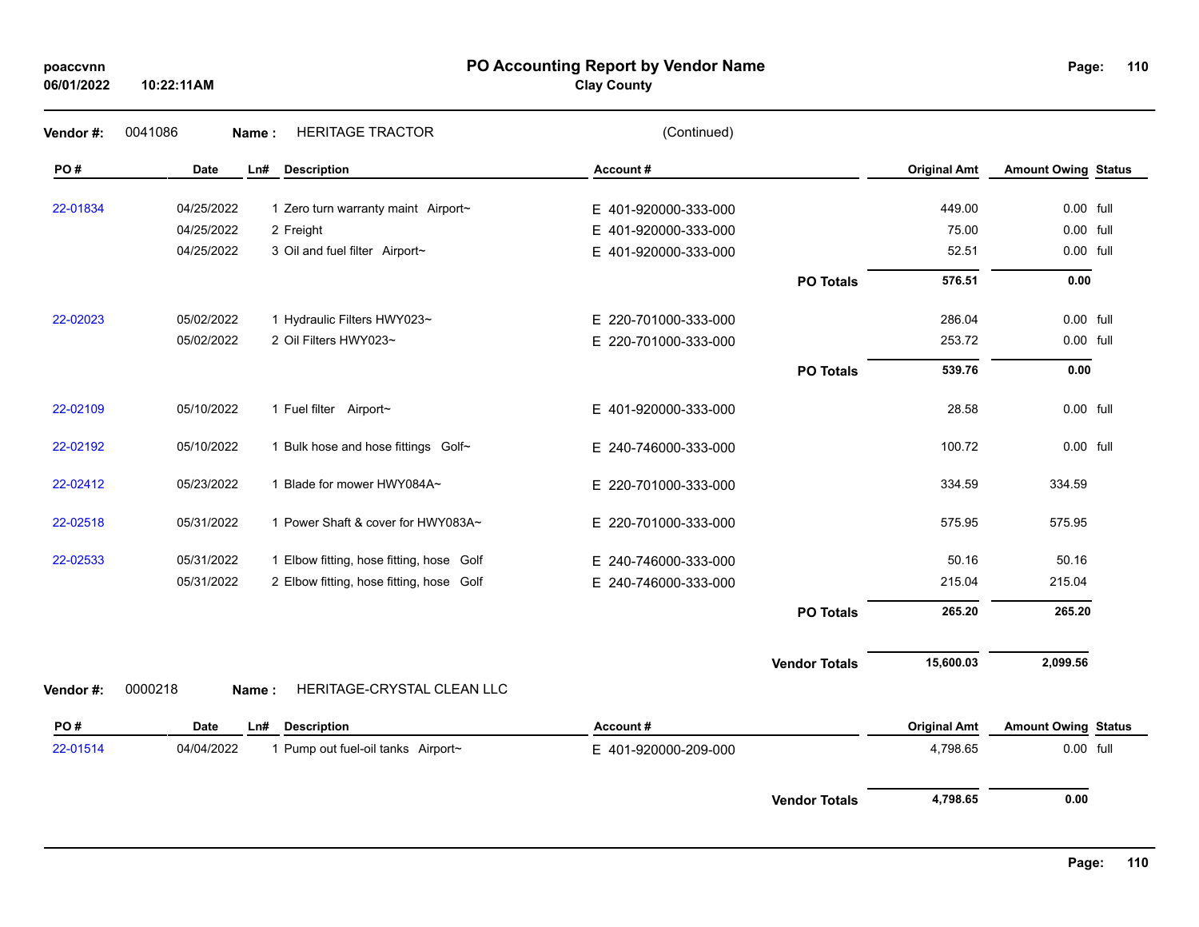### **PO Accounting Report by Vendor Name poaccvnn Page:**

**Clay County**

| Vendor #: | 0041086<br>Name: | <b>HERITAGE TRACTOR</b>                  | (Continued)          |                      |                     |                            |  |
|-----------|------------------|------------------------------------------|----------------------|----------------------|---------------------|----------------------------|--|
| PO#       | <b>Date</b>      | Ln#<br><b>Description</b>                | Account#             |                      | <b>Original Amt</b> | <b>Amount Owing Status</b> |  |
| 22-01834  | 04/25/2022       | 1 Zero turn warranty maint Airport~      | E 401-920000-333-000 |                      | 449.00              | 0.00 full                  |  |
|           | 04/25/2022       | 2 Freight                                | E 401-920000-333-000 |                      | 75.00               | 0.00 full                  |  |
|           | 04/25/2022       | 3 Oil and fuel filter Airport~           | E 401-920000-333-000 |                      | 52.51               | 0.00 full                  |  |
|           |                  |                                          |                      | <b>PO Totals</b>     | 576.51              | 0.00                       |  |
| 22-02023  | 05/02/2022       | 1 Hydraulic Filters HWY023~              | E 220-701000-333-000 |                      | 286.04              | 0.00 full                  |  |
|           | 05/02/2022       | 2 Oil Filters HWY023~                    | E 220-701000-333-000 |                      | 253.72              | 0.00 full                  |  |
|           |                  |                                          |                      | <b>PO Totals</b>     | 539.76              | 0.00                       |  |
| 22-02109  | 05/10/2022       | 1 Fuel filter Airport~                   | E 401-920000-333-000 |                      | 28.58               | 0.00 full                  |  |
| 22-02192  | 05/10/2022       | 1 Bulk hose and hose fittings Golf~      | E 240-746000-333-000 |                      | 100.72              | 0.00 full                  |  |
| 22-02412  | 05/23/2022       | 1 Blade for mower HWY084A~               | E 220-701000-333-000 |                      | 334.59              | 334.59                     |  |
| 22-02518  | 05/31/2022       | 1 Power Shaft & cover for HWY083A~       | E 220-701000-333-000 |                      | 575.95              | 575.95                     |  |
| 22-02533  | 05/31/2022       | 1 Elbow fitting, hose fitting, hose Golf | E 240-746000-333-000 |                      | 50.16               | 50.16                      |  |
|           | 05/31/2022       | 2 Elbow fitting, hose fitting, hose Golf | E 240-746000-333-000 |                      | 215.04              | 215.04                     |  |
|           |                  |                                          |                      | <b>PO Totals</b>     | 265.20              | 265.20                     |  |
|           |                  |                                          |                      | <b>Vendor Totals</b> | 15,600.03           | 2,099.56                   |  |
| Vendor#:  | 0000218<br>Name: | HERITAGE-CRYSTAL CLEAN LLC               |                      |                      |                     |                            |  |
| PO#       | Date             | <b>Description</b><br>Ln#                | Account#             |                      | <b>Original Amt</b> | <b>Amount Owing Status</b> |  |
| 22-01514  | 04/04/2022       | 1 Pump out fuel-oil tanks Airport~       | E 401-920000-209-000 |                      | 4,798.65            | 0.00 full                  |  |
|           |                  |                                          |                      | <b>Vendor Totals</b> | 4,798.65            | 0.00                       |  |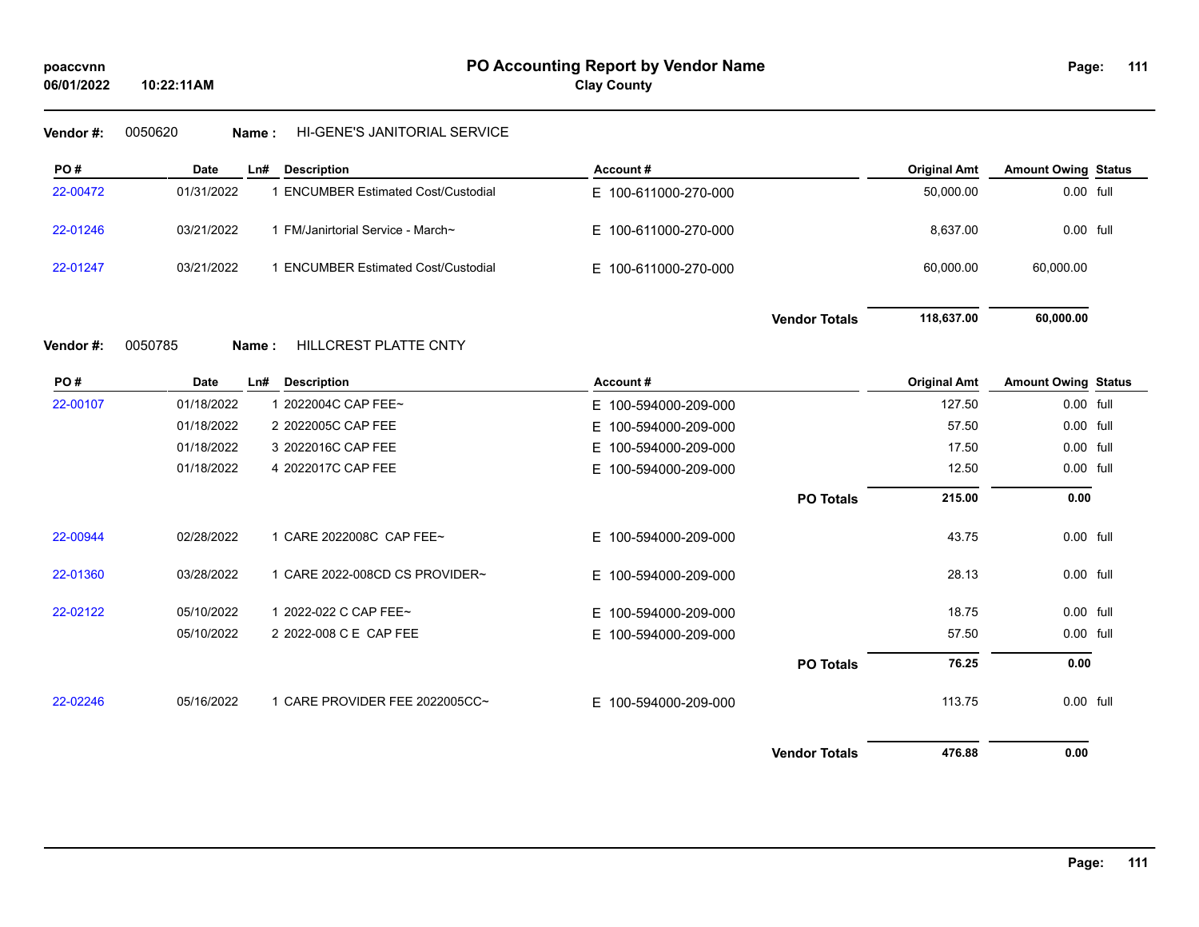## **Vendor #:** 0050620 **Name :** HI-GENE'S JANITORIAL SERVICE

| PO#      | Date       | L <sub>n#</sub> | <b>Description</b>                       | Account#             |                      | <b>Original Amt</b> | <b>Amount Owing Status</b> |  |
|----------|------------|-----------------|------------------------------------------|----------------------|----------------------|---------------------|----------------------------|--|
| 22-00472 | 01/31/2022 |                 | <b>ENCUMBER Estimated Cost/Custodial</b> | E 100-611000-270-000 |                      | 50,000.00           | 0.00 full                  |  |
| 22-01246 | 03/21/2022 |                 | FM/Janirtorial Service - March~          | E 100-611000-270-000 |                      | 8,637.00            | 0.00 full                  |  |
| 22-01247 | 03/21/2022 |                 | <b>ENCUMBER Estimated Cost/Custodial</b> | E 100-611000-270-000 |                      | 60,000.00           | 60,000.00                  |  |
|          |            |                 |                                          |                      | <b>Vendor Totals</b> | 118,637.00          | 60,000.00                  |  |

# **Vendor #:** 0050785 **Name :** HILLCREST PLATTE CNTY

| PO#      | Date       | Ln#<br><b>Description</b>      | Account#             |                      | <b>Original Amt</b> | <b>Amount Owing Status</b> |  |
|----------|------------|--------------------------------|----------------------|----------------------|---------------------|----------------------------|--|
| 22-00107 | 01/18/2022 | 1 2022004C CAP FEE~            | E 100-594000-209-000 |                      | 127.50              | 0.00 full                  |  |
|          | 01/18/2022 | 2 2022005C CAP FEE             | E 100-594000-209-000 |                      | 57.50               | 0.00 full                  |  |
|          | 01/18/2022 | 3 2022016C CAP FEE             | E 100-594000-209-000 |                      | 17.50               | $0.00$ full                |  |
|          | 01/18/2022 | 4 2022017C CAP FEE             | E 100-594000-209-000 |                      | 12.50               | $0.00$ full                |  |
|          |            |                                |                      | <b>PO Totals</b>     | 215.00              | 0.00                       |  |
| 22-00944 | 02/28/2022 | 1 CARE 2022008C CAP FEE~       | E 100-594000-209-000 |                      | 43.75               | $0.00$ full                |  |
| 22-01360 | 03/28/2022 | 1 CARE 2022-008CD CS PROVIDER~ | E 100-594000-209-000 |                      | 28.13               | 0.00 full                  |  |
| 22-02122 | 05/10/2022 | 1 2022-022 C CAP FEE~          | E 100-594000-209-000 |                      | 18.75               | $0.00$ full                |  |
|          | 05/10/2022 | 2 2022-008 C E CAP FEE         | E 100-594000-209-000 |                      | 57.50               | $0.00$ full                |  |
|          |            |                                |                      | <b>PO Totals</b>     | 76.25               | 0.00                       |  |
| 22-02246 | 05/16/2022 | 1 CARE PROVIDER FEE 2022005CC~ | E 100-594000-209-000 |                      | 113.75              | $0.00$ full                |  |
|          |            |                                |                      | <b>Vendor Totals</b> | 476.88              | 0.00                       |  |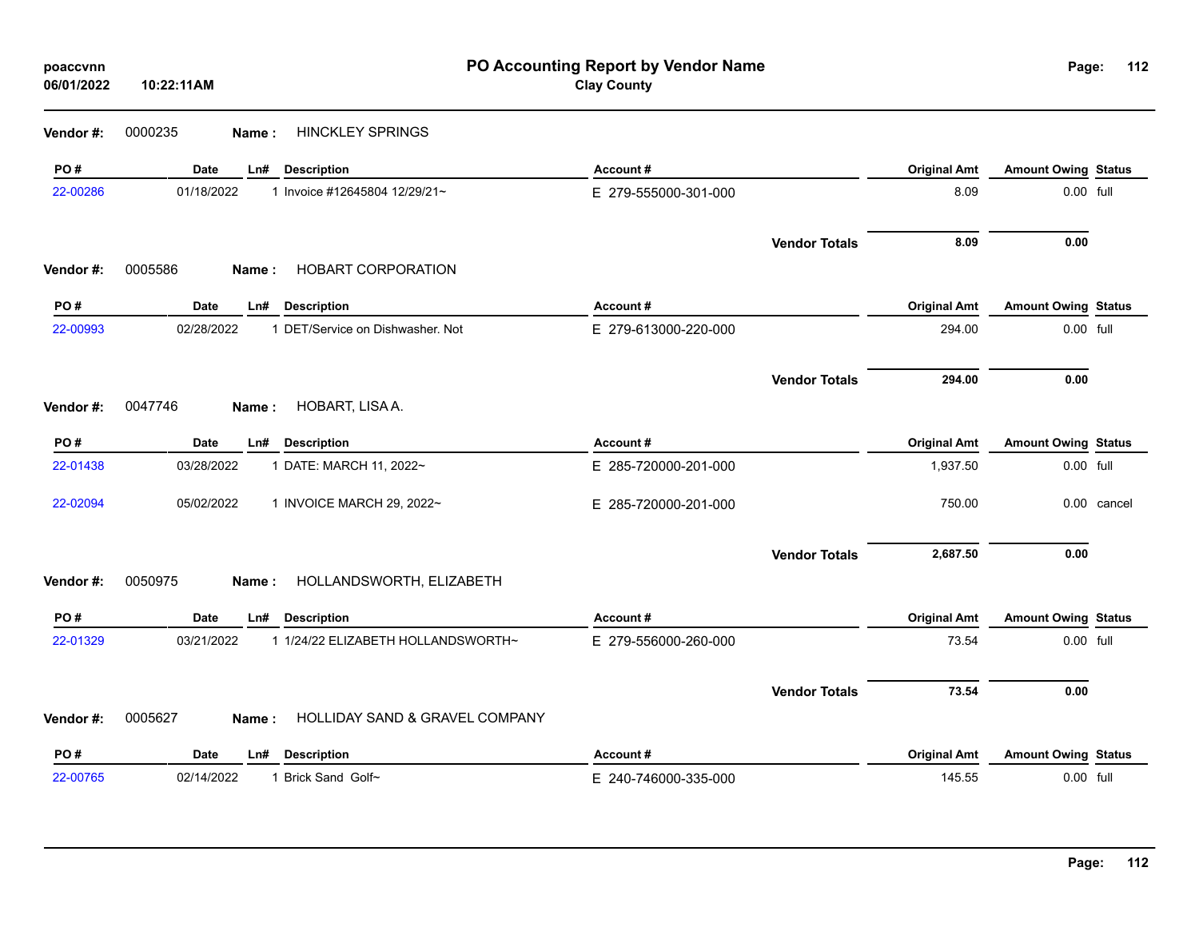| poaccvnn<br>06/01/2022 | 10:22:11AM                                     |                                    | PO Accounting Report by Vendor Name<br><b>Clay County</b> |                      |                     | Page:                      | 112         |
|------------------------|------------------------------------------------|------------------------------------|-----------------------------------------------------------|----------------------|---------------------|----------------------------|-------------|
| Vendor #:              | <b>HINCKLEY SPRINGS</b><br>0000235<br>Name:    |                                    |                                                           |                      |                     |                            |             |
| PO#                    | Date<br>Ln# Description                        |                                    | Account#                                                  |                      | <b>Original Amt</b> | <b>Amount Owing Status</b> |             |
| 22-00286               | 01/18/2022<br>1 Invoice #12645804 12/29/21~    |                                    | E 279-555000-301-000                                      |                      | 8.09                | 0.00 full                  |             |
|                        |                                                |                                    |                                                           | <b>Vendor Totals</b> | 8.09                | 0.00                       |             |
| Vendor#:               | 0005586<br>Name:                               | HOBART CORPORATION                 |                                                           |                      |                     |                            |             |
| PO#                    | <b>Date</b><br><b>Description</b><br>Ln#       |                                    | Account#                                                  |                      | <b>Original Amt</b> | <b>Amount Owing Status</b> |             |
| 22-00993               | 02/28/2022<br>1 DET/Service on Dishwasher. Not |                                    | E 279-613000-220-000                                      |                      | 294.00              | 0.00 full                  |             |
|                        |                                                |                                    |                                                           | <b>Vendor Totals</b> | 294.00              | 0.00                       |             |
| Vendor#:               | 0047746<br>HOBART, LISA A.<br>Name:            |                                    |                                                           |                      |                     |                            |             |
| PO#                    | Date<br><b>Description</b><br>Ln#              |                                    | Account#                                                  |                      | <b>Original Amt</b> | <b>Amount Owing Status</b> |             |
| 22-01438               | 03/28/2022<br>1 DATE: MARCH 11, 2022~          |                                    | E 285-720000-201-000                                      |                      | 1,937.50            | 0.00 full                  |             |
| 22-02094               | 05/02/2022<br>1 INVOICE MARCH 29, 2022~        |                                    | E 285-720000-201-000                                      |                      | 750.00              |                            | 0.00 cancel |
|                        |                                                |                                    |                                                           | <b>Vendor Totals</b> | 2,687.50            | 0.00                       |             |
| Vendor#:               | 0050975<br>Name:                               | HOLLANDSWORTH, ELIZABETH           |                                                           |                      |                     |                            |             |
| PO#                    | Date<br><b>Description</b><br>Ln#              |                                    | Account#                                                  |                      | <b>Original Amt</b> | <b>Amount Owing Status</b> |             |
| 22-01329               | 03/21/2022                                     | 1 1/24/22 ELIZABETH HOLLANDSWORTH~ | E 279-556000-260-000                                      |                      | 73.54               | 0.00 full                  |             |
|                        |                                                |                                    |                                                           | <b>Vendor Totals</b> | 73.54               | 0.00                       |             |
| Vendor#:               | 0005627<br>Name :                              | HOLLIDAY SAND & GRAVEL COMPANY     |                                                           |                      |                     |                            |             |
| PO#                    | Date<br><b>Description</b><br>Ln#              |                                    | Account#                                                  |                      | <b>Original Amt</b> | <b>Amount Owing Status</b> |             |
| 22-00765               | 02/14/2022<br>1 Brick Sand Golf~               |                                    | E 240-746000-335-000                                      |                      | 145.55              | 0.00 full                  |             |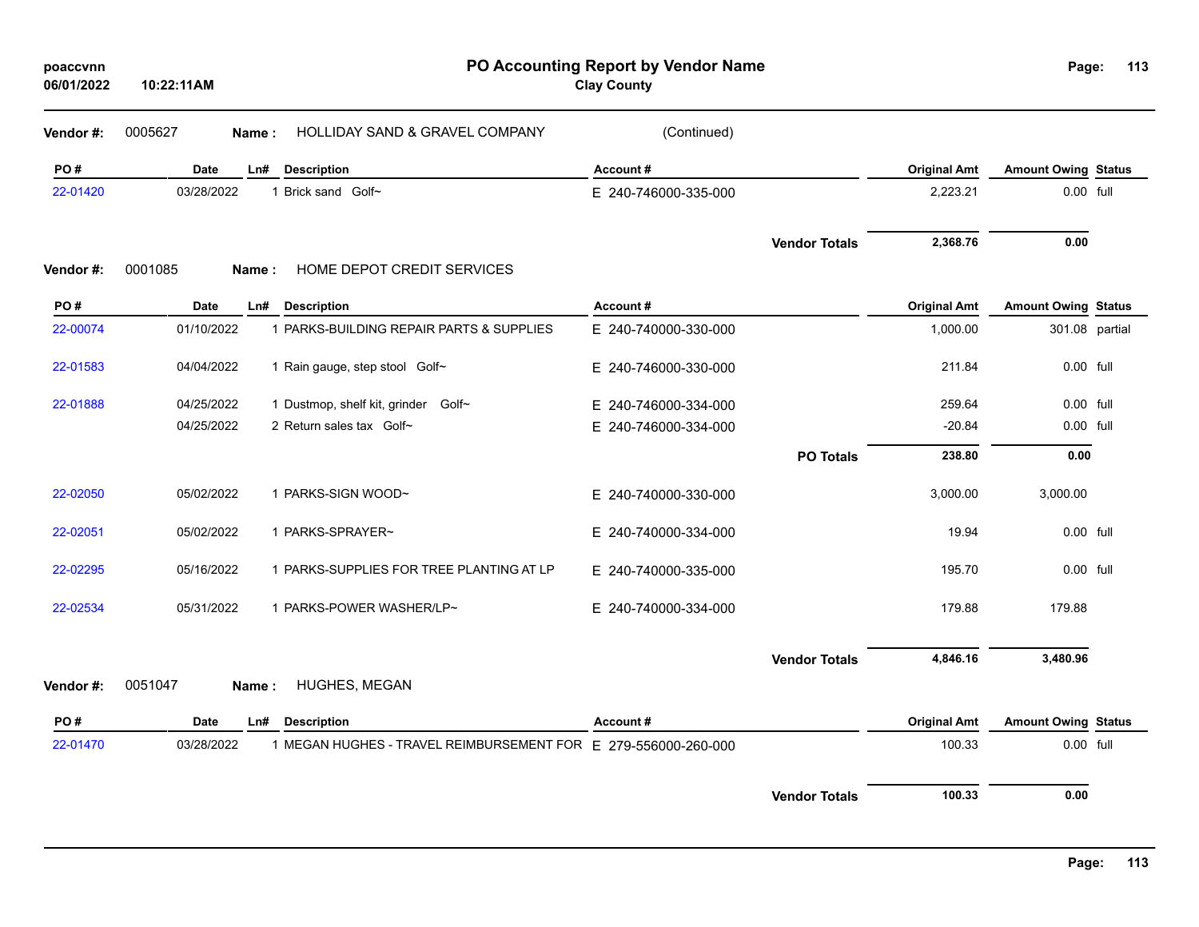| poaccynn   |            |
|------------|------------|
| 06/01/2022 | 10:22:11AM |

**Vendor #:** 

**Vendor #:** 

**PO Accounting Report by Vendor Name poaccvnn Page:**

**Clay County**

| Page: | 113 |
|-------|-----|
|       |     |

| Vendor #: | 0005627<br>Name: | HOLLIDAY SAND & GRAVEL COMPANY                                 | (Continued)          |                      |                     |                            |  |
|-----------|------------------|----------------------------------------------------------------|----------------------|----------------------|---------------------|----------------------------|--|
| PO#       | <b>Date</b>      | <b>Description</b><br>Ln#                                      | Account#             |                      | <b>Original Amt</b> | <b>Amount Owing Status</b> |  |
| 22-01420  | 03/28/2022       | 1 Brick sand Golf~                                             | E 240-746000-335-000 |                      | 2,223.21            | 0.00 full                  |  |
|           |                  |                                                                |                      | <b>Vendor Totals</b> | 2,368.76            | 0.00                       |  |
| Vendor #: | 0001085<br>Name: | HOME DEPOT CREDIT SERVICES                                     |                      |                      |                     |                            |  |
| PO#       | Date             | <b>Description</b><br>Ln#                                      | Account#             |                      | <b>Original Amt</b> | <b>Amount Owing Status</b> |  |
| 22-00074  | 01/10/2022       | 1 PARKS-BUILDING REPAIR PARTS & SUPPLIES                       | E 240-740000-330-000 |                      | 1,000.00            | 301.08 partial             |  |
| 22-01583  | 04/04/2022       | 1 Rain gauge, step stool Golf~                                 | E 240-746000-330-000 |                      | 211.84              | 0.00 full                  |  |
| 22-01888  | 04/25/2022       | 1 Dustmop, shelf kit, grinder Golf~                            | E 240-746000-334-000 |                      | 259.64              | 0.00 full                  |  |
|           | 04/25/2022       | 2 Return sales tax Golf~                                       | E 240-746000-334-000 |                      | $-20.84$            | 0.00 full                  |  |
|           |                  |                                                                |                      | <b>PO Totals</b>     | 238.80              | 0.00                       |  |
| 22-02050  | 05/02/2022       | 1 PARKS-SIGN WOOD~                                             | E 240-740000-330-000 |                      | 3,000.00            | 3,000.00                   |  |
| 22-02051  | 05/02/2022       | 1 PARKS-SPRAYER~                                               | E 240-740000-334-000 |                      | 19.94               | 0.00 full                  |  |
| 22-02295  | 05/16/2022       | 1 PARKS-SUPPLIES FOR TREE PLANTING AT LP                       | E 240-740000-335-000 |                      | 195.70              | 0.00 full                  |  |
| 22-02534  | 05/31/2022       | 1 PARKS-POWER WASHER/LP~                                       | E 240-740000-334-000 |                      | 179.88              | 179.88                     |  |
|           |                  |                                                                |                      | <b>Vendor Totals</b> | 4,846.16            | 3,480.96                   |  |
| Vendor #: | 0051047<br>Name: | HUGHES, MEGAN                                                  |                      |                      |                     |                            |  |
| PO#       | Date             | <b>Description</b><br>Ln#                                      | Account#             |                      | <b>Original Amt</b> | <b>Amount Owing Status</b> |  |
| 22-01470  | 03/28/2022       | 1 MEGAN HUGHES - TRAVEL REIMBURSEMENT FOR E 279-556000-260-000 |                      |                      | 100.33              | 0.00 full                  |  |
|           |                  |                                                                |                      | <b>Vendor Totals</b> | 100.33              | 0.00                       |  |
|           |                  |                                                                |                      |                      |                     |                            |  |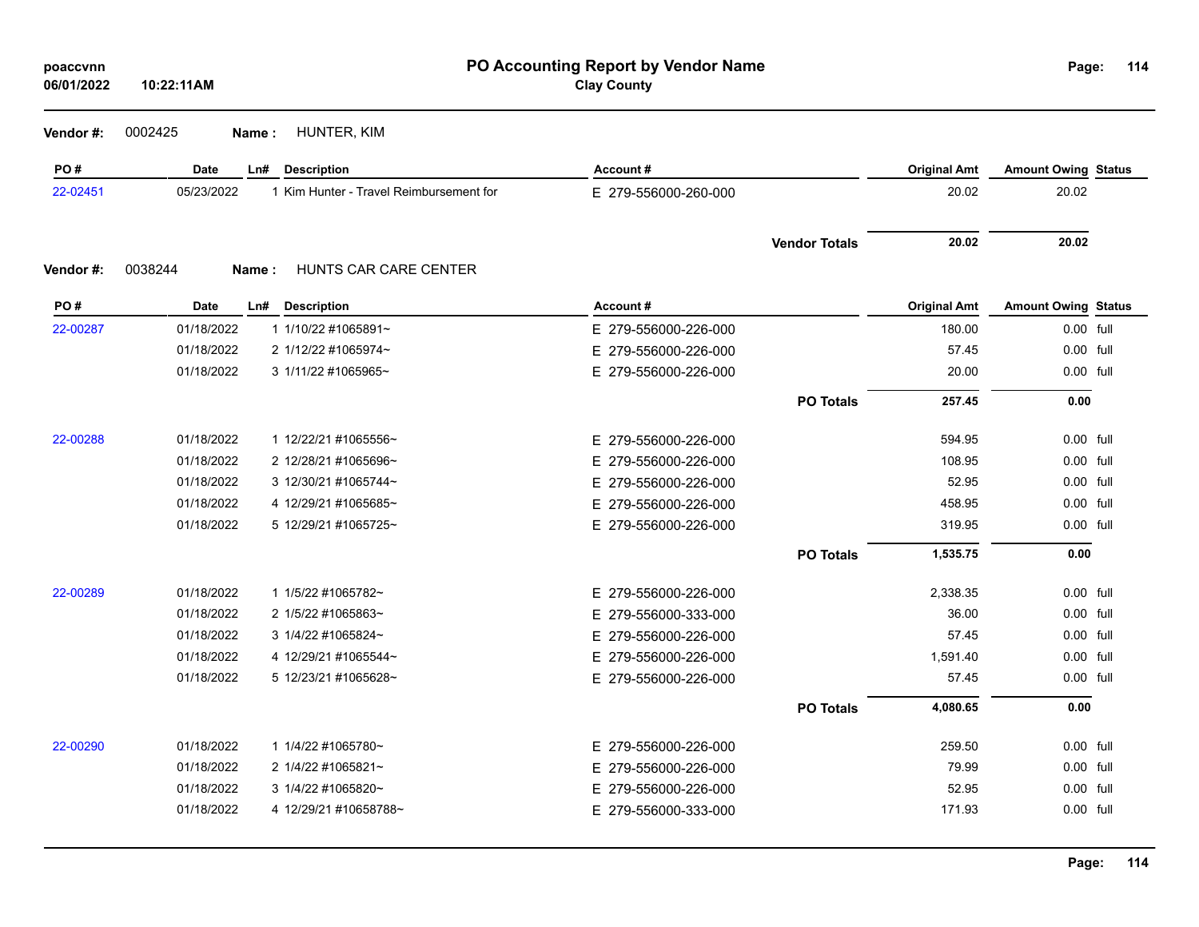| poaccvnn |  |  |  |  |  |
|----------|--|--|--|--|--|
|----------|--|--|--|--|--|

**06/01/2022**

**114**

| 0002425<br>Vendor#: | Name: | HUNTER, KIM |
|---------------------|-------|-------------|
|---------------------|-------|-------------|

**10:22:11AM**

| PO#      | <b>Date</b> | <b>Description</b><br>Ln#               | Account#             |                      | <b>Original Amt</b> | <b>Amount Owing Status</b> |  |
|----------|-------------|-----------------------------------------|----------------------|----------------------|---------------------|----------------------------|--|
| 22-02451 | 05/23/2022  | 1 Kim Hunter - Travel Reimbursement for | E 279-556000-260-000 |                      | 20.02               | 20.02                      |  |
|          |             |                                         |                      | <b>Vendor Totals</b> | 20.02               | 20.02                      |  |
| Vendor#: | 0038244     | HUNTS CAR CARE CENTER<br>Name:          |                      |                      |                     |                            |  |
| PO#      | <b>Date</b> | Ln#<br><b>Description</b>               | Account#             |                      | <b>Original Amt</b> | <b>Amount Owing Status</b> |  |
| 22-00287 | 01/18/2022  | 1 1/10/22 #1065891~                     | E 279-556000-226-000 |                      | 180.00              | 0.00 full                  |  |
|          | 01/18/2022  | 2 1/12/22 #1065974~                     | E 279-556000-226-000 |                      | 57.45               | 0.00 full                  |  |
|          | 01/18/2022  | 3 1/11/22 #1065965~                     | E 279-556000-226-000 |                      | 20.00               | 0.00 full                  |  |
|          |             |                                         |                      | <b>PO Totals</b>     | 257.45              | 0.00                       |  |
| 22-00288 | 01/18/2022  | 1 12/22/21 #1065556~                    | E 279-556000-226-000 |                      | 594.95              | 0.00 full                  |  |
|          | 01/18/2022  | 2 12/28/21 #1065696~                    | E 279-556000-226-000 |                      | 108.95              | 0.00 full                  |  |
|          | 01/18/2022  | 3 12/30/21 #1065744~                    | E 279-556000-226-000 |                      | 52.95               | 0.00 full                  |  |
|          | 01/18/2022  | 4 12/29/21 #1065685~                    | E 279-556000-226-000 |                      | 458.95              | 0.00 full                  |  |
|          | 01/18/2022  | 5 12/29/21 #1065725~                    | E 279-556000-226-000 |                      | 319.95              | 0.00 full                  |  |
|          |             |                                         |                      | <b>PO Totals</b>     | 1,535.75            | 0.00                       |  |
| 22-00289 | 01/18/2022  | 1 1/5/22 #1065782~                      | E 279-556000-226-000 |                      | 2,338.35            | 0.00 full                  |  |
|          | 01/18/2022  | 2 1/5/22 #1065863~                      | E 279-556000-333-000 |                      | 36.00               | 0.00 full                  |  |
|          | 01/18/2022  | 3 1/4/22 #1065824~                      | E 279-556000-226-000 |                      | 57.45               | 0.00 full                  |  |
|          | 01/18/2022  | 4 12/29/21 #1065544~                    | E 279-556000-226-000 |                      | 1,591.40            | 0.00 full                  |  |
|          | 01/18/2022  | 5 12/23/21 #1065628~                    | E 279-556000-226-000 |                      | 57.45               | 0.00 full                  |  |
|          |             |                                         |                      | <b>PO Totals</b>     | 4,080.65            | 0.00                       |  |
| 22-00290 | 01/18/2022  | 1 1/4/22 #1065780~                      | E 279-556000-226-000 |                      | 259.50              | 0.00 full                  |  |
|          | 01/18/2022  | 2 1/4/22 #1065821~                      | E 279-556000-226-000 |                      | 79.99               | 0.00 full                  |  |
|          | 01/18/2022  | 3 1/4/22 #1065820~                      | E 279-556000-226-000 |                      | 52.95               | 0.00 full                  |  |
|          | 01/18/2022  | 4 12/29/21 #10658788~                   | E 279-556000-333-000 |                      | 171.93              | 0.00 full                  |  |
|          |             |                                         |                      |                      |                     |                            |  |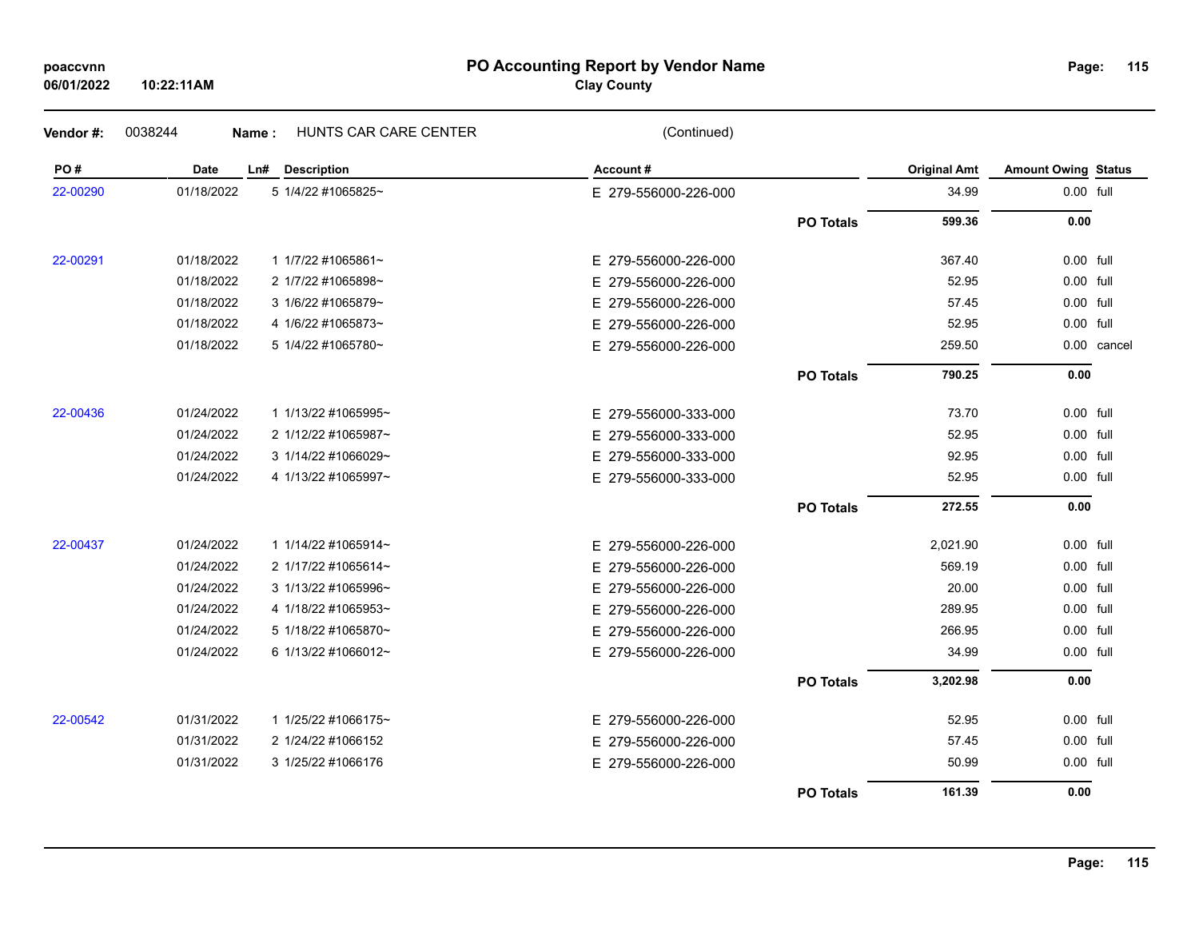### **PO Accounting Report by Vendor Name poaccvnn Page:**

**Clay County**

| PO#      | Date       | <b>Description</b><br>Ln# | Account#             |                  | <b>Original Amt</b> | <b>Amount Owing Status</b> |             |
|----------|------------|---------------------------|----------------------|------------------|---------------------|----------------------------|-------------|
| 22-00290 | 01/18/2022 | 5 1/4/22 #1065825~        | E 279-556000-226-000 |                  | 34.99               | 0.00 full                  |             |
|          |            |                           |                      | <b>PO Totals</b> | 599.36              | 0.00                       |             |
| 22-00291 | 01/18/2022 | 1 1/7/22 #1065861~        | E 279-556000-226-000 |                  | 367.40              | 0.00 full                  |             |
|          | 01/18/2022 | 2 1/7/22 #1065898~        | E 279-556000-226-000 |                  | 52.95               | 0.00 full                  |             |
|          | 01/18/2022 | 3 1/6/22 #1065879~        | E 279-556000-226-000 |                  | 57.45               | 0.00 full                  |             |
|          | 01/18/2022 | 4 1/6/22 #1065873~        | E 279-556000-226-000 |                  | 52.95               | 0.00 full                  |             |
|          | 01/18/2022 | 5 1/4/22 #1065780~        | E 279-556000-226-000 |                  | 259.50              |                            | 0.00 cancel |
|          |            |                           |                      | <b>PO Totals</b> | 790.25              | 0.00                       |             |
| 22-00436 | 01/24/2022 | 1 1/13/22 #1065995~       | E 279-556000-333-000 |                  | 73.70               | 0.00 full                  |             |
|          | 01/24/2022 | 2 1/12/22 #1065987~       | E 279-556000-333-000 |                  | 52.95               | 0.00 full                  |             |
|          | 01/24/2022 | 3 1/14/22 #1066029~       | E 279-556000-333-000 |                  | 92.95               | 0.00 full                  |             |
|          | 01/24/2022 | 4 1/13/22 #1065997~       | E 279-556000-333-000 |                  | 52.95               | 0.00 full                  |             |
|          |            |                           |                      | <b>PO Totals</b> | 272.55              | 0.00                       |             |
| 22-00437 | 01/24/2022 | 1 1/14/22 #1065914~       | E 279-556000-226-000 |                  | 2,021.90            | 0.00 full                  |             |
|          | 01/24/2022 | 2 1/17/22 #1065614~       | E 279-556000-226-000 |                  | 569.19              | 0.00 full                  |             |
|          | 01/24/2022 | 3 1/13/22 #1065996~       | E 279-556000-226-000 |                  | 20.00               | 0.00 full                  |             |
|          | 01/24/2022 | 4 1/18/22 #1065953~       | E 279-556000-226-000 |                  | 289.95              | 0.00 full                  |             |
|          | 01/24/2022 | 5 1/18/22 #1065870~       | E 279-556000-226-000 |                  | 266.95              | 0.00 full                  |             |
|          | 01/24/2022 | 6 1/13/22 #1066012~       | E 279-556000-226-000 |                  | 34.99               | 0.00 full                  |             |
|          |            |                           |                      | <b>PO Totals</b> | 3,202.98            | 0.00                       |             |
| 22-00542 | 01/31/2022 | 1 1/25/22 #1066175~       | E 279-556000-226-000 |                  | 52.95               | 0.00 full                  |             |
|          | 01/31/2022 | 2 1/24/22 #1066152        | E 279-556000-226-000 |                  | 57.45               | 0.00 full                  |             |
|          | 01/31/2022 | 3 1/25/22 #1066176        | E 279-556000-226-000 |                  | 50.99               | 0.00 full                  |             |
|          |            |                           |                      |                  |                     |                            |             |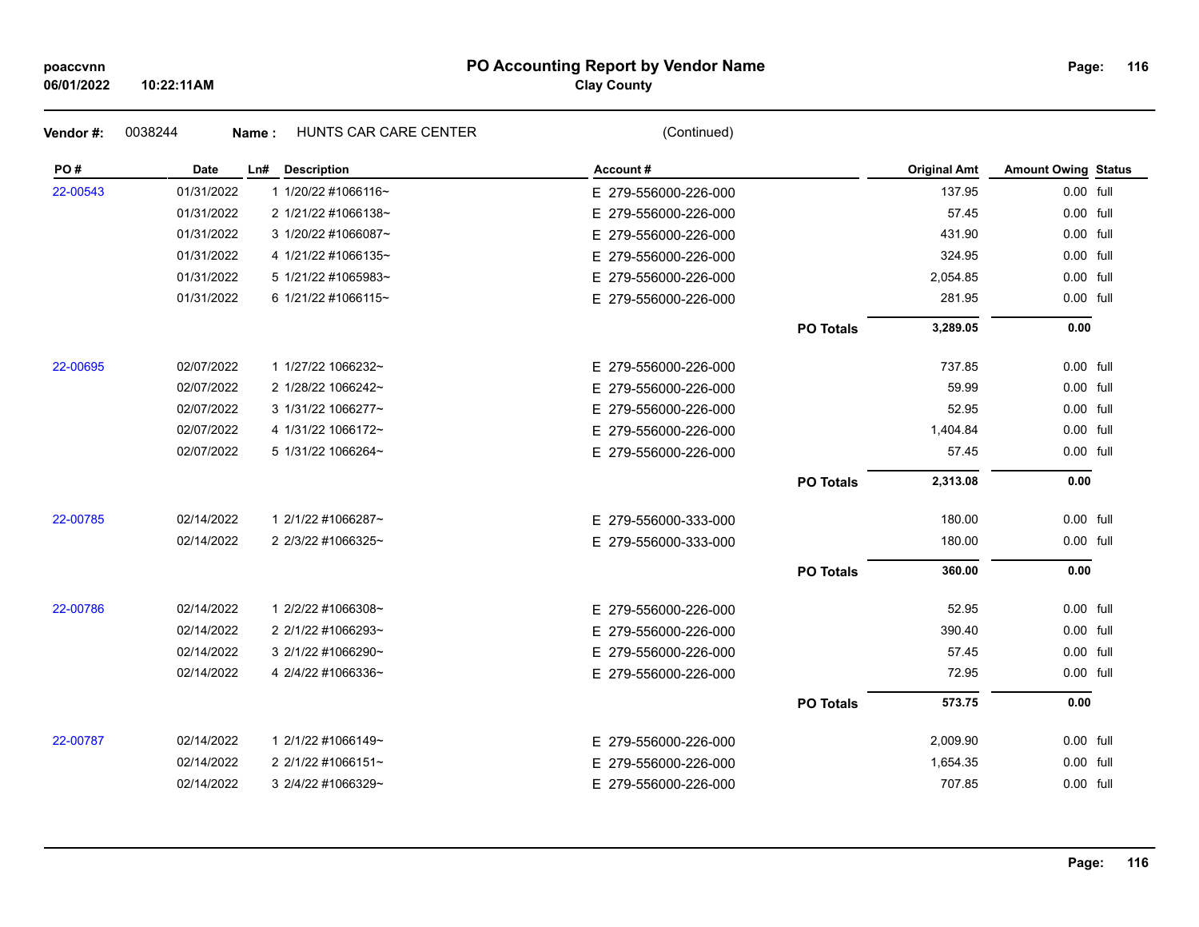### **PO Accounting Report by Vendor Name poaccvnn Page:**

## **Clay County**

| 06/01/2022 | 10:22:11AM |                                | <b>Clay County</b>   |                  |                     |                            |  |
|------------|------------|--------------------------------|----------------------|------------------|---------------------|----------------------------|--|
| Vendor#:   | 0038244    | HUNTS CAR CARE CENTER<br>Name: | (Continued)          |                  |                     |                            |  |
| PO#        | Date       | Ln# Description                | Account#             |                  | <b>Original Amt</b> | <b>Amount Owing Status</b> |  |
| 22-00543   | 01/31/2022 | 1 1/20/22 #1066116~            | E 279-556000-226-000 |                  | 137.95              | 0.00 full                  |  |
|            | 01/31/2022 | 2 1/21/22 #1066138~            | E 279-556000-226-000 |                  | 57.45               | 0.00 full                  |  |
|            | 01/31/2022 | 3 1/20/22 #1066087~            | E 279-556000-226-000 |                  | 431.90              | 0.00 full                  |  |
|            | 01/31/2022 | 4 1/21/22 #1066135~            | E 279-556000-226-000 |                  | 324.95              | 0.00 full                  |  |
|            | 01/31/2022 | 5 1/21/22 #1065983~            | E 279-556000-226-000 |                  | 2,054.85            | 0.00 full                  |  |
|            | 01/31/2022 | 6 1/21/22 #1066115~            | E 279-556000-226-000 |                  | 281.95              | 0.00 full                  |  |
|            |            |                                |                      | <b>PO Totals</b> | 3,289.05            | 0.00                       |  |
| 22-00695   | 02/07/2022 | 1 1/27/22 1066232~             | E 279-556000-226-000 |                  | 737.85              | 0.00 full                  |  |
|            | 02/07/2022 | 2 1/28/22 1066242~             | E 279-556000-226-000 |                  | 59.99               | 0.00 full                  |  |
|            | 02/07/2022 | 3 1/31/22 1066277~             | E 279-556000-226-000 |                  | 52.95               | 0.00 full                  |  |
|            | 02/07/2022 | 4 1/31/22 1066172~             | E 279-556000-226-000 |                  | 1,404.84            | 0.00 full                  |  |
|            | 02/07/2022 | 5 1/31/22 1066264~             | E 279-556000-226-000 |                  | 57.45               | 0.00 full                  |  |
|            |            |                                |                      | <b>PO Totals</b> | 2,313.08            | 0.00                       |  |
| 22-00785   | 02/14/2022 | 1 2/1/22 #1066287~             | E 279-556000-333-000 |                  | 180.00              | $0.00$ full                |  |
|            | 02/14/2022 | 2 2/3/22 #1066325~             | E 279-556000-333-000 |                  | 180.00              | 0.00 full                  |  |
|            |            |                                |                      | <b>PO Totals</b> | 360.00              | 0.00                       |  |
| 22-00786   | 02/14/2022 | 1 2/2/22 #1066308~             | E 279-556000-226-000 |                  | 52.95               | 0.00 full                  |  |
|            | 02/14/2022 | 2 2/1/22 #1066293~             | E 279-556000-226-000 |                  | 390.40              | 0.00 full                  |  |
|            | 02/14/2022 | 3 2/1/22 #1066290~             | E 279-556000-226-000 |                  | 57.45               | 0.00 full                  |  |
|            | 02/14/2022 | 4 2/4/22 #1066336~             | E 279-556000-226-000 |                  | 72.95               | 0.00 full                  |  |
|            |            |                                |                      | <b>PO Totals</b> | 573.75              | 0.00                       |  |
| 22-00787   | 02/14/2022 | 1 2/1/22 #1066149~             | E 279-556000-226-000 |                  | 2,009.90            | 0.00 full                  |  |
|            | 02/14/2022 | 2 2/1/22 #1066151~             | E 279-556000-226-000 |                  | 1,654.35            | 0.00 full                  |  |
|            | 02/14/2022 | 3 2/4/22 #1066329~             | E 279-556000-226-000 |                  | 707.85              | 0.00 full                  |  |
|            |            |                                |                      |                  |                     |                            |  |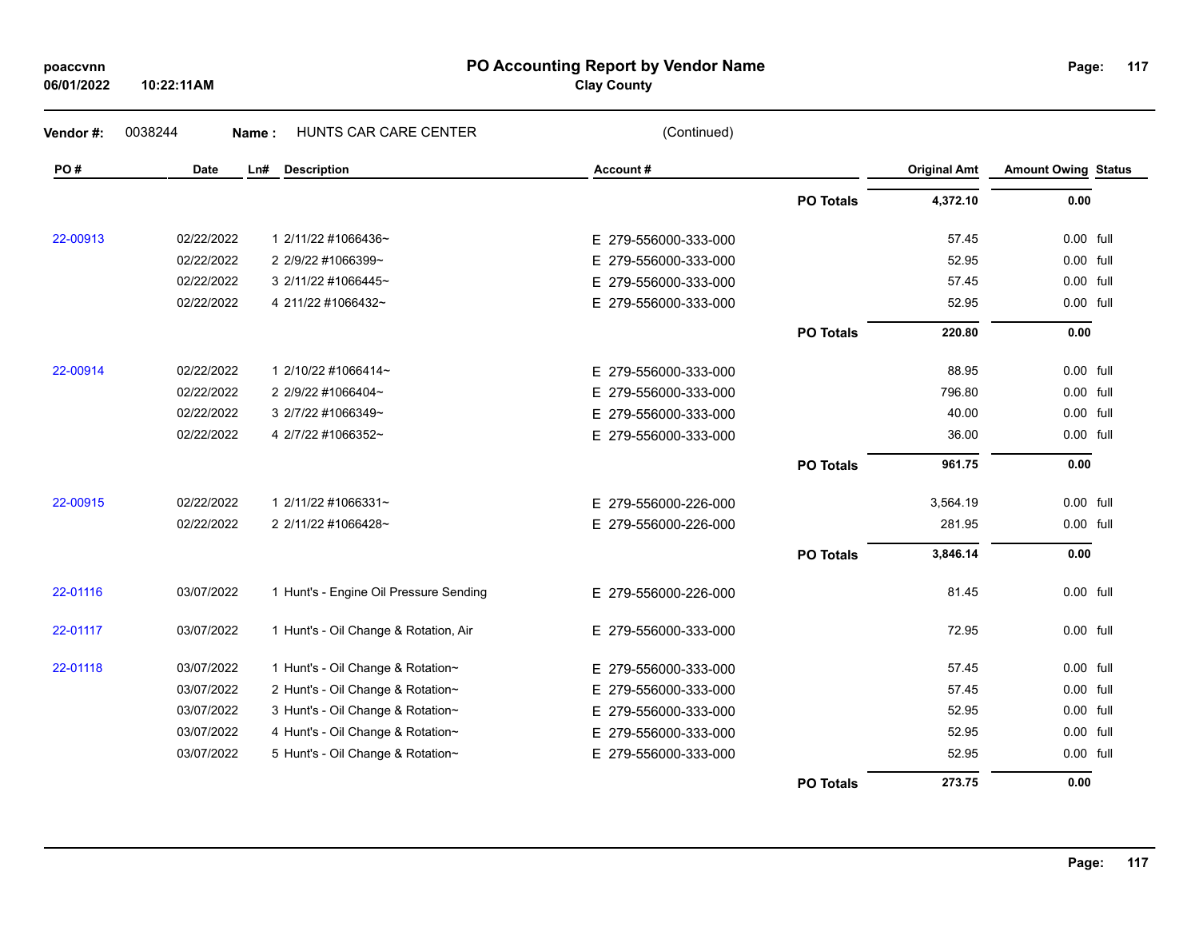| poaccvnn<br>06/01/2022 | 10:22:11AM |             |                       | PO Accounting Report by Vendor Name<br><b>Clay County</b> |                     | Page:                 |
|------------------------|------------|-------------|-----------------------|-----------------------------------------------------------|---------------------|-----------------------|
| Vendor#:               | 0038244    | Name:       | HUNTS CAR CARE CENTER | (Continued)                                               |                     |                       |
| PO#                    |            | Date<br>Ln# | Description           | Account#                                                  | <b>Original Amt</b> | <b>Amount Owing S</b> |

| Page: | 117 |  |
|-------|-----|--|
|       |     |  |

| Vendor #: | 0038244    | HUNTS CAR CARE CENTER<br>Name:         | (Continued)          |                  |                     |                            |  |
|-----------|------------|----------------------------------------|----------------------|------------------|---------------------|----------------------------|--|
| PO#       | Date       | Ln#<br><b>Description</b>              | Account#             |                  | <b>Original Amt</b> | <b>Amount Owing Status</b> |  |
|           |            |                                        |                      | <b>PO Totals</b> | 4,372.10            | 0.00                       |  |
| 22-00913  | 02/22/2022 | 1 2/11/22 #1066436~                    | E 279-556000-333-000 |                  | 57.45               | 0.00 full                  |  |
|           | 02/22/2022 | 2 2/9/22 #1066399~                     | E 279-556000-333-000 |                  | 52.95               | 0.00 full                  |  |
|           | 02/22/2022 | 3 2/11/22 #1066445~                    | E 279-556000-333-000 |                  | 57.45               | 0.00 full                  |  |
|           | 02/22/2022 | 4 211/22 #1066432~                     | E 279-556000-333-000 |                  | 52.95               | 0.00 full                  |  |
|           |            |                                        |                      | <b>PO Totals</b> | 220.80              | 0.00                       |  |
| 22-00914  | 02/22/2022 | 1 2/10/22 #1066414~                    | E 279-556000-333-000 |                  | 88.95               | 0.00 full                  |  |
|           | 02/22/2022 | 2 2/9/22 #1066404~                     | E 279-556000-333-000 |                  | 796.80              | 0.00 full                  |  |
|           | 02/22/2022 | 3 2/7/22 #1066349~                     | E 279-556000-333-000 |                  | 40.00               | 0.00 full                  |  |
|           | 02/22/2022 | 4 2/7/22 #1066352~                     | E 279-556000-333-000 |                  | 36.00               | 0.00 full                  |  |
|           |            |                                        |                      | <b>PO Totals</b> | 961.75              | 0.00                       |  |
| 22-00915  | 02/22/2022 | 1 2/11/22 #1066331~                    | E 279-556000-226-000 |                  | 3,564.19            | 0.00 full                  |  |
|           | 02/22/2022 | 2 2/11/22 #1066428~                    | E 279-556000-226-000 |                  | 281.95              | 0.00 full                  |  |
|           |            |                                        |                      | <b>PO Totals</b> | 3,846.14            | 0.00                       |  |
| 22-01116  | 03/07/2022 | 1 Hunt's - Engine Oil Pressure Sending | E 279-556000-226-000 |                  | 81.45               | 0.00 full                  |  |
| 22-01117  | 03/07/2022 | 1 Hunt's - Oil Change & Rotation, Air  | E 279-556000-333-000 |                  | 72.95               | 0.00 full                  |  |
| 22-01118  | 03/07/2022 | 1 Hunt's - Oil Change & Rotation~      | E 279-556000-333-000 |                  | 57.45               | 0.00 full                  |  |
|           | 03/07/2022 | 2 Hunt's - Oil Change & Rotation~      | E 279-556000-333-000 |                  | 57.45               | 0.00 full                  |  |
|           | 03/07/2022 | 3 Hunt's - Oil Change & Rotation~      | E 279-556000-333-000 |                  | 52.95               | 0.00 full                  |  |
|           | 03/07/2022 | 4 Hunt's - Oil Change & Rotation~      | E 279-556000-333-000 |                  | 52.95               | 0.00 full                  |  |
|           | 03/07/2022 | 5 Hunt's - Oil Change & Rotation~      | E 279-556000-333-000 |                  | 52.95               | 0.00 full                  |  |
|           |            |                                        |                      | <b>PO Totals</b> | 273.75              | 0.00                       |  |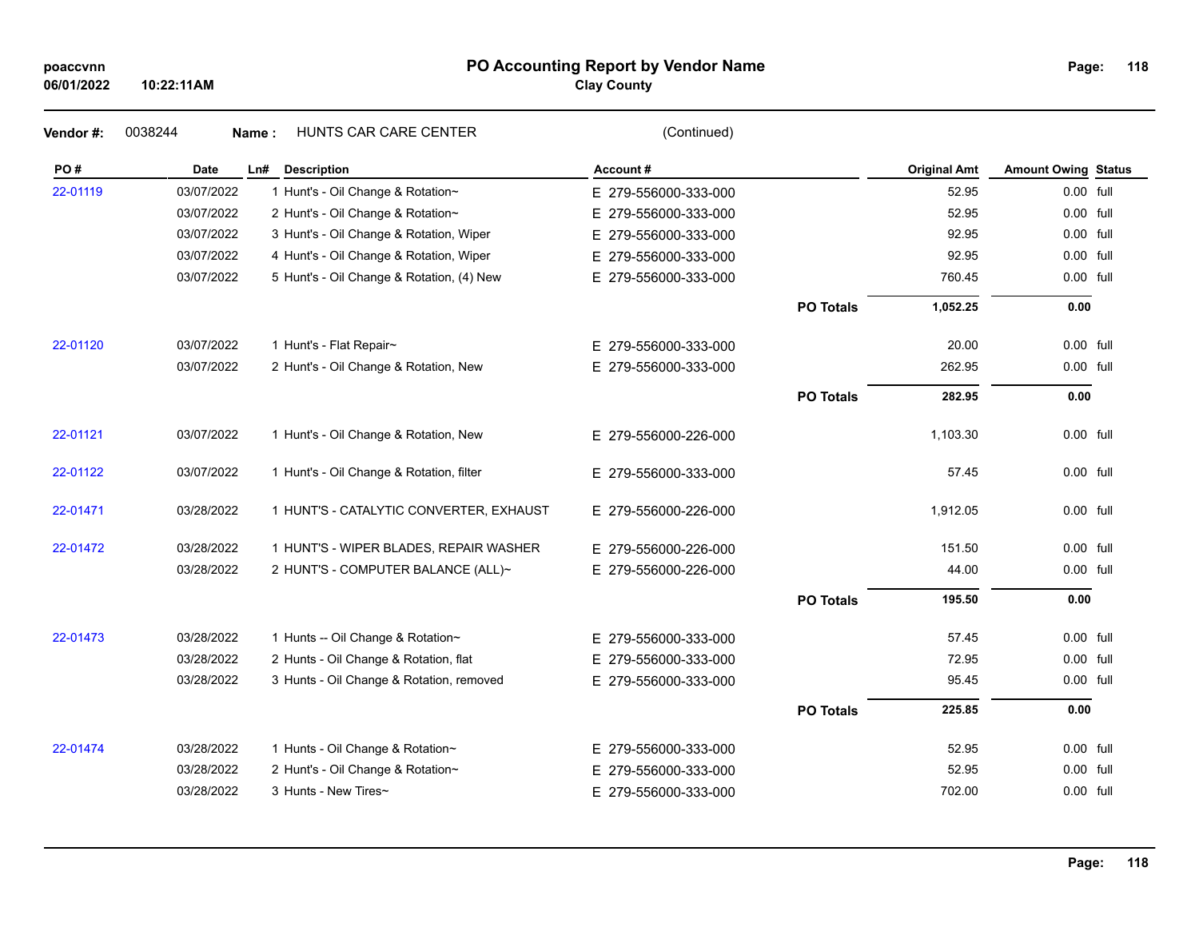### **PO Accounting Report by Vendor Name poaccvnn Page:**

**Clay County**

|            | HUNTS CAR CARE CENTER                     |                      |                  |                     |                                                                                                                                                                                                                                                                                                      |
|------------|-------------------------------------------|----------------------|------------------|---------------------|------------------------------------------------------------------------------------------------------------------------------------------------------------------------------------------------------------------------------------------------------------------------------------------------------|
| Date       | <b>Description</b>                        | Account#             |                  | <b>Original Amt</b> |                                                                                                                                                                                                                                                                                                      |
| 03/07/2022 | 1 Hunt's - Oil Change & Rotation~         | E 279-556000-333-000 |                  | 52.95               |                                                                                                                                                                                                                                                                                                      |
| 03/07/2022 | 2 Hunt's - Oil Change & Rotation~         | E 279-556000-333-000 |                  | 52.95               |                                                                                                                                                                                                                                                                                                      |
| 03/07/2022 | 3 Hunt's - Oil Change & Rotation, Wiper   | E 279-556000-333-000 |                  | 92.95               |                                                                                                                                                                                                                                                                                                      |
| 03/07/2022 | 4 Hunt's - Oil Change & Rotation, Wiper   | E 279-556000-333-000 |                  | 92.95               |                                                                                                                                                                                                                                                                                                      |
| 03/07/2022 | 5 Hunt's - Oil Change & Rotation, (4) New | E 279-556000-333-000 |                  | 760.45              |                                                                                                                                                                                                                                                                                                      |
|            |                                           |                      | <b>PO Totals</b> | 1,052.25            |                                                                                                                                                                                                                                                                                                      |
| 03/07/2022 | 1 Hunt's - Flat Repair~                   | E 279-556000-333-000 |                  | 20.00               |                                                                                                                                                                                                                                                                                                      |
| 03/07/2022 | 2 Hunt's - Oil Change & Rotation, New     | E 279-556000-333-000 |                  | 262.95              |                                                                                                                                                                                                                                                                                                      |
|            |                                           |                      | <b>PO Totals</b> | 282.95              |                                                                                                                                                                                                                                                                                                      |
| 03/07/2022 | 1 Hunt's - Oil Change & Rotation, New     | E 279-556000-226-000 |                  | 1,103.30            |                                                                                                                                                                                                                                                                                                      |
| 03/07/2022 | 1 Hunt's - Oil Change & Rotation, filter  | E 279-556000-333-000 |                  | 57.45               |                                                                                                                                                                                                                                                                                                      |
| 03/28/2022 | 1 HUNT'S - CATALYTIC CONVERTER, EXHAUST   | E 279-556000-226-000 |                  | 1,912.05            |                                                                                                                                                                                                                                                                                                      |
| 03/28/2022 | 1 HUNT'S - WIPER BLADES, REPAIR WASHER    | E 279-556000-226-000 |                  | 151.50              |                                                                                                                                                                                                                                                                                                      |
| 03/28/2022 | 2 HUNT'S - COMPUTER BALANCE (ALL)~        | E 279-556000-226-000 |                  | 44.00               |                                                                                                                                                                                                                                                                                                      |
|            |                                           |                      | <b>PO Totals</b> | 195.50              |                                                                                                                                                                                                                                                                                                      |
| 03/28/2022 | 1 Hunts -- Oil Change & Rotation~         | E 279-556000-333-000 |                  | 57.45               |                                                                                                                                                                                                                                                                                                      |
| 03/28/2022 | 2 Hunts - Oil Change & Rotation, flat     | E 279-556000-333-000 |                  | 72.95               |                                                                                                                                                                                                                                                                                                      |
| 03/28/2022 | 3 Hunts - Oil Change & Rotation, removed  | E 279-556000-333-000 |                  | 95.45               |                                                                                                                                                                                                                                                                                                      |
|            |                                           |                      | <b>PO Totals</b> | 225.85              |                                                                                                                                                                                                                                                                                                      |
| 03/28/2022 | 1 Hunts - Oil Change & Rotation~          | E 279-556000-333-000 |                  | 52.95               |                                                                                                                                                                                                                                                                                                      |
| 03/28/2022 | 2 Hunt's - Oil Change & Rotation~         | E 279-556000-333-000 |                  | 52.95               |                                                                                                                                                                                                                                                                                                      |
| 03/28/2022 | 3 Hunts - New Tires~                      | E 279-556000-333-000 |                  | 702.00              |                                                                                                                                                                                                                                                                                                      |
|            | 0038244                                   | Name:<br>Ln#         | (Continued)      |                     | <b>Amount Owing Status</b><br>0.00 full<br>0.00 full<br>0.00 full<br>0.00 full<br>0.00 full<br>0.00<br>0.00 full<br>0.00 full<br>0.00<br>0.00 full<br>0.00 full<br>0.00 full<br>0.00 full<br>0.00 full<br>0.00<br>0.00 full<br>0.00 full<br>0.00 full<br>0.00<br>0.00 full<br>0.00 full<br>0.00 full |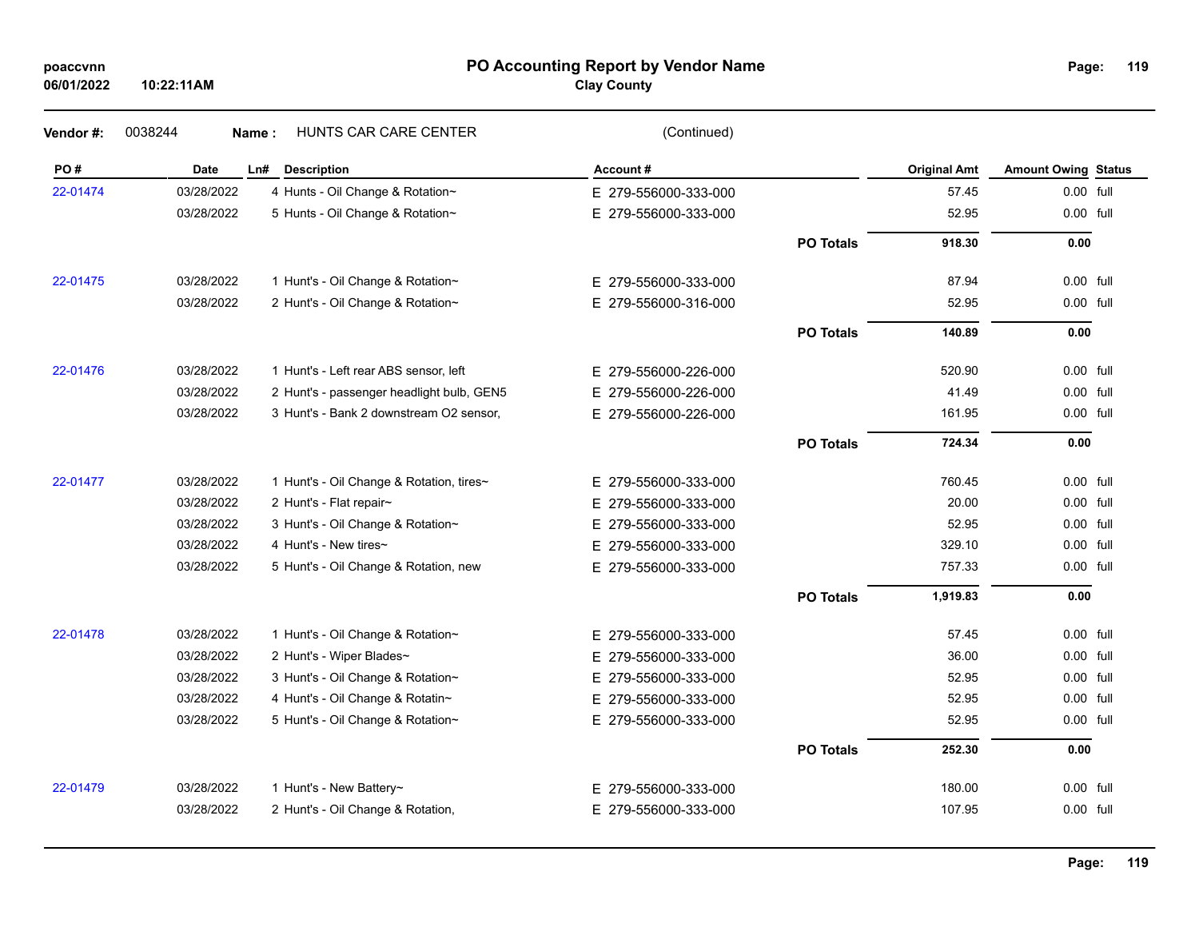### **PO Accounting Report by Vendor Name poaccvnn Page:**

# **Clay County**

| Vendor#: | 0038244    | <b>HUNTS CAR CARE CENTER</b><br>Name:     | (Continued)          |                  |                     |                            |  |
|----------|------------|-------------------------------------------|----------------------|------------------|---------------------|----------------------------|--|
| PO#      | Date       | Ln#<br><b>Description</b>                 | Account#             |                  | <b>Original Amt</b> | <b>Amount Owing Status</b> |  |
| 22-01474 | 03/28/2022 | 4 Hunts - Oil Change & Rotation~          | E 279-556000-333-000 |                  | 57.45               | 0.00 full                  |  |
|          | 03/28/2022 | 5 Hunts - Oil Change & Rotation~          | E 279-556000-333-000 |                  | 52.95               | 0.00 full                  |  |
|          |            |                                           |                      | <b>PO Totals</b> | 918.30              | 0.00                       |  |
| 22-01475 | 03/28/2022 | 1 Hunt's - Oil Change & Rotation~         | E 279-556000-333-000 |                  | 87.94               | 0.00 full                  |  |
|          | 03/28/2022 | 2 Hunt's - Oil Change & Rotation~         | E 279-556000-316-000 |                  | 52.95               | 0.00 full                  |  |
|          |            |                                           |                      | <b>PO Totals</b> | 140.89              | 0.00                       |  |
| 22-01476 | 03/28/2022 | 1 Hunt's - Left rear ABS sensor, left     | E 279-556000-226-000 |                  | 520.90              | 0.00 full                  |  |
|          | 03/28/2022 | 2 Hunt's - passenger headlight bulb, GEN5 | E 279-556000-226-000 |                  | 41.49               | 0.00 full                  |  |
|          | 03/28/2022 | 3 Hunt's - Bank 2 downstream O2 sensor,   | E 279-556000-226-000 |                  | 161.95              | 0.00 full                  |  |
|          |            |                                           |                      | <b>PO Totals</b> | 724.34              | 0.00                       |  |
| 22-01477 | 03/28/2022 | 1 Hunt's - Oil Change & Rotation, tires~  | E 279-556000-333-000 |                  | 760.45              | 0.00 full                  |  |
|          | 03/28/2022 | 2 Hunt's - Flat repair~                   | E 279-556000-333-000 |                  | 20.00               | 0.00 full                  |  |
|          | 03/28/2022 | 3 Hunt's - Oil Change & Rotation~         | E 279-556000-333-000 |                  | 52.95               | 0.00 full                  |  |
|          | 03/28/2022 | 4 Hunt's - New tires~                     | E 279-556000-333-000 |                  | 329.10              | 0.00 full                  |  |
|          | 03/28/2022 | 5 Hunt's - Oil Change & Rotation, new     | E 279-556000-333-000 |                  | 757.33              | 0.00 full                  |  |
|          |            |                                           |                      | <b>PO Totals</b> | 1,919.83            | 0.00                       |  |
| 22-01478 | 03/28/2022 | 1 Hunt's - Oil Change & Rotation~         | E 279-556000-333-000 |                  | 57.45               | 0.00 full                  |  |
|          | 03/28/2022 | 2 Hunt's - Wiper Blades~                  | E 279-556000-333-000 |                  | 36.00               | 0.00 full                  |  |
|          | 03/28/2022 | 3 Hunt's - Oil Change & Rotation~         | E 279-556000-333-000 |                  | 52.95               | 0.00 full                  |  |
|          | 03/28/2022 | 4 Hunt's - Oil Change & Rotatin~          | E 279-556000-333-000 |                  | 52.95               | $0.00$ full                |  |
|          | 03/28/2022 | 5 Hunt's - Oil Change & Rotation~         | E 279-556000-333-000 |                  | 52.95               | 0.00 full                  |  |
|          |            |                                           |                      | <b>PO Totals</b> | 252.30              | 0.00                       |  |
| 22-01479 | 03/28/2022 | 1 Hunt's - New Battery~                   | E 279-556000-333-000 |                  | 180.00              | 0.00 full                  |  |
|          | 03/28/2022 | 2 Hunt's - Oil Change & Rotation,         | E 279-556000-333-000 |                  | 107.95              | 0.00 full                  |  |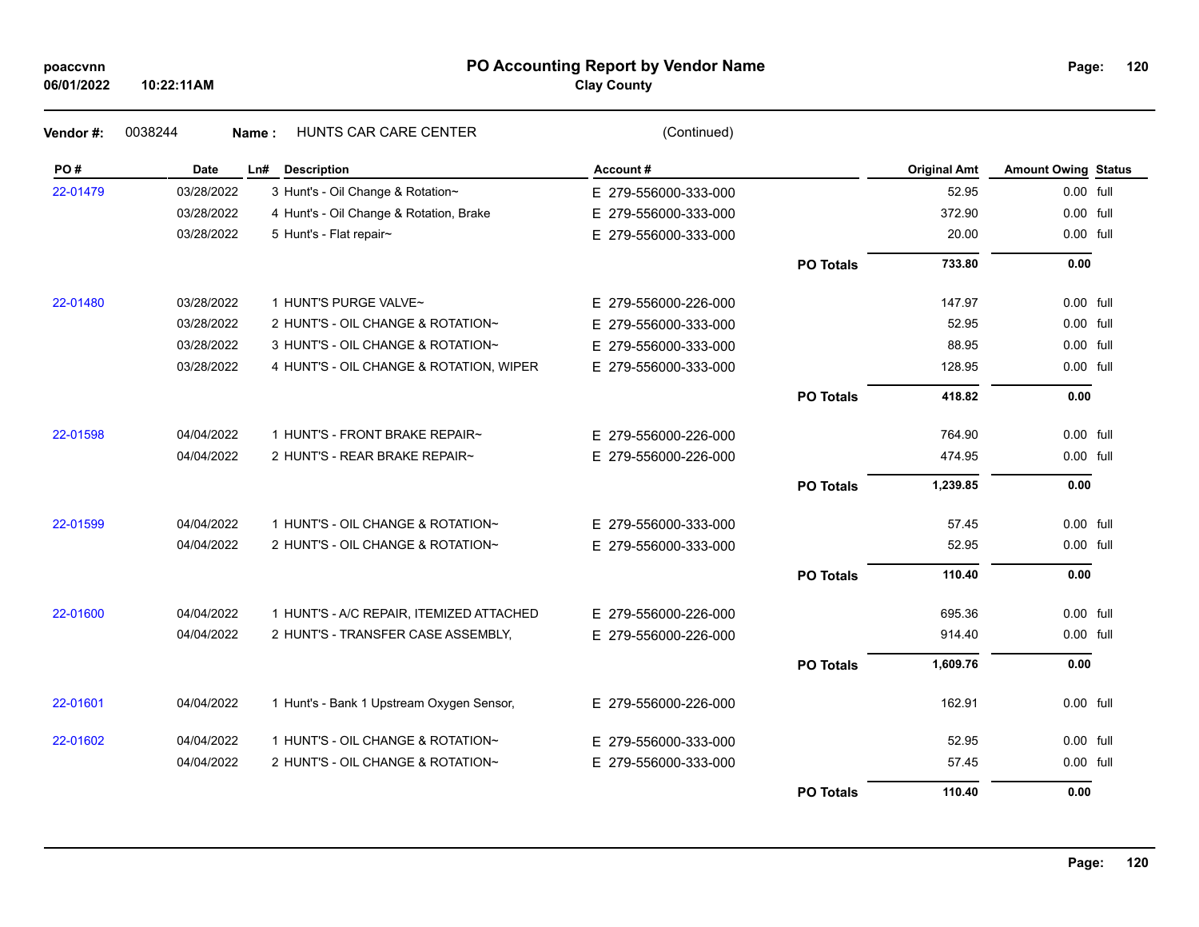### **PO Accounting Report by Vendor Name poaccvnn Page:**

# **Clay County**

| Vendor#: | 0038244     | HUNTS CAR CARE CENTER<br>Name:            | (Continued)          |                  |                     |                            |  |
|----------|-------------|-------------------------------------------|----------------------|------------------|---------------------|----------------------------|--|
| PO#      | <b>Date</b> | Ln#<br><b>Description</b>                 | Account#             |                  | <b>Original Amt</b> | <b>Amount Owing Status</b> |  |
| 22-01479 | 03/28/2022  | 3 Hunt's - Oil Change & Rotation~         | E 279-556000-333-000 |                  | 52.95               | 0.00 full                  |  |
|          | 03/28/2022  | 4 Hunt's - Oil Change & Rotation, Brake   | E 279-556000-333-000 |                  | 372.90              | 0.00 full                  |  |
|          | 03/28/2022  | 5 Hunt's - Flat repair~                   | E 279-556000-333-000 |                  | 20.00               | 0.00 full                  |  |
|          |             |                                           |                      | <b>PO Totals</b> | 733.80              | 0.00                       |  |
| 22-01480 | 03/28/2022  | 1 HUNT'S PURGE VALVE~                     | E 279-556000-226-000 |                  | 147.97              | 0.00 full                  |  |
|          | 03/28/2022  | 2 HUNT'S - OIL CHANGE & ROTATION~         | E 279-556000-333-000 |                  | 52.95               | 0.00 full                  |  |
|          | 03/28/2022  | 3 HUNT'S - OIL CHANGE & ROTATION~         | E 279-556000-333-000 |                  | 88.95               | 0.00 full                  |  |
|          | 03/28/2022  | 4 HUNT'S - OIL CHANGE & ROTATION, WIPER   | E 279-556000-333-000 |                  | 128.95              | 0.00 full                  |  |
|          |             |                                           |                      | <b>PO Totals</b> | 418.82              | 0.00                       |  |
| 22-01598 | 04/04/2022  | 1 HUNT'S - FRONT BRAKE REPAIR~            | E 279-556000-226-000 |                  | 764.90              | 0.00 full                  |  |
|          | 04/04/2022  | 2 HUNT'S - REAR BRAKE REPAIR~             | E 279-556000-226-000 |                  | 474.95              | 0.00 full                  |  |
|          |             |                                           |                      | <b>PO Totals</b> | 1,239.85            | 0.00                       |  |
| 22-01599 | 04/04/2022  | 1 HUNT'S - OIL CHANGE & ROTATION~         | E 279-556000-333-000 |                  | 57.45               | 0.00 full                  |  |
|          | 04/04/2022  | 2 HUNT'S - OIL CHANGE & ROTATION~         | E 279-556000-333-000 |                  | 52.95               | 0.00 full                  |  |
|          |             |                                           |                      | <b>PO Totals</b> | 110.40              | 0.00                       |  |
| 22-01600 | 04/04/2022  | 1 HUNT'S - A/C REPAIR, ITEMIZED ATTACHED  | E 279-556000-226-000 |                  | 695.36              | 0.00 full                  |  |
|          | 04/04/2022  | 2 HUNT'S - TRANSFER CASE ASSEMBLY,        | E 279-556000-226-000 |                  | 914.40              | 0.00 full                  |  |
|          |             |                                           |                      | <b>PO Totals</b> | 1,609.76            | 0.00                       |  |
| 22-01601 | 04/04/2022  | 1 Hunt's - Bank 1 Upstream Oxygen Sensor, | E 279-556000-226-000 |                  | 162.91              | 0.00 full                  |  |
| 22-01602 | 04/04/2022  | 1 HUNT'S - OIL CHANGE & ROTATION~         | E 279-556000-333-000 |                  | 52.95               | 0.00 full                  |  |
|          | 04/04/2022  | 2 HUNT'S - OIL CHANGE & ROTATION~         | E 279-556000-333-000 |                  | 57.45               | 0.00 full                  |  |
|          |             |                                           |                      | <b>PO Totals</b> | 110.40              | 0.00                       |  |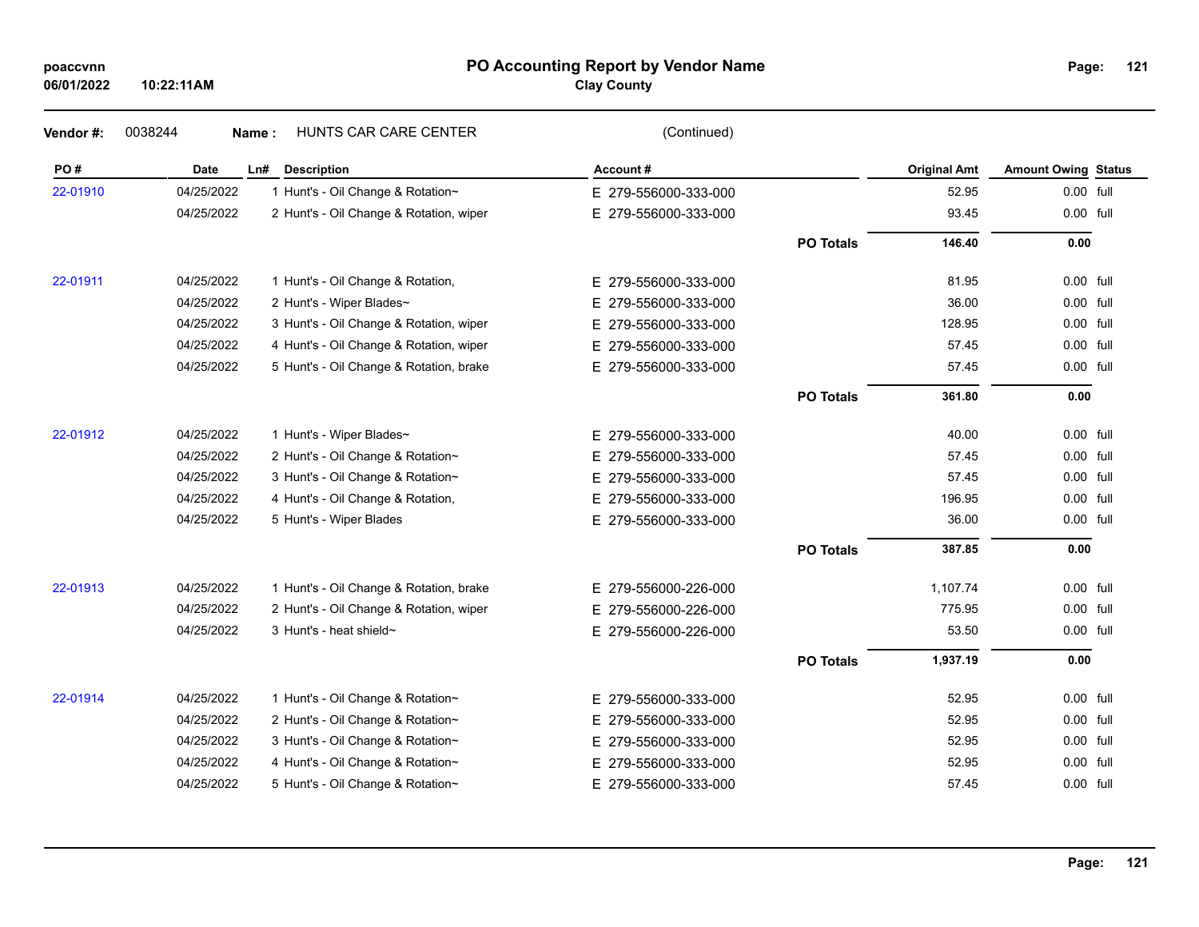## **PO Accounting Report by Vendor Name poaccvnn Page:**

**Clay County**

| Vendor#: | 0038244     | HUNTS CAR CARE CENTER<br>Name:          | (Continued)          |                  |                     |                            |  |
|----------|-------------|-----------------------------------------|----------------------|------------------|---------------------|----------------------------|--|
| PO#      | <b>Date</b> | <b>Description</b><br>Ln#               | Account#             |                  | <b>Original Amt</b> | <b>Amount Owing Status</b> |  |
| 22-01910 | 04/25/2022  | 1 Hunt's - Oil Change & Rotation~       | E 279-556000-333-000 |                  | 52.95               | 0.00 full                  |  |
|          | 04/25/2022  | 2 Hunt's - Oil Change & Rotation, wiper | E 279-556000-333-000 |                  | 93.45               | 0.00 full                  |  |
|          |             |                                         |                      | <b>PO Totals</b> | 146.40              | 0.00                       |  |
| 22-01911 | 04/25/2022  | 1 Hunt's - Oil Change & Rotation,       | E 279-556000-333-000 |                  | 81.95               | 0.00 full                  |  |
|          | 04/25/2022  | 2 Hunt's - Wiper Blades~                | E 279-556000-333-000 |                  | 36.00               | 0.00 full                  |  |
|          | 04/25/2022  | 3 Hunt's - Oil Change & Rotation, wiper | E 279-556000-333-000 |                  | 128.95              | 0.00 full                  |  |
|          | 04/25/2022  | 4 Hunt's - Oil Change & Rotation, wiper | E 279-556000-333-000 |                  | 57.45               | 0.00 full                  |  |
|          | 04/25/2022  | 5 Hunt's - Oil Change & Rotation, brake | E 279-556000-333-000 |                  | 57.45               | 0.00 full                  |  |
|          |             |                                         |                      | <b>PO Totals</b> | 361.80              | 0.00                       |  |
| 22-01912 | 04/25/2022  | 1 Hunt's - Wiper Blades~                | E 279-556000-333-000 |                  | 40.00               | 0.00 full                  |  |
|          | 04/25/2022  | 2 Hunt's - Oil Change & Rotation~       | E 279-556000-333-000 |                  | 57.45               | 0.00 full                  |  |
|          | 04/25/2022  | 3 Hunt's - Oil Change & Rotation~       | E 279-556000-333-000 |                  | 57.45               | 0.00 full                  |  |
|          | 04/25/2022  | 4 Hunt's - Oil Change & Rotation,       | E 279-556000-333-000 |                  | 196.95              | 0.00 full                  |  |
|          | 04/25/2022  | 5 Hunt's - Wiper Blades                 | E 279-556000-333-000 |                  | 36.00               | 0.00 full                  |  |
|          |             |                                         |                      | <b>PO Totals</b> | 387.85              | 0.00                       |  |
| 22-01913 | 04/25/2022  | 1 Hunt's - Oil Change & Rotation, brake | E 279-556000-226-000 |                  | 1,107.74            | $0.00$ full                |  |
|          | 04/25/2022  | 2 Hunt's - Oil Change & Rotation, wiper | E 279-556000-226-000 |                  | 775.95              | 0.00 full                  |  |
|          | 04/25/2022  | 3 Hunt's - heat shield~                 | E 279-556000-226-000 |                  | 53.50               | 0.00 full                  |  |
|          |             |                                         |                      | <b>PO Totals</b> | 1,937.19            | 0.00                       |  |
| 22-01914 | 04/25/2022  | 1 Hunt's - Oil Change & Rotation~       | E 279-556000-333-000 |                  | 52.95               | 0.00 full                  |  |
|          | 04/25/2022  | 2 Hunt's - Oil Change & Rotation~       | E 279-556000-333-000 |                  | 52.95               | 0.00 full                  |  |
|          | 04/25/2022  | 3 Hunt's - Oil Change & Rotation~       | E 279-556000-333-000 |                  | 52.95               | 0.00 full                  |  |
|          | 04/25/2022  | 4 Hunt's - Oil Change & Rotation~       | E 279-556000-333-000 |                  | 52.95               | 0.00 full                  |  |
|          | 04/25/2022  | 5 Hunt's - Oil Change & Rotation~       | E 279-556000-333-000 |                  | 57.45               | 0.00 full                  |  |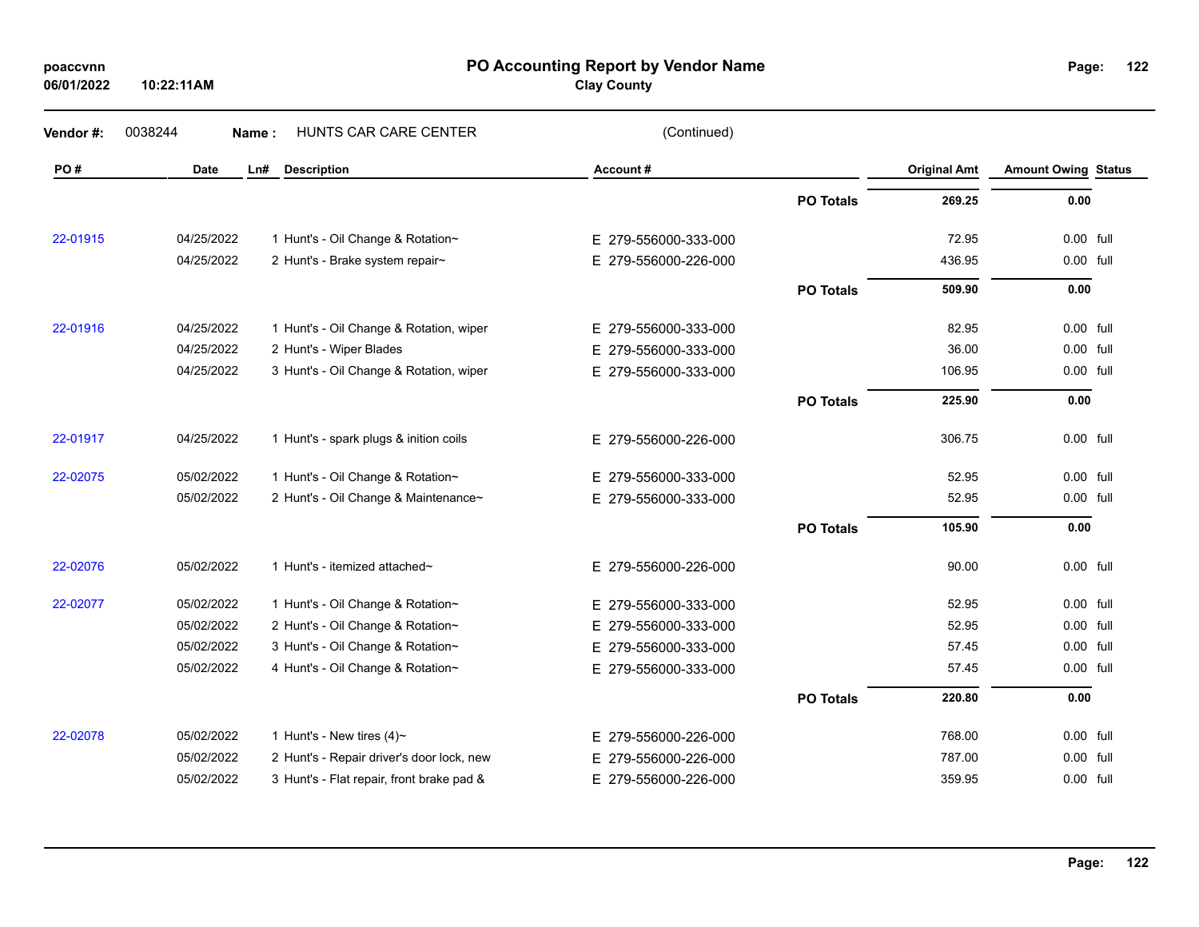**06/01/2022**

**10:22:11AM**

### **PO Accounting Report by Vendor Name poaccvnn Page:**

**Clay County**

| Vendor#: | 0038244     | HUNTS CAR CARE CENTER<br>Name:            | (Continued)              |                  |                     |                            |  |
|----------|-------------|-------------------------------------------|--------------------------|------------------|---------------------|----------------------------|--|
| PO#      | <b>Date</b> | Ln#<br><b>Description</b>                 | Account#                 |                  | <b>Original Amt</b> | <b>Amount Owing Status</b> |  |
|          |             |                                           |                          | <b>PO Totals</b> | 269.25              | 0.00                       |  |
| 22-01915 | 04/25/2022  | 1 Hunt's - Oil Change & Rotation~         | E 279-556000-333-000     |                  | 72.95               | 0.00 full                  |  |
|          | 04/25/2022  | 2 Hunt's - Brake system repair~           | E 279-556000-226-000     |                  | 436.95              | 0.00 full                  |  |
|          |             |                                           |                          | <b>PO Totals</b> | 509.90              | 0.00                       |  |
| 22-01916 | 04/25/2022  | 1 Hunt's - Oil Change & Rotation, wiper   | E 279-556000-333-000     |                  | 82.95               | 0.00 full                  |  |
|          | 04/25/2022  | 2 Hunt's - Wiper Blades                   | 279-556000-333-000<br>E. |                  | 36.00               | 0.00 full                  |  |
|          | 04/25/2022  | 3 Hunt's - Oil Change & Rotation, wiper   | E 279-556000-333-000     |                  | 106.95              | 0.00 full                  |  |
|          |             |                                           |                          | <b>PO Totals</b> | 225.90              | 0.00                       |  |
| 22-01917 | 04/25/2022  | 1 Hunt's - spark plugs & inition coils    | E 279-556000-226-000     |                  | 306.75              | 0.00 full                  |  |
| 22-02075 | 05/02/2022  | 1 Hunt's - Oil Change & Rotation~         | E 279-556000-333-000     |                  | 52.95               | 0.00 full                  |  |
|          | 05/02/2022  | 2 Hunt's - Oil Change & Maintenance~      | E 279-556000-333-000     |                  | 52.95               | 0.00 full                  |  |
|          |             |                                           |                          | <b>PO Totals</b> | 105.90              | 0.00                       |  |
| 22-02076 | 05/02/2022  | 1 Hunt's - itemized attached~             | E 279-556000-226-000     |                  | 90.00               | 0.00 full                  |  |
| 22-02077 | 05/02/2022  | 1 Hunt's - Oil Change & Rotation~         | E 279-556000-333-000     |                  | 52.95               | 0.00 full                  |  |
|          | 05/02/2022  | 2 Hunt's - Oil Change & Rotation~         | 279-556000-333-000<br>E. |                  | 52.95               | 0.00 full                  |  |
|          | 05/02/2022  | 3 Hunt's - Oil Change & Rotation~         | E 279-556000-333-000     |                  | 57.45               | 0.00 full                  |  |
|          | 05/02/2022  | 4 Hunt's - Oil Change & Rotation~         | E 279-556000-333-000     |                  | 57.45               | 0.00 full                  |  |
|          |             |                                           |                          | <b>PO Totals</b> | 220.80              | 0.00                       |  |
| 22-02078 | 05/02/2022  | 1 Hunt's - New tires $(4)$ ~              | E 279-556000-226-000     |                  | 768.00              | 0.00 full                  |  |
|          | 05/02/2022  | 2 Hunt's - Repair driver's door lock, new | 279-556000-226-000<br>E. |                  | 787.00              | 0.00 full                  |  |
|          | 05/02/2022  | 3 Hunt's - Flat repair, front brake pad & | E 279-556000-226-000     |                  | 359.95              | 0.00 full                  |  |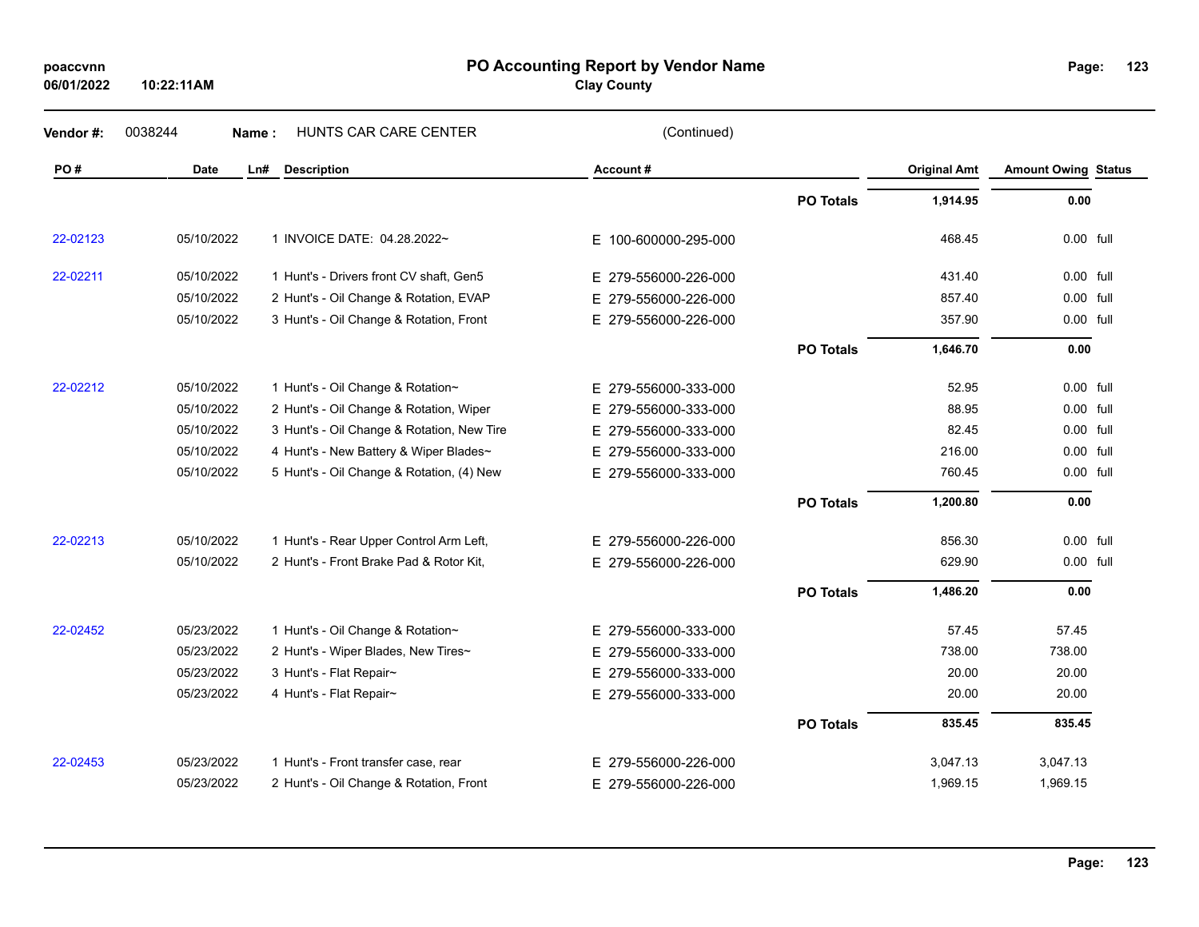**06/01/2022**

**10:22:11AM**

### **PO Accounting Report by Vendor Name poaccvnn Page:**

**Clay County**

| Vendor#: | 0038244<br>Name: | HUNTS CAR CARE CENTER                      | (Continued)          |                  |                     |                            |  |
|----------|------------------|--------------------------------------------|----------------------|------------------|---------------------|----------------------------|--|
| PO#      | Date             | Ln#<br><b>Description</b>                  | Account#             |                  | <b>Original Amt</b> | <b>Amount Owing Status</b> |  |
|          |                  |                                            |                      | <b>PO Totals</b> | 1,914.95            | 0.00                       |  |
| 22-02123 | 05/10/2022       | 1 INVOICE DATE: 04.28.2022~                | E 100-600000-295-000 |                  | 468.45              | 0.00 full                  |  |
| 22-02211 | 05/10/2022       | 1 Hunt's - Drivers front CV shaft, Gen5    | E 279-556000-226-000 |                  | 431.40              | 0.00 full                  |  |
|          | 05/10/2022       | 2 Hunt's - Oil Change & Rotation, EVAP     | E 279-556000-226-000 |                  | 857.40              | 0.00 full                  |  |
|          | 05/10/2022       | 3 Hunt's - Oil Change & Rotation, Front    | E 279-556000-226-000 |                  | 357.90              | 0.00 full                  |  |
|          |                  |                                            |                      | <b>PO Totals</b> | 1,646.70            | 0.00                       |  |
| 22-02212 | 05/10/2022       | 1 Hunt's - Oil Change & Rotation~          | E 279-556000-333-000 |                  | 52.95               | 0.00 full                  |  |
|          | 05/10/2022       | 2 Hunt's - Oil Change & Rotation, Wiper    | E 279-556000-333-000 |                  | 88.95               | 0.00 full                  |  |
|          | 05/10/2022       | 3 Hunt's - Oil Change & Rotation, New Tire | E 279-556000-333-000 |                  | 82.45               | 0.00 full                  |  |
|          | 05/10/2022       | 4 Hunt's - New Battery & Wiper Blades~     | E 279-556000-333-000 |                  | 216.00              | 0.00 full                  |  |
|          | 05/10/2022       | 5 Hunt's - Oil Change & Rotation, (4) New  | E 279-556000-333-000 |                  | 760.45              | 0.00 full                  |  |
|          |                  |                                            |                      | <b>PO Totals</b> | 1,200.80            | 0.00                       |  |
| 22-02213 | 05/10/2022       | 1 Hunt's - Rear Upper Control Arm Left,    | E 279-556000-226-000 |                  | 856.30              | 0.00 full                  |  |
|          | 05/10/2022       | 2 Hunt's - Front Brake Pad & Rotor Kit,    | E 279-556000-226-000 |                  | 629.90              | 0.00 full                  |  |
|          |                  |                                            |                      | <b>PO Totals</b> | 1,486.20            | 0.00                       |  |
| 22-02452 | 05/23/2022       | 1 Hunt's - Oil Change & Rotation~          | E 279-556000-333-000 |                  | 57.45               | 57.45                      |  |
|          | 05/23/2022       | 2 Hunt's - Wiper Blades, New Tires~        | E 279-556000-333-000 |                  | 738.00              | 738.00                     |  |
|          | 05/23/2022       | 3 Hunt's - Flat Repair~                    | E 279-556000-333-000 |                  | 20.00               | 20.00                      |  |
|          | 05/23/2022       | 4 Hunt's - Flat Repair~                    | E 279-556000-333-000 |                  | 20.00               | 20.00                      |  |
|          |                  |                                            |                      | <b>PO Totals</b> | 835.45              | 835.45                     |  |
| 22-02453 | 05/23/2022       | 1 Hunt's - Front transfer case, rear       | E 279-556000-226-000 |                  | 3,047.13            | 3,047.13                   |  |
|          | 05/23/2022       | 2 Hunt's - Oil Change & Rotation, Front    | E 279-556000-226-000 |                  | 1,969.15            | 1,969.15                   |  |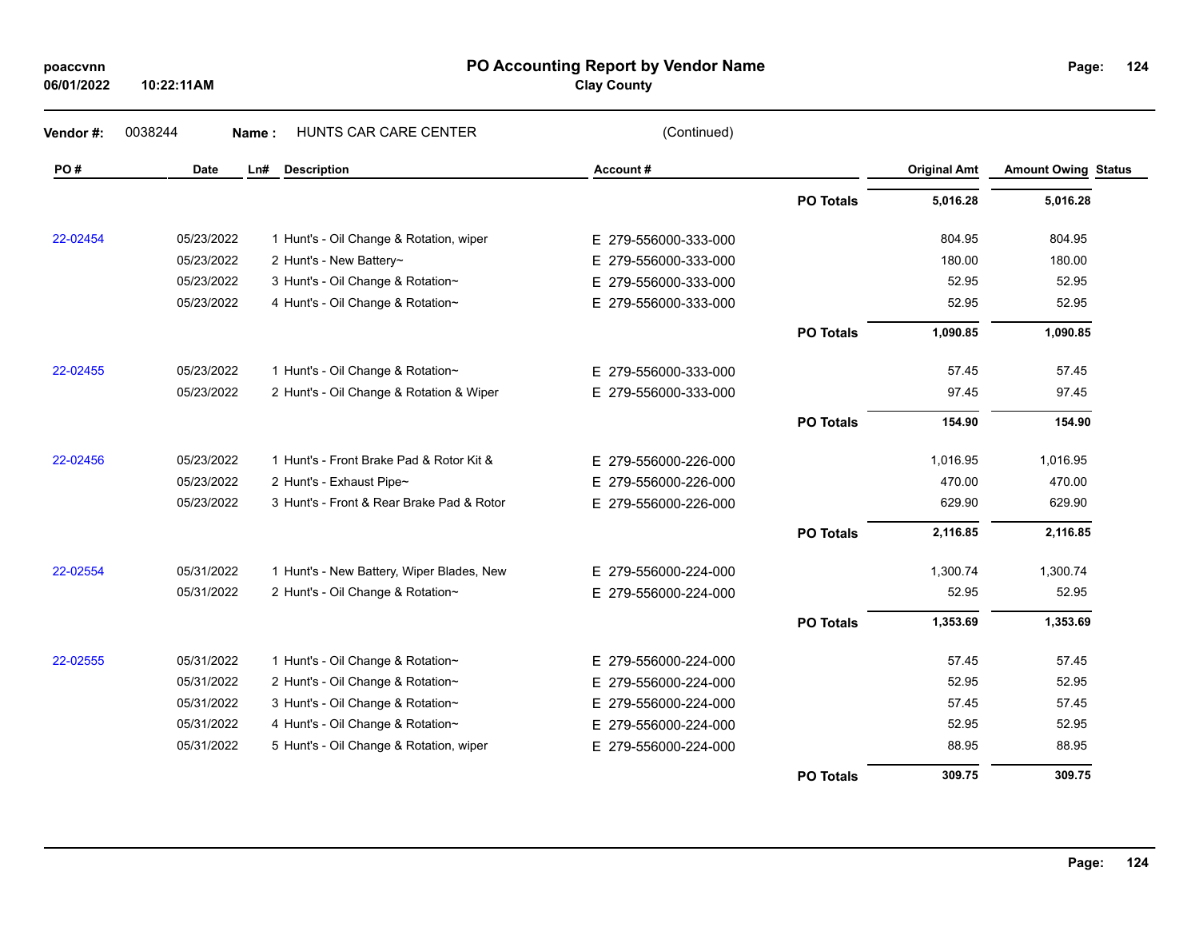| poaccvnn   |  |
|------------|--|
| 06/01/2022 |  |

**10:22:11AM**

### **PO Accounting Report by Vendor Name poaccvnn Page:**

**Clay County**

| Vendor#: | 0038244     | HUNTS CAR CARE CENTER<br>Name:            | (Continued)          |                  |                     |                            |
|----------|-------------|-------------------------------------------|----------------------|------------------|---------------------|----------------------------|
| PO#      | <b>Date</b> | LnH<br><b>Description</b>                 | Account#             |                  | <b>Original Amt</b> | <b>Amount Owing Status</b> |
|          |             |                                           |                      | <b>PO Totals</b> | 5,016.28            | 5,016.28                   |
| 22-02454 | 05/23/2022  | 1 Hunt's - Oil Change & Rotation, wiper   | E 279-556000-333-000 |                  | 804.95              | 804.95                     |
|          | 05/23/2022  | 2 Hunt's - New Battery~                   | E 279-556000-333-000 |                  | 180.00              | 180.00                     |
|          | 05/23/2022  | 3 Hunt's - Oil Change & Rotation~         | E 279-556000-333-000 |                  | 52.95               | 52.95                      |
|          | 05/23/2022  | 4 Hunt's - Oil Change & Rotation~         | E 279-556000-333-000 |                  | 52.95               | 52.95                      |
|          |             |                                           |                      | <b>PO Totals</b> | 1,090.85            | 1,090.85                   |
| 22-02455 | 05/23/2022  | 1 Hunt's - Oil Change & Rotation~         | E 279-556000-333-000 |                  | 57.45               | 57.45                      |
|          | 05/23/2022  | 2 Hunt's - Oil Change & Rotation & Wiper  | E 279-556000-333-000 |                  | 97.45               | 97.45                      |
|          |             |                                           |                      | <b>PO Totals</b> | 154.90              | 154.90                     |
| 22-02456 | 05/23/2022  | 1 Hunt's - Front Brake Pad & Rotor Kit &  | E 279-556000-226-000 |                  | 1,016.95            | 1,016.95                   |
|          | 05/23/2022  | 2 Hunt's - Exhaust Pipe~                  | E 279-556000-226-000 |                  | 470.00              | 470.00                     |
|          | 05/23/2022  | 3 Hunt's - Front & Rear Brake Pad & Rotor | E 279-556000-226-000 |                  | 629.90              | 629.90                     |
|          |             |                                           |                      | <b>PO Totals</b> | 2,116.85            | 2,116.85                   |
| 22-02554 | 05/31/2022  | 1 Hunt's - New Battery, Wiper Blades, New | E 279-556000-224-000 |                  | 1,300.74            | 1,300.74                   |
|          | 05/31/2022  | 2 Hunt's - Oil Change & Rotation~         | E 279-556000-224-000 |                  | 52.95               | 52.95                      |
|          |             |                                           |                      | <b>PO Totals</b> | 1,353.69            | 1,353.69                   |
| 22-02555 | 05/31/2022  | 1 Hunt's - Oil Change & Rotation~         | E 279-556000-224-000 |                  | 57.45               | 57.45                      |
|          | 05/31/2022  | 2 Hunt's - Oil Change & Rotation~         | E 279-556000-224-000 |                  | 52.95               | 52.95                      |
|          | 05/31/2022  | 3 Hunt's - Oil Change & Rotation~         | E 279-556000-224-000 |                  | 57.45               | 57.45                      |
|          | 05/31/2022  | 4 Hunt's - Oil Change & Rotation~         | E 279-556000-224-000 |                  | 52.95               | 52.95                      |
|          | 05/31/2022  | 5 Hunt's - Oil Change & Rotation, wiper   | E 279-556000-224-000 |                  | 88.95               | 88.95                      |
|          |             |                                           |                      | <b>PO Totals</b> | 309.75              | 309.75                     |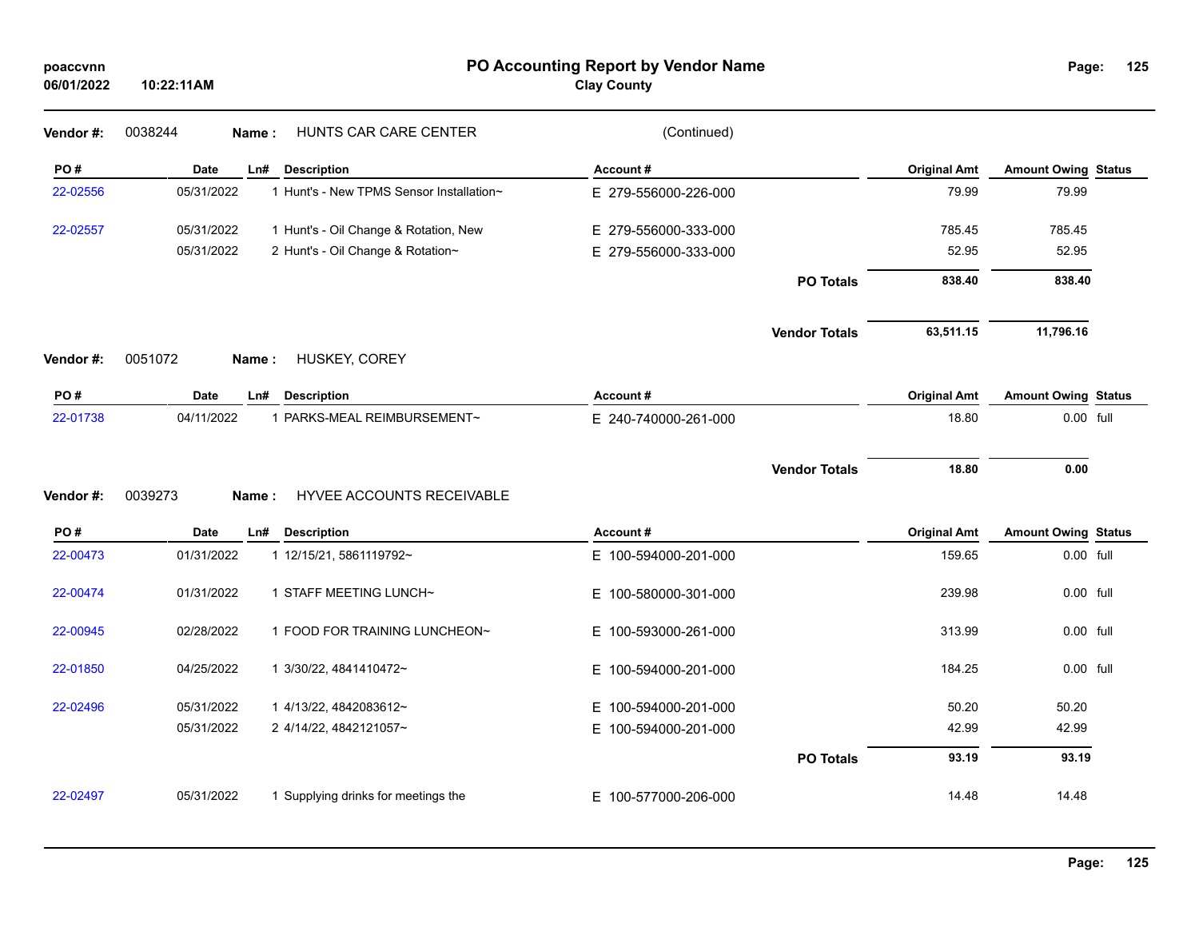| poaccvnn<br>06/01/2022 | 10:22:11AM       |                                          | PO Accounting Report by Vendor Name<br><b>Clay County</b> |                      |                     | Page:                      | 125 |
|------------------------|------------------|------------------------------------------|-----------------------------------------------------------|----------------------|---------------------|----------------------------|-----|
| Vendor #:              | 0038244          | HUNTS CAR CARE CENTER<br>Name:           | (Continued)                                               |                      |                     |                            |     |
| PO#                    | Date             | Ln# Description                          | Account#                                                  |                      | <b>Original Amt</b> | <b>Amount Owing Status</b> |     |
| 22-02556               | 05/31/2022       | 1 Hunt's - New TPMS Sensor Installation~ | E 279-556000-226-000                                      |                      | 79.99               | 79.99                      |     |
| 22-02557               | 05/31/2022       | 1 Hunt's - Oil Change & Rotation, New    | E 279-556000-333-000                                      |                      | 785.45              | 785.45                     |     |
|                        | 05/31/2022       | 2 Hunt's - Oil Change & Rotation~        | E 279-556000-333-000                                      |                      | 52.95               | 52.95                      |     |
|                        |                  |                                          |                                                           | <b>PO Totals</b>     | 838.40              | 838.40                     |     |
|                        |                  |                                          |                                                           | <b>Vendor Totals</b> | 63,511.15           | 11,796.16                  |     |
| Vendor#:               | 0051072          | HUSKEY, COREY<br>Name:                   |                                                           |                      |                     |                            |     |
| PO#                    | <b>Date</b>      | <b>Description</b><br>Ln#                | Account#                                                  |                      | <b>Original Amt</b> | <b>Amount Owing Status</b> |     |
| 22-01738               | 04/11/2022       | 1 PARKS-MEAL REIMBURSEMENT~              | E 240-740000-261-000                                      |                      | 18.80               | 0.00 full                  |     |
| Vendor#:               | 0039273<br>Name: | <b>HYVEE ACCOUNTS RECEIVABLE</b>         |                                                           | <b>Vendor Totals</b> | 18.80               | 0.00                       |     |
| PO#                    | <b>Date</b>      | <b>Description</b><br>Ln#                | Account#                                                  |                      | <b>Original Amt</b> | <b>Amount Owing Status</b> |     |
| 22-00473               | 01/31/2022       | 1 12/15/21, 5861119792~                  | E 100-594000-201-000                                      |                      | 159.65              | 0.00 full                  |     |
| 22-00474               | 01/31/2022       | 1 STAFF MEETING LUNCH~                   | E 100-580000-301-000                                      |                      | 239.98              | 0.00 full                  |     |
| 22-00945               | 02/28/2022       | 1 FOOD FOR TRAINING LUNCHEON~            | E 100-593000-261-000                                      |                      | 313.99              | 0.00 full                  |     |
| 22-01850               | 04/25/2022       | 1 3/30/22, 4841410472~                   | E 100-594000-201-000                                      |                      | 184.25              | 0.00 full                  |     |
| 22-02496               | 05/31/2022       | 1 4/13/22, 4842083612~                   | E 100-594000-201-000                                      |                      | 50.20               | 50.20                      |     |
|                        | 05/31/2022       | 2 4/14/22, 4842121057~                   | E 100-594000-201-000                                      |                      | 42.99               | 42.99                      |     |
|                        |                  |                                          |                                                           | <b>PO Totals</b>     | 93.19               | 93.19                      |     |
| 22-02497               | 05/31/2022       | 1 Supplying drinks for meetings the      | E 100-577000-206-000                                      |                      | 14.48               | 14.48                      |     |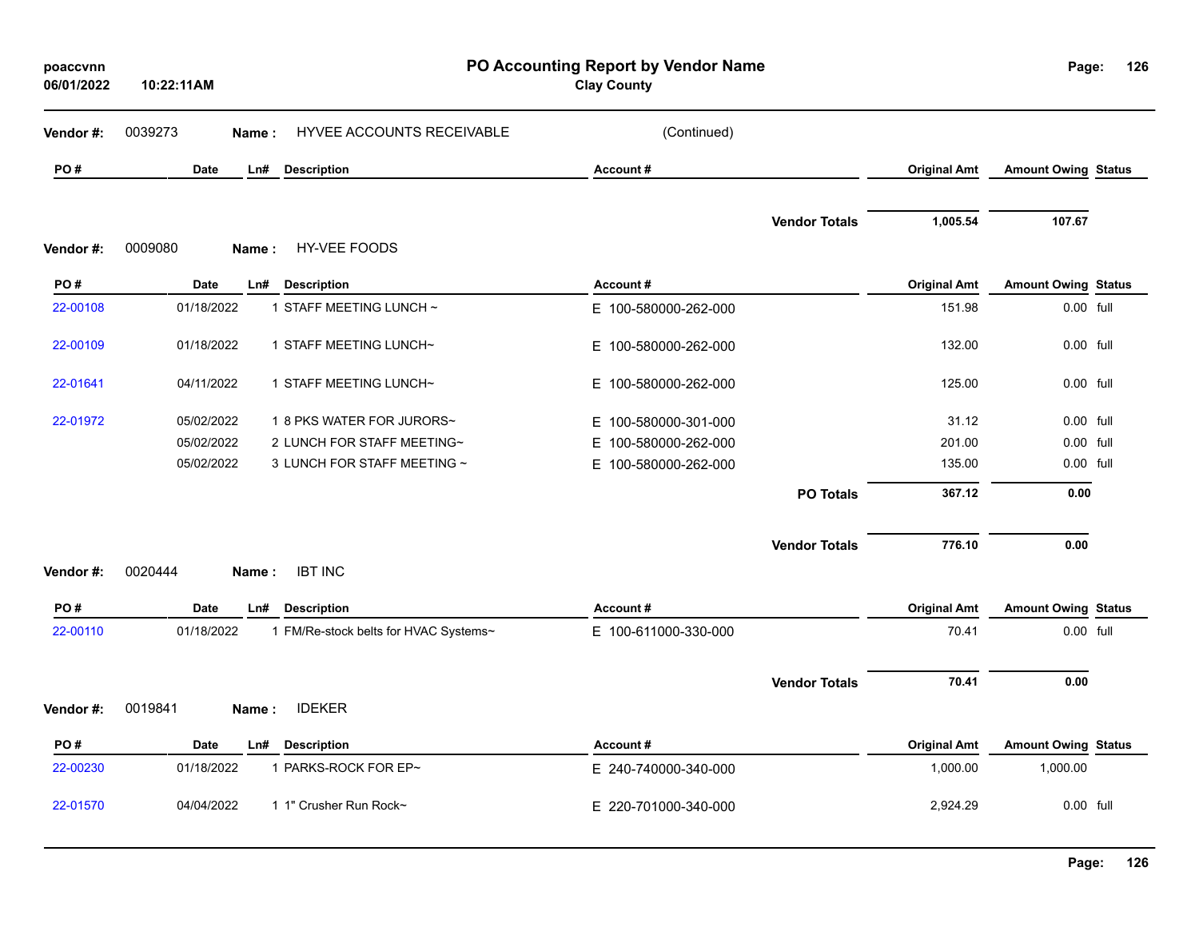| poaccvnn<br>06/01/2022 | 10:22:11AM         |                                       | PO Accounting Report by Vendor Name<br><b>Clay County</b> |                      |                     | Page:                      | 126 |
|------------------------|--------------------|---------------------------------------|-----------------------------------------------------------|----------------------|---------------------|----------------------------|-----|
| Vendor#:               | 0039273<br>Name:   | HYVEE ACCOUNTS RECEIVABLE             | (Continued)                                               |                      |                     |                            |     |
| PO#                    | Date<br>Ln#        | <b>Description</b>                    | Account#                                                  |                      | <b>Original Amt</b> | <b>Amount Owing Status</b> |     |
| Vendor#:               | 0009080<br>Name:   | <b>HY-VEE FOODS</b>                   |                                                           | <b>Vendor Totals</b> | 1,005.54            | 107.67                     |     |
| PO#                    | <b>Date</b><br>Ln# | <b>Description</b>                    | Account#                                                  |                      | <b>Original Amt</b> | <b>Amount Owing Status</b> |     |
| 22-00108               | 01/18/2022         | 1 STAFF MEETING LUNCH ~               | E 100-580000-262-000                                      |                      | 151.98              | 0.00 full                  |     |
| 22-00109               | 01/18/2022         | 1 STAFF MEETING LUNCH~                | E 100-580000-262-000                                      |                      | 132.00              | 0.00 full                  |     |
| 22-01641               | 04/11/2022         | 1 STAFF MEETING LUNCH~                | E 100-580000-262-000                                      |                      | 125.00              | 0.00 full                  |     |
| 22-01972               | 05/02/2022         | 1 8 PKS WATER FOR JURORS~             | E 100-580000-301-000                                      |                      | 31.12               | 0.00 full                  |     |
|                        | 05/02/2022         | 2 LUNCH FOR STAFF MEETING~            | E 100-580000-262-000                                      |                      | 201.00              | $0.00$ full                |     |
|                        | 05/02/2022         | 3 LUNCH FOR STAFF MEETING ~           | E 100-580000-262-000                                      |                      | 135.00              | 0.00 full                  |     |
|                        |                    |                                       |                                                           | <b>PO Totals</b>     | 367.12              | 0.00                       |     |
|                        |                    |                                       |                                                           | <b>Vendor Totals</b> | 776.10              | 0.00                       |     |
| Vendor#:               | 0020444<br>Name:   | <b>IBT INC</b>                        |                                                           |                      |                     |                            |     |
| PO#                    | <b>Date</b><br>Ln# | <b>Description</b>                    | Account#                                                  |                      | <b>Original Amt</b> | <b>Amount Owing Status</b> |     |
| 22-00110               | 01/18/2022         | 1 FM/Re-stock belts for HVAC Systems~ | E 100-611000-330-000                                      |                      | 70.41               | 0.00 full                  |     |
|                        |                    |                                       |                                                           | <b>Vendor Totals</b> | 70.41               | 0.00                       |     |
| Vendor#:               | 0019841<br>Name:   | <b>IDEKER</b>                         |                                                           |                      |                     |                            |     |
| PO#                    | Date<br>Ln#        | <b>Description</b>                    | Account#                                                  |                      | <b>Original Amt</b> | <b>Amount Owing Status</b> |     |
| 22-00230               | 01/18/2022         | 1 PARKS-ROCK FOR EP~                  | E 240-740000-340-000                                      |                      | 1,000.00            | 1,000.00                   |     |
| 22-01570               | 04/04/2022         | 1 1" Crusher Run Rock~                | E 220-701000-340-000                                      |                      | 2,924.29            | 0.00 full                  |     |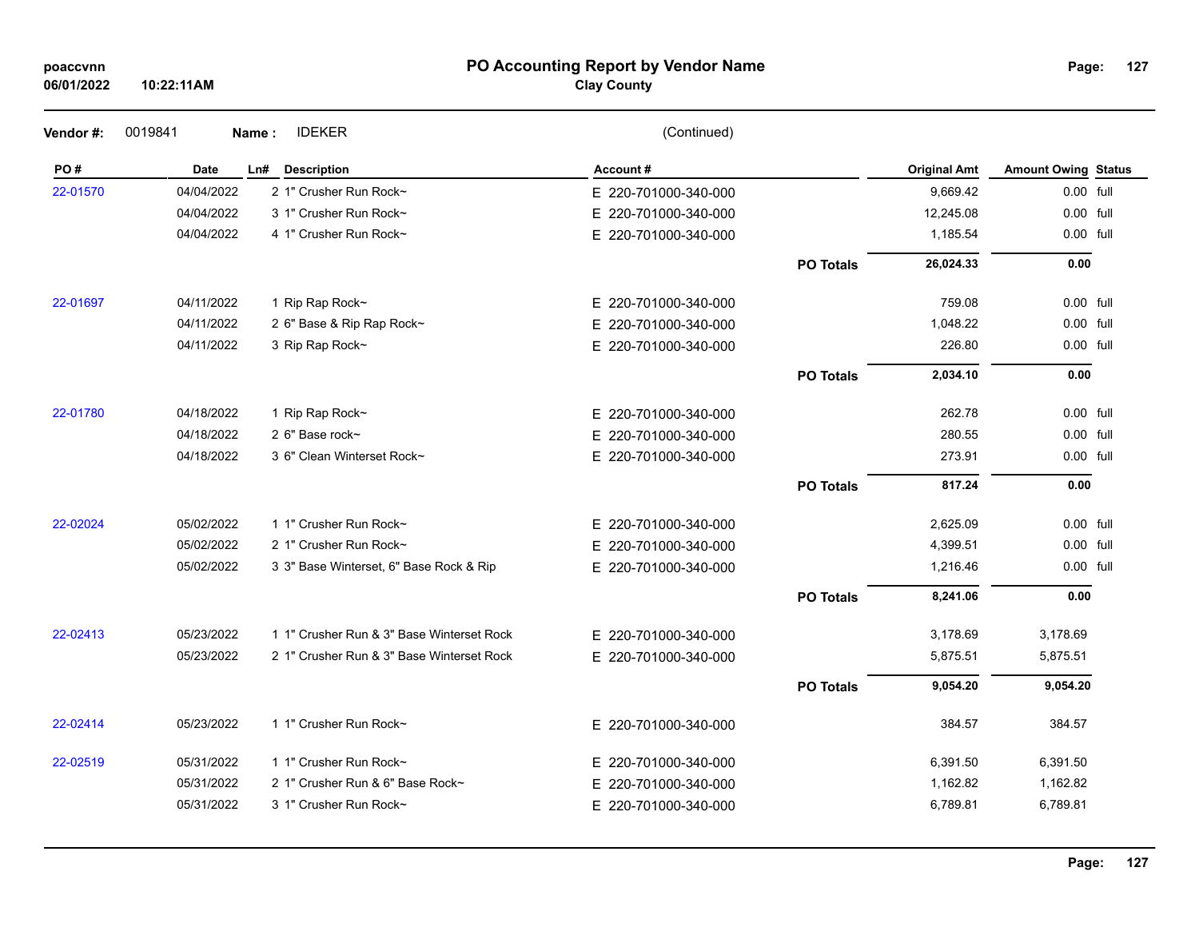| poaccvnn |  |
|----------|--|
|----------|--|

## **PO Accounting Report by Vendor Name poaccvnn Page:**

# **Clay County**

| Vendor#: | 0019841     | <b>IDEKER</b><br>Name:                    | (Continued)              |                  |                     |                            |  |
|----------|-------------|-------------------------------------------|--------------------------|------------------|---------------------|----------------------------|--|
| PO#      | <b>Date</b> | Ln# Description                           | Account#                 |                  | <b>Original Amt</b> | <b>Amount Owing Status</b> |  |
| 22-01570 | 04/04/2022  | 2 1" Crusher Run Rock~                    | E 220-701000-340-000     |                  | 9,669.42            | 0.00 full                  |  |
|          | 04/04/2022  | 3 1" Crusher Run Rock~                    | E 220-701000-340-000     |                  | 12,245.08           | 0.00 full                  |  |
|          | 04/04/2022  | 4 1" Crusher Run Rock~                    | E 220-701000-340-000     |                  | 1,185.54            | 0.00 full                  |  |
|          |             |                                           |                          | <b>PO Totals</b> | 26,024.33           | 0.00                       |  |
| 22-01697 | 04/11/2022  | 1 Rip Rap Rock~                           | E 220-701000-340-000     |                  | 759.08              | 0.00 full                  |  |
|          | 04/11/2022  | 2 6" Base & Rip Rap Rock~                 | E.<br>220-701000-340-000 |                  | 1,048.22            | 0.00 full                  |  |
|          | 04/11/2022  | 3 Rip Rap Rock~                           | E 220-701000-340-000     |                  | 226.80              | 0.00 full                  |  |
|          |             |                                           |                          | <b>PO Totals</b> | 2,034.10            | 0.00                       |  |
| 22-01780 | 04/18/2022  | 1 Rip Rap Rock~                           | E 220-701000-340-000     |                  | 262.78              | 0.00 full                  |  |
|          | 04/18/2022  | 2 6" Base rock~                           | E.<br>220-701000-340-000 |                  | 280.55              | 0.00 full                  |  |
|          | 04/18/2022  | 3 6" Clean Winterset Rock~                | E 220-701000-340-000     |                  | 273.91              | 0.00 full                  |  |
|          |             |                                           |                          | <b>PO Totals</b> | 817.24              | 0.00                       |  |
| 22-02024 | 05/02/2022  | 1 1" Crusher Run Rock~                    | E 220-701000-340-000     |                  | 2,625.09            | 0.00 full                  |  |
|          | 05/02/2022  | 2 1" Crusher Run Rock~                    | E 220-701000-340-000     |                  | 4,399.51            | 0.00 full                  |  |
|          | 05/02/2022  | 3 3" Base Winterset, 6" Base Rock & Rip   | E 220-701000-340-000     |                  | 1,216.46            | 0.00 full                  |  |
|          |             |                                           |                          | <b>PO Totals</b> | 8,241.06            | 0.00                       |  |
| 22-02413 | 05/23/2022  | 1 1" Crusher Run & 3" Base Winterset Rock | E 220-701000-340-000     |                  | 3,178.69            | 3,178.69                   |  |
|          | 05/23/2022  | 2 1" Crusher Run & 3" Base Winterset Rock | E 220-701000-340-000     |                  | 5,875.51            | 5,875.51                   |  |
|          |             |                                           |                          | <b>PO Totals</b> | 9,054.20            | 9,054.20                   |  |
| 22-02414 | 05/23/2022  | 1 1" Crusher Run Rock~                    | E 220-701000-340-000     |                  | 384.57              | 384.57                     |  |
| 22-02519 | 05/31/2022  | 1 1" Crusher Run Rock~                    | E 220-701000-340-000     |                  | 6,391.50            | 6,391.50                   |  |
|          | 05/31/2022  | 2 1" Crusher Run & 6" Base Rock~          | 220-701000-340-000<br>E. |                  | 1,162.82            | 1,162.82                   |  |
|          | 05/31/2022  | 3 1" Crusher Run Rock~                    | E 220-701000-340-000     |                  | 6,789.81            | 6,789.81                   |  |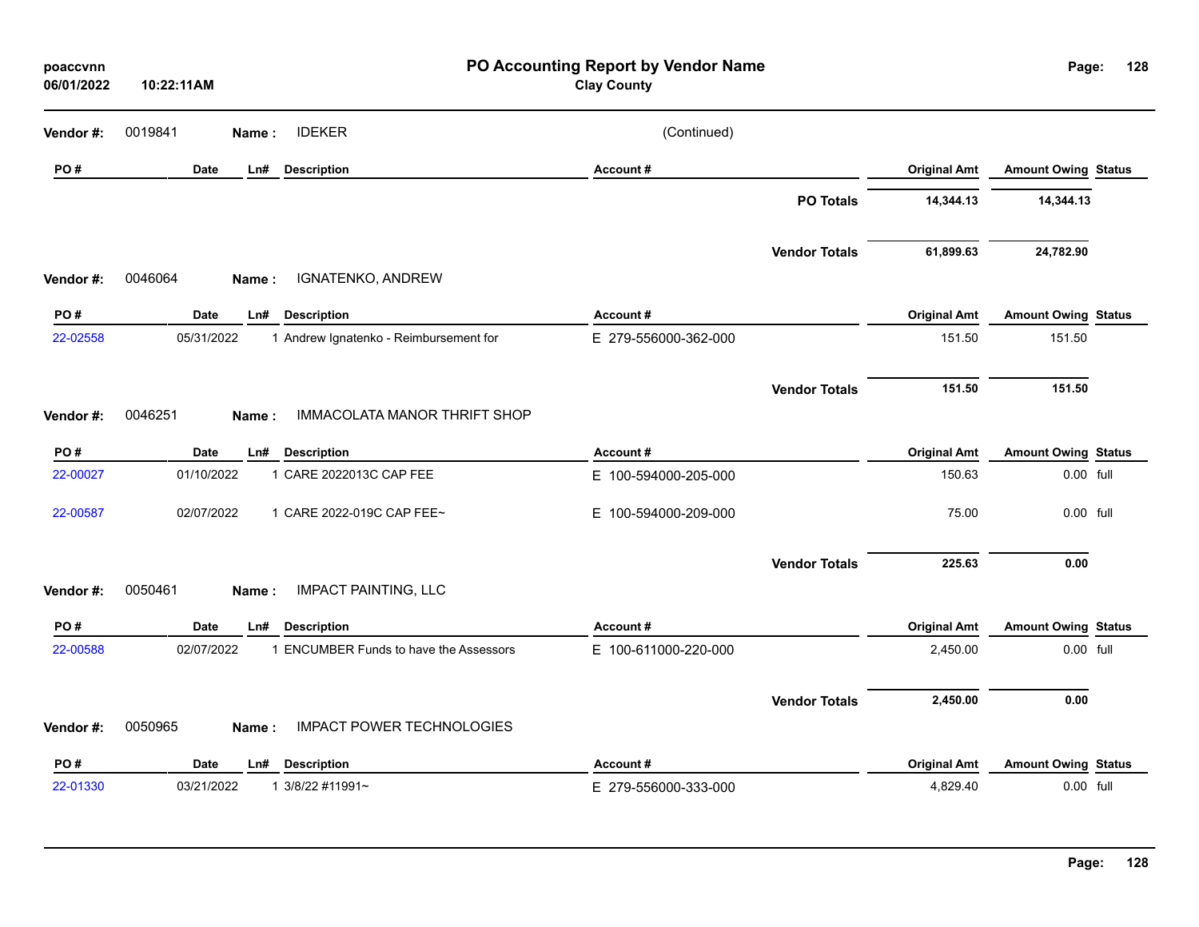| poaccvnn<br>06/01/2022 | 10:22:11AM  |                                        | PO Accounting Report by Vendor Name<br><b>Clay County</b> |                      |                     | Page:                      | 128 |
|------------------------|-------------|----------------------------------------|-----------------------------------------------------------|----------------------|---------------------|----------------------------|-----|
| Vendor #:              | 0019841     | <b>IDEKER</b><br>Name:                 | (Continued)                                               |                      |                     |                            |     |
| PO#                    | <b>Date</b> | <b>Description</b><br>Ln#              | Account#                                                  |                      | <b>Original Amt</b> | <b>Amount Owing Status</b> |     |
|                        |             |                                        |                                                           | <b>PO Totals</b>     | 14,344.13           | 14,344.13                  |     |
|                        |             |                                        |                                                           | <b>Vendor Totals</b> | 61,899.63           | 24,782.90                  |     |
| Vendor#:               | 0046064     | IGNATENKO, ANDREW<br>Name:             |                                                           |                      |                     |                            |     |
| PO#                    | <b>Date</b> | <b>Description</b><br>Ln#              | Account#                                                  |                      | <b>Original Amt</b> | <b>Amount Owing Status</b> |     |
| 22-02558               | 05/31/2022  | 1 Andrew Ignatenko - Reimbursement for | E 279-556000-362-000                                      |                      | 151.50              | 151.50                     |     |
|                        |             |                                        |                                                           | <b>Vendor Totals</b> | 151.50              | 151.50                     |     |
| Vendor #:              | 0046251     | IMMACOLATA MANOR THRIFT SHOP<br>Name:  |                                                           |                      |                     |                            |     |
| PO#                    | Date        | Ln# Description                        | Account#                                                  |                      | <b>Original Amt</b> | <b>Amount Owing Status</b> |     |
| 22-00027               | 01/10/2022  | 1 CARE 2022013C CAP FEE                | E 100-594000-205-000                                      |                      | 150.63              | 0.00 full                  |     |
| 22-00587               | 02/07/2022  | 1 CARE 2022-019C CAP FEE~              | E 100-594000-209-000                                      |                      | 75.00               | 0.00 full                  |     |
|                        |             |                                        |                                                           | <b>Vendor Totals</b> | 225.63              | 0.00                       |     |
| Vendor#:               | 0050461     | <b>IMPACT PAINTING, LLC</b><br>Name:   |                                                           |                      |                     |                            |     |
| PO#                    | Date        | <b>Description</b><br>Ln#              | Account#                                                  |                      | <b>Original Amt</b> | <b>Amount Owing Status</b> |     |
| 22-00588               | 02/07/2022  | 1 ENCUMBER Funds to have the Assessors | E 100-611000-220-000                                      |                      | 2,450.00            | 0.00 full                  |     |
|                        |             | <b>IMPACT POWER TECHNOLOGIES</b>       |                                                           | <b>Vendor Totals</b> | 2,450.00            | 0.00                       |     |
| Vendor #:              | 0050965     | Name:                                  |                                                           |                      |                     |                            |     |
| PO#                    | Date        | <b>Description</b><br>Ln#              | Account#                                                  |                      | <b>Original Amt</b> | <b>Amount Owing Status</b> |     |
| 22-01330               | 03/21/2022  | 1 3/8/22 #11991~                       | E 279-556000-333-000                                      |                      | 4,829.40            | 0.00 full                  |     |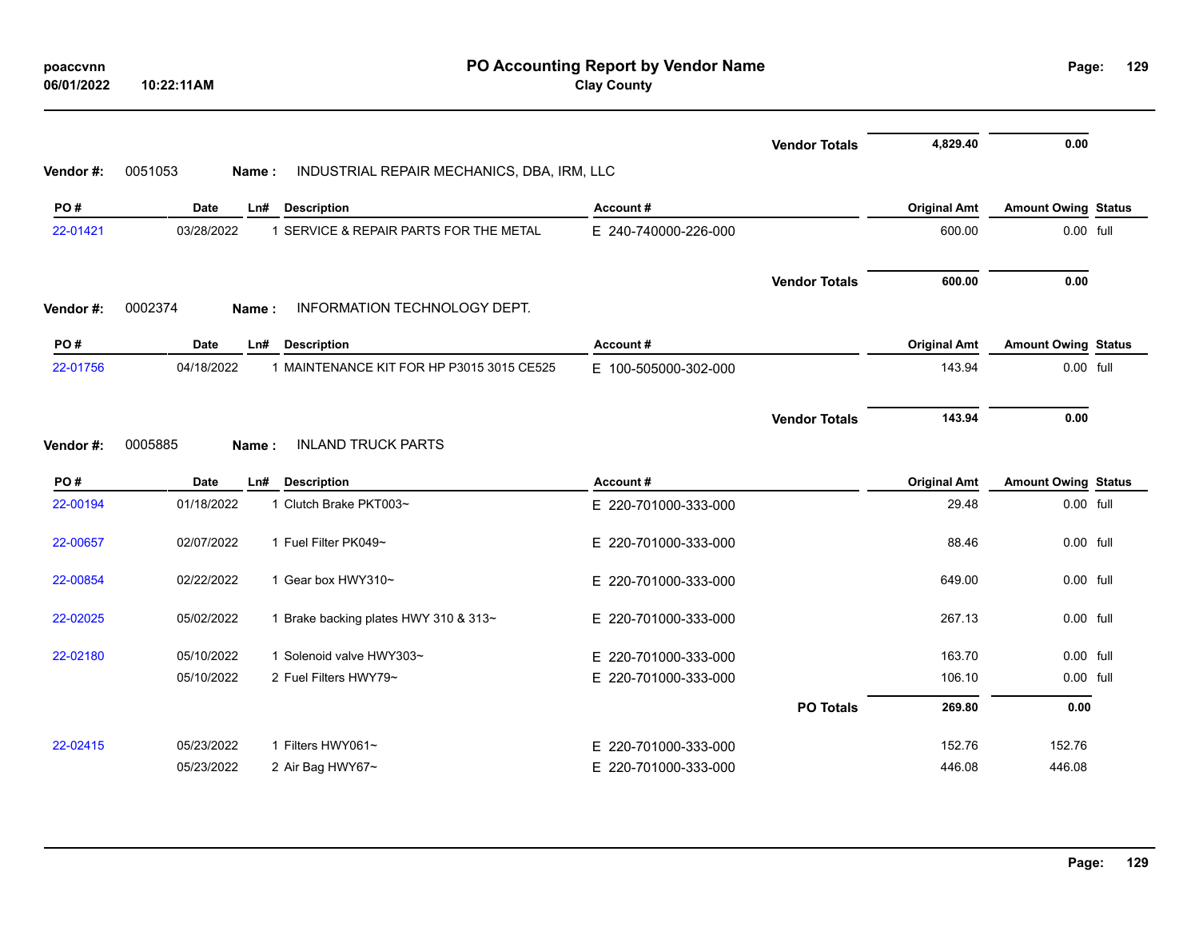| poaccvnn<br>06/01/2022 | 10:22:11AM       |                                            | PO Accounting Report by Vendor Name<br><b>Clay County</b> |                      |                     | Page:                      | 129 |
|------------------------|------------------|--------------------------------------------|-----------------------------------------------------------|----------------------|---------------------|----------------------------|-----|
|                        |                  |                                            |                                                           | <b>Vendor Totals</b> | 4,829.40            | 0.00                       |     |
| Vendor#:               | 0051053<br>Name: | INDUSTRIAL REPAIR MECHANICS, DBA, IRM, LLC |                                                           |                      |                     |                            |     |
| PO#                    | Date             | <b>Description</b><br>Ln#                  | Account#                                                  |                      | <b>Original Amt</b> | <b>Amount Owing Status</b> |     |
| 22-01421               | 03/28/2022       | 1 SERVICE & REPAIR PARTS FOR THE METAL     | E 240-740000-226-000                                      |                      | 600.00              | 0.00 full                  |     |
| Vendor#:               | 0002374<br>Name: | INFORMATION TECHNOLOGY DEPT.               |                                                           | <b>Vendor Totals</b> | 600.00              | 0.00                       |     |
| PO#                    | <b>Date</b>      | <b>Description</b><br>LnH                  | Account#                                                  |                      | <b>Original Amt</b> | <b>Amount Owing Status</b> |     |
| 22-01756               | 04/18/2022       | 1 MAINTENANCE KIT FOR HP P3015 3015 CE525  | E 100-505000-302-000                                      |                      | 143.94              | 0.00 full                  |     |
| Vendor #:              | 0005885<br>Name: | <b>INLAND TRUCK PARTS</b>                  |                                                           | <b>Vendor Totals</b> | 143.94              | 0.00                       |     |
| PO#                    | <b>Date</b>      | LnH<br><b>Description</b>                  | Account#                                                  |                      | <b>Original Amt</b> | <b>Amount Owing Status</b> |     |
| 22-00194               | 01/18/2022       | 1 Clutch Brake PKT003~                     | E 220-701000-333-000                                      |                      | 29.48               | 0.00 full                  |     |
| 22-00657               | 02/07/2022       | 1 Fuel Filter PK049~                       | E 220-701000-333-000                                      |                      | 88.46               | 0.00 full                  |     |
| 22-00854               | 02/22/2022       | 1 Gear box HWY310~                         | E 220-701000-333-000                                      |                      | 649.00              | 0.00 full                  |     |
| 22-02025               | 05/02/2022       | 1 Brake backing plates HWY 310 & 313~      | E 220-701000-333-000                                      |                      | 267.13              | 0.00 full                  |     |
| 22-02180               | 05/10/2022       | 1 Solenoid valve HWY303~                   | E 220-701000-333-000                                      |                      | 163.70              | $0.00$ full                |     |
|                        | 05/10/2022       | 2 Fuel Filters HWY79~                      | E 220-701000-333-000                                      |                      | 106.10              | 0.00 full                  |     |
|                        |                  |                                            |                                                           | <b>PO Totals</b>     | 269.80              | 0.00                       |     |
| 22-02415               | 05/23/2022       | 1 Filters HWY061~                          | E 220-701000-333-000                                      |                      | 152.76              | 152.76                     |     |
|                        | 05/23/2022       | 2 Air Bag HWY67~                           | E 220-701000-333-000                                      |                      | 446.08              | 446.08                     |     |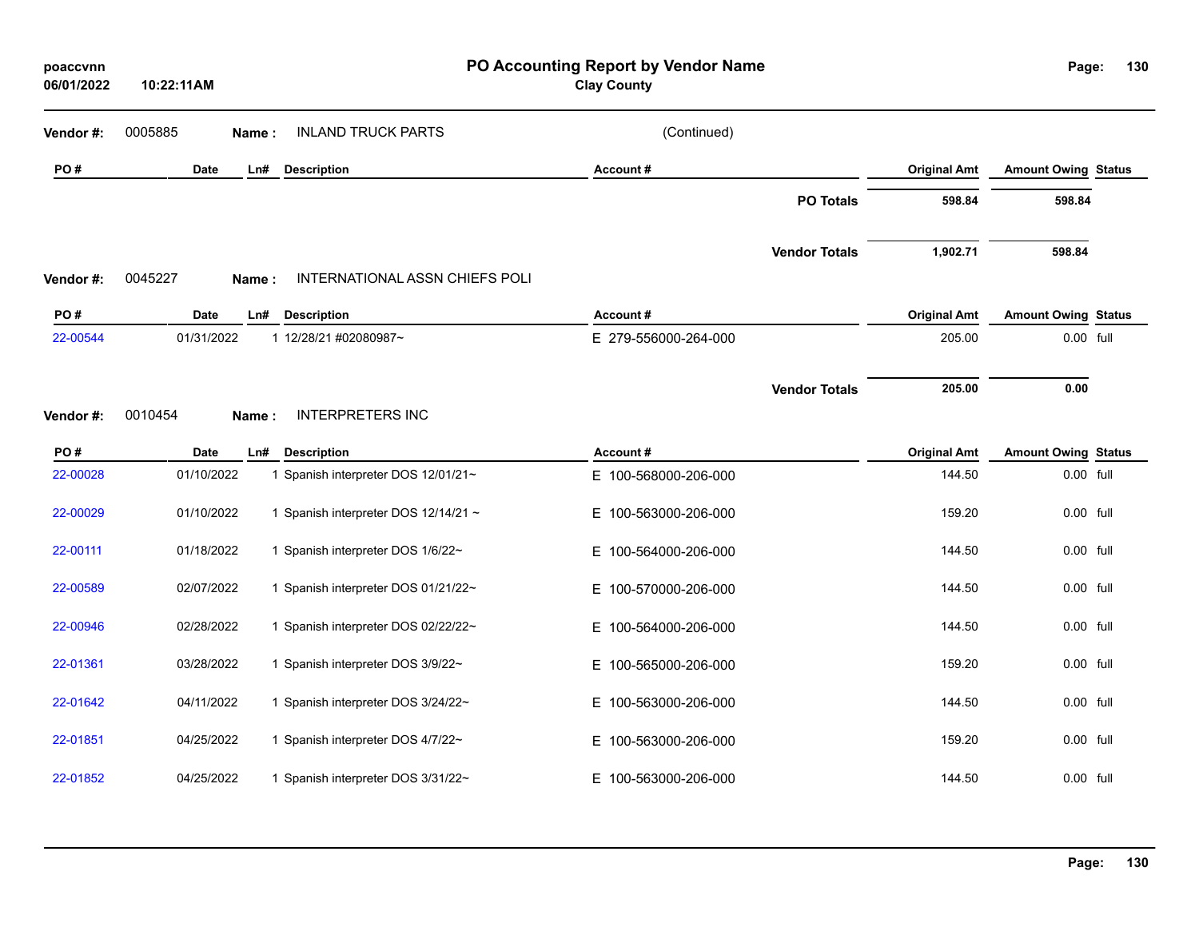| poaccvnn<br>06/01/2022 | 10:22:11AM       |                                      | Page:                    | 130                  |                     |                            |  |
|------------------------|------------------|--------------------------------------|--------------------------|----------------------|---------------------|----------------------------|--|
| Vendor #:              | 0005885<br>Name: | <b>INLAND TRUCK PARTS</b>            | (Continued)              |                      |                     |                            |  |
| PO#                    | <b>Date</b>      | <b>Description</b><br>Ln#            | Account#                 |                      | <b>Original Amt</b> | <b>Amount Owing Status</b> |  |
|                        |                  |                                      |                          | <b>PO Totals</b>     | 598.84              | 598.84                     |  |
| Vendor#:               | 0045227<br>Name: | INTERNATIONAL ASSN CHIEFS POLI       |                          | <b>Vendor Totals</b> | 1,902.71            | 598.84                     |  |
| PO#                    | <b>Date</b>      | Ln#<br><b>Description</b>            | Account#                 |                      | <b>Original Amt</b> | <b>Amount Owing Status</b> |  |
| 22-00544               | 01/31/2022       | 1 12/28/21 #02080987~                | E 279-556000-264-000     |                      | 205.00              | 0.00 full                  |  |
|                        |                  |                                      |                          | <b>Vendor Totals</b> | 205.00              | 0.00                       |  |
| Vendor#:               | 0010454<br>Name: | <b>INTERPRETERS INC</b>              |                          |                      |                     |                            |  |
| PO#                    | Date             | Ln#<br><b>Description</b>            | Account#                 |                      | <b>Original Amt</b> | <b>Amount Owing Status</b> |  |
| 22-00028               | 01/10/2022       | 1 Spanish interpreter DOS 12/01/21~  | E 100-568000-206-000     |                      | 144.50              | 0.00 full                  |  |
| 22-00029               | 01/10/2022       | 1 Spanish interpreter DOS 12/14/21 ~ | E 100-563000-206-000     |                      | 159.20              | 0.00 full                  |  |
| 22-00111               | 01/18/2022       | 1 Spanish interpreter DOS 1/6/22~    | E.<br>100-564000-206-000 |                      | 144.50              | 0.00 full                  |  |
| 22-00589               | 02/07/2022       | 1 Spanish interpreter DOS 01/21/22~  | 100-570000-206-000<br>E. |                      | 144.50              | 0.00 full                  |  |
| 22-00946               | 02/28/2022       | 1 Spanish interpreter DOS 02/22/22~  | E.<br>100-564000-206-000 |                      | 144.50              | 0.00 full                  |  |
| 22-01361               | 03/28/2022       | 1 Spanish interpreter DOS 3/9/22~    | E 100-565000-206-000     |                      | 159.20              | 0.00 full                  |  |
| 22-01642               | 04/11/2022       | 1 Spanish interpreter DOS 3/24/22~   | E 100-563000-206-000     |                      | 144.50              | 0.00 full                  |  |
| 22-01851               | 04/25/2022       | 1 Spanish interpreter DOS 4/7/22~    | E.<br>100-563000-206-000 |                      | 159.20              | 0.00 full                  |  |
| 22-01852               | 04/25/2022       | 1 Spanish interpreter DOS 3/31/22~   | 100-563000-206-000<br>Е. |                      | 144.50              | 0.00 full                  |  |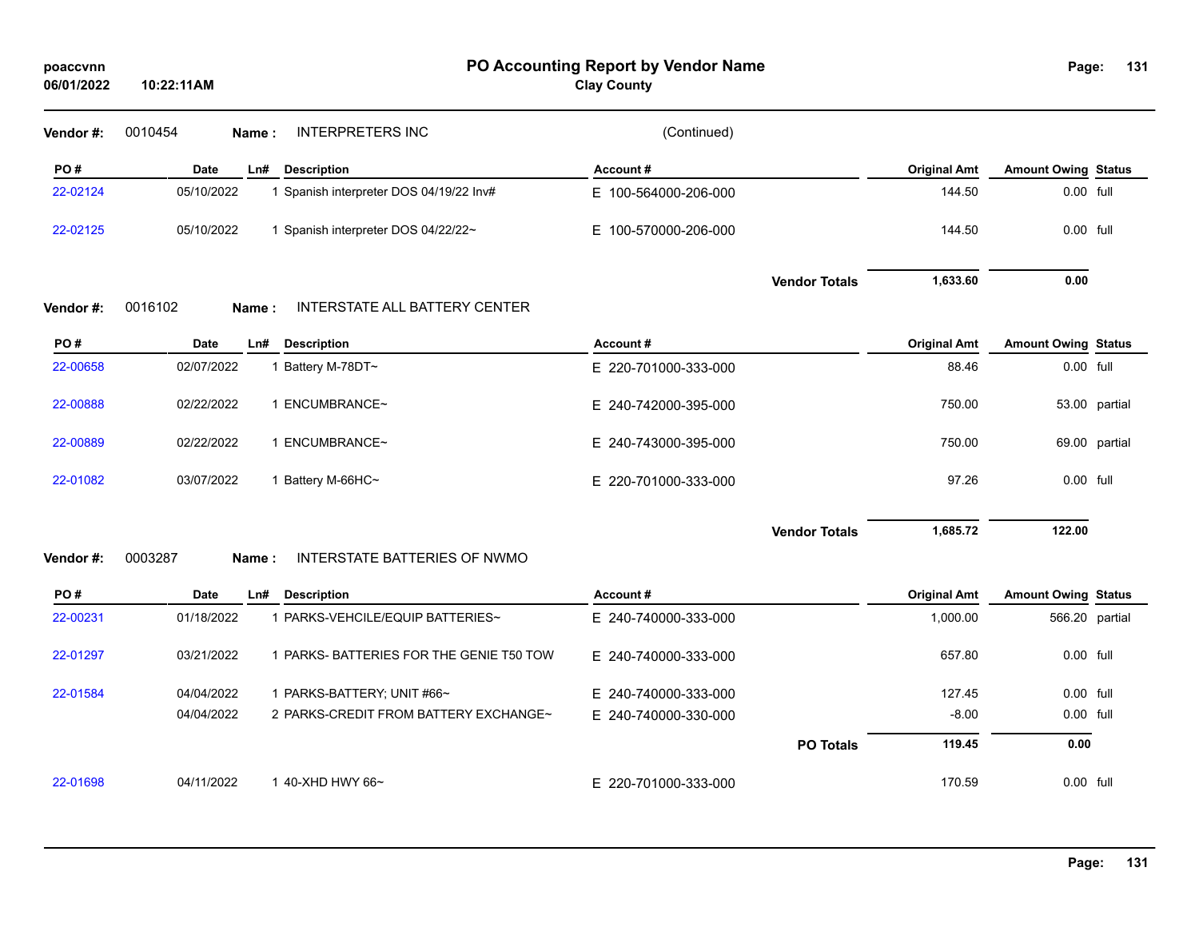| poaccynn   |            |
|------------|------------|
| 06/01/2022 | 10:22:11AM |

**PO Accounting Report by Vendor Name poaccvnn Page:**

**Clay County**

| Vendor#: | 0010454     | Name: | <b>INTERPRETERS INC</b>                  | (Continued)          |                      |                     |                            |               |
|----------|-------------|-------|------------------------------------------|----------------------|----------------------|---------------------|----------------------------|---------------|
| PO#      | <b>Date</b> | Ln#   | <b>Description</b>                       | Account#             |                      | <b>Original Amt</b> | <b>Amount Owing Status</b> |               |
| 22-02124 | 05/10/2022  |       | 1 Spanish interpreter DOS 04/19/22 Inv#  | E 100-564000-206-000 |                      | 144.50              | 0.00 full                  |               |
| 22-02125 | 05/10/2022  |       | 1 Spanish interpreter DOS 04/22/22~      | E 100-570000-206-000 |                      | 144.50              | 0.00 full                  |               |
| Vendor#: | 0016102     | Name: | INTERSTATE ALL BATTERY CENTER            |                      | <b>Vendor Totals</b> | 1,633.60            | 0.00                       |               |
| PO#      | <b>Date</b> | Ln#   | <b>Description</b>                       | Account#             |                      | <b>Original Amt</b> | <b>Amount Owing Status</b> |               |
| 22-00658 | 02/07/2022  |       | 1 Battery M-78DT~                        | E 220-701000-333-000 |                      | 88.46               | 0.00 full                  |               |
| 22-00888 | 02/22/2022  |       | 1 ENCUMBRANCE~                           | E 240-742000-395-000 |                      | 750.00              |                            | 53.00 partial |
| 22-00889 | 02/22/2022  |       | 1 ENCUMBRANCE~                           | E 240-743000-395-000 |                      | 750.00              |                            | 69.00 partial |
| 22-01082 | 03/07/2022  |       | 1 Battery M-66HC~                        | E 220-701000-333-000 |                      | 97.26               | 0.00 full                  |               |
| Vendor#: | 0003287     | Name: | INTERSTATE BATTERIES OF NWMO             |                      | <b>Vendor Totals</b> | 1,685.72            | 122.00                     |               |
| PO#      | <b>Date</b> | Ln#   | <b>Description</b>                       | Account#             |                      | <b>Original Amt</b> | <b>Amount Owing Status</b> |               |
| 22-00231 | 01/18/2022  |       | 1 PARKS-VEHCILE/EQUIP BATTERIES~         | E 240-740000-333-000 |                      | 1,000.00            | 566.20 partial             |               |
| 22-01297 | 03/21/2022  |       | 1 PARKS- BATTERIES FOR THE GENIE T50 TOW | E 240-740000-333-000 |                      | 657.80              | 0.00 full                  |               |

| 22-01698        | 04/11/2022 | 40-XHD HWY 66~                        | E 220-701000-333-000 |                  | 170.59  | $0.00$ full      |
|-----------------|------------|---------------------------------------|----------------------|------------------|---------|------------------|
|                 |            |                                       |                      | <b>PO Totals</b> | 119.45  | 0.00             |
|                 | 04/04/2022 | 2 PARKS-CREDIT FROM BATTERY EXCHANGE~ | E 240-740000-330-000 |                  | $-8.00$ | $0.00$ full      |
| 22-01584        | 04/04/2022 | PARKS-BATTERY; UNIT #66~              | E 240-740000-333-000 |                  | 127.45  | $0.00$ full      |
| <u>LL VILVI</u> | 0012112022 |                                       | L 240-140000-000-000 |                  | ,,,,,   | <b>0.00 IGIL</b> |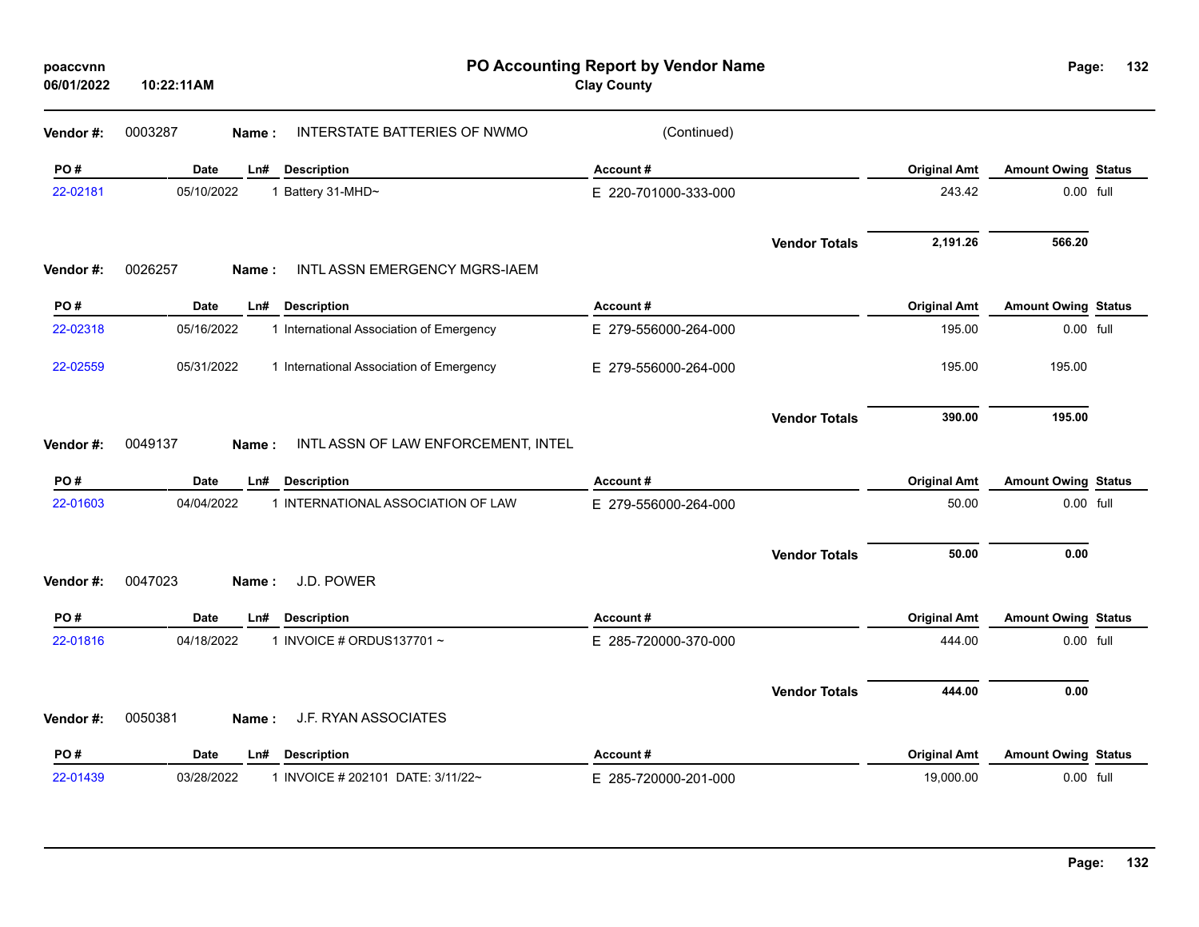| poaccvnn<br>06/01/2022 | PO Accounting Report by Vendor Name<br><b>Clay County</b><br>10:22:11AM |                                          |                      |                      |                     | Page:                      | 132 |
|------------------------|-------------------------------------------------------------------------|------------------------------------------|----------------------|----------------------|---------------------|----------------------------|-----|
| Vendor #:              | 0003287<br>Name:                                                        | INTERSTATE BATTERIES OF NWMO             | (Continued)          |                      |                     |                            |     |
| PO#                    | <b>Date</b><br>Ln#                                                      | <b>Description</b>                       | Account#             |                      | <b>Original Amt</b> | <b>Amount Owing Status</b> |     |
| 22-02181               | 05/10/2022                                                              | 1 Battery 31-MHD~                        | E 220-701000-333-000 |                      | 243.42              | 0.00 full                  |     |
|                        |                                                                         |                                          |                      | <b>Vendor Totals</b> | 2,191.26            | 566.20                     |     |
| Vendor#:               | 0026257<br>Name:                                                        | INTL ASSN EMERGENCY MGRS-IAEM            |                      |                      |                     |                            |     |
| PO#                    | <b>Date</b><br>Ln#                                                      | <b>Description</b>                       | Account#             |                      | <b>Original Amt</b> | <b>Amount Owing Status</b> |     |
| 22-02318               | 05/16/2022                                                              | 1 International Association of Emergency | E 279-556000-264-000 |                      | 195.00              | 0.00 full                  |     |
| 22-02559               | 05/31/2022                                                              | 1 International Association of Emergency | E 279-556000-264-000 |                      | 195.00              | 195.00                     |     |
|                        |                                                                         |                                          |                      | <b>Vendor Totals</b> | 390.00              | 195.00                     |     |
| Vendor#:               | 0049137<br>Name:                                                        | INTL ASSN OF LAW ENFORCEMENT, INTEL      |                      |                      |                     |                            |     |
| PO#                    | <b>Date</b><br>Ln#                                                      | <b>Description</b>                       | Account#             |                      | <b>Original Amt</b> | <b>Amount Owing Status</b> |     |
| 22-01603               | 04/04/2022                                                              | 1 INTERNATIONAL ASSOCIATION OF LAW       | E 279-556000-264-000 |                      | 50.00               | 0.00 full                  |     |
|                        |                                                                         |                                          |                      | <b>Vendor Totals</b> | 50.00               | 0.00                       |     |
| Vendor#:               | 0047023<br>Name:                                                        | J.D. POWER                               |                      |                      |                     |                            |     |
| PO#                    | Date<br>Ln#                                                             | <b>Description</b>                       | Account#             |                      | <b>Original Amt</b> | <b>Amount Owing Status</b> |     |
| 22-01816               | 04/18/2022                                                              | 1 INVOICE # ORDUS137701~                 | E 285-720000-370-000 |                      | 444.00              | 0.00 full                  |     |
|                        |                                                                         |                                          |                      | <b>Vendor Totals</b> | 444.00              | 0.00                       |     |
| Vendor#:               | 0050381<br>Name:                                                        | J.F. RYAN ASSOCIATES                     |                      |                      |                     |                            |     |
| PO#                    | Date<br>Ln#                                                             | <b>Description</b>                       | Account#             |                      | <b>Original Amt</b> | <b>Amount Owing Status</b> |     |
| 22-01439               | 03/28/2022                                                              | 1 INVOICE # 202101 DATE: 3/11/22~        | E 285-720000-201-000 |                      | 19,000.00           | 0.00 full                  |     |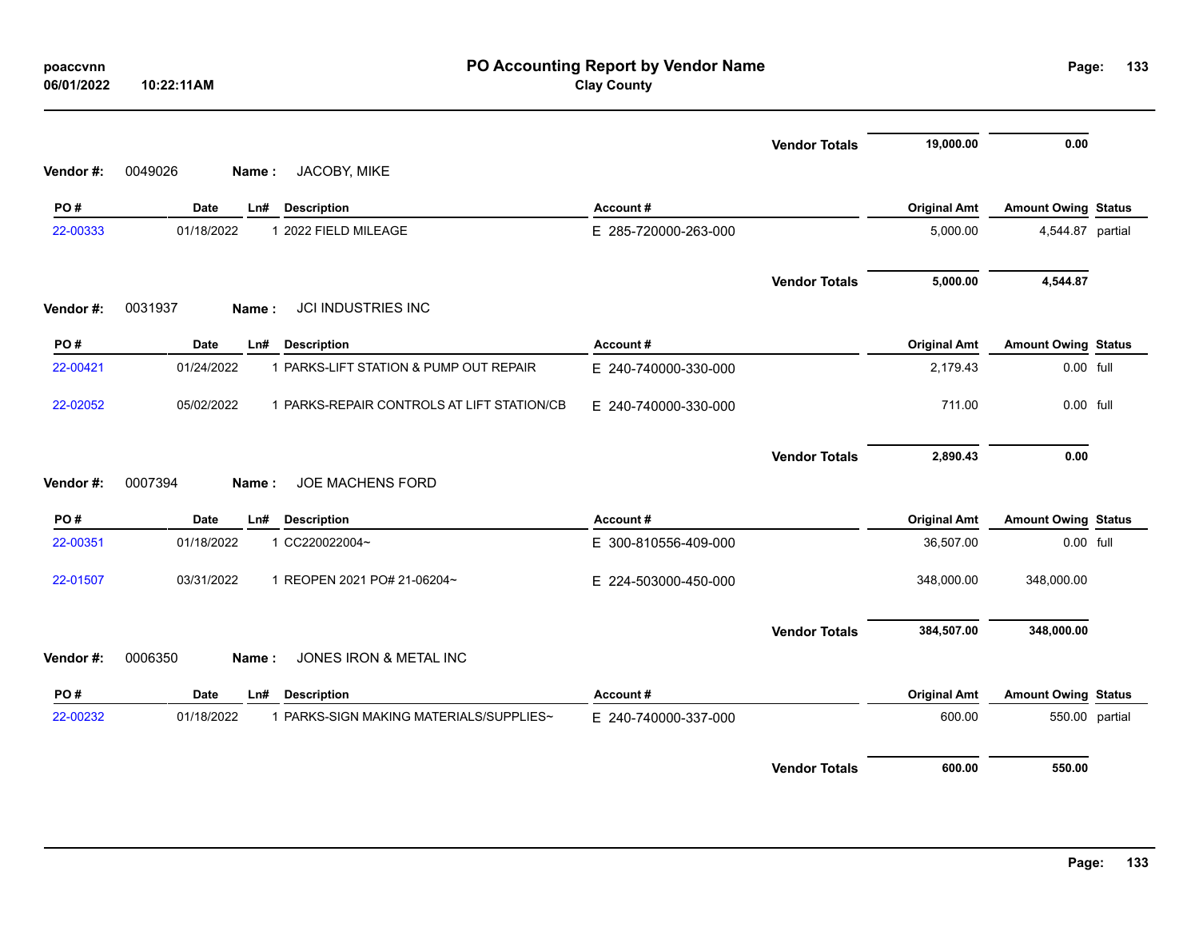| poaccvnn<br>06/01/2022 | PO Accounting Report by Vendor Name<br><b>Clay County</b><br>10:22:11AM |                      |                      |                     |                            |  |
|------------------------|-------------------------------------------------------------------------|----------------------|----------------------|---------------------|----------------------------|--|
|                        |                                                                         |                      | <b>Vendor Totals</b> | 19,000.00           | 0.00                       |  |
| Vendor#:               | JACOBY, MIKE<br>0049026<br>Name:                                        |                      |                      |                     |                            |  |
| PO#                    | <b>Date</b><br>Ln#<br><b>Description</b>                                | Account#             |                      | <b>Original Amt</b> | <b>Amount Owing Status</b> |  |
| 22-00333               | 01/18/2022<br>1 2022 FIELD MILEAGE                                      | E 285-720000-263-000 |                      | 5,000.00            | 4,544.87 partial           |  |
|                        |                                                                         |                      | <b>Vendor Totals</b> | 5,000.00            | 4,544.87                   |  |
| Vendor#:               | <b>JCI INDUSTRIES INC</b><br>0031937<br>Name:                           |                      |                      |                     |                            |  |
| PO#                    | <b>Date</b><br>Ln#<br><b>Description</b>                                | Account#             |                      | <b>Original Amt</b> | <b>Amount Owing Status</b> |  |
| 22-00421               | 01/24/2022<br>1 PARKS-LIFT STATION & PUMP OUT REPAIR                    | E 240-740000-330-000 |                      | 2,179.43            | 0.00 full                  |  |
| 22-02052               | 05/02/2022<br>1 PARKS-REPAIR CONTROLS AT LIFT STATION/CB                | E 240-740000-330-000 |                      | 711.00              | 0.00 full                  |  |
| Vendor#:               | JOE MACHENS FORD<br>0007394<br>Name:                                    |                      | <b>Vendor Totals</b> | 2,890.43            | 0.00                       |  |
| PO#                    | <b>Date</b><br><b>Description</b><br>Ln#                                | Account#             |                      | <b>Original Amt</b> | <b>Amount Owing Status</b> |  |
| 22-00351               | 01/18/2022<br>1 CC220022004~                                            | E 300-810556-409-000 |                      | 36,507.00           | 0.00 full                  |  |
| 22-01507               | 03/31/2022<br>1 REOPEN 2021 PO# 21-06204~                               | E 224-503000-450-000 |                      | 348,000.00          | 348,000.00                 |  |
|                        |                                                                         |                      | <b>Vendor Totals</b> | 384,507.00          | 348,000.00                 |  |
| Vendor#:               | 0006350<br>JONES IRON & METAL INC<br>Name:                              |                      |                      |                     |                            |  |
| PO#                    | Date<br>Ln#<br><b>Description</b>                                       | Account#             |                      | <b>Original Amt</b> | <b>Amount Owing Status</b> |  |
| 22-00232               | 1 PARKS-SIGN MAKING MATERIALS/SUPPLIES~<br>01/18/2022                   | E 240-740000-337-000 |                      | 600.00              | 550.00 partial             |  |
|                        |                                                                         |                      | <b>Vendor Totals</b> | 600.00              | 550.00                     |  |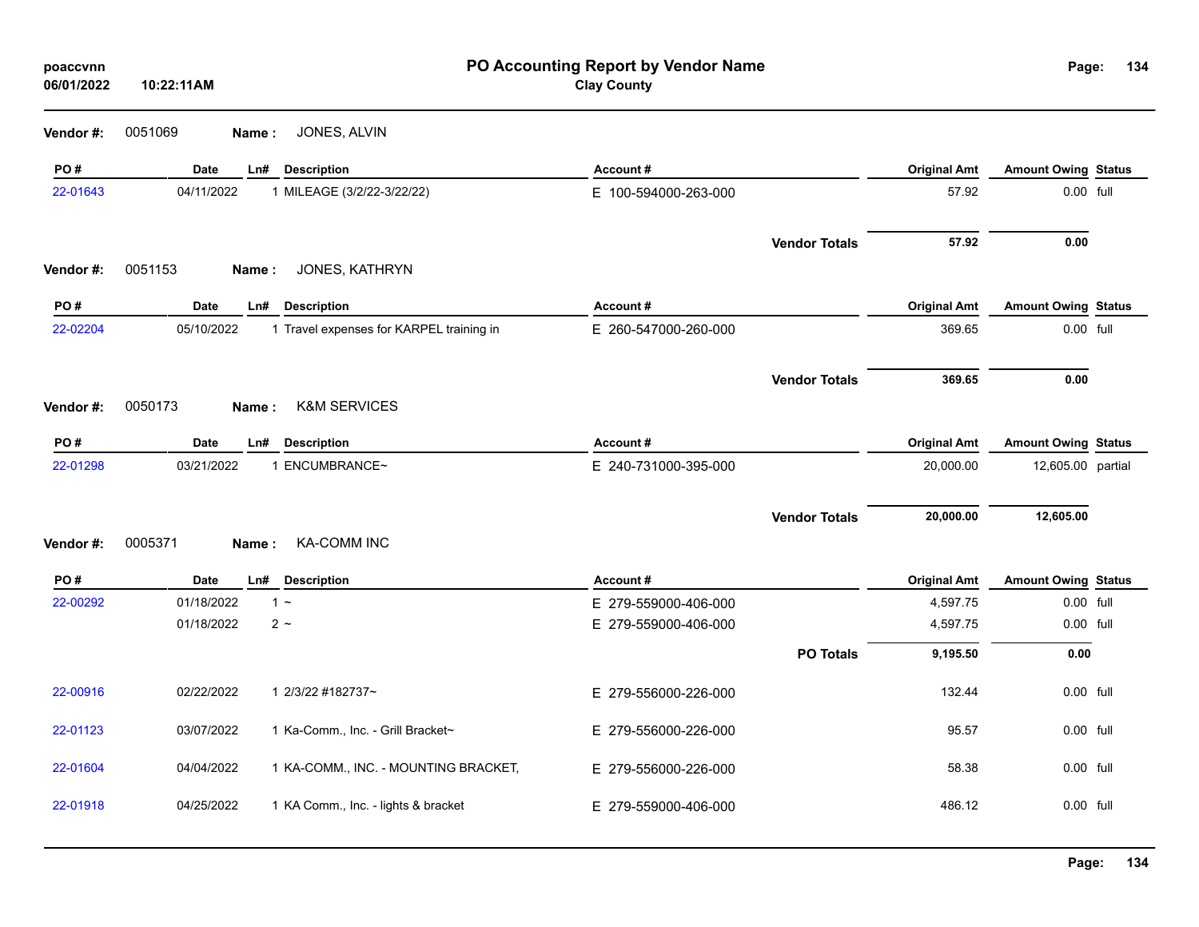| poaccvnn<br>06/01/2022 | 10:22:11AM  | PO Accounting Report by Vendor Name<br>Page:<br><b>Clay County</b> |                      |                      |                     |                            | 134 |
|------------------------|-------------|--------------------------------------------------------------------|----------------------|----------------------|---------------------|----------------------------|-----|
| Vendor #:              | 0051069     | JONES, ALVIN<br>Name:                                              |                      |                      |                     |                            |     |
| PO#                    | Date        | Ln#<br><b>Description</b>                                          | Account#             |                      | <b>Original Amt</b> | <b>Amount Owing Status</b> |     |
| 22-01643               | 04/11/2022  | 1 MILEAGE (3/2/22-3/22/22)                                         | E 100-594000-263-000 |                      | 57.92               | 0.00 full                  |     |
|                        |             |                                                                    |                      | <b>Vendor Totals</b> | 57.92               | 0.00                       |     |
| Vendor#:               | 0051153     | JONES, KATHRYN<br>Name:                                            |                      |                      |                     |                            |     |
| PO#                    | Date        | <b>Description</b><br>Ln#                                          | Account#             |                      | <b>Original Amt</b> | <b>Amount Owing Status</b> |     |
| 22-02204               | 05/10/2022  | 1 Travel expenses for KARPEL training in                           | E 260-547000-260-000 |                      | 369.65              | 0.00 full                  |     |
|                        |             |                                                                    |                      | <b>Vendor Totals</b> | 369.65              | 0.00                       |     |
| Vendor#:               | 0050173     | <b>K&amp;M SERVICES</b><br>Name:                                   |                      |                      |                     |                            |     |
| PO#                    | <b>Date</b> | Ln#<br><b>Description</b>                                          | Account#             |                      | <b>Original Amt</b> | <b>Amount Owing Status</b> |     |
| 22-01298               | 03/21/2022  | 1 ENCUMBRANCE~                                                     | E 240-731000-395-000 |                      | 20,000.00           | 12,605.00 partial          |     |
|                        |             |                                                                    |                      |                      |                     |                            |     |
|                        |             |                                                                    |                      | <b>Vendor Totals</b> | 20,000.00           | 12,605.00                  |     |
| Vendor#:               | 0005371     | <b>KA-COMM INC</b><br>Name:                                        |                      |                      |                     |                            |     |
| PO#                    | Date        | Ln#<br><b>Description</b>                                          | Account#             |                      | <b>Original Amt</b> | <b>Amount Owing Status</b> |     |
| 22-00292               | 01/18/2022  | $1 -$                                                              | E 279-559000-406-000 |                      | 4,597.75            | 0.00 full                  |     |
|                        | 01/18/2022  | $2 \sim$                                                           | E 279-559000-406-000 |                      | 4,597.75            | $0.00$ full                |     |
|                        |             |                                                                    |                      | <b>PO Totals</b>     | 9,195.50            | 0.00                       |     |
| 22-00916               | 02/22/2022  | 1 2/3/22 #182737~                                                  | E 279-556000-226-000 |                      | 132.44              | 0.00 full                  |     |
| 22-01123               | 03/07/2022  | 1 Ka-Comm., Inc. - Grill Bracket~                                  | E 279-556000-226-000 |                      | 95.57               | 0.00 full                  |     |
| 22-01604               | 04/04/2022  | 1 KA-COMM., INC. - MOUNTING BRACKET,                               | E 279-556000-226-000 |                      | 58.38               | 0.00 full                  |     |
| 22-01918               | 04/25/2022  | 1 KA Comm., Inc. - lights & bracket                                | E 279-559000-406-000 |                      | 486.12              | 0.00 full                  |     |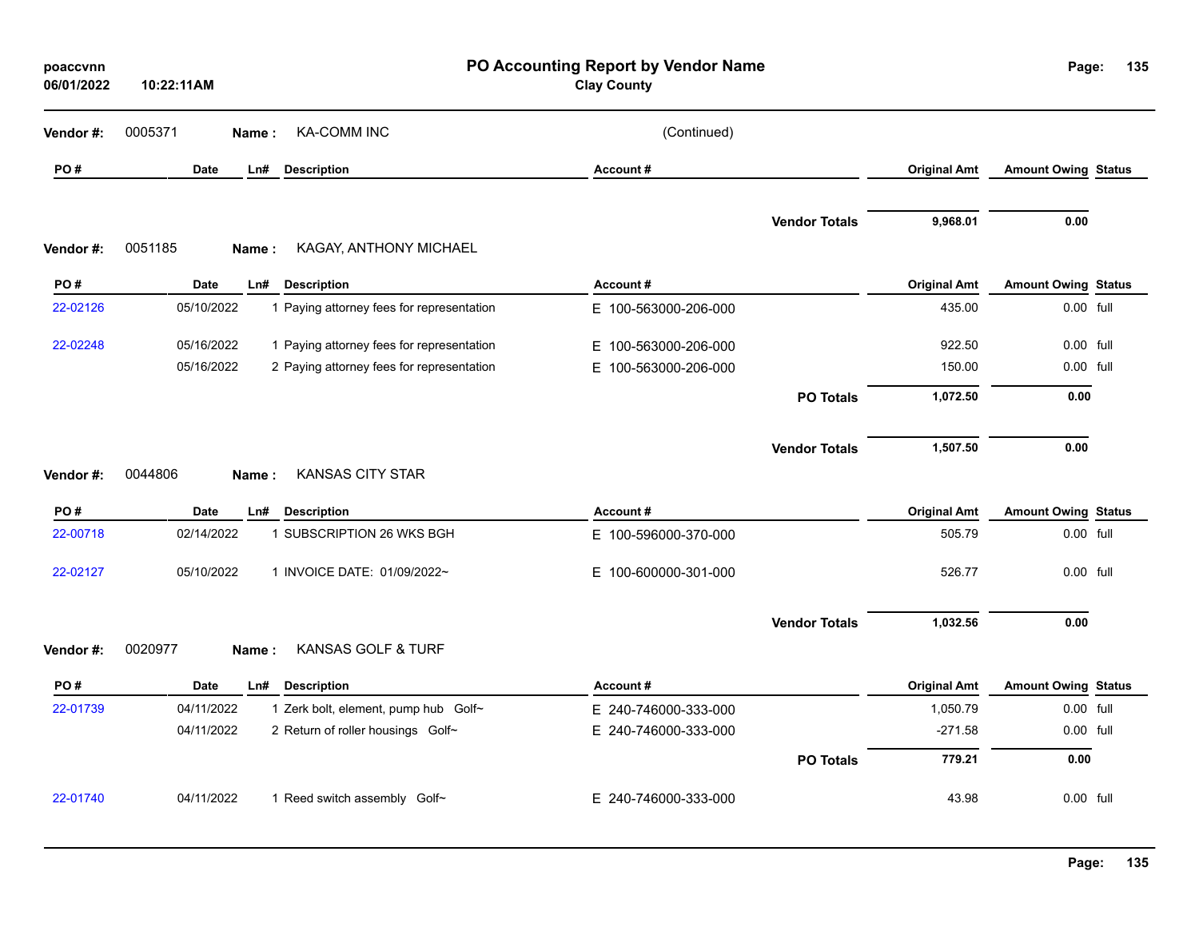| poaccvnn<br>06/01/2022 | 10:22:11AM               |                                                                                        | PO Accounting Report by Vendor Name<br><b>Clay County</b> |                      |                     | Page:                      | 135 |
|------------------------|--------------------------|----------------------------------------------------------------------------------------|-----------------------------------------------------------|----------------------|---------------------|----------------------------|-----|
| Vendor #:              | 0005371<br>Name:         | <b>KA-COMM INC</b>                                                                     | (Continued)                                               |                      |                     |                            |     |
| PO#                    | <b>Date</b><br>Ln#       | <b>Description</b>                                                                     | Account#                                                  |                      | <b>Original Amt</b> | <b>Amount Owing Status</b> |     |
| Vendor#:               | 0051185<br>Name:         | KAGAY, ANTHONY MICHAEL                                                                 |                                                           | <b>Vendor Totals</b> | 9,968.01            | 0.00                       |     |
| PO#                    | Date<br>Ln#              | <b>Description</b>                                                                     | Account#                                                  |                      | <b>Original Amt</b> | <b>Amount Owing Status</b> |     |
| 22-02126               | 05/10/2022               | 1 Paying attorney fees for representation                                              | E 100-563000-206-000                                      |                      | 435.00              | 0.00 full                  |     |
| 22-02248               | 05/16/2022<br>05/16/2022 | 1 Paying attorney fees for representation<br>2 Paying attorney fees for representation | E 100-563000-206-000<br>E 100-563000-206-000              |                      | 922.50<br>150.00    | 0.00 full<br>0.00 full     |     |
|                        |                          |                                                                                        |                                                           | <b>PO Totals</b>     | 1,072.50            | 0.00                       |     |
| Vendor#:               | 0044806<br>Name:         | <b>KANSAS CITY STAR</b>                                                                |                                                           | <b>Vendor Totals</b> | 1,507.50            | 0.00                       |     |
| PO#                    | Date<br>Ln#              | <b>Description</b>                                                                     | Account#                                                  |                      | <b>Original Amt</b> | <b>Amount Owing Status</b> |     |
| 22-00718               | 02/14/2022               | 1 SUBSCRIPTION 26 WKS BGH                                                              | E 100-596000-370-000                                      |                      | 505.79              | 0.00 full                  |     |
| 22-02127               | 05/10/2022               | 1 INVOICE DATE: 01/09/2022~                                                            | E.<br>100-600000-301-000                                  |                      | 526.77              | 0.00 full                  |     |
| Vendor #:              | 0020977<br>Name:         | KANSAS GOLF & TURF                                                                     |                                                           | <b>Vendor Totals</b> | 1,032.56            | 0.00                       |     |
| PO#                    | Date<br>Ln#              | <b>Description</b>                                                                     | Account#                                                  |                      | <b>Original Amt</b> | <b>Amount Owing Status</b> |     |
| 22-01739               | 04/11/2022               | 1 Zerk bolt, element, pump hub Golf~                                                   | E 240-746000-333-000                                      |                      | 1,050.79            | 0.00 full                  |     |
|                        | 04/11/2022               | 2 Return of roller housings Golf~                                                      | E 240-746000-333-000                                      |                      | $-271.58$           | 0.00 full                  |     |
|                        |                          |                                                                                        |                                                           | <b>PO Totals</b>     | 779.21              | 0.00                       |     |
| 22-01740               | 04/11/2022               | 1 Reed switch assembly Golf~                                                           | E 240-746000-333-000                                      |                      | 43.98               | 0.00 full                  |     |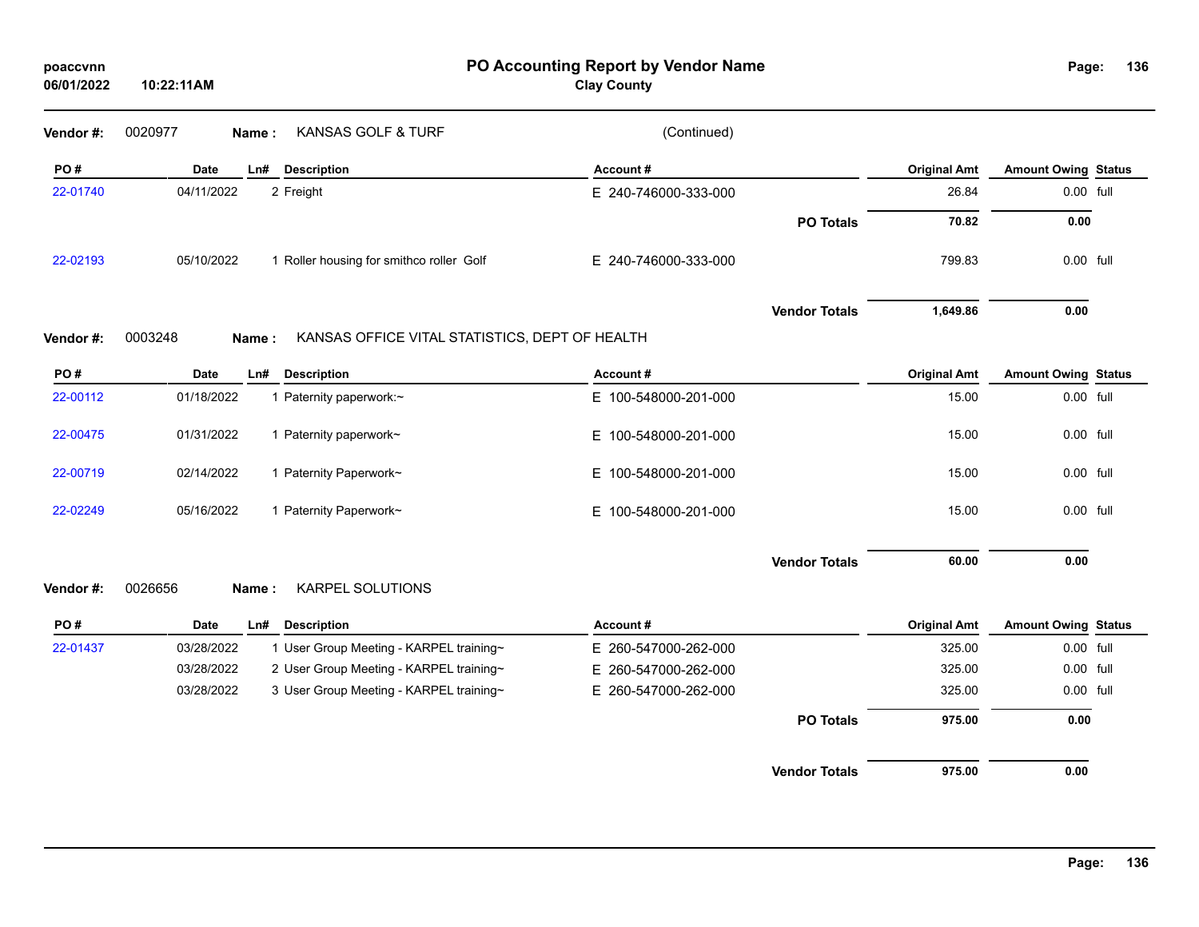| 06/01/2022 | 10:22:11AM                                                         | <b>Clay County</b>   |                      |                     |                            |
|------------|--------------------------------------------------------------------|----------------------|----------------------|---------------------|----------------------------|
| Vendor #:  | KANSAS GOLF & TURF<br>0020977<br>Name:                             | (Continued)          |                      |                     |                            |
| PO#        | <b>Date</b><br>Ln#<br><b>Description</b>                           | Account#             |                      | <b>Original Amt</b> | <b>Amount Owing Status</b> |
| 22-01740   | 04/11/2022<br>2 Freight                                            | E 240-746000-333-000 |                      | 26.84               | 0.00 full                  |
|            |                                                                    |                      | <b>PO Totals</b>     | 70.82               | 0.00                       |
| 22-02193   | 05/10/2022<br>1 Roller housing for smithco roller Golf             | E 240-746000-333-000 |                      | 799.83              | 0.00 full                  |
|            |                                                                    |                      | <b>Vendor Totals</b> | 1,649.86            | 0.00                       |
| Vendor #:  | 0003248<br>KANSAS OFFICE VITAL STATISTICS, DEPT OF HEALTH<br>Name: |                      |                      |                     |                            |
| PO#        | <b>Description</b><br><b>Date</b><br>Ln#                           | Account#             |                      | <b>Original Amt</b> | <b>Amount Owing Status</b> |
| 22-00112   | 01/18/2022<br>1 Paternity paperwork:~                              | E 100-548000-201-000 |                      | 15.00               | 0.00 full                  |
| 22-00475   | 01/31/2022<br>1 Paternity paperwork~                               | E 100-548000-201-000 |                      | 15.00               | 0.00 full                  |
| 22-00719   | 1 Paternity Paperwork~<br>02/14/2022                               | E 100-548000-201-000 |                      | 15.00               | 0.00 full                  |
| 22-02249   | 1 Paternity Paperwork~<br>05/16/2022                               | E 100-548000-201-000 |                      | 15.00               | 0.00 full                  |
|            |                                                                    |                      | <b>Vendor Totals</b> | 60.00               | 0.00                       |
| Vendor #:  | KARPEL SOLUTIONS<br>0026656<br>Name:                               |                      |                      |                     |                            |
| PO#        | Date<br><b>Description</b><br>Ln#                                  | Account#             |                      | <b>Original Amt</b> | <b>Amount Owing Status</b> |
| 22-01437   | 1 User Group Meeting - KARPEL training~<br>03/28/2022              | E 260-547000-262-000 |                      | 325.00              | $0.00$ full                |
|            | 2 User Group Meeting - KARPEL training~<br>03/28/2022              | E 260-547000-262-000 |                      | 325.00              | 0.00 full                  |
|            | 3 User Group Meeting - KARPEL training~<br>03/28/2022              | E 260-547000-262-000 |                      | 325.00              | 0.00 full                  |
|            |                                                                    |                      | <b>PO Totals</b>     | 975.00              | 0.00                       |
|            |                                                                    |                      | <b>Vendor Totals</b> | 975.00              | 0.00                       |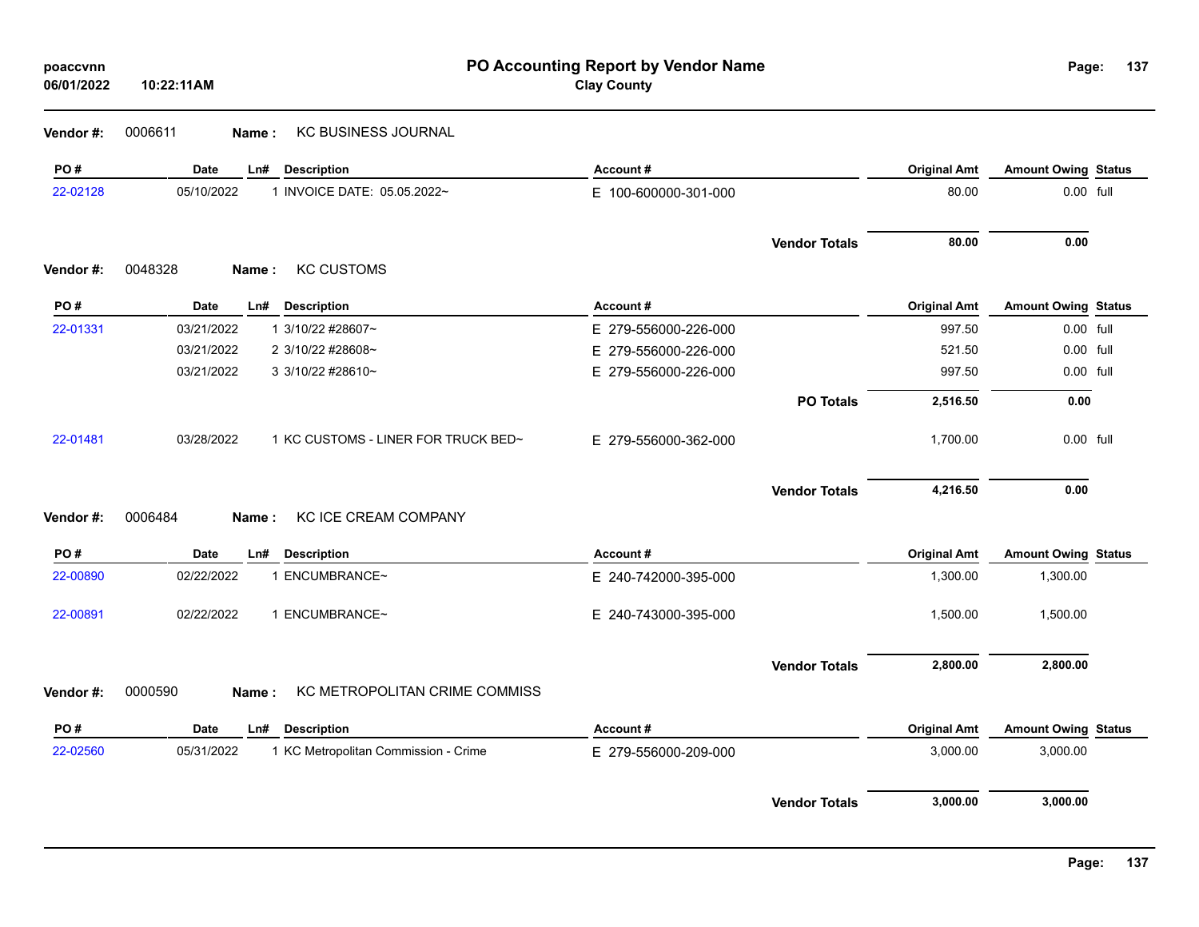| poaccvnn<br>06/01/2022 | 10:22:11AM         |                                      | PO Accounting Report by Vendor Name<br><b>Clay County</b> |                      |                     | Page:                      | 137 |
|------------------------|--------------------|--------------------------------------|-----------------------------------------------------------|----------------------|---------------------|----------------------------|-----|
| Vendor#:               | 0006611<br>Name:   | <b>KC BUSINESS JOURNAL</b>           |                                                           |                      |                     |                            |     |
| PO#                    | <b>Date</b><br>Ln# | <b>Description</b>                   | Account#                                                  |                      | <b>Original Amt</b> | <b>Amount Owing Status</b> |     |
| 22-02128               | 05/10/2022         | 1 INVOICE DATE: 05.05.2022~          | E 100-600000-301-000                                      |                      | 80.00               | 0.00 full                  |     |
|                        |                    |                                      |                                                           | <b>Vendor Totals</b> | 80.00               | 0.00                       |     |
| Vendor#:               | 0048328<br>Name:   | <b>KC CUSTOMS</b>                    |                                                           |                      |                     |                            |     |
| PO#                    | <b>Date</b><br>Ln# | <b>Description</b>                   | Account#                                                  |                      | <b>Original Amt</b> | <b>Amount Owing Status</b> |     |
| 22-01331               | 03/21/2022         | 1 3/10/22 #28607~                    | E 279-556000-226-000                                      |                      | 997.50              | 0.00 full                  |     |
|                        | 03/21/2022         | 2 3/10/22 #28608~                    | E 279-556000-226-000                                      |                      | 521.50              | 0.00 full                  |     |
|                        | 03/21/2022         | 3 3/10/22 #28610~                    | E 279-556000-226-000                                      |                      | 997.50              | 0.00 full                  |     |
|                        |                    |                                      |                                                           | <b>PO Totals</b>     | 2,516.50            | 0.00                       |     |
| 22-01481               | 03/28/2022         | 1 KC CUSTOMS - LINER FOR TRUCK BED~  | E 279-556000-362-000                                      |                      | 1,700.00            | 0.00 full                  |     |
|                        |                    |                                      |                                                           | <b>Vendor Totals</b> | 4,216.50            | 0.00                       |     |
| Vendor#:               | 0006484<br>Name:   | KC ICE CREAM COMPANY                 |                                                           |                      |                     |                            |     |
| PO#                    | <b>Date</b><br>Ln# | <b>Description</b>                   | Account#                                                  |                      | <b>Original Amt</b> | <b>Amount Owing Status</b> |     |
| 22-00890               | 02/22/2022         | 1 ENCUMBRANCE~                       | E 240-742000-395-000                                      |                      | 1,300.00            | 1,300.00                   |     |
| 22-00891               | 02/22/2022         | 1 ENCUMBRANCE~                       | E 240-743000-395-000                                      |                      | 1,500.00            | 1,500.00                   |     |
|                        |                    |                                      |                                                           | <b>Vendor Totals</b> | 2,800.00            | 2,800.00                   |     |
| Vendor#:               | 0000590<br>Name:   | KC METROPOLITAN CRIME COMMISS        |                                                           |                      |                     |                            |     |
| PO#                    | <b>Date</b><br>Ln# | <b>Description</b>                   | Account#                                                  |                      | <b>Original Amt</b> | <b>Amount Owing Status</b> |     |
| 22-02560               | 05/31/2022         | 1 KC Metropolitan Commission - Crime | E 279-556000-209-000                                      |                      | 3,000.00            | 3,000.00                   |     |
|                        |                    |                                      |                                                           | <b>Vendor Totals</b> | 3,000.00            | 3,000.00                   |     |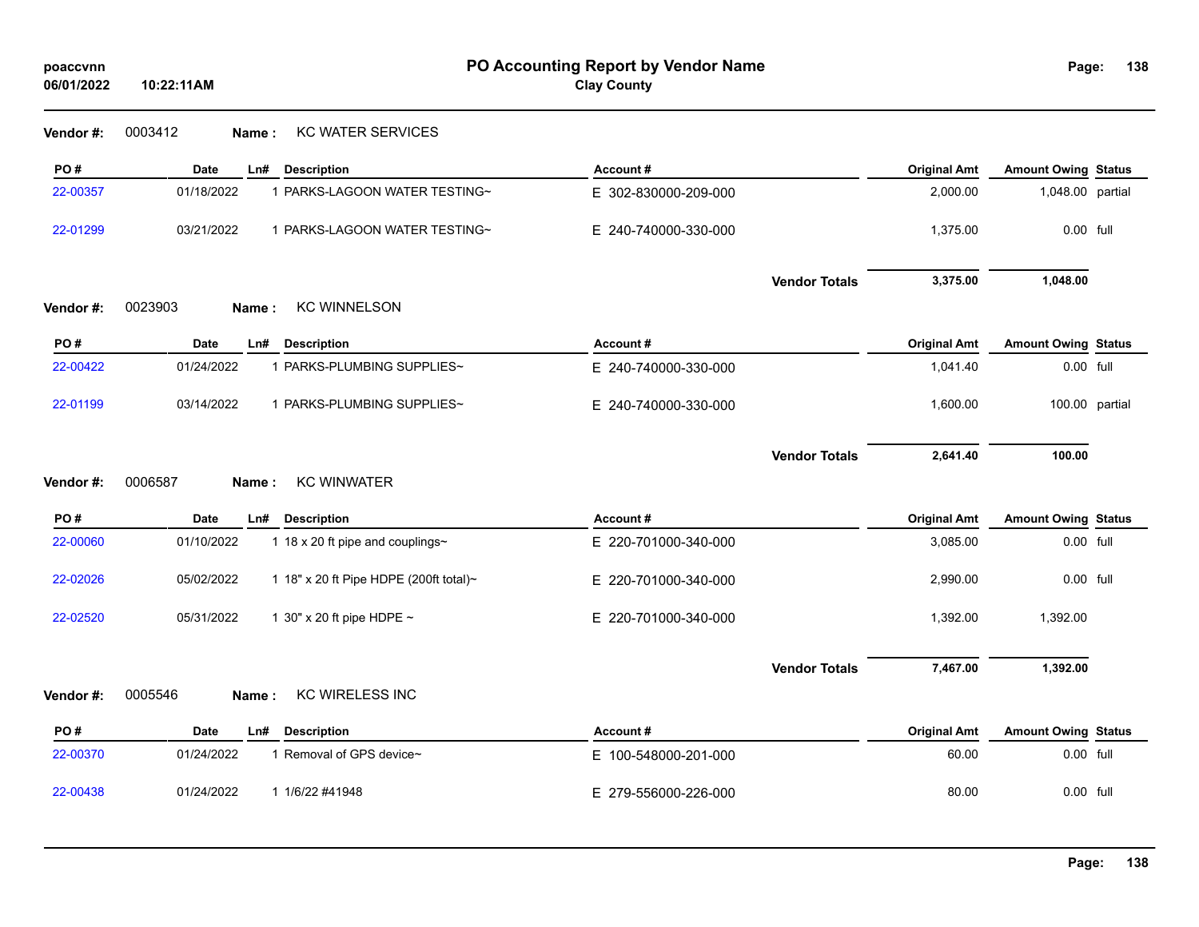| poaccvnn<br>06/01/2022 | PO Accounting Report by Vendor Name<br>10:22:11AM    |                      | Page:               | 138                        |                |
|------------------------|------------------------------------------------------|----------------------|---------------------|----------------------------|----------------|
| Vendor #:              | 0003412<br><b>KC WATER SERVICES</b><br>Name:         |                      |                     |                            |                |
| PO#                    | Date<br><b>Description</b><br>Ln#                    | Account#             | <b>Original Amt</b> | <b>Amount Owing Status</b> |                |
| 22-00357               | 01/18/2022<br>1 PARKS-LAGOON WATER TESTING~          | E 302-830000-209-000 | 2,000.00            | 1,048.00 partial           |                |
| 22-01299               | 03/21/2022<br>1 PARKS-LAGOON WATER TESTING~          | E 240-740000-330-000 | 1,375.00            | 0.00 full                  |                |
|                        |                                                      | <b>Vendor Totals</b> | 3,375.00            | 1,048.00                   |                |
| Vendor #:              | 0023903<br><b>KC WINNELSON</b><br>Name:              |                      |                     |                            |                |
| PO#                    | Date<br>Ln#<br><b>Description</b>                    | Account#             | <b>Original Amt</b> | <b>Amount Owing Status</b> |                |
| 22-00422               | 01/24/2022<br>1 PARKS-PLUMBING SUPPLIES~             | E 240-740000-330-000 | 1,041.40            | 0.00 full                  |                |
| 22-01199               | 03/14/2022<br>1 PARKS-PLUMBING SUPPLIES~             | E 240-740000-330-000 | 1,600.00            |                            | 100.00 partial |
|                        | <b>KC WINWATER</b><br>0006587                        | <b>Vendor Totals</b> | 2,641.40            | 100.00                     |                |
| Vendor#:               | Name:                                                |                      |                     |                            |                |
| PO#                    | <b>Date</b><br><b>Description</b><br>Ln#             | Account#             | <b>Original Amt</b> | <b>Amount Owing Status</b> |                |
| 22-00060               | 01/10/2022<br>1 18 x 20 ft pipe and couplings~       | E 220-701000-340-000 | 3,085.00            | 0.00 full                  |                |
| 22-02026               | 05/02/2022<br>1 18" x 20 ft Pipe HDPE (200ft total)~ | E 220-701000-340-000 | 2,990.00            | $0.00$ full                |                |
| 22-02520               | 05/31/2022<br>1 30" x 20 ft pipe HDPE ~              | E 220-701000-340-000 | 1,392.00            | 1,392.00                   |                |
|                        |                                                      | <b>Vendor Totals</b> | 7,467.00            | 1,392.00                   |                |
| Vendor #:              | <b>KC WIRELESS INC</b><br>0005546<br>Name:           |                      |                     |                            |                |
| PO#                    | <b>Description</b><br>Date<br>Ln#                    | Account#             | <b>Original Amt</b> | <b>Amount Owing Status</b> |                |
| 22-00370               | 1 Removal of GPS device~<br>01/24/2022               | E 100-548000-201-000 | 60.00               | 0.00 full                  |                |
| 22-00438               | 01/24/2022<br>1 1/6/22 #41948                        | E 279-556000-226-000 | 80.00               | 0.00 full                  |                |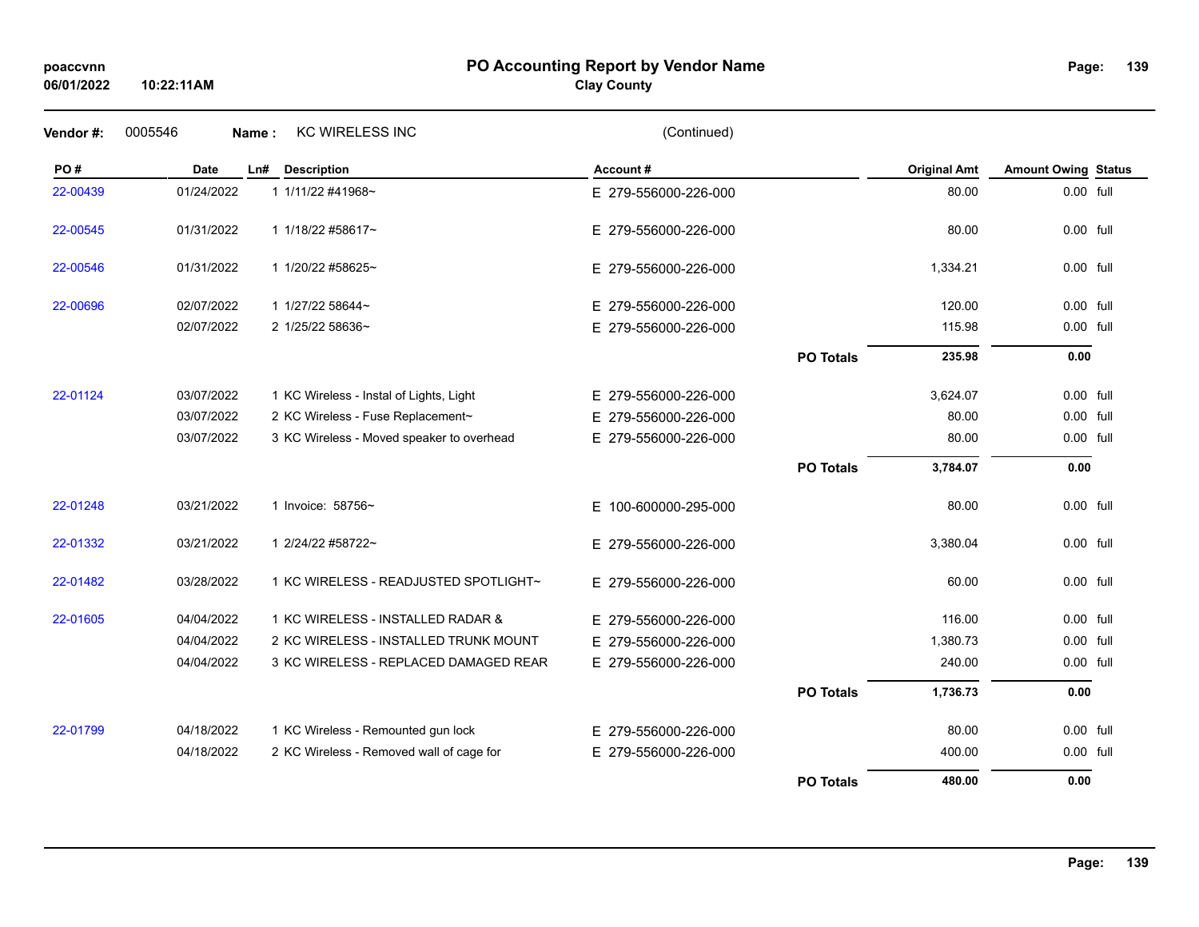**10:22:11AM**

## **PO Accounting Report by Vendor Name poaccvnn Page:**

# **Clay County**

| Vendor #: | 0005546     | Name: | <b>KC WIRELESS INC</b>                    | (Continued)          |                  |                     |                            |  |
|-----------|-------------|-------|-------------------------------------------|----------------------|------------------|---------------------|----------------------------|--|
| PO#       | <b>Date</b> | Ln#   | <b>Description</b>                        | Account#             |                  | <b>Original Amt</b> | <b>Amount Owing Status</b> |  |
| 22-00439  | 01/24/2022  |       | 1 1/11/22 #41968~                         | E 279-556000-226-000 |                  | 80.00               | 0.00 full                  |  |
| 22-00545  | 01/31/2022  |       | 1 1/18/22 #58617~                         | E 279-556000-226-000 |                  | 80.00               | 0.00 full                  |  |
| 22-00546  | 01/31/2022  |       | 1 1/20/22 #58625~                         | E 279-556000-226-000 |                  | 1,334.21            | 0.00 full                  |  |
| 22-00696  | 02/07/2022  |       | 1 1/27/22 58644~                          | E 279-556000-226-000 |                  | 120.00              | 0.00 full                  |  |
|           | 02/07/2022  |       | 2 1/25/22 58636~                          | E 279-556000-226-000 |                  | 115.98              | 0.00 full                  |  |
|           |             |       |                                           |                      | <b>PO Totals</b> | 235.98              | 0.00                       |  |
| 22-01124  | 03/07/2022  |       | 1 KC Wireless - Instal of Lights, Light   | E 279-556000-226-000 |                  | 3,624.07            | 0.00 full                  |  |
|           | 03/07/2022  |       | 2 KC Wireless - Fuse Replacement~         | E 279-556000-226-000 |                  | 80.00               | 0.00 full                  |  |
|           | 03/07/2022  |       | 3 KC Wireless - Moved speaker to overhead | E 279-556000-226-000 |                  | 80.00               | 0.00 full                  |  |
|           |             |       |                                           |                      | <b>PO Totals</b> | 3,784.07            | 0.00                       |  |
| 22-01248  | 03/21/2022  |       | 1 Invoice: 58756~                         | E 100-600000-295-000 |                  | 80.00               | 0.00 full                  |  |
| 22-01332  | 03/21/2022  |       | 1 2/24/22 #58722~                         | E 279-556000-226-000 |                  | 3,380.04            | 0.00 full                  |  |
| 22-01482  | 03/28/2022  |       | 1 KC WIRELESS - READJUSTED SPOTLIGHT~     | E 279-556000-226-000 |                  | 60.00               | 0.00 full                  |  |
| 22-01605  | 04/04/2022  |       | 1 KC WIRELESS - INSTALLED RADAR &         | E 279-556000-226-000 |                  | 116.00              | 0.00 full                  |  |
|           | 04/04/2022  |       | 2 KC WIRELESS - INSTALLED TRUNK MOUNT     | E 279-556000-226-000 |                  | 1,380.73            | 0.00 full                  |  |
|           | 04/04/2022  |       | 3 KC WIRELESS - REPLACED DAMAGED REAR     | E 279-556000-226-000 |                  | 240.00              | 0.00 full                  |  |
|           |             |       |                                           |                      | <b>PO Totals</b> | 1,736.73            | 0.00                       |  |
| 22-01799  | 04/18/2022  |       | 1 KC Wireless - Remounted gun lock        | E 279-556000-226-000 |                  | 80.00               | 0.00 full                  |  |
|           | 04/18/2022  |       | 2 KC Wireless - Removed wall of cage for  | E 279-556000-226-000 |                  | 400.00              | 0.00 full                  |  |
|           |             |       |                                           |                      | <b>PO Totals</b> | 480.00              | 0.00                       |  |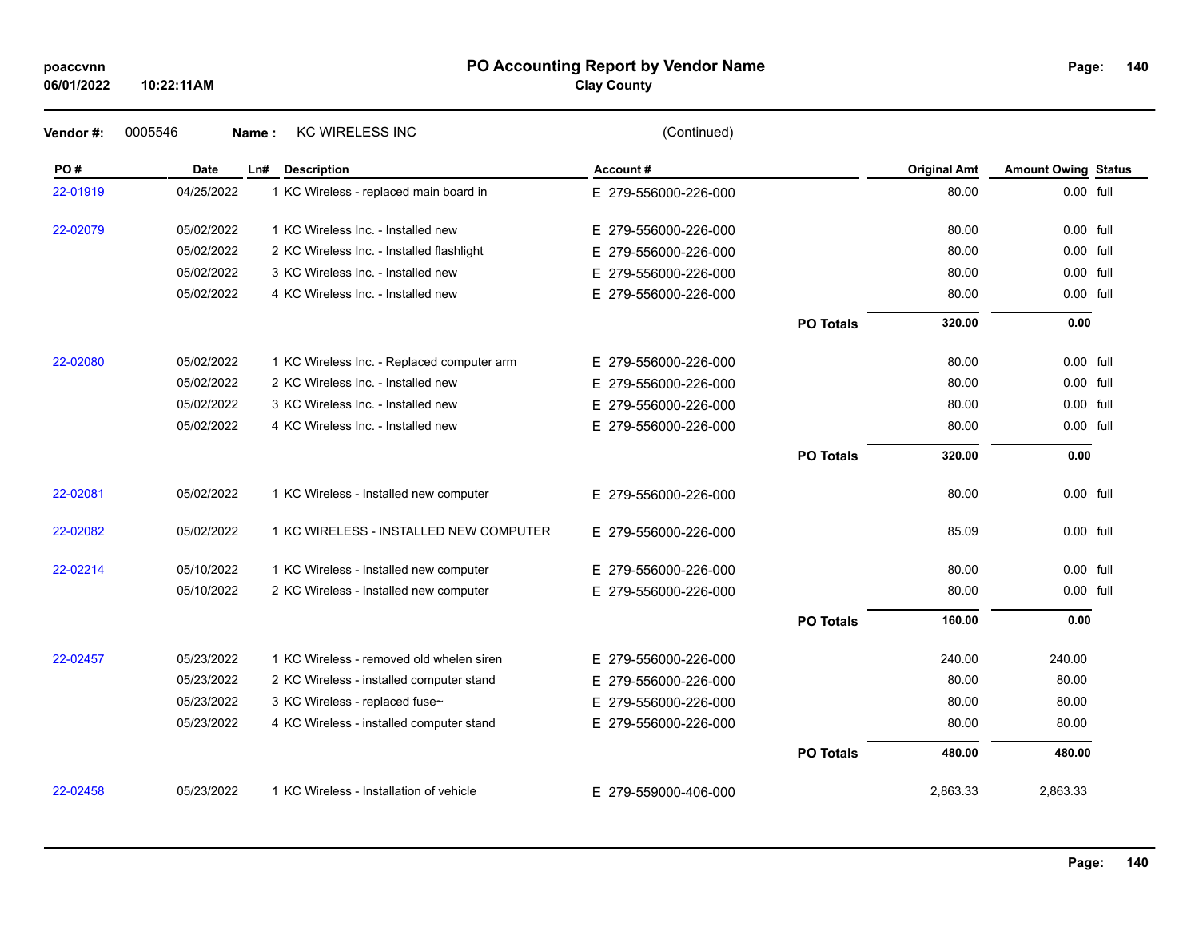## **PO Accounting Report by Vendor Name poaccvnn Page:**

# **Clay County**

| Vendor#: | 0005546<br>Name: | <b>KC WIRELESS INC</b>                     | (Continued)              |                  |                     |                            |  |
|----------|------------------|--------------------------------------------|--------------------------|------------------|---------------------|----------------------------|--|
| PO#      | Date             | Ln#<br><b>Description</b>                  | Account#                 |                  | <b>Original Amt</b> | <b>Amount Owing Status</b> |  |
| 22-01919 | 04/25/2022       | 1 KC Wireless - replaced main board in     | E 279-556000-226-000     |                  | 80.00               | 0.00 full                  |  |
| 22-02079 | 05/02/2022       | 1 KC Wireless Inc. - Installed new         | E 279-556000-226-000     |                  | 80.00               | 0.00 full                  |  |
|          | 05/02/2022       | 2 KC Wireless Inc. - Installed flashlight  | E.<br>279-556000-226-000 |                  | 80.00               | $0.00$ full                |  |
|          | 05/02/2022       | 3 KC Wireless Inc. - Installed new         | 279-556000-226-000<br>E. |                  | 80.00               | 0.00 full                  |  |
|          | 05/02/2022       | 4 KC Wireless Inc. - Installed new         | E 279-556000-226-000     |                  | 80.00               | 0.00 full                  |  |
|          |                  |                                            |                          | <b>PO Totals</b> | 320.00              | 0.00                       |  |
| 22-02080 | 05/02/2022       | 1 KC Wireless Inc. - Replaced computer arm | E 279-556000-226-000     |                  | 80.00               | 0.00 full                  |  |
|          | 05/02/2022       | 2 KC Wireless Inc. - Installed new         | 279-556000-226-000<br>E. |                  | 80.00               | 0.00 full                  |  |
|          | 05/02/2022       | 3 KC Wireless Inc. - Installed new         | 279-556000-226-000<br>E. |                  | 80.00               | 0.00 full                  |  |
|          | 05/02/2022       | 4 KC Wireless Inc. - Installed new         | E 279-556000-226-000     |                  | 80.00               | $0.00$ full                |  |
|          |                  |                                            |                          | <b>PO Totals</b> | 320.00              | 0.00                       |  |
| 22-02081 | 05/02/2022       | 1 KC Wireless - Installed new computer     | E 279-556000-226-000     |                  | 80.00               | 0.00 full                  |  |
| 22-02082 | 05/02/2022       | 1 KC WIRELESS - INSTALLED NEW COMPUTER     | E 279-556000-226-000     |                  | 85.09               | 0.00 full                  |  |
| 22-02214 | 05/10/2022       | 1 KC Wireless - Installed new computer     | E 279-556000-226-000     |                  | 80.00               | $0.00$ full                |  |
|          | 05/10/2022       | 2 KC Wireless - Installed new computer     | E 279-556000-226-000     |                  | 80.00               | 0.00 full                  |  |
|          |                  |                                            |                          | <b>PO Totals</b> | 160.00              | 0.00                       |  |
| 22-02457 | 05/23/2022       | 1 KC Wireless - removed old whelen siren   | E 279-556000-226-000     |                  | 240.00              | 240.00                     |  |
|          | 05/23/2022       | 2 KC Wireless - installed computer stand   | E 279-556000-226-000     |                  | 80.00               | 80.00                      |  |
|          | 05/23/2022       | 3 KC Wireless - replaced fuse~             | E<br>279-556000-226-000  |                  | 80.00               | 80.00                      |  |
|          | 05/23/2022       | 4 KC Wireless - installed computer stand   | E 279-556000-226-000     |                  | 80.00               | 80.00                      |  |
|          |                  |                                            |                          | <b>PO Totals</b> | 480.00              | 480.00                     |  |
| 22-02458 | 05/23/2022       | 1 KC Wireless - Installation of vehicle    | E 279-559000-406-000     |                  | 2,863.33            | 2,863.33                   |  |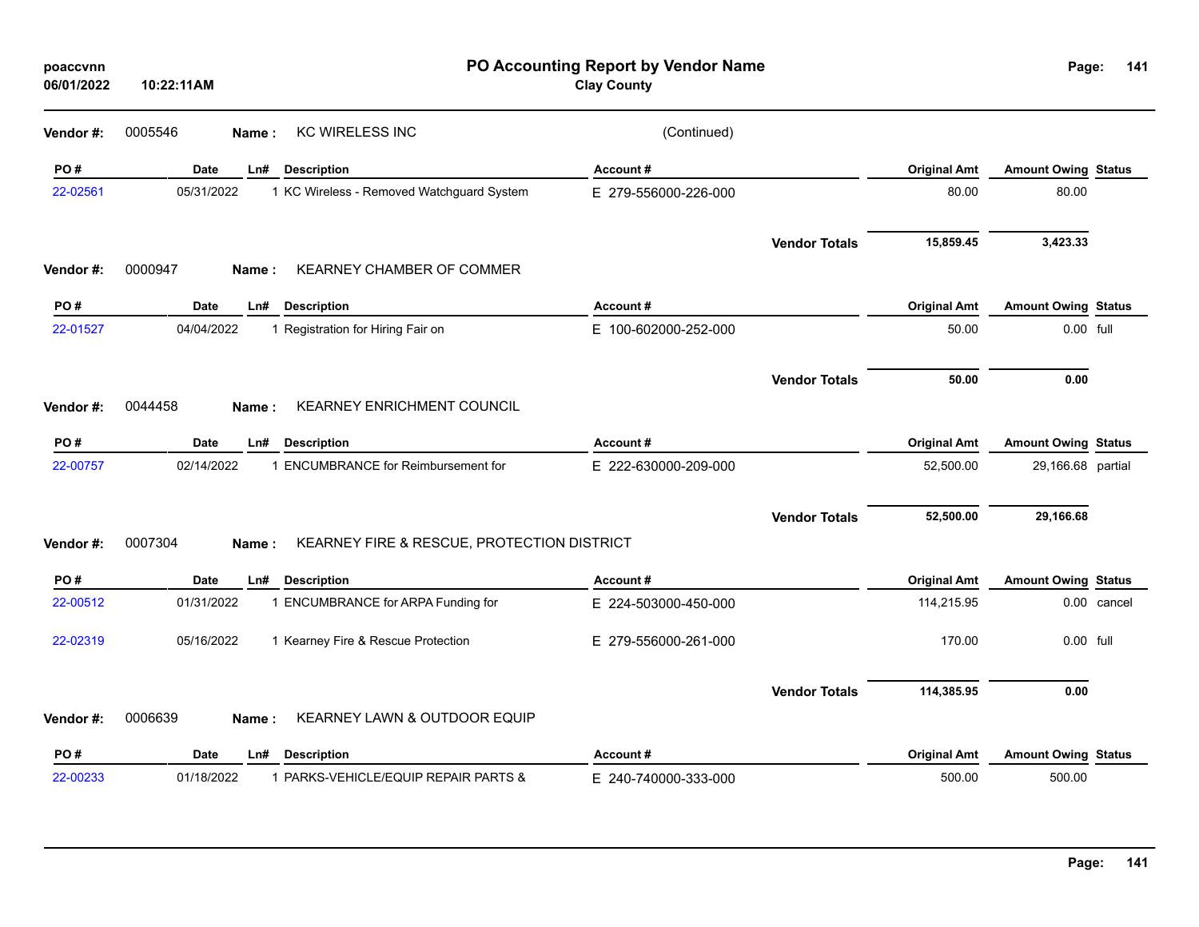| poaccvnn<br>06/01/2022 | 10:22:11AM         |                                            | PO Accounting Report by Vendor Name<br><b>Clay County</b> |                      |                     | Page:                      | 141         |
|------------------------|--------------------|--------------------------------------------|-----------------------------------------------------------|----------------------|---------------------|----------------------------|-------------|
| Vendor#:               | 0005546<br>Name:   | <b>KC WIRELESS INC</b>                     | (Continued)                                               |                      |                     |                            |             |
| PO#                    | Date<br>Ln#        | <b>Description</b>                         | Account#                                                  |                      | <b>Original Amt</b> | <b>Amount Owing Status</b> |             |
| 22-02561               | 05/31/2022         | 1 KC Wireless - Removed Watchguard System  | E 279-556000-226-000                                      |                      | 80.00               | 80.00                      |             |
|                        |                    |                                            |                                                           | <b>Vendor Totals</b> | 15,859.45           | 3,423.33                   |             |
| Vendor#:               | 0000947<br>Name:   | <b>KEARNEY CHAMBER OF COMMER</b>           |                                                           |                      |                     |                            |             |
| PO#                    | <b>Date</b><br>Ln# | <b>Description</b>                         | Account#                                                  |                      | <b>Original Amt</b> | <b>Amount Owing Status</b> |             |
| 22-01527               | 04/04/2022         | 1 Registration for Hiring Fair on          | E 100-602000-252-000                                      |                      | 50.00               | 0.00 full                  |             |
|                        |                    |                                            |                                                           | <b>Vendor Totals</b> | 50.00               | 0.00                       |             |
| Vendor#:               | 0044458<br>Name:   | <b>KEARNEY ENRICHMENT COUNCIL</b>          |                                                           |                      |                     |                            |             |
| PO#                    | Date<br>Ln#        | <b>Description</b>                         | Account#                                                  |                      | <b>Original Amt</b> | <b>Amount Owing Status</b> |             |
| 22-00757               | 02/14/2022         | 1 ENCUMBRANCE for Reimbursement for        | E 222-630000-209-000                                      |                      | 52,500.00           | 29,166.68 partial          |             |
|                        |                    |                                            |                                                           | <b>Vendor Totals</b> | 52,500.00           | 29,166.68                  |             |
| Vendor#:               | 0007304<br>Name:   | KEARNEY FIRE & RESCUE, PROTECTION DISTRICT |                                                           |                      |                     |                            |             |
| PO#                    | Date<br>Ln#        | <b>Description</b>                         | Account#                                                  |                      | <b>Original Amt</b> | <b>Amount Owing Status</b> |             |
| 22-00512               | 01/31/2022         | 1 ENCUMBRANCE for ARPA Funding for         | E 224-503000-450-000                                      |                      | 114,215.95          |                            | 0.00 cancel |
| 22-02319               | 05/16/2022         | 1 Kearney Fire & Rescue Protection         | E 279-556000-261-000                                      |                      | 170.00              | 0.00 full                  |             |
|                        |                    |                                            |                                                           | <b>Vendor Totals</b> | 114,385.95          | 0.00                       |             |
| Vendor#:               | 0006639<br>Name:   | KEARNEY LAWN & OUTDOOR EQUIP               |                                                           |                      |                     |                            |             |
| PO#                    | Date<br>Ln#        | <b>Description</b>                         | Account#                                                  |                      | <b>Original Amt</b> | <b>Amount Owing Status</b> |             |
| 22-00233               | 01/18/2022         | 1 PARKS-VEHICLE/EQUIP REPAIR PARTS &       | E 240-740000-333-000                                      |                      | 500.00              | 500.00                     |             |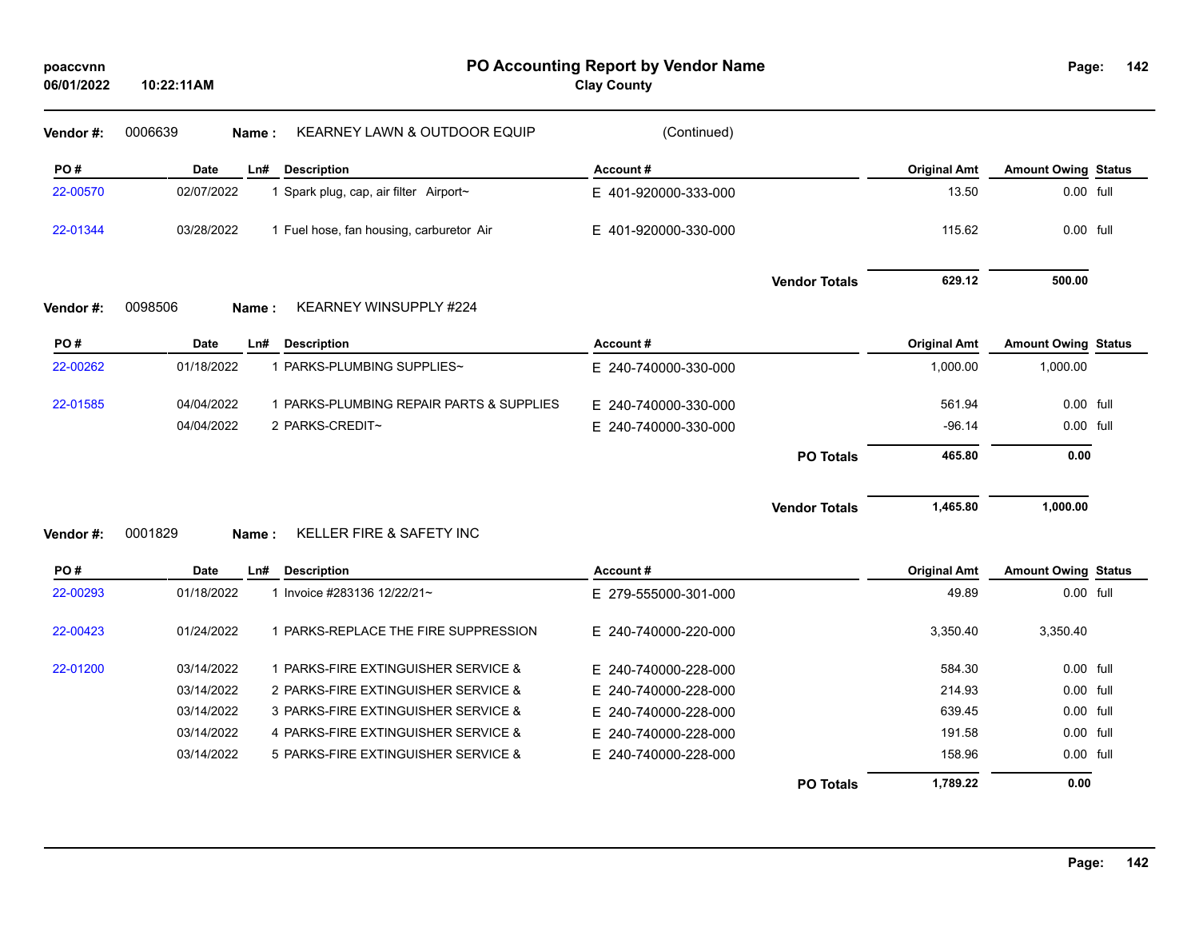| Vendor#: | 0006639          | <b>KEARNEY LAWN &amp; OUTDOOR EQUIP</b><br>Name: | (Continued)          |                      |                     |                            |  |
|----------|------------------|--------------------------------------------------|----------------------|----------------------|---------------------|----------------------------|--|
| PO#      | Date             | <b>Description</b><br>Ln#                        | Account#             |                      | <b>Original Amt</b> | <b>Amount Owing Status</b> |  |
| 22-00570 | 02/07/2022       | 1 Spark plug, cap, air filter Airport~           | E 401-920000-333-000 |                      | 13.50               | 0.00 full                  |  |
| 22-01344 | 03/28/2022       | 1 Fuel hose, fan housing, carburetor Air         | E 401-920000-330-000 |                      | 115.62              | 0.00 full                  |  |
|          |                  |                                                  |                      | <b>Vendor Totals</b> | 629.12              | 500.00                     |  |
| Vendor#: | 0098506          | KEARNEY WINSUPPLY #224<br>Name:                  |                      |                      |                     |                            |  |
| PO#      | <b>Date</b>      | <b>Description</b><br>Ln#                        | Account#             |                      | <b>Original Amt</b> | <b>Amount Owing Status</b> |  |
| 22-00262 | 01/18/2022       | 1 PARKS-PLUMBING SUPPLIES~                       | E 240-740000-330-000 |                      | 1,000.00            | 1,000.00                   |  |
| 22-01585 | 04/04/2022       | 1 PARKS-PLUMBING REPAIR PARTS & SUPPLIES         | E 240-740000-330-000 |                      | 561.94              | 0.00 full                  |  |
|          | 04/04/2022       | 2 PARKS-CREDIT~                                  | E 240-740000-330-000 |                      | $-96.14$            | 0.00 full                  |  |
|          |                  |                                                  |                      | <b>PO Totals</b>     | 465.80              | 0.00                       |  |
|          |                  |                                                  |                      | <b>Vendor Totals</b> | 1,465.80            | 1,000.00                   |  |
| Vendor#: | 0001829<br>Name: | KELLER FIRE & SAFETY INC                         |                      |                      |                     |                            |  |
| PO#      | <b>Date</b>      | <b>Description</b><br>Ln#                        | Account#             |                      | <b>Original Amt</b> | <b>Amount Owing Status</b> |  |
| 22-00293 | 01/18/2022       | 1 Invoice #283136 12/22/21~                      | E 279-555000-301-000 |                      | 49.89               | 0.00 full                  |  |
| 22-00423 | 01/24/2022       | 1 PARKS-REPLACE THE FIRE SUPPRESSION             | E 240-740000-220-000 |                      | 3,350.40            | 3,350.40                   |  |
| 22-01200 | 03/14/2022       | 1 PARKS-FIRE EXTINGUISHER SERVICE &              | E 240-740000-228-000 |                      | 584.30              | 0.00 full                  |  |
|          | 03/14/2022       | 2 PARKS-FIRE EXTINGUISHER SERVICE &              | E 240-740000-228-000 |                      | 214.93              | 0.00 full                  |  |
|          | 03/14/2022       | 3 PARKS-FIRE EXTINGUISHER SERVICE &              | E 240-740000-228-000 |                      | 639.45              | 0.00 full                  |  |
|          | 03/14/2022       | 4 PARKS-FIRE EXTINGUISHER SERVICE &              | E 240-740000-228-000 |                      | 191.58              | $0.00$ full                |  |
|          | 03/14/2022       | 5 PARKS-FIRE EXTINGUISHER SERVICE &              | E 240-740000-228-000 |                      | 158.96              | 0.00 full                  |  |
|          |                  |                                                  |                      | <b>PO Totals</b>     | 1,789.22            | 0.00                       |  |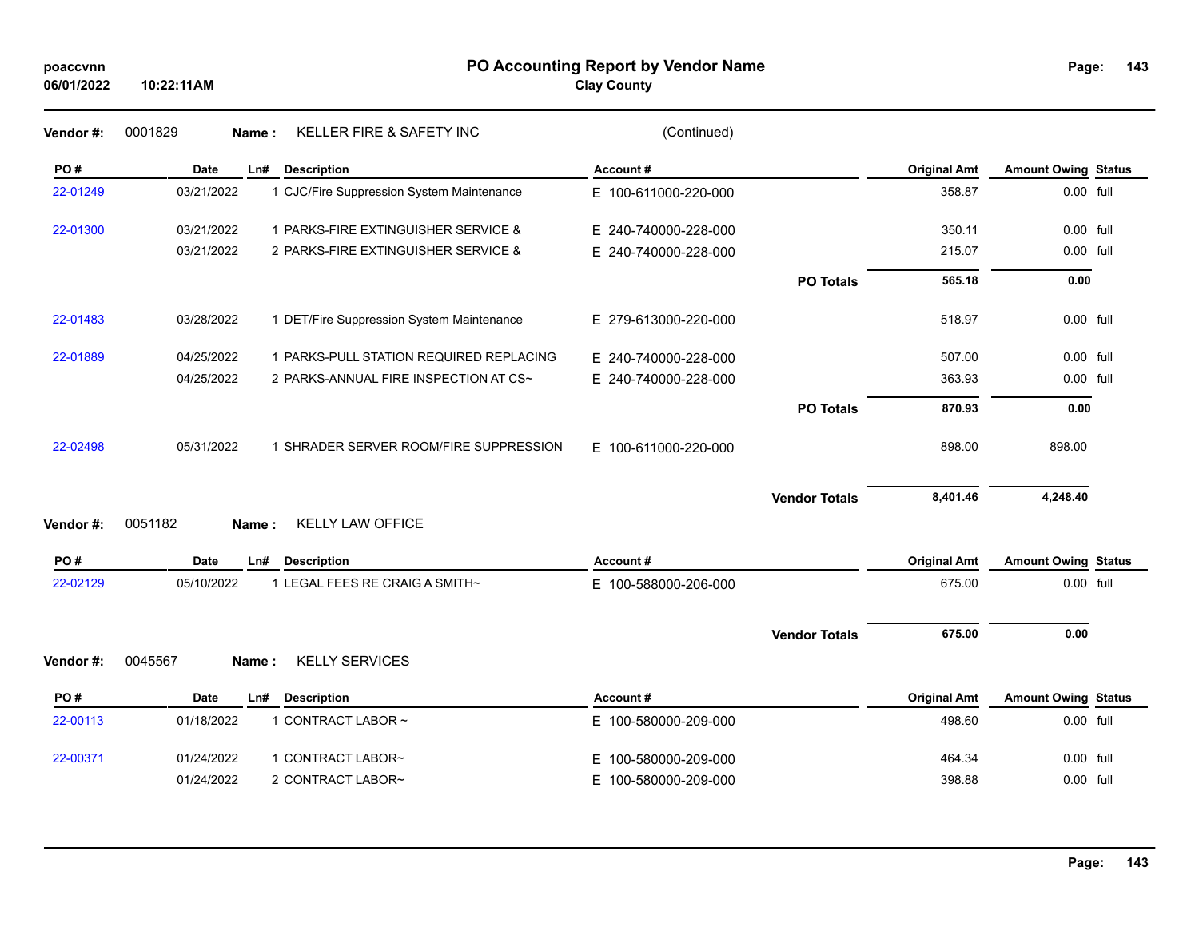| poaccynn   |            |
|------------|------------|
| 06/01/2022 | 10:22:11AM |

**PO Accounting Report by Vendor Name poaccvnn Page:**

**Clay County**

| Page: | 143 |
|-------|-----|
|       |     |

| Vendor #: | 0001829<br>KELLER FIRE & SAFETY INC<br>Name:            | (Continued)              |                     |                            |  |
|-----------|---------------------------------------------------------|--------------------------|---------------------|----------------------------|--|
| PO#       | <b>Date</b><br><b>Description</b><br>Ln#                | Account#                 | <b>Original Amt</b> | <b>Amount Owing Status</b> |  |
| 22-01249  | 03/21/2022<br>1 CJC/Fire Suppression System Maintenance | E 100-611000-220-000     | 358.87              | 0.00 full                  |  |
| 22-01300  | 03/21/2022<br>1 PARKS-FIRE EXTINGUISHER SERVICE &       | E 240-740000-228-000     | 350.11              | 0.00 full                  |  |
|           | 03/21/2022<br>2 PARKS-FIRE EXTINGUISHER SERVICE &       | E 240-740000-228-000     | 215.07              | 0.00 full                  |  |
|           |                                                         | <b>PO Totals</b>         | 565.18              | 0.00                       |  |
| 22-01483  | 03/28/2022<br>1 DET/Fire Suppression System Maintenance | E 279-613000-220-000     | 518.97              | 0.00 full                  |  |
| 22-01889  | 04/25/2022<br>1 PARKS-PULL STATION REQUIRED REPLACING   | E 240-740000-228-000     | 507.00              | 0.00 full                  |  |
|           | 2 PARKS-ANNUAL FIRE INSPECTION AT CS~<br>04/25/2022     | E 240-740000-228-000     | 363.93              | 0.00 full                  |  |
|           |                                                         | <b>PO Totals</b>         | 870.93              | 0.00                       |  |
| 22-02498  | 05/31/2022<br>1 SHRADER SERVER ROOM/FIRE SUPPRESSION    | E 100-611000-220-000     | 898.00              | 898.00                     |  |
|           |                                                         | <b>Vendor Totals</b>     | 8,401.46            | 4,248.40                   |  |
| Vendor#:  | <b>KELLY LAW OFFICE</b><br>0051182<br>Name:             |                          |                     |                            |  |
| PO#       | <b>Date</b><br><b>Description</b><br>Ln#                | Account#                 | <b>Original Amt</b> | <b>Amount Owing Status</b> |  |
| 22-02129  | 05/10/2022<br>1 LEGAL FEES RE CRAIG A SMITH~            | E 100-588000-206-000     | 675.00              | 0.00 full                  |  |
|           |                                                         | <b>Vendor Totals</b>     | 675.00              | 0.00                       |  |
| Vendor#:  | <b>KELLY SERVICES</b><br>0045567<br>Name:               |                          |                     |                            |  |
| PO#       | <b>Date</b><br><b>Description</b><br>Ln#                | Account#                 | <b>Original Amt</b> | <b>Amount Owing Status</b> |  |
| 22-00113  | 1 CONTRACT LABOR ~<br>01/18/2022                        | E 100-580000-209-000     | 498.60              | 0.00 full                  |  |
| 22-00371  | 01/24/2022<br>1 CONTRACT LABOR~                         | 100-580000-209-000<br>Е. | 464.34              | $0.00$ full                |  |
|           | 01/24/2022<br>2 CONTRACT LABOR~                         | E 100-580000-209-000     | 398.88              | 0.00 full                  |  |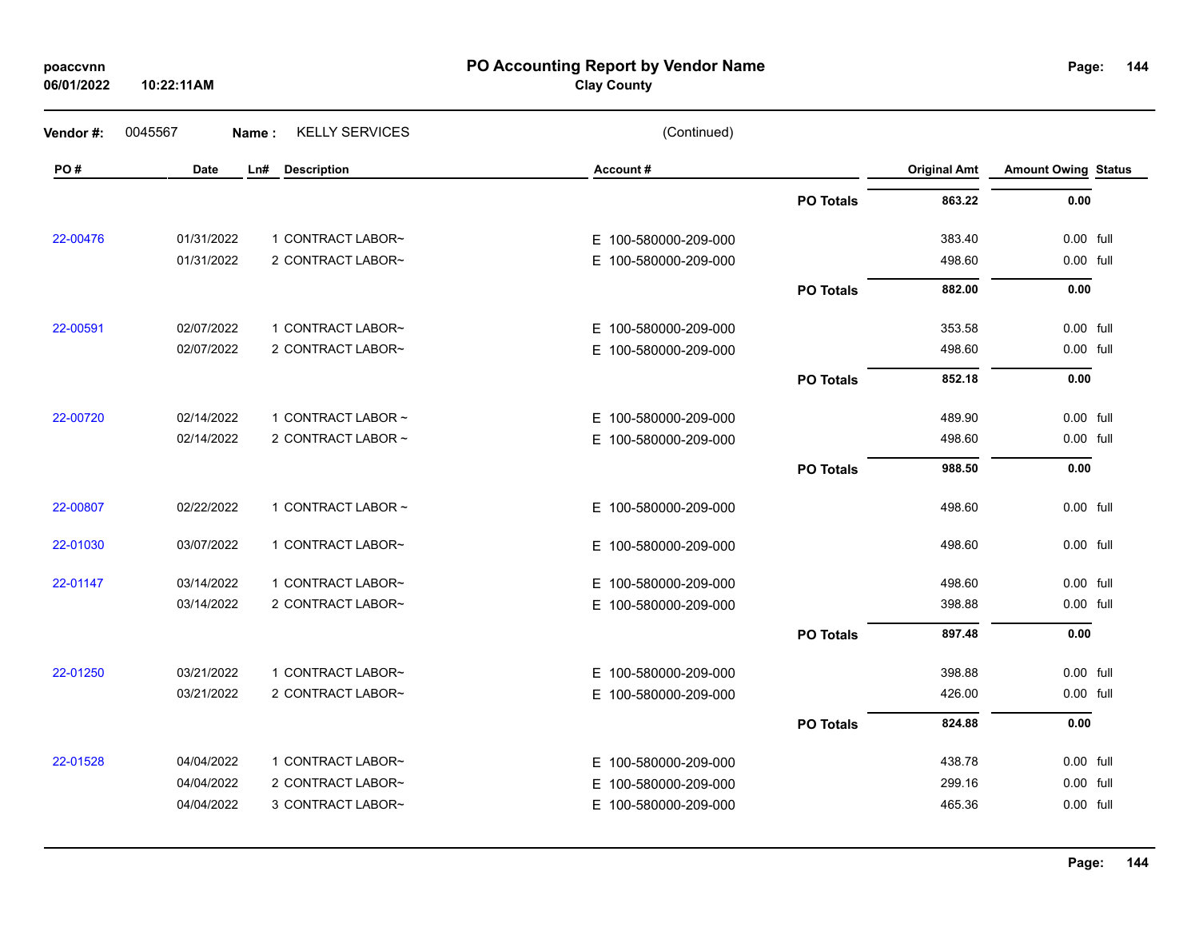| poaccynn |  |
|----------|--|
|          |  |

### **PO Accounting Report by Vendor Name poaccvnn Page:**

# **Clay County**

| Vendor #: | 0045567    | Name: | <b>KELLY SERVICES</b> | (Continued)          |                  |                     |                            |  |
|-----------|------------|-------|-----------------------|----------------------|------------------|---------------------|----------------------------|--|
| PO#       | Date       | Ln#   | <b>Description</b>    | Account#             |                  | <b>Original Amt</b> | <b>Amount Owing Status</b> |  |
|           |            |       |                       |                      | <b>PO Totals</b> | 863.22              | 0.00                       |  |
| 22-00476  | 01/31/2022 |       | 1 CONTRACT LABOR~     | E 100-580000-209-000 |                  | 383.40              | 0.00 full                  |  |
|           | 01/31/2022 |       | 2 CONTRACT LABOR~     | E 100-580000-209-000 |                  | 498.60              | 0.00 full                  |  |
|           |            |       |                       |                      | <b>PO Totals</b> | 882.00              | 0.00                       |  |
| 22-00591  | 02/07/2022 |       | 1 CONTRACT LABOR~     | E 100-580000-209-000 |                  | 353.58              | 0.00 full                  |  |
|           | 02/07/2022 |       | 2 CONTRACT LABOR~     | E 100-580000-209-000 |                  | 498.60              | 0.00 full                  |  |
|           |            |       |                       |                      | <b>PO Totals</b> | 852.18              | 0.00                       |  |
| 22-00720  | 02/14/2022 |       | 1 CONTRACT LABOR ~    | E 100-580000-209-000 |                  | 489.90              | $0.00$ full                |  |
|           | 02/14/2022 |       | 2 CONTRACT LABOR ~    | E 100-580000-209-000 |                  | 498.60              | 0.00 full                  |  |
|           |            |       |                       |                      | <b>PO Totals</b> | 988.50              | 0.00                       |  |
| 22-00807  | 02/22/2022 |       | 1 CONTRACT LABOR ~    | E 100-580000-209-000 |                  | 498.60              | 0.00 full                  |  |
| 22-01030  | 03/07/2022 |       | 1 CONTRACT LABOR~     | E 100-580000-209-000 |                  | 498.60              | 0.00 full                  |  |
| 22-01147  | 03/14/2022 |       | 1 CONTRACT LABOR~     | E 100-580000-209-000 |                  | 498.60              | 0.00 full                  |  |
|           | 03/14/2022 |       | 2 CONTRACT LABOR~     | E 100-580000-209-000 |                  | 398.88              | 0.00 full                  |  |
|           |            |       |                       |                      | <b>PO Totals</b> | 897.48              | 0.00                       |  |
| 22-01250  | 03/21/2022 |       | 1 CONTRACT LABOR~     | E 100-580000-209-000 |                  | 398.88              | 0.00 full                  |  |
|           | 03/21/2022 |       | 2 CONTRACT LABOR~     | E 100-580000-209-000 |                  | 426.00              | 0.00 full                  |  |
|           |            |       |                       |                      | <b>PO Totals</b> | 824.88              | 0.00                       |  |
| 22-01528  | 04/04/2022 |       | 1 CONTRACT LABOR~     | E 100-580000-209-000 |                  | 438.78              | 0.00 full                  |  |
|           | 04/04/2022 |       | 2 CONTRACT LABOR~     | E 100-580000-209-000 |                  | 299.16              | 0.00 full                  |  |
|           | 04/04/2022 |       | 3 CONTRACT LABOR~     | E 100-580000-209-000 |                  | 465.36              | 0.00 full                  |  |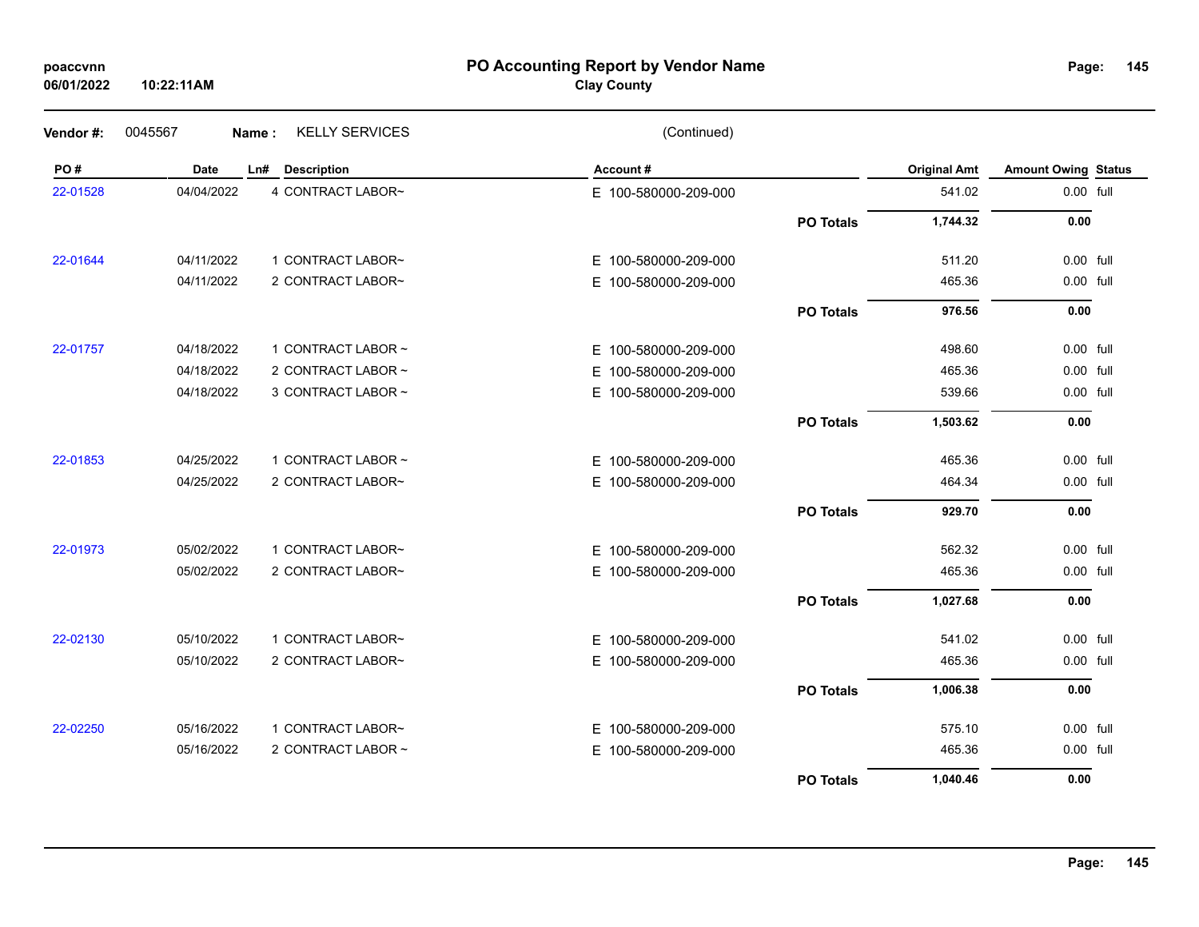## **PO Accounting Report by Vendor Name poaccvnn Page:**

# **Clay County**

| Vendor #: | 0045567     | <b>KELLY SERVICES</b><br>Name: | (Continued)          |                  |                     |                            |  |
|-----------|-------------|--------------------------------|----------------------|------------------|---------------------|----------------------------|--|
| PO#       | <b>Date</b> | <b>Description</b><br>Ln#      | Account#             |                  | <b>Original Amt</b> | <b>Amount Owing Status</b> |  |
| 22-01528  | 04/04/2022  | 4 CONTRACT LABOR~              | E 100-580000-209-000 |                  | 541.02              | 0.00 full                  |  |
|           |             |                                |                      | <b>PO Totals</b> | 1,744.32            | 0.00                       |  |
| 22-01644  | 04/11/2022  | 1 CONTRACT LABOR~              | E 100-580000-209-000 |                  | 511.20              | 0.00 full                  |  |
|           | 04/11/2022  | 2 CONTRACT LABOR~              | E 100-580000-209-000 |                  | 465.36              | 0.00 full                  |  |
|           |             |                                |                      | <b>PO Totals</b> | 976.56              | 0.00                       |  |
| 22-01757  | 04/18/2022  | 1 CONTRACT LABOR ~             | E 100-580000-209-000 |                  | 498.60              | 0.00 full                  |  |
|           | 04/18/2022  | 2 CONTRACT LABOR ~             | E 100-580000-209-000 |                  | 465.36              | 0.00 full                  |  |
|           | 04/18/2022  | 3 CONTRACT LABOR ~             | E 100-580000-209-000 |                  | 539.66              | 0.00 full                  |  |
|           |             |                                |                      | <b>PO Totals</b> | 1,503.62            | 0.00                       |  |
| 22-01853  | 04/25/2022  | 1 CONTRACT LABOR ~             | E 100-580000-209-000 |                  | 465.36              | 0.00 full                  |  |
|           | 04/25/2022  | 2 CONTRACT LABOR~              | E 100-580000-209-000 |                  | 464.34              | 0.00 full                  |  |
|           |             |                                |                      | <b>PO Totals</b> | 929.70              | 0.00                       |  |
| 22-01973  | 05/02/2022  | 1 CONTRACT LABOR~              | E 100-580000-209-000 |                  | 562.32              | 0.00 full                  |  |
|           | 05/02/2022  | 2 CONTRACT LABOR~              | E 100-580000-209-000 |                  | 465.36              | 0.00 full                  |  |
|           |             |                                |                      | <b>PO Totals</b> | 1,027.68            | 0.00                       |  |
| 22-02130  | 05/10/2022  | 1 CONTRACT LABOR~              | E 100-580000-209-000 |                  | 541.02              | 0.00 full                  |  |
|           | 05/10/2022  | 2 CONTRACT LABOR~              | E 100-580000-209-000 |                  | 465.36              | 0.00 full                  |  |
|           |             |                                |                      | <b>PO Totals</b> | 1,006.38            | 0.00                       |  |
| 22-02250  | 05/16/2022  | 1 CONTRACT LABOR~              | E 100-580000-209-000 |                  | 575.10              | 0.00 full                  |  |
|           | 05/16/2022  | 2 CONTRACT LABOR ~             | E 100-580000-209-000 |                  | 465.36              | 0.00 full                  |  |
|           |             |                                |                      | <b>PO Totals</b> | 1,040.46            | 0.00                       |  |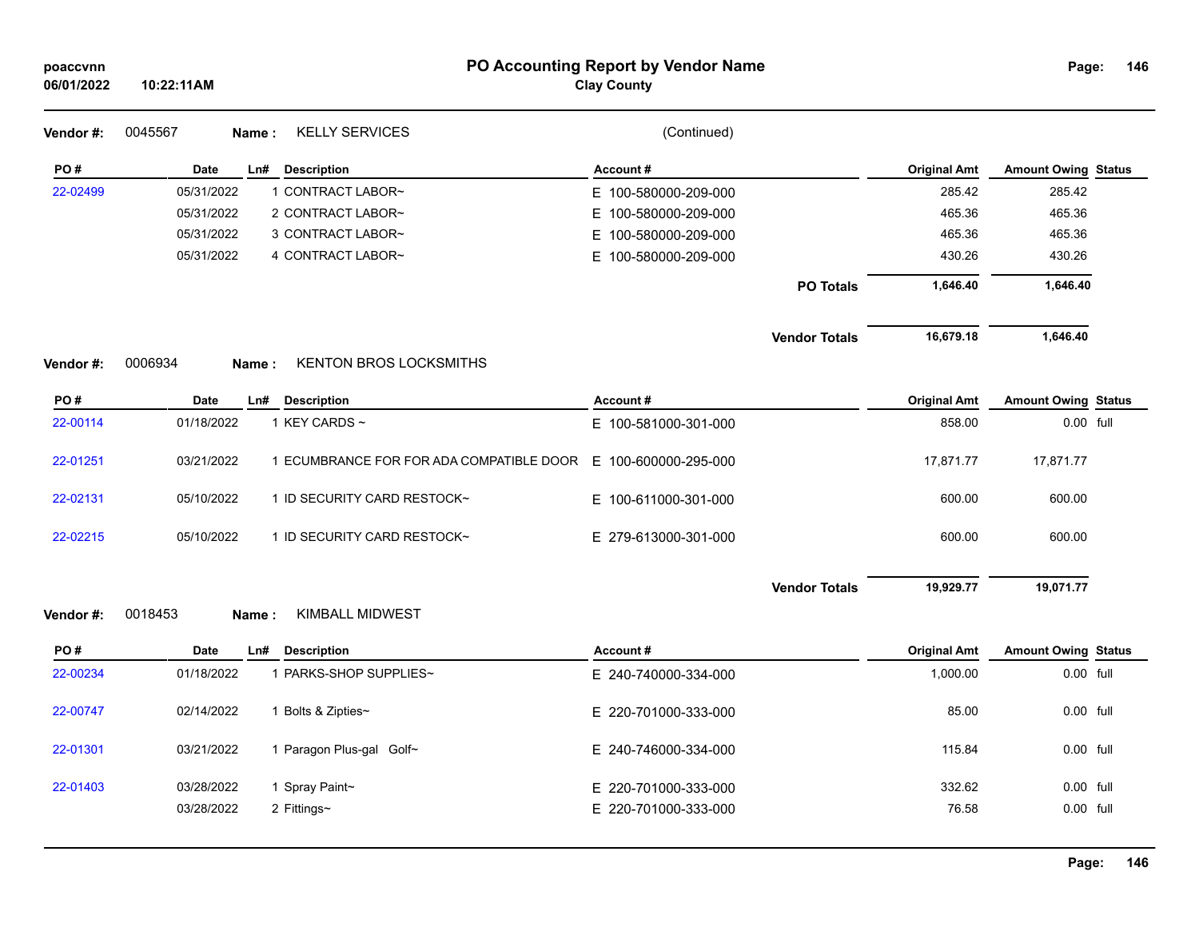| poaccvnn<br>06/01/2022 | 10:22:11AM                                             | PO Accounting Report by Vendor Name<br><b>Clay County</b> |                                   | Page:                      | 146 |
|------------------------|--------------------------------------------------------|-----------------------------------------------------------|-----------------------------------|----------------------------|-----|
| Vendor#:               | <b>KELLY SERVICES</b><br>0045567<br>Name:              | (Continued)                                               |                                   |                            |     |
| PO#                    | Date<br>Ln#<br><b>Description</b>                      | Account#                                                  | <b>Original Amt</b>               | <b>Amount Owing Status</b> |     |
| 22-02499               | 05/31/2022<br>1 CONTRACT LABOR~                        | E 100-580000-209-000                                      | 285.42                            | 285.42                     |     |
|                        | 05/31/2022<br>2 CONTRACT LABOR~                        | 100-580000-209-000<br>Е.                                  | 465.36                            | 465.36                     |     |
|                        | 05/31/2022<br>3 CONTRACT LABOR~                        | 100-580000-209-000<br>Е.                                  | 465.36                            | 465.36                     |     |
|                        | 05/31/2022<br>4 CONTRACT LABOR~                        | E 100-580000-209-000                                      | 430.26                            | 430.26                     |     |
|                        |                                                        |                                                           | 1,646.40<br><b>PO Totals</b>      | 1,646.40                   |     |
|                        |                                                        |                                                           | 16,679.18<br><b>Vendor Totals</b> | 1,646.40                   |     |
| Vendor#:               | 0006934<br><b>KENTON BROS LOCKSMITHS</b><br>Name:      |                                                           |                                   |                            |     |
| PO#                    | <b>Date</b><br>Ln#<br><b>Description</b>               | Account#                                                  | <b>Original Amt</b>               | <b>Amount Owing Status</b> |     |
| 22-00114               | 01/18/2022<br>1 KEY CARDS ~                            | E 100-581000-301-000                                      | 858.00                            | $0.00$ full                |     |
| 22-01251               | 03/21/2022<br>1 ECUMBRANCE FOR FOR ADA COMPATIBLE DOOR | E 100-600000-295-000                                      | 17,871.77                         | 17,871.77                  |     |
| 22-02131               | 05/10/2022<br>1 ID SECURITY CARD RESTOCK~              | E 100-611000-301-000                                      | 600.00                            | 600.00                     |     |
| 22-02215               | 05/10/2022<br>1 ID SECURITY CARD RESTOCK~              | E 279-613000-301-000                                      | 600.00                            | 600.00                     |     |
|                        |                                                        |                                                           | 19,929.77<br><b>Vendor Totals</b> | 19,071.77                  |     |
| Vendor#:               | <b>KIMBALL MIDWEST</b><br>0018453<br>Name:             |                                                           |                                   |                            |     |
| PO#                    | <b>Date</b><br><b>Description</b><br>Ln#               | Account#                                                  | <b>Original Amt</b>               | <b>Amount Owing Status</b> |     |
| 22-00234               | 1 PARKS-SHOP SUPPLIES~<br>01/18/2022                   | E 240-740000-334-000                                      | 1,000.00                          | 0.00 full                  |     |
| 22-00747               | 02/14/2022<br>1 Bolts & Zipties~                       | E 220-701000-333-000                                      | 85.00                             | 0.00 full                  |     |
| 22-01301               | 03/21/2022<br>1 Paragon Plus-gal Golf~                 | E 240-746000-334-000                                      | 115.84                            | 0.00 full                  |     |
| 22-01403               | 03/28/2022<br>1 Spray Paint~                           | E 220-701000-333-000                                      | 332.62                            | 0.00 full                  |     |
|                        | 03/28/2022<br>2 Fittings~                              | E 220-701000-333-000                                      | 76.58                             | 0.00 full                  |     |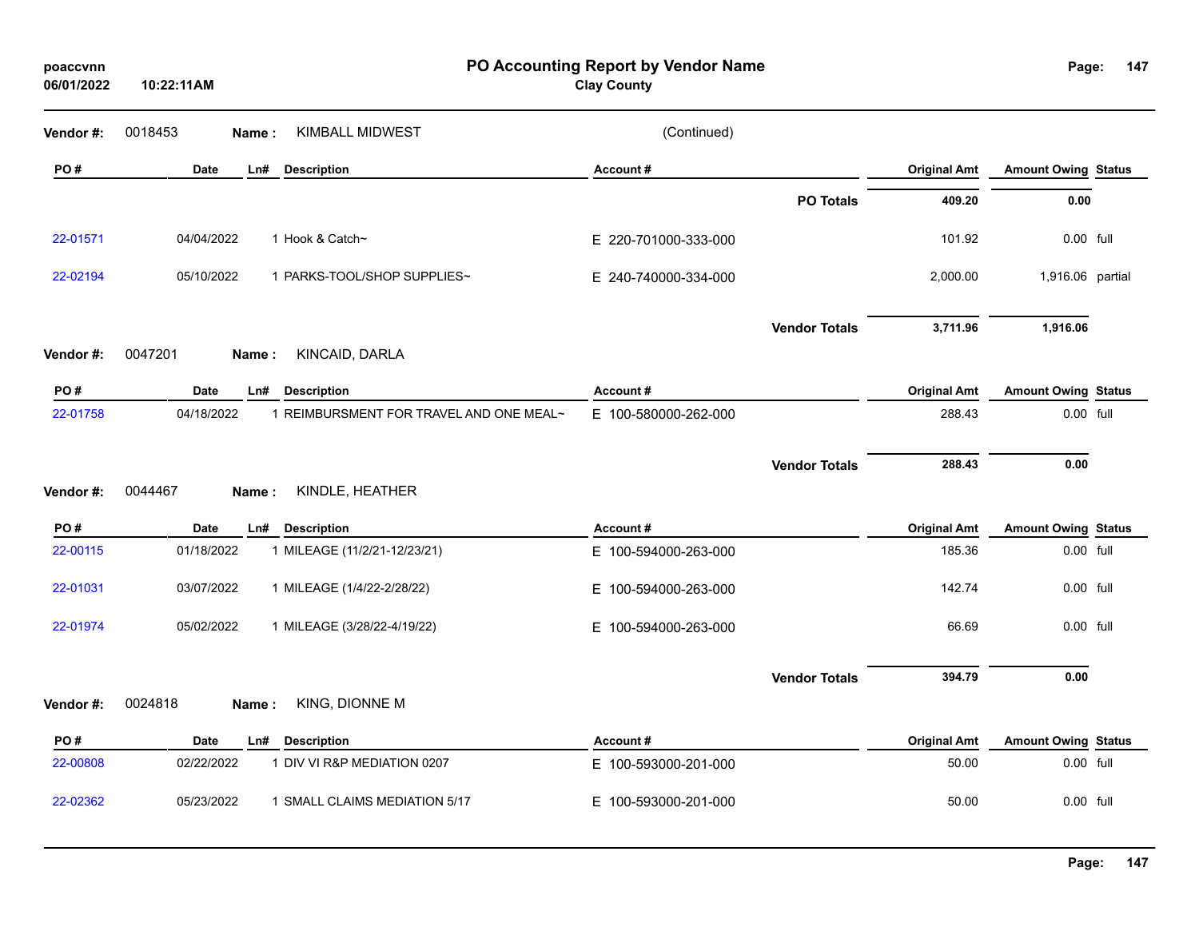| poaccvnn<br>06/01/2022 | 10:22:11AM  |                                         | PO Accounting Report by Vendor Name<br><b>Clay County</b> |                      |                     | Page:                      | 147 |
|------------------------|-------------|-----------------------------------------|-----------------------------------------------------------|----------------------|---------------------|----------------------------|-----|
| Vendor#:               | 0018453     | <b>KIMBALL MIDWEST</b><br>Name:         | (Continued)                                               |                      |                     |                            |     |
| PO#                    | Date        | <b>Description</b><br>Ln#               | Account#                                                  |                      | <b>Original Amt</b> | <b>Amount Owing Status</b> |     |
|                        |             |                                         |                                                           | <b>PO Totals</b>     | 409.20              | 0.00                       |     |
| 22-01571               | 04/04/2022  | 1 Hook & Catch~                         | E 220-701000-333-000                                      |                      | 101.92              | 0.00 full                  |     |
| 22-02194               | 05/10/2022  | 1 PARKS-TOOL/SHOP SUPPLIES~             | E 240-740000-334-000                                      |                      | 2,000.00            | 1,916.06 partial           |     |
|                        |             |                                         |                                                           | <b>Vendor Totals</b> | 3,711.96            | 1,916.06                   |     |
| Vendor#:               | 0047201     | KINCAID, DARLA<br>Name:                 |                                                           |                      |                     |                            |     |
| PO#                    | <b>Date</b> | Ln#<br><b>Description</b>               | Account#                                                  |                      | <b>Original Amt</b> | <b>Amount Owing Status</b> |     |
| 22-01758               | 04/18/2022  | 1 REIMBURSMENT FOR TRAVEL AND ONE MEAL~ | E 100-580000-262-000                                      |                      | 288.43              | 0.00 full                  |     |
| Vendor#:               | 0044467     | KINDLE, HEATHER<br>Name:                |                                                           | <b>Vendor Totals</b> | 288.43              | 0.00                       |     |
| PO#                    | <b>Date</b> | <b>Description</b><br>Ln#               | Account#                                                  |                      | <b>Original Amt</b> | <b>Amount Owing Status</b> |     |
| 22-00115               | 01/18/2022  | 1 MILEAGE (11/2/21-12/23/21)            | E 100-594000-263-000                                      |                      | 185.36              | 0.00 full                  |     |
| 22-01031               | 03/07/2022  | 1 MILEAGE (1/4/22-2/28/22)              | E 100-594000-263-000                                      |                      | 142.74              | 0.00 full                  |     |
| 22-01974               | 05/02/2022  | 1 MILEAGE (3/28/22-4/19/22)             | E.<br>100-594000-263-000                                  |                      | 66.69               | 0.00 full                  |     |
|                        |             |                                         |                                                           | <b>Vendor Totals</b> | 394.79              | 0.00                       |     |
| Vendor#:               | 0024818     | KING, DIONNE M<br>Name:                 |                                                           |                      |                     |                            |     |
| PO#                    | <b>Date</b> | <b>Description</b><br>Ln#               | Account#                                                  |                      | <b>Original Amt</b> | <b>Amount Owing Status</b> |     |
| 22-00808               | 02/22/2022  | 1 DIV VI R&P MEDIATION 0207             | E 100-593000-201-000                                      |                      | 50.00               | 0.00 full                  |     |
| 22-02362               | 05/23/2022  | 1 SMALL CLAIMS MEDIATION 5/17           | E 100-593000-201-000                                      |                      | 50.00               | 0.00 full                  |     |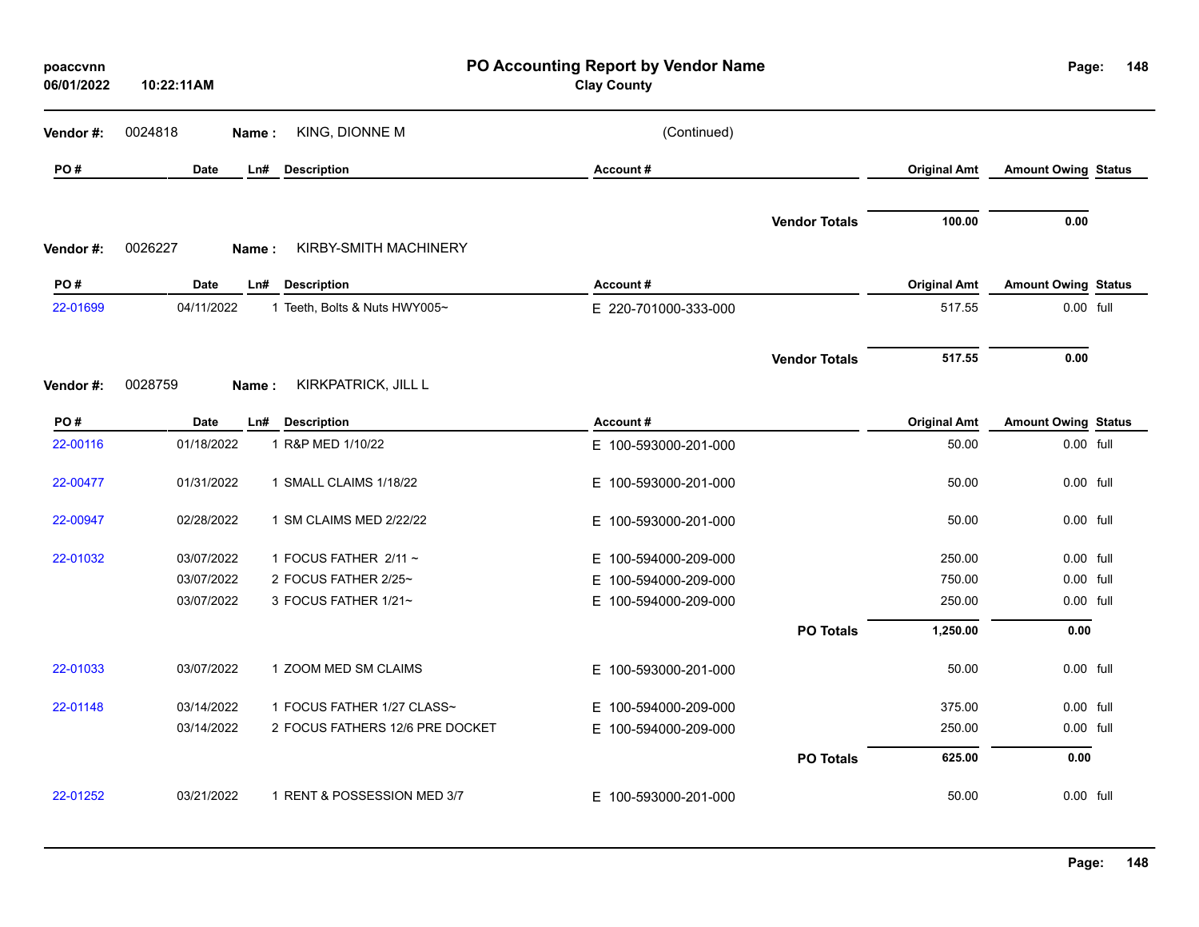| poaccvnn<br>06/01/2022 | 10:22:11AM  |       |                                 | PO Accounting Report by Vendor Name<br><b>Clay County</b> |                      |                     | Page:                      | 148 |
|------------------------|-------------|-------|---------------------------------|-----------------------------------------------------------|----------------------|---------------------|----------------------------|-----|
| Vendor#:               | 0024818     | Name: | KING, DIONNE M                  | (Continued)                                               |                      |                     |                            |     |
| PO#                    | Date        | Ln#   | <b>Description</b>              | Account#                                                  |                      | <b>Original Amt</b> | <b>Amount Owing Status</b> |     |
| Vendor#:               | 0026227     | Name: | KIRBY-SMITH MACHINERY           |                                                           | <b>Vendor Totals</b> | 100.00              | 0.00                       |     |
| PO#                    | <b>Date</b> | Ln#   | <b>Description</b>              | Account#                                                  |                      | <b>Original Amt</b> | <b>Amount Owing Status</b> |     |
| 22-01699               | 04/11/2022  |       | 1 Teeth, Bolts & Nuts HWY005~   | E 220-701000-333-000                                      |                      | 517.55              | 0.00 full                  |     |
|                        |             |       |                                 |                                                           | <b>Vendor Totals</b> | 517.55              | 0.00                       |     |
| Vendor#:               | 0028759     | Name: | KIRKPATRICK, JILL L             |                                                           |                      |                     |                            |     |
| PO#                    | <b>Date</b> | Ln#   | <b>Description</b>              | Account#                                                  |                      | <b>Original Amt</b> | <b>Amount Owing Status</b> |     |
| 22-00116               | 01/18/2022  |       | 1 R&P MED 1/10/22               | E 100-593000-201-000                                      |                      | 50.00               | 0.00 full                  |     |
| 22-00477               | 01/31/2022  |       | 1 SMALL CLAIMS 1/18/22          | E 100-593000-201-000                                      |                      | 50.00               | 0.00 full                  |     |
| 22-00947               | 02/28/2022  |       | 1 SM CLAIMS MED 2/22/22         | E 100-593000-201-000                                      |                      | 50.00               | 0.00 full                  |     |
| 22-01032               | 03/07/2022  |       | 1 FOCUS FATHER $2/11 \sim$      | E 100-594000-209-000                                      |                      | 250.00              | 0.00 full                  |     |
|                        | 03/07/2022  |       | 2 FOCUS FATHER 2/25~            | E 100-594000-209-000                                      |                      | 750.00              | 0.00 full                  |     |
|                        | 03/07/2022  |       | 3 FOCUS FATHER 1/21~            | E 100-594000-209-000                                      |                      | 250.00              | 0.00 full                  |     |
|                        |             |       |                                 |                                                           | <b>PO Totals</b>     | 1,250.00            | 0.00                       |     |
| 22-01033               | 03/07/2022  |       | 1 ZOOM MED SM CLAIMS            | E 100-593000-201-000                                      |                      | 50.00               | 0.00 full                  |     |
| 22-01148               | 03/14/2022  |       | 1 FOCUS FATHER 1/27 CLASS~      | E 100-594000-209-000                                      |                      | 375.00              | 0.00 full                  |     |
|                        | 03/14/2022  |       | 2 FOCUS FATHERS 12/6 PRE DOCKET | E 100-594000-209-000                                      |                      | 250.00              | 0.00 full                  |     |
|                        |             |       |                                 |                                                           | <b>PO Totals</b>     | 625.00              | 0.00                       |     |
| 22-01252               | 03/21/2022  |       | 1 RENT & POSSESSION MED 3/7     | E 100-593000-201-000                                      |                      | 50.00               | 0.00 full                  |     |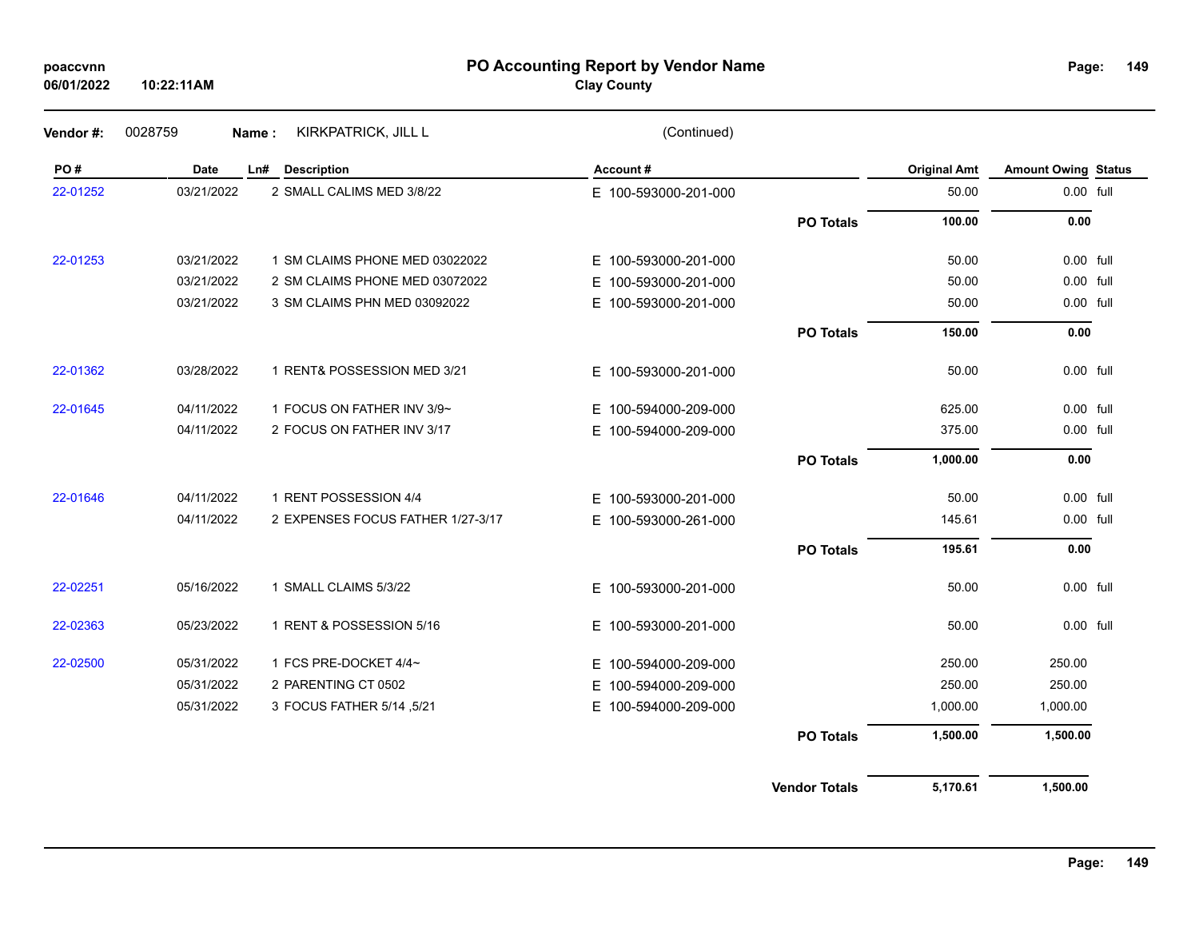### **PO Accounting Report by Vendor Name poaccvnn Page:**

**Clay County**

| Vendor #: | 0028759<br>Name: | KIRKPATRICK, JILL L               | (Continued)              |                      |                     |                            |  |
|-----------|------------------|-----------------------------------|--------------------------|----------------------|---------------------|----------------------------|--|
| PO#       | Date             | <b>Description</b><br>Ln#         | Account#                 |                      | <b>Original Amt</b> | <b>Amount Owing Status</b> |  |
| 22-01252  | 03/21/2022       | 2 SMALL CALIMS MED 3/8/22         | E 100-593000-201-000     |                      | 50.00               | 0.00 full                  |  |
|           |                  |                                   |                          | <b>PO Totals</b>     | 100.00              | 0.00                       |  |
| 22-01253  | 03/21/2022       | 1 SM CLAIMS PHONE MED 03022022    | E 100-593000-201-000     |                      | 50.00               | 0.00 full                  |  |
|           | 03/21/2022       | 2 SM CLAIMS PHONE MED 03072022    | E 100-593000-201-000     |                      | 50.00               | 0.00 full                  |  |
|           | 03/21/2022       | 3 SM CLAIMS PHN MED 03092022      | E 100-593000-201-000     |                      | 50.00               | 0.00 full                  |  |
|           |                  |                                   |                          | <b>PO Totals</b>     | 150.00              | 0.00                       |  |
| 22-01362  | 03/28/2022       | 1 RENT& POSSESSION MED 3/21       | E 100-593000-201-000     |                      | 50.00               | $0.00$ full                |  |
| 22-01645  | 04/11/2022       | 1 FOCUS ON FATHER INV 3/9~        | E 100-594000-209-000     |                      | 625.00              | 0.00 full                  |  |
|           | 04/11/2022       | 2 FOCUS ON FATHER INV 3/17        | E 100-594000-209-000     |                      | 375.00              | 0.00 full                  |  |
|           |                  |                                   |                          | <b>PO Totals</b>     | 1,000.00            | 0.00                       |  |
| 22-01646  | 04/11/2022       | 1 RENT POSSESSION 4/4             | E 100-593000-201-000     |                      | 50.00               | 0.00 full                  |  |
|           | 04/11/2022       | 2 EXPENSES FOCUS FATHER 1/27-3/17 | E 100-593000-261-000     |                      | 145.61              | 0.00 full                  |  |
|           |                  |                                   |                          | <b>PO Totals</b>     | 195.61              | 0.00                       |  |
| 22-02251  | 05/16/2022       | 1 SMALL CLAIMS 5/3/22             | E 100-593000-201-000     |                      | 50.00               | 0.00 full                  |  |
| 22-02363  | 05/23/2022       | 1 RENT & POSSESSION 5/16          | E 100-593000-201-000     |                      | 50.00               | $0.00$ full                |  |
| 22-02500  | 05/31/2022       | 1 FCS PRE-DOCKET 4/4~             | E 100-594000-209-000     |                      | 250.00              | 250.00                     |  |
|           | 05/31/2022       | 2 PARENTING CT 0502               | 100-594000-209-000<br>E. |                      | 250.00              | 250.00                     |  |
|           | 05/31/2022       | 3 FOCUS FATHER 5/14 ,5/21         | E 100-594000-209-000     |                      | 1,000.00            | 1,000.00                   |  |
|           |                  |                                   |                          | <b>PO Totals</b>     | 1,500.00            | 1,500.00                   |  |
|           |                  |                                   |                          | <b>Vendor Totals</b> | 5,170.61            | 1,500.00                   |  |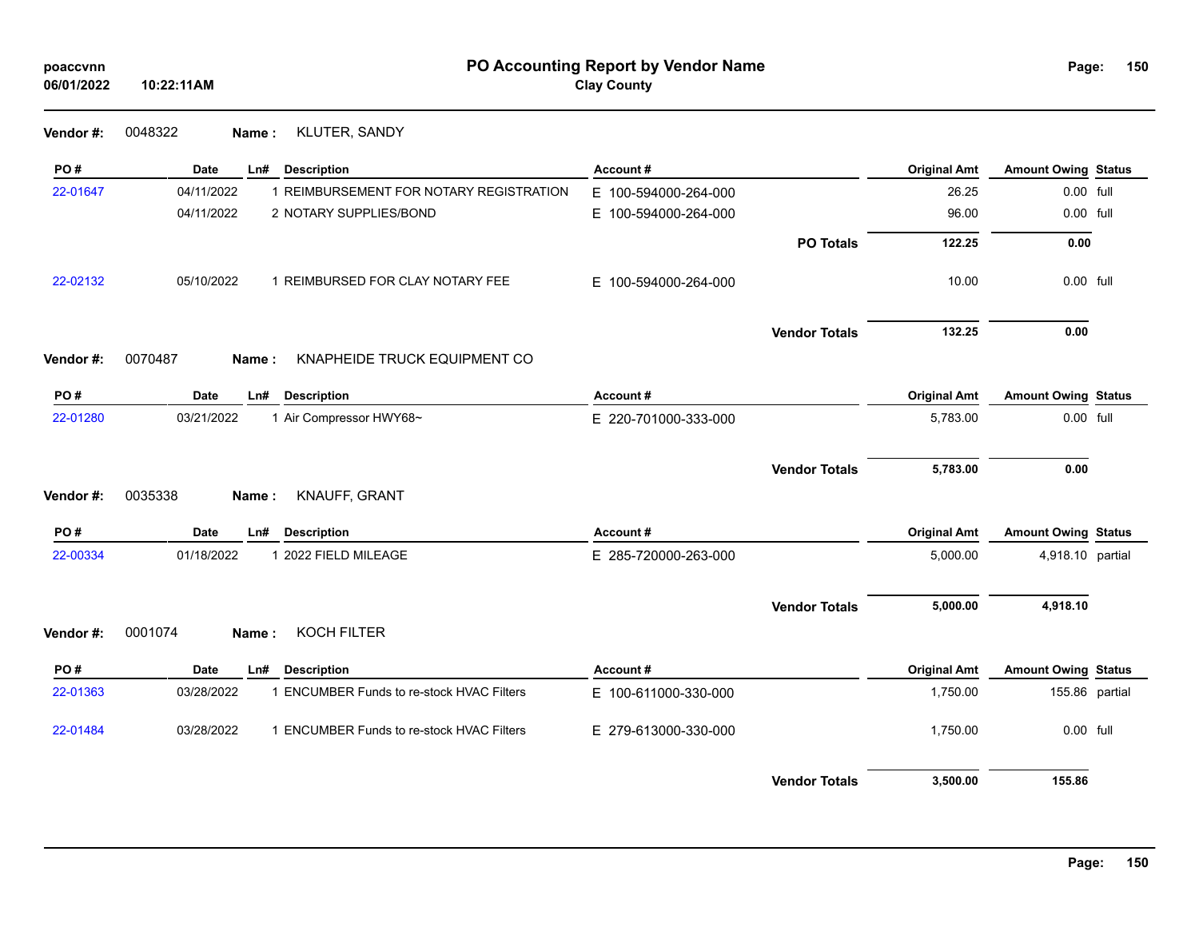**Vendor #:** 0048322 **Name :** KLUTER, SANDY

| PO#      | Date       | Ln#   | <b>Description</b>                        | Account#             |                      | <b>Original Amt</b> | <b>Amount Owing Status</b> |  |
|----------|------------|-------|-------------------------------------------|----------------------|----------------------|---------------------|----------------------------|--|
| 22-01647 | 04/11/2022 |       | 1 REIMBURSEMENT FOR NOTARY REGISTRATION   | E 100-594000-264-000 |                      | 26.25               | 0.00 full                  |  |
|          | 04/11/2022 |       | 2 NOTARY SUPPLIES/BOND                    | E 100-594000-264-000 |                      | 96.00               | 0.00 full                  |  |
|          |            |       |                                           |                      | <b>PO Totals</b>     | 122.25              | 0.00                       |  |
| 22-02132 | 05/10/2022 |       | 1 REIMBURSED FOR CLAY NOTARY FEE          | E 100-594000-264-000 |                      | 10.00               | 0.00 full                  |  |
|          |            |       |                                           |                      | <b>Vendor Totals</b> | 132.25              | 0.00                       |  |
| Vendor#: | 0070487    | Name: | KNAPHEIDE TRUCK EQUIPMENT CO              |                      |                      |                     |                            |  |
| PO#      | Date       | Ln#   | <b>Description</b>                        | Account#             |                      | <b>Original Amt</b> | <b>Amount Owing Status</b> |  |
| 22-01280 | 03/21/2022 |       | 1 Air Compressor HWY68~                   | E 220-701000-333-000 |                      | 5,783.00            | 0.00 full                  |  |
|          |            |       |                                           |                      | <b>Vendor Totals</b> | 5,783.00            | 0.00                       |  |
| Vendor#: | 0035338    | Name: | KNAUFF, GRANT                             |                      |                      |                     |                            |  |
| PO#      | Date       | Ln#   | <b>Description</b>                        | Account#             |                      | <b>Original Amt</b> | <b>Amount Owing Status</b> |  |
| 22-00334 | 01/18/2022 |       | 1 2022 FIELD MILEAGE                      | E 285-720000-263-000 |                      | 5,000.00            | 4,918.10 partial           |  |
|          |            |       |                                           |                      | <b>Vendor Totals</b> | 5,000.00            | 4,918.10                   |  |
| Vendor#: | 0001074    | Name: | <b>KOCH FILTER</b>                        |                      |                      |                     |                            |  |
| PO#      | Date       | Ln#   | <b>Description</b>                        | Account#             |                      | <b>Original Amt</b> | <b>Amount Owing Status</b> |  |
| 22-01363 | 03/28/2022 |       | 1 ENCUMBER Funds to re-stock HVAC Filters | E 100-611000-330-000 |                      | 1,750.00            | 155.86 partial             |  |
| 22-01484 | 03/28/2022 |       | 1 ENCUMBER Funds to re-stock HVAC Filters | E 279-613000-330-000 |                      | 1,750.00            | 0.00 full                  |  |
|          |            |       |                                           |                      | <b>Vendor Totals</b> | 3,500.00            | 155.86                     |  |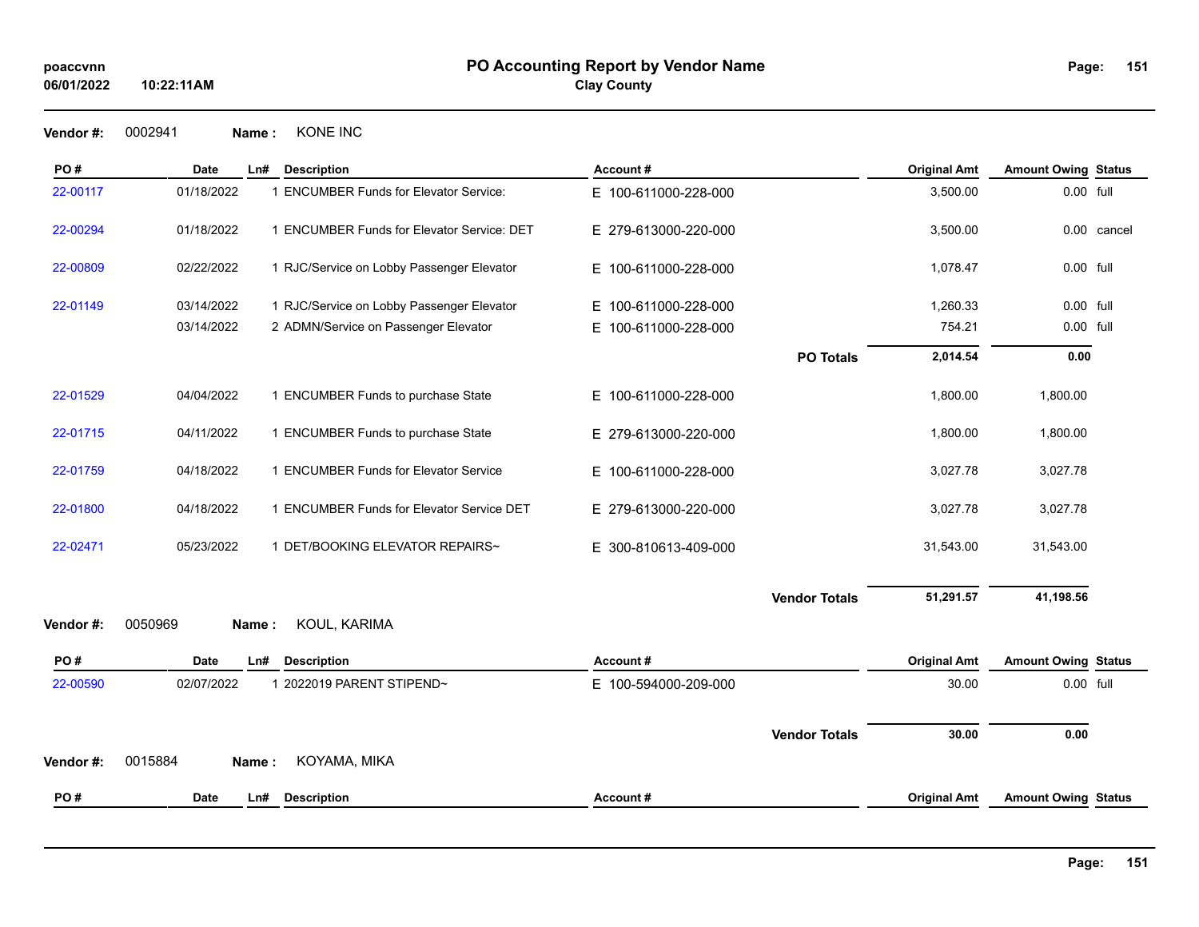**151**

**Vendor #:** 0002941 **Name :** KONE INC

| PO#      | <b>Date</b> | Ln#   | <b>Description</b>                         | Account#                 |                      | <b>Original Amt</b> | <b>Amount Owing Status</b> |             |
|----------|-------------|-------|--------------------------------------------|--------------------------|----------------------|---------------------|----------------------------|-------------|
| 22-00117 | 01/18/2022  |       | 1 ENCUMBER Funds for Elevator Service:     | E 100-611000-228-000     |                      | 3,500.00            | 0.00 full                  |             |
| 22-00294 | 01/18/2022  |       | 1 ENCUMBER Funds for Elevator Service: DET | E 279-613000-220-000     |                      | 3,500.00            |                            | 0.00 cancel |
| 22-00809 | 02/22/2022  |       | 1 RJC/Service on Lobby Passenger Elevator  | E 100-611000-228-000     |                      | 1,078.47            | 0.00 full                  |             |
| 22-01149 | 03/14/2022  |       | 1 RJC/Service on Lobby Passenger Elevator  | E 100-611000-228-000     |                      | 1,260.33            | 0.00 full                  |             |
|          | 03/14/2022  |       | 2 ADMN/Service on Passenger Elevator       | E.<br>100-611000-228-000 |                      | 754.21              | 0.00 full                  |             |
|          |             |       |                                            |                          | <b>PO Totals</b>     | 2,014.54            | 0.00                       |             |
| 22-01529 | 04/04/2022  |       | 1 ENCUMBER Funds to purchase State         | E 100-611000-228-000     |                      | 1,800.00            | 1,800.00                   |             |
| 22-01715 | 04/11/2022  |       | 1 ENCUMBER Funds to purchase State         | E 279-613000-220-000     |                      | 1,800.00            | 1,800.00                   |             |
| 22-01759 | 04/18/2022  |       | 1 ENCUMBER Funds for Elevator Service      | E 100-611000-228-000     |                      | 3,027.78            | 3,027.78                   |             |
| 22-01800 | 04/18/2022  |       | 1 ENCUMBER Funds for Elevator Service DET  | E 279-613000-220-000     |                      | 3,027.78            | 3,027.78                   |             |
| 22-02471 | 05/23/2022  |       | 1 DET/BOOKING ELEVATOR REPAIRS~            | E 300-810613-409-000     |                      | 31,543.00           | 31,543.00                  |             |
| Vendor#: | 0050969     | Name: | KOUL, KARIMA                               |                          | <b>Vendor Totals</b> | 51,291.57           | 41,198.56                  |             |
| PO#      | Date        | Ln#   | <b>Description</b>                         | Account#                 |                      | <b>Original Amt</b> | <b>Amount Owing Status</b> |             |
| 22-00590 | 02/07/2022  |       | 1 2022019 PARENT STIPEND~                  | E 100-594000-209-000     |                      | 30.00               | 0.00 full                  |             |
|          |             |       |                                            |                          | <b>Vendor Totals</b> | 30.00               | 0.00                       |             |
| Vendor#: | 0015884     | Name: | KOYAMA, MIKA                               |                          |                      |                     |                            |             |
| PO#      | <b>Date</b> | Ln#   | <b>Description</b>                         | Account#                 |                      | <b>Original Amt</b> | <b>Amount Owing Status</b> |             |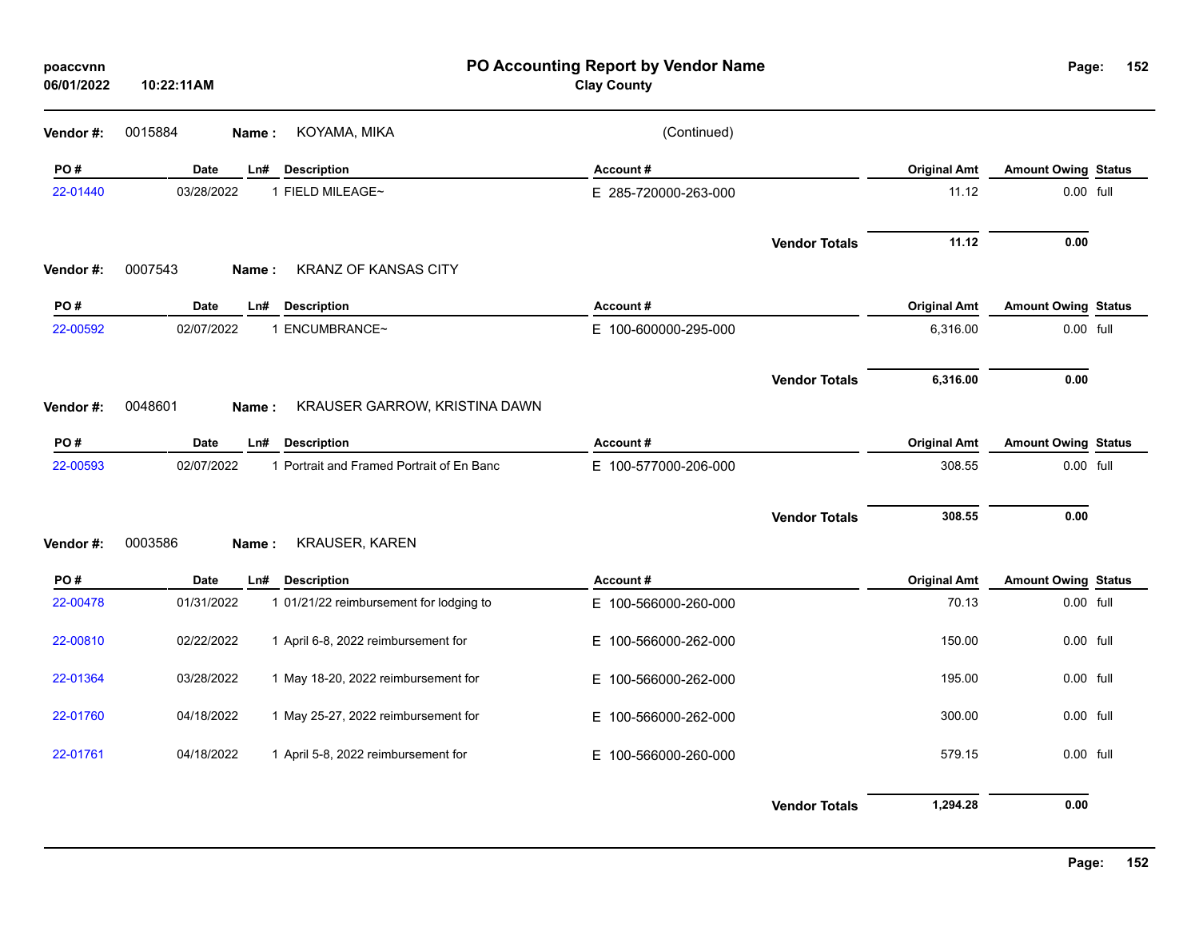| poaccvnn<br>06/01/2022 | 10:22:11AM |                                           | PO Accounting Report by Vendor Name<br><b>Clay County</b> |                      |                     | Page:                      | 152 |
|------------------------|------------|-------------------------------------------|-----------------------------------------------------------|----------------------|---------------------|----------------------------|-----|
| Vendor#:               | 0015884    | KOYAMA, MIKA<br>Name:                     | (Continued)                                               |                      |                     |                            |     |
| PO#                    | Date       | Ln#<br><b>Description</b>                 | Account#                                                  |                      | <b>Original Amt</b> | <b>Amount Owing Status</b> |     |
| 22-01440               | 03/28/2022 | 1 FIELD MILEAGE~                          | E 285-720000-263-000                                      |                      | 11.12               | 0.00 full                  |     |
| Vendor#:               | 0007543    | <b>KRANZ OF KANSAS CITY</b><br>Name :     |                                                           | <b>Vendor Totals</b> | 11.12               | 0.00                       |     |
| PO#                    | Date       | Ln#<br><b>Description</b>                 | Account#                                                  |                      | <b>Original Amt</b> | <b>Amount Owing Status</b> |     |
| 22-00592               | 02/07/2022 | 1 ENCUMBRANCE~                            | E 100-600000-295-000                                      |                      | 6,316.00            | 0.00 full                  |     |
| Vendor#:               | 0048601    | KRAUSER GARROW, KRISTINA DAWN<br>Name:    |                                                           | <b>Vendor Totals</b> | 6,316.00            | 0.00                       |     |
| PO#                    | Date       | Ln#<br><b>Description</b>                 | Account#                                                  |                      | <b>Original Amt</b> | <b>Amount Owing Status</b> |     |
| 22-00593               | 02/07/2022 | 1 Portrait and Framed Portrait of En Banc | E 100-577000-206-000                                      |                      | 308.55              | 0.00 full                  |     |
| Vendor#:               | 0003586    | KRAUSER, KAREN<br>Name:                   |                                                           | <b>Vendor Totals</b> | 308.55              | 0.00                       |     |
| PO#                    | Date       | <b>Description</b><br>Ln#                 | Account#                                                  |                      | <b>Original Amt</b> | <b>Amount Owing Status</b> |     |
| 22-00478               | 01/31/2022 | 1 01/21/22 reimbursement for lodging to   | E 100-566000-260-000                                      |                      | 70.13               | 0.00 full                  |     |
| 22-00810               | 02/22/2022 | 1 April 6-8, 2022 reimbursement for       | E 100-566000-262-000                                      |                      | 150.00              | 0.00 full                  |     |
| 22-01364               | 03/28/2022 | 1 May 18-20, 2022 reimbursement for       | E 100-566000-262-000                                      |                      | 195.00              | 0.00 full                  |     |
| 22-01760               | 04/18/2022 | 1 May 25-27, 2022 reimbursement for       | E 100-566000-262-000                                      |                      | 300.00              | 0.00 full                  |     |
| 22-01761               | 04/18/2022 | 1 April 5-8, 2022 reimbursement for       | E 100-566000-260-000                                      |                      | 579.15              | 0.00 full                  |     |
|                        |            |                                           |                                                           | <b>Vendor Totals</b> | 1,294.28            | 0.00                       |     |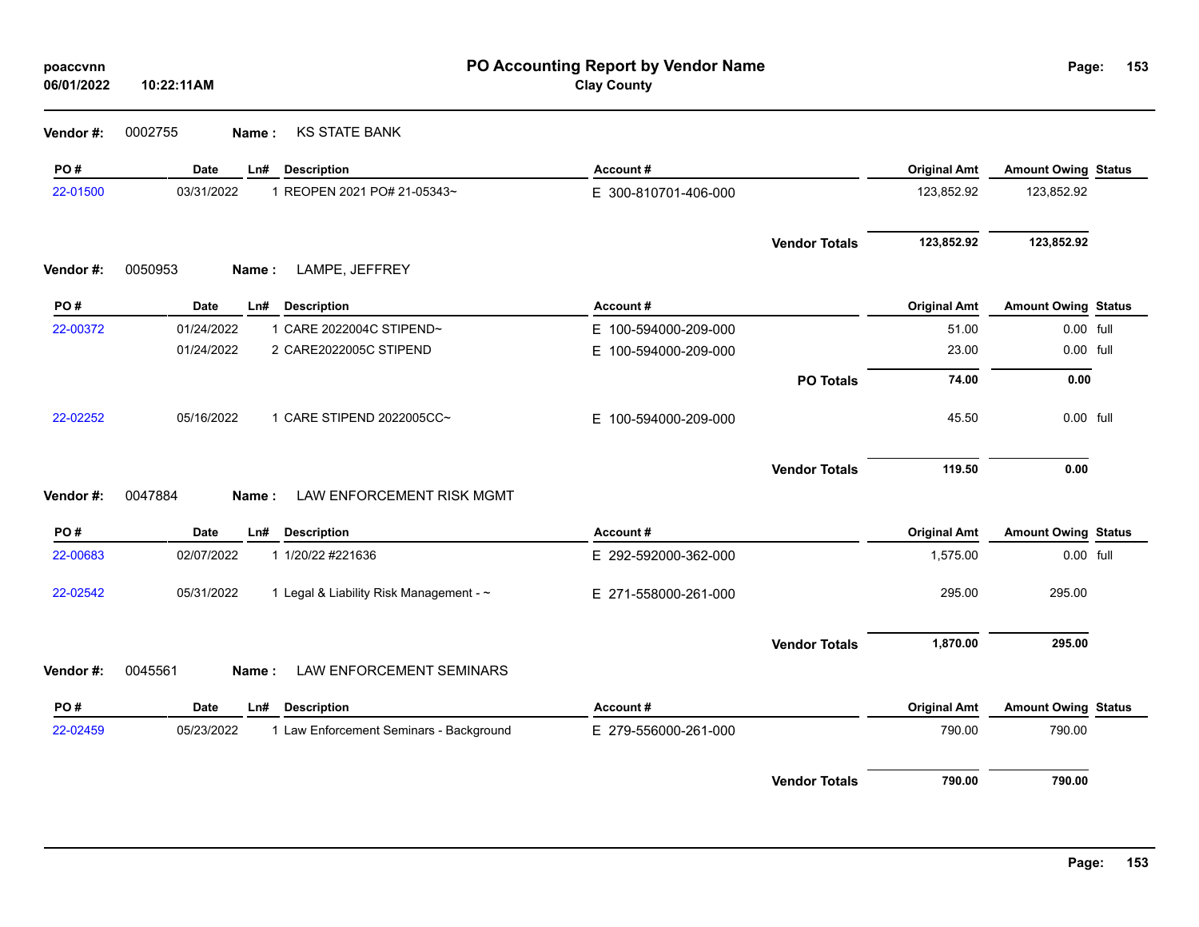| poaccvnn<br>06/01/2022 | 10:22:11AM  | PO Accounting Report by Vendor Name<br><b>Clay County</b> |                      |                      |                     |                            |  |
|------------------------|-------------|-----------------------------------------------------------|----------------------|----------------------|---------------------|----------------------------|--|
| Vendor #:              | 0002755     | <b>KS STATE BANK</b><br>Name:                             |                      |                      |                     |                            |  |
| PO#                    | Date        | Ln#<br><b>Description</b>                                 | Account#             |                      | <b>Original Amt</b> | <b>Amount Owing Status</b> |  |
| 22-01500               | 03/31/2022  | 1 REOPEN 2021 PO# 21-05343~                               | E 300-810701-406-000 |                      | 123,852.92          | 123,852.92                 |  |
|                        |             |                                                           |                      | <b>Vendor Totals</b> | 123,852.92          | 123,852.92                 |  |
| Vendor #:              | 0050953     | LAMPE, JEFFREY<br>Name:                                   |                      |                      |                     |                            |  |
| PO#                    | <b>Date</b> | Ln#<br><b>Description</b>                                 | Account#             |                      | <b>Original Amt</b> | <b>Amount Owing Status</b> |  |
| 22-00372               | 01/24/2022  | 1 CARE 2022004C STIPEND~                                  | E 100-594000-209-000 |                      | 51.00               | 0.00 full                  |  |
|                        | 01/24/2022  | 2 CARE2022005C STIPEND                                    | E 100-594000-209-000 |                      | 23.00               | 0.00 full                  |  |
|                        |             |                                                           |                      | <b>PO Totals</b>     | 74.00               | 0.00                       |  |
| 22-02252               | 05/16/2022  | 1 CARE STIPEND 2022005CC~                                 | E 100-594000-209-000 |                      | 45.50               | 0.00 full                  |  |
| Vendor #:              | 0047884     | LAW ENFORCEMENT RISK MGMT<br>Name:                        |                      | <b>Vendor Totals</b> | 119.50              | 0.00                       |  |
| PO#                    | <b>Date</b> | Ln#<br><b>Description</b>                                 | Account#             |                      | <b>Original Amt</b> | <b>Amount Owing Status</b> |  |
| 22-00683               | 02/07/2022  | 1 1/20/22 #221636                                         | E 292-592000-362-000 |                      | 1,575.00            | 0.00 full                  |  |
| 22-02542               | 05/31/2022  | 1 Legal & Liability Risk Management - ~                   | E 271-558000-261-000 |                      | 295.00              | 295.00                     |  |
|                        |             |                                                           |                      | <b>Vendor Totals</b> | 1,870.00            | 295.00                     |  |
| Vendor #:              | 0045561     | <b>LAW ENFORCEMENT SEMINARS</b><br>Name:                  |                      |                      |                     |                            |  |
| PO#                    | <b>Date</b> | <b>Description</b><br>Ln#                                 | Account#             |                      | <b>Original Amt</b> | <b>Amount Owing Status</b> |  |
| 22-02459               | 05/23/2022  | 1 Law Enforcement Seminars - Background                   | E 279-556000-261-000 |                      | 790.00              | 790.00                     |  |
|                        |             |                                                           |                      | <b>Vendor Totals</b> | 790.00              | 790.00                     |  |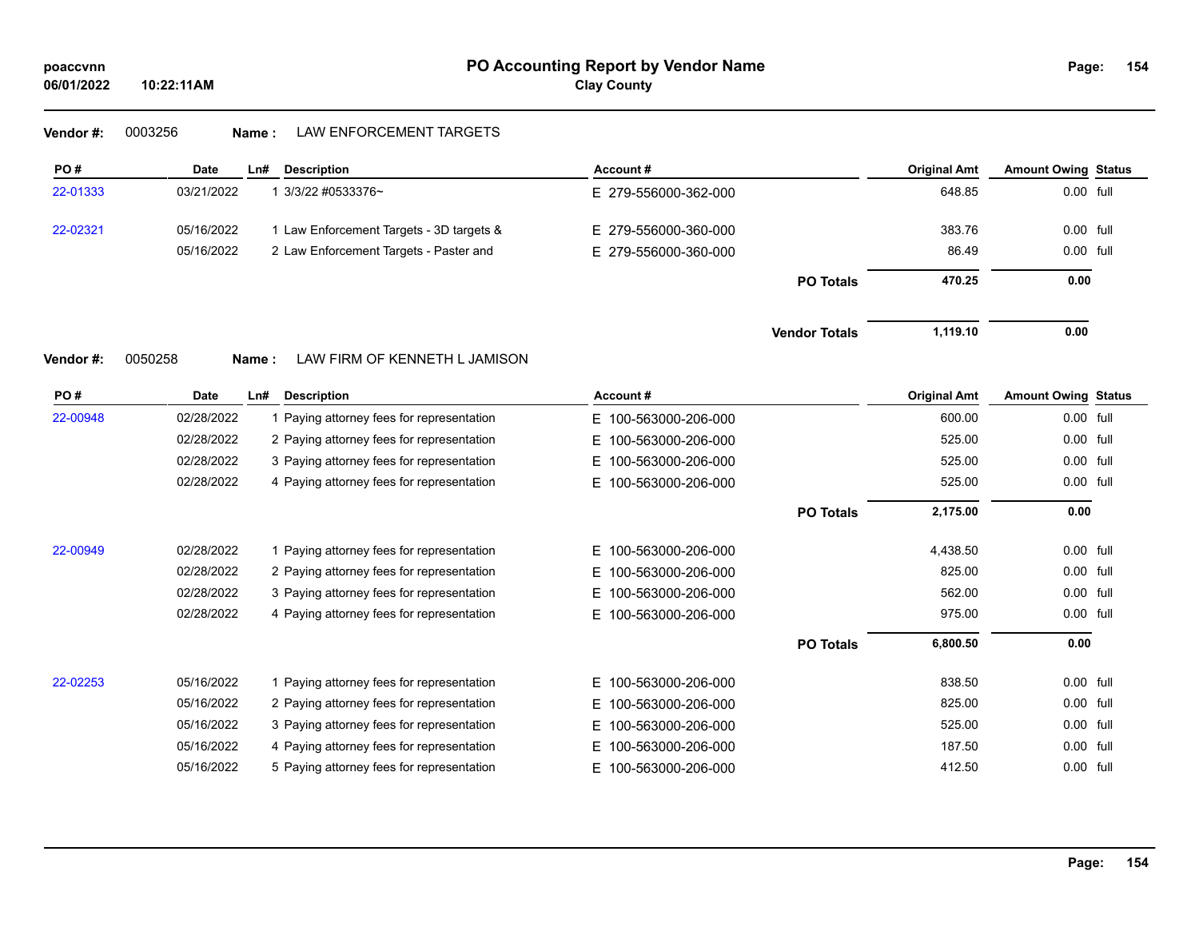## **Vendor #:** 0003256 **Name :** LAW ENFORCEMENT TARGETS

| PO#      | <b>Date</b> | Ln#   | <b>Description</b>                        | Account#                 |                      | <b>Original Amt</b> | <b>Amount Owing Status</b> |  |
|----------|-------------|-------|-------------------------------------------|--------------------------|----------------------|---------------------|----------------------------|--|
| 22-01333 | 03/21/2022  |       | 1 3/3/22 #0533376~                        | E 279-556000-362-000     |                      | 648.85              | 0.00 full                  |  |
| 22-02321 | 05/16/2022  |       | 1 Law Enforcement Targets - 3D targets &  | E 279-556000-360-000     |                      | 383.76              | 0.00 full                  |  |
|          | 05/16/2022  |       | 2 Law Enforcement Targets - Paster and    | E 279-556000-360-000     |                      | 86.49               | 0.00 full                  |  |
|          |             |       |                                           |                          | <b>PO Totals</b>     | 470.25              | 0.00                       |  |
|          |             |       |                                           |                          | <b>Vendor Totals</b> | 1,119.10            | 0.00                       |  |
| Vendor#: | 0050258     | Name: | LAW FIRM OF KENNETH L JAMISON             |                          |                      |                     |                            |  |
| PO#      | <b>Date</b> | Ln#   | <b>Description</b>                        | Account #                |                      | <b>Original Amt</b> | <b>Amount Owing Status</b> |  |
| 22-00948 | 02/28/2022  |       | 1 Paying attorney fees for representation | E 100-563000-206-000     |                      | 600.00              | 0.00 full                  |  |
|          | 02/28/2022  |       | 2 Paying attorney fees for representation | E.<br>100-563000-206-000 |                      | 525.00              | 0.00 full                  |  |
|          | 02/28/2022  |       | 3 Paying attorney fees for representation | 100-563000-206-000<br>E. |                      | 525.00              | 0.00 full                  |  |
|          | 02/28/2022  |       | 4 Paying attorney fees for representation | E.<br>100-563000-206-000 |                      | 525.00              | $0.00$ full                |  |
|          |             |       |                                           |                          | <b>PO Totals</b>     | 2,175.00            | 0.00                       |  |
| 22-00949 | 02/28/2022  |       | 1 Paying attorney fees for representation | 100-563000-206-000<br>E. |                      | 4,438.50            | 0.00 full                  |  |
|          | 02/28/2022  |       | 2 Paying attorney fees for representation | 100-563000-206-000<br>E. |                      | 825.00              | 0.00 full                  |  |
|          | 02/28/2022  |       | 3 Paying attorney fees for representation | 100-563000-206-000<br>E. |                      | 562.00              | 0.00 full                  |  |
|          | 02/28/2022  |       | 4 Paying attorney fees for representation | 100-563000-206-000<br>E. |                      | 975.00              | 0.00 full                  |  |
|          |             |       |                                           |                          | <b>PO Totals</b>     | 6,800.50            | 0.00                       |  |
| 22-02253 | 05/16/2022  |       | 1 Paying attorney fees for representation | 100-563000-206-000<br>E. |                      | 838.50              | 0.00 full                  |  |
|          | 05/16/2022  |       | 2 Paying attorney fees for representation | 100-563000-206-000<br>E. |                      | 825.00              | 0.00 full                  |  |
|          | 05/16/2022  |       | 3 Paying attorney fees for representation | 100-563000-206-000<br>E. |                      | 525.00              | 0.00 full                  |  |
|          | 05/16/2022  |       | 4 Paying attorney fees for representation | 100-563000-206-000<br>E. |                      | 187.50              | 0.00 full                  |  |
|          | 05/16/2022  |       | 5 Paying attorney fees for representation | 100-563000-206-000<br>Е. |                      | 412.50              | 0.00 full                  |  |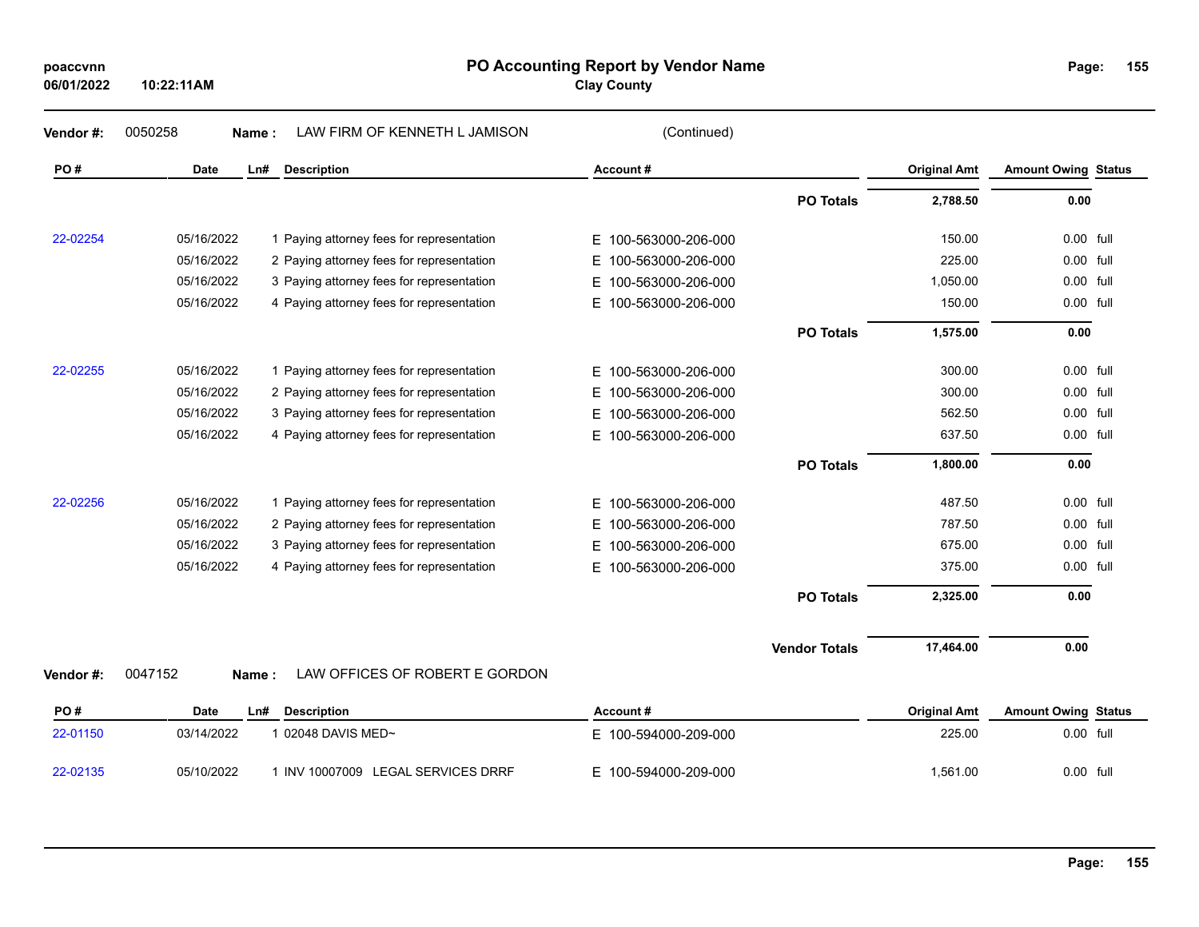| poaccvnn |  |
|----------|--|
|----------|--|

**06/01/2022**

### **PO Accounting Report by Vendor Name poaccvnn Page:**

**Clay County**

**155**

| Vendor#: | 0050258<br>Name: | LAW FIRM OF KENNETH L JAMISON             | (Continued)              |                      |                     |                            |      |
|----------|------------------|-------------------------------------------|--------------------------|----------------------|---------------------|----------------------------|------|
| PO#      | <b>Date</b>      | <b>Description</b><br>Ln#                 | Account#                 |                      | <b>Original Amt</b> | <b>Amount Owing Status</b> |      |
|          |                  |                                           |                          | <b>PO Totals</b>     | 2,788.50            | 0.00                       |      |
| 22-02254 | 05/16/2022       | 1 Paying attorney fees for representation | E 100-563000-206-000     |                      | 150.00              | 0.00 full                  |      |
|          | 05/16/2022       | 2 Paying attorney fees for representation | 100-563000-206-000<br>E. |                      | 225.00              | 0.00                       | full |
|          | 05/16/2022       | 3 Paying attorney fees for representation | 100-563000-206-000<br>E. |                      | 1,050.00            | 0.00 full                  |      |
|          | 05/16/2022       | 4 Paying attorney fees for representation | E.<br>100-563000-206-000 |                      | 150.00              | 0.00 full                  |      |
|          |                  |                                           |                          | <b>PO Totals</b>     | 1,575.00            | 0.00                       |      |
| 22-02255 | 05/16/2022       | 1 Paying attorney fees for representation | E.<br>100-563000-206-000 |                      | 300.00              | 0.00 full                  |      |
|          | 05/16/2022       | 2 Paying attorney fees for representation | 100-563000-206-000<br>Е. |                      | 300.00              | 0.00 full                  |      |
|          | 05/16/2022       | 3 Paying attorney fees for representation | 100-563000-206-000<br>E. |                      | 562.50              | 0.00 full                  |      |
|          | 05/16/2022       | 4 Paying attorney fees for representation | E.<br>100-563000-206-000 |                      | 637.50              | 0.00                       | full |
|          |                  |                                           |                          | <b>PO Totals</b>     | 1,800.00            | 0.00                       |      |
| 22-02256 | 05/16/2022       | 1 Paying attorney fees for representation | E.<br>100-563000-206-000 |                      | 487.50              | $0.00$ full                |      |
|          | 05/16/2022       | 2 Paying attorney fees for representation | 100-563000-206-000<br>E. |                      | 787.50              | 0.00 full                  |      |
|          | 05/16/2022       | 3 Paying attorney fees for representation | 100-563000-206-000<br>E. |                      | 675.00              | 0.00                       | full |
|          | 05/16/2022       | 4 Paying attorney fees for representation | 100-563000-206-000<br>E. |                      | 375.00              | 0.00                       | full |
|          |                  |                                           |                          | <b>PO Totals</b>     | 2,325.00            | 0.00                       |      |
|          |                  |                                           |                          | <b>Vendor Totals</b> | 17,464.00           | 0.00                       |      |
| Vendor#: | 0047152<br>Name: | LAW OFFICES OF ROBERT E GORDON            |                          |                      |                     |                            |      |
| PO#      | Date             | <b>Description</b><br>Ln#                 | Account#                 |                      | <b>Original Amt</b> | <b>Amount Owing Status</b> |      |
| 22-01150 | 03/14/2022       | 1 02048 DAVIS MED~                        | E 100-594000-209-000     |                      | 225.00              | 0.00 full                  |      |

22-02135 05/10/2022 1 INV 10007009 LEGAL SERVICES DRRF E 100-594000-209-000 1,561.00 1,561.00 0.00 full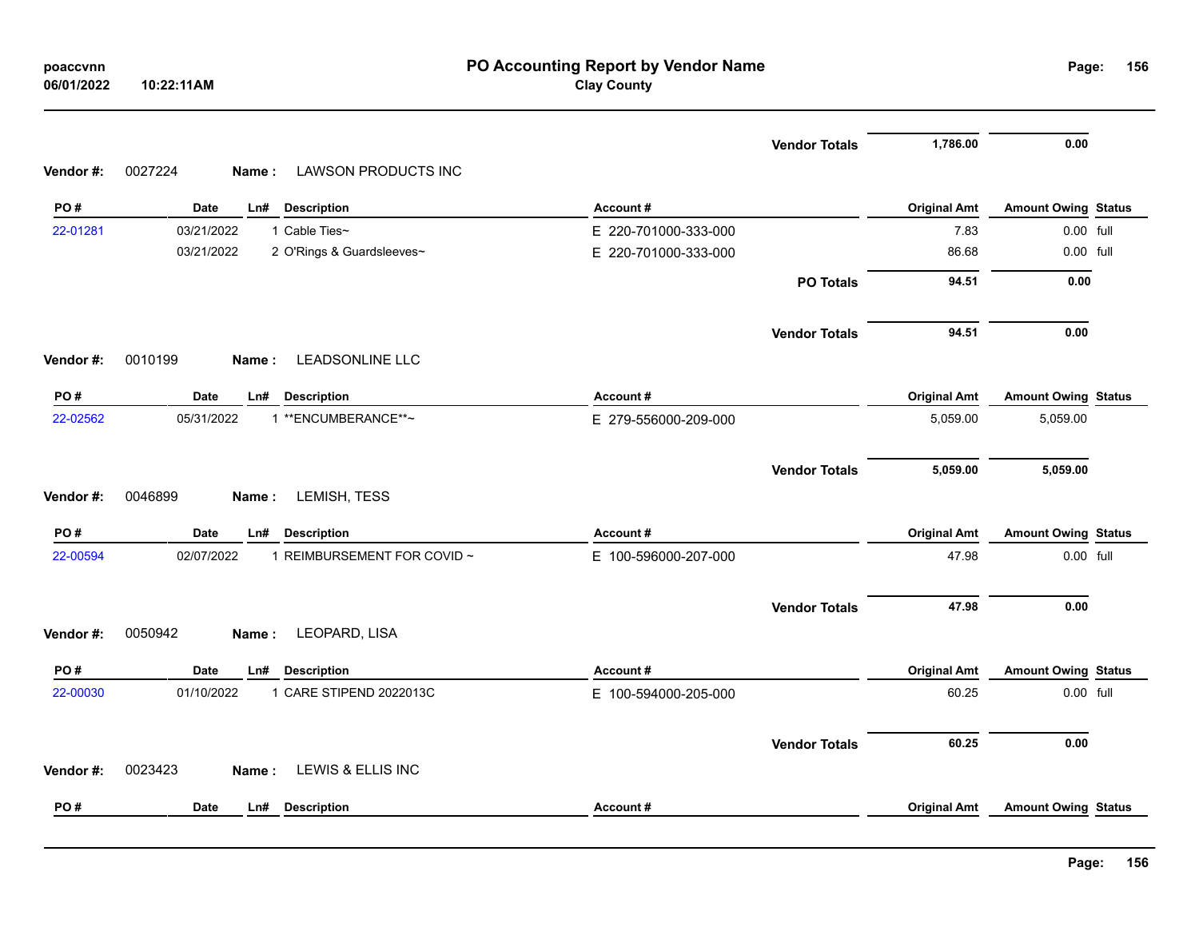|          | 06/01/2022<br>10:22:11AM                         | <b>Clay County</b>   |                      |                     |                            |  |
|----------|--------------------------------------------------|----------------------|----------------------|---------------------|----------------------------|--|
|          |                                                  |                      | <b>Vendor Totals</b> | 1,786.00            | $0.00\,$                   |  |
| Vendor#: | 0027224<br>LAWSON PRODUCTS INC<br>Name:          |                      |                      |                     |                            |  |
| PO#      | Date<br>Ln#<br><b>Description</b>                | Account#             |                      | <b>Original Amt</b> | <b>Amount Owing Status</b> |  |
| 22-01281 | 03/21/2022<br>1 Cable Ties~                      | E 220-701000-333-000 |                      | 7.83                | 0.00 full                  |  |
|          | 03/21/2022<br>2 O'Rings & Guardsleeves~          | E 220-701000-333-000 |                      | 86.68               | 0.00 full                  |  |
|          |                                                  |                      | <b>PO Totals</b>     | 94.51               | 0.00                       |  |
|          |                                                  |                      | <b>Vendor Totals</b> | 94.51               | 0.00                       |  |
| Vendor#: | <b>LEADSONLINE LLC</b><br>0010199<br>Name:       |                      |                      |                     |                            |  |
| PO#      | Date<br>Ln#<br><b>Description</b>                | Account#             |                      | <b>Original Amt</b> | <b>Amount Owing Status</b> |  |
| 22-02562 | 1 ** ENCUMBERANCE**~<br>05/31/2022               | E 279-556000-209-000 |                      | 5,059.00            | 5,059.00                   |  |
|          |                                                  |                      | <b>Vendor Totals</b> | 5,059.00            | 5,059.00                   |  |
| Vendor#: | LEMISH, TESS<br>0046899<br>Name:                 |                      |                      |                     |                            |  |
| PO#      | <b>Date</b><br>Ln#<br><b>Description</b>         | Account#             |                      | <b>Original Amt</b> | <b>Amount Owing Status</b> |  |
| 22-00594 | 02/07/2022<br>1 REIMBURSEMENT FOR COVID ~        | E 100-596000-207-000 |                      |                     |                            |  |
|          |                                                  |                      |                      | 47.98               | 0.00 full                  |  |
|          |                                                  |                      | <b>Vendor Totals</b> | 47.98               | 0.00                       |  |
| Vendor#: | 0050942<br>LEOPARD, LISA<br>Name:                |                      |                      |                     |                            |  |
| PO#      | <b>Date</b><br>Ln#<br><b>Description</b>         | Account#             |                      | <b>Original Amt</b> | <b>Amount Owing Status</b> |  |
| 22-00030 | 01/10/2022<br>1 CARE STIPEND 2022013C            | E 100-594000-205-000 |                      | 60.25               | 0.00 full                  |  |
|          |                                                  |                      | <b>Vendor Totals</b> | 60.25               | 0.00                       |  |
| Vendor#: | <b>LEWIS &amp; ELLIS INC</b><br>0023423<br>Name: |                      |                      |                     |                            |  |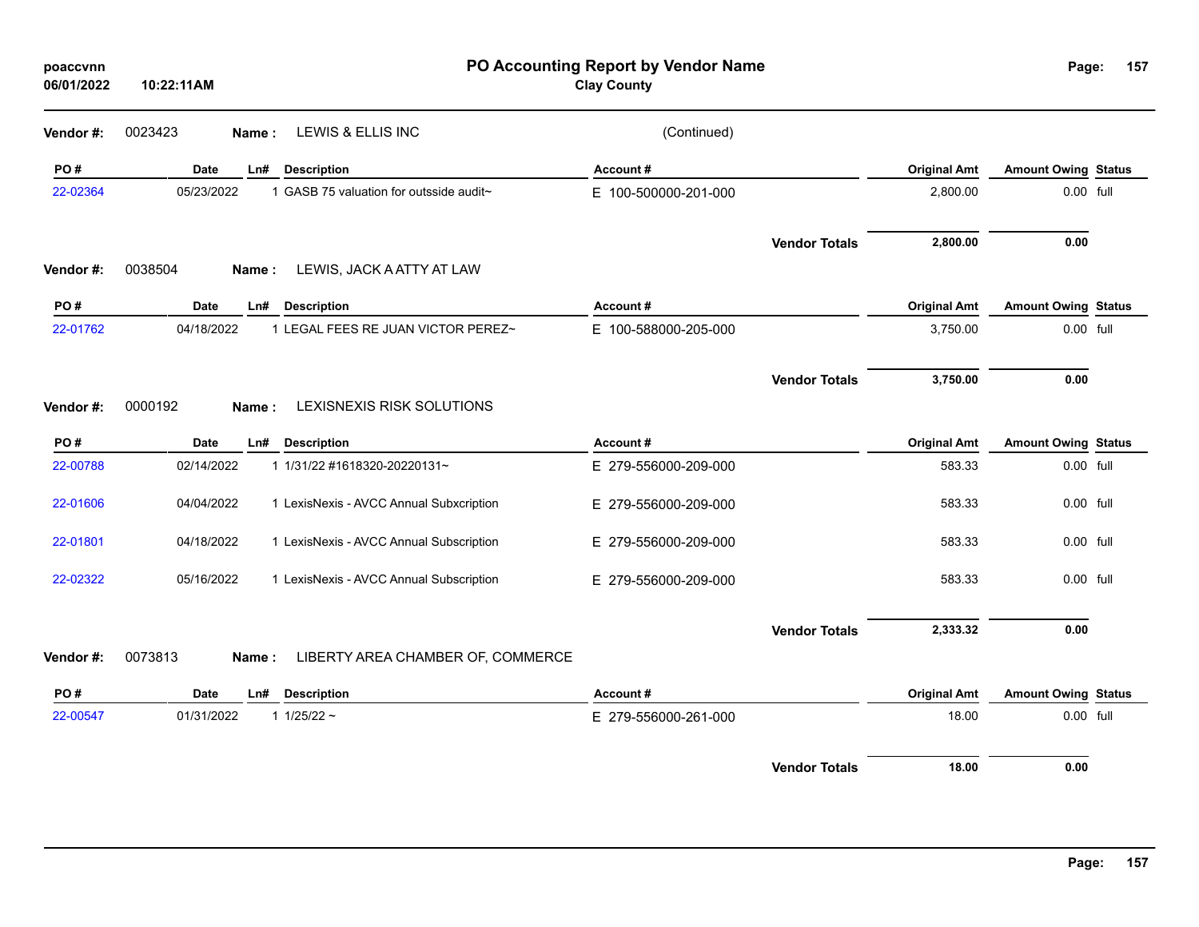| poaccvnn<br>06/01/2022 | 10:22:11AM         |                                         | PO Accounting Report by Vendor Name<br><b>Clay County</b> |                      |                     | Page:                      | 157 |
|------------------------|--------------------|-----------------------------------------|-----------------------------------------------------------|----------------------|---------------------|----------------------------|-----|
| Vendor#:               | 0023423<br>Name:   | LEWIS & ELLIS INC                       | (Continued)                                               |                      |                     |                            |     |
| PO#                    | Date<br>Ln#        | <b>Description</b>                      | Account#                                                  |                      | <b>Original Amt</b> | <b>Amount Owing Status</b> |     |
| 22-02364               | 05/23/2022         | 1 GASB 75 valuation for outsside audit~ | E 100-500000-201-000                                      |                      | 2,800.00            | 0.00 full                  |     |
|                        |                    |                                         |                                                           | <b>Vendor Totals</b> | 2,800.00            | 0.00                       |     |
| Vendor#:               | 0038504<br>Name:   | LEWIS, JACK A ATTY AT LAW               |                                                           |                      |                     |                            |     |
| PO#                    | <b>Date</b><br>Ln# | <b>Description</b>                      | Account#                                                  |                      | <b>Original Amt</b> | <b>Amount Owing Status</b> |     |
| 22-01762               | 04/18/2022         | 1 LEGAL FEES RE JUAN VICTOR PEREZ~      | E 100-588000-205-000                                      |                      | 3,750.00            | 0.00 full                  |     |
|                        |                    |                                         |                                                           | <b>Vendor Totals</b> | 3,750.00            | 0.00                       |     |
| Vendor#:               | 0000192<br>Name:   | LEXISNEXIS RISK SOLUTIONS               |                                                           |                      |                     |                            |     |
| PO#                    | <b>Date</b><br>Ln# | <b>Description</b>                      | Account#                                                  |                      | <b>Original Amt</b> | <b>Amount Owing Status</b> |     |
| 22-00788               | 02/14/2022         | 1 1/31/22 #1618320-20220131~            | E 279-556000-209-000                                      |                      | 583.33              | 0.00 full                  |     |
| 22-01606               | 04/04/2022         | 1 LexisNexis - AVCC Annual Subxcription | E 279-556000-209-000                                      |                      | 583.33              | 0.00 full                  |     |
| 22-01801               | 04/18/2022         | 1 LexisNexis - AVCC Annual Subscription | E 279-556000-209-000                                      |                      | 583.33              | 0.00 full                  |     |
| 22-02322               | 05/16/2022         | 1 LexisNexis - AVCC Annual Subscription | E 279-556000-209-000                                      |                      | 583.33              | 0.00 full                  |     |
|                        |                    |                                         |                                                           | <b>Vendor Totals</b> | 2,333.32            | 0.00                       |     |
| Vendor#:               | 0073813<br>Name:   | LIBERTY AREA CHAMBER OF, COMMERCE       |                                                           |                      |                     |                            |     |
| PO#                    | <b>Date</b><br>Ln# | <b>Description</b>                      | Account#                                                  |                      | <b>Original Amt</b> | <b>Amount Owing Status</b> |     |
| 22-00547               | 01/31/2022         | 1 $1/25/22$ ~                           | E 279-556000-261-000                                      |                      | 18.00               | 0.00 full                  |     |
|                        |                    |                                         |                                                           | <b>Vendor Totals</b> | 18.00               | 0.00                       |     |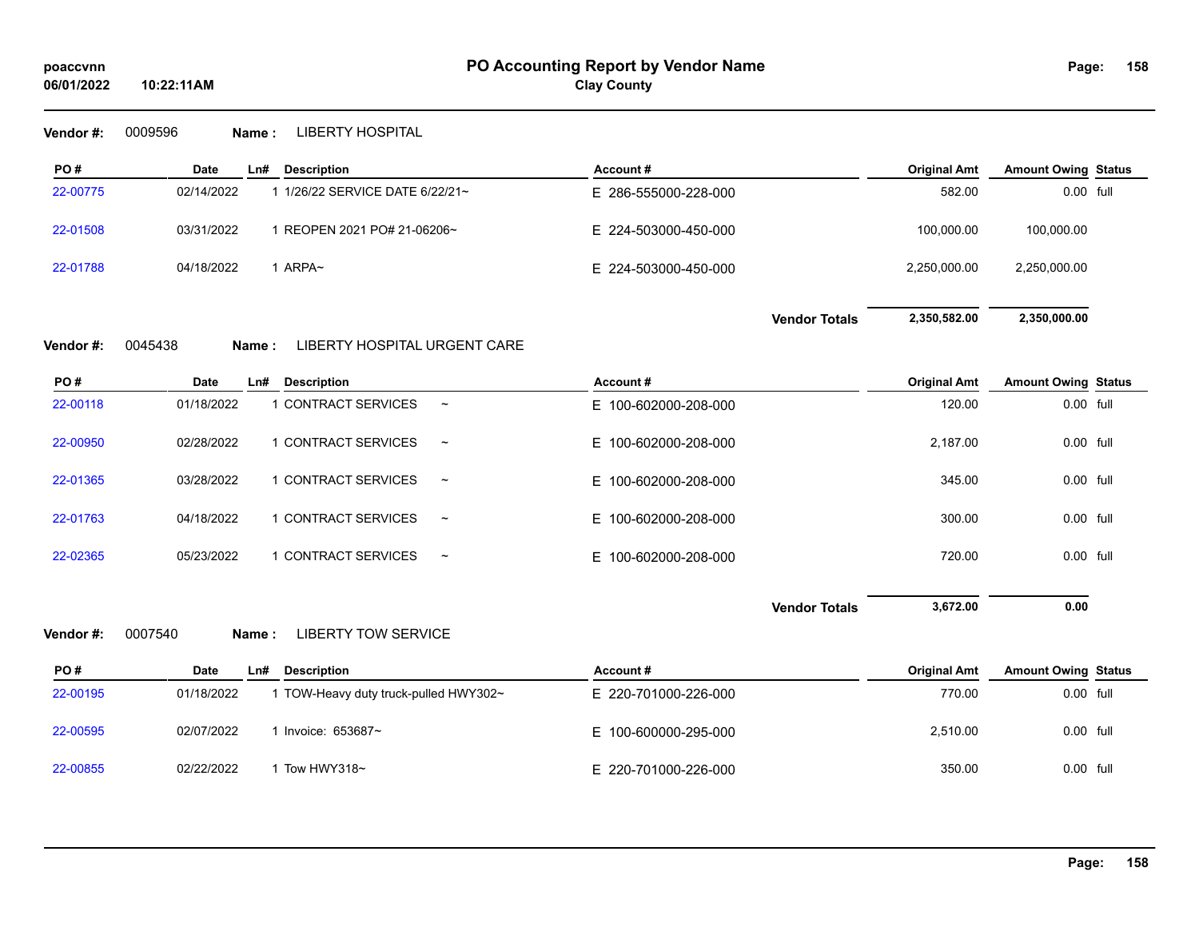**Vendor #:** 0009596 **Name :** LIBERTY HOSPITAL

**10:22:11AM**

| PO#      | Date       | L <sub>n#</sub> | <b>Description</b>            | Account#             |                      | <b>Original Amt</b> | <b>Amount Owing Status</b> |  |
|----------|------------|-----------------|-------------------------------|----------------------|----------------------|---------------------|----------------------------|--|
| 22-00775 | 02/14/2022 |                 | 1/26/22 SERVICE DATE 6/22/21~ | E 286-555000-228-000 |                      | 582.00              | 0.00 full                  |  |
| 22-01508 | 03/31/2022 |                 | REOPEN 2021 PO# 21-06206~     | E 224-503000-450-000 |                      | 100.000.00          | 100,000.00                 |  |
| 22-01788 | 04/18/2022 |                 | ARPA~                         | E 224-503000-450-000 |                      | 2,250,000.00        | 2,250,000.00               |  |
|          |            |                 |                               |                      | <b>Vendor Totals</b> | 2,350,582.00        | 2,350,000.00               |  |

## **Vendor #:** 0045438 **Name :** LIBERTY HOSPITAL URGENT CARE

| PO#      | Date       | Ln# | <b>Description</b>  |                       | Account#             | <b>Original Amt</b> | <b>Amount Owing Status</b> |  |
|----------|------------|-----|---------------------|-----------------------|----------------------|---------------------|----------------------------|--|
| 22-00118 | 01/18/2022 |     | 1 CONTRACT SERVICES | $\tilde{}$            | E 100-602000-208-000 | 120.00              | 0.00 full                  |  |
| 22-00950 | 02/28/2022 |     | 1 CONTRACT SERVICES | $\tilde{}$            | E 100-602000-208-000 | 2.187.00            | 0.00 full                  |  |
| 22-01365 | 03/28/2022 |     | 1 CONTRACT SERVICES | $\tilde{}$            | E 100-602000-208-000 | 345.00              | 0.00 full                  |  |
| 22-01763 | 04/18/2022 |     | 1 CONTRACT SERVICES | $\tilde{}$            | E 100-602000-208-000 | 300.00              | 0.00 full                  |  |
| 22-02365 | 05/23/2022 |     | 1 CONTRACT SERVICES | $\tilde{\phantom{a}}$ | E 100-602000-208-000 | 720.00              | 0.00 full                  |  |

**Vendor Totals** 3,672.00 0.00

**Vendor #:** 0007540 **Name :** LIBERTY TOW SERVICE

| PO#      | <b>Date</b> | <b>Description</b><br>LnH           | Account#             | <b>Original Amt</b> | <b>Amount Owing Status</b> |
|----------|-------------|-------------------------------------|----------------------|---------------------|----------------------------|
| 22-00195 | 01/18/2022  | TOW-Heavy duty truck-pulled HWY302~ | E 220-701000-226-000 | 770.00              | 0.00 full                  |
| 22-00595 | 02/07/2022  | Invoice: $653687$ ~                 | E 100-600000-295-000 | 2.510.00            | 0.00 full                  |
| 22-00855 | 02/22/2022  | Tow HWY318~                         | E 220-701000-226-000 | 350.00              | 0.00 full                  |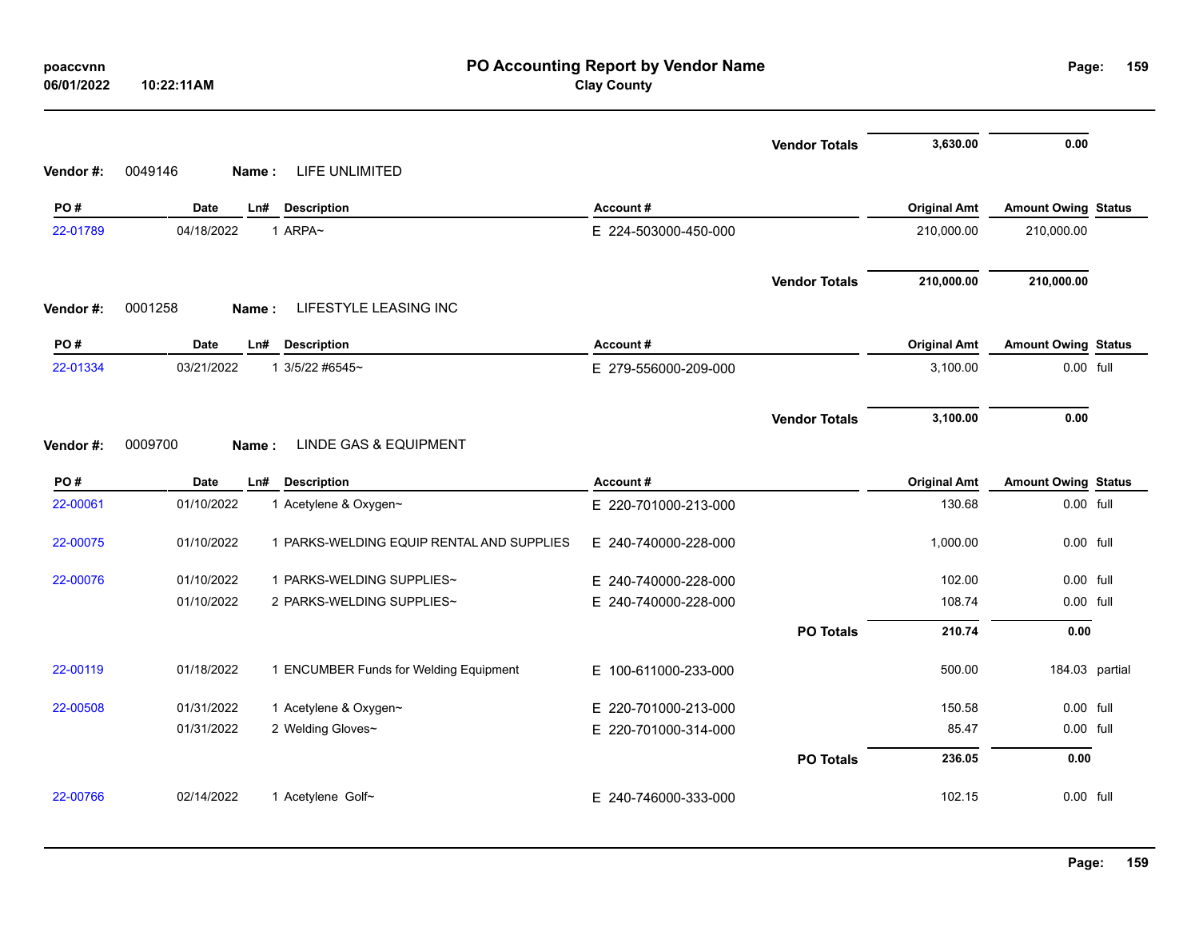| poaccvnn<br>06/01/2022 | 10:22:11AM       |                                           | PO Accounting Report by Vendor Name<br><b>Clay County</b> |                      |                     | Page:                      | 159            |
|------------------------|------------------|-------------------------------------------|-----------------------------------------------------------|----------------------|---------------------|----------------------------|----------------|
|                        |                  |                                           |                                                           | <b>Vendor Totals</b> | 3,630.00            | 0.00                       |                |
| Vendor#:               | 0049146<br>Name: | LIFE UNLIMITED                            |                                                           |                      |                     |                            |                |
| PO#                    | Date             | Ln#<br><b>Description</b>                 | Account#                                                  |                      | <b>Original Amt</b> | <b>Amount Owing Status</b> |                |
| 22-01789               | 04/18/2022       | 1 ARPA~                                   | E 224-503000-450-000                                      |                      | 210,000.00          | 210,000.00                 |                |
|                        |                  |                                           |                                                           | <b>Vendor Totals</b> | 210,000.00          | 210,000.00                 |                |
| Vendor#:               | 0001258<br>Name: | LIFESTYLE LEASING INC                     |                                                           |                      |                     |                            |                |
| PO#                    | Date             | Ln#<br><b>Description</b>                 | Account#                                                  |                      | <b>Original Amt</b> | <b>Amount Owing Status</b> |                |
| 22-01334               | 03/21/2022       | 1 3/5/22 #6545~                           | E 279-556000-209-000                                      |                      | 3,100.00            | 0.00 full                  |                |
|                        |                  |                                           |                                                           | <b>Vendor Totals</b> | 3,100.00            | 0.00                       |                |
| Vendor#:               | 0009700<br>Name: | <b>LINDE GAS &amp; EQUIPMENT</b>          |                                                           |                      |                     |                            |                |
| PO#                    | <b>Date</b>      | <b>Description</b><br>Ln#                 | Account#                                                  |                      | <b>Original Amt</b> | <b>Amount Owing Status</b> |                |
| 22-00061               | 01/10/2022       | 1 Acetylene & Oxygen~                     | E 220-701000-213-000                                      |                      | 130.68              | 0.00 full                  |                |
| 22-00075               | 01/10/2022       | 1 PARKS-WELDING EQUIP RENTAL AND SUPPLIES | E 240-740000-228-000                                      |                      | 1,000.00            | 0.00 full                  |                |
| 22-00076               | 01/10/2022       | 1 PARKS-WELDING SUPPLIES~                 | E 240-740000-228-000                                      |                      | 102.00              | 0.00 full                  |                |
|                        | 01/10/2022       | 2 PARKS-WELDING SUPPLIES~                 | E 240-740000-228-000                                      |                      | 108.74              | 0.00 full                  |                |
|                        |                  |                                           |                                                           | <b>PO Totals</b>     | 210.74              | 0.00                       |                |
| 22-00119               | 01/18/2022       | 1 ENCUMBER Funds for Welding Equipment    | E 100-611000-233-000                                      |                      | 500.00              |                            | 184.03 partial |
| 22-00508               | 01/31/2022       | 1 Acetylene & Oxygen~                     | E 220-701000-213-000                                      |                      | 150.58              | 0.00 full                  |                |
|                        | 01/31/2022       | 2 Welding Gloves~                         | E 220-701000-314-000                                      |                      | 85.47               | 0.00 full                  |                |
|                        |                  |                                           |                                                           | <b>PO Totals</b>     | 236.05              | 0.00                       |                |
| 22-00766               | 02/14/2022       | 1 Acetylene Golf~                         | E 240-746000-333-000                                      |                      | 102.15              | 0.00 full                  |                |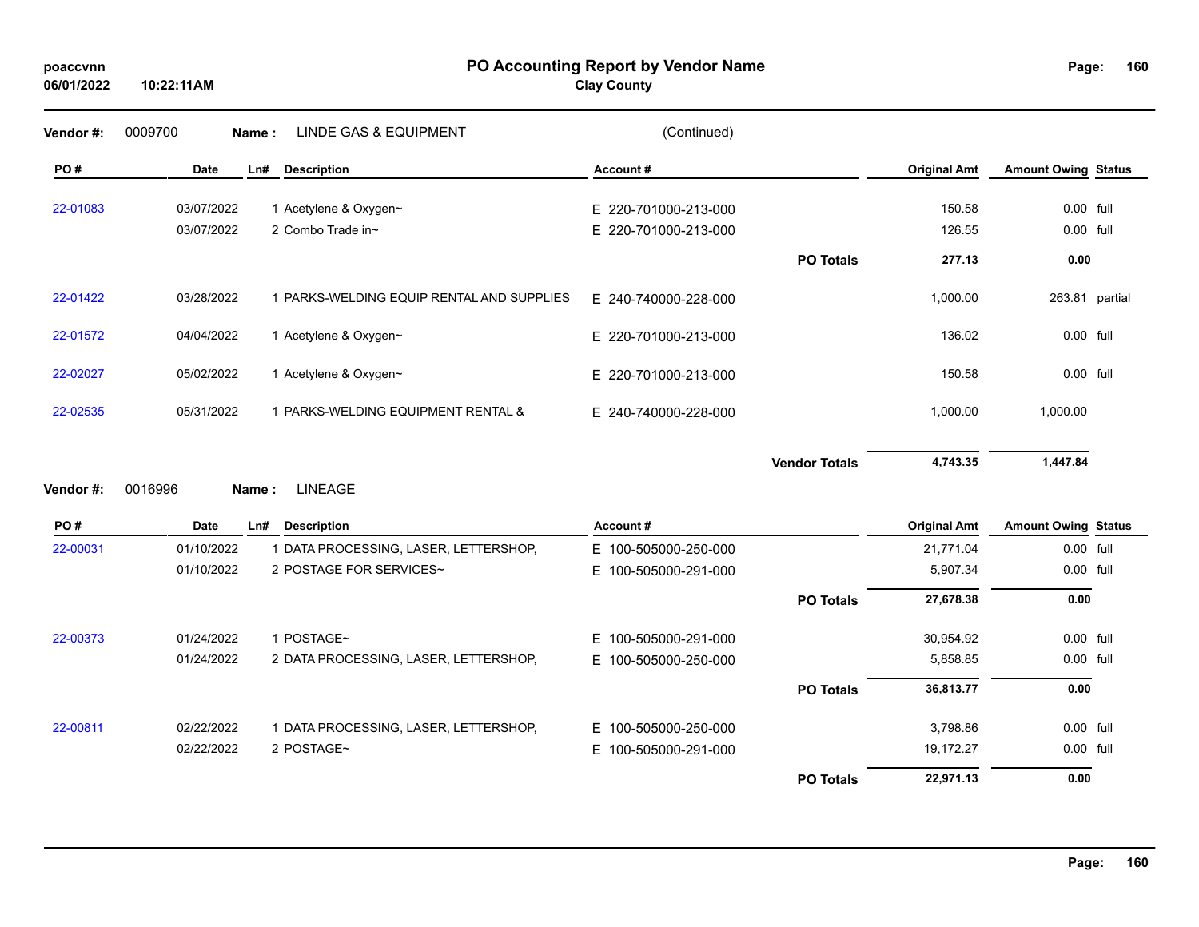### **PO Accounting Report by Vendor Name poaccvnn Page:**

# **Clay County**

| Vendor#: | 0009700     | Name:                     | <b>LINDE GAS &amp; EQUIPMENT</b>          | (Continued)              |                      |                     |                            |  |
|----------|-------------|---------------------------|-------------------------------------------|--------------------------|----------------------|---------------------|----------------------------|--|
| PO#      | <b>Date</b> | <b>Description</b><br>Ln# |                                           | Account#                 |                      | <b>Original Amt</b> | <b>Amount Owing Status</b> |  |
| 22-01083 | 03/07/2022  | 1 Acetylene & Oxygen~     |                                           | E 220-701000-213-000     |                      | 150.58              | 0.00 full                  |  |
|          | 03/07/2022  | 2 Combo Trade in~         |                                           | E 220-701000-213-000     |                      | 126.55              | 0.00 full                  |  |
|          |             |                           |                                           |                          | <b>PO Totals</b>     | 277.13              | 0.00                       |  |
| 22-01422 | 03/28/2022  |                           | 1 PARKS-WELDING EQUIP RENTAL AND SUPPLIES | E 240-740000-228-000     |                      | 1,000.00            | 263.81 partial             |  |
| 22-01572 | 04/04/2022  | 1 Acetylene & Oxygen~     |                                           | E 220-701000-213-000     |                      | 136.02              | 0.00 full                  |  |
| 22-02027 | 05/02/2022  | 1 Acetylene & Oxygen~     |                                           | E 220-701000-213-000     |                      | 150.58              | 0.00 full                  |  |
| 22-02535 | 05/31/2022  |                           | 1 PARKS-WELDING EQUIPMENT RENTAL &        | E 240-740000-228-000     |                      | 1,000.00            | 1,000.00                   |  |
|          |             |                           |                                           |                          | <b>Vendor Totals</b> | 4,743.35            | 1,447.84                   |  |
| Vendor#: | 0016996     | <b>LINEAGE</b><br>Name:   |                                           |                          |                      |                     |                            |  |
| PO#      | <b>Date</b> | <b>Description</b><br>Ln# |                                           | Account#                 |                      | <b>Original Amt</b> | <b>Amount Owing Status</b> |  |
| 22-00031 | 01/10/2022  |                           | 1 DATA PROCESSING, LASER, LETTERSHOP,     | E 100-505000-250-000     |                      | 21,771.04           | 0.00 full                  |  |
|          | 01/10/2022  |                           | 2 POSTAGE FOR SERVICES~                   | E 100-505000-291-000     |                      | 5,907.34            | 0.00 full                  |  |
|          |             |                           |                                           |                          | <b>PO Totals</b>     | 27,678.38           | 0.00                       |  |
| 22-00373 | 01/24/2022  | 1 POSTAGE~                |                                           | E.<br>100-505000-291-000 |                      | 30,954.92           | 0.00 full                  |  |
|          | 01/24/2022  |                           | 2 DATA PROCESSING, LASER, LETTERSHOP,     | E 100-505000-250-000     |                      | 5,858.85            | 0.00 full                  |  |
|          |             |                           |                                           |                          | <b>PO Totals</b>     | 36,813.77           | 0.00                       |  |
| 22-00811 | 02/22/2022  |                           | 1 DATA PROCESSING, LASER, LETTERSHOP,     | E 100-505000-250-000     |                      | 3,798.86            | 0.00 full                  |  |
|          | 02/22/2022  | 2 POSTAGE~                |                                           | 100-505000-291-000<br>E. |                      | 19,172.27           | 0.00 full                  |  |
|          |             |                           |                                           |                          | <b>PO Totals</b>     | 22,971.13           | 0.00                       |  |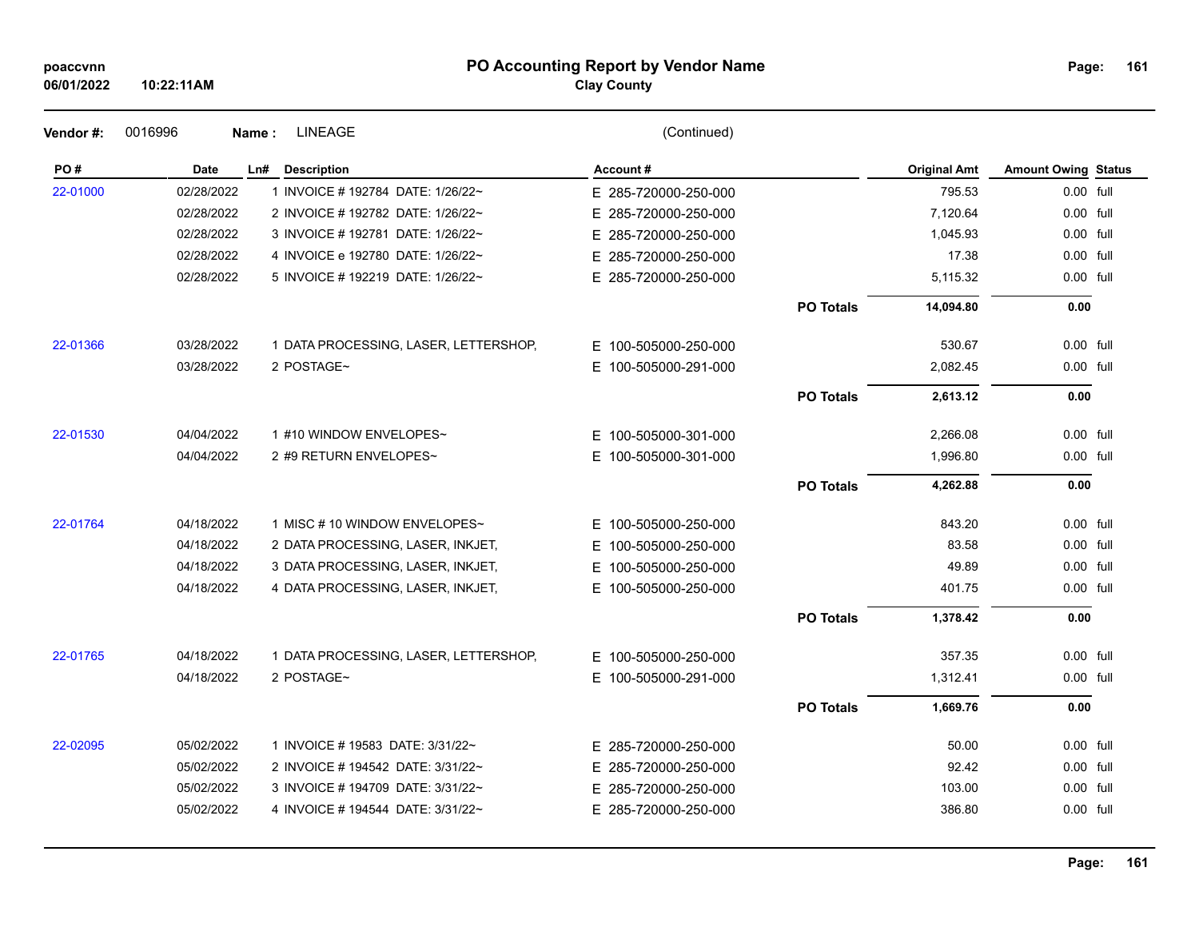| poaccynn |  |
|----------|--|
|          |  |

### **PO Accounting Report by Vendor Name poaccvnn Page:**

**Clay County**

| Vendor#: | 0016996    | <b>LINEAGE</b><br>Name:               | (Continued)             |                  |                     |                            |  |
|----------|------------|---------------------------------------|-------------------------|------------------|---------------------|----------------------------|--|
| PO#      | Date       | <b>Description</b><br>Ln#             | Account#                |                  | <b>Original Amt</b> | <b>Amount Owing Status</b> |  |
| 22-01000 | 02/28/2022 | 1 INVOICE # 192784 DATE: 1/26/22~     | E 285-720000-250-000    |                  | 795.53              | 0.00 full                  |  |
|          | 02/28/2022 | 2 INVOICE # 192782 DATE: 1/26/22~     | E 285-720000-250-000    |                  | 7,120.64            | 0.00 full                  |  |
|          | 02/28/2022 | 3 INVOICE #192781 DATE: 1/26/22~      | E 285-720000-250-000    |                  | 1,045.93            | 0.00 full                  |  |
|          | 02/28/2022 | 4 INVOICE e 192780 DATE: 1/26/22~     | E 285-720000-250-000    |                  | 17.38               | 0.00 full                  |  |
|          | 02/28/2022 | 5 INVOICE # 192219 DATE: 1/26/22~     | E 285-720000-250-000    |                  | 5,115.32            | 0.00 full                  |  |
|          |            |                                       |                         | <b>PO Totals</b> | 14,094.80           | 0.00                       |  |
| 22-01366 | 03/28/2022 | 1 DATA PROCESSING, LASER, LETTERSHOP, | E 100-505000-250-000    |                  | 530.67              | $0.00$ full                |  |
|          | 03/28/2022 | 2 POSTAGE~                            | E 100-505000-291-000    |                  | 2,082.45            | 0.00 full                  |  |
|          |            |                                       |                         | <b>PO Totals</b> | 2,613.12            | 0.00                       |  |
| 22-01530 | 04/04/2022 | 1 #10 WINDOW ENVELOPES~               | E 100-505000-301-000    |                  | 2,266.08            | 0.00 full                  |  |
|          | 04/04/2022 | 2 #9 RETURN ENVELOPES~                | E 100-505000-301-000    |                  | 1,996.80            | 0.00 full                  |  |
|          |            |                                       |                         | <b>PO Totals</b> | 4,262.88            | 0.00                       |  |
| 22-01764 | 04/18/2022 | 1 MISC #10 WINDOW ENVELOPES~          | E 100-505000-250-000    |                  | 843.20              | $0.00$ full                |  |
|          | 04/18/2022 | 2 DATA PROCESSING, LASER, INKJET,     | E<br>100-505000-250-000 |                  | 83.58               | 0.00 full                  |  |
|          | 04/18/2022 | 3 DATA PROCESSING, LASER, INKJET,     | 100-505000-250-000<br>E |                  | 49.89               | 0.00 full                  |  |
|          | 04/18/2022 | 4 DATA PROCESSING, LASER, INKJET,     | E 100-505000-250-000    |                  | 401.75              | 0.00 full                  |  |
|          |            |                                       |                         | <b>PO Totals</b> | 1,378.42            | 0.00                       |  |
| 22-01765 | 04/18/2022 | 1 DATA PROCESSING, LASER, LETTERSHOP, | E 100-505000-250-000    |                  | 357.35              | 0.00 full                  |  |
|          | 04/18/2022 | 2 POSTAGE~                            | E 100-505000-291-000    |                  | 1,312.41            | 0.00 full                  |  |
|          |            |                                       |                         | <b>PO Totals</b> | 1,669.76            | 0.00                       |  |
| 22-02095 | 05/02/2022 | 1 INVOICE # 19583 DATE: 3/31/22~      | E 285-720000-250-000    |                  | 50.00               | 0.00 full                  |  |
|          | 05/02/2022 | 2 INVOICE # 194542 DATE: 3/31/22~     | E 285-720000-250-000    |                  | 92.42               | 0.00 full                  |  |
|          | 05/02/2022 | 3 INVOICE # 194709 DATE: 3/31/22~     | E 285-720000-250-000    |                  | 103.00              | 0.00 full                  |  |
|          | 05/02/2022 | 4 INVOICE #194544 DATE: 3/31/22~      | E 285-720000-250-000    |                  | 386.80              | 0.00 full                  |  |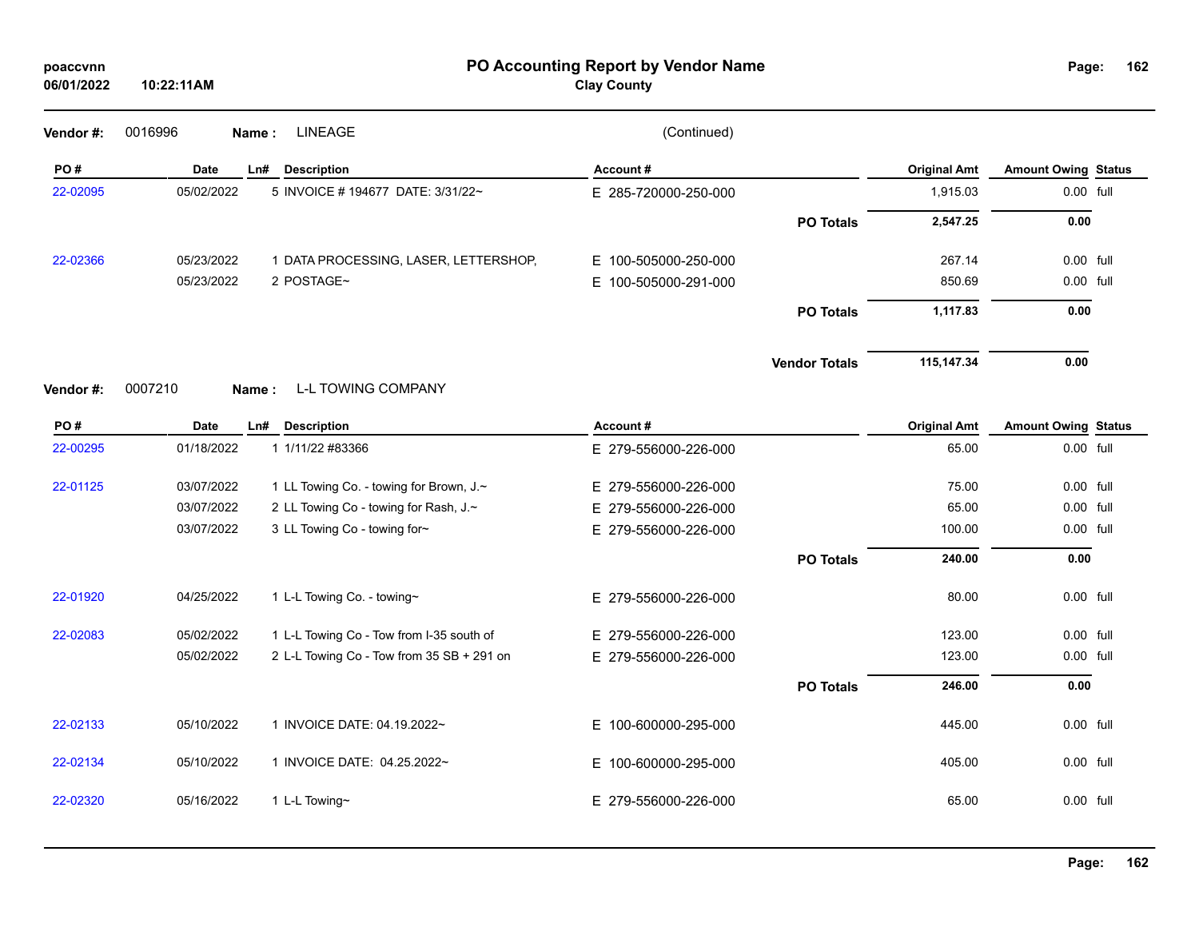| poaccvnn<br>06/01/2022 | 10:22:11AM       |                                           | PO Accounting Report by Vendor Name<br><b>Clay County</b> |                      |                     | Page:                      | 162 |
|------------------------|------------------|-------------------------------------------|-----------------------------------------------------------|----------------------|---------------------|----------------------------|-----|
| Vendor#:               | 0016996<br>Name: | <b>LINEAGE</b>                            | (Continued)                                               |                      |                     |                            |     |
| PO#                    | <b>Date</b>      | Ln#<br><b>Description</b>                 | Account#                                                  |                      | <b>Original Amt</b> | <b>Amount Owing Status</b> |     |
| 22-02095               | 05/02/2022       | 5 INVOICE # 194677 DATE: 3/31/22~         | E 285-720000-250-000                                      |                      | 1,915.03            | 0.00 full                  |     |
|                        |                  |                                           |                                                           | <b>PO Totals</b>     | 2,547.25            | 0.00                       |     |
| 22-02366               | 05/23/2022       | 1 DATA PROCESSING, LASER, LETTERSHOP,     | E 100-505000-250-000                                      |                      | 267.14              | $0.00$ full                |     |
|                        | 05/23/2022       | 2 POSTAGE~                                | 100-505000-291-000<br>Е.                                  |                      | 850.69              | 0.00 full                  |     |
|                        |                  |                                           |                                                           | <b>PO Totals</b>     | 1,117.83            | 0.00                       |     |
|                        |                  |                                           |                                                           | <b>Vendor Totals</b> | 115,147.34          | 0.00                       |     |
| Vendor#:               | 0007210<br>Name: | <b>L-L TOWING COMPANY</b>                 |                                                           |                      |                     |                            |     |
| PO#                    | <b>Date</b>      | Ln#<br><b>Description</b>                 | Account#                                                  |                      | <b>Original Amt</b> | <b>Amount Owing Status</b> |     |
| 22-00295               | 01/18/2022       | 1 1/11/22 #83366                          | E 279-556000-226-000                                      |                      | 65.00               | 0.00 full                  |     |
| 22-01125               | 03/07/2022       | 1 LL Towing Co. - towing for Brown, J.~   | E 279-556000-226-000                                      |                      | 75.00               | 0.00 full                  |     |
|                        | 03/07/2022       | 2 LL Towing Co - towing for Rash, J.~     | E 279-556000-226-000                                      |                      | 65.00               | 0.00 full                  |     |
|                        | 03/07/2022       | 3 LL Towing Co - towing for~              | E 279-556000-226-000                                      |                      | 100.00              | 0.00 full                  |     |
|                        |                  |                                           |                                                           | <b>PO Totals</b>     | 240.00              | 0.00                       |     |
| 22-01920               | 04/25/2022       | 1 L-L Towing Co. - towing~                | E 279-556000-226-000                                      |                      | 80.00               | $0.00$ full                |     |
| 22-02083               | 05/02/2022       | 1 L-L Towing Co - Tow from I-35 south of  | E 279-556000-226-000                                      |                      | 123.00              | 0.00 full                  |     |
|                        | 05/02/2022       | 2 L-L Towing Co - Tow from 35 SB + 291 on | E 279-556000-226-000                                      |                      | 123.00              | $0.00$ full                |     |
|                        |                  |                                           |                                                           | <b>PO Totals</b>     | 246.00              | 0.00                       |     |
| 22-02133               | 05/10/2022       | 1 INVOICE DATE: 04.19.2022~               | E 100-600000-295-000                                      |                      | 445.00              | 0.00 full                  |     |
| 22-02134               | 05/10/2022       | 1 INVOICE DATE: 04.25.2022~               | E 100-600000-295-000                                      |                      | 405.00              | 0.00 full                  |     |
| 22-02320               | 05/16/2022       | 1 L-L Towing~                             | E 279-556000-226-000                                      |                      | 65.00               | $0.00$ full                |     |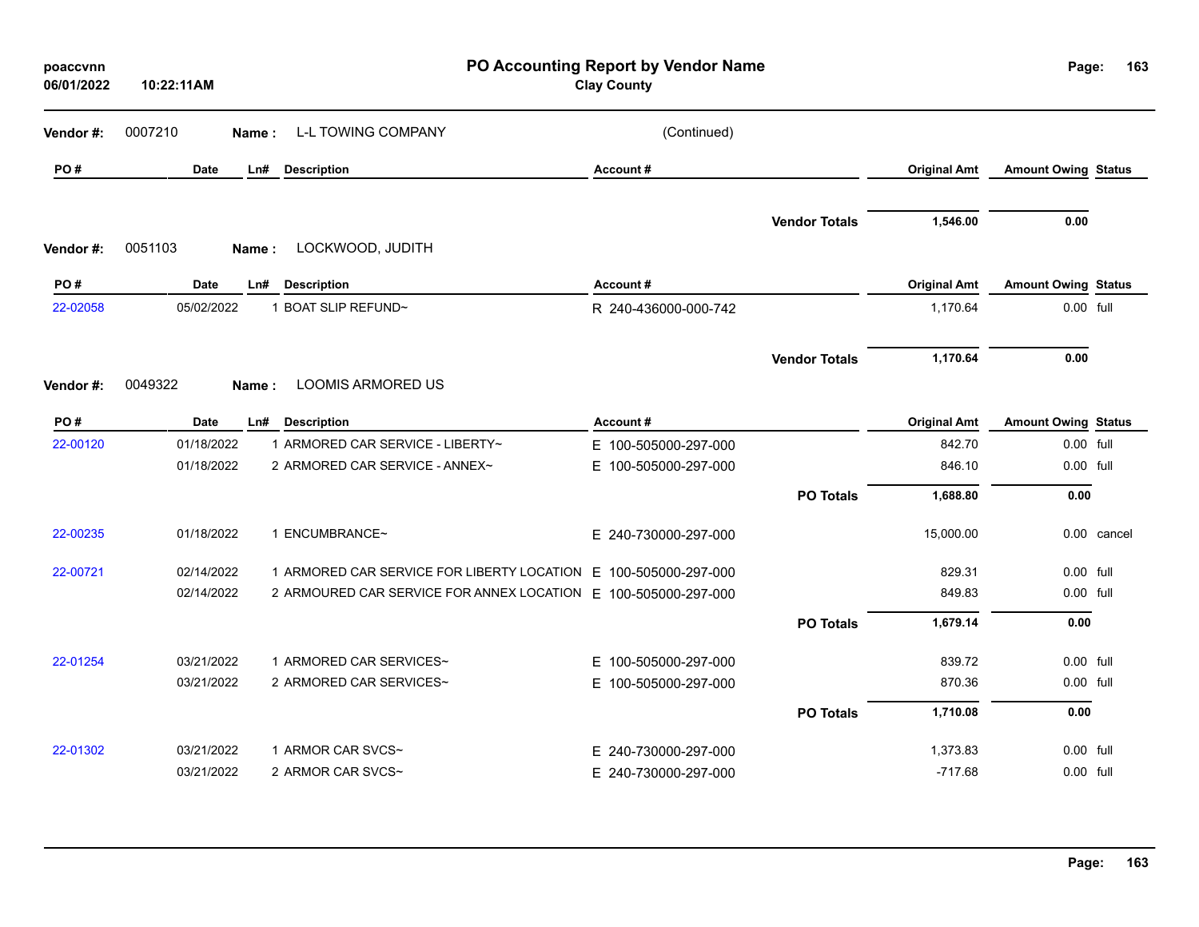| poaccvnn<br>06/01/2022 | 10:22:11AM  |                                                                 | PO Accounting Report by Vendor Name<br><b>Clay County</b> |                      |                     | Page:                      | 163         |
|------------------------|-------------|-----------------------------------------------------------------|-----------------------------------------------------------|----------------------|---------------------|----------------------------|-------------|
| Vendor#:               | 0007210     | <b>L-L TOWING COMPANY</b><br>Name :                             | (Continued)                                               |                      |                     |                            |             |
| PO#                    | <b>Date</b> | Ln#<br><b>Description</b>                                       | Account#                                                  |                      | <b>Original Amt</b> | <b>Amount Owing Status</b> |             |
| Vendor#:               | 0051103     | LOCKWOOD, JUDITH<br>Name:                                       |                                                           | <b>Vendor Totals</b> | 1,546.00            | 0.00                       |             |
| PO#                    | <b>Date</b> | Ln#<br><b>Description</b>                                       | Account#                                                  |                      | <b>Original Amt</b> | <b>Amount Owing Status</b> |             |
| 22-02058               | 05/02/2022  | 1 BOAT SLIP REFUND~                                             | R 240-436000-000-742                                      |                      | 1,170.64            | 0.00 full                  |             |
| Vendor#:               | 0049322     | <b>LOOMIS ARMORED US</b><br>Name:                               |                                                           | <b>Vendor Totals</b> | 1,170.64            | 0.00                       |             |
| PO#                    | Date        | <b>Description</b><br>Ln#                                       | Account#                                                  |                      | <b>Original Amt</b> | <b>Amount Owing Status</b> |             |
| 22-00120               | 01/18/2022  | 1 ARMORED CAR SERVICE - LIBERTY~                                | E 100-505000-297-000                                      |                      | 842.70              | 0.00 full                  |             |
|                        | 01/18/2022  | 2 ARMORED CAR SERVICE - ANNEX~                                  | E 100-505000-297-000                                      |                      | 846.10              | 0.00 full                  |             |
|                        |             |                                                                 |                                                           | <b>PO Totals</b>     | 1,688.80            | 0.00                       |             |
| 22-00235               | 01/18/2022  | 1 ENCUMBRANCE~                                                  | E 240-730000-297-000                                      |                      | 15,000.00           |                            | 0.00 cancel |
| 22-00721               | 02/14/2022  | 1 ARMORED CAR SERVICE FOR LIBERTY LOCATION E 100-505000-297-000 |                                                           |                      | 829.31              | 0.00 full                  |             |
|                        | 02/14/2022  | 2 ARMOURED CAR SERVICE FOR ANNEX LOCATION E 100-505000-297-000  |                                                           |                      | 849.83              | 0.00 full                  |             |
|                        |             |                                                                 |                                                           | <b>PO Totals</b>     | 1,679.14            | 0.00                       |             |
| 22-01254               | 03/21/2022  | 1 ARMORED CAR SERVICES~                                         | E 100-505000-297-000                                      |                      | 839.72              | 0.00 full                  |             |
|                        | 03/21/2022  | 2 ARMORED CAR SERVICES~                                         | E 100-505000-297-000                                      |                      | 870.36              | 0.00 full                  |             |
|                        |             |                                                                 |                                                           | <b>PO Totals</b>     | 1,710.08            | 0.00                       |             |
| 22-01302               | 03/21/2022  | 1 ARMOR CAR SVCS~                                               | E 240-730000-297-000                                      |                      | 1,373.83            | $0.00$ full                |             |
|                        | 03/21/2022  | 2 ARMOR CAR SVCS~                                               | E 240-730000-297-000                                      |                      | $-717.68$           | 0.00 full                  |             |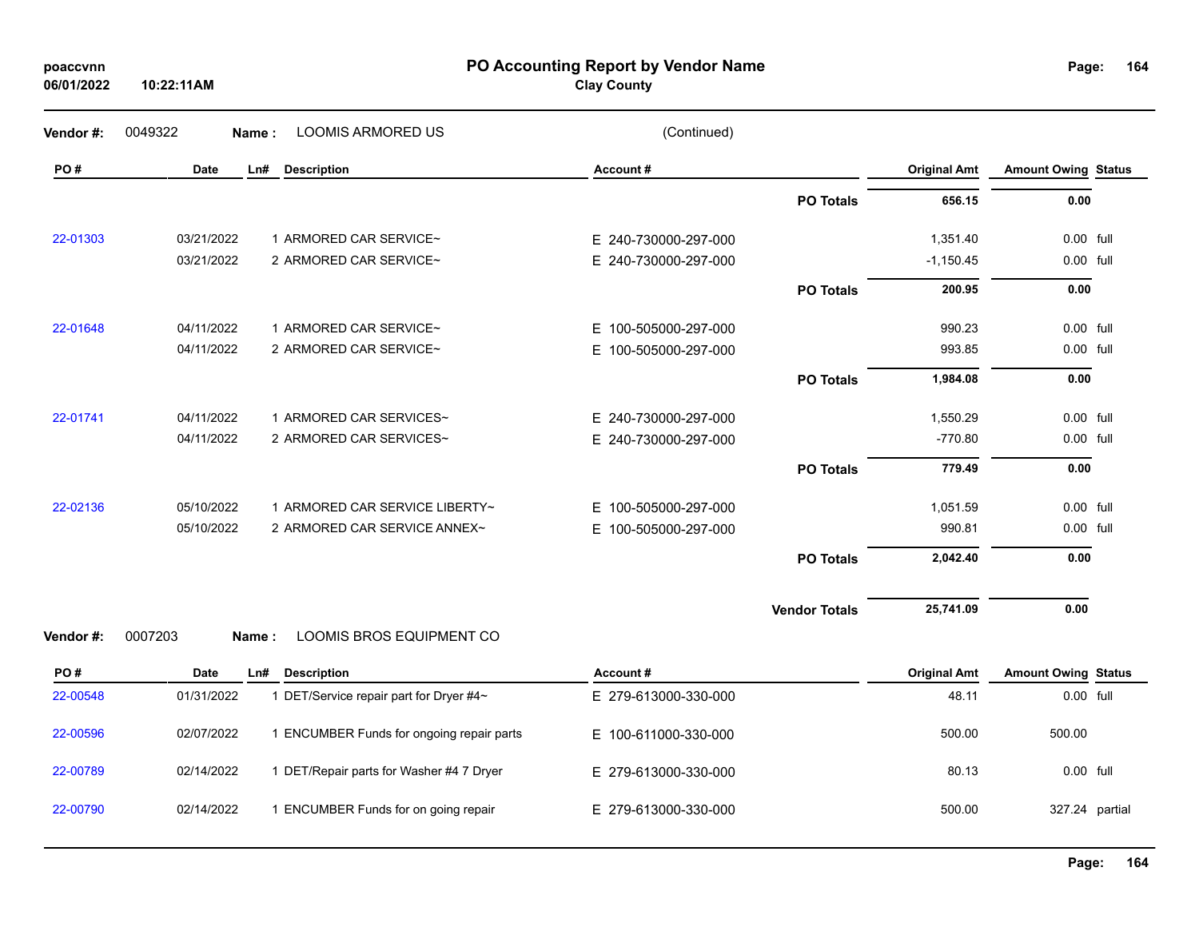| poaccvnn   |  |
|------------|--|
| 06/01/2022 |  |

**PO Accounting Report by Vendor Name poaccvnn Page:**

**Clay County**

| Vendor #: | 0049322<br>Name: | <b>LOOMIS ARMORED US</b>                  | (Continued)          |                      |                     |                            |  |
|-----------|------------------|-------------------------------------------|----------------------|----------------------|---------------------|----------------------------|--|
| PO#       | <b>Date</b>      | <b>Description</b><br>Ln#                 | Account#             |                      | <b>Original Amt</b> | <b>Amount Owing Status</b> |  |
|           |                  |                                           |                      | <b>PO Totals</b>     | 656.15              | 0.00                       |  |
| 22-01303  | 03/21/2022       | 1 ARMORED CAR SERVICE~                    | E 240-730000-297-000 |                      | 1,351.40            | 0.00 full                  |  |
|           | 03/21/2022       | 2 ARMORED CAR SERVICE~                    | E 240-730000-297-000 |                      | $-1,150.45$         | 0.00 full                  |  |
|           |                  |                                           |                      | <b>PO Totals</b>     | 200.95              | 0.00                       |  |
| 22-01648  | 04/11/2022       | 1 ARMORED CAR SERVICE~                    | E 100-505000-297-000 |                      | 990.23              | 0.00 full                  |  |
|           | 04/11/2022       | 2 ARMORED CAR SERVICE~                    | E 100-505000-297-000 |                      | 993.85              | 0.00 full                  |  |
|           |                  |                                           |                      | <b>PO Totals</b>     | 1,984.08            | 0.00                       |  |
| 22-01741  | 04/11/2022       | 1 ARMORED CAR SERVICES~                   | E 240-730000-297-000 |                      | 1,550.29            | 0.00 full                  |  |
|           | 04/11/2022       | 2 ARMORED CAR SERVICES~                   | E 240-730000-297-000 |                      | $-770.80$           | 0.00 full                  |  |
|           |                  |                                           |                      | <b>PO Totals</b>     | 779.49              | 0.00                       |  |
| 22-02136  | 05/10/2022       | 1 ARMORED CAR SERVICE LIBERTY~            | E 100-505000-297-000 |                      | 1,051.59            | 0.00 full                  |  |
|           | 05/10/2022       | 2 ARMORED CAR SERVICE ANNEX~              | E 100-505000-297-000 |                      | 990.81              | 0.00 full                  |  |
|           |                  |                                           |                      | <b>PO Totals</b>     | 2,042.40            | 0.00                       |  |
|           |                  |                                           |                      | <b>Vendor Totals</b> | 25,741.09           | 0.00                       |  |
| Vendor#:  | 0007203<br>Name: | LOOMIS BROS EQUIPMENT CO                  |                      |                      |                     |                            |  |
| PO#       | <b>Date</b>      | Ln#<br><b>Description</b>                 | Account#             |                      | <b>Original Amt</b> | <b>Amount Owing Status</b> |  |
| 22-00548  | 01/31/2022       | 1 DET/Service repair part for Dryer #4~   | E 279-613000-330-000 |                      | 48.11               | 0.00 full                  |  |
| 22-00596  | 02/07/2022       | 1 ENCUMBER Funds for ongoing repair parts | E 100-611000-330-000 |                      | 500.00              | 500.00                     |  |
| 22-00789  | 02/14/2022       | 1 DET/Repair parts for Washer #4 7 Dryer  | E 279-613000-330-000 |                      | 80.13               | 0.00 full                  |  |
| 22-00790  | 02/14/2022       | 1 ENCUMBER Funds for on going repair      | E 279-613000-330-000 |                      | 500.00              | 327.24 partial             |  |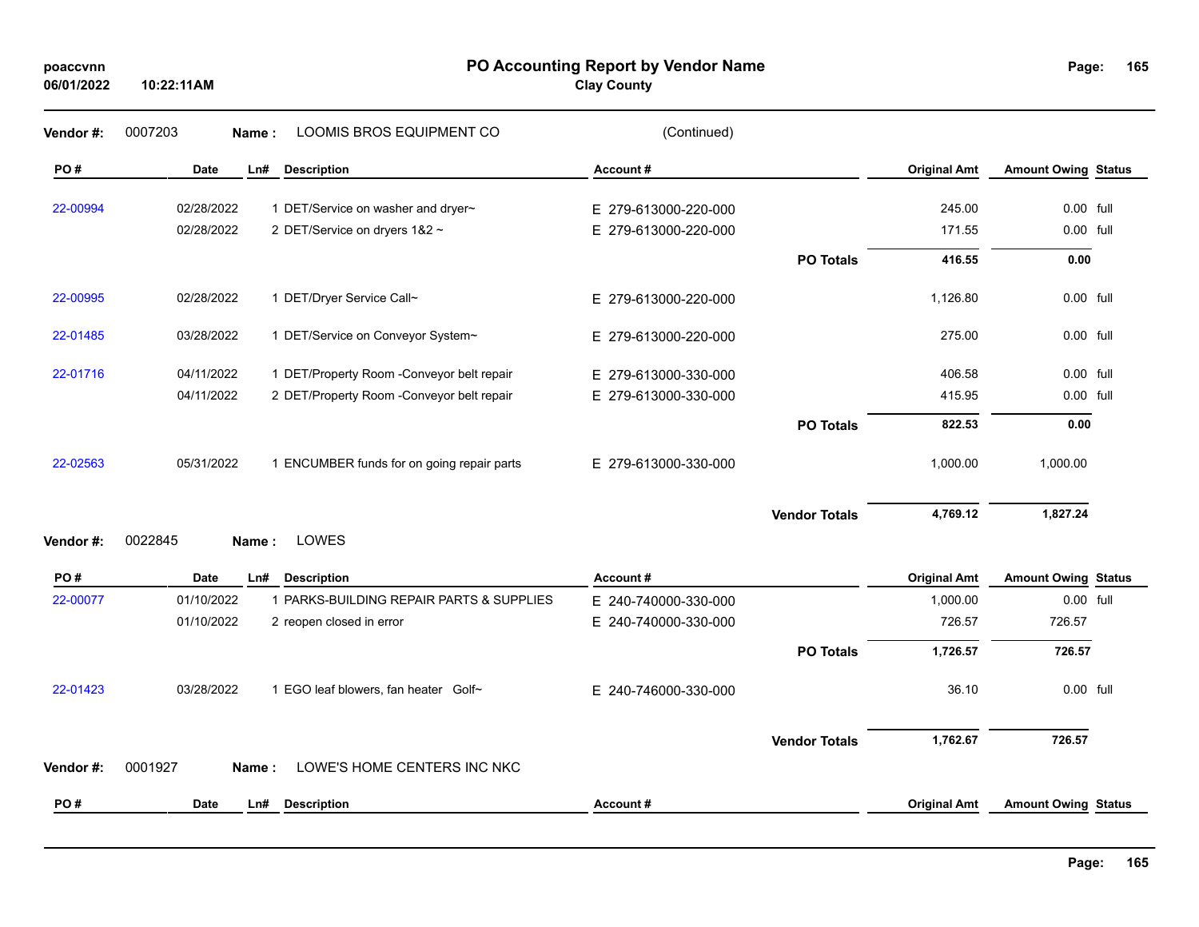| poaccvnn   |  |
|------------|--|
| 06/01/2022 |  |

**PO Accounting Report by Vendor Name poaccvnn Page:**

**Clay County**

| Vendor#:  | 0007203     | Name: | LOOMIS BROS EQUIPMENT CO                   | (Continued)          |                      |                     |                            |  |
|-----------|-------------|-------|--------------------------------------------|----------------------|----------------------|---------------------|----------------------------|--|
| PO#       | <b>Date</b> | Ln#   | <b>Description</b>                         | Account#             |                      | <b>Original Amt</b> | <b>Amount Owing Status</b> |  |
| 22-00994  | 02/28/2022  |       | 1 DET/Service on washer and dryer~         | E 279-613000-220-000 |                      | 245.00              | 0.00 full                  |  |
|           | 02/28/2022  |       | 2 DET/Service on dryers 1&2 ~              | E 279-613000-220-000 |                      | 171.55              | 0.00 full                  |  |
|           |             |       |                                            |                      | <b>PO Totals</b>     | 416.55              | 0.00                       |  |
| 22-00995  | 02/28/2022  |       | 1 DET/Dryer Service Call~                  | E 279-613000-220-000 |                      | 1,126.80            | 0.00 full                  |  |
| 22-01485  | 03/28/2022  |       | 1 DET/Service on Conveyor System~          | E 279-613000-220-000 |                      | 275.00              | 0.00 full                  |  |
| 22-01716  | 04/11/2022  |       | 1 DET/Property Room -Conveyor belt repair  | E 279-613000-330-000 |                      | 406.58              | 0.00 full                  |  |
|           | 04/11/2022  |       | 2 DET/Property Room -Conveyor belt repair  | E 279-613000-330-000 |                      | 415.95              | 0.00 full                  |  |
|           |             |       |                                            |                      | <b>PO Totals</b>     | 822.53              | 0.00                       |  |
| 22-02563  | 05/31/2022  |       | 1 ENCUMBER funds for on going repair parts | E 279-613000-330-000 |                      | 1,000.00            | 1,000.00                   |  |
|           |             |       |                                            |                      | <b>Vendor Totals</b> | 4,769.12            | 1,827.24                   |  |
| Vendor#:  | 0022845     | Name: | LOWES                                      |                      |                      |                     |                            |  |
| PO#       | <b>Date</b> | Ln#   | <b>Description</b>                         | Account#             |                      | <b>Original Amt</b> | <b>Amount Owing Status</b> |  |
| 22-00077  | 01/10/2022  |       | 1 PARKS-BUILDING REPAIR PARTS & SUPPLIES   | E 240-740000-330-000 |                      | 1,000.00            | 0.00 full                  |  |
|           | 01/10/2022  |       | 2 reopen closed in error                   | E 240-740000-330-000 |                      | 726.57              | 726.57                     |  |
|           |             |       |                                            |                      | <b>PO Totals</b>     | 1,726.57            | 726.57                     |  |
| 22-01423  | 03/28/2022  |       | 1 EGO leaf blowers, fan heater Golf~       | E 240-746000-330-000 |                      | 36.10               | 0.00 full                  |  |
|           |             |       |                                            |                      | <b>Vendor Totals</b> | 1,762.67            | 726.57                     |  |
| Vendor #: | 0001927     | Name: | LOWE'S HOME CENTERS INC NKC                |                      |                      |                     |                            |  |
| PO#       | <b>Date</b> | Ln#   | <b>Description</b>                         | Account#             |                      | <b>Original Amt</b> | <b>Amount Owing Status</b> |  |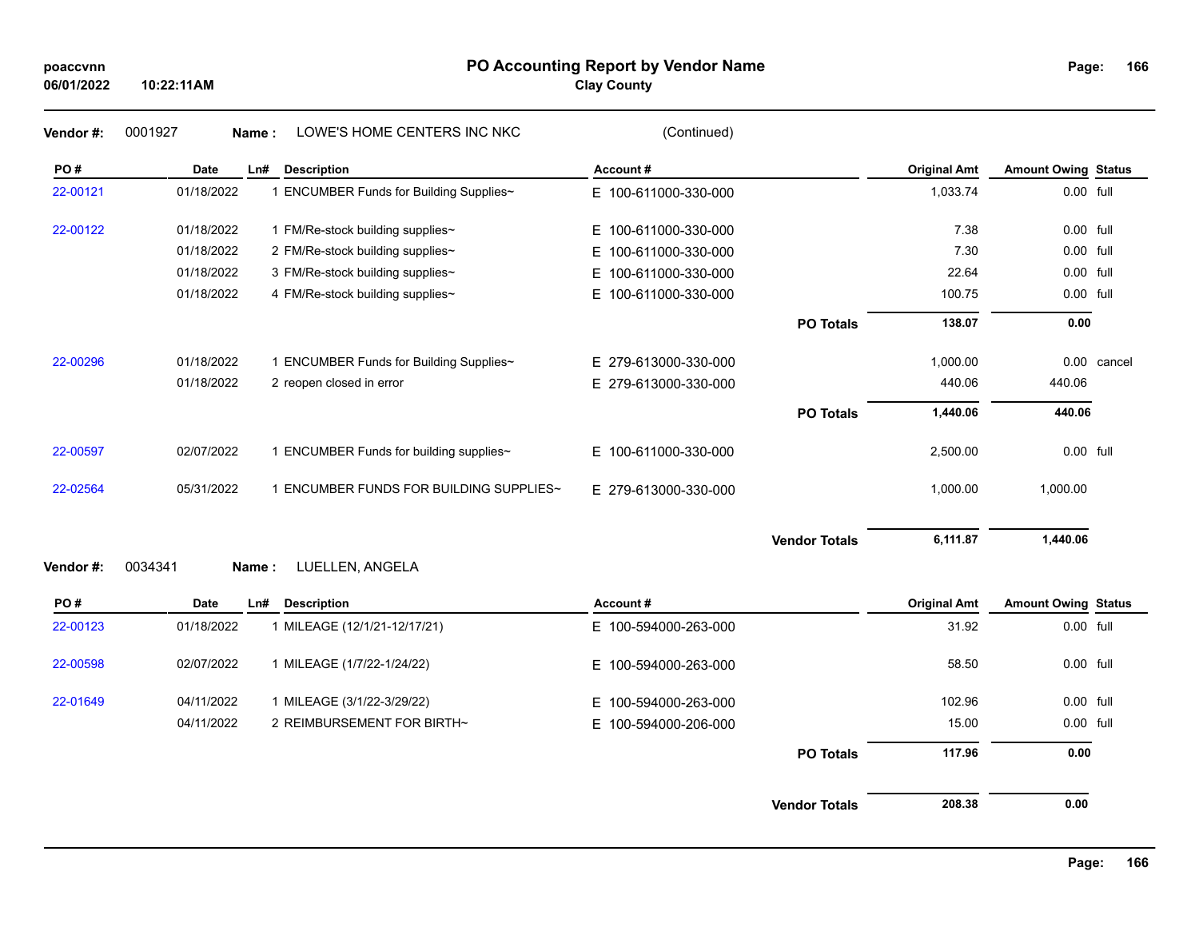| poaccvnn |
|----------|
|----------|

## **PO Accounting Report by Vendor Name poaccvnn Page:**

**Clay County**

| 166<br>Page: |
|--------------|
|--------------|

| Vendor#:  | 0001927     | LOWE'S HOME CENTERS INC NKC<br>Name:    | (Continued)              |                      |                     |                            |             |
|-----------|-------------|-----------------------------------------|--------------------------|----------------------|---------------------|----------------------------|-------------|
| PO#       | Date        | Ln#<br><b>Description</b>               | Account#                 |                      | <b>Original Amt</b> | <b>Amount Owing Status</b> |             |
| 22-00121  | 01/18/2022  | 1 ENCUMBER Funds for Building Supplies~ | E 100-611000-330-000     |                      | 1,033.74            | 0.00 full                  |             |
| 22-00122  | 01/18/2022  | 1 FM/Re-stock building supplies~        | E 100-611000-330-000     |                      | 7.38                | 0.00 full                  |             |
|           | 01/18/2022  | 2 FM/Re-stock building supplies~        | E 100-611000-330-000     |                      | 7.30                | 0.00 full                  |             |
|           | 01/18/2022  | 3 FM/Re-stock building supplies~        | E.<br>100-611000-330-000 |                      | 22.64               | 0.00 full                  |             |
|           | 01/18/2022  | 4 FM/Re-stock building supplies~        | E 100-611000-330-000     |                      | 100.75              | 0.00 full                  |             |
|           |             |                                         |                          | <b>PO Totals</b>     | 138.07              | 0.00                       |             |
| 22-00296  | 01/18/2022  | 1 ENCUMBER Funds for Building Supplies~ | E 279-613000-330-000     |                      | 1,000.00            |                            | 0.00 cancel |
|           | 01/18/2022  | 2 reopen closed in error                | E 279-613000-330-000     |                      | 440.06              | 440.06                     |             |
|           |             |                                         |                          | <b>PO Totals</b>     | 1,440.06            | 440.06                     |             |
| 22-00597  | 02/07/2022  | 1 ENCUMBER Funds for building supplies~ | E 100-611000-330-000     |                      | 2,500.00            | 0.00 full                  |             |
| 22-02564  | 05/31/2022  | 1 ENCUMBER FUNDS FOR BUILDING SUPPLIES~ | E 279-613000-330-000     |                      | 1,000.00            | 1,000.00                   |             |
|           |             |                                         |                          | <b>Vendor Totals</b> | 6,111.87            | 1,440.06                   |             |
| Vendor #: | 0034341     | LUELLEN, ANGELA<br>Name:                |                          |                      |                     |                            |             |
| PO#       | <b>Date</b> | <b>Description</b><br>Ln#               | Account#                 |                      | <b>Original Amt</b> | <b>Amount Owing Status</b> |             |
| 22-00123  | 01/18/2022  | 1 MILEAGE (12/1/21-12/17/21)            | E 100-594000-263-000     |                      | 31.92               | 0.00 full                  |             |
| 22-00598  | 02/07/2022  | 1 MILEAGE (1/7/22-1/24/22)              | E 100-594000-263-000     |                      | 58.50               | 0.00 full                  |             |
| 22-01649  | 04/11/2022  | 1 MILEAGE (3/1/22-3/29/22)              | 100-594000-263-000<br>Е. |                      | 102.96              | 0.00 full                  |             |
|           | 04/11/2022  | 2 REIMBURSEMENT FOR BIRTH~              | E 100-594000-206-000     |                      | 15.00               | 0.00 full                  |             |
|           |             |                                         |                          | <b>PO Totals</b>     | 117.96              | 0.00                       |             |
|           |             |                                         |                          |                      |                     |                            |             |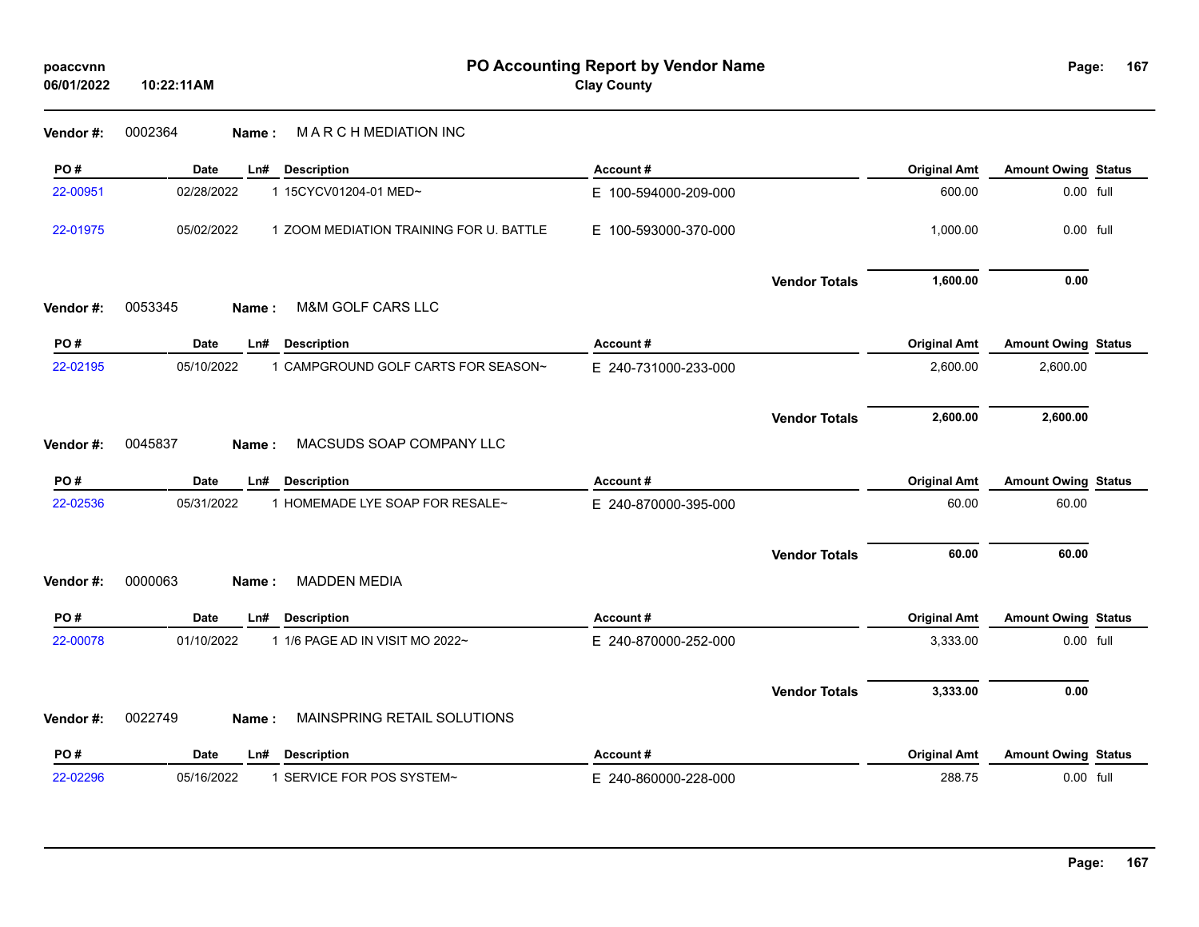| poaccvnn<br>06/01/2022 | PO Accounting Report by Vendor Name<br><b>Clay County</b><br>10:22:11AM |                      |                     |                            |  |
|------------------------|-------------------------------------------------------------------------|----------------------|---------------------|----------------------------|--|
| Vendor #:              | 0002364<br>MARCHMEDIATION INC<br>Name:                                  |                      |                     |                            |  |
| PO#                    | Date<br><b>Description</b><br>Ln#                                       | Account#             | <b>Original Amt</b> | <b>Amount Owing Status</b> |  |
| 22-00951               | 02/28/2022<br>1 15CYCV01204-01 MED~                                     | E 100-594000-209-000 | 600.00              | 0.00 full                  |  |
| 22-01975               | 05/02/2022<br>1 ZOOM MEDIATION TRAINING FOR U. BATTLE                   | E 100-593000-370-000 | 1,000.00            | 0.00 full                  |  |
|                        |                                                                         | <b>Vendor Totals</b> | 1,600.00            | 0.00                       |  |
| Vendor #:              | M&M GOLF CARS LLC<br>0053345<br>Name:                                   |                      |                     |                            |  |
| PO#                    | <b>Date</b><br>Ln#<br><b>Description</b>                                | Account#             | <b>Original Amt</b> | <b>Amount Owing Status</b> |  |
| 22-02195               | 05/10/2022<br>1 CAMPGROUND GOLF CARTS FOR SEASON~                       | E 240-731000-233-000 | 2,600.00            | 2,600.00                   |  |
|                        |                                                                         | <b>Vendor Totals</b> | 2,600.00            | 2,600.00                   |  |
| Vendor #:              | 0045837<br>MACSUDS SOAP COMPANY LLC<br>Name:                            |                      |                     |                            |  |
| PO#                    | <b>Date</b><br>Ln#<br><b>Description</b>                                | Account#             | <b>Original Amt</b> | <b>Amount Owing Status</b> |  |
| 22-02536               | 1 HOMEMADE LYE SOAP FOR RESALE~<br>05/31/2022                           | E 240-870000-395-000 | 60.00               | 60.00                      |  |
|                        |                                                                         | <b>Vendor Totals</b> | 60.00               | 60.00                      |  |
| Vendor#:               | <b>MADDEN MEDIA</b><br>0000063<br>Name :                                |                      |                     |                            |  |
| PO#                    | Date<br>Ln#<br><b>Description</b>                                       | Account#             | <b>Original Amt</b> | <b>Amount Owing Status</b> |  |
| 22-00078               | 01/10/2022<br>1 1/6 PAGE AD IN VISIT MO 2022~                           | E 240-870000-252-000 | 3,333.00            | 0.00 full                  |  |
|                        |                                                                         | <b>Vendor Totals</b> | 3,333.00            | 0.00                       |  |
| Vendor#:               | 0022749<br>MAINSPRING RETAIL SOLUTIONS<br>Name :                        |                      |                     |                            |  |
| PO#                    | Date<br>Ln#<br><b>Description</b>                                       | Account#             | <b>Original Amt</b> | <b>Amount Owing Status</b> |  |
| 22-02296               | 1 SERVICE FOR POS SYSTEM~<br>05/16/2022                                 | E 240-860000-228-000 | 288.75              | $0.00$ full                |  |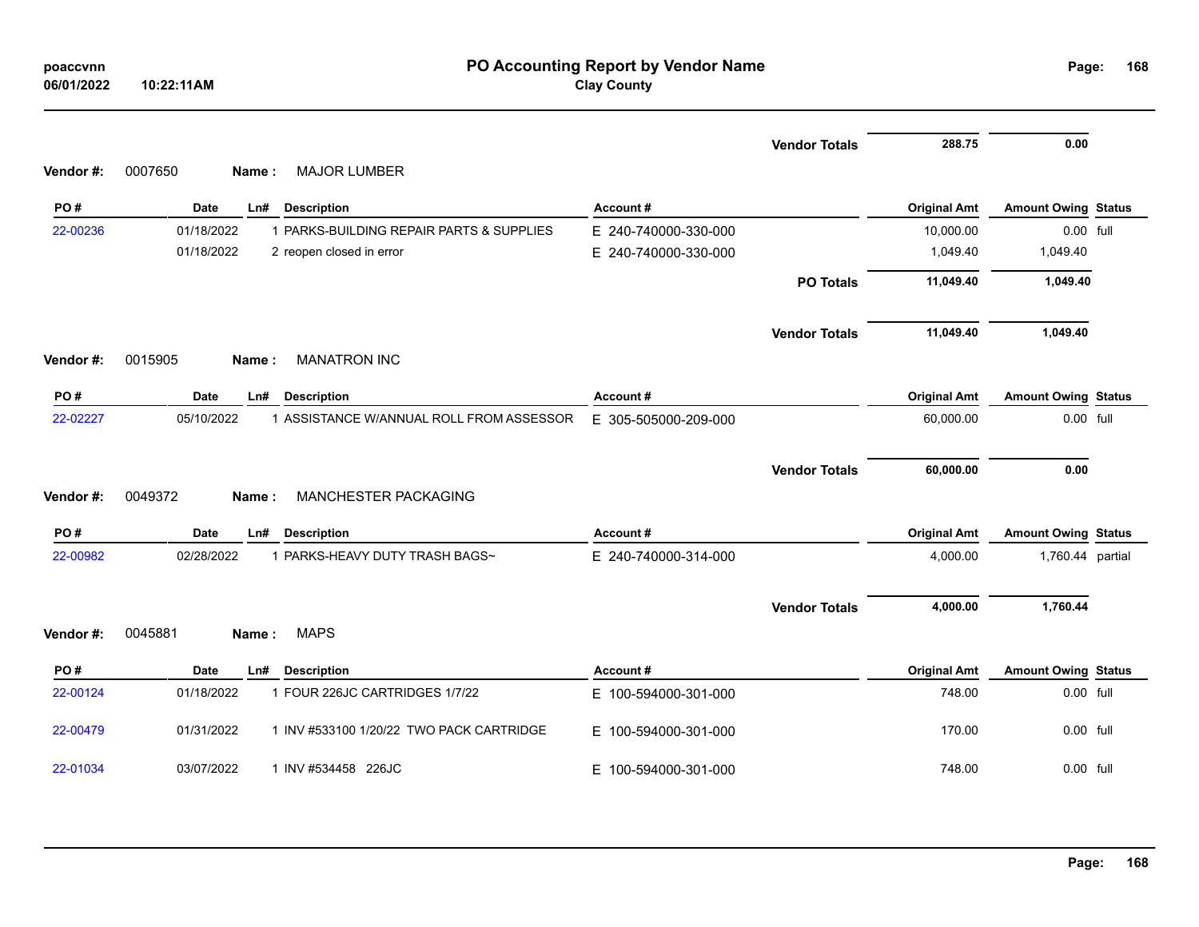| poaccvnn<br>06/01/2022 | PO Accounting Report by Vendor Name<br><b>Clay County</b><br>10:22:11AM |                      |                      |                     |                            |  |  |
|------------------------|-------------------------------------------------------------------------|----------------------|----------------------|---------------------|----------------------------|--|--|
|                        |                                                                         |                      | <b>Vendor Totals</b> | 288.75              | 0.00                       |  |  |
| Vendor #:              | <b>MAJOR LUMBER</b><br>0007650<br>Name:                                 |                      |                      |                     |                            |  |  |
| PO#                    | Date<br>Ln#<br><b>Description</b>                                       | Account#             |                      | <b>Original Amt</b> | <b>Amount Owing Status</b> |  |  |
| 22-00236               | 01/18/2022<br>1 PARKS-BUILDING REPAIR PARTS & SUPPLIES                  | E 240-740000-330-000 |                      | 10,000.00           | 0.00 full                  |  |  |
|                        | 01/18/2022<br>2 reopen closed in error                                  | E 240-740000-330-000 |                      | 1,049.40            | 1,049.40                   |  |  |
|                        |                                                                         |                      | <b>PO Totals</b>     | 11,049.40           | 1,049.40                   |  |  |
|                        |                                                                         |                      | <b>Vendor Totals</b> | 11,049.40           | 1,049.40                   |  |  |
| Vendor#:               | <b>MANATRON INC</b><br>0015905<br>Name:                                 |                      |                      |                     |                            |  |  |
| PO#                    | Date<br>Ln#<br><b>Description</b>                                       | Account#             |                      | <b>Original Amt</b> | <b>Amount Owing Status</b> |  |  |
| 22-02227               | 1 ASSISTANCE W/ANNUAL ROLL FROM ASSESSOR<br>05/10/2022                  | E 305-505000-209-000 |                      | 60,000.00           | $0.00$ full                |  |  |
|                        |                                                                         |                      |                      |                     |                            |  |  |
| Vendor#:               | 0049372<br>MANCHESTER PACKAGING<br>Name:                                |                      | <b>Vendor Totals</b> | 60,000.00           | 0.00                       |  |  |
|                        |                                                                         |                      |                      |                     |                            |  |  |
| PO#                    | Date<br><b>Description</b><br>Ln#                                       | Account#             |                      | <b>Original Amt</b> | <b>Amount Owing Status</b> |  |  |
| 22-00982               | 02/28/2022<br>1 PARKS-HEAVY DUTY TRASH BAGS~                            | E 240-740000-314-000 |                      | 4,000.00            | 1,760.44 partial           |  |  |
|                        |                                                                         |                      | <b>Vendor Totals</b> | 4,000.00            | 1,760.44                   |  |  |
| Vendor #:              | <b>MAPS</b><br>0045881<br>Name:                                         |                      |                      |                     |                            |  |  |
| PO#                    | Date<br><b>Description</b><br>Ln#                                       | Account#             |                      | <b>Original Amt</b> | <b>Amount Owing Status</b> |  |  |
| 22-00124               | 1 FOUR 226JC CARTRIDGES 1/7/22<br>01/18/2022                            | E 100-594000-301-000 |                      | 748.00              | 0.00 full                  |  |  |
| 22-00479               | 01/31/2022<br>1 INV #533100 1/20/22 TWO PACK CARTRIDGE                  | E 100-594000-301-000 |                      | 170.00              | 0.00 full                  |  |  |
| 22-01034               | 1 INV #534458 226JC<br>03/07/2022                                       | E 100-594000-301-000 |                      | 748.00              | 0.00 full                  |  |  |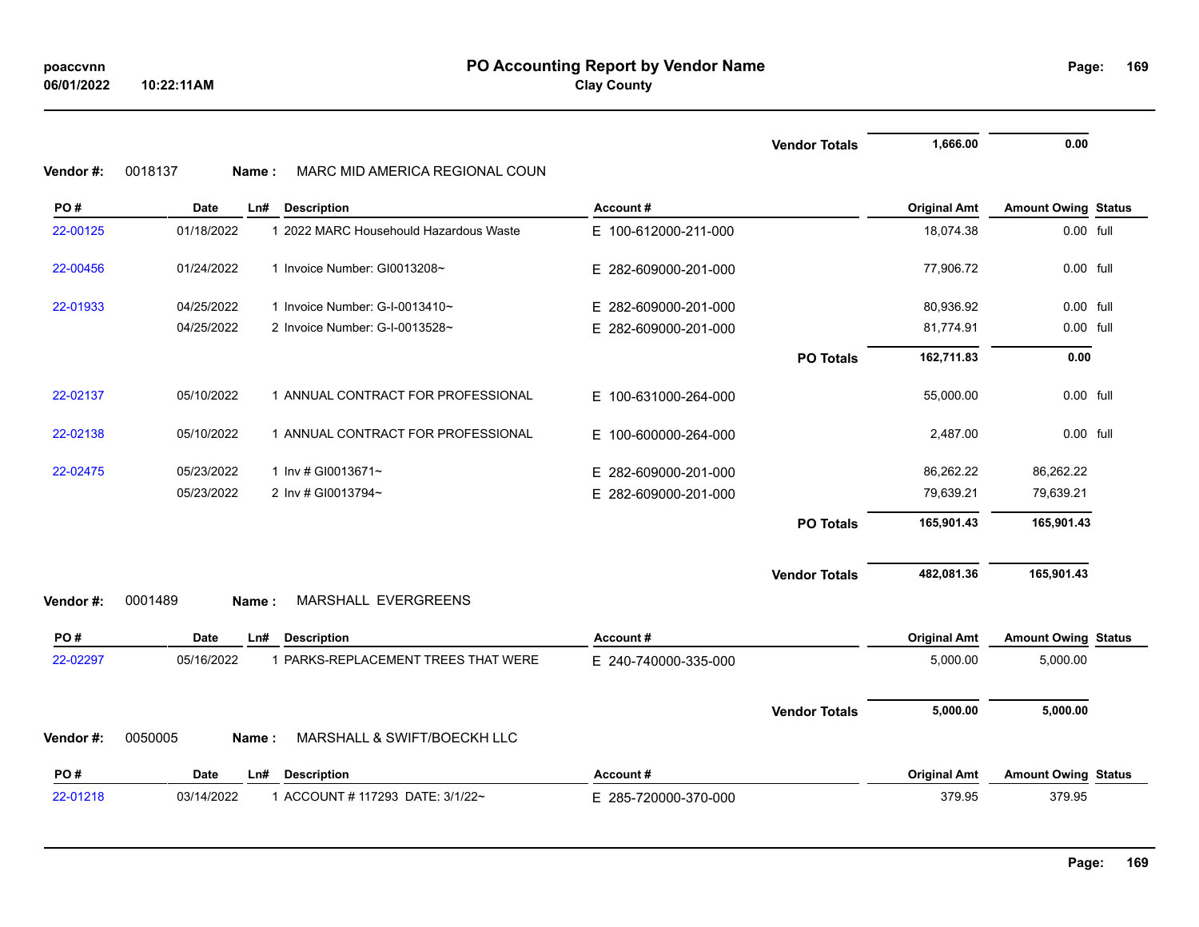|           |                  |                                        |                      | <b>Vendor Totals</b> | 1,666.00            | 0.00                       |  |
|-----------|------------------|----------------------------------------|----------------------|----------------------|---------------------|----------------------------|--|
| Vendor #: | 0018137<br>Name: | MARC MID AMERICA REGIONAL COUN         |                      |                      |                     |                            |  |
| PO#       | <b>Date</b>      | <b>Description</b><br>Ln#              | Account#             |                      | <b>Original Amt</b> | <b>Amount Owing Status</b> |  |
| 22-00125  | 01/18/2022       | 1 2022 MARC Househould Hazardous Waste | E 100-612000-211-000 |                      | 18,074.38           | 0.00 full                  |  |
| 22-00456  | 01/24/2022       | 1 Invoice Number: GI0013208~           | E 282-609000-201-000 |                      | 77,906.72           | 0.00 full                  |  |
| 22-01933  | 04/25/2022       | 1 Invoice Number: G-I-0013410~         | E 282-609000-201-000 |                      | 80,936.92           | 0.00 full                  |  |
|           | 04/25/2022       | 2 Invoice Number: G-I-0013528~         | E 282-609000-201-000 |                      | 81,774.91           | 0.00 full                  |  |
|           |                  |                                        |                      | <b>PO Totals</b>     | 162,711.83          | 0.00                       |  |
| 22-02137  | 05/10/2022       | 1 ANNUAL CONTRACT FOR PROFESSIONAL     | E 100-631000-264-000 |                      | 55,000.00           | $0.00$ full                |  |
| 22-02138  | 05/10/2022       | 1 ANNUAL CONTRACT FOR PROFESSIONAL     | E 100-600000-264-000 |                      | 2,487.00            | 0.00 full                  |  |
| 22-02475  | 05/23/2022       | 1 Inv # GI0013671~                     | E 282-609000-201-000 |                      | 86,262.22           | 86,262.22                  |  |
|           | 05/23/2022       | 2 Inv # GI0013794~                     | E 282-609000-201-000 |                      | 79,639.21           | 79,639.21                  |  |
|           |                  |                                        |                      | <b>PO Totals</b>     | 165,901.43          | 165,901.43                 |  |
|           |                  |                                        |                      | <b>Vendor Totals</b> | 482,081.36          | 165,901.43                 |  |
| Vendor #: | 0001489<br>Name: | MARSHALL EVERGREENS                    |                      |                      |                     |                            |  |
| PO#       | Date             | <b>Description</b><br>Ln#              | Account#             |                      | <b>Original Amt</b> | <b>Amount Owing Status</b> |  |
| 22-02297  | 05/16/2022       | 1 PARKS-REPLACEMENT TREES THAT WERE    | E 240-740000-335-000 |                      | 5,000.00            | 5,000.00                   |  |
|           |                  |                                        |                      | <b>Vendor Totals</b> | 5,000.00            | 5,000.00                   |  |
| Vendor #: | 0050005<br>Name: | MARSHALL & SWIFT/BOECKH LLC            |                      |                      |                     |                            |  |
| PO#       | Date             | <b>Description</b><br>Ln#              | Account#             |                      | <b>Original Amt</b> | <b>Amount Owing Status</b> |  |
| 22-01218  | 03/14/2022       | 1 ACCOUNT # 117293 DATE: 3/1/22~       | E 285-720000-370-000 |                      | 379.95              | 379.95                     |  |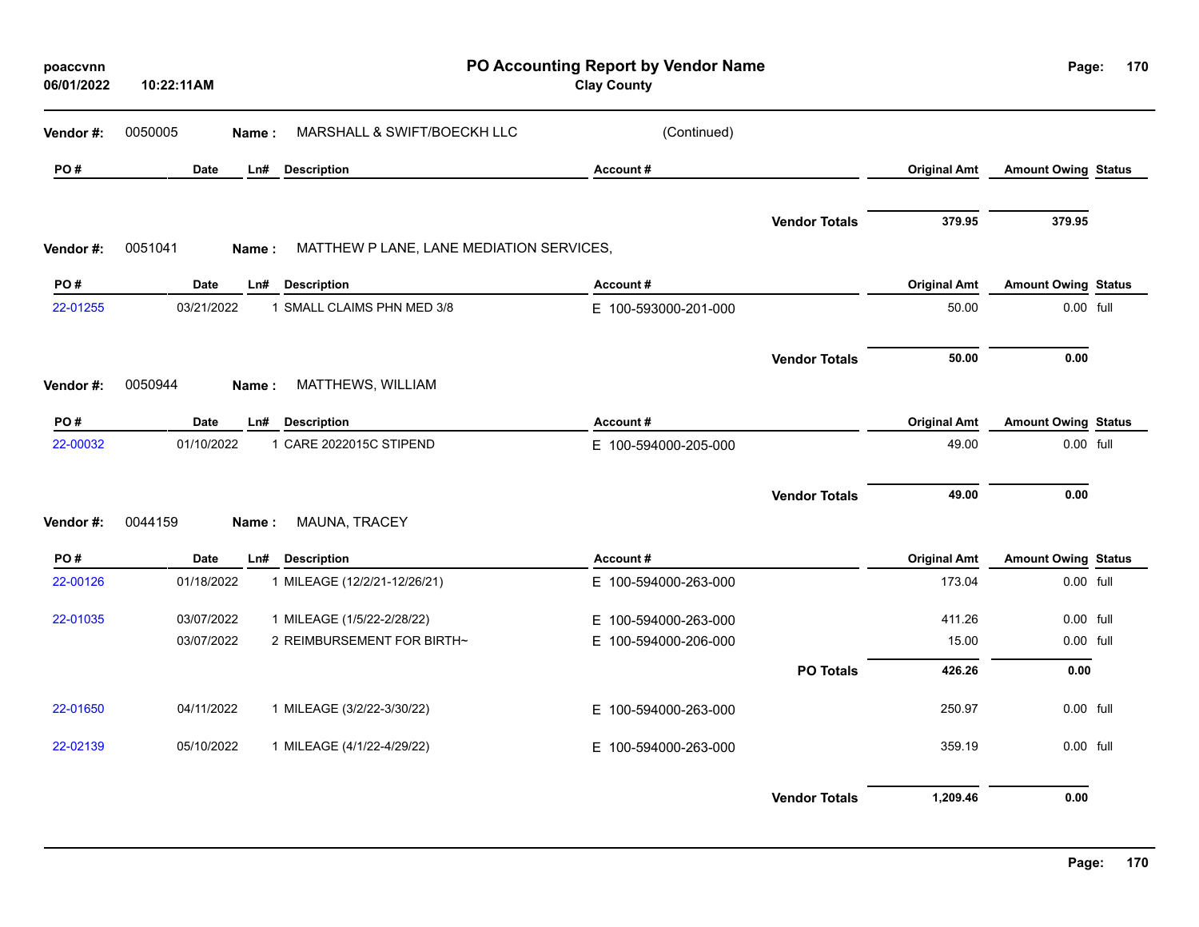| poaccvnn<br>06/01/2022 | 10:22:11AM                |                                                           | PO Accounting Report by Vendor Name<br><b>Clay County</b> |                      |                               | Page:                                   | 170 |
|------------------------|---------------------------|-----------------------------------------------------------|-----------------------------------------------------------|----------------------|-------------------------------|-----------------------------------------|-----|
| Vendor #:              | 0050005<br>Name:          | MARSHALL & SWIFT/BOECKH LLC                               | (Continued)                                               |                      |                               |                                         |     |
| PO#                    | Date                      | <b>Description</b><br>Ln#                                 | Account#                                                  |                      | <b>Original Amt</b>           | <b>Amount Owing Status</b>              |     |
|                        |                           |                                                           |                                                           | <b>Vendor Totals</b> | 379.95                        | 379.95                                  |     |
| Vendor #:              | 0051041<br>Name:          | MATTHEW P LANE, LANE MEDIATION SERVICES,                  |                                                           |                      |                               |                                         |     |
| PO#                    | <b>Date</b>               | <b>Description</b><br>Ln#                                 | Account#                                                  |                      | <b>Original Amt</b>           | <b>Amount Owing Status</b>              |     |
| 22-01255               | 03/21/2022                | 1 SMALL CLAIMS PHN MED 3/8                                | E 100-593000-201-000                                      |                      | 50.00                         | 0.00 full                               |     |
|                        |                           |                                                           |                                                           | <b>Vendor Totals</b> | 50.00                         | 0.00                                    |     |
| Vendor#:               | 0050944<br>Name:          | MATTHEWS, WILLIAM                                         |                                                           |                      |                               |                                         |     |
| PO#                    | Date                      | <b>Description</b><br>Ln#                                 | Account#                                                  |                      | <b>Original Amt</b>           | <b>Amount Owing Status</b>              |     |
| 22-00032               | 01/10/2022                | 1 CARE 2022015C STIPEND                                   | E 100-594000-205-000                                      |                      | 49.00                         | 0.00 full                               |     |
|                        | 0044159                   | MAUNA, TRACEY                                             |                                                           | <b>Vendor Totals</b> | 49.00                         | 0.00                                    |     |
| Vendor#:               | Name:                     |                                                           |                                                           |                      |                               |                                         |     |
| PO#<br>22-00126        | <b>Date</b><br>01/18/2022 | Ln#<br><b>Description</b><br>1 MILEAGE (12/2/21-12/26/21) | Account#<br>E 100-594000-263-000                          |                      | <b>Original Amt</b><br>173.04 | <b>Amount Owing Status</b><br>0.00 full |     |
| 22-01035               | 03/07/2022                | 1 MILEAGE (1/5/22-2/28/22)                                | E 100-594000-263-000                                      |                      | 411.26                        | $0.00$ full                             |     |
|                        | 03/07/2022                | 2 REIMBURSEMENT FOR BIRTH~                                | E 100-594000-206-000                                      |                      | 15.00                         | 0.00 full                               |     |
|                        |                           |                                                           |                                                           | <b>PO Totals</b>     | 426.26                        | 0.00                                    |     |
| 22-01650               | 04/11/2022                | 1 MILEAGE (3/2/22-3/30/22)                                | E 100-594000-263-000                                      |                      | 250.97                        | 0.00 full                               |     |
| 22-02139               | 05/10/2022                | 1 MILEAGE (4/1/22-4/29/22)                                | E 100-594000-263-000                                      |                      | 359.19                        | 0.00 full                               |     |
|                        |                           |                                                           |                                                           | <b>Vendor Totals</b> | 1,209.46                      | 0.00                                    |     |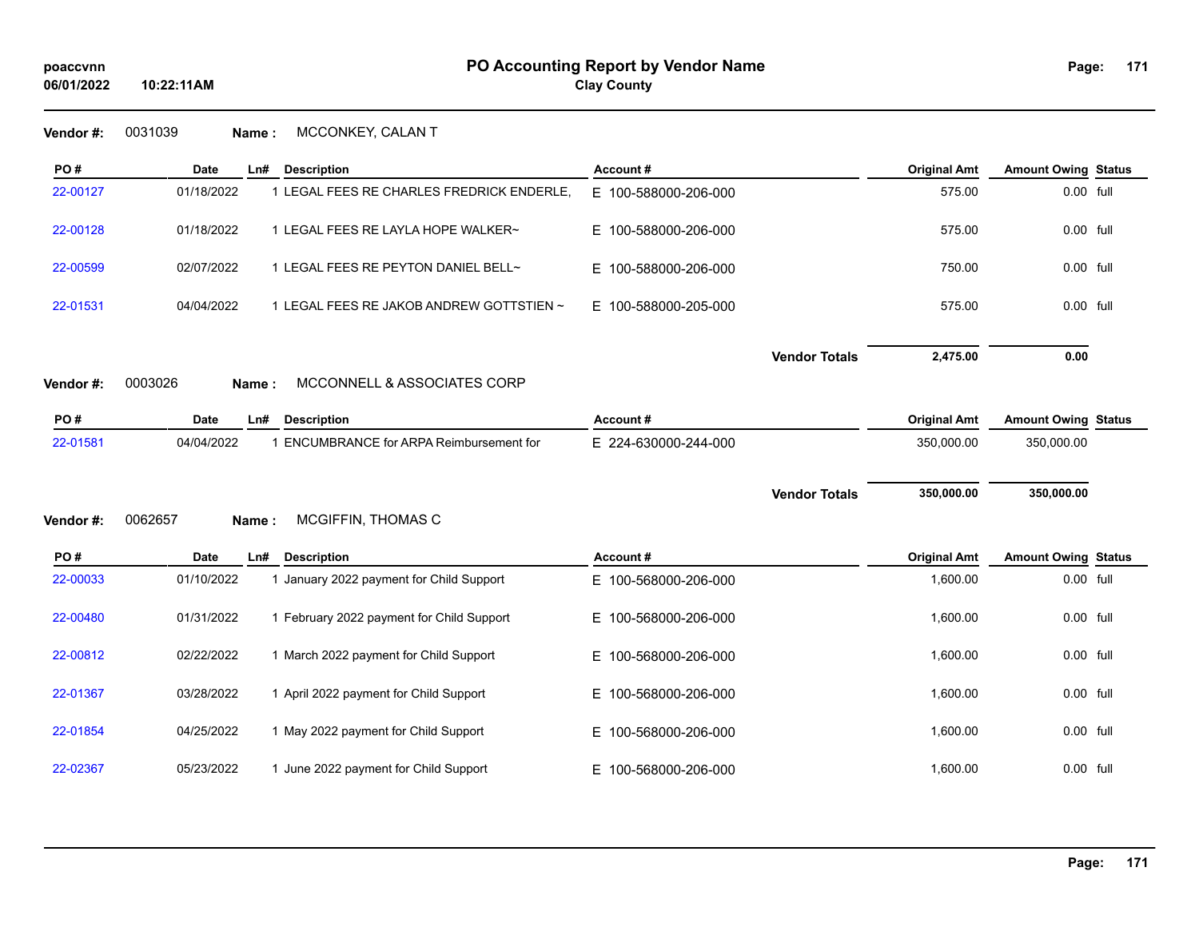**PO #** Date Ln# Description **Account # Account # Description Account # Description Amount Owing** Status

**Vendor #:** 0031039 **Name :** MCCONKEY, CALAN T

**10:22:11AM**

| 22-00127 | 01/18/2022       | 1 LEGAL FEES RE CHARLES FREDRICK ENDERLE, | E 100-588000-206-000 |                      | 575.00              | 0.00 full                  |  |
|----------|------------------|-------------------------------------------|----------------------|----------------------|---------------------|----------------------------|--|
| 22-00128 | 01/18/2022       | 1 LEGAL FEES RE LAYLA HOPE WALKER~        | E 100-588000-206-000 |                      | 575.00              | 0.00 full                  |  |
| 22-00599 | 02/07/2022       | 1 LEGAL FEES RE PEYTON DANIEL BELL~       | E 100-588000-206-000 |                      | 750.00              | 0.00 full                  |  |
| 22-01531 | 04/04/2022       | 1 LEGAL FEES RE JAKOB ANDREW GOTTSTIEN ~  | E 100-588000-205-000 |                      | 575.00              | 0.00 full                  |  |
|          |                  |                                           |                      | <b>Vendor Totals</b> | 2,475.00            | 0.00                       |  |
| Vendor#: | 0003026<br>Name: | MCCONNELL & ASSOCIATES CORP               |                      |                      |                     |                            |  |
| PO#      | <b>Date</b>      | Ln#<br><b>Description</b>                 | Account#             |                      | <b>Original Amt</b> | <b>Amount Owing Status</b> |  |
| 22-01581 | 04/04/2022       | 1 ENCUMBRANCE for ARPA Reimbursement for  | E 224-630000-244-000 |                      | 350,000.00          | 350,000.00                 |  |
|          |                  |                                           |                      |                      |                     |                            |  |
| Vendor#: |                  |                                           |                      | <b>Vendor Totals</b> | 350,000.00          | 350,000.00                 |  |
|          | 0062657<br>Name: | MCGIFFIN, THOMAS C                        |                      |                      |                     |                            |  |
| PO#      | <b>Date</b>      | Ln#<br><b>Description</b>                 | Account #            |                      | <b>Original Amt</b> | <b>Amount Owing Status</b> |  |
| 22-00033 | 01/10/2022       | 1 January 2022 payment for Child Support  | E 100-568000-206-000 |                      | 1,600.00            | 0.00 full                  |  |
| 22-00480 | 01/31/2022       | 1 February 2022 payment for Child Support | E 100-568000-206-000 |                      | 1,600.00            | 0.00 full                  |  |
| 22-00812 | 02/22/2022       | 1 March 2022 payment for Child Support    | E 100-568000-206-000 |                      | 1,600.00            | 0.00 full                  |  |
| 22-01367 | 03/28/2022       | 1 April 2022 payment for Child Support    | E 100-568000-206-000 |                      | 1,600.00            | 0.00 full                  |  |
| 22-01854 | 04/25/2022       | 1 May 2022 payment for Child Support      | E 100-568000-206-000 |                      | 1,600.00            | 0.00 full                  |  |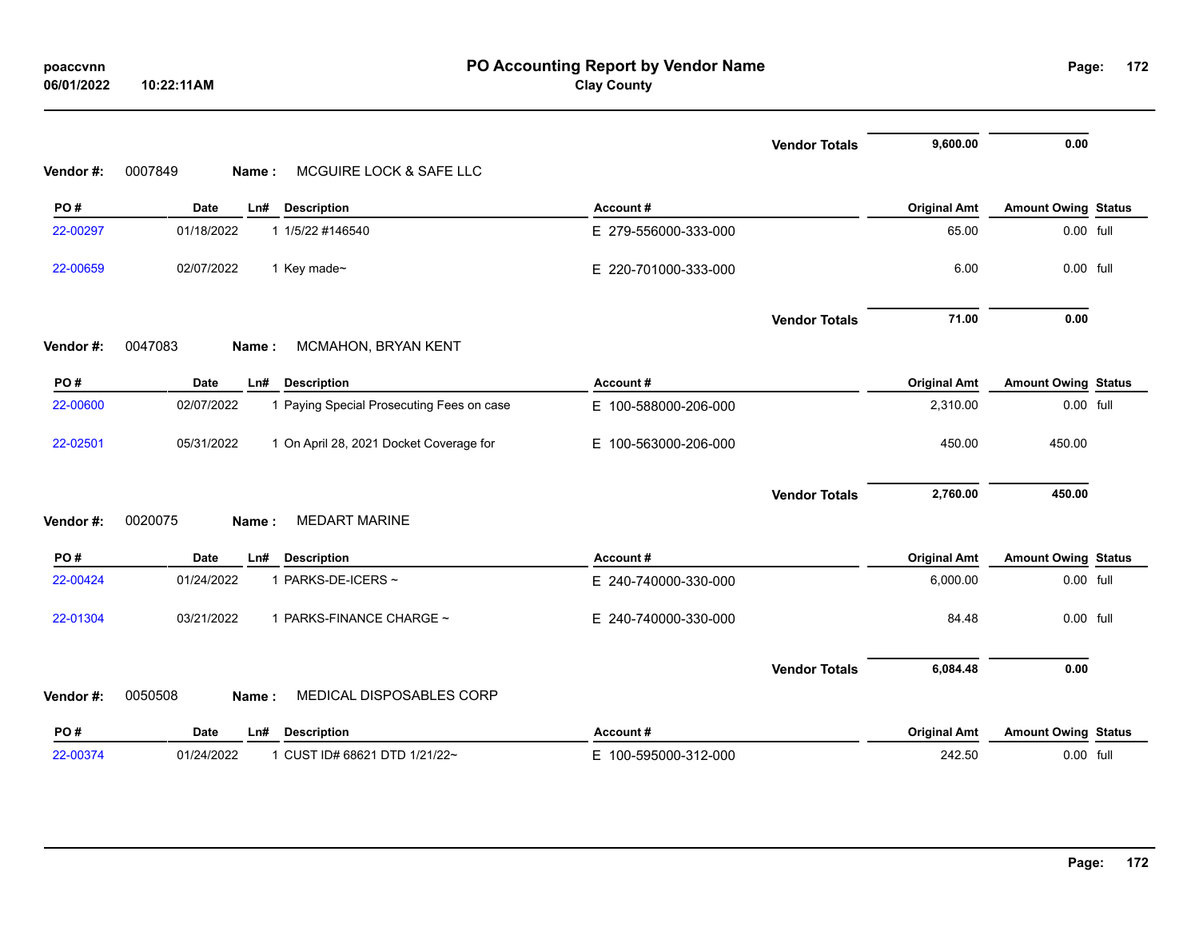| poaccvnn   |            |
|------------|------------|
| 06/01/2022 | 10:22:11AM |

|          |                                                         |                      | <b>Vendor Totals</b> | 9,600.00            | 0.00                       |  |
|----------|---------------------------------------------------------|----------------------|----------------------|---------------------|----------------------------|--|
| Vendor#: | MCGUIRE LOCK & SAFE LLC<br>0007849<br>Name:             |                      |                      |                     |                            |  |
| PO#      | <b>Date</b><br><b>Description</b><br>Ln#                | Account#             |                      | <b>Original Amt</b> | <b>Amount Owing Status</b> |  |
| 22-00297 | 01/18/2022<br>1 1/5/22 #146540                          | E 279-556000-333-000 |                      | 65.00               | 0.00 full                  |  |
| 22-00659 | 02/07/2022<br>1 Key made~                               | E 220-701000-333-000 |                      | 6.00                | 0.00 full                  |  |
|          |                                                         |                      | <b>Vendor Totals</b> | 71.00               | 0.00                       |  |
| Vendor#: | 0047083<br>MCMAHON, BRYAN KENT<br>Name:                 |                      |                      |                     |                            |  |
| PO#      | <b>Date</b><br><b>Description</b><br>Ln#                | Account#             |                      | <b>Original Amt</b> | <b>Amount Owing Status</b> |  |
| 22-00600 | 1 Paying Special Prosecuting Fees on case<br>02/07/2022 | E 100-588000-206-000 |                      | 2,310.00            | 0.00 full                  |  |
| 22-02501 | 05/31/2022<br>1 On April 28, 2021 Docket Coverage for   | E 100-563000-206-000 |                      | 450.00              | 450.00                     |  |
|          |                                                         |                      | <b>Vendor Totals</b> | 2,760.00            | 450.00                     |  |
| Vendor#: | 0020075<br><b>MEDART MARINE</b><br>Name:                |                      |                      |                     |                            |  |
| PO#      | <b>Date</b><br>Ln#<br><b>Description</b>                | Account#             |                      | <b>Original Amt</b> | <b>Amount Owing Status</b> |  |
| 22-00424 | 01/24/2022<br>1 PARKS-DE-ICERS ~                        | E 240-740000-330-000 |                      | 6,000.00            | 0.00 full                  |  |
| 22-01304 | 03/21/2022<br>1 PARKS-FINANCE CHARGE ~                  | E 240-740000-330-000 |                      | 84.48               | 0.00 full                  |  |
|          |                                                         |                      | <b>Vendor Totals</b> | 6,084.48            | 0.00                       |  |
| Vendor#: | 0050508<br>MEDICAL DISPOSABLES CORP<br>Name:            |                      |                      |                     |                            |  |
| PO#      | <b>Date</b><br><b>Description</b><br>Ln#                | Account#             |                      | <b>Original Amt</b> | <b>Amount Owing Status</b> |  |
| 22-00374 | 01/24/2022<br>1 CUST ID# 68621 DTD 1/21/22~             | E 100-595000-312-000 |                      | 242.50              | 0.00 full                  |  |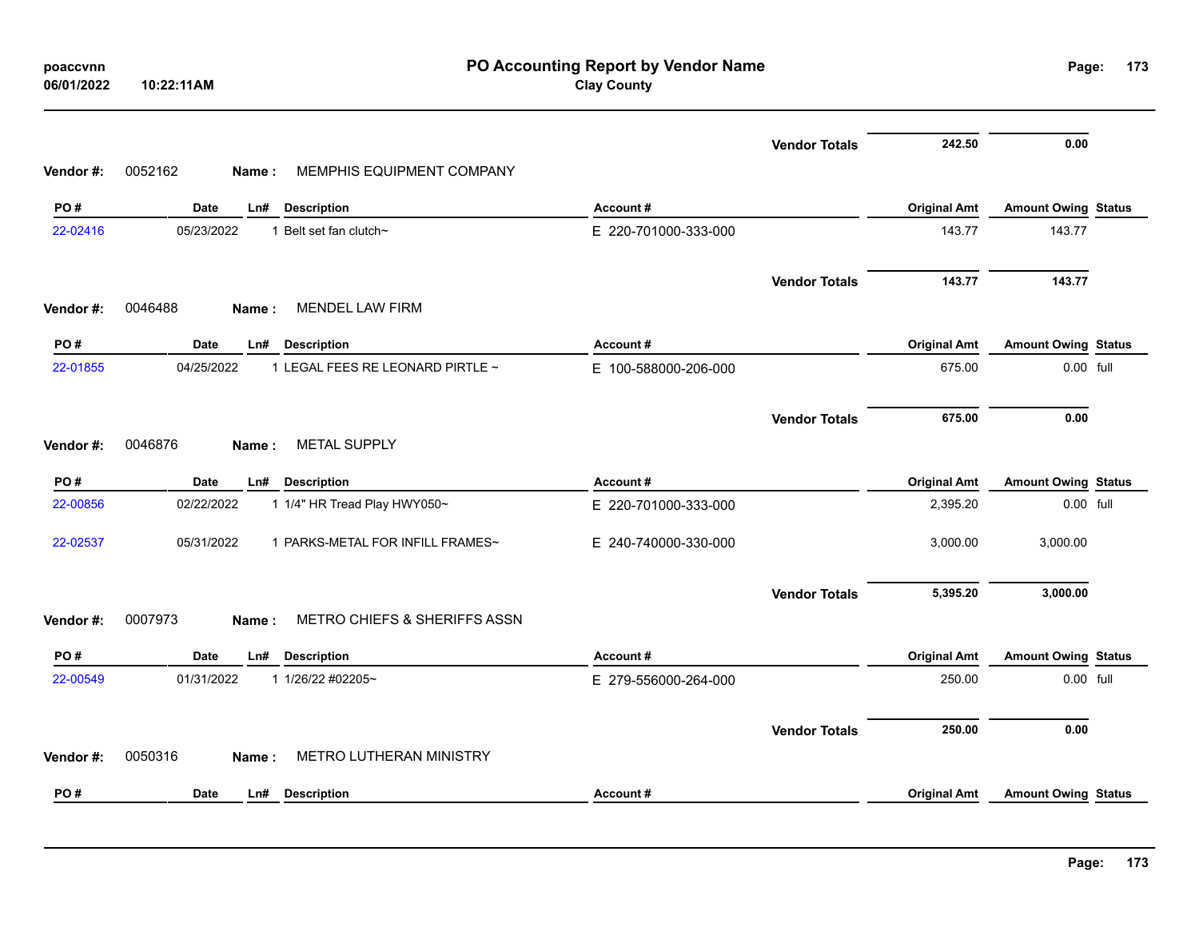| .<br>06/01/2022 | 10:22:11AM |                         |
|-----------------|------------|-------------------------|
|                 |            |                         |
| Vendor #:       | 0052162    | Name: MEMPHIS EQUIPMENT |

# **Clay County**

|                 | 0052162<br>MEMPHIS EQUIPMENT COMPANY             |                      | <b>Vendor Totals</b> | 242.50              | 0.00                       |  |
|-----------------|--------------------------------------------------|----------------------|----------------------|---------------------|----------------------------|--|
| Vendor#:<br>PO# | Name:<br>Date<br><b>Description</b><br>Ln#       | Account#             |                      | <b>Original Amt</b> | <b>Amount Owing Status</b> |  |
| 22-02416        | 05/23/2022<br>1 Belt set fan clutch~             | E 220-701000-333-000 |                      | 143.77              | 143.77                     |  |
| Vendor#:        | 0046488<br><b>MENDEL LAW FIRM</b><br>Name:       |                      | <b>Vendor Totals</b> | 143.77              | 143.77                     |  |
| PO#             | <b>Description</b><br>Date<br>Ln#                | Account#             |                      | <b>Original Amt</b> | <b>Amount Owing Status</b> |  |
| 22-01855        | 04/25/2022<br>1 LEGAL FEES RE LEONARD PIRTLE ~   | E 100-588000-206-000 |                      | 675.00              | 0.00 full                  |  |
|                 |                                                  |                      | <b>Vendor Totals</b> | 675.00              | 0.00                       |  |
| Vendor #:       | 0046876<br><b>METAL SUPPLY</b><br>Name:          |                      |                      |                     |                            |  |
| PO#             | Date<br>Ln#<br><b>Description</b>                | Account#             |                      | <b>Original Amt</b> | <b>Amount Owing Status</b> |  |
| 22-00856        | 1 1/4" HR Tread Play HWY050~<br>02/22/2022       | E 220-701000-333-000 |                      | 2,395.20            | 0.00 full                  |  |
| 22-02537        | 05/31/2022<br>1 PARKS-METAL FOR INFILL FRAMES~   | E 240-740000-330-000 |                      | 3,000.00            | 3,000.00                   |  |
|                 |                                                  |                      | <b>Vendor Totals</b> | 5,395.20            | 3,000.00                   |  |
| Vendor #:       | 0007973<br>METRO CHIEFS & SHERIFFS ASSN<br>Name: |                      |                      |                     |                            |  |
| PO#             | Date<br>Ln#<br><b>Description</b>                | Account#             |                      | <b>Original Amt</b> | <b>Amount Owing Status</b> |  |
| 22-00549        | 01/31/2022<br>1 1/26/22 #02205~                  | E 279-556000-264-000 |                      | 250.00              | 0.00 full                  |  |
| Vendor #:       | METRO LUTHERAN MINISTRY<br>0050316<br>Name:      |                      | <b>Vendor Totals</b> | 250.00              | 0.00                       |  |
| PO#             | Date<br>Ln#<br><b>Description</b>                | Account#             |                      | <b>Original Amt</b> | <b>Amount Owing Status</b> |  |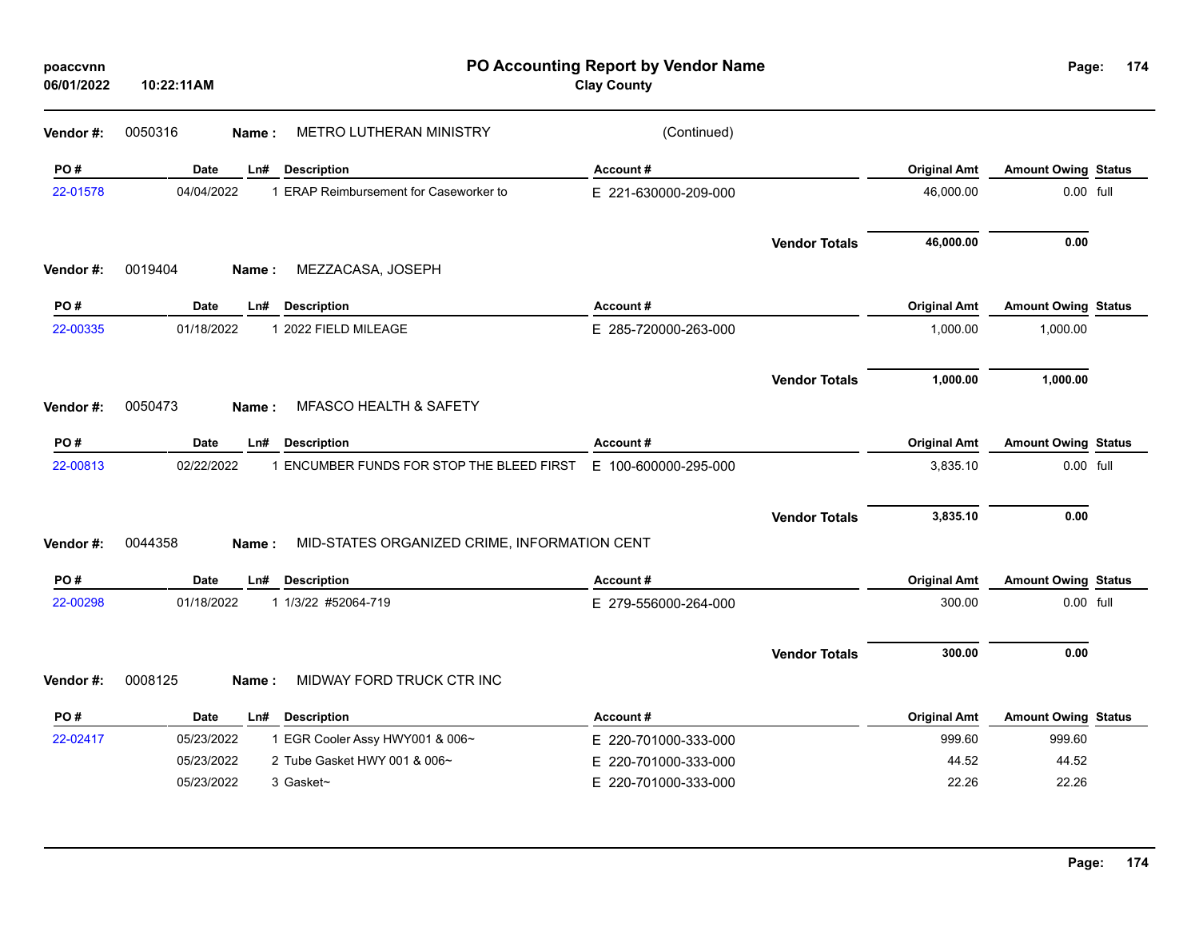| poaccvnn<br>06/01/2022 | 10:22:11AM |                                                       | PO Accounting Report by Vendor Name<br><b>Clay County</b> |                      |                     | Page:                      | 174 |
|------------------------|------------|-------------------------------------------------------|-----------------------------------------------------------|----------------------|---------------------|----------------------------|-----|
| Vendor#:               | 0050316    | METRO LUTHERAN MINISTRY<br>Name:                      | (Continued)                                               |                      |                     |                            |     |
| PO#                    | Date       | <b>Description</b><br>Ln#                             | Account#                                                  |                      | <b>Original Amt</b> | <b>Amount Owing Status</b> |     |
| 22-01578               | 04/04/2022 | 1 ERAP Reimbursement for Caseworker to                | E 221-630000-209-000                                      |                      | 46,000.00           | 0.00 full                  |     |
|                        |            |                                                       |                                                           | <b>Vendor Totals</b> | 46,000.00           | 0.00                       |     |
| Vendor#:               | 0019404    | MEZZACASA, JOSEPH<br>Name:                            |                                                           |                      |                     |                            |     |
| PO#                    | Date       | <b>Description</b><br>Ln#                             | Account#                                                  |                      | <b>Original Amt</b> | <b>Amount Owing Status</b> |     |
| 22-00335               | 01/18/2022 | 1 2022 FIELD MILEAGE                                  | E 285-720000-263-000                                      |                      | 1,000.00            | 1,000.00                   |     |
|                        |            |                                                       |                                                           | <b>Vendor Totals</b> | 1,000.00            | 1,000.00                   |     |
| Vendor#:               | 0050473    | <b>MFASCO HEALTH &amp; SAFETY</b><br>Name:            |                                                           |                      |                     |                            |     |
| PO#                    | Date       | Ln#<br><b>Description</b>                             | Account#                                                  |                      | <b>Original Amt</b> | <b>Amount Owing Status</b> |     |
| 22-00813               | 02/22/2022 | 1 ENCUMBER FUNDS FOR STOP THE BLEED FIRST             | E 100-600000-295-000                                      |                      | 3,835.10            | 0.00 full                  |     |
|                        |            |                                                       |                                                           | <b>Vendor Totals</b> | 3,835.10            | 0.00                       |     |
| Vendor#:               | 0044358    | MID-STATES ORGANIZED CRIME, INFORMATION CENT<br>Name: |                                                           |                      |                     |                            |     |
| PO#                    | Date       | Ln#<br><b>Description</b>                             | Account#                                                  |                      | <b>Original Amt</b> | <b>Amount Owing Status</b> |     |
| 22-00298               | 01/18/2022 | 1 1/3/22 #52064-719                                   | E 279-556000-264-000                                      |                      | 300.00              | 0.00 full                  |     |
|                        |            |                                                       |                                                           | <b>Vendor Totals</b> | 300.00              | 0.00                       |     |
| Vendor #:              | 0008125    | MIDWAY FORD TRUCK CTR INC<br>Name:                    |                                                           |                      |                     |                            |     |
| PO#                    | Date       | <b>Description</b><br>Ln#                             | Account#                                                  |                      | <b>Original Amt</b> | <b>Amount Owing Status</b> |     |
| 22-02417               | 05/23/2022 | 1 EGR Cooler Assy HWY001 & 006~                       | E 220-701000-333-000                                      |                      | 999.60              | 999.60                     |     |
|                        | 05/23/2022 | 2 Tube Gasket HWY 001 & 006~                          | 220-701000-333-000<br>Е                                   |                      | 44.52               | 44.52                      |     |
|                        | 05/23/2022 | 3 Gasket~                                             | E 220-701000-333-000                                      |                      | 22.26               | 22.26                      |     |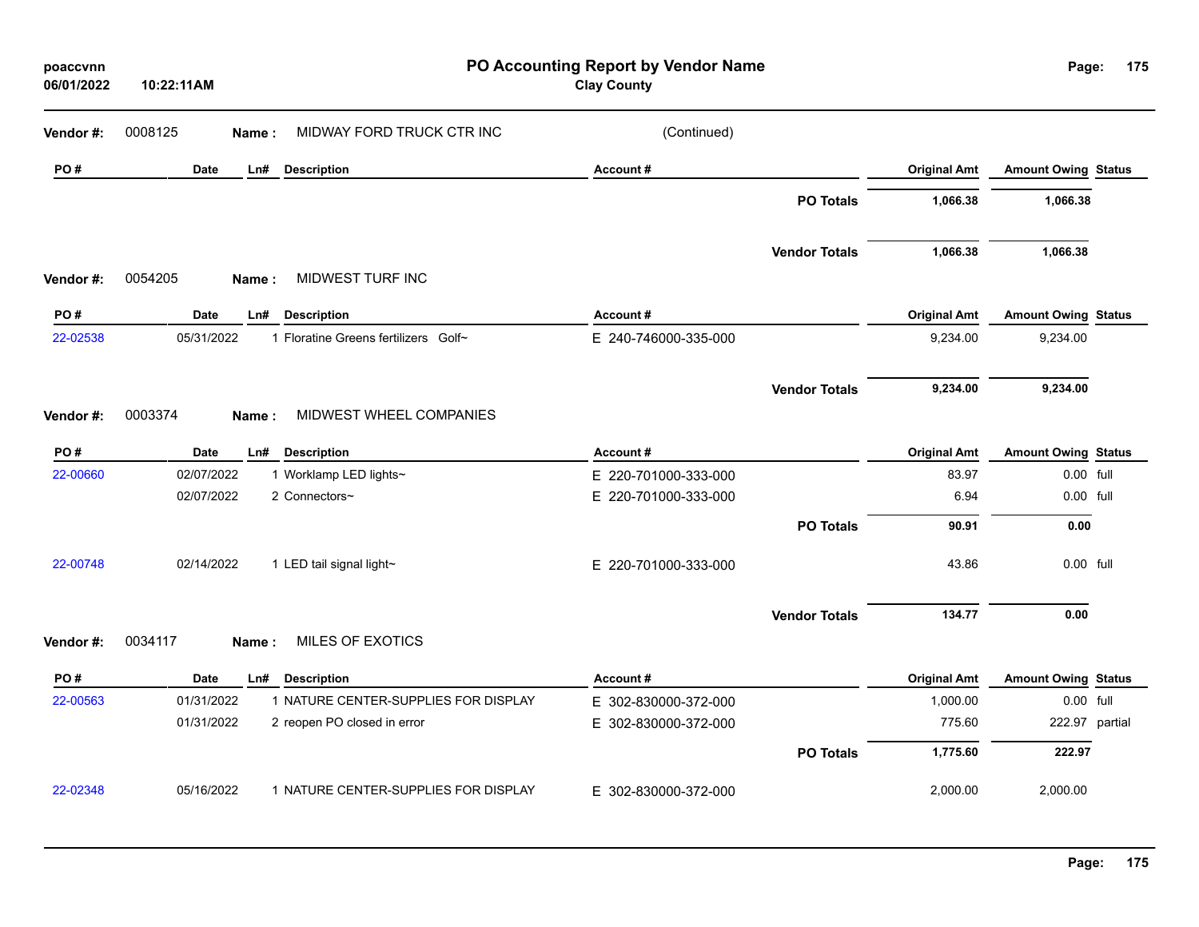| poaccvnn<br>06/01/2022 | 10:22:11AM  |                                      | PO Accounting Report by Vendor Name<br><b>Clay County</b> |                      |                     | Page:                      | 175            |
|------------------------|-------------|--------------------------------------|-----------------------------------------------------------|----------------------|---------------------|----------------------------|----------------|
| Vendor #:              | 0008125     | MIDWAY FORD TRUCK CTR INC<br>Name:   | (Continued)                                               |                      |                     |                            |                |
| PO#                    | <b>Date</b> | Ln#<br><b>Description</b>            | Account#                                                  |                      | <b>Original Amt</b> | <b>Amount Owing Status</b> |                |
|                        |             |                                      |                                                           | <b>PO Totals</b>     | 1,066.38            | 1,066.38                   |                |
|                        |             |                                      |                                                           | <b>Vendor Totals</b> | 1,066.38            | 1,066.38                   |                |
| Vendor#:               | 0054205     | MIDWEST TURF INC<br>Name:            |                                                           |                      |                     |                            |                |
| PO#                    | <b>Date</b> | <b>Description</b><br>Ln#            | Account#                                                  |                      | <b>Original Amt</b> | <b>Amount Owing Status</b> |                |
| 22-02538               | 05/31/2022  | 1 Floratine Greens fertilizers Golf~ | E 240-746000-335-000                                      |                      | 9,234.00            | 9,234.00                   |                |
|                        |             |                                      |                                                           | <b>Vendor Totals</b> | 9,234.00            | 9,234.00                   |                |
| Vendor#:               | 0003374     | MIDWEST WHEEL COMPANIES<br>Name:     |                                                           |                      |                     |                            |                |
| PO#                    | Date        | <b>Description</b><br>Ln#            | Account#                                                  |                      | <b>Original Amt</b> | <b>Amount Owing Status</b> |                |
| 22-00660               | 02/07/2022  | 1 Worklamp LED lights~               | E 220-701000-333-000                                      |                      | 83.97               | 0.00 full                  |                |
|                        | 02/07/2022  | 2 Connectors~                        | E 220-701000-333-000                                      |                      | 6.94                | 0.00 full                  |                |
|                        |             |                                      |                                                           | <b>PO Totals</b>     | 90.91               | 0.00                       |                |
| 22-00748               | 02/14/2022  | 1 LED tail signal light~             | E 220-701000-333-000                                      |                      | 43.86               | 0.00 full                  |                |
|                        |             |                                      |                                                           | <b>Vendor Totals</b> | 134.77              | 0.00                       |                |
| Vendor#:               | 0034117     | <b>MILES OF EXOTICS</b><br>Name:     |                                                           |                      |                     |                            |                |
| PO#                    | <b>Date</b> | Ln#<br><b>Description</b>            | Account#                                                  |                      | <b>Original Amt</b> | <b>Amount Owing Status</b> |                |
| 22-00563               | 01/31/2022  | 1 NATURE CENTER-SUPPLIES FOR DISPLAY | E 302-830000-372-000                                      |                      | 1,000.00            | 0.00 full                  |                |
|                        | 01/31/2022  | 2 reopen PO closed in error          | E 302-830000-372-000                                      |                      | 775.60              |                            | 222.97 partial |
|                        |             |                                      |                                                           | <b>PO Totals</b>     | 1,775.60            | 222.97                     |                |
| 22-02348               | 05/16/2022  | 1 NATURE CENTER-SUPPLIES FOR DISPLAY | E 302-830000-372-000                                      |                      | 2,000.00            | 2,000.00                   |                |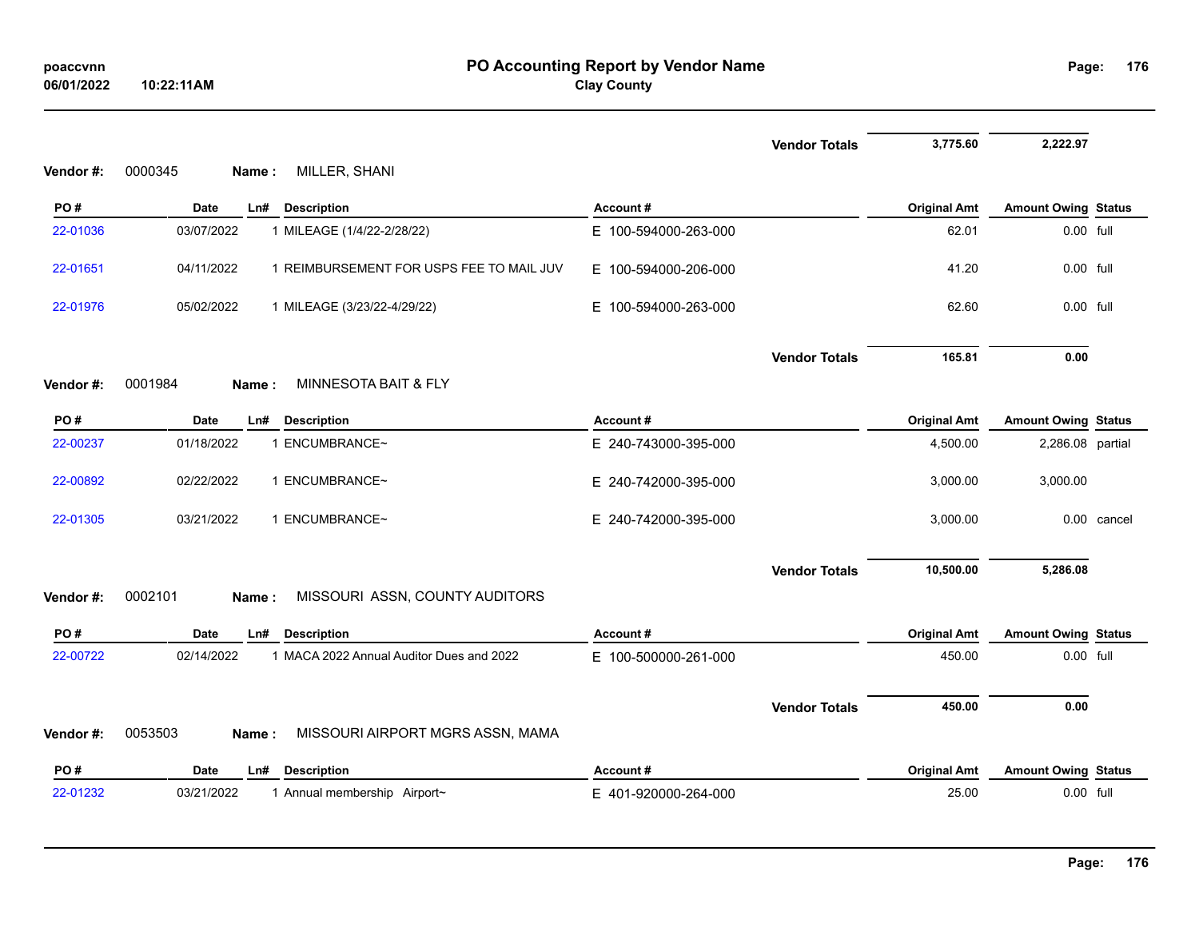|          |                                                        |                      | <b>Vendor Totals</b> | 3,775.60            | 2,222.97                   |             |
|----------|--------------------------------------------------------|----------------------|----------------------|---------------------|----------------------------|-------------|
| Vendor#: | 0000345<br>MILLER, SHANI<br>Name:                      |                      |                      |                     |                            |             |
| PO#      | Date<br><b>Description</b><br>Ln#                      | Account#             |                      | <b>Original Amt</b> | <b>Amount Owing Status</b> |             |
| 22-01036 | 03/07/2022<br>1 MILEAGE (1/4/22-2/28/22)               | E 100-594000-263-000 |                      | 62.01               | 0.00 full                  |             |
| 22-01651 | 04/11/2022<br>1 REIMBURSEMENT FOR USPS FEE TO MAIL JUV | E 100-594000-206-000 |                      | 41.20               | 0.00 full                  |             |
| 22-01976 | 05/02/2022<br>1 MILEAGE (3/23/22-4/29/22)              | E 100-594000-263-000 |                      | 62.60               | 0.00 full                  |             |
|          |                                                        |                      | <b>Vendor Totals</b> | 165.81              | 0.00                       |             |
| Vendor#: | 0001984<br>MINNESOTA BAIT & FLY<br>Name:               |                      |                      |                     |                            |             |
| PO#      | Date<br>Ln#<br><b>Description</b>                      | Account#             |                      | <b>Original Amt</b> | <b>Amount Owing Status</b> |             |
| 22-00237 | 1 ENCUMBRANCE~<br>01/18/2022                           | E 240-743000-395-000 |                      | 4,500.00            | 2,286.08 partial           |             |
| 22-00892 | 02/22/2022<br>1 ENCUMBRANCE~                           | E 240-742000-395-000 |                      | 3,000.00            | 3,000.00                   |             |
| 22-01305 | 03/21/2022<br>1 ENCUMBRANCE~                           | E 240-742000-395-000 |                      | 3,000.00            |                            | 0.00 cancel |
|          |                                                        |                      | <b>Vendor Totals</b> | 10,500.00           | 5,286.08                   |             |
| Vendor#: | 0002101<br>MISSOURI ASSN, COUNTY AUDITORS<br>Name:     |                      |                      |                     |                            |             |
| PO#      | <b>Date</b><br>L <sub>n#</sub><br><b>Description</b>   | Account#             |                      | <b>Original Amt</b> | <b>Amount Owing Status</b> |             |
| 22-00722 | 02/14/2022<br>1 MACA 2022 Annual Auditor Dues and 2022 | E 100-500000-261-000 |                      | 450.00              | 0.00 full                  |             |
|          |                                                        |                      | <b>Vendor Totals</b> | 450.00              | 0.00                       |             |
| Vendor#: | 0053503<br>MISSOURI AIRPORT MGRS ASSN, MAMA<br>Name:   |                      |                      |                     |                            |             |
| PO#      | <b>Date</b><br>Ln#<br><b>Description</b>               | Account#             |                      | <b>Original Amt</b> | <b>Amount Owing Status</b> |             |
| 22-01232 | 03/21/2022<br>1 Annual membership Airport~             | E 401-920000-264-000 |                      | 25.00               | 0.00 full                  |             |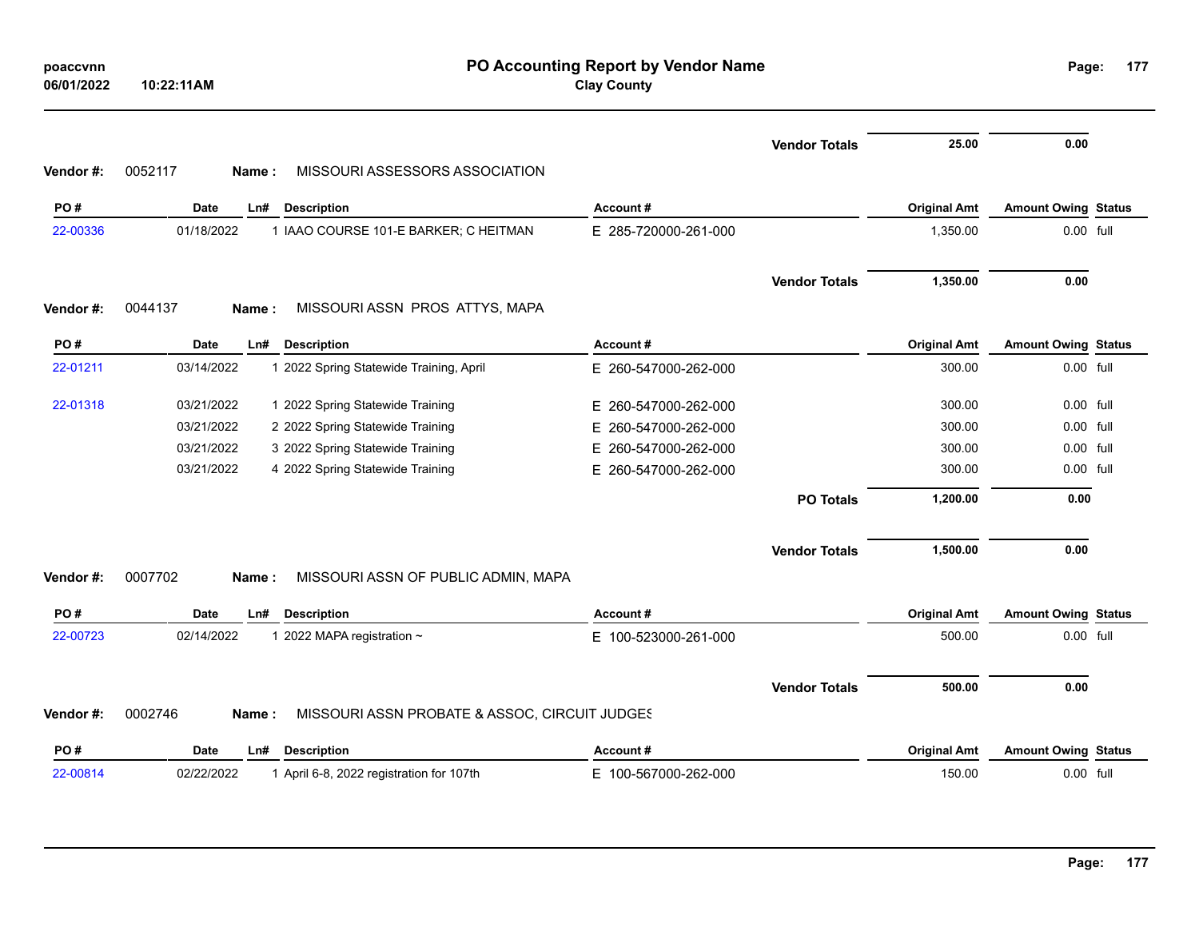| poaccvnn   |            |
|------------|------------|
| 06/01/2022 | 10:22:11AM |

|          |                                                                   |                          | <b>Vendor Totals</b> | 25.00               | 0.00                       |      |
|----------|-------------------------------------------------------------------|--------------------------|----------------------|---------------------|----------------------------|------|
| Vendor#: | 0052117<br>MISSOURI ASSESSORS ASSOCIATION<br>Name:                |                          |                      |                     |                            |      |
| PO#      | <b>Date</b><br>Ln#<br><b>Description</b>                          | Account#                 |                      | <b>Original Amt</b> | <b>Amount Owing Status</b> |      |
| 22-00336 | 01/18/2022<br>1 IAAO COURSE 101-E BARKER; C HEITMAN               | E 285-720000-261-000     |                      | 1,350.00            | 0.00 full                  |      |
|          |                                                                   |                          | <b>Vendor Totals</b> | 1,350.00            | 0.00                       |      |
| Vendor#: | MISSOURI ASSN PROS ATTYS, MAPA<br>0044137<br>Name:                |                          |                      |                     |                            |      |
| PO#      | <b>Description</b><br><b>Date</b><br>Ln#                          | Account#                 |                      | <b>Original Amt</b> | <b>Amount Owing Status</b> |      |
| 22-01211 | 03/14/2022<br>1 2022 Spring Statewide Training, April             | E 260-547000-262-000     |                      | 300.00              | 0.00 full                  |      |
| 22-01318 | 03/21/2022<br>1 2022 Spring Statewide Training                    | E 260-547000-262-000     |                      | 300.00              | 0.00                       | full |
|          | 03/21/2022<br>2 2022 Spring Statewide Training                    | 260-547000-262-000<br>E. |                      | 300.00              | 0.00 full                  |      |
|          | 03/21/2022<br>3 2022 Spring Statewide Training                    | E.<br>260-547000-262-000 |                      | 300.00              | $0.00$ full                |      |
|          | 03/21/2022<br>4 2022 Spring Statewide Training                    | E 260-547000-262-000     |                      | 300.00              | $0.00$ full                |      |
|          |                                                                   |                          | <b>PO Totals</b>     | 1,200.00            | 0.00                       |      |
|          |                                                                   |                          | <b>Vendor Totals</b> | 1,500.00            | 0.00                       |      |
| Vendor#: | 0007702<br>MISSOURI ASSN OF PUBLIC ADMIN, MAPA<br>Name:           |                          |                      |                     |                            |      |
| PO#      | Date<br><b>Description</b><br>Ln#                                 | Account#                 |                      | <b>Original Amt</b> | <b>Amount Owing Status</b> |      |
| 22-00723 | 02/14/2022<br>1 2022 MAPA registration ~                          | E 100-523000-261-000     |                      | 500.00              | 0.00 full                  |      |
|          |                                                                   |                          | <b>Vendor Totals</b> | 500.00              | 0.00                       |      |
| Vendor#: | 0002746<br>MISSOURI ASSN PROBATE & ASSOC, CIRCUIT JUDGES<br>Name: |                          |                      |                     |                            |      |
| PO#      | <b>Date</b><br><b>Description</b><br>Ln#                          | Account#                 |                      | <b>Original Amt</b> | <b>Amount Owing Status</b> |      |
| 22-00814 | 02/22/2022<br>1 April 6-8, 2022 registration for 107th            | E 100-567000-262-000     |                      | 150.00              | 0.00 full                  |      |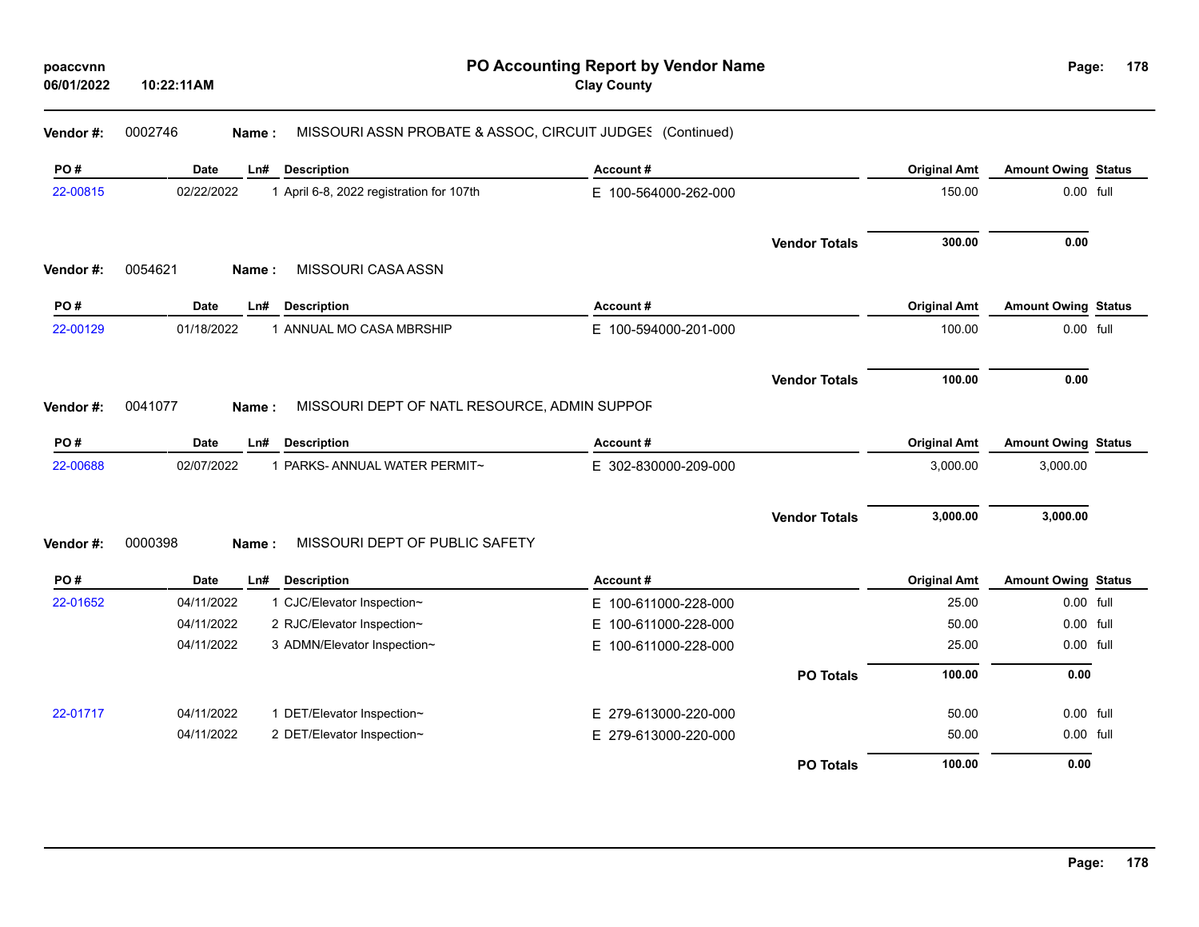| 06/01/2022 | 10:22:11AM |                                                                    | <b>Clay County</b>       |                      |                     |                            |  |
|------------|------------|--------------------------------------------------------------------|--------------------------|----------------------|---------------------|----------------------------|--|
| Vendor#:   | 0002746    | MISSOURI ASSN PROBATE & ASSOC, CIRCUIT JUDGES (Continued)<br>Name: |                          |                      |                     |                            |  |
| PO#        | Date       | <b>Description</b><br>Ln#                                          | Account#                 |                      | <b>Original Amt</b> | <b>Amount Owing Status</b> |  |
| 22-00815   | 02/22/2022 | 1 April 6-8, 2022 registration for 107th                           | E 100-564000-262-000     |                      | 150.00              | 0.00 full                  |  |
|            |            |                                                                    |                          | <b>Vendor Totals</b> | 300.00              | 0.00                       |  |
| Vendor #:  | 0054621    | MISSOURI CASA ASSN<br>Name:                                        |                          |                      |                     |                            |  |
| PO#        | Date       | Ln#<br><b>Description</b>                                          | Account#                 |                      | <b>Original Amt</b> | <b>Amount Owing Status</b> |  |
| 22-00129   | 01/18/2022 | 1 ANNUAL MO CASA MBRSHIP                                           | E 100-594000-201-000     |                      | 100.00              | 0.00 full                  |  |
|            |            |                                                                    |                          | <b>Vendor Totals</b> | 100.00              | 0.00                       |  |
| Vendor#:   | 0041077    | MISSOURI DEPT OF NATL RESOURCE, ADMIN SUPPOF<br>Name:              |                          |                      |                     |                            |  |
| PO#        | Date       | <b>Description</b><br>Ln#                                          | Account#                 |                      | <b>Original Amt</b> | <b>Amount Owing Status</b> |  |
| 22-00688   | 02/07/2022 | 1 PARKS-ANNUAL WATER PERMIT~                                       | E 302-830000-209-000     |                      | 3,000.00            | 3,000.00                   |  |
|            |            |                                                                    |                          | <b>Vendor Totals</b> | 3,000.00            | 3,000.00                   |  |
| Vendor#:   | 0000398    | MISSOURI DEPT OF PUBLIC SAFETY<br>Name:                            |                          |                      |                     |                            |  |
| PO#        | Date       | Ln#<br><b>Description</b>                                          | Account#                 |                      | <b>Original Amt</b> | <b>Amount Owing Status</b> |  |
| 22-01652   | 04/11/2022 | 1 CJC/Elevator Inspection~                                         | E 100-611000-228-000     |                      | 25.00               | 0.00 full                  |  |
|            | 04/11/2022 | 2 RJC/Elevator Inspection~                                         | 100-611000-228-000<br>E. |                      | 50.00               | 0.00 full                  |  |
|            | 04/11/2022 | 3 ADMN/Elevator Inspection~                                        | 100-611000-228-000<br>E. |                      | 25.00               | 0.00 full                  |  |
|            |            |                                                                    |                          | <b>PO Totals</b>     | 100.00              | 0.00                       |  |
| 22-01717   | 04/11/2022 | 1 DET/Elevator Inspection~                                         | E 279-613000-220-000     |                      | 50.00               | 0.00 full                  |  |
|            | 04/11/2022 | 2 DET/Elevator Inspection~                                         | E 279-613000-220-000     |                      | 50.00               | 0.00 full                  |  |
|            |            |                                                                    |                          | <b>PO Totals</b>     | 100.00              | 0.00                       |  |

**PO Accounting Report by Vendor Name**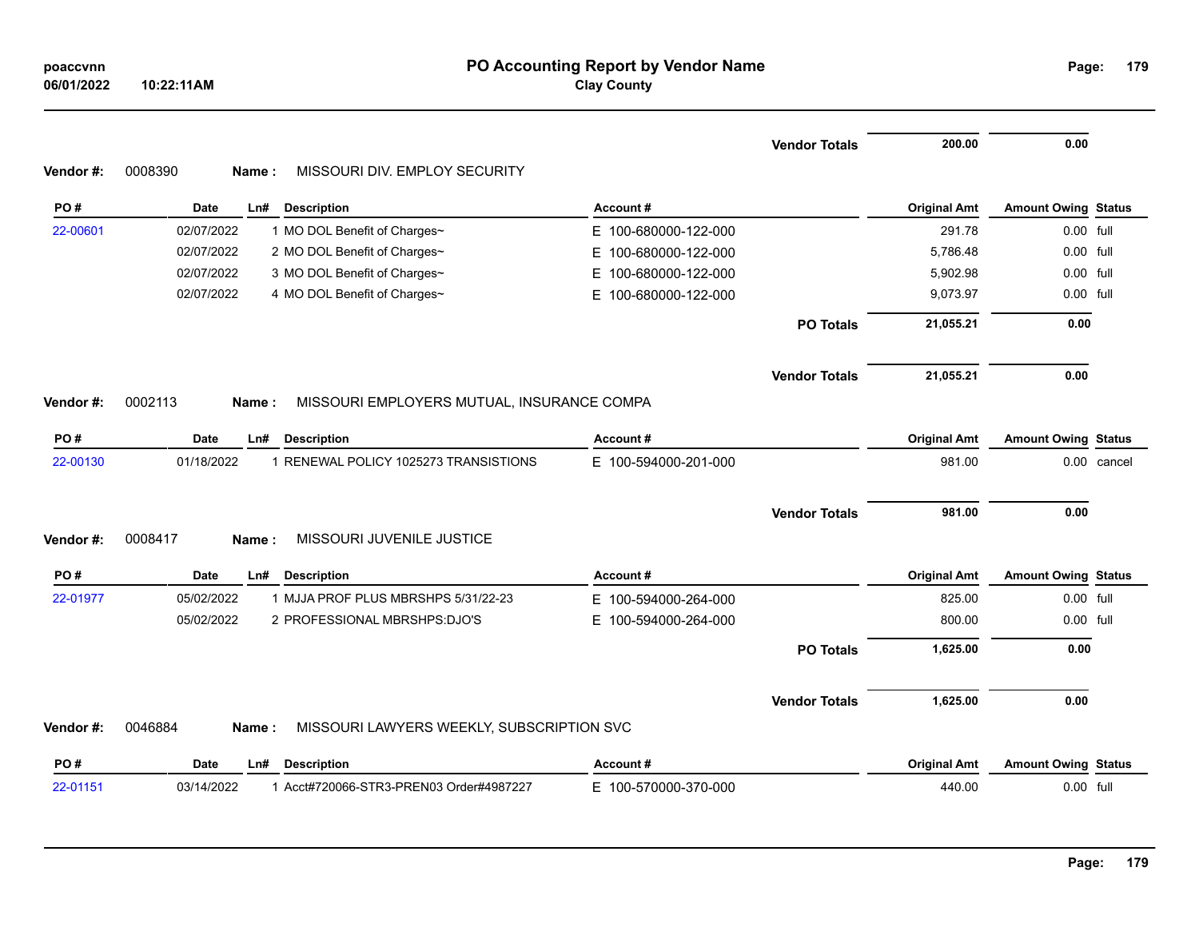|          |                                                                |                          | <b>Vendor Totals</b> | 200.00              | 0.00                       |  |
|----------|----------------------------------------------------------------|--------------------------|----------------------|---------------------|----------------------------|--|
| Vendor#: | MISSOURI DIV. EMPLOY SECURITY<br>0008390<br>Name:              |                          |                      |                     |                            |  |
| PO#      | Date<br>Ln#<br><b>Description</b>                              | Account#                 |                      | <b>Original Amt</b> | <b>Amount Owing Status</b> |  |
| 22-00601 | 02/07/2022<br>1 MO DOL Benefit of Charges~                     | E 100-680000-122-000     |                      | 291.78              | 0.00 full                  |  |
|          | 02/07/2022<br>2 MO DOL Benefit of Charges~                     | 100-680000-122-000<br>E. |                      | 5,786.48            | 0.00 full                  |  |
|          | 02/07/2022<br>3 MO DOL Benefit of Charges~                     | 100-680000-122-000<br>E. |                      | 5,902.98            | 0.00 full                  |  |
|          | 02/07/2022<br>4 MO DOL Benefit of Charges~                     | E 100-680000-122-000     |                      | 9,073.97            | 0.00 full                  |  |
|          |                                                                |                          | <b>PO Totals</b>     | 21,055.21           | 0.00                       |  |
|          |                                                                |                          | <b>Vendor Totals</b> | 21,055.21           | 0.00                       |  |
| Vendor#: | 0002113<br>MISSOURI EMPLOYERS MUTUAL, INSURANCE COMPA<br>Name: |                          |                      |                     |                            |  |
| PO#      | Date<br><b>Description</b><br>Ln#                              | Account#                 |                      | <b>Original Amt</b> | <b>Amount Owing Status</b> |  |
| 22-00130 | 01/18/2022<br>1 RENEWAL POLICY 1025273 TRANSISTIONS            | E 100-594000-201-000     |                      | 981.00              | 0.00 cancel                |  |
|          |                                                                |                          | <b>Vendor Totals</b> | 981.00              | 0.00                       |  |
| Vendor#: | MISSOURI JUVENILE JUSTICE<br>0008417<br>Name:                  |                          |                      |                     |                            |  |
| PO#      | <b>Description</b><br>Date<br>Ln#                              | Account#                 |                      | <b>Original Amt</b> | <b>Amount Owing Status</b> |  |
| 22-01977 | 1 MJJA PROF PLUS MBRSHPS 5/31/22-23<br>05/02/2022              | E 100-594000-264-000     |                      | 825.00              | 0.00 full                  |  |
|          | 05/02/2022<br>2 PROFESSIONAL MBRSHPS:DJO'S                     | E 100-594000-264-000     |                      | 800.00              | 0.00 full                  |  |
|          |                                                                |                          | <b>PO Totals</b>     | 1,625.00            | 0.00                       |  |
|          |                                                                |                          | <b>Vendor Totals</b> | 1,625.00            | 0.00                       |  |
| Vendor#: | 0046884<br>MISSOURI LAWYERS WEEKLY, SUBSCRIPTION SVC<br>Name:  |                          |                      |                     |                            |  |
| PO#      | <b>Description</b><br>Date<br>L <sub>n#</sub>                  | Account#                 |                      | <b>Original Amt</b> | <b>Amount Owing Status</b> |  |
| 22-01151 | 1 Acct#720066-STR3-PREN03 Order#4987227<br>03/14/2022          | E 100-570000-370-000     |                      | 440.00              | 0.00 full                  |  |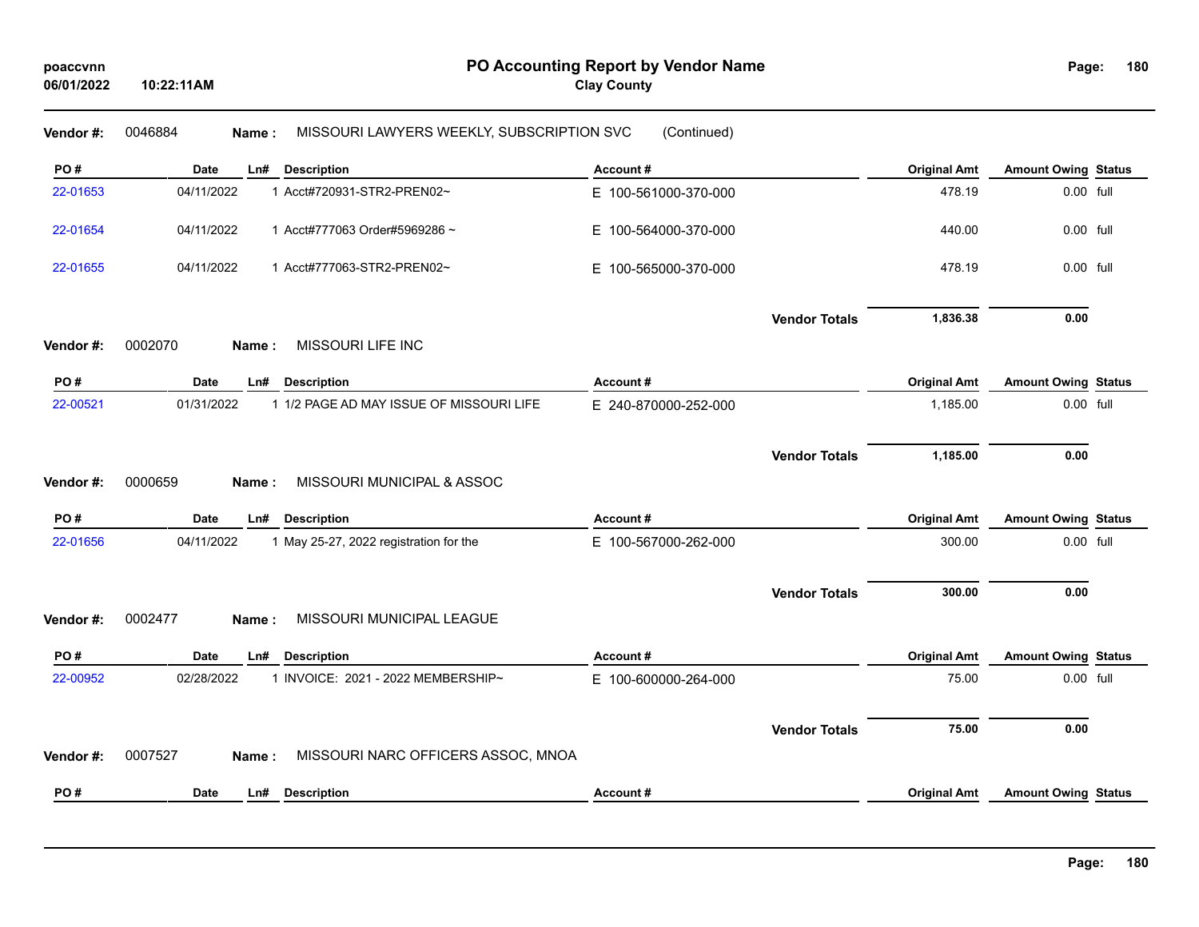| Vendor#: | 0046884<br>MISSOURI LAWYERS WEEKLY, SUBSCRIPTION SVC<br>Name: | (Continued)          |                      |                     |                            |  |
|----------|---------------------------------------------------------------|----------------------|----------------------|---------------------|----------------------------|--|
| PO#      | <b>Description</b><br><b>Date</b><br>Ln#                      | Account#             |                      | <b>Original Amt</b> | <b>Amount Owing Status</b> |  |
| 22-01653 | 04/11/2022<br>1 Acct#720931-STR2-PREN02~                      | E 100-561000-370-000 |                      | 478.19              | 0.00 full                  |  |
| 22-01654 | 04/11/2022<br>1 Acct#777063 Order#5969286~                    | E 100-564000-370-000 |                      | 440.00              | 0.00 full                  |  |
| 22-01655 | 04/11/2022<br>1 Acct#777063-STR2-PREN02~                      | E 100-565000-370-000 |                      | 478.19              | 0.00 full                  |  |
|          |                                                               |                      | <b>Vendor Totals</b> | 1,836.38            | 0.00                       |  |
| Vendor#: | 0002070<br>MISSOURI LIFE INC<br>Name:                         |                      |                      |                     |                            |  |
| PO#      | <b>Date</b><br><b>Description</b><br>Ln#                      | Account#             |                      | <b>Original Amt</b> | <b>Amount Owing Status</b> |  |
| 22-00521 | 01/31/2022<br>1 1/2 PAGE AD MAY ISSUE OF MISSOURI LIFE        | E 240-870000-252-000 |                      | 1,185.00            | 0.00 full                  |  |
|          |                                                               |                      | <b>Vendor Totals</b> | 1,185.00            | 0.00                       |  |
| Vendor#: | 0000659<br>MISSOURI MUNICIPAL & ASSOC<br>Name:                |                      |                      |                     |                            |  |
| PO#      | <b>Date</b><br><b>Description</b><br>Ln#                      | Account#             |                      | <b>Original Amt</b> | <b>Amount Owing Status</b> |  |
| 22-01656 | 04/11/2022<br>1 May 25-27, 2022 registration for the          | E 100-567000-262-000 |                      | 300.00              | 0.00 full                  |  |
|          |                                                               |                      | <b>Vendor Totals</b> | 300.00              | 0.00                       |  |
| Vendor#: | 0002477<br>MISSOURI MUNICIPAL LEAGUE<br>Name:                 |                      |                      |                     |                            |  |
| PO#      | <b>Description</b><br>Date<br>Ln#                             | Account#             |                      | <b>Original Amt</b> | <b>Amount Owing Status</b> |  |
| 22-00952 | 02/28/2022<br>1 INVOICE: 2021 - 2022 MEMBERSHIP~              | E 100-600000-264-000 |                      | 75.00               | 0.00 full                  |  |
|          |                                                               |                      | <b>Vendor Totals</b> | 75.00               | 0.00                       |  |
| Vendor#: | 0007527<br>MISSOURI NARC OFFICERS ASSOC, MNOA<br>Name:        |                      |                      |                     |                            |  |
| PO#      | <b>Date</b><br>Ln#<br><b>Description</b>                      | Account#             |                      | <b>Original Amt</b> | <b>Amount Owing Status</b> |  |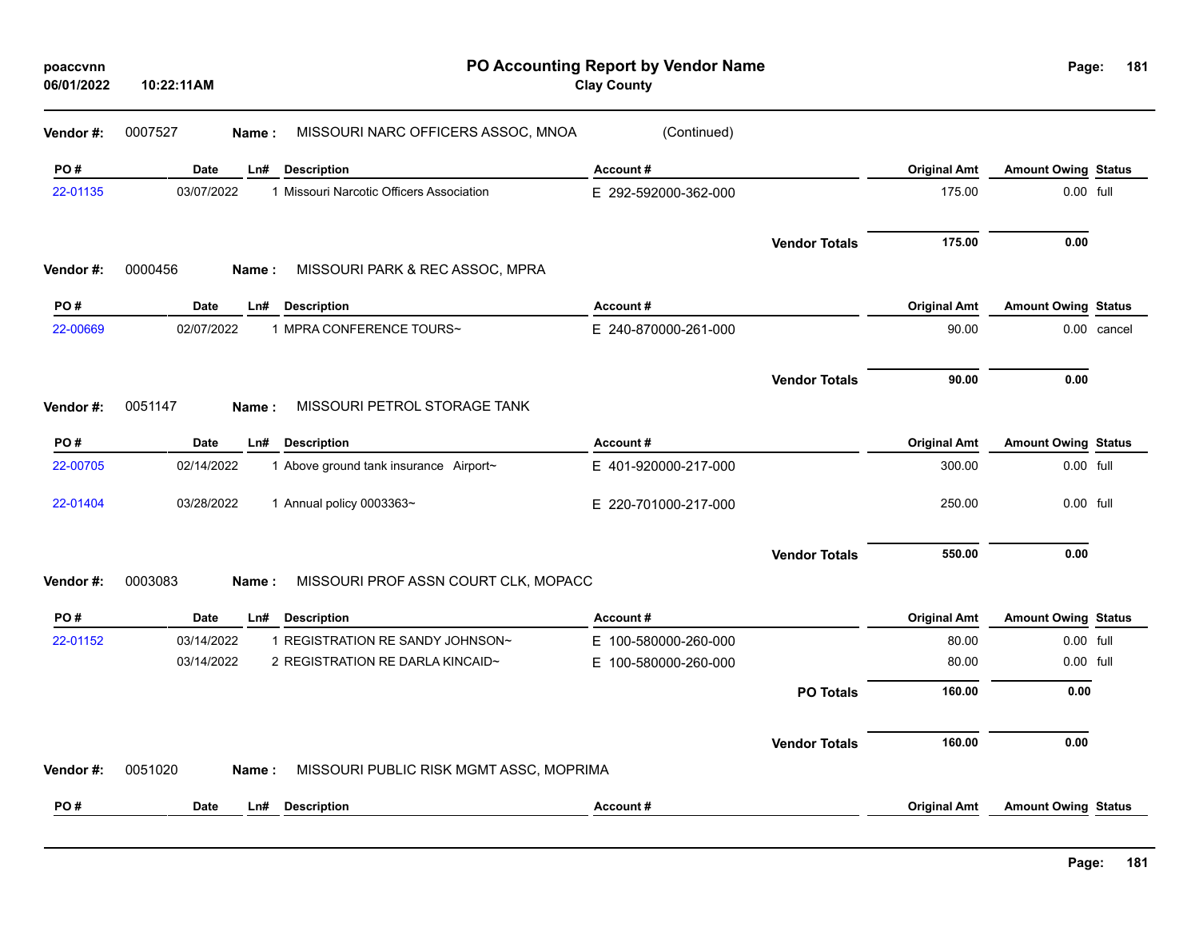| poaccvnn<br>06/01/2022 | 10:22:11AM  | PO Accounting Report by Vendor Name<br><b>Clay County</b> |                          |                      |                     |                            |             |
|------------------------|-------------|-----------------------------------------------------------|--------------------------|----------------------|---------------------|----------------------------|-------------|
| Vendor#:               | 0007527     | MISSOURI NARC OFFICERS ASSOC, MNOA<br>Name:               | (Continued)              |                      |                     |                            |             |
| PO#                    | <b>Date</b> | <b>Description</b><br>Ln#                                 | Account#                 |                      | <b>Original Amt</b> | <b>Amount Owing Status</b> |             |
| 22-01135               | 03/07/2022  | 1 Missouri Narcotic Officers Association                  | E 292-592000-362-000     |                      | 175.00              | 0.00 full                  |             |
|                        |             |                                                           |                          | <b>Vendor Totals</b> | 175.00              | 0.00                       |             |
| Vendor#:               | 0000456     | MISSOURI PARK & REC ASSOC, MPRA<br>Name:                  |                          |                      |                     |                            |             |
| PO#                    | Date        | <b>Description</b><br>Ln#                                 | Account#                 |                      | <b>Original Amt</b> | <b>Amount Owing Status</b> |             |
| 22-00669               | 02/07/2022  | 1 MPRA CONFERENCE TOURS~                                  | E 240-870000-261-000     |                      | 90.00               |                            | 0.00 cancel |
|                        |             |                                                           |                          | <b>Vendor Totals</b> | 90.00               | 0.00                       |             |
| Vendor#:               | 0051147     | MISSOURI PETROL STORAGE TANK<br>Name:                     |                          |                      |                     |                            |             |
| PO#                    | <b>Date</b> | Ln#<br><b>Description</b>                                 | Account#                 |                      | <b>Original Amt</b> | <b>Amount Owing Status</b> |             |
| 22-00705               | 02/14/2022  | 1 Above ground tank insurance Airport~                    | E 401-920000-217-000     |                      | 300.00              | 0.00 full                  |             |
| 22-01404               | 03/28/2022  | 1 Annual policy 0003363~                                  | E 220-701000-217-000     |                      | 250.00              | 0.00 full                  |             |
|                        |             |                                                           |                          | <b>Vendor Totals</b> | 550.00              | 0.00                       |             |
| Vendor#:               | 0003083     | MISSOURI PROF ASSN COURT CLK, MOPACC<br>Name:             |                          |                      |                     |                            |             |
| PO#                    | <b>Date</b> | <b>Description</b><br>Ln#                                 | Account#                 |                      | <b>Original Amt</b> | <b>Amount Owing Status</b> |             |
| 22-01152               | 03/14/2022  | 1 REGISTRATION RE SANDY JOHNSON~                          | 100-580000-260-000<br>E. |                      | 80.00               | 0.00 full                  |             |
|                        | 03/14/2022  | 2 REGISTRATION RE DARLA KINCAID~                          | 100-580000-260-000<br>E. |                      | 80.00               | 0.00 full                  |             |
|                        |             |                                                           |                          | <b>PO Totals</b>     | 160.00              | 0.00                       |             |
|                        |             |                                                           |                          | <b>Vendor Totals</b> | 160.00              | 0.00                       |             |
| Vendor#:               | 0051020     | MISSOURI PUBLIC RISK MGMT ASSC, MOPRIMA<br>Name:          |                          |                      |                     |                            |             |
| PO#                    | <b>Date</b> | <b>Description</b><br>Ln#                                 | Account#                 |                      | <b>Original Amt</b> | <b>Amount Owing Status</b> |             |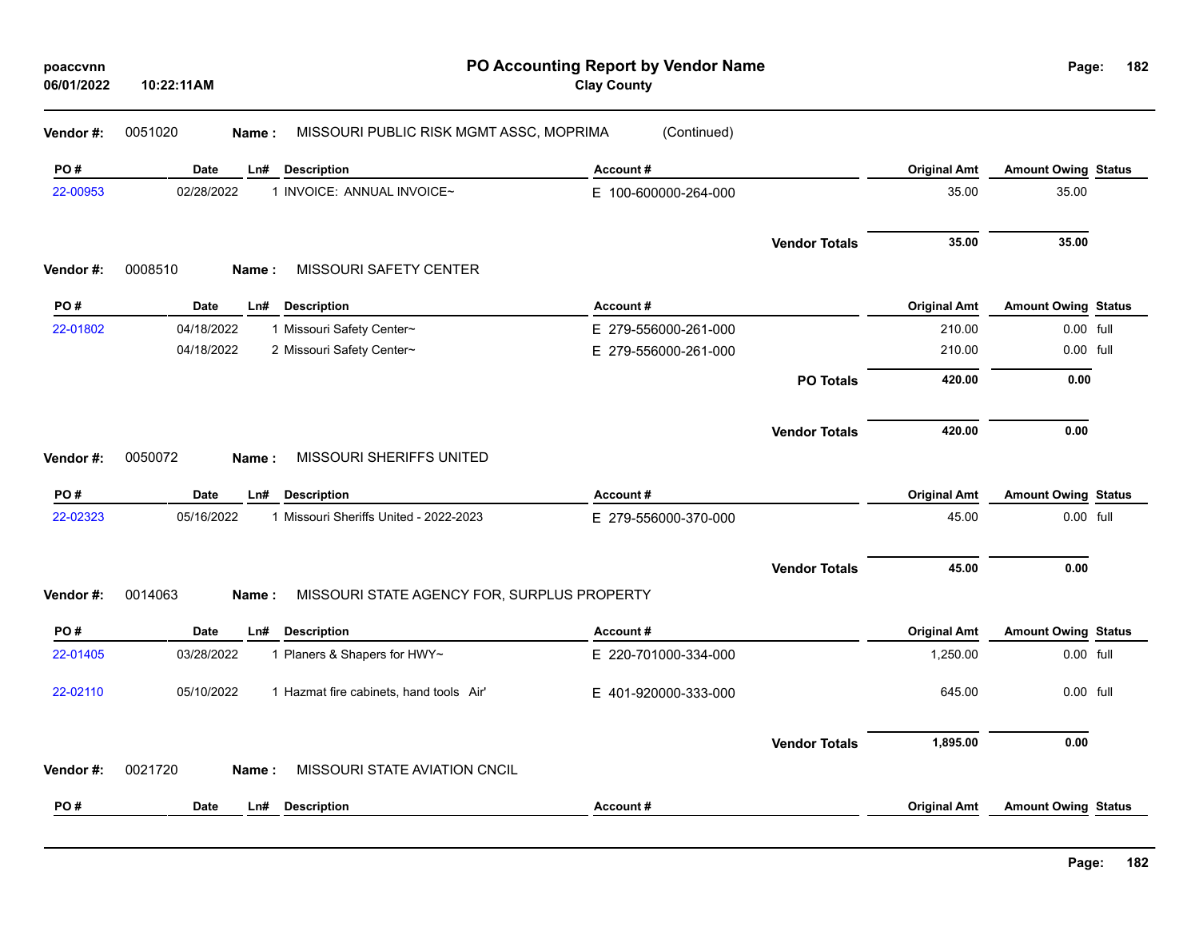| 06/01/2022 | 10:22:11AM  |                                                      | PO Accounting Report by Vendor Name<br><b>Clay County</b> |                      |                     | Page:                      | 182 |
|------------|-------------|------------------------------------------------------|-----------------------------------------------------------|----------------------|---------------------|----------------------------|-----|
| Vendor #:  | 0051020     | MISSOURI PUBLIC RISK MGMT ASSC, MOPRIMA<br>Name:     | (Continued)                                               |                      |                     |                            |     |
| PO#        | <b>Date</b> | Ln#<br><b>Description</b>                            | Account#                                                  |                      | <b>Original Amt</b> | <b>Amount Owing Status</b> |     |
| 22-00953   | 02/28/2022  | 1 INVOICE: ANNUAL INVOICE~                           | E 100-600000-264-000                                      |                      | 35.00               | 35.00                      |     |
|            |             |                                                      |                                                           | <b>Vendor Totals</b> | 35.00               | 35.00                      |     |
| Vendor#:   | 0008510     | MISSOURI SAFETY CENTER<br>Name:                      |                                                           |                      |                     |                            |     |
| PO#        | Date        | <b>Description</b><br>Ln#                            | Account#                                                  |                      | <b>Original Amt</b> | <b>Amount Owing Status</b> |     |
| 22-01802   | 04/18/2022  | 1 Missouri Safety Center~                            | E 279-556000-261-000                                      |                      | 210.00              | 0.00 full                  |     |
|            | 04/18/2022  | 2 Missouri Safety Center~                            | E 279-556000-261-000                                      |                      | 210.00              | 0.00 full                  |     |
|            |             |                                                      |                                                           | <b>PO Totals</b>     | 420.00              | 0.00                       |     |
|            |             |                                                      |                                                           | <b>Vendor Totals</b> | 420.00              | 0.00                       |     |
| Vendor #:  | 0050072     | MISSOURI SHERIFFS UNITED<br>Name:                    |                                                           |                      |                     |                            |     |
|            |             |                                                      |                                                           |                      |                     |                            |     |
| PO#        | Date        | Ln#<br><b>Description</b>                            | Account#                                                  |                      | <b>Original Amt</b> | <b>Amount Owing Status</b> |     |
| 22-02323   | 05/16/2022  | 1 Missouri Sheriffs United - 2022-2023               | E 279-556000-370-000                                      |                      | 45.00               | 0.00 full                  |     |
|            |             |                                                      |                                                           | <b>Vendor Totals</b> | 45.00               | 0.00                       |     |
| Vendor #:  | 0014063     | MISSOURI STATE AGENCY FOR, SURPLUS PROPERTY<br>Name: |                                                           |                      |                     |                            |     |
| PO#        | Date        | <b>Description</b><br>Ln#                            | Account#                                                  |                      | <b>Original Amt</b> | <b>Amount Owing Status</b> |     |
| 22-01405   | 03/28/2022  | 1 Planers & Shapers for HWY~                         | E 220-701000-334-000                                      |                      | 1,250.00            | 0.00 full                  |     |
| 22-02110   | 05/10/2022  | 1 Hazmat fire cabinets, hand tools Air'              | E 401-920000-333-000                                      |                      | 645.00              | 0.00 full                  |     |
|            |             |                                                      |                                                           | <b>Vendor Totals</b> | 1,895.00            | 0.00                       |     |
| Vendor#:   | 0021720     | MISSOURI STATE AVIATION CNCIL<br>Name:               |                                                           |                      |                     |                            |     |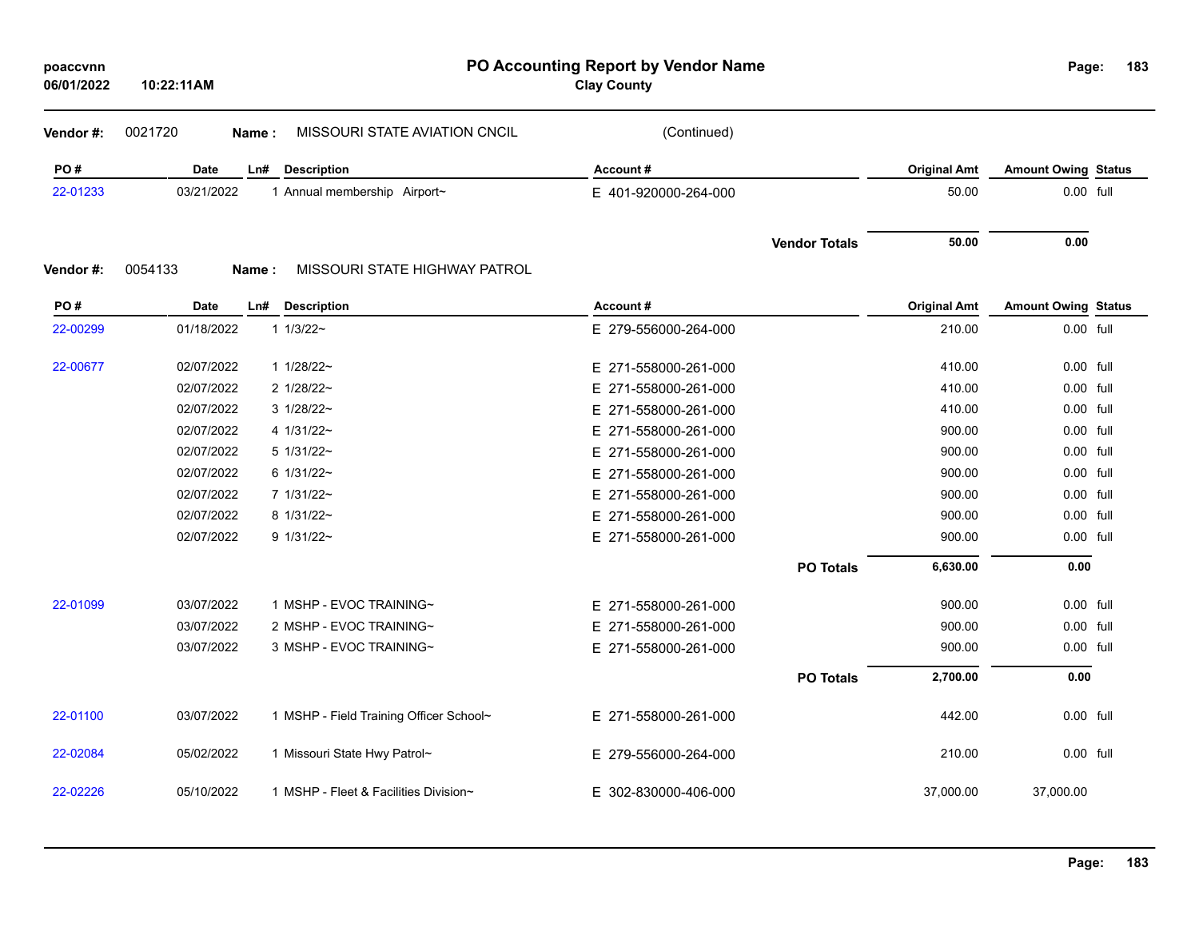| poaccvnn   |  |
|------------|--|
| 06/01/2022 |  |

**10:22:11AM**

**PO Accounting Report by Vendor Name poaccvnn Page:**

**Clay County**

Page: 183

| Vendor#: | 0021720<br>Name: | MISSOURI STATE AVIATION CNCIL | (Continued)          |                     |                            |  |
|----------|------------------|-------------------------------|----------------------|---------------------|----------------------------|--|
| PO#      | <b>Date</b>      | <b>Description</b><br>Ln#     | Account#             | <b>Original Amt</b> | <b>Amount Owing Status</b> |  |
| 22-01233 | 03/21/2022       | 1 Annual membership Airport~  | E 401-920000-264-000 | 50.00               | $0.00$ full                |  |
|          |                  |                               | <b>Vendor Totals</b> | 50.00               | 0.00                       |  |
| Vendor#: | 0054133<br>Name: | MISSOURI STATE HIGHWAY PATROL |                      |                     |                            |  |
| PO#      | <b>Date</b>      | <b>Description</b><br>Ln#     | Account#             | <b>Original Amt</b> | <b>Amount Owing Status</b> |  |
| 22-00299 | 01/18/2022       | $11/3/22$ ~                   | E 279-556000-264-000 | 210.00              | 0.00 full                  |  |
| 22-00677 | 02/07/2022       | $11/28/22$ ~                  | E 271-558000-261-000 | 410.00              | 0.00 full                  |  |
|          | 02/07/2022       | 2 1/28/22~                    | E 271-558000-261-000 | 410.00              | 0.00 full                  |  |
|          | 02/07/2022       | $3 \frac{1}{28/22}$           | E 271-558000-261-000 | 410.00              | 0.00 full                  |  |
|          | 02/07/2022       | $41/31/22$ ~                  | E 271-558000-261-000 | 900.00              | 0.00 full                  |  |
|          | 02/07/2022       | $5 \frac{1}{31/22}$ ~         | E 271-558000-261-000 | 900.00              | 0.00 full                  |  |
|          | 02/07/2022       | $6 \frac{1}{31/22}$ ~         | E 271-558000-261-000 | 900.00              | 0.00 full                  |  |
|          | 02/07/2022       | $71/31/22$ ~                  | E 271-558000-261-000 | 900.00              | 0.00 full                  |  |
|          | 02/07/2022       | 8 1/31/22~                    | E 271-558000-261-000 | 900.00              | 0.00 full                  |  |
|          | 02/07/2022       | $9 1/31/22$ ~                 | E 271-558000-261-000 | 900.00              | 0.00 full                  |  |
|          |                  |                               | <b>PO Totals</b>     | 6,630.00            | 0.00                       |  |

| 22-01099 | 03/07/2022 | MSHP - EVOC TRAINING~                 | E 271-558000-261-000 |                  | 900.00    | 0.00 full |
|----------|------------|---------------------------------------|----------------------|------------------|-----------|-----------|
|          | 03/07/2022 | 2 MSHP - EVOC TRAINING~               | E 271-558000-261-000 |                  | 900.00    | 0.00 full |
|          | 03/07/2022 | 3 MSHP - EVOC TRAINING~               | E 271-558000-261-000 |                  | 900.00    | 0.00 full |
|          |            |                                       |                      | <b>PO Totals</b> | 2,700.00  | 0.00      |
| 22-01100 | 03/07/2022 | MSHP - Field Training Officer School~ | E 271-558000-261-000 |                  | 442.00    | 0.00 full |
| 22-02084 | 05/02/2022 | Missouri State Hwy Patrol~            | E 279-556000-264-000 |                  | 210.00    | 0.00 full |
| 22-02226 | 05/10/2022 | MSHP - Fleet & Facilities Division~   | E 302-830000-406-000 |                  | 37.000.00 | 37.000.00 |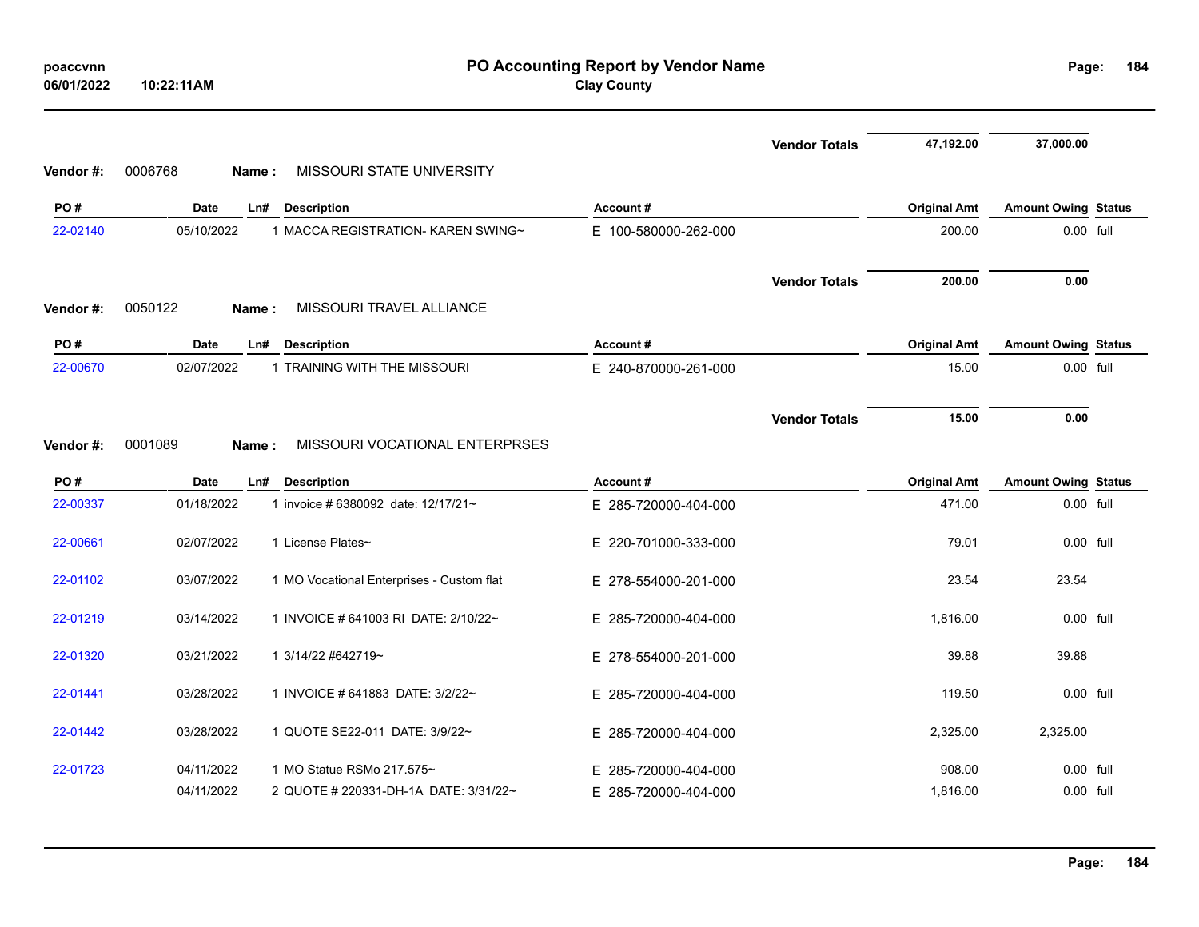| poaccvnn<br>06/01/2022 | 10:22:11AM       |                                           | PO Accounting Report by Vendor Name<br><b>Clay County</b> |                      |                     | Page:                      | 184       |
|------------------------|------------------|-------------------------------------------|-----------------------------------------------------------|----------------------|---------------------|----------------------------|-----------|
|                        |                  |                                           |                                                           | <b>Vendor Totals</b> | 47,192.00           | 37,000.00                  |           |
| Vendor #:              | 0006768<br>Name: | MISSOURI STATE UNIVERSITY                 |                                                           |                      |                     |                            |           |
| PO#                    | Date             | Description<br>Ln#                        | Account#                                                  |                      | <b>Original Amt</b> | <b>Amount Owing Status</b> |           |
| 22-02140               | 05/10/2022       | 1 MACCA REGISTRATION- KAREN SWING~        | E 100-580000-262-000                                      |                      | 200.00              |                            | 0.00 full |
|                        |                  |                                           |                                                           | <b>Vendor Totals</b> | 200.00              | 0.00                       |           |
| Vendor #:              | 0050122<br>Name: | MISSOURI TRAVEL ALLIANCE                  |                                                           |                      |                     |                            |           |
| PO#                    | Date             | <b>Description</b><br>Ln#                 | Account#                                                  |                      | <b>Original Amt</b> | <b>Amount Owing Status</b> |           |
| 22-00670               | 02/07/2022       | 1 TRAINING WITH THE MISSOURI              | E 240-870000-261-000                                      |                      | 15.00               | 0.00 full                  |           |
|                        |                  |                                           |                                                           | <b>Vendor Totals</b> | 15.00               | 0.00                       |           |
| Vendor#:               | 0001089<br>Name: | MISSOURI VOCATIONAL ENTERPRSES            |                                                           |                      |                     |                            |           |
| PO#                    | Date             | <b>Description</b><br>Ln#                 | Account#                                                  |                      | <b>Original Amt</b> | <b>Amount Owing Status</b> |           |
| 22-00337               | 01/18/2022       | 1 invoice # 6380092 date: 12/17/21~       | E 285-720000-404-000                                      |                      | 471.00              | 0.00 full                  |           |
| 22-00661               | 02/07/2022       | 1 License Plates~                         | E 220-701000-333-000                                      |                      | 79.01               | 0.00 full                  |           |
| 22-01102               | 03/07/2022       | 1 MO Vocational Enterprises - Custom flat | E 278-554000-201-000                                      |                      | 23.54               | 23.54                      |           |
| 22-01219               | 03/14/2022       | 1 INVOICE # 641003 RI DATE: 2/10/22~      | E 285-720000-404-000                                      |                      | 1,816.00            | 0.00 full                  |           |
| 22-01320               | 03/21/2022       | 1 3/14/22 #642719~                        | E 278-554000-201-000                                      |                      | 39.88               | 39.88                      |           |
| 22-01441               | 03/28/2022       | 1 INVOICE # 641883 DATE: 3/2/22~          | E 285-720000-404-000                                      |                      | 119.50              | $0.00$ full                |           |
| 22-01442               | 03/28/2022       | 1 QUOTE SE22-011 DATE: 3/9/22~            | E 285-720000-404-000                                      |                      | 2,325.00            | 2,325.00                   |           |
| 22-01723               | 04/11/2022       | 1 MO Statue RSMo 217.575~                 | E 285-720000-404-000                                      |                      | 908.00              | $0.00$ full                |           |
|                        | 04/11/2022       | 2 QUOTE # 220331-DH-1A DATE: 3/31/22~     | E 285-720000-404-000                                      |                      | 1,816.00            | 0.00 full                  |           |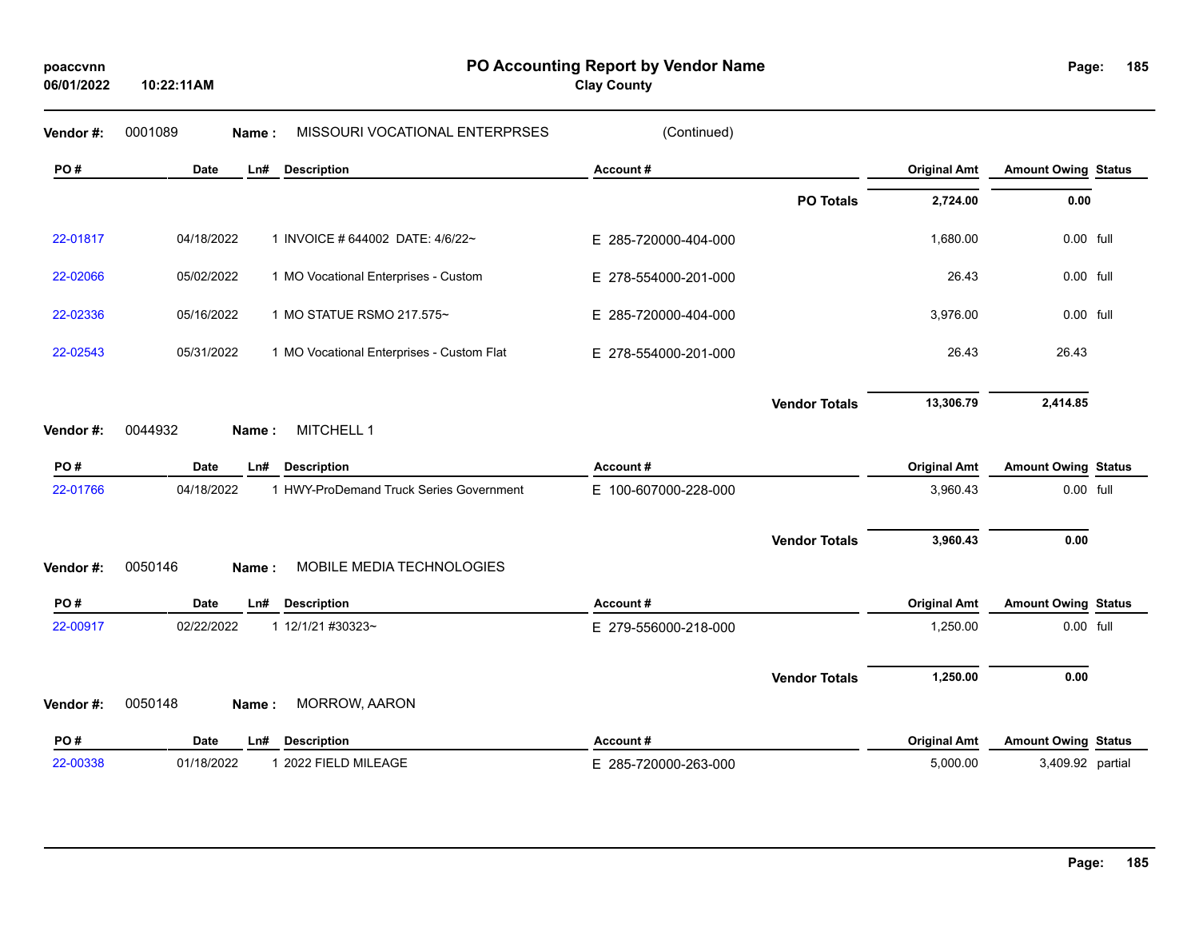**10:22:11AM**

**PO Accounting Report by Vendor Name poaccvnn Page:**

**Clay County**

Page: 185

| Vendor#:  | 0001089<br>Name:   | MISSOURI VOCATIONAL ENTERPRSES            | (Continued)          |                      |                     |                            |  |
|-----------|--------------------|-------------------------------------------|----------------------|----------------------|---------------------|----------------------------|--|
| PO#       | <b>Date</b><br>Ln# | <b>Description</b>                        | Account#             |                      | <b>Original Amt</b> | <b>Amount Owing Status</b> |  |
|           |                    |                                           |                      | <b>PO Totals</b>     | 2,724.00            | 0.00                       |  |
| 22-01817  | 04/18/2022         | 1 INVOICE # 644002 DATE: 4/6/22~          | E 285-720000-404-000 |                      | 1,680.00            | 0.00 full                  |  |
| 22-02066  | 05/02/2022         | 1 MO Vocational Enterprises - Custom      | E 278-554000-201-000 |                      | 26.43               | 0.00 full                  |  |
| 22-02336  | 05/16/2022         | 1 MO STATUE RSMO 217.575~                 | E 285-720000-404-000 |                      | 3,976.00            | 0.00 full                  |  |
| 22-02543  | 05/31/2022         | 1 MO Vocational Enterprises - Custom Flat | E 278-554000-201-000 |                      | 26.43               | 26.43                      |  |
|           |                    |                                           |                      | <b>Vendor Totals</b> | 13,306.79           | 2,414.85                   |  |
| Vendor#:  | 0044932<br>Name:   | MITCHELL 1                                |                      |                      |                     |                            |  |
| PO#       | Date<br>Ln#        | <b>Description</b>                        | Account#             |                      | <b>Original Amt</b> | <b>Amount Owing Status</b> |  |
| 22-01766  | 04/18/2022         | 1 HWY-ProDemand Truck Series Government   | E 100-607000-228-000 |                      | 3,960.43            | 0.00 full                  |  |
|           |                    |                                           |                      | <b>Vendor Totals</b> | 3,960.43            | 0.00                       |  |
| Vendor #: | 0050146<br>Name:   | MOBILE MEDIA TECHNOLOGIES                 |                      |                      |                     |                            |  |
| PO#       | Date<br>Ln#        | <b>Description</b>                        | Account#             |                      | <b>Original Amt</b> | <b>Amount Owing Status</b> |  |
| 22-00917  | 02/22/2022         | 1 12/1/21 #30323~                         | E 279-556000-218-000 |                      | 1,250.00            | 0.00 full                  |  |
| Vendor#:  | 0050148<br>Name:   | MORROW, AARON                             |                      | <b>Vendor Totals</b> | 1,250.00            | 0.00                       |  |
|           |                    |                                           |                      |                      |                     |                            |  |
| PO#       | <b>Date</b><br>Ln# | <b>Description</b>                        | Account#             |                      | <b>Original Amt</b> | <b>Amount Owing Status</b> |  |
| 22-00338  | 01/18/2022         | 1 2022 FIELD MILEAGE                      | E 285-720000-263-000 |                      | 5,000.00            | 3,409.92 partial           |  |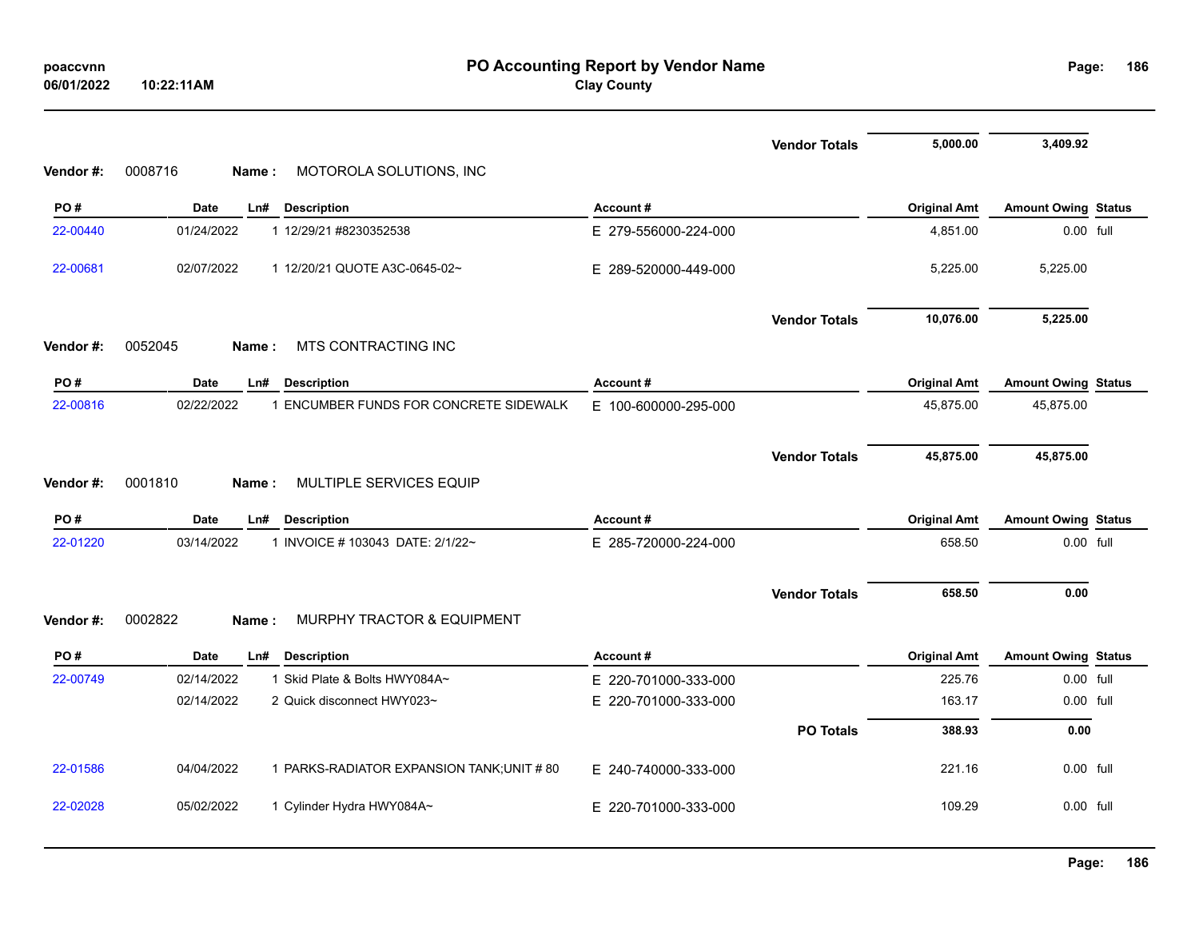| poaccynn   |            |
|------------|------------|
| 06/01/2022 | 10:22:11AM |

|           |                                                           |                      | <b>Vendor Totals</b> | 5,000.00            | 3,409.92                   |  |
|-----------|-----------------------------------------------------------|----------------------|----------------------|---------------------|----------------------------|--|
| Vendor #: | 0008716<br>MOTOROLA SOLUTIONS, INC<br>Name:               |                      |                      |                     |                            |  |
| PO#       | Date<br><b>Description</b><br>Ln#                         | Account#             |                      | <b>Original Amt</b> | <b>Amount Owing Status</b> |  |
| 22-00440  | 01/24/2022<br>1 12/29/21 #8230352538                      | E 279-556000-224-000 |                      | 4,851.00            | 0.00 full                  |  |
| 22-00681  | 02/07/2022<br>1 12/20/21 QUOTE A3C-0645-02~               | E 289-520000-449-000 |                      | 5,225.00            | 5,225.00                   |  |
|           |                                                           |                      | <b>Vendor Totals</b> | 10,076.00           | 5,225.00                   |  |
| Vendor #: | 0052045<br>MTS CONTRACTING INC<br>Name:                   |                      |                      |                     |                            |  |
| PO#       | <b>Date</b><br>Ln#<br><b>Description</b>                  | Account#             |                      | <b>Original Amt</b> | <b>Amount Owing Status</b> |  |
| 22-00816  | 02/22/2022<br>1 ENCUMBER FUNDS FOR CONCRETE SIDEWALK      | E 100-600000-295-000 |                      | 45,875.00           | 45,875.00                  |  |
|           |                                                           |                      | <b>Vendor Totals</b> | 45,875.00           | 45,875.00                  |  |
| Vendor#:  | 0001810<br>MULTIPLE SERVICES EQUIP<br>Name:               |                      |                      |                     |                            |  |
| PO#       | <b>Date</b><br><b>Description</b><br>Ln#                  | Account#             |                      | <b>Original Amt</b> | <b>Amount Owing Status</b> |  |
| 22-01220  | 1 INVOICE # 103043 DATE: 2/1/22~<br>03/14/2022            | E 285-720000-224-000 |                      | 658.50              | 0.00 full                  |  |
| Vendor #: | 0002822<br><b>MURPHY TRACTOR &amp; EQUIPMENT</b><br>Name: |                      | <b>Vendor Totals</b> | 658.50              | 0.00                       |  |
| PO#       | Date<br>Ln#<br><b>Description</b>                         | Account#             |                      | <b>Original Amt</b> | <b>Amount Owing Status</b> |  |
| 22-00749  | 02/14/2022<br>1 Skid Plate & Bolts HWY084A~               | E 220-701000-333-000 |                      | 225.76              | 0.00 full                  |  |
|           | 02/14/2022<br>2 Quick disconnect HWY023~                  | E 220-701000-333-000 |                      | 163.17              | 0.00 full                  |  |
|           |                                                           |                      | <b>PO Totals</b>     | 388.93              | 0.00                       |  |
| 22-01586  | 04/04/2022<br>1 PARKS-RADIATOR EXPANSION TANK; UNIT # 80  | E 240-740000-333-000 |                      | 221.16              | 0.00 full                  |  |
| 22-02028  | 05/02/2022<br>1 Cylinder Hydra HWY084A~                   | E 220-701000-333-000 |                      | 109.29              | 0.00 full                  |  |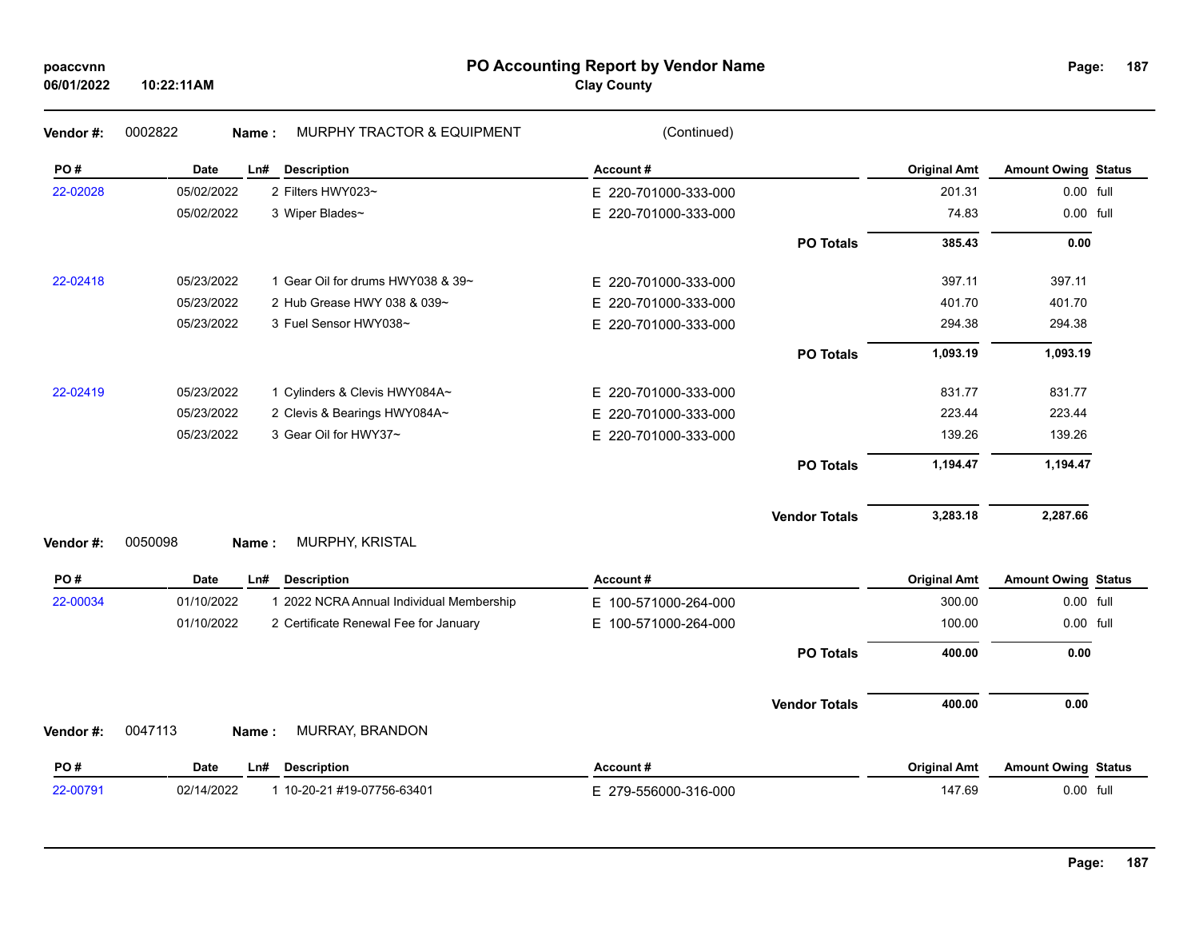# **PO Accounting Report by Vendor Name poaccvnn Page:**

| Page: | 187 |
|-------|-----|
|       |     |

| Vendor#: | 0002822<br><b>MURPHY TRACTOR &amp; EQUIPMENT</b><br>Name: | (Continued)              |                     |                            |  |
|----------|-----------------------------------------------------------|--------------------------|---------------------|----------------------------|--|
| PO#      | <b>Description</b><br><b>Date</b><br>Ln#                  | Account#                 | <b>Original Amt</b> | <b>Amount Owing Status</b> |  |
| 22-02028 | 05/02/2022<br>2 Filters HWY023~                           | E 220-701000-333-000     | 201.31              | 0.00 full                  |  |
|          | 05/02/2022<br>3 Wiper Blades~                             | E 220-701000-333-000     | 74.83               | 0.00 full                  |  |
|          |                                                           | <b>PO Totals</b>         | 385.43              | 0.00                       |  |
| 22-02418 | 1 Gear Oil for drums HWY038 & 39~<br>05/23/2022           | E 220-701000-333-000     | 397.11              | 397.11                     |  |
|          | 05/23/2022<br>2 Hub Grease HWY 038 & 039~                 | E 220-701000-333-000     | 401.70              | 401.70                     |  |
|          | 05/23/2022<br>3 Fuel Sensor HWY038~                       | E 220-701000-333-000     | 294.38              | 294.38                     |  |
|          |                                                           | <b>PO Totals</b>         | 1,093.19            | 1,093.19                   |  |
| 22-02419 | 05/23/2022<br>1 Cylinders & Clevis HWY084A~               | E 220-701000-333-000     | 831.77              | 831.77                     |  |
|          | 05/23/2022<br>2 Clevis & Bearings HWY084A~                | 220-701000-333-000<br>E. | 223.44              | 223.44                     |  |
|          | 3 Gear Oil for HWY37~<br>05/23/2022                       | E 220-701000-333-000     | 139.26              | 139.26                     |  |
|          |                                                           | <b>PO Totals</b>         | 1,194.47            | 1,194.47                   |  |
| Vendor#: | 0050098<br>MURPHY, KRISTAL<br>Name:                       | <b>Vendor Totals</b>     | 3,283.18            | 2,287.66                   |  |
| PO#      | Date<br>Ln#<br><b>Description</b>                         | Account#                 | <b>Original Amt</b> | <b>Amount Owing Status</b> |  |
| 22-00034 | 01/10/2022<br>1 2022 NCRA Annual Individual Membership    | E 100-571000-264-000     | 300.00              | 0.00 full                  |  |
|          | 01/10/2022<br>2 Certificate Renewal Fee for January       | E 100-571000-264-000     | 100.00              | 0.00 full                  |  |
|          |                                                           | <b>PO Totals</b>         | 400.00              | 0.00                       |  |
|          |                                                           | <b>Vendor Totals</b>     | 400.00              | 0.00                       |  |
| Vendor#: | 0047113<br>MURRAY, BRANDON<br>Name:                       |                          |                     |                            |  |
| PO#      | <b>Date</b><br><b>Description</b><br>Ln#                  | Account#                 | <b>Original Amt</b> | <b>Amount Owing Status</b> |  |
| 22-00791 | 02/14/2022<br>1 10-20-21 #19-07756-63401                  | E 279-556000-316-000     | 147.69              | 0.00 full                  |  |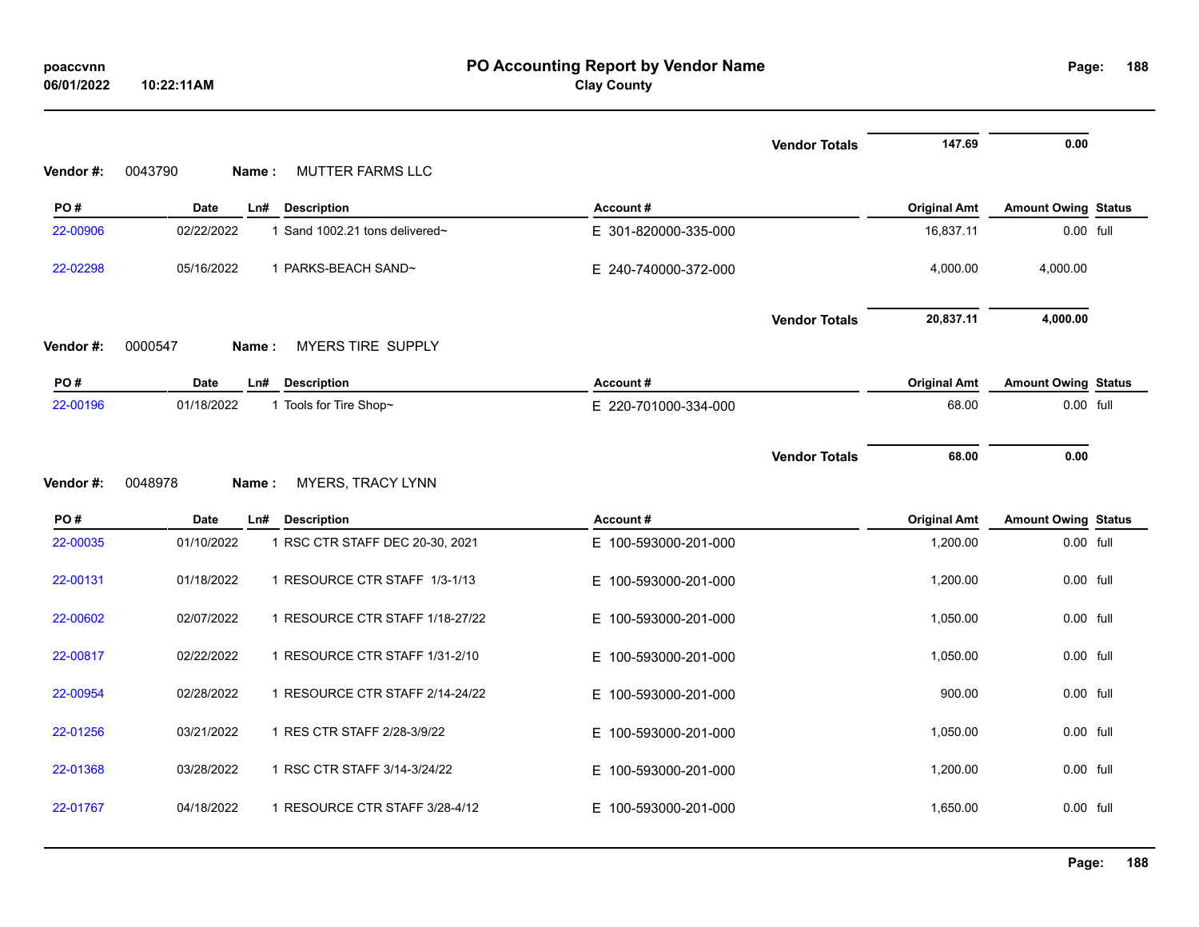| 06/01/2022 | 10:22:11AM       |                                 | <b>Clay County</b>   |                      |                     |                            |  |
|------------|------------------|---------------------------------|----------------------|----------------------|---------------------|----------------------------|--|
|            |                  |                                 |                      | <b>Vendor Totals</b> | 147.69              | 0.00                       |  |
| Vendor#:   | 0043790<br>Name: | MUTTER FARMS LLC                |                      |                      |                     |                            |  |
| PO#        | <b>Date</b>      | Ln#<br><b>Description</b>       | Account#             |                      | <b>Original Amt</b> | <b>Amount Owing Status</b> |  |
| 22-00906   | 02/22/2022       | 1 Sand 1002.21 tons delivered~  | E 301-820000-335-000 |                      | 16,837.11           | 0.00 full                  |  |
| 22-02298   | 05/16/2022       | 1 PARKS-BEACH SAND~             | E 240-740000-372-000 |                      | 4,000.00            | 4,000.00                   |  |
|            |                  |                                 |                      | <b>Vendor Totals</b> | 20,837.11           | 4,000.00                   |  |
| Vendor#:   | 0000547<br>Name: | MYERS TIRE SUPPLY               |                      |                      |                     |                            |  |
| PO#        | <b>Date</b>      | Ln#<br><b>Description</b>       | Account#             |                      | <b>Original Amt</b> | <b>Amount Owing Status</b> |  |
| 22-00196   | 01/18/2022       | 1 Tools for Tire Shop~          | E 220-701000-334-000 |                      | 68.00               | 0.00 full                  |  |
|            |                  |                                 |                      |                      |                     |                            |  |
|            |                  |                                 |                      | <b>Vendor Totals</b> | 68.00               | 0.00                       |  |
| Vendor#:   | 0048978<br>Name: | MYERS, TRACY LYNN               |                      |                      |                     |                            |  |
| PO#        | <b>Date</b>      | <b>Description</b><br>Ln#       | Account#             |                      | <b>Original Amt</b> | <b>Amount Owing Status</b> |  |
| 22-00035   | 01/10/2022       | 1 RSC CTR STAFF DEC 20-30, 2021 | E 100-593000-201-000 |                      | 1,200.00            | 0.00 full                  |  |
| 22-00131   | 01/18/2022       | 1 RESOURCE CTR STAFF 1/3-1/13   | E 100-593000-201-000 |                      | 1,200.00            | 0.00 full                  |  |
| 22-00602   | 02/07/2022       | 1 RESOURCE CTR STAFF 1/18-27/22 | E 100-593000-201-000 |                      | 1,050.00            | 0.00 full                  |  |
| 22-00817   | 02/22/2022       | 1 RESOURCE CTR STAFF 1/31-2/10  | E 100-593000-201-000 |                      | 1,050.00            | 0.00 full                  |  |
| 22-00954   | 02/28/2022       | 1 RESOURCE CTR STAFF 2/14-24/22 | E 100-593000-201-000 |                      | 900.00              | 0.00 full                  |  |
| 22-01256   | 03/21/2022       | 1 RES CTR STAFF 2/28-3/9/22     | E 100-593000-201-000 |                      | 1,050.00            | 0.00 full                  |  |
| 22-01368   | 03/28/2022       | 1 RSC CTR STAFF 3/14-3/24/22    | E 100-593000-201-000 |                      | 1,200.00            | 0.00 full                  |  |
| 22-01767   | 04/18/2022       | 1 RESOURCE CTR STAFF 3/28-4/12  | E 100-593000-201-000 |                      | 1,650.00            | 0.00 full                  |  |

**188**

#### **PO Accounting Report by Vendor Name poaccvnn Page: Clay County**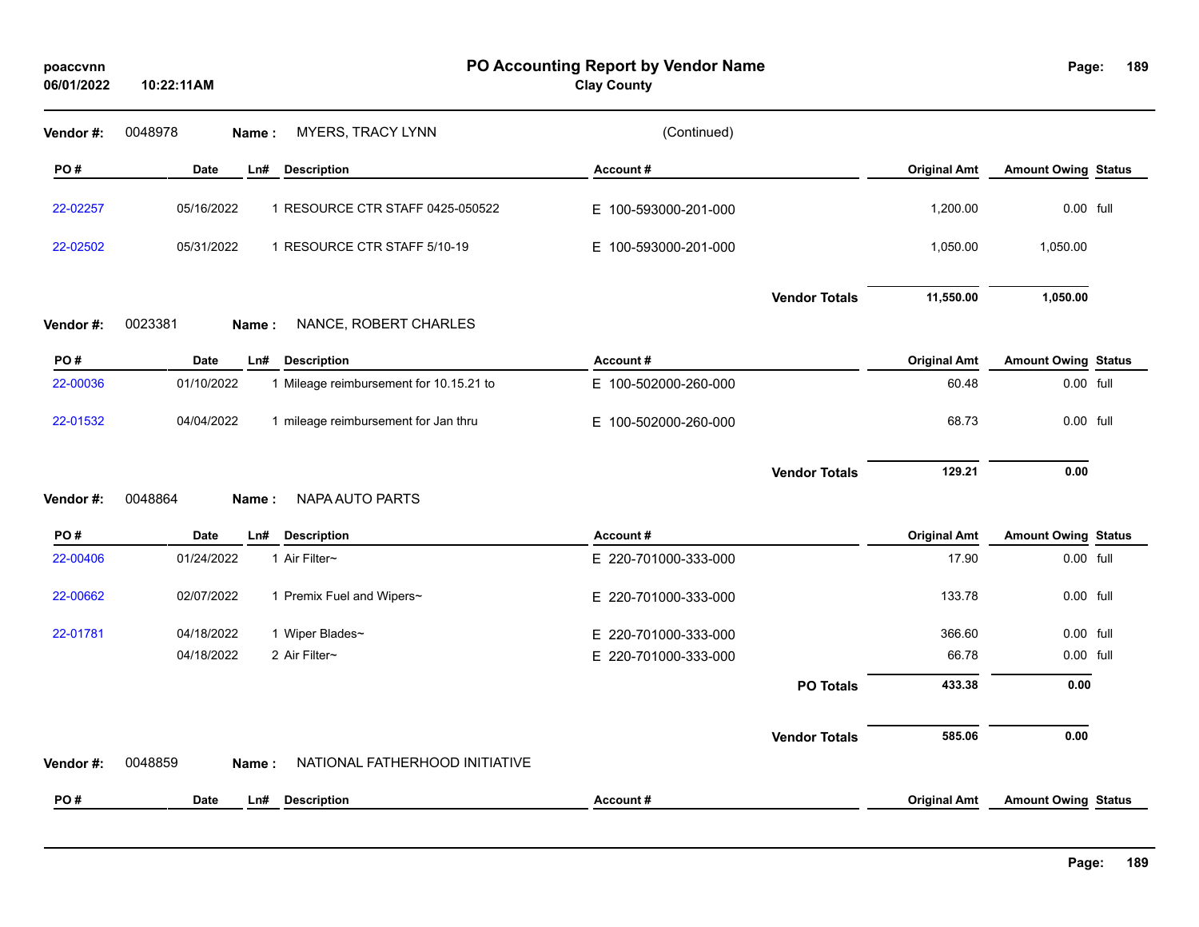| poaccvnn<br>06/01/2022 | 10:22:11AM                                            | PO Accounting Report by Vendor Name<br><b>Clay County</b> |                     | Page:                      | 189 |
|------------------------|-------------------------------------------------------|-----------------------------------------------------------|---------------------|----------------------------|-----|
| Vendor#:               | MYERS, TRACY LYNN<br>0048978<br>Name:                 | (Continued)                                               |                     |                            |     |
| PO#                    | <b>Date</b><br>Ln#<br><b>Description</b>              | Account#                                                  | <b>Original Amt</b> | <b>Amount Owing Status</b> |     |
| 22-02257               | 05/16/2022<br>1 RESOURCE CTR STAFF 0425-050522        | E 100-593000-201-000                                      | 1,200.00            | 0.00 full                  |     |
| 22-02502               | 05/31/2022<br>1 RESOURCE CTR STAFF 5/10-19            | E 100-593000-201-000                                      | 1,050.00            | 1,050.00                   |     |
|                        |                                                       | <b>Vendor Totals</b>                                      | 11,550.00           | 1,050.00                   |     |
| Vendor#:               | 0023381<br>NANCE, ROBERT CHARLES<br>Name:             |                                                           |                     |                            |     |
| PO#                    | <b>Description</b><br><b>Date</b><br>Ln#              | Account#                                                  | <b>Original Amt</b> | <b>Amount Owing Status</b> |     |
| 22-00036               | 01/10/2022<br>1 Mileage reimbursement for 10.15.21 to | E 100-502000-260-000                                      | 60.48               | 0.00 full                  |     |
| 22-01532               | 04/04/2022<br>1 mileage reimbursement for Jan thru    | E 100-502000-260-000                                      | 68.73               | 0.00 full                  |     |
| Vendor#:               | 0048864<br>NAPA AUTO PARTS<br>Name:                   | <b>Vendor Totals</b>                                      | 129.21              | 0.00                       |     |
| PO#                    | <b>Date</b><br>Ln#<br><b>Description</b>              | Account#                                                  | <b>Original Amt</b> | <b>Amount Owing Status</b> |     |
| 22-00406               | 01/24/2022<br>1 Air Filter~                           | E 220-701000-333-000                                      | 17.90               | 0.00 full                  |     |
| 22-00662               | 02/07/2022<br>1 Premix Fuel and Wipers~               | E 220-701000-333-000                                      | 133.78              | 0.00 full                  |     |
| 22-01781               | 04/18/2022<br>1 Wiper Blades~                         | E 220-701000-333-000                                      | 366.60              | 0.00 full                  |     |
|                        | 04/18/2022<br>2 Air Filter~                           | E 220-701000-333-000                                      | 66.78               | 0.00 full                  |     |
|                        |                                                       | <b>PO Totals</b>                                          | 433.38              | 0.00                       |     |
| Vendor#:               | 0048859<br>NATIONAL FATHERHOOD INITIATIVE<br>Name:    | <b>Vendor Totals</b>                                      | 585.06              | 0.00                       |     |
| PO#                    | <b>Date</b><br><b>Description</b><br>Ln#              | Account#                                                  | <b>Original Amt</b> | <b>Amount Owing Status</b> |     |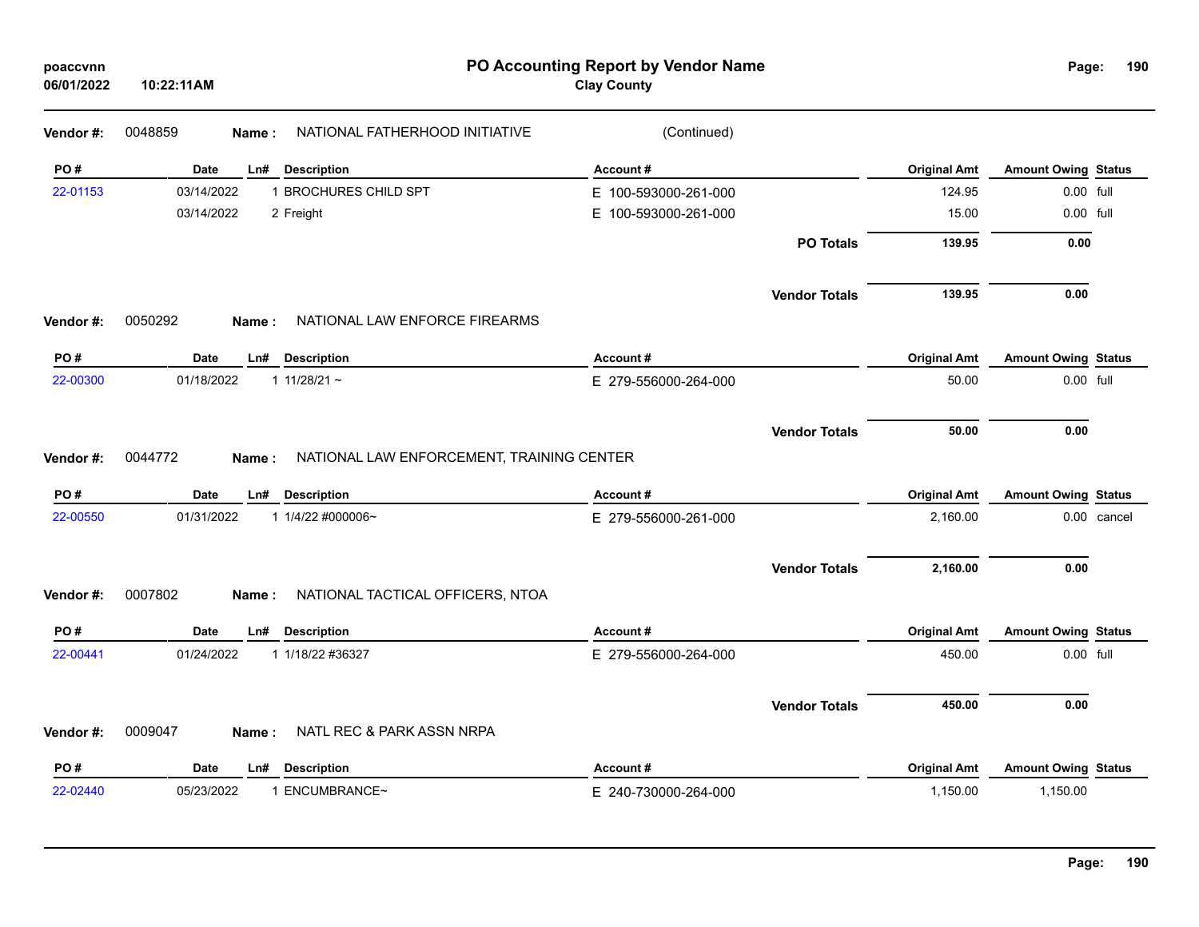| poaccvnn<br>06/01/2022 | 10:22:11AM  |                                                    | PO Accounting Report by Vendor Name<br><b>Clay County</b> |                                  | Page:                      | 190 |
|------------------------|-------------|----------------------------------------------------|-----------------------------------------------------------|----------------------------------|----------------------------|-----|
| Vendor #:              | 0048859     | NATIONAL FATHERHOOD INITIATIVE<br>Name:            | (Continued)                                               |                                  |                            |     |
| PO#                    | Date        | Ln# Description                                    | Account#                                                  | <b>Original Amt</b>              | <b>Amount Owing Status</b> |     |
| 22-01153               | 03/14/2022  | 1 BROCHURES CHILD SPT                              | E 100-593000-261-000                                      | 124.95                           | 0.00 full                  |     |
|                        | 03/14/2022  | 2 Freight                                          | 100-593000-261-000<br>Е.                                  | 15.00                            | 0.00 full                  |     |
|                        |             |                                                    |                                                           | 139.95<br><b>PO Totals</b>       | 0.00                       |     |
|                        |             |                                                    |                                                           | <b>Vendor Totals</b><br>139.95   | 0.00                       |     |
| Vendor#:               | 0050292     | NATIONAL LAW ENFORCE FIREARMS<br>Name:             |                                                           |                                  |                            |     |
| PO#                    | Date        | Ln#<br><b>Description</b>                          | Account#                                                  | <b>Original Amt</b>              | <b>Amount Owing Status</b> |     |
| 22-00300               | 01/18/2022  | 1 $11/28/21$ ~                                     | E 279-556000-264-000                                      | 50.00                            | 0.00 full                  |     |
|                        |             |                                                    |                                                           | 50.00<br><b>Vendor Totals</b>    | 0.00                       |     |
| Vendor #:              | 0044772     | NATIONAL LAW ENFORCEMENT, TRAINING CENTER<br>Name: |                                                           |                                  |                            |     |
| PO#                    | <b>Date</b> | <b>Description</b><br>Ln#                          | Account#                                                  | <b>Original Amt</b>              | <b>Amount Owing Status</b> |     |
| 22-00550               | 01/31/2022  | 1 1/4/22 #000006~                                  | E 279-556000-261-000                                      | 2,160.00                         | 0.00 cancel                |     |
|                        |             |                                                    |                                                           | 2,160.00<br><b>Vendor Totals</b> | 0.00                       |     |
| Vendor #:              | 0007802     | NATIONAL TACTICAL OFFICERS, NTOA<br>Name:          |                                                           |                                  |                            |     |
| PO#                    | <b>Date</b> | <b>Description</b><br>Ln#                          | Account#                                                  | <b>Original Amt</b>              | <b>Amount Owing Status</b> |     |
| 22-00441               | 01/24/2022  | 1 1/18/22 #36327                                   | E 279-556000-264-000                                      | 450.00                           | 0.00 full                  |     |
|                        |             |                                                    |                                                           | 450.00<br><b>Vendor Totals</b>   | 0.00                       |     |
| Vendor#:               | 0009047     | NATL REC & PARK ASSN NRPA<br>Name:                 |                                                           |                                  |                            |     |
| PO#                    | <b>Date</b> | Ln#<br><b>Description</b>                          | Account#                                                  | <b>Original Amt</b>              | <b>Amount Owing Status</b> |     |
| 22-02440               | 05/23/2022  | 1 ENCUMBRANCE~                                     | E 240-730000-264-000                                      | 1,150.00                         | 1,150.00                   |     |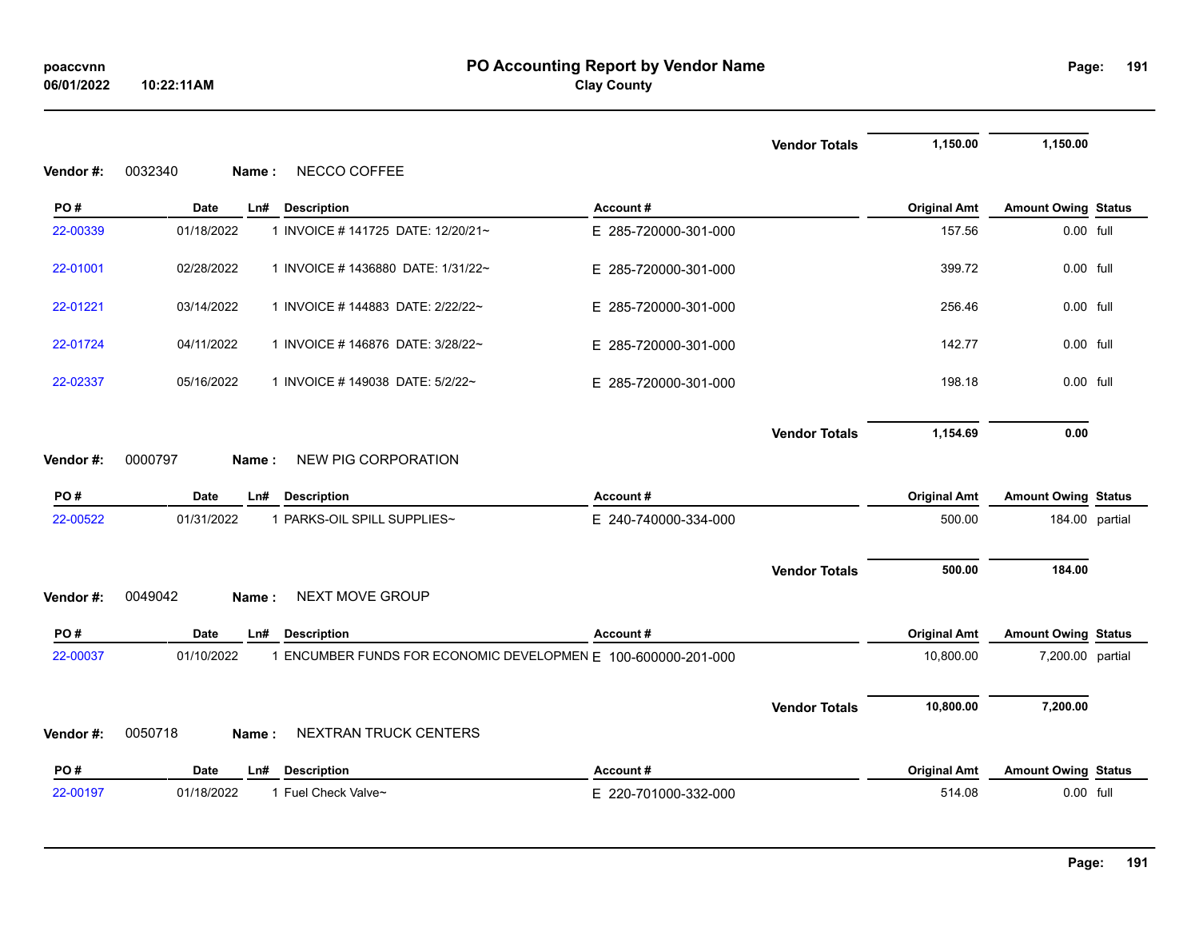|           |                                                                             |                      | <b>Vendor Totals</b> | 1,150.00            | 1,150.00                   |  |
|-----------|-----------------------------------------------------------------------------|----------------------|----------------------|---------------------|----------------------------|--|
| Vendor#:  | 0032340<br>NECCO COFFEE<br>Name:                                            |                      |                      |                     |                            |  |
| PO#       | Date<br><b>Description</b><br>Ln#                                           | Account#             |                      | <b>Original Amt</b> | <b>Amount Owing Status</b> |  |
| 22-00339  | 01/18/2022<br>1 INVOICE # 141725 DATE: 12/20/21~                            | E 285-720000-301-000 |                      | 157.56              | 0.00 full                  |  |
| 22-01001  | 1 INVOICE # 1436880 DATE: 1/31/22~<br>02/28/2022                            | E 285-720000-301-000 |                      | 399.72              | 0.00 full                  |  |
| 22-01221  | 03/14/2022<br>1 INVOICE # 144883 DATE: 2/22/22~                             | E 285-720000-301-000 |                      | 256.46              | 0.00 full                  |  |
| 22-01724  | 04/11/2022<br>1 INVOICE # 146876 DATE: 3/28/22~                             | E 285-720000-301-000 |                      | 142.77              | 0.00 full                  |  |
| 22-02337  | 05/16/2022<br>1 INVOICE # 149038 DATE: 5/2/22~                              | E 285-720000-301-000 |                      | 198.18              | $0.00$ full                |  |
| Vendor #: | 0000797<br><b>NEW PIG CORPORATION</b><br>Name :                             |                      | <b>Vendor Totals</b> | 1,154.69            | 0.00                       |  |
| PO#       | Date<br><b>Description</b><br>Ln#                                           | Account#             |                      | <b>Original Amt</b> | <b>Amount Owing Status</b> |  |
| 22-00522  | 1 PARKS-OIL SPILL SUPPLIES~<br>01/31/2022                                   | E 240-740000-334-000 |                      | 500.00              | 184.00 partial             |  |
|           | 0049042<br><b>NEXT MOVE GROUP</b>                                           |                      | <b>Vendor Totals</b> | 500.00              | 184.00                     |  |
| Vendor#:  | Name:                                                                       |                      |                      |                     |                            |  |
| PO#       | Date<br><b>Description</b><br>Ln#                                           | Account#             |                      | <b>Original Amt</b> | <b>Amount Owing Status</b> |  |
| 22-00037  | 01/10/2022<br>1 ENCUMBER FUNDS FOR ECONOMIC DEVELOPMEN E 100-600000-201-000 |                      |                      | 10,800.00           | 7,200.00 partial           |  |
| Vendor#:  | NEXTRAN TRUCK CENTERS<br>0050718<br>Name:                                   |                      | <b>Vendor Totals</b> | 10,800.00           | 7,200.00                   |  |
|           |                                                                             |                      |                      |                     |                            |  |
| PO#       | <b>Date</b><br><b>Description</b><br>Ln#                                    | Account#             |                      | <b>Original Amt</b> | <b>Amount Owing Status</b> |  |
| 22-00197  | 01/18/2022<br>1 Fuel Check Valve~                                           | E 220-701000-332-000 |                      | 514.08              | 0.00 full                  |  |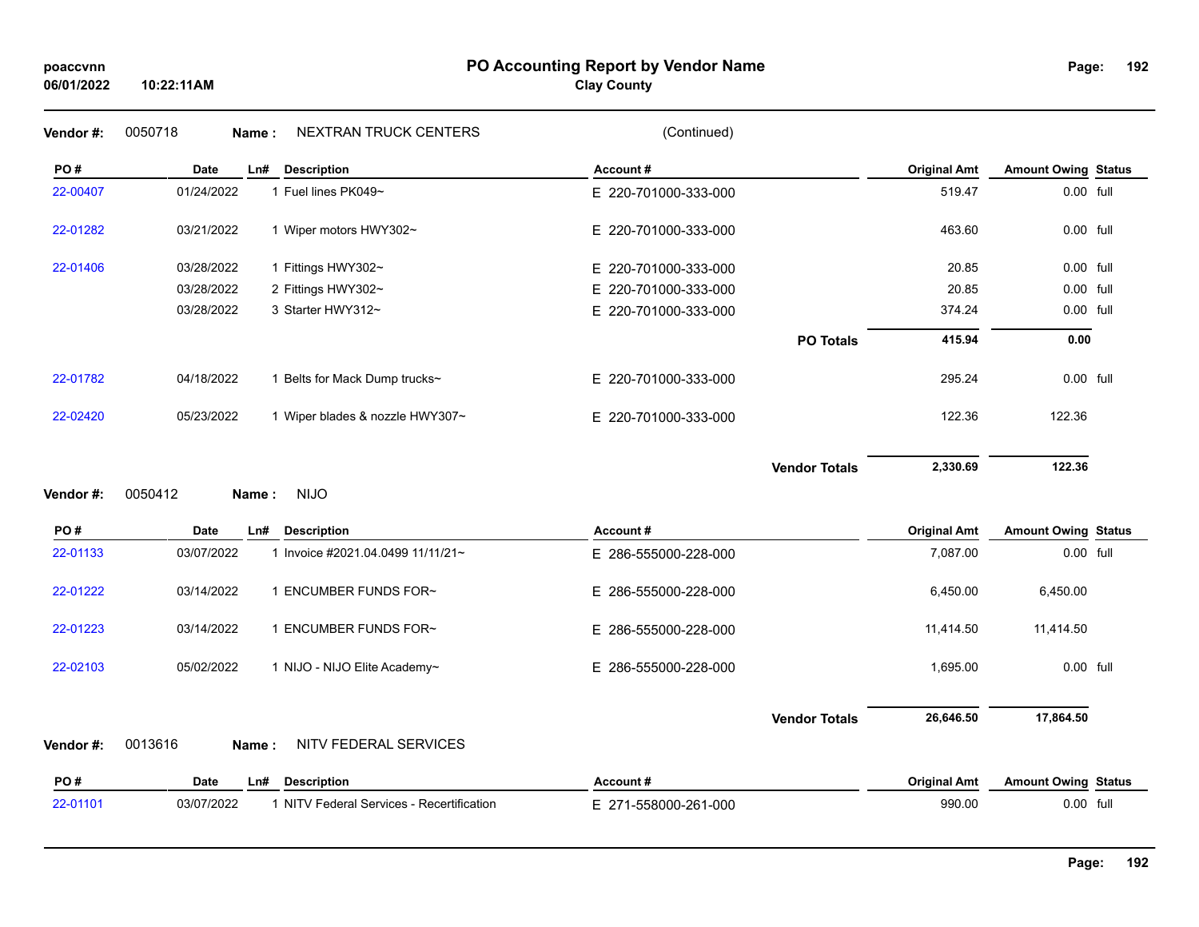#### **PO Accounting Report by Vendor Name poaccvnn Page:**

| Page: | 192 |
|-------|-----|
|       |     |

| Vendor#: | <b>NEXTRAN TRUCK CENTERS</b><br>0050718<br>Name:        | (Continued)              |                     |                            |  |
|----------|---------------------------------------------------------|--------------------------|---------------------|----------------------------|--|
| PO#      | <b>Date</b><br>Ln#<br><b>Description</b>                | Account#                 | <b>Original Amt</b> | <b>Amount Owing Status</b> |  |
| 22-00407 | 01/24/2022<br>1 Fuel lines PK049~                       | E 220-701000-333-000     | 519.47              | 0.00 full                  |  |
| 22-01282 | 03/21/2022<br>1 Wiper motors HWY302~                    | E 220-701000-333-000     | 463.60              | 0.00 full                  |  |
| 22-01406 | 03/28/2022<br>1 Fittings HWY302~                        | E 220-701000-333-000     | 20.85               | 0.00 full                  |  |
|          | 03/28/2022<br>2 Fittings HWY302~                        | 220-701000-333-000<br>Е. | 20.85               | 0.00 full                  |  |
|          | 03/28/2022<br>3 Starter HWY312~                         | E 220-701000-333-000     | 374.24              | 0.00 full                  |  |
|          |                                                         | <b>PO Totals</b>         | 415.94              | 0.00                       |  |
| 22-01782 | 04/18/2022<br>1 Belts for Mack Dump trucks~             | E 220-701000-333-000     | 295.24              | 0.00 full                  |  |
| 22-02420 | 05/23/2022<br>1 Wiper blades & nozzle HWY307~           | E 220-701000-333-000     | 122.36              | 122.36                     |  |
|          |                                                         | <b>Vendor Totals</b>     | 2,330.69            | 122.36                     |  |
| Vendor#: | 0050412<br><b>NIJO</b><br>Name:                         |                          |                     |                            |  |
|          |                                                         |                          |                     |                            |  |
| PO#      | <b>Date</b><br><b>Description</b><br>Ln#                | Account#                 | <b>Original Amt</b> | <b>Amount Owing Status</b> |  |
| 22-01133 | 03/07/2022<br>1 Invoice #2021.04.0499 11/11/21~         | E 286-555000-228-000     | 7,087.00            | 0.00 full                  |  |
| 22-01222 | 03/14/2022<br>1 ENCUMBER FUNDS FOR~                     | Е.<br>286-555000-228-000 | 6,450.00            | 6,450.00                   |  |
| 22-01223 | 03/14/2022<br>1 ENCUMBER FUNDS FOR~                     | E 286-555000-228-000     | 11,414.50           | 11,414.50                  |  |
| 22-02103 | 05/02/2022<br>1 NIJO - NIJO Elite Academy~              | E 286-555000-228-000     | 1,695.00            | 0.00 full                  |  |
|          |                                                         | <b>Vendor Totals</b>     | 26,646.50           | 17,864.50                  |  |
| Vendor#: | NITV FEDERAL SERVICES<br>0013616<br>Name:               |                          |                     |                            |  |
| PO#      | <b>Date</b><br><b>Description</b><br>Ln#                | Account#                 | <b>Original Amt</b> | <b>Amount Owing Status</b> |  |
| 22-01101 | 03/07/2022<br>1 NITV Federal Services - Recertification | E 271-558000-261-000     | 990.00              | 0.00 full                  |  |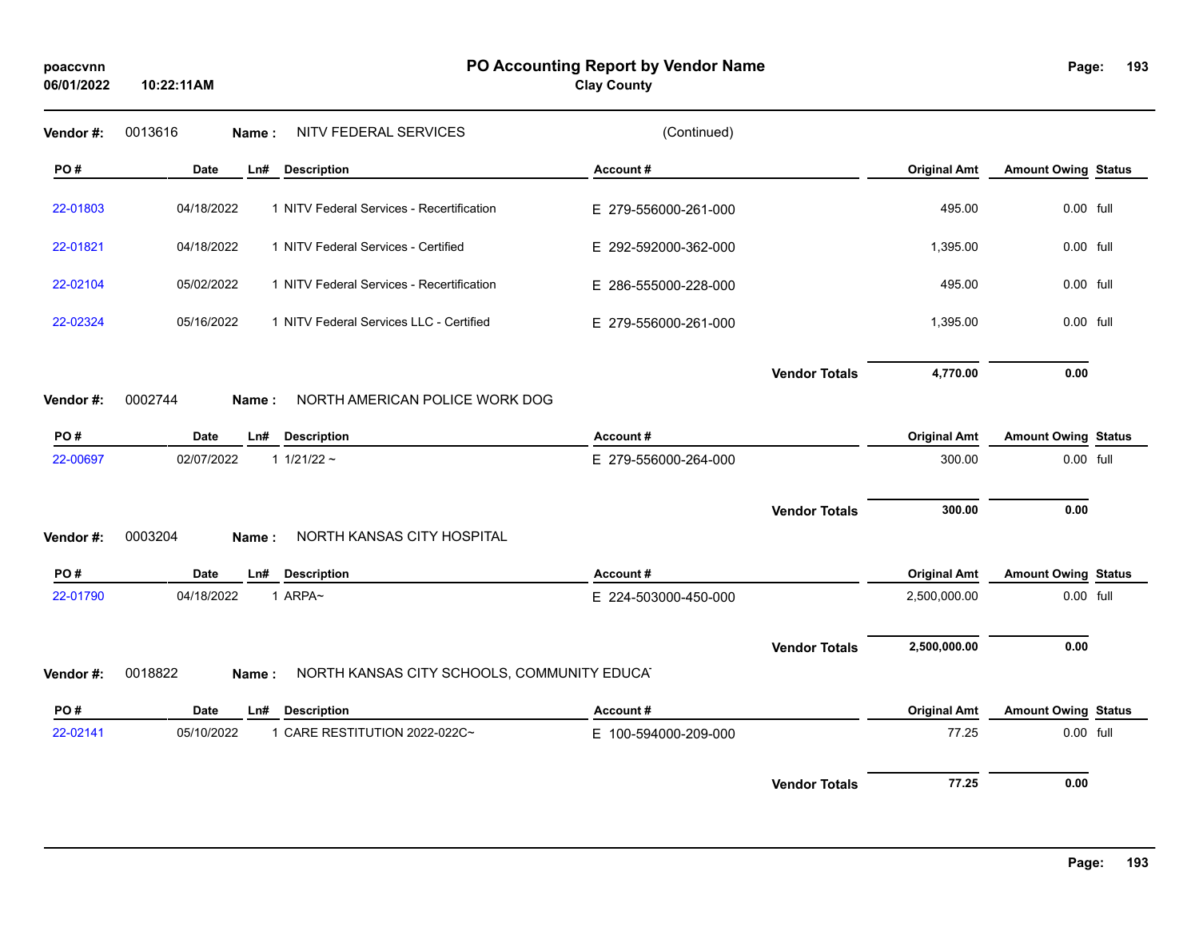**10:22:11AM**

**Clay County**

Page: 193

| Vendor #: | 0013616     | Name: | NITV FEDERAL SERVICES                      | (Continued)          |                      |                     |                            |  |
|-----------|-------------|-------|--------------------------------------------|----------------------|----------------------|---------------------|----------------------------|--|
| PO#       | Date        | Ln#   | <b>Description</b>                         | Account#             |                      | <b>Original Amt</b> | <b>Amount Owing Status</b> |  |
| 22-01803  | 04/18/2022  |       | 1 NITV Federal Services - Recertification  | E 279-556000-261-000 |                      | 495.00              | 0.00 full                  |  |
| 22-01821  | 04/18/2022  |       | 1 NITV Federal Services - Certified        | E 292-592000-362-000 |                      | 1,395.00            | 0.00 full                  |  |
| 22-02104  | 05/02/2022  |       | 1 NITV Federal Services - Recertification  | E 286-555000-228-000 |                      | 495.00              | 0.00 full                  |  |
| 22-02324  | 05/16/2022  |       | 1 NITV Federal Services LLC - Certified    | E 279-556000-261-000 |                      | 1,395.00            | 0.00 full                  |  |
|           |             |       |                                            |                      | <b>Vendor Totals</b> | 4,770.00            | 0.00                       |  |
| Vendor#:  | 0002744     | Name: | NORTH AMERICAN POLICE WORK DOG             |                      |                      |                     |                            |  |
| PO#       | <b>Date</b> | Ln#   | <b>Description</b>                         | Account#             |                      | <b>Original Amt</b> | <b>Amount Owing Status</b> |  |
| 22-00697  | 02/07/2022  |       | 1 $1/21/22$ ~                              | E 279-556000-264-000 |                      | 300.00              | 0.00 full                  |  |
|           |             |       |                                            |                      | <b>Vendor Totals</b> | 300.00              | 0.00                       |  |
| Vendor#:  | 0003204     | Name: | NORTH KANSAS CITY HOSPITAL                 |                      |                      |                     |                            |  |
| PO#       | Date        | Ln#   | <b>Description</b>                         | Account#             |                      | <b>Original Amt</b> | <b>Amount Owing Status</b> |  |
| 22-01790  | 04/18/2022  |       | 1 ARPA~                                    | E 224-503000-450-000 |                      | 2,500,000.00        | 0.00 full                  |  |
|           |             |       |                                            |                      | <b>Vendor Totals</b> | 2,500,000.00        | 0.00                       |  |
| Vendor #: | 0018822     | Name: | NORTH KANSAS CITY SCHOOLS, COMMUNITY EDUCA |                      |                      |                     |                            |  |
| PO#       | <b>Date</b> | Ln#   | <b>Description</b>                         | Account#             |                      | <b>Original Amt</b> | <b>Amount Owing Status</b> |  |
| 22-02141  | 05/10/2022  |       | 1 CARE RESTITUTION 2022-022C~              | E 100-594000-209-000 |                      | 77.25               | 0.00 full                  |  |
|           |             |       |                                            |                      | <b>Vendor Totals</b> | 77.25               | 0.00                       |  |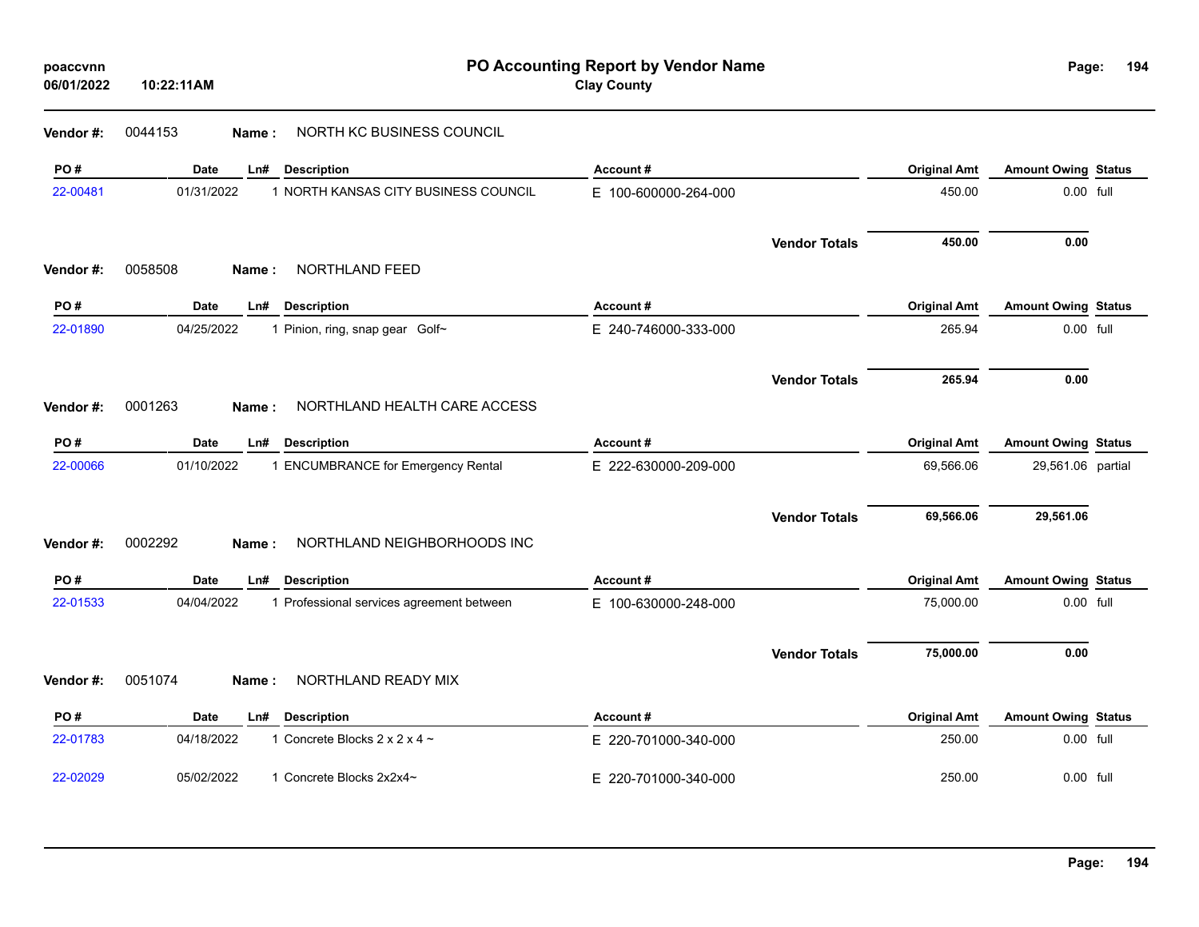| poaccvnn<br>06/01/2022 | 10:22:11AM  |                                           | PO Accounting Report by Vendor Name<br><b>Clay County</b> |                      |                     | Page:                      | 194 |
|------------------------|-------------|-------------------------------------------|-----------------------------------------------------------|----------------------|---------------------|----------------------------|-----|
| Vendor#:               | 0044153     | NORTH KC BUSINESS COUNCIL<br>Name :       |                                                           |                      |                     |                            |     |
| PO#                    | Date        | Ln#<br><b>Description</b>                 | Account#                                                  |                      | <b>Original Amt</b> | <b>Amount Owing Status</b> |     |
| 22-00481               | 01/31/2022  | 1 NORTH KANSAS CITY BUSINESS COUNCIL      | E 100-600000-264-000                                      |                      | 450.00              | 0.00 full                  |     |
|                        |             |                                           |                                                           | <b>Vendor Totals</b> | 450.00              | 0.00                       |     |
| Vendor#:               | 0058508     | NORTHLAND FEED<br>Name:                   |                                                           |                      |                     |                            |     |
| PO#                    | <b>Date</b> | <b>Description</b><br>Ln#                 | Account#                                                  |                      | <b>Original Amt</b> | <b>Amount Owing Status</b> |     |
| 22-01890               | 04/25/2022  | 1 Pinion, ring, snap gear Golf~           | E 240-746000-333-000                                      |                      | 265.94              | 0.00 full                  |     |
|                        |             |                                           |                                                           | <b>Vendor Totals</b> | 265.94              | 0.00                       |     |
| Vendor#:               | 0001263     | NORTHLAND HEALTH CARE ACCESS<br>Name:     |                                                           |                      |                     |                            |     |
| PO#                    | <b>Date</b> | <b>Description</b><br>Ln#                 | Account#                                                  |                      | <b>Original Amt</b> | <b>Amount Owing Status</b> |     |
| 22-00066               | 01/10/2022  | 1 ENCUMBRANCE for Emergency Rental        | E 222-630000-209-000                                      |                      | 69,566.06           | 29,561.06 partial          |     |
|                        |             |                                           |                                                           | <b>Vendor Totals</b> | 69,566.06           | 29,561.06                  |     |
| Vendor#:               | 0002292     | NORTHLAND NEIGHBORHOODS INC<br>Name:      |                                                           |                      |                     |                            |     |
| PO#                    | <b>Date</b> | Ln#<br><b>Description</b>                 | Account#                                                  |                      | <b>Original Amt</b> | <b>Amount Owing Status</b> |     |
| 22-01533               | 04/04/2022  | 1 Professional services agreement between | E 100-630000-248-000                                      |                      | 75,000.00           | 0.00 full                  |     |
|                        |             |                                           |                                                           | <b>Vendor Totals</b> | 75,000.00           | 0.00                       |     |
| Vendor#:               | 0051074     | NORTHLAND READY MIX<br>Name :             |                                                           |                      |                     |                            |     |
| PO#                    | Date        | <b>Description</b><br>Ln#                 | Account#                                                  |                      | <b>Original Amt</b> | <b>Amount Owing Status</b> |     |
| 22-01783               | 04/18/2022  | 1 Concrete Blocks $2 \times 2 \times 4$ ~ | E 220-701000-340-000                                      |                      | 250.00              | $0.00$ full                |     |
| 22-02029               | 05/02/2022  | 1 Concrete Blocks 2x2x4~                  | E 220-701000-340-000                                      |                      | 250.00              | 0.00 full                  |     |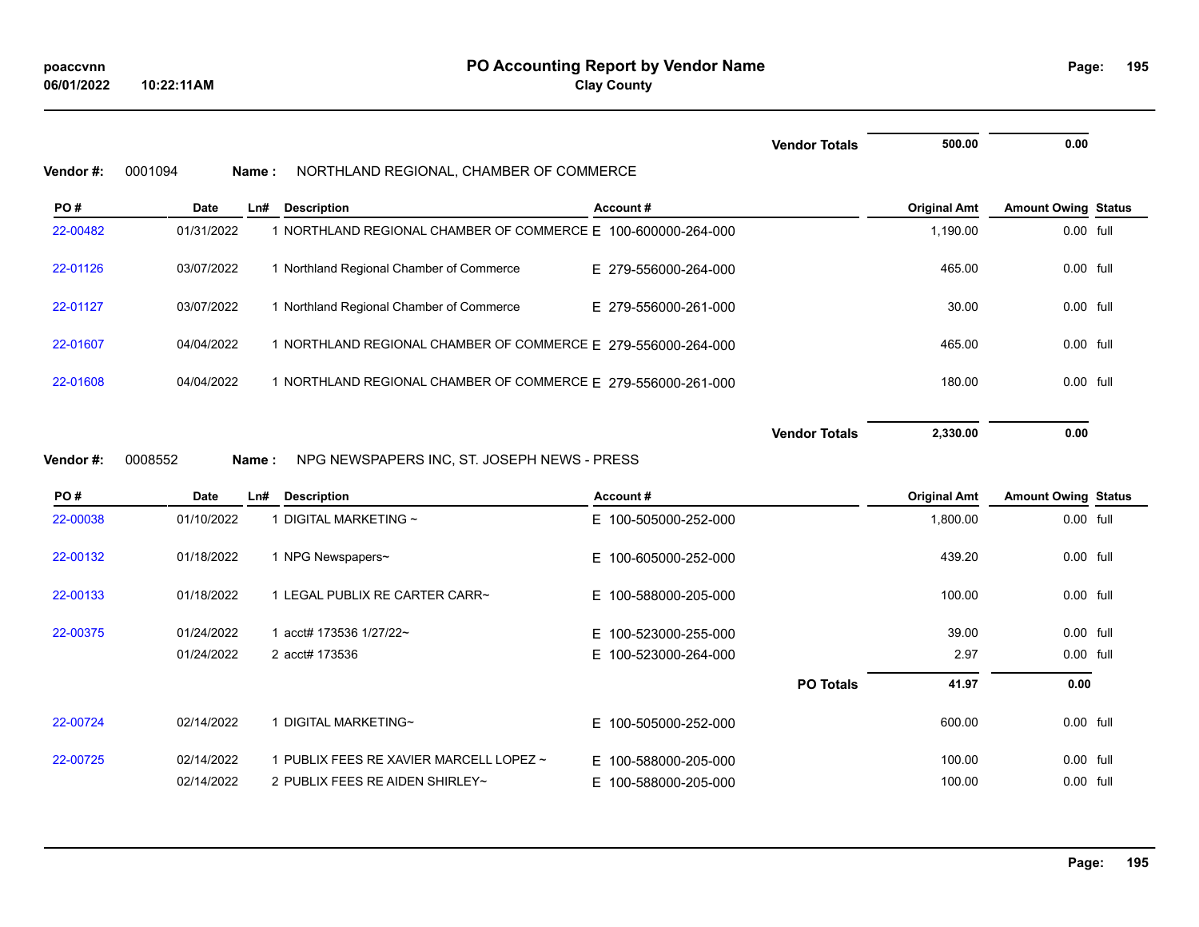|           |             |                                                               |                          | <b>Vendor Totals</b> | 500.00              | 0.00                       |  |
|-----------|-------------|---------------------------------------------------------------|--------------------------|----------------------|---------------------|----------------------------|--|
| Vendor #: | 0001094     | NORTHLAND REGIONAL, CHAMBER OF COMMERCE<br>Name:              |                          |                      |                     |                            |  |
| PO#       | <b>Date</b> | Ln#<br><b>Description</b>                                     | Account#                 |                      | <b>Original Amt</b> | <b>Amount Owing Status</b> |  |
| 22-00482  | 01/31/2022  | 1 NORTHLAND REGIONAL CHAMBER OF COMMERCE E 100-600000-264-000 |                          |                      | 1,190.00            | 0.00 full                  |  |
| 22-01126  | 03/07/2022  | 1 Northland Regional Chamber of Commerce                      | E 279-556000-264-000     |                      | 465.00              | 0.00 full                  |  |
| 22-01127  | 03/07/2022  | 1 Northland Regional Chamber of Commerce                      | E 279-556000-261-000     |                      | 30.00               | 0.00 full                  |  |
| 22-01607  | 04/04/2022  | 1 NORTHLAND REGIONAL CHAMBER OF COMMERCE E 279-556000-264-000 |                          |                      | 465.00              | 0.00 full                  |  |
| 22-01608  | 04/04/2022  | 1 NORTHLAND REGIONAL CHAMBER OF COMMERCE E 279-556000-261-000 |                          |                      | 180.00              | 0.00 full                  |  |
|           |             |                                                               |                          | <b>Vendor Totals</b> | 2,330.00            | 0.00                       |  |
| Vendor#:  | 0008552     | NPG NEWSPAPERS INC, ST. JOSEPH NEWS - PRESS<br>Name:          |                          |                      |                     |                            |  |
| PO#       | <b>Date</b> | <b>Description</b><br>Ln#                                     | Account#                 |                      | <b>Original Amt</b> | <b>Amount Owing Status</b> |  |
| 22-00038  | 01/10/2022  | 1 DIGITAL MARKETING ~                                         | E 100-505000-252-000     |                      | 1,800.00            | 0.00 full                  |  |
| 22-00132  | 01/18/2022  | 1 NPG Newspapers~                                             | E 100-605000-252-000     |                      | 439.20              | 0.00 full                  |  |
| 22-00133  | 01/18/2022  | 1 LEGAL PUBLIX RE CARTER CARR~                                | E.<br>100-588000-205-000 |                      | 100.00              | 0.00 full                  |  |
| 22-00375  | 01/24/2022  | 1 acct# 173536 1/27/22~                                       | E.<br>100-523000-255-000 |                      | 39.00               | 0.00 full                  |  |
|           | 01/24/2022  | 2 acct# 173536                                                | E.<br>100-523000-264-000 |                      | 2.97                | 0.00 full                  |  |
|           |             |                                                               |                          | <b>PO Totals</b>     | 41.97               | 0.00                       |  |
| 22-00724  | 02/14/2022  | 1 DIGITAL MARKETING~                                          | E 100-505000-252-000     |                      | 600.00              | 0.00 full                  |  |

22-00725 02/14/2022 1 PUBLIX FEES RE XAVIER MARCELL LOPEZ ~ E 100-588000-205-000 100 100.00 100.00 0.00 full

02/14/2022 2 PUBLIX FEES RE AIDEN SHIRLEY~ E 100-588000-205-000 10000 100.00 100.00 0.00 full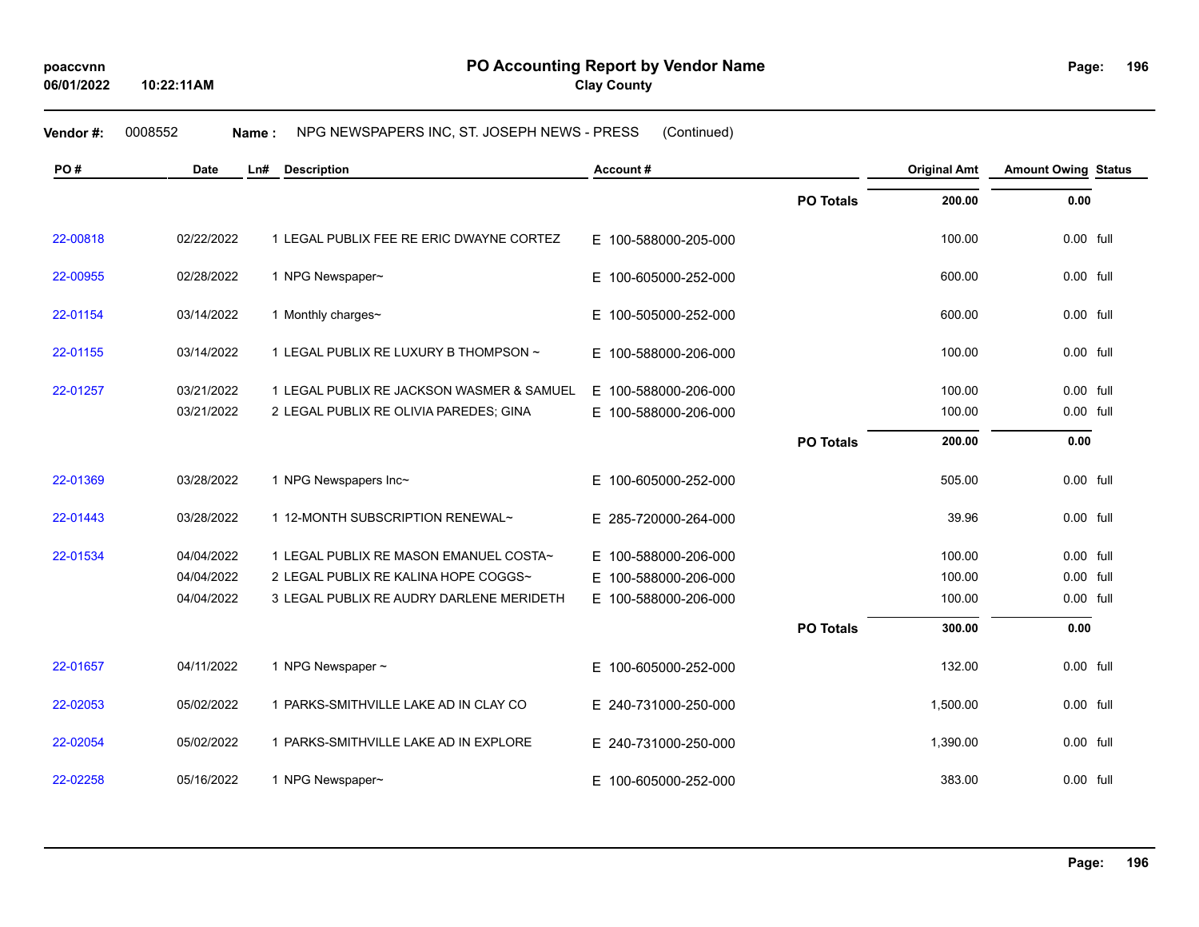## **Vendor #:** 0008552 **Name :** NPG NEWSPAPERS INC, ST. JOSEPH NEWS - PRESS (Continued)

| PO#      | <b>Date</b> | <b>Description</b><br>Ln#                 | Account#                 |                  | <b>Original Amt</b> | <b>Amount Owing Status</b> |  |
|----------|-------------|-------------------------------------------|--------------------------|------------------|---------------------|----------------------------|--|
|          |             |                                           |                          | <b>PO Totals</b> | 200.00              | 0.00                       |  |
| 22-00818 | 02/22/2022  | 1 LEGAL PUBLIX FEE RE ERIC DWAYNE CORTEZ  | E 100-588000-205-000     |                  | 100.00              | $0.00$ full                |  |
| 22-00955 | 02/28/2022  | 1 NPG Newspaper~                          | E.<br>100-605000-252-000 |                  | 600.00              | 0.00 full                  |  |
| 22-01154 | 03/14/2022  | 1 Monthly charges~                        | E<br>100-505000-252-000  |                  | 600.00              | $0.00$ full                |  |
| 22-01155 | 03/14/2022  | 1 LEGAL PUBLIX RE LUXURY B THOMPSON ~     | E 100-588000-206-000     |                  | 100.00              | 0.00 full                  |  |
| 22-01257 | 03/21/2022  | 1 LEGAL PUBLIX RE JACKSON WASMER & SAMUEL | E 100-588000-206-000     |                  | 100.00              | 0.00 full                  |  |
|          | 03/21/2022  | 2 LEGAL PUBLIX RE OLIVIA PAREDES; GINA    | E 100-588000-206-000     |                  | 100.00              | 0.00 full                  |  |
|          |             |                                           |                          | <b>PO Totals</b> | 200.00              | 0.00                       |  |
| 22-01369 | 03/28/2022  | 1 NPG Newspapers Inc~                     | E<br>100-605000-252-000  |                  | 505.00              | 0.00 full                  |  |
| 22-01443 | 03/28/2022  | 1 12-MONTH SUBSCRIPTION RENEWAL~          | E 285-720000-264-000     |                  | 39.96               | 0.00 full                  |  |
| 22-01534 | 04/04/2022  | 1 LEGAL PUBLIX RE MASON EMANUEL COSTA~    | E 100-588000-206-000     |                  | 100.00              | 0.00 full                  |  |
|          | 04/04/2022  | 2 LEGAL PUBLIX RE KALINA HOPE COGGS~      | 100-588000-206-000<br>E. |                  | 100.00              | 0.00 full                  |  |
|          | 04/04/2022  | 3 LEGAL PUBLIX RE AUDRY DARLENE MERIDETH  | 100-588000-206-000<br>E. |                  | 100.00              | 0.00 full                  |  |
|          |             |                                           |                          | <b>PO Totals</b> | 300.00              | 0.00                       |  |
| 22-01657 | 04/11/2022  | 1 NPG Newspaper ~                         | E 100-605000-252-000     |                  | 132.00              | 0.00 full                  |  |
| 22-02053 | 05/02/2022  | 1 PARKS-SMITHVILLE LAKE AD IN CLAY CO     | E 240-731000-250-000     |                  | 1,500.00            | 0.00 full                  |  |
| 22-02054 | 05/02/2022  | 1 PARKS-SMITHVILLE LAKE AD IN EXPLORE     | E 240-731000-250-000     |                  | 1,390.00            | 0.00 full                  |  |
| 22-02258 | 05/16/2022  | 1 NPG Newspaper~                          | E 100-605000-252-000     |                  | 383.00              | 0.00 full                  |  |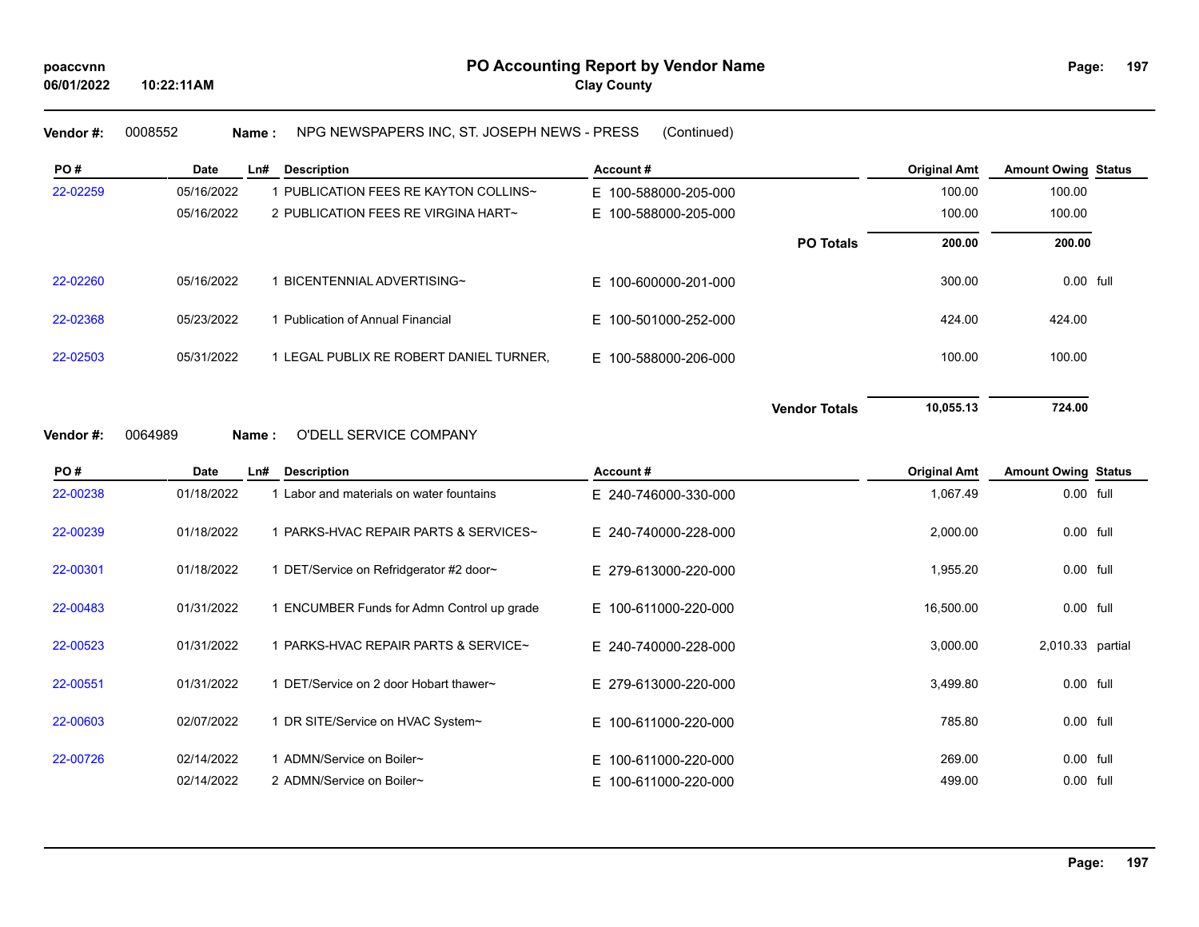**Vendor #:** 0008552 **Name :** NPG NEWSPAPERS INC, ST. JOSEPH NEWS - PRESS (Continued)

| PO#      | Date       | Ln#<br><b>Description</b>               | Account#             |                      | <b>Original Amt</b> | <b>Amount Owing Status</b> |  |
|----------|------------|-----------------------------------------|----------------------|----------------------|---------------------|----------------------------|--|
| 22-02259 | 05/16/2022 | 1 PUBLICATION FEES RE KAYTON COLLINS∼   | E 100-588000-205-000 |                      | 100.00              | 100.00                     |  |
|          | 05/16/2022 | 2 PUBLICATION FEES RE VIRGINA HART~     | E 100-588000-205-000 |                      | 100.00              | 100.00                     |  |
|          |            |                                         |                      | <b>PO Totals</b>     | 200.00              | 200.00                     |  |
| 22-02260 | 05/16/2022 | BICENTENNIAL ADVERTISING~               | E 100-600000-201-000 |                      | 300.00              | 0.00 full                  |  |
| 22-02368 | 05/23/2022 | <b>Publication of Annual Financial</b>  | E 100-501000-252-000 |                      | 424.00              | 424.00                     |  |
| 22-02503 | 05/31/2022 | 1 LEGAL PUBLIX RE ROBERT DANIEL TURNER, | E 100-588000-206-000 |                      | 100.00              | 100.00                     |  |
|          | 0001000    | ODELL SEDVICE COMPANY                   |                      | <b>Vendor Totals</b> | 10,055.13           | 724.00                     |  |

#### **Vendor #:** 0064989 **Name :** O'DELL SERVICE COMPANY

| PO#      | Date       | Ln#<br><b>Description</b>                        | Account#             | <b>Original Amt</b> | <b>Amount Owing Status</b> |  |
|----------|------------|--------------------------------------------------|----------------------|---------------------|----------------------------|--|
| 22-00238 | 01/18/2022 | Labor and materials on water fountains           | E 240-746000-330-000 | 1,067.49            | 0.00 full                  |  |
| 22-00239 | 01/18/2022 | <b>I PARKS-HVAC REPAIR PARTS &amp; SERVICES~</b> | E 240-740000-228-000 | 2,000.00            | 0.00 full                  |  |
| 22-00301 | 01/18/2022 | 1 DET/Service on Refridgerator #2 door~          | E 279-613000-220-000 | 1,955.20            | 0.00 full                  |  |
| 22-00483 | 01/31/2022 | ENCUMBER Funds for Admn Control up grade         | E 100-611000-220-000 | 16,500.00           | 0.00 full                  |  |
| 22-00523 | 01/31/2022 | 1 PARKS-HVAC REPAIR PARTS & SERVICE~             | E 240-740000-228-000 | 3,000.00            | 2,010.33 partial           |  |
| 22-00551 | 01/31/2022 | DET/Service on 2 door Hobart thawer~             | E 279-613000-220-000 | 3,499.80            | 0.00 full                  |  |
| 22-00603 | 02/07/2022 | 1 DR SITE/Service on HVAC System~                | E 100-611000-220-000 | 785.80              | 0.00 full                  |  |
| 22-00726 | 02/14/2022 | Ⅰ ADMN/Service on Boiler∼                        | E 100-611000-220-000 | 269.00              | 0.00 full                  |  |
|          | 02/14/2022 | 2 ADMN/Service on Boiler~                        | E 100-611000-220-000 | 499.00              | $0.00$ full                |  |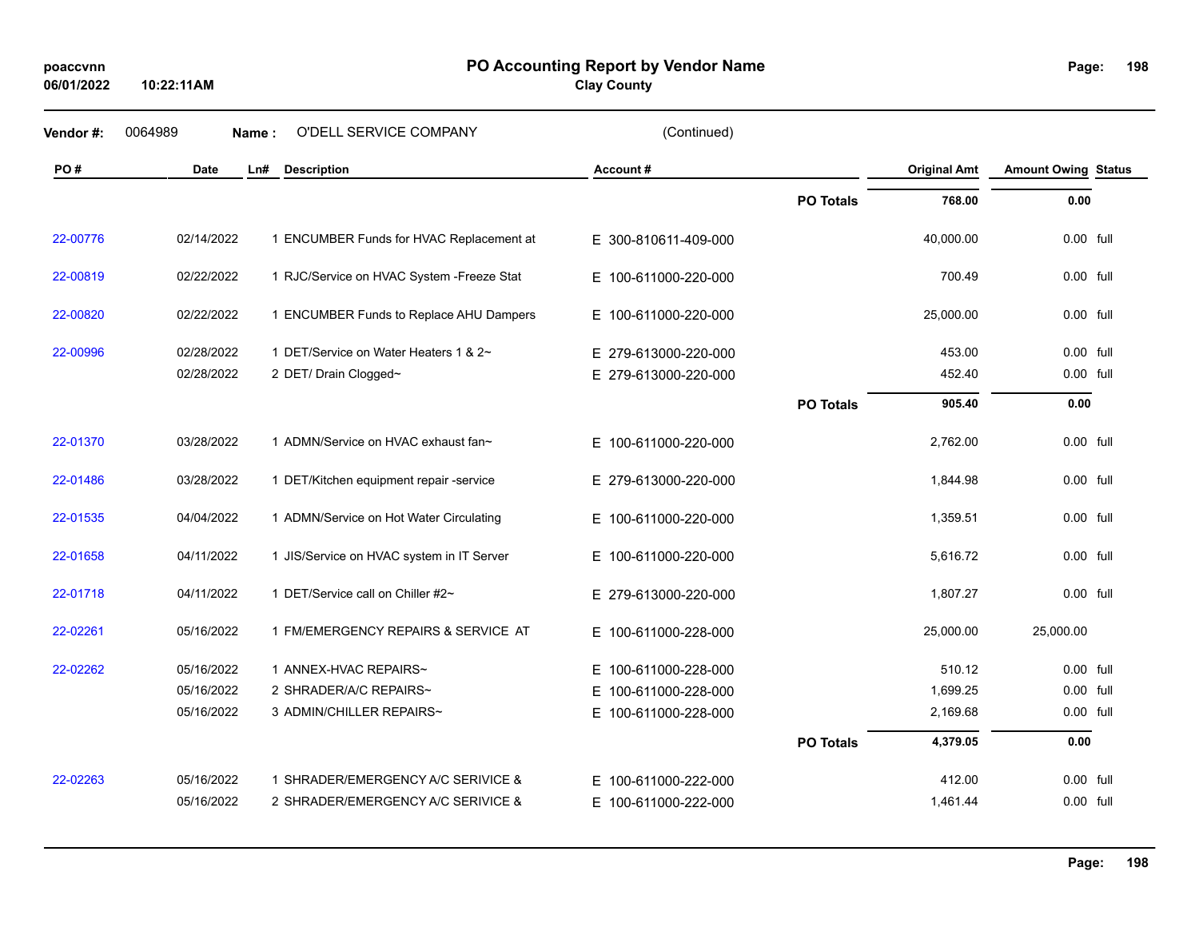**PO Accounting Report by Vendor Name poaccvnn Page:**

| 06/01/2022 | 10:22:11AM  |                                            | <b>Clay County</b>   |                  |                     |                            |             |
|------------|-------------|--------------------------------------------|----------------------|------------------|---------------------|----------------------------|-------------|
| Vendor#:   | 0064989     | O'DELL SERVICE COMPANY<br>Name:            | (Continued)          |                  |                     |                            |             |
| PO#        | <b>Date</b> | <b>Description</b><br>Ln#                  | Account#             |                  | <b>Original Amt</b> | <b>Amount Owing Status</b> |             |
|            |             |                                            |                      | <b>PO Totals</b> | 768.00              | 0.00                       |             |
| 22-00776   | 02/14/2022  | 1 ENCUMBER Funds for HVAC Replacement at   | E 300-810611-409-000 |                  | 40,000.00           |                            | 0.00 full   |
| 22-00819   | 02/22/2022  | 1 RJC/Service on HVAC System - Freeze Stat | E 100-611000-220-000 |                  | 700.49              |                            | 0.00 full   |
| 22-00820   | 02/22/2022  | 1 ENCUMBER Funds to Replace AHU Dampers    | E 100-611000-220-000 |                  | 25,000.00           |                            | 0.00 full   |
| 22-00996   | 02/28/2022  | 1 DET/Service on Water Heaters 1 & 2~      | E 279-613000-220-000 |                  | 453.00              |                            | 0.00 full   |
|            | 02/28/2022  | 2 DET/ Drain Clogged~                      | E 279-613000-220-000 |                  | 452.40              |                            | 0.00 full   |
|            |             |                                            |                      | <b>PO Totals</b> | 905.40              | 0.00                       |             |
| 22-01370   | 03/28/2022  | 1 ADMN/Service on HVAC exhaust fan~        | E 100-611000-220-000 |                  | 2,762.00            |                            | $0.00$ full |
| 22-01486   | 03/28/2022  | 1 DET/Kitchen equipment repair -service    | E 279-613000-220-000 |                  | 1,844.98            |                            | $0.00$ full |
| 22-01535   | 04/04/2022  | 1 ADMN/Service on Hot Water Circulating    | E 100-611000-220-000 |                  | 1,359.51            |                            | $0.00$ full |
| 22-01658   | 04/11/2022  | 1 JIS/Service on HVAC system in IT Server  | E 100-611000-220-000 |                  | 5,616.72            |                            | $0.00$ full |
| 22-01718   | 04/11/2022  | 1 DET/Service call on Chiller #2~          | E 279-613000-220-000 |                  | 1,807.27            |                            | $0.00$ full |
| 22-02261   | 05/16/2022  | 1 FM/EMERGENCY REPAIRS & SERVICE AT        | E 100-611000-228-000 |                  | 25,000.00           | 25,000.00                  |             |
| 22-02262   | 05/16/2022  | 1 ANNEX-HVAC REPAIRS~                      | E 100-611000-228-000 |                  | 510.12              |                            | $0.00$ full |
|            | 05/16/2022  | 2 SHRADER/A/C REPAIRS~                     | E 100-611000-228-000 |                  | 1,699.25            |                            | $0.00$ full |
|            | 05/16/2022  | 3 ADMIN/CHILLER REPAIRS~                   | E 100-611000-228-000 |                  | 2,169.68            | 0.00 full                  |             |
|            |             |                                            |                      | <b>PO Totals</b> | 4,379.05            | 0.00                       |             |
| 22-02263   | 05/16/2022  | 1 SHRADER/EMERGENCY A/C SERIVICE &         | E 100-611000-222-000 |                  | 412.00              |                            | $0.00$ full |
|            | 05/16/2022  | 2 SHRADER/EMERGENCY A/C SERIVICE &         | E 100-611000-222-000 |                  | 1,461.44            |                            | $0.00$ full |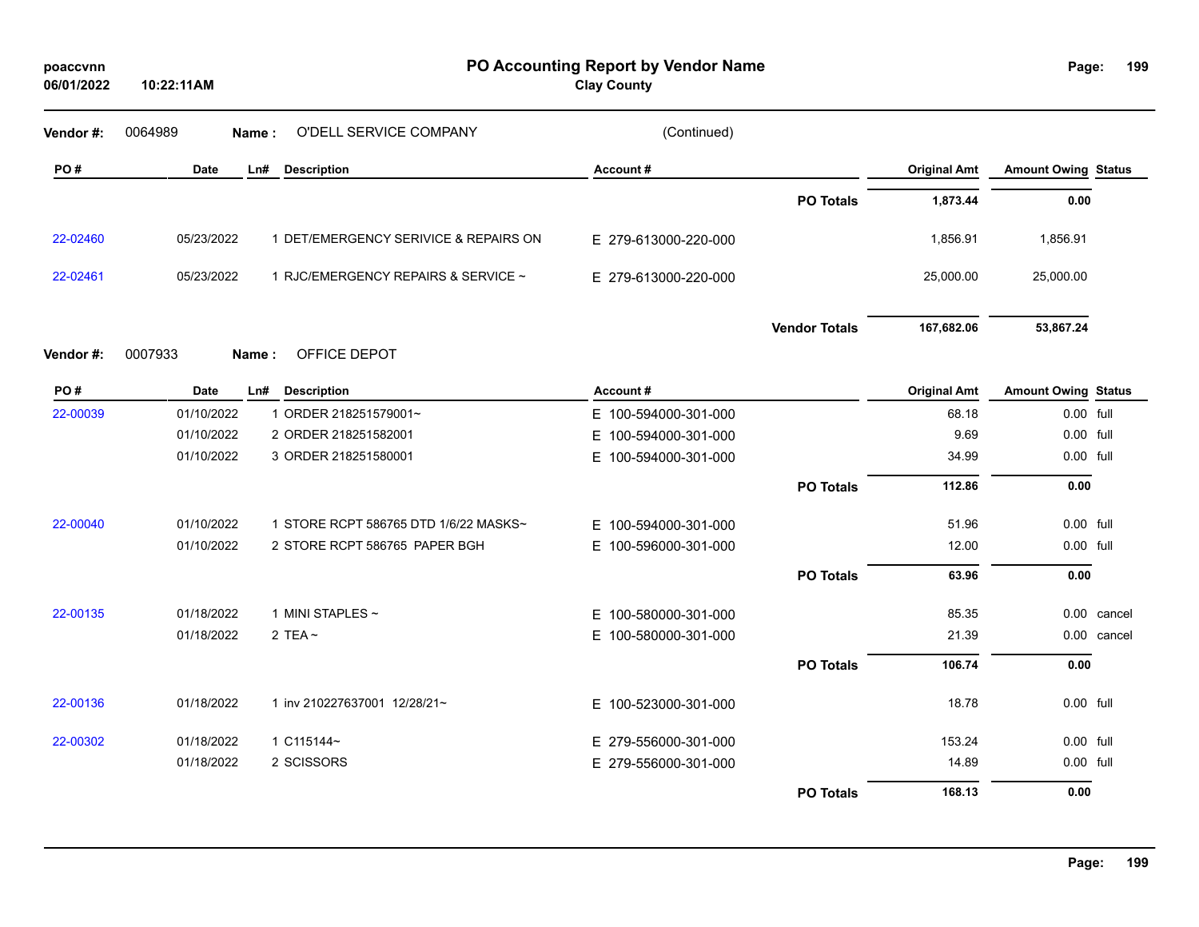| poaccvnn<br>06/01/2022 | 10:22:11AM |                                       | PO Accounting Report by Vendor Name<br><b>Clay County</b> |                      |                     | Page:                      | 199         |
|------------------------|------------|---------------------------------------|-----------------------------------------------------------|----------------------|---------------------|----------------------------|-------------|
| Vendor#:               | 0064989    | O'DELL SERVICE COMPANY<br>Name:       | (Continued)                                               |                      |                     |                            |             |
| PO#                    | Date       | <b>Description</b><br>Ln#             | Account#                                                  |                      | <b>Original Amt</b> | <b>Amount Owing Status</b> |             |
|                        |            |                                       |                                                           | <b>PO Totals</b>     | 1,873.44            | 0.00                       |             |
| 22-02460               | 05/23/2022 | 1 DET/EMERGENCY SERIVICE & REPAIRS ON | E 279-613000-220-000                                      |                      | 1,856.91            | 1,856.91                   |             |
| 22-02461               | 05/23/2022 | 1 RJC/EMERGENCY REPAIRS & SERVICE ~   | E 279-613000-220-000                                      |                      | 25,000.00           | 25,000.00                  |             |
|                        |            |                                       |                                                           | <b>Vendor Totals</b> | 167,682.06          | 53,867.24                  |             |
| Vendor #:              | 0007933    | OFFICE DEPOT<br>Name:                 |                                                           |                      |                     |                            |             |
| PO#                    | Date       | Ln# Description                       | Account#                                                  |                      | <b>Original Amt</b> | <b>Amount Owing Status</b> |             |
| 22-00039               | 01/10/2022 | 1 ORDER 218251579001~                 | E 100-594000-301-000                                      |                      | 68.18               | 0.00 full                  |             |
|                        | 01/10/2022 | 2 ORDER 218251582001                  | E 100-594000-301-000                                      |                      | 9.69                | 0.00 full                  |             |
|                        | 01/10/2022 | 3 ORDER 218251580001                  | E 100-594000-301-000                                      |                      | 34.99               | 0.00 full                  |             |
|                        |            |                                       |                                                           | <b>PO Totals</b>     | 112.86              | 0.00                       |             |
| 22-00040               | 01/10/2022 | 1 STORE RCPT 586765 DTD 1/6/22 MASKS~ | E 100-594000-301-000                                      |                      | 51.96               | 0.00 full                  |             |
|                        | 01/10/2022 | 2 STORE RCPT 586765 PAPER BGH         | E 100-596000-301-000                                      |                      | 12.00               | 0.00 full                  |             |
|                        |            |                                       |                                                           | <b>PO Totals</b>     | 63.96               | 0.00                       |             |
| 22-00135               | 01/18/2022 | 1 MINI STAPLES ~                      | E 100-580000-301-000                                      |                      | 85.35               |                            | 0.00 cancel |
|                        | 01/18/2022 | 2 TEA $\sim$                          | E 100-580000-301-000                                      |                      | 21.39               |                            | 0.00 cancel |
|                        |            |                                       |                                                           | <b>PO Totals</b>     | 106.74              | 0.00                       |             |
| 22-00136               | 01/18/2022 | 1 inv 210227637001 12/28/21~          | E 100-523000-301-000                                      |                      | 18.78               | 0.00 full                  |             |
| 22-00302               | 01/18/2022 | 1 C115144~                            | E 279-556000-301-000                                      |                      | 153.24              | 0.00 full                  |             |
|                        | 01/18/2022 | 2 SCISSORS                            | E 279-556000-301-000                                      |                      | 14.89               | 0.00 full                  |             |
|                        |            |                                       |                                                           | <b>PO Totals</b>     | 168.13              | 0.00                       |             |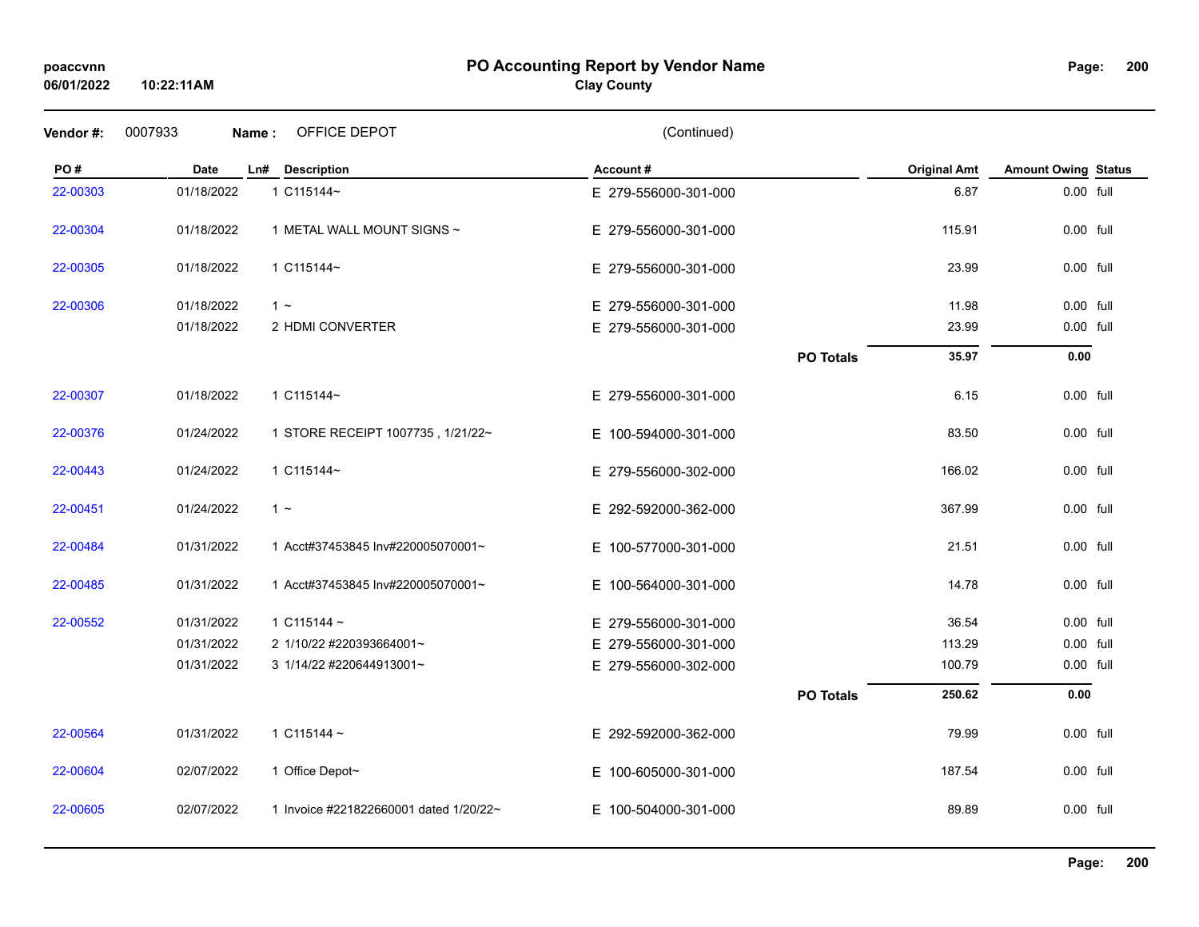## **PO Accounting Report by Vendor Name poaccvnn Page:**

# **Clay County**

| Vendor#: | 0007933    | OFFICE DEPOT<br>Name:                  | (Continued)          |                  |                     |                            |  |
|----------|------------|----------------------------------------|----------------------|------------------|---------------------|----------------------------|--|
| PO#      | Date       | <b>Description</b><br>Ln#              | Account#             |                  | <b>Original Amt</b> | <b>Amount Owing Status</b> |  |
| 22-00303 | 01/18/2022 | 1 C115144~                             | E 279-556000-301-000 |                  | 6.87                | 0.00 full                  |  |
| 22-00304 | 01/18/2022 | 1 METAL WALL MOUNT SIGNS ~             | E 279-556000-301-000 |                  | 115.91              | 0.00 full                  |  |
| 22-00305 | 01/18/2022 | 1 C115144~                             | E 279-556000-301-000 |                  | 23.99               | 0.00 full                  |  |
| 22-00306 | 01/18/2022 | $1 -$                                  | E 279-556000-301-000 |                  | 11.98               | 0.00 full                  |  |
|          | 01/18/2022 | 2 HDMI CONVERTER                       | E 279-556000-301-000 |                  | 23.99               | 0.00 full                  |  |
|          |            |                                        |                      | <b>PO Totals</b> | 35.97               | 0.00                       |  |
| 22-00307 | 01/18/2022 | 1 C115144~                             | E 279-556000-301-000 |                  | 6.15                | 0.00 full                  |  |
| 22-00376 | 01/24/2022 | 1 STORE RECEIPT 1007735, 1/21/22~      | E 100-594000-301-000 |                  | 83.50               | 0.00 full                  |  |
| 22-00443 | 01/24/2022 | 1 C115144~                             | E 279-556000-302-000 |                  | 166.02              | 0.00 full                  |  |
| 22-00451 | 01/24/2022 | $1 -$                                  | E 292-592000-362-000 |                  | 367.99              | 0.00 full                  |  |
| 22-00484 | 01/31/2022 | 1 Acct#37453845 Inv#220005070001~      | E 100-577000-301-000 |                  | 21.51               | 0.00 full                  |  |
| 22-00485 | 01/31/2022 | 1 Acct#37453845 Inv#220005070001~      | E 100-564000-301-000 |                  | 14.78               | 0.00 full                  |  |
| 22-00552 | 01/31/2022 | 1 $C115144 -$                          | E 279-556000-301-000 |                  | 36.54               | 0.00 full                  |  |
|          | 01/31/2022 | 2 1/10/22 #220393664001~               | E 279-556000-301-000 |                  | 113.29              | 0.00 full                  |  |
|          | 01/31/2022 | 3 1/14/22 #220644913001~               | E 279-556000-302-000 |                  | 100.79              | 0.00 full                  |  |
|          |            |                                        |                      | <b>PO Totals</b> | 250.62              | 0.00                       |  |
| 22-00564 | 01/31/2022 | 1 $C115144 -$                          | E 292-592000-362-000 |                  | 79.99               | $0.00$ full                |  |
| 22-00604 | 02/07/2022 | 1 Office Depot~                        | E 100-605000-301-000 |                  | 187.54              | 0.00 full                  |  |
| 22-00605 | 02/07/2022 | 1 Invoice #221822660001 dated 1/20/22~ | E 100-504000-301-000 |                  | 89.89               | 0.00 full                  |  |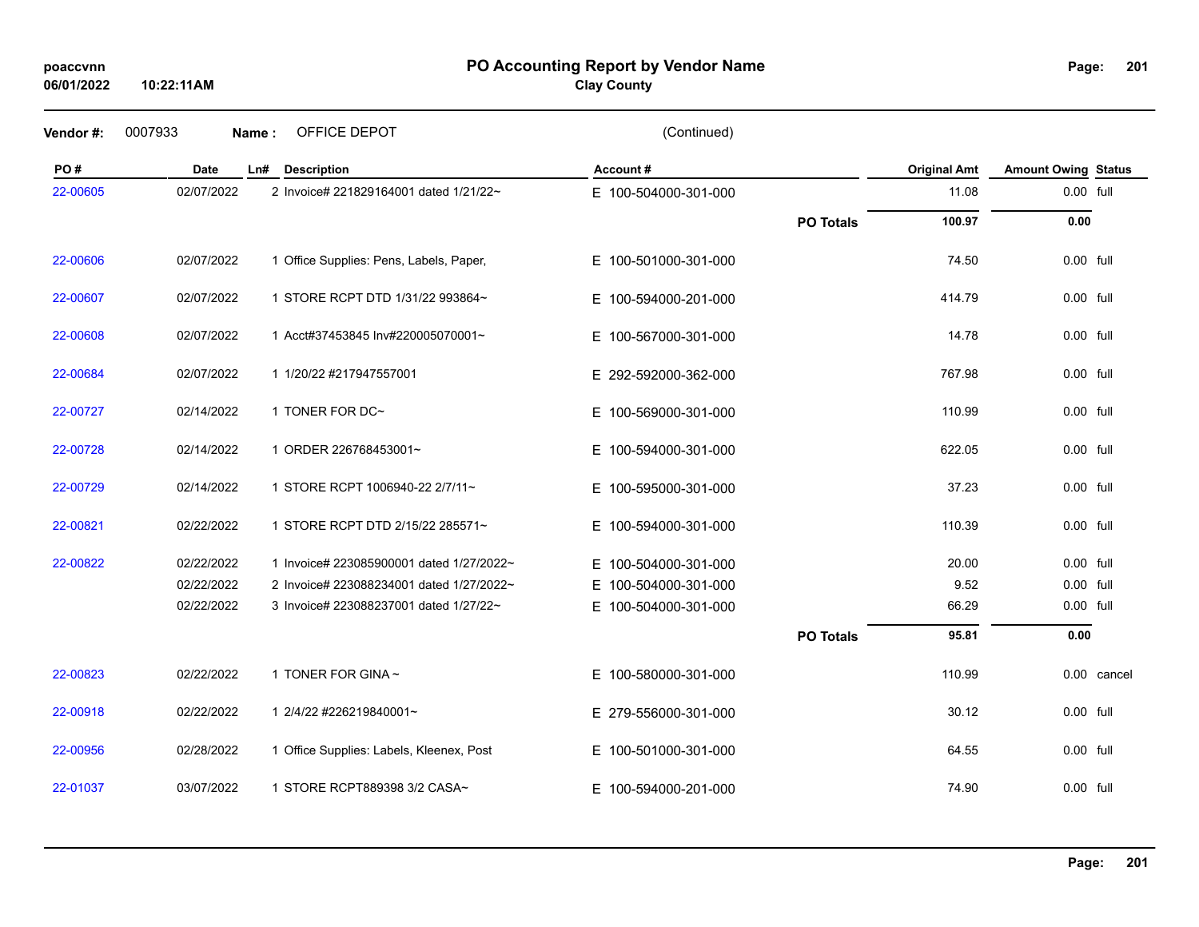## **PO Accounting Report by Vendor Name poaccvnn Page:**

**Clay County**

| Vendor#: | 0007933     | OFFICE DEPOT<br>Name:                    | (Continued)              |                  |                     |                            |             |
|----------|-------------|------------------------------------------|--------------------------|------------------|---------------------|----------------------------|-------------|
| PO#      | <b>Date</b> | Ln#<br><b>Description</b>                | Account#                 |                  | <b>Original Amt</b> | <b>Amount Owing Status</b> |             |
| 22-00605 | 02/07/2022  | 2 Invoice# 221829164001 dated 1/21/22~   | E 100-504000-301-000     |                  | 11.08               | 0.00 full                  |             |
|          |             |                                          |                          | <b>PO Totals</b> | 100.97              | 0.00                       |             |
| 22-00606 | 02/07/2022  | 1 Office Supplies: Pens, Labels, Paper,  | E 100-501000-301-000     |                  | 74.50               | 0.00 full                  |             |
| 22-00607 | 02/07/2022  | 1 STORE RCPT DTD 1/31/22 993864~         | E 100-594000-201-000     |                  | 414.79              | 0.00 full                  |             |
| 22-00608 | 02/07/2022  | 1 Acct#37453845 Inv#220005070001~        | E 100-567000-301-000     |                  | 14.78               | 0.00 full                  |             |
| 22-00684 | 02/07/2022  | 1 1/20/22 #217947557001                  | E 292-592000-362-000     |                  | 767.98              | 0.00 full                  |             |
| 22-00727 | 02/14/2022  | 1 TONER FOR DC~                          | E 100-569000-301-000     |                  | 110.99              | 0.00 full                  |             |
| 22-00728 | 02/14/2022  | 1 ORDER 226768453001~                    | E 100-594000-301-000     |                  | 622.05              | 0.00 full                  |             |
| 22-00729 | 02/14/2022  | 1 STORE RCPT 1006940-22 2/7/11~          | E 100-595000-301-000     |                  | 37.23               | 0.00 full                  |             |
| 22-00821 | 02/22/2022  | 1 STORE RCPT DTD 2/15/22 285571~         | E 100-594000-301-000     |                  | 110.39              | $0.00$ full                |             |
| 22-00822 | 02/22/2022  | 1 Invoice# 223085900001 dated 1/27/2022~ | E 100-504000-301-000     |                  | 20.00               | 0.00 full                  |             |
|          | 02/22/2022  | 2 Invoice# 223088234001 dated 1/27/2022~ | 100-504000-301-000<br>E. |                  | 9.52                | 0.00 full                  |             |
|          | 02/22/2022  | 3 Invoice# 223088237001 dated 1/27/22~   | E 100-504000-301-000     |                  | 66.29               | 0.00 full                  |             |
|          |             |                                          |                          | <b>PO Totals</b> | 95.81               | 0.00                       |             |
| 22-00823 | 02/22/2022  | 1 TONER FOR GINA ~                       | E 100-580000-301-000     |                  | 110.99              |                            | 0.00 cancel |
| 22-00918 | 02/22/2022  | 1 2/4/22 #226219840001~                  | E 279-556000-301-000     |                  | 30.12               | 0.00 full                  |             |
| 22-00956 | 02/28/2022  | 1 Office Supplies: Labels, Kleenex, Post | E 100-501000-301-000     |                  | 64.55               | 0.00 full                  |             |
| 22-01037 | 03/07/2022  | 1 STORE RCPT889398 3/2 CASA~             | E 100-594000-201-000     |                  | 74.90               | 0.00 full                  |             |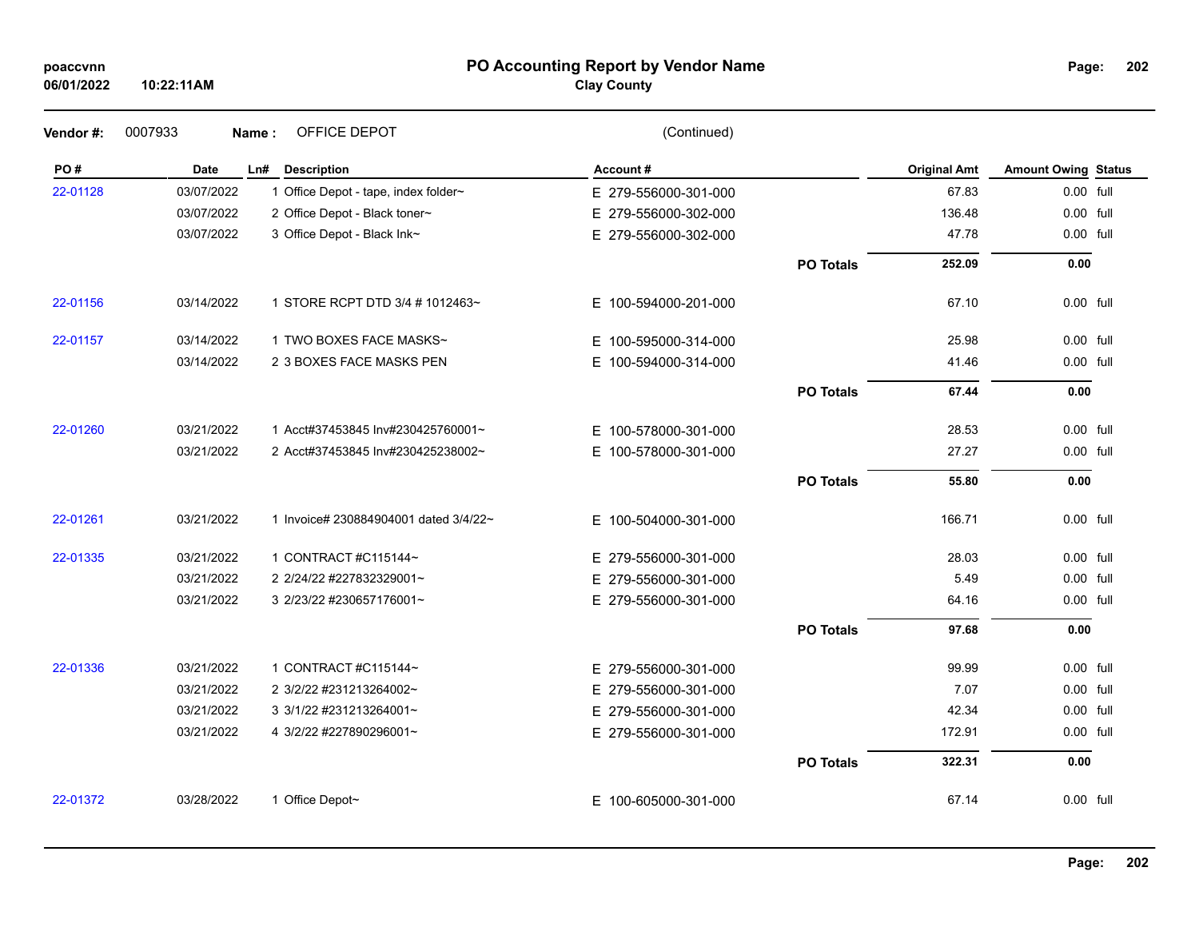#### **PO Accounting Report by Vendor Name poaccvnn Page:**

# **Clay County**

| Vendor#: | 0007933     | OFFICE DEPOT<br>Name:                 | (Continued)              |                  |                     |                            |  |
|----------|-------------|---------------------------------------|--------------------------|------------------|---------------------|----------------------------|--|
| PO#      | <b>Date</b> | Ln#<br><b>Description</b>             | Account#                 |                  | <b>Original Amt</b> | <b>Amount Owing Status</b> |  |
| 22-01128 | 03/07/2022  | 1 Office Depot - tape, index folder~  | E 279-556000-301-000     |                  | 67.83               | 0.00 full                  |  |
|          | 03/07/2022  | 2 Office Depot - Black toner~         | E 279-556000-302-000     |                  | 136.48              | 0.00 full                  |  |
|          | 03/07/2022  | 3 Office Depot - Black Ink~           | E 279-556000-302-000     |                  | 47.78               | 0.00 full                  |  |
|          |             |                                       |                          | <b>PO Totals</b> | 252.09              | 0.00                       |  |
| 22-01156 | 03/14/2022  | 1 STORE RCPT DTD 3/4 # 1012463~       | E 100-594000-201-000     |                  | 67.10               | 0.00 full                  |  |
| 22-01157 | 03/14/2022  | 1 TWO BOXES FACE MASKS~               | 100-595000-314-000<br>E. |                  | 25.98               | 0.00 full                  |  |
|          | 03/14/2022  | 2 3 BOXES FACE MASKS PEN              | E 100-594000-314-000     |                  | 41.46               | 0.00 full                  |  |
|          |             |                                       |                          | <b>PO Totals</b> | 67.44               | 0.00                       |  |
| 22-01260 | 03/21/2022  | 1 Acct#37453845 Inv#230425760001~     | E 100-578000-301-000     |                  | 28.53               | 0.00 full                  |  |
|          | 03/21/2022  | 2 Acct#37453845 Inv#230425238002~     | E 100-578000-301-000     |                  | 27.27               | 0.00 full                  |  |
|          |             |                                       |                          | <b>PO Totals</b> | 55.80               | 0.00                       |  |
| 22-01261 | 03/21/2022  | 1 Invoice# 230884904001 dated 3/4/22~ | E 100-504000-301-000     |                  | 166.71              | 0.00 full                  |  |
| 22-01335 | 03/21/2022  | 1 CONTRACT #C115144~                  | E 279-556000-301-000     |                  | 28.03               | 0.00 full                  |  |
|          | 03/21/2022  | 2 2/24/22 #227832329001~              | E 279-556000-301-000     |                  | 5.49                | 0.00 full                  |  |
|          | 03/21/2022  | 3 2/23/22 #230657176001~              | E 279-556000-301-000     |                  | 64.16               | 0.00 full                  |  |
|          |             |                                       |                          | <b>PO Totals</b> | 97.68               | 0.00                       |  |
| 22-01336 | 03/21/2022  | 1 CONTRACT #C115144~                  | E 279-556000-301-000     |                  | 99.99               | 0.00 full                  |  |
|          | 03/21/2022  | 2 3/2/22 #231213264002~               | E 279-556000-301-000     |                  | 7.07                | 0.00 full                  |  |
|          | 03/21/2022  | 3 3/1/22 #231213264001~               | E 279-556000-301-000     |                  | 42.34               | 0.00 full                  |  |
|          | 03/21/2022  | 4 3/2/22 #227890296001~               | E 279-556000-301-000     |                  | 172.91              | 0.00 full                  |  |
|          |             |                                       |                          | <b>PO Totals</b> | 322.31              | 0.00                       |  |
| 22-01372 | 03/28/2022  | 1 Office Depot~                       | E 100-605000-301-000     |                  | 67.14               | 0.00 full                  |  |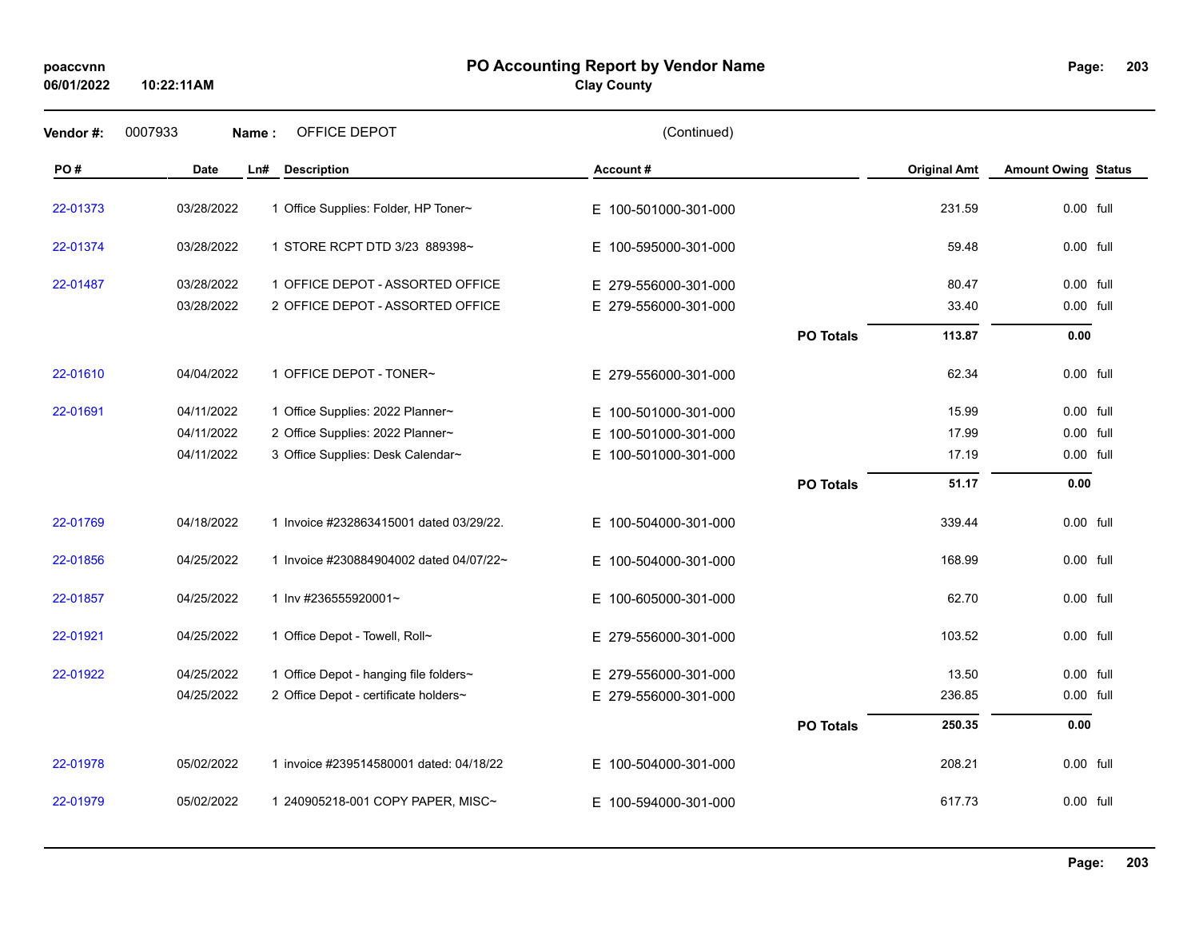## **PO Accounting Report by Vendor Name poaccvnn Page:**

**Clay County**

| Vendor #: | 0007933<br>Name: | OFFICE DEPOT                            | (Continued)              |                  |                     |                            |
|-----------|------------------|-----------------------------------------|--------------------------|------------------|---------------------|----------------------------|
| PO#       | <b>Date</b>      | Ln#<br><b>Description</b>               | Account #                |                  | <b>Original Amt</b> | <b>Amount Owing Status</b> |
| 22-01373  | 03/28/2022       | 1 Office Supplies: Folder, HP Toner~    | E 100-501000-301-000     |                  | 231.59              | 0.00 full                  |
| 22-01374  | 03/28/2022       | 1 STORE RCPT DTD 3/23 889398~           | E 100-595000-301-000     |                  | 59.48               | 0.00 full                  |
| 22-01487  | 03/28/2022       | 1 OFFICE DEPOT - ASSORTED OFFICE        | E 279-556000-301-000     |                  | 80.47               | 0.00 full                  |
|           | 03/28/2022       | 2 OFFICE DEPOT - ASSORTED OFFICE        | E 279-556000-301-000     |                  | 33.40               | 0.00 full                  |
|           |                  |                                         |                          | <b>PO Totals</b> | 113.87              | 0.00                       |
| 22-01610  | 04/04/2022       | 1 OFFICE DEPOT - TONER~                 | E 279-556000-301-000     |                  | 62.34               | 0.00 full                  |
| 22-01691  | 04/11/2022       | 1 Office Supplies: 2022 Planner~        | E 100-501000-301-000     |                  | 15.99               | 0.00 full                  |
|           | 04/11/2022       | 2 Office Supplies: 2022 Planner~        | 100-501000-301-000<br>E. |                  | 17.99               | 0.00 full                  |
|           | 04/11/2022       | 3 Office Supplies: Desk Calendar~       | E.<br>100-501000-301-000 |                  | 17.19               | 0.00 full                  |
|           |                  |                                         |                          | <b>PO Totals</b> | 51.17               | 0.00                       |
| 22-01769  | 04/18/2022       | 1 Invoice #232863415001 dated 03/29/22. | E 100-504000-301-000     |                  | 339.44              | 0.00 full                  |
| 22-01856  | 04/25/2022       | 1 Invoice #230884904002 dated 04/07/22~ | E 100-504000-301-000     |                  | 168.99              | 0.00 full                  |
| 22-01857  | 04/25/2022       | 1 Inv #236555920001~                    | E 100-605000-301-000     |                  | 62.70               | 0.00 full                  |
| 22-01921  | 04/25/2022       | 1 Office Depot - Towell, Roll~          | E 279-556000-301-000     |                  | 103.52              | 0.00 full                  |
| 22-01922  | 04/25/2022       | 1 Office Depot - hanging file folders~  | E 279-556000-301-000     |                  | 13.50               | 0.00 full                  |
|           | 04/25/2022       | 2 Office Depot - certificate holders~   | E 279-556000-301-000     |                  | 236.85              | 0.00 full                  |
|           |                  |                                         |                          | <b>PO Totals</b> | 250.35              | 0.00                       |
| 22-01978  | 05/02/2022       | 1 invoice #239514580001 dated: 04/18/22 | E 100-504000-301-000     |                  | 208.21              | 0.00 full                  |
| 22-01979  | 05/02/2022       | 1 240905218-001 COPY PAPER, MISC~       | E 100-594000-301-000     |                  | 617.73              | 0.00 full                  |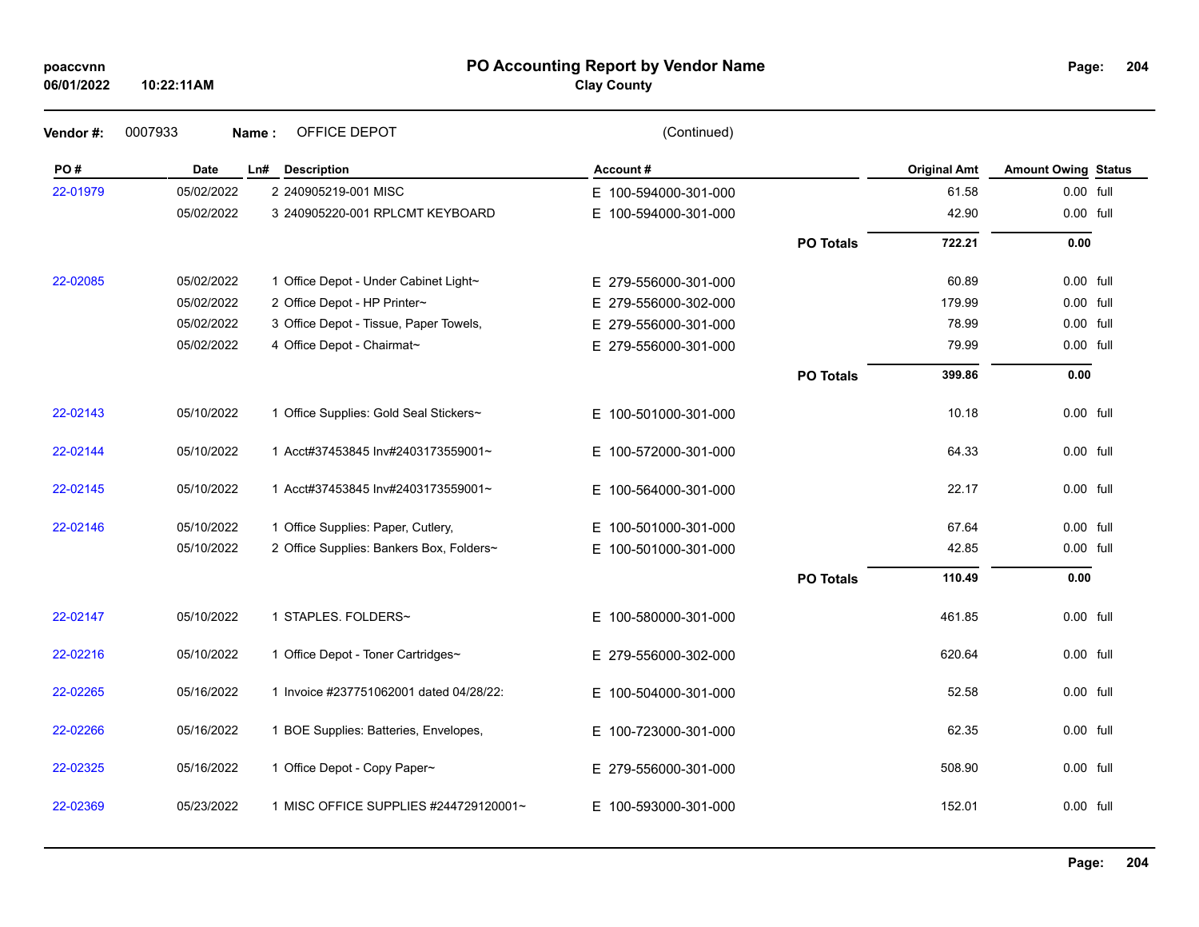| poaccvnn |
|----------|
|----------|

#### **PO Accounting Report by Vendor Name poaccvnn Page:**

# **Clay County**

| Vendor #: | 0007933    | OFFICE DEPOT<br>Name:                    | (Continued)          |                  |                     |                            |  |
|-----------|------------|------------------------------------------|----------------------|------------------|---------------------|----------------------------|--|
| PO#       | Date       | Ln#<br><b>Description</b>                | Account#             |                  | <b>Original Amt</b> | <b>Amount Owing Status</b> |  |
| 22-01979  | 05/02/2022 | 2 240905219-001 MISC                     | E 100-594000-301-000 |                  | 61.58               | 0.00 full                  |  |
|           | 05/02/2022 | 3 240905220-001 RPLCMT KEYBOARD          | E 100-594000-301-000 |                  | 42.90               | 0.00 full                  |  |
|           |            |                                          |                      | <b>PO Totals</b> | 722.21              | 0.00                       |  |
| 22-02085  | 05/02/2022 | 1 Office Depot - Under Cabinet Light~    | E 279-556000-301-000 |                  | 60.89               | $0.00$ full                |  |
|           | 05/02/2022 | 2 Office Depot - HP Printer~             | E 279-556000-302-000 |                  | 179.99              | 0.00 full                  |  |
|           | 05/02/2022 | 3 Office Depot - Tissue, Paper Towels,   | E 279-556000-301-000 |                  | 78.99               | 0.00 full                  |  |
|           | 05/02/2022 | 4 Office Depot - Chairmat~               | E 279-556000-301-000 |                  | 79.99               | 0.00 full                  |  |
|           |            |                                          |                      | <b>PO Totals</b> | 399.86              | 0.00                       |  |
| 22-02143  | 05/10/2022 | 1 Office Supplies: Gold Seal Stickers~   | E 100-501000-301-000 |                  | 10.18               | 0.00 full                  |  |
| 22-02144  | 05/10/2022 | 1 Acct#37453845 Inv#2403173559001~       | E 100-572000-301-000 |                  | 64.33               | 0.00 full                  |  |
| 22-02145  | 05/10/2022 | 1 Acct#37453845 Inv#2403173559001~       | E 100-564000-301-000 |                  | 22.17               | 0.00 full                  |  |
| 22-02146  | 05/10/2022 | 1 Office Supplies: Paper, Cutlery,       | E 100-501000-301-000 |                  | 67.64               | 0.00 full                  |  |
|           | 05/10/2022 | 2 Office Supplies: Bankers Box, Folders~ | E 100-501000-301-000 |                  | 42.85               | 0.00 full                  |  |
|           |            |                                          |                      | <b>PO Totals</b> | 110.49              | 0.00                       |  |
| 22-02147  | 05/10/2022 | 1 STAPLES. FOLDERS~                      | E 100-580000-301-000 |                  | 461.85              | $0.00$ full                |  |
| 22-02216  | 05/10/2022 | 1 Office Depot - Toner Cartridges~       | E 279-556000-302-000 |                  | 620.64              | $0.00$ full                |  |
| 22-02265  | 05/16/2022 | 1 Invoice #237751062001 dated 04/28/22:  | E 100-504000-301-000 |                  | 52.58               | 0.00 full                  |  |
| 22-02266  | 05/16/2022 | 1 BOE Supplies: Batteries, Envelopes,    | E 100-723000-301-000 |                  | 62.35               | 0.00 full                  |  |
| 22-02325  | 05/16/2022 | 1 Office Depot - Copy Paper~             | E 279-556000-301-000 |                  | 508.90              | 0.00 full                  |  |
| 22-02369  | 05/23/2022 | 1 MISC OFFICE SUPPLIES #244729120001~    | E 100-593000-301-000 |                  | 152.01              | 0.00 full                  |  |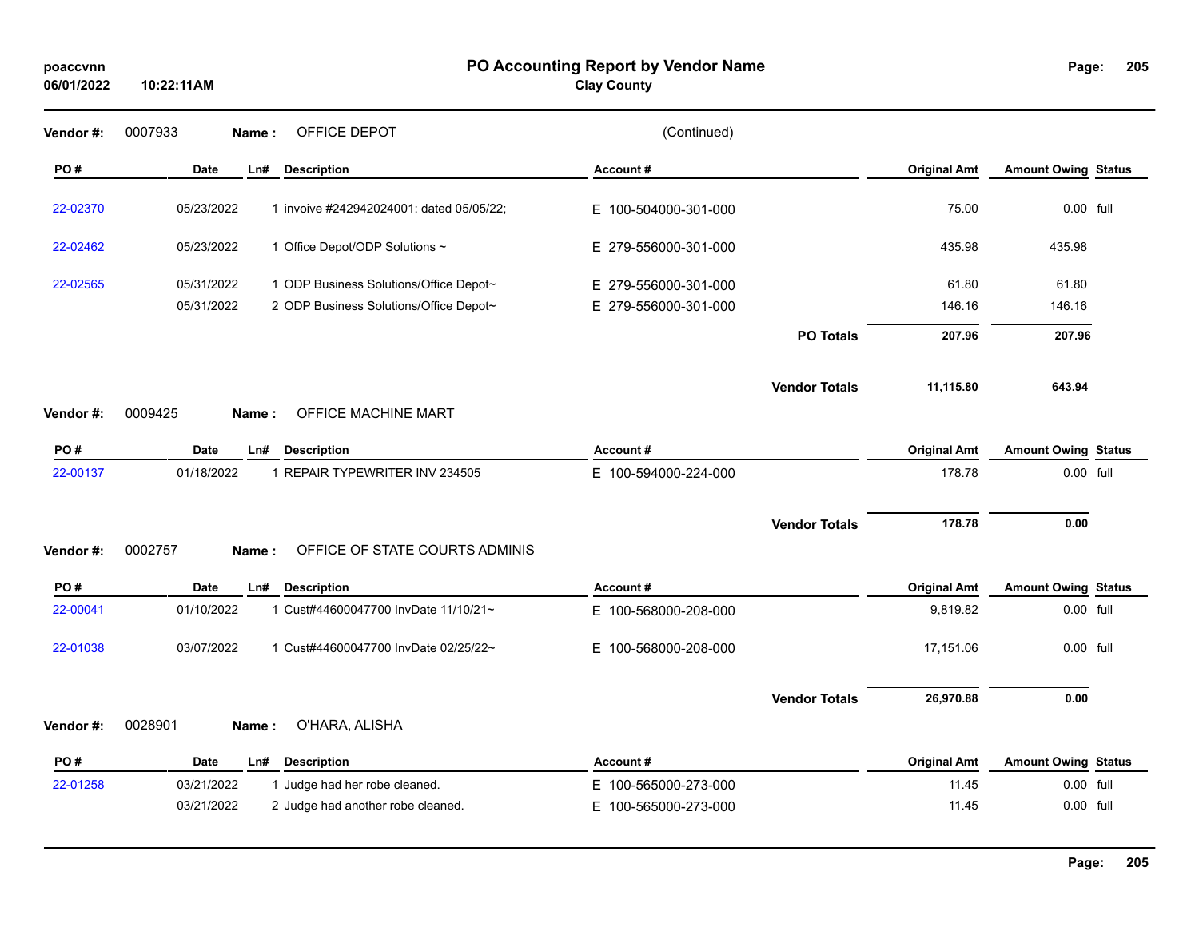#### **PO Accounting Report by Vendor Name poaccvnn Page:**

**Clay County**

| Vendor#:  | 0007933<br>OFFICE DEPOT<br>Name:                       | (Continued)          |                      |                     |                            |  |
|-----------|--------------------------------------------------------|----------------------|----------------------|---------------------|----------------------------|--|
| PO#       | Date<br>Ln#<br><b>Description</b>                      | Account#             |                      | <b>Original Amt</b> | <b>Amount Owing Status</b> |  |
| 22-02370  | 05/23/2022<br>1 invoive #242942024001: dated 05/05/22; | E 100-504000-301-000 |                      | 75.00               | 0.00 full                  |  |
| 22-02462  | 05/23/2022<br>1 Office Depot/ODP Solutions ~           | E 279-556000-301-000 |                      | 435.98              | 435.98                     |  |
| 22-02565  | 05/31/2022<br>1 ODP Business Solutions/Office Depot~   | E 279-556000-301-000 |                      | 61.80               | 61.80                      |  |
|           | 05/31/2022<br>2 ODP Business Solutions/Office Depot~   | E 279-556000-301-000 |                      | 146.16              | 146.16                     |  |
|           |                                                        |                      | <b>PO Totals</b>     | 207.96              | 207.96                     |  |
|           |                                                        |                      | <b>Vendor Totals</b> | 11,115.80           | 643.94                     |  |
| Vendor#:  | 0009425<br>OFFICE MACHINE MART<br>Name:                |                      |                      |                     |                            |  |
| PO#       | Date<br><b>Description</b><br>Ln#                      | Account#             |                      | <b>Original Amt</b> | <b>Amount Owing Status</b> |  |
| 22-00137  | 1 REPAIR TYPEWRITER INV 234505<br>01/18/2022           | E 100-594000-224-000 |                      | 178.78              | 0.00 full                  |  |
|           |                                                        |                      | <b>Vendor Totals</b> | 178.78              | 0.00                       |  |
| Vendor #: | 0002757<br>OFFICE OF STATE COURTS ADMINIS<br>Name:     |                      |                      |                     |                            |  |
| PO#       | Date<br><b>Description</b><br>Ln#                      | Account#             |                      | <b>Original Amt</b> | <b>Amount Owing Status</b> |  |
| 22-00041  | 01/10/2022<br>1 Cust#44600047700 InvDate 11/10/21~     | E 100-568000-208-000 |                      | 9,819.82            | 0.00 full                  |  |
| 22-01038  | 03/07/2022<br>1 Cust#44600047700 InvDate 02/25/22~     | E 100-568000-208-000 |                      | 17,151.06           | 0.00 full                  |  |
|           |                                                        |                      | <b>Vendor Totals</b> | 26,970.88           | 0.00                       |  |
| Vendor #: | 0028901<br>O'HARA, ALISHA<br>Name:                     |                      |                      |                     |                            |  |
| PO#       | Date<br><b>Description</b><br>Ln#                      | Account#             |                      | <b>Original Amt</b> | <b>Amount Owing Status</b> |  |
| 22-01258  | 03/21/2022<br>1 Judge had her robe cleaned.            | E 100-565000-273-000 |                      | 11.45               | 0.00 full                  |  |
|           | 03/21/2022<br>2 Judge had another robe cleaned.        | E 100-565000-273-000 |                      | 11.45               | 0.00 full                  |  |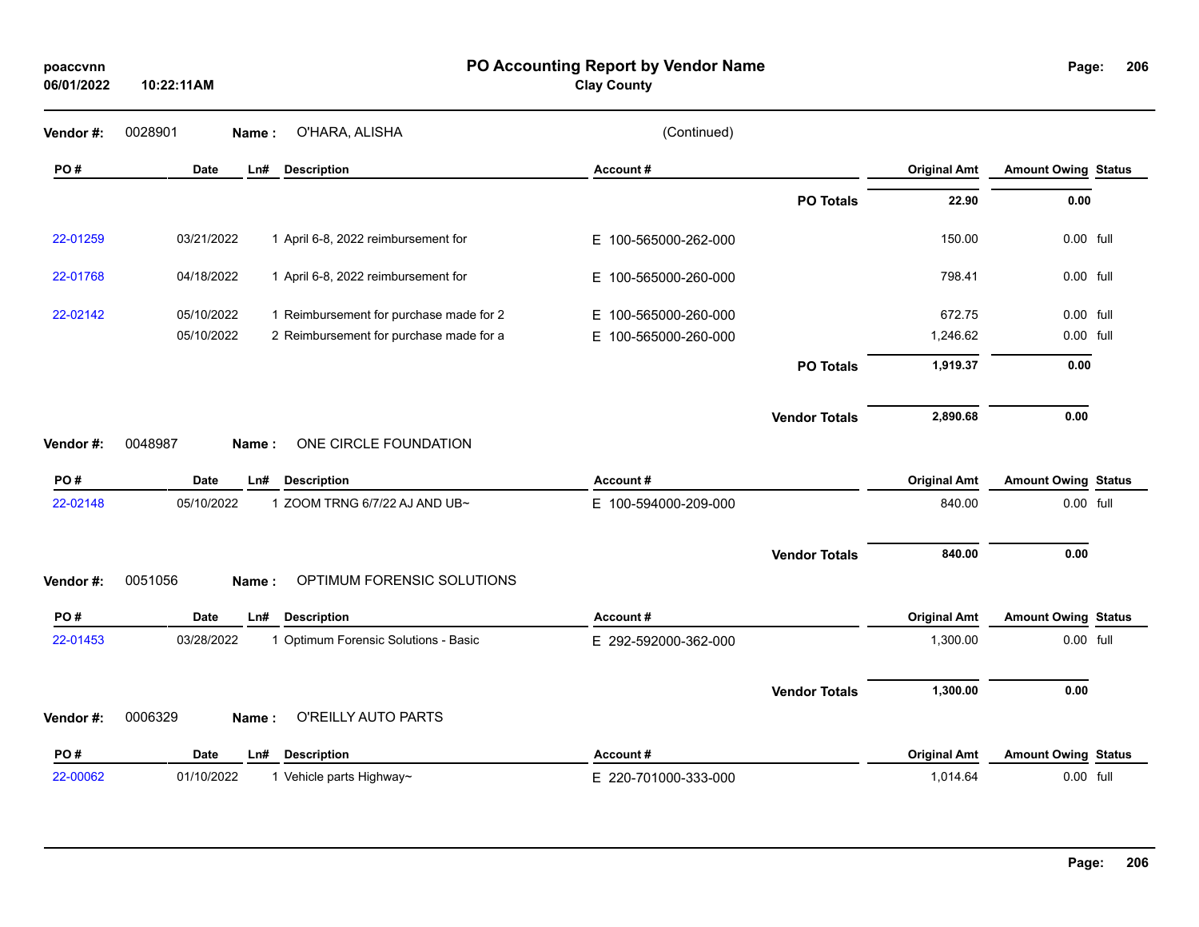**10:22:11AM**

#### **PO Accounting Report by Vendor Name poaccvnn Page:**

**Clay County**

| Vendor#: | 0028901     | Name: | O'HARA, ALISHA                          | (Continued)          |                      |                     |                            |  |
|----------|-------------|-------|-----------------------------------------|----------------------|----------------------|---------------------|----------------------------|--|
| PO#      | <b>Date</b> | Ln#   | <b>Description</b>                      | Account#             |                      | <b>Original Amt</b> | <b>Amount Owing Status</b> |  |
|          |             |       |                                         |                      | <b>PO Totals</b>     | 22.90               | 0.00                       |  |
| 22-01259 | 03/21/2022  |       | 1 April 6-8, 2022 reimbursement for     | E 100-565000-262-000 |                      | 150.00              | 0.00 full                  |  |
| 22-01768 | 04/18/2022  |       | 1 April 6-8, 2022 reimbursement for     | E 100-565000-260-000 |                      | 798.41              | 0.00 full                  |  |
| 22-02142 | 05/10/2022  |       | 1 Reimbursement for purchase made for 2 | E 100-565000-260-000 |                      | 672.75              | 0.00 full                  |  |
|          | 05/10/2022  |       | 2 Reimbursement for purchase made for a | E 100-565000-260-000 |                      | 1,246.62            | 0.00 full                  |  |
|          |             |       |                                         |                      | <b>PO Totals</b>     | 1,919.37            | 0.00                       |  |
| Vendor#: | 0048987     | Name: | ONE CIRCLE FOUNDATION                   |                      | <b>Vendor Totals</b> | 2,890.68            | 0.00                       |  |
| PO#      | <b>Date</b> | Ln#   | <b>Description</b>                      | Account#             |                      | <b>Original Amt</b> | <b>Amount Owing Status</b> |  |
| 22-02148 | 05/10/2022  |       | 1 ZOOM TRNG 6/7/22 AJ AND UB~           | E 100-594000-209-000 |                      | 840.00              | 0.00 full                  |  |
|          |             |       |                                         |                      | <b>Vendor Totals</b> | 840.00              | 0.00                       |  |
| Vendor#: | 0051056     | Name: | OPTIMUM FORENSIC SOLUTIONS              |                      |                      |                     |                            |  |
| PO#      | <b>Date</b> | Ln#   | <b>Description</b>                      | Account#             |                      | <b>Original Amt</b> | <b>Amount Owing Status</b> |  |
| 22-01453 | 03/28/2022  |       | 1 Optimum Forensic Solutions - Basic    | E 292-592000-362-000 |                      | 1,300.00            | 0.00 full                  |  |
| Vendor#: | 0006329     | Name: | O'REILLY AUTO PARTS                     |                      | <b>Vendor Totals</b> | 1,300.00            | 0.00                       |  |
|          |             |       |                                         |                      |                      |                     |                            |  |
| PO#      | <b>Date</b> | Ln#   | <b>Description</b>                      | Account#             |                      | <b>Original Amt</b> | <b>Amount Owing Status</b> |  |
| 22-00062 | 01/10/2022  |       | 1 Vehicle parts Highway~                | E 220-701000-333-000 |                      | 1,014.64            | 0.00 full                  |  |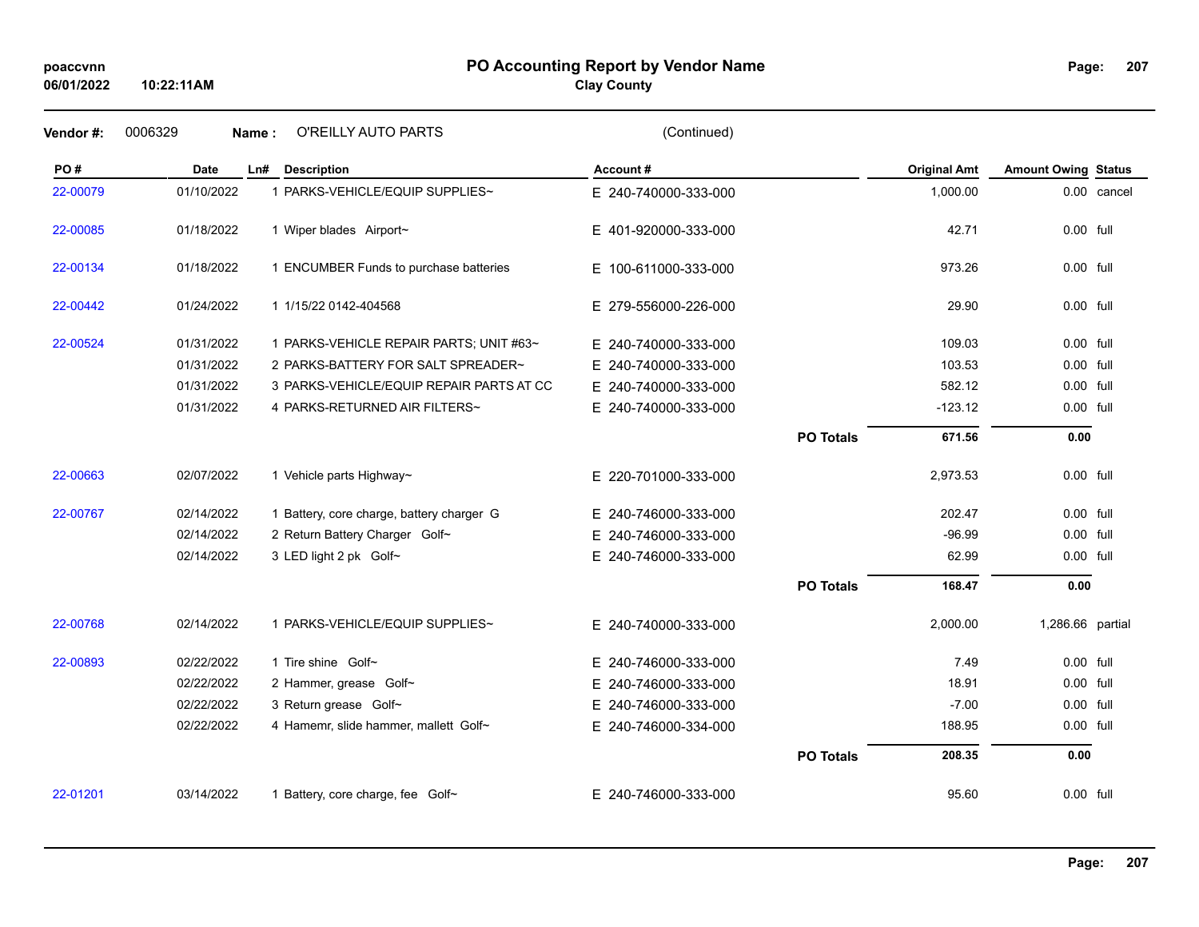# **PO Accounting Report by Vendor Name poaccvnn Page:**

**Clay County**

| Vendor#: | 0006329    | O'REILLY AUTO PARTS<br>Name:              | (Continued)              |                  |                     |                            |             |
|----------|------------|-------------------------------------------|--------------------------|------------------|---------------------|----------------------------|-------------|
| PO#      | Date       | Ln#<br><b>Description</b>                 | Account#                 |                  | <b>Original Amt</b> | <b>Amount Owing Status</b> |             |
| 22-00079 | 01/10/2022 | 1 PARKS-VEHICLE/EQUIP SUPPLIES~           | E 240-740000-333-000     |                  | 1,000.00            |                            | 0.00 cancel |
| 22-00085 | 01/18/2022 | 1 Wiper blades Airport~                   | E 401-920000-333-000     |                  | 42.71               | 0.00 full                  |             |
| 22-00134 | 01/18/2022 | 1 ENCUMBER Funds to purchase batteries    | E 100-611000-333-000     |                  | 973.26              | $0.00$ full                |             |
| 22-00442 | 01/24/2022 | 1 1/15/22 0142-404568                     | E 279-556000-226-000     |                  | 29.90               | 0.00 full                  |             |
| 22-00524 | 01/31/2022 | 1 PARKS-VEHICLE REPAIR PARTS; UNIT #63~   | E 240-740000-333-000     |                  | 109.03              | 0.00 full                  |             |
|          | 01/31/2022 | 2 PARKS-BATTERY FOR SALT SPREADER~        | E 240-740000-333-000     |                  | 103.53              | 0.00 full                  |             |
|          | 01/31/2022 | 3 PARKS-VEHICLE/EQUIP REPAIR PARTS AT CC  | E 240-740000-333-000     |                  | 582.12              | 0.00 full                  |             |
|          | 01/31/2022 | 4 PARKS-RETURNED AIR FILTERS~             | E 240-740000-333-000     |                  | $-123.12$           | 0.00 full                  |             |
|          |            |                                           |                          | <b>PO Totals</b> | 671.56              | 0.00                       |             |
| 22-00663 | 02/07/2022 | 1 Vehicle parts Highway~                  | E 220-701000-333-000     |                  | 2,973.53            | 0.00 full                  |             |
| 22-00767 | 02/14/2022 | 1 Battery, core charge, battery charger G | E 240-746000-333-000     |                  | 202.47              | 0.00 full                  |             |
|          | 02/14/2022 | 2 Return Battery Charger Golf~            | E 240-746000-333-000     |                  | $-96.99$            | 0.00 full                  |             |
|          | 02/14/2022 | 3 LED light 2 pk Golf~                    | E 240-746000-333-000     |                  | 62.99               | 0.00 full                  |             |
|          |            |                                           |                          | <b>PO Totals</b> | 168.47              | 0.00                       |             |
| 22-00768 | 02/14/2022 | 1 PARKS-VEHICLE/EQUIP SUPPLIES~           | E 240-740000-333-000     |                  | 2,000.00            | 1,286.66 partial           |             |
| 22-00893 | 02/22/2022 | 1 Tire shine Golf~                        | E 240-746000-333-000     |                  | 7.49                | 0.00 full                  |             |
|          | 02/22/2022 | 2 Hammer, grease Golf~                    | E 240-746000-333-000     |                  | 18.91               | 0.00 full                  |             |
|          | 02/22/2022 | 3 Return grease Golf~                     | E.<br>240-746000-333-000 |                  | $-7.00$             | 0.00 full                  |             |
|          | 02/22/2022 | 4 Hamemr, slide hammer, mallett Golf~     | E 240-746000-334-000     |                  | 188.95              | 0.00 full                  |             |
|          |            |                                           |                          | <b>PO Totals</b> | 208.35              | 0.00                       |             |
| 22-01201 | 03/14/2022 | 1 Battery, core charge, fee Golf~         | E 240-746000-333-000     |                  | 95.60               | 0.00 full                  |             |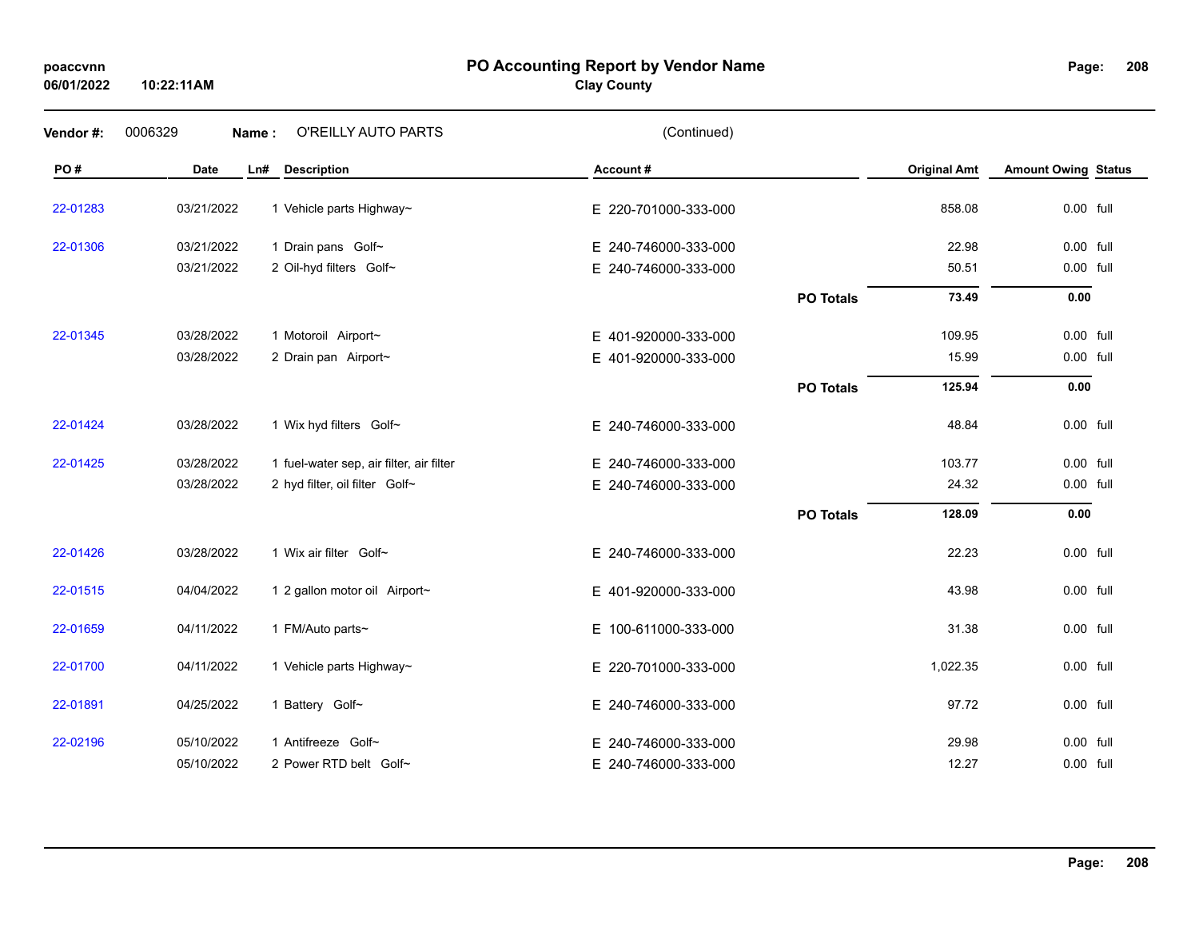#### **PO Accounting Report by Vendor Name poaccvnn Page:**

# **Clay County**

| Vendor#: | 0006329     | O'REILLY AUTO PARTS<br>Name:             | (Continued)              |                  |                     |                            |  |
|----------|-------------|------------------------------------------|--------------------------|------------------|---------------------|----------------------------|--|
| PO#      | <b>Date</b> | Ln#<br><b>Description</b>                | Account#                 |                  | <b>Original Amt</b> | <b>Amount Owing Status</b> |  |
| 22-01283 | 03/21/2022  | 1 Vehicle parts Highway~                 | E 220-701000-333-000     |                  | 858.08              | 0.00 full                  |  |
| 22-01306 | 03/21/2022  | 1 Drain pans Golf~                       | E 240-746000-333-000     |                  | 22.98               | 0.00 full                  |  |
|          | 03/21/2022  | 2 Oil-hyd filters Golf~                  | E 240-746000-333-000     |                  | 50.51               | 0.00 full                  |  |
|          |             |                                          |                          | <b>PO Totals</b> | 73.49               | 0.00                       |  |
| 22-01345 | 03/28/2022  | 1 Motoroil Airport~                      | E 401-920000-333-000     |                  | 109.95              | 0.00 full                  |  |
|          | 03/28/2022  | 2 Drain pan Airport~                     | E 401-920000-333-000     |                  | 15.99               | 0.00 full                  |  |
|          |             |                                          |                          | <b>PO Totals</b> | 125.94              | 0.00                       |  |
| 22-01424 | 03/28/2022  | 1 Wix hyd filters Golf~                  | E 240-746000-333-000     |                  | 48.84               | 0.00 full                  |  |
| 22-01425 | 03/28/2022  | 1 fuel-water sep, air filter, air filter | E 240-746000-333-000     |                  | 103.77              | 0.00 full                  |  |
|          | 03/28/2022  | 2 hyd filter, oil filter Golf~           | E 240-746000-333-000     |                  | 24.32               | 0.00 full                  |  |
|          |             |                                          |                          | <b>PO Totals</b> | 128.09              | 0.00                       |  |
| 22-01426 | 03/28/2022  | 1 Wix air filter Golf~                   | E 240-746000-333-000     |                  | 22.23               | 0.00 full                  |  |
| 22-01515 | 04/04/2022  | 1 2 gallon motor oil Airport~            | E 401-920000-333-000     |                  | 43.98               | 0.00 full                  |  |
| 22-01659 | 04/11/2022  | 1 FM/Auto parts~                         | E 100-611000-333-000     |                  | 31.38               | 0.00 full                  |  |
| 22-01700 | 04/11/2022  | 1 Vehicle parts Highway~                 | E 220-701000-333-000     |                  | 1,022.35            | 0.00 full                  |  |
| 22-01891 | 04/25/2022  | 1 Battery Golf~                          | E 240-746000-333-000     |                  | 97.72               | 0.00 full                  |  |
| 22-02196 | 05/10/2022  | 1 Antifreeze Golf~                       | 240-746000-333-000<br>F. |                  | 29.98               | 0.00 full                  |  |
|          | 05/10/2022  | 2 Power RTD belt Golf~                   | 240-746000-333-000<br>Е. |                  | 12.27               | 0.00 full                  |  |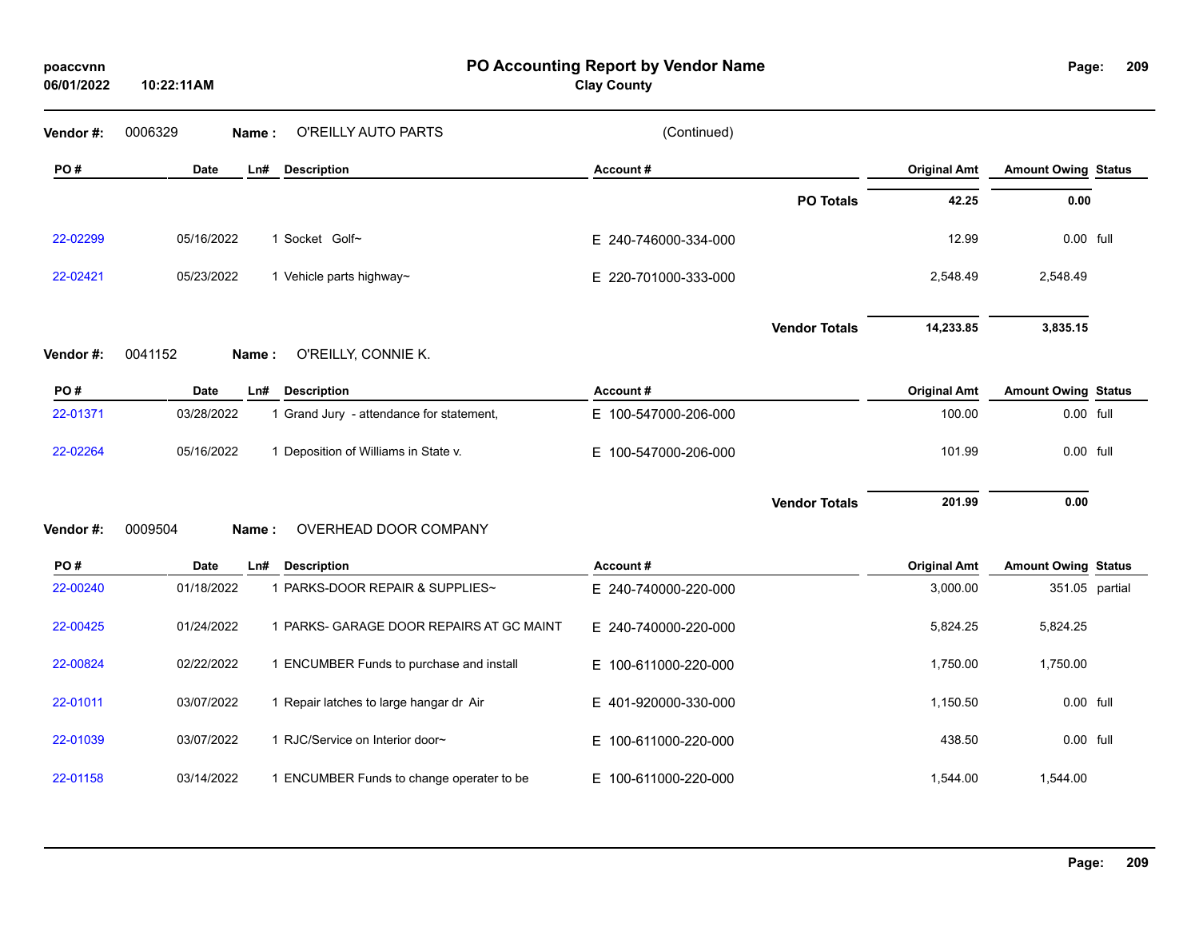| poaccvnn<br>06/01/2022 | 10:22:11AM  |                                           | PO Accounting Report by Vendor Name<br><b>Clay County</b> |                      |                     | Page:                      | 209 |
|------------------------|-------------|-------------------------------------------|-----------------------------------------------------------|----------------------|---------------------|----------------------------|-----|
| Vendor #:              | 0006329     | O'REILLY AUTO PARTS<br>Name:              | (Continued)                                               |                      |                     |                            |     |
| PO#                    | <b>Date</b> | Ln#<br><b>Description</b>                 | Account#                                                  |                      | <b>Original Amt</b> | <b>Amount Owing Status</b> |     |
|                        |             |                                           |                                                           | <b>PO Totals</b>     | 42.25               | 0.00                       |     |
| 22-02299               | 05/16/2022  | 1 Socket Golf~                            | E 240-746000-334-000                                      |                      | 12.99               | 0.00 full                  |     |
| 22-02421               | 05/23/2022  | 1 Vehicle parts highway~                  | E 220-701000-333-000                                      |                      | 2,548.49            | 2,548.49                   |     |
|                        |             |                                           |                                                           | <b>Vendor Totals</b> | 14,233.85           | 3,835.15                   |     |
| Vendor#:               | 0041152     | O'REILLY, CONNIE K.<br>Name:              |                                                           |                      |                     |                            |     |
| PO#                    | <b>Date</b> | Ln#<br><b>Description</b>                 | Account#                                                  |                      | <b>Original Amt</b> | <b>Amount Owing Status</b> |     |
| 22-01371               | 03/28/2022  | 1 Grand Jury - attendance for statement,  | E 100-547000-206-000                                      |                      | 100.00              | 0.00 full                  |     |
| 22-02264               | 05/16/2022  | 1 Deposition of Williams in State v.      | E 100-547000-206-000                                      |                      | 101.99              | 0.00 full                  |     |
| Vendor#:               | 0009504     | OVERHEAD DOOR COMPANY<br>Name:            |                                                           | <b>Vendor Totals</b> | 201.99              | 0.00                       |     |
| PO#                    | <b>Date</b> | Ln#<br><b>Description</b>                 | Account#                                                  |                      | <b>Original Amt</b> | <b>Amount Owing Status</b> |     |
| 22-00240               | 01/18/2022  | 1 PARKS-DOOR REPAIR & SUPPLIES~           | E 240-740000-220-000                                      |                      | 3,000.00            | 351.05 partial             |     |
| 22-00425               | 01/24/2022  | 1 PARKS- GARAGE DOOR REPAIRS AT GC MAINT  | E 240-740000-220-000                                      |                      | 5,824.25            | 5,824.25                   |     |
| 22-00824               | 02/22/2022  | 1 ENCUMBER Funds to purchase and install  | E 100-611000-220-000                                      |                      | 1,750.00            | 1,750.00                   |     |
| 22-01011               | 03/07/2022  | 1 Repair latches to large hangar dr Air   | E 401-920000-330-000                                      |                      | 1,150.50            | 0.00 full                  |     |
| 22-01039               | 03/07/2022  | 1 RJC/Service on Interior door~           | E 100-611000-220-000                                      |                      | 438.50              | 0.00 full                  |     |
| 22-01158               | 03/14/2022  | 1 ENCUMBER Funds to change operater to be | E 100-611000-220-000                                      |                      | 1,544.00            | 1,544.00                   |     |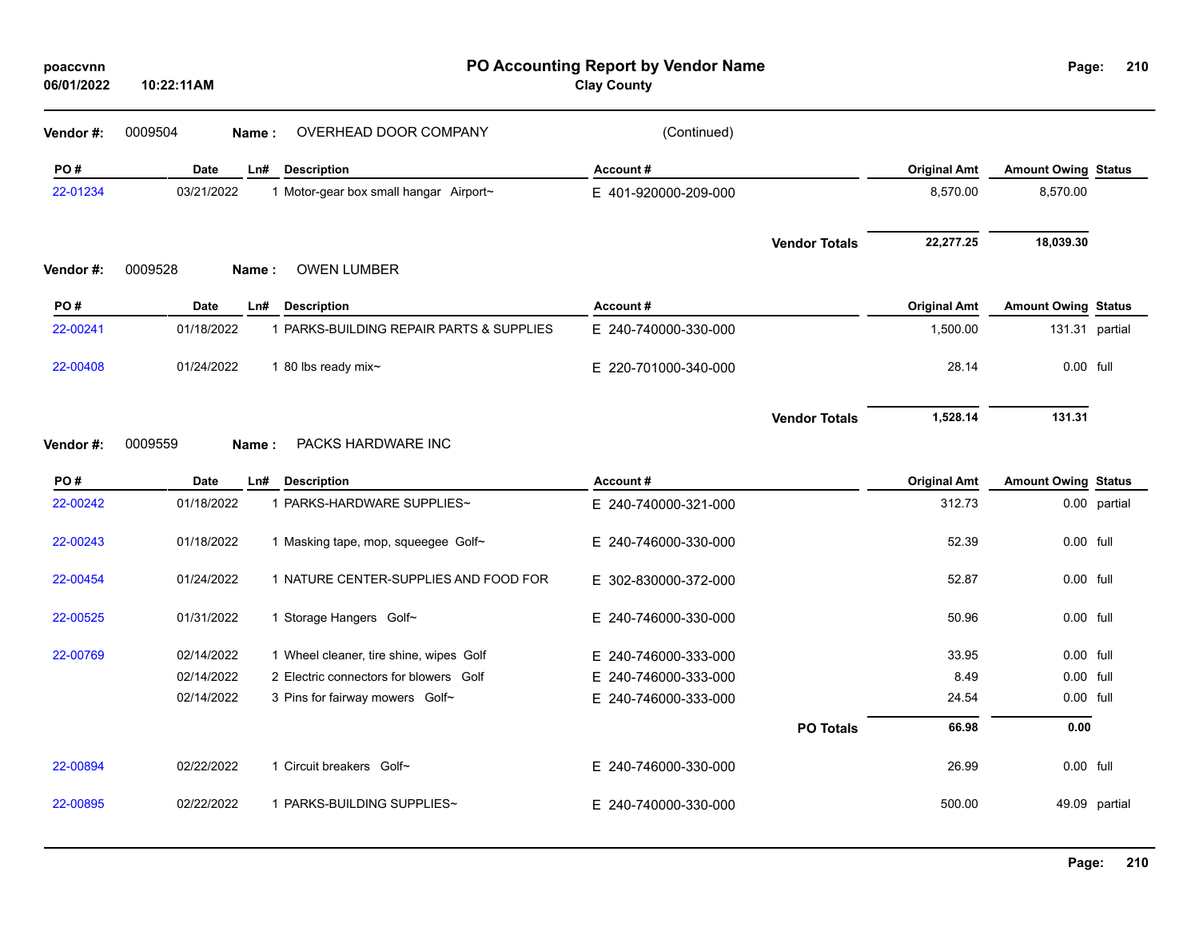| poaccvnn<br>06/01/2022 | 10:22:11AM  |                                          | PO Accounting Report by Vendor Name<br><b>Clay County</b> |                      |                     | Page:                      | 210            |
|------------------------|-------------|------------------------------------------|-----------------------------------------------------------|----------------------|---------------------|----------------------------|----------------|
| Vendor#:               | 0009504     | OVERHEAD DOOR COMPANY<br>Name:           | (Continued)                                               |                      |                     |                            |                |
| PO#                    | Date        | Ln#<br><b>Description</b>                | Account#                                                  |                      | <b>Original Amt</b> | <b>Amount Owing Status</b> |                |
| 22-01234               | 03/21/2022  | 1 Motor-gear box small hangar Airport~   | E 401-920000-209-000                                      |                      | 8,570.00            | 8,570.00                   |                |
|                        |             |                                          |                                                           | <b>Vendor Totals</b> | 22,277.25           | 18,039.30                  |                |
| Vendor#:               | 0009528     | <b>OWEN LUMBER</b><br>Name:              |                                                           |                      |                     |                            |                |
| PO#                    | <b>Date</b> | Ln#<br><b>Description</b>                | Account#                                                  |                      | <b>Original Amt</b> | <b>Amount Owing Status</b> |                |
| 22-00241               | 01/18/2022  | 1 PARKS-BUILDING REPAIR PARTS & SUPPLIES | E 240-740000-330-000                                      |                      | 1,500.00            |                            | 131.31 partial |
| 22-00408               | 01/24/2022  | 1 80 lbs ready mix $\sim$                | E 220-701000-340-000                                      |                      | 28.14               | 0.00 full                  |                |
| Vendor#:               | 0009559     | PACKS HARDWARE INC<br><b>Name</b> :      |                                                           | <b>Vendor Totals</b> | 1,528.14            | 131.31                     |                |
| PO#                    | Date        | <b>Description</b><br>Ln#                | Account#                                                  |                      | <b>Original Amt</b> | <b>Amount Owing Status</b> |                |
| 22-00242               | 01/18/2022  | 1 PARKS-HARDWARE SUPPLIES~               | E 240-740000-321-000                                      |                      | 312.73              |                            | 0.00 partial   |
| 22-00243               | 01/18/2022  | 1 Masking tape, mop, squeegee Golf~      | E 240-746000-330-000                                      |                      | 52.39               | 0.00 full                  |                |
| 22-00454               | 01/24/2022  | 1 NATURE CENTER-SUPPLIES AND FOOD FOR    | E 302-830000-372-000                                      |                      | 52.87               | $0.00$ full                |                |
| 22-00525               | 01/31/2022  | 1 Storage Hangers Golf~                  | E 240-746000-330-000                                      |                      | 50.96               | 0.00 full                  |                |
| 22-00769               | 02/14/2022  | 1 Wheel cleaner, tire shine, wipes Golf  | E.<br>240-746000-333-000                                  |                      | 33.95               | 0.00 full                  |                |
|                        | 02/14/2022  | 2 Electric connectors for blowers Golf   | 240-746000-333-000<br>E.                                  |                      | 8.49                | 0.00 full                  |                |
|                        | 02/14/2022  | 3 Pins for fairway mowers Golf~          | E 240-746000-333-000                                      |                      | 24.54               | 0.00 full                  |                |
|                        |             |                                          |                                                           | <b>PO Totals</b>     | 66.98               | 0.00                       |                |
| 22-00894               | 02/22/2022  | 1 Circuit breakers Golf~                 | E 240-746000-330-000                                      |                      | 26.99               | $0.00$ full                |                |
| 22-00895               | 02/22/2022  | 1 PARKS-BUILDING SUPPLIES~               | E 240-740000-330-000                                      |                      | 500.00              |                            | 49.09 partial  |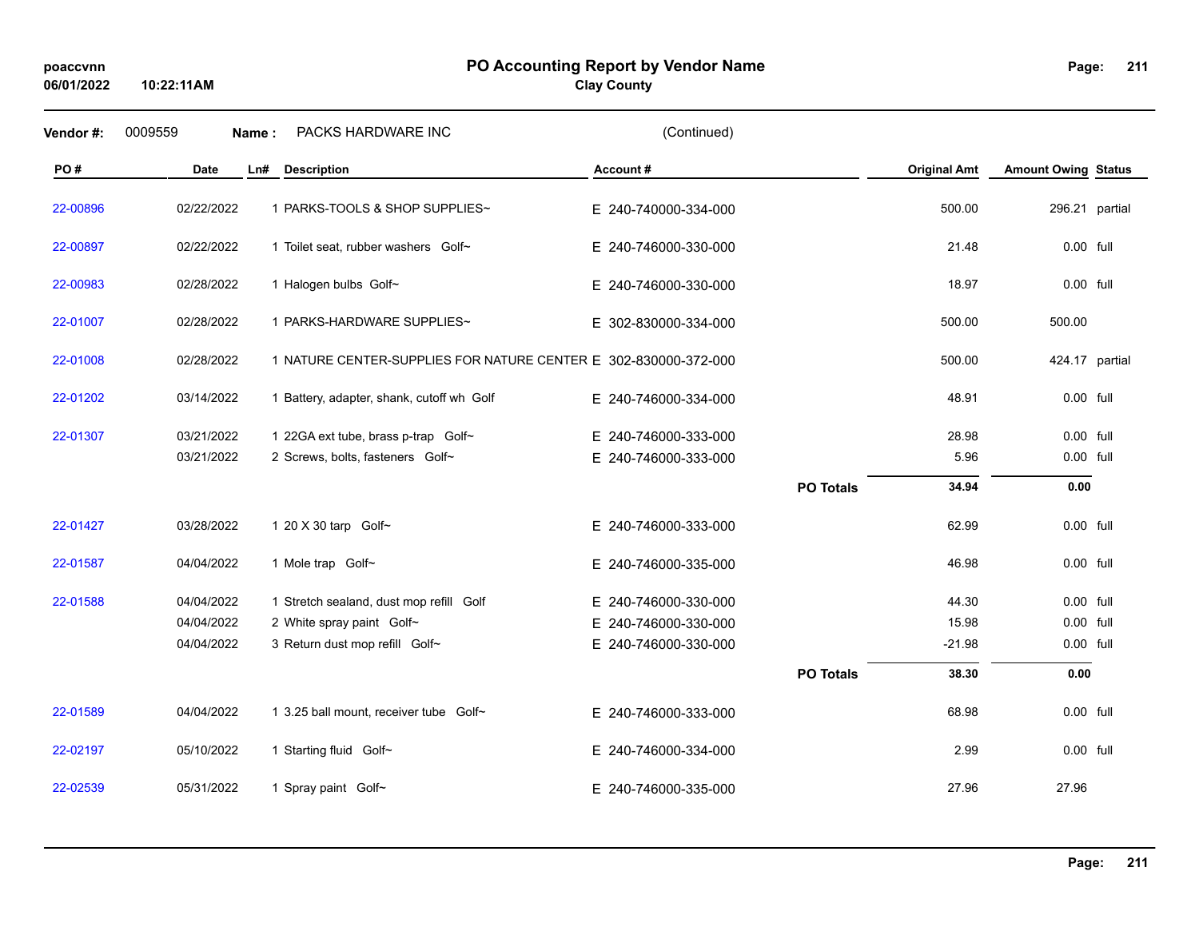#### **PO Accounting Report by Vendor Name poaccvnn Page:**

**Clay County**

| Vendor#: | 0009559<br>Name: | PACKS HARDWARE INC                                              | (Continued)          |                  |                     |                            |  |
|----------|------------------|-----------------------------------------------------------------|----------------------|------------------|---------------------|----------------------------|--|
| PO#      | Date<br>Ln#      | <b>Description</b>                                              | Account#             |                  | <b>Original Amt</b> | <b>Amount Owing Status</b> |  |
| 22-00896 | 02/22/2022       | 1 PARKS-TOOLS & SHOP SUPPLIES~                                  | E 240-740000-334-000 |                  | 500.00              | 296.21 partial             |  |
| 22-00897 | 02/22/2022       | 1 Toilet seat, rubber washers Golf~                             | E 240-746000-330-000 |                  | 21.48               | 0.00 full                  |  |
| 22-00983 | 02/28/2022       | 1 Halogen bulbs Golf~                                           | E 240-746000-330-000 |                  | 18.97               | 0.00 full                  |  |
| 22-01007 | 02/28/2022       | 1 PARKS-HARDWARE SUPPLIES~                                      | E 302-830000-334-000 |                  | 500.00              | 500.00                     |  |
| 22-01008 | 02/28/2022       | 1 NATURE CENTER-SUPPLIES FOR NATURE CENTER E 302-830000-372-000 |                      |                  | 500.00              | 424.17 partial             |  |
| 22-01202 | 03/14/2022       | 1 Battery, adapter, shank, cutoff wh Golf                       | E 240-746000-334-000 |                  | 48.91               | 0.00 full                  |  |
| 22-01307 | 03/21/2022       | 1 22GA ext tube, brass p-trap Golf~                             | E 240-746000-333-000 |                  | 28.98               | 0.00 full                  |  |
|          | 03/21/2022       | 2 Screws, bolts, fasteners Golf~                                | E 240-746000-333-000 |                  | 5.96                | 0.00 full                  |  |
|          |                  |                                                                 |                      | <b>PO Totals</b> | 34.94               | 0.00                       |  |
| 22-01427 | 03/28/2022       | 1 20 X 30 tarp Golf~                                            | E 240-746000-333-000 |                  | 62.99               | 0.00 full                  |  |
| 22-01587 | 04/04/2022       | 1 Mole trap Golf~                                               | E 240-746000-335-000 |                  | 46.98               | 0.00 full                  |  |
| 22-01588 | 04/04/2022       | 1 Stretch sealand, dust mop refill Golf                         | E 240-746000-330-000 |                  | 44.30               | 0.00 full                  |  |
|          | 04/04/2022       | 2 White spray paint Golf~                                       | E 240-746000-330-000 |                  | 15.98               | 0.00 full                  |  |
|          | 04/04/2022       | 3 Return dust mop refill Golf~                                  | E 240-746000-330-000 |                  | $-21.98$            | 0.00 full                  |  |
|          |                  |                                                                 |                      | <b>PO Totals</b> | 38.30               | 0.00                       |  |
| 22-01589 | 04/04/2022       | 1 3.25 ball mount, receiver tube Golf~                          | E 240-746000-333-000 |                  | 68.98               | 0.00 full                  |  |
| 22-02197 | 05/10/2022       | 1 Starting fluid Golf~                                          | E 240-746000-334-000 |                  | 2.99                | 0.00 full                  |  |
| 22-02539 | 05/31/2022       | 1 Spray paint Golf~                                             | E 240-746000-335-000 |                  | 27.96               | 27.96                      |  |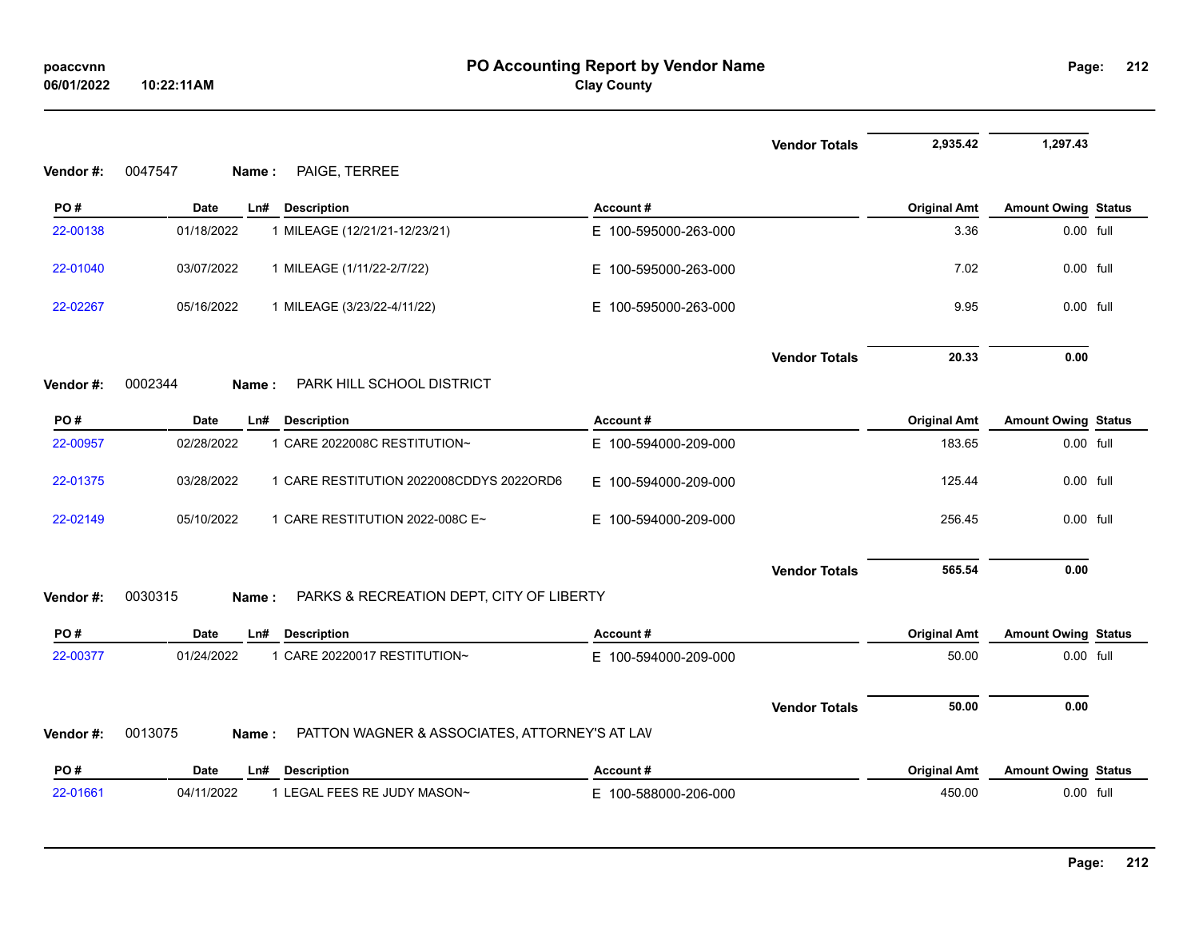|          |                                                                   |                      | <b>Vendor Totals</b> | 2,935.42            | 1,297.43                   |  |
|----------|-------------------------------------------------------------------|----------------------|----------------------|---------------------|----------------------------|--|
| Vendor#: | PAIGE, TERREE<br>0047547<br>Name:                                 |                      |                      |                     |                            |  |
| PO#      | <b>Date</b><br>Ln#<br><b>Description</b>                          | Account#             |                      | <b>Original Amt</b> | <b>Amount Owing Status</b> |  |
| 22-00138 | 01/18/2022<br>1 MILEAGE (12/21/21-12/23/21)                       | E 100-595000-263-000 |                      | 3.36                | 0.00 full                  |  |
| 22-01040 | 03/07/2022<br>1 MILEAGE (1/11/22-2/7/22)                          | E 100-595000-263-000 |                      | 7.02                | 0.00 full                  |  |
| 22-02267 | 05/16/2022<br>1 MILEAGE (3/23/22-4/11/22)                         | E 100-595000-263-000 |                      | 9.95                | 0.00 full                  |  |
|          |                                                                   |                      | <b>Vendor Totals</b> | 20.33               | 0.00                       |  |
| Vendor#: | 0002344<br>PARK HILL SCHOOL DISTRICT<br>Name:                     |                      |                      |                     |                            |  |
| PO#      | <b>Date</b><br><b>Description</b><br>Ln#                          | Account#             |                      | <b>Original Amt</b> | <b>Amount Owing Status</b> |  |
| 22-00957 | 1 CARE 2022008C RESTITUTION~<br>02/28/2022                        | E 100-594000-209-000 |                      | 183.65              | 0.00 full                  |  |
| 22-01375 | 03/28/2022<br>1 CARE RESTITUTION 2022008CDDYS 2022ORD6            | E 100-594000-209-000 |                      | 125.44              | 0.00 full                  |  |
| 22-02149 | 05/10/2022<br>1 CARE RESTITUTION 2022-008C E~                     | E 100-594000-209-000 |                      | 256.45              | 0.00 full                  |  |
|          |                                                                   |                      | <b>Vendor Totals</b> | 565.54              | 0.00                       |  |
| Vendor#: | 0030315<br>PARKS & RECREATION DEPT, CITY OF LIBERTY<br>Name:      |                      |                      |                     |                            |  |
| PO#      | Date<br>Ln#<br><b>Description</b>                                 | Account#             |                      | <b>Original Amt</b> | <b>Amount Owing Status</b> |  |
| 22-00377 | 01/24/2022<br>1 CARE 20220017 RESTITUTION~                        | E 100-594000-209-000 |                      | 50.00               | 0.00 full                  |  |
|          |                                                                   |                      | <b>Vendor Totals</b> | 50.00               | 0.00                       |  |
| Vendor#: | 0013075<br>PATTON WAGNER & ASSOCIATES, ATTORNEY'S AT LAV<br>Name: |                      |                      |                     |                            |  |
| PO#      | <b>Date</b><br><b>Description</b><br>Ln#                          | Account#             |                      | <b>Original Amt</b> | <b>Amount Owing Status</b> |  |
| 22-01661 | 04/11/2022<br>1 LEGAL FEES RE JUDY MASON~                         | E 100-588000-206-000 |                      | 450.00              | 0.00 full                  |  |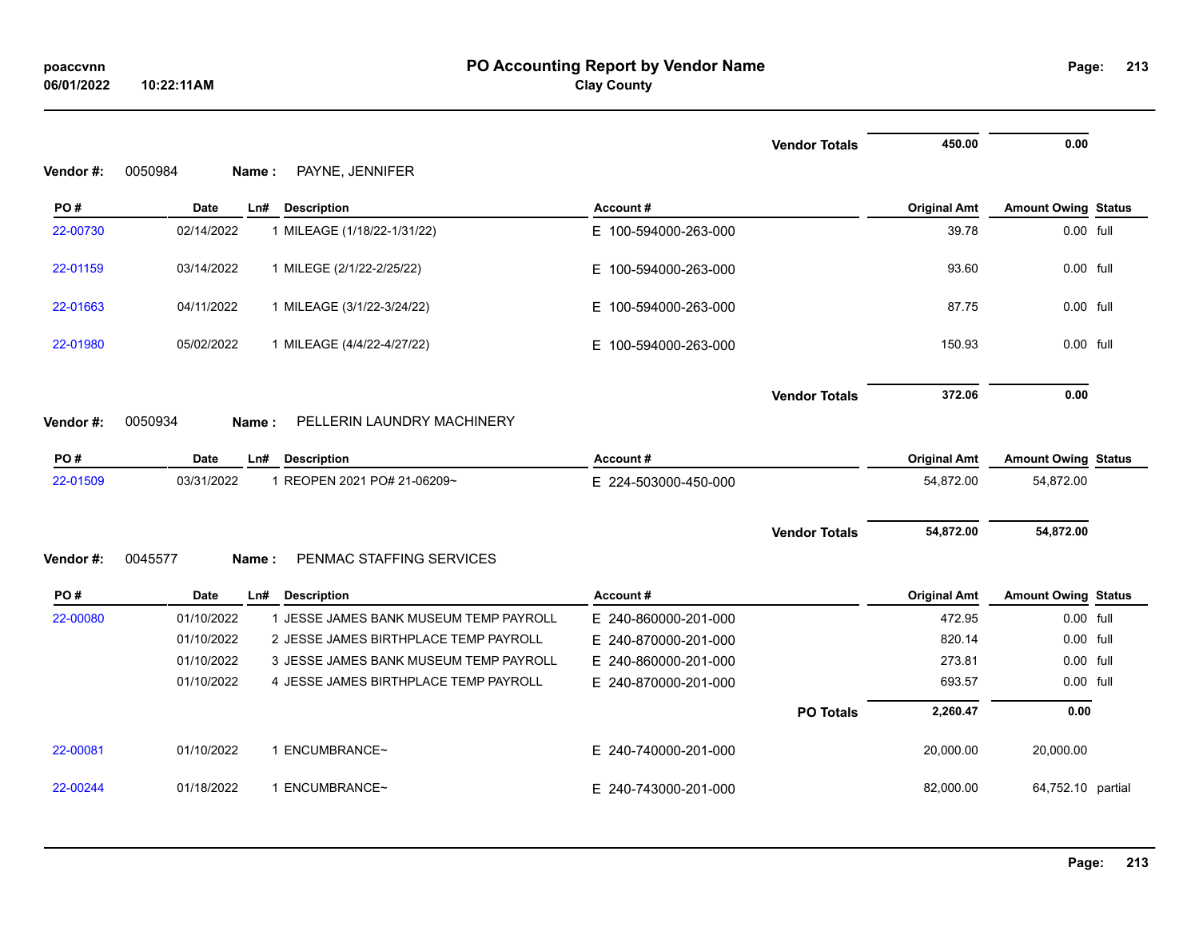|          |                                                      |                          | <b>Vendor Totals</b> | 450.00              | 0.00                       |  |
|----------|------------------------------------------------------|--------------------------|----------------------|---------------------|----------------------------|--|
| Vendor#: | PAYNE, JENNIFER<br>0050984<br>Name:                  |                          |                      |                     |                            |  |
| PO#      | <b>Date</b><br>Ln#<br><b>Description</b>             | Account#                 |                      | <b>Original Amt</b> | <b>Amount Owing Status</b> |  |
| 22-00730 | 02/14/2022<br>1 MILEAGE (1/18/22-1/31/22)            | E 100-594000-263-000     |                      | 39.78               | 0.00 full                  |  |
| 22-01159 | 03/14/2022<br>1 MILEGE (2/1/22-2/25/22)              | E 100-594000-263-000     |                      | 93.60               | 0.00 full                  |  |
| 22-01663 | 04/11/2022<br>1 MILEAGE (3/1/22-3/24/22)             | E 100-594000-263-000     |                      | 87.75               | 0.00 full                  |  |
| 22-01980 | 05/02/2022<br>1 MILEAGE (4/4/22-4/27/22)             | E.<br>100-594000-263-000 |                      | 150.93              | 0.00 full                  |  |
|          |                                                      |                          | <b>Vendor Totals</b> | 372.06              | 0.00                       |  |
| Vendor#: | PELLERIN LAUNDRY MACHINERY<br>0050934<br>Name:       |                          |                      |                     |                            |  |
| PO#      | <b>Description</b><br><b>Date</b><br>Ln#             | Account#                 |                      | <b>Original Amt</b> | <b>Amount Owing Status</b> |  |
| 22-01509 | 03/31/2022<br>1 REOPEN 2021 PO# 21-06209~            | E 224-503000-450-000     |                      | 54,872.00           | 54,872.00                  |  |
|          |                                                      |                          |                      |                     |                            |  |
| Vendor#: | 0045577<br>PENMAC STAFFING SERVICES<br>Name:         |                          | <b>Vendor Totals</b> | 54,872.00           | 54,872.00                  |  |
|          |                                                      |                          |                      |                     |                            |  |
| PO#      | <b>Date</b><br>Ln#<br><b>Description</b>             | Account#                 |                      | <b>Original Amt</b> | <b>Amount Owing Status</b> |  |
| 22-00080 | 1 JESSE JAMES BANK MUSEUM TEMP PAYROLL<br>01/10/2022 | E 240-860000-201-000     |                      | 472.95              | 0.00 full                  |  |
|          | 01/10/2022<br>2 JESSE JAMES BIRTHPLACE TEMP PAYROLL  | E 240-870000-201-000     |                      | 820.14              | 0.00 full                  |  |
|          | 01/10/2022<br>3 JESSE JAMES BANK MUSEUM TEMP PAYROLL | 240-860000-201-000<br>Е. |                      | 273.81              | 0.00 full                  |  |
|          | 01/10/2022<br>4 JESSE JAMES BIRTHPLACE TEMP PAYROLL  | E 240-870000-201-000     |                      | 693.57              | 0.00 full                  |  |
|          |                                                      |                          | <b>PO Totals</b>     | 2,260.47            | 0.00                       |  |
| 22-00081 | 01/10/2022<br>1 ENCUMBRANCE~                         | E 240-740000-201-000     |                      | 20,000.00           | 20,000.00                  |  |
| 22-00244 | 01/18/2022<br>1 ENCUMBRANCE~                         | E 240-743000-201-000     |                      | 82,000.00           | 64,752.10 partial          |  |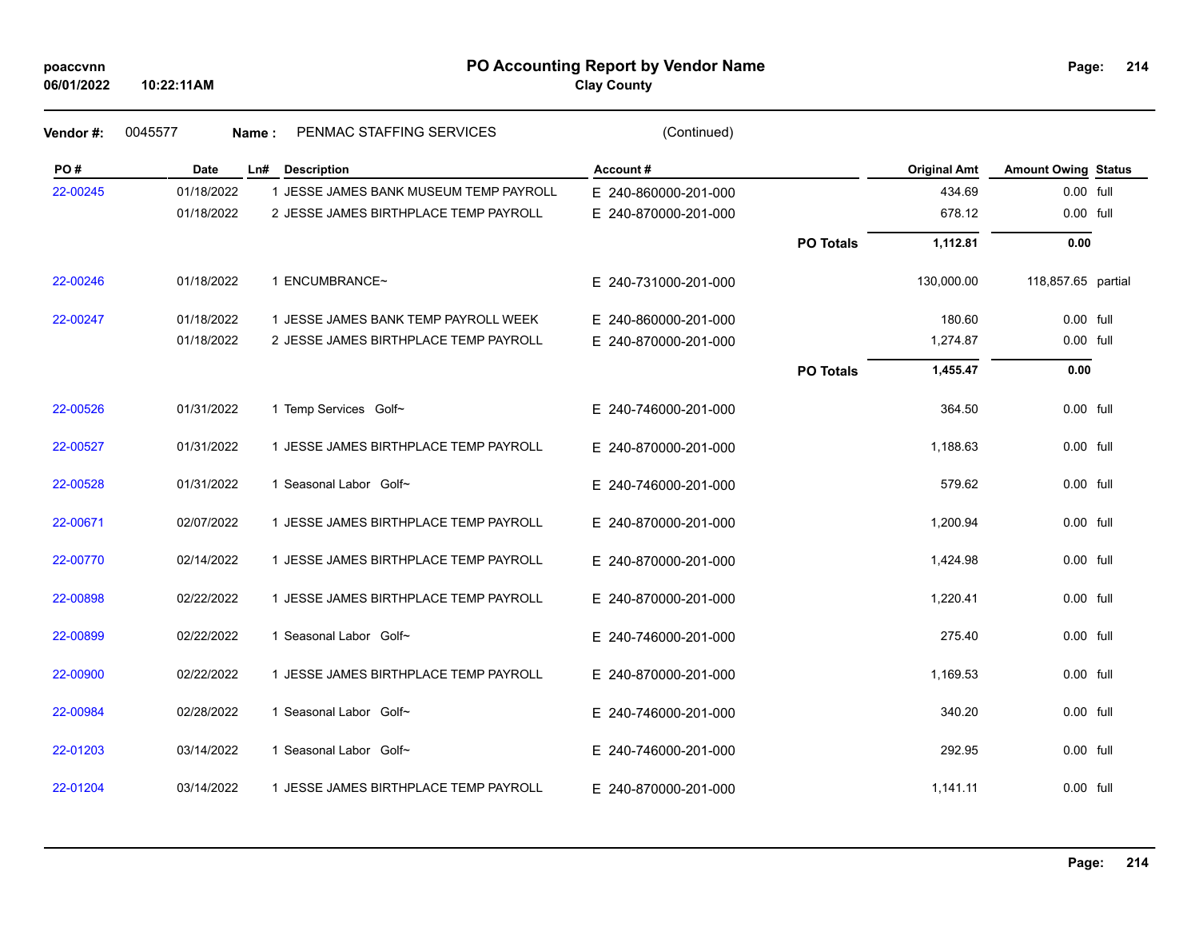|  |  | poaccvnn |  |
|--|--|----------|--|
|--|--|----------|--|

#### **PO Accounting Report by Vendor Name poaccvnn Page:**

| Vendor#: | 0045577<br>Name: | PENMAC STAFFING SERVICES               | (Continued)          |                  |                     |                            |  |
|----------|------------------|----------------------------------------|----------------------|------------------|---------------------|----------------------------|--|
| PO#      | <b>Date</b>      | Ln# Description                        | Account#             |                  | <b>Original Amt</b> | <b>Amount Owing Status</b> |  |
| 22-00245 | 01/18/2022       | 1 JESSE JAMES BANK MUSEUM TEMP PAYROLL | E 240-860000-201-000 |                  | 434.69              | 0.00 full                  |  |
|          | 01/18/2022       | 2 JESSE JAMES BIRTHPLACE TEMP PAYROLL  | E 240-870000-201-000 |                  | 678.12              | 0.00 full                  |  |
|          |                  |                                        |                      | <b>PO Totals</b> | 1,112.81            | 0.00                       |  |
| 22-00246 | 01/18/2022       | 1 ENCUMBRANCE~                         | E 240-731000-201-000 |                  | 130,000.00          | 118,857.65 partial         |  |
| 22-00247 | 01/18/2022       | 1 JESSE JAMES BANK TEMP PAYROLL WEEK   | E 240-860000-201-000 |                  | 180.60              | 0.00 full                  |  |
|          | 01/18/2022       | 2 JESSE JAMES BIRTHPLACE TEMP PAYROLL  | E 240-870000-201-000 |                  | 1,274.87            | 0.00 full                  |  |
|          |                  |                                        |                      | <b>PO Totals</b> | 1,455.47            | 0.00                       |  |
| 22-00526 | 01/31/2022       | 1 Temp Services Golf~                  | E 240-746000-201-000 |                  | 364.50              | 0.00 full                  |  |
| 22-00527 | 01/31/2022       | 1 JESSE JAMES BIRTHPLACE TEMP PAYROLL  | E 240-870000-201-000 |                  | 1,188.63            | 0.00 full                  |  |
| 22-00528 | 01/31/2022       | 1 Seasonal Labor Golf~                 | E 240-746000-201-000 |                  | 579.62              | 0.00 full                  |  |
| 22-00671 | 02/07/2022       | 1 JESSE JAMES BIRTHPLACE TEMP PAYROLL  | E 240-870000-201-000 |                  | 1,200.94            | 0.00 full                  |  |
| 22-00770 | 02/14/2022       | 1 JESSE JAMES BIRTHPLACE TEMP PAYROLL  | E 240-870000-201-000 |                  | 1,424.98            | 0.00 full                  |  |
| 22-00898 | 02/22/2022       | 1 JESSE JAMES BIRTHPLACE TEMP PAYROLL  | E 240-870000-201-000 |                  | 1,220.41            | 0.00 full                  |  |
| 22-00899 | 02/22/2022       | 1 Seasonal Labor Golf~                 | E 240-746000-201-000 |                  | 275.40              | 0.00 full                  |  |
| 22-00900 | 02/22/2022       | 1 JESSE JAMES BIRTHPLACE TEMP PAYROLL  | E 240-870000-201-000 |                  | 1,169.53            | 0.00 full                  |  |
| 22-00984 | 02/28/2022       | 1 Seasonal Labor Golf~                 | E 240-746000-201-000 |                  | 340.20              | 0.00 full                  |  |
| 22-01203 | 03/14/2022       | 1 Seasonal Labor Golf~                 | E 240-746000-201-000 |                  | 292.95              | 0.00 full                  |  |
| 22-01204 | 03/14/2022       | 1 JESSE JAMES BIRTHPLACE TEMP PAYROLL  | E 240-870000-201-000 |                  | 1,141.11            | 0.00 full                  |  |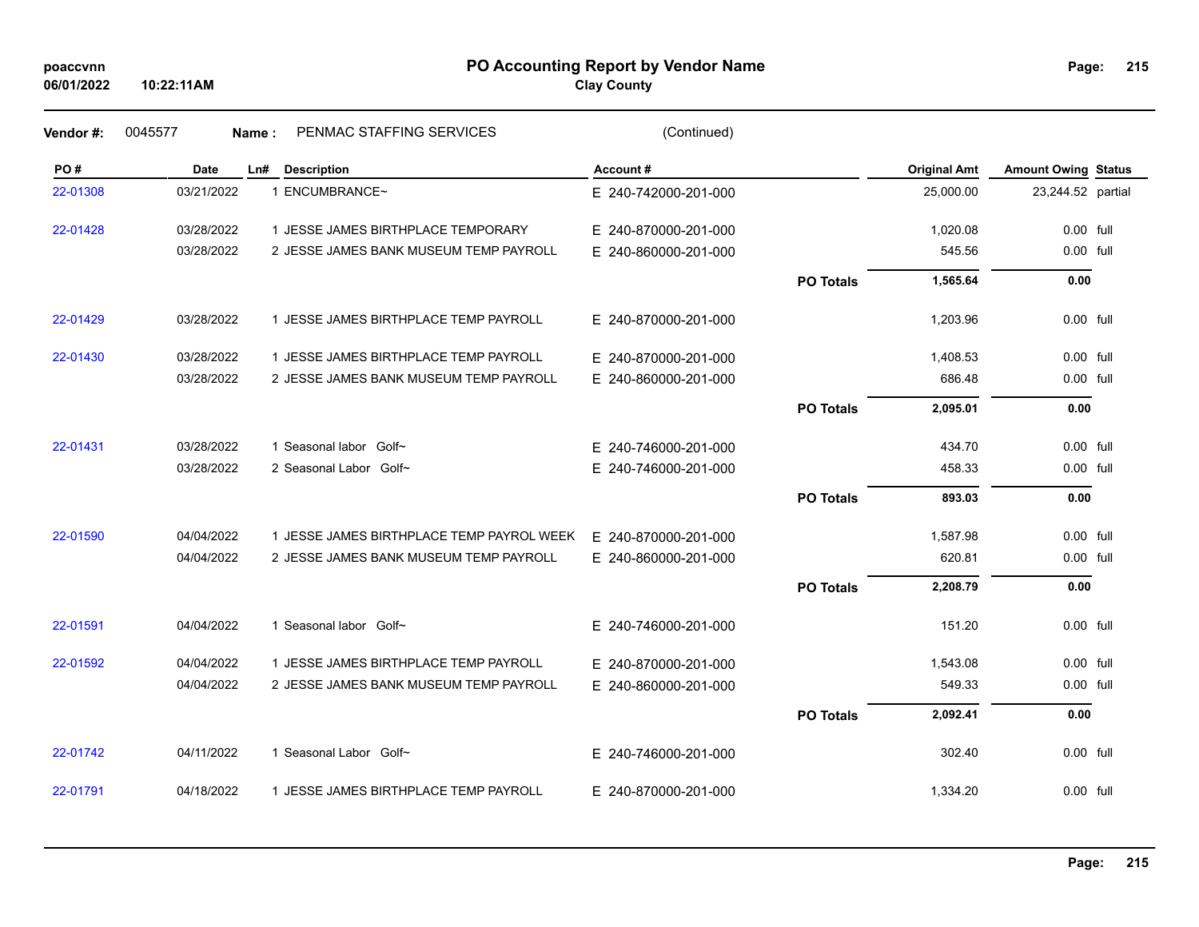#### **PO Accounting Report by Vendor Name poaccvnn Page:**

| Page: | 215 |
|-------|-----|
|       |     |

| Vendor#: | 0045577    | PENMAC STAFFING SERVICES<br>Name:         | (Continued)          |                  |                     |                            |  |
|----------|------------|-------------------------------------------|----------------------|------------------|---------------------|----------------------------|--|
| PO#      | Date       | Ln#<br><b>Description</b>                 | Account#             |                  | <b>Original Amt</b> | <b>Amount Owing Status</b> |  |
| 22-01308 | 03/21/2022 | 1 ENCUMBRANCE~                            | E 240-742000-201-000 |                  | 25,000.00           | 23,244.52 partial          |  |
| 22-01428 | 03/28/2022 | 1 JESSE JAMES BIRTHPLACE TEMPORARY        | E 240-870000-201-000 |                  | 1,020.08            | 0.00 full                  |  |
|          | 03/28/2022 | 2 JESSE JAMES BANK MUSEUM TEMP PAYROLL    | E 240-860000-201-000 |                  | 545.56              | 0.00 full                  |  |
|          |            |                                           |                      | <b>PO Totals</b> | 1,565.64            | 0.00                       |  |
| 22-01429 | 03/28/2022 | 1 JESSE JAMES BIRTHPLACE TEMP PAYROLL     | E 240-870000-201-000 |                  | 1,203.96            | $0.00$ full                |  |
| 22-01430 | 03/28/2022 | 1 JESSE JAMES BIRTHPLACE TEMP PAYROLL     | E 240-870000-201-000 |                  | 1,408.53            | $0.00$ full                |  |
|          | 03/28/2022 | 2 JESSE JAMES BANK MUSEUM TEMP PAYROLL    | E 240-860000-201-000 |                  | 686.48              | 0.00 full                  |  |
|          |            |                                           |                      | <b>PO Totals</b> | 2,095.01            | 0.00                       |  |
| 22-01431 | 03/28/2022 | 1 Seasonal labor Golf~                    | E 240-746000-201-000 |                  | 434.70              | 0.00 full                  |  |
|          | 03/28/2022 | 2 Seasonal Labor Golf~                    | E 240-746000-201-000 |                  | 458.33              | 0.00 full                  |  |
|          |            |                                           |                      | <b>PO Totals</b> | 893.03              | 0.00                       |  |
| 22-01590 | 04/04/2022 | 1 JESSE JAMES BIRTHPLACE TEMP PAYROL WEEK | E 240-870000-201-000 |                  | 1,587.98            | 0.00 full                  |  |
|          | 04/04/2022 | 2 JESSE JAMES BANK MUSEUM TEMP PAYROLL    | E 240-860000-201-000 |                  | 620.81              | 0.00 full                  |  |
|          |            |                                           |                      | <b>PO Totals</b> | 2,208.79            | 0.00                       |  |
| 22-01591 | 04/04/2022 | 1 Seasonal labor Golf~                    | E 240-746000-201-000 |                  | 151.20              | 0.00 full                  |  |
| 22-01592 | 04/04/2022 | 1 JESSE JAMES BIRTHPLACE TEMP PAYROLL     | E 240-870000-201-000 |                  | 1,543.08            | $0.00$ full                |  |
|          | 04/04/2022 | 2 JESSE JAMES BANK MUSEUM TEMP PAYROLL    | E 240-860000-201-000 |                  | 549.33              | 0.00 full                  |  |
|          |            |                                           |                      | <b>PO Totals</b> | 2,092.41            | 0.00                       |  |
| 22-01742 | 04/11/2022 | 1 Seasonal Labor Golf~                    | E 240-746000-201-000 |                  | 302.40              | 0.00 full                  |  |
| 22-01791 | 04/18/2022 | 1 JESSE JAMES BIRTHPLACE TEMP PAYROLL     | E 240-870000-201-000 |                  | 1,334.20            | 0.00 full                  |  |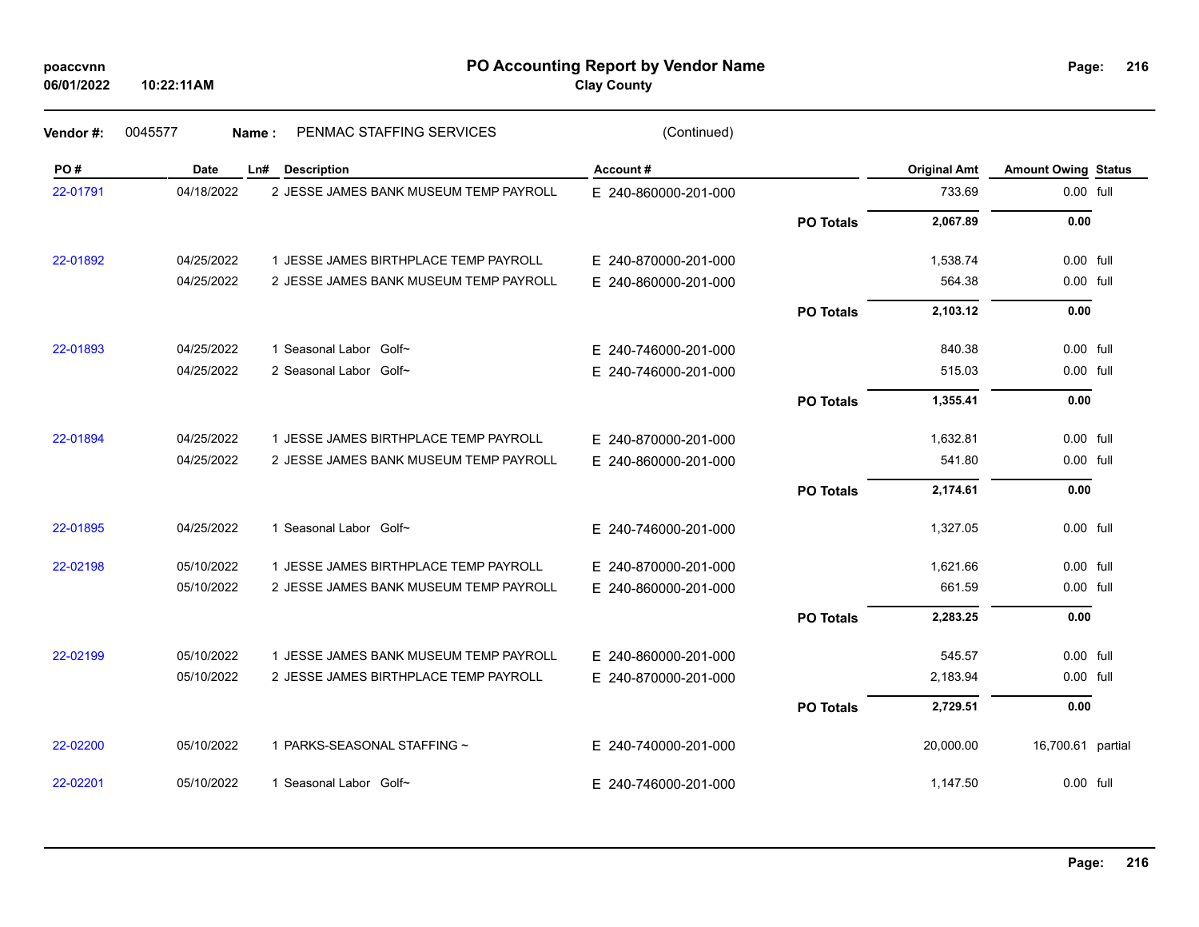| poaccvnn |
|----------|
|----------|

#### **PO Accounting Report by Vendor Name poaccvnn Page:**

| Page: | 216 |
|-------|-----|
|       |     |

| Vendor#: | 0045577    | PENMAC STAFFING SERVICES<br>Name:      | (Continued)          |                  |                     |                            |  |
|----------|------------|----------------------------------------|----------------------|------------------|---------------------|----------------------------|--|
| PO#      | Date       | Ln# Description                        | Account#             |                  | <b>Original Amt</b> | <b>Amount Owing Status</b> |  |
| 22-01791 | 04/18/2022 | 2 JESSE JAMES BANK MUSEUM TEMP PAYROLL | E 240-860000-201-000 |                  | 733.69              | 0.00 full                  |  |
|          |            |                                        |                      | <b>PO Totals</b> | 2,067.89            | 0.00                       |  |
| 22-01892 | 04/25/2022 | 1 JESSE JAMES BIRTHPLACE TEMP PAYROLL  | E 240-870000-201-000 |                  | 1,538.74            | 0.00 full                  |  |
|          | 04/25/2022 | 2 JESSE JAMES BANK MUSEUM TEMP PAYROLL | E 240-860000-201-000 |                  | 564.38              | 0.00 full                  |  |
|          |            |                                        |                      | <b>PO Totals</b> | 2,103.12            | 0.00                       |  |
| 22-01893 | 04/25/2022 | 1 Seasonal Labor Golf~                 | E 240-746000-201-000 |                  | 840.38              | 0.00 full                  |  |
|          | 04/25/2022 | 2 Seasonal Labor Golf~                 | E 240-746000-201-000 |                  | 515.03              | 0.00 full                  |  |
|          |            |                                        |                      | <b>PO Totals</b> | 1,355.41            | 0.00                       |  |
| 22-01894 | 04/25/2022 | 1 JESSE JAMES BIRTHPLACE TEMP PAYROLL  | E 240-870000-201-000 |                  | 1,632.81            | 0.00 full                  |  |
|          | 04/25/2022 | 2 JESSE JAMES BANK MUSEUM TEMP PAYROLL | E 240-860000-201-000 |                  | 541.80              | 0.00 full                  |  |
|          |            |                                        |                      | <b>PO Totals</b> | 2,174.61            | 0.00                       |  |
| 22-01895 | 04/25/2022 | 1 Seasonal Labor Golf~                 | E 240-746000-201-000 |                  | 1,327.05            | 0.00 full                  |  |
| 22-02198 | 05/10/2022 | 1 JESSE JAMES BIRTHPLACE TEMP PAYROLL  | E 240-870000-201-000 |                  | 1,621.66            | 0.00 full                  |  |
|          | 05/10/2022 | 2 JESSE JAMES BANK MUSEUM TEMP PAYROLL | E 240-860000-201-000 |                  | 661.59              | 0.00 full                  |  |
|          |            |                                        |                      | <b>PO Totals</b> | 2,283.25            | 0.00                       |  |
| 22-02199 | 05/10/2022 | 1 JESSE JAMES BANK MUSEUM TEMP PAYROLL | E 240-860000-201-000 |                  | 545.57              | $0.00$ full                |  |
|          | 05/10/2022 | 2 JESSE JAMES BIRTHPLACE TEMP PAYROLL  | E 240-870000-201-000 |                  | 2,183.94            | 0.00 full                  |  |
|          |            |                                        |                      | <b>PO Totals</b> | 2,729.51            | 0.00                       |  |
| 22-02200 | 05/10/2022 | 1 PARKS-SEASONAL STAFFING ~            | E 240-740000-201-000 |                  | 20,000.00           | 16,700.61 partial          |  |
| 22-02201 | 05/10/2022 | 1 Seasonal Labor Golf~                 | E 240-746000-201-000 |                  | 1,147.50            | $0.00$ full                |  |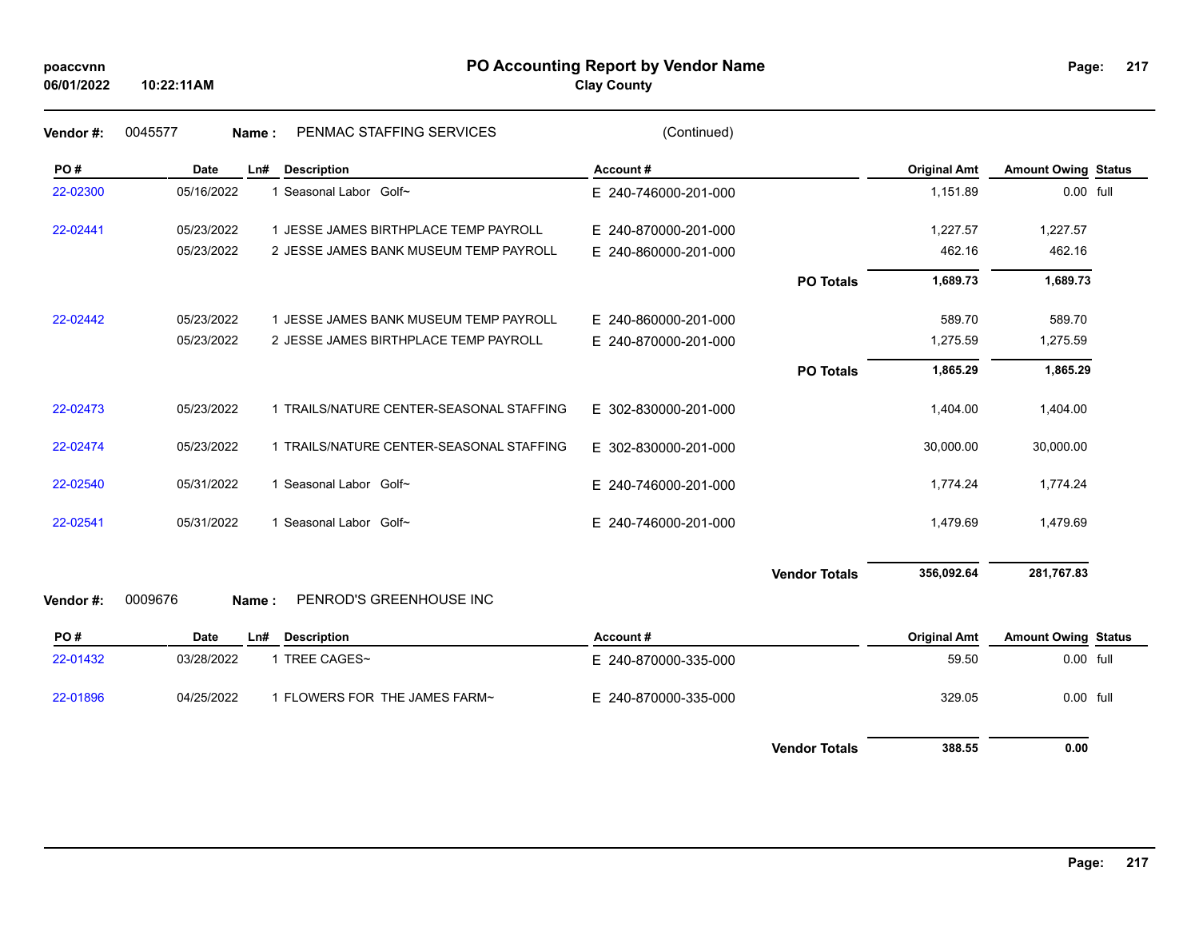| poaccynn |
|----------|
|----------|

## **PO Accounting Report by Vendor Name poaccvnn Page:**

| Page: | 217 |
|-------|-----|
|       |     |

| Vendor #: | 0045577     | PENMAC STAFFING SERVICES<br>Name:        | (Continued)          |                      |                     |                            |  |
|-----------|-------------|------------------------------------------|----------------------|----------------------|---------------------|----------------------------|--|
| PO#       | <b>Date</b> | <b>Description</b><br>Ln#                | Account#             |                      | <b>Original Amt</b> | <b>Amount Owing Status</b> |  |
| 22-02300  | 05/16/2022  | 1 Seasonal Labor Golf~                   | E 240-746000-201-000 |                      | 1,151.89            | 0.00 full                  |  |
| 22-02441  | 05/23/2022  | 1 JESSE JAMES BIRTHPLACE TEMP PAYROLL    | E 240-870000-201-000 |                      | 1,227.57            | 1,227.57                   |  |
|           | 05/23/2022  | 2 JESSE JAMES BANK MUSEUM TEMP PAYROLL   | E 240-860000-201-000 |                      | 462.16              | 462.16                     |  |
|           |             |                                          |                      | <b>PO Totals</b>     | 1,689.73            | 1,689.73                   |  |
| 22-02442  | 05/23/2022  | 1 JESSE JAMES BANK MUSEUM TEMP PAYROLL   | E 240-860000-201-000 |                      | 589.70              | 589.70                     |  |
|           | 05/23/2022  | 2 JESSE JAMES BIRTHPLACE TEMP PAYROLL    | E 240-870000-201-000 |                      | 1,275.59            | 1,275.59                   |  |
|           |             |                                          |                      | <b>PO Totals</b>     | 1,865.29            | 1,865.29                   |  |
| 22-02473  | 05/23/2022  | 1 TRAILS/NATURE CENTER-SEASONAL STAFFING | E 302-830000-201-000 |                      | 1,404.00            | 1,404.00                   |  |
| 22-02474  | 05/23/2022  | 1 TRAILS/NATURE CENTER-SEASONAL STAFFING | E 302-830000-201-000 |                      | 30,000.00           | 30,000.00                  |  |
| 22-02540  | 05/31/2022  | 1 Seasonal Labor Golf~                   | E 240-746000-201-000 |                      | 1,774.24            | 1,774.24                   |  |
| 22-02541  | 05/31/2022  | 1 Seasonal Labor Golf~                   | E 240-746000-201-000 |                      | 1,479.69            | 1,479.69                   |  |
|           |             |                                          |                      | <b>Vendor Totals</b> | 356,092.64          | 281,767.83                 |  |
| Vendor#:  | 0009676     | PENROD'S GREENHOUSE INC<br>Name:         |                      |                      |                     |                            |  |
| PO#       | <b>Date</b> | <b>Description</b><br>Ln#                | Account#             |                      | <b>Original Amt</b> | <b>Amount Owing Status</b> |  |
| 22-01432  | 03/28/2022  | 1 TREE CAGES~                            | E 240-870000-335-000 |                      | 59.50               | 0.00 full                  |  |
| 22-01896  | 04/25/2022  | 1 FLOWERS FOR THE JAMES FARM~            | E 240-870000-335-000 |                      | 329.05              | 0.00 full                  |  |
|           |             |                                          |                      | <b>Vendor Totals</b> | 388.55              | 0.00                       |  |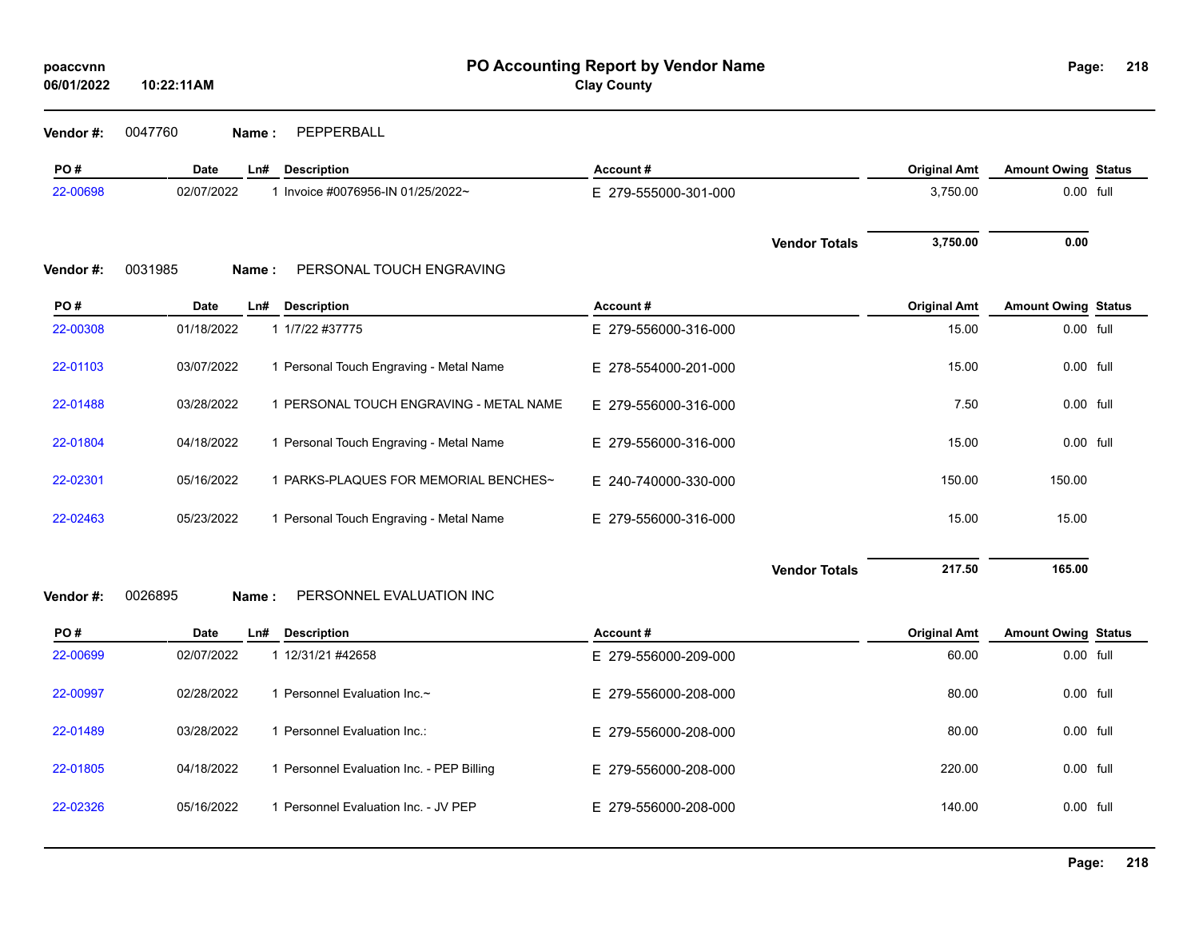**Vendor #:** 0047760 **Name :** PEPPERBALL

| PO#       | <b>Date</b> | Ln#    | <b>Description</b>                      | Account#             |                      | <b>Original Amt</b> | <b>Amount Owing Status</b> |  |
|-----------|-------------|--------|-----------------------------------------|----------------------|----------------------|---------------------|----------------------------|--|
| 22-00698  | 02/07/2022  |        | 1 Invoice #0076956-IN 01/25/2022~       | E 279-555000-301-000 |                      | 3,750.00            | 0.00 full                  |  |
| Vendor #: | 0031985     | Name:  | PERSONAL TOUCH ENGRAVING                |                      | <b>Vendor Totals</b> | 3,750.00            | 0.00                       |  |
| PO#       | Date        | $Ln$ # | <b>Description</b>                      | Account#             |                      | <b>Original Amt</b> | <b>Amount Owing Status</b> |  |
| 22-00308  | 01/18/2022  |        | 1 1/7/22 #37775                         | E 279-556000-316-000 |                      | 15.00               | 0.00 full                  |  |
| 22-01103  | 03/07/2022  |        | 1 Personal Touch Engraving - Metal Name | E 278-554000-201-000 |                      | 15.00               | 0.00 full                  |  |
| 22-01488  | 03/28/2022  |        | 1 PERSONAL TOUCH ENGRAVING - METAL NAME | E 279-556000-316-000 |                      | 7.50                | 0.00 full                  |  |
| 22-01804  | 04/18/2022  |        | 1 Personal Touch Engraving - Metal Name | E 279-556000-316-000 |                      | 15.00               | 0.00 full                  |  |
| 22-02301  | 05/16/2022  |        | 1 PARKS-PLAQUES FOR MEMORIAL BENCHES~   | E 240-740000-330-000 |                      | 150.00              | 150.00                     |  |
| 22-02463  | 05/23/2022  |        | 1 Personal Touch Engraving - Metal Name | E 279-556000-316-000 |                      | 15.00               | 15.00                      |  |
|           |             |        |                                         |                      |                      |                     |                            |  |

**Vendor Totals 217.50 165.00**

**Vendor #:** 0026895 **Name :** PERSONNEL EVALUATION INC

| PO#      | Date       | Ln# | <b>Description</b>                      | Account#             | <b>Original Amt</b> | <b>Amount Owing Status</b> |  |
|----------|------------|-----|-----------------------------------------|----------------------|---------------------|----------------------------|--|
| 22-00699 | 02/07/2022 |     | 12/31/21 #42658                         | E 279-556000-209-000 | 60.00               | 0.00 full                  |  |
| 22-00997 | 02/28/2022 |     | Personnel Evaluation Inc.~              | E 279-556000-208-000 | 80.00               | 0.00 full                  |  |
| 22-01489 | 03/28/2022 |     | Personnel Evaluation Inc.:              | E 279-556000-208-000 | 80.00               | $0.00$ full                |  |
| 22-01805 | 04/18/2022 |     | Personnel Evaluation Inc. - PEP Billing | E 279-556000-208-000 | 220.00              | 0.00 full                  |  |
| 22-02326 | 05/16/2022 |     | Personnel Evaluation Inc. - JV PEP      | E 279-556000-208-000 | 140.00              | 0.00 full                  |  |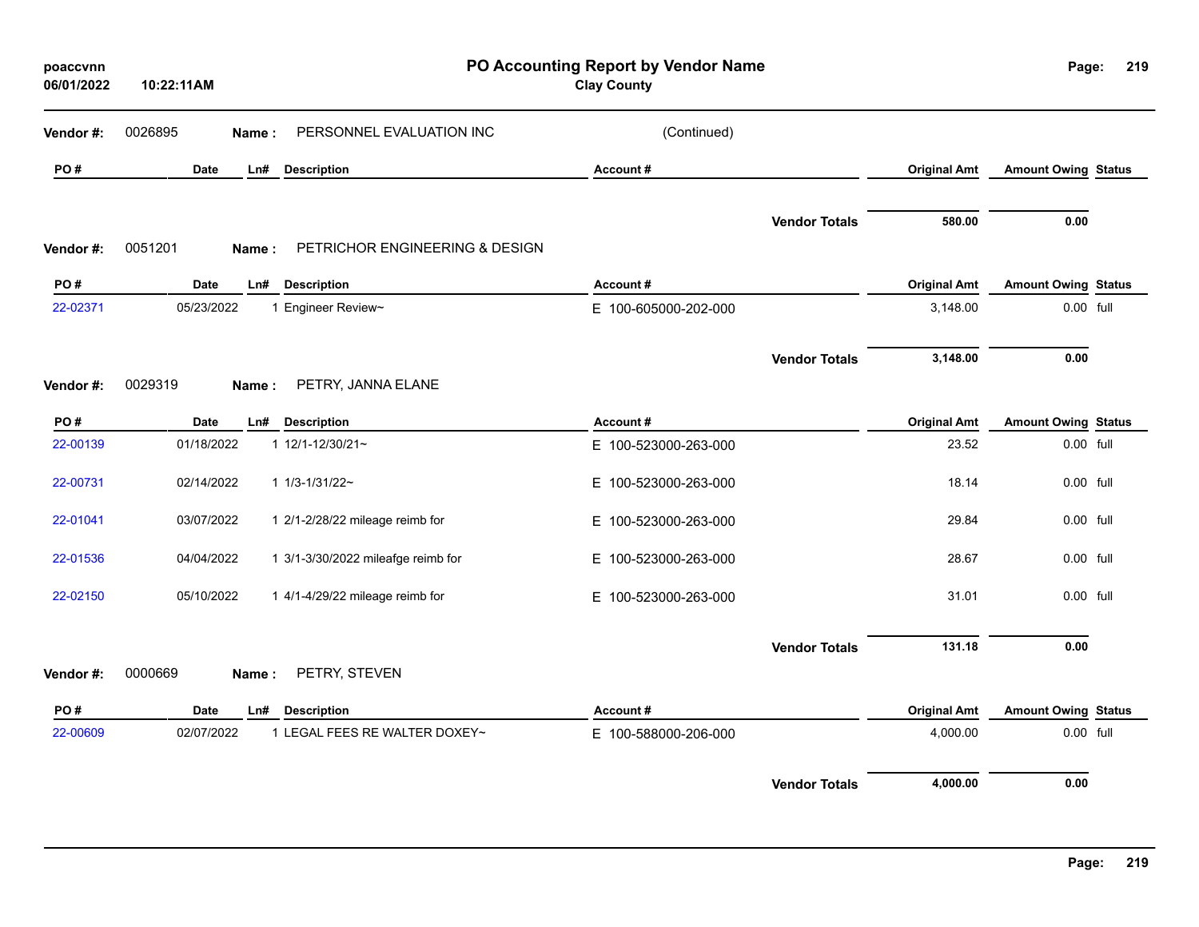| poaccvnn<br>06/01/2022 | 10:22:11AM  |       |                                    | PO Accounting Report by Vendor Name<br><b>Clay County</b> |                      |                     | Page:                      | 219 |
|------------------------|-------------|-------|------------------------------------|-----------------------------------------------------------|----------------------|---------------------|----------------------------|-----|
| Vendor #:              | 0026895     | Name: | PERSONNEL EVALUATION INC           | (Continued)                                               |                      |                     |                            |     |
| PO#                    | Date        | Ln#   | <b>Description</b>                 | Account#                                                  |                      | <b>Original Amt</b> | <b>Amount Owing Status</b> |     |
| Vendor #:              | 0051201     | Name: | PETRICHOR ENGINEERING & DESIGN     |                                                           | <b>Vendor Totals</b> | 580.00              | 0.00                       |     |
| PO#                    | <b>Date</b> | Ln#   | <b>Description</b>                 | Account#                                                  |                      | <b>Original Amt</b> | <b>Amount Owing Status</b> |     |
| 22-02371               | 05/23/2022  |       | 1 Engineer Review~                 | E 100-605000-202-000                                      |                      | 3,148.00            | 0.00 full                  |     |
| Vendor#:               | 0029319     | Name: | PETRY, JANNA ELANE                 |                                                           | <b>Vendor Totals</b> | 3,148.00            | 0.00                       |     |
| PO#                    | Date        | Ln#   | <b>Description</b>                 | Account#                                                  |                      | <b>Original Amt</b> | <b>Amount Owing Status</b> |     |
| 22-00139               | 01/18/2022  |       | 1 12/1-12/30/21~                   | E 100-523000-263-000                                      |                      | 23.52               | 0.00 full                  |     |
| 22-00731               | 02/14/2022  |       | $11/3 - 1/31/22$ ~                 | E 100-523000-263-000                                      |                      | 18.14               | 0.00 full                  |     |
| 22-01041               | 03/07/2022  |       | 1 2/1-2/28/22 mileage reimb for    | E 100-523000-263-000                                      |                      | 29.84               | 0.00 full                  |     |
| 22-01536               | 04/04/2022  |       | 1 3/1-3/30/2022 mileafge reimb for | E 100-523000-263-000                                      |                      | 28.67               | 0.00 full                  |     |
| 22-02150               | 05/10/2022  |       | 1 4/1-4/29/22 mileage reimb for    | E 100-523000-263-000                                      |                      | 31.01               | 0.00 full                  |     |
|                        |             |       |                                    |                                                           | <b>Vendor Totals</b> | 131.18              | 0.00                       |     |
| Vendor #:              | 0000669     | Name: | PETRY, STEVEN                      |                                                           |                      |                     |                            |     |
| PO#                    | Date        | Ln#   | <b>Description</b>                 | Account#                                                  |                      | <b>Original Amt</b> | <b>Amount Owing Status</b> |     |
| 22-00609               | 02/07/2022  |       | 1 LEGAL FEES RE WALTER DOXEY~      | E 100-588000-206-000                                      |                      | 4,000.00            | 0.00 full                  |     |
|                        |             |       |                                    |                                                           | <b>Vendor Totals</b> | 4,000.00            | 0.00                       |     |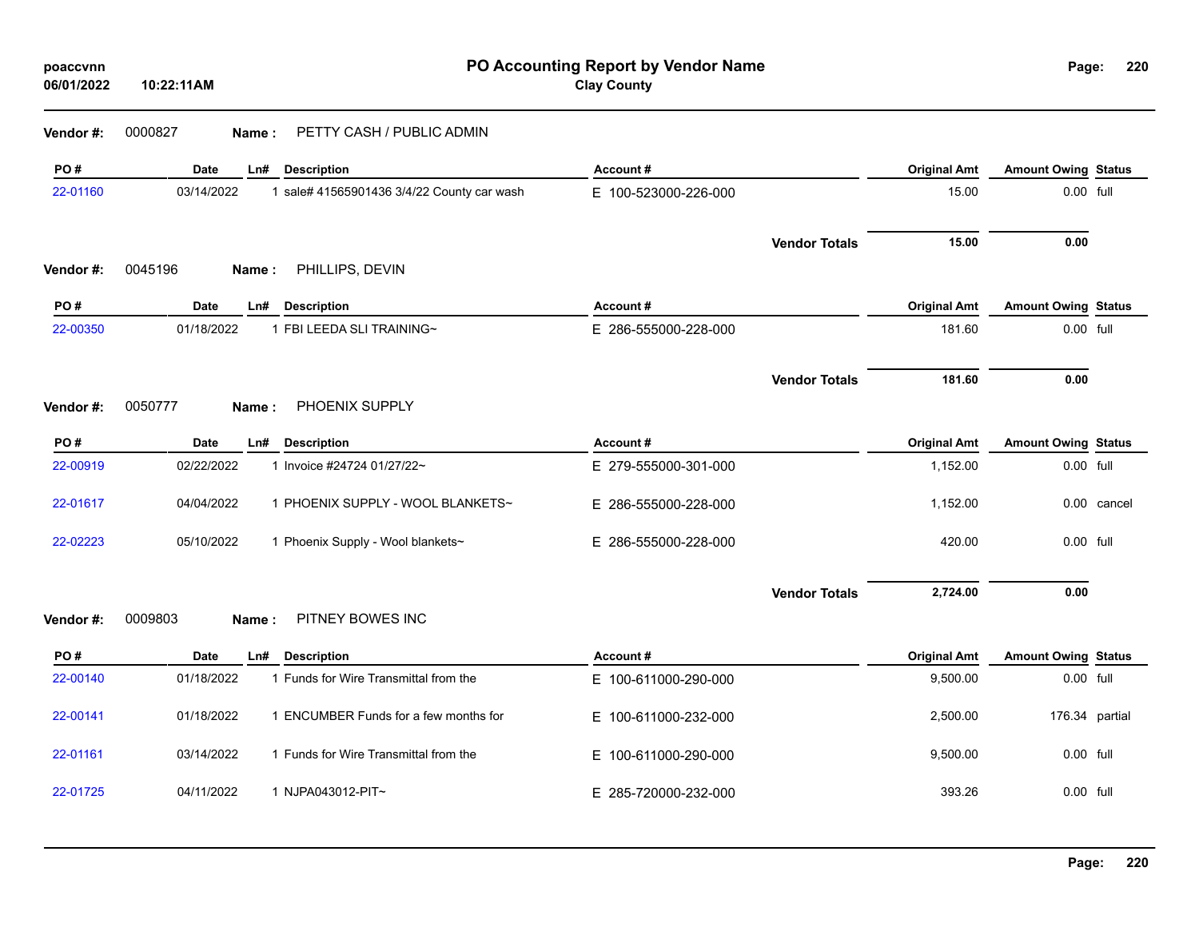| poaccvnn<br>06/01/2022 | 10:22:11AM       | PO Accounting Report by Vendor Name<br><b>Clay County</b> |                      |                      |                     |                            | 2 <sup>2</sup><br>Page: |
|------------------------|------------------|-----------------------------------------------------------|----------------------|----------------------|---------------------|----------------------------|-------------------------|
| Vendor #:              | 0000827<br>Name: | PETTY CASH / PUBLIC ADMIN                                 |                      |                      |                     |                            |                         |
| PO#                    | Date             | Ln#<br><b>Description</b>                                 | Account#             |                      | <b>Original Amt</b> | <b>Amount Owing Status</b> |                         |
| 22-01160               | 03/14/2022       | 1 sale# 41565901436 3/4/22 County car wash                | E 100-523000-226-000 |                      | 15.00               | 0.00 full                  |                         |
| Vendor #:              | 0045196<br>Name: | PHILLIPS, DEVIN                                           |                      | <b>Vendor Totals</b> | 15.00               | 0.00                       |                         |
| PO#                    | <b>Date</b>      | <b>Description</b><br>Ln#                                 | Account#             |                      | <b>Original Amt</b> | <b>Amount Owing Status</b> |                         |
| 22-00350               | 01/18/2022       | 1 FBI LEEDA SLI TRAINING~                                 | E 286-555000-228-000 |                      | 181.60              | 0.00 full                  |                         |
|                        |                  |                                                           |                      | <b>Vendor Totals</b> | 181.60              | 0.00                       |                         |
| Vendor #:              | 0050777<br>Name: | PHOENIX SUPPLY                                            |                      |                      |                     |                            |                         |
| PO#                    | <b>Date</b>      | <b>Description</b><br>Ln#                                 | Account#             |                      | <b>Original Amt</b> | <b>Amount Owing Status</b> |                         |
| 22-00919               | 02/22/2022       | 1 Invoice #24724 01/27/22~                                | E 279-555000-301-000 |                      | 1,152.00            | 0.00 full                  |                         |
| 22-01617               | 04/04/2022       | 1 PHOENIX SUPPLY - WOOL BLANKETS~                         | E 286-555000-228-000 |                      | 1,152.00            |                            | 0.00 cancel             |
| 22-02223               | 05/10/2022       | 1 Phoenix Supply - Wool blankets~                         | E 286-555000-228-000 |                      | 420.00              | 0.00 full                  |                         |
|                        |                  |                                                           |                      | <b>Vendor Totals</b> | 2,724.00            | 0.00                       |                         |
| Vendor #:              | 0009803<br>Name: | PITNEY BOWES INC                                          |                      |                      |                     |                            |                         |
| PO#                    | <b>Date</b>      | <b>Description</b><br>Ln#                                 | Account#             |                      | <b>Original Amt</b> | <b>Amount Owing Status</b> |                         |
| 22-00140               | 01/18/2022       | 1 Funds for Wire Transmittal from the                     | E 100-611000-290-000 |                      | 9,500.00            | 0.00 full                  |                         |
| 22-00141               | 01/18/2022       | 1 ENCUMBER Funds for a few months for                     | E 100-611000-232-000 |                      | 2,500.00            |                            | 176.34 partial          |
| 22-01161               | 03/14/2022       | 1 Funds for Wire Transmittal from the                     | E 100-611000-290-000 |                      | 9,500.00            | 0.00 full                  |                         |
| 22-01725               | 04/11/2022       | 1 NJPA043012-PIT~                                         | E 285-720000-232-000 |                      | 393.26              | 0.00 full                  |                         |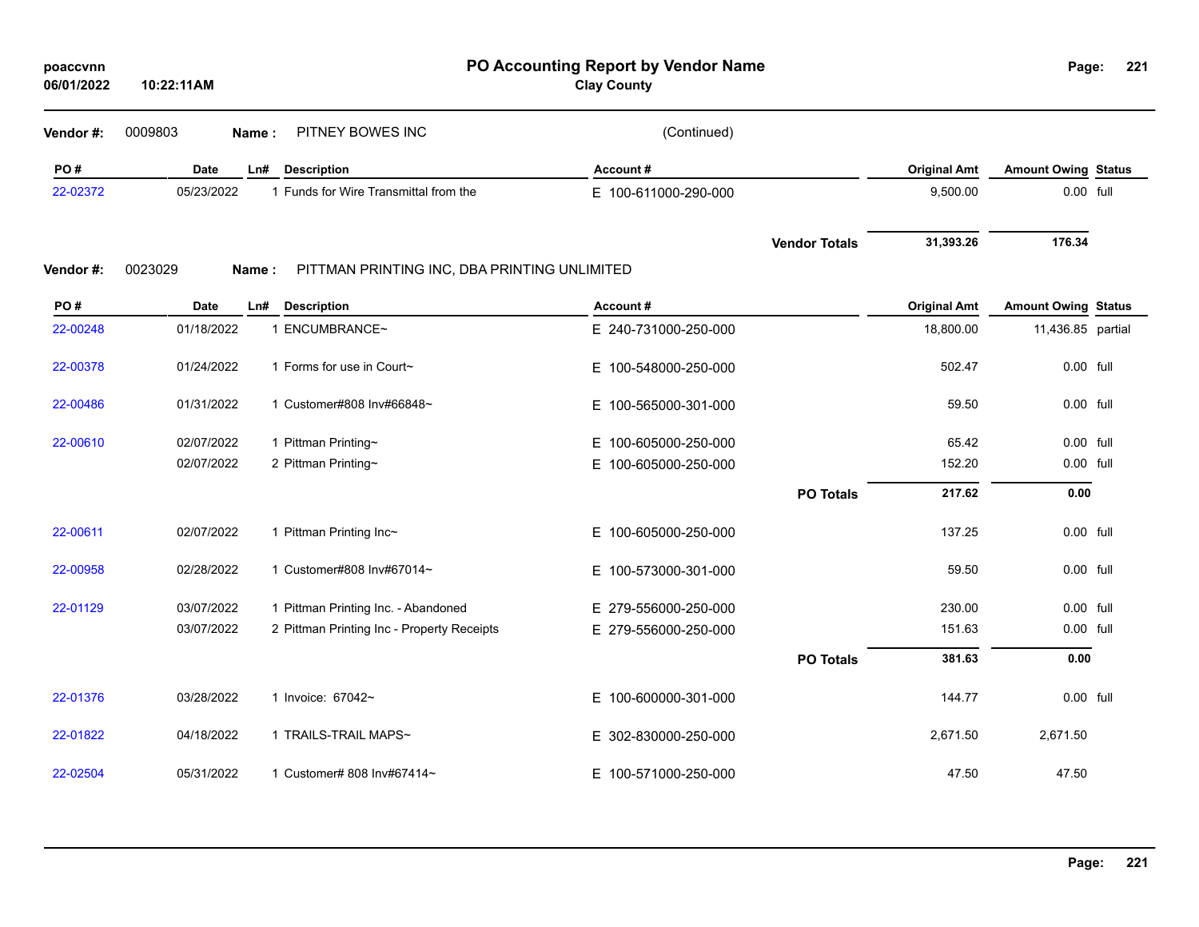| poaccvnn   |            |
|------------|------------|
| 06/01/2022 | 10:22:11AM |

**PO Accounting Report by Vendor Name poaccvnn Page:**

**Clay County**

| Vendor #: | 0009803<br>Name: | PITNEY BOWES INC                             | (Continued)          |                      |                     |                            |  |
|-----------|------------------|----------------------------------------------|----------------------|----------------------|---------------------|----------------------------|--|
| PO#       | <b>Date</b>      | Ln#<br><b>Description</b>                    | Account#             |                      | <b>Original Amt</b> | <b>Amount Owing Status</b> |  |
| 22-02372  | 05/23/2022       | 1 Funds for Wire Transmittal from the        | E 100-611000-290-000 |                      | 9,500.00            | 0.00 full                  |  |
|           |                  |                                              |                      | <b>Vendor Totals</b> | 31,393.26           | 176.34                     |  |
| Vendor#:  | 0023029<br>Name: | PITTMAN PRINTING INC, DBA PRINTING UNLIMITED |                      |                      |                     |                            |  |
| PO#       | <b>Date</b>      | <b>Description</b><br>Ln#                    | Account#             |                      | <b>Original Amt</b> | <b>Amount Owing Status</b> |  |
| 22-00248  | 01/18/2022       | 1 ENCUMBRANCE~                               | E 240-731000-250-000 |                      | 18,800.00           | 11,436.85 partial          |  |
| 22-00378  | 01/24/2022       | 1 Forms for use in Court~                    | E 100-548000-250-000 |                      | 502.47              | 0.00 full                  |  |
| 22-00486  | 01/31/2022       | 1 Customer#808 Inv#66848~                    | E 100-565000-301-000 |                      | 59.50               | 0.00 full                  |  |
| 22-00610  | 02/07/2022       | 1 Pittman Printing~                          | E 100-605000-250-000 |                      | 65.42               | 0.00 full                  |  |
|           | 02/07/2022       | 2 Pittman Printing~                          | E 100-605000-250-000 |                      | 152.20              | 0.00 full                  |  |
|           |                  |                                              |                      | <b>PO Totals</b>     | 217.62              | 0.00                       |  |
| 22-00611  | 02/07/2022       | 1 Pittman Printing Inc~                      | E 100-605000-250-000 |                      | 137.25              | 0.00 full                  |  |
| 22-00958  | 02/28/2022       | 1 Customer#808 Inv#67014~                    | E 100-573000-301-000 |                      | 59.50               | 0.00 full                  |  |
| 22-01129  | 03/07/2022       | 1 Pittman Printing Inc. - Abandoned          | E 279-556000-250-000 |                      | 230.00              | $0.00$ full                |  |
|           | 03/07/2022       | 2 Pittman Printing Inc - Property Receipts   | E 279-556000-250-000 |                      | 151.63              | 0.00 full                  |  |
|           |                  |                                              |                      | <b>PO Totals</b>     | 381.63              | 0.00                       |  |
| 22-01376  | 03/28/2022       | 1 Invoice: 67042~                            | E 100-600000-301-000 |                      | 144.77              | 0.00 full                  |  |
| 22-01822  | 04/18/2022       | 1 TRAILS-TRAIL MAPS~                         | E 302-830000-250-000 |                      | 2,671.50            | 2,671.50                   |  |
| 22-02504  | 05/31/2022       | 1 Customer# 808 Inv#67414~                   | E 100-571000-250-000 |                      | 47.50               | 47.50                      |  |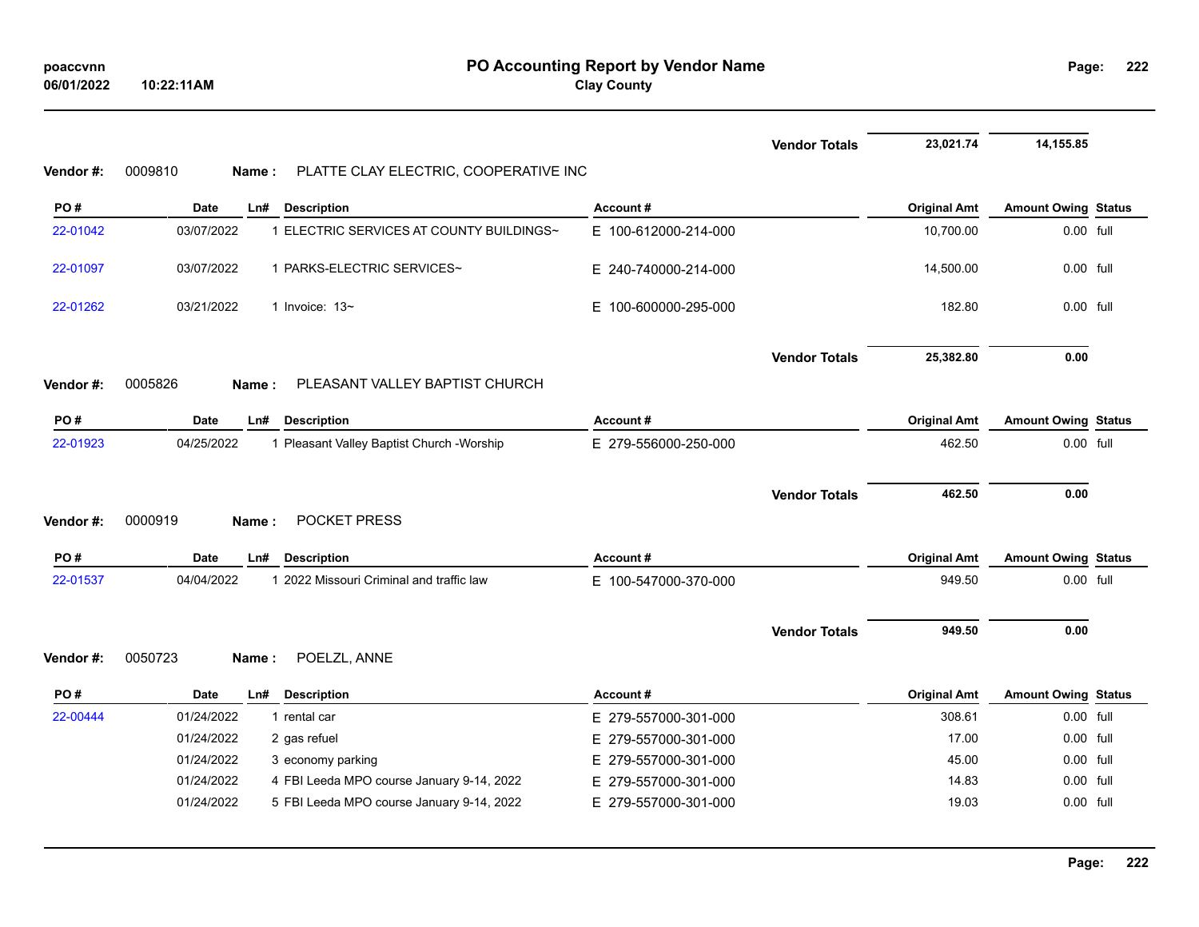|          |                                                           |                          | <b>Vendor Totals</b> | 23,021.74           | 14,155.85                  |  |
|----------|-----------------------------------------------------------|--------------------------|----------------------|---------------------|----------------------------|--|
| Vendor#: | 0009810<br>PLATTE CLAY ELECTRIC, COOPERATIVE INC<br>Name: |                          |                      |                     |                            |  |
| PO#      | <b>Date</b><br>Ln#<br><b>Description</b>                  | Account#                 |                      | <b>Original Amt</b> | <b>Amount Owing Status</b> |  |
| 22-01042 | 1 ELECTRIC SERVICES AT COUNTY BUILDINGS~<br>03/07/2022    | E 100-612000-214-000     |                      | 10,700.00           | 0.00 full                  |  |
| 22-01097 | 03/07/2022<br>1 PARKS-ELECTRIC SERVICES~                  | E 240-740000-214-000     |                      | 14,500.00           | 0.00 full                  |  |
| 22-01262 | 03/21/2022<br>1 Invoice: $13-$                            | E 100-600000-295-000     |                      | 182.80              | 0.00 full                  |  |
|          |                                                           |                          | <b>Vendor Totals</b> | 25,382.80           | 0.00                       |  |
| Vendor#: | PLEASANT VALLEY BAPTIST CHURCH<br>0005826<br>Name:        |                          |                      |                     |                            |  |
| PO#      | <b>Date</b><br><b>Description</b><br>Ln#                  | Account#                 |                      | <b>Original Amt</b> | <b>Amount Owing Status</b> |  |
| 22-01923 | 04/25/2022<br>1 Pleasant Valley Baptist Church - Worship  | E 279-556000-250-000     |                      | 462.50              | 0.00 full                  |  |
|          |                                                           |                          | <b>Vendor Totals</b> | 462.50              | 0.00                       |  |
| Vendor#: | 0000919<br>POCKET PRESS<br>Name :                         |                          |                      |                     |                            |  |
| PO#      | <b>Description</b><br>Date<br>Ln#                         | Account#                 |                      | <b>Original Amt</b> | <b>Amount Owing Status</b> |  |
| 22-01537 | 04/04/2022<br>1 2022 Missouri Criminal and traffic law    | E 100-547000-370-000     |                      | 949.50              | 0.00 full                  |  |
|          |                                                           |                          | <b>Vendor Totals</b> | 949.50              | 0.00                       |  |
| Vendor#: | 0050723<br>POELZL, ANNE<br>Name:                          |                          |                      |                     |                            |  |
| PO#      | <b>Description</b><br>Date<br>Ln#                         | Account#                 |                      | <b>Original Amt</b> | <b>Amount Owing Status</b> |  |
| 22-00444 | 01/24/2022<br>1 rental car                                | E 279-557000-301-000     |                      | 308.61              | 0.00 full                  |  |
|          | 01/24/2022<br>2 gas refuel                                | E.<br>279-557000-301-000 |                      | 17.00               | 0.00 full                  |  |
|          | 01/24/2022<br>3 economy parking                           | E 279-557000-301-000     |                      | 45.00               | $0.00$ full                |  |
|          | 4 FBI Leeda MPO course January 9-14, 2022<br>01/24/2022   | E.<br>279-557000-301-000 |                      | 14.83               | 0.00 full                  |  |
|          | 01/24/2022<br>5 FBI Leeda MPO course January 9-14, 2022   | E 279-557000-301-000     |                      | 19.03               | 0.00 full                  |  |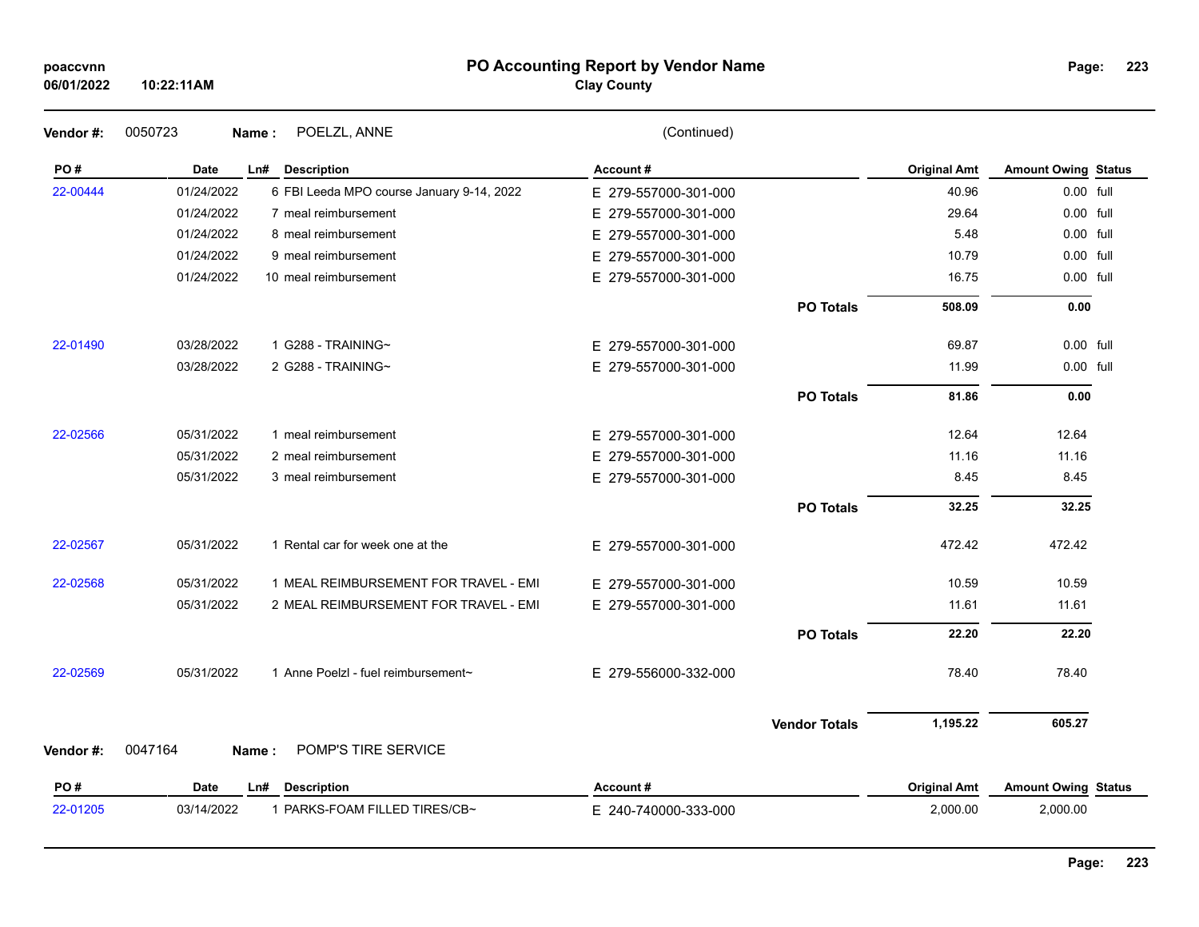| poaccynn |
|----------|
|----------|

### **PO Accounting Report by Vendor Name poaccvnn Page:**

# **Clay County**

| Vendor#: | 0050723     | POELZL, ANNE<br>Name:                     | (Continued)          |                      |                     |                            |  |
|----------|-------------|-------------------------------------------|----------------------|----------------------|---------------------|----------------------------|--|
| PO#      | <b>Date</b> | Ln#<br><b>Description</b>                 | Account#             |                      | <b>Original Amt</b> | <b>Amount Owing Status</b> |  |
| 22-00444 | 01/24/2022  | 6 FBI Leeda MPO course January 9-14, 2022 | E 279-557000-301-000 |                      | 40.96               | 0.00 full                  |  |
|          | 01/24/2022  | 7 meal reimbursement                      | E 279-557000-301-000 |                      | 29.64               | 0.00 full                  |  |
|          | 01/24/2022  | 8 meal reimbursement                      | E 279-557000-301-000 |                      | 5.48                | 0.00 full                  |  |
|          | 01/24/2022  | 9 meal reimbursement                      | E 279-557000-301-000 |                      | 10.79               | 0.00 full                  |  |
|          | 01/24/2022  | 10 meal reimbursement                     | E 279-557000-301-000 |                      | 16.75               | $0.00$ full                |  |
|          |             |                                           |                      | <b>PO Totals</b>     | 508.09              | 0.00                       |  |
| 22-01490 | 03/28/2022  | 1 G288 - TRAINING~                        | E 279-557000-301-000 |                      | 69.87               | 0.00 full                  |  |
|          | 03/28/2022  | 2 G288 - TRAINING~                        | E 279-557000-301-000 |                      | 11.99               | 0.00 full                  |  |
|          |             |                                           |                      | <b>PO Totals</b>     | 81.86               | 0.00                       |  |
| 22-02566 | 05/31/2022  | 1 meal reimbursement                      | E 279-557000-301-000 |                      | 12.64               | 12.64                      |  |
|          | 05/31/2022  | 2 meal reimbursement                      | E 279-557000-301-000 |                      | 11.16               | 11.16                      |  |
|          | 05/31/2022  | 3 meal reimbursement                      | E 279-557000-301-000 |                      | 8.45                | 8.45                       |  |
|          |             |                                           |                      | <b>PO Totals</b>     | 32.25               | 32.25                      |  |
| 22-02567 | 05/31/2022  | 1 Rental car for week one at the          | E 279-557000-301-000 |                      | 472.42              | 472.42                     |  |
| 22-02568 | 05/31/2022  | 1 MEAL REIMBURSEMENT FOR TRAVEL - EMI     | E 279-557000-301-000 |                      | 10.59               | 10.59                      |  |
|          | 05/31/2022  | 2 MEAL REIMBURSEMENT FOR TRAVEL - EMI     | E 279-557000-301-000 |                      | 11.61               | 11.61                      |  |
|          |             |                                           |                      | <b>PO Totals</b>     | 22.20               | 22.20                      |  |
| 22-02569 | 05/31/2022  | 1 Anne Poelzl - fuel reimbursement~       | E 279-556000-332-000 |                      | 78.40               | 78.40                      |  |
|          |             |                                           |                      | <b>Vendor Totals</b> | 1,195.22            | 605.27                     |  |
| Vendor#: | 0047164     | POMP'S TIRE SERVICE<br>Name:              |                      |                      |                     |                            |  |
| PO#      | <b>Date</b> | Ln#<br><b>Description</b>                 | Account#             |                      | <b>Original Amt</b> | <b>Amount Owing Status</b> |  |
| 22-01205 | 03/14/2022  | 1 PARKS-FOAM FILLED TIRES/CB~             | E 240-740000-333-000 |                      | 2,000.00            | 2,000.00                   |  |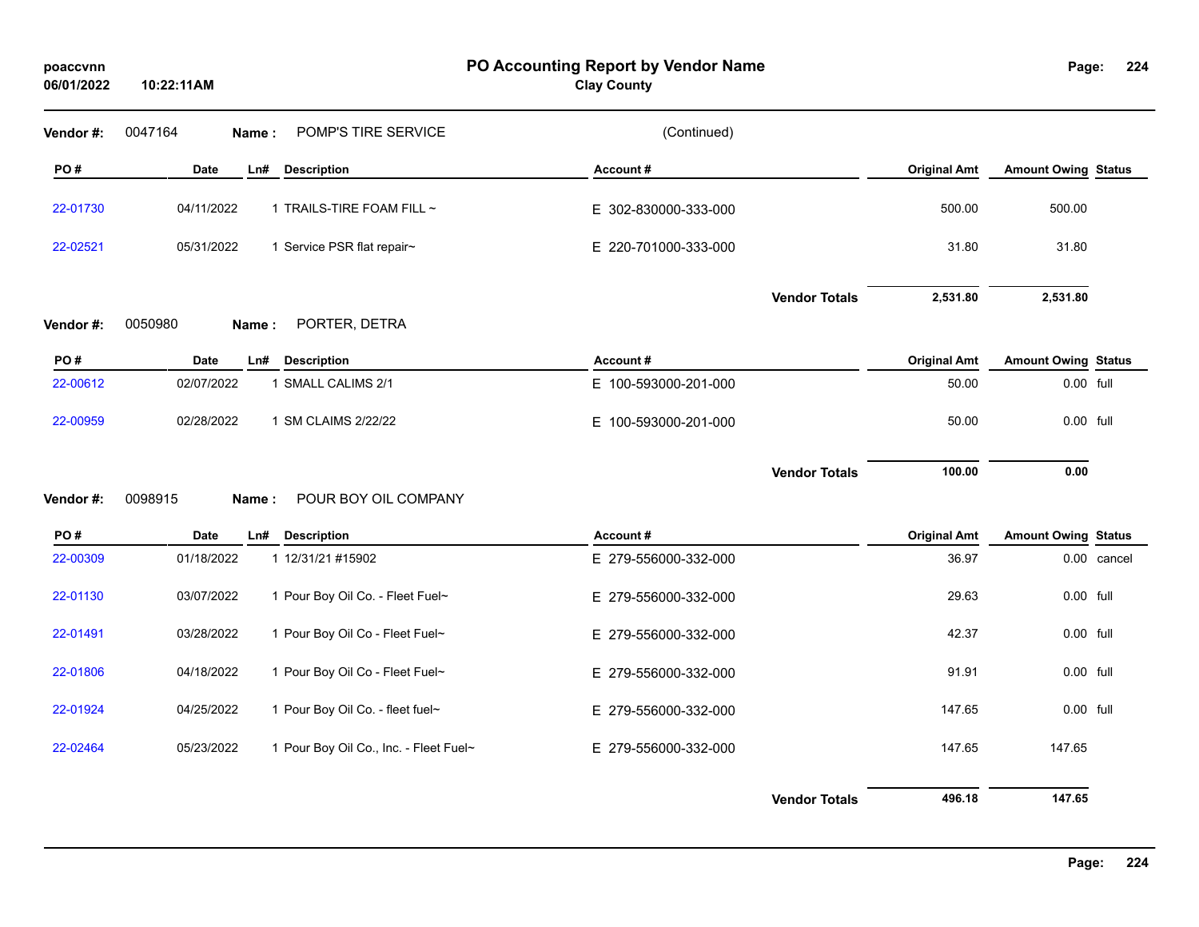| poaccvnn<br>06/01/2022 | 10:22:11AM |                                        | PO Accounting Report by Vendor Name<br><b>Clay County</b> |                      |                     | Page:                      | 224         |
|------------------------|------------|----------------------------------------|-----------------------------------------------------------|----------------------|---------------------|----------------------------|-------------|
| Vendor #:              | 0047164    | POMP'S TIRE SERVICE<br>Name:           | (Continued)                                               |                      |                     |                            |             |
| PO#                    | Date       | Ln# Description                        | Account#                                                  |                      | <b>Original Amt</b> | <b>Amount Owing Status</b> |             |
| 22-01730               | 04/11/2022 | 1 TRAILS-TIRE FOAM FILL ~              | E 302-830000-333-000                                      |                      | 500.00              | 500.00                     |             |
| 22-02521               | 05/31/2022 | 1 Service PSR flat repair~             | E 220-701000-333-000                                      |                      | 31.80               | 31.80                      |             |
|                        |            |                                        |                                                           | <b>Vendor Totals</b> | 2,531.80            | 2,531.80                   |             |
| Vendor#:               | 0050980    | PORTER, DETRA<br>Name:                 |                                                           |                      |                     |                            |             |
| PO#                    | Date       | <b>Description</b><br>Ln#              | Account#                                                  |                      | <b>Original Amt</b> | <b>Amount Owing Status</b> |             |
| 22-00612               | 02/07/2022 | 1 SMALL CALIMS 2/1                     | E 100-593000-201-000                                      |                      | 50.00               | 0.00 full                  |             |
| 22-00959               | 02/28/2022 | 1 SM CLAIMS 2/22/22                    | E 100-593000-201-000                                      |                      | 50.00               | 0.00 full                  |             |
| Vendor#:               | 0098915    | POUR BOY OIL COMPANY<br>Name:          |                                                           | <b>Vendor Totals</b> | 100.00              | 0.00                       |             |
| PO#                    | Date       | Ln#<br><b>Description</b>              | Account#                                                  |                      | <b>Original Amt</b> | <b>Amount Owing Status</b> |             |
| 22-00309               | 01/18/2022 | 1 12/31/21 #15902                      | E 279-556000-332-000                                      |                      | 36.97               |                            | 0.00 cancel |
| 22-01130               | 03/07/2022 | 1 Pour Boy Oil Co. - Fleet Fuel~       | E 279-556000-332-000                                      |                      | 29.63               | 0.00 full                  |             |
| 22-01491               | 03/28/2022 | 1 Pour Boy Oil Co - Fleet Fuel~        | E 279-556000-332-000                                      |                      | 42.37               | 0.00 full                  |             |
| 22-01806               | 04/18/2022 | 1 Pour Boy Oil Co - Fleet Fuel~        | E 279-556000-332-000                                      |                      | 91.91               | 0.00 full                  |             |
| 22-01924               | 04/25/2022 | 1 Pour Boy Oil Co. - fleet fuel~       | E 279-556000-332-000                                      |                      | 147.65              | 0.00 full                  |             |
| 22-02464               | 05/23/2022 | 1 Pour Boy Oil Co., Inc. - Fleet Fuel~ | E 279-556000-332-000                                      |                      | 147.65              | 147.65                     |             |
|                        |            |                                        |                                                           | <b>Vendor Totals</b> | 496.18              | 147.65                     |             |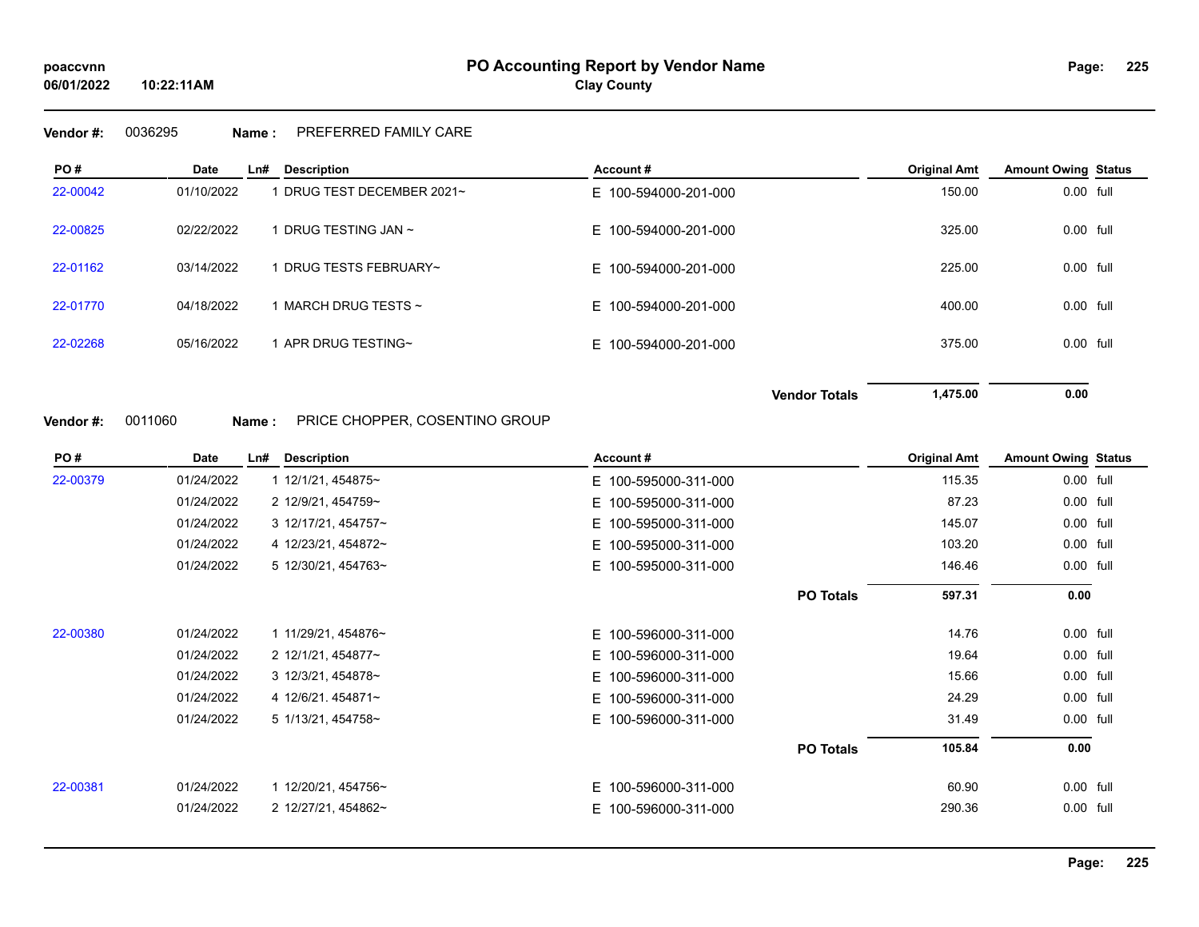### **Vendor #:** 0036295 **Name :** PREFERRED FAMILY CARE

**10:22:11AM**

| PO#      | Date       | Ln#<br><b>Description</b>    | Account#             | <b>Original Amt</b> | <b>Amount Owing Status</b> |
|----------|------------|------------------------------|----------------------|---------------------|----------------------------|
| 22-00042 | 01/10/2022 | DRUG TEST DECEMBER 2021~     | E 100-594000-201-000 | 150.00              | 0.00 full                  |
| 22-00825 | 02/22/2022 | DRUG TESTING JAN ~           | E 100-594000-201-000 | 325.00              | 0.00 full                  |
| 22-01162 | 03/14/2022 | DRUG TESTS FEBRUARY~         | E 100-594000-201-000 | 225.00              | 0.00 full                  |
| 22-01770 | 04/18/2022 | $\,$ MARCH DRUG TESTS $\sim$ | E 100-594000-201-000 | 400.00              | 0.00 full                  |
| 22-02268 | 05/16/2022 | APR DRUG TESTING~            | E 100-594000-201-000 | 375.00              | 0.00 full                  |
|          |            |                              | <b>Vendor Totals</b> | 1,475.00            | 0.00                       |

**Vendor #:** 0011060 **Name :** PRICE CHOPPER, COSENTINO GROUP

| PO#      | Date       | Ln# | <b>Description</b>  | Account#             | <b>Original Amt</b> | <b>Amount Owing Status</b> |  |
|----------|------------|-----|---------------------|----------------------|---------------------|----------------------------|--|
| 22-00379 | 01/24/2022 |     | 1 12/1/21, 454875~  | E 100-595000-311-000 | 115.35              | 0.00 full                  |  |
|          | 01/24/2022 |     | 2 12/9/21, 454759~  | E 100-595000-311-000 | 87.23               | 0.00 full                  |  |
|          | 01/24/2022 |     | 3 12/17/21, 454757~ | E 100-595000-311-000 | 145.07              | 0.00 full                  |  |
|          | 01/24/2022 |     | 4 12/23/21, 454872~ | E 100-595000-311-000 | 103.20              | 0.00 full                  |  |
|          | 01/24/2022 |     | 5 12/30/21, 454763~ | E 100-595000-311-000 | 146.46              | 0.00 full                  |  |
|          |            |     |                     | <b>PO Totals</b>     | 597.31              | 0.00                       |  |
| 22-00380 | 01/24/2022 |     | 1 11/29/21, 454876~ | E 100-596000-311-000 | 14.76               | 0.00 full                  |  |
|          | 01/24/2022 |     | 2 12/1/21, 454877~  | E 100-596000-311-000 | 19.64               | 0.00 full                  |  |
|          | 01/24/2022 |     | 3 12/3/21, 454878~  | E 100-596000-311-000 | 15.66               | 0.00 full                  |  |
|          | 01/24/2022 |     | 4 12/6/21 454871~   | E 100-596000-311-000 | 24.29               | 0.00 full                  |  |
|          | 01/24/2022 |     | 5 1/13/21, 454758~  | E 100-596000-311-000 | 31.49               | 0.00 full                  |  |
|          |            |     |                     | <b>PO Totals</b>     | 105.84              | 0.00                       |  |
| 22-00381 | 01/24/2022 |     | 1 12/20/21, 454756~ | E 100-596000-311-000 | 60.90               | 0.00 full                  |  |
|          | 01/24/2022 |     | 2 12/27/21, 454862~ | E 100-596000-311-000 | 290.36              | 0.00 full                  |  |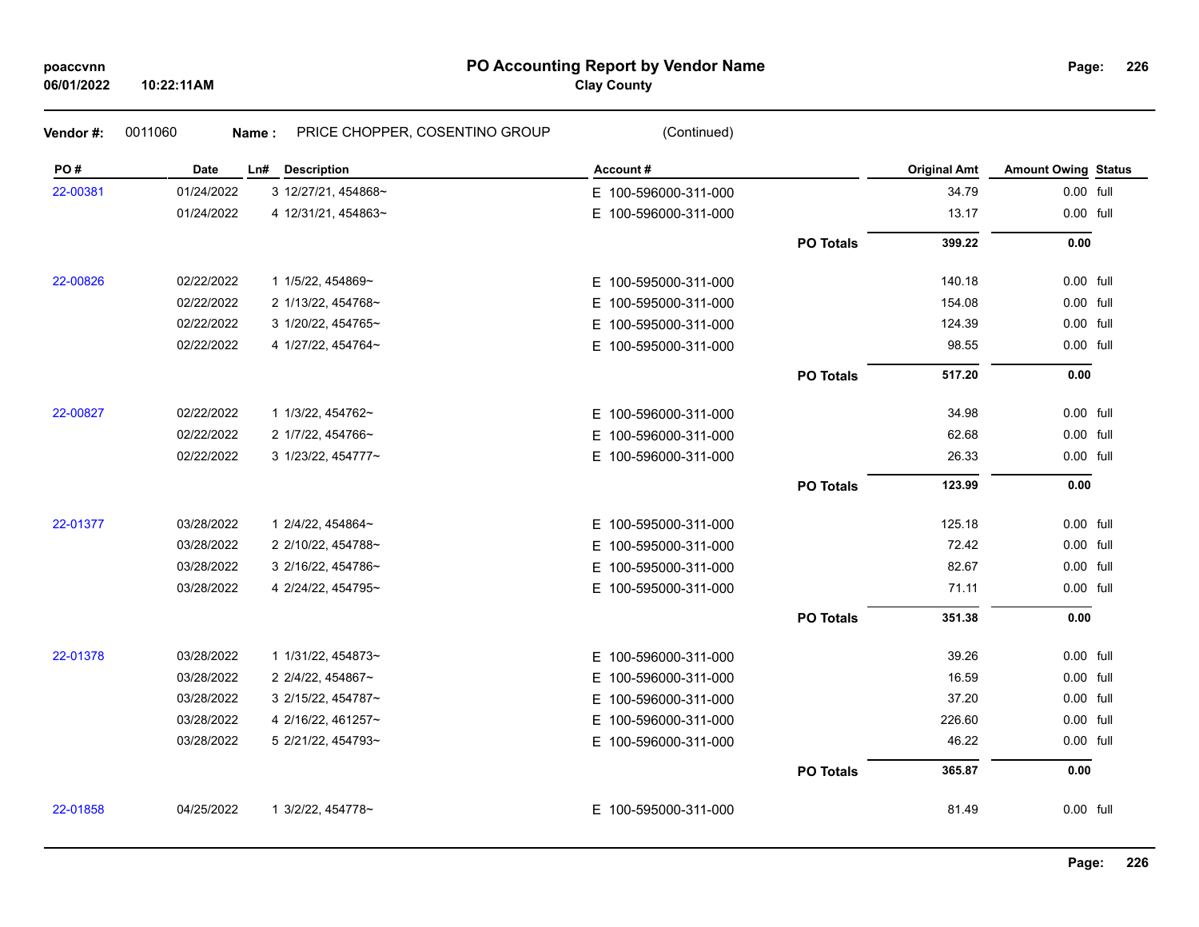## **PO Accounting Report by Vendor Name poaccvnn Page:**

# **Clay County**

| Vendor#: | 0011060     | PRICE CHOPPER, COSENTINO GROUP<br>Name: | (Continued)              |                  |                     |                            |  |
|----------|-------------|-----------------------------------------|--------------------------|------------------|---------------------|----------------------------|--|
| PO#      | <b>Date</b> | <b>Description</b><br>Ln#               | Account#                 |                  | <b>Original Amt</b> | <b>Amount Owing Status</b> |  |
| 22-00381 | 01/24/2022  | 3 12/27/21, 454868~                     | E 100-596000-311-000     |                  | 34.79               | 0.00 full                  |  |
|          | 01/24/2022  | 4 12/31/21, 454863~                     | E 100-596000-311-000     |                  | 13.17               | 0.00 full                  |  |
|          |             |                                         |                          | <b>PO Totals</b> | 399.22              | 0.00                       |  |
| 22-00826 | 02/22/2022  | 1 1/5/22, 454869~                       | E 100-595000-311-000     |                  | 140.18              | 0.00 full                  |  |
|          | 02/22/2022  | 2 1/13/22, 454768~                      | E.<br>100-595000-311-000 |                  | 154.08              | 0.00 full                  |  |
|          | 02/22/2022  | 3 1/20/22, 454765~                      | E.<br>100-595000-311-000 |                  | 124.39              | 0.00 full                  |  |
|          | 02/22/2022  | 4 1/27/22, 454764~                      | E.<br>100-595000-311-000 |                  | 98.55               | 0.00 full                  |  |
|          |             |                                         |                          | <b>PO Totals</b> | 517.20              | 0.00                       |  |
| 22-00827 | 02/22/2022  | 1 1/3/22, 454762~                       | E 100-596000-311-000     |                  | 34.98               | 0.00 full                  |  |
|          | 02/22/2022  | 2 1/7/22, 454766~                       | E.<br>100-596000-311-000 |                  | 62.68               | 0.00 full                  |  |
|          | 02/22/2022  | 3 1/23/22, 454777~                      | E 100-596000-311-000     |                  | 26.33               | 0.00 full                  |  |
|          |             |                                         |                          | <b>PO Totals</b> | 123.99              | 0.00                       |  |
| 22-01377 | 03/28/2022  | 1 2/4/22, 454864~                       | E 100-595000-311-000     |                  | 125.18              | 0.00 full                  |  |
|          | 03/28/2022  | 2 2/10/22, 454788~                      | E 100-595000-311-000     |                  | 72.42               | 0.00 full                  |  |
|          | 03/28/2022  | 3 2/16/22, 454786~                      | E.<br>100-595000-311-000 |                  | 82.67               | 0.00 full                  |  |
|          | 03/28/2022  | 4 2/24/22, 454795~                      | E 100-595000-311-000     |                  | 71.11               | 0.00 full                  |  |
|          |             |                                         |                          | <b>PO Totals</b> | 351.38              | 0.00                       |  |
| 22-01378 | 03/28/2022  | 1 1/31/22, 454873~                      | E 100-596000-311-000     |                  | 39.26               | 0.00 full                  |  |
|          | 03/28/2022  | 2 2/4/22, 454867~                       | E 100-596000-311-000     |                  | 16.59               | 0.00 full                  |  |
|          | 03/28/2022  | 3 2/15/22, 454787~                      | E 100-596000-311-000     |                  | 37.20               | 0.00 full                  |  |
|          | 03/28/2022  | 4 2/16/22, 461257~                      | E 100-596000-311-000     |                  | 226.60              | 0.00 full                  |  |
|          | 03/28/2022  | 5 2/21/22, 454793~                      | E 100-596000-311-000     |                  | 46.22               | 0.00 full                  |  |
|          |             |                                         |                          | <b>PO Totals</b> | 365.87              | 0.00                       |  |
| 22-01858 | 04/25/2022  | 1 3/2/22, 454778~                       | E 100-595000-311-000     |                  | 81.49               | 0.00 full                  |  |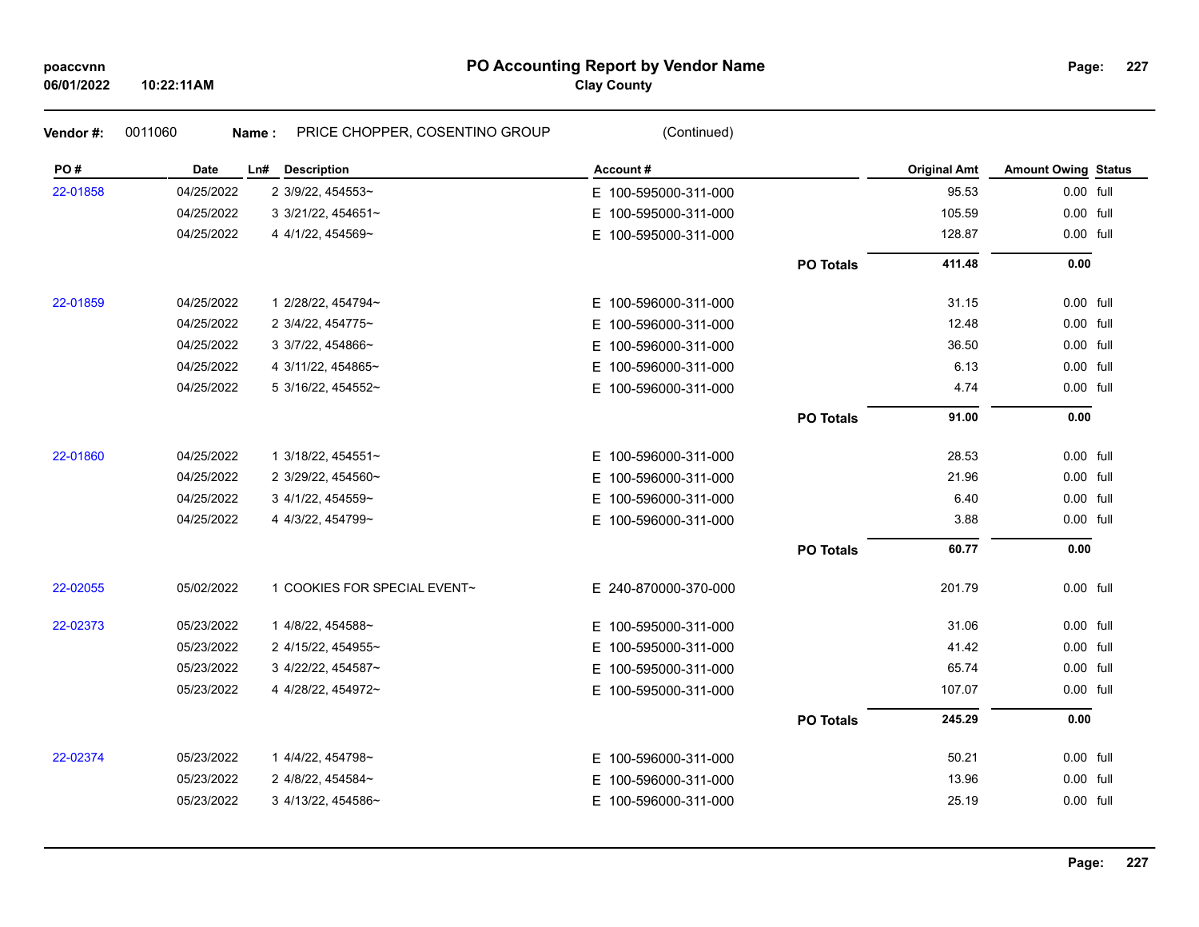## **PO Accounting Report by Vendor Name poaccvnn Page:**

# **Clay County**

| Vendor#: | 0011060    | PRICE CHOPPER, COSENTINO GROUP<br>Name: | (Continued)              |                  |                     |                            |  |
|----------|------------|-----------------------------------------|--------------------------|------------------|---------------------|----------------------------|--|
| PO#      | Date       | Ln#<br><b>Description</b>               | Account#                 |                  | <b>Original Amt</b> | <b>Amount Owing Status</b> |  |
| 22-01858 | 04/25/2022 | 2 3/9/22, 454553~                       | E 100-595000-311-000     |                  | 95.53               | 0.00 full                  |  |
|          | 04/25/2022 | 3 3/21/22, 454651~                      | E.<br>100-595000-311-000 |                  | 105.59              | 0.00 full                  |  |
|          | 04/25/2022 | 4 4/1/22, 454569~                       | E.<br>100-595000-311-000 |                  | 128.87              | 0.00 full                  |  |
|          |            |                                         |                          | <b>PO Totals</b> | 411.48              | 0.00                       |  |
| 22-01859 | 04/25/2022 | 1 2/28/22, 454794~                      | E 100-596000-311-000     |                  | 31.15               | 0.00 full                  |  |
|          | 04/25/2022 | 2 3/4/22, 454775~                       | Е.<br>100-596000-311-000 |                  | 12.48               | 0.00 full                  |  |
|          | 04/25/2022 | 3 3/7/22, 454866~                       | E.<br>100-596000-311-000 |                  | 36.50               | 0.00 full                  |  |
|          | 04/25/2022 | 4 3/11/22, 454865~                      | 100-596000-311-000<br>Е. |                  | 6.13                | 0.00 full                  |  |
|          | 04/25/2022 | 5 3/16/22, 454552~                      | E 100-596000-311-000     |                  | 4.74                | 0.00 full                  |  |
|          |            |                                         |                          | <b>PO Totals</b> | 91.00               | 0.00                       |  |
| 22-01860 | 04/25/2022 | 1 3/18/22, 454551~                      | E 100-596000-311-000     |                  | 28.53               | 0.00 full                  |  |
|          | 04/25/2022 | 2 3/29/22, 454560~                      | 100-596000-311-000<br>E. |                  | 21.96               | 0.00 full                  |  |
|          | 04/25/2022 | 3 4/1/22, 454559~                       | 100-596000-311-000<br>E. |                  | 6.40                | 0.00 full                  |  |
|          | 04/25/2022 | 4 4/3/22, 454799~                       | E 100-596000-311-000     |                  | 3.88                | 0.00 full                  |  |
|          |            |                                         |                          | <b>PO Totals</b> | 60.77               | 0.00                       |  |
| 22-02055 | 05/02/2022 | 1 COOKIES FOR SPECIAL EVENT~            | E 240-870000-370-000     |                  | 201.79              | 0.00 full                  |  |
| 22-02373 | 05/23/2022 | 1 4/8/22, 454588~                       | E 100-595000-311-000     |                  | 31.06               | 0.00 full                  |  |
|          | 05/23/2022 | 2 4/15/22, 454955~                      | 100-595000-311-000<br>E. |                  | 41.42               | 0.00 full                  |  |
|          | 05/23/2022 | 3 4/22/22, 454587~                      | 100-595000-311-000<br>Е. |                  | 65.74               | 0.00 full                  |  |
|          | 05/23/2022 | 4 4/28/22, 454972~                      | E 100-595000-311-000     |                  | 107.07              | 0.00 full                  |  |
|          |            |                                         |                          | <b>PO Totals</b> | 245.29              | 0.00                       |  |
| 22-02374 | 05/23/2022 | 1 4/4/22, 454798~                       | E 100-596000-311-000     |                  | 50.21               | 0.00 full                  |  |
|          | 05/23/2022 | 2 4/8/22, 454584~                       | 100-596000-311-000<br>E. |                  | 13.96               | 0.00 full                  |  |
|          | 05/23/2022 | 3 4/13/22, 454586~                      | E 100-596000-311-000     |                  | 25.19               | 0.00 full                  |  |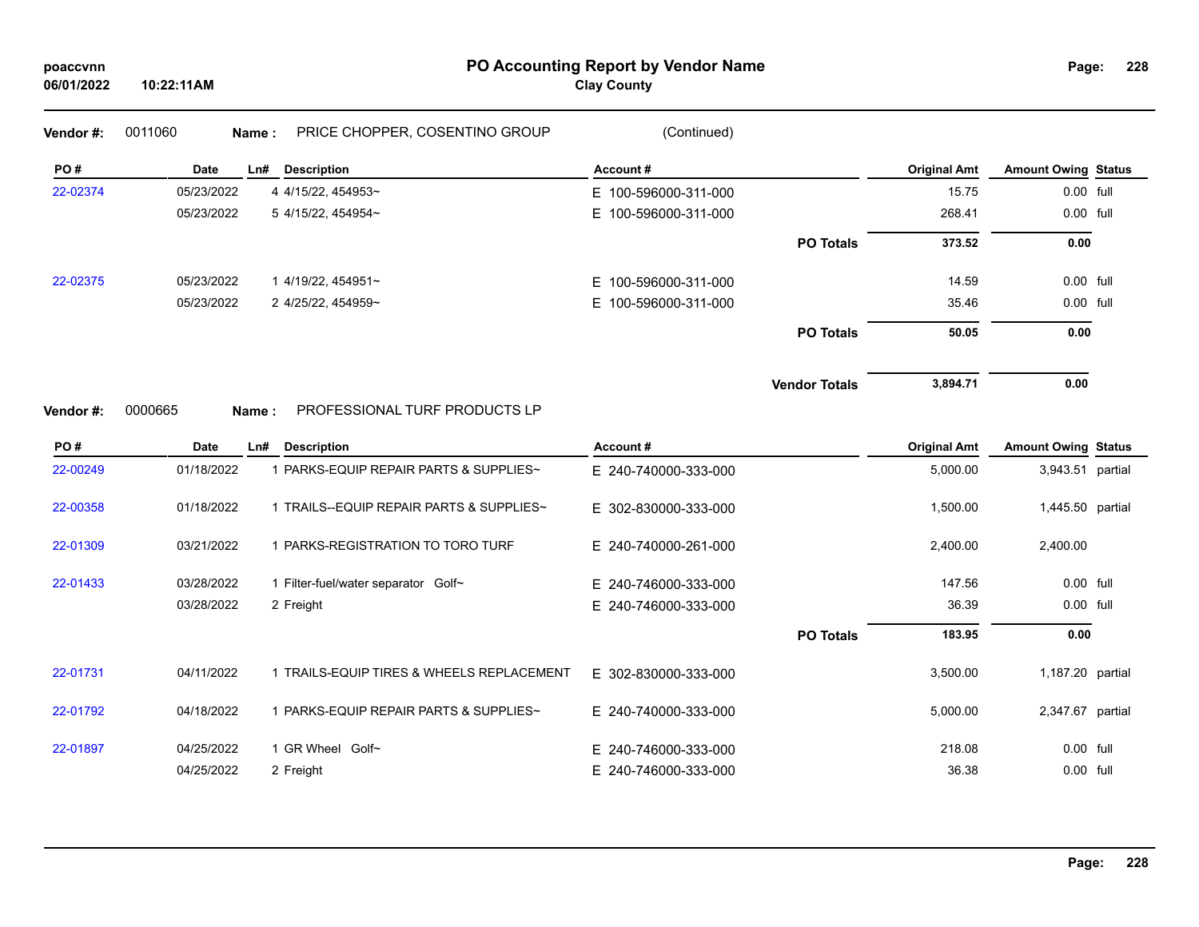# **PO Accounting Report by Vendor Name poaccvnn Page:**

| Page: | 228 |
|-------|-----|
|-------|-----|

| Vendor#: | 0011060<br>Name: | PRICE CHOPPER, COSENTINO GROUP            | (Continued)              |                      |                     |                            |  |
|----------|------------------|-------------------------------------------|--------------------------|----------------------|---------------------|----------------------------|--|
| PO#      | Date             | Ln#<br><b>Description</b>                 | Account#                 |                      | <b>Original Amt</b> | <b>Amount Owing Status</b> |  |
| 22-02374 | 05/23/2022       | 4 4/15/22, 454953~                        | E 100-596000-311-000     |                      | 15.75               | 0.00 full                  |  |
|          | 05/23/2022       | 5 4/15/22, 454954~                        | E.<br>100-596000-311-000 |                      | 268.41              | 0.00 full                  |  |
|          |                  |                                           |                          | <b>PO Totals</b>     | 373.52              | 0.00                       |  |
| 22-02375 | 05/23/2022       | 1 4/19/22, 454951~                        | E 100-596000-311-000     |                      | 14.59               | $0.00$ full                |  |
|          | 05/23/2022       | 2 4/25/22, 454959~                        | E 100-596000-311-000     |                      | 35.46               | 0.00 full                  |  |
|          |                  |                                           |                          | <b>PO Totals</b>     | 50.05               | 0.00                       |  |
|          |                  |                                           |                          | <b>Vendor Totals</b> | 3,894.71            | 0.00                       |  |
| Vendor#: | 0000665<br>Name: | PROFESSIONAL TURF PRODUCTS LP             |                          |                      |                     |                            |  |
| PO#      | Date             | Ln# Description                           | Account#                 |                      | <b>Original Amt</b> | <b>Amount Owing Status</b> |  |
| 22-00249 | 01/18/2022       | 1 PARKS-EQUIP REPAIR PARTS & SUPPLIES~    | E 240-740000-333-000     |                      | 5,000.00            | 3,943.51 partial           |  |
| 22-00358 | 01/18/2022       | 1 TRAILS--EQUIP REPAIR PARTS & SUPPLIES~  | E 302-830000-333-000     |                      | 1,500.00            | 1,445.50 partial           |  |
| 22-01309 | 03/21/2022       | 1 PARKS-REGISTRATION TO TORO TURF         | E 240-740000-261-000     |                      | 2,400.00            | 2,400.00                   |  |
| 22-01433 | 03/28/2022       | 1 Filter-fuel/water separator Golf~       | E 240-746000-333-000     |                      | 147.56              | 0.00 full                  |  |
|          | 03/28/2022       | 2 Freight                                 | E 240-746000-333-000     |                      | 36.39               | 0.00 full                  |  |
|          |                  |                                           |                          | <b>PO Totals</b>     | 183.95              | 0.00                       |  |
| 22-01731 | 04/11/2022       | 1 TRAILS-EQUIP TIRES & WHEELS REPLACEMENT | E 302-830000-333-000     |                      | 3,500.00            | 1,187.20 partial           |  |
| 22-01792 | 04/18/2022       | 1 PARKS-EQUIP REPAIR PARTS & SUPPLIES~    | E 240-740000-333-000     |                      | 5,000.00            | 2,347.67 partial           |  |
| 22-01897 | 04/25/2022       | 1 GR Wheel Golf~                          | E 240-746000-333-000     |                      | 218.08              | 0.00 full                  |  |
|          | 04/25/2022       | 2 Freight                                 | E 240-746000-333-000     |                      | 36.38               | 0.00 full                  |  |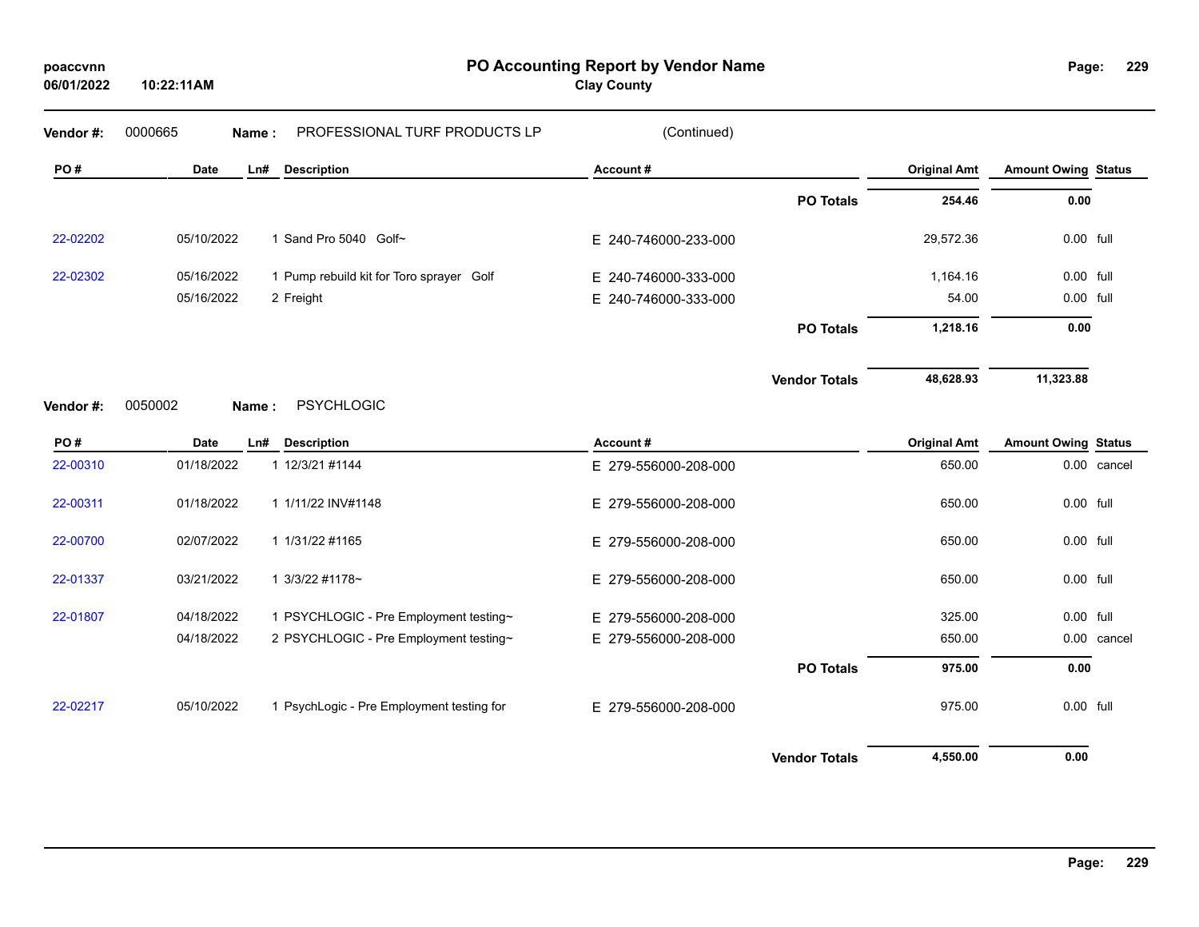| poaccynn   |  |
|------------|--|
| 06/01/2022 |  |

**PO Accounting Report by Vendor Name poaccvnn Page:**

| Page: | 229 |
|-------|-----|
|-------|-----|

| Vendor#: | 0000665     | Name: | PROFESSIONAL TURF PRODUCTS LP             | (Continued)          |                      |                     |                            |             |
|----------|-------------|-------|-------------------------------------------|----------------------|----------------------|---------------------|----------------------------|-------------|
| PO#      | <b>Date</b> | Ln#   | <b>Description</b>                        | Account#             |                      | <b>Original Amt</b> | <b>Amount Owing Status</b> |             |
|          |             |       |                                           |                      | <b>PO Totals</b>     | 254.46              | 0.00                       |             |
| 22-02202 | 05/10/2022  |       | 1 Sand Pro 5040 Golf~                     | E 240-746000-233-000 |                      | 29,572.36           | 0.00 full                  |             |
| 22-02302 | 05/16/2022  |       | 1 Pump rebuild kit for Toro sprayer Golf  | E 240-746000-333-000 |                      | 1,164.16            | 0.00 full                  |             |
|          | 05/16/2022  |       | 2 Freight                                 | E 240-746000-333-000 |                      | 54.00               | 0.00 full                  |             |
|          |             |       |                                           |                      | <b>PO Totals</b>     | 1,218.16            | 0.00                       |             |
|          |             |       |                                           |                      | <b>Vendor Totals</b> | 48,628.93           | 11,323.88                  |             |
| Vendor#: | 0050002     | Name: | <b>PSYCHLOGIC</b>                         |                      |                      |                     |                            |             |
| PO#      | <b>Date</b> | Ln#   | <b>Description</b>                        | Account#             |                      | <b>Original Amt</b> | <b>Amount Owing Status</b> |             |
| 22-00310 | 01/18/2022  |       | 1 12/3/21 #1144                           | E 279-556000-208-000 |                      | 650.00              |                            | 0.00 cancel |
| 22-00311 | 01/18/2022  |       | 1 1/11/22 INV#1148                        | E 279-556000-208-000 |                      | 650.00              | 0.00 full                  |             |
| 22-00700 | 02/07/2022  |       | 1 1/31/22 #1165                           | E 279-556000-208-000 |                      | 650.00              | 0.00 full                  |             |
| 22-01337 | 03/21/2022  |       | 1 3/3/22 #1178~                           | E 279-556000-208-000 |                      | 650.00              | 0.00 full                  |             |
| 22-01807 | 04/18/2022  |       | 1 PSYCHLOGIC - Pre Employment testing~    | E 279-556000-208-000 |                      | 325.00              | 0.00 full                  |             |
|          | 04/18/2022  |       | 2 PSYCHLOGIC - Pre Employment testing~    | E 279-556000-208-000 |                      | 650.00              |                            | 0.00 cancel |
|          |             |       |                                           |                      | <b>PO Totals</b>     | 975.00              | 0.00                       |             |
| 22-02217 | 05/10/2022  |       | 1 PsychLogic - Pre Employment testing for | E 279-556000-208-000 |                      | 975.00              | 0.00 full                  |             |
|          |             |       |                                           |                      | <b>Vendor Totals</b> | 4,550.00            | 0.00                       |             |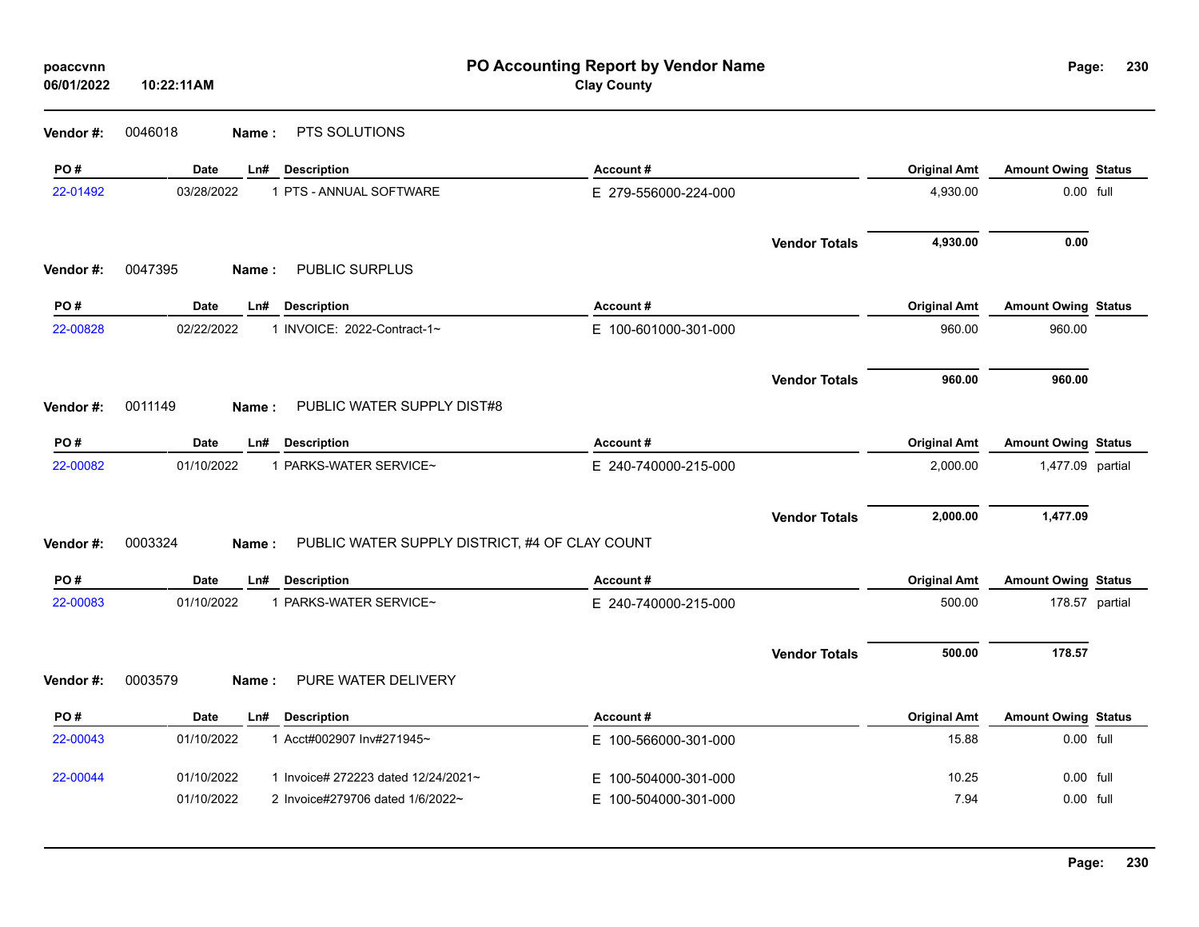| poaccvnn<br>06/01/2022 | 10:22:11AM  |                                                         | PO Accounting Report by Vendor Name<br><b>Clay County</b> |                      |                     | Page:                      | 230            |
|------------------------|-------------|---------------------------------------------------------|-----------------------------------------------------------|----------------------|---------------------|----------------------------|----------------|
| Vendor#:               | 0046018     | PTS SOLUTIONS<br>Name:                                  |                                                           |                      |                     |                            |                |
| PO#                    | <b>Date</b> | Ln#<br><b>Description</b>                               | Account#                                                  |                      | <b>Original Amt</b> | <b>Amount Owing Status</b> |                |
| 22-01492               | 03/28/2022  | 1 PTS - ANNUAL SOFTWARE                                 | E 279-556000-224-000                                      |                      | 4,930.00            | 0.00 full                  |                |
|                        |             |                                                         |                                                           | <b>Vendor Totals</b> | 4,930.00            | 0.00                       |                |
| Vendor#:               | 0047395     | PUBLIC SURPLUS<br>Name:                                 |                                                           |                      |                     |                            |                |
| PO#                    | Date        | <b>Description</b><br>Ln#                               | Account#                                                  |                      | <b>Original Amt</b> | <b>Amount Owing Status</b> |                |
| 22-00828               | 02/22/2022  | 1 INVOICE: 2022-Contract-1~                             | E 100-601000-301-000                                      |                      | 960.00              | 960.00                     |                |
|                        |             |                                                         |                                                           | <b>Vendor Totals</b> | 960.00              | 960.00                     |                |
| Vendor#:               | 0011149     | PUBLIC WATER SUPPLY DIST#8<br>Name:                     |                                                           |                      |                     |                            |                |
| PO#                    | Date        | <b>Description</b><br>Ln#                               | Account#                                                  |                      | <b>Original Amt</b> | <b>Amount Owing Status</b> |                |
| 22-00082               | 01/10/2022  | 1 PARKS-WATER SERVICE~                                  | E 240-740000-215-000                                      |                      | 2,000.00            | 1,477.09 partial           |                |
|                        |             |                                                         |                                                           | <b>Vendor Totals</b> | 2,000.00            | 1,477.09                   |                |
| Vendor#:               | 0003324     | PUBLIC WATER SUPPLY DISTRICT, #4 OF CLAY COUNT<br>Name: |                                                           |                      |                     |                            |                |
| PO#                    | <b>Date</b> | <b>Description</b><br>Ln#                               | Account#                                                  |                      | <b>Original Amt</b> | <b>Amount Owing Status</b> |                |
| 22-00083               | 01/10/2022  | 1 PARKS-WATER SERVICE~                                  | E 240-740000-215-000                                      |                      | 500.00              |                            | 178.57 partial |
|                        |             |                                                         |                                                           | <b>Vendor Totals</b> | 500.00              | 178.57                     |                |
| Vendor#:               | 0003579     | PURE WATER DELIVERY<br>Name:                            |                                                           |                      |                     |                            |                |
| PO#                    | Date        | <b>Description</b><br>Ln#                               | Account#                                                  |                      | <b>Original Amt</b> | <b>Amount Owing Status</b> |                |
| 22-00043               | 01/10/2022  | 1 Acct#002907 Inv#271945~                               | E 100-566000-301-000                                      |                      | 15.88               | 0.00 full                  |                |
| 22-00044               | 01/10/2022  | 1 Invoice# 272223 dated 12/24/2021~                     | E 100-504000-301-000                                      |                      | 10.25               | 0.00 full                  |                |
|                        | 01/10/2022  | 2 Invoice#279706 dated 1/6/2022~                        | E 100-504000-301-000                                      |                      | 7.94                | 0.00 full                  |                |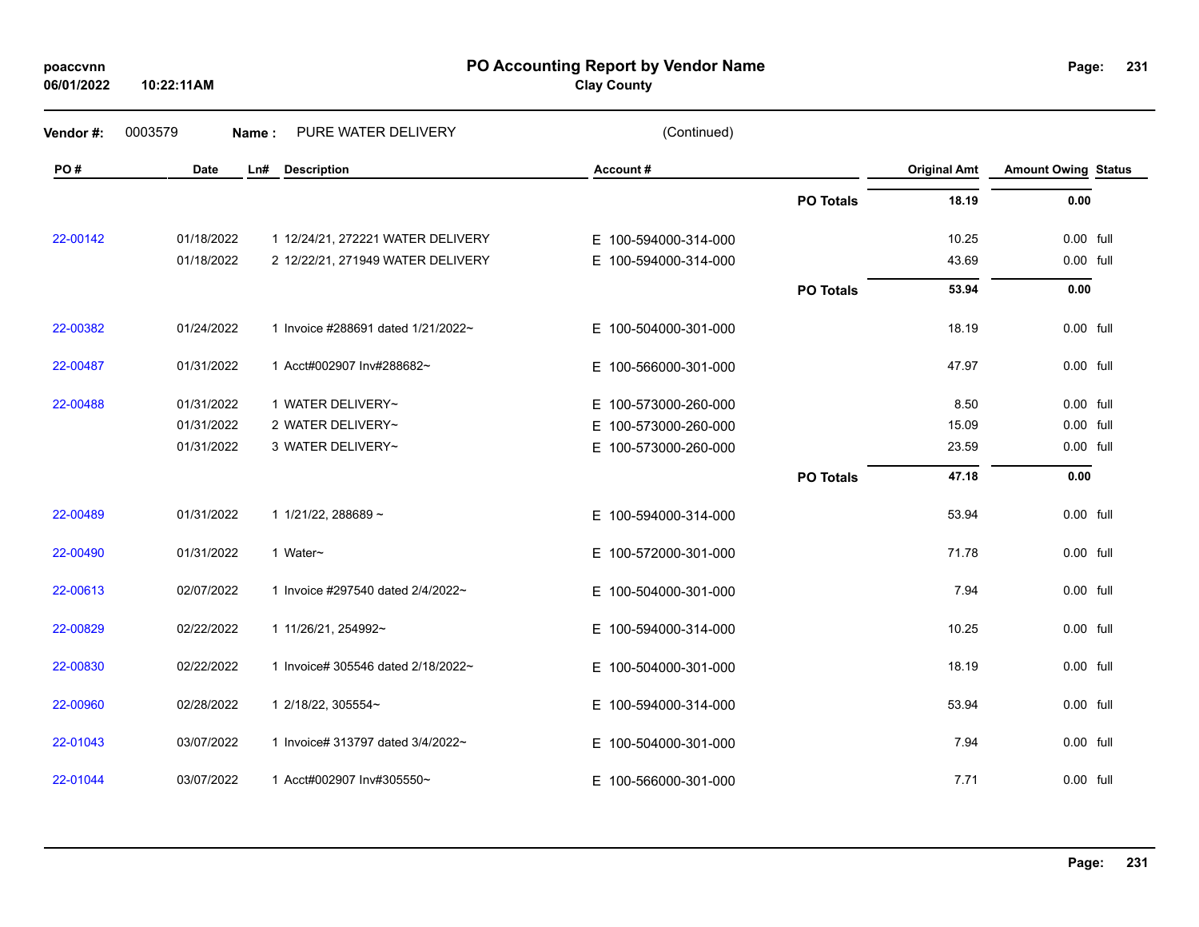| poaccvnn   |
|------------|
| 06/01/2022 |

**PO Accounting Report by Vendor Name poaccvnn Page:**

**Clay County**

| Vendor#: | 0003579     | PURE WATER DELIVERY<br>Name:       | (Continued)          |                  |                     |                            |  |
|----------|-------------|------------------------------------|----------------------|------------------|---------------------|----------------------------|--|
| PO#      | <b>Date</b> | <b>Description</b><br>Ln#          | Account#             |                  | <b>Original Amt</b> | <b>Amount Owing Status</b> |  |
|          |             |                                    |                      | <b>PO Totals</b> | 18.19               | 0.00                       |  |
| 22-00142 | 01/18/2022  | 1 12/24/21, 272221 WATER DELIVERY  | E 100-594000-314-000 |                  | 10.25               | 0.00 full                  |  |
|          | 01/18/2022  | 2 12/22/21, 271949 WATER DELIVERY  | E 100-594000-314-000 |                  | 43.69               | 0.00 full                  |  |
|          |             |                                    |                      | <b>PO Totals</b> | 53.94               | 0.00                       |  |
| 22-00382 | 01/24/2022  | 1 Invoice #288691 dated 1/21/2022~ | E 100-504000-301-000 |                  | 18.19               | 0.00 full                  |  |
| 22-00487 | 01/31/2022  | 1 Acct#002907 Inv#288682~          | E 100-566000-301-000 |                  | 47.97               | 0.00 full                  |  |
| 22-00488 | 01/31/2022  | 1 WATER DELIVERY~                  | E 100-573000-260-000 |                  | 8.50                | 0.00 full                  |  |
|          | 01/31/2022  | 2 WATER DELIVERY~                  | E 100-573000-260-000 |                  | 15.09               | 0.00 full                  |  |
|          | 01/31/2022  | 3 WATER DELIVERY~                  | E 100-573000-260-000 |                  | 23.59               | 0.00 full                  |  |
|          |             |                                    |                      | <b>PO Totals</b> | 47.18               | 0.00                       |  |
| 22-00489 | 01/31/2022  | 1 1/21/22, 288689 ~                | E 100-594000-314-000 |                  | 53.94               | 0.00 full                  |  |
| 22-00490 | 01/31/2022  | 1 Water~                           | E 100-572000-301-000 |                  | 71.78               | 0.00 full                  |  |
| 22-00613 | 02/07/2022  | 1 Invoice #297540 dated 2/4/2022~  | E 100-504000-301-000 |                  | 7.94                | 0.00 full                  |  |
| 22-00829 | 02/22/2022  | 1 11/26/21, 254992~                | E 100-594000-314-000 |                  | 10.25               | 0.00 full                  |  |
| 22-00830 | 02/22/2022  | 1 Invoice# 305546 dated 2/18/2022~ | E 100-504000-301-000 |                  | 18.19               | 0.00 full                  |  |
| 22-00960 | 02/28/2022  | 1 2/18/22, 305554~                 | E 100-594000-314-000 |                  | 53.94               | 0.00 full                  |  |
| 22-01043 | 03/07/2022  | 1 Invoice# 313797 dated 3/4/2022~  | E 100-504000-301-000 |                  | 7.94                | 0.00 full                  |  |
| 22-01044 | 03/07/2022  | 1 Acct#002907 Inv#305550~          | E 100-566000-301-000 |                  | 7.71                | 0.00 full                  |  |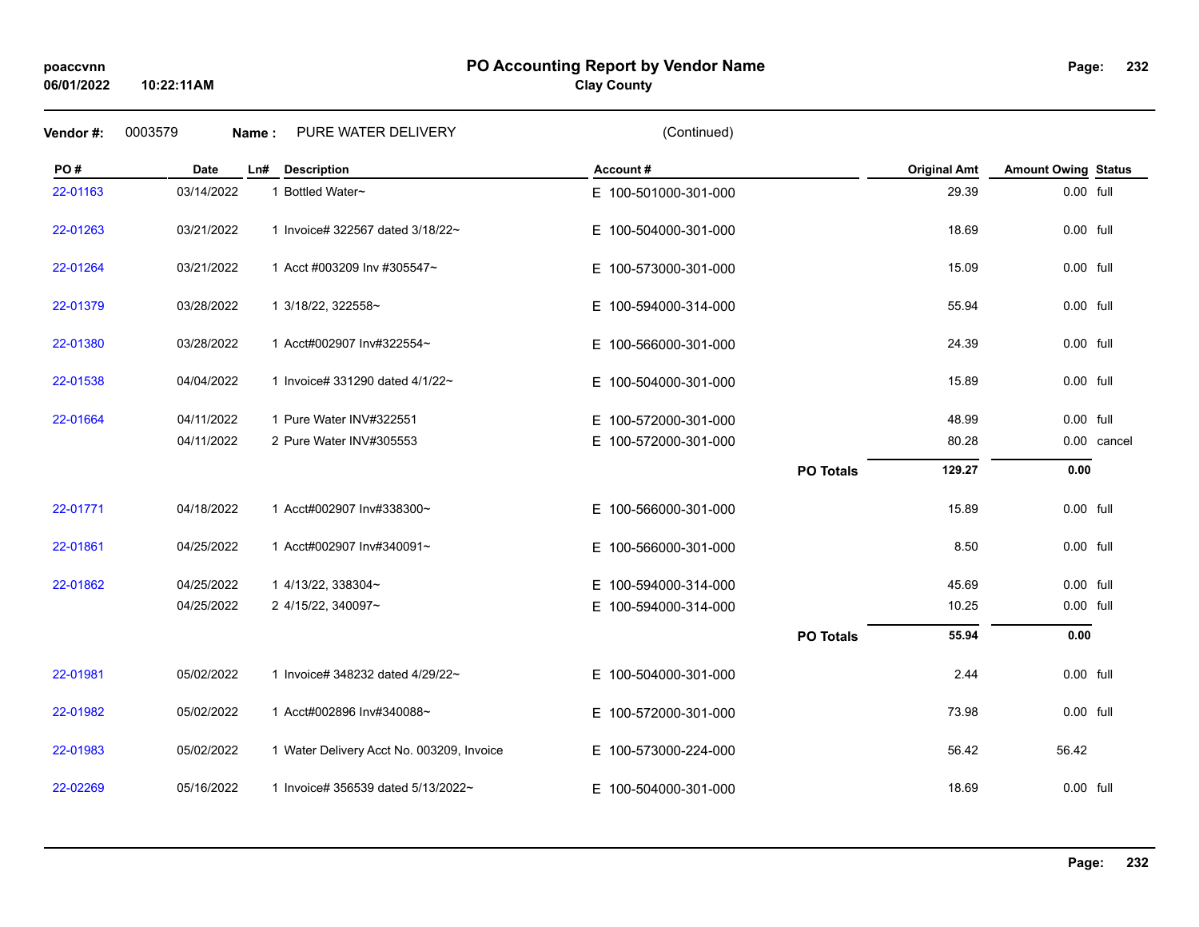## **PO Accounting Report by Vendor Name poaccvnn Page:**

# **Clay County**

| Vendor#: | 0003579     | PURE WATER DELIVERY<br>Name:              | (Continued)          |                  |                     |                            |             |
|----------|-------------|-------------------------------------------|----------------------|------------------|---------------------|----------------------------|-------------|
| PO#      | <b>Date</b> | <b>Description</b><br>Ln#                 | Account#             |                  | <b>Original Amt</b> | <b>Amount Owing Status</b> |             |
| 22-01163 | 03/14/2022  | 1 Bottled Water~                          | E 100-501000-301-000 |                  | 29.39               | 0.00 full                  |             |
| 22-01263 | 03/21/2022  | 1 Invoice# 322567 dated 3/18/22~          | E 100-504000-301-000 |                  | 18.69               | 0.00 full                  |             |
| 22-01264 | 03/21/2022  | 1 Acct #003209 Inv #305547~               | E 100-573000-301-000 |                  | 15.09               | 0.00 full                  |             |
| 22-01379 | 03/28/2022  | 1 3/18/22, 322558~                        | E 100-594000-314-000 |                  | 55.94               | 0.00 full                  |             |
| 22-01380 | 03/28/2022  | 1 Acct#002907 Inv#322554~                 | E 100-566000-301-000 |                  | 24.39               | $0.00$ full                |             |
| 22-01538 | 04/04/2022  | 1 Invoice# 331290 dated 4/1/22~           | E 100-504000-301-000 |                  | 15.89               | 0.00 full                  |             |
| 22-01664 | 04/11/2022  | 1 Pure Water INV#322551                   | E 100-572000-301-000 |                  | 48.99               | 0.00 full                  |             |
|          | 04/11/2022  | 2 Pure Water INV#305553                   | E 100-572000-301-000 |                  | 80.28               |                            | 0.00 cancel |
|          |             |                                           |                      | <b>PO Totals</b> | 129.27              | 0.00                       |             |
| 22-01771 | 04/18/2022  | 1 Acct#002907 Inv#338300~                 | E 100-566000-301-000 |                  | 15.89               | 0.00 full                  |             |
| 22-01861 | 04/25/2022  | 1 Acct#002907 Inv#340091~                 | E 100-566000-301-000 |                  | 8.50                | 0.00 full                  |             |
| 22-01862 | 04/25/2022  | 1 4/13/22, 338304~                        | E 100-594000-314-000 |                  | 45.69               | 0.00 full                  |             |
|          | 04/25/2022  | 2 4/15/22, 340097~                        | E 100-594000-314-000 |                  | 10.25               | 0.00 full                  |             |
|          |             |                                           |                      | <b>PO Totals</b> | 55.94               | 0.00                       |             |
| 22-01981 | 05/02/2022  | 1 Invoice# 348232 dated 4/29/22~          | E 100-504000-301-000 |                  | 2.44                | 0.00 full                  |             |
| 22-01982 | 05/02/2022  | 1 Acct#002896 Inv#340088~                 | E 100-572000-301-000 |                  | 73.98               | 0.00 full                  |             |
| 22-01983 | 05/02/2022  | 1 Water Delivery Acct No. 003209, Invoice | E 100-573000-224-000 |                  | 56.42               | 56.42                      |             |
| 22-02269 | 05/16/2022  | 1 Invoice# 356539 dated 5/13/2022~        | E 100-504000-301-000 |                  | 18.69               | 0.00 full                  |             |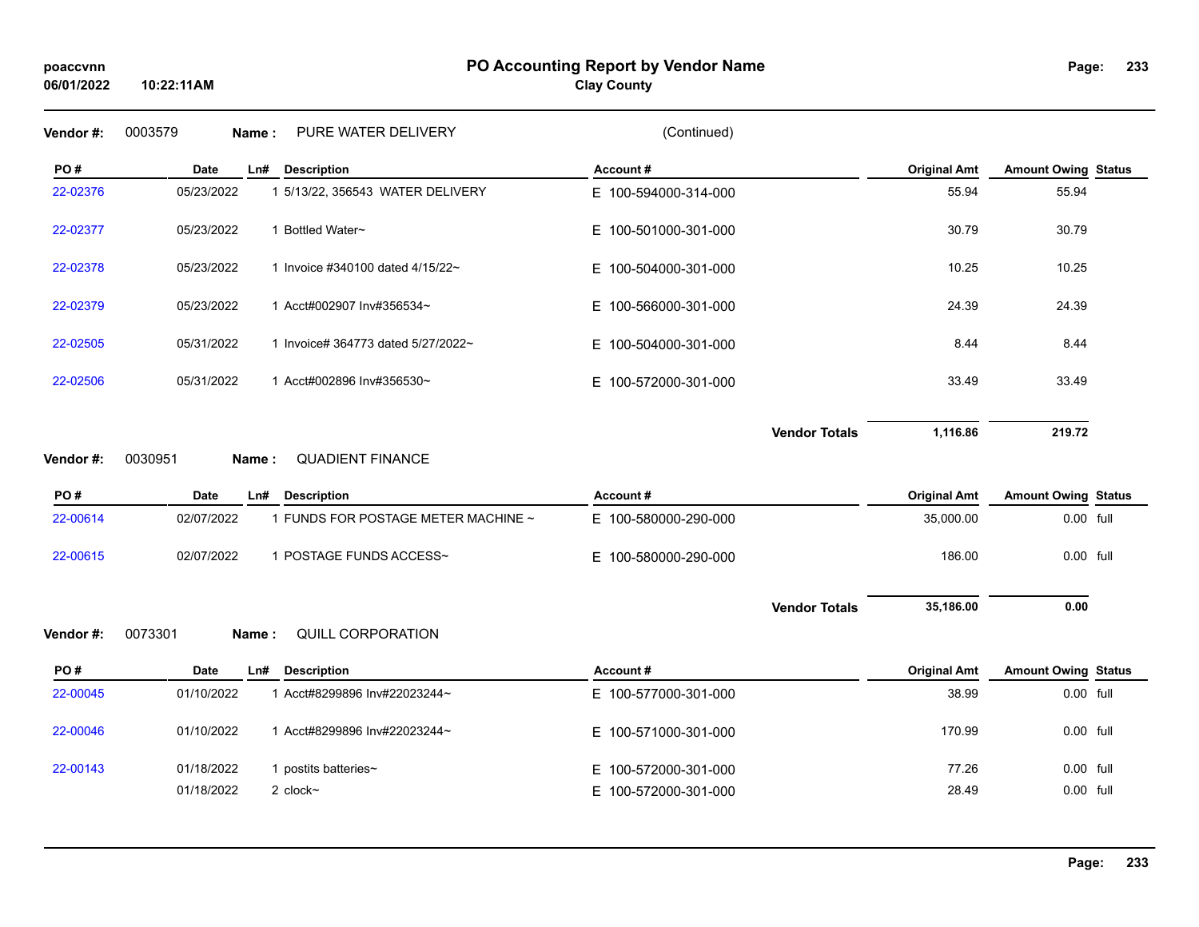## **PO Accounting Report by Vendor Name poaccvnn Page:**

**Clay County**

| Vendor#: | 0003579<br>PURE WATER DELIVERY<br>Name:           | (Continued)          |                     |                            |  |
|----------|---------------------------------------------------|----------------------|---------------------|----------------------------|--|
| PO#      | <b>Description</b><br>Date<br>Ln#                 | Account#             | <b>Original Amt</b> | <b>Amount Owing Status</b> |  |
| 22-02376 | 05/23/2022<br>1 5/13/22, 356543 WATER DELIVERY    | E 100-594000-314-000 | 55.94               | 55.94                      |  |
| 22-02377 | 1 Bottled Water~<br>05/23/2022                    | E 100-501000-301-000 | 30.79               | 30.79                      |  |
| 22-02378 | 05/23/2022<br>1 Invoice #340100 dated 4/15/22~    | E 100-504000-301-000 | 10.25               | 10.25                      |  |
| 22-02379 | 05/23/2022<br>1 Acct#002907 Inv#356534~           | E 100-566000-301-000 | 24.39               | 24.39                      |  |
| 22-02505 | 05/31/2022<br>1 Invoice# 364773 dated 5/27/2022~  | E 100-504000-301-000 | 8.44                | 8.44                       |  |
| 22-02506 | 05/31/2022<br>1 Acct#002896 Inv#356530~           | E 100-572000-301-000 | 33.49               | 33.49                      |  |
|          |                                                   | <b>Vendor Totals</b> | 1,116.86            | 219.72                     |  |
| Vendor#: | <b>QUADIENT FINANCE</b><br>0030951<br>Name:       |                      |                     |                            |  |
| PO#      | Date<br><b>Description</b><br>Ln#                 | Account#             | <b>Original Amt</b> | <b>Amount Owing Status</b> |  |
| 22-00614 | 02/07/2022<br>1 FUNDS FOR POSTAGE METER MACHINE ~ | E 100-580000-290-000 | 35,000.00           | 0.00 full                  |  |
| 22-00615 | 02/07/2022<br>1 POSTAGE FUNDS ACCESS~             | E 100-580000-290-000 | 186.00              | 0.00 full                  |  |
|          |                                                   | <b>Vendor Totals</b> | 35,186.00           | 0.00                       |  |
| Vendor#: | 0073301<br>QUILL CORPORATION<br>Name:             |                      |                     |                            |  |
| PO#      | Date<br><b>Description</b><br>Ln#                 | Account#             | <b>Original Amt</b> | <b>Amount Owing Status</b> |  |
| 22-00045 | 1 Acct#8299896 Inv#22023244~<br>01/10/2022        | E 100-577000-301-000 | 38.99               | 0.00 full                  |  |
|          |                                                   |                      |                     |                            |  |
| 22-00046 | 01/10/2022<br>1 Acct#8299896 Inv#22023244~        | E 100-571000-301-000 | 170.99              | 0.00 full                  |  |
| 22-00143 | 01/18/2022<br>1 postits batteries~                | E 100-572000-301-000 | 77.26               | 0.00 full                  |  |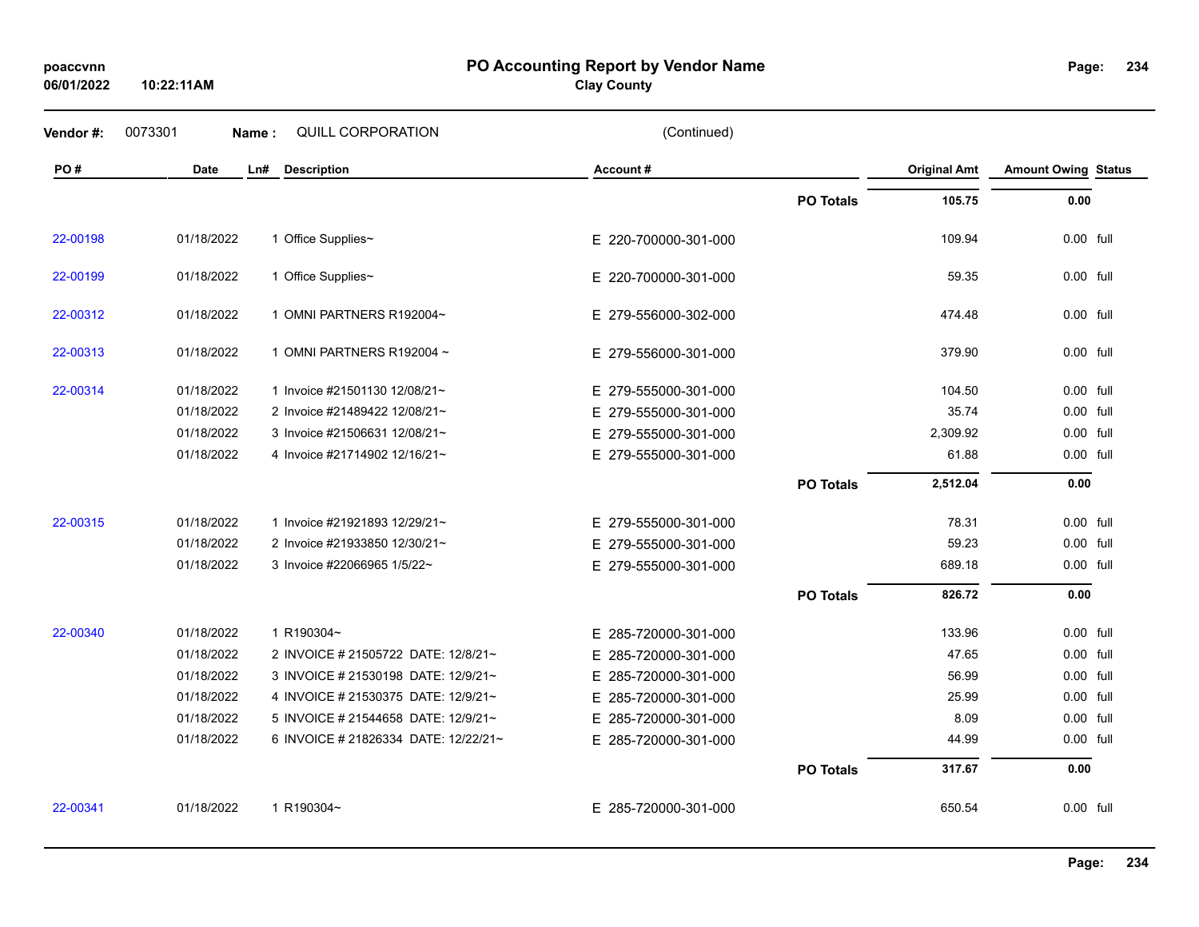**06/01/2022**

**10:22:11AM**

#### **PO Accounting Report by Vendor Name poaccvnn Page:**

# **Clay County**

| Vendor #: | 0073301    | Name: | QUILL CORPORATION                    | (Continued)          |                  |                     |                            |  |
|-----------|------------|-------|--------------------------------------|----------------------|------------------|---------------------|----------------------------|--|
| PO#       | Date       | Ln#   | <b>Description</b>                   | Account#             |                  | <b>Original Amt</b> | <b>Amount Owing Status</b> |  |
|           |            |       |                                      |                      | <b>PO Totals</b> | 105.75              | 0.00                       |  |
| 22-00198  | 01/18/2022 |       | 1 Office Supplies~                   | E 220-700000-301-000 |                  | 109.94              | 0.00 full                  |  |
| 22-00199  | 01/18/2022 |       | 1 Office Supplies~                   | E 220-700000-301-000 |                  | 59.35               | 0.00 full                  |  |
| 22-00312  | 01/18/2022 |       | 1 OMNI PARTNERS R192004~             | E 279-556000-302-000 |                  | 474.48              | 0.00 full                  |  |
| 22-00313  | 01/18/2022 |       | 1 OMNI PARTNERS R192004 ~            | E 279-556000-301-000 |                  | 379.90              | 0.00 full                  |  |
| 22-00314  | 01/18/2022 |       | 1 Invoice #21501130 12/08/21~        | E 279-555000-301-000 |                  | 104.50              | $0.00$ full                |  |
|           | 01/18/2022 |       | 2 Invoice #21489422 12/08/21~        | E 279-555000-301-000 |                  | 35.74               | 0.00 full                  |  |
|           | 01/18/2022 |       | 3 Invoice #21506631 12/08/21~        | E 279-555000-301-000 |                  | 2,309.92            | 0.00 full                  |  |
|           | 01/18/2022 |       | 4 Invoice #21714902 12/16/21~        | E 279-555000-301-000 |                  | 61.88               | 0.00 full                  |  |
|           |            |       |                                      |                      | <b>PO Totals</b> | 2,512.04            | 0.00                       |  |
| 22-00315  | 01/18/2022 |       | 1 Invoice #21921893 12/29/21~        | E 279-555000-301-000 |                  | 78.31               | $0.00$ full                |  |
|           | 01/18/2022 |       | 2 Invoice #21933850 12/30/21~        | E 279-555000-301-000 |                  | 59.23               | 0.00 full                  |  |
|           | 01/18/2022 |       | 3 Invoice #22066965 1/5/22~          | E 279-555000-301-000 |                  | 689.18              | 0.00 full                  |  |
|           |            |       |                                      |                      | <b>PO Totals</b> | 826.72              | 0.00                       |  |
| 22-00340  | 01/18/2022 |       | 1 R190304~                           | E 285-720000-301-000 |                  | 133.96              | 0.00 full                  |  |
|           | 01/18/2022 |       | 2 INVOICE # 21505722 DATE: 12/8/21~  | E 285-720000-301-000 |                  | 47.65               | 0.00 full                  |  |
|           | 01/18/2022 |       | 3 INVOICE # 21530198 DATE: 12/9/21~  | E 285-720000-301-000 |                  | 56.99               | 0.00 full                  |  |
|           | 01/18/2022 |       | 4 INVOICE # 21530375 DATE: 12/9/21~  | E 285-720000-301-000 |                  | 25.99               | 0.00 full                  |  |
|           | 01/18/2022 |       | 5 INVOICE # 21544658 DATE: 12/9/21~  | E 285-720000-301-000 |                  | 8.09                | 0.00 full                  |  |
|           | 01/18/2022 |       | 6 INVOICE # 21826334 DATE: 12/22/21~ | E 285-720000-301-000 |                  | 44.99               | 0.00 full                  |  |
|           |            |       |                                      |                      | <b>PO Totals</b> | 317.67              | 0.00                       |  |
| 22-00341  | 01/18/2022 |       | 1 R190304~                           | E 285-720000-301-000 |                  | 650.54              | 0.00 full                  |  |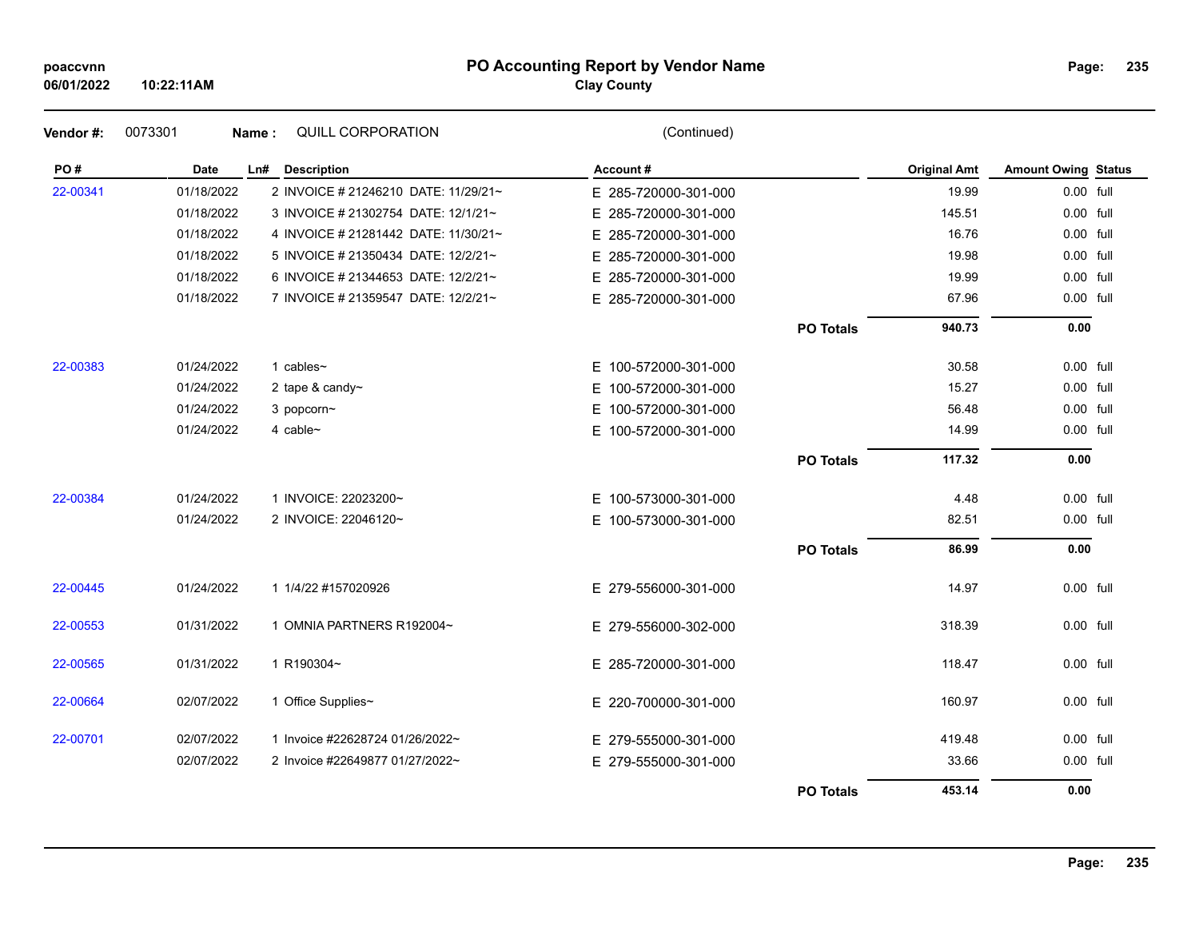#### **PO Accounting Report by Vendor Name poaccvnn Page:**

# **Clay County**

| PO#      | <b>Date</b> | Ln# Description                      | Account#             |                  | <b>Original Amt</b> | <b>Amount Owing Status</b> |  |
|----------|-------------|--------------------------------------|----------------------|------------------|---------------------|----------------------------|--|
| 22-00341 | 01/18/2022  | 2 INVOICE # 21246210 DATE: 11/29/21~ | E 285-720000-301-000 |                  | 19.99               | 0.00 full                  |  |
|          | 01/18/2022  | 3 INVOICE # 21302754 DATE: 12/1/21~  | E 285-720000-301-000 |                  | 145.51              | 0.00 full                  |  |
|          | 01/18/2022  | 4 INVOICE # 21281442 DATE: 11/30/21~ | E 285-720000-301-000 |                  | 16.76               | 0.00 full                  |  |
|          | 01/18/2022  | 5 INVOICE # 21350434 DATE: 12/2/21~  | E 285-720000-301-000 |                  | 19.98               | 0.00 full                  |  |
|          | 01/18/2022  | 6 INVOICE # 21344653 DATE: 12/2/21~  | E 285-720000-301-000 |                  | 19.99               | 0.00 full                  |  |
|          | 01/18/2022  | 7 INVOICE # 21359547 DATE: 12/2/21~  | E 285-720000-301-000 |                  | 67.96               | 0.00 full                  |  |
|          |             |                                      |                      | <b>PO Totals</b> | 940.73              | 0.00                       |  |
| 22-00383 | 01/24/2022  | 1 cables $\sim$                      | E 100-572000-301-000 |                  | 30.58               | 0.00 full                  |  |
|          | 01/24/2022  | 2 tape & candy~                      | E 100-572000-301-000 |                  | 15.27               | 0.00 full                  |  |
|          | 01/24/2022  | 3 popcorn~                           | E 100-572000-301-000 |                  | 56.48               | 0.00 full                  |  |
|          | 01/24/2022  | 4 cable $\sim$                       | E 100-572000-301-000 |                  | 14.99               | 0.00 full                  |  |
|          |             |                                      |                      | <b>PO Totals</b> | 117.32              | 0.00                       |  |
| 22-00384 | 01/24/2022  | 1 INVOICE: 22023200~                 | E 100-573000-301-000 |                  | 4.48                | 0.00 full                  |  |
|          | 01/24/2022  | 2 INVOICE: 22046120~                 | E 100-573000-301-000 |                  | 82.51               | 0.00 full                  |  |
|          |             |                                      |                      | <b>PO Totals</b> | 86.99               | 0.00                       |  |
| 22-00445 | 01/24/2022  | 1 1/4/22 #157020926                  | E 279-556000-301-000 |                  | 14.97               | 0.00 full                  |  |
| 22-00553 | 01/31/2022  | 1 OMNIA PARTNERS R192004~            | E 279-556000-302-000 |                  | 318.39              | $0.00$ full                |  |
| 22-00565 | 01/31/2022  | 1 R190304~                           | E 285-720000-301-000 |                  | 118.47              | 0.00 full                  |  |
| 22-00664 | 02/07/2022  | 1 Office Supplies~                   | E 220-700000-301-000 |                  | 160.97              | 0.00 full                  |  |
| 22-00701 | 02/07/2022  | 1 Invoice #22628724 01/26/2022~      | E 279-555000-301-000 |                  | 419.48              | 0.00 full                  |  |
|          | 02/07/2022  | 2 Invoice #22649877 01/27/2022~      | E 279-555000-301-000 |                  | 33.66               | 0.00 full                  |  |
|          |             |                                      |                      | <b>PO Totals</b> | 453.14              | 0.00                       |  |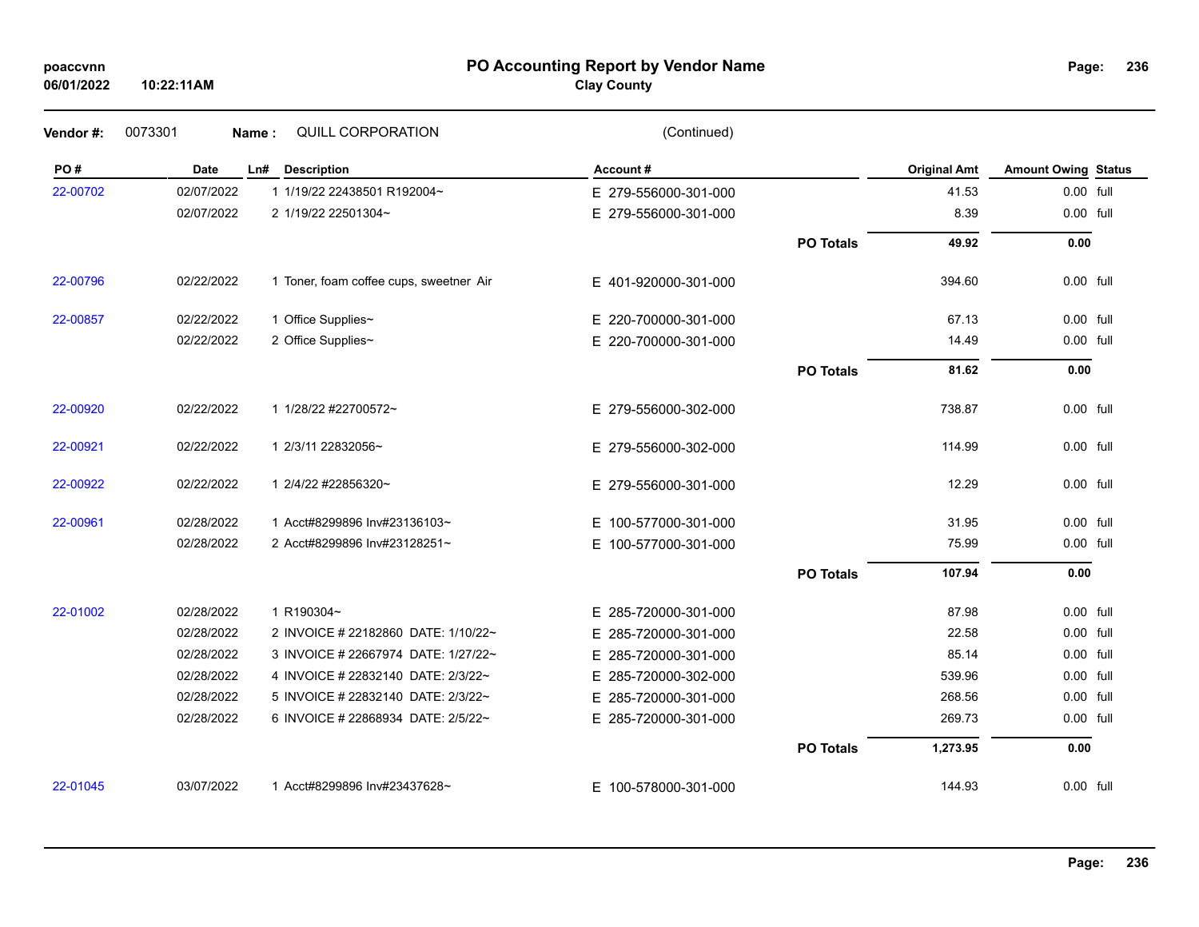### **PO Accounting Report by Vendor Name poaccvnn Page:**

# **Clay County**

| Vendor#: | 0073301     | QUILL CORPORATION<br>Name:              | (Continued)              |                  |                     |                            |  |
|----------|-------------|-----------------------------------------|--------------------------|------------------|---------------------|----------------------------|--|
| PO#      | <b>Date</b> | Ln#<br><b>Description</b>               | Account#                 |                  | <b>Original Amt</b> | <b>Amount Owing Status</b> |  |
| 22-00702 | 02/07/2022  | 1 1/19/22 22438501 R192004~             | E 279-556000-301-000     |                  | 41.53               | 0.00 full                  |  |
|          | 02/07/2022  | 2 1/19/22 22501304~                     | E 279-556000-301-000     |                  | 8.39                | 0.00 full                  |  |
|          |             |                                         |                          | <b>PO Totals</b> | 49.92               | 0.00                       |  |
| 22-00796 | 02/22/2022  | 1 Toner, foam coffee cups, sweetner Air | E 401-920000-301-000     |                  | 394.60              | 0.00 full                  |  |
| 22-00857 | 02/22/2022  | 1 Office Supplies~                      | E 220-700000-301-000     |                  | 67.13               | 0.00 full                  |  |
|          | 02/22/2022  | 2 Office Supplies~                      | E 220-700000-301-000     |                  | 14.49               | 0.00 full                  |  |
|          |             |                                         |                          | <b>PO Totals</b> | 81.62               | 0.00                       |  |
| 22-00920 | 02/22/2022  | 1 1/28/22 #22700572~                    | E 279-556000-302-000     |                  | 738.87              | 0.00 full                  |  |
| 22-00921 | 02/22/2022  | 1 2/3/11 22832056~                      | E 279-556000-302-000     |                  | 114.99              | 0.00 full                  |  |
| 22-00922 | 02/22/2022  | 1 2/4/22 #22856320~                     | E 279-556000-301-000     |                  | 12.29               | $0.00$ full                |  |
| 22-00961 | 02/28/2022  | 1 Acct#8299896 Inv#23136103~            | 100-577000-301-000<br>E. |                  | 31.95               | $0.00$ full                |  |
|          | 02/28/2022  | 2 Acct#8299896 Inv#23128251~            | E 100-577000-301-000     |                  | 75.99               | 0.00 full                  |  |
|          |             |                                         |                          | <b>PO Totals</b> | 107.94              | 0.00                       |  |
| 22-01002 | 02/28/2022  | 1 R190304~                              | E 285-720000-301-000     |                  | 87.98               | 0.00 full                  |  |
|          | 02/28/2022  | 2 INVOICE # 22182860 DATE: 1/10/22~     | E 285-720000-301-000     |                  | 22.58               | 0.00 full                  |  |
|          | 02/28/2022  | 3 INVOICE # 22667974 DATE: 1/27/22~     | E 285-720000-301-000     |                  | 85.14               | 0.00 full                  |  |
|          | 02/28/2022  | 4 INVOICE # 22832140 DATE: 2/3/22~      | E 285-720000-302-000     |                  | 539.96              | 0.00 full                  |  |
|          | 02/28/2022  | 5 INVOICE # 22832140 DATE: 2/3/22~      | 285-720000-301-000<br>Е. |                  | 268.56              | 0.00 full                  |  |
|          | 02/28/2022  | 6 INVOICE # 22868934 DATE: 2/5/22~      | E 285-720000-301-000     |                  | 269.73              | 0.00 full                  |  |
|          |             |                                         |                          | <b>PO Totals</b> | 1,273.95            | 0.00                       |  |
| 22-01045 | 03/07/2022  | 1 Acct#8299896 Inv#23437628~            | E 100-578000-301-000     |                  | 144.93              | 0.00 full                  |  |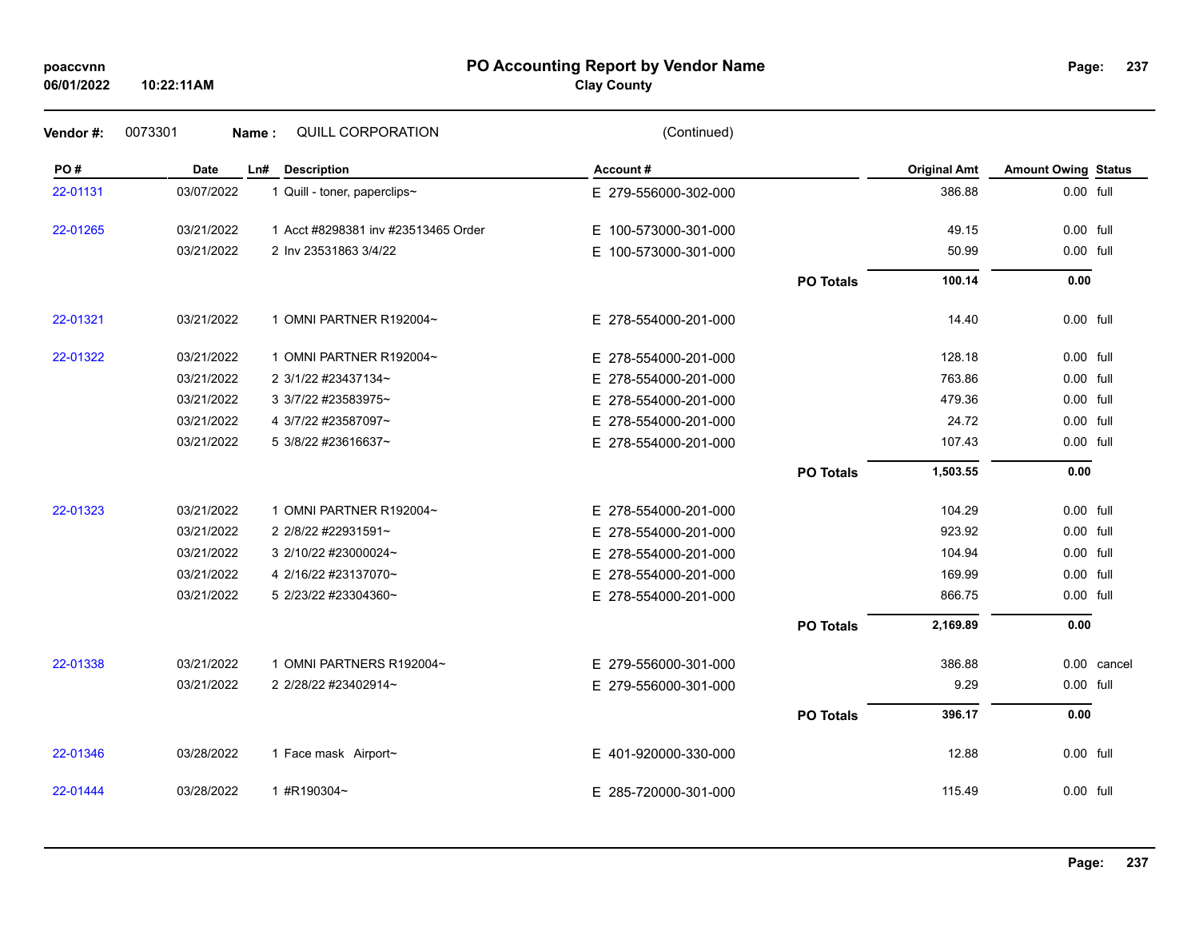## **PO Accounting Report by Vendor Name poaccvnn Page:**

| Page: | 237 |
|-------|-----|
|-------|-----|

| Vendor#: | 0073301     | QUILL CORPORATION<br>Name:          | (Continued)          |                  |                     |                            |             |
|----------|-------------|-------------------------------------|----------------------|------------------|---------------------|----------------------------|-------------|
| PO#      | <b>Date</b> | Ln#<br><b>Description</b>           | Account#             |                  | <b>Original Amt</b> | <b>Amount Owing Status</b> |             |
| 22-01131 | 03/07/2022  | 1 Quill - toner, paperclips~        | E 279-556000-302-000 |                  | 386.88              | 0.00 full                  |             |
| 22-01265 | 03/21/2022  | 1 Acct #8298381 inv #23513465 Order | E 100-573000-301-000 |                  | 49.15               | 0.00 full                  |             |
|          | 03/21/2022  | 2 Inv 23531863 3/4/22               | E 100-573000-301-000 |                  | 50.99               | 0.00 full                  |             |
|          |             |                                     |                      | <b>PO Totals</b> | 100.14              | 0.00                       |             |
| 22-01321 | 03/21/2022  | 1 OMNI PARTNER R192004~             | E 278-554000-201-000 |                  | 14.40               | 0.00 full                  |             |
| 22-01322 | 03/21/2022  | 1 OMNI PARTNER R192004~             | E 278-554000-201-000 |                  | 128.18              | 0.00 full                  |             |
|          | 03/21/2022  | 2 3/1/22 #23437134~                 | E 278-554000-201-000 |                  | 763.86              | 0.00 full                  |             |
|          | 03/21/2022  | 3 3/7/22 #23583975~                 | E 278-554000-201-000 |                  | 479.36              | 0.00 full                  |             |
|          | 03/21/2022  | 4 3/7/22 #23587097~                 | E 278-554000-201-000 |                  | 24.72               | 0.00 full                  |             |
|          | 03/21/2022  | 5 3/8/22 #23616637~                 | E 278-554000-201-000 |                  | 107.43              | 0.00 full                  |             |
|          |             |                                     |                      | <b>PO Totals</b> | 1,503.55            | 0.00                       |             |
| 22-01323 | 03/21/2022  | 1 OMNI PARTNER R192004~             | E 278-554000-201-000 |                  | 104.29              | 0.00 full                  |             |
|          | 03/21/2022  | 2 2/8/22 #22931591~                 | E 278-554000-201-000 |                  | 923.92              | 0.00 full                  |             |
|          | 03/21/2022  | 3 2/10/22 #23000024~                | E 278-554000-201-000 |                  | 104.94              | 0.00 full                  |             |
|          | 03/21/2022  | 4 2/16/22 #23137070~                | E 278-554000-201-000 |                  | 169.99              | 0.00 full                  |             |
|          | 03/21/2022  | 5 2/23/22 #23304360~                | E 278-554000-201-000 |                  | 866.75              | 0.00 full                  |             |
|          |             |                                     |                      | <b>PO Totals</b> | 2,169.89            | 0.00                       |             |
| 22-01338 | 03/21/2022  | 1 OMNI PARTNERS R192004~            | E 279-556000-301-000 |                  | 386.88              |                            | 0.00 cancel |
|          | 03/21/2022  | 2 2/28/22 #23402914~                | E 279-556000-301-000 |                  | 9.29                | 0.00 full                  |             |
|          |             |                                     |                      | <b>PO Totals</b> | 396.17              | 0.00                       |             |
| 22-01346 | 03/28/2022  | 1 Face mask Airport~                | E 401-920000-330-000 |                  | 12.88               | 0.00 full                  |             |
| 22-01444 | 03/28/2022  | 1 #R190304~                         | E 285-720000-301-000 |                  | 115.49              | 0.00 full                  |             |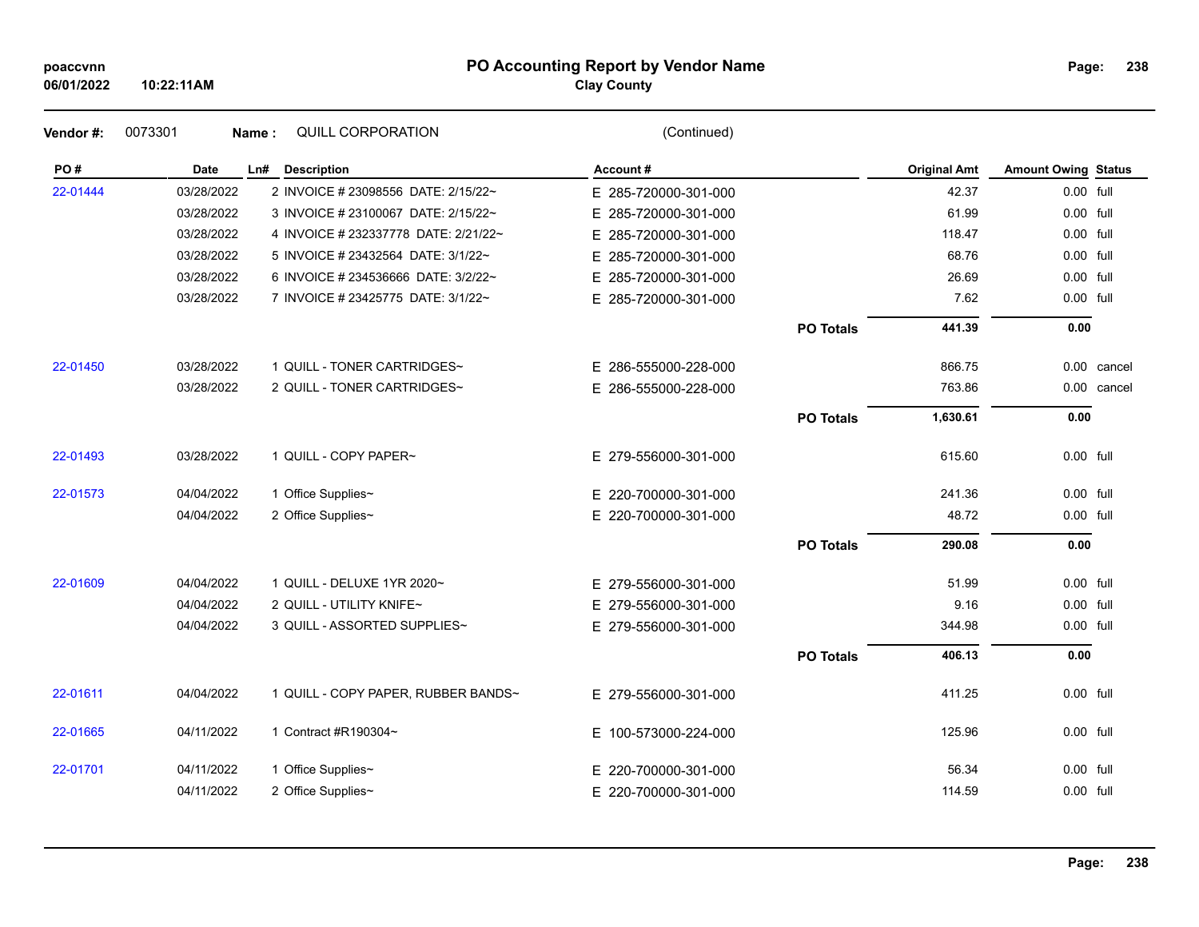#### **PO Accounting Report by Vendor Name poaccvnn Page:**

| Page: | 238 |
|-------|-----|
|-------|-----|

| Vendor#: | 0073301    | <b>QUILL CORPORATION</b><br>Name:    | (Continued)          |                  |                     |                            |             |
|----------|------------|--------------------------------------|----------------------|------------------|---------------------|----------------------------|-------------|
| PO#      | Date       | Ln# Description                      | Account#             |                  | <b>Original Amt</b> | <b>Amount Owing Status</b> |             |
| 22-01444 | 03/28/2022 | 2 INVOICE # 23098556 DATE: 2/15/22~  | E 285-720000-301-000 |                  | 42.37               | 0.00 full                  |             |
|          | 03/28/2022 | 3 INVOICE # 23100067 DATE: 2/15/22~  | E 285-720000-301-000 |                  | 61.99               | 0.00 full                  |             |
|          | 03/28/2022 | 4 INVOICE # 232337778 DATE: 2/21/22~ | E 285-720000-301-000 |                  | 118.47              | 0.00 full                  |             |
|          | 03/28/2022 | 5 INVOICE # 23432564 DATE: 3/1/22~   | E 285-720000-301-000 |                  | 68.76               | 0.00 full                  |             |
|          | 03/28/2022 | 6 INVOICE # 234536666 DATE: 3/2/22~  | E 285-720000-301-000 |                  | 26.69               | 0.00 full                  |             |
|          | 03/28/2022 | 7 INVOICE # 23425775 DATE: 3/1/22~   | E 285-720000-301-000 |                  | 7.62                | 0.00 full                  |             |
|          |            |                                      |                      | <b>PO Totals</b> | 441.39              | 0.00                       |             |
| 22-01450 | 03/28/2022 | 1 QUILL - TONER CARTRIDGES~          | E 286-555000-228-000 |                  | 866.75              |                            | 0.00 cancel |
|          | 03/28/2022 | 2 QUILL - TONER CARTRIDGES~          | E 286-555000-228-000 |                  | 763.86              |                            | 0.00 cancel |
|          |            |                                      |                      | <b>PO Totals</b> | 1,630.61            | 0.00                       |             |
| 22-01493 | 03/28/2022 | 1 QUILL - COPY PAPER~                | E 279-556000-301-000 |                  | 615.60              | $0.00$ full                |             |
| 22-01573 | 04/04/2022 | 1 Office Supplies~                   | E 220-700000-301-000 |                  | 241.36              | 0.00 full                  |             |
|          | 04/04/2022 | 2 Office Supplies~                   | E 220-700000-301-000 |                  | 48.72               | 0.00 full                  |             |
|          |            |                                      |                      | <b>PO Totals</b> | 290.08              | 0.00                       |             |
| 22-01609 | 04/04/2022 | 1 QUILL - DELUXE 1YR 2020~           | E 279-556000-301-000 |                  | 51.99               | 0.00 full                  |             |
|          | 04/04/2022 | 2 QUILL - UTILITY KNIFE~             | E 279-556000-301-000 |                  | 9.16                | 0.00 full                  |             |
|          | 04/04/2022 | 3 QUILL - ASSORTED SUPPLIES~         | E 279-556000-301-000 |                  | 344.98              | 0.00 full                  |             |
|          |            |                                      |                      | <b>PO Totals</b> | 406.13              | 0.00                       |             |
| 22-01611 | 04/04/2022 | 1 QUILL - COPY PAPER, RUBBER BANDS~  | E 279-556000-301-000 |                  | 411.25              | 0.00 full                  |             |
| 22-01665 | 04/11/2022 | 1 Contract #R190304~                 | E 100-573000-224-000 |                  | 125.96              | 0.00 full                  |             |
| 22-01701 | 04/11/2022 | 1 Office Supplies~                   | E 220-700000-301-000 |                  | 56.34               | $0.00$ full                |             |
|          | 04/11/2022 | 2 Office Supplies~                   | E 220-700000-301-000 |                  | 114.59              | 0.00 full                  |             |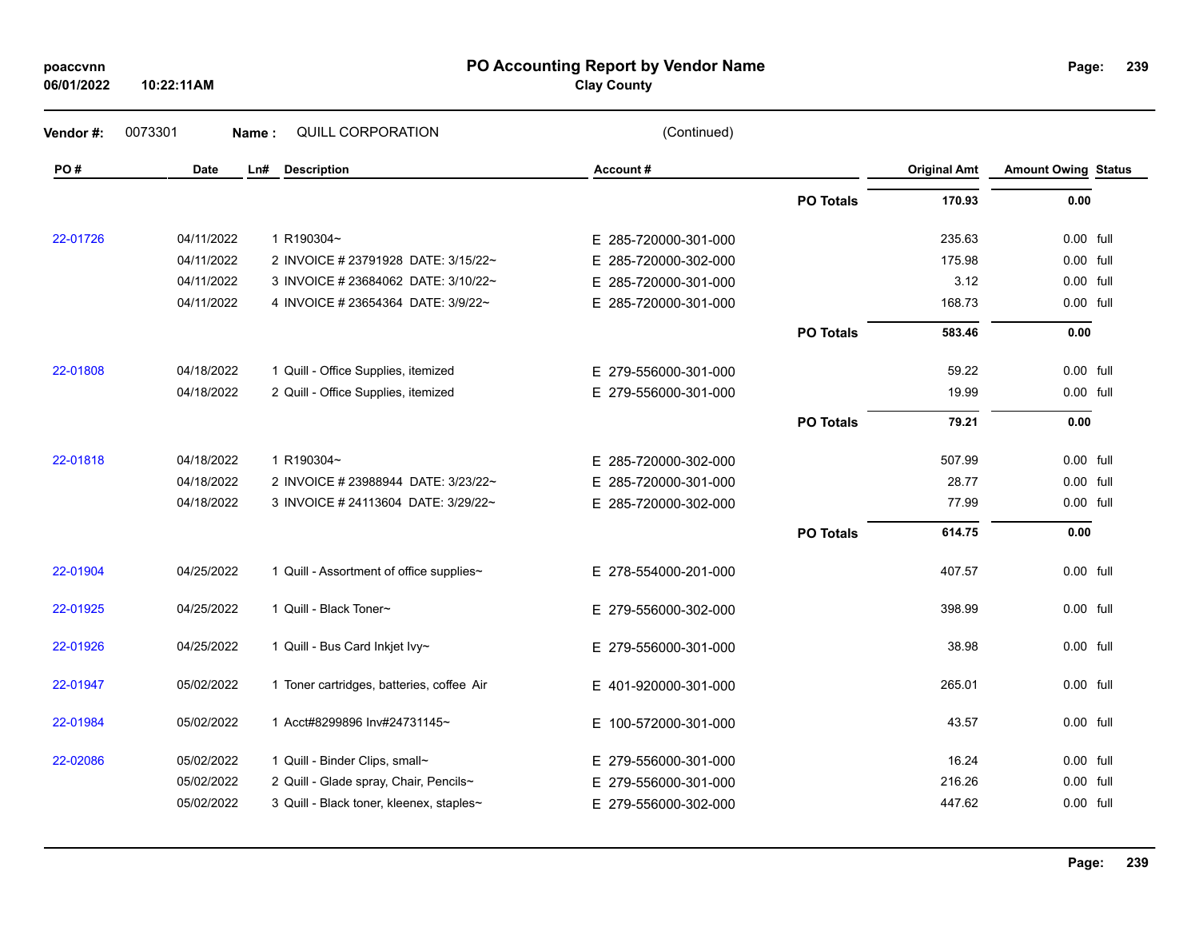| poaccvnn<br>06/01/2022 | PO Accounting Report by Vendor Name<br>Page:<br>10:22:11AM<br><b>Clay County</b> |                                           |                      |                  |                     |                            |  |  |
|------------------------|----------------------------------------------------------------------------------|-------------------------------------------|----------------------|------------------|---------------------|----------------------------|--|--|
| Vendor#:               | 0073301                                                                          | QUILL CORPORATION<br>Name:                | (Continued)          |                  |                     |                            |  |  |
| PO#                    | Date                                                                             | Ln#<br><b>Description</b>                 | Account#             |                  | <b>Original Amt</b> | <b>Amount Owing Status</b> |  |  |
|                        |                                                                                  |                                           |                      | <b>PO Totals</b> | 170.93              | 0.00                       |  |  |
| 22-01726               | 04/11/2022                                                                       | 1 R190304~                                | E 285-720000-301-000 |                  | 235.63              | 0.00 full                  |  |  |
|                        | 04/11/2022                                                                       | 2 INVOICE # 23791928 DATE: 3/15/22~       | E 285-720000-302-000 |                  | 175.98              | 0.00 full                  |  |  |
|                        | 04/11/2022                                                                       | 3 INVOICE # 23684062 DATE: 3/10/22~       | E 285-720000-301-000 |                  | 3.12                | 0.00 full                  |  |  |
|                        | 04/11/2022                                                                       | 4 INVOICE # 23654364 DATE: 3/9/22~        | E 285-720000-301-000 |                  | 168.73              | 0.00 full                  |  |  |
|                        |                                                                                  |                                           |                      | <b>PO Totals</b> | 583.46              | 0.00                       |  |  |
| 22-01808               | 04/18/2022                                                                       | 1 Quill - Office Supplies, itemized       | E 279-556000-301-000 |                  | 59.22               | 0.00 full                  |  |  |
|                        | 04/18/2022                                                                       | 2 Quill - Office Supplies, itemized       | E 279-556000-301-000 |                  | 19.99               | 0.00 full                  |  |  |
|                        |                                                                                  |                                           |                      | <b>PO Totals</b> | 79.21               | 0.00                       |  |  |
| 22-01818               | 04/18/2022                                                                       | 1 R190304~                                | E 285-720000-302-000 |                  | 507.99              | 0.00 full                  |  |  |
|                        | 04/18/2022                                                                       | 2 INVOICE # 23988944 DATE: 3/23/22~       | E 285-720000-301-000 |                  | 28.77               | 0.00 full                  |  |  |
|                        | 04/18/2022                                                                       | 3 INVOICE # 24113604 DATE: 3/29/22~       | E 285-720000-302-000 |                  | 77.99               | 0.00 full                  |  |  |
|                        |                                                                                  |                                           |                      | <b>PO Totals</b> | 614.75              | 0.00                       |  |  |
| 22-01904               | 04/25/2022                                                                       | 1 Quill - Assortment of office supplies~  | E 278-554000-201-000 |                  | 407.57              | 0.00 full                  |  |  |
| 22-01925               | 04/25/2022                                                                       | 1 Quill - Black Toner~                    | E 279-556000-302-000 |                  | 398.99              | 0.00 full                  |  |  |
| 22-01926               | 04/25/2022                                                                       | 1 Quill - Bus Card Inkjet Ivy~            | E 279-556000-301-000 |                  | 38.98               | 0.00 full                  |  |  |
| 22-01947               | 05/02/2022                                                                       | 1 Toner cartridges, batteries, coffee Air | E 401-920000-301-000 |                  | 265.01              | 0.00 full                  |  |  |
| 22-01984               | 05/02/2022                                                                       | 1 Acct#8299896 Inv#24731145~              | E 100-572000-301-000 |                  | 43.57               | 0.00 full                  |  |  |
| 22-02086               | 05/02/2022                                                                       | 1 Quill - Binder Clips, small~            | E 279-556000-301-000 |                  | 16.24               | 0.00 full                  |  |  |
|                        | 05/02/2022                                                                       | 2 Quill - Glade spray, Chair, Pencils~    | E 279-556000-301-000 |                  | 216.26              | 0.00 full                  |  |  |
|                        | 05/02/2022                                                                       | 3 Quill - Black toner, kleenex, staples~  | E 279-556000-302-000 |                  | 447.62              | 0.00 full                  |  |  |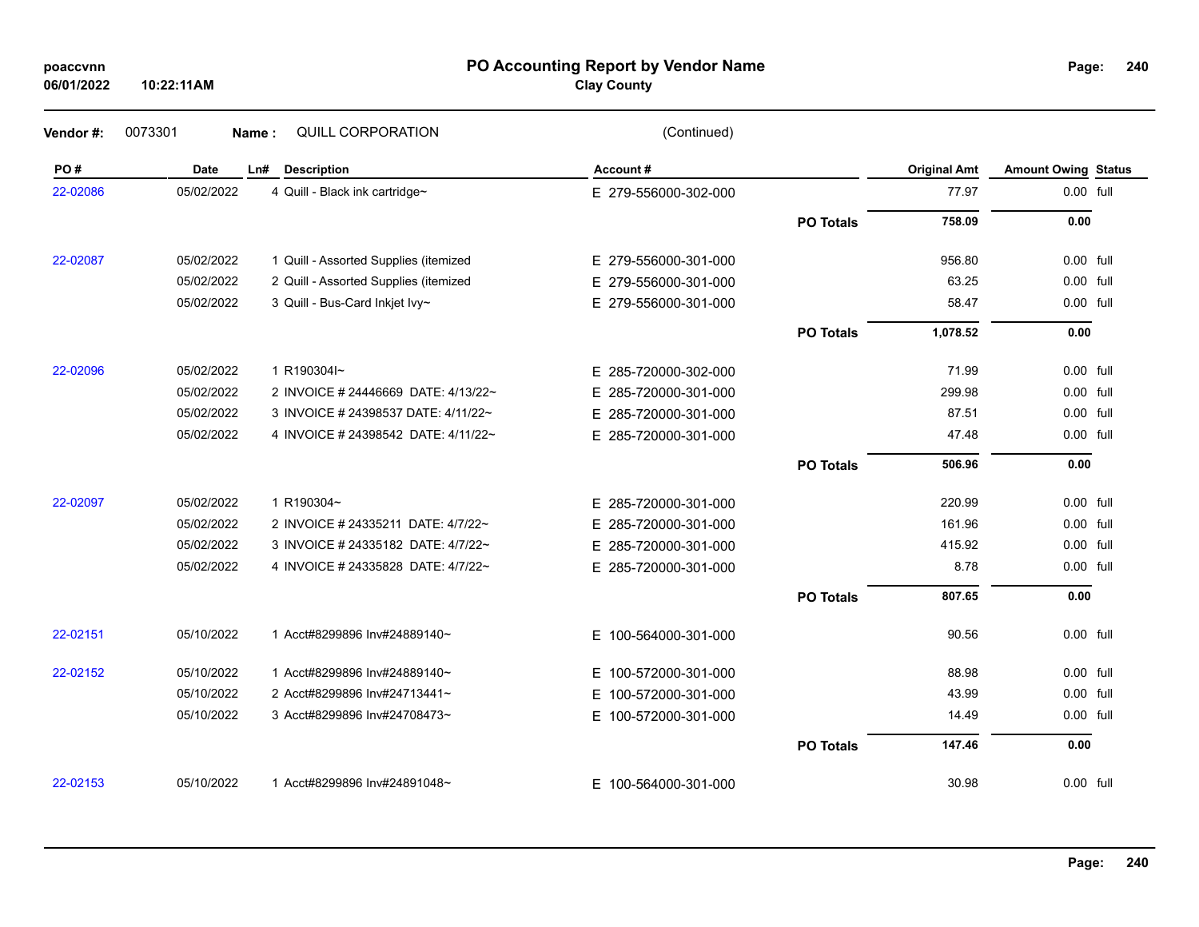### **PO Accounting Report by Vendor Name poaccvnn Page:**

| Vendor#: | 0073301<br>Name: | QUILL CORPORATION                     | (Continued)          |                  |                     |                            |  |
|----------|------------------|---------------------------------------|----------------------|------------------|---------------------|----------------------------|--|
| PO#      | Date             | Ln#<br><b>Description</b>             | Account#             |                  | <b>Original Amt</b> | <b>Amount Owing Status</b> |  |
| 22-02086 | 05/02/2022       | 4 Quill - Black ink cartridge~        | E 279-556000-302-000 |                  | 77.97               | 0.00 full                  |  |
|          |                  |                                       |                      | <b>PO Totals</b> | 758.09              | 0.00                       |  |
| 22-02087 | 05/02/2022       | 1 Quill - Assorted Supplies (itemized | E 279-556000-301-000 |                  | 956.80              | 0.00 full                  |  |
|          | 05/02/2022       | 2 Quill - Assorted Supplies (itemized | E 279-556000-301-000 |                  | 63.25               | 0.00 full                  |  |
|          | 05/02/2022       | 3 Quill - Bus-Card Inkjet Ivy~        | E 279-556000-301-000 |                  | 58.47               | 0.00 full                  |  |
|          |                  |                                       |                      | <b>PO Totals</b> | 1,078.52            | 0.00                       |  |
| 22-02096 | 05/02/2022       | 1 R190304l~                           | E 285-720000-302-000 |                  | 71.99               | 0.00 full                  |  |
|          | 05/02/2022       | 2 INVOICE # 24446669 DATE: 4/13/22~   | E 285-720000-301-000 |                  | 299.98              | 0.00 full                  |  |
|          | 05/02/2022       | 3 INVOICE # 24398537 DATE: 4/11/22~   | E 285-720000-301-000 |                  | 87.51               | 0.00 full                  |  |
|          | 05/02/2022       | 4 INVOICE # 24398542 DATE: 4/11/22~   | E 285-720000-301-000 |                  | 47.48               | 0.00 full                  |  |
|          |                  |                                       |                      | <b>PO Totals</b> | 506.96              | 0.00                       |  |
| 22-02097 | 05/02/2022       | 1 R190304~                            | E 285-720000-301-000 |                  | 220.99              | 0.00 full                  |  |
|          | 05/02/2022       | 2 INVOICE # 24335211 DATE: 4/7/22~    | E 285-720000-301-000 |                  | 161.96              | 0.00 full                  |  |
|          | 05/02/2022       | 3 INVOICE # 24335182 DATE: 4/7/22~    | E 285-720000-301-000 |                  | 415.92              | 0.00 full                  |  |
|          | 05/02/2022       | 4 INVOICE # 24335828 DATE: 4/7/22~    | E 285-720000-301-000 |                  | 8.78                | 0.00 full                  |  |
|          |                  |                                       |                      | <b>PO Totals</b> | 807.65              | 0.00                       |  |
| 22-02151 | 05/10/2022       | 1 Acct#8299896 Inv#24889140~          | E 100-564000-301-000 |                  | 90.56               | 0.00 full                  |  |
| 22-02152 | 05/10/2022       | 1 Acct#8299896 Inv#24889140~          | E 100-572000-301-000 |                  | 88.98               | 0.00 full                  |  |
|          | 05/10/2022       | 2 Acct#8299896 Inv#24713441~          | E 100-572000-301-000 |                  | 43.99               | 0.00 full                  |  |
|          | 05/10/2022       | 3 Acct#8299896 Inv#24708473~          | E 100-572000-301-000 |                  | 14.49               | 0.00 full                  |  |
|          |                  |                                       |                      | <b>PO Totals</b> | 147.46              | 0.00                       |  |
| 22-02153 | 05/10/2022       | 1 Acct#8299896 Inv#24891048~          | E 100-564000-301-000 |                  | 30.98               | 0.00 full                  |  |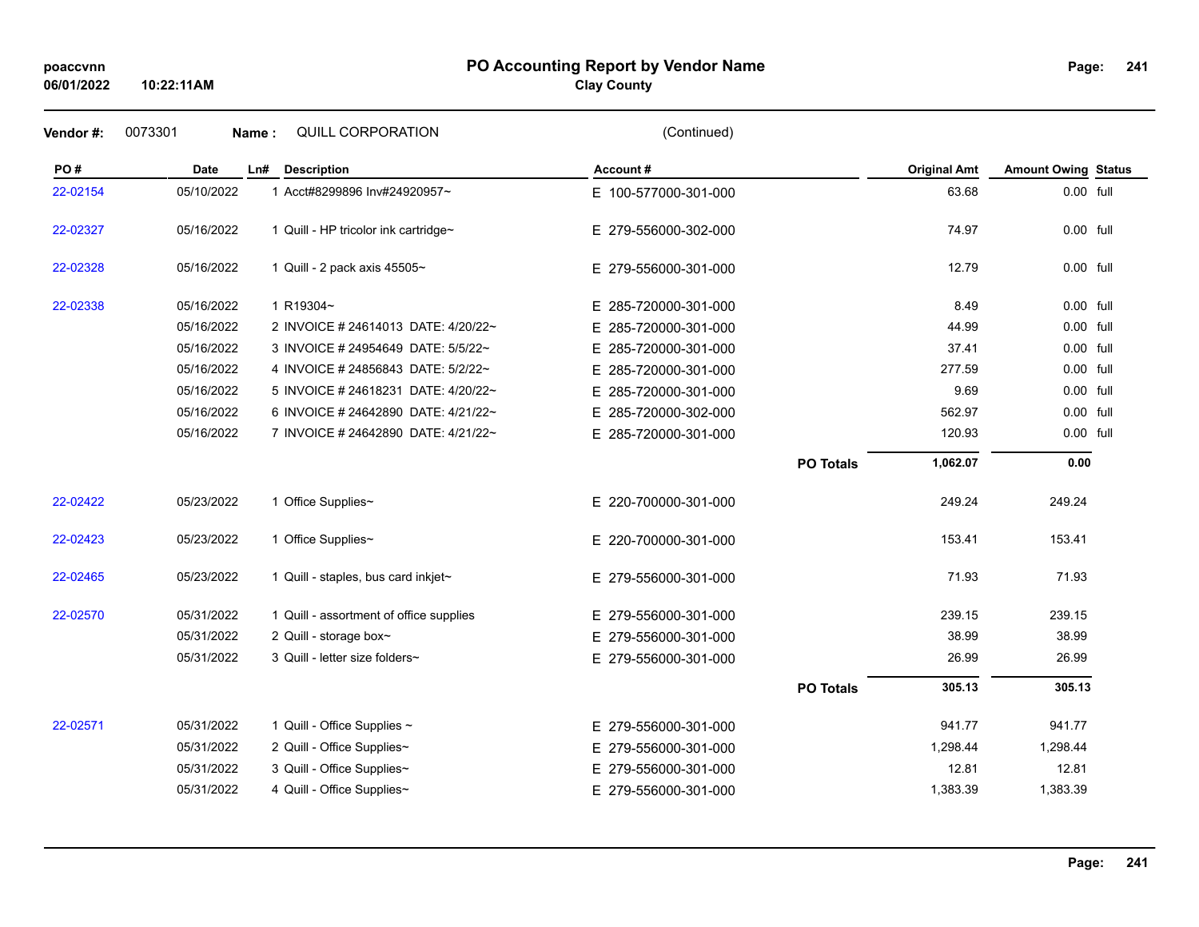## **PO Accounting Report by Vendor Name poaccvnn Page:**

# **Clay County**

| Vendor#: | 0073301     | QUILL CORPORATION<br>Name:              | (Continued)              |                  |                     |                            |  |
|----------|-------------|-----------------------------------------|--------------------------|------------------|---------------------|----------------------------|--|
| PO#      | <b>Date</b> | <b>Description</b><br>Ln#               | Account#                 |                  | <b>Original Amt</b> | <b>Amount Owing Status</b> |  |
| 22-02154 | 05/10/2022  | 1 Acct#8299896 Inv#24920957~            | E 100-577000-301-000     |                  | 63.68               | 0.00 full                  |  |
| 22-02327 | 05/16/2022  | 1 Quill - HP tricolor ink cartridge~    | E 279-556000-302-000     |                  | 74.97               | 0.00 full                  |  |
| 22-02328 | 05/16/2022  | 1 Quill - 2 pack axis 45505~            | E 279-556000-301-000     |                  | 12.79               | $0.00$ full                |  |
| 22-02338 | 05/16/2022  | 1 R19304~                               | E 285-720000-301-000     |                  | 8.49                | 0.00 full                  |  |
|          | 05/16/2022  | 2 INVOICE # 24614013 DATE: 4/20/22~     | E 285-720000-301-000     |                  | 44.99               | 0.00 full                  |  |
|          | 05/16/2022  | 3 INVOICE # 24954649 DATE: 5/5/22~      | E 285-720000-301-000     |                  | 37.41               | 0.00 full                  |  |
|          | 05/16/2022  | 4 INVOICE # 24856843 DATE: 5/2/22~      | E 285-720000-301-000     |                  | 277.59              | 0.00 full                  |  |
|          | 05/16/2022  | 5 INVOICE # 24618231 DATE: 4/20/22~     | 285-720000-301-000<br>E. |                  | 9.69                | 0.00 full                  |  |
|          | 05/16/2022  | 6 INVOICE # 24642890 DATE: 4/21/22~     | E 285-720000-302-000     |                  | 562.97              | $0.00$ full                |  |
|          | 05/16/2022  | 7 INVOICE # 24642890 DATE: 4/21/22~     | E 285-720000-301-000     |                  | 120.93              | 0.00 full                  |  |
|          |             |                                         |                          | <b>PO Totals</b> | 1,062.07            | 0.00                       |  |
| 22-02422 | 05/23/2022  | 1 Office Supplies~                      | E 220-700000-301-000     |                  | 249.24              | 249.24                     |  |
| 22-02423 | 05/23/2022  | 1 Office Supplies~                      | E 220-700000-301-000     |                  | 153.41              | 153.41                     |  |
| 22-02465 | 05/23/2022  | 1 Quill - staples, bus card inkjet~     | E 279-556000-301-000     |                  | 71.93               | 71.93                      |  |
| 22-02570 | 05/31/2022  | 1 Quill - assortment of office supplies | E 279-556000-301-000     |                  | 239.15              | 239.15                     |  |
|          | 05/31/2022  | 2 Quill - storage box~                  | E 279-556000-301-000     |                  | 38.99               | 38.99                      |  |
|          | 05/31/2022  | 3 Quill - letter size folders~          | E 279-556000-301-000     |                  | 26.99               | 26.99                      |  |
|          |             |                                         |                          | <b>PO Totals</b> | 305.13              | 305.13                     |  |
| 22-02571 | 05/31/2022  | 1 Quill - Office Supplies ~             | E 279-556000-301-000     |                  | 941.77              | 941.77                     |  |
|          | 05/31/2022  | 2 Quill - Office Supplies~              | E 279-556000-301-000     |                  | 1,298.44            | 1,298.44                   |  |
|          | 05/31/2022  | 3 Quill - Office Supplies~              | E 279-556000-301-000     |                  | 12.81               | 12.81                      |  |
|          | 05/31/2022  | 4 Quill - Office Supplies~              | E 279-556000-301-000     |                  | 1,383.39            | 1,383.39                   |  |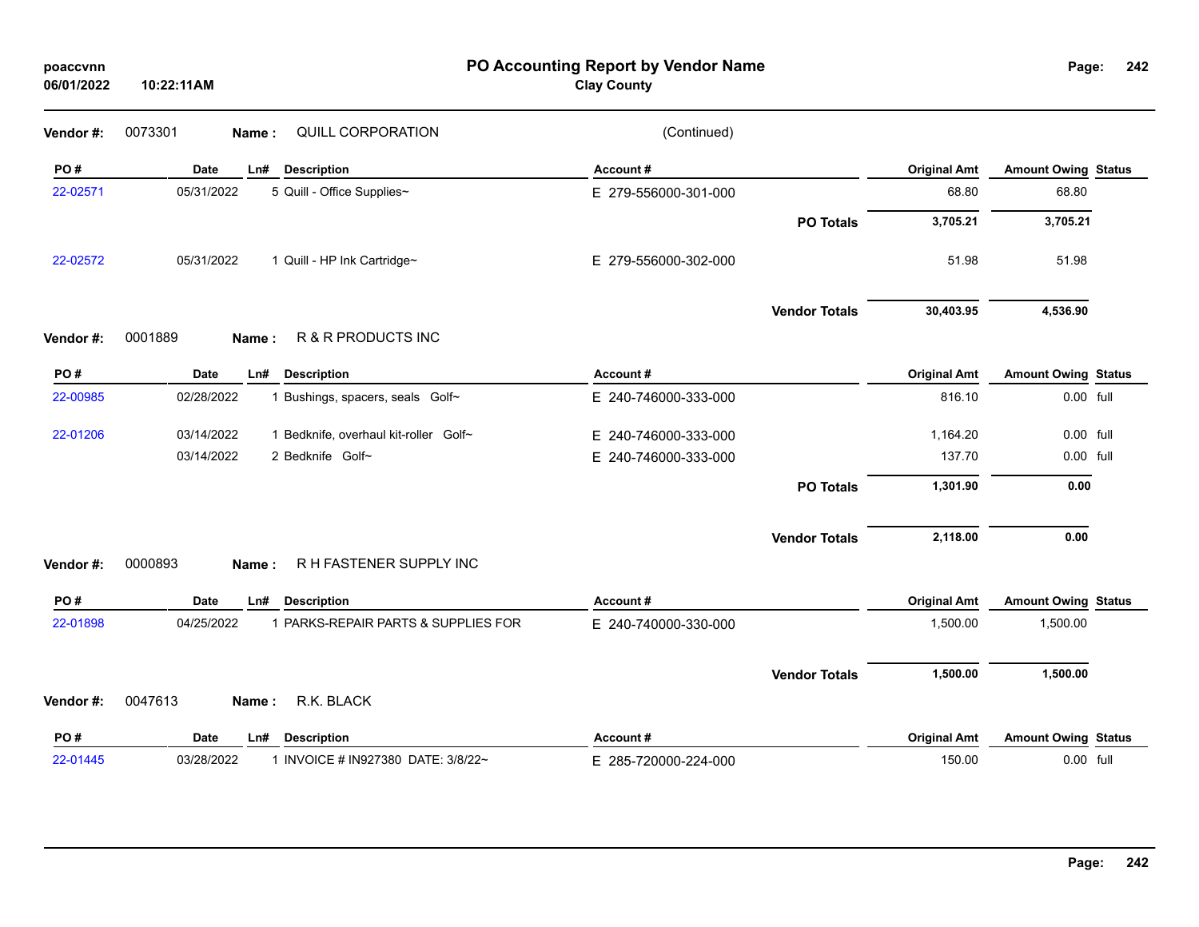| poaccvnn   |  |
|------------|--|
| 06/01/2022 |  |

**PO Accounting Report by Vendor Name poaccvnn Page:**

| Page: | 242 |
|-------|-----|
|       |     |

| Vendor#: | 0073301<br>QUILL CORPORATION<br>Name:               | (Continued)          |                      |                     |                            |  |
|----------|-----------------------------------------------------|----------------------|----------------------|---------------------|----------------------------|--|
| PO#      | Date<br>Ln#<br><b>Description</b>                   | Account#             |                      | <b>Original Amt</b> | <b>Amount Owing Status</b> |  |
| 22-02571 | 05/31/2022<br>5 Quill - Office Supplies~            | E 279-556000-301-000 |                      | 68.80               | 68.80                      |  |
|          |                                                     |                      | <b>PO Totals</b>     | 3,705.21            | 3,705.21                   |  |
| 22-02572 | 05/31/2022<br>1 Quill - HP Ink Cartridge~           | E 279-556000-302-000 |                      | 51.98               | 51.98                      |  |
|          |                                                     |                      | <b>Vendor Totals</b> | 30,403.95           | 4,536.90                   |  |
| Vendor#: | 0001889<br>R & R PRODUCTS INC<br>Name:              |                      |                      |                     |                            |  |
| PO#      | Date<br><b>Description</b><br>Ln#                   | Account#             |                      | <b>Original Amt</b> | <b>Amount Owing Status</b> |  |
| 22-00985 | 02/28/2022<br>1 Bushings, spacers, seals Golf~      | E 240-746000-333-000 |                      | 816.10              | 0.00 full                  |  |
| 22-01206 | 03/14/2022<br>1 Bedknife, overhaul kit-roller Golf~ | E 240-746000-333-000 |                      | 1,164.20            | 0.00 full                  |  |
|          | 03/14/2022<br>2 Bedknife Golf~                      | E 240-746000-333-000 |                      | 137.70              | 0.00 full                  |  |
|          |                                                     |                      | <b>PO Totals</b>     | 1,301.90            | 0.00                       |  |
|          |                                                     |                      | <b>Vendor Totals</b> | 2,118.00            | 0.00                       |  |
| Vendor#: | R H FASTENER SUPPLY INC<br>0000893<br>Name:         |                      |                      |                     |                            |  |
| PO#      | Date<br><b>Description</b><br>Ln#                   | Account#             |                      | <b>Original Amt</b> | <b>Amount Owing Status</b> |  |
| 22-01898 | 04/25/2022<br>1 PARKS-REPAIR PARTS & SUPPLIES FOR   | E 240-740000-330-000 |                      | 1,500.00            | 1,500.00                   |  |
|          |                                                     |                      | <b>Vendor Totals</b> | 1,500.00            | 1,500.00                   |  |
| Vendor#: | R.K. BLACK<br>0047613<br>Name:                      |                      |                      |                     |                            |  |
| PO#      | <b>Description</b><br>Date<br>Ln#                   | Account#             |                      | <b>Original Amt</b> | <b>Amount Owing Status</b> |  |
| 22-01445 | 03/28/2022<br>1 INVOICE # IN927380 DATE: 3/8/22~    | E 285-720000-224-000 |                      | 150.00              | 0.00 full                  |  |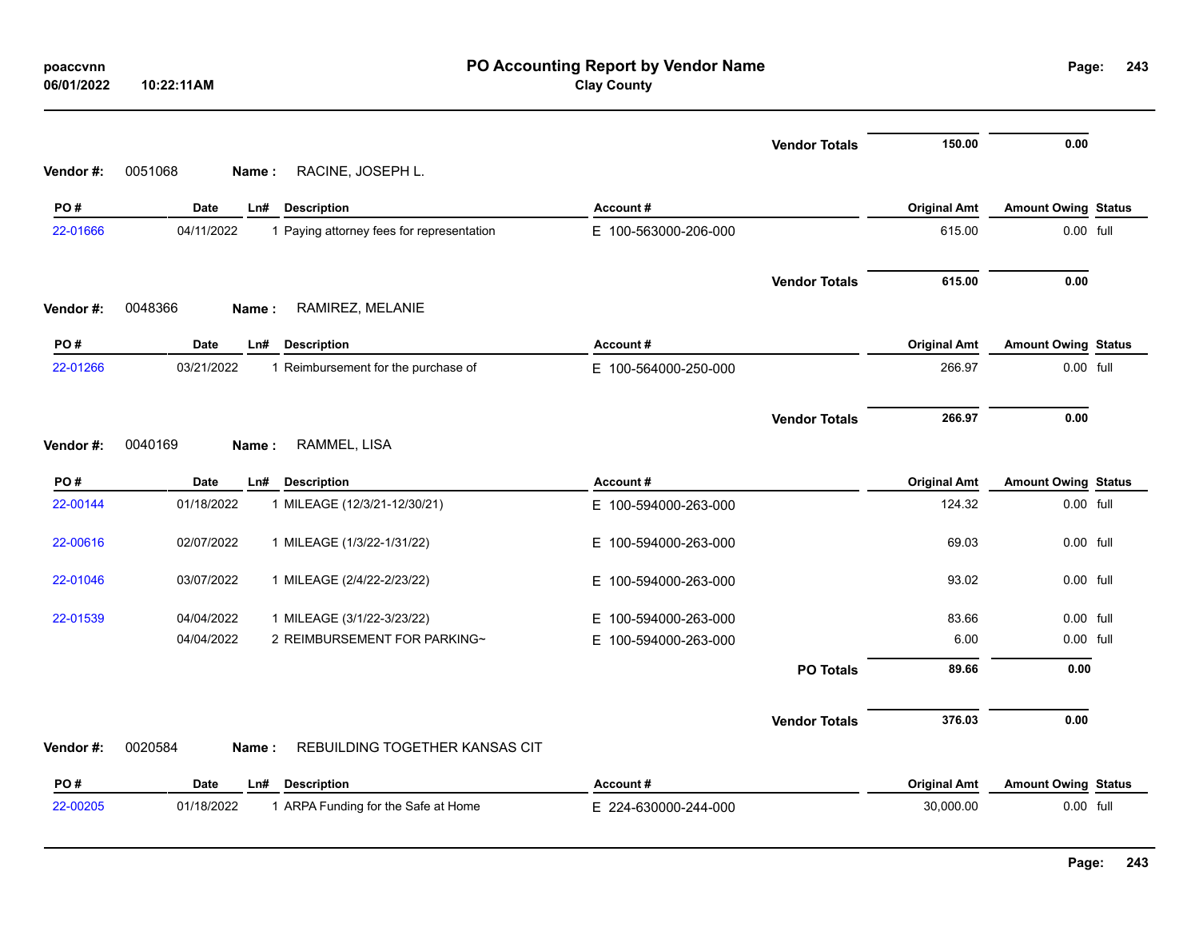| poaccvnn<br>06/01/2022 | PO Accounting Report by Vendor Name<br><b>Clay County</b><br>10:22:11AM |                      |                      |                     |                            |  |  |
|------------------------|-------------------------------------------------------------------------|----------------------|----------------------|---------------------|----------------------------|--|--|
|                        |                                                                         |                      | <b>Vendor Totals</b> | 150.00              | 0.00                       |  |  |
| Vendor#:               | 0051068<br>RACINE, JOSEPH L.<br>Name:                                   |                      |                      |                     |                            |  |  |
| PO#                    | Date<br>Ln#<br><b>Description</b>                                       | Account#             |                      | <b>Original Amt</b> | <b>Amount Owing Status</b> |  |  |
| 22-01666               | 04/11/2022<br>1 Paying attorney fees for representation                 | E 100-563000-206-000 |                      | 615.00              | 0.00 full                  |  |  |
|                        |                                                                         |                      | <b>Vendor Totals</b> | 615.00              | 0.00                       |  |  |
| Vendor#:               | 0048366<br>RAMIREZ, MELANIE<br>Name:                                    |                      |                      |                     |                            |  |  |
| PO#                    | <b>Date</b><br><b>Description</b><br>Ln#                                | Account#             |                      | <b>Original Amt</b> | <b>Amount Owing Status</b> |  |  |
| 22-01266               | 03/21/2022<br>1 Reimbursement for the purchase of                       | E 100-564000-250-000 |                      | 266.97              | 0.00 full                  |  |  |
| Vendor #:              | 0040169<br>RAMMEL, LISA<br>Name:                                        |                      | <b>Vendor Totals</b> | 266.97              | 0.00                       |  |  |
| PO#                    | <b>Date</b><br>Ln#<br><b>Description</b>                                | Account#             |                      | <b>Original Amt</b> | <b>Amount Owing Status</b> |  |  |
| 22-00144               | 01/18/2022<br>1 MILEAGE (12/3/21-12/30/21)                              | E 100-594000-263-000 |                      | 124.32              | 0.00 full                  |  |  |
| 22-00616               | 02/07/2022<br>1 MILEAGE (1/3/22-1/31/22)                                | E 100-594000-263-000 |                      | 69.03               | 0.00 full                  |  |  |
| 22-01046               | 03/07/2022<br>1 MILEAGE (2/4/22-2/23/22)                                | E 100-594000-263-000 |                      | 93.02               | 0.00 full                  |  |  |
| 22-01539               | 04/04/2022<br>1 MILEAGE (3/1/22-3/23/22)                                | E 100-594000-263-000 |                      | 83.66               | 0.00 full                  |  |  |
|                        | 2 REIMBURSEMENT FOR PARKING~<br>04/04/2022                              | E 100-594000-263-000 |                      | 6.00                | 0.00 full                  |  |  |
|                        |                                                                         |                      | <b>PO Totals</b>     | 89.66               | 0.00                       |  |  |
|                        |                                                                         |                      | <b>Vendor Totals</b> | 376.03              | 0.00                       |  |  |
| Vendor #:              | 0020584<br>REBUILDING TOGETHER KANSAS CIT<br>Name:                      |                      |                      |                     |                            |  |  |
| PO#                    | Date<br>Ln#<br><b>Description</b>                                       | Account#             |                      | <b>Original Amt</b> | <b>Amount Owing Status</b> |  |  |
| 22-00205               | 1 ARPA Funding for the Safe at Home<br>01/18/2022                       | E 224-630000-244-000 |                      | 30,000.00           | 0.00 full                  |  |  |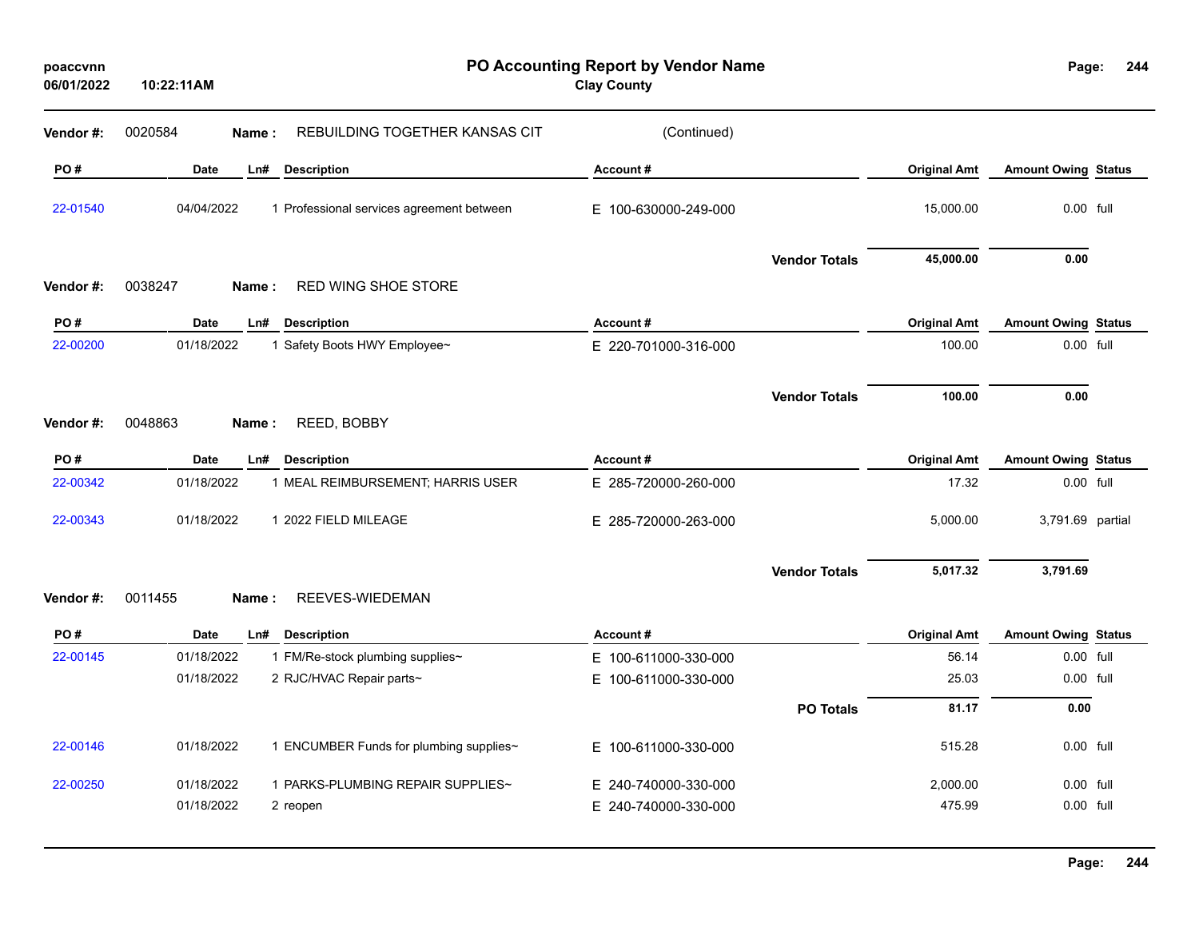| 10:22:11AM  |                                           | <b>Clay County</b>                                                                                                                                             |                      |                                     | 244                                                                                                                                                                                                                                                                                             |
|-------------|-------------------------------------------|----------------------------------------------------------------------------------------------------------------------------------------------------------------|----------------------|-------------------------------------|-------------------------------------------------------------------------------------------------------------------------------------------------------------------------------------------------------------------------------------------------------------------------------------------------|
| 0020584     | REBUILDING TOGETHER KANSAS CIT            | (Continued)                                                                                                                                                    |                      |                                     |                                                                                                                                                                                                                                                                                                 |
| Date        | Ln#<br><b>Description</b>                 | Account#                                                                                                                                                       |                      | <b>Original Amt</b>                 |                                                                                                                                                                                                                                                                                                 |
|             | 1 Professional services agreement between | E 100-630000-249-000                                                                                                                                           |                      | 15,000.00                           |                                                                                                                                                                                                                                                                                                 |
|             |                                           |                                                                                                                                                                | <b>Vendor Totals</b> | 45,000.00                           |                                                                                                                                                                                                                                                                                                 |
| 0038247     | RED WING SHOE STORE                       |                                                                                                                                                                |                      |                                     |                                                                                                                                                                                                                                                                                                 |
| Date        | Ln#<br><b>Description</b>                 | Account#                                                                                                                                                       |                      | <b>Original Amt</b>                 |                                                                                                                                                                                                                                                                                                 |
|             | 1 Safety Boots HWY Employee~              | E 220-701000-316-000                                                                                                                                           |                      | 100.00                              |                                                                                                                                                                                                                                                                                                 |
|             |                                           |                                                                                                                                                                | <b>Vendor Totals</b> | 100.00                              |                                                                                                                                                                                                                                                                                                 |
| 0048863     | REED, BOBBY                               |                                                                                                                                                                |                      |                                     |                                                                                                                                                                                                                                                                                                 |
| Date        | Ln#<br><b>Description</b>                 | Account#                                                                                                                                                       |                      | <b>Original Amt</b>                 |                                                                                                                                                                                                                                                                                                 |
|             | 1 MEAL REIMBURSEMENT; HARRIS USER         | E 285-720000-260-000                                                                                                                                           |                      | 17.32                               |                                                                                                                                                                                                                                                                                                 |
|             | 1 2022 FIELD MILEAGE                      | E 285-720000-263-000                                                                                                                                           |                      | 5,000.00                            |                                                                                                                                                                                                                                                                                                 |
|             |                                           |                                                                                                                                                                | <b>Vendor Totals</b> | 5,017.32                            |                                                                                                                                                                                                                                                                                                 |
| 0011455     | REEVES-WIEDEMAN                           |                                                                                                                                                                |                      |                                     |                                                                                                                                                                                                                                                                                                 |
| <b>Date</b> | Ln# Description                           | Account#                                                                                                                                                       |                      | <b>Original Amt</b>                 |                                                                                                                                                                                                                                                                                                 |
|             | 1 FM/Re-stock plumbing supplies~          | E 100-611000-330-000                                                                                                                                           |                      | 56.14                               |                                                                                                                                                                                                                                                                                                 |
|             | 2 RJC/HVAC Repair parts~                  | E 100-611000-330-000                                                                                                                                           |                      | 25.03                               |                                                                                                                                                                                                                                                                                                 |
|             |                                           |                                                                                                                                                                | <b>PO Totals</b>     | 81.17                               |                                                                                                                                                                                                                                                                                                 |
|             | 1 ENCUMBER Funds for plumbing supplies~   | E 100-611000-330-000                                                                                                                                           |                      | 515.28                              |                                                                                                                                                                                                                                                                                                 |
|             | 1 PARKS-PLUMBING REPAIR SUPPLIES~         |                                                                                                                                                                |                      | 2,000.00                            |                                                                                                                                                                                                                                                                                                 |
|             | 2 reopen                                  | E 240-740000-330-000                                                                                                                                           |                      | 475.99                              |                                                                                                                                                                                                                                                                                                 |
|             |                                           | Name:<br>04/04/2022<br>Name:<br>01/18/2022<br>Name:<br>01/18/2022<br>01/18/2022<br>Name:<br>01/18/2022<br>01/18/2022<br>01/18/2022<br>01/18/2022<br>01/18/2022 | E 240-740000-330-000 | PO Accounting Report by Vendor Name | Page:<br><b>Amount Owing Status</b><br>0.00 full<br>0.00<br><b>Amount Owing Status</b><br>0.00 full<br>0.00<br><b>Amount Owing Status</b><br>0.00 full<br>3,791.69 partial<br>3,791.69<br><b>Amount Owing Status</b><br>0.00 full<br>0.00 full<br>0.00<br>0.00 full<br>$0.00$ full<br>0.00 full |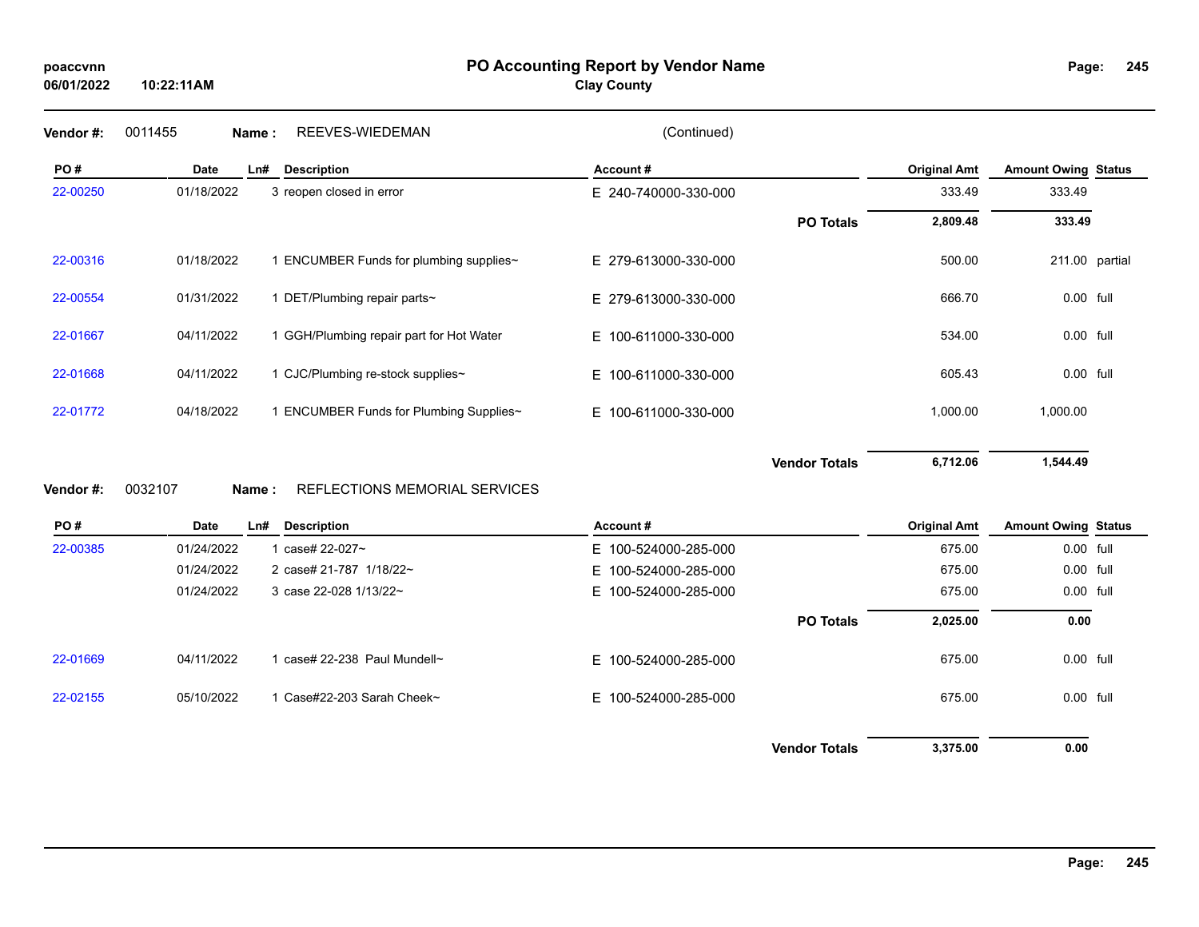**PO Accounting Report by Vendor Name poaccvnn Page:**

**Clay County**

**245**

| Vendor#: | 0011455     | Name: | REEVES-WIEDEMAN                          | (Continued)              |                      |                     |                            |  |
|----------|-------------|-------|------------------------------------------|--------------------------|----------------------|---------------------|----------------------------|--|
| PO#      | <b>Date</b> | Ln#   | <b>Description</b>                       | Account#                 |                      | <b>Original Amt</b> | <b>Amount Owing Status</b> |  |
| 22-00250 | 01/18/2022  |       | 3 reopen closed in error                 | E 240-740000-330-000     |                      | 333.49              | 333.49                     |  |
|          |             |       |                                          |                          | <b>PO Totals</b>     | 2,809.48            | 333.49                     |  |
| 22-00316 | 01/18/2022  |       | 1 ENCUMBER Funds for plumbing supplies~  | E 279-613000-330-000     |                      | 500.00              | 211.00 partial             |  |
| 22-00554 | 01/31/2022  |       | 1 DET/Plumbing repair parts~             | E 279-613000-330-000     |                      | 666.70              | 0.00 full                  |  |
| 22-01667 | 04/11/2022  |       | 1 GGH/Plumbing repair part for Hot Water | E 100-611000-330-000     |                      | 534.00              | 0.00 full                  |  |
| 22-01668 | 04/11/2022  |       | 1 CJC/Plumbing re-stock supplies~        | E 100-611000-330-000     |                      | 605.43              | 0.00 full                  |  |
| 22-01772 | 04/18/2022  |       | 1 ENCUMBER Funds for Plumbing Supplies~  | E 100-611000-330-000     |                      | 1,000.00            | 1,000.00                   |  |
| Vendor#: | 0032107     | Name: | REFLECTIONS MEMORIAL SERVICES            |                          | <b>Vendor Totals</b> | 6,712.06            | 1,544.49                   |  |
| PO#      | <b>Date</b> | Ln#   | <b>Description</b>                       | Account#                 |                      | <b>Original Amt</b> | <b>Amount Owing Status</b> |  |
| 22-00385 | 01/24/2022  |       | 1 case# 22-027~                          | E 100-524000-285-000     |                      | 675.00              | 0.00 full                  |  |
|          | 01/24/2022  |       | 2 case# 21-787 1/18/22~                  | 100-524000-285-000<br>Е. |                      | 675.00              | 0.00 full                  |  |
|          | 01/24/2022  |       | 3 case 22-028 1/13/22~                   | E 100-524000-285-000     |                      | 675.00              | 0.00 full                  |  |
|          |             |       |                                          |                          | <b>PO Totals</b>     | 2,025.00            | 0.00                       |  |
| 22-01669 | 04/11/2022  |       | 1 case# 22-238 Paul Mundell~             | E 100-524000-285-000     |                      | 675.00              | 0.00 full                  |  |

22-02155 05/10/2022 1 Case#22-203 Sarah Cheek~ E 100-524000-285-000 675.00 0.00 full

**Vendor Totals 3,375.00 0.00**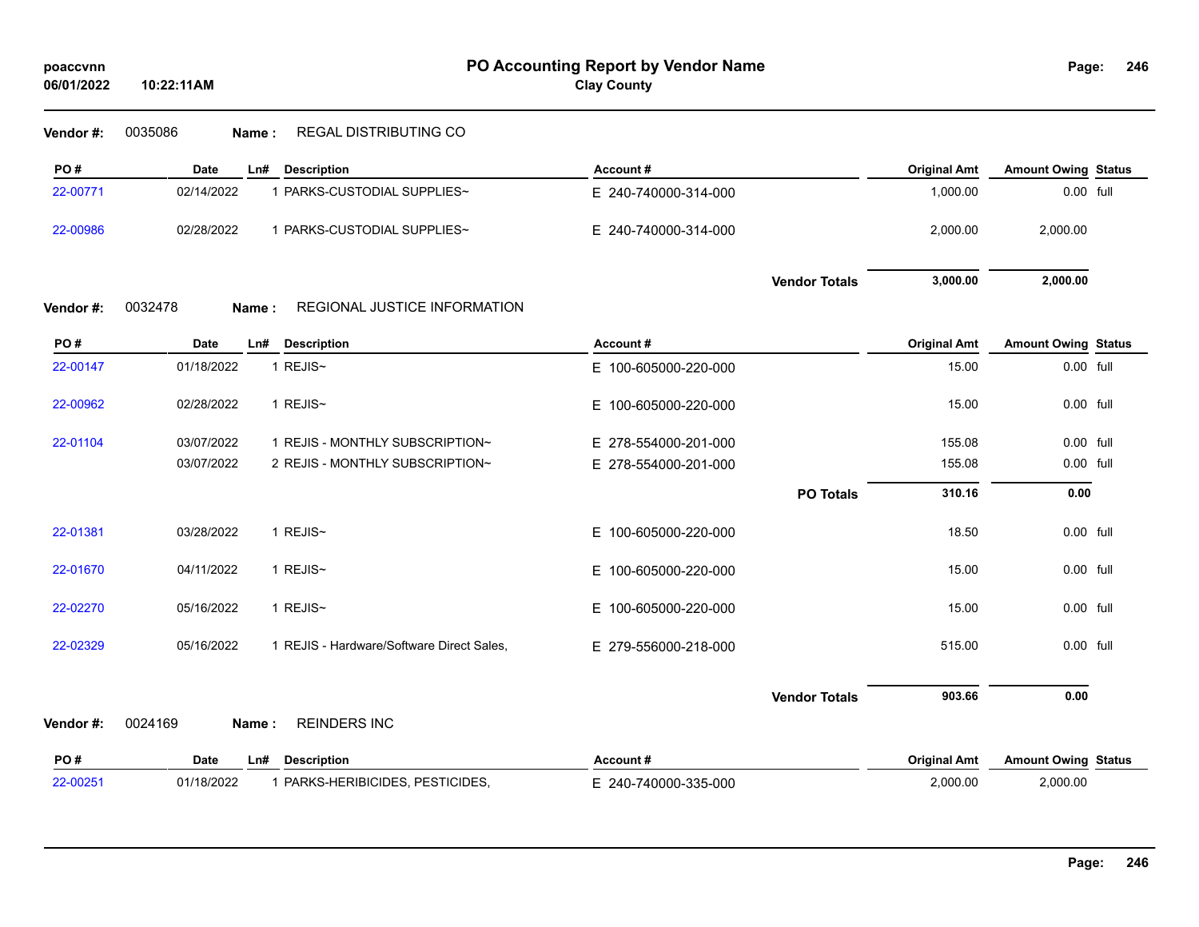| poaccvnn |  |
|----------|--|
|----------|--|

| Vendor #: | 0035086<br>Name:   | <b>REGAL DISTRIBUTING CO</b>              |                      |                      |                     |                            |  |
|-----------|--------------------|-------------------------------------------|----------------------|----------------------|---------------------|----------------------------|--|
| PO#       | <b>Date</b><br>Ln# | <b>Description</b>                        | Account#             |                      | <b>Original Amt</b> | <b>Amount Owing Status</b> |  |
| 22-00771  | 02/14/2022         | 1 PARKS-CUSTODIAL SUPPLIES~               | E 240-740000-314-000 |                      | 1,000.00            | 0.00 full                  |  |
| 22-00986  | 02/28/2022         | 1 PARKS-CUSTODIAL SUPPLIES~               | E 240-740000-314-000 |                      | 2,000.00            | 2,000.00                   |  |
|           |                    |                                           |                      | <b>Vendor Totals</b> | 3,000.00            | 2,000.00                   |  |
| Vendor #: | 0032478<br>Name:   | REGIONAL JUSTICE INFORMATION              |                      |                      |                     |                            |  |
| PO#       | <b>Date</b><br>Ln# | <b>Description</b>                        | Account#             |                      | <b>Original Amt</b> | <b>Amount Owing Status</b> |  |
| 22-00147  | 01/18/2022         | 1 REJIS~                                  | E 100-605000-220-000 |                      | 15.00               | 0.00 full                  |  |
| 22-00962  | 02/28/2022         | 1 REJIS~                                  | E 100-605000-220-000 |                      | 15.00               | 0.00 full                  |  |
| 22-01104  | 03/07/2022         | 1 REJIS - MONTHLY SUBSCRIPTION~           | E 278-554000-201-000 |                      | 155.08              | 0.00 full                  |  |
|           | 03/07/2022         | 2 REJIS - MONTHLY SUBSCRIPTION~           | E 278-554000-201-000 |                      | 155.08              | 0.00 full                  |  |
|           |                    |                                           |                      | <b>PO Totals</b>     | 310.16              | 0.00                       |  |
| 22-01381  | 03/28/2022         | 1 REJIS~                                  | E 100-605000-220-000 |                      | 18.50               | 0.00 full                  |  |
| 22-01670  | 04/11/2022         | 1 REJIS~                                  | E 100-605000-220-000 |                      | 15.00               | 0.00 full                  |  |
| 22-02270  | 05/16/2022         | 1 REJIS~                                  | E 100-605000-220-000 |                      | 15.00               | 0.00 full                  |  |
| 22-02329  | 05/16/2022         | 1 REJIS - Hardware/Software Direct Sales, | E 279-556000-218-000 |                      | 515.00              | 0.00 full                  |  |
|           |                    |                                           |                      | <b>Vendor Totals</b> | 903.66              | 0.00                       |  |
| Vendor #: | 0024169<br>Name:   | <b>REINDERS INC</b>                       |                      |                      |                     |                            |  |
| PO#       | <b>Date</b><br>Ln# | <b>Description</b>                        | Account #            |                      | <b>Original Amt</b> | <b>Amount Owing Status</b> |  |
| 22-00251  | 01/18/2022         | 1 PARKS-HERIBICIDES, PESTICIDES,          | E 240-740000-335-000 |                      | 2,000.00            | 2,000.00                   |  |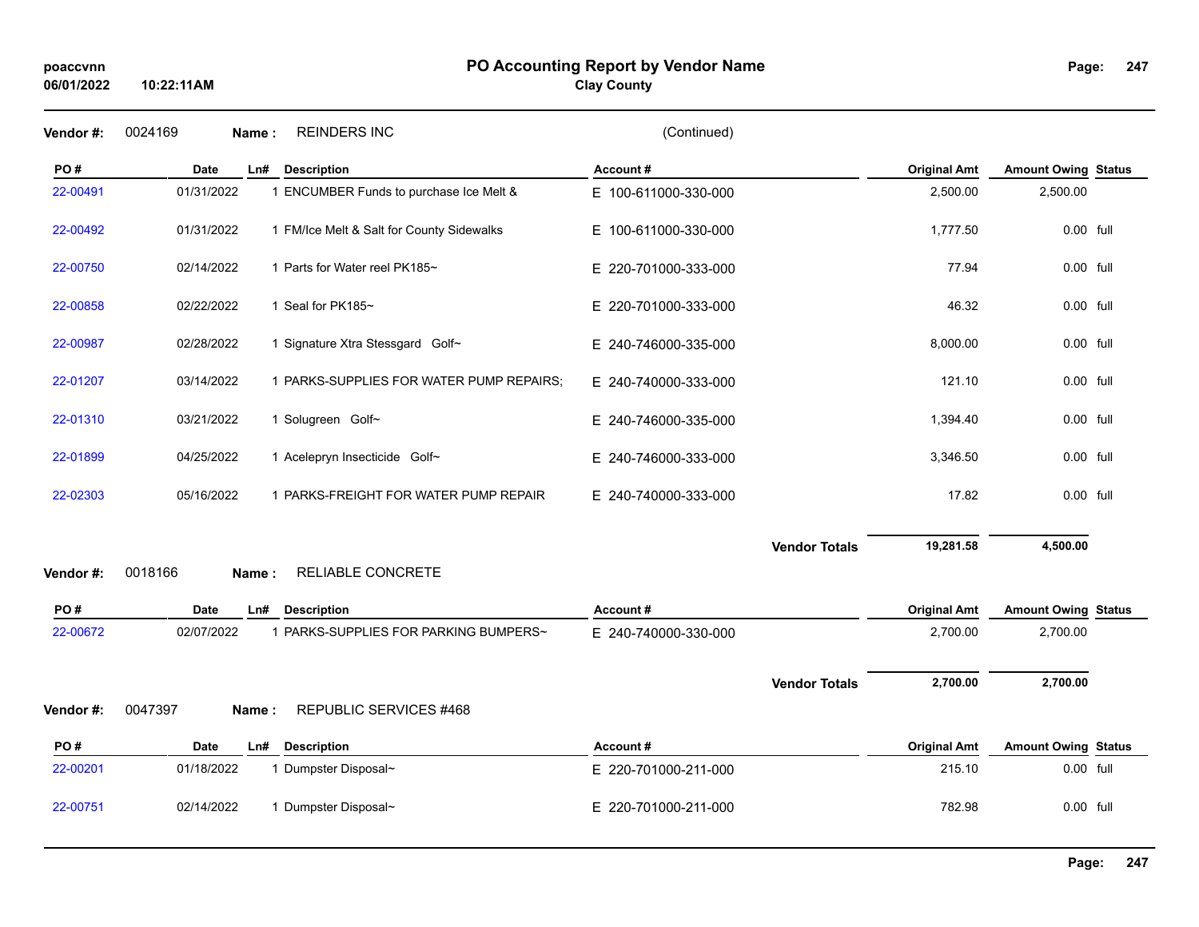## **PO Accounting Report by Vendor Name poaccvnn Page:**

# **Clay County**

| Vendor#:  | 0024169     | <b>REINDERS INC</b><br>Name:              | (Continued)          |                      |                     |                            |  |
|-----------|-------------|-------------------------------------------|----------------------|----------------------|---------------------|----------------------------|--|
| PO#       | <b>Date</b> | Ln#<br><b>Description</b>                 | Account#             |                      | <b>Original Amt</b> | <b>Amount Owing Status</b> |  |
| 22-00491  | 01/31/2022  | 1 ENCUMBER Funds to purchase Ice Melt &   | E 100-611000-330-000 |                      | 2,500.00            | 2,500.00                   |  |
| 22-00492  | 01/31/2022  | 1 FM/Ice Melt & Salt for County Sidewalks | E 100-611000-330-000 |                      | 1,777.50            | 0.00 full                  |  |
| 22-00750  | 02/14/2022  | 1 Parts for Water reel PK185~             | E 220-701000-333-000 |                      | 77.94               | 0.00 full                  |  |
| 22-00858  | 02/22/2022  | 1 Seal for PK185~                         | E 220-701000-333-000 |                      | 46.32               | 0.00 full                  |  |
| 22-00987  | 02/28/2022  | 1 Signature Xtra Stessgard Golf~          | E 240-746000-335-000 |                      | 8,000.00            | $0.00$ full                |  |
| 22-01207  | 03/14/2022  | 1 PARKS-SUPPLIES FOR WATER PUMP REPAIRS;  | E 240-740000-333-000 |                      | 121.10              | $0.00$ full                |  |
| 22-01310  | 03/21/2022  | 1 Solugreen Golf~                         | E 240-746000-335-000 |                      | 1,394.40            | 0.00 full                  |  |
| 22-01899  | 04/25/2022  | 1 Acelepryn Insecticide Golf~             | E 240-746000-333-000 |                      | 3,346.50            | $0.00$ full                |  |
| 22-02303  | 05/16/2022  | 1 PARKS-FREIGHT FOR WATER PUMP REPAIR     | E 240-740000-333-000 |                      | 17.82               | $0.00$ full                |  |
|           |             |                                           |                      | <b>Vendor Totals</b> | 19,281.58           | 4,500.00                   |  |
| Vendor#:  | 0018166     | RELIABLE CONCRETE<br>Name:                |                      |                      |                     |                            |  |
| PO#       | <b>Date</b> | <b>Description</b><br>Ln#                 | Account#             |                      | <b>Original Amt</b> | <b>Amount Owing Status</b> |  |
| 22-00672  | 02/07/2022  | 1 PARKS-SUPPLIES FOR PARKING BUMPERS~     | E 240-740000-330-000 |                      | 2,700.00            | 2,700.00                   |  |
|           |             |                                           |                      | <b>Vendor Totals</b> | 2,700.00            | 2,700.00                   |  |
| Vendor #: | 0047397     | REPUBLIC SERVICES #468<br>Name:           |                      |                      |                     |                            |  |
| PO#       | Date        | <b>Description</b><br>Ln#                 | Account#             |                      | <b>Original Amt</b> | <b>Amount Owing Status</b> |  |
| 22-00201  | 01/18/2022  | 1 Dumpster Disposal~                      | E 220-701000-211-000 |                      | 215.10              | 0.00 full                  |  |
| 22-00751  | 02/14/2022  | 1 Dumpster Disposal~                      | E 220-701000-211-000 |                      | 782.98              | $0.00$ full                |  |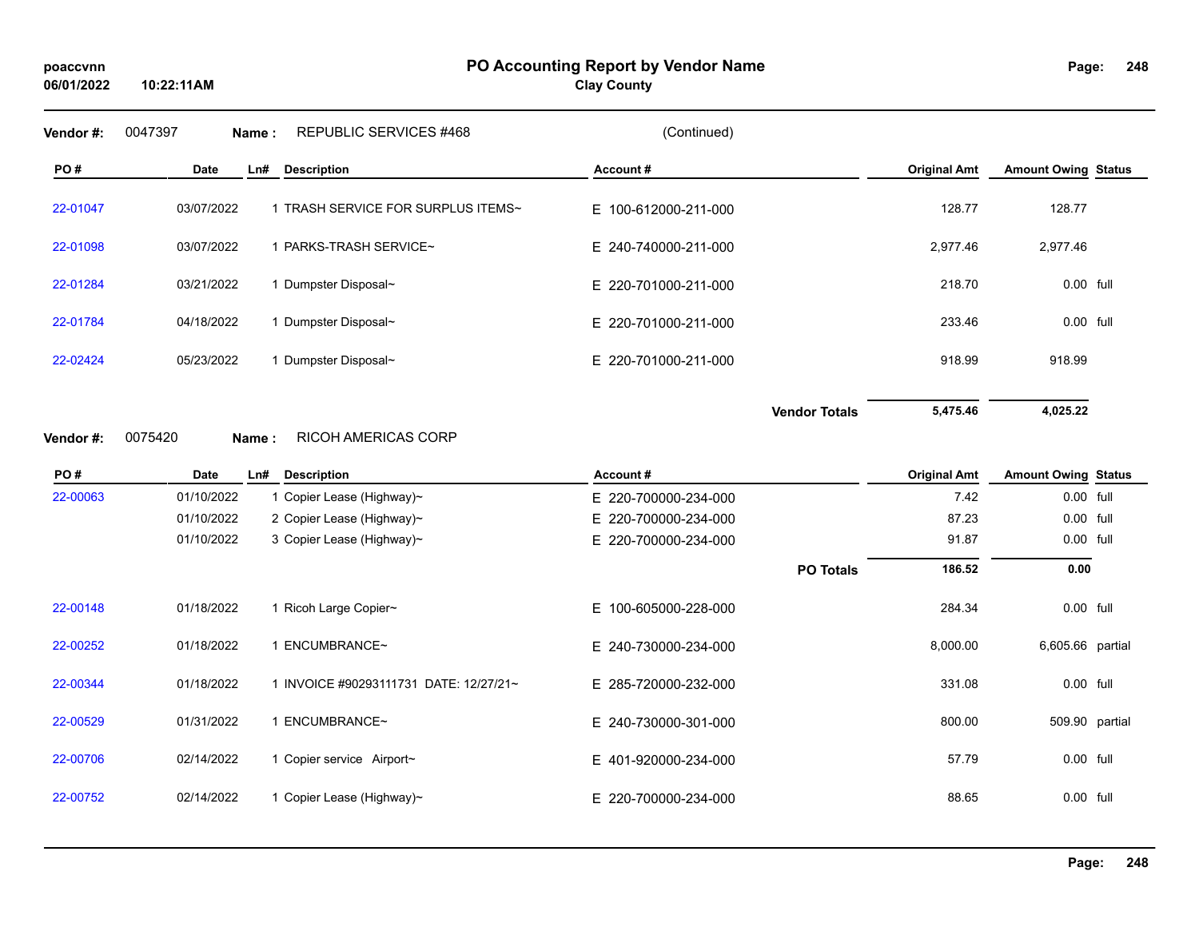### **PO Accounting Report by Vendor Name poaccvnn Page:**

**Clay County**

#### **248**

| Vendor#: | 0047397<br>Name : | REPUBLIC SERVICES #468             | (Continued)          |                     |                            |
|----------|-------------------|------------------------------------|----------------------|---------------------|----------------------------|
| PO#      | Date              | <b>Description</b><br>Ln#          | Account#             | <b>Original Amt</b> | <b>Amount Owing Status</b> |
| 22-01047 | 03/07/2022        | 1 TRASH SERVICE FOR SURPLUS ITEMS~ | E 100-612000-211-000 | 128.77              | 128.77                     |
| 22-01098 | 03/07/2022        | <b>PARKS-TRASH SERVICE~</b>        | E 240-740000-211-000 | 2,977.46            | 2,977.46                   |
| 22-01284 | 03/21/2022        | Dumpster Disposal~                 | E 220-701000-211-000 | 218.70              | 0.00 full                  |
| 22-01784 | 04/18/2022        | Dumpster Disposal~                 | E 220-701000-211-000 | 233.46              | $0.00$ full                |
| 22-02424 | 05/23/2022        | Dumpster Disposal~                 | E 220-701000-211-000 | 918.99              | 918.99                     |
|          |                   |                                    |                      |                     |                            |

**Vendor Totals 5,475.46 4,025.22**

#### **Vendor #:** 0075420 **Name :** RICOH AMERICAS CORP

| PO#      | Date       | Ln# | <b>Description</b>                     | Account#             |                  | <b>Original Amt</b> | <b>Amount Owing Status</b> |  |
|----------|------------|-----|----------------------------------------|----------------------|------------------|---------------------|----------------------------|--|
| 22-00063 | 01/10/2022 |     | 1 Copier Lease (Highway)~              | E 220-700000-234-000 |                  | 7.42                | 0.00 full                  |  |
|          | 01/10/2022 |     | 2 Copier Lease (Highway)~              | E 220-700000-234-000 |                  | 87.23               | $0.00$ full                |  |
|          | 01/10/2022 |     | 3 Copier Lease (Highway)~              | E 220-700000-234-000 |                  | 91.87               | $0.00$ full                |  |
|          |            |     |                                        |                      | <b>PO Totals</b> | 186.52              | 0.00                       |  |
| 22-00148 | 01/18/2022 |     | 1 Ricoh Large Copier~                  | E 100-605000-228-000 |                  | 284.34              | $0.00$ full                |  |
| 22-00252 | 01/18/2022 |     | ENCUMBRANCE~                           | E 240-730000-234-000 |                  | 8,000.00            | 6,605.66 partial           |  |
| 22-00344 | 01/18/2022 |     | 1 INVOICE #90293111731 DATE: 12/27/21~ | E 285-720000-232-000 |                  | 331.08              | 0.00 full                  |  |
| 22-00529 | 01/31/2022 |     | I ENCUMBRANCE~                         | E 240-730000-301-000 |                  | 800.00              | 509.90 partial             |  |
| 22-00706 | 02/14/2022 |     | 1 Copier service Airport~              | E 401-920000-234-000 |                  | 57.79               | 0.00 full                  |  |
| 22-00752 | 02/14/2022 |     | 1 Copier Lease (Highway)~              | E 220-700000-234-000 |                  | 88.65               | $0.00$ full                |  |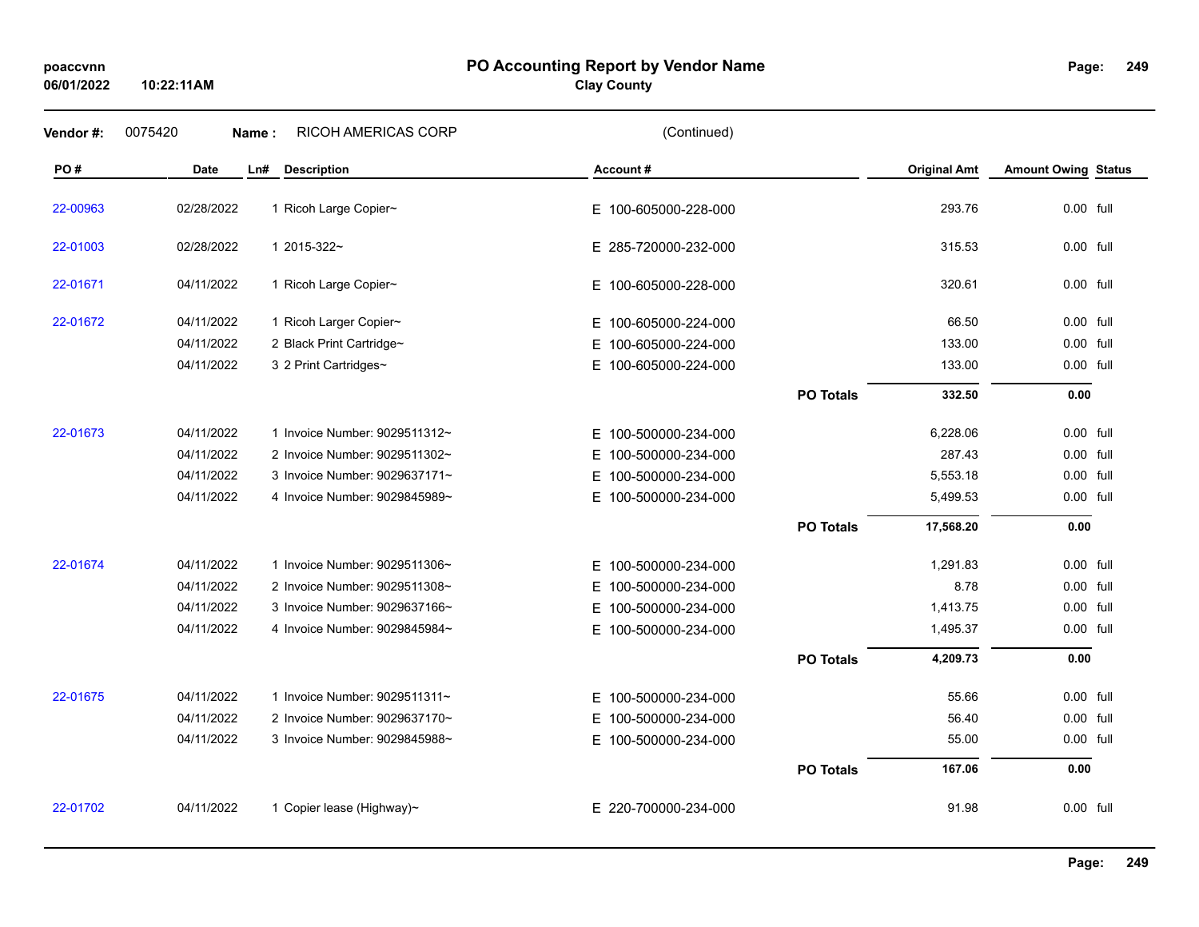### **PO Accounting Report by Vendor Name poaccvnn Page:**

# **Clay County**

| Vendor#: | 0075420    | Name:                     | RICOH AMERICAS CORP           | (Continued)              |                  |                     |                            |  |
|----------|------------|---------------------------|-------------------------------|--------------------------|------------------|---------------------|----------------------------|--|
| PO#      | Date       | Ln#<br><b>Description</b> |                               | Account#                 |                  | <b>Original Amt</b> | <b>Amount Owing Status</b> |  |
| 22-00963 | 02/28/2022 | 1 Ricoh Large Copier~     |                               | E 100-605000-228-000     |                  | 293.76              | 0.00 full                  |  |
| 22-01003 | 02/28/2022 | 1 2015-322~               |                               | E 285-720000-232-000     |                  | 315.53              | $0.00$ full                |  |
| 22-01671 | 04/11/2022 | 1 Ricoh Large Copier~     |                               | E 100-605000-228-000     |                  | 320.61              | $0.00$ full                |  |
| 22-01672 | 04/11/2022 | 1 Ricoh Larger Copier~    |                               | E 100-605000-224-000     |                  | 66.50               | $0.00$ full                |  |
|          | 04/11/2022 |                           | 2 Black Print Cartridge~      | E 100-605000-224-000     |                  | 133.00              | $0.00$ full                |  |
|          | 04/11/2022 | 3 2 Print Cartridges~     |                               | E 100-605000-224-000     |                  | 133.00              | 0.00 full                  |  |
|          |            |                           |                               |                          | <b>PO Totals</b> | 332.50              | 0.00                       |  |
| 22-01673 | 04/11/2022 |                           | 1 Invoice Number: 9029511312~ | E 100-500000-234-000     |                  | 6,228.06            | $0.00$ full                |  |
|          | 04/11/2022 |                           | 2 Invoice Number: 9029511302~ | E 100-500000-234-000     |                  | 287.43              | 0.00 full                  |  |
|          | 04/11/2022 |                           | 3 Invoice Number: 9029637171~ | 100-500000-234-000<br>E. |                  | 5,553.18            | $0.00$ full                |  |
|          | 04/11/2022 |                           | 4 Invoice Number: 9029845989~ | E 100-500000-234-000     |                  | 5,499.53            | 0.00 full                  |  |
|          |            |                           |                               |                          | <b>PO Totals</b> | 17,568.20           | 0.00                       |  |
| 22-01674 | 04/11/2022 |                           | 1 Invoice Number: 9029511306~ | E 100-500000-234-000     |                  | 1,291.83            | 0.00 full                  |  |
|          | 04/11/2022 |                           | 2 Invoice Number: 9029511308~ | E 100-500000-234-000     |                  | 8.78                | 0.00 full                  |  |
|          | 04/11/2022 |                           | 3 Invoice Number: 9029637166~ | E 100-500000-234-000     |                  | 1,413.75            | 0.00 full                  |  |
|          | 04/11/2022 |                           | 4 Invoice Number: 9029845984~ | E 100-500000-234-000     |                  | 1,495.37            | 0.00 full                  |  |
|          |            |                           |                               |                          | <b>PO Totals</b> | 4,209.73            | 0.00                       |  |
| 22-01675 | 04/11/2022 |                           | 1 Invoice Number: 9029511311~ | E 100-500000-234-000     |                  | 55.66               | 0.00 full                  |  |
|          | 04/11/2022 |                           | 2 Invoice Number: 9029637170~ | E 100-500000-234-000     |                  | 56.40               | 0.00 full                  |  |
|          | 04/11/2022 |                           | 3 Invoice Number: 9029845988~ | E 100-500000-234-000     |                  | 55.00               | 0.00 full                  |  |
|          |            |                           |                               |                          | <b>PO Totals</b> | 167.06              | 0.00                       |  |
| 22-01702 | 04/11/2022 |                           | 1 Copier lease (Highway)~     | E 220-700000-234-000     |                  | 91.98               | $0.00$ full                |  |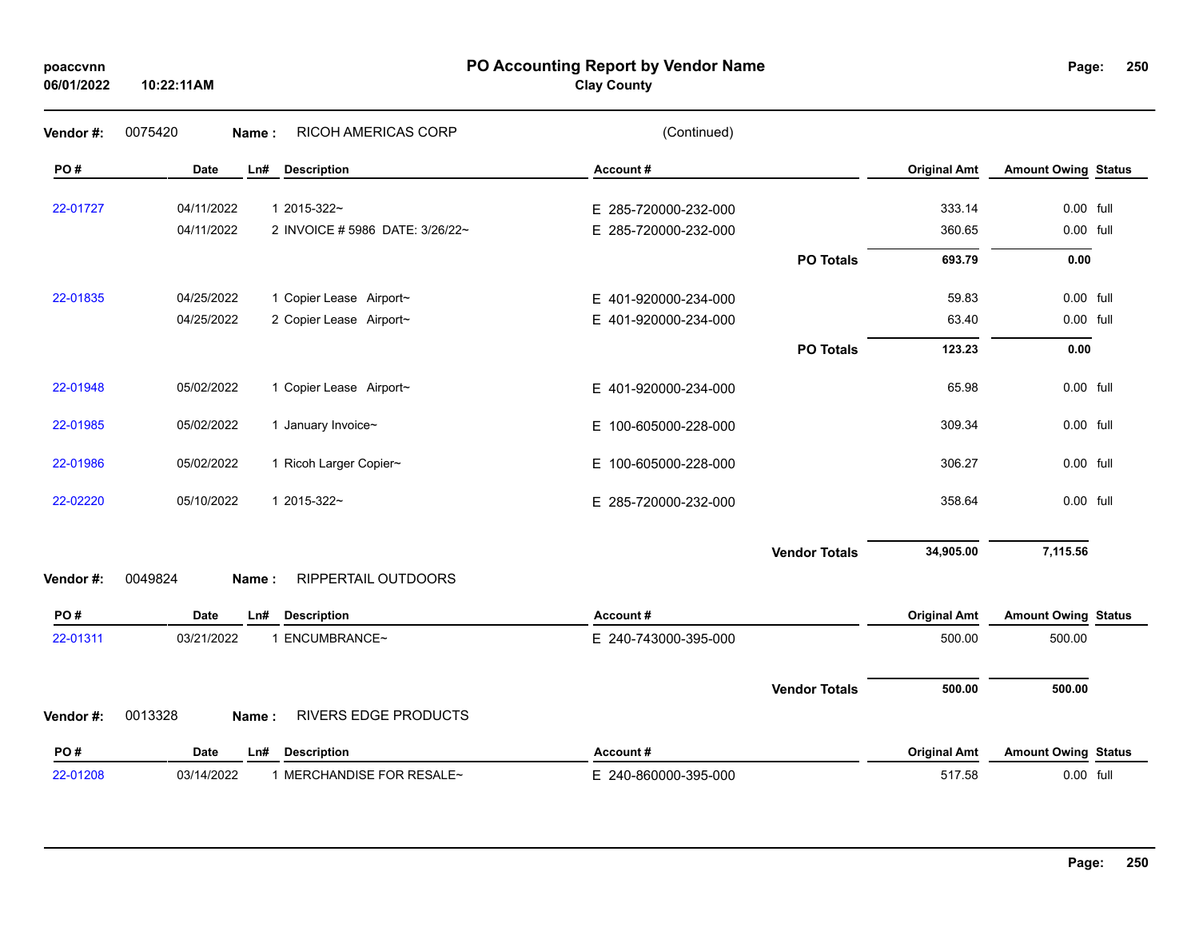| poaccvnn<br>06/01/2022 | 10:22:11AM                                    | PO Accounting Report by Vendor Name<br><b>Clay County</b> |                            | Page:                      | 25 <sub>0</sub> |
|------------------------|-----------------------------------------------|-----------------------------------------------------------|----------------------------|----------------------------|-----------------|
| Vendor #:              | 0075420<br>RICOH AMERICAS CORP<br>Name:       | (Continued)                                               |                            |                            |                 |
| PO#                    | <b>Description</b><br>Date<br>Ln#             | Account#                                                  | <b>Original Amt</b>        | <b>Amount Owing Status</b> |                 |
| 22-01727               | 04/11/2022<br>1 2015-322~                     | E 285-720000-232-000                                      | 333.14                     | 0.00 full                  |                 |
|                        | 04/11/2022<br>2 INVOICE # 5986 DATE: 3/26/22~ | E 285-720000-232-000                                      | 360.65                     | 0.00 full                  |                 |
|                        |                                               |                                                           | <b>PO Totals</b><br>693.79 | 0.00                       |                 |
| 22-01835               | 04/25/2022<br>1 Copier Lease Airport~         | E 401-920000-234-000                                      | 59.83                      | 0.00 full                  |                 |
|                        | 04/25/2022<br>2 Copier Lease Airport~         | E 401-920000-234-000                                      | 63.40                      | $0.00$ full                |                 |
|                        |                                               |                                                           | 123.23<br><b>PO Totals</b> | 0.00                       |                 |
| 22-01948               | 05/02/2022<br>1 Copier Lease Airport~         | E 401-920000-234-000                                      | 65.98                      | 0.00 full                  |                 |
| 22-01985               | 05/02/2022<br>1 January Invoice~              | E 100-605000-228-000                                      | 309.34                     | 0.00 full                  |                 |
| 22-01986               | 05/02/2022<br>1 Ricoh Larger Copier~          | E 100-605000-228-000                                      | 306.27                     | 0.00 full                  |                 |
| 22-02220               | 05/10/2022<br>1 2015-322~                     | E 285-720000-232-000                                      | 358.64                     | 0.00 full                  |                 |
|                        |                                               | <b>Vendor Totals</b>                                      | 34,905.00                  | 7,115.56                   |                 |
| Vendor #:              | 0049824<br>RIPPERTAIL OUTDOORS<br>Name:       |                                                           |                            |                            |                 |
| PO#                    | <b>Description</b><br>Date<br>Ln#             | Account#                                                  | <b>Original Amt</b>        | <b>Amount Owing Status</b> |                 |
| 22-01311               | 03/21/2022<br>1 ENCUMBRANCE~                  | E 240-743000-395-000                                      | 500.00                     | 500.00                     |                 |
|                        |                                               | <b>Vendor Totals</b>                                      | 500.00                     | 500.00                     |                 |
| Vendor #:              | 0013328<br>RIVERS EDGE PRODUCTS<br>Name:      |                                                           |                            |                            |                 |
| PO#                    | <b>Description</b><br>Date<br>Ln#             | Account#                                                  | <b>Original Amt</b>        | <b>Amount Owing Status</b> |                 |
| 22-01208               | 03/14/2022<br>1 MERCHANDISE FOR RESALE~       | E 240-860000-395-000                                      | 517.58                     | 0.00 full                  |                 |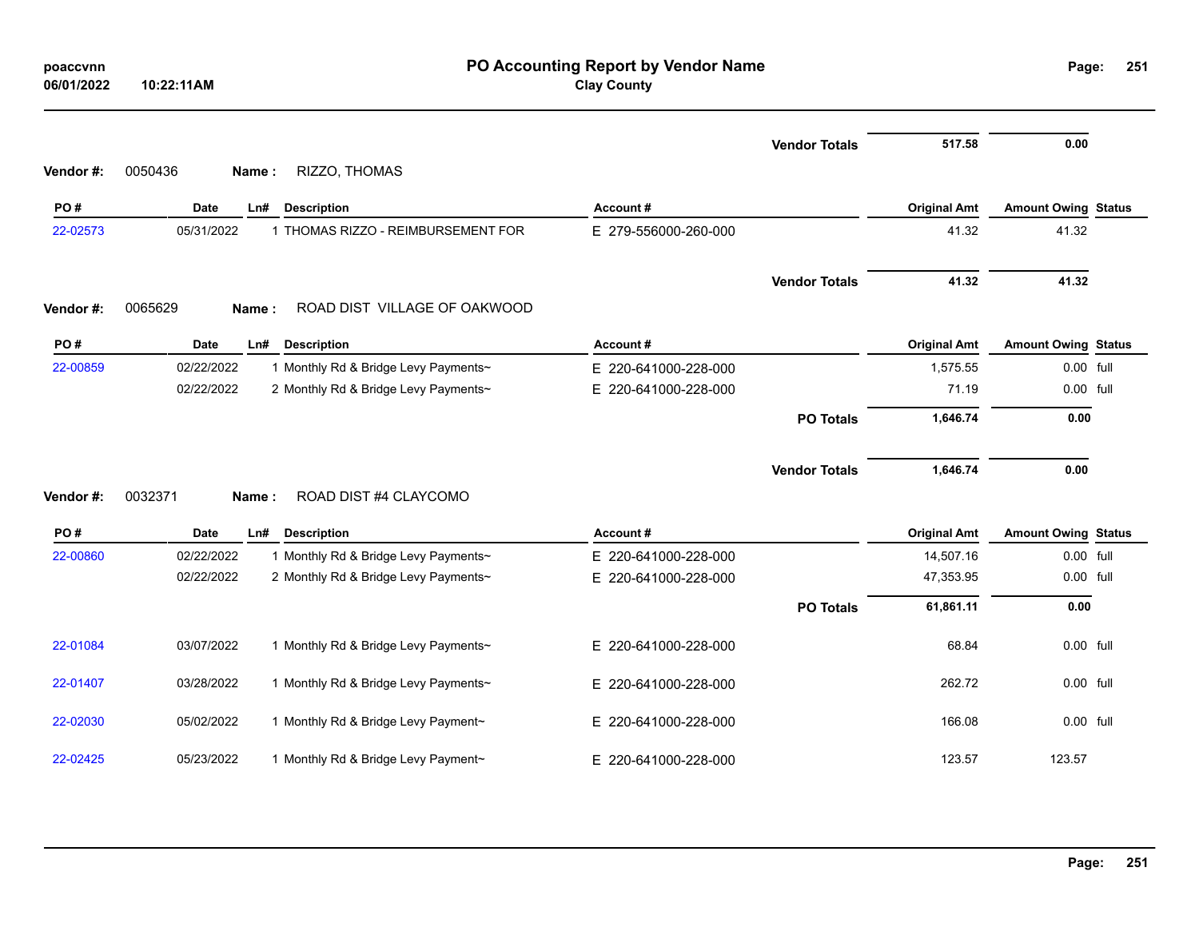| poaccvnn<br>06/01/2022 | 10:22:11AM       |                                      | PO Accounting Report by Vendor Name<br><b>Clay County</b> |                      |                     |                            | Page:<br>251 |  |  |  |
|------------------------|------------------|--------------------------------------|-----------------------------------------------------------|----------------------|---------------------|----------------------------|--------------|--|--|--|
| Vendor#:               | 0050436<br>Name: | RIZZO, THOMAS                        |                                                           | <b>Vendor Totals</b> | 517.58              | 0.00                       |              |  |  |  |
| PO#                    | Date             | <b>Description</b><br>Ln#            | Account#                                                  |                      | <b>Original Amt</b> | <b>Amount Owing Status</b> |              |  |  |  |
| 22-02573               | 05/31/2022       | 1 THOMAS RIZZO - REIMBURSEMENT FOR   | E 279-556000-260-000                                      |                      | 41.32               | 41.32                      |              |  |  |  |
| Vendor#:               | 0065629<br>Name: | ROAD DIST VILLAGE OF OAKWOOD         |                                                           | <b>Vendor Totals</b> | 41.32               | 41.32                      |              |  |  |  |
| PO#                    | Date             | LnH<br><b>Description</b>            | Account#                                                  |                      | <b>Original Amt</b> | <b>Amount Owing Status</b> |              |  |  |  |
| 22-00859               | 02/22/2022       | 1 Monthly Rd & Bridge Levy Payments~ | E 220-641000-228-000                                      |                      | 1,575.55            | 0.00 full                  |              |  |  |  |
|                        | 02/22/2022       | 2 Monthly Rd & Bridge Levy Payments~ | E 220-641000-228-000                                      |                      | 71.19               | 0.00 full                  |              |  |  |  |
|                        |                  |                                      |                                                           | <b>PO Totals</b>     | 1,646.74            | 0.00                       |              |  |  |  |
| Vendor#:               | 0032371<br>Name: | ROAD DIST #4 CLAYCOMO                |                                                           | <b>Vendor Totals</b> | 1,646.74            | 0.00                       |              |  |  |  |
| PO#                    | Date             | Ln#<br><b>Description</b>            | Account#                                                  |                      | <b>Original Amt</b> | <b>Amount Owing Status</b> |              |  |  |  |
| 22-00860               | 02/22/2022       | 1 Monthly Rd & Bridge Levy Payments~ | E 220-641000-228-000                                      |                      | 14,507.16           | 0.00 full                  |              |  |  |  |
|                        | 02/22/2022       | 2 Monthly Rd & Bridge Levy Payments~ | E 220-641000-228-000                                      |                      | 47,353.95           | 0.00 full                  |              |  |  |  |
|                        |                  |                                      |                                                           | <b>PO Totals</b>     | 61,861.11           | 0.00                       |              |  |  |  |
| 22-01084               | 03/07/2022       | 1 Monthly Rd & Bridge Levy Payments~ | E 220-641000-228-000                                      |                      | 68.84               | 0.00 full                  |              |  |  |  |
| 22-01407               | 03/28/2022       | 1 Monthly Rd & Bridge Levy Payments~ | E.<br>220-641000-228-000                                  |                      | 262.72              | 0.00 full                  |              |  |  |  |
| 22-02030               | 05/02/2022       | 1 Monthly Rd & Bridge Levy Payment~  | E 220-641000-228-000                                      |                      | 166.08              | 0.00 full                  |              |  |  |  |
| 22-02425               | 05/23/2022       | 1 Monthly Rd & Bridge Levy Payment~  | E 220-641000-228-000                                      |                      | 123.57              | 123.57                     |              |  |  |  |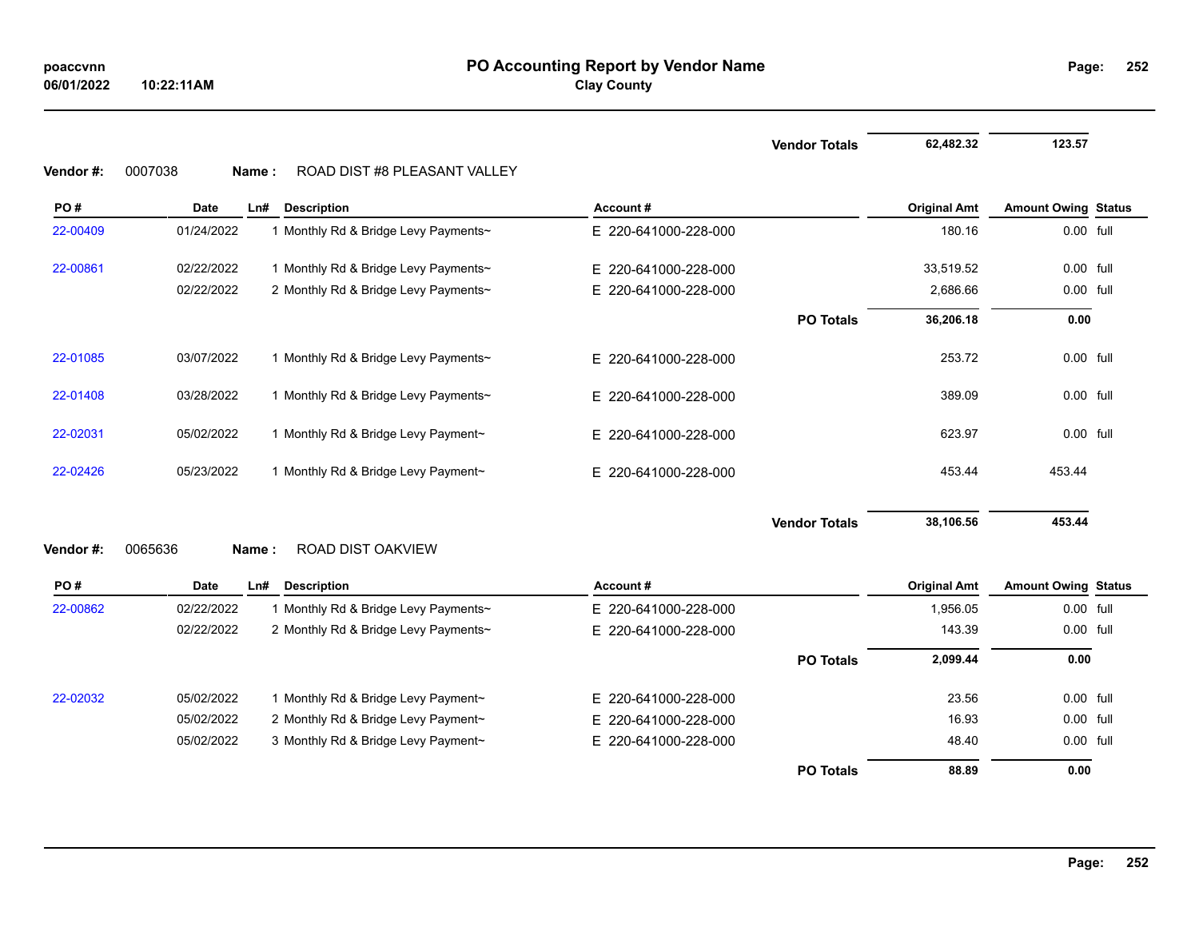|           |                         |                                      |                          | <b>Vendor Totals</b> | 62,482.32           | 123.57                     |  |
|-----------|-------------------------|--------------------------------------|--------------------------|----------------------|---------------------|----------------------------|--|
| Vendor #: | 0007038<br><b>Name:</b> | ROAD DIST #8 PLEASANT VALLEY         |                          |                      |                     |                            |  |
| PO#       | <b>Date</b>             | Ln#<br><b>Description</b>            | Account#                 |                      | <b>Original Amt</b> | <b>Amount Owing Status</b> |  |
| 22-00409  | 01/24/2022              | 1 Monthly Rd & Bridge Levy Payments~ | E 220-641000-228-000     |                      | 180.16              | 0.00 full                  |  |
| 22-00861  | 02/22/2022              | 1 Monthly Rd & Bridge Levy Payments~ | E 220-641000-228-000     |                      | 33,519.52           | $0.00$ full                |  |
|           | 02/22/2022              | 2 Monthly Rd & Bridge Levy Payments~ | 220-641000-228-000<br>E. |                      | 2,686.66            | 0.00 full                  |  |
|           |                         |                                      |                          | <b>PO Totals</b>     | 36,206.18           | 0.00                       |  |
| 22-01085  | 03/07/2022              | 1 Monthly Rd & Bridge Levy Payments~ | E 220-641000-228-000     |                      | 253.72              | 0.00 full                  |  |
| 22-01408  | 03/28/2022              | 1 Monthly Rd & Bridge Levy Payments~ | E 220-641000-228-000     |                      | 389.09              | 0.00 full                  |  |
| 22-02031  | 05/02/2022              | 1 Monthly Rd & Bridge Levy Payment~  | E 220-641000-228-000     |                      | 623.97              | 0.00 full                  |  |
| 22-02426  | 05/23/2022              | 1 Monthly Rd & Bridge Levy Payment~  | E 220-641000-228-000     |                      | 453.44              | 453.44                     |  |
|           |                         |                                      |                          | <b>Vendor Totals</b> | 38,106.56           | 453.44                     |  |
| Vendor#:  | 0065636<br>Name:        | ROAD DIST OAKVIEW                    |                          |                      |                     |                            |  |
| PO#       | <b>Date</b>             | LnH<br><b>Description</b>            | Account#                 |                      | <b>Original Amt</b> | <b>Amount Owing Status</b> |  |
| 22-00862  | 02/22/2022              | 1 Monthly Rd & Bridge Levy Payments~ | E 220-641000-228-000     |                      | 1,956.05            | 0.00 full                  |  |
|           | 02/22/2022              | 2 Monthly Rd & Bridge Levy Payments~ | E 220-641000-228-000     |                      | 143.39              | 0.00 full                  |  |
|           |                         |                                      |                          | <b>PO Totals</b>     | 2,099.44            | 0.00                       |  |
| 22-02032  | 05/02/2022              | 1 Monthly Rd & Bridge Levy Payment~  | E 220-641000-228-000     |                      | 23.56               | 0.00 full                  |  |
|           | 05/02/2022              | 2 Monthly Rd & Bridge Levy Payment~  | 220-641000-228-000<br>E. |                      | 16.93               | 0.00 full                  |  |
|           | 05/02/2022              | 3 Monthly Rd & Bridge Levy Payment~  | 220-641000-228-000<br>E. |                      | 48.40               | $0.00$ full                |  |

**PO Totals 88.89 0.00**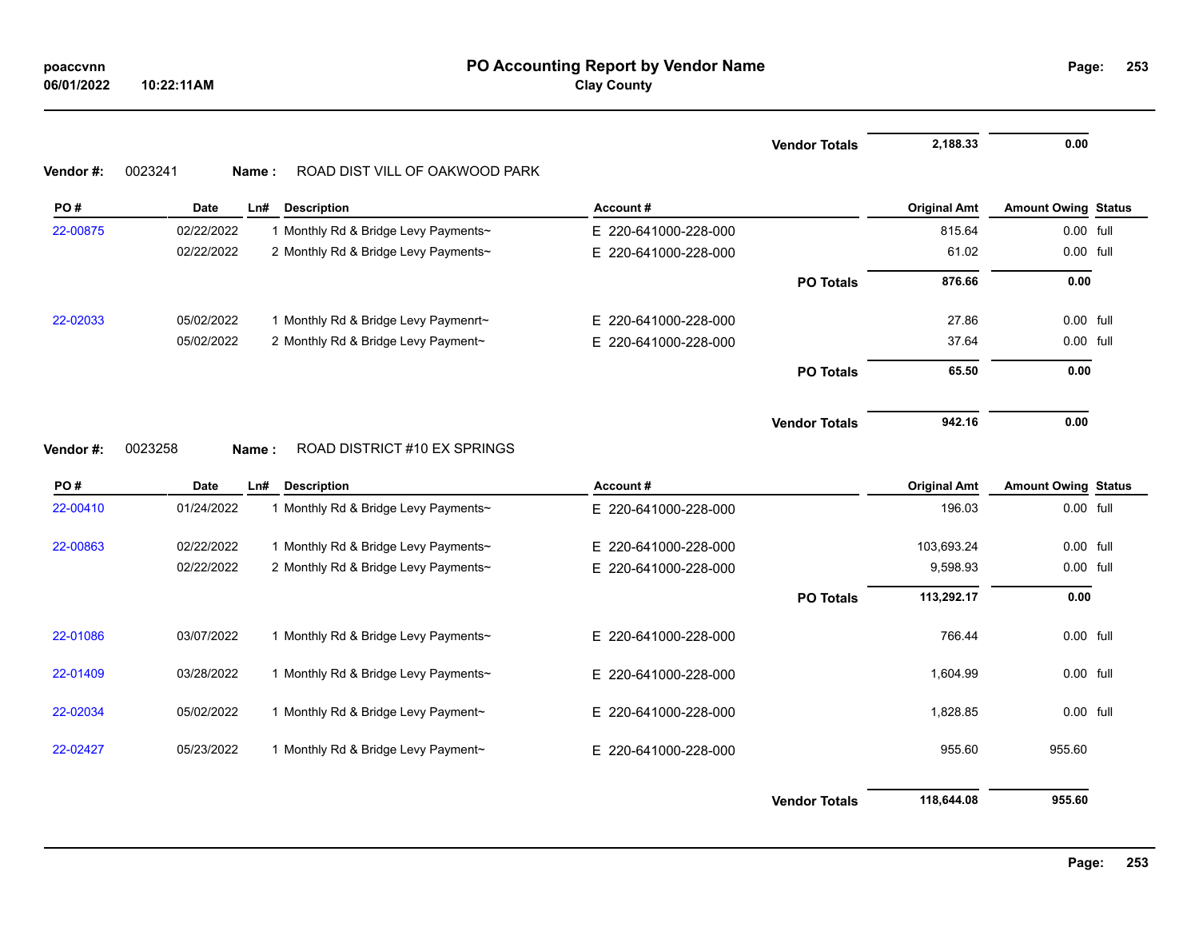|           |                  |                                      |                          | <b>Vendor Totals</b> | 2,188.33            | 0.00                       |  |
|-----------|------------------|--------------------------------------|--------------------------|----------------------|---------------------|----------------------------|--|
| Vendor #: | 0023241<br>Name: | ROAD DIST VILL OF OAKWOOD PARK       |                          |                      |                     |                            |  |
| PO#       | <b>Date</b>      | Ln#<br><b>Description</b>            | Account#                 |                      | <b>Original Amt</b> | <b>Amount Owing Status</b> |  |
| 22-00875  | 02/22/2022       | 1 Monthly Rd & Bridge Levy Payments~ | E 220-641000-228-000     |                      | 815.64              | 0.00 full                  |  |
|           | 02/22/2022       | 2 Monthly Rd & Bridge Levy Payments~ | E 220-641000-228-000     |                      | 61.02               | 0.00 full                  |  |
|           |                  |                                      |                          | <b>PO Totals</b>     | 876.66              | 0.00                       |  |
| 22-02033  | 05/02/2022       | 1 Monthly Rd & Bridge Levy Paymenrt~ | E 220-641000-228-000     |                      | 27.86               | 0.00 full                  |  |
|           | 05/02/2022       | 2 Monthly Rd & Bridge Levy Payment~  | 220-641000-228-000<br>E. |                      | 37.64               | 0.00 full                  |  |
|           |                  |                                      |                          | <b>PO Totals</b>     | 65.50               | 0.00                       |  |
|           |                  |                                      |                          | <b>Vendor Totals</b> | 942.16              | 0.00                       |  |
| Vendor#:  | 0023258<br>Name: | ROAD DISTRICT #10 EX SPRINGS         |                          |                      |                     |                            |  |
| PO#       | Date             | <b>Description</b><br>Ln#            | Account#                 |                      | <b>Original Amt</b> | <b>Amount Owing Status</b> |  |
| 22-00410  | 01/24/2022       | 1 Monthly Rd & Bridge Levy Payments~ | E 220-641000-228-000     |                      | 196.03              | 0.00 full                  |  |
| 22-00863  | 02/22/2022       | 1 Monthly Rd & Bridge Levy Payments~ | E 220-641000-228-000     |                      | 103,693.24          | 0.00 full                  |  |
|           | 02/22/2022       | 2 Monthly Rd & Bridge Levy Payments~ | E 220-641000-228-000     |                      | 9,598.93            | 0.00 full                  |  |
|           |                  |                                      |                          | <b>PO Totals</b>     | 113,292.17          | 0.00                       |  |
| 22-01086  | 03/07/2022       | 1 Monthly Rd & Bridge Levy Payments~ | E 220-641000-228-000     |                      | 766.44              | 0.00 full                  |  |
| 22-01409  | 03/28/2022       | 1 Monthly Rd & Bridge Levy Payments~ | E 220-641000-228-000     |                      | 1,604.99            | 0.00 full                  |  |
| 22-02034  | 05/02/2022       | 1 Monthly Rd & Bridge Levy Payment~  | E 220-641000-228-000     |                      | 1,828.85            | 0.00 full                  |  |
| 22-02427  | 05/23/2022       | 1 Monthly Rd & Bridge Levy Payment~  | E 220-641000-228-000     |                      | 955.60              | 955.60                     |  |
|           |                  |                                      |                          | <b>Vendor Totals</b> | 118,644.08          | 955.60                     |  |

**Page: 253**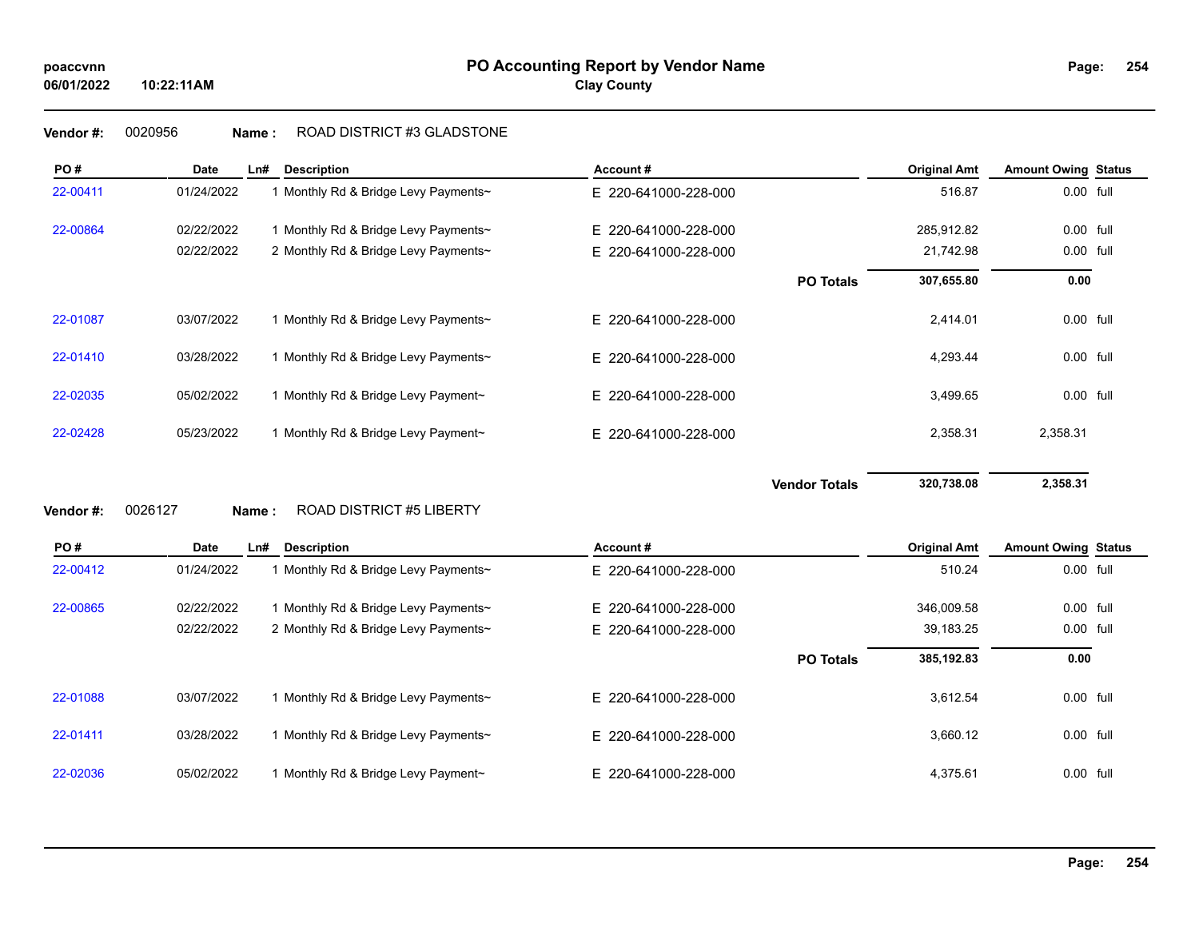# **Vendor #:** 0020956 **Name :** ROAD DISTRICT #3 GLADSTONE

| PO#      | <b>Date</b> | Ln#   | <b>Description</b>                   | Account#                 |                      | <b>Original Amt</b> | <b>Amount Owing Status</b> |  |
|----------|-------------|-------|--------------------------------------|--------------------------|----------------------|---------------------|----------------------------|--|
| 22-00411 | 01/24/2022  |       | 1 Monthly Rd & Bridge Levy Payments~ | E 220-641000-228-000     |                      | 516.87              | 0.00 full                  |  |
| 22-00864 | 02/22/2022  |       | 1 Monthly Rd & Bridge Levy Payments~ | 220-641000-228-000<br>E. |                      | 285,912.82          | 0.00 full                  |  |
|          | 02/22/2022  |       | 2 Monthly Rd & Bridge Levy Payments~ | E 220-641000-228-000     |                      | 21,742.98           | 0.00 full                  |  |
|          |             |       |                                      |                          | <b>PO Totals</b>     | 307,655.80          | 0.00                       |  |
| 22-01087 | 03/07/2022  |       | 1 Monthly Rd & Bridge Levy Payments~ | E 220-641000-228-000     |                      | 2,414.01            | 0.00 full                  |  |
| 22-01410 | 03/28/2022  |       | 1 Monthly Rd & Bridge Levy Payments~ | E 220-641000-228-000     |                      | 4,293.44            | 0.00 full                  |  |
| 22-02035 | 05/02/2022  |       | 1 Monthly Rd & Bridge Levy Payment~  | E 220-641000-228-000     |                      | 3,499.65            | 0.00 full                  |  |
| 22-02428 | 05/23/2022  |       | 1 Monthly Rd & Bridge Levy Payment~  | E 220-641000-228-000     |                      | 2,358.31            | 2,358.31                   |  |
|          |             |       |                                      |                          | <b>Vendor Totals</b> | 320,738.08          | 2,358.31                   |  |
| Vendor#: | 0026127     | Name: | <b>ROAD DISTRICT #5 LIBERTY</b>      |                          |                      |                     |                            |  |
| PO#      | <b>Date</b> | Ln#   | <b>Description</b>                   | Account#                 |                      | <b>Original Amt</b> | <b>Amount Owing Status</b> |  |
| 22-00412 | 01/24/2022  |       | 1 Monthly Rd & Bridge Levy Payments~ | E 220-641000-228-000     |                      | 510.24              | 0.00 full                  |  |
| 22-00865 | 02/22/2022  |       | 1 Monthly Rd & Bridge Levy Payments~ | E 220-641000-228-000     |                      | 346,009.58          | 0.00 full                  |  |
|          | 02/22/2022  |       | 2 Monthly Rd & Bridge Levy Payments~ | E 220-641000-228-000     |                      | 39,183.25           | 0.00 full                  |  |
|          |             |       |                                      |                          | <b>PO Totals</b>     | 385,192.83          | 0.00                       |  |
| 22-01088 | 03/07/2022  |       | 1 Monthly Rd & Bridge Levy Payments~ | E 220-641000-228-000     |                      | 3,612.54            | 0.00 full                  |  |
| 22-01411 | 03/28/2022  |       | 1 Monthly Rd & Bridge Levy Payments~ | E 220-641000-228-000     |                      | 3,660.12            | 0.00 full                  |  |
|          |             |       |                                      |                          |                      |                     |                            |  |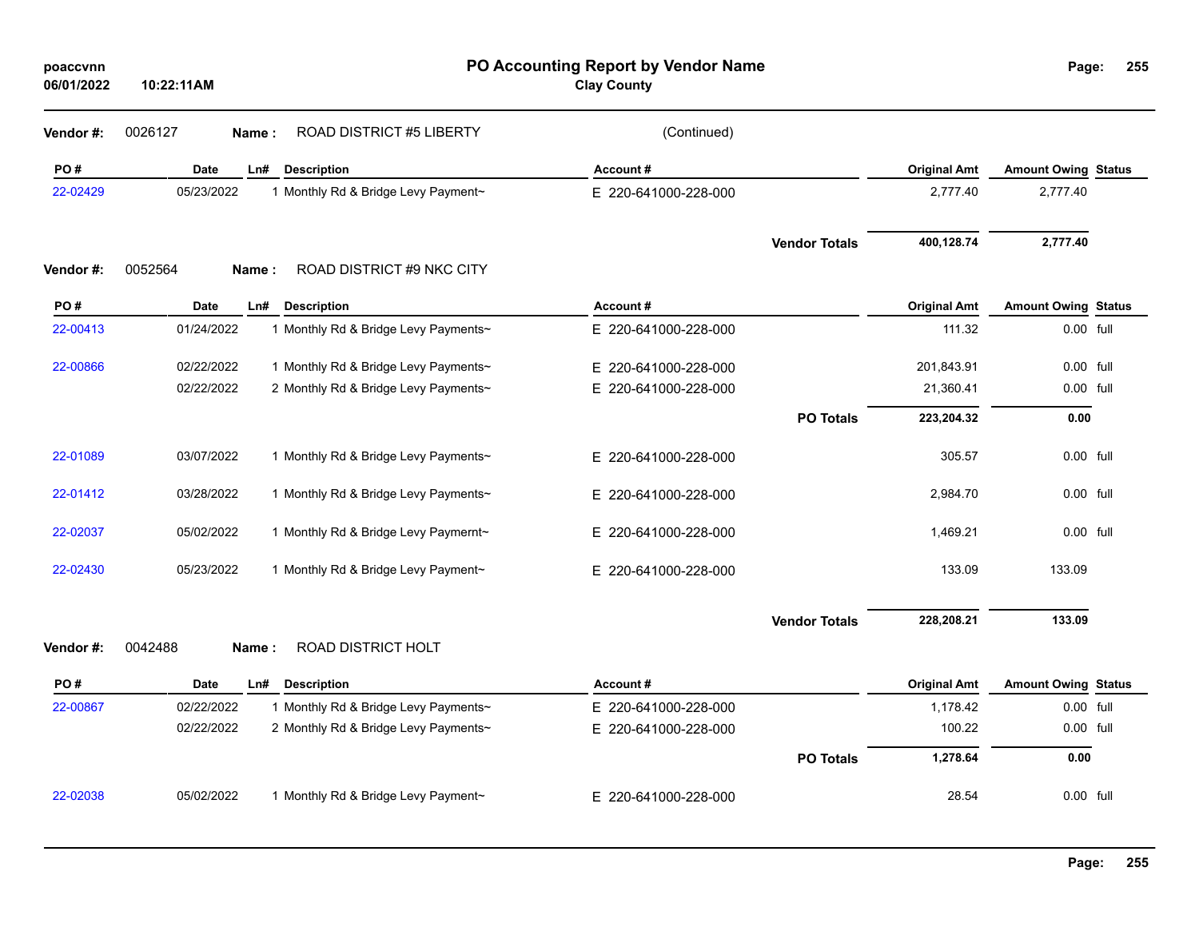| poaccvnn<br>06/01/2022 | 10:22:11AM  |                                      | Page:                | 255                  |                     |                            |  |
|------------------------|-------------|--------------------------------------|----------------------|----------------------|---------------------|----------------------------|--|
| Vendor#:               | 0026127     | ROAD DISTRICT #5 LIBERTY<br>Name:    | (Continued)          |                      |                     |                            |  |
| PO#                    | <b>Date</b> | Ln#<br><b>Description</b>            | Account#             |                      | <b>Original Amt</b> | <b>Amount Owing Status</b> |  |
| 22-02429               | 05/23/2022  | 1 Monthly Rd & Bridge Levy Payment~  | E 220-641000-228-000 |                      | 2,777.40            | 2,777.40                   |  |
|                        |             |                                      |                      | <b>Vendor Totals</b> | 400,128.74          | 2,777.40                   |  |
| Vendor#:               | 0052564     | ROAD DISTRICT #9 NKC CITY<br>Name:   |                      |                      |                     |                            |  |
| PO#                    | Date        | Ln#<br><b>Description</b>            | Account#             |                      | <b>Original Amt</b> | <b>Amount Owing Status</b> |  |
| 22-00413               | 01/24/2022  | 1 Monthly Rd & Bridge Levy Payments~ | E 220-641000-228-000 |                      | 111.32              | 0.00 full                  |  |
| 22-00866               | 02/22/2022  | 1 Monthly Rd & Bridge Levy Payments~ | E 220-641000-228-000 |                      | 201,843.91          | 0.00 full                  |  |
|                        | 02/22/2022  | 2 Monthly Rd & Bridge Levy Payments~ | E 220-641000-228-000 |                      | 21,360.41           | 0.00 full                  |  |
|                        |             |                                      |                      | <b>PO Totals</b>     | 223,204.32          | 0.00                       |  |
| 22-01089               | 03/07/2022  | 1 Monthly Rd & Bridge Levy Payments~ | E 220-641000-228-000 |                      | 305.57              | 0.00 full                  |  |
| 22-01412               | 03/28/2022  | 1 Monthly Rd & Bridge Levy Payments~ | E 220-641000-228-000 |                      | 2,984.70            | 0.00 full                  |  |
| 22-02037               | 05/02/2022  | 1 Monthly Rd & Bridge Levy Paymernt~ | E 220-641000-228-000 |                      | 1,469.21            | 0.00 full                  |  |
| 22-02430               | 05/23/2022  | 1 Monthly Rd & Bridge Levy Payment~  | E 220-641000-228-000 |                      | 133.09              | 133.09                     |  |
|                        |             |                                      |                      | <b>Vendor Totals</b> | 228,208.21          | 133.09                     |  |
| Vendor#:               | 0042488     | ROAD DISTRICT HOLT<br>Name:          |                      |                      |                     |                            |  |
| PO#                    | Date        | Ln# Description                      | Account#             |                      | <b>Original Amt</b> | <b>Amount Owing Status</b> |  |
| 22-00867               | 02/22/2022  | 1 Monthly Rd & Bridge Levy Payments~ | E 220-641000-228-000 |                      | 1,178.42            | 0.00 full                  |  |
|                        | 02/22/2022  | 2 Monthly Rd & Bridge Levy Payments~ | E 220-641000-228-000 |                      | 100.22              | 0.00 full                  |  |
|                        |             |                                      |                      | <b>PO Totals</b>     | 1,278.64            | 0.00                       |  |
| 22-02038               | 05/02/2022  | 1 Monthly Rd & Bridge Levy Payment~  | E 220-641000-228-000 |                      | 28.54               | 0.00 full                  |  |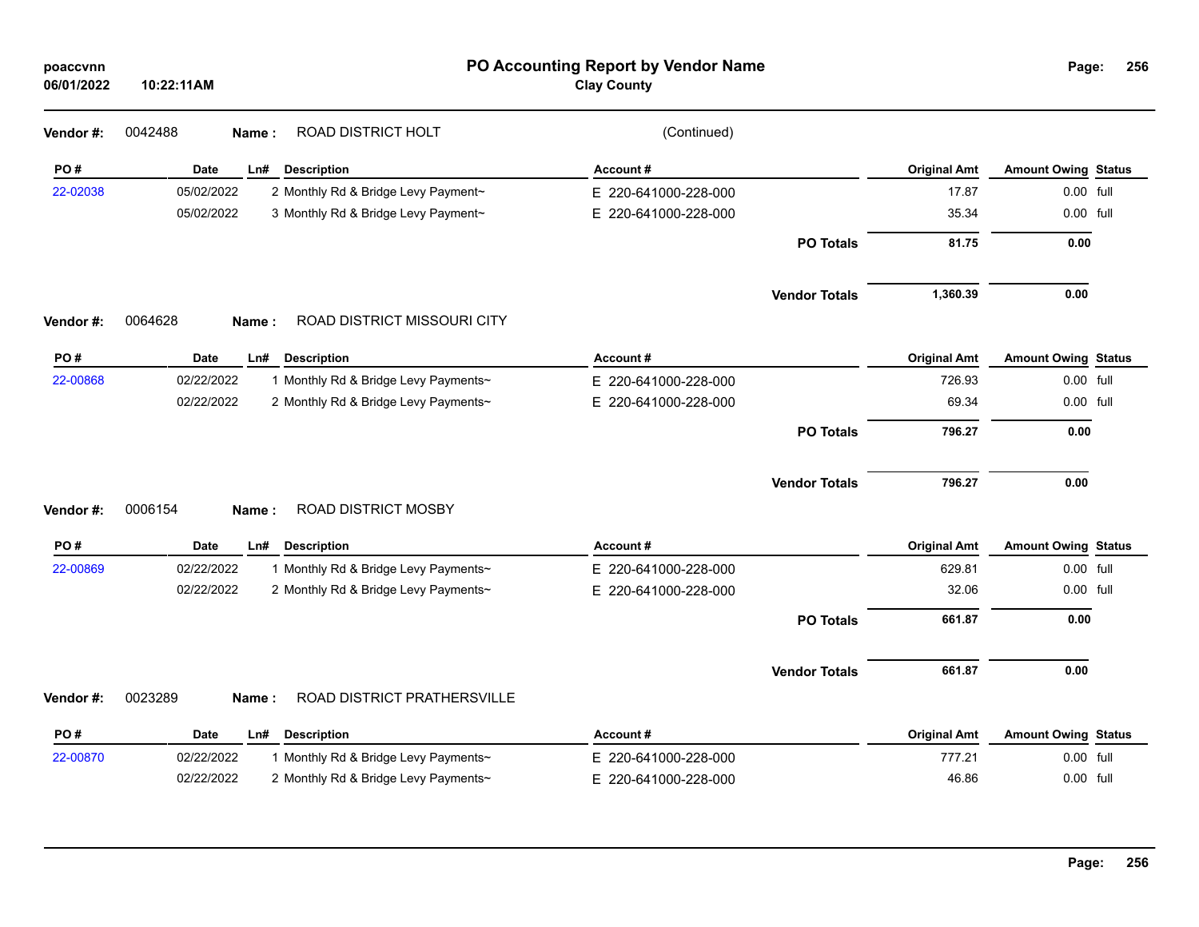| poaccvnn<br>06/01/2022 | 10:22:11AM                                         | PO Accounting Report by Vendor Name<br><b>Clay County</b> |                      |                     | Page:                      | 256 |
|------------------------|----------------------------------------------------|-----------------------------------------------------------|----------------------|---------------------|----------------------------|-----|
| Vendor#:               | ROAD DISTRICT HOLT<br>0042488<br>Name:             | (Continued)                                               |                      |                     |                            |     |
| PO#                    | Date<br>Ln#<br><b>Description</b>                  | Account#                                                  |                      | <b>Original Amt</b> | <b>Amount Owing Status</b> |     |
| 22-02038               | 05/02/2022<br>2 Monthly Rd & Bridge Levy Payment~  | E 220-641000-228-000                                      |                      | 17.87               | 0.00 full                  |     |
|                        | 05/02/2022<br>3 Monthly Rd & Bridge Levy Payment~  | E 220-641000-228-000                                      |                      | 35.34               | 0.00 full                  |     |
|                        |                                                    |                                                           | <b>PO Totals</b>     | 81.75               | 0.00                       |     |
|                        |                                                    |                                                           | <b>Vendor Totals</b> | 1,360.39            | 0.00                       |     |
| Vendor #:              | ROAD DISTRICT MISSOURI CITY<br>0064628<br>Name:    |                                                           |                      |                     |                            |     |
| PO#                    | Date<br>Ln#<br><b>Description</b>                  | Account#                                                  |                      | <b>Original Amt</b> | <b>Amount Owing Status</b> |     |
| 22-00868               | 02/22/2022<br>1 Monthly Rd & Bridge Levy Payments~ | E 220-641000-228-000                                      |                      | 726.93              | 0.00 full                  |     |
|                        | 02/22/2022<br>2 Monthly Rd & Bridge Levy Payments~ | E 220-641000-228-000                                      |                      | 69.34               | 0.00 full                  |     |
|                        |                                                    |                                                           | <b>PO Totals</b>     | 796.27              | 0.00                       |     |
|                        | ROAD DISTRICT MOSBY<br>0006154                     |                                                           | <b>Vendor Totals</b> | 796.27              | 0.00                       |     |
| Vendor#:               | Name:                                              |                                                           |                      |                     |                            |     |
| PO#                    | Date<br>Ln#<br><b>Description</b>                  | Account#                                                  |                      | <b>Original Amt</b> | <b>Amount Owing Status</b> |     |
| 22-00869               | 02/22/2022<br>1 Monthly Rd & Bridge Levy Payments~ | E 220-641000-228-000                                      |                      | 629.81              | 0.00 full                  |     |
|                        | 02/22/2022<br>2 Monthly Rd & Bridge Levy Payments~ | E 220-641000-228-000                                      |                      | 32.06               | 0.00 full                  |     |
|                        |                                                    |                                                           | <b>PO Totals</b>     | 661.87              | 0.00                       |     |
|                        |                                                    |                                                           | <b>Vendor Totals</b> | 661.87              | 0.00                       |     |
| Vendor #:              | 0023289<br>ROAD DISTRICT PRATHERSVILLE<br>Name:    |                                                           |                      |                     |                            |     |
| PO#                    | Date<br>Ln#<br><b>Description</b>                  | Account#                                                  |                      | <b>Original Amt</b> | <b>Amount Owing Status</b> |     |
| 22-00870               | 02/22/2022<br>1 Monthly Rd & Bridge Levy Payments~ | E 220-641000-228-000                                      |                      | 777.21              | 0.00 full                  |     |
|                        | 02/22/2022<br>2 Monthly Rd & Bridge Levy Payments~ | E 220-641000-228-000                                      |                      | 46.86               | 0.00 full                  |     |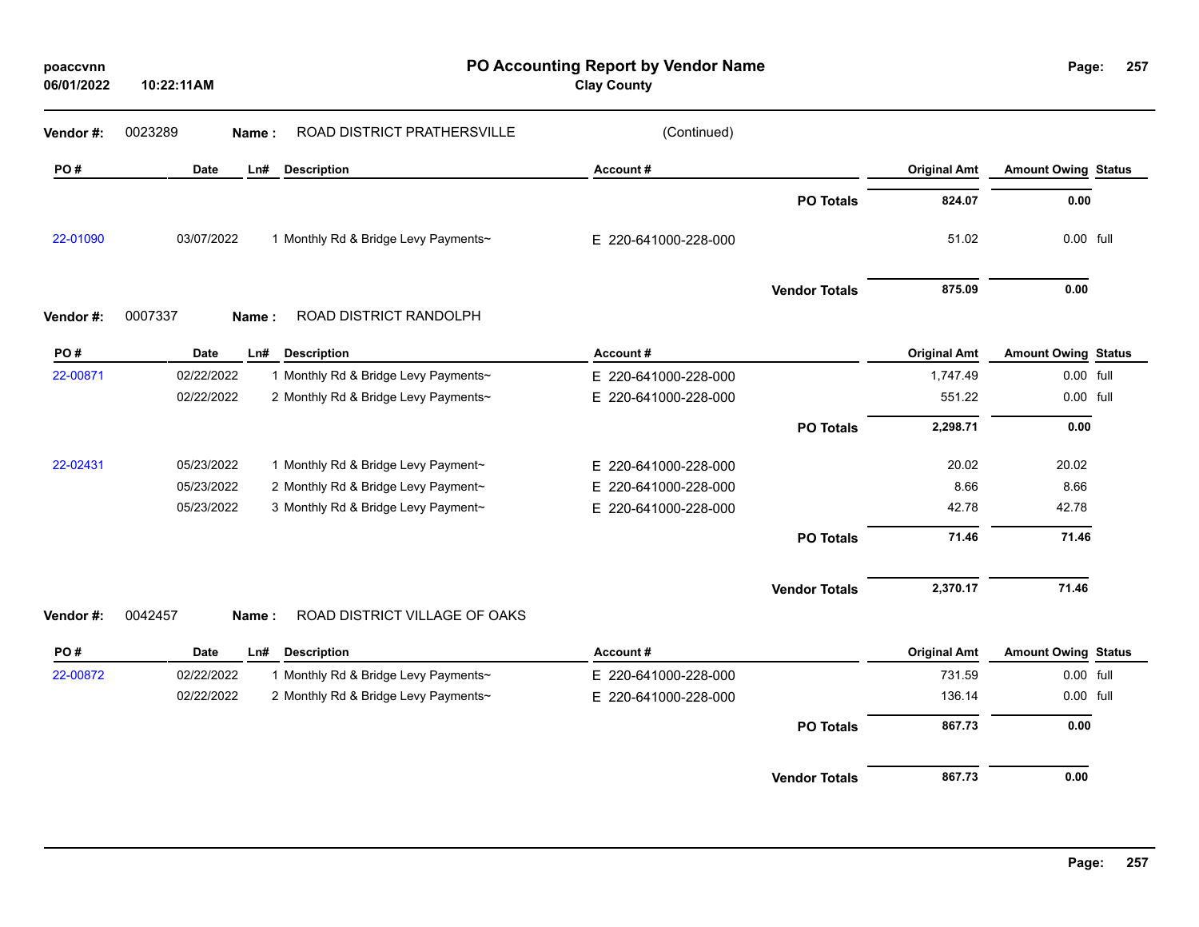| poaccvnn<br>06/01/2022 | 10:22:11AM                                         | PO Accounting Report by Vendor Name<br><b>Clay County</b> |                     | Page:                      | 257 |
|------------------------|----------------------------------------------------|-----------------------------------------------------------|---------------------|----------------------------|-----|
| Vendor#:               | 0023289<br>ROAD DISTRICT PRATHERSVILLE<br>Name:    | (Continued)                                               |                     |                            |     |
| PO#                    | Date<br>Ln#<br><b>Description</b>                  | Account#                                                  | <b>Original Amt</b> | <b>Amount Owing Status</b> |     |
|                        |                                                    | <b>PO Totals</b>                                          | 824.07              | 0.00                       |     |
| 22-01090               | 03/07/2022<br>1 Monthly Rd & Bridge Levy Payments~ | E 220-641000-228-000                                      | 51.02               | 0.00 full                  |     |
|                        |                                                    | <b>Vendor Totals</b>                                      | 875.09              | 0.00                       |     |
| Vendor#:               | ROAD DISTRICT RANDOLPH<br>0007337<br>Name:         |                                                           |                     |                            |     |
| PO#                    | Date<br><b>Description</b><br>Ln#                  | Account#                                                  | <b>Original Amt</b> | <b>Amount Owing Status</b> |     |
| 22-00871               | 02/22/2022<br>1 Monthly Rd & Bridge Levy Payments~ | E 220-641000-228-000                                      | 1,747.49            | 0.00 full                  |     |
|                        | 02/22/2022<br>2 Monthly Rd & Bridge Levy Payments~ | E 220-641000-228-000                                      | 551.22              | 0.00 full                  |     |
|                        |                                                    | <b>PO Totals</b>                                          | 2,298.71            | 0.00                       |     |
| 22-02431               | 05/23/2022<br>1 Monthly Rd & Bridge Levy Payment~  | E 220-641000-228-000                                      | 20.02               | 20.02                      |     |
|                        | 2 Monthly Rd & Bridge Levy Payment~<br>05/23/2022  | E 220-641000-228-000                                      | 8.66                | 8.66                       |     |
|                        | 05/23/2022<br>3 Monthly Rd & Bridge Levy Payment~  | E 220-641000-228-000                                      | 42.78               | 42.78                      |     |
|                        |                                                    | <b>PO Totals</b>                                          | 71.46               | 71.46                      |     |
|                        |                                                    | <b>Vendor Totals</b>                                      | 2,370.17            | 71.46                      |     |
| Vendor#:               | ROAD DISTRICT VILLAGE OF OAKS<br>0042457<br>Name:  |                                                           |                     |                            |     |
| PO#                    | Date<br>LnH<br><b>Description</b>                  | Account#                                                  | <b>Original Amt</b> | <b>Amount Owing Status</b> |     |
| 22-00872               | 02/22/2022<br>1 Monthly Rd & Bridge Levy Payments~ | E 220-641000-228-000                                      | 731.59              | 0.00 full                  |     |
|                        | 2 Monthly Rd & Bridge Levy Payments~<br>02/22/2022 | E 220-641000-228-000                                      | 136.14              | 0.00 full                  |     |
|                        |                                                    | <b>PO Totals</b>                                          | 867.73              | 0.00                       |     |
|                        |                                                    | <b>Vendor Totals</b>                                      | 867.73              | 0.00                       |     |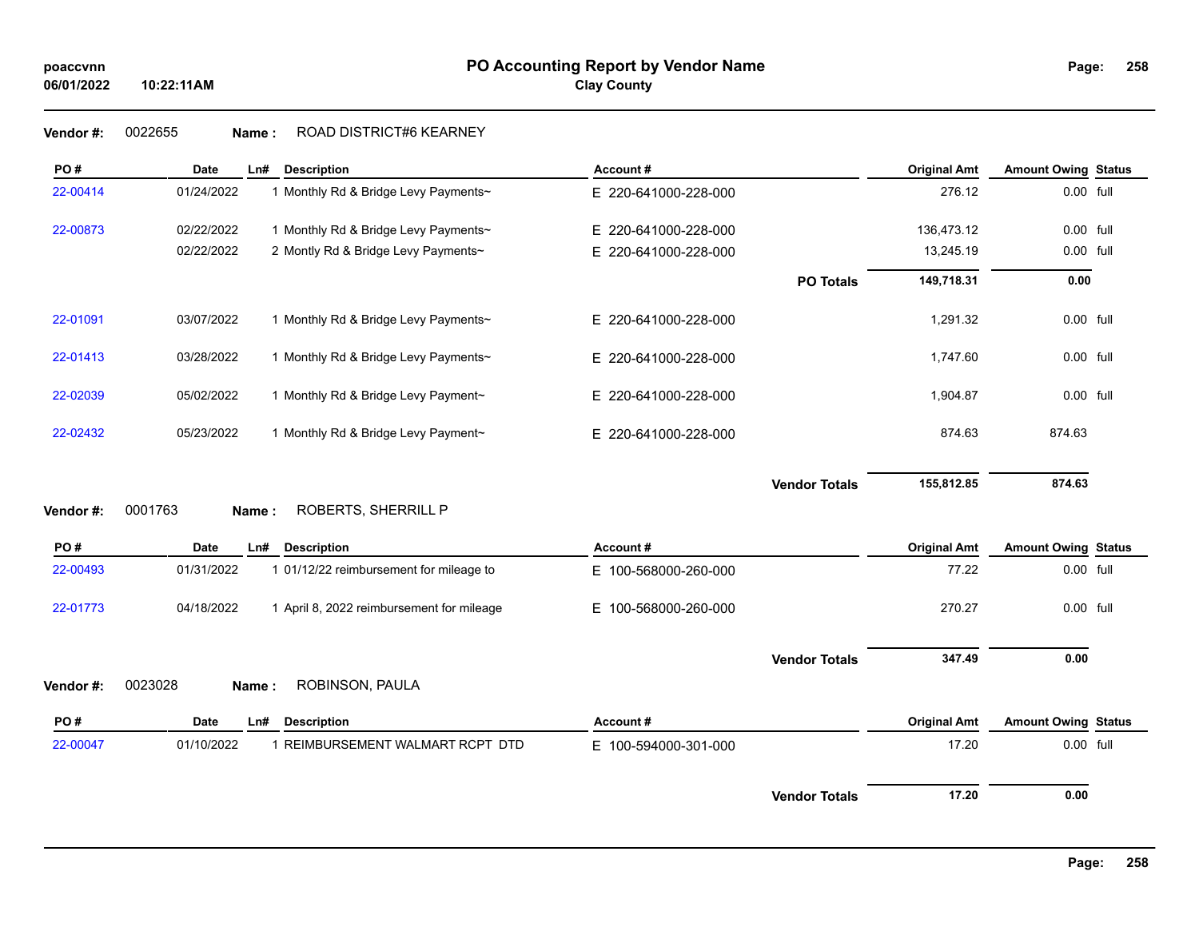# **258**

### **Vendor #:** 0022655 **Name :** ROAD DISTRICT#6 KEARNEY

| PO#       | <b>Date</b> | Ln#   | <b>Description</b>                        | Account#             |                      | <b>Original Amt</b> | <b>Amount Owing Status</b> |  |
|-----------|-------------|-------|-------------------------------------------|----------------------|----------------------|---------------------|----------------------------|--|
| 22-00414  | 01/24/2022  |       | 1 Monthly Rd & Bridge Levy Payments~      | E 220-641000-228-000 |                      | 276.12              | 0.00 full                  |  |
| 22-00873  | 02/22/2022  |       | 1 Monthly Rd & Bridge Levy Payments~      | E 220-641000-228-000 |                      | 136,473.12          | 0.00 full                  |  |
|           | 02/22/2022  |       | 2 Montly Rd & Bridge Levy Payments~       | E 220-641000-228-000 |                      | 13,245.19           | 0.00 full                  |  |
|           |             |       |                                           |                      | <b>PO Totals</b>     | 149,718.31          | 0.00                       |  |
| 22-01091  | 03/07/2022  |       | 1 Monthly Rd & Bridge Levy Payments~      | E 220-641000-228-000 |                      | 1,291.32            | 0.00 full                  |  |
| 22-01413  | 03/28/2022  |       | 1 Monthly Rd & Bridge Levy Payments~      | E 220-641000-228-000 |                      | 1,747.60            | 0.00 full                  |  |
| 22-02039  | 05/02/2022  |       | 1 Monthly Rd & Bridge Levy Payment~       | E 220-641000-228-000 |                      | 1,904.87            | 0.00 full                  |  |
| 22-02432  | 05/23/2022  |       | 1 Monthly Rd & Bridge Levy Payment~       | E 220-641000-228-000 |                      | 874.63              | 874.63                     |  |
| Vendor #: | 0001763     | Name: | ROBERTS, SHERRILL P                       |                      | <b>Vendor Totals</b> | 155,812.85          | 874.63                     |  |
| PO#       | <b>Date</b> | Ln#   | <b>Description</b>                        | Account#             |                      | <b>Original Amt</b> | <b>Amount Owing Status</b> |  |
| 22-00493  | 01/31/2022  |       | 1 01/12/22 reimbursement for mileage to   | E 100-568000-260-000 |                      | 77.22               | 0.00 full                  |  |
| 22-01773  | 04/18/2022  |       | 1 April 8, 2022 reimbursement for mileage | E 100-568000-260-000 |                      | 270.27              | 0.00 full                  |  |
|           |             |       |                                           |                      | <b>Vendor Totals</b> | 347.49              | 0.00                       |  |
| Vendor #: | 0023028     | Name: | ROBINSON, PAULA                           |                      |                      |                     |                            |  |
| PO#       | <b>Date</b> | Ln#   | <b>Description</b>                        | Account#             |                      | <b>Original Amt</b> | <b>Amount Owing Status</b> |  |
| 22-00047  | 01/10/2022  |       | 1 REIMBURSEMENT WALMART RCPT DTD          | E 100-594000-301-000 |                      | 17.20               | 0.00 full                  |  |
|           |             |       |                                           |                      | <b>Vendor Totals</b> | 17.20               | 0.00                       |  |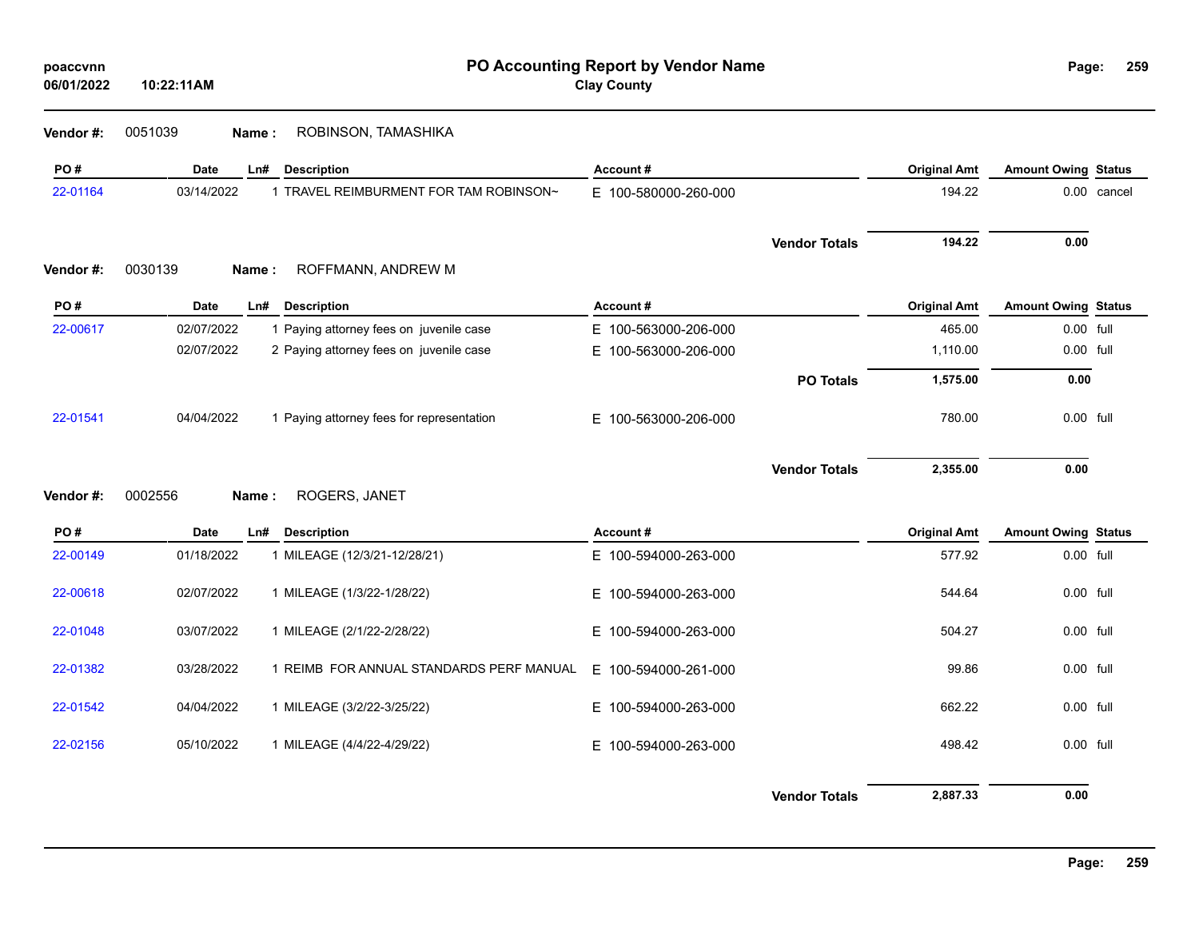| poaccvnn<br>06/01/2022 | PO Accounting Report by Vendor Name<br><b>Clay County</b><br>10:22:11AM |                                           |                      |                      |                     | Page:<br>259               |             |  |
|------------------------|-------------------------------------------------------------------------|-------------------------------------------|----------------------|----------------------|---------------------|----------------------------|-------------|--|
| Vendor#:               | 0051039                                                                 | ROBINSON, TAMASHIKA<br>Name:              |                      |                      |                     |                            |             |  |
| PO#                    | Date                                                                    | Ln#<br><b>Description</b>                 | Account#             |                      | <b>Original Amt</b> | <b>Amount Owing Status</b> |             |  |
| 22-01164               | 03/14/2022                                                              | 1 TRAVEL REIMBURMENT FOR TAM ROBINSON~    | E 100-580000-260-000 |                      | 194.22              |                            | 0.00 cancel |  |
| Vendor #:              | 0030139                                                                 | ROFFMANN, ANDREW M<br>Name:               |                      | <b>Vendor Totals</b> | 194.22              | 0.00                       |             |  |
| PO#                    | Date                                                                    | Ln#<br><b>Description</b>                 | Account#             |                      | <b>Original Amt</b> | <b>Amount Owing Status</b> |             |  |
| 22-00617               | 02/07/2022                                                              | 1 Paying attorney fees on juvenile case   | E 100-563000-206-000 |                      | 465.00              | 0.00 full                  |             |  |
|                        | 02/07/2022                                                              | 2 Paying attorney fees on juvenile case   | E 100-563000-206-000 |                      | 1,110.00            | 0.00 full                  |             |  |
|                        |                                                                         |                                           |                      | <b>PO Totals</b>     | 1,575.00            | 0.00                       |             |  |
| 22-01541               | 04/04/2022                                                              | 1 Paying attorney fees for representation | E 100-563000-206-000 |                      | 780.00              | 0.00 full                  |             |  |
| Vendor#:               | 0002556                                                                 | ROGERS, JANET<br>Name:                    |                      | <b>Vendor Totals</b> | 2,355.00            | 0.00                       |             |  |
|                        |                                                                         |                                           |                      |                      |                     |                            |             |  |
| PO#                    | <b>Date</b>                                                             | <b>Description</b><br>Ln#                 | Account#             |                      | <b>Original Amt</b> | <b>Amount Owing Status</b> |             |  |
| 22-00149               | 01/18/2022                                                              | 1 MILEAGE (12/3/21-12/28/21)              | E 100-594000-263-000 |                      | 577.92              | 0.00 full                  |             |  |
| 22-00618               | 02/07/2022                                                              | 1 MILEAGE (1/3/22-1/28/22)                | E 100-594000-263-000 |                      | 544.64              | 0.00 full                  |             |  |
| 22-01048               | 03/07/2022                                                              | 1 MILEAGE (2/1/22-2/28/22)                | E 100-594000-263-000 |                      | 504.27              | 0.00 full                  |             |  |
| 22-01382               | 03/28/2022                                                              | 1 REIMB FOR ANNUAL STANDARDS PERF MANUAL  | E 100-594000-261-000 |                      | 99.86               | 0.00 full                  |             |  |
| 22-01542               | 04/04/2022                                                              | 1 MILEAGE (3/2/22-3/25/22)                | E 100-594000-263-000 |                      | 662.22              | 0.00 full                  |             |  |
| 22-02156               | 05/10/2022                                                              | 1 MILEAGE (4/4/22-4/29/22)                | E 100-594000-263-000 |                      | 498.42              | 0.00 full                  |             |  |
|                        |                                                                         |                                           |                      | <b>Vendor Totals</b> | 2,887.33            | 0.00                       |             |  |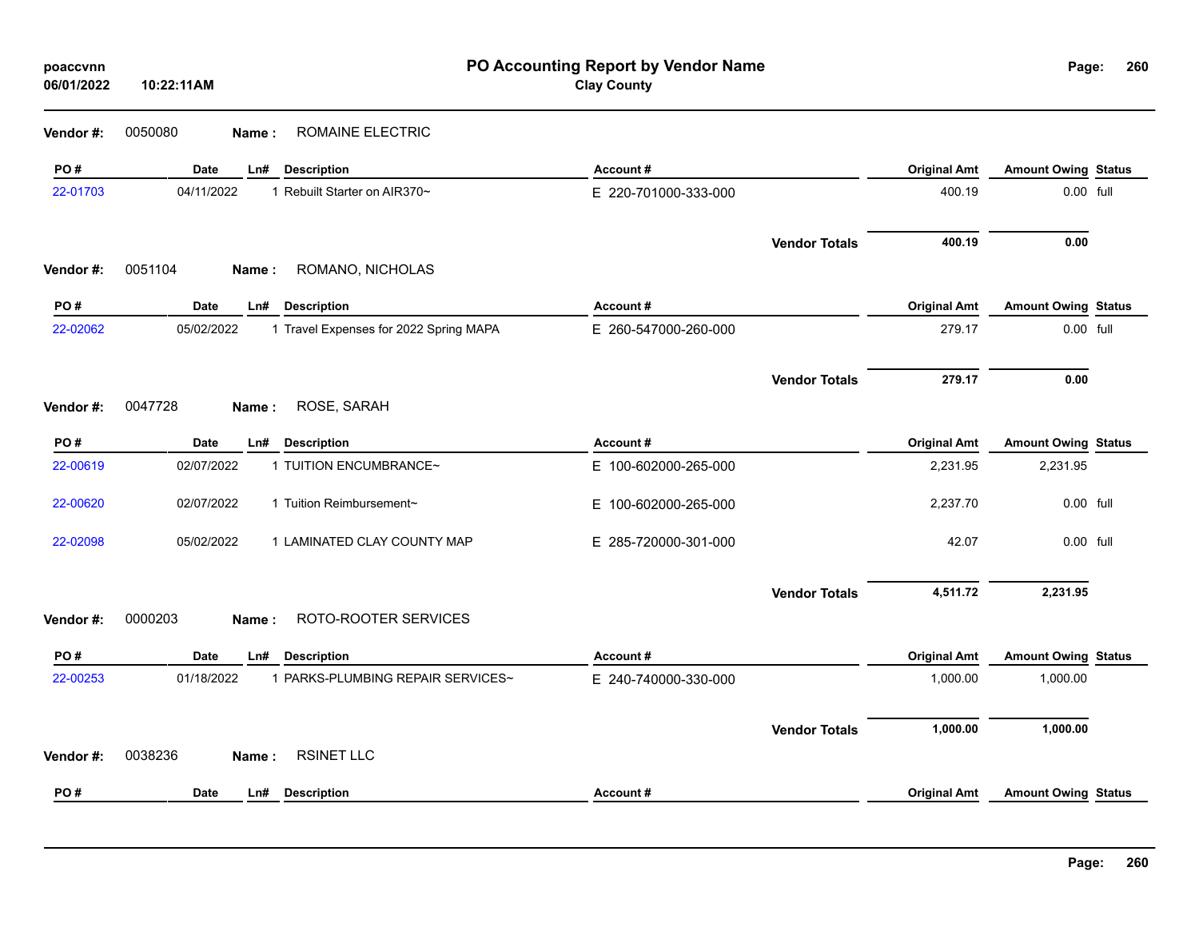| poaccvnn<br>06/01/2022 | PO Accounting Report by Vendor Name<br><b>Clay County</b><br>10:22:11AM<br>ROMAINE ELECTRIC<br>0050080<br>Name: |                                        |                      |                      |                     | Page:                      | 26 |
|------------------------|-----------------------------------------------------------------------------------------------------------------|----------------------------------------|----------------------|----------------------|---------------------|----------------------------|----|
| Vendor #:              |                                                                                                                 |                                        |                      |                      |                     |                            |    |
| PO#                    | Date<br>Ln#<br><b>Description</b>                                                                               |                                        | Account#             |                      | <b>Original Amt</b> | <b>Amount Owing Status</b> |    |
| 22-01703               | 04/11/2022<br>1 Rebuilt Starter on AIR370~                                                                      |                                        | E 220-701000-333-000 |                      | 400.19              | 0.00 full                  |    |
| Vendor #:              | 0051104<br>Name:                                                                                                | ROMANO, NICHOLAS                       |                      | <b>Vendor Totals</b> | 400.19              | 0.00                       |    |
| PO#                    | Date<br>Ln#<br><b>Description</b>                                                                               |                                        | Account#             |                      | <b>Original Amt</b> | <b>Amount Owing Status</b> |    |
| 22-02062               | 05/02/2022                                                                                                      | 1 Travel Expenses for 2022 Spring MAPA | E 260-547000-260-000 |                      | 279.17              | 0.00 full                  |    |
|                        |                                                                                                                 |                                        |                      | <b>Vendor Totals</b> | 279.17              | 0.00                       |    |
| Vendor #:              | 0047728<br>ROSE, SARAH<br>Name :                                                                                |                                        |                      |                      |                     |                            |    |
| PO#                    | <b>Description</b><br>Date<br>Ln#                                                                               |                                        | Account#             |                      | <b>Original Amt</b> | <b>Amount Owing Status</b> |    |
| 22-00619               | 02/07/2022<br>1 TUITION ENCUMBRANCE~                                                                            |                                        | E 100-602000-265-000 |                      | 2,231.95            | 2,231.95                   |    |
| 22-00620               | 02/07/2022<br>1 Tuition Reimbursement~                                                                          |                                        | E 100-602000-265-000 |                      | 2,237.70            | 0.00 full                  |    |
| 22-02098               | 05/02/2022                                                                                                      | 1 LAMINATED CLAY COUNTY MAP            | E 285-720000-301-000 |                      | 42.07               | 0.00 full                  |    |
|                        |                                                                                                                 |                                        |                      | <b>Vendor Totals</b> | 4,511.72            | 2,231.95                   |    |
| Vendor #:              | 0000203<br>Name:                                                                                                | ROTO-ROOTER SERVICES                   |                      |                      |                     |                            |    |
| PO#                    | Date<br><b>Description</b><br>Ln#                                                                               |                                        | Account#             |                      | <b>Original Amt</b> | <b>Amount Owing Status</b> |    |
| 22-00253               | 01/18/2022                                                                                                      | 1 PARKS-PLUMBING REPAIR SERVICES~      | E 240-740000-330-000 |                      | 1,000.00            | 1,000.00                   |    |
| Vendor #:              | 0038236<br><b>RSINET LLC</b><br>Name:                                                                           |                                        |                      | <b>Vendor Totals</b> | 1,000.00            | 1,000.00                   |    |
| PO#                    | <b>Date</b><br><b>Description</b><br>Ln#                                                                        |                                        | Account#             |                      | <b>Original Amt</b> | <b>Amount Owing Status</b> |    |
|                        |                                                                                                                 |                                        |                      |                      |                     |                            |    |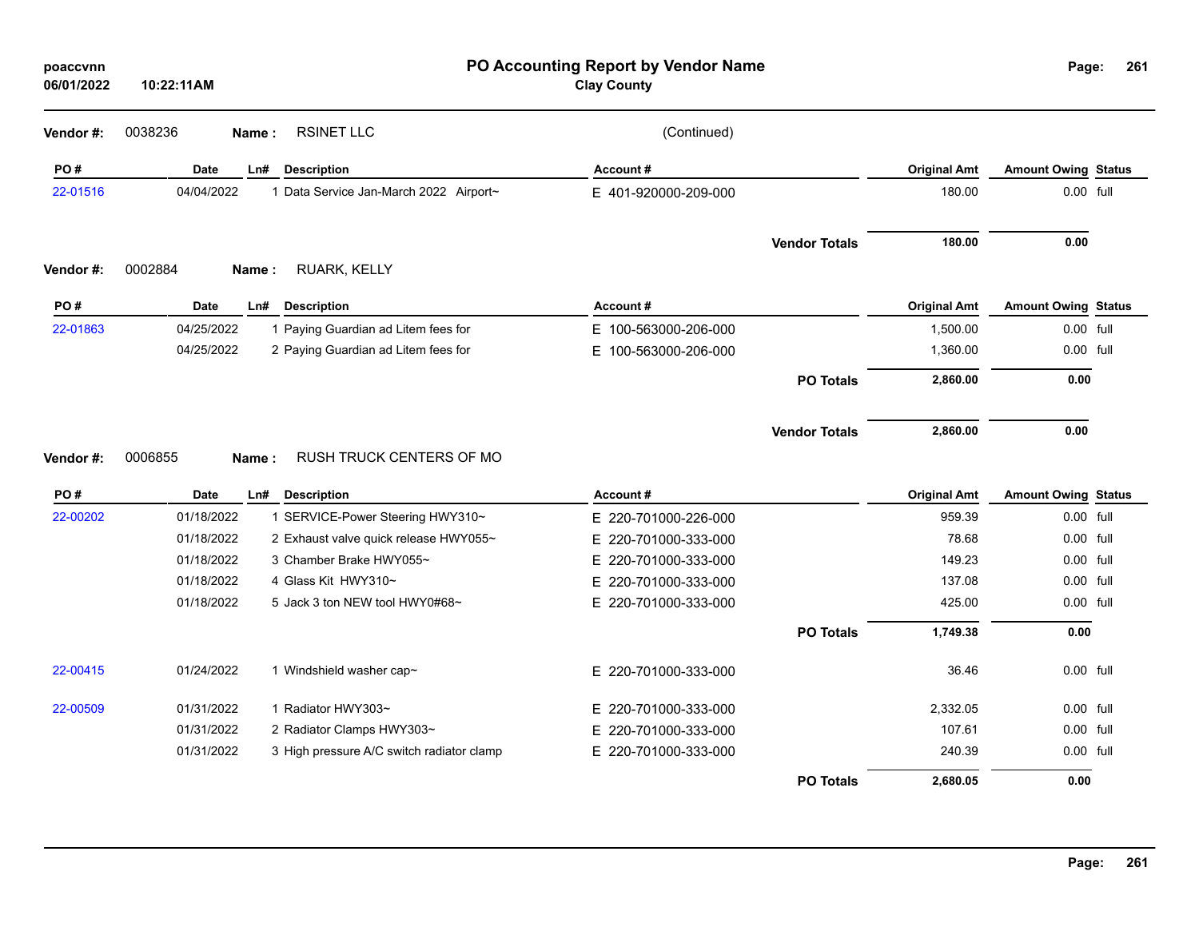| poaccvnn<br>06/01/2022 | 10:22:11AM  |                                           | PO Accounting Report by Vendor Name<br><b>Clay County</b> |                      |                     | Page:                      | 261 |
|------------------------|-------------|-------------------------------------------|-----------------------------------------------------------|----------------------|---------------------|----------------------------|-----|
| Vendor #:              | 0038236     | <b>RSINET LLC</b><br>Name:                | (Continued)                                               |                      |                     |                            |     |
| PO#                    | <b>Date</b> | Ln#<br><b>Description</b>                 | Account#                                                  |                      | <b>Original Amt</b> | <b>Amount Owing Status</b> |     |
| 22-01516               | 04/04/2022  | 1 Data Service Jan-March 2022 Airport~    | E 401-920000-209-000                                      |                      | 180.00              | $0.00$ full                |     |
|                        |             |                                           |                                                           | <b>Vendor Totals</b> | 180.00              | 0.00                       |     |
| Vendor #:              | 0002884     | RUARK, KELLY<br>Name:                     |                                                           |                      |                     |                            |     |
| PO#                    | Date        | Ln#<br><b>Description</b>                 | Account#                                                  |                      | <b>Original Amt</b> | <b>Amount Owing Status</b> |     |
| 22-01863               | 04/25/2022  | 1 Paying Guardian ad Litem fees for       | E 100-563000-206-000                                      |                      | 1,500.00            | 0.00 full                  |     |
|                        | 04/25/2022  | 2 Paying Guardian ad Litem fees for       | E.<br>100-563000-206-000                                  |                      | 1,360.00            | 0.00 full                  |     |
|                        |             |                                           |                                                           | <b>PO Totals</b>     | 2,860.00            | $0.00\,$                   |     |
| Vendor #:              | 0006855     | RUSH TRUCK CENTERS OF MO<br>Name:         |                                                           | <b>Vendor Totals</b> | 2,860.00            | 0.00                       |     |
| PO#                    | Date        | <b>Description</b><br>Ln#                 | Account#                                                  |                      | <b>Original Amt</b> | <b>Amount Owing Status</b> |     |
| 22-00202               | 01/18/2022  | 1 SERVICE-Power Steering HWY310~          | E 220-701000-226-000                                      |                      | 959.39              | 0.00 full                  |     |
|                        | 01/18/2022  | 2 Exhaust valve quick release HWY055~     | Е.<br>220-701000-333-000                                  |                      | 78.68               | 0.00 full                  |     |
|                        | 01/18/2022  | 3 Chamber Brake HWY055~                   | 220-701000-333-000<br>E.                                  |                      | 149.23              | 0.00 full                  |     |
|                        | 01/18/2022  | 4 Glass Kit HWY310~                       | 220-701000-333-000<br>E.                                  |                      | 137.08              | 0.00 full                  |     |
|                        | 01/18/2022  | 5 Jack 3 ton NEW tool HWY0#68~            | E 220-701000-333-000                                      |                      | 425.00              | 0.00 full                  |     |
|                        |             |                                           |                                                           | <b>PO Totals</b>     | 1,749.38            | 0.00                       |     |
| 22-00415               | 01/24/2022  | 1 Windshield washer cap~                  | E 220-701000-333-000                                      |                      | 36.46               | 0.00 full                  |     |
| 22-00509               | 01/31/2022  | 1 Radiator HWY303~                        | 220-701000-333-000<br>Е.                                  |                      | 2,332.05            | 0.00 full                  |     |
|                        | 01/31/2022  | 2 Radiator Clamps HWY303~                 | 220-701000-333-000<br>E.                                  |                      | 107.61              | 0.00 full                  |     |
|                        | 01/31/2022  | 3 High pressure A/C switch radiator clamp | E 220-701000-333-000                                      |                      | 240.39              | $0.00$ full                |     |
|                        |             |                                           |                                                           | <b>PO Totals</b>     | 2,680.05            | 0.00                       |     |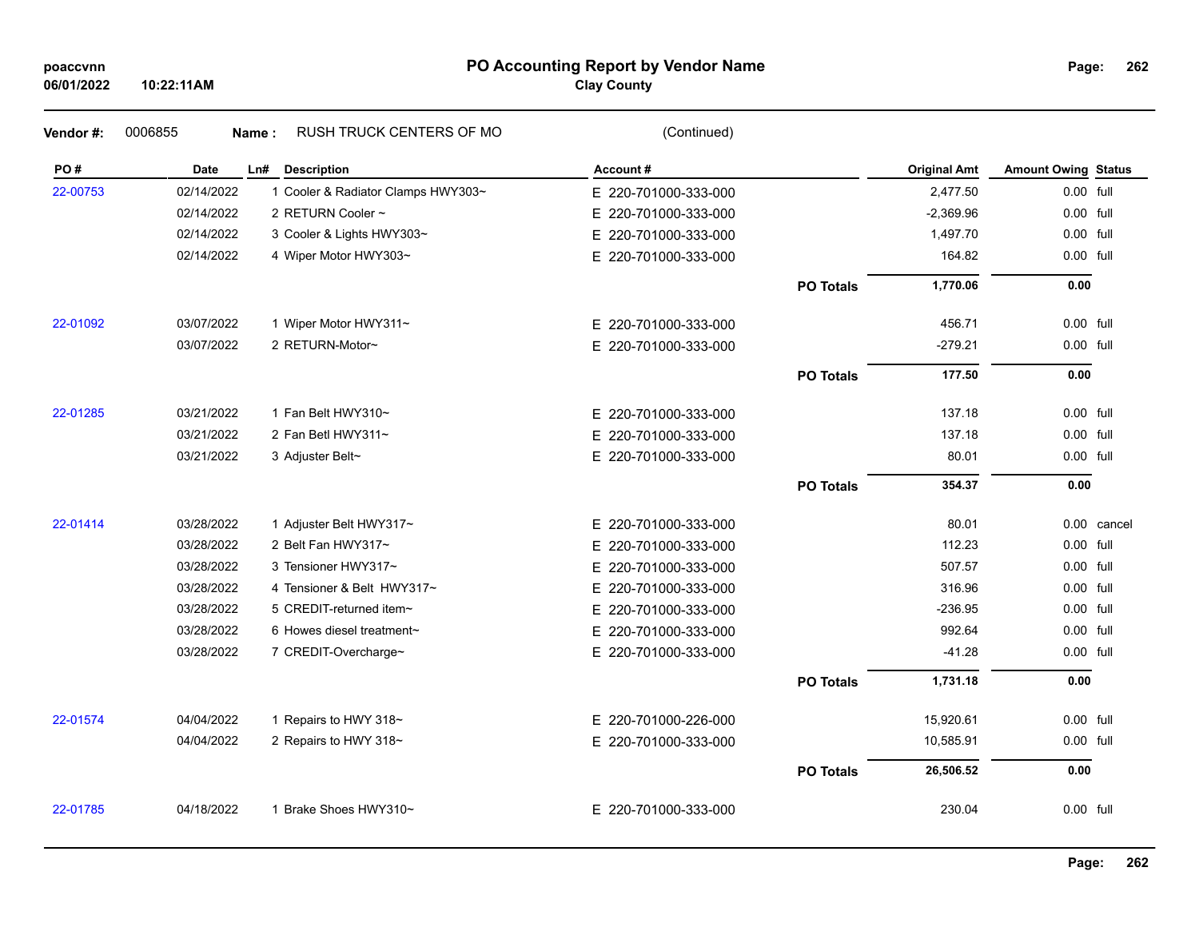### **PO Accounting Report by Vendor Name poaccvnn Page:**

**Clay County**

| Vendor#: | 0006855    | RUSH TRUCK CENTERS OF MO<br>Name:  | (Continued)              |                  |                     |                            |             |
|----------|------------|------------------------------------|--------------------------|------------------|---------------------|----------------------------|-------------|
| PO#      | Date       | Ln#<br><b>Description</b>          | Account#                 |                  | <b>Original Amt</b> | <b>Amount Owing Status</b> |             |
| 22-00753 | 02/14/2022 | 1 Cooler & Radiator Clamps HWY303~ | E 220-701000-333-000     |                  | 2,477.50            | 0.00 full                  |             |
|          | 02/14/2022 | 2 RETURN Cooler ~                  | E.<br>220-701000-333-000 |                  | $-2,369.96$         | 0.00 full                  |             |
|          | 02/14/2022 | 3 Cooler & Lights HWY303~          | E.<br>220-701000-333-000 |                  | 1,497.70            | 0.00 full                  |             |
|          | 02/14/2022 | 4 Wiper Motor HWY303~              | E 220-701000-333-000     |                  | 164.82              | 0.00 full                  |             |
|          |            |                                    |                          | <b>PO Totals</b> | 1,770.06            | 0.00                       |             |
| 22-01092 | 03/07/2022 | 1 Wiper Motor HWY311~              | E 220-701000-333-000     |                  | 456.71              | 0.00 full                  |             |
|          | 03/07/2022 | 2 RETURN-Motor~                    | E 220-701000-333-000     |                  | $-279.21$           | 0.00 full                  |             |
|          |            |                                    |                          | <b>PO Totals</b> | 177.50              | 0.00                       |             |
| 22-01285 | 03/21/2022 | 1 Fan Belt HWY310~                 | E 220-701000-333-000     |                  | 137.18              | $0.00$ full                |             |
|          | 03/21/2022 | 2 Fan Betl HWY311~                 | 220-701000-333-000<br>E. |                  | 137.18              | 0.00 full                  |             |
|          | 03/21/2022 | 3 Adjuster Belt~                   | E 220-701000-333-000     |                  | 80.01               | 0.00 full                  |             |
|          |            |                                    |                          | <b>PO Totals</b> | 354.37              | 0.00                       |             |
| 22-01414 | 03/28/2022 | 1 Adjuster Belt HWY317~            | E 220-701000-333-000     |                  | 80.01               |                            | 0.00 cancel |
|          | 03/28/2022 | 2 Belt Fan HWY317~                 | E.<br>220-701000-333-000 |                  | 112.23              | 0.00 full                  |             |
|          | 03/28/2022 | 3 Tensioner HWY317~                | E 220-701000-333-000     |                  | 507.57              | 0.00 full                  |             |
|          | 03/28/2022 | 4 Tensioner & Belt HWY317~         | E 220-701000-333-000     |                  | 316.96              | 0.00 full                  |             |
|          | 03/28/2022 | 5 CREDIT-returned item~            | E 220-701000-333-000     |                  | -236.95             | 0.00 full                  |             |
|          | 03/28/2022 | 6 Howes diesel treatment~          | E.<br>220-701000-333-000 |                  | 992.64              | $0.00$ full                |             |
|          | 03/28/2022 | 7 CREDIT-Overcharge~               | E 220-701000-333-000     |                  | $-41.28$            | 0.00 full                  |             |
|          |            |                                    |                          | <b>PO Totals</b> | 1,731.18            | 0.00                       |             |
| 22-01574 | 04/04/2022 | 1 Repairs to HWY 318~              | E 220-701000-226-000     |                  | 15,920.61           | 0.00 full                  |             |
|          | 04/04/2022 | 2 Repairs to HWY 318~              | E 220-701000-333-000     |                  | 10,585.91           | 0.00 full                  |             |
|          |            |                                    |                          | <b>PO Totals</b> | 26,506.52           | 0.00                       |             |
| 22-01785 | 04/18/2022 | 1 Brake Shoes HWY310~              | E 220-701000-333-000     |                  | 230.04              | 0.00 full                  |             |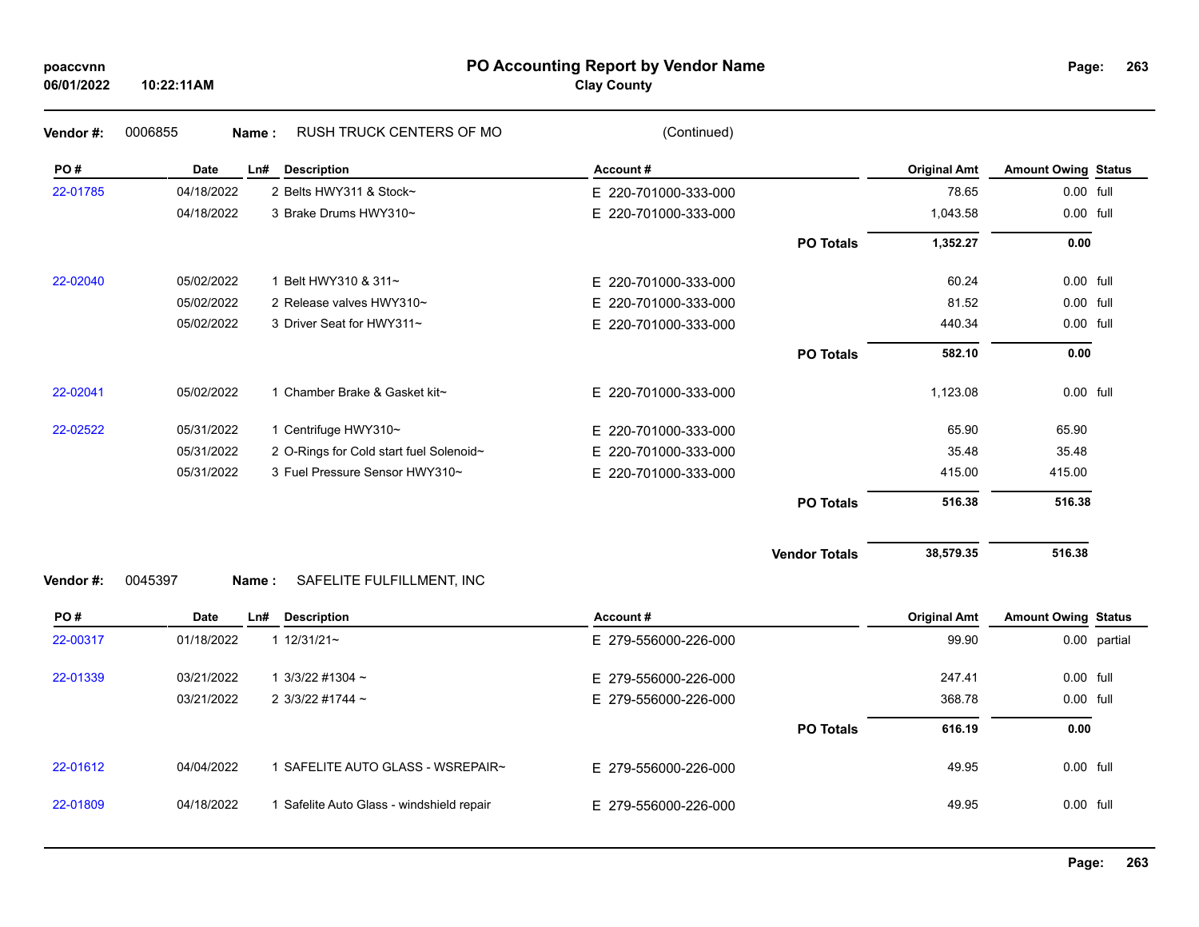# **PO Accounting Report by Vendor Name poaccvnn Page:**

# **Clay County**

| Page: | 263 |
|-------|-----|
|       |     |

| PO#      | <b>Date</b> | <b>Description</b><br>Ln#               | Account#             |                  | <b>Original Amt</b> | <b>Amount Owing Status</b> |  |
|----------|-------------|-----------------------------------------|----------------------|------------------|---------------------|----------------------------|--|
| 22-01785 | 04/18/2022  | 2 Belts HWY311 & Stock~                 | E 220-701000-333-000 |                  | 78.65               | 0.00 full                  |  |
|          | 04/18/2022  | 3 Brake Drums HWY310~                   | E 220-701000-333-000 |                  | 1,043.58            | 0.00 full                  |  |
|          |             |                                         |                      | <b>PO Totals</b> | 1,352.27            | 0.00                       |  |
| 22-02040 | 05/02/2022  | Belt HWY310 & 311~                      | E 220-701000-333-000 |                  | 60.24               | 0.00 full                  |  |
|          | 05/02/2022  | 2 Release valves HWY310~                | E 220-701000-333-000 |                  | 81.52               | 0.00 full                  |  |
|          | 05/02/2022  | 3 Driver Seat for HWY311~               | E 220-701000-333-000 |                  | 440.34              | 0.00 full                  |  |
|          |             |                                         |                      | <b>PO Totals</b> | 582.10              | 0.00                       |  |
| 22-02041 | 05/02/2022  | 1 Chamber Brake & Gasket kit~           | E 220-701000-333-000 |                  | 1,123.08            | 0.00 full                  |  |
| 22-02522 | 05/31/2022  | 1 Centrifuge HWY310~                    | E 220-701000-333-000 |                  | 65.90               | 65.90                      |  |
|          | 05/31/2022  | 2 O-Rings for Cold start fuel Solenoid~ | E 220-701000-333-000 |                  | 35.48               | 35.48                      |  |
|          | 05/31/2022  | 3 Fuel Pressure Sensor HWY310~          | E 220-701000-333-000 |                  | 415.00              | 415.00                     |  |
|          |             |                                         |                      | <b>PO Totals</b> | 516.38              | 516.38                     |  |

**Vendor Totals** 38,579.35 516.38

# **Vendor #:** 0045397 **Name :** SAFELITE FULFILLMENT, INC

| PO#      | Date       | Ln# | <b>Description</b>                      | Account#             | <b>Original Amt</b> | <b>Amount Owing Status</b> |              |
|----------|------------|-----|-----------------------------------------|----------------------|---------------------|----------------------------|--------------|
| 22-00317 | 01/18/2022 |     | 1 $12/31/21$ ~                          | E 279-556000-226-000 | 99.90               |                            | 0.00 partial |
| 22-01339 | 03/21/2022 |     | $1.3/3/22$ #1304 ~                      | E 279-556000-226-000 | 247.41              | 0.00 full                  |              |
|          | 03/21/2022 |     | 2 3/3/22 #1744 $\sim$                   | E 279-556000-226-000 | 368.78              | 0.00 full                  |              |
|          |            |     |                                         | <b>PO Totals</b>     | 616.19              | 0.00                       |              |
| 22-01612 | 04/04/2022 |     | SAFELITE AUTO GLASS - WSREPAIR~         | E 279-556000-226-000 | 49.95               | $0.00$ full                |              |
| 22-01809 | 04/18/2022 |     | Safelite Auto Glass - windshield repair | E 279-556000-226-000 | 49.95               | 0.00 full                  |              |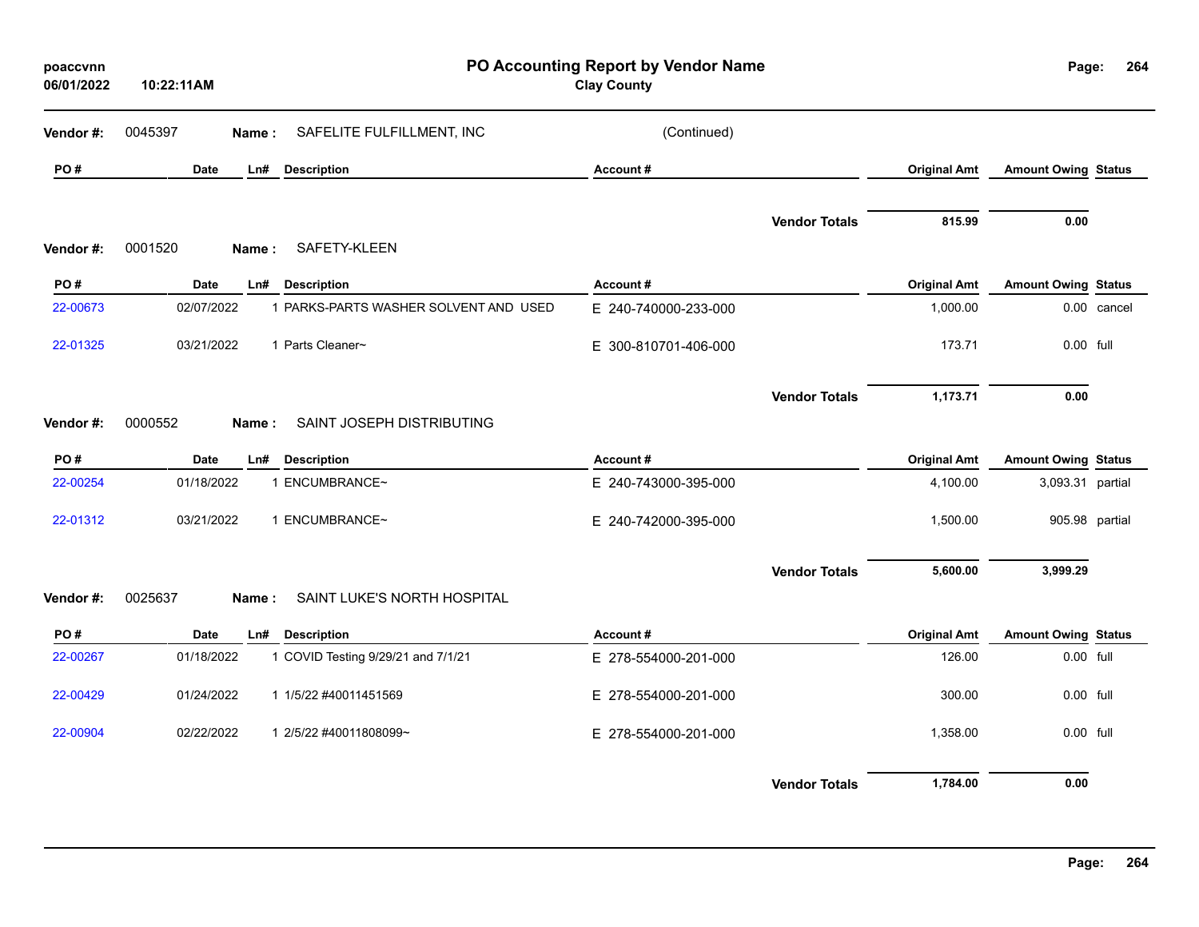| poaccvnn<br>06/01/2022 | 10:22:11AM       | PO Accounting Report by Vendor Name<br><b>Clay County</b> |                      |                      |                     |                            | Page:<br>264 |
|------------------------|------------------|-----------------------------------------------------------|----------------------|----------------------|---------------------|----------------------------|--------------|
| Vendor #:              | 0045397<br>Name: | SAFELITE FULFILLMENT, INC                                 | (Continued)          |                      |                     |                            |              |
| PO#                    | Date<br>Ln#      | <b>Description</b>                                        | Account#             |                      | <b>Original Amt</b> | <b>Amount Owing Status</b> |              |
| Vendor#:               | 0001520<br>Name: | SAFETY-KLEEN                                              |                      | <b>Vendor Totals</b> | 815.99              | 0.00                       |              |
| PO#                    | Date<br>Ln#      | <b>Description</b>                                        | Account#             |                      | <b>Original Amt</b> | <b>Amount Owing Status</b> |              |
| 22-00673               | 02/07/2022       | 1 PARKS-PARTS WASHER SOLVENT AND USED                     | E 240-740000-233-000 |                      | 1,000.00            |                            | 0.00 cancel  |
| 22-01325               | 03/21/2022       | 1 Parts Cleaner~                                          | E 300-810701-406-000 |                      | 173.71              | 0.00 full                  |              |
| Vendor #:              | 0000552<br>Name: | SAINT JOSEPH DISTRIBUTING                                 |                      | <b>Vendor Totals</b> | 1,173.71            | 0.00                       |              |
| PO#                    | Date<br>Ln#      | <b>Description</b>                                        | Account#             |                      | <b>Original Amt</b> | <b>Amount Owing Status</b> |              |
| 22-00254               | 01/18/2022       | 1 ENCUMBRANCE~                                            | E 240-743000-395-000 |                      | 4,100.00            | 3,093.31 partial           |              |
| 22-01312               | 03/21/2022       | 1 ENCUMBRANCE~                                            | E 240-742000-395-000 |                      | 1,500.00            | 905.98 partial             |              |
| Vendor #:              | 0025637<br>Name: | SAINT LUKE'S NORTH HOSPITAL                               |                      | <b>Vendor Totals</b> | 5,600.00            | 3,999.29                   |              |
| PO#                    | Date<br>Ln#      | <b>Description</b>                                        | Account#             |                      | <b>Original Amt</b> | <b>Amount Owing Status</b> |              |
| 22-00267               | 01/18/2022       | 1 COVID Testing 9/29/21 and 7/1/21                        | E 278-554000-201-000 |                      | 126.00              | 0.00 full                  |              |
| 22-00429               | 01/24/2022       | 1 1/5/22 #40011451569                                     | E 278-554000-201-000 |                      | 300.00              | 0.00 full                  |              |
| 22-00904               | 02/22/2022       | 1 2/5/22 #40011808099~                                    | E 278-554000-201-000 |                      | 1,358.00            | 0.00 full                  |              |
|                        |                  |                                                           |                      | <b>Vendor Totals</b> | 1,784.00            | 0.00                       |              |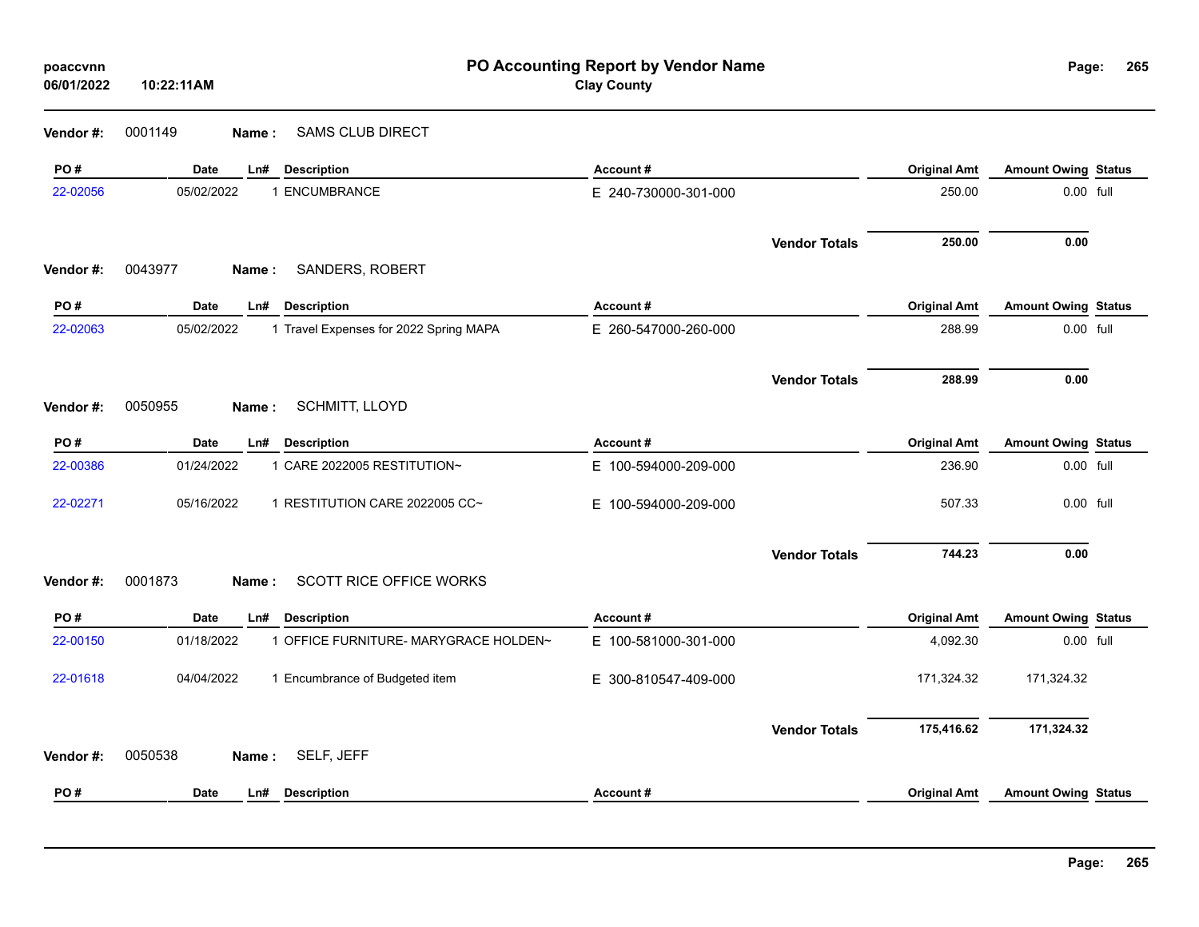| poaccvnn<br>06/01/2022 | 10:22:11AM         | PO Accounting Report by Vendor Name<br><b>Clay County</b> |                      |                      |                     |                            | 265<br>Page: |
|------------------------|--------------------|-----------------------------------------------------------|----------------------|----------------------|---------------------|----------------------------|--------------|
| Vendor#:               | 0001149<br>Name :  | <b>SAMS CLUB DIRECT</b>                                   |                      |                      |                     |                            |              |
| PO#                    | <b>Date</b><br>Ln# | <b>Description</b>                                        | Account#             |                      | <b>Original Amt</b> | <b>Amount Owing Status</b> |              |
| 22-02056               | 05/02/2022         | 1 ENCUMBRANCE                                             | E 240-730000-301-000 |                      | 250.00              | $0.00$ full                |              |
| Vendor#:               | 0043977<br>Name:   | SANDERS, ROBERT                                           |                      | <b>Vendor Totals</b> | 250.00              | 0.00                       |              |
| PO#                    | Date<br>Ln#        | <b>Description</b>                                        | Account#             |                      | <b>Original Amt</b> | <b>Amount Owing Status</b> |              |
| 22-02063               | 05/02/2022         | 1 Travel Expenses for 2022 Spring MAPA                    | E 260-547000-260-000 |                      | 288.99              | 0.00 full                  |              |
|                        |                    |                                                           |                      | <b>Vendor Totals</b> | 288.99              | 0.00                       |              |
| Vendor#:               | 0050955<br>Name:   | SCHMITT, LLOYD                                            |                      |                      |                     |                            |              |
| PO#                    | <b>Date</b><br>Ln# | <b>Description</b>                                        | Account#             |                      | <b>Original Amt</b> | <b>Amount Owing Status</b> |              |
| 22-00386               | 01/24/2022         | 1 CARE 2022005 RESTITUTION~                               | E 100-594000-209-000 |                      | 236.90              | 0.00 full                  |              |
| 22-02271               | 05/16/2022         | 1 RESTITUTION CARE 2022005 CC~                            | E 100-594000-209-000 |                      | 507.33              | 0.00 full                  |              |
|                        |                    |                                                           |                      | <b>Vendor Totals</b> | 744.23              | 0.00                       |              |
| Vendor#:               | 0001873<br>Name:   | <b>SCOTT RICE OFFICE WORKS</b>                            |                      |                      |                     |                            |              |
| PO#                    | Date<br>Ln#        | <b>Description</b>                                        | Account#             |                      | <b>Original Amt</b> | <b>Amount Owing Status</b> |              |
| 22-00150               | 01/18/2022         | 1 OFFICE FURNITURE- MARYGRACE HOLDEN~                     | E 100-581000-301-000 |                      | 4,092.30            | 0.00 full                  |              |
| 22-01618               | 04/04/2022         | 1 Encumbrance of Budgeted item                            | E 300-810547-409-000 |                      | 171,324.32          | 171,324.32                 |              |
|                        |                    |                                                           |                      | <b>Vendor Totals</b> | 175,416.62          | 171,324.32                 |              |
| Vendor#:               | 0050538<br>Name:   | SELF, JEFF                                                |                      |                      |                     |                            |              |
| PO#                    | Date<br>Ln#        | <b>Description</b>                                        | Account#             |                      | <b>Original Amt</b> | <b>Amount Owing Status</b> |              |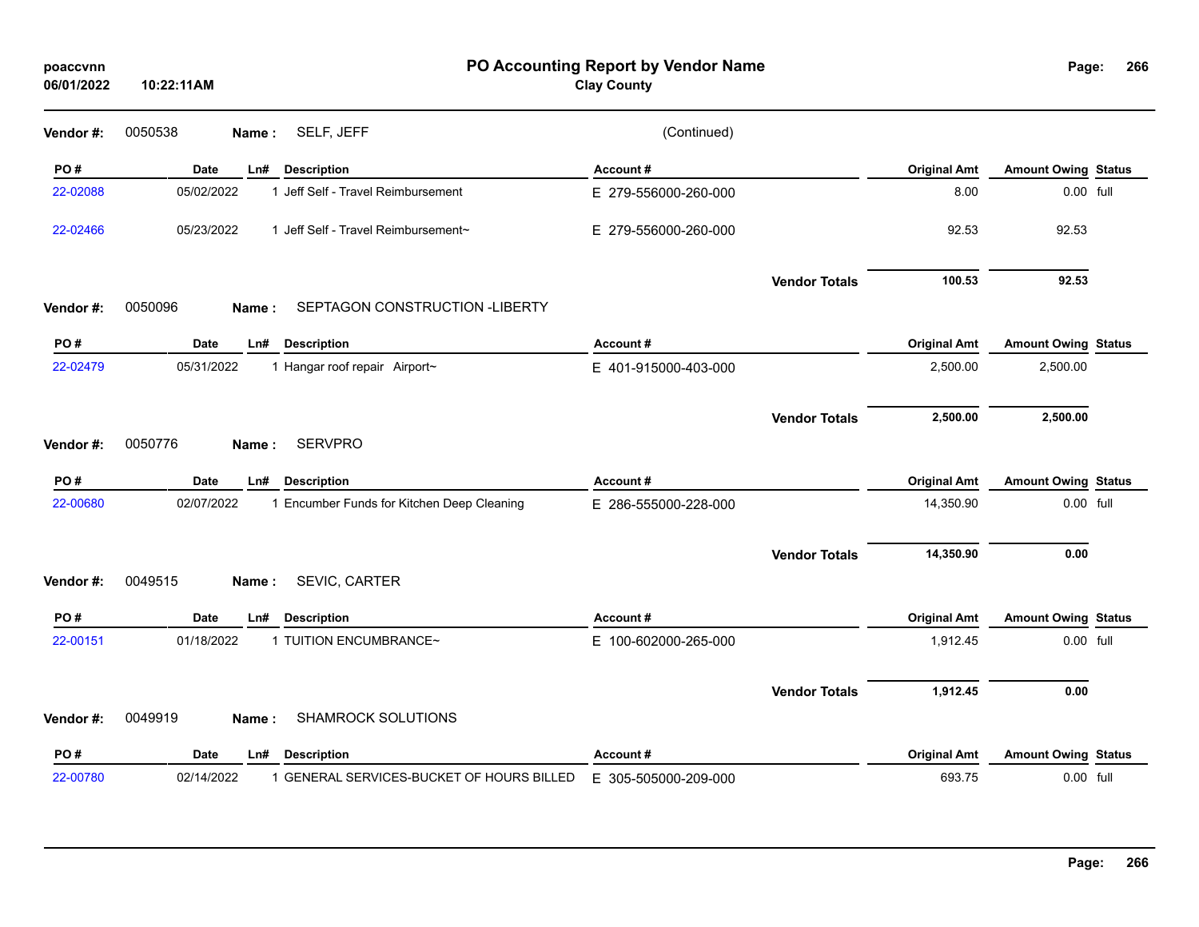| poaccvnn<br>06/01/2022 | PO Accounting Report by Vendor Name<br><b>Clay County</b><br>10:22:11AM |                      |                      |                     |                            |  |  |
|------------------------|-------------------------------------------------------------------------|----------------------|----------------------|---------------------|----------------------------|--|--|
| Vendor #:              | SELF, JEFF<br>0050538<br>Name:                                          | (Continued)          |                      |                     |                            |  |  |
| PO#                    | <b>Date</b><br><b>Description</b><br>Ln#                                | Account#             |                      | <b>Original Amt</b> | <b>Amount Owing Status</b> |  |  |
| 22-02088               | 05/02/2022<br>1 Jeff Self - Travel Reimbursement                        | E 279-556000-260-000 |                      | 8.00                | 0.00 full                  |  |  |
| 22-02466               | 05/23/2022<br>1 Jeff Self - Travel Reimbursement~                       | E 279-556000-260-000 |                      | 92.53               | 92.53                      |  |  |
|                        |                                                                         |                      | <b>Vendor Totals</b> | 100.53              | 92.53                      |  |  |
| Vendor#:               | 0050096<br>SEPTAGON CONSTRUCTION - LIBERTY<br>Name:                     |                      |                      |                     |                            |  |  |
| PO#                    | Date<br>Ln#<br><b>Description</b>                                       | Account#             |                      | <b>Original Amt</b> | <b>Amount Owing Status</b> |  |  |
| 22-02479               | 05/31/2022<br>1 Hangar roof repair Airport~                             | E 401-915000-403-000 |                      | 2,500.00            | 2,500.00                   |  |  |
|                        |                                                                         |                      | <b>Vendor Totals</b> | 2,500.00            | 2,500.00                   |  |  |
| Vendor#:               | <b>SERVPRO</b><br>0050776<br>Name:                                      |                      |                      |                     |                            |  |  |
| PO#                    | Date<br><b>Description</b><br>Ln#                                       | Account#             |                      | <b>Original Amt</b> | <b>Amount Owing Status</b> |  |  |
| 22-00680               | 02/07/2022<br>1 Encumber Funds for Kitchen Deep Cleaning                | E 286-555000-228-000 |                      | 14,350.90           | 0.00 full                  |  |  |
|                        |                                                                         |                      | <b>Vendor Totals</b> | 14,350.90           | 0.00                       |  |  |
| Vendor#:               | SEVIC, CARTER<br>0049515<br>Name:                                       |                      |                      |                     |                            |  |  |
| PO#                    | Date<br><b>Description</b><br>Ln#                                       | Account#             |                      | <b>Original Amt</b> | <b>Amount Owing Status</b> |  |  |
| 22-00151               | 01/18/2022<br>1 TUITION ENCUMBRANCE~                                    | E 100-602000-265-000 |                      | 1,912.45            | 0.00 full                  |  |  |
| Vendor#:               | SHAMROCK SOLUTIONS<br>0049919<br>Name:                                  |                      | <b>Vendor Totals</b> | 1,912.45            | 0.00                       |  |  |
|                        |                                                                         |                      |                      |                     |                            |  |  |
| PO#                    | <b>Date</b><br><b>Description</b><br>Ln#                                | Account#             |                      | <b>Original Amt</b> | <b>Amount Owing Status</b> |  |  |
| 22-00780               | 02/14/2022<br>1 GENERAL SERVICES-BUCKET OF HOURS BILLED                 | E 305-505000-209-000 |                      | 693.75              | 0.00 full                  |  |  |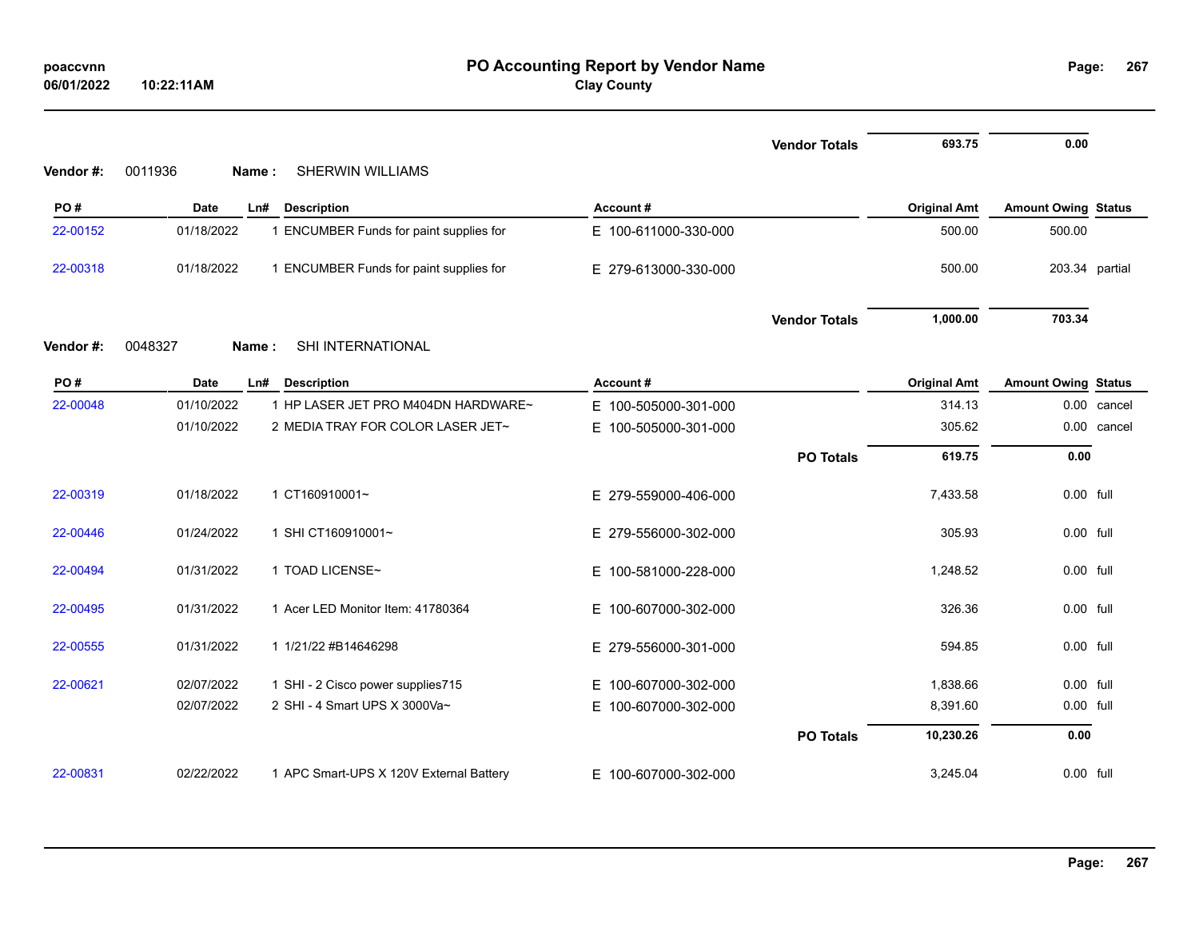| poaccynn   |            |
|------------|------------|
| 06/01/2022 | 10:22:11AM |

# **PO Accounting Report by Vendor Name poaccvnn Page: Clay County**

|          |                  |                                         |                          | <b>Vendor Totals</b> | 693.75              | 0.00                       |                |
|----------|------------------|-----------------------------------------|--------------------------|----------------------|---------------------|----------------------------|----------------|
| Vendor#: | 0011936<br>Name: | <b>SHERWIN WILLIAMS</b>                 |                          |                      |                     |                            |                |
| PO#      | <b>Date</b>      | <b>Description</b><br>Ln#               | Account#                 |                      | <b>Original Amt</b> | <b>Amount Owing Status</b> |                |
| 22-00152 | 01/18/2022       | 1 ENCUMBER Funds for paint supplies for | E 100-611000-330-000     |                      | 500.00              | 500.00                     |                |
| 22-00318 | 01/18/2022       | 1 ENCUMBER Funds for paint supplies for | E 279-613000-330-000     |                      | 500.00              |                            | 203.34 partial |
|          |                  |                                         |                          | <b>Vendor Totals</b> | 1,000.00            | 703.34                     |                |
| Vendor#: | 0048327<br>Name: | SHI INTERNATIONAL                       |                          |                      |                     |                            |                |
| PO#      | <b>Date</b>      | Ln#<br><b>Description</b>               | Account#                 |                      | <b>Original Amt</b> | <b>Amount Owing Status</b> |                |
| 22-00048 | 01/10/2022       | 1 HP LASER JET PRO M404DN HARDWARE~     | E 100-505000-301-000     |                      | 314.13              | 0.00                       | cancel         |
|          | 01/10/2022       | 2 MEDIA TRAY FOR COLOR LASER JET~       | E.<br>100-505000-301-000 |                      | 305.62              | 0.00                       | cancel         |
|          |                  |                                         |                          | <b>PO Totals</b>     | 619.75              | 0.00                       |                |
| 22-00319 | 01/18/2022       | 1 CT160910001~                          | E 279-559000-406-000     |                      | 7,433.58            | 0.00 full                  |                |
| 22-00446 | 01/24/2022       | 1 SHI CT160910001~                      | E 279-556000-302-000     |                      | 305.93              | 0.00 full                  |                |
| 22-00494 | 01/31/2022       | 1 TOAD LICENSE~                         | E 100-581000-228-000     |                      | 1,248.52            | 0.00 full                  |                |
| 22-00495 | 01/31/2022       | 1 Acer LED Monitor Item: 41780364       | E 100-607000-302-000     |                      | 326.36              | 0.00 full                  |                |
| 22-00555 | 01/31/2022       | 1 1/21/22 #B14646298                    | E 279-556000-301-000     |                      | 594.85              | 0.00 full                  |                |
| 22-00621 | 02/07/2022       | 1 SHI - 2 Cisco power supplies715       | E.<br>100-607000-302-000 |                      | 1,838.66            | 0.00 full                  |                |
|          | 02/07/2022       | 2 SHI - 4 Smart UPS X 3000Va~           | Е.<br>100-607000-302-000 |                      | 8,391.60            | 0.00 full                  |                |
|          |                  |                                         |                          | <b>PO Totals</b>     | 10,230.26           | 0.00                       |                |
| 22-00831 | 02/22/2022       | 1 APC Smart-UPS X 120V External Battery | E 100-607000-302-000     |                      | 3,245.04            | 0.00 full                  |                |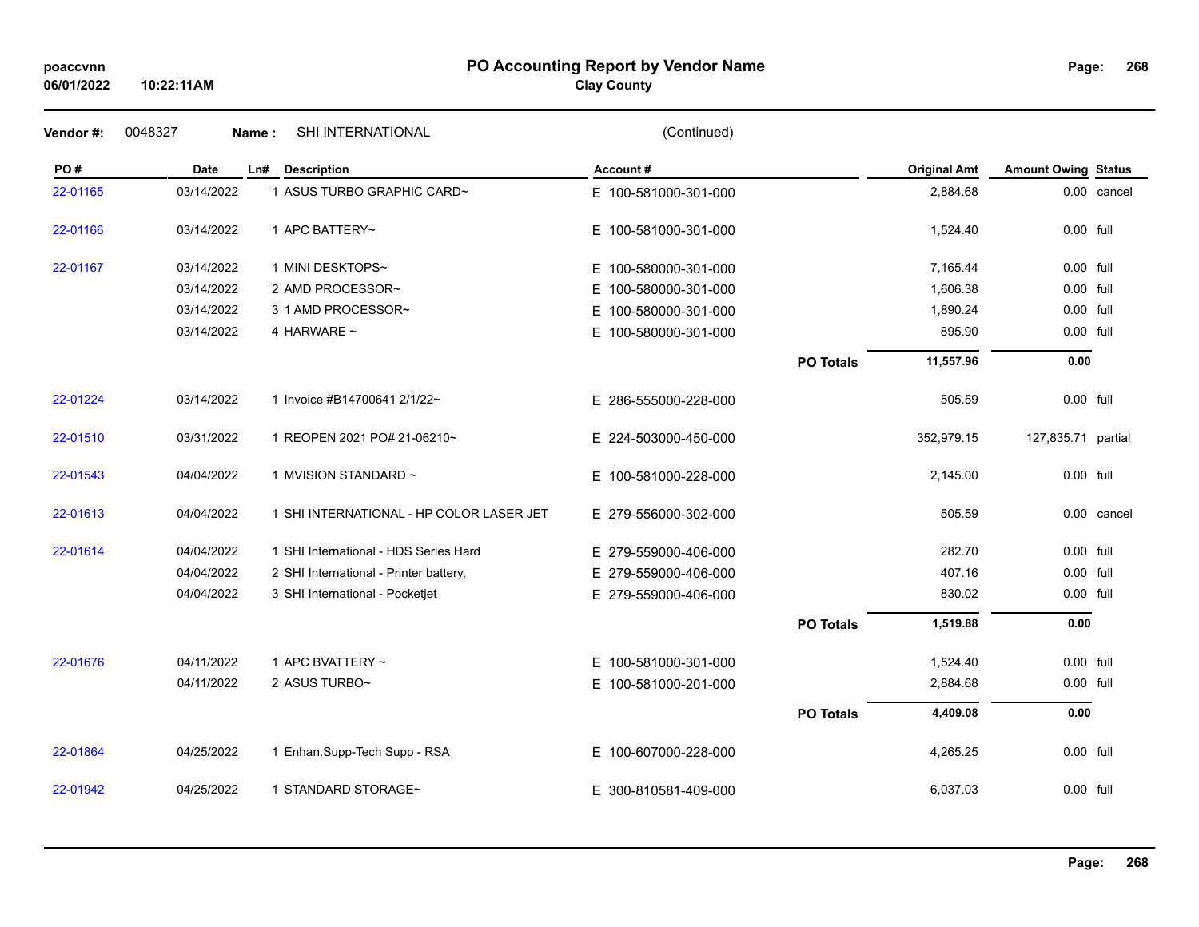# **PO Accounting Report by Vendor Name poaccvnn Page:**

# **Clay County**

| Vendor#: | 0048327     | SHI INTERNATIONAL<br>Name:               | (Continued)              |                  |                     |                            |             |
|----------|-------------|------------------------------------------|--------------------------|------------------|---------------------|----------------------------|-------------|
| PO#      | <b>Date</b> | <b>Description</b><br>Ln#                | Account#                 |                  | <b>Original Amt</b> | <b>Amount Owing Status</b> |             |
| 22-01165 | 03/14/2022  | 1 ASUS TURBO GRAPHIC CARD~               | E 100-581000-301-000     |                  | 2,884.68            |                            | 0.00 cancel |
| 22-01166 | 03/14/2022  | 1 APC BATTERY~                           | E 100-581000-301-000     |                  | 1,524.40            | 0.00 full                  |             |
| 22-01167 | 03/14/2022  | 1 MINI DESKTOPS~                         | E 100-580000-301-000     |                  | 7,165.44            | 0.00 full                  |             |
|          | 03/14/2022  | 2 AMD PROCESSOR~                         | E.<br>100-580000-301-000 |                  | 1,606.38            | 0.00 full                  |             |
|          | 03/14/2022  | 3 1 AMD PROCESSOR~                       | E 100-580000-301-000     |                  | 1,890.24            | 0.00 full                  |             |
|          | 03/14/2022  | 4 HARWARE ~                              | E 100-580000-301-000     |                  | 895.90              | 0.00 full                  |             |
|          |             |                                          |                          | <b>PO Totals</b> | 11,557.96           | 0.00                       |             |
| 22-01224 | 03/14/2022  | 1 Invoice #B14700641 2/1/22~             | E 286-555000-228-000     |                  | 505.59              | 0.00 full                  |             |
| 22-01510 | 03/31/2022  | 1 REOPEN 2021 PO# 21-06210~              | E 224-503000-450-000     |                  | 352,979.15          | 127,835.71 partial         |             |
| 22-01543 | 04/04/2022  | 1 MVISION STANDARD ~                     | E 100-581000-228-000     |                  | 2,145.00            | 0.00 full                  |             |
| 22-01613 | 04/04/2022  | 1 SHI INTERNATIONAL - HP COLOR LASER JET | E 279-556000-302-000     |                  | 505.59              |                            | 0.00 cancel |
| 22-01614 | 04/04/2022  | 1 SHI International - HDS Series Hard    | E 279-559000-406-000     |                  | 282.70              | 0.00 full                  |             |
|          | 04/04/2022  | 2 SHI International - Printer battery,   | E 279-559000-406-000     |                  | 407.16              | 0.00 full                  |             |
|          | 04/04/2022  | 3 SHI International - Pocketjet          | E 279-559000-406-000     |                  | 830.02              | 0.00 full                  |             |
|          |             |                                          |                          | <b>PO Totals</b> | 1,519.88            | 0.00                       |             |
| 22-01676 | 04/11/2022  | 1 APC BVATTERY $\sim$                    | E 100-581000-301-000     |                  | 1,524.40            | 0.00 full                  |             |
|          | 04/11/2022  | 2 ASUS TURBO~                            | E 100-581000-201-000     |                  | 2,884.68            | 0.00 full                  |             |
|          |             |                                          |                          | <b>PO Totals</b> | 4,409.08            | 0.00                       |             |
| 22-01864 | 04/25/2022  | 1 Enhan.Supp-Tech Supp - RSA             | E 100-607000-228-000     |                  | 4,265.25            | 0.00 full                  |             |
| 22-01942 | 04/25/2022  | 1 STANDARD STORAGE~                      | E 300-810581-409-000     |                  | 6,037.03            | 0.00 full                  |             |
|          |             |                                          |                          |                  |                     |                            |             |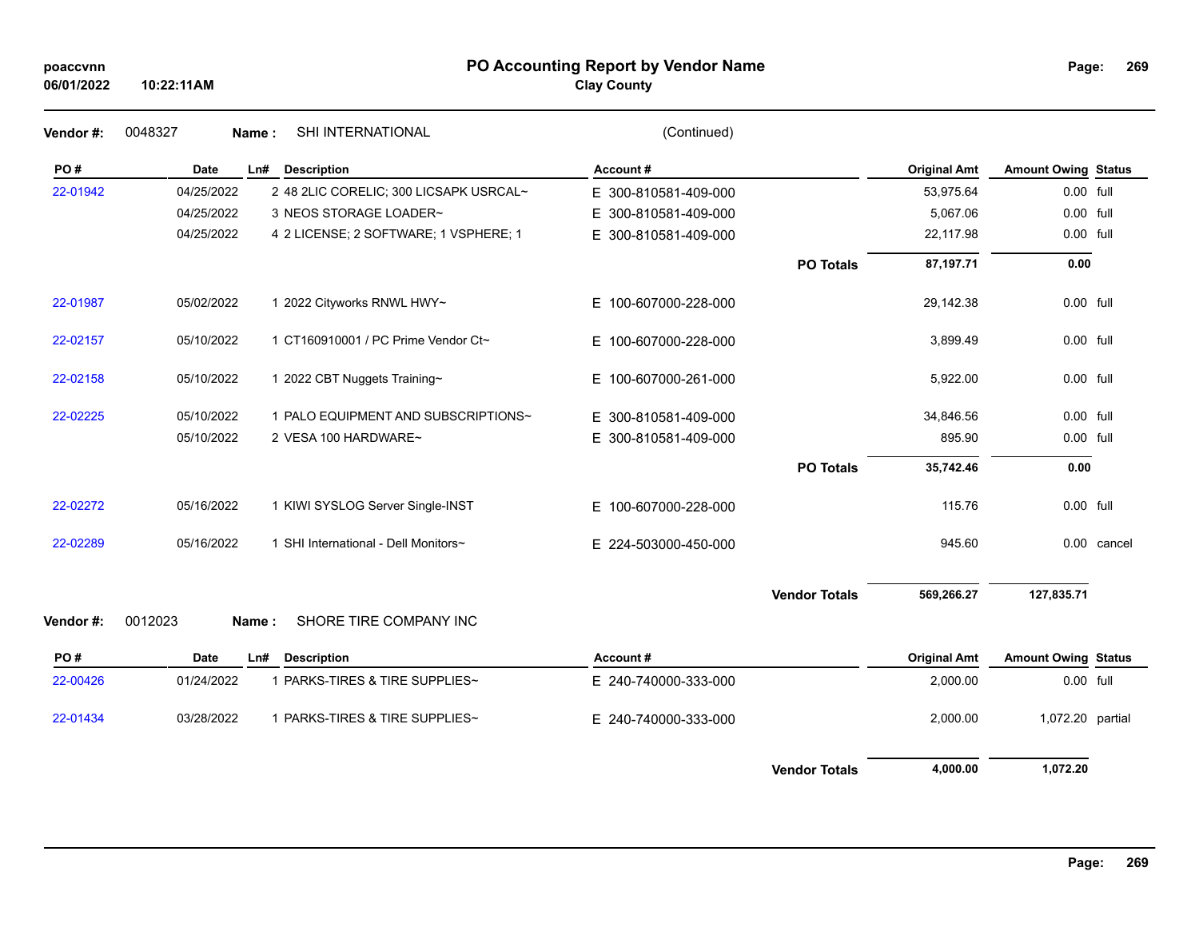# **PO Accounting Report by Vendor Name poaccvnn Page:**

**Clay County**

| Page: | 269 |
|-------|-----|
|       |     |

| Vendor #: | 0048327     | SHI INTERNATIONAL<br>Name:             | (Continued)          |                      |                     |                            |             |
|-----------|-------------|----------------------------------------|----------------------|----------------------|---------------------|----------------------------|-------------|
| PO#       | Date        | Ln#<br><b>Description</b>              | Account#             |                      | <b>Original Amt</b> | <b>Amount Owing Status</b> |             |
| 22-01942  | 04/25/2022  | 2 48 2LIC CORELIC; 300 LICSAPK USRCAL~ | E 300-810581-409-000 |                      | 53,975.64           | 0.00 full                  |             |
|           | 04/25/2022  | 3 NEOS STORAGE LOADER~                 | E 300-810581-409-000 |                      | 5,067.06            | 0.00 full                  |             |
|           | 04/25/2022  | 4 2 LICENSE; 2 SOFTWARE; 1 VSPHERE; 1  | E 300-810581-409-000 |                      | 22,117.98           | 0.00 full                  |             |
|           |             |                                        |                      | <b>PO Totals</b>     | 87,197.71           | 0.00                       |             |
| 22-01987  | 05/02/2022  | 1 2022 Cityworks RNWL HWY~             | E 100-607000-228-000 |                      | 29,142.38           | 0.00 full                  |             |
| 22-02157  | 05/10/2022  | 1 CT160910001 / PC Prime Vendor Ct~    | E 100-607000-228-000 |                      | 3,899.49            | 0.00 full                  |             |
| 22-02158  | 05/10/2022  | 1 2022 CBT Nuggets Training~           | E 100-607000-261-000 |                      | 5,922.00            | 0.00 full                  |             |
| 22-02225  | 05/10/2022  | 1 PALO EQUIPMENT AND SUBSCRIPTIONS~    | E 300-810581-409-000 |                      | 34,846.56           | 0.00 full                  |             |
|           | 05/10/2022  | 2 VESA 100 HARDWARE~                   | E 300-810581-409-000 |                      | 895.90              | 0.00 full                  |             |
|           |             |                                        |                      | <b>PO Totals</b>     | 35,742.46           | 0.00                       |             |
| 22-02272  | 05/16/2022  | 1 KIWI SYSLOG Server Single-INST       | E 100-607000-228-000 |                      | 115.76              | 0.00 full                  |             |
| 22-02289  | 05/16/2022  | 1 SHI International - Dell Monitors~   | E 224-503000-450-000 |                      | 945.60              |                            | 0.00 cancel |
|           |             |                                        |                      | <b>Vendor Totals</b> | 569,266.27          | 127,835.71                 |             |
| Vendor#:  | 0012023     | SHORE TIRE COMPANY INC<br>Name:        |                      |                      |                     |                            |             |
| PO#       | <b>Date</b> | <b>Description</b><br>Ln#              | Account#             |                      | <b>Original Amt</b> | <b>Amount Owing Status</b> |             |
| 22-00426  | 01/24/2022  | 1 PARKS-TIRES & TIRE SUPPLIES~         | E 240-740000-333-000 |                      | 2,000.00            | 0.00 full                  |             |
| 22-01434  | 03/28/2022  | 1 PARKS-TIRES & TIRE SUPPLIES~         | E 240-740000-333-000 |                      | 2,000.00            | 1,072.20 partial           |             |
|           |             |                                        |                      | <b>Vendor Totals</b> | 4,000.00            | 1,072.20                   |             |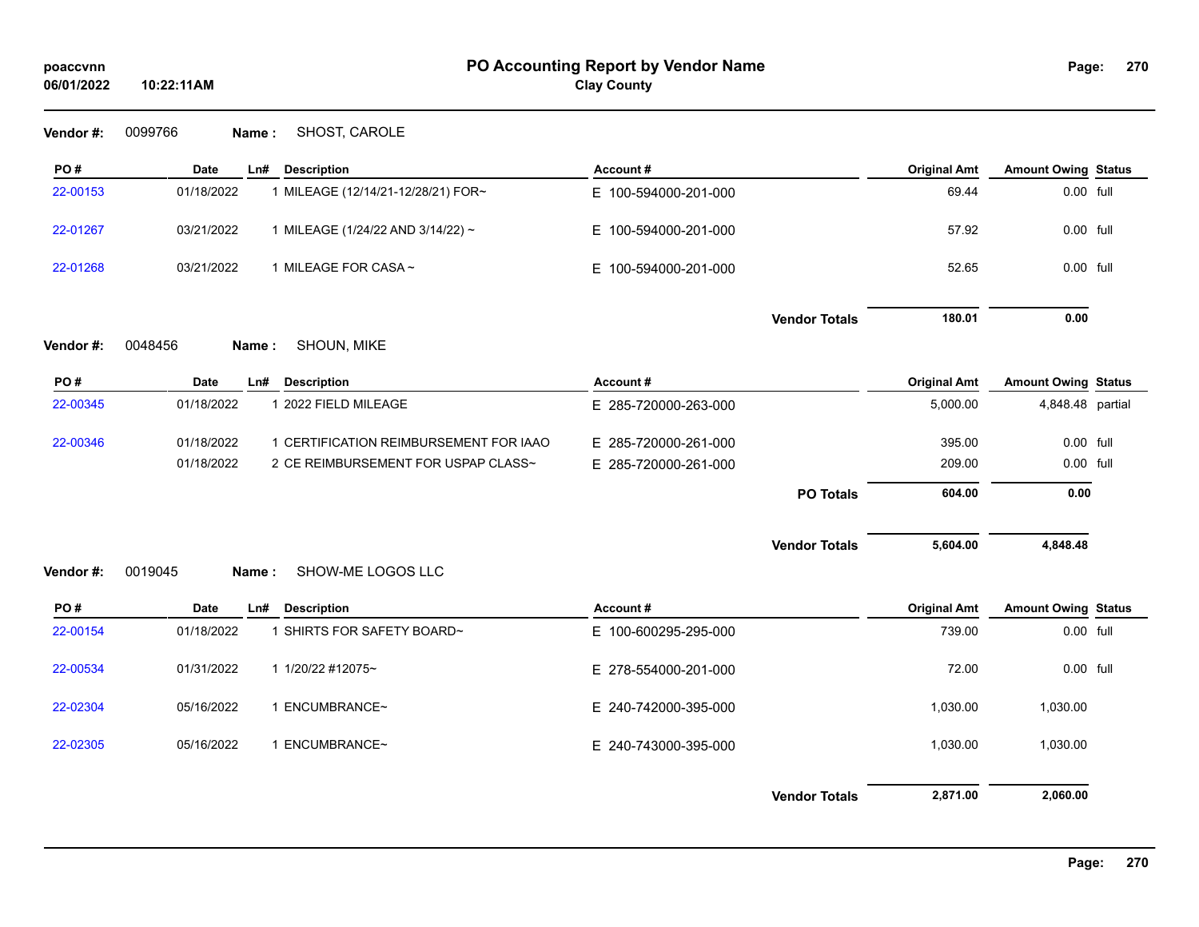**Vendor #:** 0099766 **Name :** SHOST, CAROLE

| PO#       | Date        | Ln#   | <b>Description</b>                     | Account#             |                      | <b>Original Amt</b> | <b>Amount Owing Status</b> |  |
|-----------|-------------|-------|----------------------------------------|----------------------|----------------------|---------------------|----------------------------|--|
| 22-00153  | 01/18/2022  |       | 1 MILEAGE (12/14/21-12/28/21) FOR~     | E 100-594000-201-000 |                      | 69.44               | 0.00 full                  |  |
| 22-01267  | 03/21/2022  |       | 1 MILEAGE (1/24/22 AND 3/14/22) ~      | E 100-594000-201-000 |                      | 57.92               | $0.00$ full                |  |
| 22-01268  | 03/21/2022  |       | 1 MILEAGE FOR CASA ~                   | E 100-594000-201-000 |                      | 52.65               | $0.00$ full                |  |
|           |             |       |                                        |                      | <b>Vendor Totals</b> | 180.01              | 0.00                       |  |
| Vendor #: | 0048456     | Name: | SHOUN, MIKE                            |                      |                      |                     |                            |  |
| PO#       | <b>Date</b> | Ln#   | <b>Description</b>                     | Account#             |                      | <b>Original Amt</b> | <b>Amount Owing Status</b> |  |
| 22-00345  | 01/18/2022  |       |                                        |                      |                      |                     | 4,848.48 partial           |  |
|           |             |       | 1 2022 FIELD MILEAGE                   | E 285-720000-263-000 |                      | 5,000.00            |                            |  |
| 22-00346  | 01/18/2022  |       | 1 CERTIFICATION REIMBURSEMENT FOR IAAO | E 285-720000-261-000 |                      | 395.00              | 0.00 full                  |  |
|           | 01/18/2022  |       | 2 CE REIMBURSEMENT FOR USPAP CLASS~    | E 285-720000-261-000 |                      | 209.00              | 0.00 full                  |  |
|           |             |       |                                        |                      | <b>PO Totals</b>     | 604.00              | 0.00                       |  |
|           |             |       |                                        |                      | <b>Vendor Totals</b> | 5,604.00            | 4,848.48                   |  |

| PO#      | Date       | Ln# | <b>Description</b>       | Account#             |                      | <b>Original Amt</b> | <b>Amount Owing Status</b> |  |
|----------|------------|-----|--------------------------|----------------------|----------------------|---------------------|----------------------------|--|
| 22-00154 | 01/18/2022 |     | SHIRTS FOR SAFETY BOARD~ | E 100-600295-295-000 |                      | 739.00              | 0.00 full                  |  |
| 22-00534 | 01/31/2022 |     | 1 1/20/22 #12075~        | E 278-554000-201-000 |                      | 72.00               | 0.00 full                  |  |
| 22-02304 | 05/16/2022 |     | ENCUMBRANCE~             | E 240-742000-395-000 |                      | 1,030.00            | 1,030.00                   |  |
| 22-02305 | 05/16/2022 |     | ENCUMBRANCE~             | E 240-743000-395-000 |                      | 1,030.00            | 1,030.00                   |  |
|          |            |     |                          |                      | <b>Vendor Totals</b> | 2,871.00            | 2,060.00                   |  |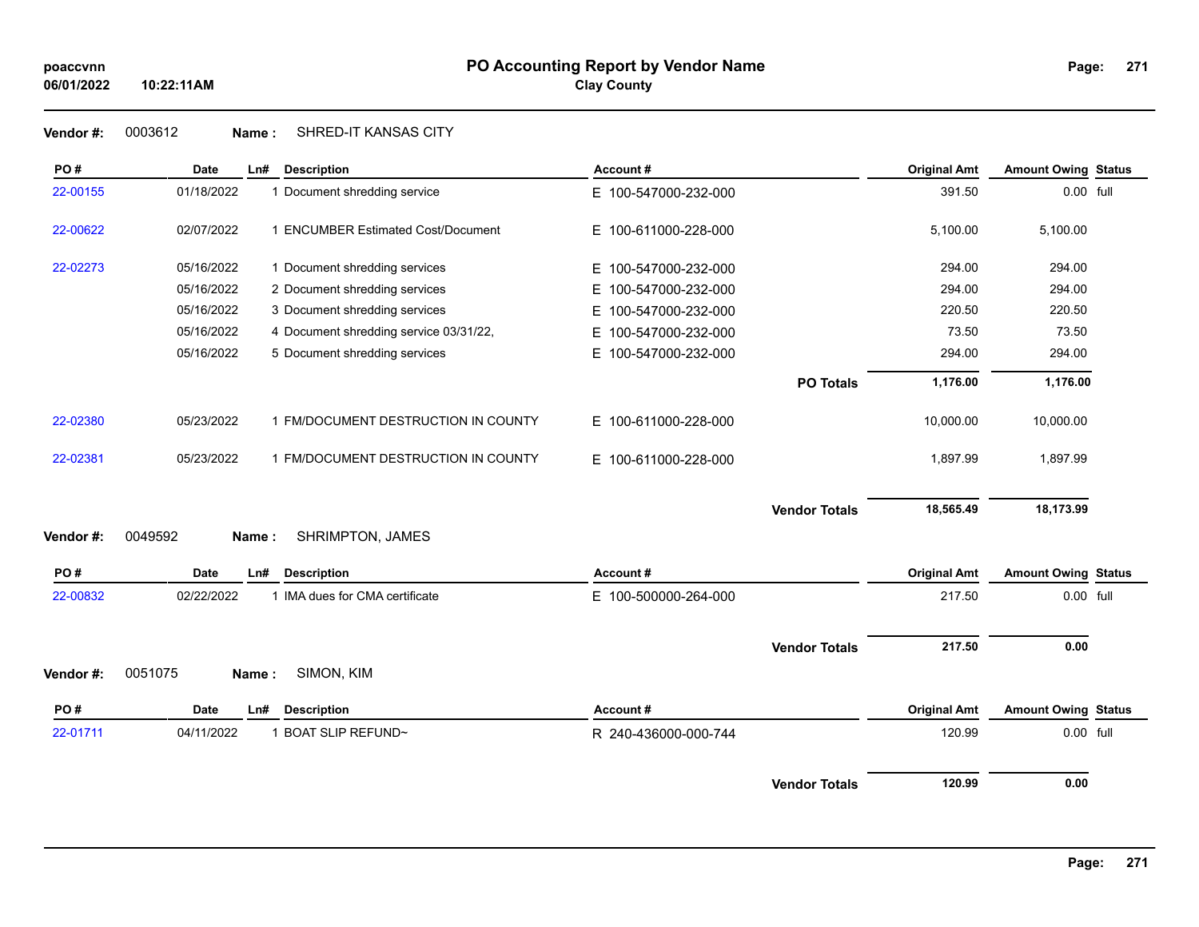**Vendor #:** 0003612 **Name :** SHRED-IT KANSAS CITY

| PO#      | <b>Date</b> | Ln#<br><b>Description</b>              | Account#                 |                      | <b>Original Amt</b> | <b>Amount Owing Status</b> |  |
|----------|-------------|----------------------------------------|--------------------------|----------------------|---------------------|----------------------------|--|
| 22-00155 | 01/18/2022  | 1 Document shredding service           | E 100-547000-232-000     |                      | 391.50              | 0.00 full                  |  |
| 22-00622 | 02/07/2022  | 1 ENCUMBER Estimated Cost/Document     | E 100-611000-228-000     |                      | 5,100.00            | 5,100.00                   |  |
| 22-02273 | 05/16/2022  | 1 Document shredding services          | E 100-547000-232-000     |                      | 294.00              | 294.00                     |  |
|          | 05/16/2022  | 2 Document shredding services          | 100-547000-232-000<br>E. |                      | 294.00              | 294.00                     |  |
|          | 05/16/2022  | 3 Document shredding services          | 100-547000-232-000<br>Е  |                      | 220.50              | 220.50                     |  |
|          | 05/16/2022  | 4 Document shredding service 03/31/22, | 100-547000-232-000<br>E. |                      | 73.50               | 73.50                      |  |
|          | 05/16/2022  | 5 Document shredding services          | 100-547000-232-000<br>E. |                      | 294.00              | 294.00                     |  |
|          |             |                                        |                          | <b>PO Totals</b>     | 1,176.00            | 1,176.00                   |  |
| 22-02380 | 05/23/2022  | 1 FM/DOCUMENT DESTRUCTION IN COUNTY    | E 100-611000-228-000     |                      | 10,000.00           | 10,000.00                  |  |
| 22-02381 | 05/23/2022  | 1 FM/DOCUMENT DESTRUCTION IN COUNTY    | E 100-611000-228-000     |                      | 1,897.99            | 1,897.99                   |  |
|          |             |                                        |                          | <b>Vendor Totals</b> | 18,565.49           | 18,173.99                  |  |
| Vendor#: | 0049592     | SHRIMPTON, JAMES<br>Name:              |                          |                      |                     |                            |  |
| PO#      | <b>Date</b> | Ln#<br><b>Description</b>              | Account#                 |                      | <b>Original Amt</b> | <b>Amount Owing Status</b> |  |
| 22-00832 | 02/22/2022  | 1 IMA dues for CMA certificate         | E 100-500000-264-000     |                      | 217.50              | 0.00 full                  |  |
|          |             |                                        |                          | <b>Vendor Totals</b> | 217.50              | 0.00                       |  |
| Vendor#: | 0051075     | SIMON, KIM<br>Name:                    |                          |                      |                     |                            |  |
| PO#      | <b>Date</b> | Ln#<br><b>Description</b>              | Account#                 |                      | <b>Original Amt</b> | <b>Amount Owing Status</b> |  |
| 22-01711 | 04/11/2022  | 1 BOAT SLIP REFUND~                    | R 240-436000-000-744     |                      | 120.99              | 0.00 full                  |  |
|          |             |                                        |                          | <b>Vendor Totals</b> | 120.99              | 0.00                       |  |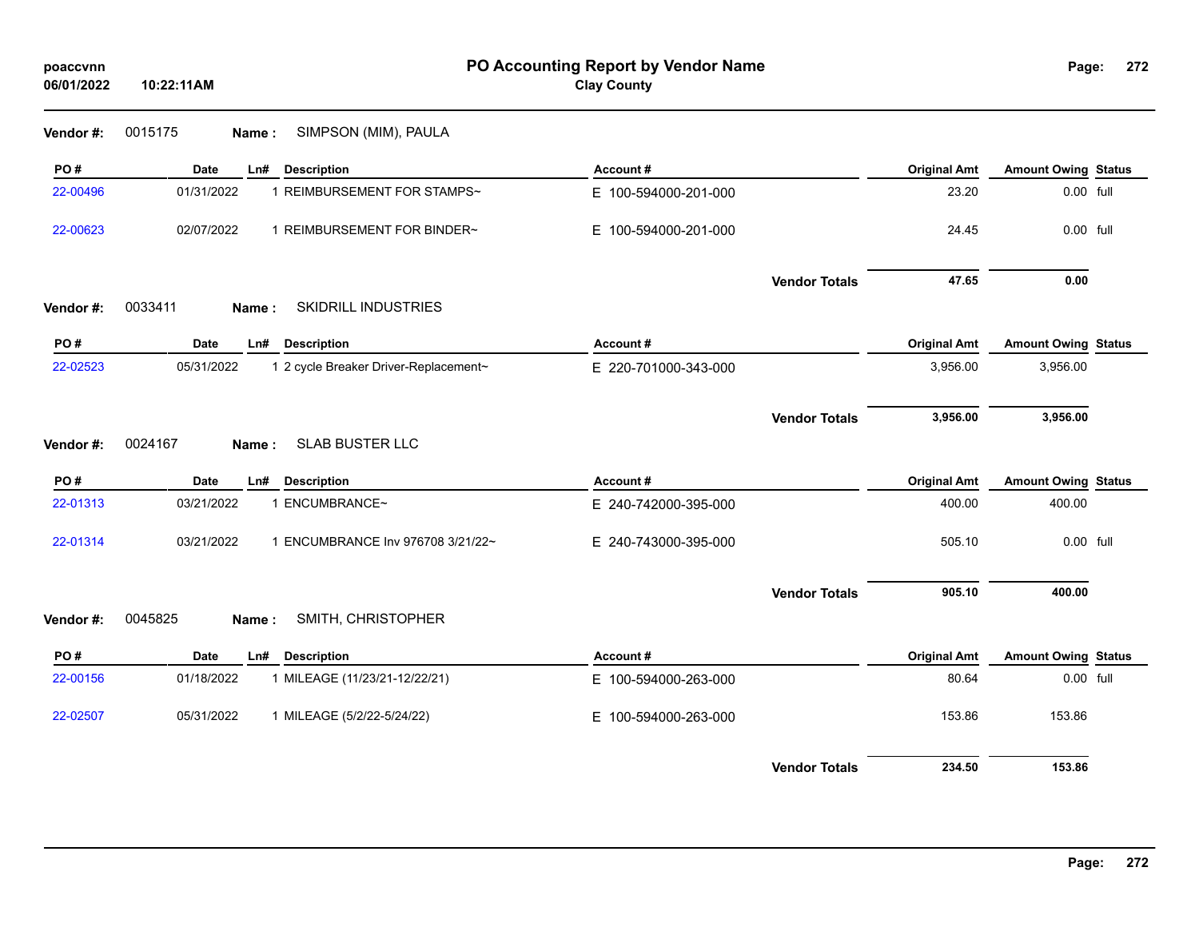| poaccvnn<br>06/01/2022 | 10:22:11AM                                          | PO Accounting Report by Vendor Name<br><b>Clay County</b> |                     | Page:                      | 272 |
|------------------------|-----------------------------------------------------|-----------------------------------------------------------|---------------------|----------------------------|-----|
| Vendor#:               | 0015175<br>SIMPSON (MIM), PAULA<br>Name:            |                                                           |                     |                            |     |
| PO#                    | <b>Description</b><br>Date<br>Ln#                   | Account#                                                  | <b>Original Amt</b> | <b>Amount Owing Status</b> |     |
| 22-00496               | 01/31/2022<br>1 REIMBURSEMENT FOR STAMPS~           | E 100-594000-201-000                                      | 23.20               | 0.00 full                  |     |
| 22-00623               | 02/07/2022<br>1 REIMBURSEMENT FOR BINDER~           | E 100-594000-201-000                                      | 24.45               | 0.00 full                  |     |
| Vendor#:               | 0033411<br>SKIDRILL INDUSTRIES<br>Name:             | <b>Vendor Totals</b>                                      | 47.65               | 0.00                       |     |
| PO#                    | <b>Description</b><br>Date<br>Ln#                   | Account#                                                  | <b>Original Amt</b> | <b>Amount Owing Status</b> |     |
| 22-02523               | 05/31/2022<br>1 2 cycle Breaker Driver-Replacement~ | E 220-701000-343-000                                      | 3,956.00            | 3,956.00                   |     |
| Vendor #:              | <b>SLAB BUSTER LLC</b><br>0024167<br>Name:          | <b>Vendor Totals</b>                                      | 3,956.00            | 3,956.00                   |     |
| PO#                    | <b>Description</b><br>Date<br>Ln#                   | Account#                                                  | <b>Original Amt</b> | <b>Amount Owing Status</b> |     |
| 22-01313               | 1 ENCUMBRANCE~<br>03/21/2022                        | E 240-742000-395-000                                      | 400.00              | 400.00                     |     |
| 22-01314               | 03/21/2022<br>1 ENCUMBRANCE Inv 976708 3/21/22~     | E 240-743000-395-000                                      | 505.10              | 0.00 full                  |     |
| Vendor #:              | SMITH, CHRISTOPHER<br>0045825<br>Name:              | <b>Vendor Totals</b>                                      | 905.10              | 400.00                     |     |
| PO#                    | <b>Date</b><br><b>Description</b><br>Ln#            | Account#                                                  | <b>Original Amt</b> | <b>Amount Owing Status</b> |     |
| 22-00156               | 01/18/2022<br>1 MILEAGE (11/23/21-12/22/21)         | E 100-594000-263-000                                      | 80.64               | 0.00 full                  |     |
| 22-02507               | 05/31/2022<br>1 MILEAGE (5/2/22-5/24/22)            | E 100-594000-263-000                                      | 153.86              | 153.86                     |     |
|                        |                                                     | <b>Vendor Totals</b>                                      | 234.50              | 153.86                     |     |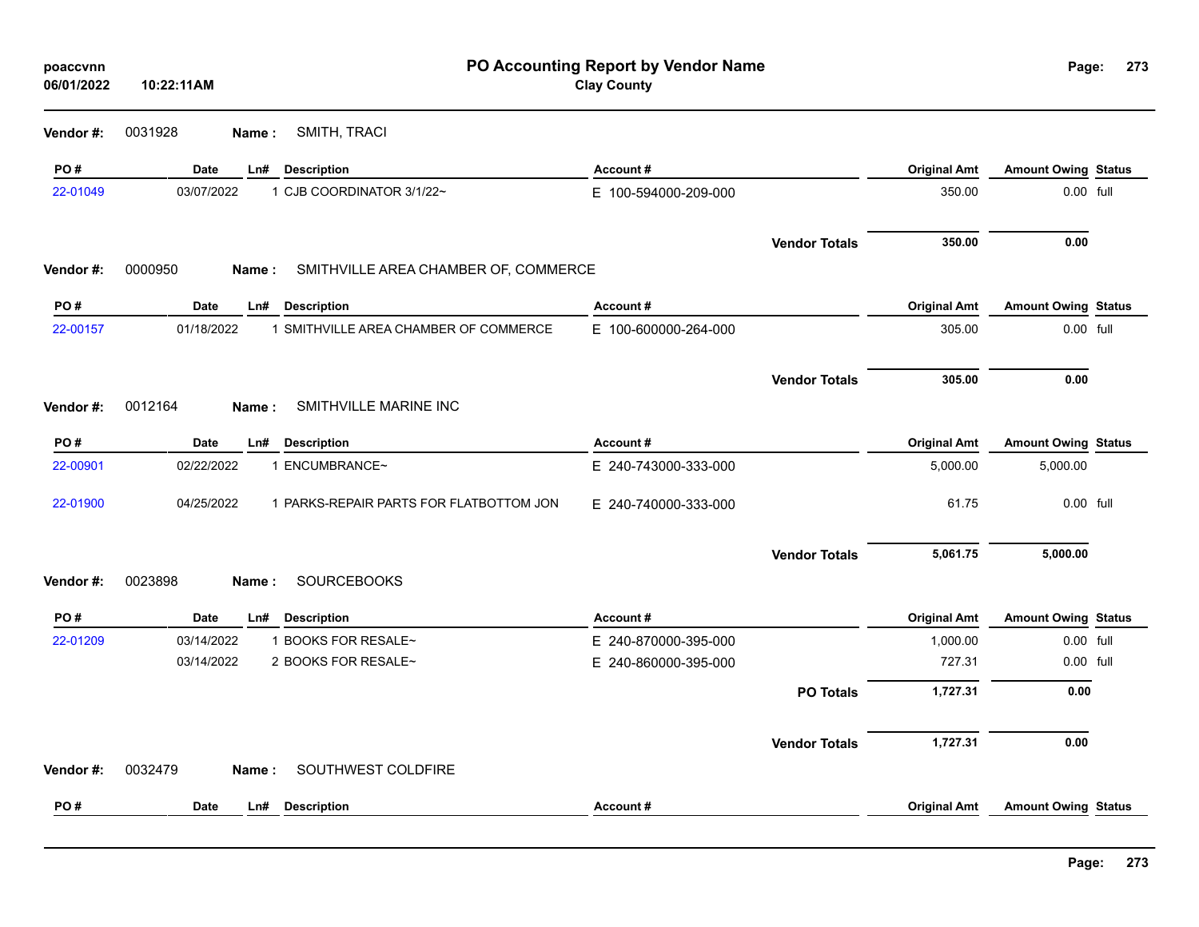| poaccvnn<br>06/01/2022 | 10:22:11AM |        |                                         | PO Accounting Report by Vendor Name<br><b>Clay County</b> |                      |                     | Page:                      | 273 |
|------------------------|------------|--------|-----------------------------------------|-----------------------------------------------------------|----------------------|---------------------|----------------------------|-----|
| Vendor #:              | 0031928    | Name:  | SMITH, TRACI                            |                                                           |                      |                     |                            |     |
| PO#                    | Date       | Ln#    | <b>Description</b>                      | Account#                                                  |                      | <b>Original Amt</b> | <b>Amount Owing Status</b> |     |
| 22-01049               | 03/07/2022 |        | 1 CJB COORDINATOR 3/1/22~               | E 100-594000-209-000                                      |                      | 350.00              | 0.00 full                  |     |
|                        |            |        |                                         |                                                           | <b>Vendor Totals</b> | 350.00              | 0.00                       |     |
| Vendor#:               | 0000950    | Name:  | SMITHVILLE AREA CHAMBER OF, COMMERCE    |                                                           |                      |                     |                            |     |
| PO#                    | Date       | Ln#    | <b>Description</b>                      | Account#                                                  |                      | <b>Original Amt</b> | <b>Amount Owing Status</b> |     |
| 22-00157               | 01/18/2022 |        | 1 SMITHVILLE AREA CHAMBER OF COMMERCE   | E 100-600000-264-000                                      |                      | 305.00              | 0.00 full                  |     |
|                        |            |        |                                         |                                                           | <b>Vendor Totals</b> | 305.00              | 0.00                       |     |
| Vendor #:              | 0012164    | Name : | SMITHVILLE MARINE INC                   |                                                           |                      |                     |                            |     |
| PO#                    | Date       | Ln#    | <b>Description</b>                      | Account#                                                  |                      | <b>Original Amt</b> | <b>Amount Owing Status</b> |     |
| 22-00901               | 02/22/2022 |        | 1 ENCUMBRANCE~                          | E 240-743000-333-000                                      |                      | 5,000.00            | 5,000.00                   |     |
| 22-01900               | 04/25/2022 |        | 1 PARKS-REPAIR PARTS FOR FLATBOTTOM JON | E 240-740000-333-000                                      |                      | 61.75               | 0.00 full                  |     |
|                        |            |        |                                         |                                                           | <b>Vendor Totals</b> | 5,061.75            | 5,000.00                   |     |
| Vendor#:               | 0023898    | Name : | <b>SOURCEBOOKS</b>                      |                                                           |                      |                     |                            |     |
| PO#                    | Date       | $Ln$ # | <b>Description</b>                      | Account#                                                  |                      | <b>Original Amt</b> | Amount Owing Status        |     |
| 22-01209               | 03/14/2022 |        | 1 BOOKS FOR RESALE~                     | E 240-870000-395-000                                      |                      | 1,000.00            | 0.00 full                  |     |
|                        | 03/14/2022 |        | 2 BOOKS FOR RESALE~                     | E 240-860000-395-000                                      |                      | 727.31              | 0.00 full                  |     |
|                        |            |        |                                         |                                                           | <b>PO Totals</b>     | 1,727.31            | 0.00                       |     |
|                        |            |        |                                         |                                                           | <b>Vendor Totals</b> | 1,727.31            | 0.00                       |     |
| Vendor#:               | 0032479    | Name:  | SOUTHWEST COLDFIRE                      |                                                           |                      |                     |                            |     |
| PO#                    | Date       | Ln#    | <b>Description</b>                      | Account#                                                  |                      | <b>Original Amt</b> | <b>Amount Owing Status</b> |     |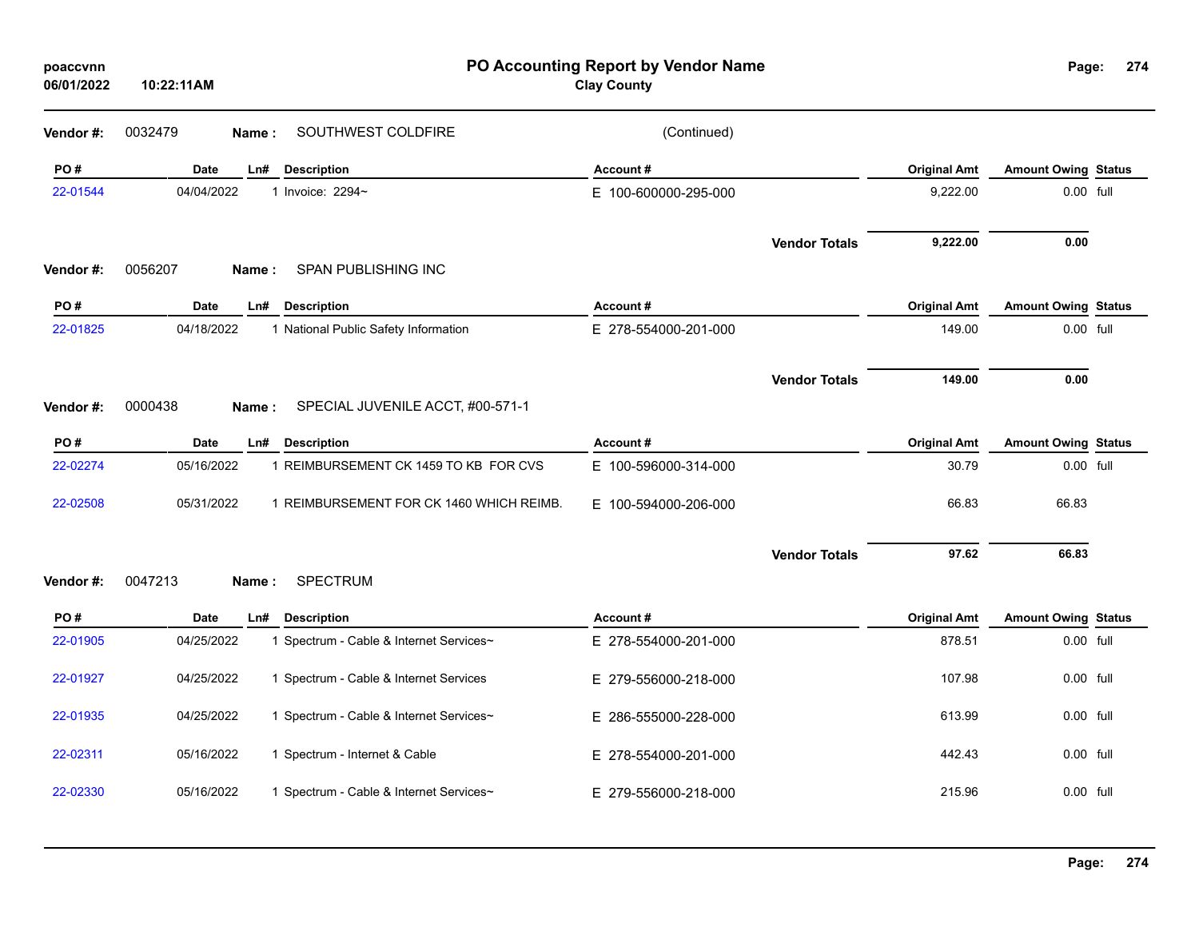| poaccvnn<br>06/01/2022 | 10:22:11AM  |                                           | PO Accounting Report by Vendor Name<br><b>Clay County</b> |                      |                     | Page:                      | 274 |
|------------------------|-------------|-------------------------------------------|-----------------------------------------------------------|----------------------|---------------------|----------------------------|-----|
| Vendor #:              | 0032479     | SOUTHWEST COLDFIRE<br>Name:               | (Continued)                                               |                      |                     |                            |     |
| PO#                    | <b>Date</b> | Ln#<br><b>Description</b>                 | Account#                                                  |                      | <b>Original Amt</b> | <b>Amount Owing Status</b> |     |
| 22-01544               | 04/04/2022  | 1 Invoice: 2294~                          | E 100-600000-295-000                                      |                      | 9,222.00            | 0.00 full                  |     |
| Vendor#:               | 0056207     | SPAN PUBLISHING INC<br>Name:              |                                                           | <b>Vendor Totals</b> | 9,222.00            | 0.00                       |     |
| PO#                    | Date        | <b>Description</b><br>Ln#                 | Account#                                                  |                      | <b>Original Amt</b> | <b>Amount Owing Status</b> |     |
| 22-01825               | 04/18/2022  | 1 National Public Safety Information      | E 278-554000-201-000                                      |                      | 149.00              | 0.00 full                  |     |
| Vendor#:               | 0000438     | SPECIAL JUVENILE ACCT, #00-571-1<br>Name: |                                                           | <b>Vendor Totals</b> | 149.00              | 0.00                       |     |
| PO#                    | <b>Date</b> | <b>Description</b><br>Ln#                 | Account#                                                  |                      | <b>Original Amt</b> | <b>Amount Owing Status</b> |     |
| 22-02274               | 05/16/2022  | 1 REIMBURSEMENT CK 1459 TO KB FOR CVS     | E 100-596000-314-000                                      |                      | 30.79               | 0.00 full                  |     |
| 22-02508               | 05/31/2022  | 1 REIMBURSEMENT FOR CK 1460 WHICH REIMB.  | E 100-594000-206-000                                      |                      | 66.83               | 66.83                      |     |
| Vendor #:              | 0047213     | <b>SPECTRUM</b><br>Name:                  |                                                           | <b>Vendor Totals</b> | 97.62               | 66.83                      |     |
| PO#                    | <b>Date</b> | Ln#<br><b>Description</b>                 | Account#                                                  |                      | <b>Original Amt</b> | <b>Amount Owing Status</b> |     |
| 22-01905               | 04/25/2022  | 1 Spectrum - Cable & Internet Services~   | E 278-554000-201-000                                      |                      | 878.51              | 0.00 full                  |     |
| 22-01927               | 04/25/2022  | 1 Spectrum - Cable & Internet Services    | E 279-556000-218-000                                      |                      | 107.98              | $0.00$ full                |     |
| 22-01935               | 04/25/2022  | 1 Spectrum - Cable & Internet Services~   | E 286-555000-228-000                                      |                      | 613.99              | 0.00 full                  |     |
| 22-02311               | 05/16/2022  | 1 Spectrum - Internet & Cable             | E 278-554000-201-000                                      |                      | 442.43              | 0.00 full                  |     |
| 22-02330               | 05/16/2022  | 1 Spectrum - Cable & Internet Services~   | E 279-556000-218-000                                      |                      | 215.96              | 0.00 full                  |     |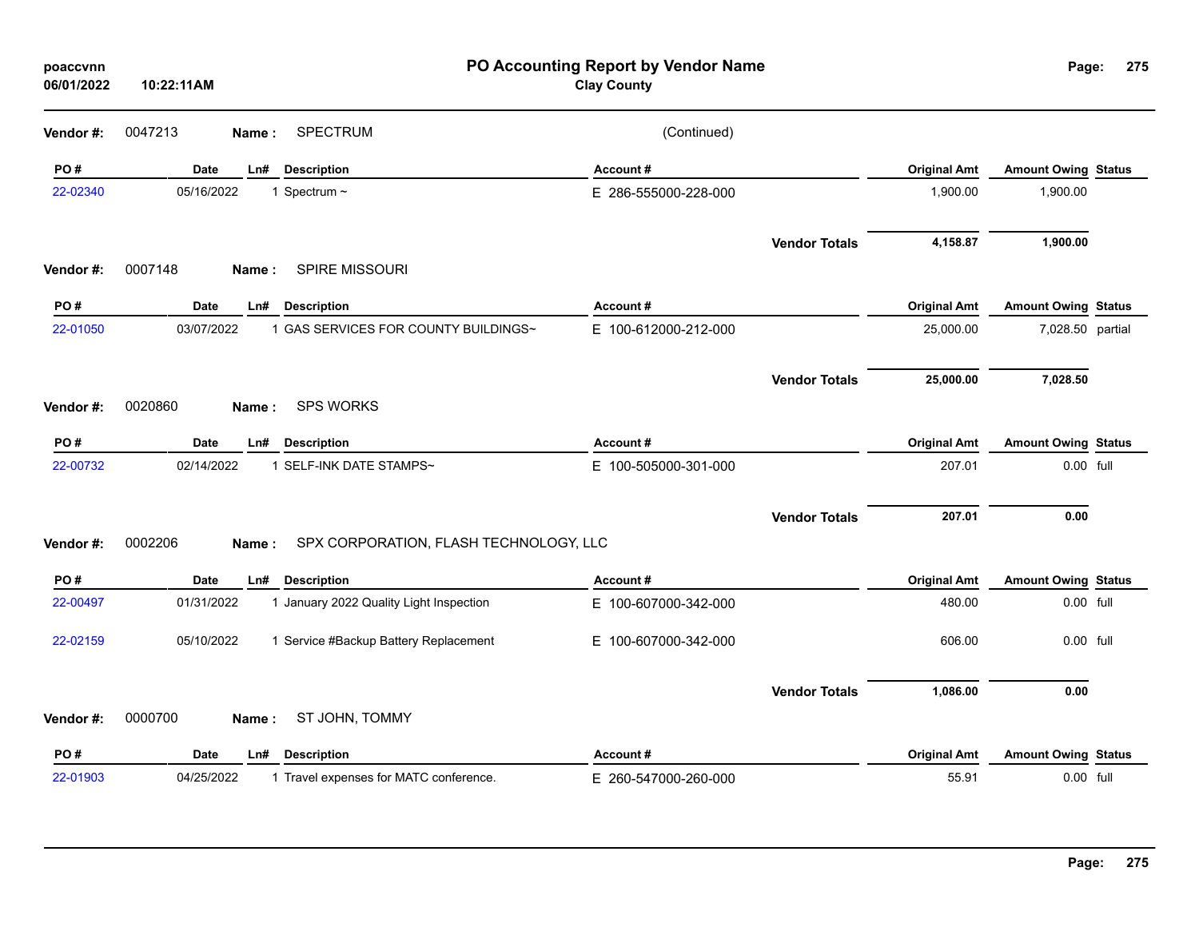| poaccvnn<br>06/01/2022 | 10:22:11AM               |                                         | PO Accounting Report by Vendor Name<br><b>Clay County</b> |                      |                     | Page:                      | 275 |
|------------------------|--------------------------|-----------------------------------------|-----------------------------------------------------------|----------------------|---------------------|----------------------------|-----|
| Vendor#:               | 0047213<br>Name:         | <b>SPECTRUM</b>                         | (Continued)                                               |                      |                     |                            |     |
| PO#                    | <b>Date</b><br>Ln#       | <b>Description</b>                      | Account#                                                  |                      | <b>Original Amt</b> | <b>Amount Owing Status</b> |     |
| 22-02340               | 05/16/2022               | 1 Spectrum ~                            | E 286-555000-228-000                                      |                      | 1,900.00            | 1,900.00                   |     |
|                        |                          |                                         |                                                           | <b>Vendor Totals</b> | 4,158.87            | 1,900.00                   |     |
| Vendor#:               | 0007148<br><b>Name</b> : | SPIRE MISSOURI                          |                                                           |                      |                     |                            |     |
| PO#                    | Date<br>Ln#              | <b>Description</b>                      | Account#                                                  |                      | <b>Original Amt</b> | <b>Amount Owing Status</b> |     |
| 22-01050               | 03/07/2022               | 1 GAS SERVICES FOR COUNTY BUILDINGS~    | E 100-612000-212-000                                      |                      | 25,000.00           | 7,028.50 partial           |     |
|                        |                          |                                         |                                                           | <b>Vendor Totals</b> | 25,000.00           | 7,028.50                   |     |
| Vendor#:               | 0020860<br><b>Name</b> : | <b>SPS WORKS</b>                        |                                                           |                      |                     |                            |     |
| PO#                    | Date<br>Ln#              | <b>Description</b>                      | Account#                                                  |                      | <b>Original Amt</b> | <b>Amount Owing Status</b> |     |
| 22-00732               | 02/14/2022               | 1 SELF-INK DATE STAMPS~                 | E 100-505000-301-000                                      |                      | 207.01              | 0.00 full                  |     |
|                        |                          |                                         |                                                           | <b>Vendor Totals</b> | 207.01              | 0.00                       |     |
| Vendor#:               | 0002206<br>Name:         | SPX CORPORATION, FLASH TECHNOLOGY, LLC  |                                                           |                      |                     |                            |     |
| PO#                    | Date<br>Ln#              | <b>Description</b>                      | Account#                                                  |                      | <b>Original Amt</b> | <b>Amount Owing Status</b> |     |
| 22-00497               | 01/31/2022               | 1 January 2022 Quality Light Inspection | E 100-607000-342-000                                      |                      | 480.00              | 0.00 full                  |     |
| 22-02159               | 05/10/2022               | 1 Service #Backup Battery Replacement   | E 100-607000-342-000                                      |                      | 606.00              | 0.00 full                  |     |
|                        |                          |                                         |                                                           | <b>Vendor Totals</b> | 1,086.00            | 0.00                       |     |
| Vendor#:               | 0000700<br>Name :        | ST JOHN, TOMMY                          |                                                           |                      |                     |                            |     |
| PO#                    | Date<br>Ln#              | <b>Description</b>                      | Account#                                                  |                      | <b>Original Amt</b> | <b>Amount Owing Status</b> |     |
| 22-01903               | 04/25/2022               | 1 Travel expenses for MATC conference.  | E 260-547000-260-000                                      |                      | 55.91               | 0.00 full                  |     |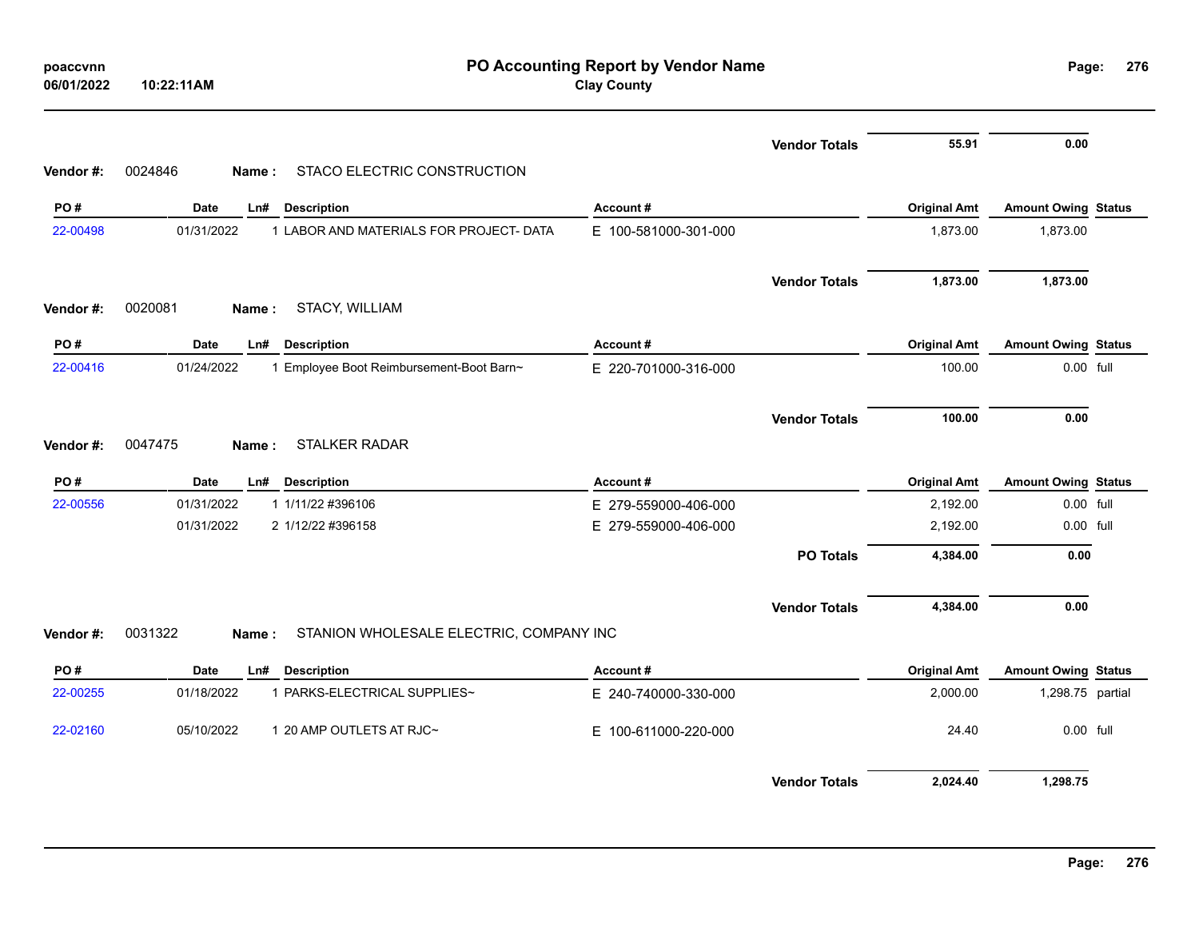|           | 10:22:11AM                                                  | PO Accounting Report by Vendor Name<br><b>Clay County</b> |                      |                     | Page:                      | 276 |
|-----------|-------------------------------------------------------------|-----------------------------------------------------------|----------------------|---------------------|----------------------------|-----|
|           |                                                             |                                                           | <b>Vendor Totals</b> | 55.91               | 0.00                       |     |
| Vendor#:  | STACO ELECTRIC CONSTRUCTION<br>0024846<br>Name:             |                                                           |                      |                     |                            |     |
| PO#       | Date<br>Ln# Description                                     | Account#                                                  |                      | <b>Original Amt</b> | <b>Amount Owing Status</b> |     |
| 22-00498  | 01/31/2022<br>1 LABOR AND MATERIALS FOR PROJECT- DATA       | E 100-581000-301-000                                      |                      | 1,873.00            | 1,873.00                   |     |
|           |                                                             |                                                           | <b>Vendor Totals</b> | 1,873.00            | 1,873.00                   |     |
| Vendor #: | 0020081<br>STACY, WILLIAM<br>Name:                          |                                                           |                      |                     |                            |     |
| PO#       | Date<br><b>Description</b><br>Ln#                           | Account#                                                  |                      | <b>Original Amt</b> | <b>Amount Owing Status</b> |     |
| 22-00416  | 01/24/2022<br>1 Employee Boot Reimbursement-Boot Barn~      | E 220-701000-316-000                                      |                      | 100.00              | 0.00 full                  |     |
|           |                                                             |                                                           | <b>Vendor Totals</b> | 100.00              | 0.00                       |     |
| Vendor#:  | 0047475<br><b>STALKER RADAR</b><br>Name:                    |                                                           |                      |                     |                            |     |
| PO#       | Date<br>Ln# Description                                     | Account#                                                  |                      | <b>Original Amt</b> | <b>Amount Owing Status</b> |     |
| 22-00556  | 01/31/2022<br>1 1/11/22 #396106                             | E 279-559000-406-000                                      |                      | 2,192.00            | 0.00 full                  |     |
|           | 01/31/2022<br>2 1/12/22 #396158                             | E 279-559000-406-000                                      |                      | 2,192.00            | 0.00 full                  |     |
|           |                                                             |                                                           | <b>PO Totals</b>     | 4,384.00            | 0.00                       |     |
|           |                                                             |                                                           | <b>Vendor Totals</b> | 4,384.00            | 0.00                       |     |
| Vendor#:  | 0031322<br>STANION WHOLESALE ELECTRIC, COMPANY INC<br>Name: |                                                           |                      |                     |                            |     |
| PO#       | Date<br><b>Description</b><br>Ln#                           | Account#                                                  |                      | <b>Original Amt</b> | <b>Amount Owing Status</b> |     |
| 22-00255  | 01/18/2022<br>1 PARKS-ELECTRICAL SUPPLIES~                  | E 240-740000-330-000                                      |                      | 2,000.00            | 1,298.75 partial           |     |
| 22-02160  | 05/10/2022<br>1 20 AMP OUTLETS AT RJC~                      | E 100-611000-220-000                                      |                      | 24.40               | 0.00 full                  |     |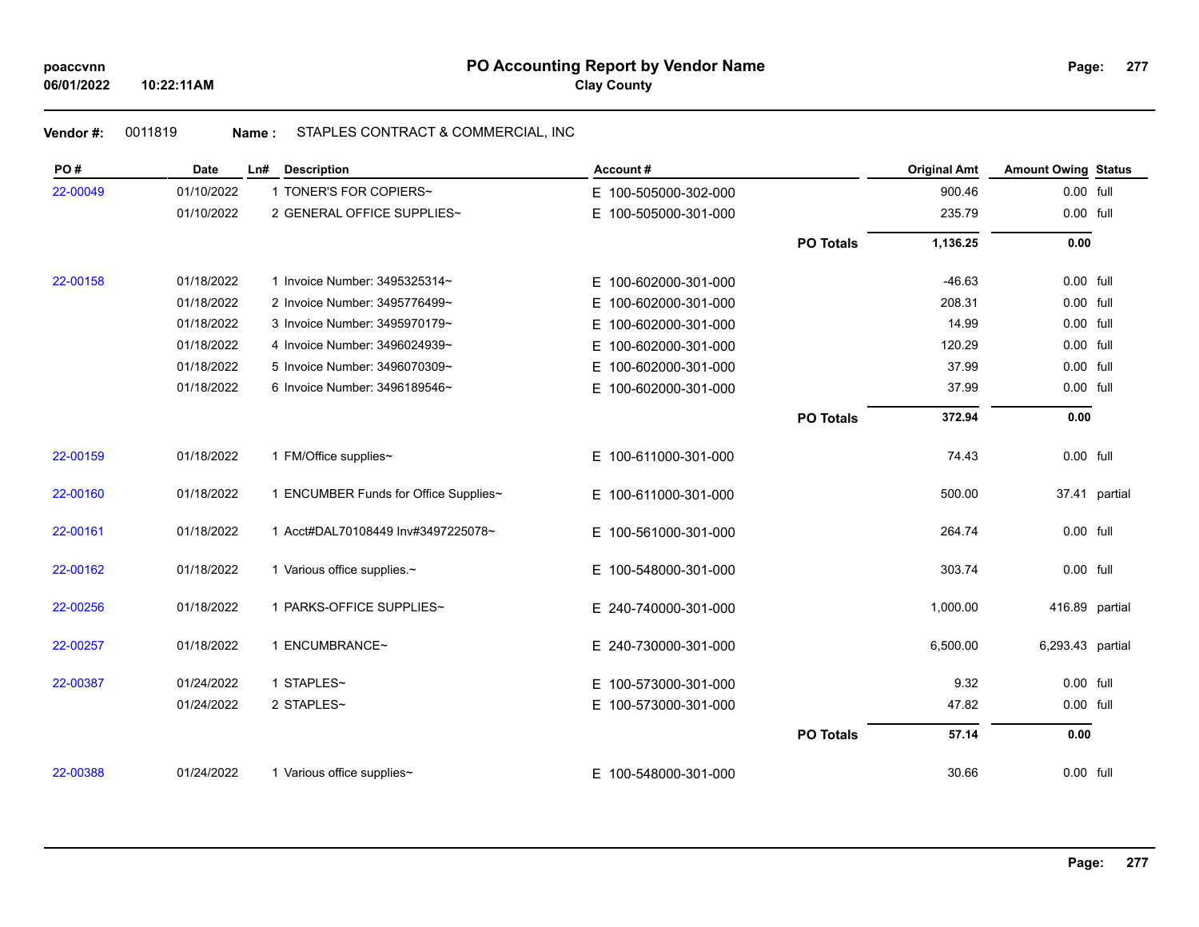# **Vendor #:** 0011819 **Name :** STAPLES CONTRACT & COMMERCIAL, INC

| PO#      | <b>Date</b> | Ln#<br><b>Description</b>             | Account#                 |                  | <b>Original Amt</b> | <b>Amount Owing Status</b> |               |
|----------|-------------|---------------------------------------|--------------------------|------------------|---------------------|----------------------------|---------------|
| 22-00049 | 01/10/2022  | 1 TONER'S FOR COPIERS~                | E 100-505000-302-000     |                  | 900.46              | 0.00 full                  |               |
|          | 01/10/2022  | 2 GENERAL OFFICE SUPPLIES~            | E 100-505000-301-000     |                  | 235.79              | 0.00 full                  |               |
|          |             |                                       |                          | <b>PO Totals</b> | 1,136.25            | 0.00                       |               |
| 22-00158 | 01/18/2022  | 1 Invoice Number: 3495325314~         | 100-602000-301-000<br>E. |                  | $-46.63$            | $0.00$ full                |               |
|          | 01/18/2022  | 2 Invoice Number: 3495776499~         | 100-602000-301-000<br>E. |                  | 208.31              | 0.00 full                  |               |
|          | 01/18/2022  | 3 Invoice Number: 3495970179~         | Е<br>100-602000-301-000  |                  | 14.99               | 0.00 full                  |               |
|          | 01/18/2022  | 4 Invoice Number: 3496024939~         | 100-602000-301-000<br>E. |                  | 120.29              | 0.00 full                  |               |
|          | 01/18/2022  | 5 Invoice Number: 3496070309~         | 100-602000-301-000<br>E. |                  | 37.99               | 0.00 full                  |               |
|          | 01/18/2022  | 6 Invoice Number: 3496189546~         | E 100-602000-301-000     |                  | 37.99               | 0.00 full                  |               |
|          |             |                                       |                          | <b>PO Totals</b> | 372.94              | 0.00                       |               |
| 22-00159 | 01/18/2022  | 1 FM/Office supplies~                 | E 100-611000-301-000     |                  | 74.43               | 0.00 full                  |               |
| 22-00160 | 01/18/2022  | 1 ENCUMBER Funds for Office Supplies~ | E 100-611000-301-000     |                  | 500.00              |                            | 37.41 partial |
| 22-00161 | 01/18/2022  | 1 Acct#DAL70108449 Inv#3497225078~    | E 100-561000-301-000     |                  | 264.74              | 0.00 full                  |               |
| 22-00162 | 01/18/2022  | 1 Various office supplies.~           | E 100-548000-301-000     |                  | 303.74              | 0.00 full                  |               |
| 22-00256 | 01/18/2022  | 1 PARKS-OFFICE SUPPLIES~              | E 240-740000-301-000     |                  | 1,000.00            | 416.89 partial             |               |
| 22-00257 | 01/18/2022  | 1 ENCUMBRANCE~                        | E 240-730000-301-000     |                  | 6,500.00            | 6,293.43 partial           |               |
| 22-00387 | 01/24/2022  | 1 STAPLES~                            | E 100-573000-301-000     |                  | 9.32                | 0.00 full                  |               |
|          | 01/24/2022  | 2 STAPLES~                            | E 100-573000-301-000     |                  | 47.82               | 0.00 full                  |               |
|          |             |                                       |                          | <b>PO Totals</b> | 57.14               | 0.00                       |               |
| 22-00388 | 01/24/2022  | 1 Various office supplies~            | E 100-548000-301-000     |                  | 30.66               | 0.00 full                  |               |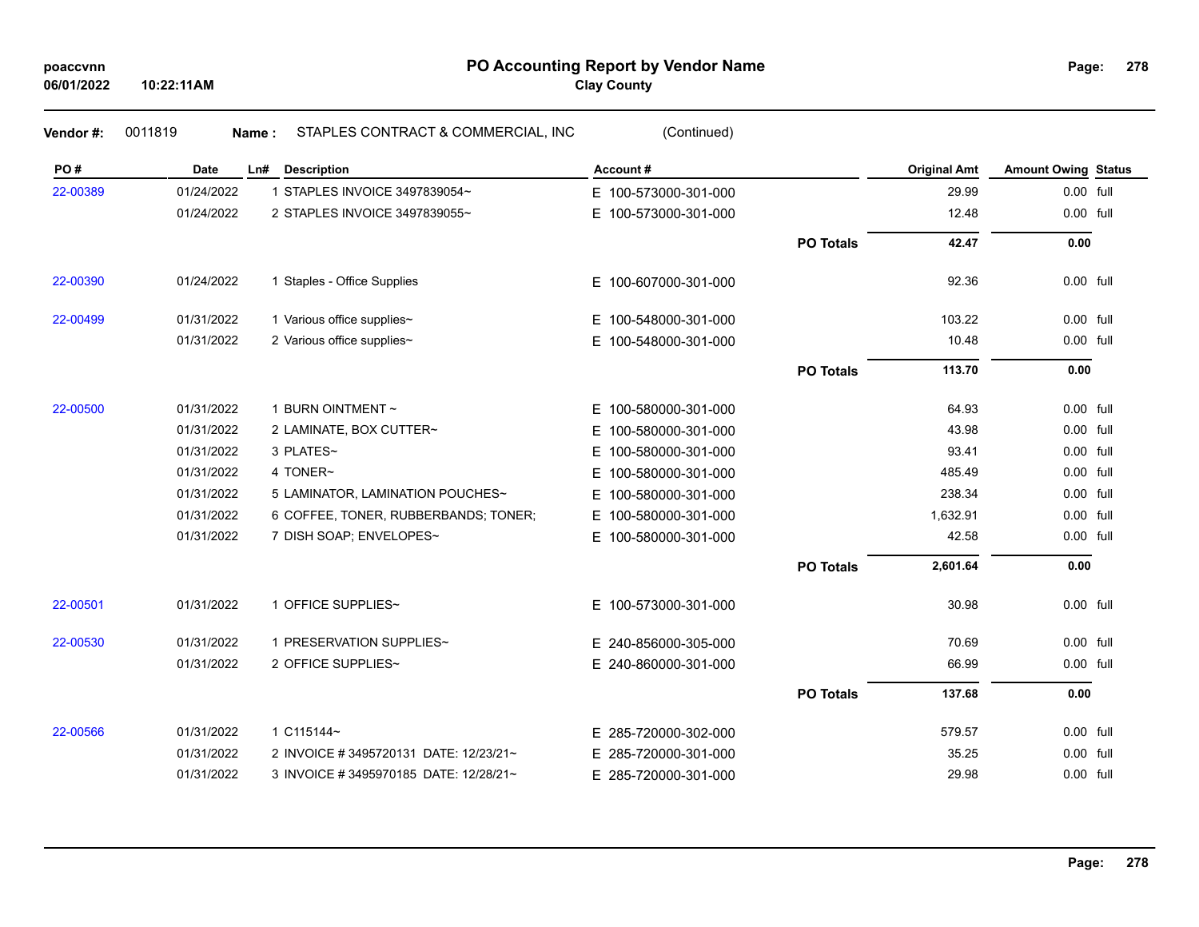# **PO Accounting Report by Vendor Name poaccvnn Page: Clay County**

| Vendor#: | 0011819     | STAPLES CONTRACT & COMMERCIAL, INC<br>Name: | (Continued)              |                  |                     |                            |  |
|----------|-------------|---------------------------------------------|--------------------------|------------------|---------------------|----------------------------|--|
| PO#      | <b>Date</b> | Ln# Description                             | Account#                 |                  | <b>Original Amt</b> | <b>Amount Owing Status</b> |  |
| 22-00389 | 01/24/2022  | 1 STAPLES INVOICE 3497839054~               | E 100-573000-301-000     |                  | 29.99               | 0.00 full                  |  |
|          | 01/24/2022  | 2 STAPLES INVOICE 3497839055~               | 100-573000-301-000<br>E. |                  | 12.48               | 0.00 full                  |  |
|          |             |                                             |                          | <b>PO Totals</b> | 42.47               | 0.00                       |  |
| 22-00390 | 01/24/2022  | 1 Staples - Office Supplies                 | E 100-607000-301-000     |                  | 92.36               | 0.00 full                  |  |
| 22-00499 | 01/31/2022  | 1 Various office supplies~                  | 100-548000-301-000<br>E. |                  | 103.22              | 0.00 full                  |  |
|          | 01/31/2022  | 2 Various office supplies~                  | E 100-548000-301-000     |                  | 10.48               | 0.00 full                  |  |
|          |             |                                             |                          | <b>PO Totals</b> | 113.70              | 0.00                       |  |
| 22-00500 | 01/31/2022  | 1 BURN OINTMENT ~                           | 100-580000-301-000<br>E. |                  | 64.93               | 0.00 full                  |  |
|          | 01/31/2022  | 2 LAMINATE, BOX CUTTER~                     | 100-580000-301-000<br>Е. |                  | 43.98               | 0.00 full                  |  |
|          | 01/31/2022  | 3 PLATES~                                   | 100-580000-301-000<br>E. |                  | 93.41               | 0.00 full                  |  |
|          | 01/31/2022  | 4 TONER~                                    | 100-580000-301-000<br>Е  |                  | 485.49              | 0.00 full                  |  |
|          | 01/31/2022  | 5 LAMINATOR, LAMINATION POUCHES~            | 100-580000-301-000<br>E. |                  | 238.34              | 0.00 full                  |  |
|          | 01/31/2022  | 6 COFFEE, TONER, RUBBERBANDS; TONER;        | 100-580000-301-000<br>E. |                  | 1,632.91            | 0.00 full                  |  |
|          | 01/31/2022  | 7 DISH SOAP; ENVELOPES~                     | E 100-580000-301-000     |                  | 42.58               | 0.00 full                  |  |
|          |             |                                             |                          | <b>PO Totals</b> | 2,601.64            | 0.00                       |  |
| 22-00501 | 01/31/2022  | 1 OFFICE SUPPLIES~                          | 100-573000-301-000<br>E. |                  | 30.98               | 0.00 full                  |  |
| 22-00530 | 01/31/2022  | 1 PRESERVATION SUPPLIES~                    | E 240-856000-305-000     |                  | 70.69               | 0.00 full                  |  |
|          | 01/31/2022  | 2 OFFICE SUPPLIES~                          | E 240-860000-301-000     |                  | 66.99               | 0.00 full                  |  |
|          |             |                                             |                          | <b>PO Totals</b> | 137.68              | 0.00                       |  |
| 22-00566 | 01/31/2022  | 1 C115144~                                  | E 285-720000-302-000     |                  | 579.57              | 0.00 full                  |  |
|          | 01/31/2022  | 2 INVOICE # 3495720131 DATE: 12/23/21~      | E 285-720000-301-000     |                  | 35.25               | 0.00 full                  |  |
|          | 01/31/2022  | 3 INVOICE # 3495970185 DATE: 12/28/21~      | E 285-720000-301-000     |                  | 29.98               | 0.00 full                  |  |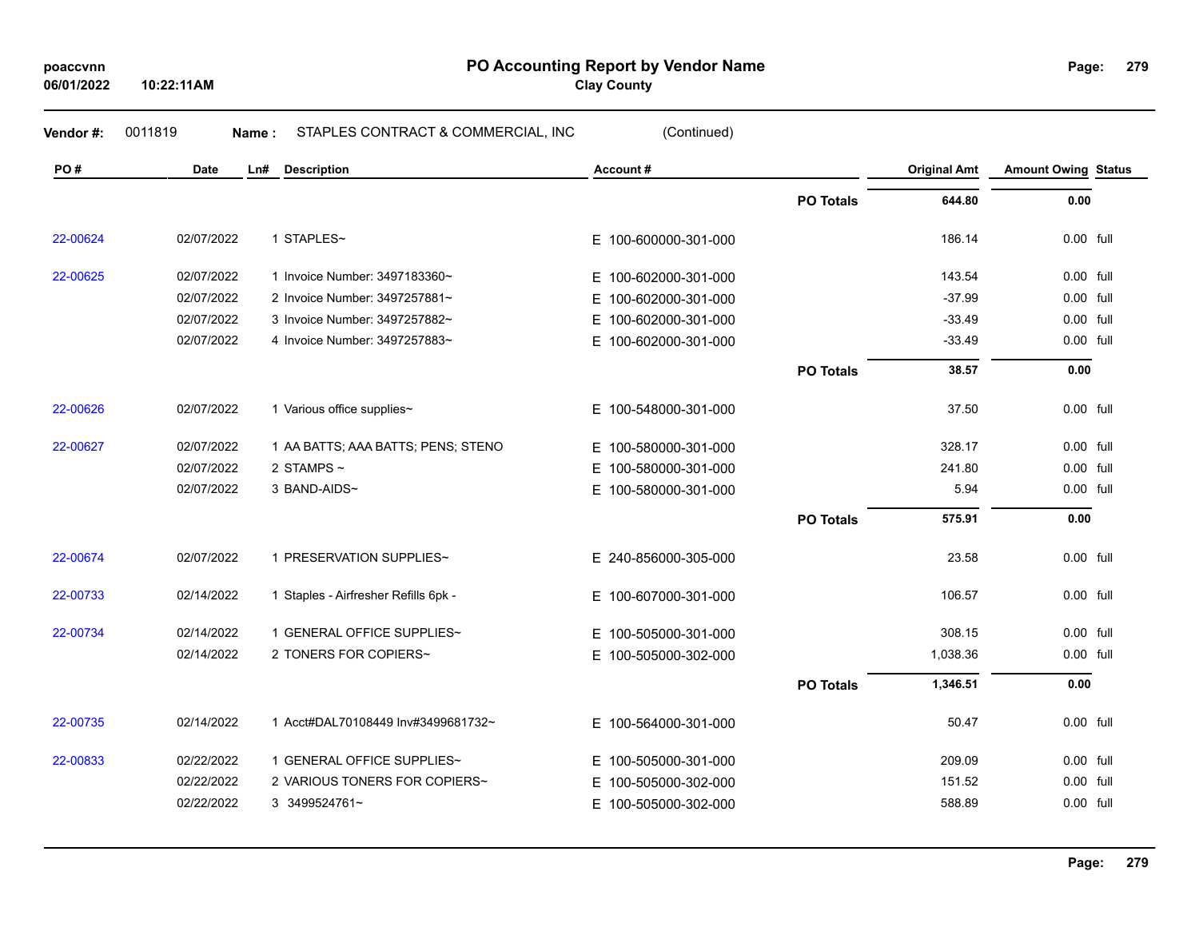| poaccvnn   |
|------------|
| 06/01/2022 |

**10:22:11AM**

**PO Accounting Report by Vendor Name poaccvnn Page:**

**Clay County**

| Vendor #: | 0011819<br>Name: | STAPLES CONTRACT & COMMERCIAL, INC   | (Continued)              |                  |                     |                            |  |
|-----------|------------------|--------------------------------------|--------------------------|------------------|---------------------|----------------------------|--|
| PO#       | Date             | Ln#<br><b>Description</b>            | Account#                 |                  | <b>Original Amt</b> | <b>Amount Owing Status</b> |  |
|           |                  |                                      |                          | <b>PO Totals</b> | 644.80              | 0.00                       |  |
| 22-00624  | 02/07/2022       | 1 STAPLES~                           | E 100-600000-301-000     |                  | 186.14              | $0.00$ full                |  |
| 22-00625  | 02/07/2022       | 1 Invoice Number: 3497183360~        | E 100-602000-301-000     |                  | 143.54              | 0.00 full                  |  |
|           | 02/07/2022       | 2 Invoice Number: 3497257881~        | E.<br>100-602000-301-000 |                  | $-37.99$            | $0.00$ full                |  |
|           | 02/07/2022       | 3 Invoice Number: 3497257882~        | E 100-602000-301-000     |                  | $-33.49$            | 0.00 full                  |  |
|           | 02/07/2022       | 4 Invoice Number: 3497257883~        | E.<br>100-602000-301-000 |                  | $-33.49$            | 0.00 full                  |  |
|           |                  |                                      |                          | <b>PO Totals</b> | 38.57               | 0.00                       |  |
| 22-00626  | 02/07/2022       | 1 Various office supplies~           | E 100-548000-301-000     |                  | 37.50               | $0.00$ full                |  |
| 22-00627  | 02/07/2022       | 1 AA BATTS; AAA BATTS; PENS; STENO   | E 100-580000-301-000     |                  | 328.17              | $0.00$ full                |  |
|           | 02/07/2022       | 2 STAMPS $\sim$                      | E.<br>100-580000-301-000 |                  | 241.80              | 0.00 full                  |  |
|           | 02/07/2022       | 3 BAND-AIDS~                         | E 100-580000-301-000     |                  | 5.94                | 0.00 full                  |  |
|           |                  |                                      |                          | <b>PO Totals</b> | 575.91              | 0.00                       |  |
| 22-00674  | 02/07/2022       | 1 PRESERVATION SUPPLIES~             | E 240-856000-305-000     |                  | 23.58               | 0.00 full                  |  |
| 22-00733  | 02/14/2022       | 1 Staples - Airfresher Refills 6pk - | E 100-607000-301-000     |                  | 106.57              | 0.00 full                  |  |
| 22-00734  | 02/14/2022       | 1 GENERAL OFFICE SUPPLIES~           | E 100-505000-301-000     |                  | 308.15              | $0.00$ full                |  |
|           | 02/14/2022       | 2 TONERS FOR COPIERS~                | E 100-505000-302-000     |                  | 1,038.36            | 0.00 full                  |  |
|           |                  |                                      |                          | <b>PO Totals</b> | 1,346.51            | 0.00                       |  |
| 22-00735  | 02/14/2022       | 1 Acct#DAL70108449 Inv#3499681732~   | E 100-564000-301-000     |                  | 50.47               | 0.00 full                  |  |
| 22-00833  | 02/22/2022       | 1 GENERAL OFFICE SUPPLIES~           | E 100-505000-301-000     |                  | 209.09              | 0.00 full                  |  |
|           | 02/22/2022       | 2 VARIOUS TONERS FOR COPIERS~        | 100-505000-302-000<br>E. |                  | 151.52              | $0.00$ full                |  |
|           | 02/22/2022       | 3 3499524761~                        | E 100-505000-302-000     |                  | 588.89              | 0.00 full                  |  |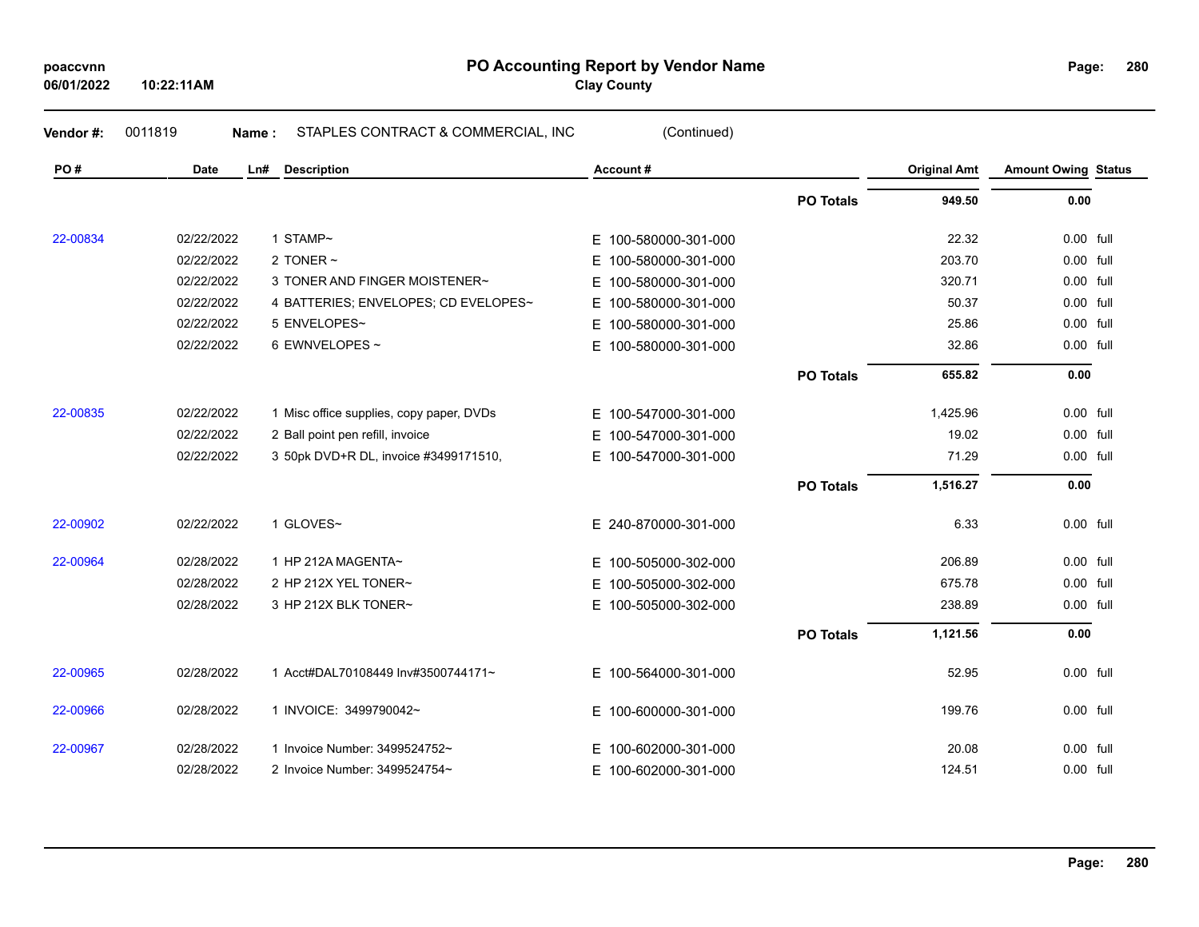| poaccvnn |
|----------|
|----------|

**PO Accounting Report by Vendor Name poaccvnn Page: Clay County**

**280**

**06/01/2022 10:22:11AM**

| PO#      | <b>Date</b> | Ln#<br><b>Description</b>                | Account#             |                  | <b>Original Amt</b> | <b>Amount Owing Status</b> |  |
|----------|-------------|------------------------------------------|----------------------|------------------|---------------------|----------------------------|--|
|          |             |                                          |                      | <b>PO Totals</b> | 949.50              | 0.00                       |  |
| 22-00834 | 02/22/2022  | 1 STAMP~                                 | E 100-580000-301-000 |                  | 22.32               | 0.00 full                  |  |
|          | 02/22/2022  | 2 TONER $\sim$                           | E 100-580000-301-000 |                  | 203.70              | 0.00 full                  |  |
|          | 02/22/2022  | 3 TONER AND FINGER MOISTENER~            | E 100-580000-301-000 |                  | 320.71              | 0.00 full                  |  |
|          | 02/22/2022  | 4 BATTERIES; ENVELOPES; CD EVELOPES~     | E 100-580000-301-000 |                  | 50.37               | 0.00 full                  |  |
|          | 02/22/2022  | 5 ENVELOPES~                             | E 100-580000-301-000 |                  | 25.86               | 0.00 full                  |  |
|          | 02/22/2022  | 6 EWNVELOPES ~                           | E 100-580000-301-000 |                  | 32.86               | 0.00 full                  |  |
|          |             |                                          |                      | <b>PO Totals</b> | 655.82              | 0.00                       |  |
| 22-00835 | 02/22/2022  | 1 Misc office supplies, copy paper, DVDs | E 100-547000-301-000 |                  | 1,425.96            | 0.00 full                  |  |
|          | 02/22/2022  | 2 Ball point pen refill, invoice         | E 100-547000-301-000 |                  | 19.02               | 0.00 full                  |  |
|          | 02/22/2022  | 3 50pk DVD+R DL, invoice #3499171510,    | E 100-547000-301-000 |                  | 71.29               | 0.00 full                  |  |
|          |             |                                          |                      | <b>PO Totals</b> | 1,516.27            | 0.00                       |  |
| 22-00902 | 02/22/2022  | 1 GLOVES~                                | E 240-870000-301-000 |                  | 6.33                | 0.00 full                  |  |
| 22-00964 | 02/28/2022  | 1 HP 212A MAGENTA~                       | E 100-505000-302-000 |                  | 206.89              | $0.00$ full                |  |
|          | 02/28/2022  | 2 HP 212X YEL TONER~                     | E 100-505000-302-000 |                  | 675.78              | 0.00 full                  |  |
|          | 02/28/2022  | 3 HP 212X BLK TONER~                     | E 100-505000-302-000 |                  | 238.89              | 0.00 full                  |  |
|          |             |                                          |                      | <b>PO Totals</b> | 1,121.56            | 0.00                       |  |
| 22-00965 | 02/28/2022  | 1 Acct#DAL70108449 Inv#3500744171~       | E 100-564000-301-000 |                  | 52.95               | 0.00 full                  |  |
| 22-00966 | 02/28/2022  | 1 INVOICE: 3499790042~                   | E 100-600000-301-000 |                  | 199.76              | 0.00 full                  |  |
| 22-00967 | 02/28/2022  | 1 Invoice Number: 3499524752~            | E 100-602000-301-000 |                  | 20.08               | 0.00 full                  |  |
|          | 02/28/2022  | 2 Invoice Number: 3499524754~            | E 100-602000-301-000 |                  | 124.51              | 0.00 full                  |  |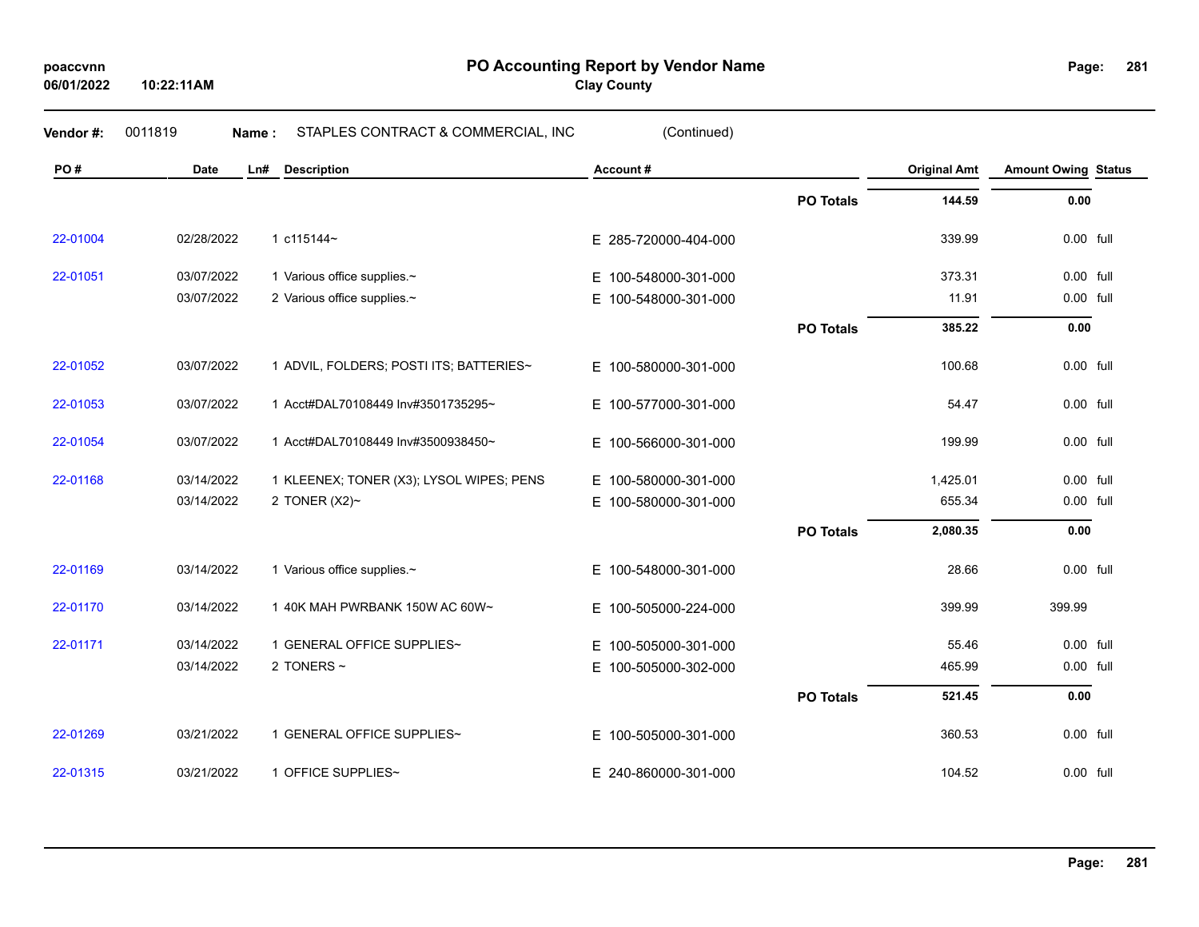**06/01/2022**

**10:22:11AM**

**PO Accounting Report by Vendor Name poaccvnn Page:**

**Clay County**

| Vendor#: | 0011819<br>Name: | STAPLES CONTRACT & COMMERCIAL, INC       | (Continued)              |                  |                     |                            |  |
|----------|------------------|------------------------------------------|--------------------------|------------------|---------------------|----------------------------|--|
| PO#      | <b>Date</b>      | <b>Description</b><br>Ln#                | Account#                 |                  | <b>Original Amt</b> | <b>Amount Owing Status</b> |  |
|          |                  |                                          |                          | <b>PO Totals</b> | 144.59              | 0.00                       |  |
| 22-01004 | 02/28/2022       | 1 c115144~                               | E 285-720000-404-000     |                  | 339.99              | 0.00 full                  |  |
| 22-01051 | 03/07/2022       | 1 Various office supplies.~              | E 100-548000-301-000     |                  | 373.31              | 0.00 full                  |  |
|          | 03/07/2022       | 2 Various office supplies.~              | 100-548000-301-000<br>E. |                  | 11.91               | 0.00 full                  |  |
|          |                  |                                          |                          | <b>PO Totals</b> | 385.22              | 0.00                       |  |
| 22-01052 | 03/07/2022       | 1 ADVIL, FOLDERS; POSTI ITS; BATTERIES~  | E 100-580000-301-000     |                  | 100.68              | $0.00$ full                |  |
| 22-01053 | 03/07/2022       | 1 Acct#DAL70108449 Inv#3501735295~       | E 100-577000-301-000     |                  | 54.47               | 0.00 full                  |  |
| 22-01054 | 03/07/2022       | 1 Acct#DAL70108449 Inv#3500938450~       | E 100-566000-301-000     |                  | 199.99              | 0.00 full                  |  |
| 22-01168 | 03/14/2022       | 1 KLEENEX; TONER (X3); LYSOL WIPES; PENS | E 100-580000-301-000     |                  | 1,425.01            | 0.00 full                  |  |
|          | 03/14/2022       | 2 TONER $(X2)~$                          | E 100-580000-301-000     |                  | 655.34              | 0.00 full                  |  |
|          |                  |                                          |                          | <b>PO Totals</b> | 2,080.35            | 0.00                       |  |
| 22-01169 | 03/14/2022       | 1 Various office supplies.~              | E 100-548000-301-000     |                  | 28.66               | 0.00 full                  |  |
| 22-01170 | 03/14/2022       | 1 40K MAH PWRBANK 150W AC 60W~           | E 100-505000-224-000     |                  | 399.99              | 399.99                     |  |
| 22-01171 | 03/14/2022       | 1 GENERAL OFFICE SUPPLIES~               | E 100-505000-301-000     |                  | 55.46               | $0.00$ full                |  |
|          | 03/14/2022       | 2 TONERS $\sim$                          | 100-505000-302-000<br>Е. |                  | 465.99              | 0.00 full                  |  |
|          |                  |                                          |                          | <b>PO Totals</b> | 521.45              | 0.00                       |  |
| 22-01269 | 03/21/2022       | 1 GENERAL OFFICE SUPPLIES~               | E 100-505000-301-000     |                  | 360.53              | 0.00 full                  |  |
| 22-01315 | 03/21/2022       | 1 OFFICE SUPPLIES~                       | E 240-860000-301-000     |                  | 104.52              | 0.00 full                  |  |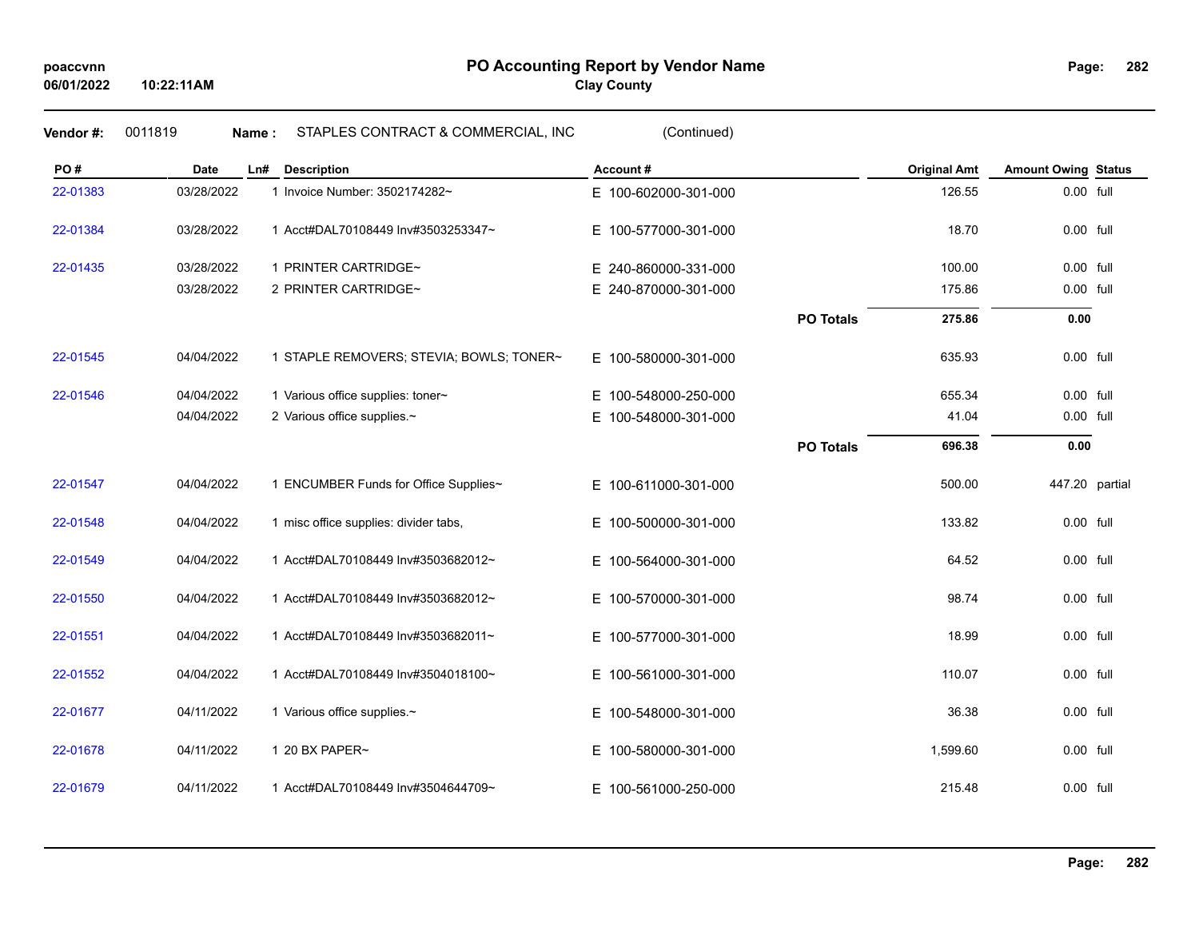| Vendor#: | 0011819    | STAPLES CONTRACT & COMMERCIAL, INC<br>Name: | (Continued)              |                  |                     |                            |  |
|----------|------------|---------------------------------------------|--------------------------|------------------|---------------------|----------------------------|--|
| PO#      | Date       | <b>Description</b><br>Ln#                   | Account#                 |                  | <b>Original Amt</b> | <b>Amount Owing Status</b> |  |
| 22-01383 | 03/28/2022 | 1 Invoice Number: 3502174282~               | E 100-602000-301-000     |                  | 126.55              | 0.00 full                  |  |
| 22-01384 | 03/28/2022 | 1 Acct#DAL70108449 Inv#3503253347~          | E 100-577000-301-000     |                  | 18.70               | 0.00 full                  |  |
| 22-01435 | 03/28/2022 | 1 PRINTER CARTRIDGE~                        | E 240-860000-331-000     |                  | 100.00              | 0.00 full                  |  |
|          | 03/28/2022 | 2 PRINTER CARTRIDGE~                        | E 240-870000-301-000     |                  | 175.86              | 0.00 full                  |  |
|          |            |                                             |                          | <b>PO Totals</b> | 275.86              | 0.00                       |  |
| 22-01545 | 04/04/2022 | 1 STAPLE REMOVERS; STEVIA; BOWLS; TONER~    | E 100-580000-301-000     |                  | 635.93              | 0.00 full                  |  |
| 22-01546 | 04/04/2022 | 1 Various office supplies: toner~           | E 100-548000-250-000     |                  | 655.34              | 0.00 full                  |  |
|          | 04/04/2022 | 2 Various office supplies.~                 | E 100-548000-301-000     |                  | 41.04               | 0.00 full                  |  |
|          |            |                                             |                          | <b>PO Totals</b> | 696.38              | 0.00                       |  |
| 22-01547 | 04/04/2022 | 1 ENCUMBER Funds for Office Supplies~       | E 100-611000-301-000     |                  | 500.00              | 447.20 partial             |  |
| 22-01548 | 04/04/2022 | 1 misc office supplies: divider tabs,       | E 100-500000-301-000     |                  | 133.82              | 0.00 full                  |  |
| 22-01549 | 04/04/2022 | 1 Acct#DAL70108449 Inv#3503682012~          | E 100-564000-301-000     |                  | 64.52               | 0.00 full                  |  |
| 22-01550 | 04/04/2022 | 1 Acct#DAL70108449 Inv#3503682012~          | E 100-570000-301-000     |                  | 98.74               | 0.00 full                  |  |
| 22-01551 | 04/04/2022 | 1 Acct#DAL70108449 Inv#3503682011~          | E 100-577000-301-000     |                  | 18.99               | 0.00 full                  |  |
| 22-01552 | 04/04/2022 | 1 Acct#DAL70108449 Inv#3504018100~          | E 100-561000-301-000     |                  | 110.07              | $0.00$ full                |  |
| 22-01677 | 04/11/2022 | 1 Various office supplies.~                 | E 100-548000-301-000     |                  | 36.38               | 0.00 full                  |  |
| 22-01678 | 04/11/2022 | 1 20 BX PAPER~                              | 100-580000-301-000<br>E. |                  | 1,599.60            | 0.00 full                  |  |
| 22-01679 | 04/11/2022 | 1 Acct#DAL70108449 Inv#3504644709~          | E 100-561000-250-000     |                  | 215.48              | 0.00 full                  |  |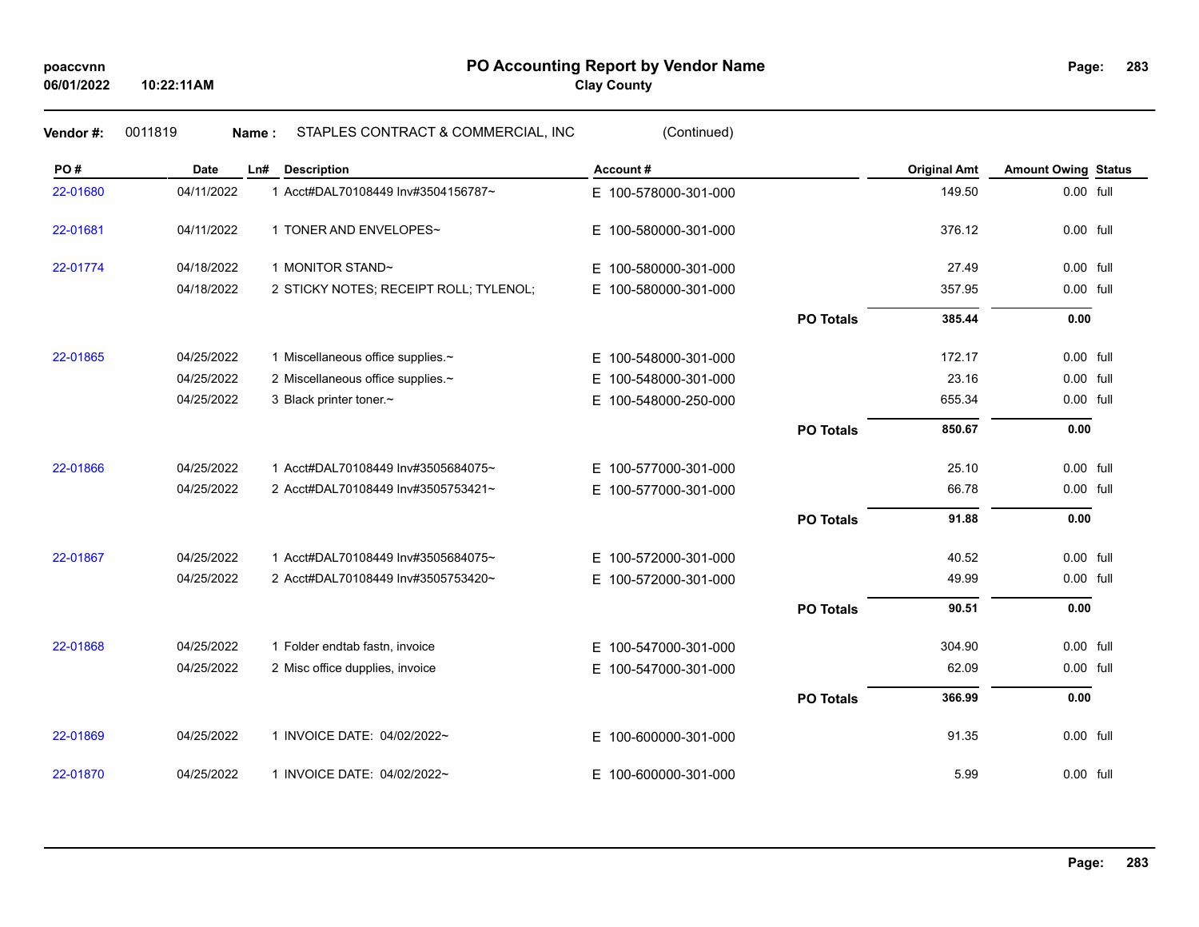# **PO Accounting Report by Vendor Name poaccvnn Page: Clay County**

| Vendor #: | 0011819    | STAPLES CONTRACT & COMMERCIAL, INC<br>Name: | (Continued)              |                  |                     |                            |  |
|-----------|------------|---------------------------------------------|--------------------------|------------------|---------------------|----------------------------|--|
| PO#       | Date       | Ln#<br><b>Description</b>                   | Account#                 |                  | <b>Original Amt</b> | <b>Amount Owing Status</b> |  |
| 22-01680  | 04/11/2022 | 1 Acct#DAL70108449 Inv#3504156787~          | E 100-578000-301-000     |                  | 149.50              | 0.00 full                  |  |
| 22-01681  | 04/11/2022 | 1 TONER AND ENVELOPES~                      | E 100-580000-301-000     |                  | 376.12              | 0.00 full                  |  |
| 22-01774  | 04/18/2022 | 1 MONITOR STAND~                            | E.<br>100-580000-301-000 |                  | 27.49               | $0.00$ full                |  |
|           | 04/18/2022 | 2 STICKY NOTES; RECEIPT ROLL; TYLENOL;      | E 100-580000-301-000     |                  | 357.95              | 0.00 full                  |  |
|           |            |                                             |                          | <b>PO Totals</b> | 385.44              | 0.00                       |  |
| 22-01865  | 04/25/2022 | 1 Miscellaneous office supplies.~           | E 100-548000-301-000     |                  | 172.17              | 0.00 full                  |  |
|           | 04/25/2022 | 2 Miscellaneous office supplies.~           | 100-548000-301-000<br>E. |                  | 23.16               | 0.00 full                  |  |
|           | 04/25/2022 | 3 Black printer toner.~                     | E 100-548000-250-000     |                  | 655.34              | 0.00 full                  |  |
|           |            |                                             |                          | <b>PO Totals</b> | 850.67              | 0.00                       |  |
| 22-01866  | 04/25/2022 | 1 Acct#DAL70108449 Inv#3505684075~          | E 100-577000-301-000     |                  | 25.10               | 0.00 full                  |  |
|           | 04/25/2022 | 2 Acct#DAL70108449 Inv#3505753421~          | E 100-577000-301-000     |                  | 66.78               | 0.00 full                  |  |
|           |            |                                             |                          | <b>PO Totals</b> | 91.88               | 0.00                       |  |
| 22-01867  | 04/25/2022 | 1 Acct#DAL70108449 Inv#3505684075~          | E 100-572000-301-000     |                  | 40.52               | 0.00 full                  |  |
|           | 04/25/2022 | 2 Acct#DAL70108449 Inv#3505753420~          | E 100-572000-301-000     |                  | 49.99               | 0.00 full                  |  |
|           |            |                                             |                          | <b>PO Totals</b> | 90.51               | 0.00                       |  |
| 22-01868  | 04/25/2022 | 1 Folder endtab fastn, invoice              | E 100-547000-301-000     |                  | 304.90              | 0.00 full                  |  |
|           | 04/25/2022 | 2 Misc office dupplies, invoice             | E 100-547000-301-000     |                  | 62.09               | 0.00 full                  |  |
|           |            |                                             |                          | <b>PO Totals</b> | 366.99              | 0.00                       |  |
| 22-01869  | 04/25/2022 | 1 INVOICE DATE: 04/02/2022~                 | E 100-600000-301-000     |                  | 91.35               | 0.00 full                  |  |
| 22-01870  | 04/25/2022 | 1 INVOICE DATE: 04/02/2022~                 | E 100-600000-301-000     |                  | 5.99                | 0.00 full                  |  |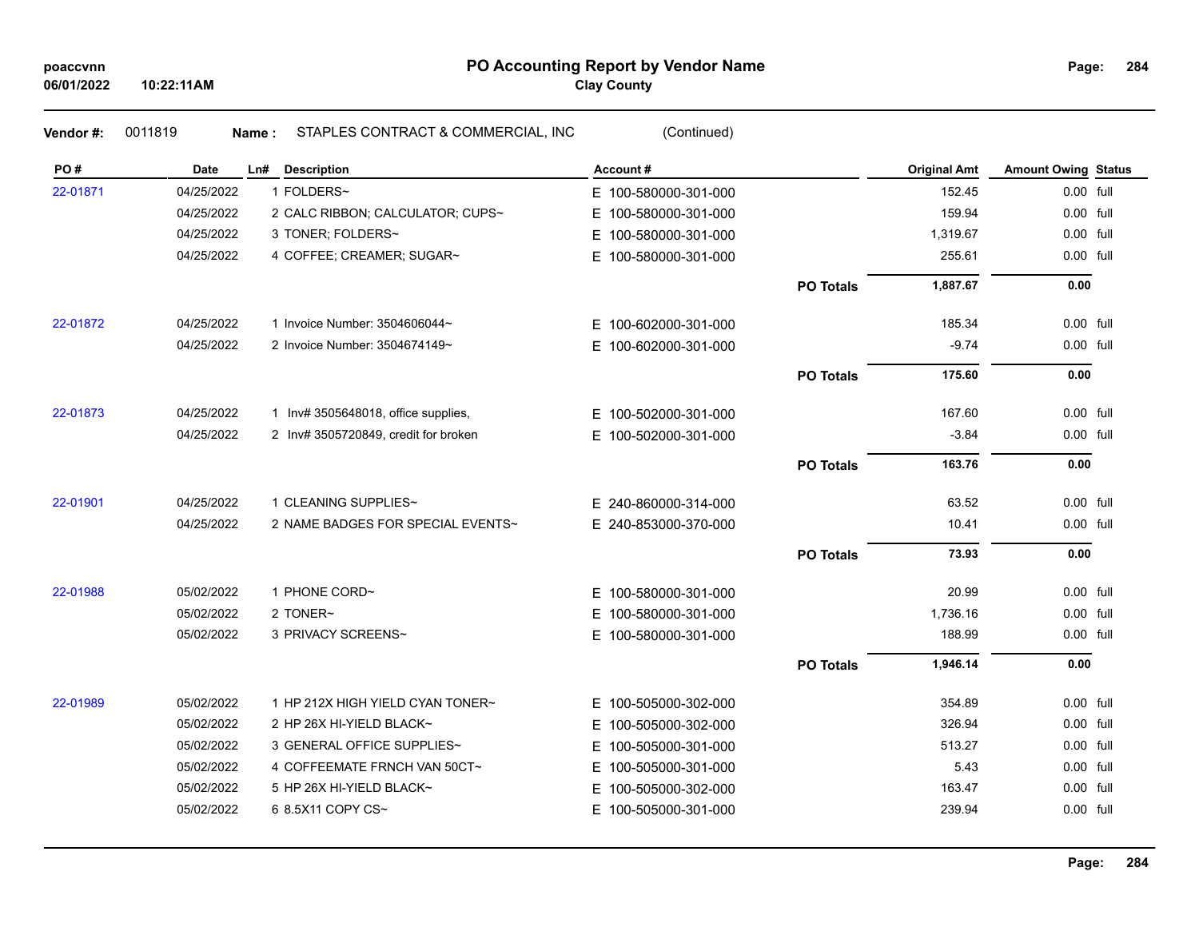# **PO Accounting Report by Vendor Name poaccvnn Page: Clay County**

| Vendor #: | 0011819    | STAPLES CONTRACT & COMMERCIAL, INC<br>Name : | (Continued)              |                  |                     |                            |  |
|-----------|------------|----------------------------------------------|--------------------------|------------------|---------------------|----------------------------|--|
| PO#       | Date       | Ln# Description                              | Account#                 |                  | <b>Original Amt</b> | <b>Amount Owing Status</b> |  |
| 22-01871  | 04/25/2022 | 1 FOLDERS~                                   | E 100-580000-301-000     |                  | 152.45              | 0.00 full                  |  |
|           | 04/25/2022 | 2 CALC RIBBON; CALCULATOR; CUPS~             | E 100-580000-301-000     |                  | 159.94              | 0.00 full                  |  |
|           | 04/25/2022 | 3 TONER; FOLDERS~                            | E 100-580000-301-000     |                  | 1,319.67            | 0.00 full                  |  |
|           | 04/25/2022 | 4 COFFEE; CREAMER; SUGAR~                    | E 100-580000-301-000     |                  | 255.61              | 0.00 full                  |  |
|           |            |                                              |                          | <b>PO Totals</b> | 1,887.67            | 0.00                       |  |
| 22-01872  | 04/25/2022 | 1 Invoice Number: 3504606044~                | E 100-602000-301-000     |                  | 185.34              | 0.00 full                  |  |
|           | 04/25/2022 | 2 Invoice Number: 3504674149~                | E 100-602000-301-000     |                  | $-9.74$             | 0.00 full                  |  |
|           |            |                                              |                          | <b>PO Totals</b> | 175.60              | 0.00                       |  |
| 22-01873  | 04/25/2022 | 1 Inv# 3505648018, office supplies,          | E 100-502000-301-000     |                  | 167.60              | 0.00 full                  |  |
|           | 04/25/2022 | 2 Inv# 3505720849, credit for broken         | E 100-502000-301-000     |                  | $-3.84$             | 0.00 full                  |  |
|           |            |                                              |                          | <b>PO Totals</b> | 163.76              | 0.00                       |  |
| 22-01901  | 04/25/2022 | 1 CLEANING SUPPLIES~                         | E 240-860000-314-000     |                  | 63.52               | 0.00 full                  |  |
|           | 04/25/2022 | 2 NAME BADGES FOR SPECIAL EVENTS~            | E 240-853000-370-000     |                  | 10.41               | 0.00 full                  |  |
|           |            |                                              |                          | <b>PO Totals</b> | 73.93               | 0.00                       |  |
| 22-01988  | 05/02/2022 | 1 PHONE CORD~                                | E 100-580000-301-000     |                  | 20.99               | 0.00 full                  |  |
|           | 05/02/2022 | 2 TONER~                                     | E 100-580000-301-000     |                  | 1,736.16            | 0.00 full                  |  |
|           | 05/02/2022 | 3 PRIVACY SCREENS~                           | E 100-580000-301-000     |                  | 188.99              | 0.00 full                  |  |
|           |            |                                              |                          | <b>PO Totals</b> | 1,946.14            | 0.00                       |  |
| 22-01989  | 05/02/2022 | 1 HP 212X HIGH YIELD CYAN TONER~             | E 100-505000-302-000     |                  | 354.89              | 0.00 full                  |  |
|           | 05/02/2022 | 2 HP 26X HI-YIELD BLACK~                     | E 100-505000-302-000     |                  | 326.94              | $0.00$ full                |  |
|           | 05/02/2022 | 3 GENERAL OFFICE SUPPLIES~                   | 100-505000-301-000<br>E. |                  | 513.27              | 0.00 full                  |  |
|           | 05/02/2022 | 4 COFFEEMATE FRNCH VAN 50CT~                 | E 100-505000-301-000     |                  | 5.43                | 0.00 full                  |  |
|           | 05/02/2022 | 5 HP 26X HI-YIELD BLACK~                     | 100-505000-302-000<br>E. |                  | 163.47              | 0.00 full                  |  |
|           | 05/02/2022 | 6 8.5X11 COPY CS~                            | E 100-505000-301-000     |                  | 239.94              | 0.00 full                  |  |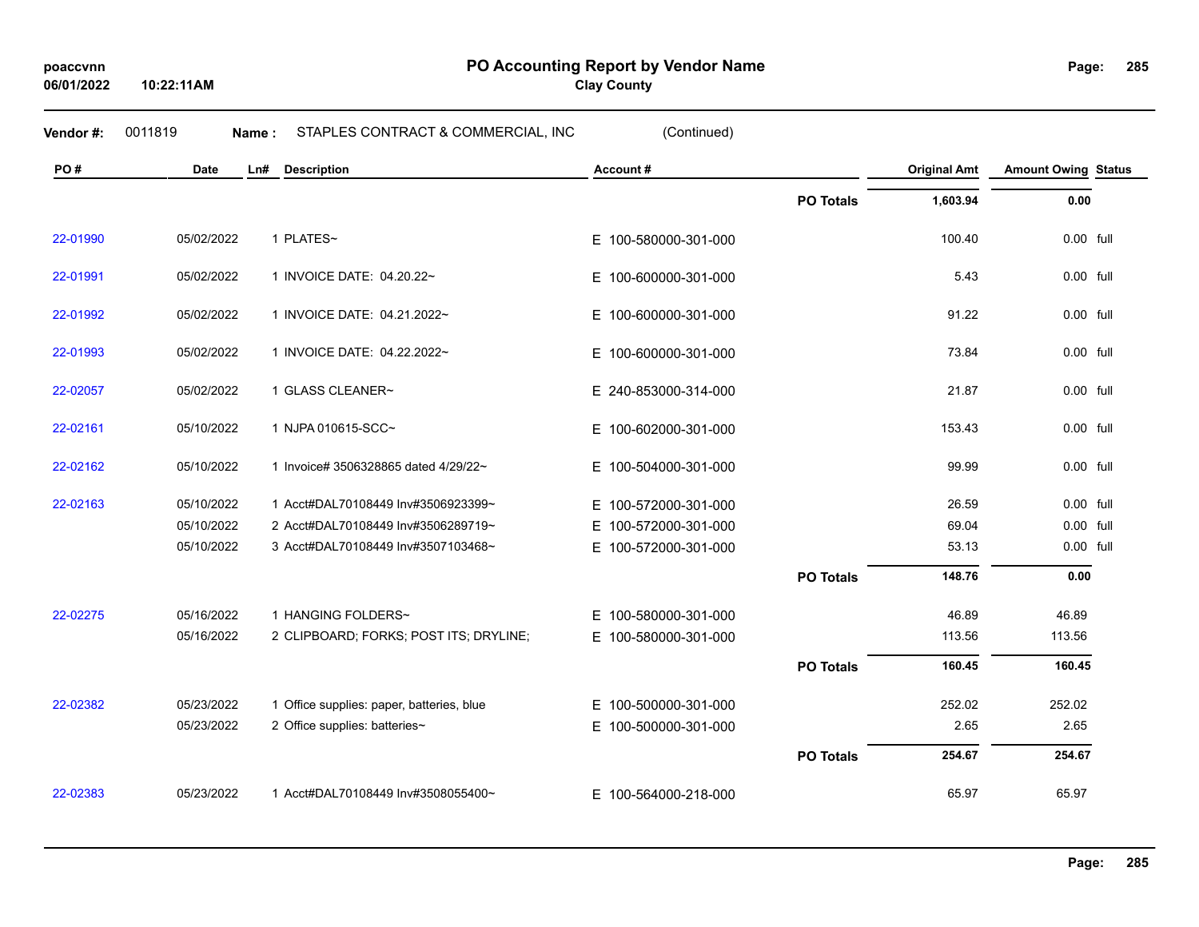**10:22:11AM**

**PO Accounting Report by Vendor Name poaccvnn Page:**

**Clay County**

| Vendor#: | 0011819<br>Name: | STAPLES CONTRACT & COMMERCIAL, INC        | (Continued)              |                  |                     |                            |  |
|----------|------------------|-------------------------------------------|--------------------------|------------------|---------------------|----------------------------|--|
| PO#      | <b>Date</b>      | Ln#<br><b>Description</b>                 | Account#                 |                  | <b>Original Amt</b> | <b>Amount Owing Status</b> |  |
|          |                  |                                           |                          | <b>PO Totals</b> | 1,603.94            | 0.00                       |  |
| 22-01990 | 05/02/2022       | 1 PLATES~                                 | E 100-580000-301-000     |                  | 100.40              | 0.00 full                  |  |
| 22-01991 | 05/02/2022       | 1 INVOICE DATE: 04.20.22~                 | E.<br>100-600000-301-000 |                  | 5.43                | $0.00$ full                |  |
| 22-01992 | 05/02/2022       | 1 INVOICE DATE: 04.21.2022~               | E.<br>100-600000-301-000 |                  | 91.22               | 0.00 full                  |  |
| 22-01993 | 05/02/2022       | 1 INVOICE DATE: 04.22.2022~               | E.<br>100-600000-301-000 |                  | 73.84               | 0.00 full                  |  |
| 22-02057 | 05/02/2022       | 1 GLASS CLEANER~                          | E 240-853000-314-000     |                  | 21.87               | 0.00 full                  |  |
| 22-02161 | 05/10/2022       | 1 NJPA 010615-SCC~                        | E.<br>100-602000-301-000 |                  | 153.43              | 0.00 full                  |  |
| 22-02162 | 05/10/2022       | 1 Invoice# 3506328865 dated 4/29/22~      | E.<br>100-504000-301-000 |                  | 99.99               | 0.00 full                  |  |
| 22-02163 | 05/10/2022       | 1 Acct#DAL70108449 Inv#3506923399~        | E.<br>100-572000-301-000 |                  | 26.59               | $0.00$ full                |  |
|          | 05/10/2022       | 2 Acct#DAL70108449 Inv#3506289719~        | E.<br>100-572000-301-000 |                  | 69.04               | 0.00 full                  |  |
|          | 05/10/2022       | 3 Acct#DAL70108449 Inv#3507103468~        | E 100-572000-301-000     |                  | 53.13               | 0.00 full                  |  |
|          |                  |                                           |                          | <b>PO Totals</b> | 148.76              | 0.00                       |  |
| 22-02275 | 05/16/2022       | 1 HANGING FOLDERS~                        | E.<br>100-580000-301-000 |                  | 46.89               | 46.89                      |  |
|          | 05/16/2022       | 2 CLIPBOARD; FORKS; POST ITS; DRYLINE;    | E.<br>100-580000-301-000 |                  | 113.56              | 113.56                     |  |
|          |                  |                                           |                          | <b>PO Totals</b> | 160.45              | 160.45                     |  |
| 22-02382 | 05/23/2022       | 1 Office supplies: paper, batteries, blue | E 100-500000-301-000     |                  | 252.02              | 252.02                     |  |
|          | 05/23/2022       | 2 Office supplies: batteries~             | E 100-500000-301-000     |                  | 2.65                | 2.65                       |  |
|          |                  |                                           |                          | <b>PO Totals</b> | 254.67              | 254.67                     |  |
| 22-02383 | 05/23/2022       | 1 Acct#DAL70108449 Inv#3508055400~        | E 100-564000-218-000     |                  | 65.97               | 65.97                      |  |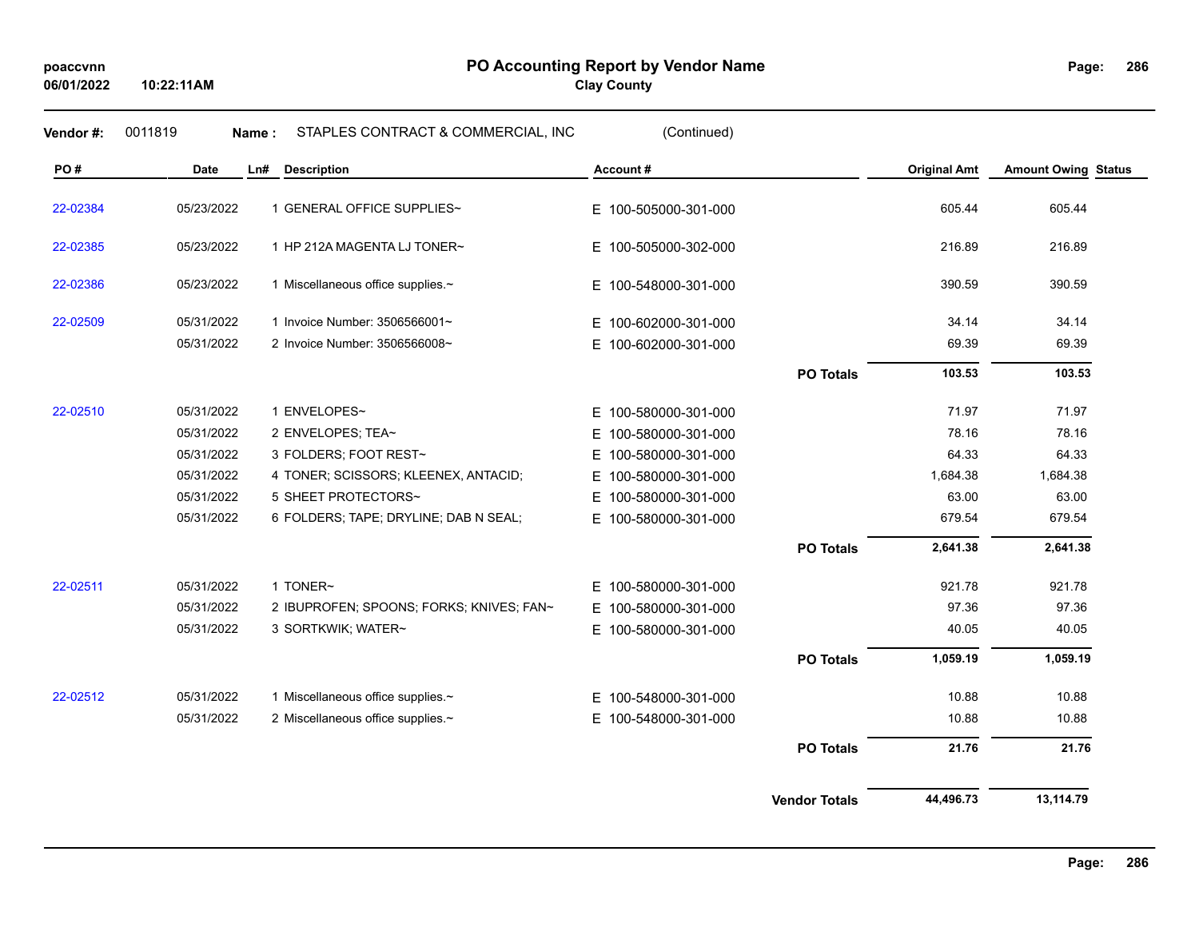| Vendor #: | 0011819    | Name: | STAPLES CONTRACT & COMMERCIAL, INC       | (Continued)              |                      |                     |                            |
|-----------|------------|-------|------------------------------------------|--------------------------|----------------------|---------------------|----------------------------|
| PO#       | Date       | Ln#   | <b>Description</b>                       | Account#                 |                      | <b>Original Amt</b> | <b>Amount Owing Status</b> |
| 22-02384  | 05/23/2022 |       | 1 GENERAL OFFICE SUPPLIES~               | E 100-505000-301-000     |                      | 605.44              | 605.44                     |
| 22-02385  | 05/23/2022 |       | 1 HP 212A MAGENTA LJ TONER~              | E 100-505000-302-000     |                      | 216.89              | 216.89                     |
| 22-02386  | 05/23/2022 |       | 1 Miscellaneous office supplies.~        | E 100-548000-301-000     |                      | 390.59              | 390.59                     |
| 22-02509  | 05/31/2022 |       | 1 Invoice Number: 3506566001~            | E 100-602000-301-000     |                      | 34.14               | 34.14                      |
|           | 05/31/2022 |       | 2 Invoice Number: 3506566008~            | E 100-602000-301-000     |                      | 69.39               | 69.39                      |
|           |            |       |                                          |                          | <b>PO Totals</b>     | 103.53              | 103.53                     |
| 22-02510  | 05/31/2022 |       | 1 ENVELOPES~                             | E 100-580000-301-000     |                      | 71.97               | 71.97                      |
|           | 05/31/2022 |       | 2 ENVELOPES; TEA~                        | 100-580000-301-000<br>E. |                      | 78.16               | 78.16                      |
|           | 05/31/2022 |       | 3 FOLDERS; FOOT REST~                    | 100-580000-301-000<br>E. |                      | 64.33               | 64.33                      |
|           | 05/31/2022 |       | 4 TONER; SCISSORS; KLEENEX, ANTACID;     | E 100-580000-301-000     |                      | 1,684.38            | 1,684.38                   |
|           | 05/31/2022 |       | 5 SHEET PROTECTORS~                      | 100-580000-301-000<br>Е. |                      | 63.00               | 63.00                      |
|           | 05/31/2022 |       | 6 FOLDERS; TAPE; DRYLINE; DAB N SEAL;    | E 100-580000-301-000     |                      | 679.54              | 679.54                     |
|           |            |       |                                          |                          | <b>PO Totals</b>     | 2,641.38            | 2,641.38                   |
| 22-02511  | 05/31/2022 |       | 1 TONER~                                 | E 100-580000-301-000     |                      | 921.78              | 921.78                     |
|           | 05/31/2022 |       | 2 IBUPROFEN; SPOONS; FORKS; KNIVES; FAN~ | E 100-580000-301-000     |                      | 97.36               | 97.36                      |
|           | 05/31/2022 |       | 3 SORTKWIK; WATER~                       | E 100-580000-301-000     |                      | 40.05               | 40.05                      |
|           |            |       |                                          |                          | <b>PO Totals</b>     | 1,059.19            | 1,059.19                   |
| 22-02512  | 05/31/2022 |       | 1 Miscellaneous office supplies.~        | E 100-548000-301-000     |                      | 10.88               | 10.88                      |
|           | 05/31/2022 |       | 2 Miscellaneous office supplies.~        | E 100-548000-301-000     |                      | 10.88               | 10.88                      |
|           |            |       |                                          |                          | <b>PO Totals</b>     | 21.76               | 21.76                      |
|           |            |       |                                          |                          | <b>Vendor Totals</b> | 44,496.73           | 13,114.79                  |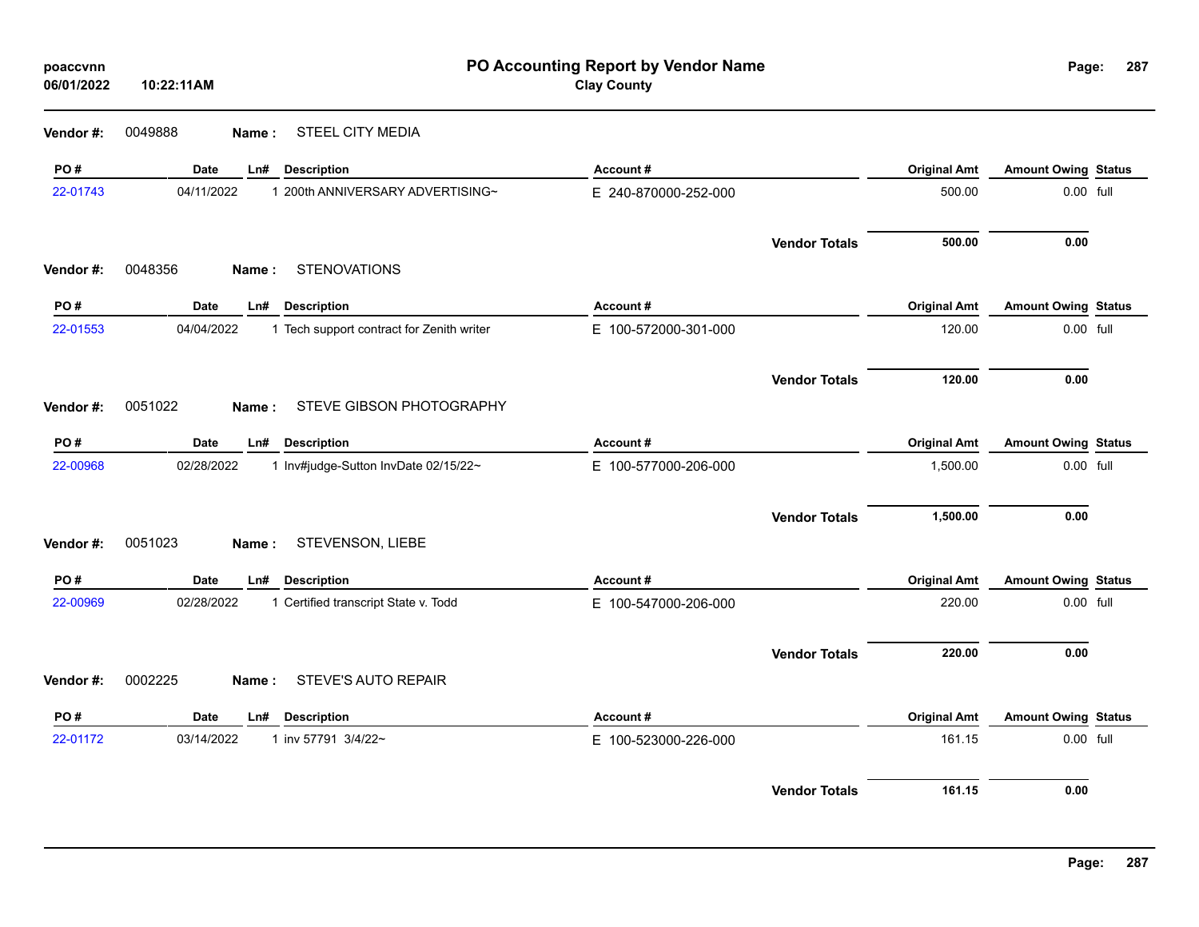| poaccvnn<br>06/01/2022 | 10:22:11AM |                                           | PO Accounting Report by Vendor Name<br><b>Clay County</b> |                      |                     | Page:<br>287               |  |
|------------------------|------------|-------------------------------------------|-----------------------------------------------------------|----------------------|---------------------|----------------------------|--|
| Vendor#:               | 0049888    | <b>STEEL CITY MEDIA</b><br>Name:          |                                                           |                      |                     |                            |  |
| PO#                    | Date       | Ln#<br><b>Description</b>                 | Account#                                                  |                      | <b>Original Amt</b> | <b>Amount Owing Status</b> |  |
| 22-01743               | 04/11/2022 | 1 200th ANNIVERSARY ADVERTISING~          | E 240-870000-252-000                                      |                      | 500.00              | 0.00 full                  |  |
|                        |            |                                           |                                                           | <b>Vendor Totals</b> | 500.00              | 0.00                       |  |
| Vendor #:              | 0048356    | <b>STENOVATIONS</b><br>Name:              |                                                           |                      |                     |                            |  |
| PO#                    | Date       | <b>Description</b><br>Ln#                 | Account#                                                  |                      | <b>Original Amt</b> | <b>Amount Owing Status</b> |  |
| 22-01553               | 04/04/2022 | 1 Tech support contract for Zenith writer | E 100-572000-301-000                                      |                      | 120.00              | 0.00 full                  |  |
|                        |            |                                           |                                                           | <b>Vendor Totals</b> | 120.00              | 0.00                       |  |
| Vendor#:               | 0051022    | STEVE GIBSON PHOTOGRAPHY<br>Name:         |                                                           |                      |                     |                            |  |
| PO#                    | Date       | <b>Description</b><br>Ln#                 | Account#                                                  |                      | <b>Original Amt</b> | <b>Amount Owing Status</b> |  |
| 22-00968               | 02/28/2022 | 1 Inv#judge-Sutton InvDate 02/15/22~      | E 100-577000-206-000                                      |                      | 1,500.00            | 0.00 full                  |  |
|                        |            |                                           |                                                           | <b>Vendor Totals</b> | 1,500.00            | 0.00                       |  |
| Vendor#:               | 0051023    | STEVENSON, LIEBE<br>Name:                 |                                                           |                      |                     |                            |  |
| PO#                    | Date       | <b>Description</b><br>Ln#                 | Account#                                                  |                      | <b>Original Amt</b> | <b>Amount Owing Status</b> |  |
| 22-00969               | 02/28/2022 | 1 Certified transcript State v. Todd      | E 100-547000-206-000                                      |                      | 220.00              | 0.00 full                  |  |
|                        |            |                                           |                                                           | <b>Vendor Totals</b> | 220.00              | 0.00                       |  |
| Vendor#:               | 0002225    | STEVE'S AUTO REPAIR<br>Name:              |                                                           |                      |                     |                            |  |
| PO#                    | Date       | <b>Description</b><br>Ln#                 | Account#                                                  |                      | <b>Original Amt</b> | <b>Amount Owing Status</b> |  |
| 22-01172               | 03/14/2022 | 1 inv 57791 3/4/22~                       | E 100-523000-226-000                                      |                      | 161.15              | 0.00 full                  |  |
|                        |            |                                           |                                                           | <b>Vendor Totals</b> | 161.15              | 0.00                       |  |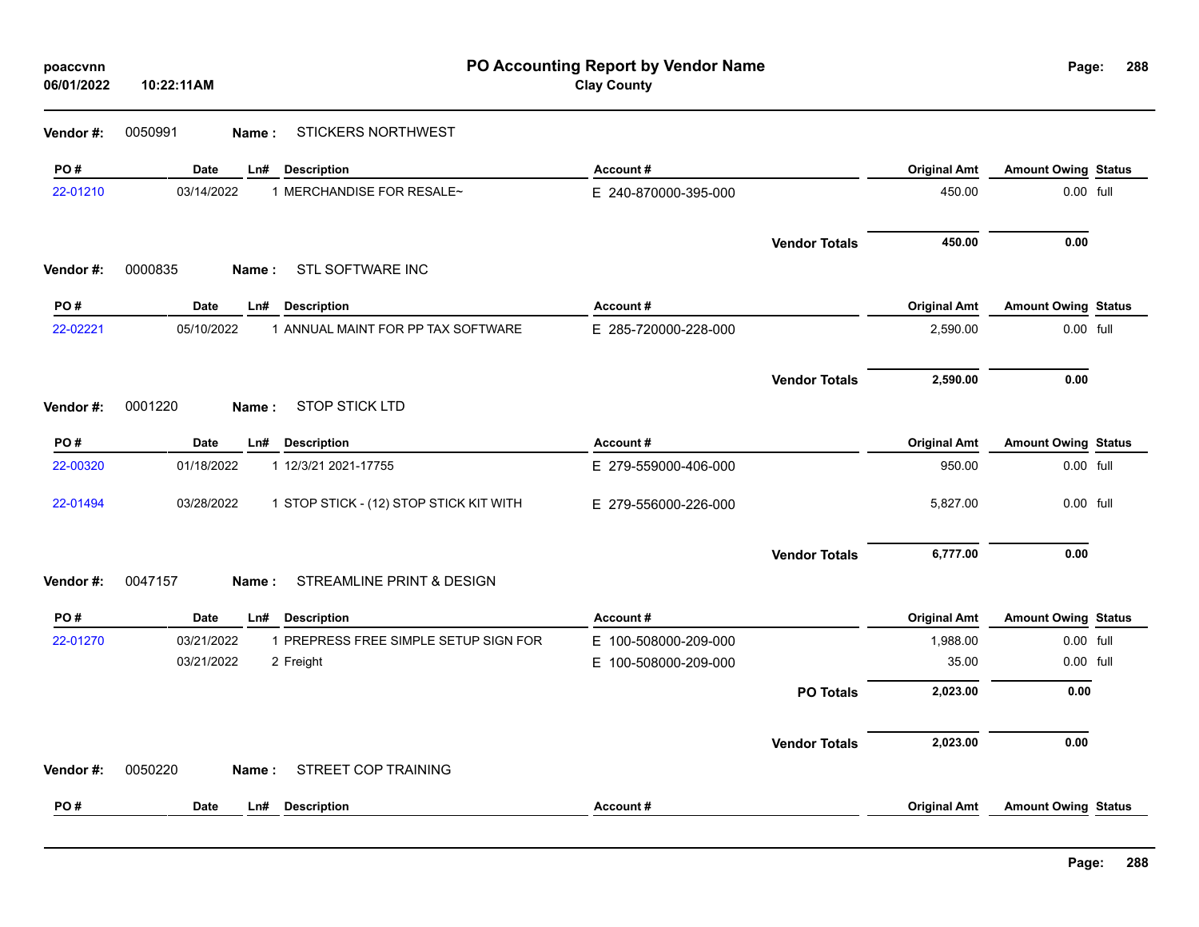| poaccvnn<br>06/01/2022 | 10:22:11AM              |                                         | PO Accounting Report by Vendor Name<br><b>Clay County</b> |                      |                     | 288<br>Page:               |  |
|------------------------|-------------------------|-----------------------------------------|-----------------------------------------------------------|----------------------|---------------------|----------------------------|--|
| Vendor#:               | 0050991<br>Name:        | <b>STICKERS NORTHWEST</b>               |                                                           |                      |                     |                            |  |
| PO#                    | Date                    | Ln#<br><b>Description</b>               | Account#                                                  |                      | <b>Original Amt</b> | <b>Amount Owing Status</b> |  |
| 22-01210               | 03/14/2022              | 1 MERCHANDISE FOR RESALE~               | E 240-870000-395-000                                      |                      | 450.00              | 0.00 full                  |  |
|                        |                         |                                         |                                                           | <b>Vendor Totals</b> | 450.00              | 0.00                       |  |
| Vendor#:               | 0000835<br>Name:        | STL SOFTWARE INC                        |                                                           |                      |                     |                            |  |
| PO#                    | <b>Date</b>             | <b>Description</b><br>Ln#               | Account#                                                  |                      | <b>Original Amt</b> | <b>Amount Owing Status</b> |  |
| 22-02221               | 05/10/2022              | 1 ANNUAL MAINT FOR PP TAX SOFTWARE      | E 285-720000-228-000                                      |                      | 2,590.00            | 0.00 full                  |  |
|                        |                         |                                         |                                                           | <b>Vendor Totals</b> | 2,590.00            | 0.00                       |  |
| Vendor#:               | 0001220<br>Name:        | <b>STOP STICK LTD</b>                   |                                                           |                      |                     |                            |  |
| PO#                    | <b>Date</b>             | Ln# Description                         | Account#                                                  |                      | <b>Original Amt</b> | <b>Amount Owing Status</b> |  |
| 22-00320               | 01/18/2022              | 1 12/3/21 2021-17755                    | E 279-559000-406-000                                      |                      | 950.00              | 0.00 full                  |  |
| 22-01494               | 03/28/2022              | 1 STOP STICK - (12) STOP STICK KIT WITH | E 279-556000-226-000                                      |                      | 5,827.00            | 0.00 full                  |  |
|                        |                         |                                         |                                                           | <b>Vendor Totals</b> | 6,777.00            | 0.00                       |  |
| Vendor#:               | 0047157<br><b>Name:</b> | STREAMLINE PRINT & DESIGN               |                                                           |                      |                     |                            |  |
| PO#                    | Date                    | Ln#<br><b>Description</b>               | <b>Account #</b>                                          |                      | <b>Original Amt</b> | <b>Amount Owing Status</b> |  |
| 22-01270               | 03/21/2022              | 1 PREPRESS FREE SIMPLE SETUP SIGN FOR   | E 100-508000-209-000                                      |                      | 1,988.00            | 0.00 full                  |  |
|                        | 03/21/2022              | 2 Freight                               | E 100-508000-209-000                                      |                      | 35.00               | 0.00 full                  |  |
|                        |                         |                                         |                                                           | <b>PO Totals</b>     | 2,023.00            | 0.00                       |  |
|                        |                         |                                         |                                                           | <b>Vendor Totals</b> | 2,023.00            | 0.00                       |  |
| Vendor#:               | 0050220<br>Name:        | STREET COP TRAINING                     |                                                           |                      |                     |                            |  |
| PO#                    | <b>Date</b>             | <b>Description</b><br>Ln#               | Account#                                                  |                      | <b>Original Amt</b> | <b>Amount Owing Status</b> |  |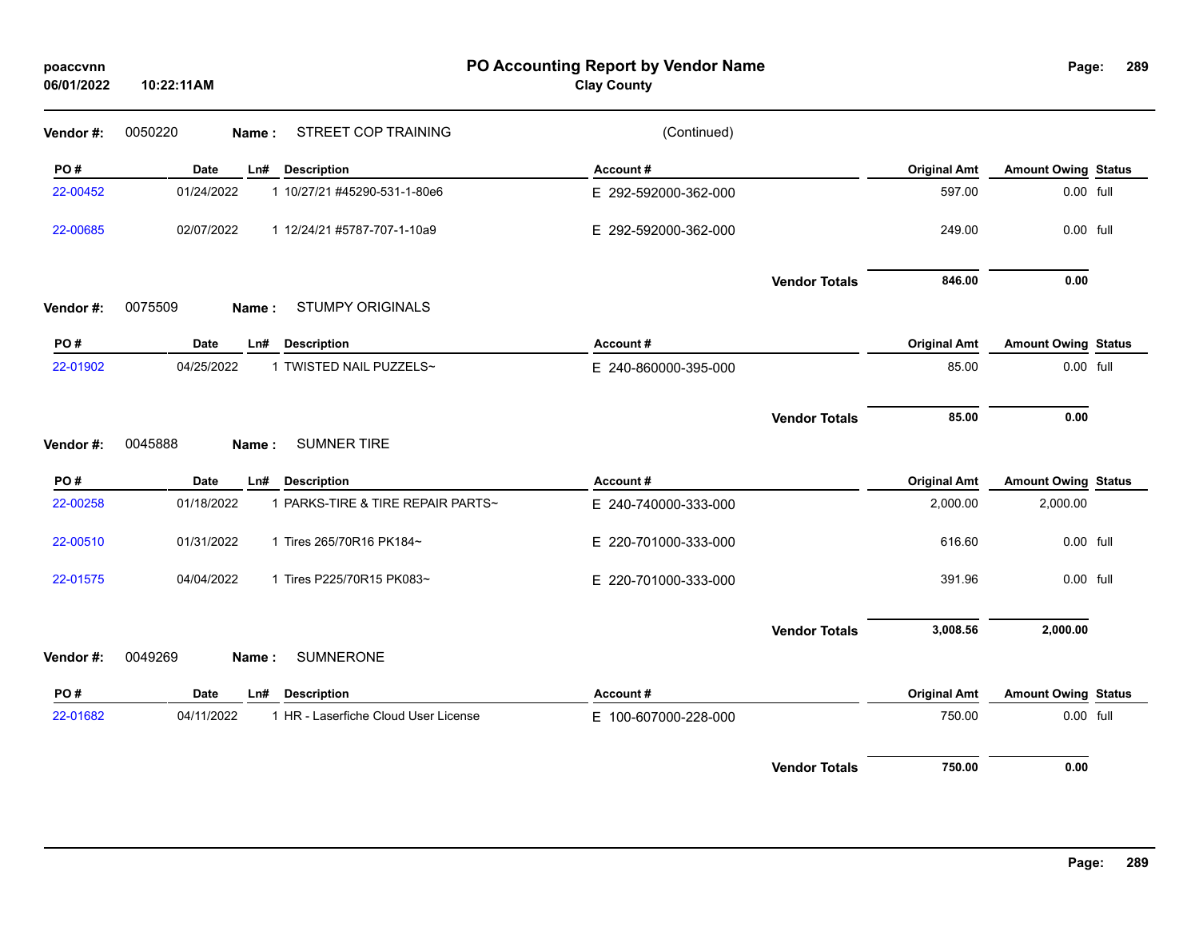| poaccvnn<br>06/01/2022 | 10:22:11AM                                         | PO Accounting Report by Vendor Name<br><b>Clay County</b> |                     | Page:                      | 289 |
|------------------------|----------------------------------------------------|-----------------------------------------------------------|---------------------|----------------------------|-----|
| Vendor#:               | STREET COP TRAINING<br>0050220<br>Name:            | (Continued)                                               |                     |                            |     |
| PO#                    | Date<br><b>Description</b><br>Ln#                  | Account#                                                  | <b>Original Amt</b> | <b>Amount Owing Status</b> |     |
| 22-00452               | 01/24/2022<br>1 10/27/21 #45290-531-1-80e6         | E 292-592000-362-000                                      | 597.00              | 0.00 full                  |     |
| 22-00685               | 02/07/2022<br>1 12/24/21 #5787-707-1-10a9          | E 292-592000-362-000                                      | 249.00              | 0.00 full                  |     |
| Vendor#:               | 0075509<br><b>STUMPY ORIGINALS</b><br>Name:        | <b>Vendor Totals</b>                                      | 846.00              | 0.00                       |     |
| PO#                    | <b>Description</b><br><b>Date</b><br>Ln#           | Account#                                                  | <b>Original Amt</b> | <b>Amount Owing Status</b> |     |
| 22-01902               | 04/25/2022<br>1 TWISTED NAIL PUZZELS~              | E 240-860000-395-000                                      | 85.00               | 0.00 full                  |     |
| Vendor#:               | <b>SUMNER TIRE</b><br>0045888<br>Name:             | <b>Vendor Totals</b>                                      | 85.00               | 0.00                       |     |
| PO#                    | Date<br><b>Description</b><br>Ln#                  | Account#                                                  | <b>Original Amt</b> | <b>Amount Owing Status</b> |     |
| 22-00258               | 01/18/2022<br>1 PARKS-TIRE & TIRE REPAIR PARTS~    | E 240-740000-333-000                                      | 2,000.00            | 2,000.00                   |     |
| 22-00510               | 1 Tires 265/70R16 PK184~<br>01/31/2022             | E 220-701000-333-000                                      | 616.60              | 0.00 full                  |     |
| 22-01575               | 04/04/2022<br>1 Tires P225/70R15 PK083~            | E 220-701000-333-000                                      | 391.96              | 0.00 full                  |     |
|                        |                                                    | <b>Vendor Totals</b>                                      | 3,008.56            | 2,000.00                   |     |
| Vendor#:               | 0049269<br><b>SUMNERONE</b><br>Name:               |                                                           |                     |                            |     |
| PO#                    | <b>Description</b><br><b>Date</b><br>Ln#           | Account#                                                  | <b>Original Amt</b> | <b>Amount Owing Status</b> |     |
| 22-01682               | 04/11/2022<br>1 HR - Laserfiche Cloud User License | E 100-607000-228-000                                      | 750.00              | 0.00 full                  |     |
|                        |                                                    | <b>Vendor Totals</b>                                      | 750.00              | 0.00                       |     |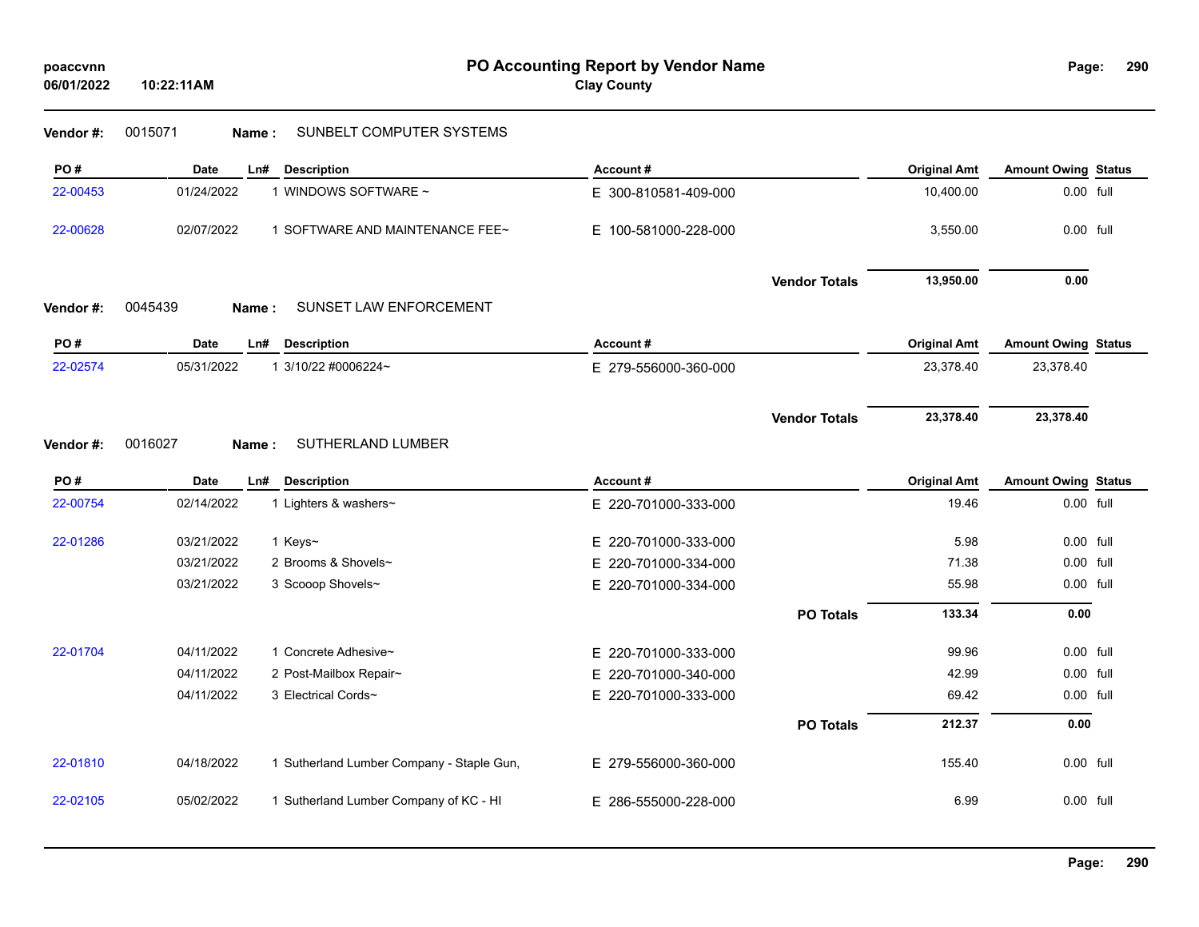# **Vendor #:** 0015071 **Name :** SUNBELT COMPUTER SYSTEMS

| PO#      | <b>Date</b>      | <b>Description</b><br>Ln#                 | Account#             |                      | <b>Original Amt</b> | <b>Amount Owing Status</b> |  |
|----------|------------------|-------------------------------------------|----------------------|----------------------|---------------------|----------------------------|--|
| 22-00453 | 01/24/2022       | 1 WINDOWS SOFTWARE ~                      | E 300-810581-409-000 |                      | 10,400.00           | 0.00 full                  |  |
| 22-00628 | 02/07/2022       | 1 SOFTWARE AND MAINTENANCE FEE~           | E 100-581000-228-000 |                      | 3,550.00            | 0.00 full                  |  |
|          |                  |                                           |                      | <b>Vendor Totals</b> | 13,950.00           | 0.00                       |  |
| Vendor#: | 0045439<br>Name: | SUNSET LAW ENFORCEMENT                    |                      |                      |                     |                            |  |
| PO#      | Date<br>Ln#      | <b>Description</b>                        | Account#             |                      | <b>Original Amt</b> | <b>Amount Owing Status</b> |  |
| 22-02574 | 05/31/2022       | 1 3/10/22 #0006224~                       | E 279-556000-360-000 |                      | 23,378.40           | 23,378.40                  |  |
|          |                  |                                           |                      |                      |                     |                            |  |
|          |                  |                                           |                      | <b>Vendor Totals</b> | 23,378.40           | 23,378.40                  |  |
| Vendor#: | 0016027<br>Name: | SUTHERLAND LUMBER                         |                      |                      |                     |                            |  |
| PO#      | <b>Date</b>      | <b>Description</b><br>Ln#                 | Account#             |                      | <b>Original Amt</b> | <b>Amount Owing Status</b> |  |
| 22-00754 | 02/14/2022       | 1 Lighters & washers~                     | E 220-701000-333-000 |                      | 19.46               | 0.00 full                  |  |
| 22-01286 | 03/21/2022       | 1 Keys~                                   | E 220-701000-333-000 |                      | 5.98                | 0.00 full                  |  |
|          | 03/21/2022       | 2 Brooms & Shovels~                       | E 220-701000-334-000 |                      | 71.38               | 0.00 full                  |  |
|          | 03/21/2022       | 3 Scooop Shovels~                         | E 220-701000-334-000 |                      | 55.98               | 0.00 full                  |  |
|          |                  |                                           |                      | <b>PO Totals</b>     | 133.34              | 0.00                       |  |
| 22-01704 | 04/11/2022       | 1 Concrete Adhesive~                      | E 220-701000-333-000 |                      | 99.96               | 0.00 full                  |  |
|          | 04/11/2022       | 2 Post-Mailbox Repair~                    | E 220-701000-340-000 |                      | 42.99               | 0.00 full                  |  |
|          | 04/11/2022       | 3 Electrical Cords~                       | E 220-701000-333-000 |                      | 69.42               | 0.00 full                  |  |
|          |                  |                                           |                      | <b>PO Totals</b>     | 212.37              | 0.00                       |  |
| 22-01810 | 04/18/2022       | 1 Sutherland Lumber Company - Staple Gun, | E 279-556000-360-000 |                      | 155.40              | 0.00 full                  |  |
| 22-02105 | 05/02/2022       | 1 Sutherland Lumber Company of KC - HI    | E 286-555000-228-000 |                      | 6.99                | 0.00 full                  |  |
|          |                  |                                           |                      |                      |                     |                            |  |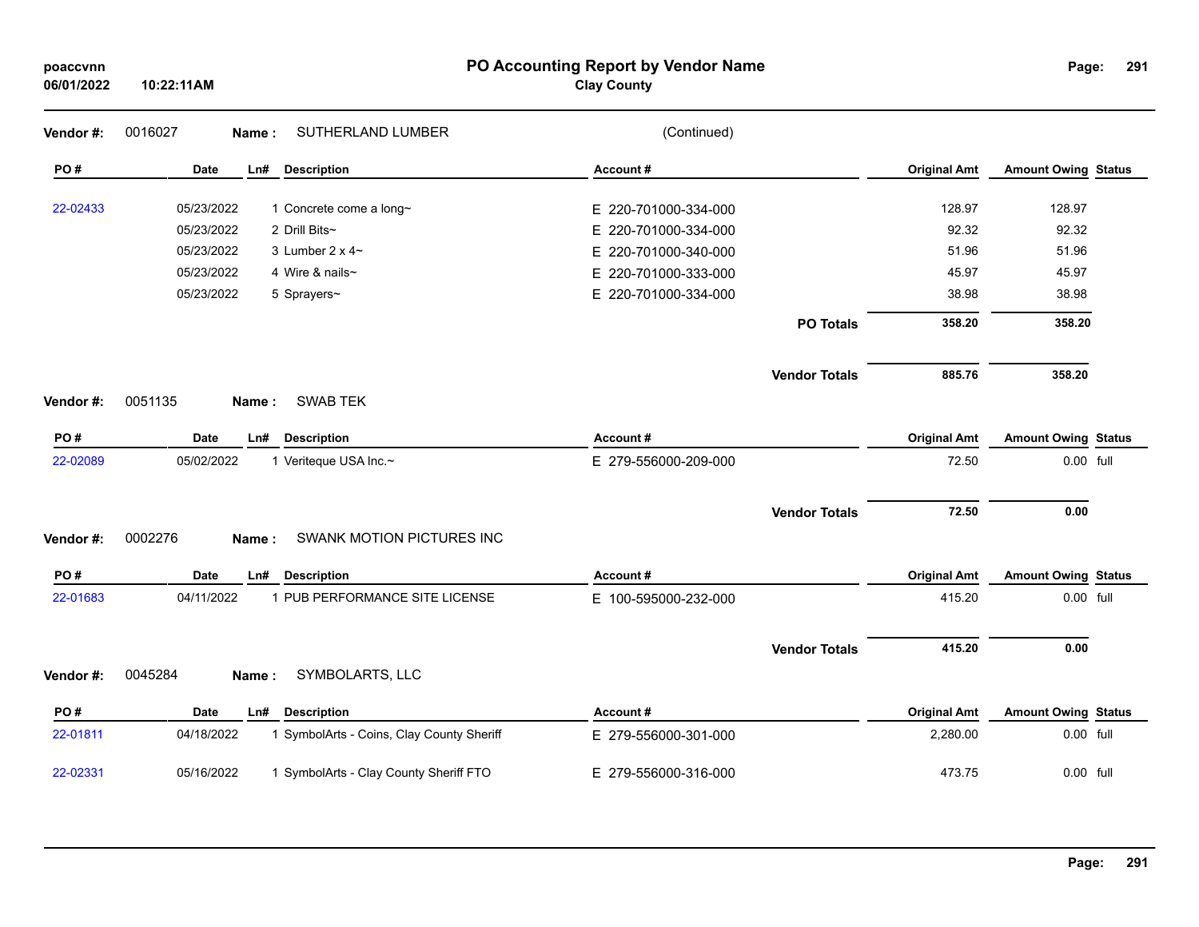| poaccvnn<br>06/01/2022 | 10:22:11AM                                              | PO Accounting Report by Vendor Name<br><b>Clay County</b> |                     | Page:                      | 291 |
|------------------------|---------------------------------------------------------|-----------------------------------------------------------|---------------------|----------------------------|-----|
| Vendor#:               | 0016027<br>SUTHERLAND LUMBER<br>Name:                   | (Continued)                                               |                     |                            |     |
| PO#                    | Date<br>Ln#<br><b>Description</b>                       | Account#                                                  | <b>Original Amt</b> | <b>Amount Owing Status</b> |     |
| 22-02433               | 05/23/2022<br>1 Concrete come a long~                   | E 220-701000-334-000                                      | 128.97              | 128.97                     |     |
|                        | 05/23/2022<br>2 Drill Bits~                             | E 220-701000-334-000                                      | 92.32               | 92.32                      |     |
|                        | 05/23/2022<br>3 Lumber $2 \times 4$ ~                   | E 220-701000-340-000                                      | 51.96               | 51.96                      |     |
|                        | 05/23/2022<br>4 Wire & nails~                           | E 220-701000-333-000                                      | 45.97               | 45.97                      |     |
|                        | 05/23/2022<br>5 Sprayers~                               | E 220-701000-334-000                                      | 38.98               | 38.98                      |     |
|                        |                                                         | <b>PO Totals</b>                                          | 358.20              | 358.20                     |     |
|                        |                                                         | <b>Vendor Totals</b>                                      | 885.76              | 358.20                     |     |
| Vendor #:              | <b>SWAB TEK</b><br>0051135<br><b>Name</b> :             |                                                           |                     |                            |     |
| PO#                    | <b>Date</b><br><b>Description</b><br>Ln#                | Account#                                                  | <b>Original Amt</b> | <b>Amount Owing Status</b> |     |
| 22-02089               | 05/02/2022<br>1 Veriteque USA Inc.~                     | E 279-556000-209-000                                      | 72.50               | $0.00$ full                |     |
|                        |                                                         | <b>Vendor Totals</b>                                      | 72.50               | 0.00                       |     |
| Vendor #:              | 0002276<br>SWANK MOTION PICTURES INC<br>Name:           |                                                           |                     |                            |     |
| PO#                    | Date<br>Ln#<br><b>Description</b>                       | Account#                                                  | <b>Original Amt</b> | <b>Amount Owing Status</b> |     |
| 22-01683               | 1 PUB PERFORMANCE SITE LICENSE<br>04/11/2022            | E 100-595000-232-000                                      | 415.20              | 0.00 full                  |     |
|                        |                                                         | <b>Vendor Totals</b>                                      | 415.20              | 0.00                       |     |
| Vendor#:               | SYMBOLARTS, LLC<br>0045284<br>Name:                     |                                                           |                     |                            |     |
| PO#                    | Date<br>Ln#<br><b>Description</b>                       | Account#                                                  | <b>Original Amt</b> | <b>Amount Owing Status</b> |     |
| 22-01811               | 04/18/2022<br>1 SymbolArts - Coins, Clay County Sheriff | E 279-556000-301-000                                      | 2,280.00            | 0.00 full                  |     |
| 22-02331               | 05/16/2022<br>1 SymbolArts - Clay County Sheriff FTO    | E 279-556000-316-000                                      | 473.75              | 0.00 full                  |     |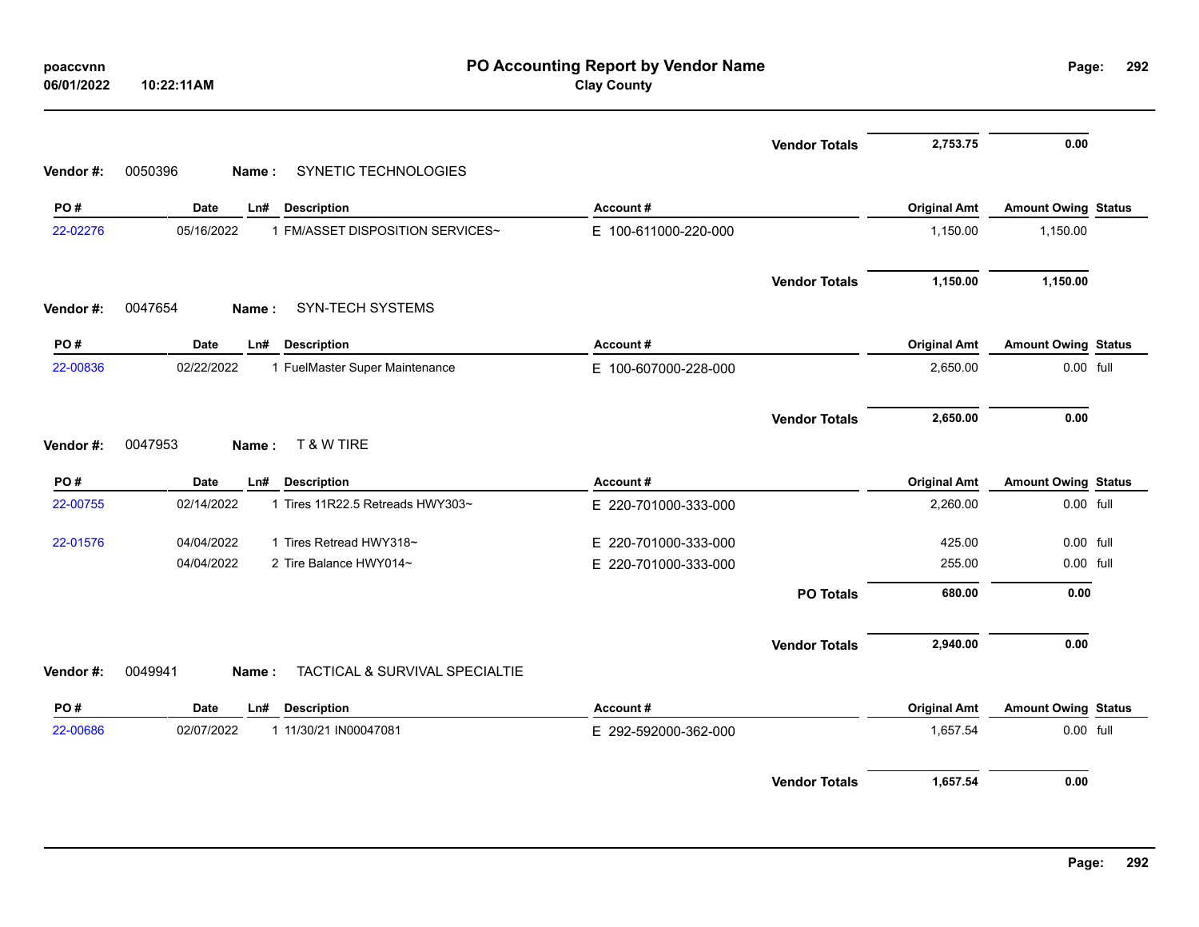| poaccvnn<br>06/01/2022 | 10:22:11AM                                         | PO Accounting Report by Vendor Name<br><b>Clay County</b> |                     | Page:                      | 292       |
|------------------------|----------------------------------------------------|-----------------------------------------------------------|---------------------|----------------------------|-----------|
|                        |                                                    | <b>Vendor Totals</b>                                      | 2,753.75            | 0.00                       |           |
| Vendor#:               | SYNETIC TECHNOLOGIES<br>0050396<br>Name:           |                                                           |                     |                            |           |
| PO#                    | <b>Date</b><br><b>Description</b><br>Ln#           | Account#                                                  | <b>Original Amt</b> | <b>Amount Owing Status</b> |           |
| 22-02276               | 05/16/2022<br>1 FM/ASSET DISPOSITION SERVICES~     | E 100-611000-220-000                                      | 1,150.00            | 1,150.00                   |           |
|                        |                                                    | <b>Vendor Totals</b>                                      | 1,150.00            | 1,150.00                   |           |
| Vendor #:              | <b>SYN-TECH SYSTEMS</b><br>0047654<br>Name:        |                                                           |                     |                            |           |
| PO#                    | <b>Date</b><br>Ln#<br><b>Description</b>           | Account#                                                  | <b>Original Amt</b> | <b>Amount Owing Status</b> |           |
| 22-00836               | 02/22/2022<br>1 FuelMaster Super Maintenance       | E 100-607000-228-000                                      | 2,650.00            |                            | 0.00 full |
| Vendor #:              | T & W TIRE<br>0047953<br>Name:                     | <b>Vendor Totals</b>                                      | 2,650.00            | 0.00                       |           |
| PO#                    | <b>Date</b><br><b>Description</b><br>Ln#           | Account#                                                  | <b>Original Amt</b> | <b>Amount Owing Status</b> |           |
| 22-00755               | 02/14/2022<br>1 Tires 11R22.5 Retreads HWY303~     | E 220-701000-333-000                                      | 2,260.00            |                            | 0.00 full |
| 22-01576               | 04/04/2022<br>1 Tires Retread HWY318~              | E 220-701000-333-000                                      | 425.00              |                            | 0.00 full |
|                        | 04/04/2022<br>2 Tire Balance HWY014~               | E 220-701000-333-000                                      | 255.00              |                            | 0.00 full |
|                        |                                                    | <b>PO Totals</b>                                          | 680.00              | 0.00                       |           |
|                        |                                                    | <b>Vendor Totals</b>                                      | 2,940.00            | 0.00                       |           |
| Vendor #:              | TACTICAL & SURVIVAL SPECIALTIE<br>0049941<br>Name: |                                                           |                     |                            |           |
| PO#                    | <b>Date</b><br><b>Description</b><br>Ln#           | Account#                                                  | <b>Original Amt</b> | <b>Amount Owing Status</b> |           |
| 22-00686               | 02/07/2022<br>1 11/30/21 IN00047081                | E 292-592000-362-000                                      | 1,657.54            |                            | 0.00 full |
|                        |                                                    | <b>Vendor Totals</b>                                      | 1,657.54            | 0.00                       |           |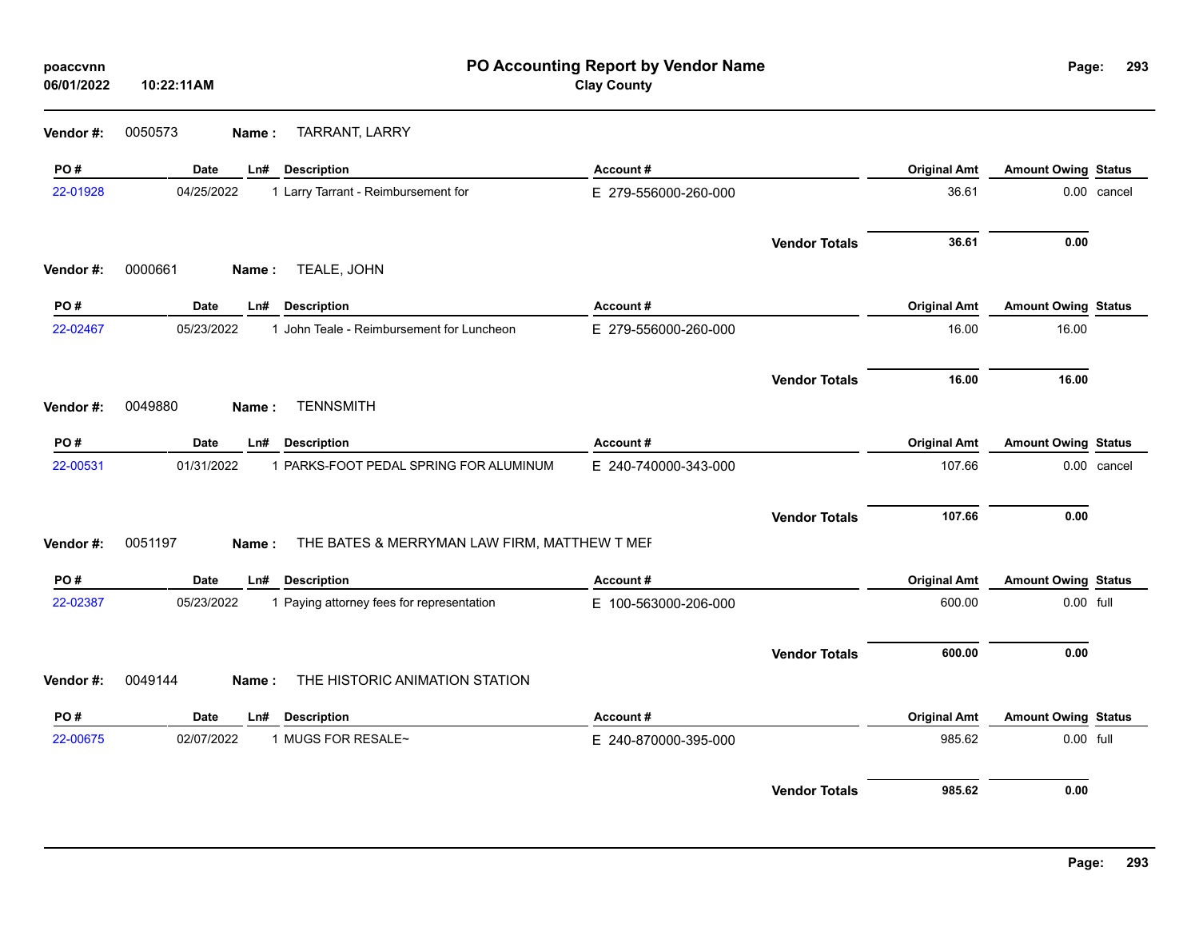| poaccvnn<br>06/01/2022 | 10:22:11AM  |                                                       | PO Accounting Report by Vendor Name<br><b>Clay County</b> |                      |                     | Page:                      | 293         |
|------------------------|-------------|-------------------------------------------------------|-----------------------------------------------------------|----------------------|---------------------|----------------------------|-------------|
| Vendor #:              | 0050573     | <b>TARRANT, LARRY</b><br>Name:                        |                                                           |                      |                     |                            |             |
| PO#                    | Date        | LnH<br><b>Description</b>                             | Account#                                                  |                      | <b>Original Amt</b> | <b>Amount Owing Status</b> |             |
| 22-01928               | 04/25/2022  | 1 Larry Tarrant - Reimbursement for                   | E 279-556000-260-000                                      |                      | 36.61               |                            | 0.00 cancel |
|                        |             |                                                       |                                                           | <b>Vendor Totals</b> | 36.61               | 0.00                       |             |
| Vendor#:               | 0000661     | TEALE, JOHN<br>Name:                                  |                                                           |                      |                     |                            |             |
| PO#                    | <b>Date</b> | <b>Description</b><br>Ln#                             | Account#                                                  |                      | <b>Original Amt</b> | <b>Amount Owing Status</b> |             |
| 22-02467               | 05/23/2022  | 1 John Teale - Reimbursement for Luncheon             | E 279-556000-260-000                                      |                      | 16.00               | 16.00                      |             |
|                        |             |                                                       |                                                           | <b>Vendor Totals</b> | 16.00               | 16.00                      |             |
| Vendor#:               | 0049880     | <b>TENNSMITH</b><br>Name:                             |                                                           |                      |                     |                            |             |
| PO#                    | Date        | <b>Description</b><br>Ln#                             | Account#                                                  |                      | <b>Original Amt</b> | <b>Amount Owing Status</b> |             |
| 22-00531               | 01/31/2022  | 1 PARKS-FOOT PEDAL SPRING FOR ALUMINUM                | E 240-740000-343-000                                      |                      | 107.66              |                            | 0.00 cancel |
|                        |             |                                                       |                                                           | <b>Vendor Totals</b> | 107.66              | 0.00                       |             |
| Vendor #:              | 0051197     | THE BATES & MERRYMAN LAW FIRM, MATTHEW T MEF<br>Name: |                                                           |                      |                     |                            |             |
| PO#                    | Date        | Ln#<br><b>Description</b>                             | Account#                                                  |                      | <b>Original Amt</b> | <b>Amount Owing Status</b> |             |
| 22-02387               | 05/23/2022  | 1 Paying attorney fees for representation             | E 100-563000-206-000                                      |                      | 600.00              | 0.00 full                  |             |
|                        |             |                                                       |                                                           | <b>Vendor Totals</b> | 600.00              | 0.00                       |             |
| Vendor#:               | 0049144     | THE HISTORIC ANIMATION STATION<br>Name:               |                                                           |                      |                     |                            |             |
| PO#                    | Date        | Ln#<br><b>Description</b>                             | Account#                                                  |                      | <b>Original Amt</b> | <b>Amount Owing Status</b> |             |
| 22-00675               | 02/07/2022  | 1 MUGS FOR RESALE~                                    | E 240-870000-395-000                                      |                      | 985.62              | 0.00 full                  |             |
|                        |             |                                                       |                                                           | <b>Vendor Totals</b> | 985.62              | 0.00                       |             |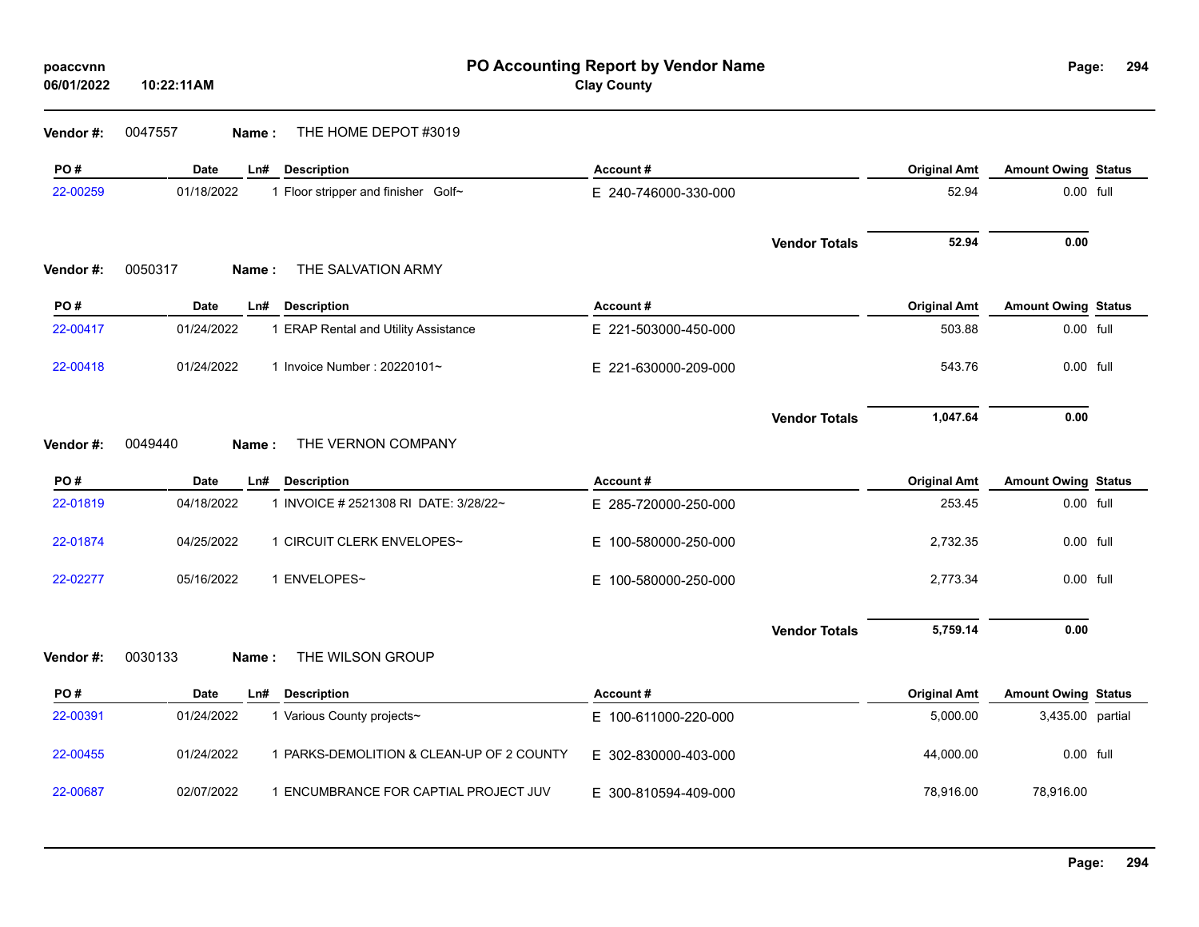**Vendor #:** 0047557 **Name :** THE HOME DEPOT #3019

| PO#       | <b>Date</b> | <b>Description</b><br>Ln#                 | Account#                 |                      | <b>Original Amt</b> | <b>Amount Owing Status</b> |  |
|-----------|-------------|-------------------------------------------|--------------------------|----------------------|---------------------|----------------------------|--|
| 22-00259  | 01/18/2022  | 1 Floor stripper and finisher Golf~       | E 240-746000-330-000     |                      | 52.94               | 0.00 full                  |  |
|           |             |                                           |                          | <b>Vendor Totals</b> | 52.94               | 0.00                       |  |
| Vendor #: | 0050317     | THE SALVATION ARMY<br>Name:               |                          |                      |                     |                            |  |
| PO#       | <b>Date</b> | Ln#<br><b>Description</b>                 | Account#                 |                      | <b>Original Amt</b> | <b>Amount Owing Status</b> |  |
| 22-00417  | 01/24/2022  | 1 ERAP Rental and Utility Assistance      | E 221-503000-450-000     |                      | 503.88              | 0.00 full                  |  |
| 22-00418  | 01/24/2022  | 1 Invoice Number: 20220101~               | E 221-630000-209-000     |                      | 543.76              | 0.00 full                  |  |
|           |             |                                           |                          | <b>Vendor Totals</b> | 1,047.64            | 0.00                       |  |
| Vendor#:  | 0049440     | THE VERNON COMPANY<br>Name:               |                          |                      |                     |                            |  |
| PO#       | Date        | <b>Description</b><br>Ln#                 | Account#                 |                      | <b>Original Amt</b> | <b>Amount Owing Status</b> |  |
| 22-01819  | 04/18/2022  | 1 INVOICE # 2521308 RI DATE: 3/28/22~     | E 285-720000-250-000     |                      | 253.45              | 0.00 full                  |  |
| 22-01874  | 04/25/2022  | 1 CIRCUIT CLERK ENVELOPES~                | E 100-580000-250-000     |                      | 2,732.35            | 0.00 full                  |  |
| 22-02277  | 05/16/2022  | 1 ENVELOPES~                              | E.<br>100-580000-250-000 |                      | 2,773.34            | 0.00 full                  |  |
|           |             |                                           |                          | <b>Vendor Totals</b> | 5,759.14            | 0.00                       |  |
| Vendor#:  | 0030133     | THE WILSON GROUP<br>Name:                 |                          |                      |                     |                            |  |
| PO#       | <b>Date</b> | LnH<br><b>Description</b>                 | Account#                 |                      | <b>Original Amt</b> | <b>Amount Owing Status</b> |  |
| 22-00391  | 01/24/2022  | 1 Various County projects~                | E 100-611000-220-000     |                      | 5,000.00            | 3,435.00 partial           |  |
| 22-00455  | 01/24/2022  | 1 PARKS-DEMOLITION & CLEAN-UP OF 2 COUNTY | E 302-830000-403-000     |                      | 44,000.00           | 0.00 full                  |  |
| 22-00687  | 02/07/2022  | 1 ENCUMBRANCE FOR CAPTIAL PROJECT JUV     | E 300-810594-409-000     |                      | 78,916.00           | 78,916.00                  |  |
|           |             |                                           |                          |                      |                     |                            |  |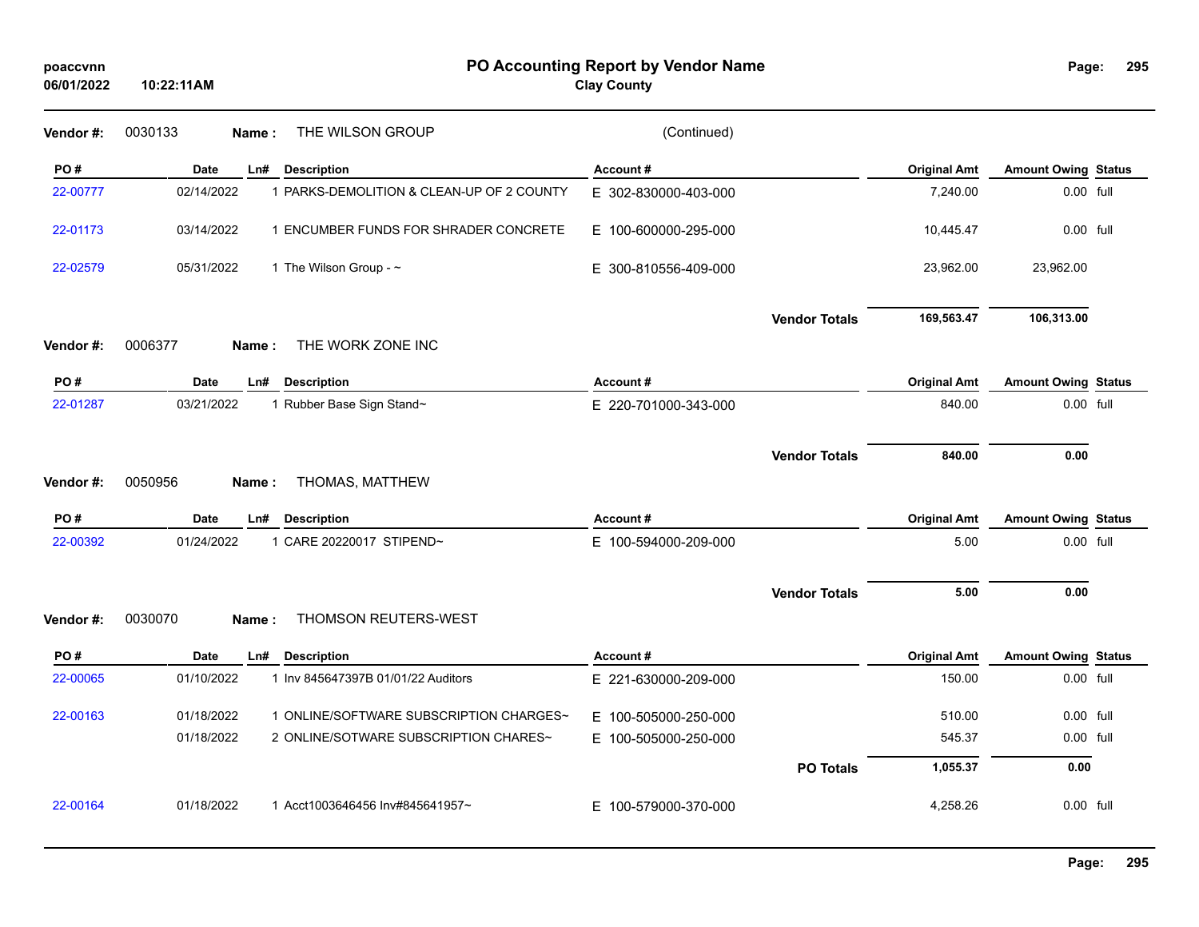| poaccvnn<br>06/01/2022 | 10:22:11AM       |                                           | PO Accounting Report by Vendor Name<br><b>Clay County</b> |                      |                     | Page:                      | 295 |
|------------------------|------------------|-------------------------------------------|-----------------------------------------------------------|----------------------|---------------------|----------------------------|-----|
| Vendor#:               | 0030133<br>Name: | THE WILSON GROUP                          | (Continued)                                               |                      |                     |                            |     |
| PO#                    | <b>Date</b>      | Ln#<br><b>Description</b>                 | Account#                                                  |                      | <b>Original Amt</b> | <b>Amount Owing Status</b> |     |
| 22-00777               | 02/14/2022       | 1 PARKS-DEMOLITION & CLEAN-UP OF 2 COUNTY | E 302-830000-403-000                                      |                      | 7,240.00            | 0.00 full                  |     |
| 22-01173               | 03/14/2022       | 1 ENCUMBER FUNDS FOR SHRADER CONCRETE     | E 100-600000-295-000                                      |                      | 10,445.47           | 0.00 full                  |     |
| 22-02579               | 05/31/2022       | 1 The Wilson Group - ~                    | E 300-810556-409-000                                      |                      | 23,962.00           | 23,962.00                  |     |
|                        |                  |                                           |                                                           | <b>Vendor Totals</b> | 169,563.47          | 106,313.00                 |     |
| Vendor#:               | 0006377<br>Name: | THE WORK ZONE INC                         |                                                           |                      |                     |                            |     |
| PO#                    | <b>Date</b>      | Ln#<br><b>Description</b>                 | Account#                                                  |                      | <b>Original Amt</b> | <b>Amount Owing Status</b> |     |
| 22-01287               | 03/21/2022       | 1 Rubber Base Sign Stand~                 | E 220-701000-343-000                                      |                      | 840.00              | 0.00 full                  |     |
|                        |                  |                                           |                                                           |                      |                     |                            |     |
|                        |                  |                                           |                                                           | <b>Vendor Totals</b> | 840.00              | 0.00                       |     |
| Vendor#:               | 0050956<br>Name: | THOMAS, MATTHEW                           |                                                           |                      |                     |                            |     |
| PO#                    | Date             | <b>Description</b><br>Ln#                 | Account#                                                  |                      | <b>Original Amt</b> | <b>Amount Owing Status</b> |     |
| 22-00392               | 01/24/2022       | 1 CARE 20220017 STIPEND~                  | E 100-594000-209-000                                      |                      | 5.00                | 0.00 full                  |     |
|                        |                  |                                           |                                                           |                      |                     |                            |     |
|                        |                  |                                           |                                                           | <b>Vendor Totals</b> | 5.00                | 0.00                       |     |
| Vendor #:              | 0030070<br>Name: | THOMSON REUTERS-WEST                      |                                                           |                      |                     |                            |     |
| PO#                    | Date             | Ln#<br><b>Description</b>                 | Account#                                                  |                      | <b>Original Amt</b> | <b>Amount Owing Status</b> |     |
| 22-00065               | 01/10/2022       | 1 Inv 845647397B 01/01/22 Auditors        | E 221-630000-209-000                                      |                      | 150.00              | 0.00 full                  |     |
| 22-00163               | 01/18/2022       | 1 ONLINE/SOFTWARE SUBSCRIPTION CHARGES~   | E 100-505000-250-000                                      |                      | 510.00              | 0.00 full                  |     |
|                        | 01/18/2022       | 2 ONLINE/SOTWARE SUBSCRIPTION CHARES~     | E 100-505000-250-000                                      |                      | 545.37              | 0.00 full                  |     |
|                        |                  |                                           |                                                           | <b>PO Totals</b>     | 1,055.37            | 0.00                       |     |
| 22-00164               | 01/18/2022       | 1 Acct1003646456 Inv#845641957~           | E 100-579000-370-000                                      |                      | 4,258.26            | 0.00 full                  |     |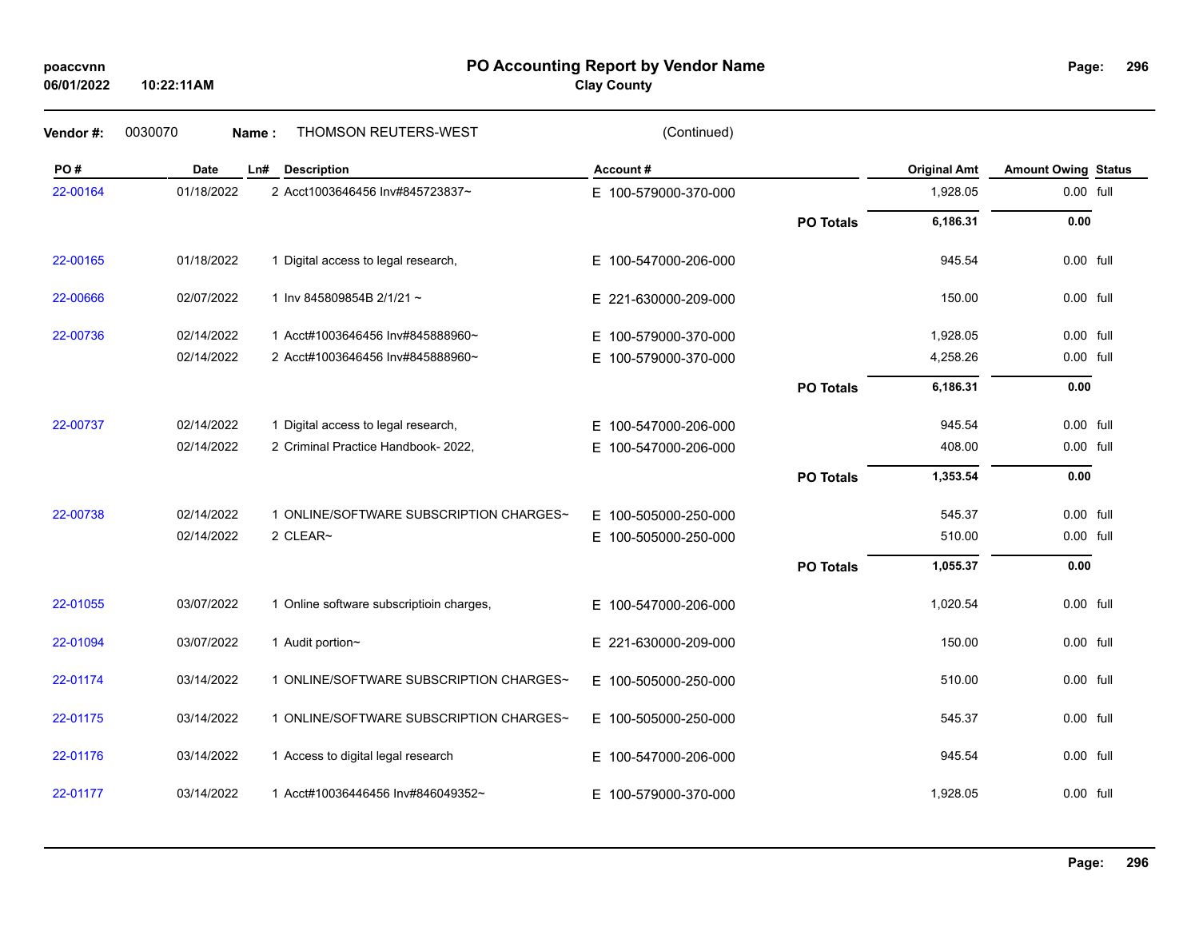# **PO Accounting Report by Vendor Name poaccvnn Page:**

**Clay County**

|  | Page: |  | 296 |
|--|-------|--|-----|
|--|-------|--|-----|

| Vendor#: | 0030070<br>Name: | <b>THOMSON REUTERS-WEST</b>              | (Continued)              |                  |                     |                            |  |
|----------|------------------|------------------------------------------|--------------------------|------------------|---------------------|----------------------------|--|
| PO#      | <b>Date</b>      | Ln#<br><b>Description</b>                | Account#                 |                  | <b>Original Amt</b> | <b>Amount Owing Status</b> |  |
| 22-00164 | 01/18/2022       | 2 Acct1003646456 Inv#845723837~          | E 100-579000-370-000     |                  | 1,928.05            | 0.00 full                  |  |
|          |                  |                                          |                          | <b>PO Totals</b> | 6,186.31            | 0.00                       |  |
| 22-00165 | 01/18/2022       | 1 Digital access to legal research,      | E 100-547000-206-000     |                  | 945.54              | 0.00 full                  |  |
| 22-00666 | 02/07/2022       | 1 Inv 845809854B 2/1/21~                 | E 221-630000-209-000     |                  | 150.00              | 0.00 full                  |  |
| 22-00736 | 02/14/2022       | 1 Acct#1003646456 Inv#845888960~         | 100-579000-370-000<br>E. |                  | 1,928.05            | 0.00 full                  |  |
|          | 02/14/2022       | 2 Acct#1003646456 Inv#845888960~         | 100-579000-370-000<br>E. |                  | 4,258.26            | 0.00 full                  |  |
|          |                  |                                          |                          | <b>PO Totals</b> | 6,186.31            | 0.00                       |  |
| 22-00737 | 02/14/2022       | 1 Digital access to legal research,      | E 100-547000-206-000     |                  | 945.54              | 0.00 full                  |  |
|          | 02/14/2022       | 2 Criminal Practice Handbook- 2022,      | 100-547000-206-000<br>E. |                  | 408.00              | 0.00 full                  |  |
|          |                  |                                          |                          | <b>PO Totals</b> | 1,353.54            | 0.00                       |  |
| 22-00738 | 02/14/2022       | 1 ONLINE/SOFTWARE SUBSCRIPTION CHARGES~  | E 100-505000-250-000     |                  | 545.37              | 0.00 full                  |  |
|          | 02/14/2022       | 2 CLEAR~                                 | E 100-505000-250-000     |                  | 510.00              | 0.00 full                  |  |
|          |                  |                                          |                          | <b>PO Totals</b> | 1,055.37            | 0.00                       |  |
| 22-01055 | 03/07/2022       | 1 Online software subscriptioin charges, | 100-547000-206-000<br>E. |                  | 1,020.54            | 0.00 full                  |  |
| 22-01094 | 03/07/2022       | 1 Audit portion~                         | E 221-630000-209-000     |                  | 150.00              | 0.00 full                  |  |
| 22-01174 | 03/14/2022       | 1 ONLINE/SOFTWARE SUBSCRIPTION CHARGES~  | E 100-505000-250-000     |                  | 510.00              | $0.00$ full                |  |
| 22-01175 | 03/14/2022       | 1 ONLINE/SOFTWARE SUBSCRIPTION CHARGES~  | E 100-505000-250-000     |                  | 545.37              | 0.00 full                  |  |
| 22-01176 | 03/14/2022       | 1 Access to digital legal research       | E 100-547000-206-000     |                  | 945.54              | 0.00 full                  |  |
| 22-01177 | 03/14/2022       | 1 Acct#10036446456 Inv#846049352~        | E 100-579000-370-000     |                  | 1,928.05            | 0.00 full                  |  |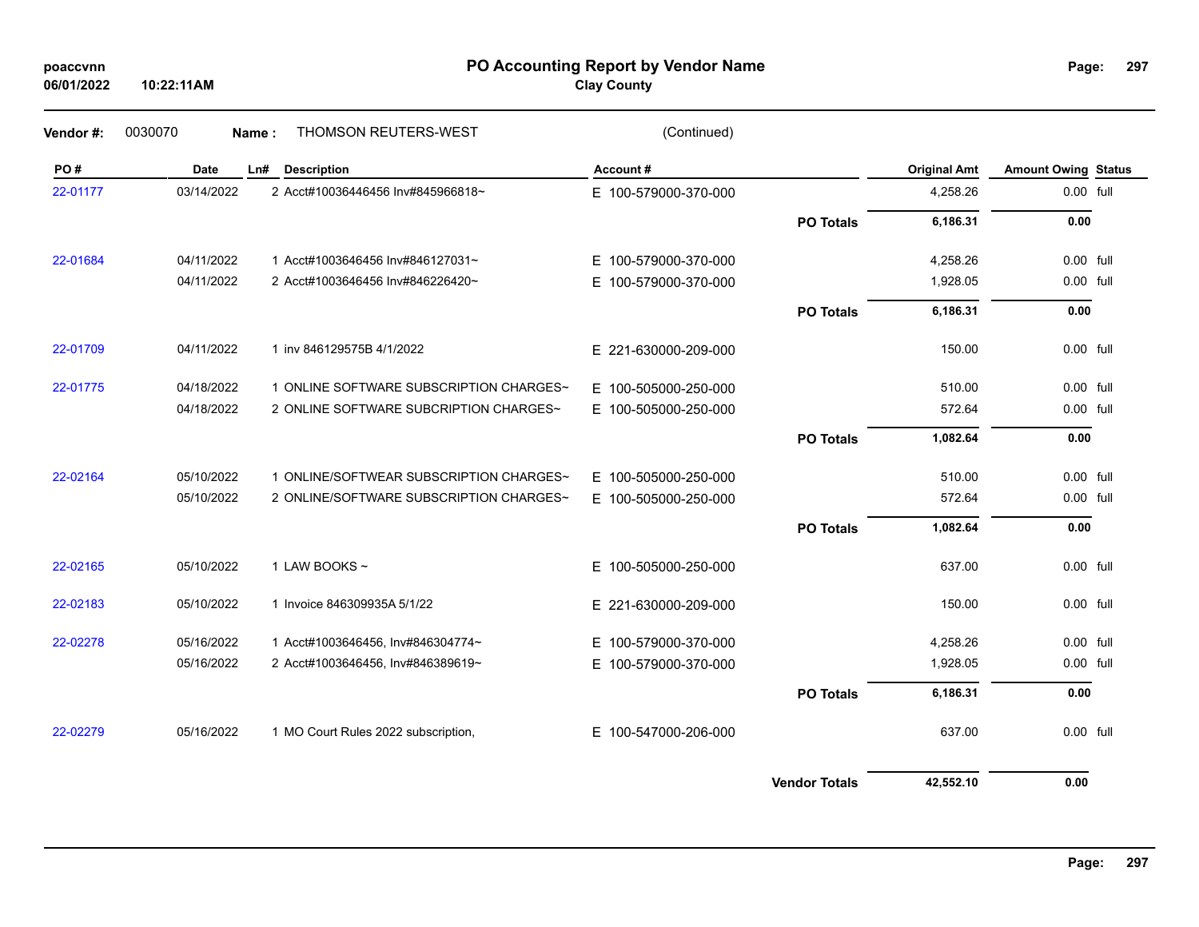## **PO Accounting Report by Vendor Name poaccvnn Page:**

**Clay County**

**Vendor #:** 0030070 **Name :** THOMSON REUTERS-WEST (Continued)

| PO#      | <b>Date</b> | LnH | <b>Description</b>                      | Account#                 |                      | <b>Original Amt</b> | <b>Amount Owing Status</b> |  |
|----------|-------------|-----|-----------------------------------------|--------------------------|----------------------|---------------------|----------------------------|--|
| 22-01177 | 03/14/2022  |     | 2 Acct#10036446456 Inv#845966818~       | E 100-579000-370-000     |                      | 4,258.26            | 0.00 full                  |  |
|          |             |     |                                         |                          | <b>PO Totals</b>     | 6,186.31            | 0.00                       |  |
| 22-01684 | 04/11/2022  |     | 1 Acct#1003646456 Inv#846127031~        | E 100-579000-370-000     |                      | 4,258.26            | 0.00 full                  |  |
|          | 04/11/2022  |     | 2 Acct#1003646456 Inv#846226420~        | E 100-579000-370-000     |                      | 1,928.05            | 0.00 full                  |  |
|          |             |     |                                         |                          | <b>PO Totals</b>     | 6,186.31            | 0.00                       |  |
| 22-01709 | 04/11/2022  |     | 1 inv 846129575B 4/1/2022               | E 221-630000-209-000     |                      | 150.00              | 0.00 full                  |  |
| 22-01775 | 04/18/2022  |     | 1 ONLINE SOFTWARE SUBSCRIPTION CHARGES~ | E 100-505000-250-000     |                      | 510.00              | $0.00$ full                |  |
|          | 04/18/2022  |     | 2 ONLINE SOFTWARE SUBCRIPTION CHARGES~  | E 100-505000-250-000     |                      | 572.64              | 0.00 full                  |  |
|          |             |     |                                         |                          | <b>PO Totals</b>     | 1,082.64            | 0.00                       |  |
| 22-02164 | 05/10/2022  |     | 1 ONLINE/SOFTWEAR SUBSCRIPTION CHARGES~ | E 100-505000-250-000     |                      | 510.00              | 0.00 full                  |  |
|          | 05/10/2022  |     | 2 ONLINE/SOFTWARE SUBSCRIPTION CHARGES~ | E 100-505000-250-000     |                      | 572.64              | 0.00 full                  |  |
|          |             |     |                                         |                          | <b>PO Totals</b>     | 1,082.64            | 0.00                       |  |
| 22-02165 | 05/10/2022  |     | 1 LAW BOOKS $\sim$                      | E 100-505000-250-000     |                      | 637.00              | 0.00 full                  |  |
| 22-02183 | 05/10/2022  |     | 1 Invoice 846309935A 5/1/22             | E 221-630000-209-000     |                      | 150.00              | $0.00$ full                |  |
| 22-02278 | 05/16/2022  |     | 1 Acct#1003646456, Inv#846304774~       | 100-579000-370-000<br>E. |                      | 4,258.26            | 0.00 full                  |  |
|          | 05/16/2022  |     | 2 Acct#1003646456, Inv#846389619~       | E 100-579000-370-000     |                      | 1,928.05            | 0.00 full                  |  |
|          |             |     |                                         |                          | <b>PO Totals</b>     | 6,186.31            | 0.00                       |  |
| 22-02279 | 05/16/2022  |     | 1 MO Court Rules 2022 subscription,     | E 100-547000-206-000     |                      | 637.00              | 0.00 full                  |  |
|          |             |     |                                         |                          | <b>Vendor Totals</b> | 42,552.10           | 0.00                       |  |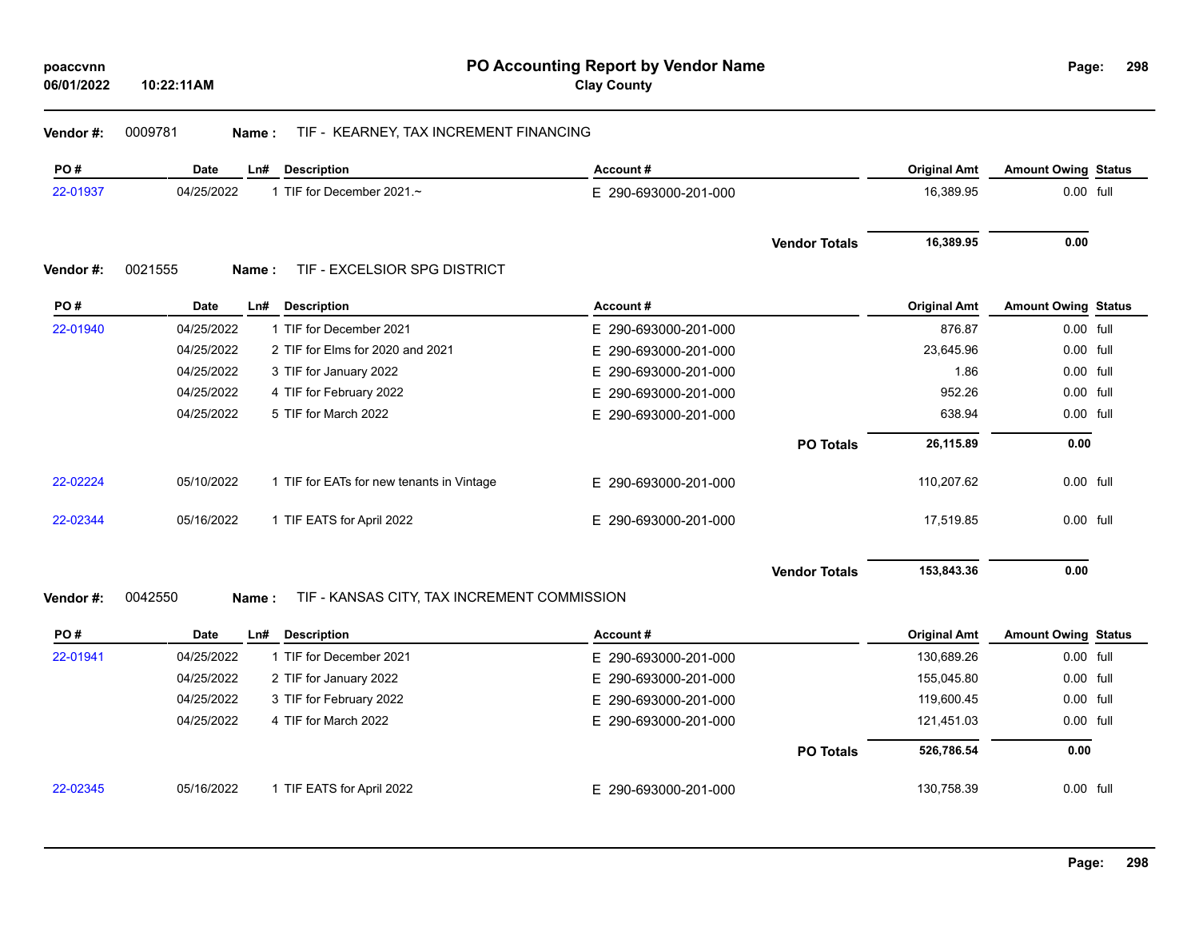**Vendor #:** 0009781 **Name :** TIF - KEARNEY, TAX INCREMENT FINANCING

| PO#      | Date<br>Ln#      | <b>Description</b>                          | Account#             |                      | <b>Original Amt</b> | <b>Amount Owing Status</b> |  |
|----------|------------------|---------------------------------------------|----------------------|----------------------|---------------------|----------------------------|--|
| 22-01937 | 04/25/2022       | 1 TIF for December 2021.~                   | E 290-693000-201-000 |                      | 16,389.95           | 0.00 full                  |  |
| Vendor#: | 0021555<br>Name: | TIF - EXCELSIOR SPG DISTRICT                |                      | <b>Vendor Totals</b> | 16,389.95           | 0.00                       |  |
| PO#      | Date<br>Ln#      | <b>Description</b>                          | Account#             |                      | <b>Original Amt</b> | <b>Amount Owing Status</b> |  |
| 22-01940 | 04/25/2022       | 1 TIF for December 2021                     | E 290-693000-201-000 |                      | 876.87              | 0.00 full                  |  |
|          | 04/25/2022       | 2 TIF for Elms for 2020 and 2021            | E 290-693000-201-000 |                      | 23,645.96           | 0.00 full                  |  |
|          | 04/25/2022       | 3 TIF for January 2022                      | E 290-693000-201-000 |                      | 1.86                | 0.00 full                  |  |
|          | 04/25/2022       | 4 TIF for February 2022                     | E 290-693000-201-000 |                      | 952.26              | 0.00 full                  |  |
|          | 04/25/2022       | 5 TIF for March 2022                        | E 290-693000-201-000 |                      | 638.94              | 0.00 full                  |  |
|          |                  |                                             |                      | <b>PO Totals</b>     | 26,115.89           | 0.00                       |  |
| 22-02224 | 05/10/2022       | 1 TIF for EATs for new tenants in Vintage   | E 290-693000-201-000 |                      | 110,207.62          | 0.00 full                  |  |
| 22-02344 | 05/16/2022       | 1 TIF EATS for April 2022                   | E 290-693000-201-000 |                      | 17,519.85           | 0.00 full                  |  |
|          |                  |                                             |                      | <b>Vendor Totals</b> | 153,843.36          | 0.00                       |  |
| Vendor#: | 0042550<br>Name: | TIF - KANSAS CITY, TAX INCREMENT COMMISSION |                      |                      |                     |                            |  |

| PO#      | Date       | Ln# | Description               | Account#             | <b>Original Amt</b> | <b>Amount Owing Status</b> |  |
|----------|------------|-----|---------------------------|----------------------|---------------------|----------------------------|--|
| 22-01941 | 04/25/2022 |     | 1 TIF for December 2021   | E 290-693000-201-000 | 130,689.26          | 0.00 full                  |  |
|          | 04/25/2022 |     | 2 TIF for January 2022    | E 290-693000-201-000 | 155.045.80          | 0.00 full                  |  |
|          | 04/25/2022 |     | 3 TIF for February 2022   | E 290-693000-201-000 | 119.600.45          | 0.00 full                  |  |
|          | 04/25/2022 |     | 4 TIF for March 2022      | E 290-693000-201-000 | 121.451.03          | 0.00 full                  |  |
|          |            |     |                           | <b>PO Totals</b>     | 526.786.54          | 0.00                       |  |
| 22-02345 | 05/16/2022 |     | 1 TIF EATS for April 2022 | E 290-693000-201-000 | 130.758.39          | 0.00 full                  |  |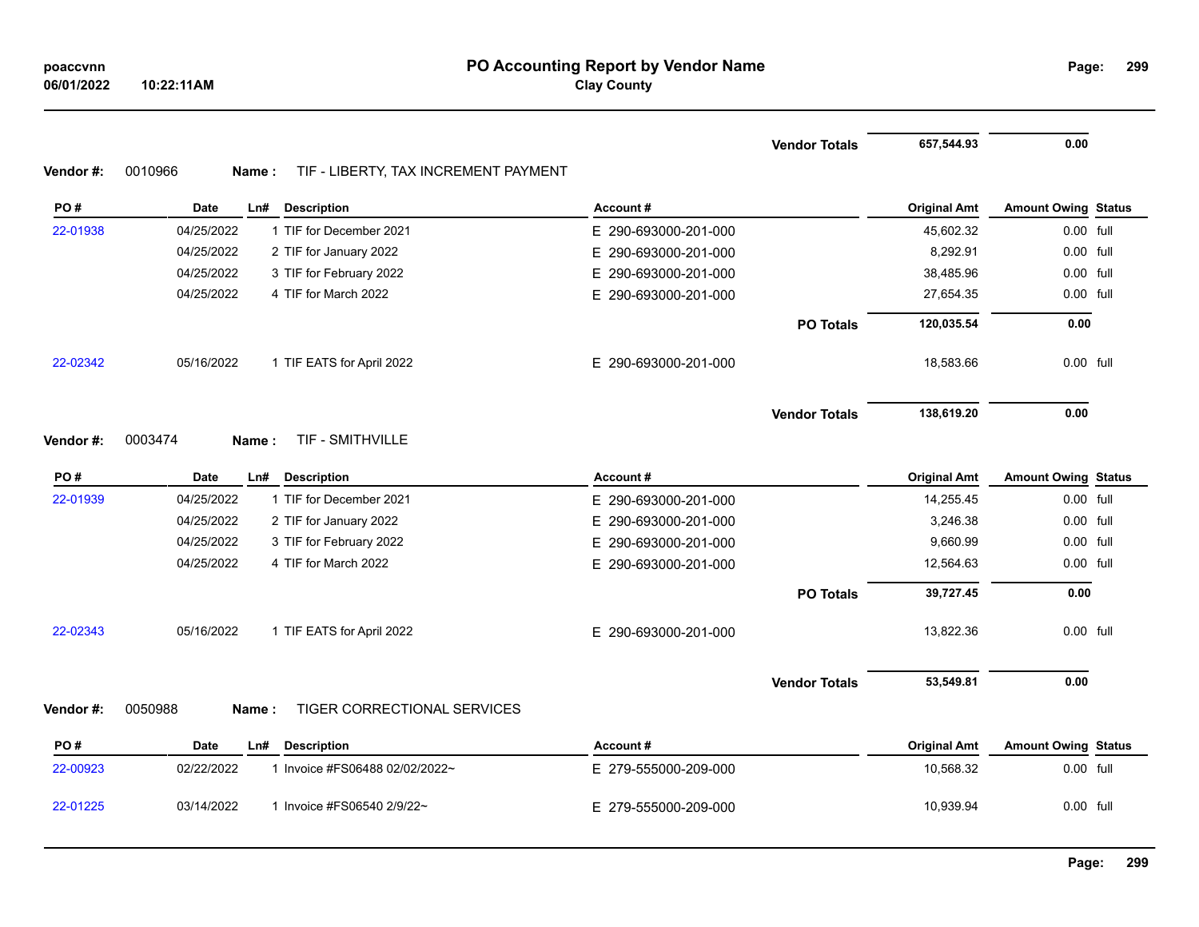**299**

|           |                                                           |                      | <b>Vendor Totals</b> | 657,544.93          | 0.00                       |  |
|-----------|-----------------------------------------------------------|----------------------|----------------------|---------------------|----------------------------|--|
| Vendor #: | 0010966<br>TIF - LIBERTY, TAX INCREMENT PAYMENT<br>Name : |                      |                      |                     |                            |  |
| PO#       | <b>Date</b><br><b>Description</b><br>Ln#                  | Account#             |                      | <b>Original Amt</b> | <b>Amount Owing Status</b> |  |
| 22-01938  | 04/25/2022<br>1 TIF for December 2021                     | E 290-693000-201-000 |                      | 45,602.32           | $0.00$ full                |  |
|           | 04/25/2022<br>2 TIF for January 2022                      | E 290-693000-201-000 |                      | 8,292.91            | 0.00 full                  |  |
|           | 04/25/2022<br>3 TIF for February 2022                     | E 290-693000-201-000 |                      | 38,485.96           | 0.00 full                  |  |
|           | 04/25/2022<br>4 TIF for March 2022                        | E 290-693000-201-000 |                      | 27,654.35           | 0.00 full                  |  |
|           |                                                           |                      | <b>PO Totals</b>     | 120,035.54          | 0.00                       |  |
| 22-02342  | 05/16/2022<br>1 TIF EATS for April 2022                   | E 290-693000-201-000 |                      | 18,583.66           | 0.00 full                  |  |
|           |                                                           |                      | <b>Vendor Totals</b> | 138,619.20          | 0.00                       |  |
| Vendor #: | TIF - SMITHVILLE<br>0003474<br>Name:                      |                      |                      |                     |                            |  |
| PO#       | Date<br>Ln#<br><b>Description</b>                         | Account#             |                      | <b>Original Amt</b> | <b>Amount Owing Status</b> |  |
| 22-01939  | 04/25/2022<br>1 TIF for December 2021                     | E 290-693000-201-000 |                      | 14,255.45           | 0.00 full                  |  |
|           | 04/25/2022<br>2 TIF for January 2022                      | E 290-693000-201-000 |                      | 3,246.38            | 0.00 full                  |  |
|           | 04/25/2022<br>3 TIF for February 2022                     | E 290-693000-201-000 |                      | 9,660.99            | 0.00 full                  |  |
|           | 04/25/2022<br>4 TIF for March 2022                        | E 290-693000-201-000 |                      | 12,564.63           | 0.00 full                  |  |
|           |                                                           |                      | <b>PO Totals</b>     | 39,727.45           | 0.00                       |  |
| 22-02343  | 05/16/2022<br>1 TIF EATS for April 2022                   | E 290-693000-201-000 |                      | 13,822.36           | 0.00 full                  |  |
|           |                                                           |                      | <b>Vendor Totals</b> | 53,549.81           | 0.00                       |  |
| Vendor #: | TIGER CORRECTIONAL SERVICES<br>0050988<br>Name:           |                      |                      |                     |                            |  |
| PO#       | <b>Date</b><br><b>Description</b><br>Ln#                  | Account#             |                      | <b>Original Amt</b> | <b>Amount Owing Status</b> |  |
| 22-00923  | 1 Invoice #FS06488 02/02/2022~<br>02/22/2022              | E 279-555000-209-000 |                      | 10,568.32           | 0.00 full                  |  |

22-01225 03/14/2022 1 Invoice #FS06540 2/9/22~ E 279-555000-209-000 10,939.94 0.00 full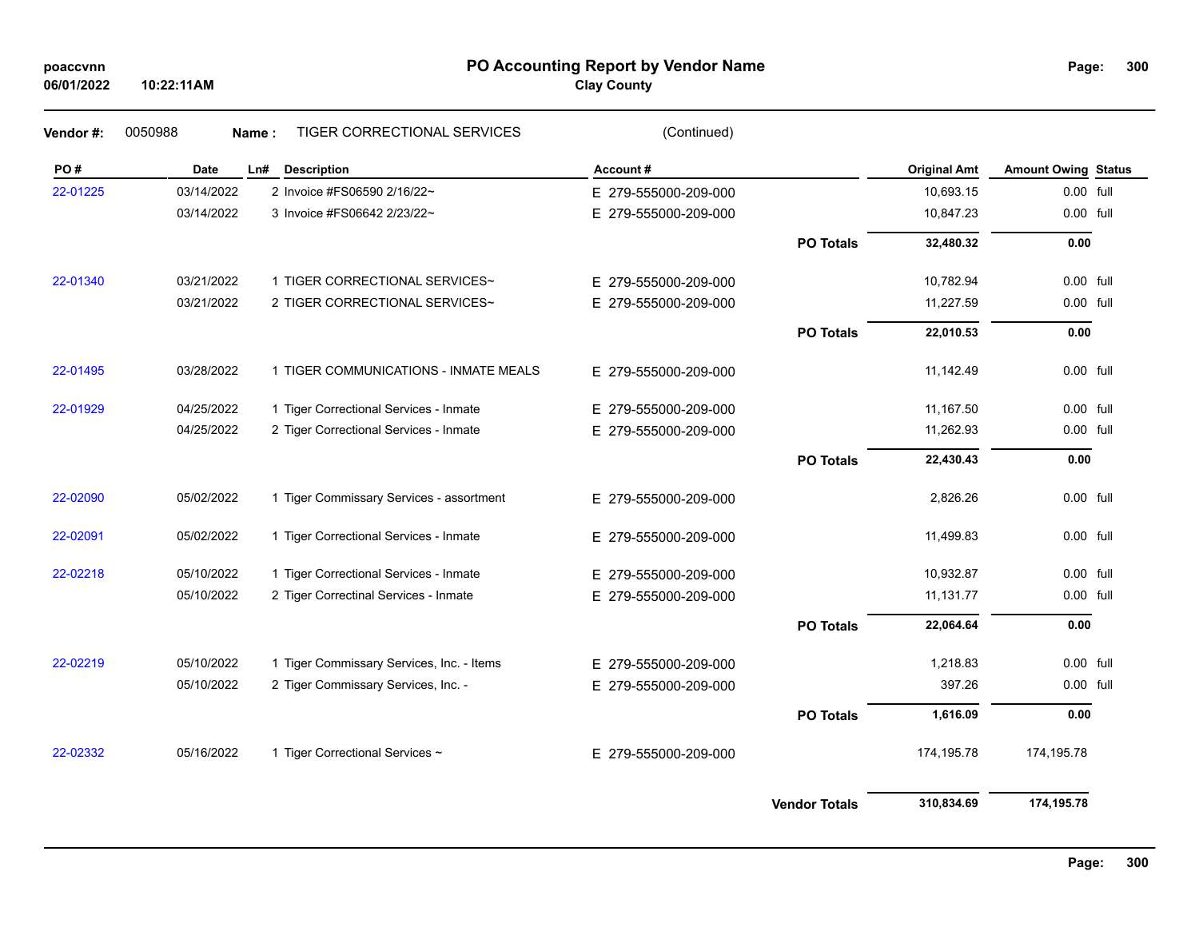# **PO Accounting Report by Vendor Name poaccvnn Page:**

# **Clay County**

| PO#      | Date       | <b>Description</b><br>Ln#                 | Account#             |                  | <b>Original Amt</b> | <b>Amount Owing Status</b> |  |
|----------|------------|-------------------------------------------|----------------------|------------------|---------------------|----------------------------|--|
| 22-01225 | 03/14/2022 | 2 Invoice #FS06590 2/16/22~               | E 279-555000-209-000 |                  | 10,693.15           | 0.00 full                  |  |
|          | 03/14/2022 | 3 Invoice #FS06642 2/23/22~               | E 279-555000-209-000 |                  | 10,847.23           | 0.00 full                  |  |
|          |            |                                           |                      |                  |                     |                            |  |
|          |            |                                           |                      | <b>PO Totals</b> | 32,480.32           | 0.00                       |  |
| 22-01340 | 03/21/2022 | 1 TIGER CORRECTIONAL SERVICES~            | E 279-555000-209-000 |                  | 10,782.94           | $0.00$ full                |  |
|          | 03/21/2022 | 2 TIGER CORRECTIONAL SERVICES~            | E 279-555000-209-000 |                  | 11,227.59           | 0.00 full                  |  |
|          |            |                                           |                      | <b>PO Totals</b> | 22,010.53           | 0.00                       |  |
| 22-01495 | 03/28/2022 | 1 TIGER COMMUNICATIONS - INMATE MEALS     | E 279-555000-209-000 |                  | 11,142.49           | 0.00 full                  |  |
| 22-01929 | 04/25/2022 | 1 Tiger Correctional Services - Inmate    | E 279-555000-209-000 |                  | 11,167.50           | $0.00$ full                |  |
|          | 04/25/2022 | 2 Tiger Correctional Services - Inmate    | E 279-555000-209-000 |                  | 11,262.93           | 0.00 full                  |  |
|          |            |                                           |                      | <b>PO Totals</b> | 22,430.43           | 0.00                       |  |
| 22-02090 | 05/02/2022 | 1 Tiger Commissary Services - assortment  | E 279-555000-209-000 |                  | 2,826.26            | 0.00 full                  |  |
| 22-02091 | 05/02/2022 | 1 Tiger Correctional Services - Inmate    | E 279-555000-209-000 |                  | 11,499.83           | 0.00 full                  |  |
| 22-02218 | 05/10/2022 | 1 Tiger Correctional Services - Inmate    | E 279-555000-209-000 |                  | 10,932.87           | 0.00 full                  |  |
|          | 05/10/2022 | 2 Tiger Correctinal Services - Inmate     | E 279-555000-209-000 |                  | 11,131.77           | 0.00 full                  |  |
|          |            |                                           |                      | <b>PO Totals</b> | 22,064.64           | 0.00                       |  |
| 22-02219 | 05/10/2022 | 1 Tiger Commissary Services, Inc. - Items | E 279-555000-209-000 |                  | 1,218.83            | 0.00 full                  |  |
|          | 05/10/2022 | 2 Tiger Commissary Services, Inc. -       | E 279-555000-209-000 |                  | 397.26              | 0.00 full                  |  |
|          |            |                                           |                      | <b>PO Totals</b> | 1,616.09            | 0.00                       |  |
| 22-02332 | 05/16/2022 | 1 Tiger Correctional Services ~           | E 279-555000-209-000 |                  | 174,195.78          | 174,195.78                 |  |
|          |            |                                           |                      |                  |                     |                            |  |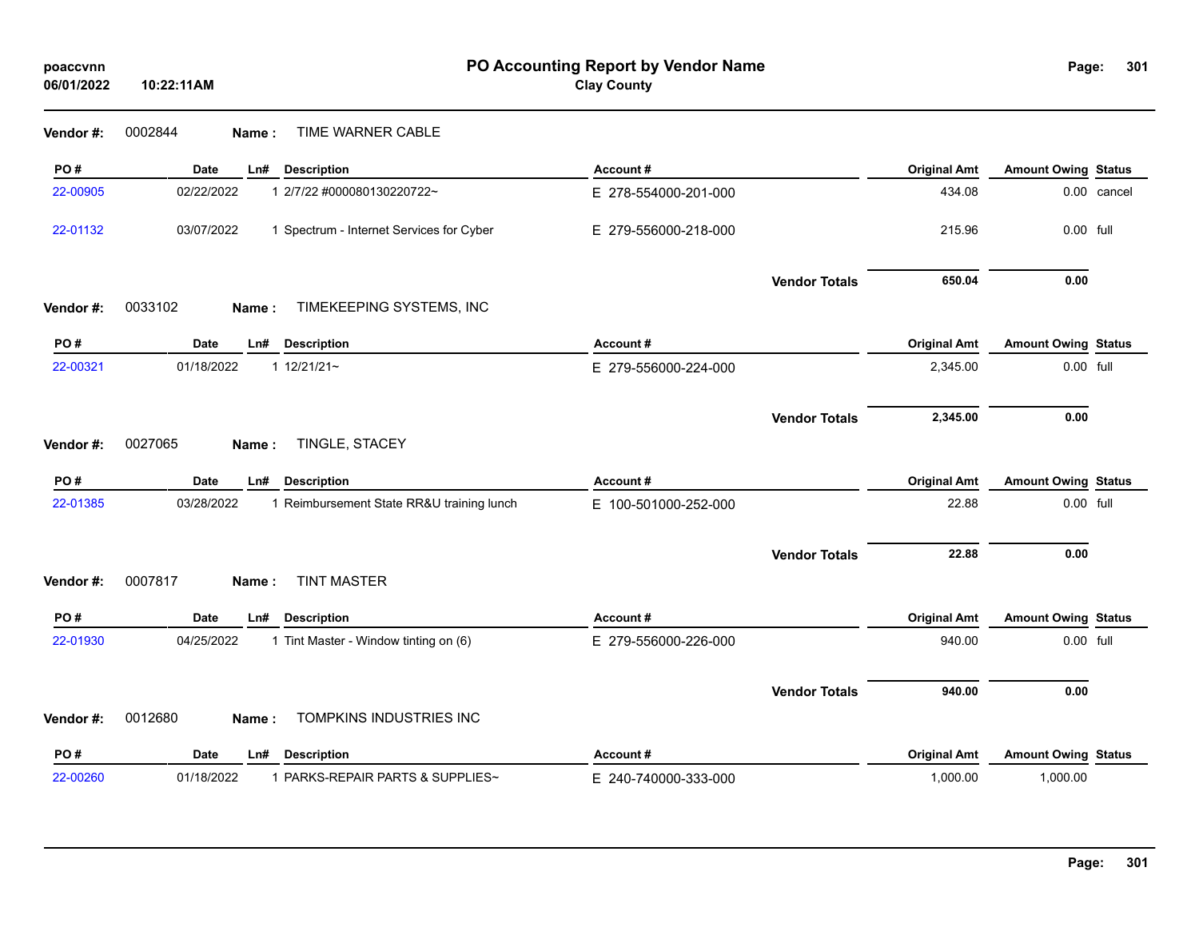| poaccvnn<br>06/01/2022 | 10:22:11AM                                              | PO Accounting Report by Vendor Name<br><b>Clay County</b> |                      |                     | Page:                      | 301         |
|------------------------|---------------------------------------------------------|-----------------------------------------------------------|----------------------|---------------------|----------------------------|-------------|
| Vendor #:              | TIME WARNER CABLE<br>0002844<br>Name:                   |                                                           |                      |                     |                            |             |
| PO#                    | <b>Date</b><br>Ln#<br><b>Description</b>                | Account#                                                  |                      | <b>Original Amt</b> | <b>Amount Owing Status</b> |             |
| 22-00905               | 02/22/2022<br>1 2/7/22 #000080130220722~                | E 278-554000-201-000                                      |                      | 434.08              |                            | 0.00 cancel |
| 22-01132               | 03/07/2022<br>1 Spectrum - Internet Services for Cyber  | E 279-556000-218-000                                      |                      | 215.96              | 0.00 full                  |             |
|                        |                                                         |                                                           | <b>Vendor Totals</b> | 650.04              | 0.00                       |             |
| Vendor#:               | 0033102<br>TIMEKEEPING SYSTEMS, INC<br>Name:            |                                                           |                      |                     |                            |             |
| PO#                    | <b>Date</b><br>Ln#<br><b>Description</b>                | Account#                                                  |                      | <b>Original Amt</b> | <b>Amount Owing Status</b> |             |
| 22-00321               | 01/18/2022<br>$112/21/21$ ~                             | E 279-556000-224-000                                      |                      | 2,345.00            | 0.00 full                  |             |
|                        |                                                         |                                                           | <b>Vendor Totals</b> | 2,345.00            | 0.00                       |             |
| Vendor #:              | 0027065<br>TINGLE, STACEY<br>Name:                      |                                                           |                      |                     |                            |             |
| PO#                    | <b>Date</b><br><b>Description</b><br>Ln#                | Account#                                                  |                      | <b>Original Amt</b> | <b>Amount Owing Status</b> |             |
| 22-01385               | 03/28/2022<br>1 Reimbursement State RR&U training lunch | E 100-501000-252-000                                      |                      | 22.88               | 0.00 full                  |             |
|                        |                                                         |                                                           | <b>Vendor Totals</b> | 22.88               | 0.00                       |             |
| Vendor#:               | <b>TINT MASTER</b><br>0007817<br>Name:                  |                                                           |                      |                     |                            |             |
| PO#                    | <b>Date</b><br><b>Description</b><br>Ln#                | Account#                                                  |                      | <b>Original Amt</b> | <b>Amount Owing Status</b> |             |
| 22-01930               | 04/25/2022<br>1 Tint Master - Window tinting on (6)     | E 279-556000-226-000                                      |                      | 940.00              | 0.00 full                  |             |
|                        |                                                         |                                                           | <b>Vendor Totals</b> | 940.00              | 0.00                       |             |
| Vendor#:               | TOMPKINS INDUSTRIES INC<br>0012680<br>Name:             |                                                           |                      |                     |                            |             |
| PO#                    | <b>Description</b><br><b>Date</b><br>Ln#                | Account#                                                  |                      | <b>Original Amt</b> | <b>Amount Owing Status</b> |             |
| 22-00260               | 1 PARKS-REPAIR PARTS & SUPPLIES~<br>01/18/2022          | E 240-740000-333-000                                      |                      | 1,000.00            | 1,000.00                   |             |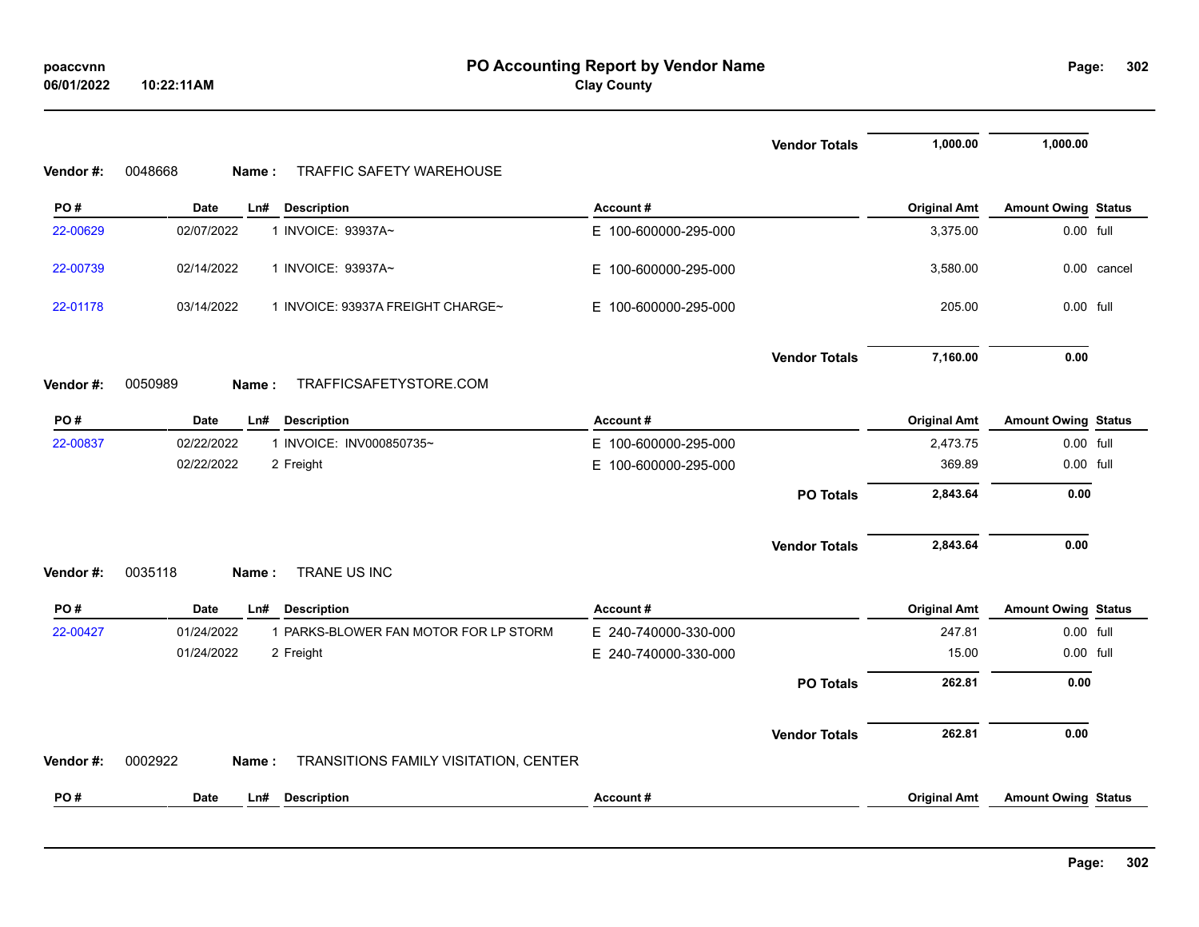|           |                                                           |                      | <b>Vendor Totals</b> | 1,000.00            | 1,000.00                   |             |
|-----------|-----------------------------------------------------------|----------------------|----------------------|---------------------|----------------------------|-------------|
| Vendor #: | 0048668<br><b>TRAFFIC SAFETY WAREHOUSE</b><br>Name :      |                      |                      |                     |                            |             |
| PO#       | <b>Date</b><br>Ln#<br><b>Description</b>                  | Account#             |                      | <b>Original Amt</b> | <b>Amount Owing Status</b> |             |
| 22-00629  | 1 INVOICE: 93937A~<br>02/07/2022                          | E 100-600000-295-000 |                      | 3,375.00            | 0.00 full                  |             |
| 22-00739  | 1 INVOICE: 93937A~<br>02/14/2022                          | E 100-600000-295-000 |                      | 3,580.00            |                            | 0.00 cancel |
| 22-01178  | 03/14/2022<br>1 INVOICE: 93937A FREIGHT CHARGE~           | E 100-600000-295-000 |                      | 205.00              | $0.00$ full                |             |
|           |                                                           |                      | <b>Vendor Totals</b> | 7,160.00            | 0.00                       |             |
| Vendor#:  | 0050989<br>TRAFFICSAFETYSTORE.COM<br>Name:                |                      |                      |                     |                            |             |
| PO#       | <b>Date</b><br><b>Description</b><br>Ln#                  | Account#             |                      | <b>Original Amt</b> | <b>Amount Owing Status</b> |             |
| 22-00837  | 1 INVOICE: INV000850735~<br>02/22/2022                    | E 100-600000-295-000 |                      | 2,473.75            | 0.00 full                  |             |
|           | 02/22/2022<br>2 Freight                                   | E 100-600000-295-000 |                      | 369.89              | 0.00 full                  |             |
|           |                                                           |                      | <b>PO Totals</b>     | 2,843.64            | 0.00                       |             |
|           |                                                           |                      | <b>Vendor Totals</b> | 2,843.64            | 0.00                       |             |
| Vendor#:  | TRANE US INC<br>0035118<br>Name:                          |                      |                      |                     |                            |             |
| PO#       | <b>Date</b><br>Ln#<br><b>Description</b>                  | Account#             |                      | <b>Original Amt</b> | <b>Amount Owing Status</b> |             |
| 22-00427  | 01/24/2022<br>1 PARKS-BLOWER FAN MOTOR FOR LP STORM       | E 240-740000-330-000 |                      | 247.81              | 0.00 full                  |             |
|           | 01/24/2022<br>2 Freight                                   | E 240-740000-330-000 |                      | 15.00               | 0.00 full                  |             |
|           |                                                           |                      | <b>PO Totals</b>     | 262.81              | 0.00                       |             |
|           |                                                           |                      | <b>Vendor Totals</b> | 262.81              | 0.00                       |             |
| Vendor#:  | TRANSITIONS FAMILY VISITATION, CENTER<br>0002922<br>Name: |                      |                      |                     |                            |             |
| PO#       | <b>Date</b><br><b>Description</b><br>Ln#                  | Account#             |                      | <b>Original Amt</b> | <b>Amount Owing Status</b> |             |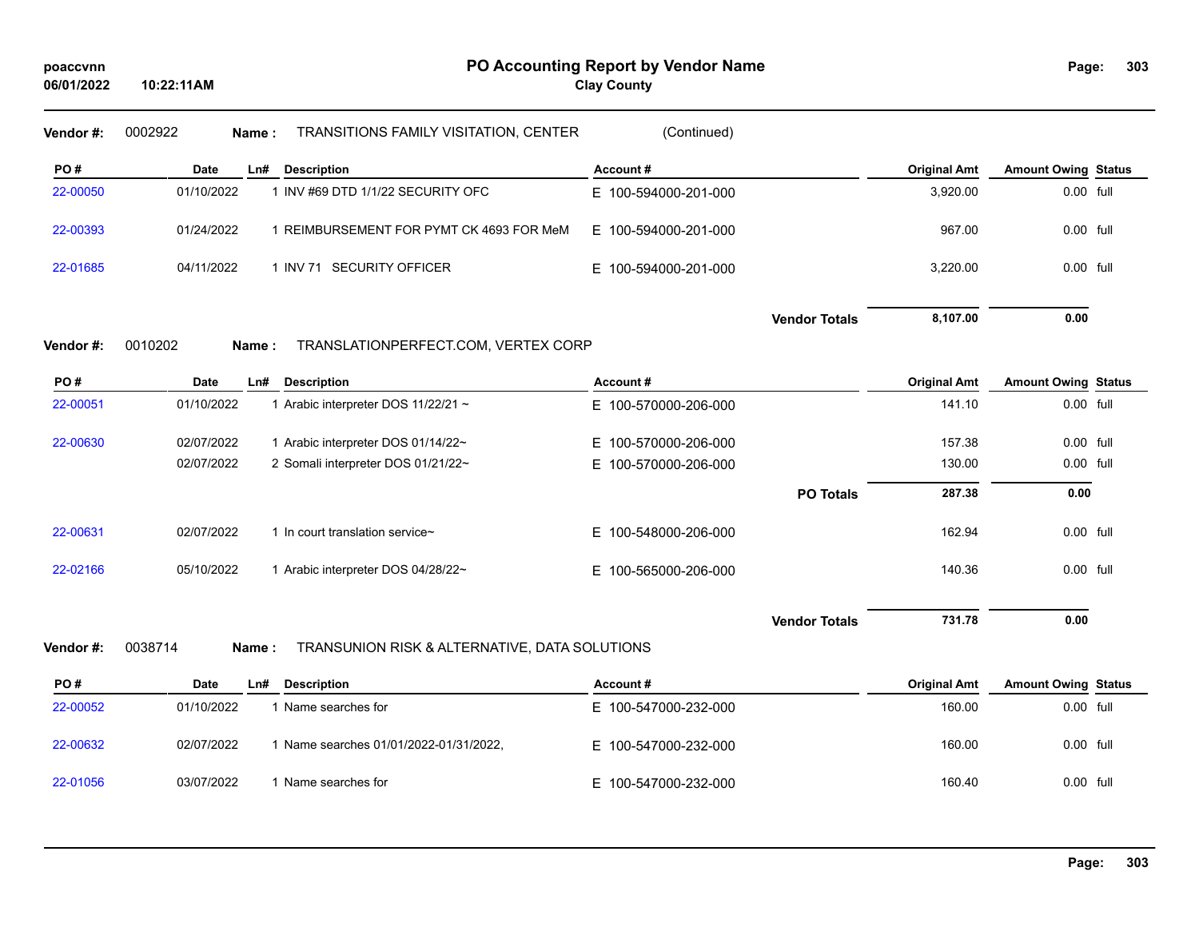**Clay County**

| Vendor#: | 0002922<br>Name: | TRANSITIONS FAMILY VISITATION, CENTER         | (Continued)          |                      |                     |                            |  |
|----------|------------------|-----------------------------------------------|----------------------|----------------------|---------------------|----------------------------|--|
| PO#      | Date<br>Ln#      | <b>Description</b>                            | Account#             |                      | <b>Original Amt</b> | <b>Amount Owing Status</b> |  |
| 22-00050 | 01/10/2022       | 1 INV #69 DTD 1/1/22 SECURITY OFC             | E 100-594000-201-000 |                      | 3,920.00            | 0.00 full                  |  |
| 22-00393 | 01/24/2022       | 1 REIMBURSEMENT FOR PYMT CK 4693 FOR MeM      | E 100-594000-201-000 |                      | 967.00              | 0.00 full                  |  |
| 22-01685 | 04/11/2022       | 1 INV 71 SECURITY OFFICER                     | E 100-594000-201-000 |                      | 3,220.00            | 0.00 full                  |  |
|          |                  |                                               |                      | <b>Vendor Totals</b> | 8,107.00            | 0.00                       |  |
| Vendor#: | 0010202<br>Name: | TRANSLATIONPERFECT.COM, VERTEX CORP           |                      |                      |                     |                            |  |
| PO#      | Date<br>Ln#      | <b>Description</b>                            | Account#             |                      | <b>Original Amt</b> | <b>Amount Owing Status</b> |  |
| 22-00051 | 01/10/2022       | 1 Arabic interpreter DOS 11/22/21 ~           | E 100-570000-206-000 |                      | 141.10              | 0.00 full                  |  |
| 22-00630 | 02/07/2022       | 1 Arabic interpreter DOS 01/14/22~            | E 100-570000-206-000 |                      | 157.38              | 0.00 full                  |  |
|          | 02/07/2022       | 2 Somali interpreter DOS 01/21/22~            | E 100-570000-206-000 |                      | 130.00              | 0.00 full                  |  |
|          |                  |                                               |                      | <b>PO Totals</b>     | 287.38              | 0.00                       |  |
| 22-00631 | 02/07/2022       | 1 In court translation service~               | E 100-548000-206-000 |                      | 162.94              | 0.00 full                  |  |
| 22-02166 | 05/10/2022       | 1 Arabic interpreter DOS 04/28/22~            | E 100-565000-206-000 |                      | 140.36              | 0.00 full                  |  |
|          |                  |                                               |                      | <b>Vendor Totals</b> | 731.78              | 0.00                       |  |
| Vendor#: | 0038714<br>Name: | TRANSUNION RISK & ALTERNATIVE, DATA SOLUTIONS |                      |                      |                     |                            |  |
| PO#      | Date<br>Ln#      | <b>Description</b>                            | Account#             |                      | <b>Original Amt</b> | <b>Amount Owing Status</b> |  |
| 22-00052 | 01/10/2022       | 1 Name searches for                           | E 100-547000-232-000 |                      | 160.00              | 0.00 full                  |  |
| 22-00632 | 02/07/2022       | 1 Name searches 01/01/2022-01/31/2022,        | E 100-547000-232-000 |                      | 160.00              | 0.00 full                  |  |
| 22-01056 | 03/07/2022       | 1 Name searches for                           | E 100-547000-232-000 |                      | 160.40              | 0.00 full                  |  |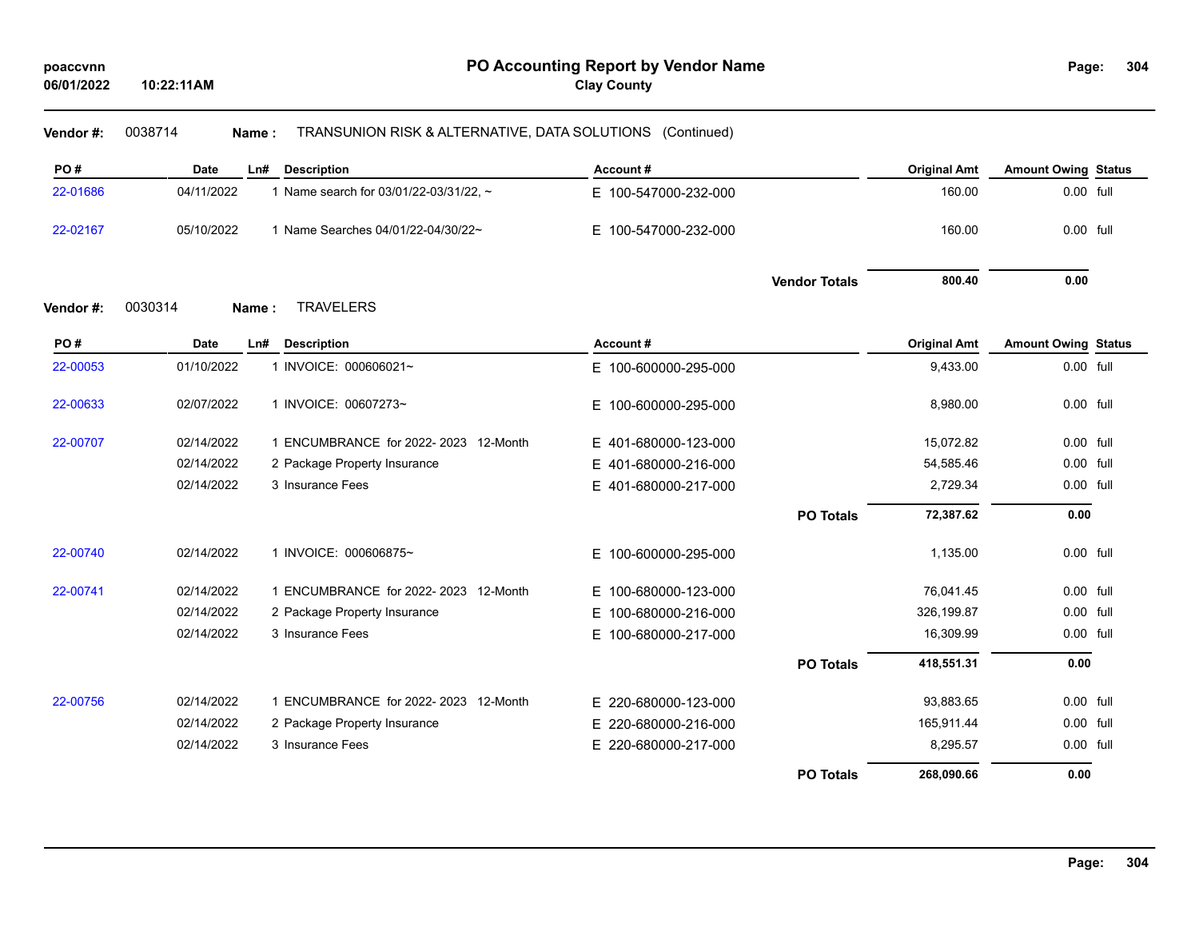# **Vendor #:** 0038714 **Name :** TRANSUNION RISK & ALTERNATIVE, DATA SOLUTIONS (Continued)

| PO#      | <b>Date</b>      | <b>Description</b><br>Ln#              | Account#                 |                      | <b>Original Amt</b> | <b>Amount Owing Status</b> |  |
|----------|------------------|----------------------------------------|--------------------------|----------------------|---------------------|----------------------------|--|
| 22-01686 | 04/11/2022       | 1 Name search for 03/01/22-03/31/22, ~ | E 100-547000-232-000     |                      | 160.00              | 0.00 full                  |  |
| 22-02167 | 05/10/2022       | 1 Name Searches 04/01/22-04/30/22~     | E.<br>100-547000-232-000 |                      | 160.00              | 0.00 full                  |  |
|          |                  |                                        |                          | <b>Vendor Totals</b> | 800.40              | 0.00                       |  |
| Vendor#: | 0030314<br>Name: | <b>TRAVELERS</b>                       |                          |                      |                     |                            |  |
| PO#      | <b>Date</b>      | <b>Description</b><br>Ln#              | Account#                 |                      | <b>Original Amt</b> | <b>Amount Owing Status</b> |  |
| 22-00053 | 01/10/2022       | 1 INVOICE: 000606021~                  | E 100-600000-295-000     |                      | 9,433.00            | 0.00 full                  |  |
| 22-00633 | 02/07/2022       | 1 INVOICE: 00607273~                   | E.<br>100-600000-295-000 |                      | 8,980.00            | $0.00$ full                |  |
| 22-00707 | 02/14/2022       | 1 ENCUMBRANCE for 2022-2023 12-Month   | E 401-680000-123-000     |                      | 15,072.82           | 0.00 full                  |  |
|          | 02/14/2022       | 2 Package Property Insurance           | 401-680000-216-000<br>E  |                      | 54,585.46           | 0.00 full                  |  |
|          | 02/14/2022       | 3 Insurance Fees                       | E 401-680000-217-000     |                      | 2,729.34            | 0.00 full                  |  |
|          |                  |                                        |                          | <b>PO Totals</b>     | 72,387.62           | 0.00                       |  |
| 22-00740 | 02/14/2022       | 1 INVOICE: 000606875~                  | E 100-600000-295-000     |                      | 1,135.00            | 0.00 full                  |  |
| 22-00741 | 02/14/2022       | 1 ENCUMBRANCE for 2022-2023 12-Month   | E.<br>100-680000-123-000 |                      | 76,041.45           | 0.00 full                  |  |
|          | 02/14/2022       | 2 Package Property Insurance           | Е<br>100-680000-216-000  |                      | 326,199.87          | $0.00$ full                |  |
|          | 02/14/2022       | 3 Insurance Fees                       | E.<br>100-680000-217-000 |                      | 16,309.99           | 0.00 full                  |  |
|          |                  |                                        |                          | <b>PO Totals</b>     | 418,551.31          | 0.00                       |  |
| 22-00756 | 02/14/2022       | 1 ENCUMBRANCE for 2022-2023 12-Month   | E 220-680000-123-000     |                      | 93,883.65           | $0.00$ full                |  |
|          | 02/14/2022       | 2 Package Property Insurance           | E<br>220-680000-216-000  |                      | 165,911.44          | 0.00 full                  |  |
|          | 02/14/2022       | 3 Insurance Fees                       | E 220-680000-217-000     |                      | 8,295.57            | 0.00 full                  |  |
|          |                  |                                        |                          | <b>PO Totals</b>     | 268,090.66          | 0.00                       |  |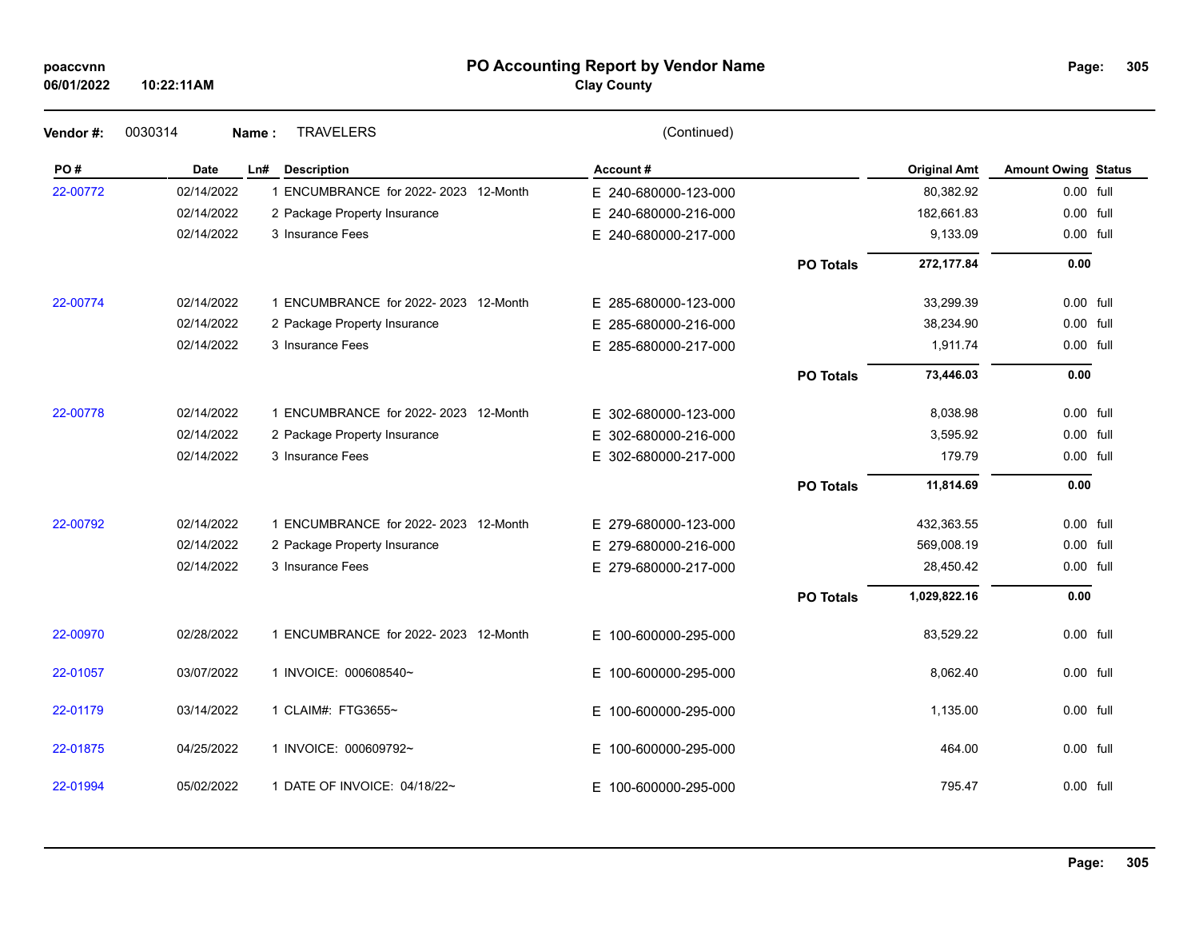| poaccvnn |  |
|----------|--|
|          |  |

# **PO Accounting Report by Vendor Name poaccvnn Page:**

# **Clay County**

| Vendor#: | 0030314     | <b>TRAVELERS</b><br>Name:            | (Continued)              |                  |                     |                            |  |
|----------|-------------|--------------------------------------|--------------------------|------------------|---------------------|----------------------------|--|
| PO#      | <b>Date</b> | <b>Description</b><br>Ln#            | Account#                 |                  | <b>Original Amt</b> | <b>Amount Owing Status</b> |  |
| 22-00772 | 02/14/2022  | 1 ENCUMBRANCE for 2022-2023 12-Month | E 240-680000-123-000     |                  | 80,382.92           | 0.00 full                  |  |
|          | 02/14/2022  | 2 Package Property Insurance         | E 240-680000-216-000     |                  | 182,661.83          | 0.00 full                  |  |
|          | 02/14/2022  | 3 Insurance Fees                     | E 240-680000-217-000     |                  | 9,133.09            | 0.00 full                  |  |
|          |             |                                      |                          | <b>PO Totals</b> | 272,177.84          | 0.00                       |  |
| 22-00774 | 02/14/2022  | 1 ENCUMBRANCE for 2022-2023 12-Month | E 285-680000-123-000     |                  | 33,299.39           | $0.00$ full                |  |
|          | 02/14/2022  | 2 Package Property Insurance         | E 285-680000-216-000     |                  | 38,234.90           | 0.00 full                  |  |
|          | 02/14/2022  | 3 Insurance Fees                     | E 285-680000-217-000     |                  | 1,911.74            | 0.00 full                  |  |
|          |             |                                      |                          | <b>PO Totals</b> | 73,446.03           | 0.00                       |  |
| 22-00778 | 02/14/2022  | 1 ENCUMBRANCE for 2022-2023 12-Month | E 302-680000-123-000     |                  | 8,038.98            | 0.00 full                  |  |
|          | 02/14/2022  | 2 Package Property Insurance         | E.<br>302-680000-216-000 |                  | 3,595.92            | 0.00 full                  |  |
|          | 02/14/2022  | 3 Insurance Fees                     | E.<br>302-680000-217-000 |                  | 179.79              | 0.00 full                  |  |
|          |             |                                      |                          | <b>PO Totals</b> | 11,814.69           | 0.00                       |  |
| 22-00792 | 02/14/2022  | 1 ENCUMBRANCE for 2022-2023 12-Month | E 279-680000-123-000     |                  | 432,363.55          | 0.00 full                  |  |
|          | 02/14/2022  | 2 Package Property Insurance         | E 279-680000-216-000     |                  | 569,008.19          | 0.00 full                  |  |
|          | 02/14/2022  | 3 Insurance Fees                     | E 279-680000-217-000     |                  | 28,450.42           | 0.00 full                  |  |
|          |             |                                      |                          | <b>PO Totals</b> | 1,029,822.16        | 0.00                       |  |
| 22-00970 | 02/28/2022  | 1 ENCUMBRANCE for 2022-2023 12-Month | E 100-600000-295-000     |                  | 83,529.22           | 0.00 full                  |  |
| 22-01057 | 03/07/2022  | 1 INVOICE: 000608540~                | E 100-600000-295-000     |                  | 8,062.40            | 0.00 full                  |  |
| 22-01179 | 03/14/2022  | 1 CLAIM#: FTG3655~                   | E 100-600000-295-000     |                  | 1,135.00            | 0.00 full                  |  |
| 22-01875 | 04/25/2022  | 1 INVOICE: 000609792~                | E 100-600000-295-000     |                  | 464.00              | 0.00 full                  |  |
| 22-01994 | 05/02/2022  | 1 DATE OF INVOICE: 04/18/22~         | E 100-600000-295-000     |                  | 795.47              | $0.00$ full                |  |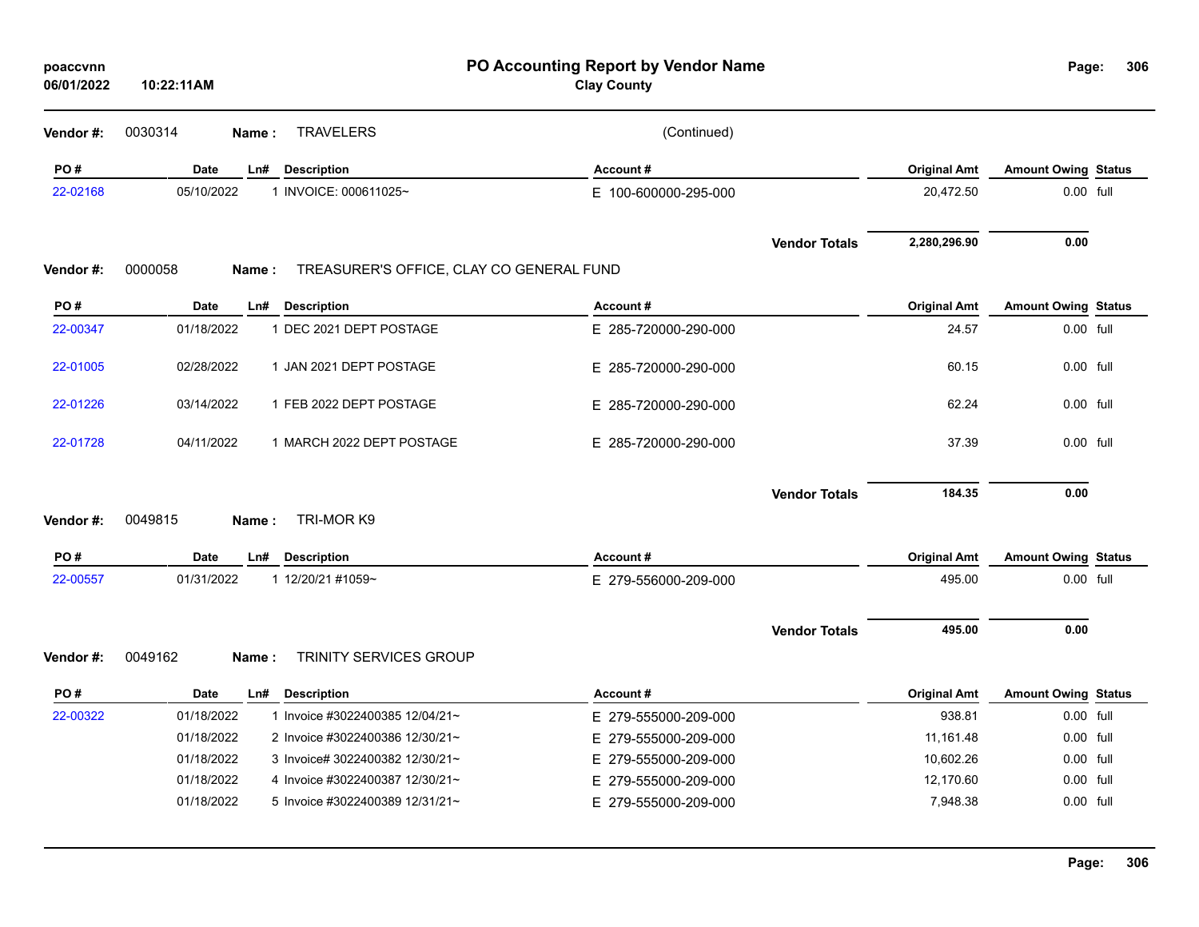| poaccvnn<br>06/01/2022 | 10:22:11AM                                           | PO Accounting Report by Vendor Name<br><b>Clay County</b> |                     | Page:                      | 306 |
|------------------------|------------------------------------------------------|-----------------------------------------------------------|---------------------|----------------------------|-----|
| Vendor #:              | 0030314<br><b>TRAVELERS</b><br>Name:                 | (Continued)                                               |                     |                            |     |
| PO#                    | <b>Date</b><br><b>Description</b><br>Ln#             | Account#                                                  | <b>Original Amt</b> | <b>Amount Owing Status</b> |     |
| 22-02168               | 05/10/2022<br>1 INVOICE: 000611025~                  | E 100-600000-295-000                                      | 20,472.50           | 0.00 full                  |     |
|                        |                                                      | <b>Vendor Totals</b>                                      | 2,280,296.90        | 0.00                       |     |
| Vendor#:               | 0000058<br>Name:                                     | TREASURER'S OFFICE, CLAY CO GENERAL FUND                  |                     |                            |     |
| PO#                    | <b>Date</b><br><b>Description</b><br>Ln#             | Account#                                                  | <b>Original Amt</b> | <b>Amount Owing Status</b> |     |
| 22-00347               | 1 DEC 2021 DEPT POSTAGE<br>01/18/2022                | E 285-720000-290-000                                      | 24.57               | 0.00 full                  |     |
| 22-01005               | 1 JAN 2021 DEPT POSTAGE<br>02/28/2022                | E 285-720000-290-000                                      | 60.15               | 0.00 full                  |     |
| 22-01226               | 03/14/2022<br>1 FEB 2022 DEPT POSTAGE                | E 285-720000-290-000                                      | 62.24               | 0.00 full                  |     |
| 22-01728               | 04/11/2022<br>1 MARCH 2022 DEPT POSTAGE              | E 285-720000-290-000                                      | 37.39               | 0.00 full                  |     |
|                        |                                                      | <b>Vendor Totals</b>                                      | 184.35              | 0.00                       |     |
| Vendor#:               | TRI-MOR K9<br>0049815<br>Name:                       |                                                           |                     |                            |     |
| PO#                    | <b>Date</b><br>L <sub>n#</sub><br><b>Description</b> | Account#                                                  | <b>Original Amt</b> | <b>Amount Owing Status</b> |     |
| 22-00557               | 01/31/2022<br>1 12/20/21 #1059~                      | E 279-556000-209-000                                      | 495.00              | 0.00 full                  |     |
|                        |                                                      | <b>Vendor Totals</b>                                      | 495.00              | 0.00                       |     |
| Vendor#:               | 0049162<br><b>TRINITY SERVICES GROUP</b><br>Name:    |                                                           |                     |                            |     |
| PO#                    | Date<br>Ln# Description                              | Account#                                                  | <b>Original Amt</b> | <b>Amount Owing Status</b> |     |
| 22-00322               | 1 Invoice #3022400385 12/04/21~<br>01/18/2022        | E 279-555000-209-000                                      | 938.81              | 0.00 full                  |     |
|                        | 01/18/2022<br>2 Invoice #3022400386 12/30/21~        | E 279-555000-209-000                                      | 11,161.48           | 0.00 full                  |     |
|                        | 01/18/2022<br>3 Invoice# 3022400382 12/30/21~        | E 279-555000-209-000                                      | 10,602.26           | $0.00$ full                |     |
|                        | 01/18/2022<br>4 Invoice #3022400387 12/30/21~        | E 279-555000-209-000                                      | 12,170.60           | 0.00 full                  |     |
|                        | 01/18/2022<br>5 Invoice #3022400389 12/31/21~        | E 279-555000-209-000                                      | 7,948.38            | 0.00 full                  |     |
|                        |                                                      |                                                           |                     |                            |     |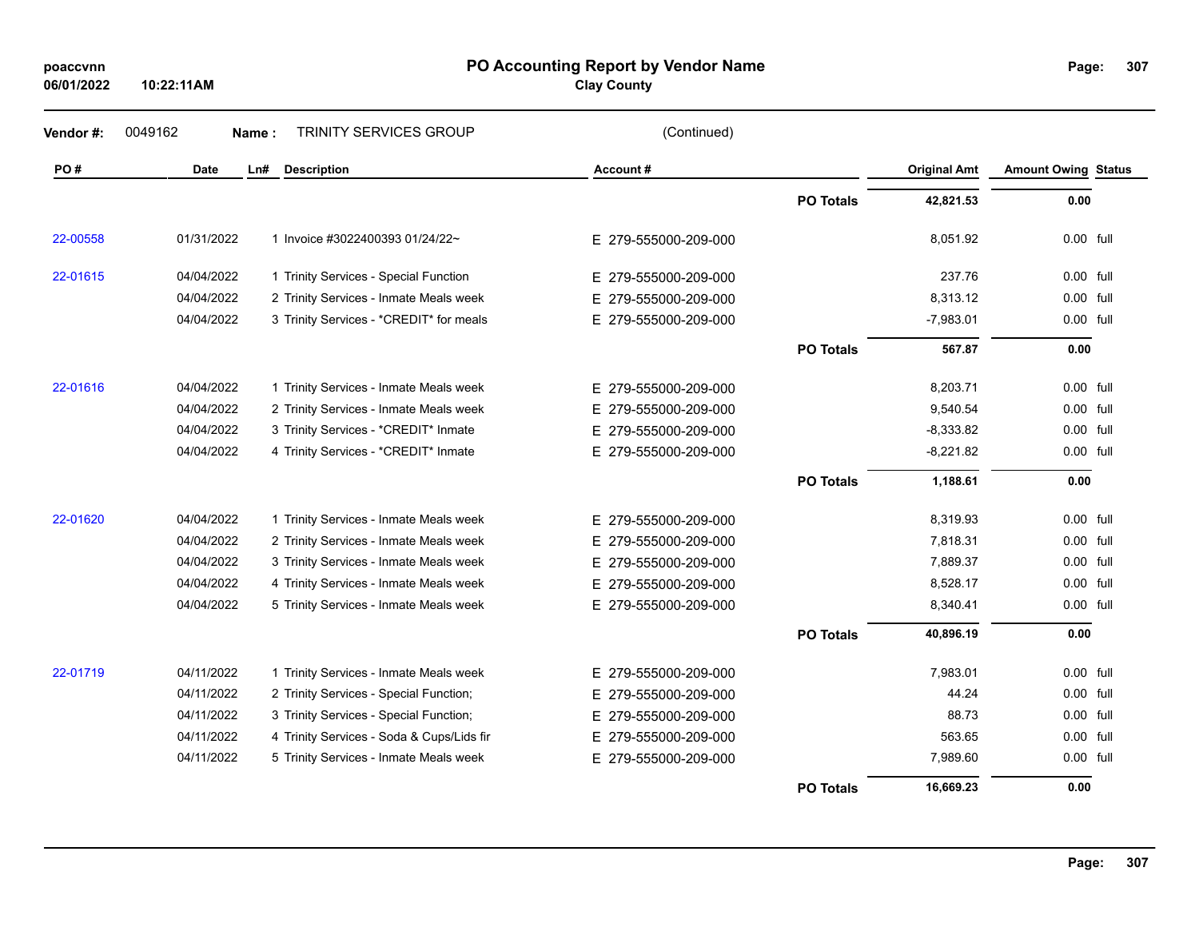# **06/01/2022**

**10:22:11AM**

### **PO Accounting Report by Vendor Name poaccvnn Page:**

**Clay County**

| Vendor#: | 0049162     | Name: | TRINITY SERVICES GROUP                    | (Continued)          |                  |                     |                            |      |
|----------|-------------|-------|-------------------------------------------|----------------------|------------------|---------------------|----------------------------|------|
| PO#      | <b>Date</b> | Ln#   | <b>Description</b>                        | Account#             |                  | <b>Original Amt</b> | <b>Amount Owing Status</b> |      |
|          |             |       |                                           |                      | <b>PO Totals</b> | 42,821.53           | 0.00                       |      |
| 22-00558 | 01/31/2022  |       | 1 Invoice #3022400393 01/24/22~           | E 279-555000-209-000 |                  | 8.051.92            | 0.00 full                  |      |
| 22-01615 | 04/04/2022  |       | 1 Trinity Services - Special Function     | E 279-555000-209-000 |                  | 237.76              | 0.00 full                  |      |
|          | 04/04/2022  |       | 2 Trinity Services - Inmate Meals week    | E 279-555000-209-000 |                  | 8,313.12            | 0.00 full                  |      |
|          | 04/04/2022  |       | 3 Trinity Services - *CREDIT* for meals   | E 279-555000-209-000 |                  | $-7,983.01$         | 0.00 full                  |      |
|          |             |       |                                           |                      | <b>PO Totals</b> | 567.87              | 0.00                       |      |
| 22-01616 | 04/04/2022  |       | 1 Trinity Services - Inmate Meals week    | E 279-555000-209-000 |                  | 8,203.71            | 0.00 full                  |      |
|          | 04/04/2022  |       | 2 Trinity Services - Inmate Meals week    | E 279-555000-209-000 |                  | 9,540.54            | 0.00                       | full |
|          | 04/04/2022  |       | 3 Trinity Services - *CREDIT* Inmate      | E 279-555000-209-000 |                  | $-8,333.82$         | 0.00 full                  |      |
|          | 04/04/2022  |       | 4 Trinity Services - *CREDIT* Inmate      | E 279-555000-209-000 |                  | $-8,221.82$         | 0.00 full                  |      |
|          |             |       |                                           |                      | <b>PO Totals</b> | 1,188.61            | 0.00                       |      |
| 22-01620 | 04/04/2022  |       | 1 Trinity Services - Inmate Meals week    | E 279-555000-209-000 |                  | 8,319.93            | $0.00$ full                |      |
|          | 04/04/2022  |       | 2 Trinity Services - Inmate Meals week    | E 279-555000-209-000 |                  | 7,818.31            | 0.00 full                  |      |
|          | 04/04/2022  |       | 3 Trinity Services - Inmate Meals week    | E 279-555000-209-000 |                  | 7,889.37            | 0.00 full                  |      |
|          | 04/04/2022  |       | 4 Trinity Services - Inmate Meals week    | E 279-555000-209-000 |                  | 8,528.17            | 0.00                       | full |
|          | 04/04/2022  |       | 5 Trinity Services - Inmate Meals week    | E 279-555000-209-000 |                  | 8,340.41            | 0.00                       | full |
|          |             |       |                                           |                      | <b>PO Totals</b> | 40,896.19           | 0.00                       |      |
| 22-01719 | 04/11/2022  |       | 1 Trinity Services - Inmate Meals week    | E 279-555000-209-000 |                  | 7,983.01            | $0.00$ full                |      |
|          | 04/11/2022  |       | 2 Trinity Services - Special Function;    | E 279-555000-209-000 |                  | 44.24               | 0.00 full                  |      |
|          | 04/11/2022  |       | 3 Trinity Services - Special Function;    | E 279-555000-209-000 |                  | 88.73               | 0.00                       | full |
|          | 04/11/2022  |       | 4 Trinity Services - Soda & Cups/Lids fir | E 279-555000-209-000 |                  | 563.65              | 0.00 full                  |      |
|          | 04/11/2022  |       | 5 Trinity Services - Inmate Meals week    | E 279-555000-209-000 |                  | 7,989.60            | 0.00 full                  |      |
|          |             |       |                                           |                      | <b>PO Totals</b> | 16,669.23           | 0.00                       |      |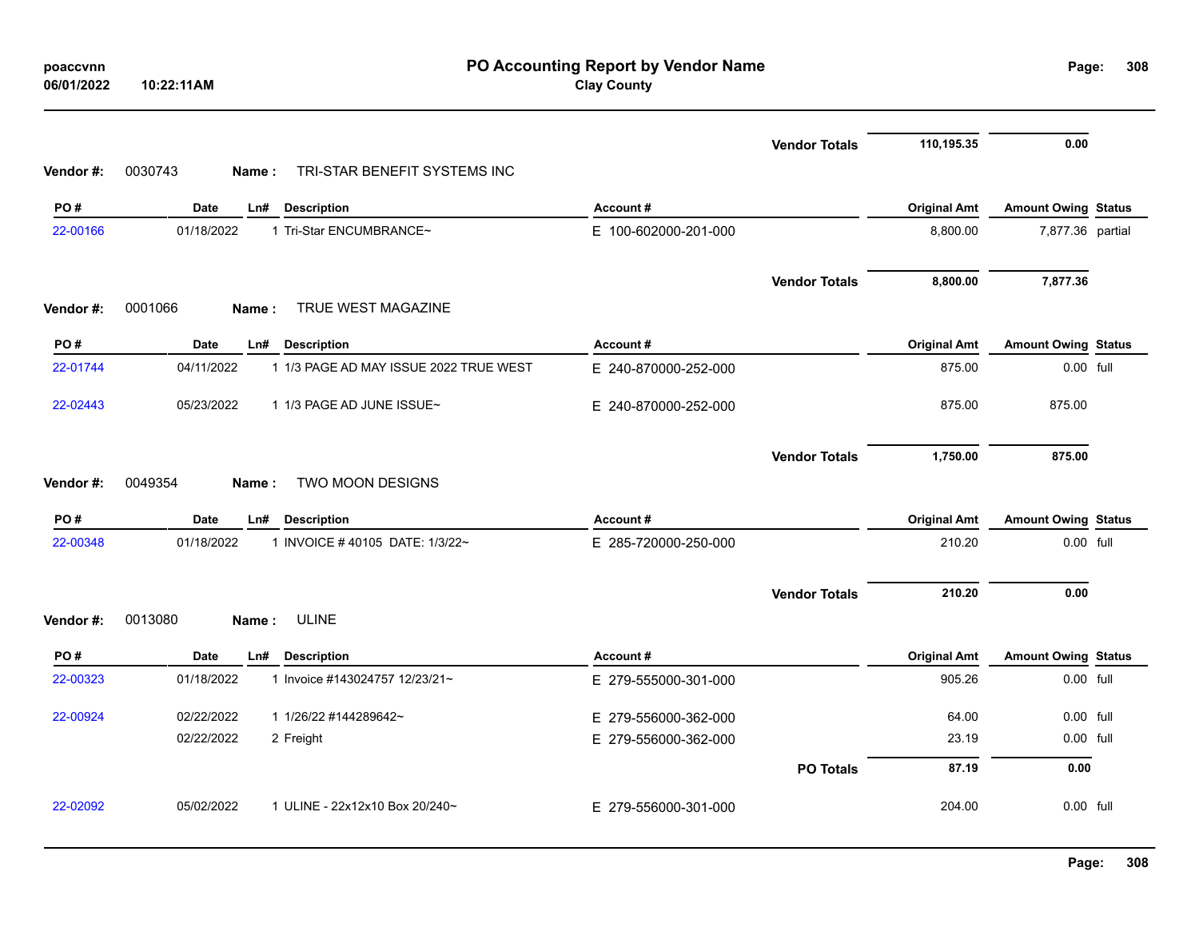| Vendor #: | 0030743<br>Name: | TRI-STAR BENEFIT SYSTEMS INC           |                      | <b>Vendor Totals</b> | 110,195.35          | 0.00                       |  |
|-----------|------------------|----------------------------------------|----------------------|----------------------|---------------------|----------------------------|--|
| PO#       | Date<br>Ln#      | <b>Description</b>                     | Account#             |                      | <b>Original Amt</b> | <b>Amount Owing Status</b> |  |
| 22-00166  | 01/18/2022       | 1 Tri-Star ENCUMBRANCE~                | E 100-602000-201-000 |                      | 8,800.00            | 7,877.36 partial           |  |
| Vendor #: | 0001066<br>Name: | TRUE WEST MAGAZINE                     |                      | <b>Vendor Totals</b> | 8,800.00            | 7,877.36                   |  |
| PO#       | Date             | Ln# Description                        | Account#             |                      | <b>Original Amt</b> | <b>Amount Owing Status</b> |  |
| 22-01744  | 04/11/2022       | 1 1/3 PAGE AD MAY ISSUE 2022 TRUE WEST | E 240-870000-252-000 |                      | 875.00              | 0.00 full                  |  |
| 22-02443  | 05/23/2022       | 1 1/3 PAGE AD JUNE ISSUE~              | E 240-870000-252-000 |                      | 875.00              | 875.00                     |  |
| Vendor #: | 0049354<br>Name: | TWO MOON DESIGNS                       |                      | <b>Vendor Totals</b> | 1,750.00            | 875.00                     |  |
| PO#       | Date<br>Ln#      | <b>Description</b>                     | Account#             |                      | <b>Original Amt</b> | <b>Amount Owing Status</b> |  |
| 22-00348  | 01/18/2022       | 1 INVOICE #40105 DATE: 1/3/22~         | E 285-720000-250-000 |                      | 210.20              | 0.00 full                  |  |
| Vendor #: | 0013080<br>Name: | <b>ULINE</b>                           |                      | <b>Vendor Totals</b> | 210.20              | 0.00                       |  |
| PO#       | Date<br>Ln#      | <b>Description</b>                     | Account#             |                      | <b>Original Amt</b> | <b>Amount Owing Status</b> |  |
| 22-00323  | 01/18/2022       | 1 Invoice #143024757 12/23/21~         | E 279-555000-301-000 |                      | 905.26              | 0.00 full                  |  |
| 22-00924  | 02/22/2022       | 1 1/26/22 #144289642~                  | E 279-556000-362-000 |                      | 64.00               | 0.00 full                  |  |
|           | 02/22/2022       | 2 Freight                              | E 279-556000-362-000 |                      | 23.19               | 0.00 full                  |  |
|           |                  |                                        |                      | <b>PO Totals</b>     | 87.19               | 0.00                       |  |
| 22-02092  | 05/02/2022       | 1 ULINE - 22x12x10 Box 20/240~         | E 279-556000-301-000 |                      | 204.00              | 0.00 full                  |  |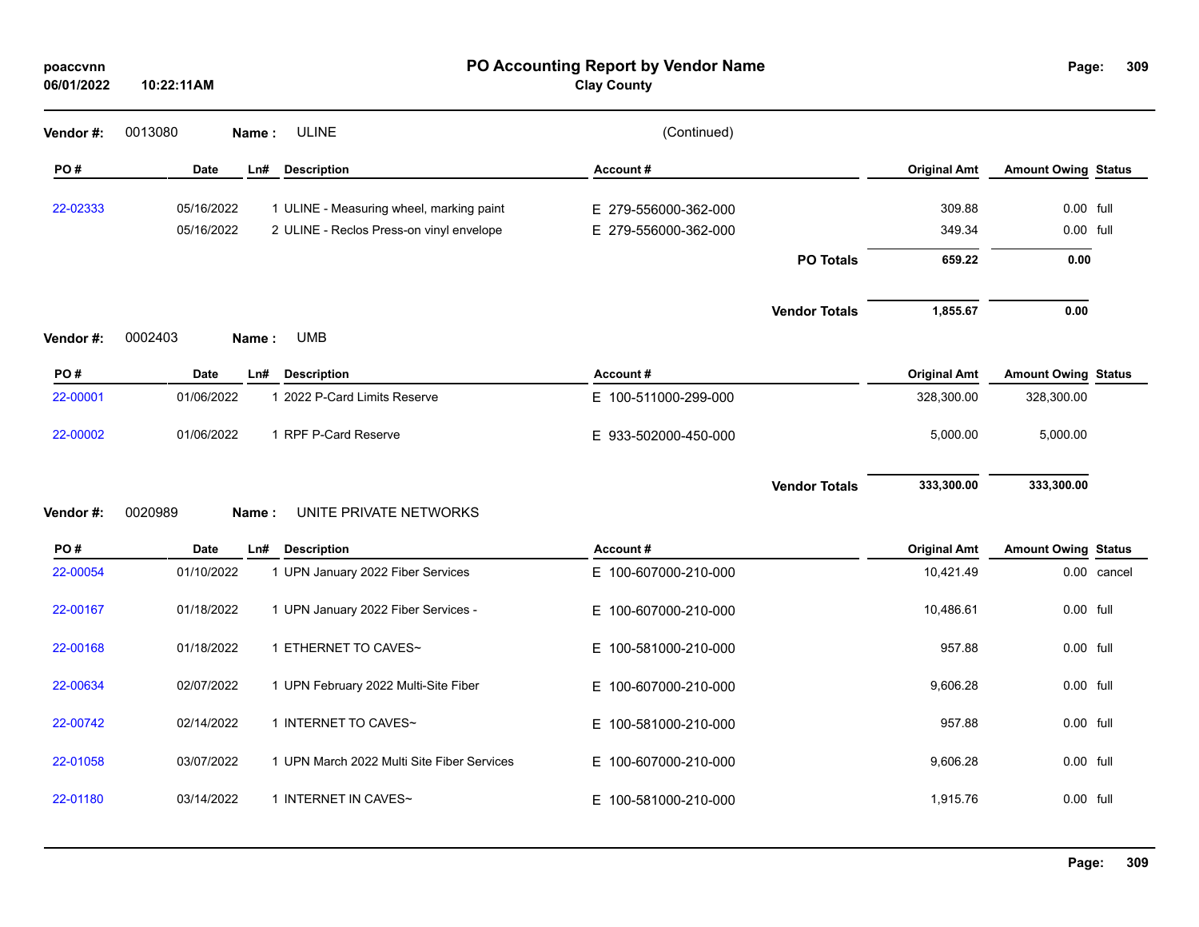| poaccvnn<br>06/01/2022 | 10:22:11AM               |                                                                                      | PO Accounting Report by Vendor Name<br><b>Clay County</b> |                      |                     | Page:                      | 309         |
|------------------------|--------------------------|--------------------------------------------------------------------------------------|-----------------------------------------------------------|----------------------|---------------------|----------------------------|-------------|
| Vendor#:               | 0013080<br>Name:         | <b>ULINE</b>                                                                         | (Continued)                                               |                      |                     |                            |             |
| PO#                    | <b>Date</b>              | <b>Description</b><br>Ln#                                                            | Account#                                                  |                      | <b>Original Amt</b> | <b>Amount Owing Status</b> |             |
| 22-02333               | 05/16/2022<br>05/16/2022 | 1 ULINE - Measuring wheel, marking paint<br>2 ULINE - Reclos Press-on vinyl envelope | E 279-556000-362-000<br>E 279-556000-362-000              |                      | 309.88<br>349.34    | 0.00 full<br>0.00 full     |             |
|                        |                          |                                                                                      |                                                           | <b>PO Totals</b>     | 659.22              | 0.00                       |             |
|                        | 0002403<br>Name:         | <b>UMB</b>                                                                           |                                                           | <b>Vendor Totals</b> | 1,855.67            | 0.00                       |             |
| Vendor #:<br>PO#       | Date                     | Ln#<br><b>Description</b>                                                            | Account#                                                  |                      | <b>Original Amt</b> | <b>Amount Owing Status</b> |             |
| 22-00001               | 01/06/2022               | 1 2022 P-Card Limits Reserve                                                         | E 100-511000-299-000                                      |                      | 328,300.00          | 328,300.00                 |             |
| 22-00002               | 01/06/2022               | 1 RPF P-Card Reserve                                                                 | E 933-502000-450-000                                      |                      | 5,000.00            | 5,000.00                   |             |
| Vendor#:               | 0020989<br>Name:         | UNITE PRIVATE NETWORKS                                                               |                                                           | <b>Vendor Totals</b> | 333,300.00          | 333,300.00                 |             |
| PO#                    | <b>Date</b>              | Ln#<br><b>Description</b>                                                            | Account#                                                  |                      | <b>Original Amt</b> | <b>Amount Owing Status</b> |             |
| 22-00054               | 01/10/2022               | 1 UPN January 2022 Fiber Services                                                    | E 100-607000-210-000                                      |                      | 10,421.49           |                            | 0.00 cancel |
| 22-00167               | 01/18/2022               | 1 UPN January 2022 Fiber Services -                                                  | 100-607000-210-000<br>E.                                  |                      | 10,486.61           | 0.00 full                  |             |
| 22-00168               | 01/18/2022               | 1 ETHERNET TO CAVES~                                                                 | E.<br>100-581000-210-000                                  |                      | 957.88              | 0.00 full                  |             |
| 22-00634               | 02/07/2022               | 1 UPN February 2022 Multi-Site Fiber                                                 | E 100-607000-210-000                                      |                      | 9,606.28            | 0.00 full                  |             |
| 22-00742               | 02/14/2022               | 1 INTERNET TO CAVES~                                                                 | E 100-581000-210-000                                      |                      | 957.88              | 0.00 full                  |             |
| 22-01058               | 03/07/2022               | 1 UPN March 2022 Multi Site Fiber Services                                           | E 100-607000-210-000                                      |                      | 9,606.28            | 0.00 full                  |             |
| 22-01180               | 03/14/2022               | 1 INTERNET IN CAVES~                                                                 | E 100-581000-210-000                                      |                      | 1,915.76            | 0.00 full                  |             |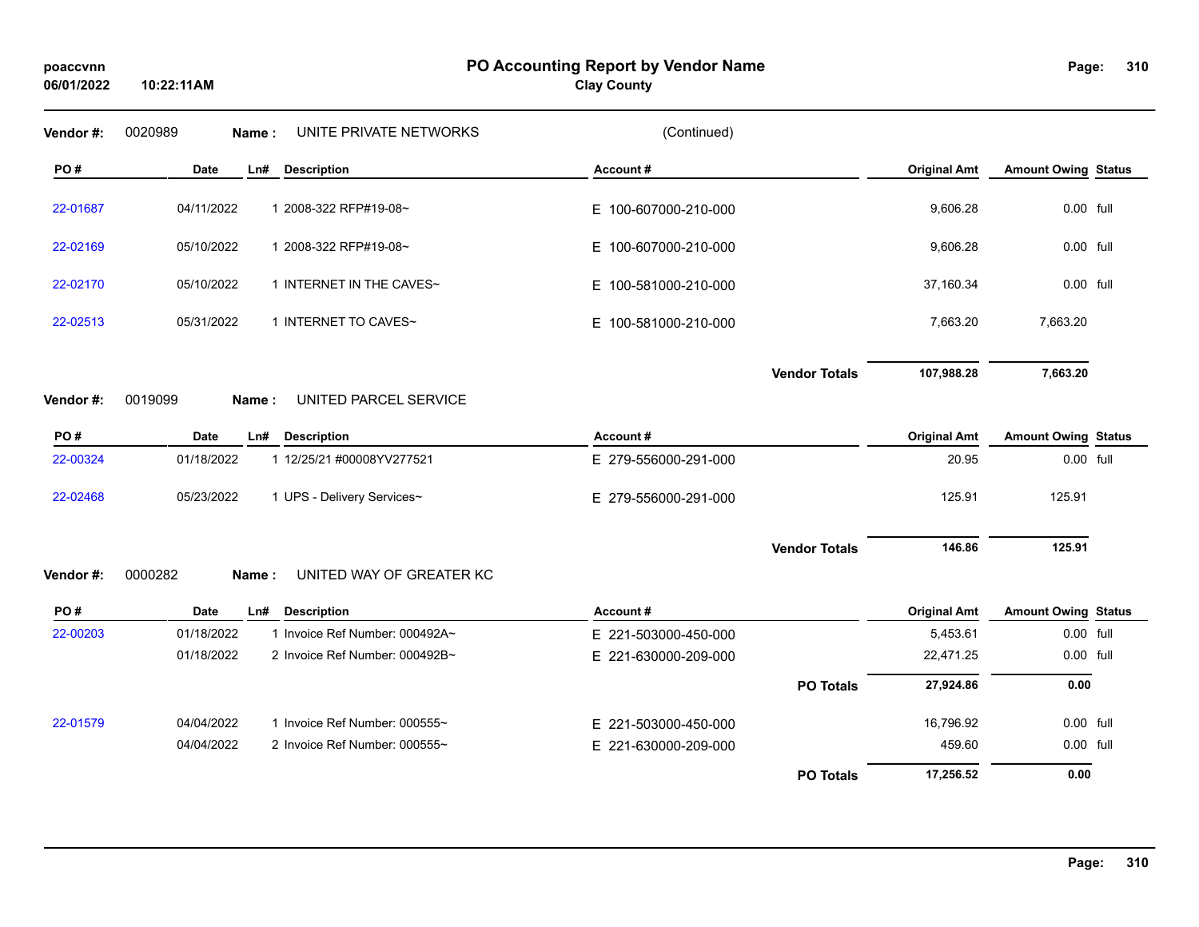**10:22:11AM**

### **PO Accounting Report by Vendor Name poaccvnn Page:**

# **Clay County**

| Vendor#:  | 0020989<br>UNITE PRIVATE NETWORKS<br>Name:   | (Continued)          |                     |                            |
|-----------|----------------------------------------------|----------------------|---------------------|----------------------------|
| PO#       | <b>Date</b><br><b>Description</b><br>Ln#     | Account#             | <b>Original Amt</b> | <b>Amount Owing Status</b> |
| 22-01687  | 04/11/2022<br>1 2008-322 RFP#19-08~          | E 100-607000-210-000 | 9,606.28            | 0.00 full                  |
| 22-02169  | 05/10/2022<br>1 2008-322 RFP#19-08~          | E 100-607000-210-000 | 9,606.28            | 0.00 full                  |
| 22-02170  | 05/10/2022<br>1 INTERNET IN THE CAVES~       | E 100-581000-210-000 | 37,160.34           | 0.00 full                  |
| 22-02513  | 05/31/2022<br>1 INTERNET TO CAVES~           | E 100-581000-210-000 | 7,663.20            | 7,663.20                   |
|           |                                              | <b>Vendor Totals</b> | 107,988.28          | 7,663.20                   |
| Vendor#:  | 0019099<br>UNITED PARCEL SERVICE<br>Name:    |                      |                     |                            |
| PO#       | <b>Date</b><br>Ln#<br><b>Description</b>     | Account#             | <b>Original Amt</b> | <b>Amount Owing Status</b> |
| 22-00324  | 01/18/2022<br>1 12/25/21 #00008YV277521      | E 279-556000-291-000 | 20.95               | 0.00 full                  |
| 22-02468  | 05/23/2022<br>1 UPS - Delivery Services~     | E 279-556000-291-000 | 125.91              | 125.91                     |
|           |                                              | <b>Vendor Totals</b> | 146.86              | 125.91                     |
| Vendor #: | 0000282<br>UNITED WAY OF GREATER KC<br>Name: |                      |                     |                            |
| PO#       | Date<br>Ln#<br><b>Description</b>            | Account#             | <b>Original Amt</b> | <b>Amount Owing Status</b> |
| 22-00203  | 01/18/2022<br>1 Invoice Ref Number: 000492A~ | E 221-503000-450-000 | 5,453.61            | 0.00 full                  |
|           | 01/18/2022<br>2 Invoice Ref Number: 000492B~ | E 221-630000-209-000 | 22,471.25           | 0.00 full                  |
|           |                                              | <b>PO Totals</b>     | 27,924.86           | 0.00                       |
| 22-01579  | 04/04/2022<br>1 Invoice Ref Number: 000555~  | E 221-503000-450-000 | 16,796.92           | 0.00 full                  |
|           | 04/04/2022<br>2 Invoice Ref Number: 000555~  | E 221-630000-209-000 | 459.60              | 0.00 full                  |
|           |                                              | <b>PO Totals</b>     | 17,256.52           | 0.00                       |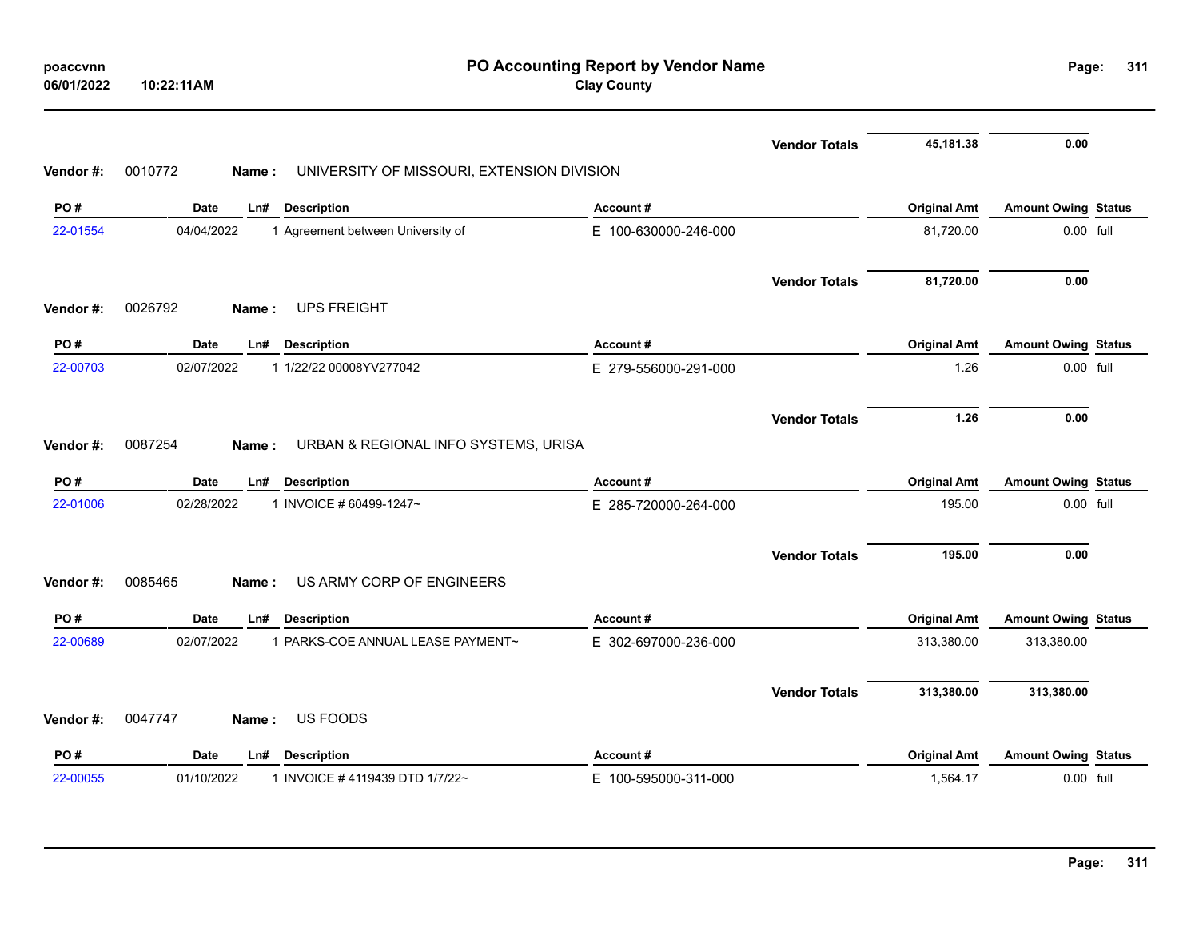|           | Date<br><b>Description</b><br>Ln#                              | Account#             |                      | <b>Original Amt</b> | <b>Amount Owing Status</b> |  |
|-----------|----------------------------------------------------------------|----------------------|----------------------|---------------------|----------------------------|--|
| Vendor#:  | 0047747<br>US FOODS<br>Name:                                   |                      | <b>Vendor Totals</b> | 313,380.00          | 313,380.00                 |  |
| 22-00689  | 1 PARKS-COE ANNUAL LEASE PAYMENT~<br>02/07/2022                | E 302-697000-236-000 |                      | 313,380.00          | 313,380.00                 |  |
| PO#       | Date<br><b>Description</b><br>Ln#                              | Account#             |                      | <b>Original Amt</b> | <b>Amount Owing Status</b> |  |
| Vendor #: | US ARMY CORP OF ENGINEERS<br>0085465<br><b>Name</b> :          |                      |                      |                     |                            |  |
|           |                                                                |                      | <b>Vendor Totals</b> | 195.00              | 0.00                       |  |
| 22-01006  | 02/28/2022<br>1 INVOICE # 60499-1247~                          | E 285-720000-264-000 |                      | 195.00              | 0.00 full                  |  |
| PO#       | <b>Date</b><br><b>Description</b><br>Ln#                       | Account#             |                      | <b>Original Amt</b> | <b>Amount Owing Status</b> |  |
| Vendor#:  | 0087254<br>URBAN & REGIONAL INFO SYSTEMS, URISA<br>Name:       |                      | <b>Vendor Totals</b> | 1.26                | 0.00                       |  |
| 22-00703  | 02/07/2022<br>1 1/22/22 00008YV277042                          | E 279-556000-291-000 |                      | 1.26                | 0.00 full                  |  |
| PO#       | Date<br>Ln#<br><b>Description</b>                              | Account#             |                      | <b>Original Amt</b> | <b>Amount Owing Status</b> |  |
| Vendor#:  | <b>UPS FREIGHT</b><br>0026792<br>Name:                         |                      |                      |                     |                            |  |
|           |                                                                |                      | <b>Vendor Totals</b> | 81,720.00           | 0.00                       |  |
| 22-01554  | 04/04/2022<br>1 Agreement between University of                | E 100-630000-246-000 |                      | 81,720.00           | 0.00 full                  |  |
| PO#       | Ln# Description<br>Date                                        | Account#             |                      | <b>Original Amt</b> | <b>Amount Owing Status</b> |  |
| Vendor#:  | 0010772<br>UNIVERSITY OF MISSOURI, EXTENSION DIVISION<br>Name: |                      |                      |                     |                            |  |
|           |                                                                |                      | <b>Vendor Totals</b> | 45,181.38           | 0.00                       |  |
|           |                                                                |                      |                      |                     |                            |  |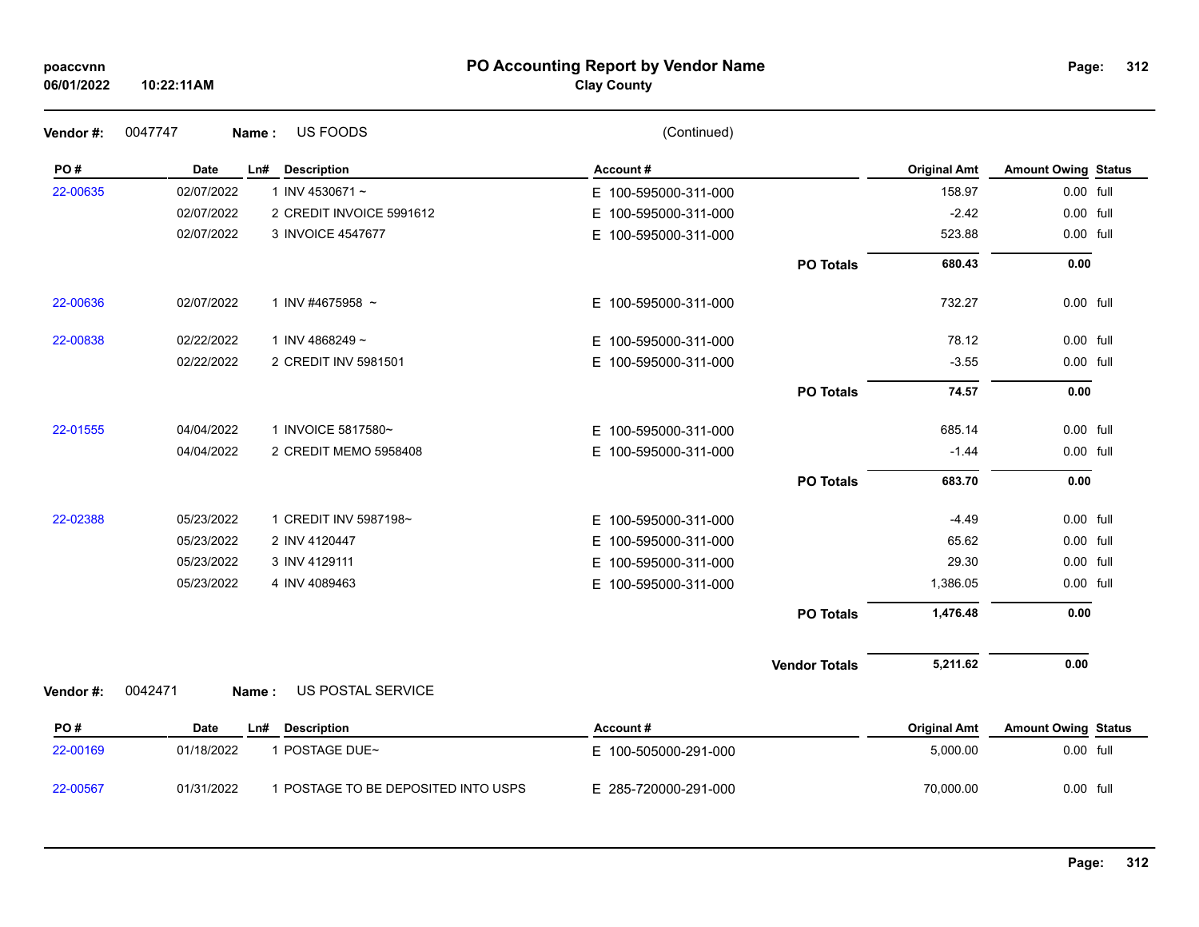| poaccvnn |  |
|----------|--|
|          |  |

### **PO Accounting Report by Vendor Name poaccvnn Page:**

# **Clay County**

| Vendor #: | 0047747<br>Name: | US FOODS                            | (Continued)              |                      |                     |                            |  |
|-----------|------------------|-------------------------------------|--------------------------|----------------------|---------------------|----------------------------|--|
| PO#       | <b>Date</b>      | Ln# Description                     | Account#                 |                      | <b>Original Amt</b> | <b>Amount Owing Status</b> |  |
| 22-00635  | 02/07/2022       | 1 INV 4530671 $\sim$                | E 100-595000-311-000     |                      | 158.97              | 0.00 full                  |  |
|           | 02/07/2022       | 2 CREDIT INVOICE 5991612            | E 100-595000-311-000     |                      | $-2.42$             | 0.00 full                  |  |
|           | 02/07/2022       | 3 INVOICE 4547677                   | E 100-595000-311-000     |                      | 523.88              | 0.00 full                  |  |
|           |                  |                                     |                          | <b>PO Totals</b>     | 680.43              | 0.00                       |  |
| 22-00636  | 02/07/2022       | 1 INV #4675958 $\sim$               | E 100-595000-311-000     |                      | 732.27              | 0.00 full                  |  |
| 22-00838  | 02/22/2022       | 1 INV 4868249~                      | E 100-595000-311-000     |                      | 78.12               | 0.00 full                  |  |
|           | 02/22/2022       | 2 CREDIT INV 5981501                | E 100-595000-311-000     |                      | $-3.55$             | 0.00 full                  |  |
|           |                  |                                     |                          | <b>PO Totals</b>     | 74.57               | 0.00                       |  |
| 22-01555  | 04/04/2022       | 1 INVOICE 5817580~                  | E 100-595000-311-000     |                      | 685.14              | 0.00 full                  |  |
|           | 04/04/2022       | 2 CREDIT MEMO 5958408               | E 100-595000-311-000     |                      | $-1.44$             | 0.00 full                  |  |
|           |                  |                                     |                          | <b>PO Totals</b>     | 683.70              | 0.00                       |  |
| 22-02388  | 05/23/2022       | 1 CREDIT INV 5987198~               | E 100-595000-311-000     |                      | $-4.49$             | 0.00 full                  |  |
|           | 05/23/2022       | 2 INV 4120447                       | 100-595000-311-000<br>Е. |                      | 65.62               | 0.00 full                  |  |
|           | 05/23/2022       | 3 INV 4129111                       | 100-595000-311-000<br>Е. |                      | 29.30               | 0.00 full                  |  |
|           | 05/23/2022       | 4 INV 4089463                       | E 100-595000-311-000     |                      | 1,386.05            | 0.00 full                  |  |
|           |                  |                                     |                          | <b>PO Totals</b>     | 1,476.48            | 0.00                       |  |
|           |                  |                                     |                          | <b>Vendor Totals</b> | 5,211.62            | 0.00                       |  |
| Vendor #: | 0042471<br>Name: | US POSTAL SERVICE                   |                          |                      |                     |                            |  |
| PO#       | Date             | <b>Description</b><br>Ln#           | Account#                 |                      | <b>Original Amt</b> | <b>Amount Owing Status</b> |  |
| 22-00169  | 01/18/2022       | 1 POSTAGE DUE~                      | E 100-505000-291-000     |                      | 5,000.00            | 0.00 full                  |  |
| 22-00567  | 01/31/2022       | 1 POSTAGE TO BE DEPOSITED INTO USPS | E 285-720000-291-000     |                      | 70,000.00           | 0.00 full                  |  |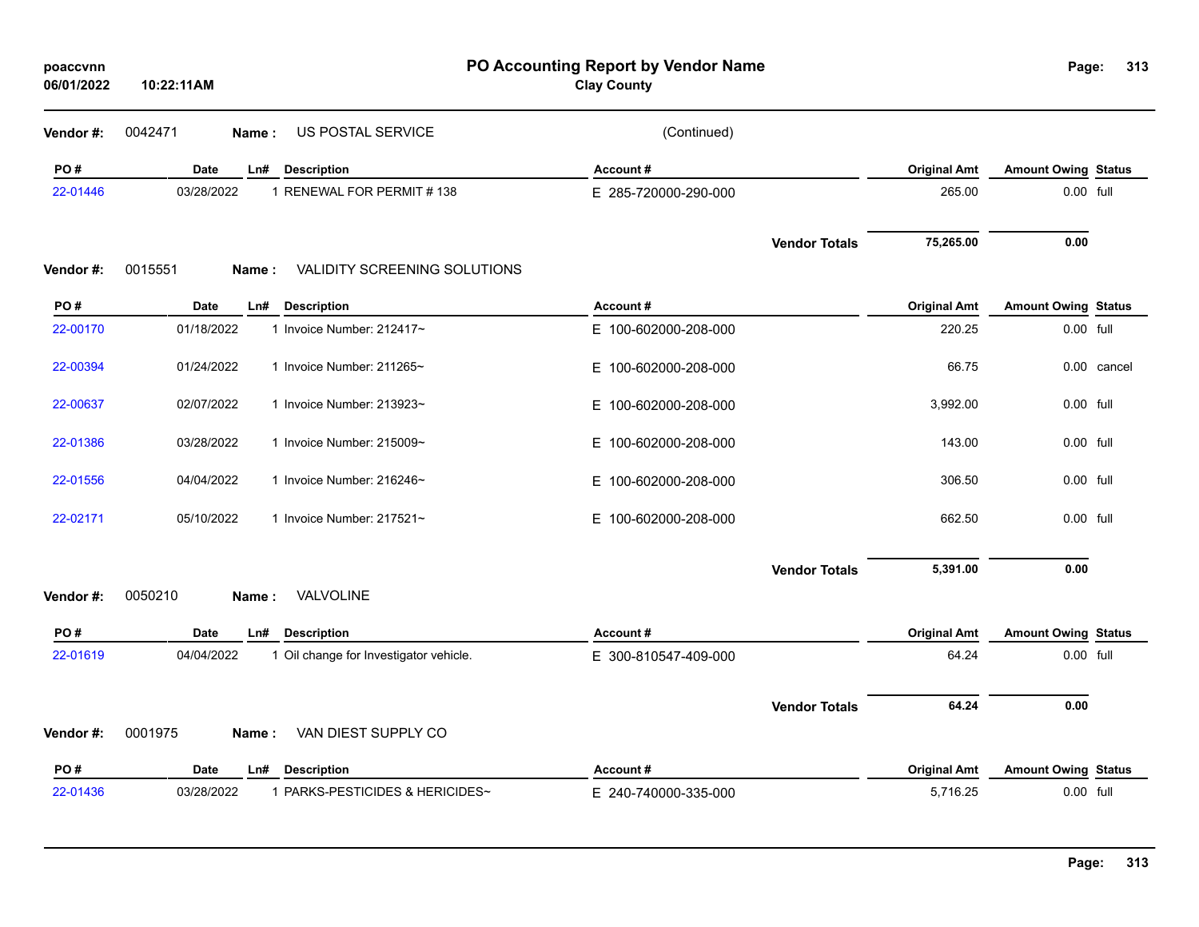| poaccvnn<br>06/01/2022 | 10:22:11AM                                           | PO Accounting Report by Vendor Name<br><b>Clay County</b> |                                   | Page:                      | 313         |
|------------------------|------------------------------------------------------|-----------------------------------------------------------|-----------------------------------|----------------------------|-------------|
| Vendor #:              | US POSTAL SERVICE<br>0042471<br>Name:                | (Continued)                                               |                                   |                            |             |
| PO#                    | <b>Date</b><br>Ln#<br><b>Description</b>             | Account#                                                  | <b>Original Amt</b>               | <b>Amount Owing Status</b> |             |
| 22-01446               | 03/28/2022<br>1 RENEWAL FOR PERMIT # 138             | E 285-720000-290-000                                      | 265.00                            | 0.00 full                  |             |
| Vendor#:               | 0015551<br>VALIDITY SCREENING SOLUTIONS<br>Name:     |                                                           | 75,265.00<br><b>Vendor Totals</b> | 0.00                       |             |
| PO#                    | Date<br>Ln#<br><b>Description</b>                    | Account#                                                  | <b>Original Amt</b>               | <b>Amount Owing Status</b> |             |
| 22-00170               | 01/18/2022<br>1 Invoice Number: 212417~              | E 100-602000-208-000                                      | 220.25                            | 0.00 full                  |             |
| 22-00394               | 01/24/2022<br>1 Invoice Number: 211265~              | E 100-602000-208-000                                      | 66.75                             |                            | 0.00 cancel |
| 22-00637               | 02/07/2022<br>1 Invoice Number: 213923~              | E 100-602000-208-000                                      | 3,992.00                          | 0.00 full                  |             |
| 22-01386               | 03/28/2022<br>1 Invoice Number: 215009~              | E 100-602000-208-000                                      | 143.00                            | 0.00 full                  |             |
| 22-01556               | 04/04/2022<br>1 Invoice Number: 216246~              | E 100-602000-208-000                                      | 306.50                            | $0.00$ full                |             |
| 22-02171               | 05/10/2022<br>1 Invoice Number: 217521~              | E 100-602000-208-000                                      | 662.50                            | 0.00 full                  |             |
| Vendor #:              | VALVOLINE<br>0050210<br>Name:                        |                                                           | 5,391.00<br><b>Vendor Totals</b>  | 0.00                       |             |
| PO#                    | Date<br>Ln#<br><b>Description</b>                    | Account#                                                  | <b>Original Amt</b>               | <b>Amount Owing Status</b> |             |
| 22-01619               | 04/04/2022<br>1 Oil change for Investigator vehicle. | E 300-810547-409-000                                      | 64.24                             | 0.00 full                  |             |
| Vendor#:               | VAN DIEST SUPPLY CO<br>0001975<br>Name:              |                                                           | 64.24<br><b>Vendor Totals</b>     | 0.00                       |             |
| PO#                    | Date<br>L <sub>n#</sub><br><b>Description</b>        | Account#                                                  | <b>Original Amt</b>               | <b>Amount Owing Status</b> |             |
| 22-01436               | 03/28/2022<br>1 PARKS-PESTICIDES & HERICIDES~        | E 240-740000-335-000                                      | 5,716.25                          | 0.00 full                  |             |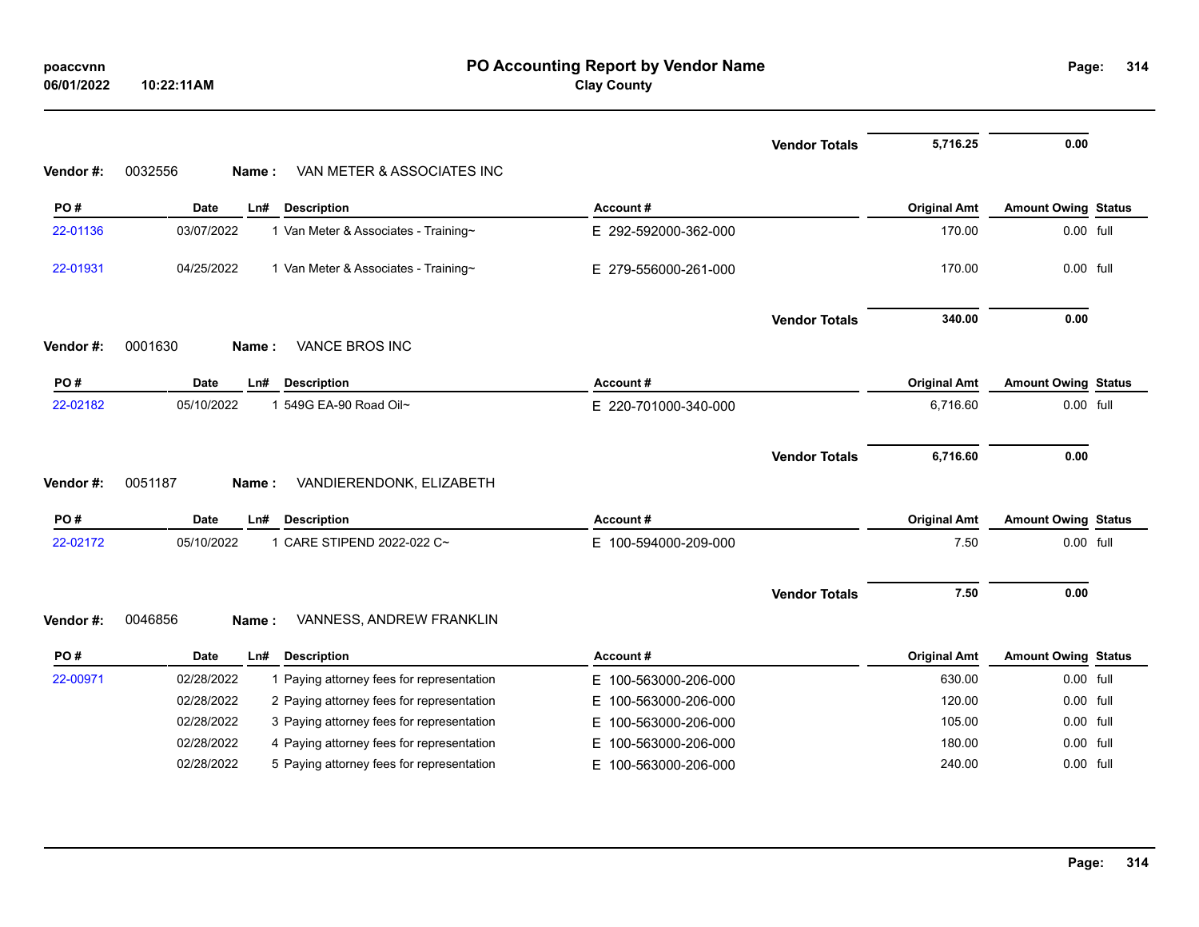| poaccynn   |            |
|------------|------------|
| 06/01/2022 | 10:22:11AM |

# **PO Accounting Report by Vendor Name poaccvnn Page: Clay County**

|          |                    |                                           |                          | <b>Vendor Totals</b> | 5,716.25            | 0.00                       |  |
|----------|--------------------|-------------------------------------------|--------------------------|----------------------|---------------------|----------------------------|--|
| Vendor#: | 0032556<br>Name:   | VAN METER & ASSOCIATES INC                |                          |                      |                     |                            |  |
| PO#      | Date<br>Ln#        | <b>Description</b>                        | Account#                 |                      | <b>Original Amt</b> | <b>Amount Owing Status</b> |  |
| 22-01136 | 03/07/2022         | 1 Van Meter & Associates - Training~      | E 292-592000-362-000     |                      | 170.00              | 0.00 full                  |  |
| 22-01931 | 04/25/2022         | 1 Van Meter & Associates - Training~      | E 279-556000-261-000     |                      | 170.00              | 0.00 full                  |  |
|          |                    |                                           |                          | <b>Vendor Totals</b> | 340.00              | 0.00                       |  |
| Vendor#: | 0001630<br>Name:   | <b>VANCE BROS INC</b>                     |                          |                      |                     |                            |  |
| PO#      | <b>Date</b><br>Ln# | <b>Description</b>                        | Account#                 |                      | <b>Original Amt</b> | <b>Amount Owing Status</b> |  |
| 22-02182 | 05/10/2022         | 1 549G EA-90 Road Oil~                    | E 220-701000-340-000     |                      | 6,716.60            | 0.00 full                  |  |
|          |                    |                                           |                          | <b>Vendor Totals</b> | 6,716.60            | 0.00                       |  |
| Vendor#: | 0051187<br>Name:   | VANDIERENDONK, ELIZABETH                  |                          |                      |                     |                            |  |
| PO#      | Date<br>Ln#        | <b>Description</b>                        | Account#                 |                      | <b>Original Amt</b> | <b>Amount Owing Status</b> |  |
| 22-02172 | 05/10/2022         | 1 CARE STIPEND 2022-022 C~                | E 100-594000-209-000     |                      | 7.50                | 0.00 full                  |  |
|          |                    |                                           |                          | <b>Vendor Totals</b> | 7.50                | 0.00                       |  |
| Vendor#: | 0046856<br>Name:   | VANNESS, ANDREW FRANKLIN                  |                          |                      |                     |                            |  |
| PO#      | Date<br>Ln#        | <b>Description</b>                        | Account#                 |                      | <b>Original Amt</b> | <b>Amount Owing Status</b> |  |
| 22-00971 | 02/28/2022         | 1 Paying attorney fees for representation | 100-563000-206-000<br>E. |                      | 630.00              | 0.00 full                  |  |
|          | 02/28/2022         | 2 Paying attorney fees for representation | E<br>100-563000-206-000  |                      | 120.00              | 0.00 full                  |  |
|          | 02/28/2022         | 3 Paying attorney fees for representation | Е<br>100-563000-206-000  |                      | 105.00              | 0.00 full                  |  |
|          | 02/28/2022         | 4 Paying attorney fees for representation | 100-563000-206-000<br>Е  |                      | 180.00              | 0.00 full                  |  |
|          | 02/28/2022         | 5 Paying attorney fees for representation | 100-563000-206-000<br>E. |                      | 240.00              | $0.00$ full                |  |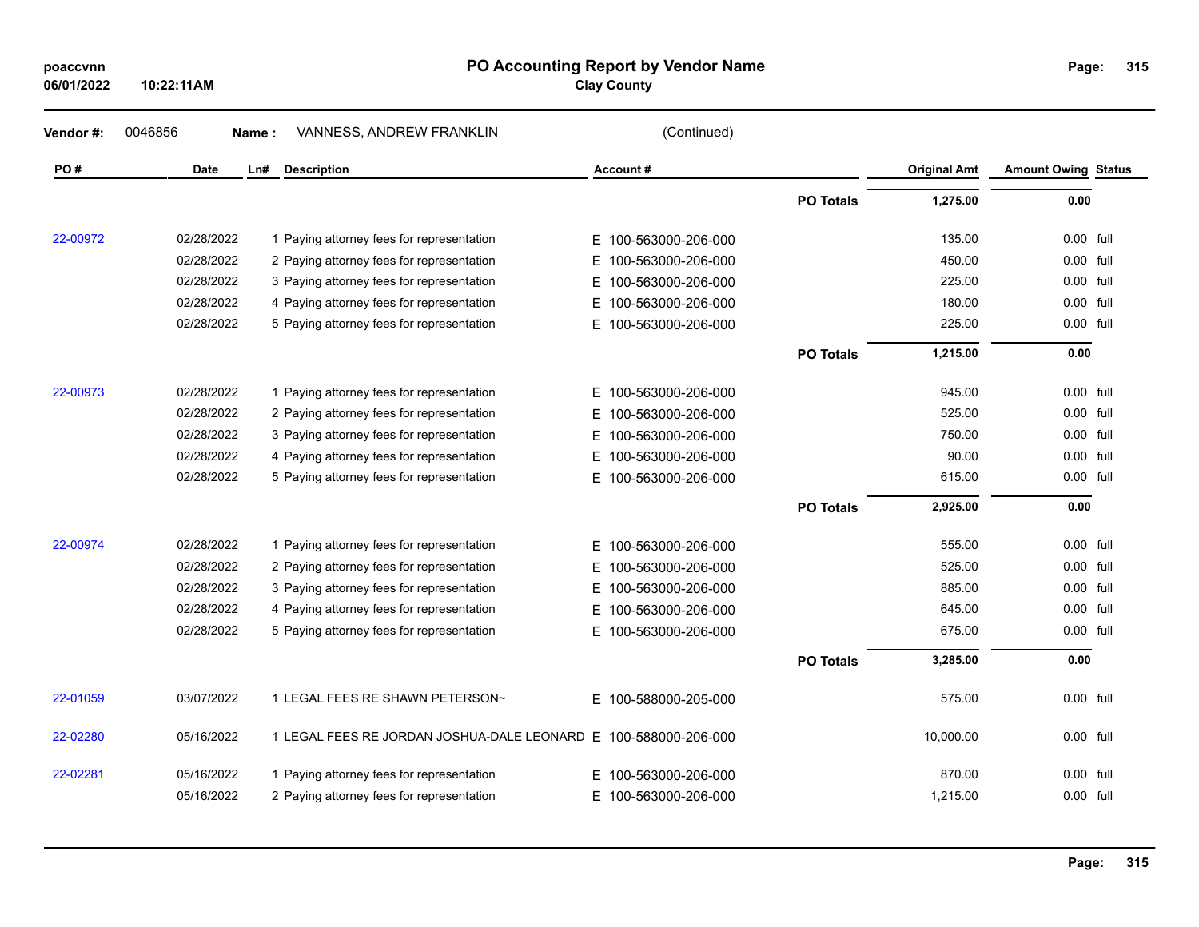| poaccvnn<br>06/01/2022 | 10:22:11AM |                                                                 | PO Accounting Report by Vendor Name<br><b>Clay County</b> |                  |                     | Page:                      | 31 |
|------------------------|------------|-----------------------------------------------------------------|-----------------------------------------------------------|------------------|---------------------|----------------------------|----|
| Vendor #:              | 0046856    | VANNESS, ANDREW FRANKLIN<br>Name:                               | (Continued)                                               |                  |                     |                            |    |
| PO#                    | Date       | Ln#<br><b>Description</b>                                       | Account#                                                  |                  | <b>Original Amt</b> | <b>Amount Owing Status</b> |    |
|                        |            |                                                                 |                                                           | <b>PO Totals</b> | 1,275.00            | 0.00                       |    |
| 22-00972               | 02/28/2022 | 1 Paying attorney fees for representation                       | E 100-563000-206-000                                      |                  | 135.00              | 0.00 full                  |    |
|                        | 02/28/2022 | 2 Paying attorney fees for representation                       | 100-563000-206-000<br>E.                                  |                  | 450.00              | 0.00 full                  |    |
|                        | 02/28/2022 | 3 Paying attorney fees for representation                       | 100-563000-206-000<br>E.                                  |                  | 225.00              | 0.00 full                  |    |
|                        | 02/28/2022 | 4 Paying attorney fees for representation                       | 100-563000-206-000<br>Е                                   |                  | 180.00              | 0.00 full                  |    |
|                        | 02/28/2022 | 5 Paying attorney fees for representation                       | 100-563000-206-000<br>E.                                  |                  | 225.00              | 0.00 full                  |    |
|                        |            |                                                                 |                                                           | <b>PO Totals</b> | 1,215.00            | 0.00                       |    |
| 22-00973               | 02/28/2022 | 1 Paying attorney fees for representation                       | Е.<br>100-563000-206-000                                  |                  | 945.00              | 0.00 full                  |    |
|                        | 02/28/2022 | 2 Paying attorney fees for representation                       | 100-563000-206-000<br>E.                                  |                  | 525.00              | 0.00 full                  |    |
|                        | 02/28/2022 | 3 Paying attorney fees for representation                       | 100-563000-206-000<br>E.                                  |                  | 750.00              | 0.00 full                  |    |
|                        | 02/28/2022 | 4 Paying attorney fees for representation                       | 100-563000-206-000<br>E.                                  |                  | 90.00               | 0.00 full                  |    |
|                        | 02/28/2022 | 5 Paying attorney fees for representation                       | E 100-563000-206-000                                      |                  | 615.00              | 0.00 full                  |    |
|                        |            |                                                                 |                                                           | <b>PO Totals</b> | 2,925.00            | 0.00                       |    |
| 22-00974               | 02/28/2022 | 1 Paying attorney fees for representation                       | 100-563000-206-000<br>E.                                  |                  | 555.00              | 0.00 full                  |    |
|                        | 02/28/2022 | 2 Paying attorney fees for representation                       | 100-563000-206-000<br>Е.                                  |                  | 525.00              | 0.00 full                  |    |
|                        | 02/28/2022 | 3 Paying attorney fees for representation                       | 100-563000-206-000<br>Е.                                  |                  | 885.00              | 0.00 full                  |    |
|                        | 02/28/2022 | 4 Paying attorney fees for representation                       | E.<br>100-563000-206-000                                  |                  | 645.00              | 0.00 full                  |    |
|                        | 02/28/2022 | 5 Paying attorney fees for representation                       | E.<br>100-563000-206-000                                  |                  | 675.00              | 0.00 full                  |    |
|                        |            |                                                                 |                                                           | <b>PO Totals</b> | 3,285.00            | 0.00                       |    |
| 22-01059               | 03/07/2022 | 1 LEGAL FEES RE SHAWN PETERSON~                                 | E 100-588000-205-000                                      |                  | 575.00              | 0.00 full                  |    |
| 22-02280               | 05/16/2022 | 1 LEGAL FEES RE JORDAN JOSHUA-DALE LEONARD E 100-588000-206-000 |                                                           |                  | 10,000.00           | 0.00 full                  |    |
| 22-02281               | 05/16/2022 | 1 Paying attorney fees for representation                       | 100-563000-206-000<br>E.                                  |                  | 870.00              | 0.00 full                  |    |
|                        | 05/16/2022 | 2 Paying attorney fees for representation                       | 100-563000-206-000<br>Е.                                  |                  | 1,215.00            | 0.00 full                  |    |

**315**

### **PO Accounting Report by Vendor Name**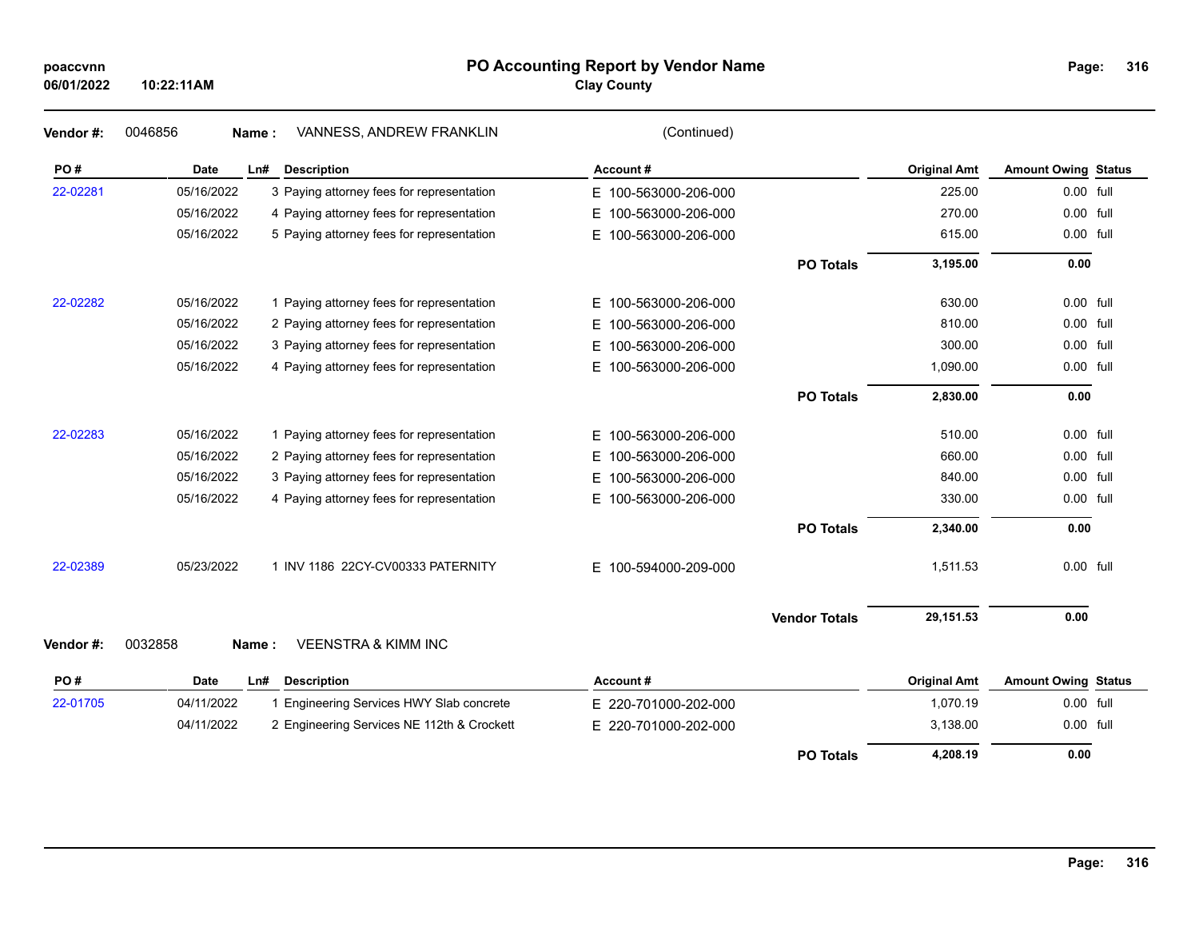## **PO Accounting Report by Vendor Name poaccvnn Page:**

**Clay County**

| Vendor#: | 0046856          | VANNESS, ANDREW FRANKLIN<br>Name:          | (Continued)              |                      |                     |                            |  |
|----------|------------------|--------------------------------------------|--------------------------|----------------------|---------------------|----------------------------|--|
| PO#      | <b>Date</b>      | Ln#<br><b>Description</b>                  | Account#                 |                      | <b>Original Amt</b> | <b>Amount Owing Status</b> |  |
| 22-02281 | 05/16/2022       | 3 Paying attorney fees for representation  | E 100-563000-206-000     |                      | 225.00              | 0.00 full                  |  |
|          | 05/16/2022       | 4 Paying attorney fees for representation  | 100-563000-206-000<br>Е. |                      | 270.00              | 0.00 full                  |  |
|          | 05/16/2022       | 5 Paying attorney fees for representation  | E.<br>100-563000-206-000 |                      | 615.00              | 0.00 full                  |  |
|          |                  |                                            |                          | <b>PO Totals</b>     | 3,195.00            | 0.00                       |  |
| 22-02282 | 05/16/2022       | 1 Paying attorney fees for representation  | E.<br>100-563000-206-000 |                      | 630.00              | 0.00 full                  |  |
|          | 05/16/2022       | 2 Paying attorney fees for representation  | 100-563000-206-000<br>E. |                      | 810.00              | 0.00 full                  |  |
|          | 05/16/2022       | 3 Paying attorney fees for representation  | Е<br>100-563000-206-000  |                      | 300.00              | 0.00 full                  |  |
|          | 05/16/2022       | 4 Paying attorney fees for representation  | E 100-563000-206-000     |                      | 1,090.00            | 0.00 full                  |  |
|          |                  |                                            |                          | <b>PO Totals</b>     | 2,830.00            | 0.00                       |  |
| 22-02283 | 05/16/2022       | 1 Paying attorney fees for representation  | 100-563000-206-000<br>Е. |                      | 510.00              | 0.00 full                  |  |
|          | 05/16/2022       | 2 Paying attorney fees for representation  | E.<br>100-563000-206-000 |                      | 660.00              | $0.00$ full                |  |
|          | 05/16/2022       | 3 Paying attorney fees for representation  | 100-563000-206-000<br>E. |                      | 840.00              | 0.00 full                  |  |
|          | 05/16/2022       | 4 Paying attorney fees for representation  | E 100-563000-206-000     |                      | 330.00              | 0.00 full                  |  |
|          |                  |                                            |                          | <b>PO Totals</b>     | 2,340.00            | 0.00                       |  |
| 22-02389 | 05/23/2022       | 1 INV 1186 22CY-CV00333 PATERNITY          | E 100-594000-209-000     |                      | 1,511.53            | 0.00 full                  |  |
|          |                  |                                            |                          | <b>Vendor Totals</b> | 29,151.53           | 0.00                       |  |
| Vendor#: | 0032858<br>Name: | <b>VEENSTRA &amp; KIMM INC</b>             |                          |                      |                     |                            |  |
| PO#      | <b>Date</b>      | Ln#<br><b>Description</b>                  | Account#                 |                      | <b>Original Amt</b> | <b>Amount Owing Status</b> |  |
| 22-01705 | 04/11/2022       | 1 Engineering Services HWY Slab concrete   | E 220-701000-202-000     |                      | 1,070.19            | 0.00 full                  |  |
|          | 04/11/2022       | 2 Engineering Services NE 112th & Crockett | E 220-701000-202-000     |                      | 3,138.00            | $0.00$ full                |  |
|          |                  |                                            |                          | <b>PO Totals</b>     | 4,208.19            | 0.00                       |  |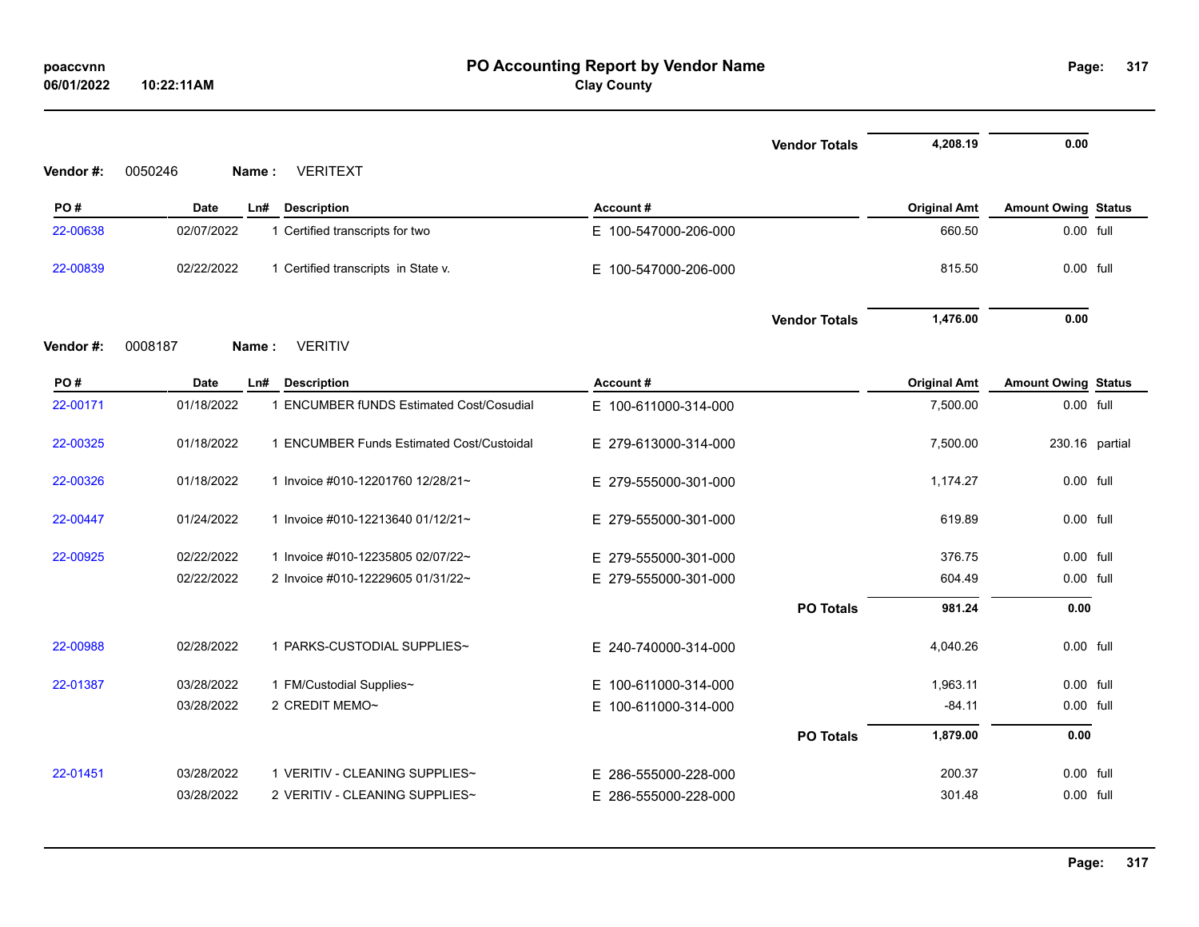| Vendor #: | 0050246    | Name: | <b>VERITEXT</b>                           |                      | <b>Vendor Totals</b> | 4,208.19            | 0.00                       |  |
|-----------|------------|-------|-------------------------------------------|----------------------|----------------------|---------------------|----------------------------|--|
| PO#       | Date       | Ln#   | <b>Description</b>                        | Account#             |                      | <b>Original Amt</b> | <b>Amount Owing Status</b> |  |
| 22-00638  | 02/07/2022 |       | 1 Certified transcripts for two           | E 100-547000-206-000 |                      | 660.50              | 0.00 full                  |  |
| 22-00839  | 02/22/2022 |       | 1 Certified transcripts in State v.       | E 100-547000-206-000 |                      | 815.50              | 0.00 full                  |  |
|           |            |       |                                           |                      | <b>Vendor Totals</b> | 1,476.00            | 0.00                       |  |
| Vendor #: | 0008187    | Name: | <b>VERITIV</b>                            |                      |                      |                     |                            |  |
| PO#       | Date       | Ln#   | <b>Description</b>                        | Account#             |                      | <b>Original Amt</b> | <b>Amount Owing Status</b> |  |
| 22-00171  | 01/18/2022 |       | 1 ENCUMBER fUNDS Estimated Cost/Cosudial  | E 100-611000-314-000 |                      | 7,500.00            | 0.00 full                  |  |
| 22-00325  | 01/18/2022 |       | 1 ENCUMBER Funds Estimated Cost/Custoidal | E 279-613000-314-000 |                      | 7,500.00            | 230.16 partial             |  |
| 22-00326  | 01/18/2022 |       | 1 Invoice #010-12201760 12/28/21~         | E 279-555000-301-000 |                      | 1,174.27            | 0.00 full                  |  |
| 22-00447  | 01/24/2022 |       | 1 Invoice #010-12213640 01/12/21~         | E 279-555000-301-000 |                      | 619.89              | $0.00$ full                |  |
| 22-00925  | 02/22/2022 |       | 1 Invoice #010-12235805 02/07/22~         | E 279-555000-301-000 |                      | 376.75              | 0.00 full                  |  |
|           | 02/22/2022 |       | 2 Invoice #010-12229605 01/31/22~         | E 279-555000-301-000 |                      | 604.49              | 0.00 full                  |  |
|           |            |       |                                           |                      | <b>PO Totals</b>     | 981.24              | 0.00                       |  |
| 22-00988  | 02/28/2022 |       | 1 PARKS-CUSTODIAL SUPPLIES~               | E 240-740000-314-000 |                      | 4,040.26            | $0.00$ full                |  |
| 22-01387  | 03/28/2022 |       | 1 FM/Custodial Supplies~                  | E 100-611000-314-000 |                      | 1,963.11            | $0.00$ full                |  |
|           | 03/28/2022 |       | 2 CREDIT MEMO~                            | E 100-611000-314-000 |                      | $-84.11$            | 0.00 full                  |  |
|           |            |       |                                           |                      | <b>PO Totals</b>     | 1,879.00            | 0.00                       |  |
| 22-01451  | 03/28/2022 |       | 1 VERITIV - CLEANING SUPPLIES~            | E 286-555000-228-000 |                      | 200.37              | 0.00 full                  |  |
|           | 03/28/2022 |       | 2 VERITIV - CLEANING SUPPLIES~            | E 286-555000-228-000 |                      | 301.48              | 0.00 full                  |  |

**317**

# **PO Accounting Report by Vendor Name poaccvnn Page: Clay County**

**06/01/2022**

**10:22:11AM**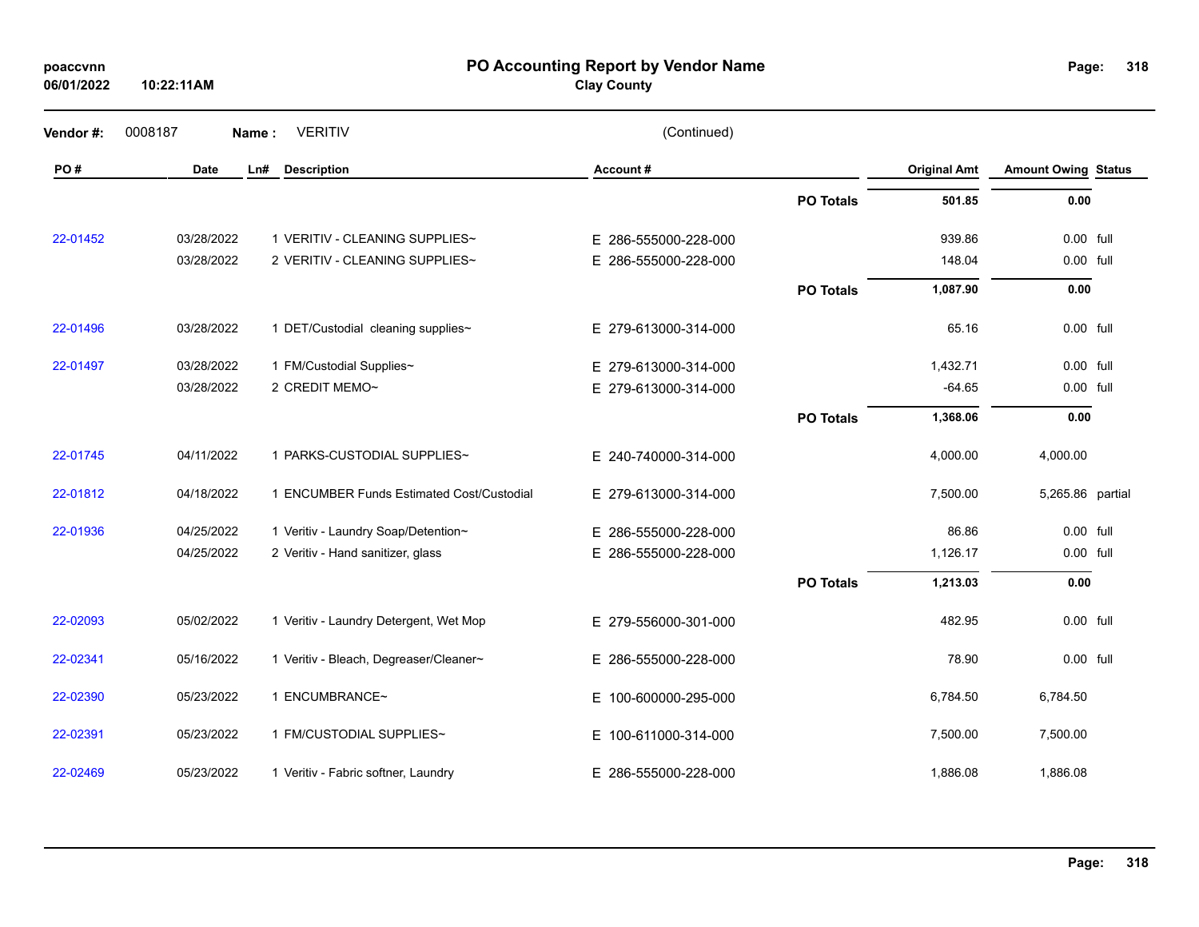| poaccvnn   |  |
|------------|--|
| 06/01/2022 |  |

**10:22:11AM**

**PO Accounting Report by Vendor Name poaccvnn Page:**

**Clay County**

| 318 | Page: |  |  |  |  |
|-----|-------|--|--|--|--|
|-----|-------|--|--|--|--|

| Vendor #: | 0008187    | Name: | <b>VERITIV</b>                            | (Continued)          |                  |                     |                            |  |
|-----------|------------|-------|-------------------------------------------|----------------------|------------------|---------------------|----------------------------|--|
| PO#       | Date       | Ln#   | <b>Description</b>                        | Account#             |                  | <b>Original Amt</b> | <b>Amount Owing Status</b> |  |
|           |            |       |                                           |                      | <b>PO Totals</b> | 501.85              | 0.00                       |  |
| 22-01452  | 03/28/2022 |       | 1 VERITIV - CLEANING SUPPLIES~            | E 286-555000-228-000 |                  | 939.86              | 0.00 full                  |  |
|           | 03/28/2022 |       | 2 VERITIV - CLEANING SUPPLIES~            | E 286-555000-228-000 |                  | 148.04              | 0.00 full                  |  |
|           |            |       |                                           |                      | <b>PO Totals</b> | 1,087.90            | 0.00                       |  |
| 22-01496  | 03/28/2022 |       | 1 DET/Custodial cleaning supplies~        | E 279-613000-314-000 |                  | 65.16               | 0.00 full                  |  |
| 22-01497  | 03/28/2022 |       | 1 FM/Custodial Supplies~                  | E 279-613000-314-000 |                  | 1,432.71            | 0.00 full                  |  |
|           | 03/28/2022 |       | 2 CREDIT MEMO~                            | E 279-613000-314-000 |                  | $-64.65$            | 0.00 full                  |  |
|           |            |       |                                           |                      | <b>PO Totals</b> | 1,368.06            | 0.00                       |  |
| 22-01745  | 04/11/2022 |       | 1 PARKS-CUSTODIAL SUPPLIES~               | E 240-740000-314-000 |                  | 4,000.00            | 4,000.00                   |  |
| 22-01812  | 04/18/2022 |       | 1 ENCUMBER Funds Estimated Cost/Custodial | E 279-613000-314-000 |                  | 7,500.00            | 5,265.86 partial           |  |
| 22-01936  | 04/25/2022 |       | 1 Veritiv - Laundry Soap/Detention~       | E 286-555000-228-000 |                  | 86.86               | 0.00 full                  |  |
|           | 04/25/2022 |       | 2 Veritiv - Hand sanitizer, glass         | E 286-555000-228-000 |                  | 1,126.17            | 0.00 full                  |  |
|           |            |       |                                           |                      | <b>PO Totals</b> | 1,213.03            | 0.00                       |  |
| 22-02093  | 05/02/2022 |       | 1 Veritiv - Laundry Detergent, Wet Mop    | E 279-556000-301-000 |                  | 482.95              | 0.00 full                  |  |
| 22-02341  | 05/16/2022 |       | 1 Veritiv - Bleach, Degreaser/Cleaner~    | E 286-555000-228-000 |                  | 78.90               | 0.00 full                  |  |
| 22-02390  | 05/23/2022 |       | 1 ENCUMBRANCE~                            | E 100-600000-295-000 |                  | 6,784.50            | 6,784.50                   |  |
| 22-02391  | 05/23/2022 |       | 1 FM/CUSTODIAL SUPPLIES~                  | E 100-611000-314-000 |                  | 7,500.00            | 7,500.00                   |  |
| 22-02469  | 05/23/2022 |       | 1 Veritiv - Fabric softner, Laundry       | E 286-555000-228-000 |                  | 1,886.08            | 1,886.08                   |  |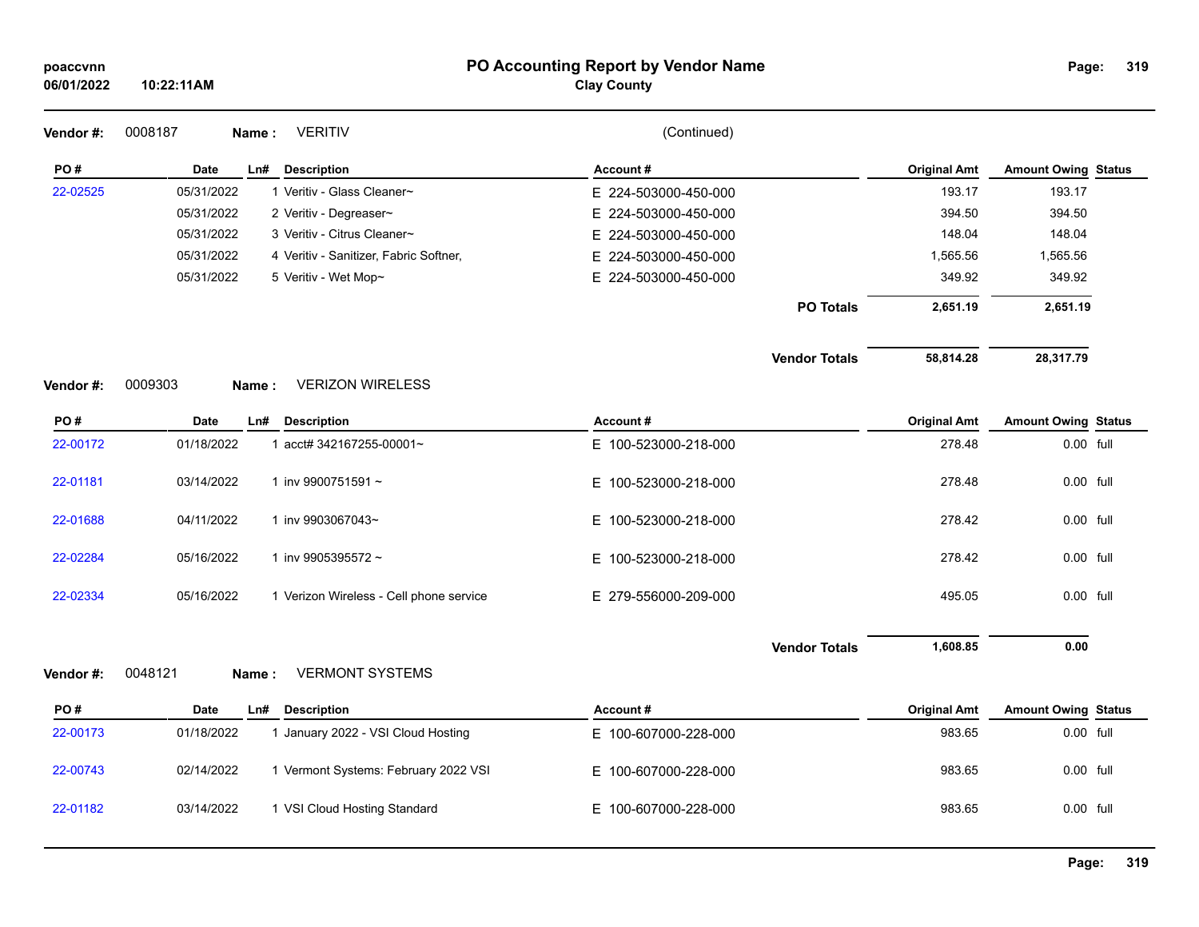| poaccvnn<br>06/01/2022 | 10:22:11AM |                                         | PO Accounting Report by Vendor Name<br><b>Clay County</b> |                      |                     | Page:                      | 319 |
|------------------------|------------|-----------------------------------------|-----------------------------------------------------------|----------------------|---------------------|----------------------------|-----|
| Vendor#:               | 0008187    | <b>VERITIV</b><br>Name:                 | (Continued)                                               |                      |                     |                            |     |
| PO#                    | Date       | Ln#<br><b>Description</b>               | Account#                                                  |                      | <b>Original Amt</b> | <b>Amount Owing Status</b> |     |
| 22-02525               | 05/31/2022 | 1 Veritiv - Glass Cleaner~              | E 224-503000-450-000                                      |                      | 193.17              | 193.17                     |     |
|                        | 05/31/2022 | 2 Veritiv - Degreaser~                  | E 224-503000-450-000                                      |                      | 394.50              | 394.50                     |     |
|                        | 05/31/2022 | 3 Veritiv - Citrus Cleaner~             | E 224-503000-450-000                                      |                      | 148.04              | 148.04                     |     |
|                        | 05/31/2022 | 4 Veritiv - Sanitizer, Fabric Softner,  | E 224-503000-450-000                                      |                      | 1,565.56            | 1,565.56                   |     |
|                        | 05/31/2022 | 5 Veritiv - Wet Mop~                    | E 224-503000-450-000                                      |                      | 349.92              | 349.92                     |     |
|                        |            |                                         |                                                           | <b>PO Totals</b>     | 2,651.19            | 2,651.19                   |     |
|                        |            |                                         |                                                           | <b>Vendor Totals</b> | 58,814.28           | 28,317.79                  |     |
| Vendor#:               | 0009303    | <b>VERIZON WIRELESS</b><br>Name:        |                                                           |                      |                     |                            |     |
| PO#                    | Date       | Ln#<br><b>Description</b>               | Account#                                                  |                      | <b>Original Amt</b> | <b>Amount Owing Status</b> |     |
| 22-00172               | 01/18/2022 | 1 acct# 342167255-00001~                | E 100-523000-218-000                                      |                      | 278.48              | 0.00 full                  |     |
| 22-01181               | 03/14/2022 | 1 inv 9900751591~                       | E 100-523000-218-000                                      |                      | 278.48              | 0.00 full                  |     |
| 22-01688               | 04/11/2022 | 1 inv 9903067043~                       | E 100-523000-218-000                                      |                      | 278.42              | 0.00 full                  |     |
| 22-02284               | 05/16/2022 | 1 inv 9905395572~                       | 100-523000-218-000<br>Е.                                  |                      | 278.42              | $0.00$ full                |     |
| 22-02334               | 05/16/2022 | 1 Verizon Wireless - Cell phone service | E 279-556000-209-000                                      |                      | 495.05              | 0.00 full                  |     |
|                        |            |                                         |                                                           | <b>Vendor Totals</b> | 1,608.85            | 0.00                       |     |
| Vendor #:              | 0048121    | <b>VERMONT SYSTEMS</b><br>Name:         |                                                           |                      |                     |                            |     |
| PO#                    | Date       | <b>Description</b><br>Ln#               | Account#                                                  |                      | <b>Original Amt</b> | <b>Amount Owing Status</b> |     |
| 22-00173               | 01/18/2022 | 1 January 2022 - VSI Cloud Hosting      | E 100-607000-228-000                                      |                      | 983.65              | 0.00 full                  |     |
| 22-00743               | 02/14/2022 | 1 Vermont Systems: February 2022 VSI    | E 100-607000-228-000                                      |                      | 983.65              | 0.00 full                  |     |
| 22-01182               | 03/14/2022 | 1 VSI Cloud Hosting Standard            | 100-607000-228-000<br>Е.                                  |                      | 983.65              | $0.00$ full                |     |
|                        |            |                                         |                                                           |                      |                     |                            |     |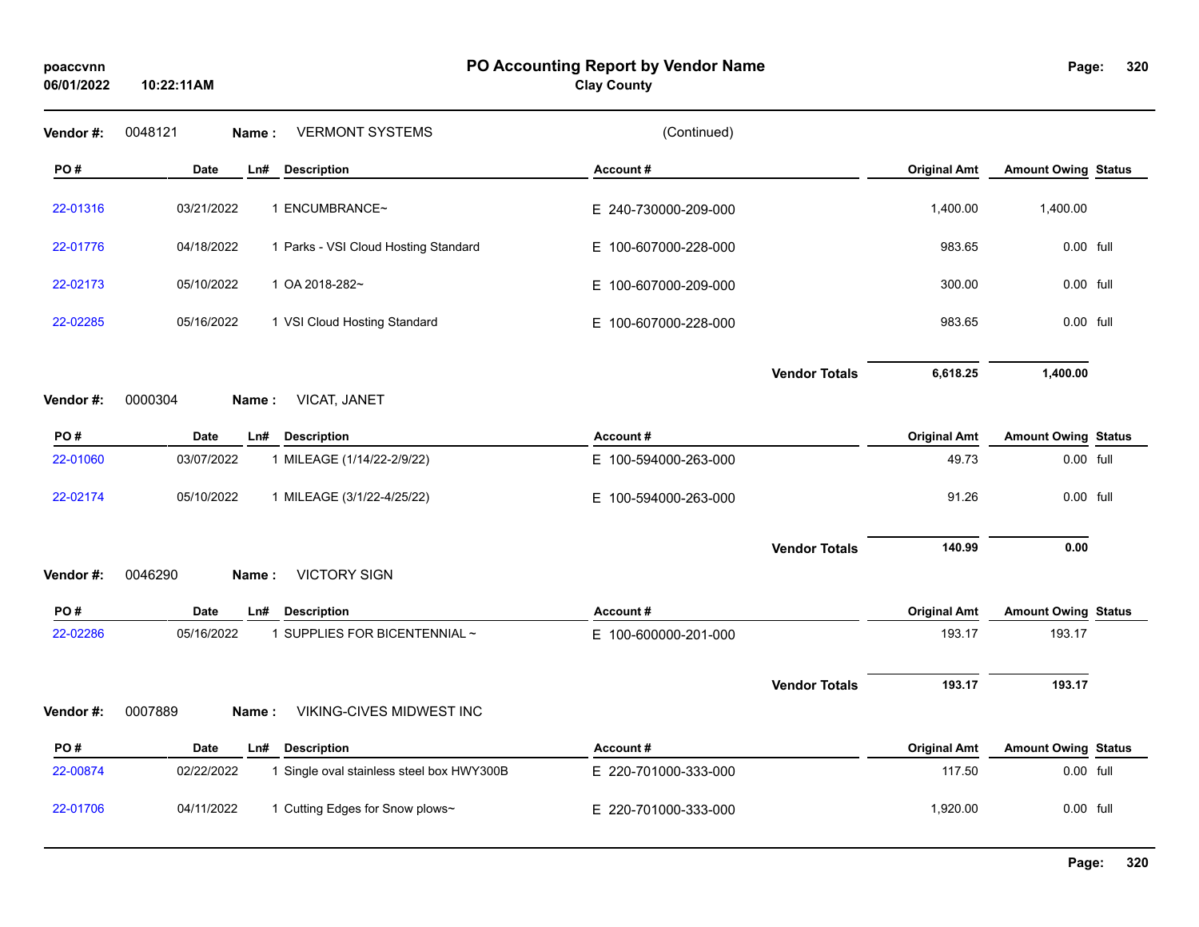**10:22:11AM**

### **PO Accounting Report by Vendor Name poaccvnn Page:**

# **Clay County**

| Vendor #: | <b>VERMONT SYSTEMS</b><br>0048121<br>Name:              | (Continued)          |                     |                            |
|-----------|---------------------------------------------------------|----------------------|---------------------|----------------------------|
| PO#       | <b>Date</b><br>Ln#<br><b>Description</b>                | Account#             | <b>Original Amt</b> | <b>Amount Owing Status</b> |
| 22-01316  | 03/21/2022<br>1 ENCUMBRANCE~                            | E 240-730000-209-000 | 1,400.00            | 1,400.00                   |
| 22-01776  | 04/18/2022<br>1 Parks - VSI Cloud Hosting Standard      | E 100-607000-228-000 | 983.65              | 0.00 full                  |
| 22-02173  | 05/10/2022<br>1 OA 2018-282~                            | E 100-607000-209-000 | 300.00              | 0.00 full                  |
| 22-02285  | 05/16/2022<br>1 VSI Cloud Hosting Standard              | E 100-607000-228-000 | 983.65              | 0.00 full                  |
|           |                                                         | <b>Vendor Totals</b> | 6,618.25            | 1,400.00                   |
| Vendor#:  | 0000304<br>VICAT, JANET<br>Name:                        |                      |                     |                            |
| PO#       | <b>Description</b><br><b>Date</b><br>Ln#                | Account#             | <b>Original Amt</b> | <b>Amount Owing Status</b> |
| 22-01060  | 03/07/2022<br>1 MILEAGE (1/14/22-2/9/22)                | E 100-594000-263-000 | 49.73               | $0.00$ full                |
| 22-02174  | 05/10/2022<br>1 MILEAGE (3/1/22-4/25/22)                | E 100-594000-263-000 | 91.26               | 0.00 full                  |
|           |                                                         | <b>Vendor Totals</b> | 140.99              | 0.00                       |
| Vendor#:  | <b>VICTORY SIGN</b><br>0046290<br>Name:                 |                      |                     |                            |
| PO#       | Date<br><b>Description</b><br>Ln#                       | Account#             | <b>Original Amt</b> | <b>Amount Owing Status</b> |
| 22-02286  | 1 SUPPLIES FOR BICENTENNIAL ~<br>05/16/2022             | E 100-600000-201-000 | 193.17              | 193.17                     |
|           |                                                         | <b>Vendor Totals</b> | 193.17              | 193.17                     |
| Vendor#:  | 0007889<br>VIKING-CIVES MIDWEST INC<br>Name:            |                      |                     |                            |
| PO#       | <b>Date</b><br>Ln#<br><b>Description</b>                | Account#             | <b>Original Amt</b> | <b>Amount Owing Status</b> |
| 22-00874  | 02/22/2022<br>1 Single oval stainless steel box HWY300B | E 220-701000-333-000 | 117.50              | 0.00 full                  |
| 22-01706  | 04/11/2022<br>1 Cutting Edges for Snow plows~           | E 220-701000-333-000 | 1,920.00            | $0.00$ full                |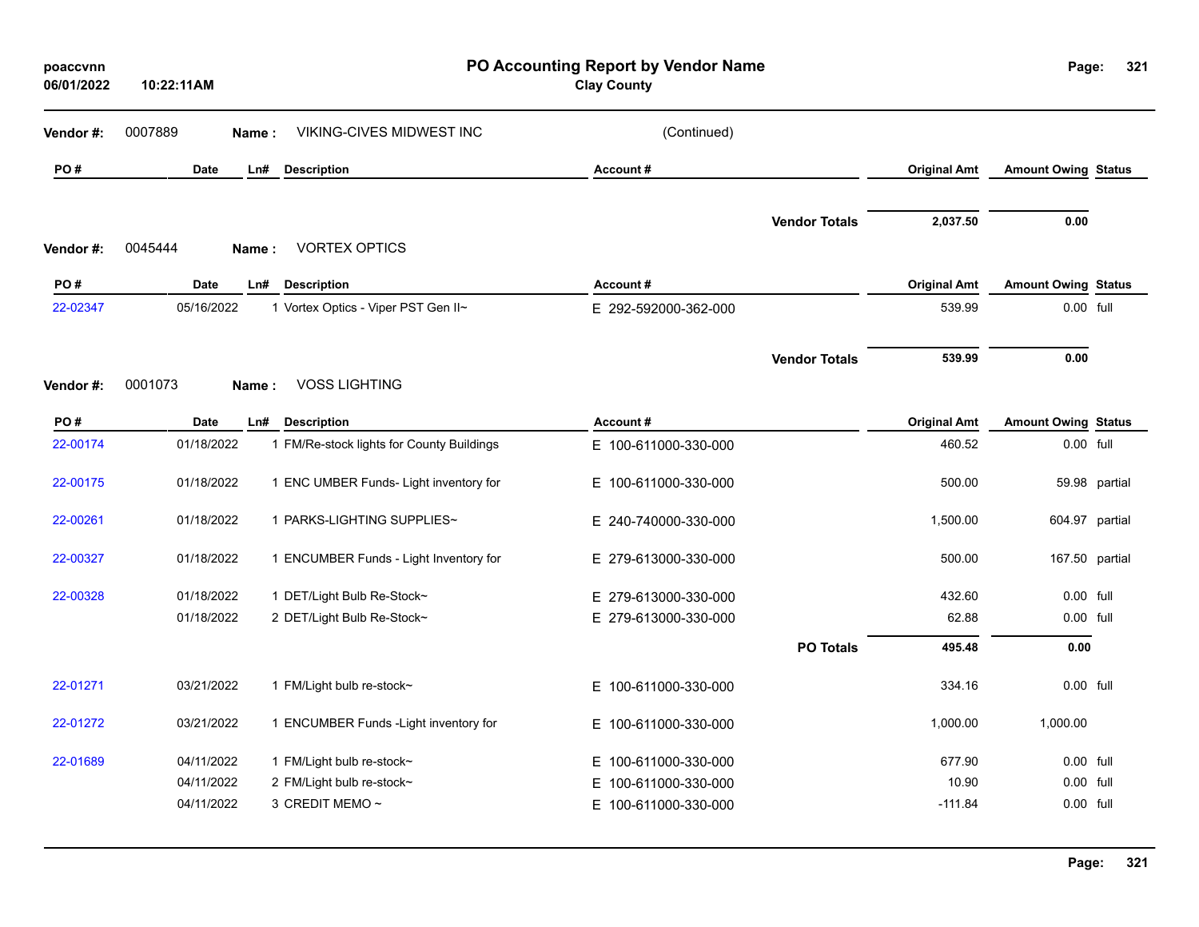| poaccvnn<br>06/01/2022 | 10:22:11AM       |                                           | PO Accounting Report by Vendor Name<br><b>Clay County</b> |                      |                     | Page:                      | 321            |
|------------------------|------------------|-------------------------------------------|-----------------------------------------------------------|----------------------|---------------------|----------------------------|----------------|
| Vendor #:              | 0007889<br>Name: | VIKING-CIVES MIDWEST INC                  | (Continued)                                               |                      |                     |                            |                |
| PO#                    | <b>Date</b>      | <b>Description</b><br>Ln#                 | Account#                                                  |                      | <b>Original Amt</b> | <b>Amount Owing Status</b> |                |
|                        |                  |                                           |                                                           | <b>Vendor Totals</b> | 2,037.50            | 0.00                       |                |
| Vendor#:               | 0045444<br>Name: | <b>VORTEX OPTICS</b>                      |                                                           |                      |                     |                            |                |
| PO#                    | <b>Date</b>      | Ln#<br><b>Description</b>                 | Account#                                                  |                      | <b>Original Amt</b> | <b>Amount Owing Status</b> |                |
| 22-02347               | 05/16/2022       | 1 Vortex Optics - Viper PST Gen II~       | E 292-592000-362-000                                      |                      | 539.99              | 0.00 full                  |                |
|                        |                  |                                           |                                                           | <b>Vendor Totals</b> | 539.99              | 0.00                       |                |
| Vendor#:               | 0001073<br>Name: | <b>VOSS LIGHTING</b>                      |                                                           |                      |                     |                            |                |
| PO#                    | <b>Date</b>      | <b>Description</b><br>$Ln$ #              | Account#                                                  |                      | <b>Original Amt</b> | <b>Amount Owing Status</b> |                |
| 22-00174               | 01/18/2022       | 1 FM/Re-stock lights for County Buildings | E 100-611000-330-000                                      |                      | 460.52              | 0.00 full                  |                |
| 22-00175               | 01/18/2022       | 1 ENC UMBER Funds- Light inventory for    | E 100-611000-330-000                                      |                      | 500.00              | 59.98                      | partial        |
| 22-00261               | 01/18/2022       | 1 PARKS-LIGHTING SUPPLIES~                | E 240-740000-330-000                                      |                      | 1,500.00            | 604.97                     | partial        |
| 22-00327               | 01/18/2022       | 1 ENCUMBER Funds - Light Inventory for    | E 279-613000-330-000                                      |                      | 500.00              |                            | 167.50 partial |
| 22-00328               | 01/18/2022       | 1 DET/Light Bulb Re-Stock~                | E 279-613000-330-000                                      |                      | 432.60              | 0.00 full                  |                |
|                        | 01/18/2022       | 2 DET/Light Bulb Re-Stock~                | E 279-613000-330-000                                      |                      | 62.88               | 0.00 full                  |                |
|                        |                  |                                           |                                                           | <b>PO Totals</b>     | 495.48              | 0.00                       |                |
| 22-01271               | 03/21/2022       | 1 FM/Light bulb re-stock~                 | E 100-611000-330-000                                      |                      | 334.16              | 0.00 full                  |                |
| 22-01272               | 03/21/2022       | 1 ENCUMBER Funds - Light inventory for    | E 100-611000-330-000                                      |                      | 1,000.00            | 1,000.00                   |                |
| 22-01689               | 04/11/2022       | 1 FM/Light bulb re-stock~                 | E.<br>100-611000-330-000                                  |                      | 677.90              | 0.00 full                  |                |
|                        | 04/11/2022       | 2 FM/Light bulb re-stock~                 | 100-611000-330-000<br>E.                                  |                      | 10.90               | 0.00 full                  |                |
|                        | 04/11/2022       | 3 CREDIT MEMO ~                           | E.<br>100-611000-330-000                                  |                      | $-111.84$           | 0.00 full                  |                |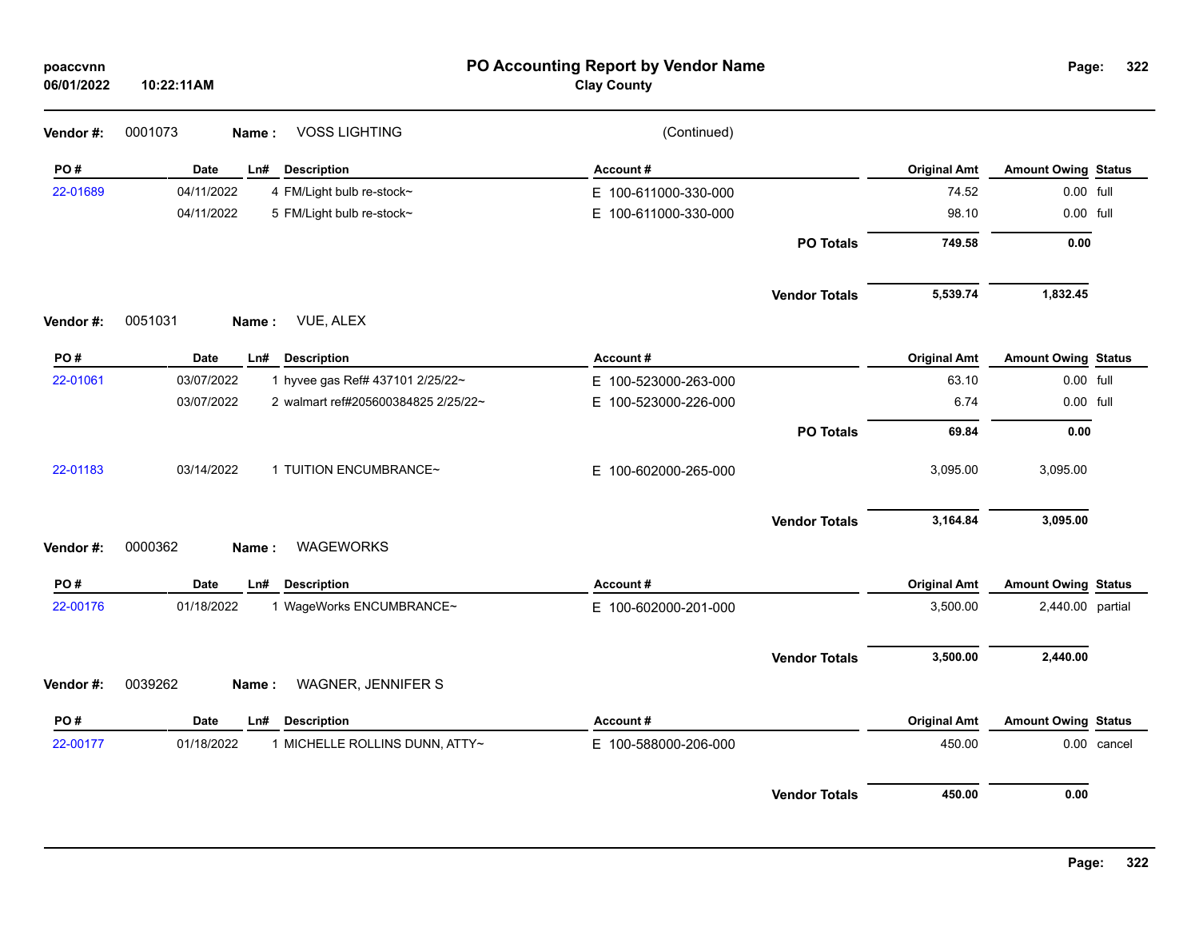| poaccvnn<br>06/01/2022 | 10:22:11AM                                        | PO Accounting Report by Vendor Name<br><b>Clay County</b> |                      |                     | Page:                      | 322         |
|------------------------|---------------------------------------------------|-----------------------------------------------------------|----------------------|---------------------|----------------------------|-------------|
| Vendor #:              | <b>VOSS LIGHTING</b><br>0001073<br>Name:          | (Continued)                                               |                      |                     |                            |             |
| PO#                    | Date<br><b>Description</b><br>Ln#                 | Account#                                                  |                      | <b>Original Amt</b> | <b>Amount Owing Status</b> |             |
| 22-01689               | 04/11/2022<br>4 FM/Light bulb re-stock~           | E 100-611000-330-000                                      |                      | 74.52               | 0.00 full                  |             |
|                        | 04/11/2022<br>5 FM/Light bulb re-stock~           | E 100-611000-330-000                                      |                      | 98.10               | 0.00 full                  |             |
|                        |                                                   |                                                           | <b>PO Totals</b>     | 749.58              | 0.00                       |             |
|                        |                                                   |                                                           | <b>Vendor Totals</b> | 5,539.74            | 1,832.45                   |             |
| Vendor#:               | 0051031<br>VUE, ALEX<br>Name:                     |                                                           |                      |                     |                            |             |
| PO#                    | <b>Description</b><br>Date<br>Ln#                 | Account#                                                  |                      | <b>Original Amt</b> | <b>Amount Owing Status</b> |             |
| 22-01061               | 03/07/2022<br>1 hyvee gas Ref# 437101 2/25/22~    | E 100-523000-263-000                                      |                      | 63.10               | 0.00 full                  |             |
|                        | 03/07/2022<br>2 walmart ref#205600384825 2/25/22~ | E 100-523000-226-000                                      |                      | 6.74                | 0.00 full                  |             |
|                        |                                                   |                                                           | <b>PO Totals</b>     | 69.84               | 0.00                       |             |
| 22-01183               | 03/14/2022<br>1 TUITION ENCUMBRANCE~              | E 100-602000-265-000                                      |                      | 3,095.00            | 3,095.00                   |             |
|                        |                                                   |                                                           | <b>Vendor Totals</b> | 3,164.84            | 3,095.00                   |             |
| Vendor #:              | 0000362<br><b>WAGEWORKS</b><br>Name:              |                                                           |                      |                     |                            |             |
| PO#                    | Date<br>Ln#<br><b>Description</b>                 | <b>Account#</b>                                           |                      | <b>Original Amt</b> | <b>Amount Owing Status</b> |             |
| 22-00176               | 01/18/2022<br>1 WageWorks ENCUMBRANCE~            | E 100-602000-201-000                                      |                      | 3,500.00            | 2,440.00 partial           |             |
|                        |                                                   |                                                           | <b>Vendor Totals</b> | 3,500.00            | 2,440.00                   |             |
| Vendor#:               | 0039262<br>WAGNER, JENNIFER S<br>Name:            |                                                           |                      |                     |                            |             |
| PO#                    | Date<br>Ln#<br><b>Description</b>                 | Account#                                                  |                      | <b>Original Amt</b> | <b>Amount Owing Status</b> |             |
| 22-00177               | 01/18/2022<br>1 MICHELLE ROLLINS DUNN, ATTY~      | E 100-588000-206-000                                      |                      | 450.00              |                            | 0.00 cancel |
|                        |                                                   |                                                           | <b>Vendor Totals</b> | 450.00              | 0.00                       |             |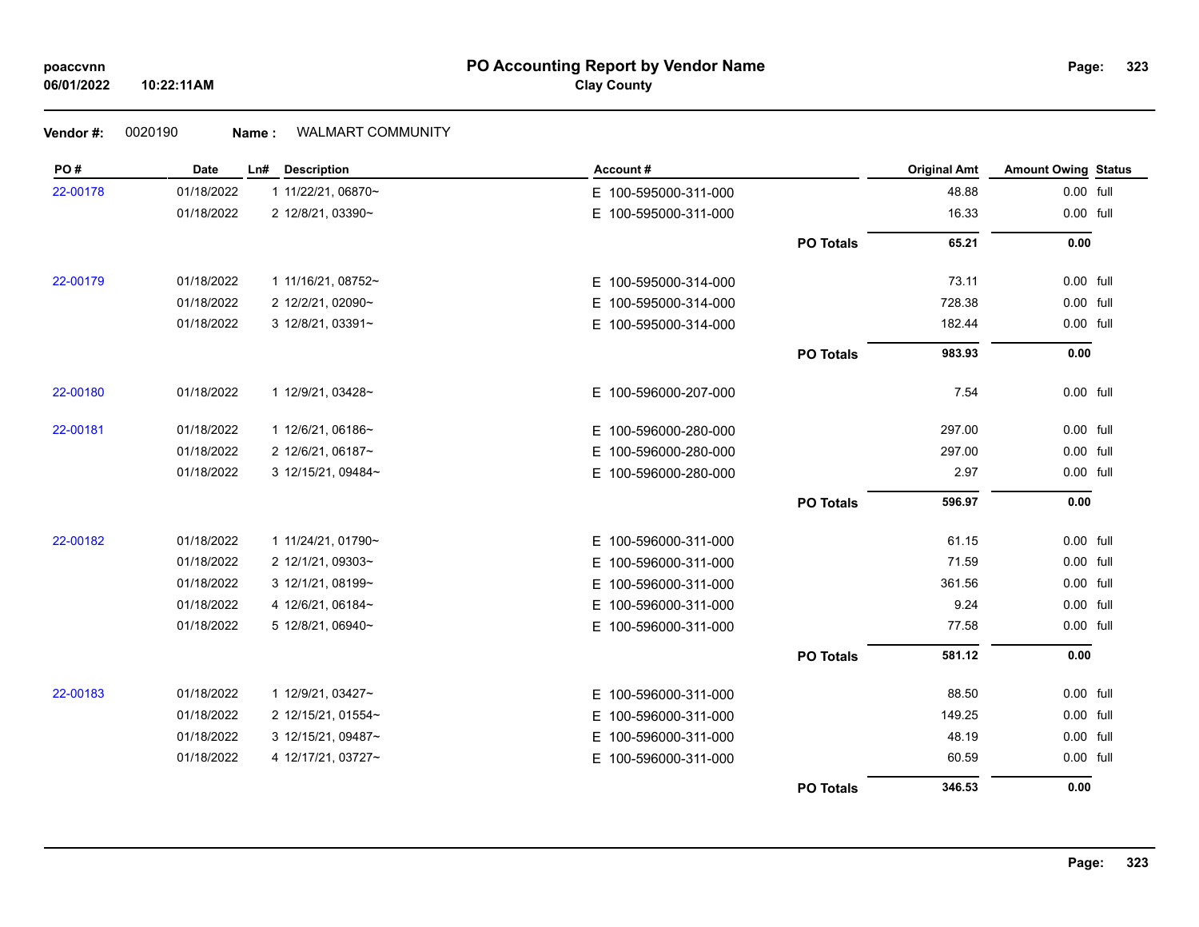# **PO Accounting Report by Vendor Name poaccvnn Page: Clay County**

# **Vendor #:** 0020190 **Name :** WALMART COMMUNITY

| PO#      | Date       | <b>Description</b><br>Ln# | Account#                 |                  | <b>Original Amt</b> | <b>Amount Owing Status</b> |  |
|----------|------------|---------------------------|--------------------------|------------------|---------------------|----------------------------|--|
| 22-00178 | 01/18/2022 | 1 11/22/21, 06870~        | E 100-595000-311-000     |                  | 48.88               | 0.00 full                  |  |
|          | 01/18/2022 | 2 12/8/21, 03390~         | E 100-595000-311-000     |                  | 16.33               | 0.00 full                  |  |
|          |            |                           |                          | <b>PO Totals</b> | 65.21               | 0.00                       |  |
| 22-00179 | 01/18/2022 | 1 11/16/21, 08752~        | E 100-595000-314-000     |                  | 73.11               | 0.00 full                  |  |
|          | 01/18/2022 | 2 12/2/21, 02090~         | E 100-595000-314-000     |                  | 728.38              | 0.00 full                  |  |
|          | 01/18/2022 | 3 12/8/21, 03391~         | E 100-595000-314-000     |                  | 182.44              | 0.00 full                  |  |
|          |            |                           |                          | <b>PO Totals</b> | 983.93              | 0.00                       |  |
| 22-00180 | 01/18/2022 | 1 12/9/21, 03428~         | E 100-596000-207-000     |                  | 7.54                | 0.00 full                  |  |
| 22-00181 | 01/18/2022 | 1 12/6/21, 06186~         | E 100-596000-280-000     |                  | 297.00              | 0.00 full                  |  |
|          | 01/18/2022 | 2 12/6/21, 06187~         | E.<br>100-596000-280-000 |                  | 297.00              | 0.00 full                  |  |
|          | 01/18/2022 | 3 12/15/21, 09484~        | E 100-596000-280-000     |                  | 2.97                | 0.00 full                  |  |
|          |            |                           |                          | <b>PO Totals</b> | 596.97              | 0.00                       |  |
| 22-00182 | 01/18/2022 | 1 11/24/21, 01790~        | E 100-596000-311-000     |                  | 61.15               | 0.00 full                  |  |
|          | 01/18/2022 | 2 12/1/21, 09303~         | E 100-596000-311-000     |                  | 71.59               | 0.00 full                  |  |
|          | 01/18/2022 | 3 12/1/21, 08199~         | E 100-596000-311-000     |                  | 361.56              | 0.00 full                  |  |
|          | 01/18/2022 | 4 12/6/21, 06184~         | 100-596000-311-000<br>Е. |                  | 9.24                | 0.00 full                  |  |
|          | 01/18/2022 | 5 12/8/21, 06940~         | E 100-596000-311-000     |                  | 77.58               | 0.00 full                  |  |
|          |            |                           |                          | <b>PO Totals</b> | 581.12              | 0.00                       |  |
| 22-00183 | 01/18/2022 | 1 12/9/21, 03427~         | E 100-596000-311-000     |                  | 88.50               | 0.00 full                  |  |
|          | 01/18/2022 | 2 12/15/21, 01554~        | E 100-596000-311-000     |                  | 149.25              | 0.00 full                  |  |
|          | 01/18/2022 | 3 12/15/21, 09487~        | 100-596000-311-000<br>E. |                  | 48.19               | 0.00 full                  |  |
|          | 01/18/2022 | 4 12/17/21, 03727~        | E 100-596000-311-000     |                  | 60.59               | 0.00 full                  |  |
|          |            |                           |                          | <b>PO Totals</b> | 346.53              | 0.00                       |  |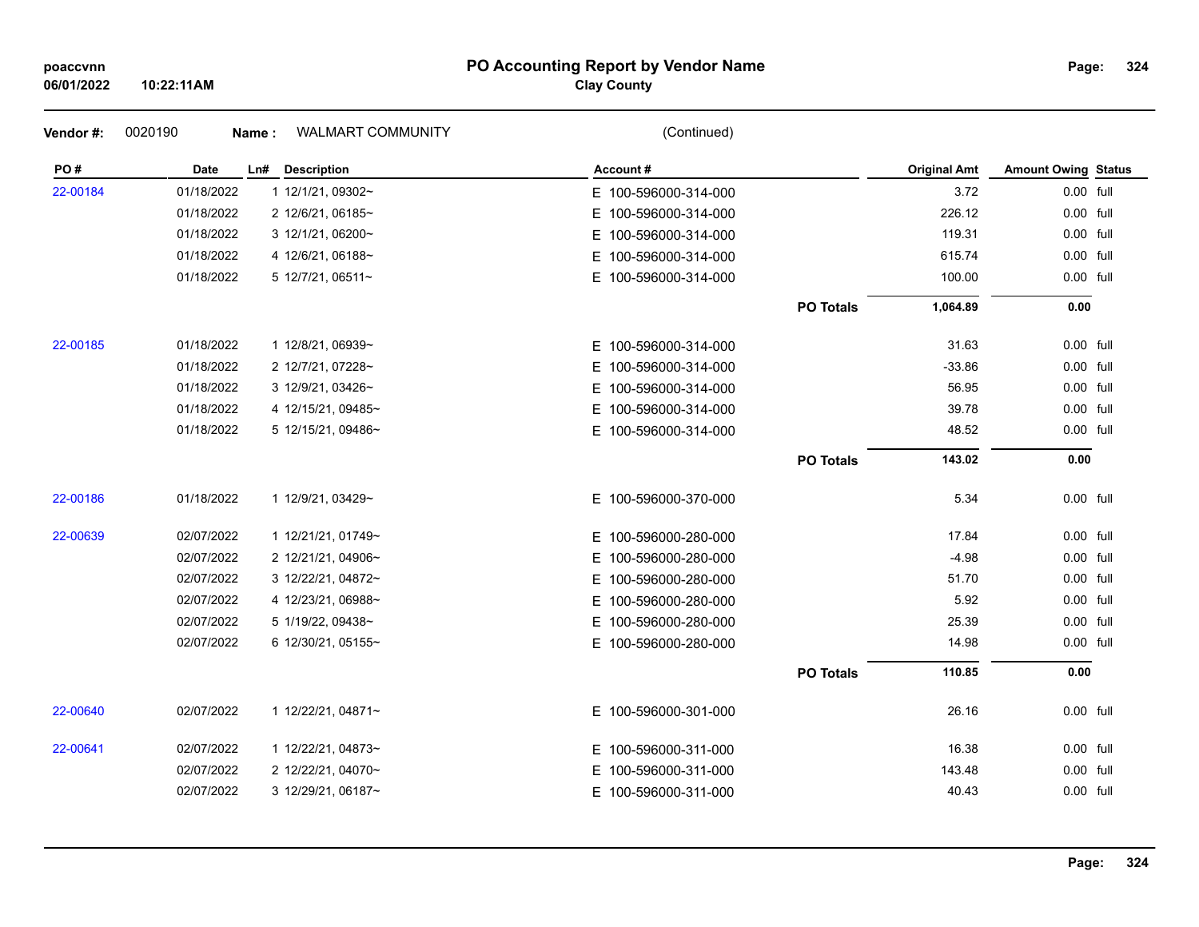### **PO Accounting Report by Vendor Name poaccvnn Page:**

# **Clay County**

| Vendor#: | 0020190    | WALMART COMMUNITY<br>Name: | (Continued)              |                  |                     |                            |  |
|----------|------------|----------------------------|--------------------------|------------------|---------------------|----------------------------|--|
| PO#      | Date       | Ln# Description            | Account#                 |                  | <b>Original Amt</b> | <b>Amount Owing Status</b> |  |
| 22-00184 | 01/18/2022 | 1 12/1/21, 09302~          | E 100-596000-314-000     |                  | 3.72                | 0.00 full                  |  |
|          | 01/18/2022 | 2 12/6/21, 06185~          | E 100-596000-314-000     |                  | 226.12              | 0.00 full                  |  |
|          | 01/18/2022 | 3 12/1/21, 06200~          | E 100-596000-314-000     |                  | 119.31              | 0.00 full                  |  |
|          | 01/18/2022 | 4 12/6/21, 06188~          | E 100-596000-314-000     |                  | 615.74              | 0.00 full                  |  |
|          | 01/18/2022 | 5 12/7/21, 06511~          | E 100-596000-314-000     |                  | 100.00              | 0.00 full                  |  |
|          |            |                            |                          | <b>PO Totals</b> | 1,064.89            | 0.00                       |  |
| 22-00185 | 01/18/2022 | 1 12/8/21, 06939~          | E 100-596000-314-000     |                  | 31.63               | 0.00 full                  |  |
|          | 01/18/2022 | 2 12/7/21, 07228~          | E 100-596000-314-000     |                  | $-33.86$            | 0.00 full                  |  |
|          | 01/18/2022 | 3 12/9/21, 03426~          | E 100-596000-314-000     |                  | 56.95               | 0.00 full                  |  |
|          | 01/18/2022 | 4 12/15/21, 09485~         | 100-596000-314-000<br>E. |                  | 39.78               | 0.00 full                  |  |
|          | 01/18/2022 | 5 12/15/21, 09486~         | E 100-596000-314-000     |                  | 48.52               | 0.00 full                  |  |
|          |            |                            |                          | <b>PO Totals</b> | 143.02              | 0.00                       |  |
| 22-00186 | 01/18/2022 | 1 12/9/21, 03429~          | E 100-596000-370-000     |                  | 5.34                | 0.00 full                  |  |
| 22-00639 | 02/07/2022 | 1 12/21/21, 01749~         | E 100-596000-280-000     |                  | 17.84               | 0.00 full                  |  |
|          | 02/07/2022 | 2 12/21/21, 04906~         | 100-596000-280-000<br>E. |                  | $-4.98$             | 0.00 full                  |  |
|          | 02/07/2022 | 3 12/22/21, 04872~         | E 100-596000-280-000     |                  | 51.70               | 0.00 full                  |  |
|          | 02/07/2022 | 4 12/23/21, 06988~         | E 100-596000-280-000     |                  | 5.92                | 0.00 full                  |  |
|          | 02/07/2022 | 5 1/19/22, 09438~          | E 100-596000-280-000     |                  | 25.39               | 0.00 full                  |  |
|          | 02/07/2022 | 6 12/30/21, 05155~         | E 100-596000-280-000     |                  | 14.98               | 0.00 full                  |  |
|          |            |                            |                          | <b>PO Totals</b> | 110.85              | 0.00                       |  |
| 22-00640 | 02/07/2022 | 1 12/22/21, 04871~         | E 100-596000-301-000     |                  | 26.16               | 0.00 full                  |  |
| 22-00641 | 02/07/2022 | 1 12/22/21, 04873~         | E 100-596000-311-000     |                  | 16.38               | 0.00 full                  |  |
|          | 02/07/2022 | 2 12/22/21, 04070~         | E 100-596000-311-000     |                  | 143.48              | 0.00 full                  |  |
|          | 02/07/2022 | 3 12/29/21, 06187~         | E 100-596000-311-000     |                  | 40.43               | 0.00 full                  |  |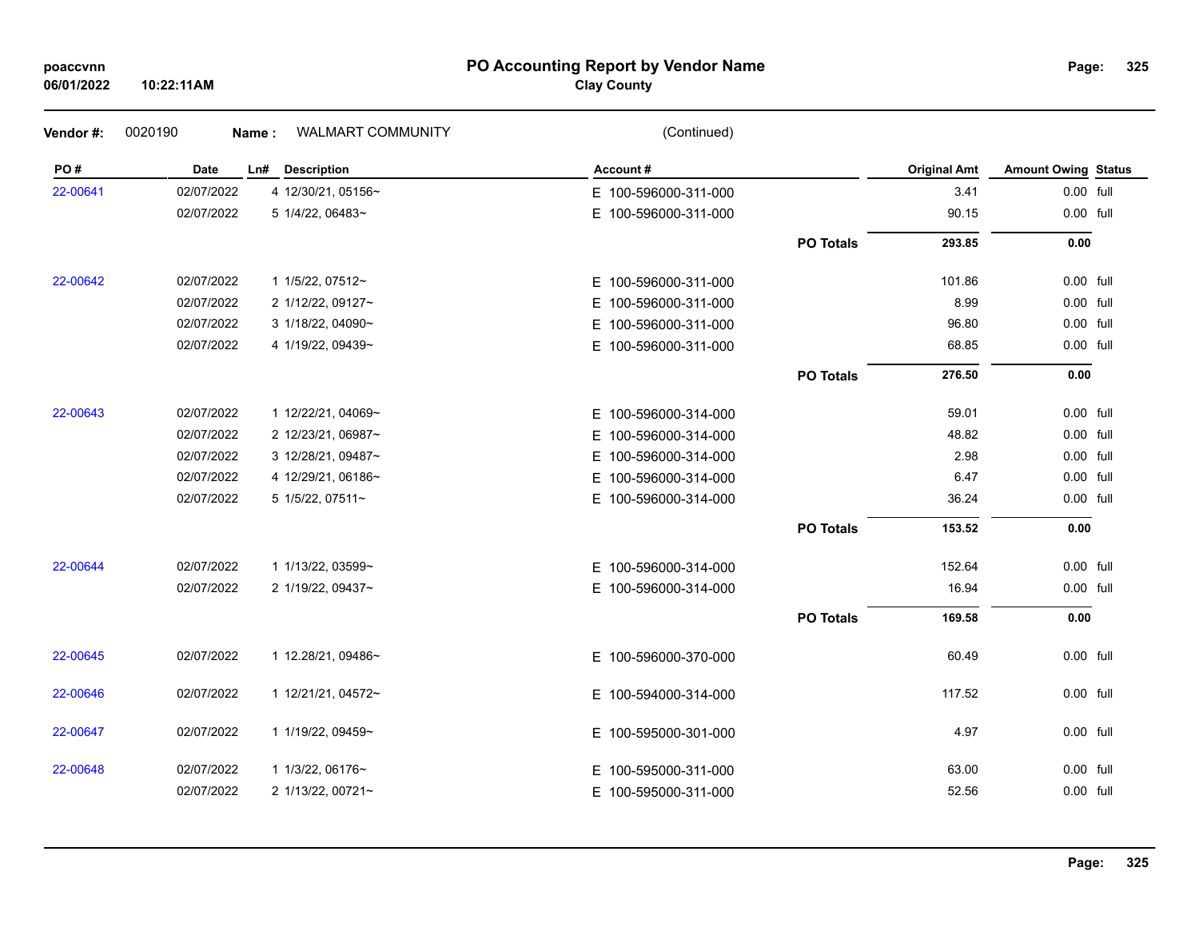### **PO Accounting Report by Vendor Name poaccvnn Page:**

# **Clay County**

| Vendor#: | 0020190    | WALMART COMMUNITY<br>Name: | (Continued)              |                  |                     |                            |  |
|----------|------------|----------------------------|--------------------------|------------------|---------------------|----------------------------|--|
| PO#      | Date       | Ln# Description            | Account#                 |                  | <b>Original Amt</b> | <b>Amount Owing Status</b> |  |
| 22-00641 | 02/07/2022 | 4 12/30/21, 05156~         | E 100-596000-311-000     |                  | 3.41                | 0.00 full                  |  |
|          | 02/07/2022 | 5 1/4/22, 06483~           | E.<br>100-596000-311-000 |                  | 90.15               | 0.00 full                  |  |
|          |            |                            |                          | <b>PO Totals</b> | 293.85              | 0.00                       |  |
| 22-00642 | 02/07/2022 | 1 1/5/22, 07512~           | E 100-596000-311-000     |                  | 101.86              | 0.00 full                  |  |
|          | 02/07/2022 | 2 1/12/22, 09127~          | 100-596000-311-000<br>E. |                  | 8.99                | 0.00 full                  |  |
|          | 02/07/2022 | 3 1/18/22, 04090~          | 100-596000-311-000<br>E. |                  | 96.80               | 0.00 full                  |  |
|          | 02/07/2022 | 4 1/19/22, 09439~          | E 100-596000-311-000     |                  | 68.85               | 0.00 full                  |  |
|          |            |                            |                          | <b>PO Totals</b> | 276.50              | 0.00                       |  |
| 22-00643 | 02/07/2022 | 1 12/22/21, 04069~         | E 100-596000-314-000     |                  | 59.01               | 0.00 full                  |  |
|          | 02/07/2022 | 2 12/23/21, 06987~         | 100-596000-314-000<br>Е. |                  | 48.82               | 0.00 full                  |  |
|          | 02/07/2022 | 3 12/28/21, 09487~         | E.<br>100-596000-314-000 |                  | 2.98                | 0.00 full                  |  |
|          | 02/07/2022 | 4 12/29/21, 06186~         | E.<br>100-596000-314-000 |                  | 6.47                | 0.00 full                  |  |
|          | 02/07/2022 | 5 1/5/22, 07511~           | E 100-596000-314-000     |                  | 36.24               | 0.00 full                  |  |
|          |            |                            |                          | <b>PO Totals</b> | 153.52              | 0.00                       |  |
| 22-00644 | 02/07/2022 | 1 1/13/22, 03599~          | E 100-596000-314-000     |                  | 152.64              | 0.00 full                  |  |
|          | 02/07/2022 | 2 1/19/22, 09437~          | E 100-596000-314-000     |                  | 16.94               | 0.00 full                  |  |
|          |            |                            |                          | <b>PO Totals</b> | 169.58              | 0.00                       |  |
| 22-00645 | 02/07/2022 | 1 12.28/21, 09486~         | E 100-596000-370-000     |                  | 60.49               | 0.00 full                  |  |
| 22-00646 | 02/07/2022 | 1 12/21/21, 04572~         | E.<br>100-594000-314-000 |                  | 117.52              | 0.00 full                  |  |
| 22-00647 | 02/07/2022 | 1 1/19/22, 09459~          | E 100-595000-301-000     |                  | 4.97                | 0.00 full                  |  |
| 22-00648 | 02/07/2022 | 1 1/3/22, 06176~           | 100-595000-311-000<br>E. |                  | 63.00               | 0.00 full                  |  |
|          | 02/07/2022 | 2 1/13/22, 00721~          | E 100-595000-311-000     |                  | 52.56               | 0.00 full                  |  |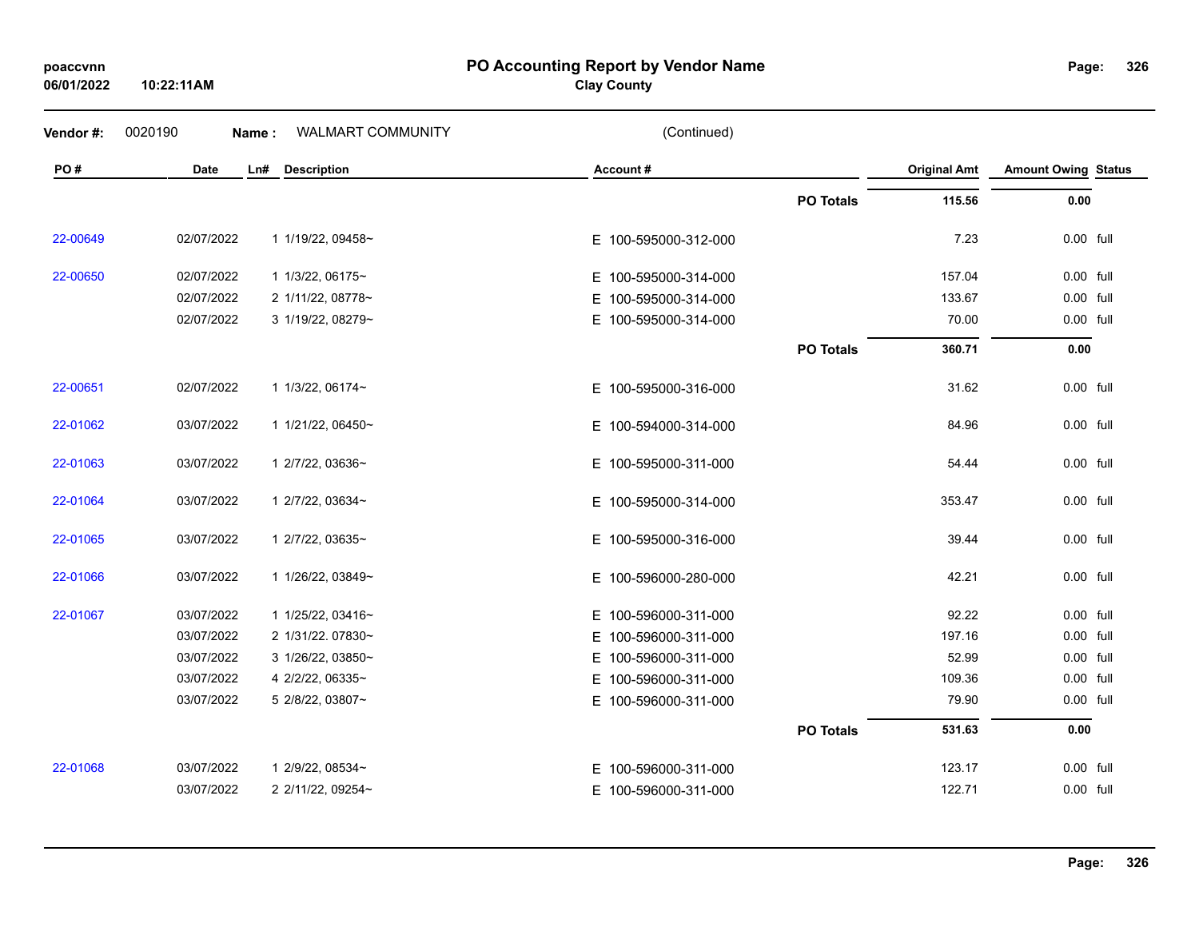# **06/01/2022**

**10:22:11AM**

### **PO Accounting Report by Vendor Name poaccvnn Page:**

# **Clay County**

| Vendor #: | 0020190    | Name: | WALMART COMMUNITY  | (Continued)          |                  |                     |                            |  |
|-----------|------------|-------|--------------------|----------------------|------------------|---------------------|----------------------------|--|
| PO#       | Date       | Ln#   | <b>Description</b> | Account#             |                  | <b>Original Amt</b> | <b>Amount Owing Status</b> |  |
|           |            |       |                    |                      | <b>PO Totals</b> | 115.56              | 0.00                       |  |
| 22-00649  | 02/07/2022 |       | 1 1/19/22, 09458~  | E 100-595000-312-000 |                  | 7.23                | 0.00 full                  |  |
| 22-00650  | 02/07/2022 |       | 1 1/3/22, 06175~   | E 100-595000-314-000 |                  | 157.04              | 0.00 full                  |  |
|           | 02/07/2022 |       | 2 1/11/22, 08778~  | E 100-595000-314-000 |                  | 133.67              | 0.00 full                  |  |
|           | 02/07/2022 |       | 3 1/19/22, 08279~  | E 100-595000-314-000 |                  | 70.00               | 0.00 full                  |  |
|           |            |       |                    |                      | <b>PO Totals</b> | 360.71              | $0.00\,$                   |  |
| 22-00651  | 02/07/2022 |       | 1 1/3/22, 06174~   | E 100-595000-316-000 |                  | 31.62               | 0.00 full                  |  |
| 22-01062  | 03/07/2022 |       | 1 1/21/22, 06450~  | E 100-594000-314-000 |                  | 84.96               | 0.00 full                  |  |
| 22-01063  | 03/07/2022 |       | 1 2/7/22, 03636~   | E 100-595000-311-000 |                  | 54.44               | 0.00 full                  |  |
| 22-01064  | 03/07/2022 |       | 1 2/7/22, 03634~   | E 100-595000-314-000 |                  | 353.47              | 0.00 full                  |  |
| 22-01065  | 03/07/2022 |       | 1 2/7/22, 03635~   | E 100-595000-316-000 |                  | 39.44               | 0.00 full                  |  |
| 22-01066  | 03/07/2022 |       | 1 1/26/22, 03849~  | E 100-596000-280-000 |                  | 42.21               | 0.00 full                  |  |
| 22-01067  | 03/07/2022 |       | 1 1/25/22, 03416~  | E 100-596000-311-000 |                  | 92.22               | 0.00 full                  |  |
|           | 03/07/2022 |       | 2 1/31/22.07830~   | E 100-596000-311-000 |                  | 197.16              | 0.00 full                  |  |
|           | 03/07/2022 |       | 3 1/26/22, 03850~  | E 100-596000-311-000 |                  | 52.99               | 0.00 full                  |  |
|           | 03/07/2022 |       | 4 2/2/22, 06335~   | E 100-596000-311-000 |                  | 109.36              | 0.00 full                  |  |
|           | 03/07/2022 |       | 5 2/8/22, 03807~   | E 100-596000-311-000 |                  | 79.90               | 0.00 full                  |  |
|           |            |       |                    |                      | <b>PO Totals</b> | 531.63              | 0.00                       |  |
| 22-01068  | 03/07/2022 |       | 1 2/9/22, 08534~   | E 100-596000-311-000 |                  | 123.17              | 0.00 full                  |  |
|           | 03/07/2022 |       | 2 2/11/22, 09254~  | E 100-596000-311-000 |                  | 122.71              | 0.00 full                  |  |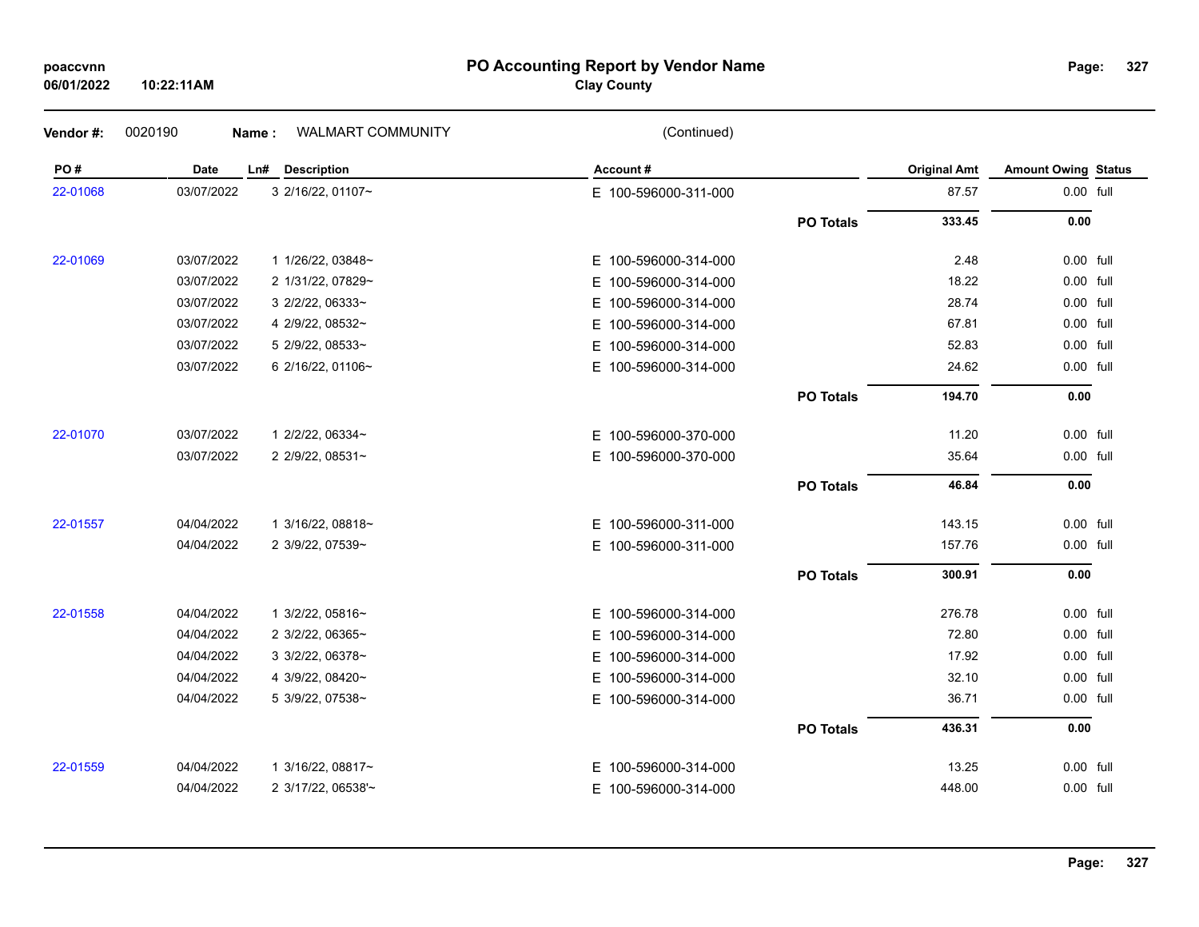### **PO Accounting Report by Vendor Name poaccvnn Page:**

# **Clay County**

| Vendor#: | 0020190    | WALMART COMMUNITY<br><b>Name:</b> | (Continued)              |                  |                     |                            |  |
|----------|------------|-----------------------------------|--------------------------|------------------|---------------------|----------------------------|--|
| PO#      | Date       | <b>Description</b><br>Ln#         | Account#                 |                  | <b>Original Amt</b> | <b>Amount Owing Status</b> |  |
| 22-01068 | 03/07/2022 | 3 2/16/22, 01107~                 | E 100-596000-311-000     |                  | 87.57               | 0.00 full                  |  |
|          |            |                                   |                          | <b>PO Totals</b> | 333.45              | 0.00                       |  |
| 22-01069 | 03/07/2022 | 1 1/26/22, 03848~                 | E 100-596000-314-000     |                  | 2.48                | 0.00 full                  |  |
|          | 03/07/2022 | 2 1/31/22, 07829~                 | Е.<br>100-596000-314-000 |                  | 18.22               | 0.00 full                  |  |
|          | 03/07/2022 | 3 2/2/22, 06333~                  | Е.<br>100-596000-314-000 |                  | 28.74               | 0.00 full                  |  |
|          | 03/07/2022 | 4 2/9/22, 08532~                  | 100-596000-314-000<br>E. |                  | 67.81               | 0.00 full                  |  |
|          | 03/07/2022 | 5 2/9/22, 08533~                  | 100-596000-314-000<br>E. |                  | 52.83               | 0.00 full                  |  |
|          | 03/07/2022 | 6 2/16/22, 01106~                 | E 100-596000-314-000     |                  | 24.62               | 0.00 full                  |  |
|          |            |                                   |                          | <b>PO Totals</b> | 194.70              | 0.00                       |  |
| 22-01070 | 03/07/2022 | 1 2/2/22, 06334~                  | E 100-596000-370-000     |                  | 11.20               | 0.00 full                  |  |
|          | 03/07/2022 | 2 2/9/22, 08531~                  | E 100-596000-370-000     |                  | 35.64               | 0.00 full                  |  |
|          |            |                                   |                          | <b>PO Totals</b> | 46.84               | 0.00                       |  |
| 22-01557 | 04/04/2022 | 1 3/16/22, 08818~                 | E 100-596000-311-000     |                  | 143.15              | 0.00 full                  |  |
|          | 04/04/2022 | 2 3/9/22, 07539~                  | E 100-596000-311-000     |                  | 157.76              | 0.00 full                  |  |
|          |            |                                   |                          | <b>PO Totals</b> | 300.91              | 0.00                       |  |
| 22-01558 | 04/04/2022 | 1 3/2/22, 05816~                  | E 100-596000-314-000     |                  | 276.78              | 0.00 full                  |  |
|          | 04/04/2022 | 2 3/2/22, 06365~                  | E.<br>100-596000-314-000 |                  | 72.80               | 0.00 full                  |  |
|          | 04/04/2022 | 3 3/2/22, 06378~                  | 100-596000-314-000<br>E. |                  | 17.92               | 0.00 full                  |  |
|          | 04/04/2022 | 4 3/9/22, 08420~                  | E.<br>100-596000-314-000 |                  | 32.10               | 0.00 full                  |  |
|          | 04/04/2022 | 5 3/9/22, 07538~                  | E.<br>100-596000-314-000 |                  | 36.71               | 0.00 full                  |  |
|          |            |                                   |                          | <b>PO Totals</b> | 436.31              | 0.00                       |  |
| 22-01559 | 04/04/2022 | 1 3/16/22, 08817~                 | E 100-596000-314-000     |                  | 13.25               | 0.00 full                  |  |
|          | 04/04/2022 | 2 3/17/22, 06538'~                | E 100-596000-314-000     |                  | 448.00              | 0.00 full                  |  |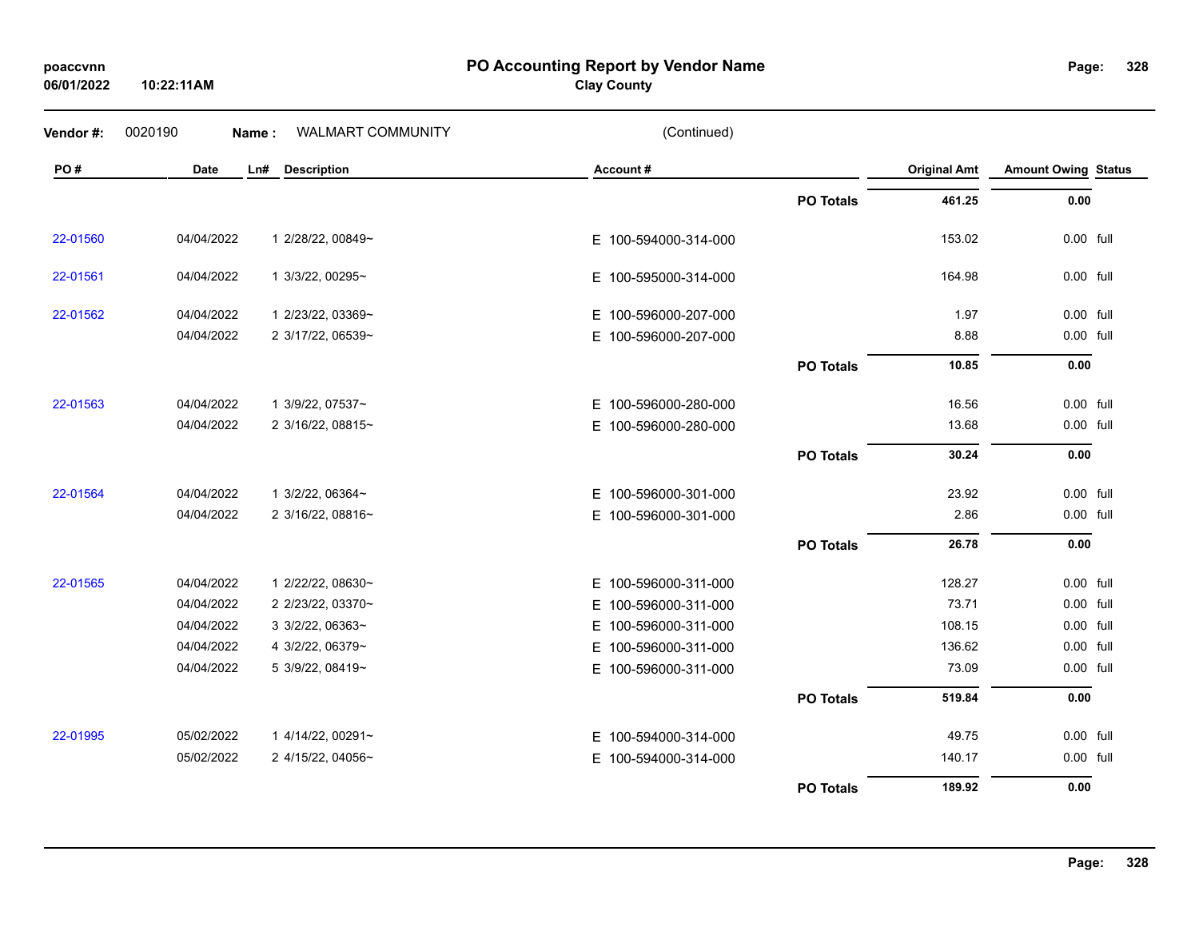# **06/01/2022**

**10:22:11AM**

**PO Accounting Report by Vendor Name poaccvnn Page:**

# **Clay County**

| Vendor#: | 0020190     | Name: | <b>WALMART COMMUNITY</b> | (Continued)          |                  |                     |                            |  |
|----------|-------------|-------|--------------------------|----------------------|------------------|---------------------|----------------------------|--|
| PO#      | <b>Date</b> | Ln#   | <b>Description</b>       | Account#             |                  | <b>Original Amt</b> | <b>Amount Owing Status</b> |  |
|          |             |       |                          |                      | <b>PO Totals</b> | 461.25              | 0.00                       |  |
| 22-01560 | 04/04/2022  |       | 1 2/28/22, 00849~        | E 100-594000-314-000 |                  | 153.02              | 0.00 full                  |  |
| 22-01561 | 04/04/2022  |       | 1 3/3/22, 00295~         | E 100-595000-314-000 |                  | 164.98              | 0.00 full                  |  |
| 22-01562 | 04/04/2022  |       | 1 2/23/22, 03369~        | E 100-596000-207-000 |                  | 1.97                | 0.00 full                  |  |
|          | 04/04/2022  |       | 2 3/17/22, 06539~        | E 100-596000-207-000 |                  | 8.88                | 0.00 full                  |  |
|          |             |       |                          |                      | <b>PO Totals</b> | 10.85               | 0.00                       |  |
| 22-01563 | 04/04/2022  |       | 1 3/9/22, 07537~         | E 100-596000-280-000 |                  | 16.56               | 0.00 full                  |  |
|          | 04/04/2022  |       | 2 3/16/22, 08815~        | E 100-596000-280-000 |                  | 13.68               | 0.00 full                  |  |
|          |             |       |                          |                      | <b>PO Totals</b> | 30.24               | 0.00                       |  |
| 22-01564 | 04/04/2022  |       | 1 3/2/22, 06364~         | E 100-596000-301-000 |                  | 23.92               | 0.00 full                  |  |
|          | 04/04/2022  |       | 2 3/16/22, 08816~        | E 100-596000-301-000 |                  | 2.86                | 0.00 full                  |  |
|          |             |       |                          |                      | <b>PO Totals</b> | 26.78               | 0.00                       |  |
| 22-01565 | 04/04/2022  |       | 1 2/22/22, 08630~        | E 100-596000-311-000 |                  | 128.27              | 0.00 full                  |  |
|          | 04/04/2022  |       | 2 2/23/22, 03370~        | E 100-596000-311-000 |                  | 73.71               | 0.00 full                  |  |
|          | 04/04/2022  |       | 3 3/2/22, 06363~         | E 100-596000-311-000 |                  | 108.15              | 0.00 full                  |  |
|          | 04/04/2022  |       | 4 3/2/22, 06379~         | E 100-596000-311-000 |                  | 136.62              | 0.00 full                  |  |
|          | 04/04/2022  |       | 5 3/9/22, 08419~         | E 100-596000-311-000 |                  | 73.09               | 0.00 full                  |  |
|          |             |       |                          |                      | <b>PO Totals</b> | 519.84              | 0.00                       |  |
| 22-01995 | 05/02/2022  |       | 1 4/14/22, 00291~        | E 100-594000-314-000 |                  | 49.75               | 0.00 full                  |  |
|          | 05/02/2022  |       | 2 4/15/22, 04056~        | E 100-594000-314-000 |                  | 140.17              | 0.00 full                  |  |
|          |             |       |                          |                      | <b>PO Totals</b> | 189.92              | 0.00                       |  |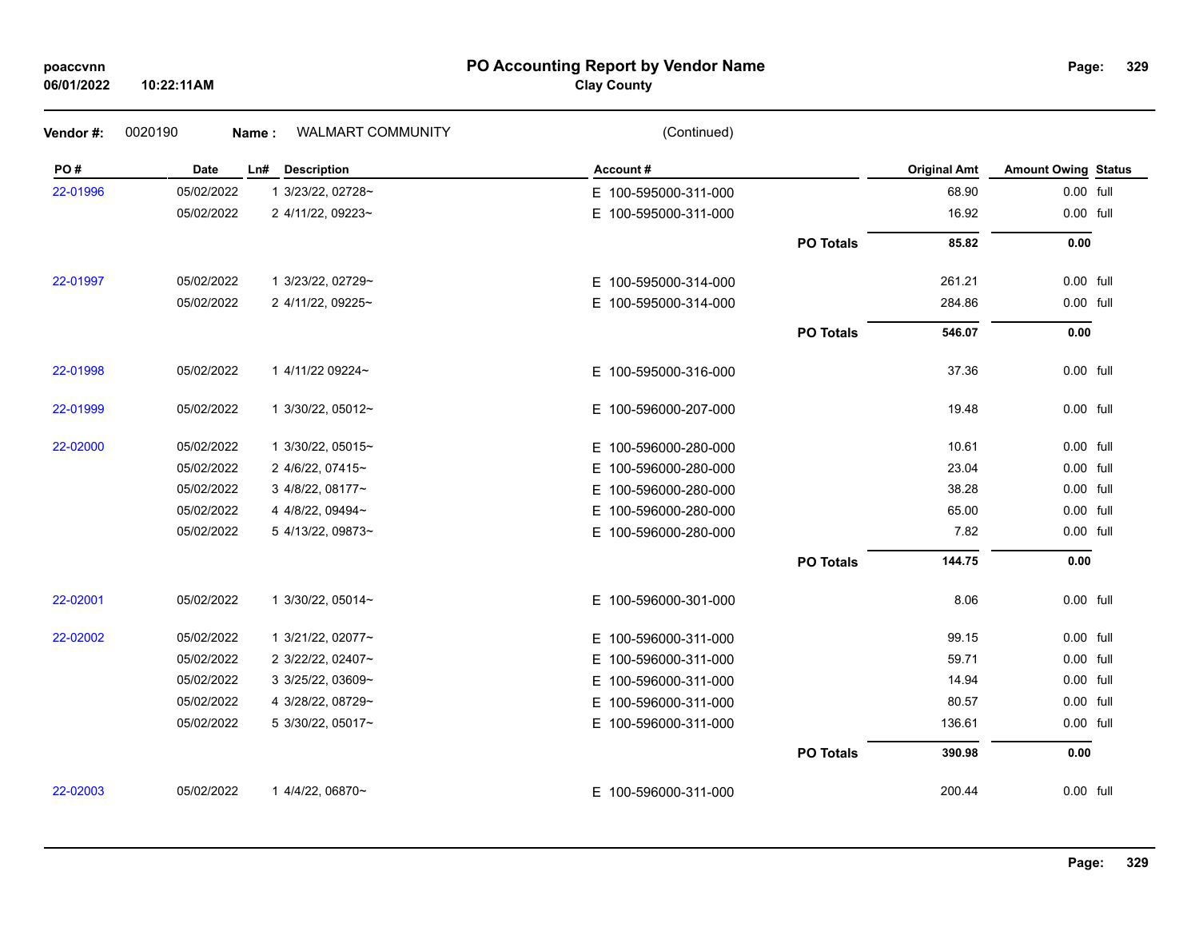### **PO Accounting Report by Vendor Name poaccvnn Page:**

# **Clay County**

| Vendor#: | 0020190    | WALMART COMMUNITY<br>Name: | (Continued)              |                  |                     |                            |  |
|----------|------------|----------------------------|--------------------------|------------------|---------------------|----------------------------|--|
| PO#      | Date       | <b>Description</b><br>Ln#  | Account#                 |                  | <b>Original Amt</b> | <b>Amount Owing Status</b> |  |
| 22-01996 | 05/02/2022 | 1 3/23/22, 02728~          | E 100-595000-311-000     |                  | 68.90               | 0.00 full                  |  |
|          | 05/02/2022 | 2 4/11/22, 09223~          | E 100-595000-311-000     |                  | 16.92               | 0.00 full                  |  |
|          |            |                            |                          | <b>PO Totals</b> | 85.82               | $0.00\,$                   |  |
| 22-01997 | 05/02/2022 | 1 3/23/22, 02729~          | E 100-595000-314-000     |                  | 261.21              | 0.00 full                  |  |
|          | 05/02/2022 | 2 4/11/22, 09225~          | E 100-595000-314-000     |                  | 284.86              | 0.00 full                  |  |
|          |            |                            |                          | <b>PO Totals</b> | 546.07              | 0.00                       |  |
| 22-01998 | 05/02/2022 | 1 4/11/22 09224~           | E 100-595000-316-000     |                  | 37.36               | 0.00 full                  |  |
| 22-01999 | 05/02/2022 | 1 3/30/22, 05012~          | E 100-596000-207-000     |                  | 19.48               | 0.00 full                  |  |
| 22-02000 | 05/02/2022 | 1 3/30/22, 05015~          | E 100-596000-280-000     |                  | 10.61               | 0.00 full                  |  |
|          | 05/02/2022 | 2 4/6/22, 07415~           | 100-596000-280-000<br>E. |                  | 23.04               | 0.00 full                  |  |
|          | 05/02/2022 | 3 4/8/22, 08177~           | 100-596000-280-000<br>E. |                  | 38.28               | 0.00 full                  |  |
|          | 05/02/2022 | 4 4/8/22, 09494~           | 100-596000-280-000<br>Е. |                  | 65.00               | 0.00 full                  |  |
|          | 05/02/2022 | 5 4/13/22, 09873~          | E 100-596000-280-000     |                  | 7.82                | 0.00 full                  |  |
|          |            |                            |                          | <b>PO Totals</b> | 144.75              | $0.00\,$                   |  |
| 22-02001 | 05/02/2022 | 1 3/30/22, 05014~          | E 100-596000-301-000     |                  | 8.06                | 0.00 full                  |  |
| 22-02002 | 05/02/2022 | 1 3/21/22, 02077~          | E 100-596000-311-000     |                  | 99.15               | 0.00 full                  |  |
|          | 05/02/2022 | 2 3/22/22, 02407~          | 100-596000-311-000<br>Е. |                  | 59.71               | 0.00 full                  |  |
|          | 05/02/2022 | 3 3/25/22, 03609~          | 100-596000-311-000<br>Е  |                  | 14.94               | 0.00 full                  |  |
|          | 05/02/2022 | 4 3/28/22, 08729~          | 100-596000-311-000<br>Е. |                  | 80.57               | 0.00 full                  |  |
|          | 05/02/2022 | 5 3/30/22, 05017~          | E.<br>100-596000-311-000 |                  | 136.61              | 0.00 full                  |  |
|          |            |                            |                          | <b>PO Totals</b> | 390.98              | 0.00                       |  |
| 22-02003 | 05/02/2022 | 1 4/4/22, 06870~           | E 100-596000-311-000     |                  | 200.44              | 0.00 full                  |  |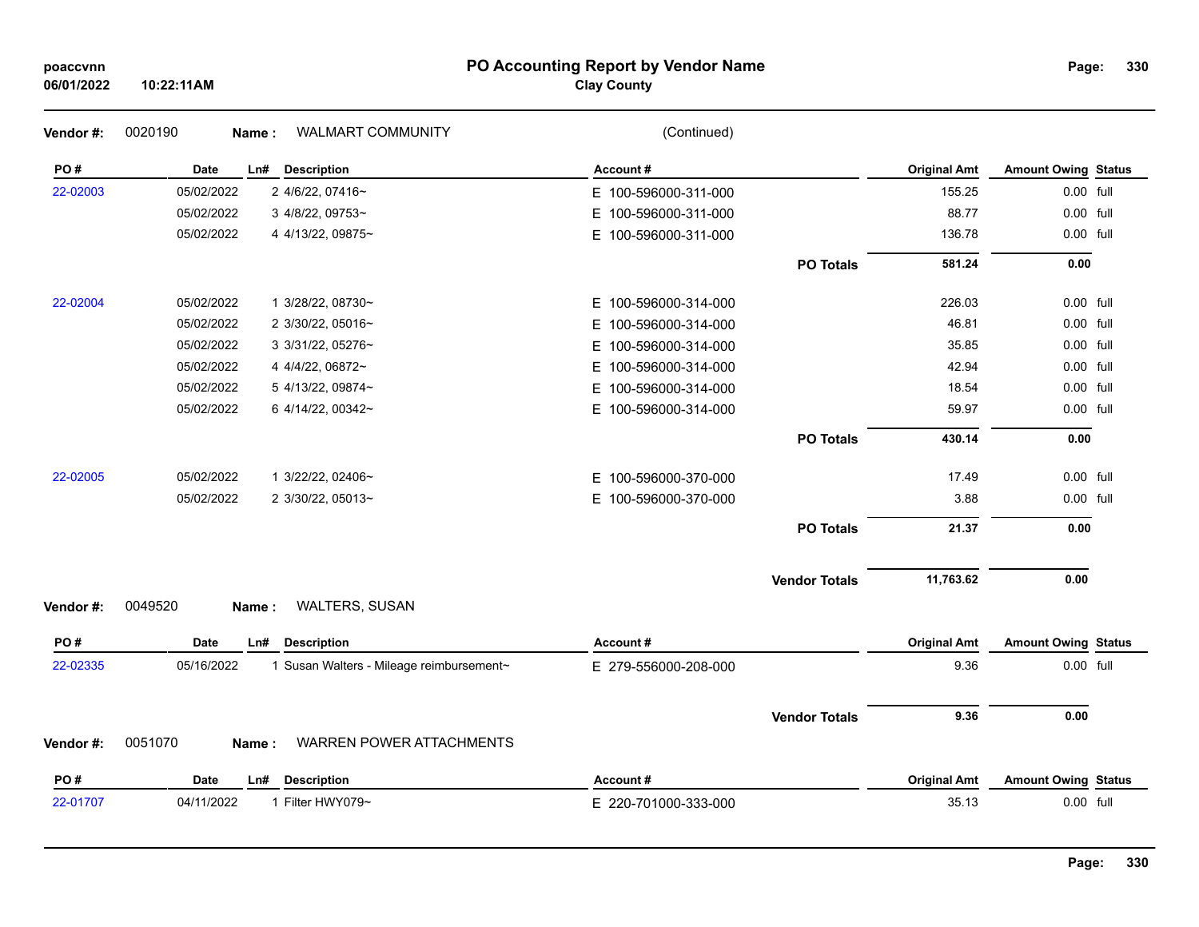### **PO Accounting Report by Vendor Name poaccvnn Page:**

# **Clay County**

| Vendor #: | 0020190<br>Name: | WALMART COMMUNITY                        | (Continued)              |                      |                     |                            |  |
|-----------|------------------|------------------------------------------|--------------------------|----------------------|---------------------|----------------------------|--|
| PO#       | <b>Date</b>      | Ln# Description                          | Account#                 |                      | <b>Original Amt</b> | <b>Amount Owing Status</b> |  |
| 22-02003  | 05/02/2022       | 2 4/6/22, 07416~                         | E 100-596000-311-000     |                      | 155.25              | 0.00 full                  |  |
|           | 05/02/2022       | 3 4/8/22, 09753~                         | 100-596000-311-000<br>E. |                      | 88.77               | 0.00 full                  |  |
|           | 05/02/2022       | 4 4/13/22, 09875~                        | E 100-596000-311-000     |                      | 136.78              | 0.00 full                  |  |
|           |                  |                                          |                          | <b>PO Totals</b>     | 581.24              | 0.00                       |  |
| 22-02004  | 05/02/2022       | 1 3/28/22, 08730~                        | E 100-596000-314-000     |                      | 226.03              | 0.00 full                  |  |
|           | 05/02/2022       | 2 3/30/22, 05016~                        | E.<br>100-596000-314-000 |                      | 46.81               | 0.00 full                  |  |
|           | 05/02/2022       | 3 3/31/22, 05276~                        | 100-596000-314-000<br>E. |                      | 35.85               | 0.00 full                  |  |
|           | 05/02/2022       | 4 4/4/22, 06872~                         | 100-596000-314-000<br>E. |                      | 42.94               | 0.00 full                  |  |
|           | 05/02/2022       | 5 4/13/22, 09874~                        | 100-596000-314-000<br>E  |                      | 18.54               | 0.00 full                  |  |
|           | 05/02/2022       | 6 4/14/22, 00342~                        | E.<br>100-596000-314-000 |                      | 59.97               | 0.00 full                  |  |
|           |                  |                                          |                          | <b>PO Totals</b>     | 430.14              | 0.00                       |  |
| 22-02005  | 05/02/2022       | 1 3/22/22, 02406~                        | 100-596000-370-000<br>E. |                      | 17.49               | 0.00 full                  |  |
|           | 05/02/2022       | 2 3/30/22, 05013~                        | E.<br>100-596000-370-000 |                      | 3.88                | 0.00 full                  |  |
|           |                  |                                          |                          | <b>PO Totals</b>     | 21.37               | 0.00                       |  |
|           |                  |                                          |                          | <b>Vendor Totals</b> | 11,763.62           | 0.00                       |  |
| Vendor #: | 0049520<br>Name: | WALTERS, SUSAN                           |                          |                      |                     |                            |  |
| PO#       | Date             | <b>Description</b><br>Ln#                | Account#                 |                      | <b>Original Amt</b> | <b>Amount Owing Status</b> |  |
| 22-02335  | 05/16/2022       | 1 Susan Walters - Mileage reimbursement~ | E 279-556000-208-000     |                      | 9.36                | 0.00 full                  |  |
|           |                  |                                          |                          | <b>Vendor Totals</b> | 9.36                | 0.00                       |  |
| Vendor#:  | 0051070<br>Name: | <b>WARREN POWER ATTACHMENTS</b>          |                          |                      |                     |                            |  |
| PO#       | Date             | <b>Description</b><br>Ln#                | Account#                 |                      | <b>Original Amt</b> | <b>Amount Owing Status</b> |  |
| 22-01707  | 04/11/2022       | 1 Filter HWY079~                         | E 220-701000-333-000     |                      | 35.13               | 0.00 full                  |  |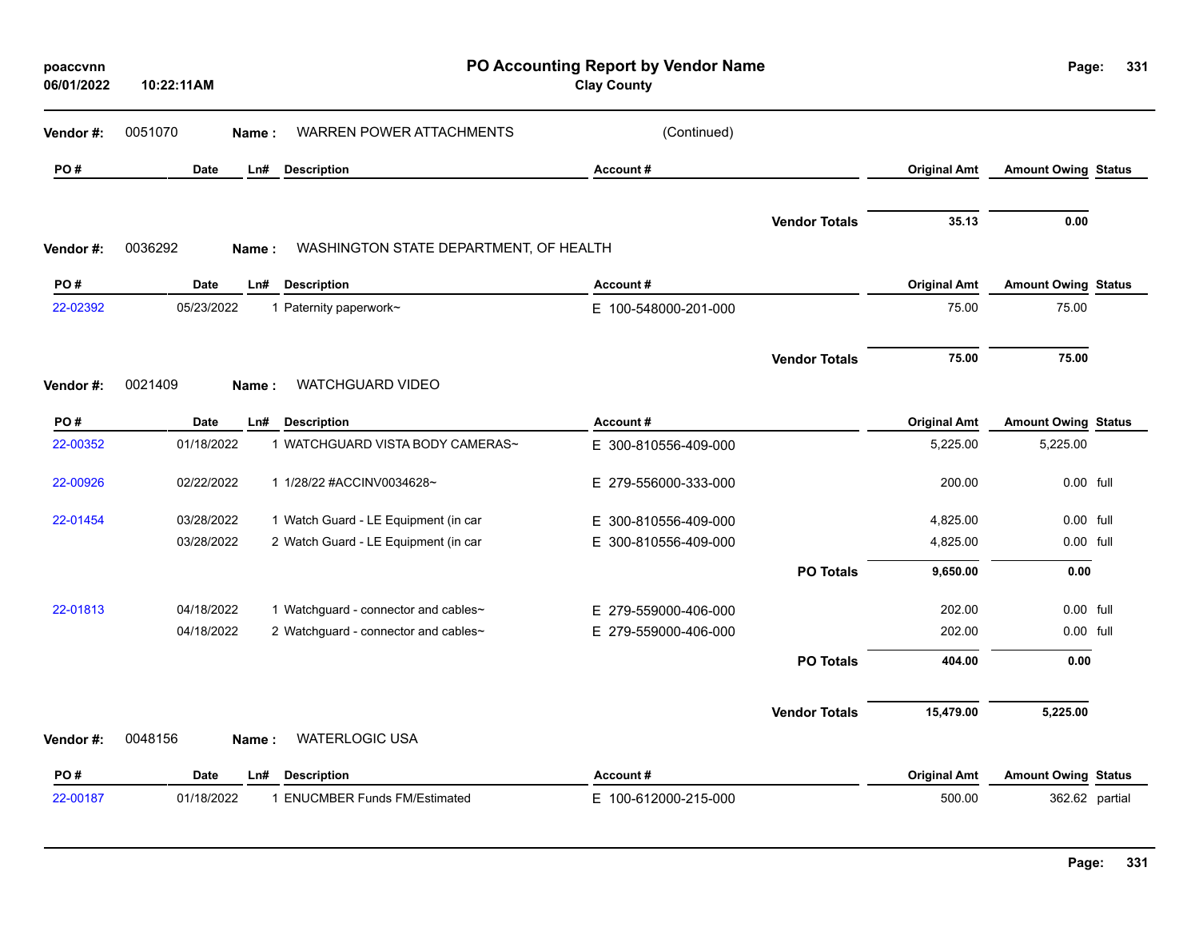| poaccvnn<br>06/01/2022 | 10:22:11AM  |       |                                        | PO Accounting Report by Vendor Name<br><b>Clay County</b> |                      |                     | Page:                      | 331 |
|------------------------|-------------|-------|----------------------------------------|-----------------------------------------------------------|----------------------|---------------------|----------------------------|-----|
| Vendor#:               | 0051070     | Name: | <b>WARREN POWER ATTACHMENTS</b>        | (Continued)                                               |                      |                     |                            |     |
| PO#                    | <b>Date</b> | Ln#   | <b>Description</b>                     | Account#                                                  |                      | <b>Original Amt</b> | <b>Amount Owing Status</b> |     |
| Vendor#:               | 0036292     | Name: | WASHINGTON STATE DEPARTMENT, OF HEALTH |                                                           | <b>Vendor Totals</b> | 35.13               | 0.00                       |     |
| PO#                    | <b>Date</b> | Ln#   | <b>Description</b>                     | Account#                                                  |                      | <b>Original Amt</b> | <b>Amount Owing Status</b> |     |
| 22-02392               | 05/23/2022  |       | 1 Paternity paperwork~                 | E 100-548000-201-000                                      |                      | 75.00               | 75.00                      |     |
| Vendor #:              | 0021409     | Name: | WATCHGUARD VIDEO                       |                                                           | <b>Vendor Totals</b> | 75.00               | 75.00                      |     |
| PO#                    | Date        | Ln#   | <b>Description</b>                     | Account#                                                  |                      | <b>Original Amt</b> | <b>Amount Owing Status</b> |     |
| 22-00352               | 01/18/2022  |       | 1 WATCHGUARD VISTA BODY CAMERAS~       | E 300-810556-409-000                                      |                      | 5,225.00            | 5,225.00                   |     |
| 22-00926               | 02/22/2022  |       | 1 1/28/22 #ACCINV0034628~              | E 279-556000-333-000                                      |                      | 200.00              | 0.00 full                  |     |
| 22-01454               | 03/28/2022  |       | 1 Watch Guard - LE Equipment (in car   | E 300-810556-409-000                                      |                      | 4,825.00            | $0.00$ full                |     |
|                        | 03/28/2022  |       | 2 Watch Guard - LE Equipment (in car   | E 300-810556-409-000                                      |                      | 4,825.00            | 0.00 full                  |     |
|                        |             |       |                                        |                                                           | <b>PO Totals</b>     | 9,650.00            | 0.00                       |     |
| 22-01813               | 04/18/2022  |       | 1 Watchguard - connector and cables~   | E 279-559000-406-000                                      |                      | 202.00              | 0.00 full                  |     |
|                        | 04/18/2022  |       | 2 Watchguard - connector and cables~   | E 279-559000-406-000                                      |                      | 202.00              | 0.00 full                  |     |
|                        |             |       |                                        |                                                           | <b>PO Totals</b>     | 404.00              | 0.00                       |     |
| Vendor#:               | 0048156     | Name: | <b>WATERLOGIC USA</b>                  |                                                           | <b>Vendor Totals</b> | 15,479.00           | 5,225.00                   |     |
| PO#                    | <b>Date</b> | Ln#   | <b>Description</b>                     | Account#                                                  |                      | <b>Original Amt</b> | <b>Amount Owing Status</b> |     |
| 22-00187               | 01/18/2022  |       | 1 ENUCMBER Funds FM/Estimated          | E 100-612000-215-000                                      |                      | 500.00              | 362.62 partial             |     |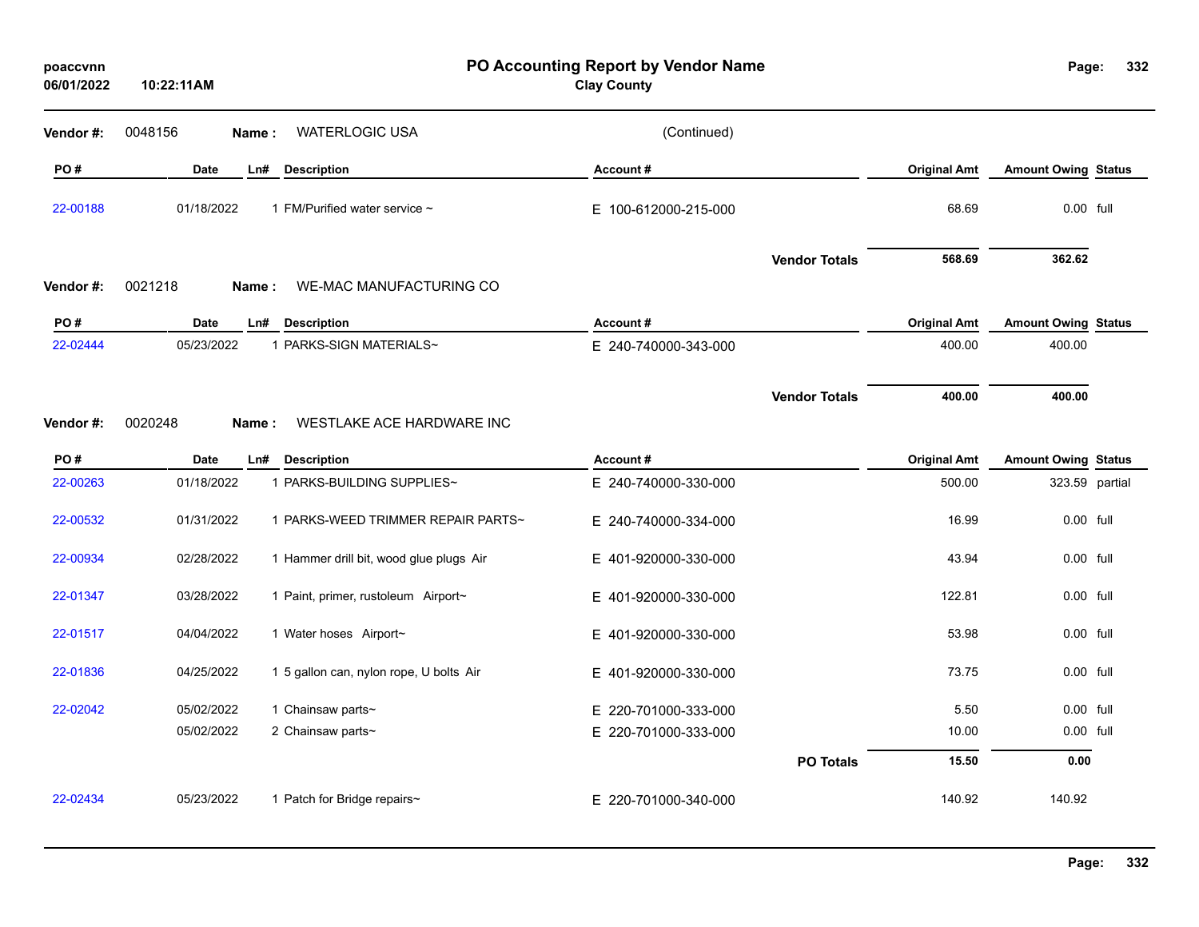| poaccvnn<br>06/01/2022 | PO Accounting Report by Vendor Name<br><b>Clay County</b><br>10:22:11AM |                                                         |                                  |                      |                               | Page:                                        | 332 |
|------------------------|-------------------------------------------------------------------------|---------------------------------------------------------|----------------------------------|----------------------|-------------------------------|----------------------------------------------|-----|
| Vendor#:               | 0048156                                                                 | <b>WATERLOGIC USA</b><br>Name:                          | (Continued)                      |                      |                               |                                              |     |
| PO#                    | <b>Date</b>                                                             | Ln#<br><b>Description</b>                               | Account#                         |                      | <b>Original Amt</b>           | <b>Amount Owing Status</b>                   |     |
| 22-00188               | 01/18/2022                                                              | 1 FM/Purified water service ~                           | E 100-612000-215-000             |                      | 68.69                         | 0.00 full                                    |     |
| Vendor #:              | 0021218<br>Name:                                                        | <b>WE-MAC MANUFACTURING CO</b>                          |                                  | <b>Vendor Totals</b> | 568.69                        | 362.62                                       |     |
| PO#                    | <b>Date</b>                                                             | <b>Description</b><br>Ln#                               | Account#                         |                      | <b>Original Amt</b>           | <b>Amount Owing Status</b>                   |     |
| 22-02444               | 05/23/2022                                                              | 1 PARKS-SIGN MATERIALS~                                 | E 240-740000-343-000             |                      | 400.00                        | 400.00                                       |     |
|                        |                                                                         |                                                         |                                  | <b>Vendor Totals</b> | 400.00                        | 400.00                                       |     |
| Vendor#:               | 0020248<br>Name:                                                        | WESTLAKE ACE HARDWARE INC                               |                                  |                      |                               |                                              |     |
| PO#<br>22-00263        | <b>Date</b><br>01/18/2022                                               | Ln#<br><b>Description</b><br>1 PARKS-BUILDING SUPPLIES~ | Account#<br>E 240-740000-330-000 |                      | <b>Original Amt</b><br>500.00 | <b>Amount Owing Status</b><br>323.59 partial |     |
|                        |                                                                         |                                                         |                                  |                      |                               |                                              |     |
| 22-00532               | 01/31/2022                                                              | 1 PARKS-WEED TRIMMER REPAIR PARTS~                      | E 240-740000-334-000             |                      | 16.99                         | 0.00 full                                    |     |
| 22-00934               | 02/28/2022                                                              | 1 Hammer drill bit, wood glue plugs Air                 | E 401-920000-330-000             |                      | 43.94                         | $0.00$ full                                  |     |
| 22-01347               | 03/28/2022                                                              | 1 Paint, primer, rustoleum Airport~                     | E 401-920000-330-000             |                      | 122.81                        | 0.00 full                                    |     |
| 22-01517               | 04/04/2022                                                              | 1 Water hoses Airport~                                  | E 401-920000-330-000             |                      | 53.98                         | 0.00 full                                    |     |
| 22-01836               | 04/25/2022                                                              | 1 5 gallon can, nylon rope, U bolts Air                 | E 401-920000-330-000             |                      | 73.75                         | 0.00 full                                    |     |
| 22-02042               | 05/02/2022                                                              | 1 Chainsaw parts~                                       | E 220-701000-333-000             |                      | 5.50                          | 0.00 full                                    |     |
|                        | 05/02/2022                                                              | 2 Chainsaw parts~                                       | E 220-701000-333-000             |                      | 10.00                         | 0.00 full                                    |     |
|                        |                                                                         |                                                         |                                  | <b>PO Totals</b>     | 15.50                         | 0.00                                         |     |
| 22-02434               | 05/23/2022                                                              | 1 Patch for Bridge repairs~                             | E 220-701000-340-000             |                      | 140.92                        | 140.92                                       |     |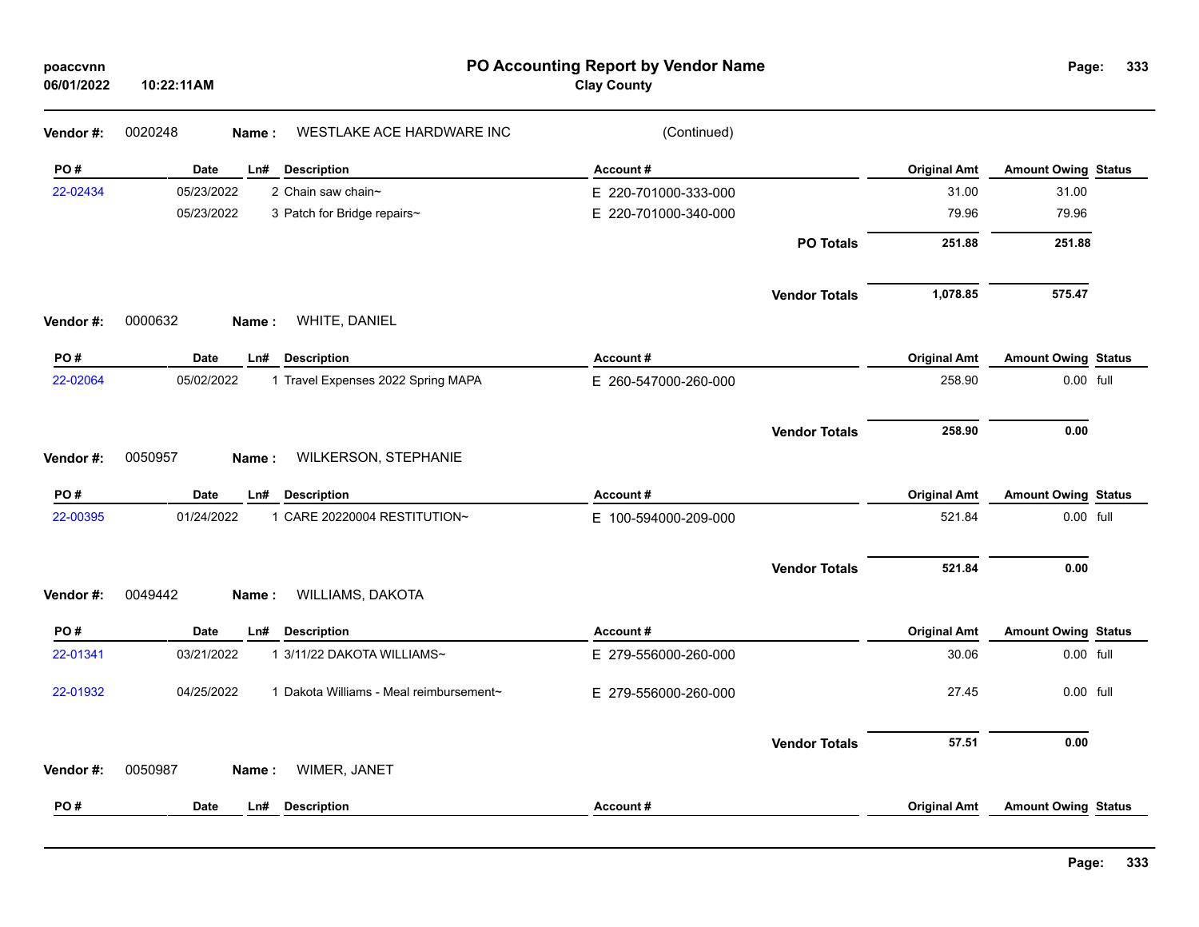| poaccvnn<br>06/01/2022 | PO Accounting Report by Vendor Name<br>10:22:11AM     |                      | Page:                | 333                 |                            |  |
|------------------------|-------------------------------------------------------|----------------------|----------------------|---------------------|----------------------------|--|
| Vendor #:              | 0020248<br>WESTLAKE ACE HARDWARE INC<br>Name:         | (Continued)          |                      |                     |                            |  |
| PO#                    | <b>Date</b><br>Ln#<br><b>Description</b>              | Account#             |                      | <b>Original Amt</b> | <b>Amount Owing Status</b> |  |
| 22-02434               | 05/23/2022<br>2 Chain saw chain~                      | E 220-701000-333-000 |                      | 31.00               | 31.00                      |  |
|                        | 05/23/2022<br>3 Patch for Bridge repairs~             | E 220-701000-340-000 |                      | 79.96               | 79.96                      |  |
|                        |                                                       |                      | <b>PO Totals</b>     | 251.88              | 251.88                     |  |
|                        |                                                       |                      | <b>Vendor Totals</b> | 1,078.85            | 575.47                     |  |
| Vendor #:              | 0000632<br>WHITE, DANIEL<br>Name:                     |                      |                      |                     |                            |  |
| PO#                    | <b>Date</b><br>Ln#<br><b>Description</b>              | Account#             |                      | <b>Original Amt</b> | <b>Amount Owing Status</b> |  |
| 22-02064               | 05/02/2022<br>1 Travel Expenses 2022 Spring MAPA      | E 260-547000-260-000 |                      | 258.90              | 0.00 full                  |  |
|                        |                                                       |                      | <b>Vendor Totals</b> | 258.90              | 0.00                       |  |
| Vendor #:              | 0050957<br>WILKERSON, STEPHANIE<br>Name:              |                      |                      |                     |                            |  |
| PO#                    | Date<br><b>Description</b><br>Ln#                     | Account#             |                      | <b>Original Amt</b> | <b>Amount Owing Status</b> |  |
| 22-00395               | 01/24/2022<br>1 CARE 20220004 RESTITUTION~            | E 100-594000-209-000 |                      | 521.84              | 0.00 full                  |  |
|                        |                                                       |                      | <b>Vendor Totals</b> | 521.84              | 0.00                       |  |
| Vendor#:               | 0049442<br>WILLIAMS, DAKOTA<br>Name:                  |                      |                      |                     |                            |  |
| PO#                    | Date<br>Ln#<br><b>Description</b>                     | Account#             |                      | <b>Original Amt</b> | <b>Amount Owing Status</b> |  |
| 22-01341               | 03/21/2022<br>1 3/11/22 DAKOTA WILLIAMS~              | E 279-556000-260-000 |                      | 30.06               | 0.00 full                  |  |
| 22-01932               | 04/25/2022<br>1 Dakota Williams - Meal reimbursement~ | E 279-556000-260-000 |                      | 27.45               | $0.00$ full                |  |
|                        |                                                       |                      | <b>Vendor Totals</b> | 57.51               | 0.00                       |  |
| Vendor #:              | WIMER, JANET<br>0050987<br>Name:                      |                      |                      |                     |                            |  |
| PO#                    | <b>Date</b><br><b>Description</b><br>Ln#              | Account#             |                      | <b>Original Amt</b> | <b>Amount Owing Status</b> |  |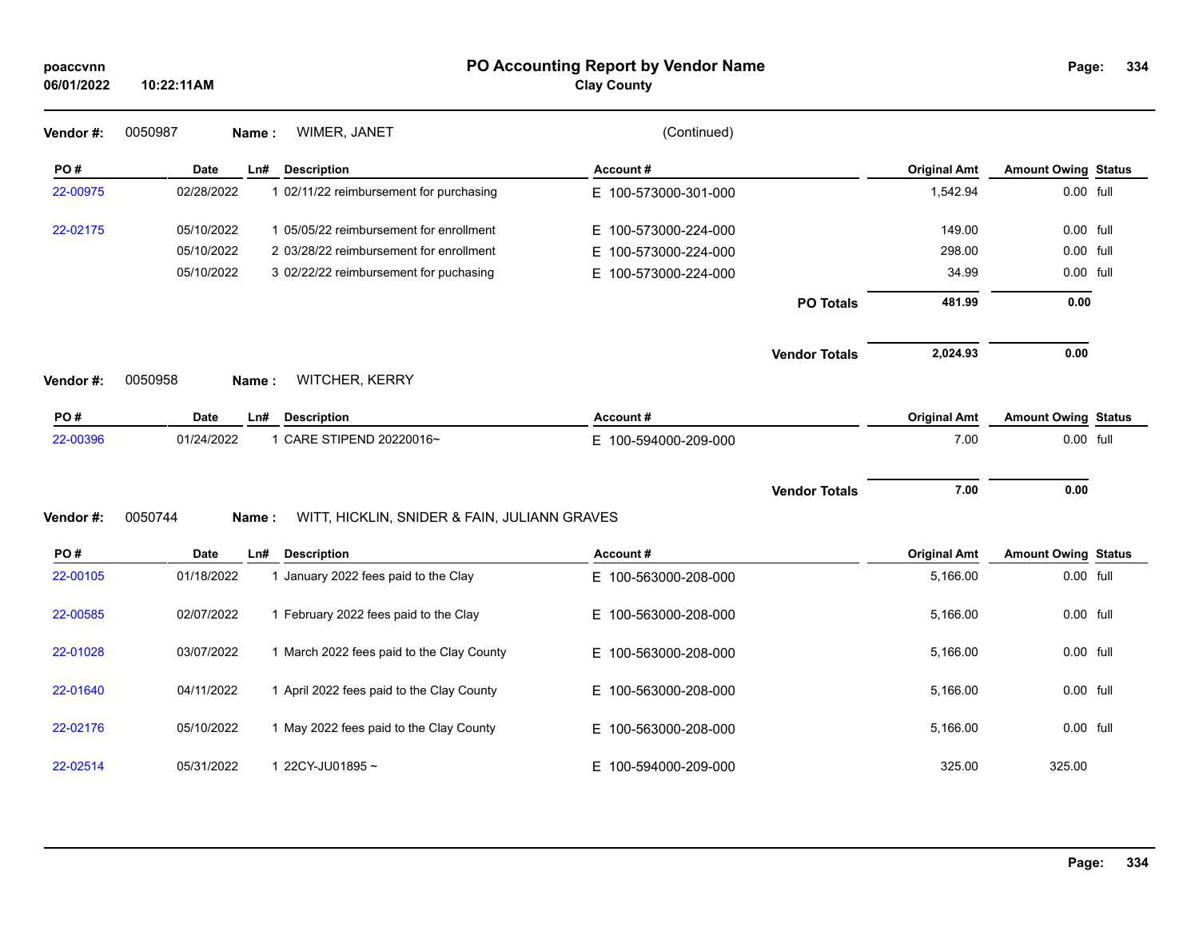| poaccvnn<br>06/01/2022 | 10:22:11AM       |                                              | PO Accounting Report by Vendor Name<br><b>Clay County</b> |                      |                     | Page:                      | 334 |
|------------------------|------------------|----------------------------------------------|-----------------------------------------------------------|----------------------|---------------------|----------------------------|-----|
| Vendor #:              | 0050987<br>Name: | WIMER, JANET                                 | (Continued)                                               |                      |                     |                            |     |
| PO#                    | <b>Date</b>      | <b>Description</b><br>Ln#                    | Account#                                                  |                      | <b>Original Amt</b> | <b>Amount Owing Status</b> |     |
| 22-00975               | 02/28/2022       | 1 02/11/22 reimbursement for purchasing      | E 100-573000-301-000                                      |                      | 1,542.94            | 0.00 full                  |     |
| 22-02175               | 05/10/2022       | 1 05/05/22 reimbursement for enrollment      | E 100-573000-224-000                                      |                      | 149.00              | 0.00 full                  |     |
|                        | 05/10/2022       | 2 03/28/22 reimbursement for enrollment      | E 100-573000-224-000                                      |                      | 298.00              | 0.00 full                  |     |
|                        | 05/10/2022       | 3 02/22/22 reimbursement for puchasing       | E 100-573000-224-000                                      |                      | 34.99               | 0.00 full                  |     |
|                        |                  |                                              |                                                           | <b>PO Totals</b>     | 481.99              | 0.00                       |     |
|                        |                  |                                              |                                                           | <b>Vendor Totals</b> | 2,024.93            | 0.00                       |     |
| Vendor #:              | 0050958<br>Name: | WITCHER, KERRY                               |                                                           |                      |                     |                            |     |
| PO#                    | Date             | Ln#<br><b>Description</b>                    | Account#                                                  |                      | <b>Original Amt</b> | <b>Amount Owing Status</b> |     |
| 22-00396               | 01/24/2022       | 1 CARE STIPEND 20220016~                     | E 100-594000-209-000                                      |                      | 7.00                | 0.00 full                  |     |
|                        |                  |                                              |                                                           | <b>Vendor Totals</b> | 7.00                | 0.00                       |     |
| Vendor #:              | 0050744<br>Name: | WITT, HICKLIN, SNIDER & FAIN, JULIANN GRAVES |                                                           |                      |                     |                            |     |
| PO#                    | Date             | Ln#<br><b>Description</b>                    | Account#                                                  |                      | <b>Original Amt</b> | <b>Amount Owing Status</b> |     |
| 22-00105               | 01/18/2022       | 1 January 2022 fees paid to the Clay         | E 100-563000-208-000                                      |                      | 5,166.00            | 0.00 full                  |     |
| 22-00585               | 02/07/2022       | 1 February 2022 fees paid to the Clay        | E 100-563000-208-000                                      |                      | 5,166.00            | 0.00 full                  |     |
| 22-01028               | 03/07/2022       | 1 March 2022 fees paid to the Clay County    | E 100-563000-208-000                                      |                      | 5,166.00            | 0.00 full                  |     |
| 22-01640               | 04/11/2022       | 1 April 2022 fees paid to the Clay County    | E 100-563000-208-000                                      |                      | 5,166.00            | 0.00 full                  |     |
| 22-02176               | 05/10/2022       | 1 May 2022 fees paid to the Clay County      | E 100-563000-208-000                                      |                      | 5,166.00            | 0.00 full                  |     |
| 22-02514               | 05/31/2022       | 1 22CY-JU01895~                              | E 100-594000-209-000                                      |                      | 325.00              | 325.00                     |     |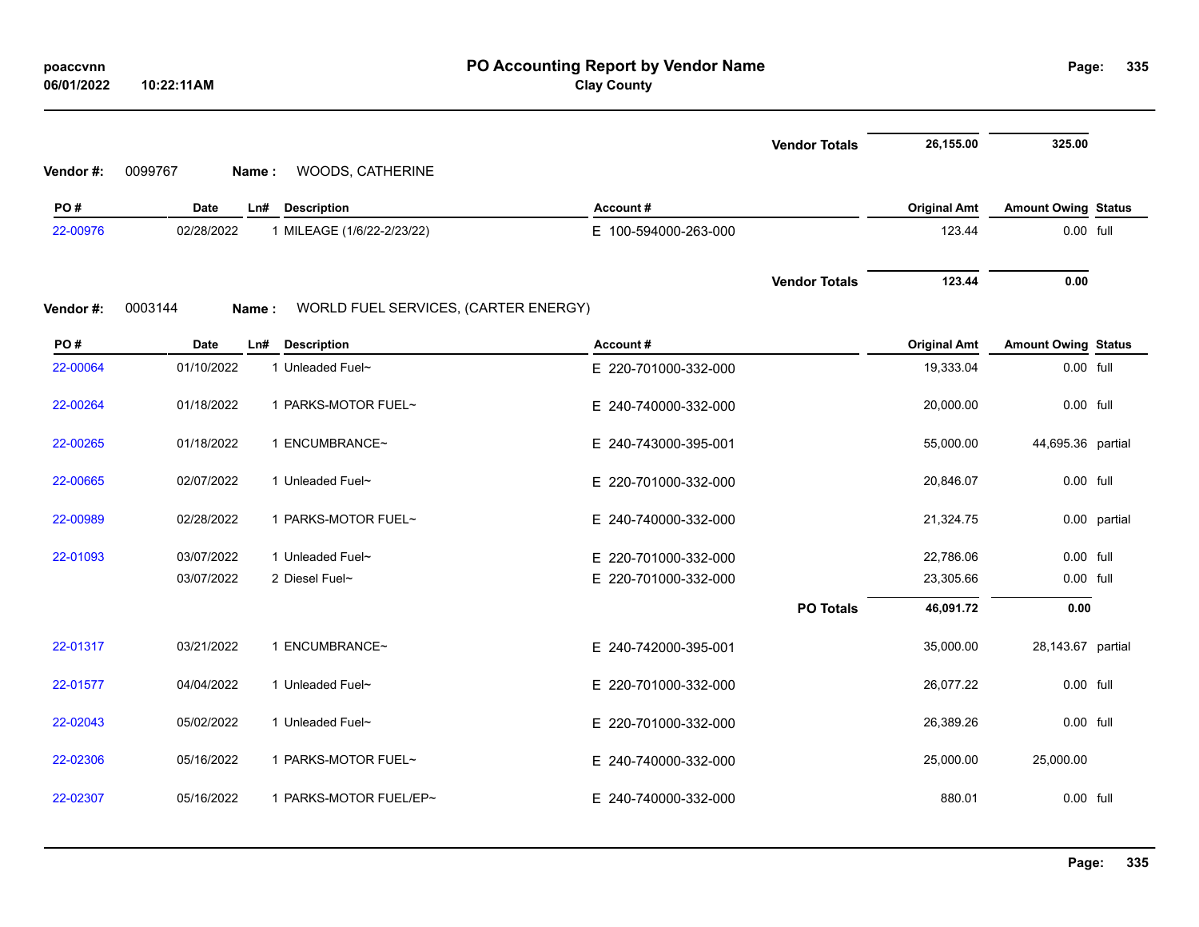| 06/01/2022 | 10:22:11AM       |                                      | <b>Clay County</b>   |                      |                     |                            |              |
|------------|------------------|--------------------------------------|----------------------|----------------------|---------------------|----------------------------|--------------|
|            |                  |                                      |                      | <b>Vendor Totals</b> | 26,155.00           | 325.00                     |              |
| Vendor #:  | 0099767<br>Name: | WOODS, CATHERINE                     |                      |                      |                     |                            |              |
| PO#        | Date             | Ln#<br><b>Description</b>            | Account#             |                      | <b>Original Amt</b> | <b>Amount Owing Status</b> |              |
| 22-00976   | 02/28/2022       | 1 MILEAGE (1/6/22-2/23/22)           | E 100-594000-263-000 |                      | 123.44              | 0.00 full                  |              |
|            |                  |                                      |                      | <b>Vendor Totals</b> | 123.44              | 0.00                       |              |
| Vendor #:  | 0003144<br>Name: | WORLD FUEL SERVICES, (CARTER ENERGY) |                      |                      |                     |                            |              |
| PO#        | Date             | Ln# Description                      | Account#             |                      | <b>Original Amt</b> | <b>Amount Owing Status</b> |              |
| 22-00064   | 01/10/2022       | 1 Unleaded Fuel~                     | E 220-701000-332-000 |                      | 19,333.04           | 0.00 full                  |              |
| 22-00264   | 01/18/2022       | 1 PARKS-MOTOR FUEL~                  | E 240-740000-332-000 |                      | 20,000.00           | 0.00 full                  |              |
| 22-00265   | 01/18/2022       | 1 ENCUMBRANCE~                       | E 240-743000-395-001 |                      | 55,000.00           | 44,695.36 partial          |              |
| 22-00665   | 02/07/2022       | 1 Unleaded Fuel~                     | E 220-701000-332-000 |                      | 20,846.07           | 0.00 full                  |              |
| 22-00989   | 02/28/2022       | 1 PARKS-MOTOR FUEL~                  | E 240-740000-332-000 |                      | 21,324.75           |                            | 0.00 partial |
| 22-01093   | 03/07/2022       | 1 Unleaded Fuel~                     | E 220-701000-332-000 |                      | 22,786.06           | 0.00 full                  |              |
|            | 03/07/2022       | 2 Diesel Fuel~                       | E 220-701000-332-000 |                      | 23,305.66           | 0.00 full                  |              |
|            |                  |                                      |                      | <b>PO Totals</b>     | 46,091.72           | 0.00                       |              |
| 22-01317   | 03/21/2022       | 1 ENCUMBRANCE~                       | E 240-742000-395-001 |                      | 35,000.00           | 28,143.67 partial          |              |
| 22-01577   | 04/04/2022       | 1 Unleaded Fuel~                     | E 220-701000-332-000 |                      | 26,077.22           | 0.00 full                  |              |
| 22-02043   | 05/02/2022       | 1 Unleaded Fuel~                     | E 220-701000-332-000 |                      | 26,389.26           | 0.00 full                  |              |
| 22-02306   | 05/16/2022       | 1 PARKS-MOTOR FUEL~                  | E 240-740000-332-000 |                      | 25,000.00           | 25,000.00                  |              |
| 22-02307   | 05/16/2022       | 1 PARKS-MOTOR FUEL/EP~               | E 240-740000-332-000 |                      | 880.01              | 0.00 full                  |              |

**335**

# **PO Accounting Report by Vendor Name poaccvnn Page:**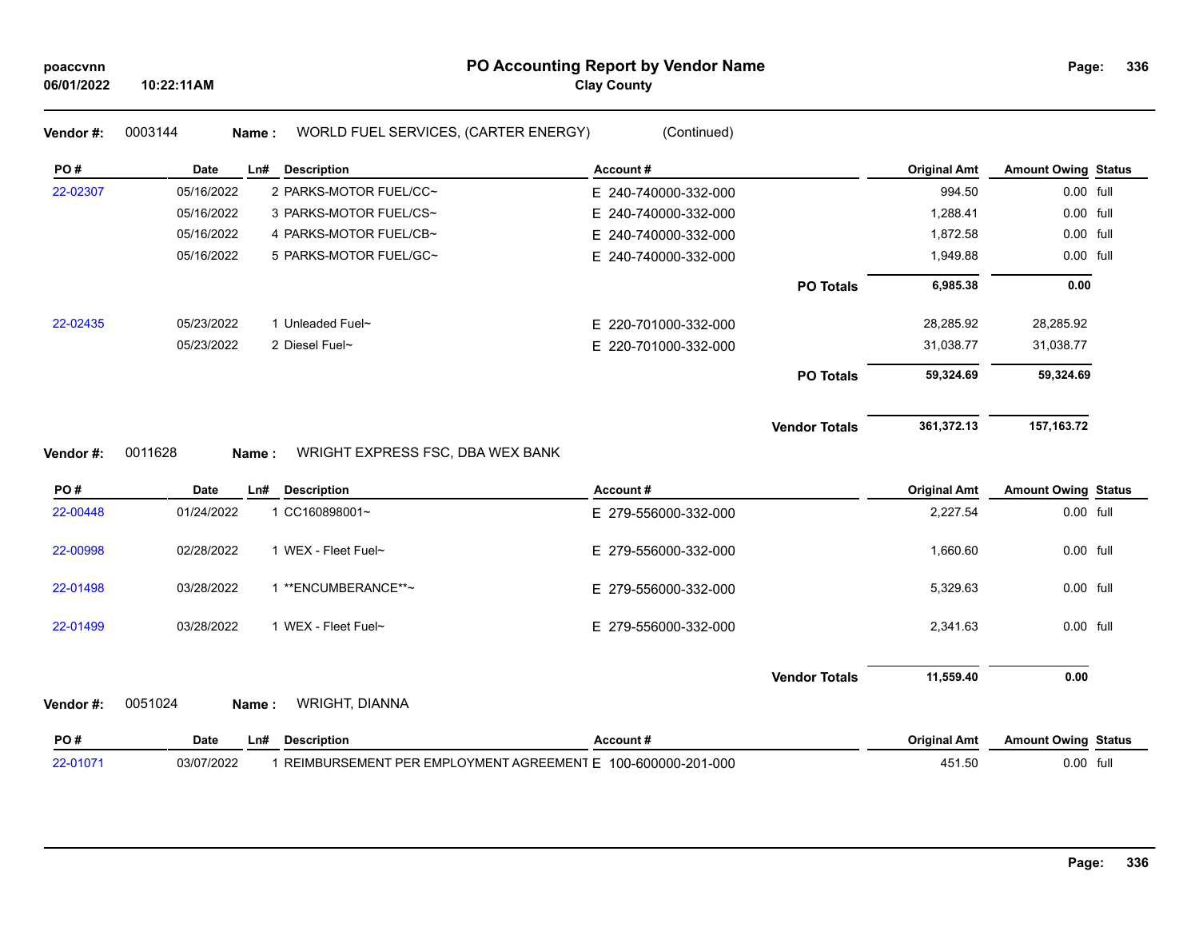| poaccvnn<br>06/01/2022 | 10:22:11AM       |                                      | PO Accounting Report by Vendor Name<br><b>Clay County</b> |                      |                     | Page:                      | 336 |
|------------------------|------------------|--------------------------------------|-----------------------------------------------------------|----------------------|---------------------|----------------------------|-----|
| Vendor#:               | 0003144<br>Name: | WORLD FUEL SERVICES, (CARTER ENERGY) | (Continued)                                               |                      |                     |                            |     |
| PO#                    | Date<br>Ln#      | <b>Description</b>                   | Account#                                                  |                      | <b>Original Amt</b> | <b>Amount Owing Status</b> |     |
| 22-02307               | 05/16/2022       | 2 PARKS-MOTOR FUEL/CC~               | E 240-740000-332-000                                      |                      | 994.50              | 0.00 full                  |     |
|                        | 05/16/2022       | 3 PARKS-MOTOR FUEL/CS~               | E 240-740000-332-000                                      |                      | 1,288.41            | 0.00 full                  |     |
|                        | 05/16/2022       | 4 PARKS-MOTOR FUEL/CB~               | E 240-740000-332-000                                      |                      | 1,872.58            | 0.00 full                  |     |
|                        | 05/16/2022       | 5 PARKS-MOTOR FUEL/GC~               | E 240-740000-332-000                                      |                      | 1,949.88            | 0.00 full                  |     |
|                        |                  |                                      |                                                           | <b>PO Totals</b>     | 6,985.38            | 0.00                       |     |
| 22-02435               | 05/23/2022       | 1 Unleaded Fuel~                     | E 220-701000-332-000                                      |                      | 28,285.92           | 28,285.92                  |     |
|                        | 05/23/2022       | 2 Diesel Fuel~                       | E 220-701000-332-000                                      |                      | 31,038.77           | 31,038.77                  |     |
|                        |                  |                                      |                                                           | <b>PO Totals</b>     | 59,324.69           | 59,324.69                  |     |
| Vendor#:               | 0011628<br>Name: | WRIGHT EXPRESS FSC, DBA WEX BANK     |                                                           | <b>Vendor Totals</b> | 361,372.13          | 157, 163. 72               |     |
| PO#                    | Date<br>Ln#      | <b>Description</b>                   | Account#                                                  |                      | <b>Original Amt</b> | <b>Amount Owing Status</b> |     |
| 22-00448               | 01/24/2022       | 1 CC160898001~                       | E 279-556000-332-000                                      |                      | 2,227.54            | 0.00 full                  |     |
| 22-00998               | 02/28/2022       | 1 WEX - Fleet Fuel~                  | E 279-556000-332-000                                      |                      | 1,660.60            | 0.00 full                  |     |
| 22-01498               | 03/28/2022       | 1 ** ENCUMBERANCE**~                 | E 279-556000-332-000                                      |                      | 5,329.63            | 0.00 full                  |     |
| 22-01499               | 03/28/2022       | 1 WEX - Fleet Fuel~                  | E 279-556000-332-000                                      |                      | 2,341.63            | 0.00 full                  |     |
|                        |                  |                                      |                                                           | <b>Vendor Totals</b> | 11,559.40           | 0.00                       |     |
| Vendor#:               | 0051024<br>Name: | WRIGHT, DIANNA                       |                                                           |                      |                     |                            |     |
| PO#                    | Date<br>Ln#      | <b>Description</b>                   | Account#                                                  |                      | <b>Original Amt</b> | <b>Amount Owing Status</b> |     |

22-01071 03/07/2022 1 REIMBURSEMENT PER EMPLOYMENT AGREEMENT E 100-600000-201-000 451.50 0.00 full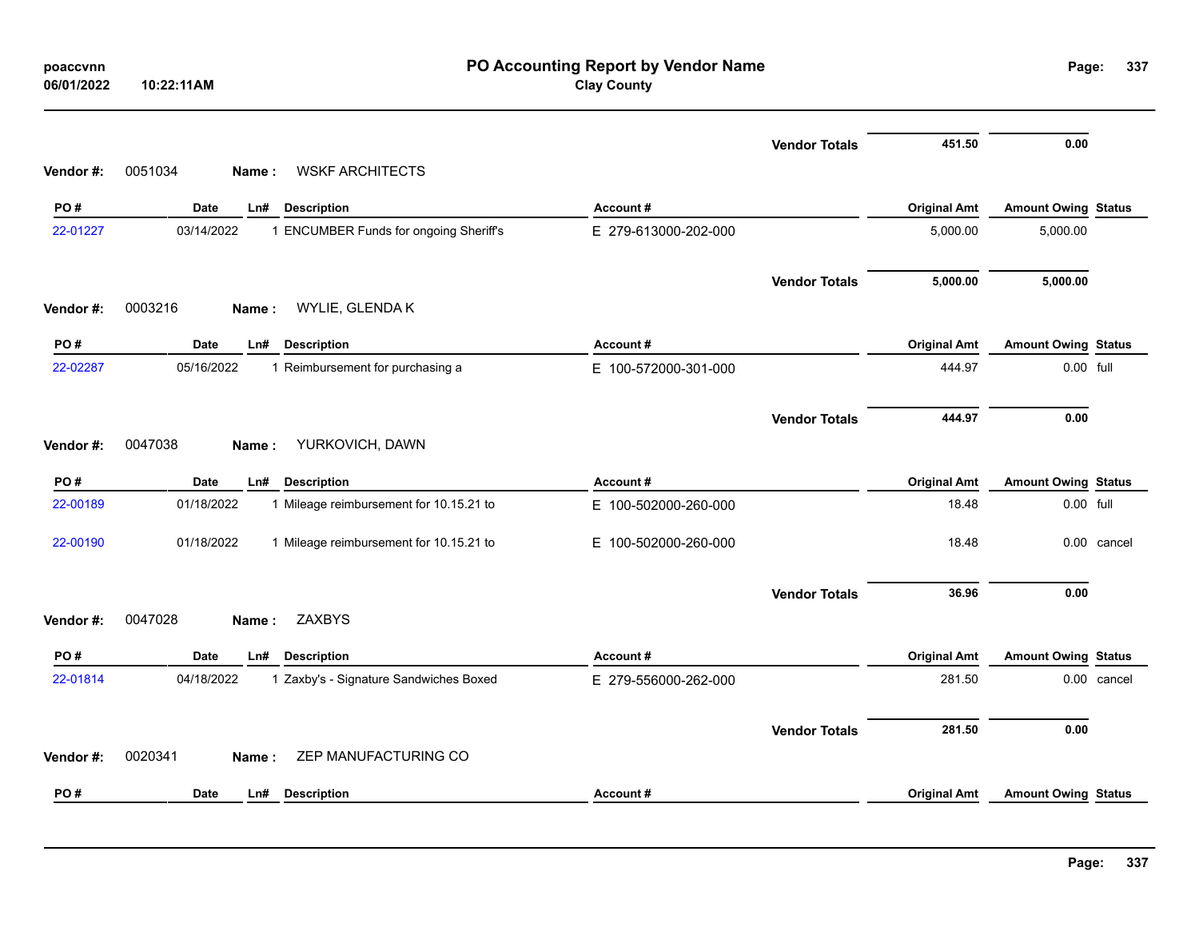| poaccvnn<br>06/01/2022 | 10:22:11AM         | PO Accounting Report by Vendor Name<br><b>Clay County</b> |                      |                      |                     | Page:<br>337               |             |
|------------------------|--------------------|-----------------------------------------------------------|----------------------|----------------------|---------------------|----------------------------|-------------|
|                        |                    |                                                           |                      | <b>Vendor Totals</b> | 451.50              | 0.00                       |             |
| Vendor#:               | 0051034<br>Name:   | <b>WSKF ARCHITECTS</b>                                    |                      |                      |                     |                            |             |
| PO#                    | Date<br>Ln#        | <b>Description</b>                                        | Account#             |                      | <b>Original Amt</b> | <b>Amount Owing Status</b> |             |
| 22-01227               | 03/14/2022         | 1 ENCUMBER Funds for ongoing Sheriff's                    | E 279-613000-202-000 |                      | 5,000.00            | 5,000.00                   |             |
|                        |                    |                                                           |                      | <b>Vendor Totals</b> | 5,000.00            | 5,000.00                   |             |
| Vendor#:               | 0003216<br>Name:   | WYLIE, GLENDA K                                           |                      |                      |                     |                            |             |
| PO#                    | <b>Date</b><br>Ln# | <b>Description</b>                                        | Account#             |                      | <b>Original Amt</b> | <b>Amount Owing Status</b> |             |
| 22-02287               | 05/16/2022         | 1 Reimbursement for purchasing a                          | E 100-572000-301-000 |                      | 444.97              | 0.00 full                  |             |
|                        |                    |                                                           |                      | <b>Vendor Totals</b> | 444.97              | 0.00                       |             |
| Vendor#:               | 0047038<br>Name:   | YURKOVICH, DAWN                                           |                      |                      |                     |                            |             |
| PO#                    | <b>Date</b><br>Ln# | <b>Description</b>                                        | Account#             |                      | <b>Original Amt</b> | <b>Amount Owing Status</b> |             |
| 22-00189               | 01/18/2022         | 1 Mileage reimbursement for 10.15.21 to                   | E 100-502000-260-000 |                      | 18.48               | 0.00 full                  |             |
| 22-00190               | 01/18/2022         | 1 Mileage reimbursement for 10.15.21 to                   | E 100-502000-260-000 |                      | 18.48               |                            | 0.00 cancel |
|                        |                    |                                                           |                      | <b>Vendor Totals</b> | 36.96               | 0.00                       |             |
| Vendor#:               | 0047028<br>Name:   | <b>ZAXBYS</b>                                             |                      |                      |                     |                            |             |
| PO#                    | <b>Date</b><br>Ln# | <b>Description</b>                                        | Account#             |                      | <b>Original Amt</b> | <b>Amount Owing Status</b> |             |
| 22-01814               | 04/18/2022         | 1 Zaxby's - Signature Sandwiches Boxed                    | E 279-556000-262-000 |                      | 281.50              |                            | 0.00 cancel |
|                        |                    |                                                           |                      | <b>Vendor Totals</b> | 281.50              | 0.00                       |             |
| Vendor#:               | 0020341<br>Name:   | ZEP MANUFACTURING CO                                      |                      |                      |                     |                            |             |
| PO#                    | Date<br>Ln#        | <b>Description</b>                                        | Account#             |                      | <b>Original Amt</b> | <b>Amount Owing Status</b> |             |